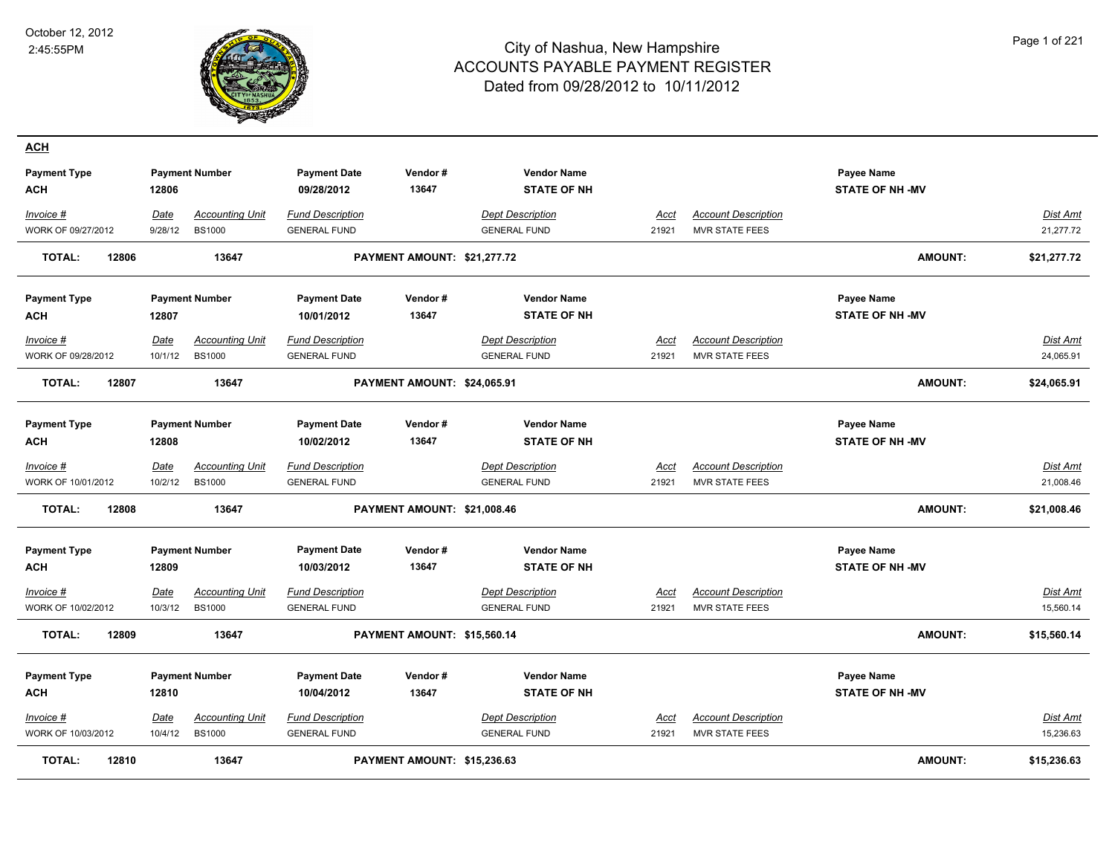**ACH**



| <b>Payment Type</b><br><b>ACH</b><br>Invoice #<br>WORK OF 09/27/2012 | 12806<br>Date<br>9/28/12 | <b>Payment Number</b><br><b>Accounting Unit</b><br><b>BS1000</b> | <b>Payment Date</b><br>09/28/2012<br><b>Fund Description</b><br><b>GENERAL FUND</b> | Vendor#<br>13647            | <b>Vendor Name</b><br><b>STATE OF NH</b><br><b>Dept Description</b><br><b>GENERAL FUND</b> | Acct<br>21921        | <b>Account Description</b><br><b>MVR STATE FEES</b> | Payee Name<br><b>STATE OF NH -MV</b>       | Dist Amt<br>21,277.72        |
|----------------------------------------------------------------------|--------------------------|------------------------------------------------------------------|-------------------------------------------------------------------------------------|-----------------------------|--------------------------------------------------------------------------------------------|----------------------|-----------------------------------------------------|--------------------------------------------|------------------------------|
| <b>TOTAL:</b><br>12806                                               |                          | 13647                                                            |                                                                                     | PAYMENT AMOUNT: \$21,277.72 |                                                                                            |                      |                                                     | <b>AMOUNT:</b>                             | \$21,277.72                  |
| <b>Payment Type</b><br><b>ACH</b>                                    | 12807                    | <b>Payment Number</b>                                            | <b>Payment Date</b><br>10/01/2012                                                   | Vendor#<br>13647            | <b>Vendor Name</b><br><b>STATE OF NH</b>                                                   |                      |                                                     | <b>Payee Name</b><br><b>STATE OF NH-MV</b> |                              |
| Invoice #<br>WORK OF 09/28/2012                                      | <b>Date</b><br>10/1/12   | <b>Accounting Unit</b><br><b>BS1000</b>                          | <b>Fund Description</b><br><b>GENERAL FUND</b>                                      |                             | <b>Dept Description</b><br><b>GENERAL FUND</b>                                             | Acct<br>21921        | <b>Account Description</b><br><b>MVR STATE FEES</b> |                                            | Dist Amt<br>24,065.91        |
| <b>TOTAL:</b><br>12807                                               |                          | 13647                                                            |                                                                                     | PAYMENT AMOUNT: \$24,065.91 |                                                                                            |                      |                                                     | <b>AMOUNT:</b>                             | \$24,065.91                  |
| <b>Payment Type</b><br><b>ACH</b>                                    | 12808                    | <b>Payment Number</b>                                            | <b>Payment Date</b><br>10/02/2012                                                   | Vendor#<br>13647            | <b>Vendor Name</b><br><b>STATE OF NH</b>                                                   |                      |                                                     | <b>Payee Name</b><br><b>STATE OF NH-MV</b> |                              |
| Invoice #<br>WORK OF 10/01/2012                                      | <b>Date</b><br>10/2/12   | <b>Accounting Unit</b><br><b>BS1000</b>                          | <b>Fund Description</b><br><b>GENERAL FUND</b>                                      |                             | <b>Dept Description</b><br><b>GENERAL FUND</b>                                             | Acct<br>21921        | <b>Account Description</b><br><b>MVR STATE FEES</b> |                                            | Dist Amt<br>21,008.46        |
| 12808<br><b>TOTAL:</b>                                               |                          | 13647                                                            |                                                                                     | PAYMENT AMOUNT: \$21,008.46 |                                                                                            |                      |                                                     | <b>AMOUNT:</b>                             | \$21,008.46                  |
| <b>Payment Type</b><br><b>ACH</b>                                    | 12809                    | <b>Payment Number</b>                                            | <b>Payment Date</b><br>10/03/2012                                                   | Vendor#<br>13647            | <b>Vendor Name</b><br><b>STATE OF NH</b>                                                   |                      |                                                     | Payee Name<br><b>STATE OF NH -MV</b>       |                              |
| $Invoice$ #<br>WORK OF 10/02/2012                                    | Date<br>10/3/12          | <b>Accounting Unit</b><br><b>BS1000</b>                          | <b>Fund Description</b><br><b>GENERAL FUND</b>                                      |                             | <b>Dept Description</b><br><b>GENERAL FUND</b>                                             | <u>Acct</u><br>21921 | <b>Account Description</b><br><b>MVR STATE FEES</b> |                                            | <u>Dist Amt</u><br>15,560.14 |
| <b>TOTAL:</b><br>12809                                               |                          | 13647                                                            |                                                                                     | PAYMENT AMOUNT: \$15,560.14 |                                                                                            |                      |                                                     | <b>AMOUNT:</b>                             | \$15,560.14                  |
| <b>Payment Type</b><br><b>ACH</b>                                    | 12810                    | <b>Payment Number</b>                                            | <b>Payment Date</b><br>10/04/2012                                                   | Vendor#<br>13647            | <b>Vendor Name</b><br><b>STATE OF NH</b>                                                   |                      |                                                     | <b>Payee Name</b><br><b>STATE OF NH-MV</b> |                              |
| Invoice #<br>WORK OF 10/03/2012                                      | Date<br>10/4/12          | <b>Accounting Unit</b><br><b>BS1000</b>                          | <b>Fund Description</b><br><b>GENERAL FUND</b>                                      |                             | <b>Dept Description</b><br><b>GENERAL FUND</b>                                             | Acct<br>21921        | <b>Account Description</b><br><b>MVR STATE FEES</b> |                                            | Dist Amt<br>15,236.63        |
| <b>TOTAL:</b><br>12810                                               |                          | 13647                                                            |                                                                                     | PAYMENT AMOUNT: \$15,236.63 |                                                                                            |                      |                                                     | <b>AMOUNT:</b>                             | \$15,236.63                  |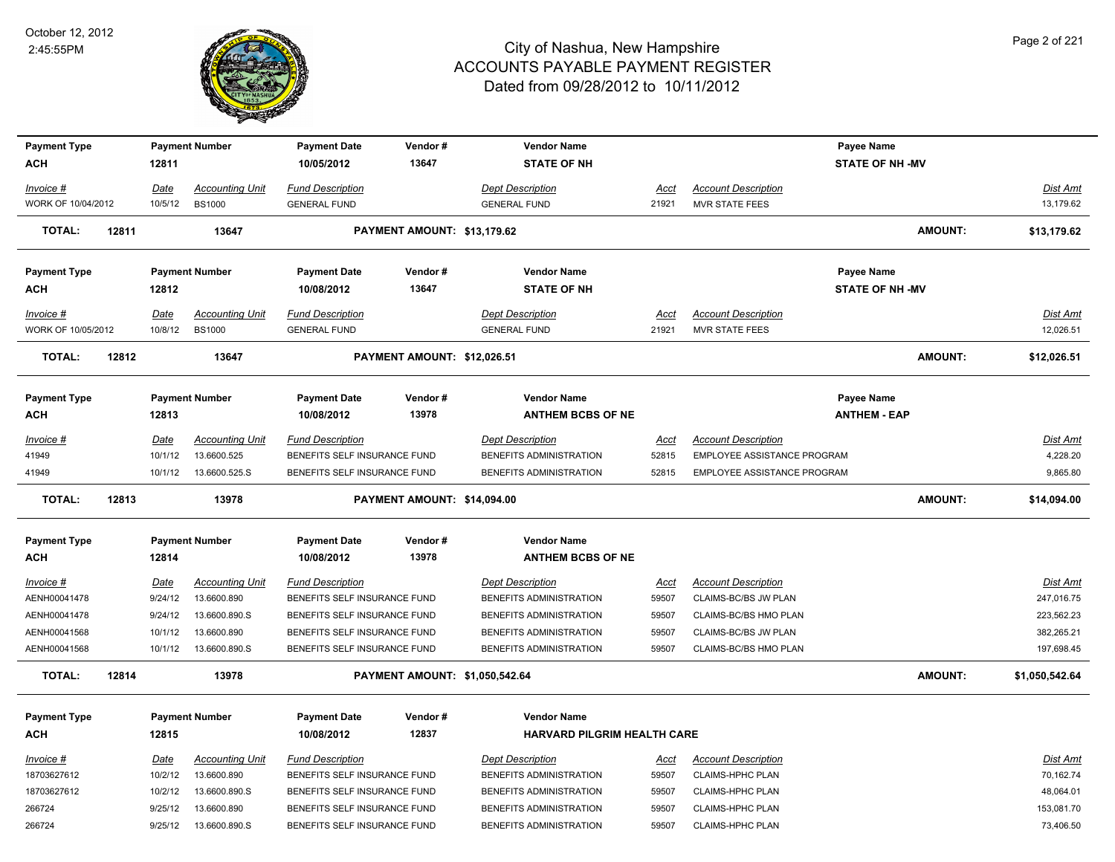

| <b>Payment Type</b> |       |             | <b>Payment Number</b>  | <b>Payment Date</b>          | Vendor#                        | <b>Vendor Name</b>          |             |                             | <b>Payee Name</b>      |                |                 |
|---------------------|-------|-------------|------------------------|------------------------------|--------------------------------|-----------------------------|-------------|-----------------------------|------------------------|----------------|-----------------|
| ACH                 |       | 12811       |                        | 10/05/2012                   | 13647                          | <b>STATE OF NH</b>          |             |                             | <b>STATE OF NH -MV</b> |                |                 |
| Invoice #           |       | <b>Date</b> | <b>Accounting Unit</b> | <b>Fund Description</b>      |                                | <b>Dept Description</b>     | <u>Acct</u> | <b>Account Description</b>  |                        |                | Dist Amt        |
| WORK OF 10/04/2012  |       | 10/5/12     | <b>BS1000</b>          | <b>GENERAL FUND</b>          |                                | <b>GENERAL FUND</b>         | 21921       | <b>MVR STATE FEES</b>       |                        |                | 13,179.62       |
| <b>TOTAL:</b>       | 12811 |             | 13647                  |                              | PAYMENT AMOUNT: \$13,179.62    |                             |             |                             |                        | <b>AMOUNT:</b> | \$13,179.62     |
| <b>Payment Type</b> |       |             | <b>Payment Number</b>  | <b>Payment Date</b>          | Vendor#                        | <b>Vendor Name</b>          |             |                             | <b>Payee Name</b>      |                |                 |
| ACH                 |       | 12812       |                        | 10/08/2012                   | 13647                          | <b>STATE OF NH</b>          |             |                             | <b>STATE OF NH -MV</b> |                |                 |
| Invoice #           |       | Date        | <b>Accounting Unit</b> | <b>Fund Description</b>      |                                | <b>Dept Description</b>     | <u>Acct</u> | <b>Account Description</b>  |                        |                | <u>Dist Amt</u> |
| WORK OF 10/05/2012  |       | 10/8/12     | <b>BS1000</b>          | <b>GENERAL FUND</b>          |                                | <b>GENERAL FUND</b>         | 21921       | <b>MVR STATE FEES</b>       |                        |                | 12,026.51       |
| <b>TOTAL:</b>       | 12812 |             | 13647                  |                              | PAYMENT AMOUNT: \$12,026.51    |                             |             |                             |                        | <b>AMOUNT:</b> | \$12,026.51     |
| <b>Payment Type</b> |       |             | <b>Payment Number</b>  | <b>Payment Date</b>          | Vendor#                        | <b>Vendor Name</b>          |             |                             | <b>Payee Name</b>      |                |                 |
| <b>ACH</b>          |       | 12813       |                        | 10/08/2012                   | 13978                          | <b>ANTHEM BCBS OF NE</b>    |             |                             | <b>ANTHEM - EAP</b>    |                |                 |
| Invoice #           |       | <b>Date</b> | <b>Accounting Unit</b> | <b>Fund Description</b>      |                                | <b>Dept Description</b>     | <u>Acct</u> | <b>Account Description</b>  |                        |                | <u>Dist Amt</u> |
| 41949               |       | 10/1/12     | 13.6600.525            | BENEFITS SELF INSURANCE FUND |                                | BENEFITS ADMINISTRATION     | 52815       | EMPLOYEE ASSISTANCE PROGRAM |                        |                | 4,228.20        |
| 41949               |       | 10/1/12     | 13.6600.525.S          | BENEFITS SELF INSURANCE FUND |                                | BENEFITS ADMINISTRATION     | 52815       | EMPLOYEE ASSISTANCE PROGRAM |                        |                | 9,865.80        |
| <b>TOTAL:</b>       | 12813 |             | 13978                  |                              | PAYMENT AMOUNT: \$14,094.00    |                             |             |                             |                        | <b>AMOUNT:</b> | \$14,094.00     |
|                     |       |             |                        |                              |                                |                             |             |                             |                        |                |                 |
| <b>Payment Type</b> |       |             | <b>Payment Number</b>  | <b>Payment Date</b>          | Vendor#                        | <b>Vendor Name</b>          |             |                             |                        |                |                 |
| <b>ACH</b>          |       | 12814       |                        | 10/08/2012                   | 13978                          | <b>ANTHEM BCBS OF NE</b>    |             |                             |                        |                |                 |
| Invoice #           |       | <b>Date</b> | <b>Accounting Unit</b> | <b>Fund Description</b>      |                                | <b>Dept Description</b>     | <u>Acct</u> | <b>Account Description</b>  |                        |                | <u>Dist Amt</u> |
| AENH00041478        |       | 9/24/12     | 13.6600.890            | BENEFITS SELF INSURANCE FUND |                                | BENEFITS ADMINISTRATION     | 59507       | CLAIMS-BC/BS JW PLAN        |                        |                | 247,016.75      |
| AENH00041478        |       | 9/24/12     | 13.6600.890.S          | BENEFITS SELF INSURANCE FUND |                                | BENEFITS ADMINISTRATION     | 59507       | CLAIMS-BC/BS HMO PLAN       |                        |                | 223,562.23      |
| AENH00041568        |       | 10/1/12     | 13.6600.890            | BENEFITS SELF INSURANCE FUND |                                | BENEFITS ADMINISTRATION     | 59507       | CLAIMS-BC/BS JW PLAN        |                        |                | 382,265.21      |
| AENH00041568        |       |             | 10/1/12  13.6600.890.S | BENEFITS SELF INSURANCE FUND |                                | BENEFITS ADMINISTRATION     | 59507       | CLAIMS-BC/BS HMO PLAN       |                        |                | 197,698.45      |
| <b>TOTAL:</b>       | 12814 |             | 13978                  |                              | PAYMENT AMOUNT: \$1,050,542.64 |                             |             |                             |                        | <b>AMOUNT:</b> | \$1,050,542.64  |
| <b>Payment Type</b> |       |             | <b>Payment Number</b>  | <b>Payment Date</b>          | Vendor#                        | <b>Vendor Name</b>          |             |                             |                        |                |                 |
| ACH                 |       | 12815       |                        | 10/08/2012                   | 12837                          | HARVARD PILGRIM HEALTH CARE |             |                             |                        |                |                 |
| <u> Invoice #</u>   |       | Date        | <b>Accounting Unit</b> | <b>Fund Description</b>      |                                | <b>Dept Description</b>     | Acct        | <b>Account Description</b>  |                        |                | Dist Amt        |
| 18703627612         |       | 10/2/12     | 13.6600.890            | BENEFITS SELF INSURANCE FUND |                                | BENEFITS ADMINISTRATION     | 59507       | CLAIMS-HPHC PLAN            |                        |                | 70,162.74       |
| 18703627612         |       | 10/2/12     | 13.6600.890.S          | BENEFITS SELF INSURANCE FUND |                                | BENEFITS ADMINISTRATION     | 59507       | CLAIMS-HPHC PLAN            |                        |                | 48,064.01       |
| 266724              |       | 9/25/12     | 13.6600.890            | BENEFITS SELF INSURANCE FUND |                                | BENEFITS ADMINISTRATION     | 59507       | <b>CLAIMS-HPHC PLAN</b>     |                        |                | 153,081.70      |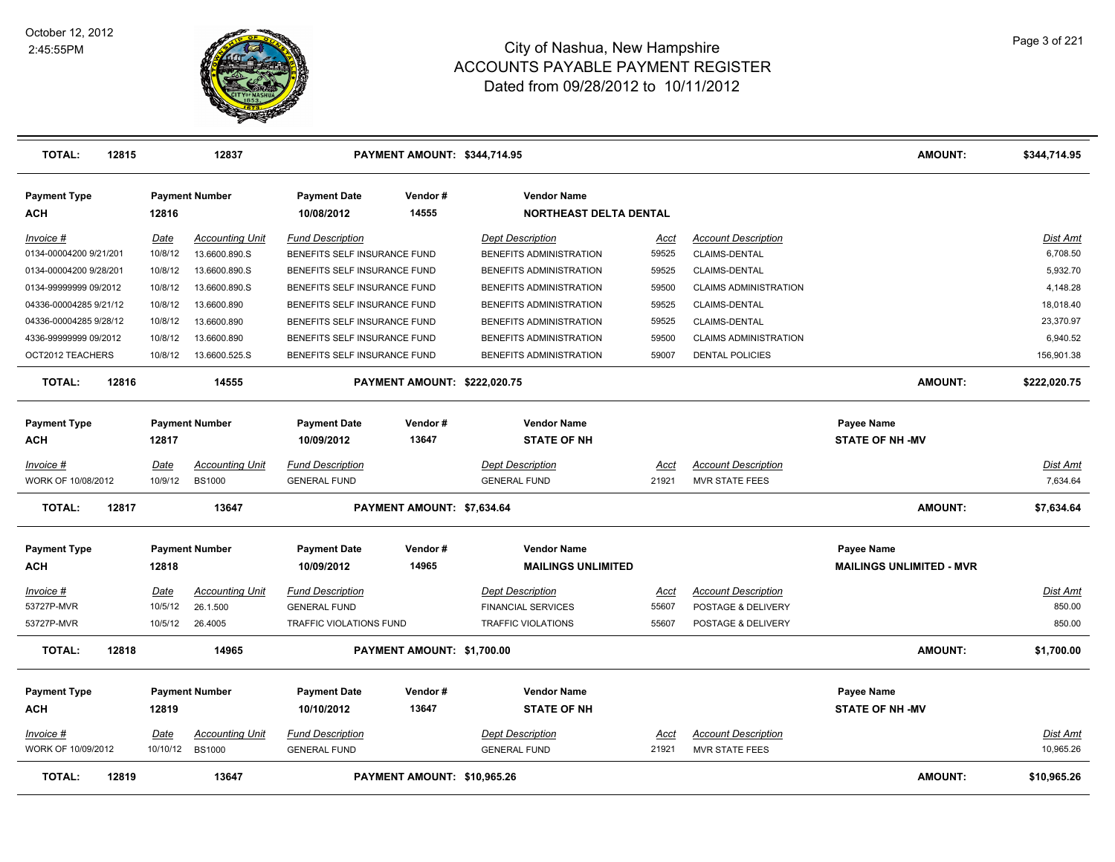

| <b>TOTAL:</b>                     | 12815 |             | 12837                  | PAYMENT AMOUNT: \$344,714.95      |                              |                                                     |               |                              | AMOUNT:                             | \$344,714.95                 |
|-----------------------------------|-------|-------------|------------------------|-----------------------------------|------------------------------|-----------------------------------------------------|---------------|------------------------------|-------------------------------------|------------------------------|
| <b>Payment Type</b><br><b>ACH</b> |       | 12816       | <b>Payment Number</b>  | <b>Payment Date</b><br>10/08/2012 | Vendor#<br>14555             | <b>Vendor Name</b><br><b>NORTHEAST DELTA DENTAL</b> |               |                              |                                     |                              |
| Invoice #                         |       | Date        | <b>Accounting Unit</b> | <b>Fund Description</b>           |                              | <b>Dept Description</b>                             | Acct          | <b>Account Description</b>   |                                     | <b>Dist Amt</b>              |
| 0134-00004200 9/21/201            |       | 10/8/12     | 13.6600.890.S          | BENEFITS SELF INSURANCE FUND      |                              | BENEFITS ADMINISTRATION                             | 59525         | CLAIMS-DENTAL                |                                     | 6,708.50                     |
| 0134-00004200 9/28/201            |       | 10/8/12     | 13.6600.890.S          | BENEFITS SELF INSURANCE FUND      |                              | BENEFITS ADMINISTRATION                             | 59525         | CLAIMS-DENTAL                |                                     | 5,932.70                     |
| 0134-99999999 09/2012             |       | 10/8/12     | 13.6600.890.S          | BENEFITS SELF INSURANCE FUND      |                              | BENEFITS ADMINISTRATION                             | 59500         | <b>CLAIMS ADMINISTRATION</b> |                                     | 4,148.28                     |
| 04336-00004285 9/21/12            |       | 10/8/12     | 13.6600.890            | BENEFITS SELF INSURANCE FUND      |                              | BENEFITS ADMINISTRATION                             | 59525         | CLAIMS-DENTAL                |                                     | 18,018.40                    |
| 04336-00004285 9/28/12            |       | 10/8/12     | 13.6600.890            | BENEFITS SELF INSURANCE FUND      |                              | BENEFITS ADMINISTRATION                             | 59525         | CLAIMS-DENTAL                |                                     | 23,370.97                    |
| 4336-99999999 09/2012             |       | 10/8/12     | 13.6600.890            | BENEFITS SELF INSURANCE FUND      |                              | BENEFITS ADMINISTRATION                             | 59500         | <b>CLAIMS ADMINISTRATION</b> |                                     | 6,940.52                     |
| OCT2012 TEACHERS                  |       | 10/8/12     | 13.6600.525.S          | BENEFITS SELF INSURANCE FUND      |                              | BENEFITS ADMINISTRATION                             | 59007         | <b>DENTAL POLICIES</b>       |                                     | 156,901.38                   |
| <b>TOTAL:</b>                     | 12816 |             | 14555                  |                                   | PAYMENT AMOUNT: \$222,020.75 |                                                     |               |                              | <b>AMOUNT:</b>                      | \$222,020.75                 |
| <b>Payment Type</b><br>АСН        |       | 12817       | <b>Payment Number</b>  | <b>Payment Date</b><br>10/09/2012 | Vendor#<br>13647             | <b>Vendor Name</b><br><b>STATE OF NH</b>            |               |                              | Payee Name<br><b>STATE OF NH-MV</b> |                              |
| Invoice #                         |       | Date        | <b>Accounting Unit</b> | <b>Fund Description</b>           |                              | <b>Dept Description</b>                             | Acct          | <b>Account Description</b>   |                                     | Dist Amt                     |
| WORK OF 10/08/2012                |       | 10/9/12     | <b>BS1000</b>          | <b>GENERAL FUND</b>               |                              | <b>GENERAL FUND</b>                                 | 21921         | <b>MVR STATE FEES</b>        |                                     | 7,634.64                     |
|                                   |       |             |                        |                                   |                              |                                                     |               |                              |                                     |                              |
| <b>TOTAL:</b>                     | 12817 |             | 13647                  |                                   | PAYMENT AMOUNT: \$7,634.64   |                                                     |               |                              | <b>AMOUNT:</b>                      | \$7,634.64                   |
| <b>Payment Type</b>               |       |             | <b>Payment Number</b>  | <b>Payment Date</b>               | Vendor#                      | <b>Vendor Name</b>                                  |               |                              | Payee Name                          |                              |
| ACH                               |       | 12818       |                        | 10/09/2012                        | 14965                        | <b>MAILINGS UNLIMITED</b>                           |               |                              | <b>MAILINGS UNLIMITED - MVR</b>     |                              |
|                                   |       |             |                        |                                   |                              |                                                     |               |                              |                                     |                              |
| <u>Invoice #</u>                  |       | <u>Date</u> | <b>Accounting Unit</b> | <b>Fund Description</b>           |                              | <b>Dept Description</b>                             | <u>Acct</u>   | <b>Account Description</b>   |                                     | <u>Dist Amt</u>              |
| 53727P-MVR                        |       | 10/5/12     | 26.1.500               | <b>GENERAL FUND</b>               |                              | <b>FINANCIAL SERVICES</b>                           | 55607         | POSTAGE & DELIVERY           |                                     | 850.00                       |
| 53727P-MVR                        |       | 10/5/12     | 26.4005                | TRAFFIC VIOLATIONS FUND           |                              | TRAFFIC VIOLATIONS                                  | 55607         | POSTAGE & DELIVERY           |                                     | 850.00                       |
| <b>TOTAL:</b>                     | 12818 |             | 14965                  |                                   | PAYMENT AMOUNT: \$1,700.00   |                                                     |               |                              | <b>AMOUNT:</b>                      | \$1,700.00                   |
| <b>Payment Type</b>               |       |             | <b>Payment Number</b>  | <b>Payment Date</b>               | Vendor#                      | <b>Vendor Name</b>                                  |               |                              | Payee Name                          |                              |
| <b>ACH</b>                        |       | 12819       |                        | 10/10/2012                        | 13647                        | <b>STATE OF NH</b>                                  |               |                              | <b>STATE OF NH-MV</b>               |                              |
| Invoice #<br>WORK OF 10/09/2012   |       | Date        | <b>Accounting Unit</b> | <b>Fund Description</b>           |                              | <b>Dept Description</b>                             | Acct<br>21921 | <b>Account Description</b>   |                                     | <u>Dist Amt</u><br>10,965.26 |
|                                   |       | 10/10/12    | <b>BS1000</b>          | <b>GENERAL FUND</b>               |                              | <b>GENERAL FUND</b>                                 |               | <b>MVR STATE FEES</b>        |                                     |                              |
| <b>TOTAL:</b>                     | 12819 |             | 13647                  |                                   | PAYMENT AMOUNT: \$10.965.26  |                                                     |               |                              | <b>AMOUNT:</b>                      | \$10,965.26                  |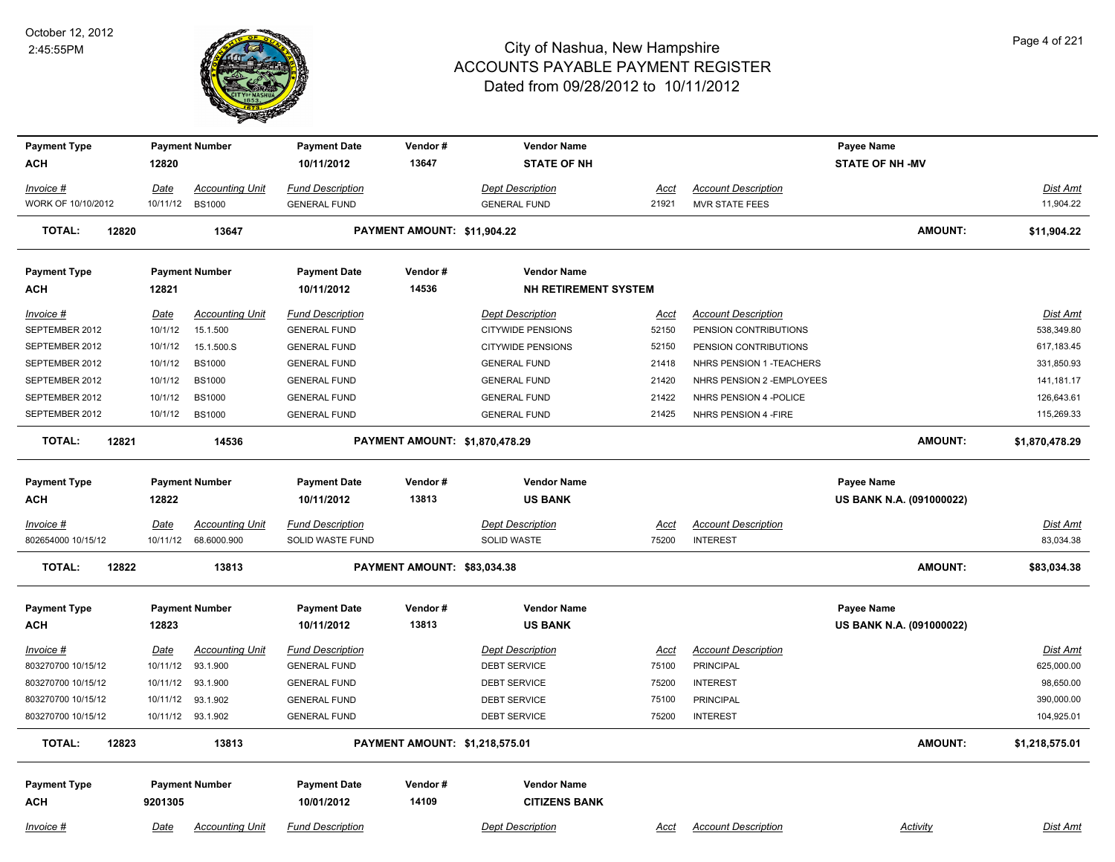

| <b>Payment Type</b>        |             | <b>Payment Number</b>  | <b>Payment Date</b>               | Vendor#                        | <b>Vendor Name</b>                   |             |                            | Payee Name                             |                 |
|----------------------------|-------------|------------------------|-----------------------------------|--------------------------------|--------------------------------------|-------------|----------------------------|----------------------------------------|-----------------|
| <b>ACH</b>                 | 12820       |                        | 10/11/2012                        | 13647                          | <b>STATE OF NH</b>                   |             |                            | <b>STATE OF NH -MV</b>                 |                 |
| Invoice #                  | Date        | <b>Accounting Unit</b> | <b>Fund Description</b>           |                                | <b>Dept Description</b>              | Acct        | <b>Account Description</b> |                                        | Dist Amt        |
| WORK OF 10/10/2012         | 10/11/12    | <b>BS1000</b>          | <b>GENERAL FUND</b>               |                                | <b>GENERAL FUND</b>                  | 21921       | <b>MVR STATE FEES</b>      |                                        | 11,904.22       |
| <b>TOTAL:</b><br>12820     |             | 13647                  |                                   | PAYMENT AMOUNT: \$11,904.22    |                                      |             |                            | AMOUNT:                                | \$11,904.22     |
| <b>Payment Type</b>        |             | <b>Payment Number</b>  | <b>Payment Date</b>               | Vendor#                        | <b>Vendor Name</b>                   |             |                            |                                        |                 |
| ACH                        | 12821       |                        | 10/11/2012                        | 14536                          | <b>NH RETIREMENT SYSTEM</b>          |             |                            |                                        |                 |
| Invoice #                  | Date        | <b>Accounting Unit</b> | <b>Fund Description</b>           |                                | <b>Dept Description</b>              | Acct        | <b>Account Description</b> |                                        | Dist Amt        |
| SEPTEMBER 2012             | 10/1/12     | 15.1.500               | <b>GENERAL FUND</b>               |                                | <b>CITYWIDE PENSIONS</b>             | 52150       | PENSION CONTRIBUTIONS      |                                        | 538,349.80      |
| SEPTEMBER 2012             | 10/1/12     | 15.1.500.S             | <b>GENERAL FUND</b>               |                                | <b>CITYWIDE PENSIONS</b>             | 52150       | PENSION CONTRIBUTIONS      |                                        | 617,183.45      |
| SEPTEMBER 2012             | 10/1/12     | <b>BS1000</b>          | <b>GENERAL FUND</b>               |                                | <b>GENERAL FUND</b>                  | 21418       | NHRS PENSION 1 - TEACHERS  |                                        | 331,850.93      |
| SEPTEMBER 2012             | 10/1/12     | <b>BS1000</b>          | <b>GENERAL FUND</b>               |                                | <b>GENERAL FUND</b>                  | 21420       | NHRS PENSION 2 - EMPLOYEES |                                        | 141, 181. 17    |
| SEPTEMBER 2012             | 10/1/12     | <b>BS1000</b>          | <b>GENERAL FUND</b>               |                                | <b>GENERAL FUND</b>                  | 21422       | NHRS PENSION 4 - POLICE    |                                        | 126,643.61      |
| SEPTEMBER 2012             | 10/1/12     | <b>BS1000</b>          | <b>GENERAL FUND</b>               |                                | <b>GENERAL FUND</b>                  | 21425       | NHRS PENSION 4 - FIRE      |                                        | 115,269.33      |
| 12821<br><b>TOTAL:</b>     |             | 14536                  |                                   | PAYMENT AMOUNT: \$1,870,478.29 |                                      |             |                            | <b>AMOUNT:</b>                         | \$1,870,478.29  |
| <b>Payment Type</b>        |             | <b>Payment Number</b>  | <b>Payment Date</b>               | Vendor#                        | <b>Vendor Name</b>                   |             |                            | Payee Name                             |                 |
| <b>ACH</b>                 | 12822       |                        | 10/11/2012                        | 13813                          | <b>US BANK</b>                       |             |                            | US BANK N.A. (091000022)               |                 |
| Invoice #                  | <b>Date</b> | <b>Accounting Unit</b> | <b>Fund Description</b>           |                                | <b>Dept Description</b>              | Acct        | <b>Account Description</b> |                                        | Dist Amt        |
| 802654000 10/15/12         | 10/11/12    | 68.6000.900            | SOLID WASTE FUND                  |                                | SOLID WASTE                          | 75200       | <b>INTEREST</b>            |                                        | 83,034.38       |
| <b>TOTAL:</b><br>12822     |             | 13813                  |                                   | PAYMENT AMOUNT: \$83,034.38    |                                      |             |                            | <b>AMOUNT:</b>                         | \$83,034.38     |
|                            |             |                        |                                   |                                |                                      |             |                            |                                        |                 |
| <b>Payment Type</b><br>ACH | 12823       | <b>Payment Number</b>  | <b>Payment Date</b><br>10/11/2012 | Vendor#<br>13813               | <b>Vendor Name</b><br><b>US BANK</b> |             |                            | Payee Name<br>US BANK N.A. (091000022) |                 |
| $Invoice$ #                | <u>Date</u> | <b>Accounting Unit</b> | <b>Fund Description</b>           |                                | <b>Dept Description</b>              | <u>Acct</u> | <b>Account Description</b> |                                        | <b>Dist Amt</b> |
| 803270700 10/15/12         | 10/11/12    | 93.1.900               | <b>GENERAL FUND</b>               |                                | <b>DEBT SERVICE</b>                  | 75100       | <b>PRINCIPAL</b>           |                                        | 625,000.00      |
| 803270700 10/15/12         | 10/11/12    | 93.1.900               | <b>GENERAL FUND</b>               |                                | <b>DEBT SERVICE</b>                  | 75200       | <b>INTEREST</b>            |                                        | 98,650.00       |
| 803270700 10/15/12         | 10/11/12    | 93.1.902               | <b>GENERAL FUND</b>               |                                | <b>DEBT SERVICE</b>                  | 75100       | <b>PRINCIPAL</b>           |                                        | 390,000.00      |
| 803270700 10/15/12         |             | 10/11/12 93.1.902      | <b>GENERAL FUND</b>               |                                | <b>DEBT SERVICE</b>                  | 75200       | <b>INTEREST</b>            |                                        | 104,925.01      |
| <b>TOTAL:</b><br>12823     |             | 13813                  |                                   | PAYMENT AMOUNT: \$1,218,575.01 |                                      |             |                            | <b>AMOUNT:</b>                         | \$1,218,575.01  |
| <b>Payment Type</b>        |             | <b>Payment Number</b>  | <b>Payment Date</b>               | Vendor#                        | <b>Vendor Name</b>                   |             |                            |                                        |                 |
| <b>ACH</b>                 | 9201305     |                        | 10/01/2012                        | 14109                          | <b>CITIZENS BANK</b>                 |             |                            |                                        |                 |
| Invoice #                  | Date        | <b>Accounting Unit</b> | <b>Fund Description</b>           |                                | <b>Dept Description</b>              | Acct        | <b>Account Description</b> | Activity                               | Dist Amt        |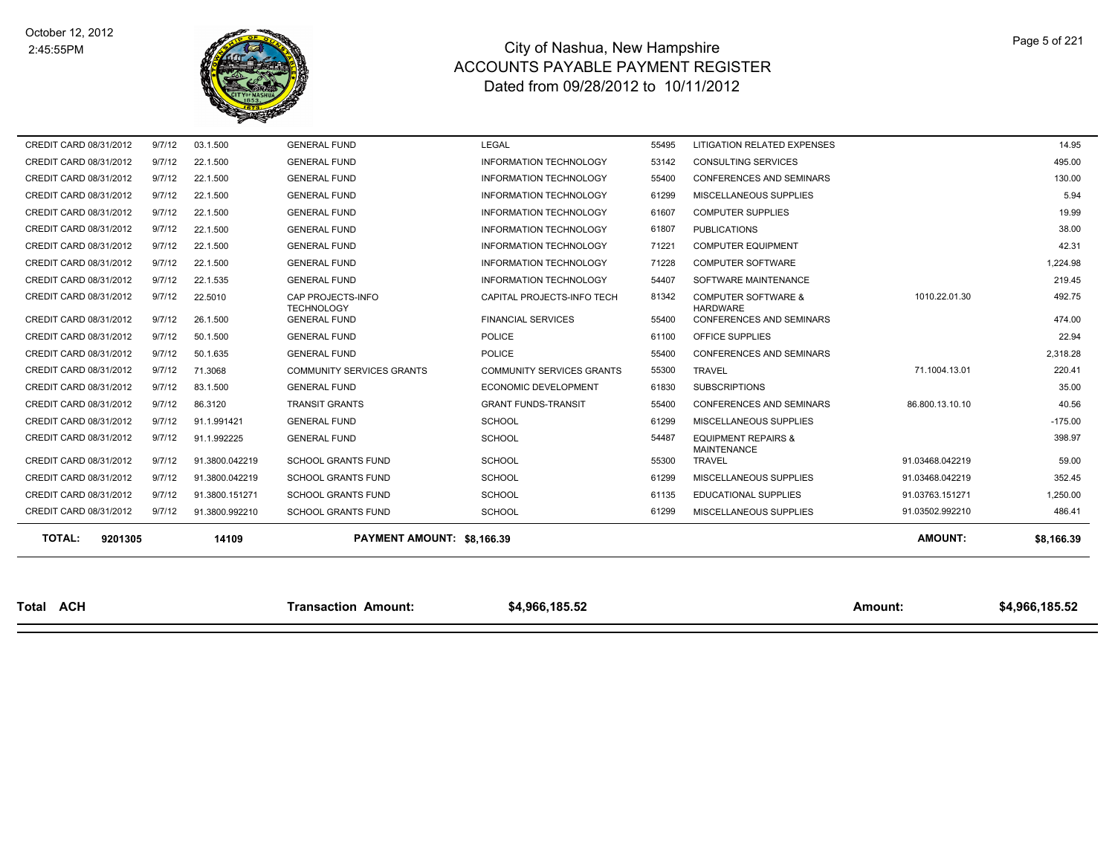

| <b>TOTAL:</b><br>9201305 |        | 14109          | PAYMENT AMOUNT: \$8,166.39             |                                  |       |                                                      | <b>AMOUNT:</b>  | \$8,166.39 |
|--------------------------|--------|----------------|----------------------------------------|----------------------------------|-------|------------------------------------------------------|-----------------|------------|
|                          |        |                |                                        |                                  |       |                                                      |                 |            |
| CREDIT CARD 08/31/2012   | 9/7/12 | 91.3800.992210 | <b>SCHOOL GRANTS FUND</b>              | <b>SCHOOL</b>                    | 61299 | MISCELLANEOUS SUPPLIES                               | 91.03502.992210 | 486.41     |
| CREDIT CARD 08/31/2012   | 9/7/12 | 91.3800.151271 | <b>SCHOOL GRANTS FUND</b>              | <b>SCHOOL</b>                    | 61135 | <b>EDUCATIONAL SUPPLIES</b>                          | 91.03763.151271 | 1,250.00   |
| CREDIT CARD 08/31/2012   | 9/7/12 | 91.3800.042219 | <b>SCHOOL GRANTS FUND</b>              | <b>SCHOOL</b>                    | 61299 | MISCELLANEOUS SUPPLIES                               | 91.03468.042219 | 352.45     |
| CREDIT CARD 08/31/2012   | 9/7/12 | 91.3800.042219 | <b>SCHOOL GRANTS FUND</b>              | <b>SCHOOL</b>                    | 55300 | <b>TRAVEL</b>                                        | 91.03468.042219 | 59.00      |
| CREDIT CARD 08/31/2012   | 9/7/12 | 91.1.992225    | <b>GENERAL FUND</b>                    | <b>SCHOOL</b>                    | 54487 | <b>EQUIPMENT REPAIRS &amp;</b><br><b>MAINTENANCE</b> |                 | 398.97     |
| CREDIT CARD 08/31/2012   | 9/7/12 | 91.1.991421    | <b>GENERAL FUND</b>                    | <b>SCHOOL</b>                    | 61299 | MISCELLANEOUS SUPPLIES                               |                 | $-175.00$  |
| CREDIT CARD 08/31/2012   | 9/7/12 | 86.3120        | <b>TRANSIT GRANTS</b>                  | <b>GRANT FUNDS-TRANSIT</b>       | 55400 | <b>CONFERENCES AND SEMINARS</b>                      | 86.800.13.10.10 | 40.56      |
| CREDIT CARD 08/31/2012   | 9/7/12 | 83.1.500       | <b>GENERAL FUND</b>                    | <b>ECONOMIC DEVELOPMENT</b>      | 61830 | <b>SUBSCRIPTIONS</b>                                 |                 | 35.00      |
| CREDIT CARD 08/31/2012   | 9/7/12 | 71.3068        | <b>COMMUNITY SERVICES GRANTS</b>       | <b>COMMUNITY SERVICES GRANTS</b> | 55300 | <b>TRAVEL</b>                                        | 71.1004.13.01   | 220.41     |
| CREDIT CARD 08/31/2012   | 9/7/12 | 50.1.635       | <b>GENERAL FUND</b>                    | <b>POLICE</b>                    | 55400 | <b>CONFERENCES AND SEMINARS</b>                      |                 | 2,318.28   |
| CREDIT CARD 08/31/2012   | 9/7/12 | 50.1.500       | <b>GENERAL FUND</b>                    | <b>POLICE</b>                    | 61100 | OFFICE SUPPLIES                                      |                 | 22.94      |
| CREDIT CARD 08/31/2012   | 9/7/12 | 26.1.500       | <b>GENERAL FUND</b>                    | <b>FINANCIAL SERVICES</b>        | 55400 | CONFERENCES AND SEMINARS                             |                 | 474.00     |
| CREDIT CARD 08/31/2012   | 9/7/12 | 22.5010        | CAP PROJECTS-INFO<br><b>TECHNOLOGY</b> | CAPITAL PROJECTS-INFO TECH       | 81342 | <b>COMPUTER SOFTWARE &amp;</b><br><b>HARDWARE</b>    | 1010.22.01.30   | 492.75     |
| CREDIT CARD 08/31/2012   | 9/7/12 | 22.1.535       | <b>GENERAL FUND</b>                    | <b>INFORMATION TECHNOLOGY</b>    | 54407 | SOFTWARE MAINTENANCE                                 |                 | 219.45     |
| CREDIT CARD 08/31/2012   | 9/7/12 | 22.1.500       | <b>GENERAL FUND</b>                    | <b>INFORMATION TECHNOLOGY</b>    | 71228 | <b>COMPUTER SOFTWARE</b>                             |                 | 1,224.98   |
| CREDIT CARD 08/31/2012   | 9/7/12 | 22.1.500       | <b>GENERAL FUND</b>                    | <b>INFORMATION TECHNOLOGY</b>    | 71221 | <b>COMPUTER EQUIPMENT</b>                            |                 | 42.31      |
| CREDIT CARD 08/31/2012   | 9/7/12 | 22.1.500       | <b>GENERAL FUND</b>                    | <b>INFORMATION TECHNOLOGY</b>    | 61807 | <b>PUBLICATIONS</b>                                  |                 | 38.00      |
| CREDIT CARD 08/31/2012   | 9/7/12 | 22.1.500       | <b>GENERAL FUND</b>                    | <b>INFORMATION TECHNOLOGY</b>    | 61607 | <b>COMPUTER SUPPLIES</b>                             |                 | 19.99      |
| CREDIT CARD 08/31/2012   | 9/7/12 | 22.1.500       | <b>GENERAL FUND</b>                    | <b>INFORMATION TECHNOLOGY</b>    | 61299 | MISCELLANEOUS SUPPLIES                               |                 | 5.94       |
| CREDIT CARD 08/31/2012   | 9/7/12 | 22.1.500       | <b>GENERAL FUND</b>                    | <b>INFORMATION TECHNOLOGY</b>    | 55400 | <b>CONFERENCES AND SEMINARS</b>                      |                 | 130.00     |
| CREDIT CARD 08/31/2012   | 9/7/12 | 22.1.500       | <b>GENERAL FUND</b>                    | <b>INFORMATION TECHNOLOGY</b>    | 53142 | <b>CONSULTING SERVICES</b>                           |                 | 495.00     |
| CREDIT CARD 08/31/2012   | 9/7/12 | 03.1.500       | <b>GENERAL FUND</b>                    | <b>LEGAL</b>                     | 55495 | LITIGATION RELATED EXPENSES                          |                 | 14.95      |

**Total ACH Transaction Amount: \$4,966,185.52 Amount: \$4,966,185.52**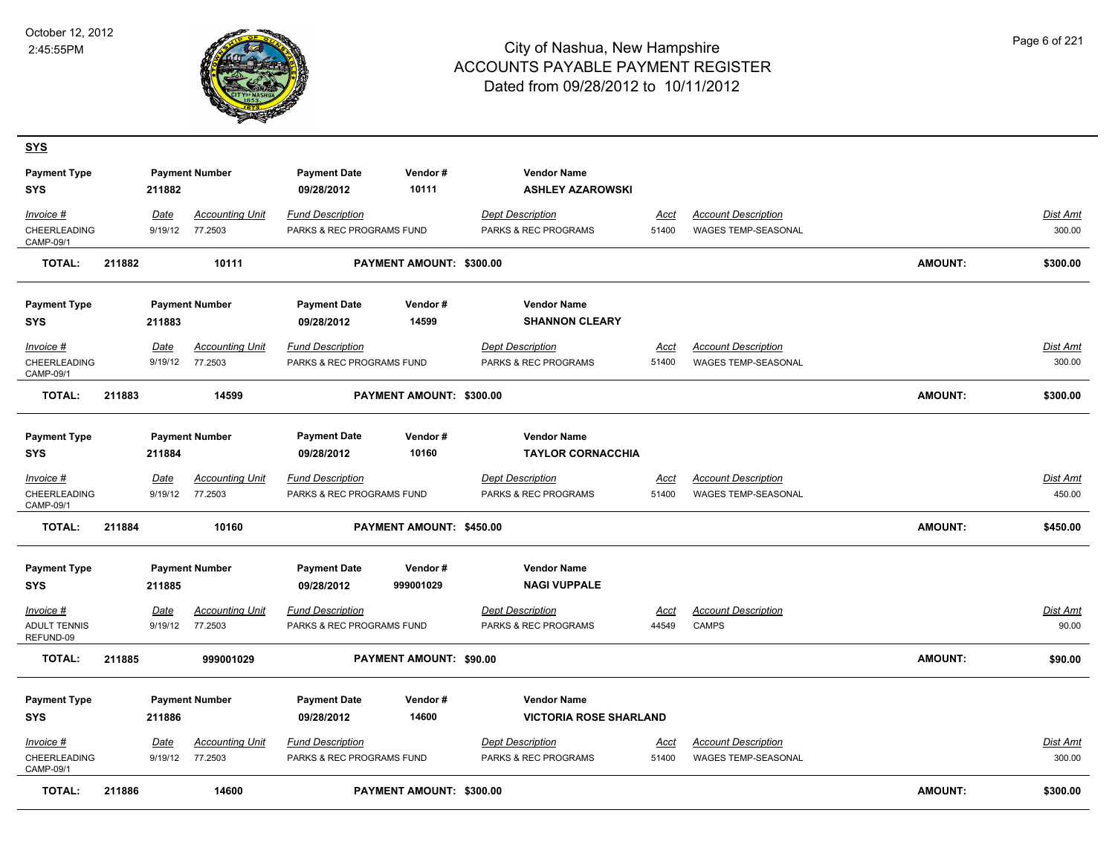**SYS**



| <b>Payment Type</b>               |        |             | <b>Payment Number</b>  | <b>Payment Date</b>               | Vendor#                  | <b>Vendor Name</b>                             |             |                            |                |                 |
|-----------------------------------|--------|-------------|------------------------|-----------------------------------|--------------------------|------------------------------------------------|-------------|----------------------------|----------------|-----------------|
| <b>SYS</b>                        |        | 211882      |                        | 09/28/2012                        | 10111                    | <b>ASHLEY AZAROWSKI</b>                        |             |                            |                |                 |
| Invoice #                         |        | Date        | <b>Accounting Unit</b> | <b>Fund Description</b>           |                          | <b>Dept Description</b>                        | Acct        | <b>Account Description</b> |                | Dist Amt        |
| CHEERLEADING<br>CAMP-09/1         |        | 9/19/12     | 77.2503                | PARKS & REC PROGRAMS FUND         |                          | PARKS & REC PROGRAMS                           | 51400       | WAGES TEMP-SEASONAL        |                | 300.00          |
| <b>TOTAL:</b>                     | 211882 |             | 10111                  |                                   | PAYMENT AMOUNT: \$300.00 |                                                |             |                            | <b>AMOUNT:</b> | \$300.00        |
| <b>Payment Type</b>               |        |             | <b>Payment Number</b>  | <b>Payment Date</b>               | Vendor#                  | <b>Vendor Name</b>                             |             |                            |                |                 |
| <b>SYS</b>                        |        | 211883      |                        | 09/28/2012                        | 14599                    | <b>SHANNON CLEARY</b>                          |             |                            |                |                 |
| Invoice #                         |        | Date        | <b>Accounting Unit</b> | <b>Fund Description</b>           |                          | <b>Dept Description</b>                        | Acct        | <b>Account Description</b> |                | Dist Amt        |
| <b>CHEERLEADING</b><br>CAMP-09/1  |        | 9/19/12     | 77.2503                | PARKS & REC PROGRAMS FUND         |                          | <b>PARKS &amp; REC PROGRAMS</b>                | 51400       | <b>WAGES TEMP-SEASONAL</b> |                | 300.00          |
| <b>TOTAL:</b>                     | 211883 |             | 14599                  |                                   | PAYMENT AMOUNT: \$300.00 |                                                |             |                            | <b>AMOUNT:</b> | \$300.00        |
| <b>Payment Type</b><br>SYS        |        | 211884      | <b>Payment Number</b>  | <b>Payment Date</b><br>09/28/2012 | Vendor#<br>10160         | <b>Vendor Name</b><br><b>TAYLOR CORNACCHIA</b> |             |                            |                |                 |
| Invoice #                         |        | <b>Date</b> | <b>Accounting Unit</b> | <b>Fund Description</b>           |                          | <b>Dept Description</b>                        | <u>Acct</u> | <b>Account Description</b> |                | <u>Dist Amt</u> |
| CHEERLEADING<br>CAMP-09/1         |        | 9/19/12     | 77.2503                | PARKS & REC PROGRAMS FUND         |                          | PARKS & REC PROGRAMS                           | 51400       | WAGES TEMP-SEASONAL        |                | 450.00          |
| TOTAL:                            | 211884 |             | 10160                  |                                   | PAYMENT AMOUNT: \$450.00 |                                                |             |                            | <b>AMOUNT:</b> | \$450.00        |
| <b>Payment Type</b><br><b>SYS</b> |        | 211885      | <b>Payment Number</b>  | <b>Payment Date</b><br>09/28/2012 | Vendor#<br>999001029     | <b>Vendor Name</b><br><b>NAGI VUPPALE</b>      |             |                            |                |                 |
| Invoice #                         |        | Date        | <b>Accounting Unit</b> | <b>Fund Description</b>           |                          | <b>Dept Description</b>                        | Acct        | <b>Account Description</b> |                | Dist Amt        |
| <b>ADULT TENNIS</b><br>REFUND-09  |        | 9/19/12     | 77.2503                | PARKS & REC PROGRAMS FUND         |                          | PARKS & REC PROGRAMS                           | 44549       | <b>CAMPS</b>               |                | 90.00           |
| <b>TOTAL:</b>                     | 211885 |             | 999001029              |                                   | PAYMENT AMOUNT: \$90.00  |                                                |             |                            | <b>AMOUNT:</b> | \$90.00         |
| <b>Payment Type</b>               |        |             | <b>Payment Number</b>  | <b>Payment Date</b>               | Vendor#                  | <b>Vendor Name</b>                             |             |                            |                |                 |
| <b>SYS</b>                        |        | 211886      |                        | 09/28/2012                        | 14600                    | <b>VICTORIA ROSE SHARLAND</b>                  |             |                            |                |                 |
| Invoice #                         |        | Date        | <b>Accounting Unit</b> | <b>Fund Description</b>           |                          | <b>Dept Description</b>                        | Acct        | <b>Account Description</b> |                | Dist Amt        |
| CHEERLEADING<br>CAMP-09/1         |        | 9/19/12     | 77.2503                | PARKS & REC PROGRAMS FUND         |                          | PARKS & REC PROGRAMS                           | 51400       | WAGES TEMP-SEASONAL        |                | 300.00          |
| <b>TOTAL:</b>                     | 211886 |             | 14600                  |                                   | PAYMENT AMOUNT: \$300.00 |                                                |             |                            | <b>AMOUNT:</b> | \$300.00        |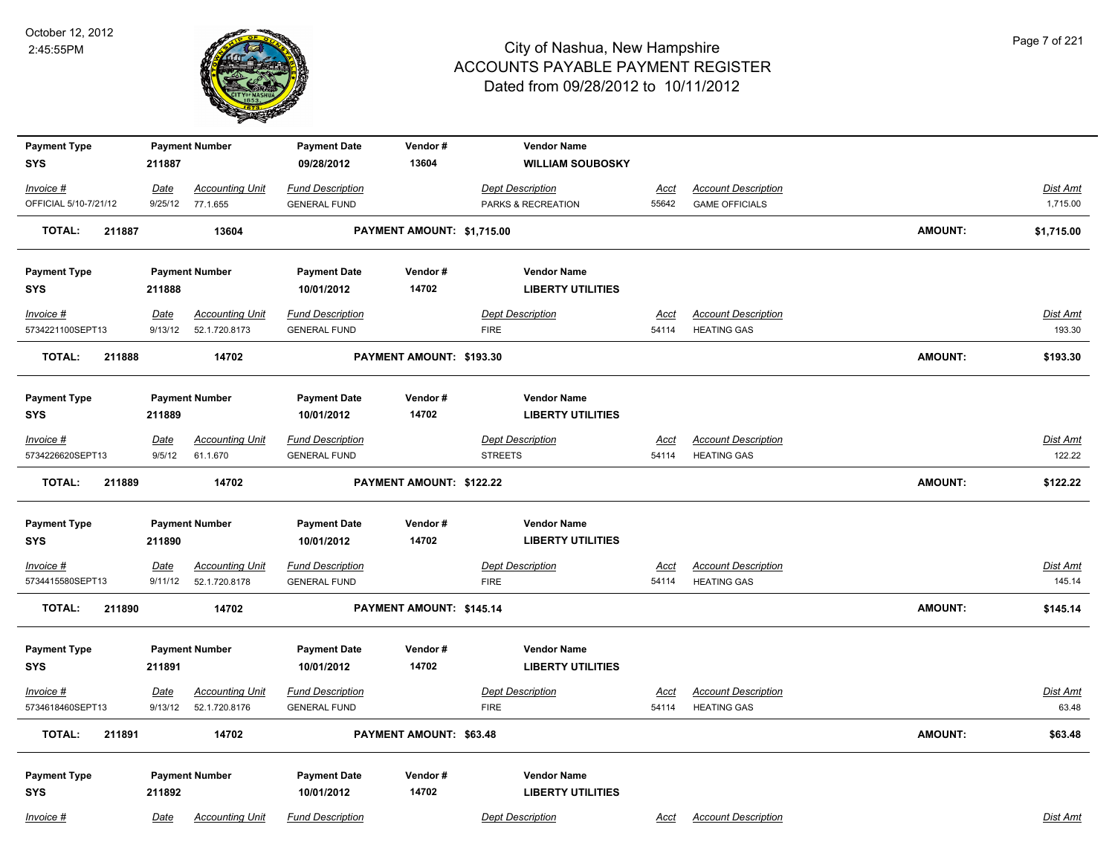

| <b>Payment Type</b>     |             | <b>Payment Number</b>  | <b>Payment Date</b>     | Vendor#                    | <b>Vendor Name</b>       |             |                            |                |                 |
|-------------------------|-------------|------------------------|-------------------------|----------------------------|--------------------------|-------------|----------------------------|----------------|-----------------|
| <b>SYS</b>              | 211887      |                        | 09/28/2012              | 13604                      | <b>WILLIAM SOUBOSKY</b>  |             |                            |                |                 |
| Invoice #               | Date        | <b>Accounting Unit</b> | <b>Fund Description</b> |                            | <b>Dept Description</b>  | <u>Acct</u> | <b>Account Description</b> |                | Dist Amt        |
| OFFICIAL 5/10-7/21/12   | 9/25/12     | 77.1.655               | <b>GENERAL FUND</b>     |                            | PARKS & RECREATION       | 55642       | <b>GAME OFFICIALS</b>      |                | 1,715.00        |
| <b>TOTAL:</b><br>211887 |             | 13604                  |                         | PAYMENT AMOUNT: \$1,715.00 |                          |             |                            | <b>AMOUNT:</b> | \$1,715.00      |
| <b>Payment Type</b>     |             | <b>Payment Number</b>  | <b>Payment Date</b>     | Vendor#                    | <b>Vendor Name</b>       |             |                            |                |                 |
| <b>SYS</b>              | 211888      |                        | 10/01/2012              | 14702                      | <b>LIBERTY UTILITIES</b> |             |                            |                |                 |
| Invoice #               | <u>Date</u> | <b>Accounting Unit</b> | <b>Fund Description</b> |                            | <b>Dept Description</b>  | Acct        | <b>Account Description</b> |                | <b>Dist Amt</b> |
| 5734221100SEPT13        | 9/13/12     | 52.1.720.8173          | <b>GENERAL FUND</b>     |                            | <b>FIRE</b>              | 54114       | <b>HEATING GAS</b>         |                | 193.30          |
| <b>TOTAL:</b><br>211888 |             | 14702                  |                         | PAYMENT AMOUNT: \$193.30   |                          |             |                            | <b>AMOUNT:</b> | \$193.30        |
| <b>Payment Type</b>     |             | <b>Payment Number</b>  | <b>Payment Date</b>     | Vendor#                    | <b>Vendor Name</b>       |             |                            |                |                 |
| <b>SYS</b>              | 211889      |                        | 10/01/2012              | 14702                      | <b>LIBERTY UTILITIES</b> |             |                            |                |                 |
| Invoice #               | Date        | <b>Accounting Unit</b> | <b>Fund Description</b> |                            | <b>Dept Description</b>  | Acct        | <b>Account Description</b> |                | <b>Dist Amt</b> |
| 5734226620SEPT13        | 9/5/12      | 61.1.670               | <b>GENERAL FUND</b>     |                            | <b>STREETS</b>           | 54114       | <b>HEATING GAS</b>         |                | 122.22          |
| <b>TOTAL:</b><br>211889 |             | 14702                  |                         | PAYMENT AMOUNT: \$122.22   |                          |             |                            | <b>AMOUNT:</b> | \$122.22        |
| <b>Payment Type</b>     |             | <b>Payment Number</b>  | <b>Payment Date</b>     | Vendor#                    | <b>Vendor Name</b>       |             |                            |                |                 |
| <b>SYS</b>              | 211890      |                        | 10/01/2012              | 14702                      | <b>LIBERTY UTILITIES</b> |             |                            |                |                 |
| $Invoice$ #             | <u>Date</u> | <b>Accounting Unit</b> | <b>Fund Description</b> |                            | <b>Dept Description</b>  | <u>Acct</u> | <b>Account Description</b> |                | <b>Dist Amt</b> |
| 5734415580SEPT13        | 9/11/12     | 52.1.720.8178          | <b>GENERAL FUND</b>     |                            | <b>FIRE</b>              | 54114       | <b>HEATING GAS</b>         |                | 145.14          |
| <b>TOTAL:</b><br>211890 |             | 14702                  |                         | PAYMENT AMOUNT: \$145.14   |                          |             |                            | <b>AMOUNT:</b> | \$145.14        |
| <b>Payment Type</b>     |             | <b>Payment Number</b>  | <b>Payment Date</b>     | Vendor#                    | <b>Vendor Name</b>       |             |                            |                |                 |
| <b>SYS</b>              | 211891      |                        | 10/01/2012              | 14702                      | <b>LIBERTY UTILITIES</b> |             |                            |                |                 |
| Invoice #               | <u>Date</u> | <b>Accounting Unit</b> | <b>Fund Description</b> |                            | <b>Dept Description</b>  | <u>Acct</u> | <b>Account Description</b> |                | Dist Amt        |
| 5734618460SEPT13        | 9/13/12     | 52.1.720.8176          | <b>GENERAL FUND</b>     |                            | <b>FIRE</b>              | 54114       | <b>HEATING GAS</b>         |                | 63.48           |
| <b>TOTAL:</b><br>211891 |             | 14702                  |                         | PAYMENT AMOUNT: \$63.48    |                          |             |                            | <b>AMOUNT:</b> | \$63.48         |
| <b>Payment Type</b>     |             | <b>Payment Number</b>  | <b>Payment Date</b>     | Vendor#                    | <b>Vendor Name</b>       |             |                            |                |                 |
| <b>SYS</b>              | 211892      |                        | 10/01/2012              | 14702                      | <b>LIBERTY UTILITIES</b> |             |                            |                |                 |
| Invoice #               | Date        | <b>Accounting Unit</b> | <b>Fund Description</b> |                            | <b>Dept Description</b>  | Acct        | <b>Account Description</b> |                | Dist Amt        |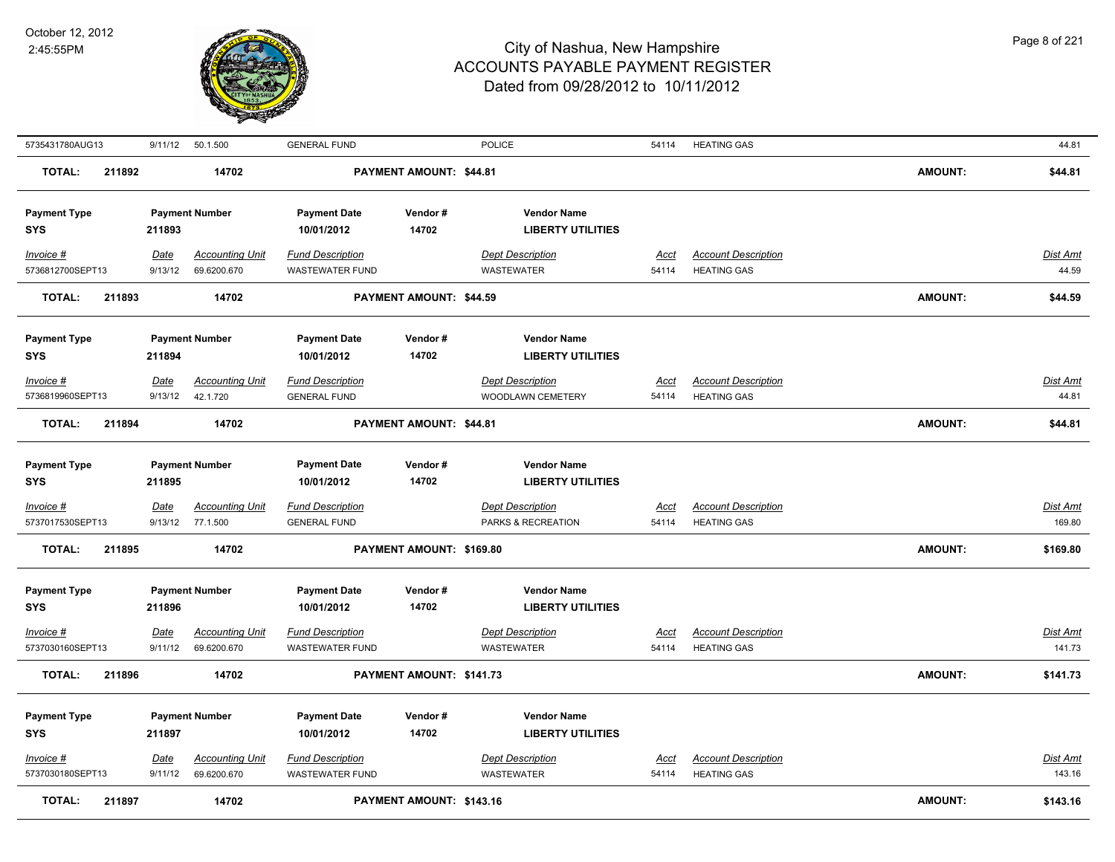

| 5735431780AUG13         | 9/11/12     | 50.1.500               | <b>GENERAL FUND</b>     |                          | <b>POLICE</b>            | 54114       | <b>HEATING GAS</b>         |                | 44.81           |
|-------------------------|-------------|------------------------|-------------------------|--------------------------|--------------------------|-------------|----------------------------|----------------|-----------------|
| <b>TOTAL:</b><br>211892 |             | 14702                  |                         | PAYMENT AMOUNT: \$44.81  |                          |             |                            | <b>AMOUNT:</b> | \$44.81         |
| <b>Payment Type</b>     |             | <b>Payment Number</b>  | <b>Payment Date</b>     | Vendor#                  | <b>Vendor Name</b>       |             |                            |                |                 |
| SYS                     | 211893      |                        | 10/01/2012              | 14702                    | <b>LIBERTY UTILITIES</b> |             |                            |                |                 |
| Invoice #               | Date        | <b>Accounting Unit</b> | <b>Fund Description</b> |                          | <b>Dept Description</b>  | Acct        | <b>Account Description</b> |                | <b>Dist Amt</b> |
| 5736812700SEPT13        | 9/13/12     | 69.6200.670            | <b>WASTEWATER FUND</b>  |                          | WASTEWATER               | 54114       | <b>HEATING GAS</b>         |                | 44.59           |
| <b>TOTAL:</b><br>211893 |             | 14702                  |                         | PAYMENT AMOUNT: \$44.59  |                          |             |                            | <b>AMOUNT:</b> | \$44.59         |
| <b>Payment Type</b>     |             | <b>Payment Number</b>  | <b>Payment Date</b>     | Vendor#                  | <b>Vendor Name</b>       |             |                            |                |                 |
| SYS                     | 211894      |                        | 10/01/2012              | 14702                    | <b>LIBERTY UTILITIES</b> |             |                            |                |                 |
| Invoice #               | <b>Date</b> | <b>Accounting Unit</b> | <b>Fund Description</b> |                          | Dept Description         | Acct        | <b>Account Description</b> |                | Dist Amt        |
| 5736819960SEPT13        | 9/13/12     | 42.1.720               | <b>GENERAL FUND</b>     |                          | WOODLAWN CEMETERY        | 54114       | <b>HEATING GAS</b>         |                | 44.81           |
| <b>TOTAL:</b><br>211894 |             | 14702                  |                         | PAYMENT AMOUNT: \$44.81  |                          |             |                            | <b>AMOUNT:</b> | \$44.81         |
| <b>Payment Type</b>     |             | <b>Payment Number</b>  | <b>Payment Date</b>     | Vendor#                  | <b>Vendor Name</b>       |             |                            |                |                 |
| <b>SYS</b>              | 211895      |                        | 10/01/2012              | 14702                    | <b>LIBERTY UTILITIES</b> |             |                            |                |                 |
| Invoice #               | <u>Date</u> | <u>Accounting Unit</u> | <b>Fund Description</b> |                          | <b>Dept Description</b>  | <u>Acct</u> | <b>Account Description</b> |                | <b>Dist Amt</b> |
| 5737017530SEPT13        | 9/13/12     | 77.1.500               | <b>GENERAL FUND</b>     |                          | PARKS & RECREATION       | 54114       | <b>HEATING GAS</b>         |                | 169.80          |
| <b>TOTAL:</b><br>211895 |             | 14702                  |                         | PAYMENT AMOUNT: \$169.80 |                          |             |                            | <b>AMOUNT:</b> | \$169.80        |
| <b>Payment Type</b>     |             | <b>Payment Number</b>  | <b>Payment Date</b>     | Vendor#                  | <b>Vendor Name</b>       |             |                            |                |                 |
| <b>SYS</b>              | 211896      |                        | 10/01/2012              | 14702                    | <b>LIBERTY UTILITIES</b> |             |                            |                |                 |
| Invoice #               | Date        | <b>Accounting Unit</b> | <b>Fund Description</b> |                          | <b>Dept Description</b>  | <b>Acct</b> | <b>Account Description</b> |                | <b>Dist Amt</b> |
| 5737030160SEPT13        | 9/11/12     | 69.6200.670            | <b>WASTEWATER FUND</b>  |                          | <b>WASTEWATER</b>        | 54114       | <b>HEATING GAS</b>         |                | 141.73          |
| <b>TOTAL:</b><br>211896 |             | 14702                  |                         | PAYMENT AMOUNT: \$141.73 |                          |             |                            | <b>AMOUNT:</b> | \$141.73        |
| <b>Payment Type</b>     |             | <b>Payment Number</b>  | <b>Payment Date</b>     | Vendor#                  | <b>Vendor Name</b>       |             |                            |                |                 |
| <b>SYS</b>              | 211897      |                        | 10/01/2012              | 14702                    | <b>LIBERTY UTILITIES</b> |             |                            |                |                 |
| Invoice #               | <b>Date</b> | <b>Accounting Unit</b> | <b>Fund Description</b> |                          | <b>Dept Description</b>  | Acct        | <b>Account Description</b> |                | <b>Dist Amt</b> |
| 5737030180SEPT13        | 9/11/12     | 69.6200.670            | <b>WASTEWATER FUND</b>  |                          | <b>WASTEWATER</b>        | 54114       | <b>HEATING GAS</b>         |                | 143.16          |
| <b>TOTAL:</b><br>211897 |             | 14702                  |                         | PAYMENT AMOUNT: \$143.16 |                          |             |                            | <b>AMOUNT:</b> | \$143.16        |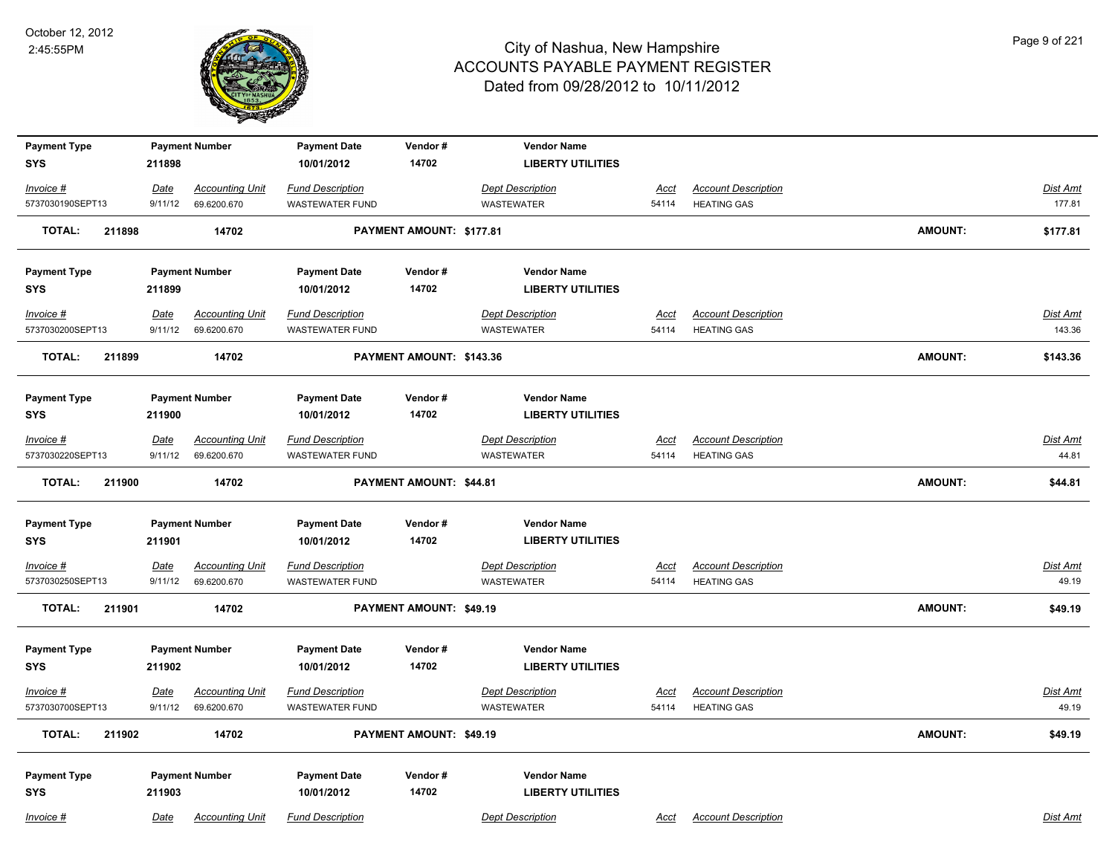

| <b>Payment Type</b>     |             | <b>Payment Number</b>  | <b>Payment Date</b>     | Vendor#                  | <b>Vendor Name</b>       |             |                            |                |                   |
|-------------------------|-------------|------------------------|-------------------------|--------------------------|--------------------------|-------------|----------------------------|----------------|-------------------|
| <b>SYS</b>              | 211898      |                        | 10/01/2012              | 14702                    | <b>LIBERTY UTILITIES</b> |             |                            |                |                   |
| Invoice #               | Date        | <b>Accounting Unit</b> | <b>Fund Description</b> |                          | <b>Dept Description</b>  | Acct        | <b>Account Description</b> |                | <b>Dist Amt</b>   |
| 5737030190SEPT13        | 9/11/12     | 69.6200.670            | <b>WASTEWATER FUND</b>  |                          | <b>WASTEWATER</b>        | 54114       | <b>HEATING GAS</b>         |                | 177.81            |
| <b>TOTAL:</b><br>211898 |             | 14702                  |                         | PAYMENT AMOUNT: \$177.81 |                          |             |                            | <b>AMOUNT:</b> | \$177.81          |
| <b>Payment Type</b>     |             | <b>Payment Number</b>  | <b>Payment Date</b>     | Vendor#                  | <b>Vendor Name</b>       |             |                            |                |                   |
| <b>SYS</b>              | 211899      |                        | 10/01/2012              | 14702                    | <b>LIBERTY UTILITIES</b> |             |                            |                |                   |
| Invoice #               | <u>Date</u> | <b>Accounting Unit</b> | <b>Fund Description</b> |                          | <b>Dept Description</b>  | <u>Acct</u> | <b>Account Description</b> |                | <b>Dist Amt</b>   |
| 5737030200SEPT13        | 9/11/12     | 69.6200.670            | <b>WASTEWATER FUND</b>  |                          | <b>WASTEWATER</b>        | 54114       | <b>HEATING GAS</b>         |                | 143.36            |
| TOTAL:<br>211899        |             | 14702                  |                         | PAYMENT AMOUNT: \$143.36 |                          |             |                            | <b>AMOUNT:</b> | \$143.36          |
| <b>Payment Type</b>     |             | <b>Payment Number</b>  | <b>Payment Date</b>     | Vendor#                  | <b>Vendor Name</b>       |             |                            |                |                   |
| <b>SYS</b>              | 211900      |                        | 10/01/2012              | 14702                    | <b>LIBERTY UTILITIES</b> |             |                            |                |                   |
| Invoice #               | Date        | <b>Accounting Unit</b> | <b>Fund Description</b> |                          | <b>Dept Description</b>  | Acct        | <b>Account Description</b> |                | <b>Dist Amt</b>   |
| 5737030220SEPT13        | 9/11/12     | 69.6200.670            | <b>WASTEWATER FUND</b>  |                          | WASTEWATER               | 54114       | <b>HEATING GAS</b>         |                | 44.81             |
| <b>TOTAL:</b><br>211900 |             | 14702                  |                         | PAYMENT AMOUNT: \$44.81  |                          |             |                            | <b>AMOUNT:</b> | \$44.81           |
| <b>Payment Type</b>     |             | <b>Payment Number</b>  | <b>Payment Date</b>     | Vendor#                  | <b>Vendor Name</b>       |             |                            |                |                   |
| <b>SYS</b>              | 211901      |                        | 10/01/2012              | 14702                    | <b>LIBERTY UTILITIES</b> |             |                            |                |                   |
| <u>Invoice #</u>        | <u>Date</u> | <b>Accounting Unit</b> | <b>Fund Description</b> |                          | <b>Dept Description</b>  | <u>Acct</u> | <b>Account Description</b> |                | <b>Dist Amt</b>   |
| 5737030250SEPT13        | 9/11/12     | 69.6200.670            | <b>WASTEWATER FUND</b>  |                          | <b>WASTEWATER</b>        | 54114       | <b>HEATING GAS</b>         |                | 49.19             |
| <b>TOTAL:</b><br>211901 |             | 14702                  |                         | PAYMENT AMOUNT: \$49.19  |                          |             |                            | <b>AMOUNT:</b> | \$49.19           |
| <b>Payment Type</b>     |             | <b>Payment Number</b>  | <b>Payment Date</b>     | Vendor#                  | <b>Vendor Name</b>       |             |                            |                |                   |
| <b>SYS</b>              | 211902      |                        | 10/01/2012              | 14702                    | <b>LIBERTY UTILITIES</b> |             |                            |                |                   |
| Invoice #               | <u>Date</u> | <b>Accounting Unit</b> | <b>Fund Description</b> |                          | <b>Dept Description</b>  | <u>Acct</u> | <b>Account Description</b> |                | Dist Amt<br>49.19 |
| 5737030700SEPT13        | 9/11/12     | 69.6200.670            | <b>WASTEWATER FUND</b>  |                          | WASTEWATER               | 54114       | <b>HEATING GAS</b>         |                |                   |
| <b>TOTAL:</b><br>211902 |             | 14702                  |                         | PAYMENT AMOUNT: \$49.19  |                          |             |                            | <b>AMOUNT:</b> | \$49.19           |
| <b>Payment Type</b>     |             | <b>Payment Number</b>  | <b>Payment Date</b>     | Vendor#                  | <b>Vendor Name</b>       |             |                            |                |                   |
| <b>SYS</b>              | 211903      |                        | 10/01/2012              | 14702                    | <b>LIBERTY UTILITIES</b> |             |                            |                |                   |
| Invoice #               | Date        | <b>Accounting Unit</b> | <b>Fund Description</b> |                          | <b>Dept Description</b>  | Acct        | <b>Account Description</b> |                | Dist Amt          |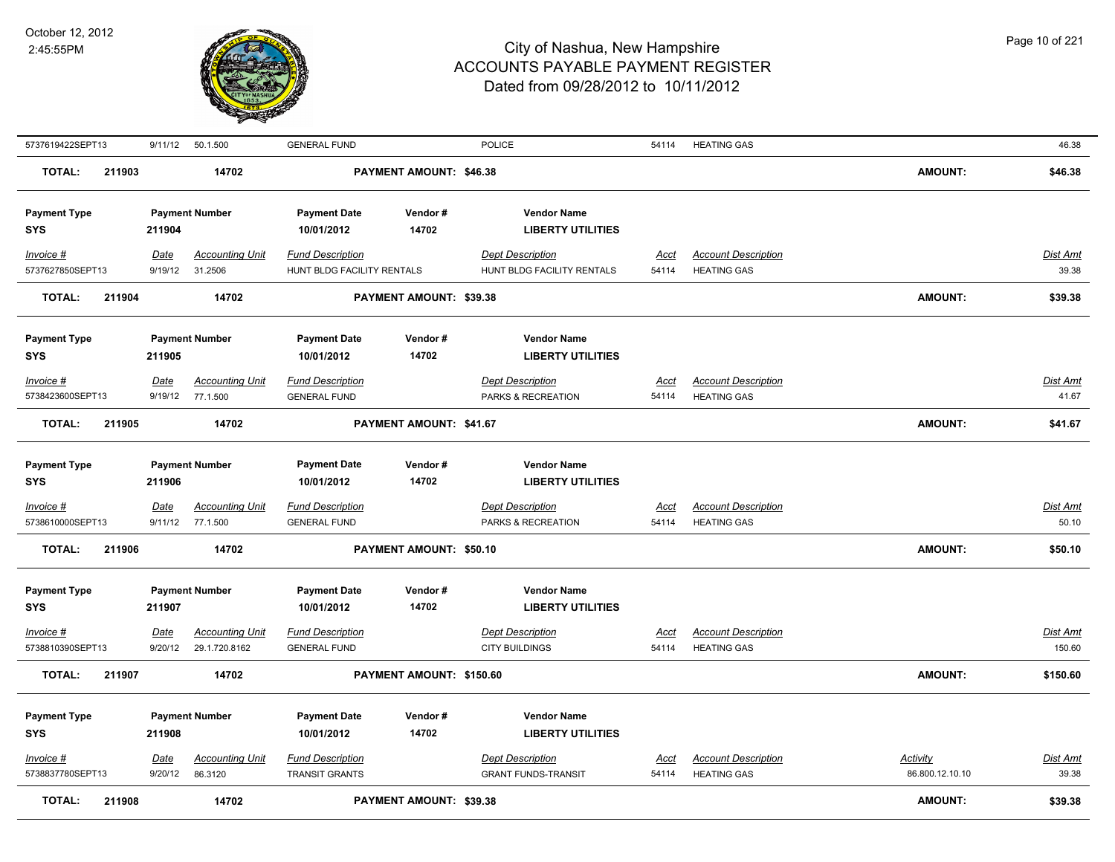

| 5737619422SEPT13                               | 9/11/12                | 50.1.500                                        | <b>GENERAL FUND</b>                                          |                                | <b>POLICE</b>                                                             | 54114         | <b>HEATING GAS</b>                               |                             | 46.38              |
|------------------------------------------------|------------------------|-------------------------------------------------|--------------------------------------------------------------|--------------------------------|---------------------------------------------------------------------------|---------------|--------------------------------------------------|-----------------------------|--------------------|
| <b>TOTAL:</b><br>211903                        |                        | 14702                                           |                                                              | PAYMENT AMOUNT: \$46.38        |                                                                           |               |                                                  | <b>AMOUNT:</b>              | \$46.38            |
| <b>Payment Type</b><br>SYS                     | 211904                 | <b>Payment Number</b>                           | <b>Payment Date</b><br>10/01/2012                            | Vendor#<br>14702               | <b>Vendor Name</b><br><b>LIBERTY UTILITIES</b>                            |               |                                                  |                             |                    |
| Invoice #<br>5737627850SEPT13                  | <u>Date</u><br>9/19/12 | <b>Accounting Unit</b><br>31.2506               | <b>Fund Description</b><br>HUNT BLDG FACILITY RENTALS        |                                | <b>Dept Description</b><br>HUNT BLDG FACILITY RENTALS                     | Acct<br>54114 | <b>Account Description</b><br><b>HEATING GAS</b> |                             | Dist Amt<br>39.38  |
| <b>TOTAL:</b><br>211904                        |                        | 14702                                           |                                                              | PAYMENT AMOUNT: \$39.38        |                                                                           |               |                                                  | <b>AMOUNT:</b>              | \$39.38            |
| <b>Payment Type</b><br>SYS<br>Invoice #        | 211905<br><u>Date</u>  | <b>Payment Number</b><br><b>Accounting Unit</b> | <b>Payment Date</b><br>10/01/2012<br><b>Fund Description</b> | Vendor#<br>14702               | <b>Vendor Name</b><br><b>LIBERTY UTILITIES</b><br><b>Dept Description</b> | <u>Acct</u>   | <b>Account Description</b>                       |                             | Dist Amt           |
| 5738423600SEPT13                               | 9/19/12                | 77.1.500                                        | <b>GENERAL FUND</b>                                          |                                | PARKS & RECREATION                                                        | 54114         | <b>HEATING GAS</b>                               |                             | 41.67              |
| <b>TOTAL:</b><br>211905                        |                        | 14702                                           |                                                              | PAYMENT AMOUNT: \$41.67        |                                                                           |               |                                                  | <b>AMOUNT:</b>              | \$41.67            |
| <b>Payment Type</b><br>SYS<br>Invoice #        | 211906<br><b>Date</b>  | <b>Payment Number</b><br><b>Accounting Unit</b> | <b>Payment Date</b><br>10/01/2012<br><b>Fund Description</b> | Vendor#<br>14702               | <b>Vendor Name</b><br><b>LIBERTY UTILITIES</b><br><b>Dept Description</b> | <u>Acct</u>   | <b>Account Description</b>                       |                             | <u>Dist Amt</u>    |
| 5738610000SEPT13                               | 9/11/12                | 77.1.500                                        | <b>GENERAL FUND</b>                                          |                                | PARKS & RECREATION                                                        | 54114         | <b>HEATING GAS</b>                               |                             | 50.10              |
| <b>TOTAL:</b><br>211906                        |                        | 14702                                           |                                                              | PAYMENT AMOUNT: \$50.10        |                                                                           |               |                                                  | <b>AMOUNT:</b>              | \$50.10            |
| <b>Payment Type</b><br><b>SYS</b><br>Invoice # | 211907<br>Date         | <b>Payment Number</b><br><b>Accounting Unit</b> | <b>Payment Date</b><br>10/01/2012<br><b>Fund Description</b> | Vendor#<br>14702               | <b>Vendor Name</b><br><b>LIBERTY UTILITIES</b><br><b>Dept Description</b> | Acct          | <b>Account Description</b>                       |                             | Dist Amt           |
| 5738810390SEPT13<br><b>TOTAL:</b><br>211907    | 9/20/12                | 29.1.720.8162<br>14702                          | <b>GENERAL FUND</b>                                          | PAYMENT AMOUNT: \$150.60       | <b>CITY BUILDINGS</b>                                                     | 54114         | <b>HEATING GAS</b>                               | <b>AMOUNT:</b>              | 150.60<br>\$150.60 |
| <b>Payment Type</b><br>SYS                     | 211908                 | <b>Payment Number</b>                           | <b>Payment Date</b><br>10/01/2012                            | Vendor#<br>14702               | <b>Vendor Name</b><br><b>LIBERTY UTILITIES</b>                            |               |                                                  |                             |                    |
| Invoice #<br>5738837780SEPT13                  | Date<br>9/20/12        | <b>Accounting Unit</b><br>86.3120               | <b>Fund Description</b><br><b>TRANSIT GRANTS</b>             |                                | <b>Dept Description</b><br><b>GRANT FUNDS-TRANSIT</b>                     | Acct<br>54114 | <b>Account Description</b><br><b>HEATING GAS</b> | Activity<br>86.800.12.10.10 | Dist Amt<br>39.38  |
| <b>TOTAL:</b><br>211908                        |                        | 14702                                           |                                                              | <b>PAYMENT AMOUNT: \$39.38</b> |                                                                           |               |                                                  | <b>AMOUNT:</b>              | \$39.38            |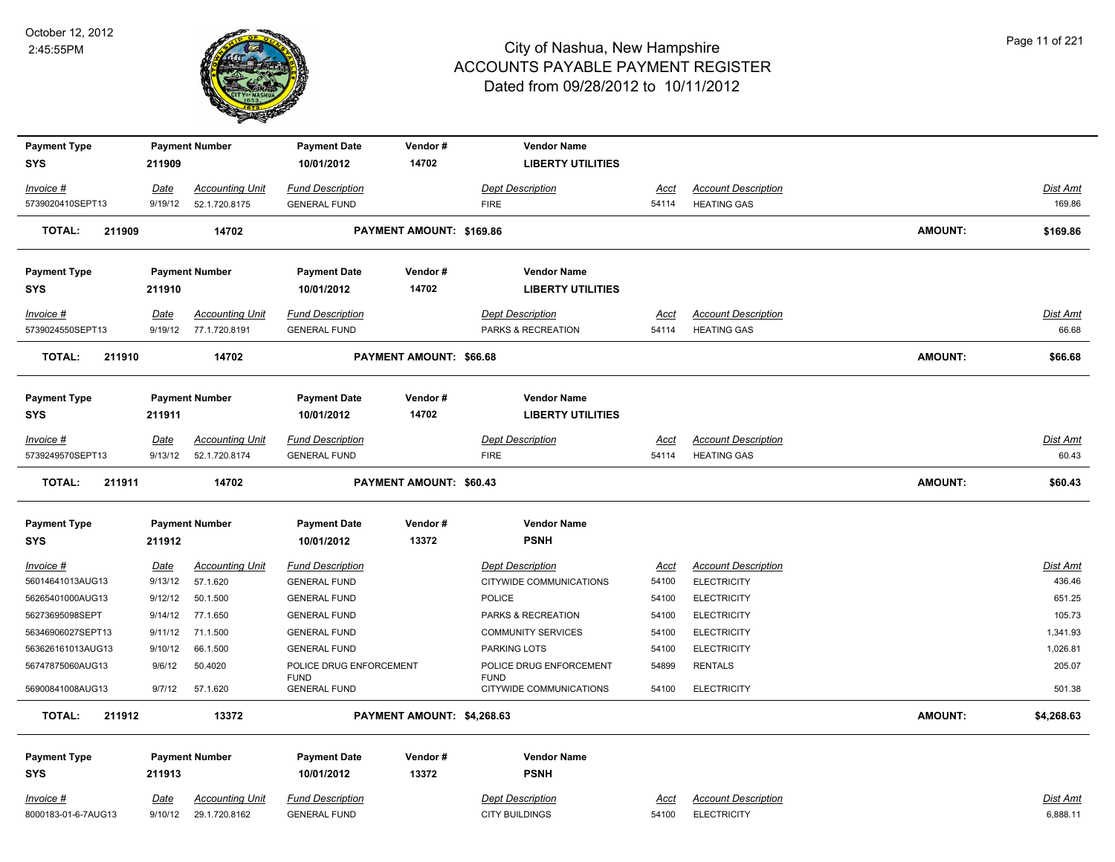

| <b>Payment Type</b>     |             | <b>Payment Number</b>  | <b>Payment Date</b>                | Vendor#                        | <b>Vendor Name</b>                     |             |                            |                |                 |
|-------------------------|-------------|------------------------|------------------------------------|--------------------------------|----------------------------------------|-------------|----------------------------|----------------|-----------------|
| <b>SYS</b>              | 211909      |                        | 10/01/2012                         | 14702                          | <b>LIBERTY UTILITIES</b>               |             |                            |                |                 |
| Invoice #               | Date        | <b>Accounting Unit</b> | <b>Fund Description</b>            |                                | <b>Dept Description</b>                | Acct        | <b>Account Description</b> |                | <b>Dist Amt</b> |
| 5739020410SEPT13        | 9/19/12     | 52.1.720.8175          | <b>GENERAL FUND</b>                |                                | <b>FIRE</b>                            | 54114       | <b>HEATING GAS</b>         |                | 169.86          |
| <b>TOTAL:</b><br>211909 |             | 14702                  |                                    | PAYMENT AMOUNT: \$169.86       |                                        |             |                            | <b>AMOUNT:</b> | \$169.86        |
| <b>Payment Type</b>     |             | <b>Payment Number</b>  | <b>Payment Date</b>                | Vendor#                        | <b>Vendor Name</b>                     |             |                            |                |                 |
| <b>SYS</b>              | 211910      |                        | 10/01/2012                         | 14702                          | <b>LIBERTY UTILITIES</b>               |             |                            |                |                 |
| Invoice #               | Date        | <b>Accounting Unit</b> | <b>Fund Description</b>            |                                | <b>Dept Description</b>                | Acct        | <b>Account Description</b> |                | Dist Amt        |
| 5739024550SEPT13        | 9/19/12     | 77.1.720.8191          | <b>GENERAL FUND</b>                |                                | PARKS & RECREATION                     | 54114       | <b>HEATING GAS</b>         |                | 66.68           |
| <b>TOTAL:</b><br>211910 |             | 14702                  |                                    | <b>PAYMENT AMOUNT: \$66.68</b> |                                        |             |                            | <b>AMOUNT:</b> | \$66.68         |
| <b>Payment Type</b>     |             | <b>Payment Number</b>  | <b>Payment Date</b>                | Vendor#                        | <b>Vendor Name</b>                     |             |                            |                |                 |
| <b>SYS</b>              | 211911      |                        | 10/01/2012                         | 14702                          | <b>LIBERTY UTILITIES</b>               |             |                            |                |                 |
| Invoice #               | Date        | <b>Accounting Unit</b> | <b>Fund Description</b>            |                                | <b>Dept Description</b>                | <u>Acct</u> | <b>Account Description</b> |                | <b>Dist Amt</b> |
| 5739249570SEPT13        | 9/13/12     | 52.1.720.8174          | <b>GENERAL FUND</b>                |                                | <b>FIRE</b>                            | 54114       | <b>HEATING GAS</b>         |                | 60.43           |
| TOTAL:<br>211911        |             | 14702                  |                                    | <b>PAYMENT AMOUNT: \$60.43</b> |                                        |             |                            | <b>AMOUNT:</b> | \$60.43         |
| <b>Payment Type</b>     |             | <b>Payment Number</b>  | <b>Payment Date</b>                | Vendor#                        | <b>Vendor Name</b>                     |             |                            |                |                 |
| <b>SYS</b>              | 211912      |                        | 10/01/2012                         | 13372                          | <b>PSNH</b>                            |             |                            |                |                 |
| Invoice #               | Date        | <b>Accounting Unit</b> | <b>Fund Description</b>            |                                | <b>Dept Description</b>                | <u>Acct</u> | <b>Account Description</b> |                | <b>Dist Amt</b> |
| 56014641013AUG13        | 9/13/12     | 57.1.620               | <b>GENERAL FUND</b>                |                                | CITYWIDE COMMUNICATIONS                | 54100       | <b>ELECTRICITY</b>         |                | 436.46          |
| 56265401000AUG13        | 9/12/12     | 50.1.500               | <b>GENERAL FUND</b>                |                                | <b>POLICE</b>                          | 54100       | <b>ELECTRICITY</b>         |                | 651.25          |
| 56273695098SEPT         | 9/14/12     | 77.1.650               | <b>GENERAL FUND</b>                |                                | PARKS & RECREATION                     | 54100       | <b>ELECTRICITY</b>         |                | 105.73          |
| 56346906027SEPT13       | 9/11/12     | 71.1.500               | <b>GENERAL FUND</b>                |                                | <b>COMMUNITY SERVICES</b>              | 54100       | <b>ELECTRICITY</b>         |                | 1,341.93        |
| 563626161013AUG13       | 9/10/12     | 66.1.500               | <b>GENERAL FUND</b>                |                                | PARKING LOTS                           | 54100       | <b>ELECTRICITY</b>         |                | 1,026.81        |
| 56747875060AUG13        | 9/6/12      | 50.4020                | POLICE DRUG ENFORCEMENT            |                                | POLICE DRUG ENFORCEMENT                | 54899       | <b>RENTALS</b>             |                | 205.07          |
| 56900841008AUG13        | 9/7/12      | 57.1.620               | <b>FUND</b><br><b>GENERAL FUND</b> |                                | <b>FUND</b><br>CITYWIDE COMMUNICATIONS | 54100       | <b>ELECTRICITY</b>         |                | 501.38          |
| <b>TOTAL:</b><br>211912 |             | 13372                  |                                    | PAYMENT AMOUNT: \$4,268.63     |                                        |             |                            | <b>AMOUNT:</b> | \$4,268.63      |
|                         |             |                        |                                    |                                |                                        |             |                            |                |                 |
| <b>Payment Type</b>     |             | <b>Payment Number</b>  | <b>Payment Date</b>                | Vendor#                        | <b>Vendor Name</b>                     |             |                            |                |                 |
| <b>SYS</b>              | 211913      |                        | 10/01/2012                         | 13372                          | <b>PSNH</b>                            |             |                            |                |                 |
| Invoice #               | <u>Date</u> | <b>Accounting Unit</b> | <b>Fund Description</b>            |                                | <b>Dept Description</b>                | <u>Acct</u> | <b>Account Description</b> |                | <b>Dist Amt</b> |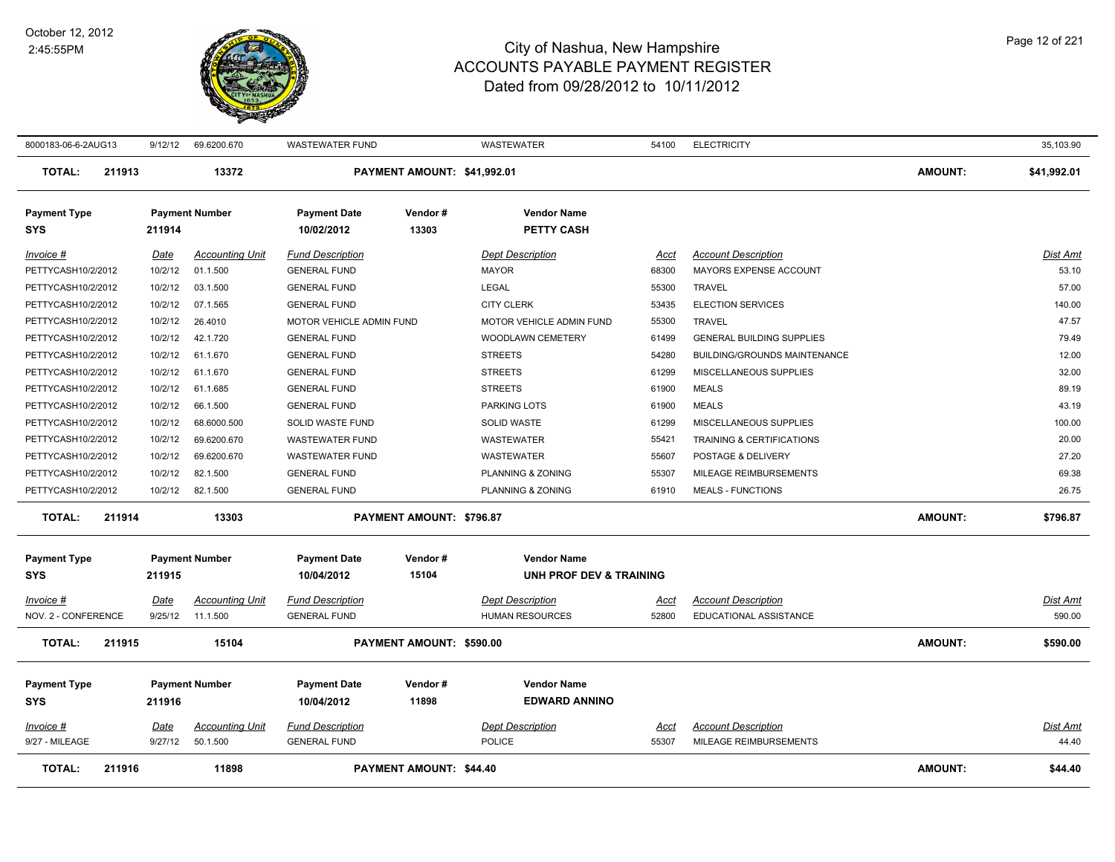

| 8000183-06-6-2AUG13               |        | 9/12/12     | 69.6200.670            | <b>WASTEWATER FUND</b>            |                             | WASTEWATER                                               | 54100       | <b>ELECTRICITY</b>                  |                | 35,103.90       |
|-----------------------------------|--------|-------------|------------------------|-----------------------------------|-----------------------------|----------------------------------------------------------|-------------|-------------------------------------|----------------|-----------------|
| <b>TOTAL:</b>                     | 211913 |             | 13372                  |                                   | PAYMENT AMOUNT: \$41,992.01 |                                                          |             |                                     | AMOUNT:        | \$41,992.01     |
| <b>Payment Type</b><br>SYS        |        | 211914      | <b>Payment Number</b>  | <b>Payment Date</b><br>10/02/2012 | Vendor#<br>13303            | <b>Vendor Name</b><br><b>PETTY CASH</b>                  |             |                                     |                |                 |
| Invoice #                         |        | Date        | <b>Accounting Unit</b> | <b>Fund Description</b>           |                             | <b>Dept Description</b>                                  | Acct        | <b>Account Description</b>          |                | Dist Amt        |
| PETTYCASH10/2/2012                |        | 10/2/12     | 01.1.500               | <b>GENERAL FUND</b>               |                             | <b>MAYOR</b>                                             | 68300       | MAYORS EXPENSE ACCOUNT              |                | 53.10           |
| PETTYCASH10/2/2012                |        | 10/2/12     | 03.1.500               | <b>GENERAL FUND</b>               |                             | <b>LEGAL</b>                                             | 55300       | <b>TRAVEL</b>                       |                | 57.00           |
| PETTYCASH10/2/2012                |        | 10/2/12     | 07.1.565               | <b>GENERAL FUND</b>               |                             | <b>CITY CLERK</b>                                        | 53435       | <b>ELECTION SERVICES</b>            |                | 140.00          |
| PETTYCASH10/2/2012                |        | 10/2/12     | 26.4010                | MOTOR VEHICLE ADMIN FUND          |                             | MOTOR VEHICLE ADMIN FUND                                 | 55300       | <b>TRAVEL</b>                       |                | 47.57           |
| PETTYCASH10/2/2012                |        | 10/2/12     | 42.1.720               | <b>GENERAL FUND</b>               |                             | WOODLAWN CEMETERY                                        | 61499       | <b>GENERAL BUILDING SUPPLIES</b>    |                | 79.49           |
| PETTYCASH10/2/2012                |        | 10/2/12     | 61.1.670               | <b>GENERAL FUND</b>               |                             | <b>STREETS</b>                                           | 54280       | <b>BUILDING/GROUNDS MAINTENANCE</b> |                | 12.00           |
| PETTYCASH10/2/2012                |        | 10/2/12     | 61.1.670               | <b>GENERAL FUND</b>               |                             | <b>STREETS</b>                                           | 61299       | MISCELLANEOUS SUPPLIES              |                | 32.00           |
| PETTYCASH10/2/2012                |        | 10/2/12     | 61.1.685               | <b>GENERAL FUND</b>               |                             | <b>STREETS</b>                                           | 61900       | <b>MEALS</b>                        |                | 89.19           |
| PETTYCASH10/2/2012                |        | 10/2/12     | 66.1.500               | <b>GENERAL FUND</b>               |                             | <b>PARKING LOTS</b>                                      | 61900       | <b>MEALS</b>                        |                | 43.19           |
| PETTYCASH10/2/2012                |        | 10/2/12     | 68.6000.500            | SOLID WASTE FUND                  |                             | <b>SOLID WASTE</b>                                       | 61299       | MISCELLANEOUS SUPPLIES              |                | 100.00          |
| PETTYCASH10/2/2012                |        | 10/2/12     | 69.6200.670            | <b>WASTEWATER FUND</b>            |                             | WASTEWATER                                               | 55421       | TRAINING & CERTIFICATIONS           |                | 20.00           |
| PETTYCASH10/2/2012                |        | 10/2/12     | 69.6200.670            | <b>WASTEWATER FUND</b>            |                             | <b>WASTEWATER</b>                                        | 55607       | POSTAGE & DELIVERY                  |                | 27.20           |
| PETTYCASH10/2/2012                |        | 10/2/12     | 82.1.500               | <b>GENERAL FUND</b>               |                             | PLANNING & ZONING                                        | 55307       | MILEAGE REIMBURSEMENTS              |                | 69.38           |
| PETTYCASH10/2/2012                |        | 10/2/12     | 82.1.500               | <b>GENERAL FUND</b>               |                             | PLANNING & ZONING                                        | 61910       | <b>MEALS - FUNCTIONS</b>            |                | 26.75           |
| <b>TOTAL:</b>                     | 211914 |             | 13303                  |                                   | PAYMENT AMOUNT: \$796.87    |                                                          |             |                                     | <b>AMOUNT:</b> | \$796.87        |
| <b>Payment Type</b><br><b>SYS</b> |        | 211915      | <b>Payment Number</b>  | <b>Payment Date</b><br>10/04/2012 | Vendor#<br>15104            | <b>Vendor Name</b><br><b>UNH PROF DEV &amp; TRAINING</b> |             |                                     |                |                 |
| Invoice #                         |        | <b>Date</b> | <b>Accounting Unit</b> | <b>Fund Description</b>           |                             | <b>Dept Description</b>                                  | Acct        | <b>Account Description</b>          |                | Dist Amt        |
| NOV. 2 - CONFERENCE               |        | 9/25/12     | 11.1.500               | <b>GENERAL FUND</b>               |                             | <b>HUMAN RESOURCES</b>                                   | 52800       | EDUCATIONAL ASSISTANCE              |                | 590.00          |
| <b>TOTAL:</b>                     | 211915 |             | 15104                  |                                   | PAYMENT AMOUNT: \$590.00    |                                                          |             |                                     | <b>AMOUNT:</b> | \$590.00        |
| <b>Payment Type</b>               |        |             | <b>Payment Number</b>  | <b>Payment Date</b>               | Vendor#                     | <b>Vendor Name</b>                                       |             |                                     |                |                 |
| <b>SYS</b>                        |        | 211916      |                        | 10/04/2012                        | 11898                       | <b>EDWARD ANNINO</b>                                     |             |                                     |                |                 |
|                                   |        |             |                        |                                   |                             |                                                          |             |                                     |                |                 |
| Invoice #                         |        | <b>Date</b> | <b>Accounting Unit</b> | <b>Fund Description</b>           |                             | <b>Dept Description</b>                                  | <u>Acct</u> | <b>Account Description</b>          |                | <b>Dist Amt</b> |
| 9/27 - MILEAGE                    |        | 9/27/12     | 50.1.500               | <b>GENERAL FUND</b>               |                             | POLICE                                                   | 55307       | MILEAGE REIMBURSEMENTS              |                | 44.40           |
| <b>TOTAL:</b>                     | 211916 |             | 11898                  |                                   | PAYMENT AMOUNT: \$44.40     |                                                          |             |                                     | <b>AMOUNT:</b> | \$44.40         |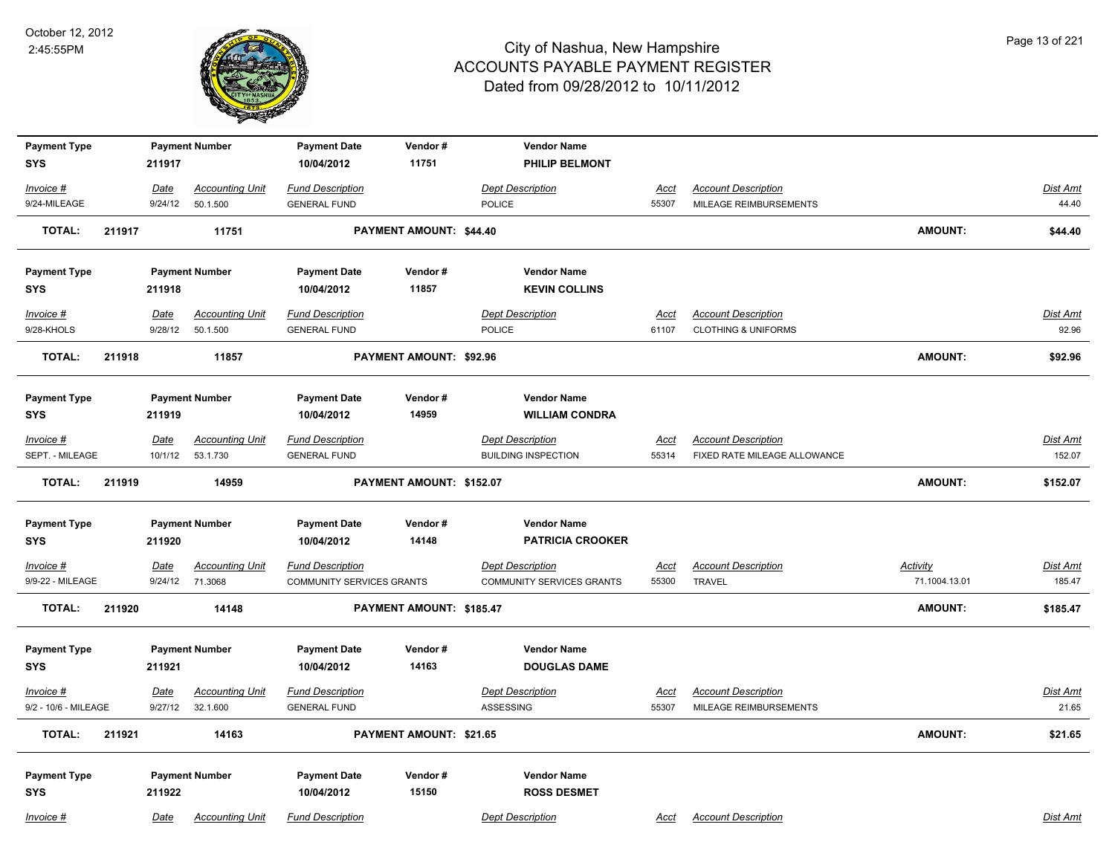

| <b>Payment Type</b><br><b>SYS</b> |        |                        | <b>Payment Number</b>              | <b>Payment Date</b><br>10/04/2012              | Vendor#<br>11751               | <b>Vendor Name</b><br><b>PHILIP BELMONT</b> |                      |                                                      |                 |                   |
|-----------------------------------|--------|------------------------|------------------------------------|------------------------------------------------|--------------------------------|---------------------------------------------|----------------------|------------------------------------------------------|-----------------|-------------------|
|                                   |        | 211917                 |                                    |                                                |                                |                                             |                      |                                                      |                 |                   |
| Invoice #                         |        | Date                   | <b>Accounting Unit</b>             | <b>Fund Description</b>                        |                                | <b>Dept Description</b>                     | Acct                 | <b>Account Description</b>                           |                 | Dist Amt          |
| 9/24-MILEAGE                      |        | 9/24/12                | 50.1.500                           | <b>GENERAL FUND</b>                            |                                | POLICE                                      | 55307                | MILEAGE REIMBURSEMENTS                               |                 | 44.40             |
| <b>TOTAL:</b>                     | 211917 |                        | 11751                              |                                                | PAYMENT AMOUNT: \$44.40        |                                             |                      |                                                      | <b>AMOUNT:</b>  | \$44.40           |
| <b>Payment Type</b>               |        |                        | <b>Payment Number</b>              | <b>Payment Date</b>                            | Vendor#                        | <b>Vendor Name</b>                          |                      |                                                      |                 |                   |
| <b>SYS</b>                        |        | 211918                 |                                    | 10/04/2012                                     | 11857                          | <b>KEVIN COLLINS</b>                        |                      |                                                      |                 |                   |
| $Invoice$ #                       |        | <u>Date</u>            | <b>Accounting Unit</b>             | <b>Fund Description</b>                        |                                | <b>Dept Description</b>                     | Acct                 | <b>Account Description</b>                           |                 | <b>Dist Amt</b>   |
| 9/28-KHOLS                        |        | 9/28/12                | 50.1.500                           | <b>GENERAL FUND</b>                            |                                | POLICE                                      | 61107                | <b>CLOTHING &amp; UNIFORMS</b>                       |                 | 92.96             |
| <b>TOTAL:</b>                     | 211918 |                        | 11857                              |                                                | PAYMENT AMOUNT: \$92.96        |                                             |                      |                                                      | <b>AMOUNT:</b>  | \$92.96           |
| <b>Payment Type</b>               |        |                        | <b>Payment Number</b>              | <b>Payment Date</b>                            | Vendor#                        | <b>Vendor Name</b>                          |                      |                                                      |                 |                   |
| <b>SYS</b>                        |        | 211919                 |                                    | 10/04/2012                                     | 14959                          | <b>WILLIAM CONDRA</b>                       |                      |                                                      |                 |                   |
| $Invoice$ #                       |        | <b>Date</b>            | <b>Accounting Unit</b>             | <b>Fund Description</b>                        |                                | <b>Dept Description</b>                     | Acct                 | <b>Account Description</b>                           |                 | Dist Amt          |
| SEPT. - MILEAGE                   |        | 10/1/12                | 53.1.730                           | <b>GENERAL FUND</b>                            |                                | <b>BUILDING INSPECTION</b>                  | 55314                | FIXED RATE MILEAGE ALLOWANCE                         |                 | 152.07            |
| <b>TOTAL:</b>                     | 211919 |                        | 14959                              |                                                | PAYMENT AMOUNT: \$152.07       |                                             |                      |                                                      | <b>AMOUNT:</b>  | \$152.07          |
| <b>Payment Type</b>               |        |                        | <b>Payment Number</b>              | <b>Payment Date</b>                            | Vendor#                        | <b>Vendor Name</b>                          |                      |                                                      |                 |                   |
| <b>SYS</b>                        |        | 211920                 |                                    | 10/04/2012                                     | 14148                          | <b>PATRICIA CROOKER</b>                     |                      |                                                      |                 |                   |
| Invoice #                         |        | <u>Date</u>            | <b>Accounting Unit</b>             | <b>Fund Description</b>                        |                                | <b>Dept Description</b>                     | <u>Acct</u>          | <b>Account Description</b>                           | <b>Activity</b> | <b>Dist Amt</b>   |
| 9/9-22 - MILEAGE                  |        | 9/24/12                | 71.3068                            | <b>COMMUNITY SERVICES GRANTS</b>               |                                | <b>COMMUNITY SERVICES GRANTS</b>            | 55300                | <b>TRAVEL</b>                                        | 71.1004.13.01   | 185.47            |
| <b>TOTAL:</b>                     | 211920 |                        | 14148                              |                                                | PAYMENT AMOUNT: \$185.47       |                                             |                      |                                                      | <b>AMOUNT:</b>  | \$185.47          |
| <b>Payment Type</b>               |        |                        | <b>Payment Number</b>              | <b>Payment Date</b>                            | Vendor#                        | <b>Vendor Name</b>                          |                      |                                                      |                 |                   |
| <b>SYS</b>                        |        | 211921                 |                                    | 10/04/2012                                     | 14163                          | <b>DOUGLAS DAME</b>                         |                      |                                                      |                 |                   |
| Invoice #<br>9/2 - 10/6 - MILEAGE |        | <u>Date</u><br>9/27/12 | <b>Accounting Unit</b><br>32.1.600 | <b>Fund Description</b><br><b>GENERAL FUND</b> |                                | <b>Dept Description</b><br>ASSESSING        | <u>Acct</u><br>55307 | <b>Account Description</b><br>MILEAGE REIMBURSEMENTS |                 | Dist Amt<br>21.65 |
|                                   |        |                        |                                    |                                                |                                |                                             |                      |                                                      |                 |                   |
| <b>TOTAL:</b>                     | 211921 |                        | 14163                              |                                                | <b>PAYMENT AMOUNT: \$21.65</b> |                                             |                      |                                                      | <b>AMOUNT:</b>  | \$21.65           |
| <b>Payment Type</b>               |        |                        | <b>Payment Number</b>              | <b>Payment Date</b>                            | Vendor#                        | <b>Vendor Name</b>                          |                      |                                                      |                 |                   |
| <b>SYS</b>                        |        | 211922                 |                                    | 10/04/2012                                     | 15150                          | <b>ROSS DESMET</b>                          |                      |                                                      |                 |                   |
| Invoice #                         |        | Date                   | <b>Accounting Unit</b>             | <b>Fund Description</b>                        |                                | <b>Dept Description</b>                     | Acct                 | <b>Account Description</b>                           |                 | Dist Amt          |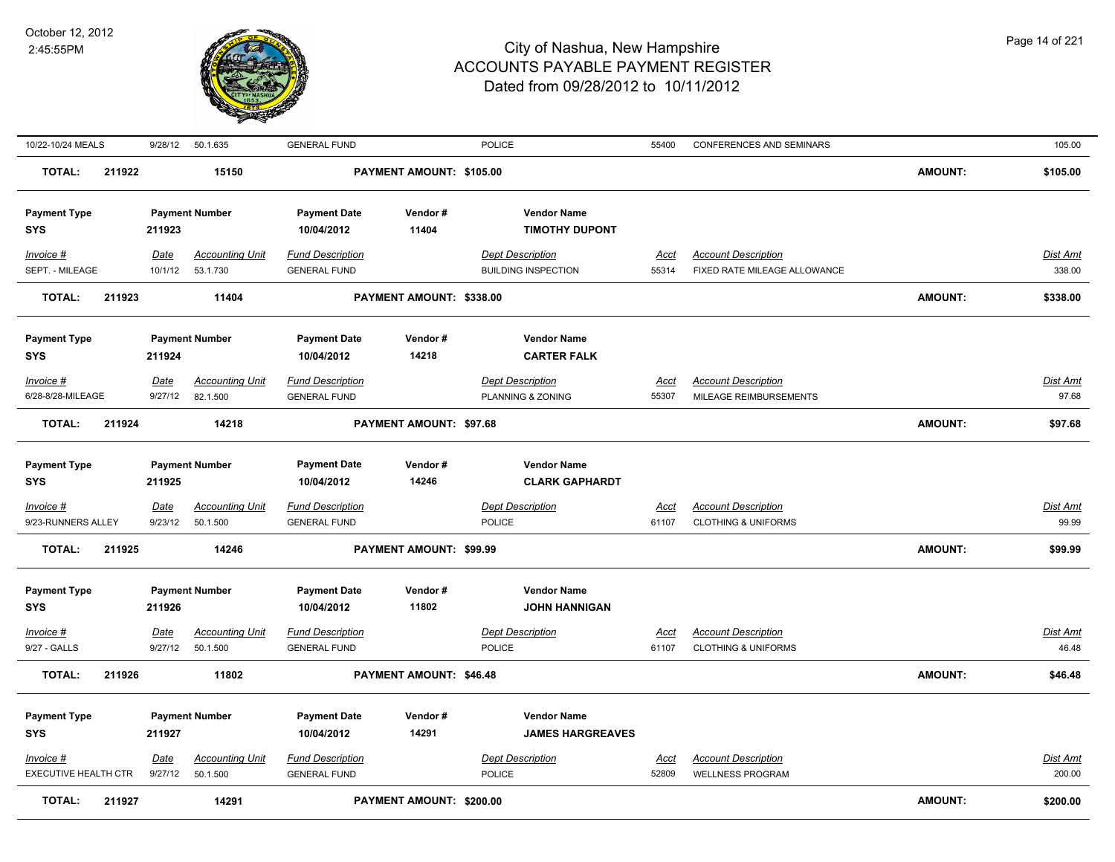

| 10/22-10/24 MEALS                 |        | 9/28/12                | 50.1.635                           | <b>GENERAL FUND</b>                            |                          | <b>POLICE</b>                                | 55400         | <b>CONFERENCES AND SEMINARS</b>                              |                | 105.00            |
|-----------------------------------|--------|------------------------|------------------------------------|------------------------------------------------|--------------------------|----------------------------------------------|---------------|--------------------------------------------------------------|----------------|-------------------|
| <b>TOTAL:</b>                     | 211922 |                        | 15150                              |                                                | PAYMENT AMOUNT: \$105.00 |                                              |               |                                                              | <b>AMOUNT:</b> | \$105.00          |
| <b>Payment Type</b>               |        |                        | <b>Payment Number</b>              | <b>Payment Date</b>                            | Vendor#                  | <b>Vendor Name</b>                           |               |                                                              |                |                   |
| <b>SYS</b>                        |        | 211923                 |                                    | 10/04/2012                                     | 11404                    | <b>TIMOTHY DUPONT</b>                        |               |                                                              |                |                   |
| Invoice #                         |        | Date                   | <b>Accounting Unit</b>             | <b>Fund Description</b>                        |                          | <b>Dept Description</b>                      | Acct          | <b>Account Description</b>                                   |                | <b>Dist Amt</b>   |
| SEPT. - MILEAGE                   |        | 10/1/12                | 53.1.730                           | <b>GENERAL FUND</b>                            |                          | <b>BUILDING INSPECTION</b>                   | 55314         | FIXED RATE MILEAGE ALLOWANCE                                 |                | 338.00            |
| <b>TOTAL:</b>                     | 211923 |                        | 11404                              |                                                | PAYMENT AMOUNT: \$338.00 |                                              |               |                                                              | <b>AMOUNT:</b> | \$338.00          |
|                                   |        |                        |                                    |                                                | Vendor#                  | <b>Vendor Name</b>                           |               |                                                              |                |                   |
| <b>Payment Type</b><br><b>SYS</b> |        | 211924                 | <b>Payment Number</b>              | <b>Payment Date</b><br>10/04/2012              | 14218                    | <b>CARTER FALK</b>                           |               |                                                              |                |                   |
|                                   |        |                        |                                    |                                                |                          |                                              |               |                                                              |                |                   |
| Invoice #<br>6/28-8/28-MILEAGE    |        | Date<br>9/27/12        | <b>Accounting Unit</b><br>82.1.500 | <b>Fund Description</b><br><b>GENERAL FUND</b> |                          | <b>Dept Description</b><br>PLANNING & ZONING | Acct<br>55307 | <b>Account Description</b><br>MILEAGE REIMBURSEMENTS         |                | Dist Amt<br>97.68 |
|                                   |        |                        |                                    |                                                |                          |                                              |               |                                                              |                |                   |
| <b>TOTAL:</b>                     | 211924 |                        | 14218                              |                                                | PAYMENT AMOUNT: \$97.68  |                                              |               |                                                              | <b>AMOUNT:</b> | \$97.68           |
|                                   |        |                        |                                    |                                                |                          |                                              |               |                                                              |                |                   |
| <b>Payment Type</b><br><b>SYS</b> |        | 211925                 | <b>Payment Number</b>              | <b>Payment Date</b><br>10/04/2012              | Vendor#<br>14246         | <b>Vendor Name</b><br><b>CLARK GAPHARDT</b>  |               |                                                              |                |                   |
|                                   |        |                        |                                    |                                                |                          |                                              |               |                                                              |                |                   |
| $Invoice$ #<br>9/23-RUNNERS ALLEY |        | <b>Date</b><br>9/23/12 | <b>Accounting Unit</b><br>50.1.500 | <b>Fund Description</b><br><b>GENERAL FUND</b> |                          | <b>Dept Description</b><br><b>POLICE</b>     | Acct<br>61107 | <b>Account Description</b><br><b>CLOTHING &amp; UNIFORMS</b> |                | Dist Amt<br>99.99 |
|                                   |        |                        |                                    |                                                |                          |                                              |               |                                                              |                |                   |
| <b>TOTAL:</b>                     | 211925 |                        | 14246                              |                                                | PAYMENT AMOUNT: \$99.99  |                                              |               |                                                              | <b>AMOUNT:</b> | \$99.99           |
| <b>Payment Type</b>               |        |                        | <b>Payment Number</b>              | <b>Payment Date</b>                            | Vendor#                  | <b>Vendor Name</b>                           |               |                                                              |                |                   |
| <b>SYS</b>                        |        | 211926                 |                                    | 10/04/2012                                     | 11802                    | <b>JOHN HANNIGAN</b>                         |               |                                                              |                |                   |
| Invoice #                         |        | Date                   | <b>Accounting Unit</b>             | <b>Fund Description</b>                        |                          | <b>Dept Description</b>                      | Acct          | <b>Account Description</b>                                   |                | Dist Amt          |
| 9/27 - GALLS                      |        | 9/27/12                | 50.1.500                           | <b>GENERAL FUND</b>                            |                          | <b>POLICE</b>                                | 61107         | <b>CLOTHING &amp; UNIFORMS</b>                               |                | 46.48             |
| <b>TOTAL:</b>                     | 211926 |                        | 11802                              |                                                | PAYMENT AMOUNT: \$46.48  |                                              |               |                                                              | <b>AMOUNT:</b> | \$46.48           |
| <b>Payment Type</b>               |        |                        | <b>Payment Number</b>              | <b>Payment Date</b>                            | Vendor#                  | <b>Vendor Name</b>                           |               |                                                              |                |                   |
| <b>SYS</b>                        |        | 211927                 |                                    | 10/04/2012                                     | 14291                    | <b>JAMES HARGREAVES</b>                      |               |                                                              |                |                   |
| Invoice #                         |        | Date                   | <b>Accounting Unit</b>             | <b>Fund Description</b>                        |                          | <b>Dept Description</b>                      | <u>Acct</u>   | <b>Account Description</b>                                   |                | <b>Dist Amt</b>   |
| EXECUTIVE HEALTH CTR              |        | 9/27/12                | 50.1.500                           | <b>GENERAL FUND</b>                            |                          | <b>POLICE</b>                                | 52809         | <b>WELLNESS PROGRAM</b>                                      |                | 200.00            |
| <b>TOTAL:</b>                     | 211927 |                        | 14291                              |                                                | PAYMENT AMOUNT: \$200.00 |                                              |               |                                                              | <b>AMOUNT:</b> | \$200.00          |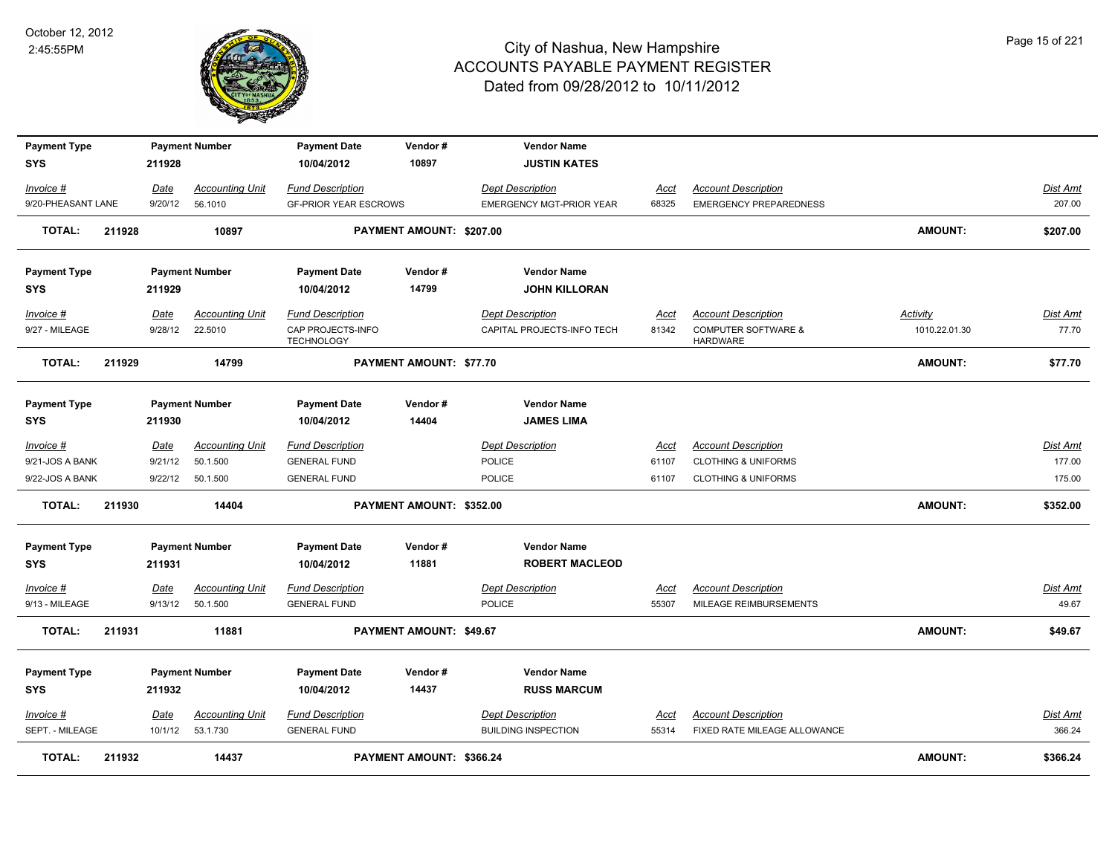

| <b>Payment Type</b> |        |         | <b>Payment Number</b>  | <b>Payment Date</b>                    | Vendor#                  | <b>Vendor Name</b>              |             |                                                   |                 |                 |
|---------------------|--------|---------|------------------------|----------------------------------------|--------------------------|---------------------------------|-------------|---------------------------------------------------|-----------------|-----------------|
| <b>SYS</b>          |        | 211928  |                        | 10/04/2012                             | 10897                    | <b>JUSTIN KATES</b>             |             |                                                   |                 |                 |
| Invoice #           |        | Date    | <b>Accounting Unit</b> | <b>Fund Description</b>                |                          | <b>Dept Description</b>         | Acct        | <b>Account Description</b>                        |                 | Dist Amt        |
| 9/20-PHEASANT LANE  |        | 9/20/12 | 56.1010                | <b>GF-PRIOR YEAR ESCROWS</b>           |                          | <b>EMERGENCY MGT-PRIOR YEAR</b> | 68325       | <b>EMERGENCY PREPAREDNESS</b>                     |                 | 207.00          |
| <b>TOTAL:</b>       | 211928 |         | 10897                  |                                        | PAYMENT AMOUNT: \$207.00 |                                 |             |                                                   | <b>AMOUNT:</b>  | \$207.00        |
| <b>Payment Type</b> |        |         | <b>Payment Number</b>  | <b>Payment Date</b>                    | Vendor#                  | <b>Vendor Name</b>              |             |                                                   |                 |                 |
| <b>SYS</b>          |        | 211929  |                        | 10/04/2012                             | 14799                    | <b>JOHN KILLORAN</b>            |             |                                                   |                 |                 |
| Invoice #           |        | Date    | <b>Accounting Unit</b> | <b>Fund Description</b>                |                          | <b>Dept Description</b>         | Acct        | <b>Account Description</b>                        | <b>Activity</b> | Dist Amt        |
| 9/27 - MILEAGE      |        | 9/28/12 | 22.5010                | CAP PROJECTS-INFO<br><b>TECHNOLOGY</b> |                          | CAPITAL PROJECTS-INFO TECH      | 81342       | <b>COMPUTER SOFTWARE &amp;</b><br><b>HARDWARE</b> | 1010.22.01.30   | 77.70           |
| <b>TOTAL:</b>       | 211929 |         | 14799                  |                                        | PAYMENT AMOUNT: \$77.70  |                                 |             |                                                   | <b>AMOUNT:</b>  | \$77.70         |
| <b>Payment Type</b> |        |         | <b>Payment Number</b>  | <b>Payment Date</b>                    | Vendor#                  | <b>Vendor Name</b>              |             |                                                   |                 |                 |
| <b>SYS</b>          |        | 211930  |                        | 10/04/2012                             | 14404                    | <b>JAMES LIMA</b>               |             |                                                   |                 |                 |
| $Invoice$ #         |        | Date    | <b>Accounting Unit</b> | <b>Fund Description</b>                |                          | <b>Dept Description</b>         | <u>Acct</u> | <b>Account Description</b>                        |                 | <u>Dist Amt</u> |
| 9/21-JOS A BANK     |        | 9/21/12 | 50.1.500               | <b>GENERAL FUND</b>                    |                          | <b>POLICE</b>                   | 61107       | <b>CLOTHING &amp; UNIFORMS</b>                    |                 | 177.00          |
| 9/22-JOS A BANK     |        | 9/22/12 | 50.1.500               | <b>GENERAL FUND</b>                    |                          | <b>POLICE</b>                   | 61107       | <b>CLOTHING &amp; UNIFORMS</b>                    |                 | 175.00          |
| <b>TOTAL:</b>       | 211930 |         | 14404                  |                                        | PAYMENT AMOUNT: \$352.00 |                                 |             |                                                   | <b>AMOUNT:</b>  | \$352.00        |
| <b>Payment Type</b> |        |         | <b>Payment Number</b>  | <b>Payment Date</b>                    | Vendor#                  | <b>Vendor Name</b>              |             |                                                   |                 |                 |
| <b>SYS</b>          |        | 211931  |                        | 10/04/2012                             | 11881                    | <b>ROBERT MACLEOD</b>           |             |                                                   |                 |                 |
| Invoice #           |        | Date    | <b>Accounting Unit</b> | <b>Fund Description</b>                |                          | <b>Dept Description</b>         | <u>Acct</u> | <b>Account Description</b>                        |                 | Dist Amt        |
| 9/13 - MILEAGE      |        | 9/13/12 | 50.1.500               | <b>GENERAL FUND</b>                    |                          | POLICE                          | 55307       | MILEAGE REIMBURSEMENTS                            |                 | 49.67           |
| <b>TOTAL:</b>       | 211931 |         | 11881                  |                                        | PAYMENT AMOUNT: \$49.67  |                                 |             |                                                   | <b>AMOUNT:</b>  | \$49.67         |
| <b>Payment Type</b> |        |         | <b>Payment Number</b>  | <b>Payment Date</b>                    | Vendor#                  | <b>Vendor Name</b>              |             |                                                   |                 |                 |
| <b>SYS</b>          |        | 211932  |                        | 10/04/2012                             | 14437                    | <b>RUSS MARCUM</b>              |             |                                                   |                 |                 |
| $Invoice$ #         |        | Date    | <b>Accounting Unit</b> | <b>Fund Description</b>                |                          | <b>Dept Description</b>         | <u>Acct</u> | <b>Account Description</b>                        |                 | <b>Dist Amt</b> |
| SEPT. - MILEAGE     |        | 10/1/12 | 53.1.730               | <b>GENERAL FUND</b>                    |                          | <b>BUILDING INSPECTION</b>      | 55314       | FIXED RATE MILEAGE ALLOWANCE                      |                 | 366.24          |
| <b>TOTAL:</b>       | 211932 |         | 14437                  |                                        | PAYMENT AMOUNT: \$366.24 |                                 |             |                                                   | <b>AMOUNT:</b>  | \$366.24        |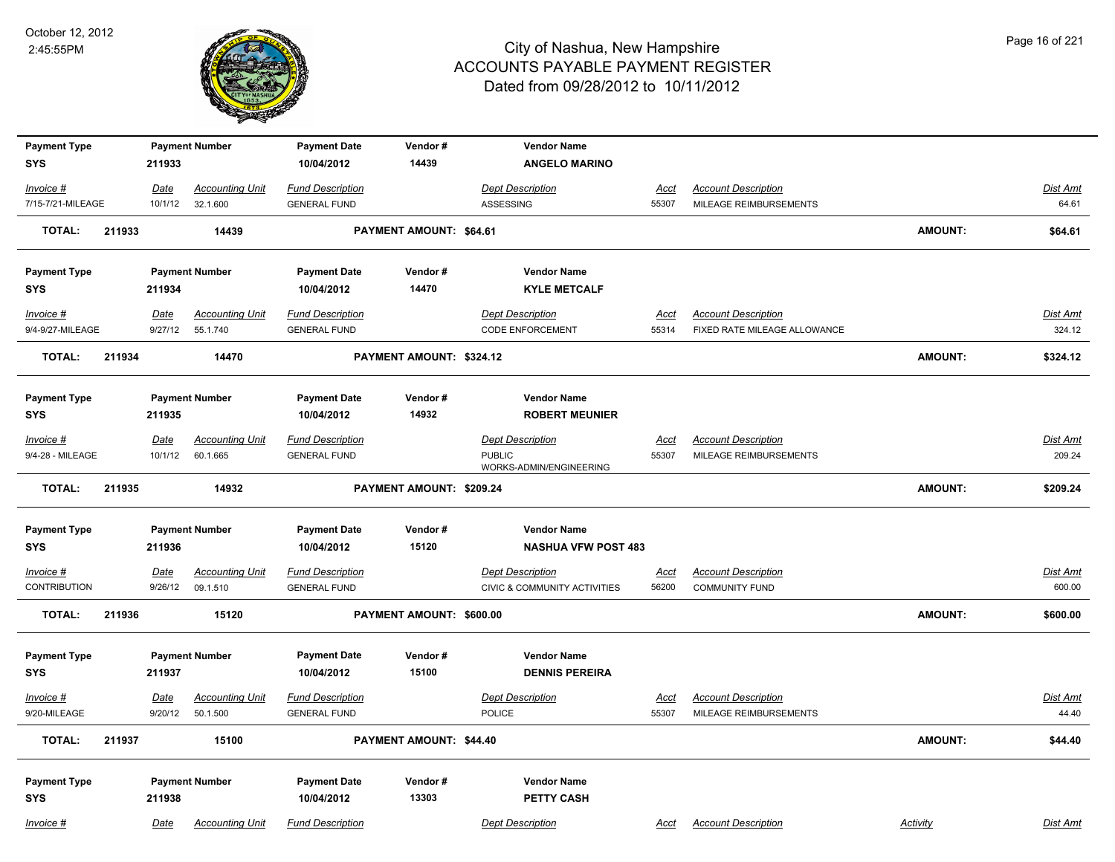

| <b>Payment Type</b>             |        |                 | <b>Payment Number</b>              | <b>Payment Date</b>                            | Vendor#                  | <b>Vendor Name</b>                                 |                      |                                                            |                |                    |
|---------------------------------|--------|-----------------|------------------------------------|------------------------------------------------|--------------------------|----------------------------------------------------|----------------------|------------------------------------------------------------|----------------|--------------------|
| <b>SYS</b>                      |        | 211933          |                                    | 10/04/2012                                     | 14439                    | <b>ANGELO MARINO</b>                               |                      |                                                            |                |                    |
| Invoice #                       |        | <b>Date</b>     | <b>Accounting Unit</b>             | <b>Fund Description</b>                        |                          | <b>Dept Description</b>                            | <u>Acct</u>          | <b>Account Description</b>                                 |                | <b>Dist Amt</b>    |
| 7/15-7/21-MILEAGE               |        | 10/1/12         | 32.1.600                           | <b>GENERAL FUND</b>                            |                          | ASSESSING                                          | 55307                | MILEAGE REIMBURSEMENTS                                     |                | 64.61              |
| <b>TOTAL:</b>                   | 211933 |                 | 14439                              |                                                | PAYMENT AMOUNT: \$64.61  |                                                    |                      |                                                            | <b>AMOUNT:</b> | \$64.61            |
| <b>Payment Type</b>             |        |                 | <b>Payment Number</b>              | <b>Payment Date</b>                            | Vendor#                  | <b>Vendor Name</b>                                 |                      |                                                            |                |                    |
| <b>SYS</b>                      |        | 211934          |                                    | 10/04/2012                                     | 14470                    | <b>KYLE METCALF</b>                                |                      |                                                            |                |                    |
| $Invoice$ #<br>9/4-9/27-MILEAGE |        | Date<br>9/27/12 | <b>Accounting Unit</b><br>55.1.740 | <b>Fund Description</b><br><b>GENERAL FUND</b> |                          | <b>Dept Description</b><br><b>CODE ENFORCEMENT</b> | <u>Acct</u><br>55314 | <b>Account Description</b><br>FIXED RATE MILEAGE ALLOWANCE |                | Dist Amt<br>324.12 |
| <b>TOTAL:</b>                   | 211934 |                 | 14470                              |                                                | PAYMENT AMOUNT: \$324.12 |                                                    |                      |                                                            | <b>AMOUNT:</b> | \$324.12           |
|                                 |        |                 |                                    |                                                |                          |                                                    |                      |                                                            |                |                    |
| <b>Payment Type</b>             |        |                 | <b>Payment Number</b>              | <b>Payment Date</b>                            | Vendor#                  | <b>Vendor Name</b>                                 |                      |                                                            |                |                    |
| <b>SYS</b>                      |        | 211935          |                                    | 10/04/2012                                     | 14932                    | <b>ROBERT MEUNIER</b>                              |                      |                                                            |                |                    |
| Invoice #                       |        | Date            | <b>Accounting Unit</b>             | <b>Fund Description</b>                        |                          | <b>Dept Description</b>                            | <u>Acct</u>          | <b>Account Description</b>                                 |                | Dist Amt           |
| 9/4-28 - MILEAGE                |        | 10/1/12         | 60.1.665                           | <b>GENERAL FUND</b>                            |                          | <b>PUBLIC</b><br>WORKS-ADMIN/ENGINEERING           | 55307                | MILEAGE REIMBURSEMENTS                                     |                | 209.24             |
| <b>TOTAL:</b>                   | 211935 |                 | 14932                              |                                                | PAYMENT AMOUNT: \$209.24 |                                                    |                      |                                                            | <b>AMOUNT:</b> | \$209.24           |
| <b>Payment Type</b>             |        |                 | <b>Payment Number</b>              | <b>Payment Date</b>                            | Vendor#                  | <b>Vendor Name</b>                                 |                      |                                                            |                |                    |
| <b>SYS</b>                      |        | 211936          |                                    | 10/04/2012                                     | 15120                    | <b>NASHUA VFW POST 483</b>                         |                      |                                                            |                |                    |
| Invoice #                       |        | Date            | <b>Accounting Unit</b>             | <b>Fund Description</b>                        |                          | <b>Dept Description</b>                            | Acct                 | <b>Account Description</b>                                 |                | Dist Amt           |
| <b>CONTRIBUTION</b>             |        | 9/26/12         | 09.1.510                           | <b>GENERAL FUND</b>                            |                          | CIVIC & COMMUNITY ACTIVITIES                       | 56200                | <b>COMMUNITY FUND</b>                                      |                | 600.00             |
| <b>TOTAL:</b>                   | 211936 |                 | 15120                              |                                                | PAYMENT AMOUNT: \$600.00 |                                                    |                      |                                                            | <b>AMOUNT:</b> | \$600.00           |
| <b>Payment Type</b>             |        |                 | <b>Payment Number</b>              | <b>Payment Date</b>                            | Vendor#                  | <b>Vendor Name</b>                                 |                      |                                                            |                |                    |
| <b>SYS</b>                      |        | 211937          |                                    | 10/04/2012                                     | 15100                    | <b>DENNIS PEREIRA</b>                              |                      |                                                            |                |                    |
| $Invoice$ #<br>9/20-MILEAGE     |        | Date            | <u>Accounting Unit</u>             | <b>Fund Description</b>                        |                          | <b>Dept Description</b><br><b>POLICE</b>           | <u>Acct</u>          | <b>Account Description</b><br>MILEAGE REIMBURSEMENTS       |                | Dist Amt<br>44.40  |
|                                 |        | 9/20/12         | 50.1.500                           | <b>GENERAL FUND</b>                            |                          |                                                    | 55307                |                                                            |                |                    |
| <b>TOTAL:</b>                   | 211937 |                 | 15100                              |                                                | PAYMENT AMOUNT: \$44.40  |                                                    |                      |                                                            | <b>AMOUNT:</b> | \$44.40            |
| <b>Payment Type</b>             |        |                 | <b>Payment Number</b>              | <b>Payment Date</b>                            | Vendor#                  | <b>Vendor Name</b>                                 |                      |                                                            |                |                    |
| <b>SYS</b>                      |        | 211938          |                                    | 10/04/2012                                     | 13303                    | <b>PETTY CASH</b>                                  |                      |                                                            |                |                    |
|                                 |        |                 |                                    |                                                |                          |                                                    |                      |                                                            |                |                    |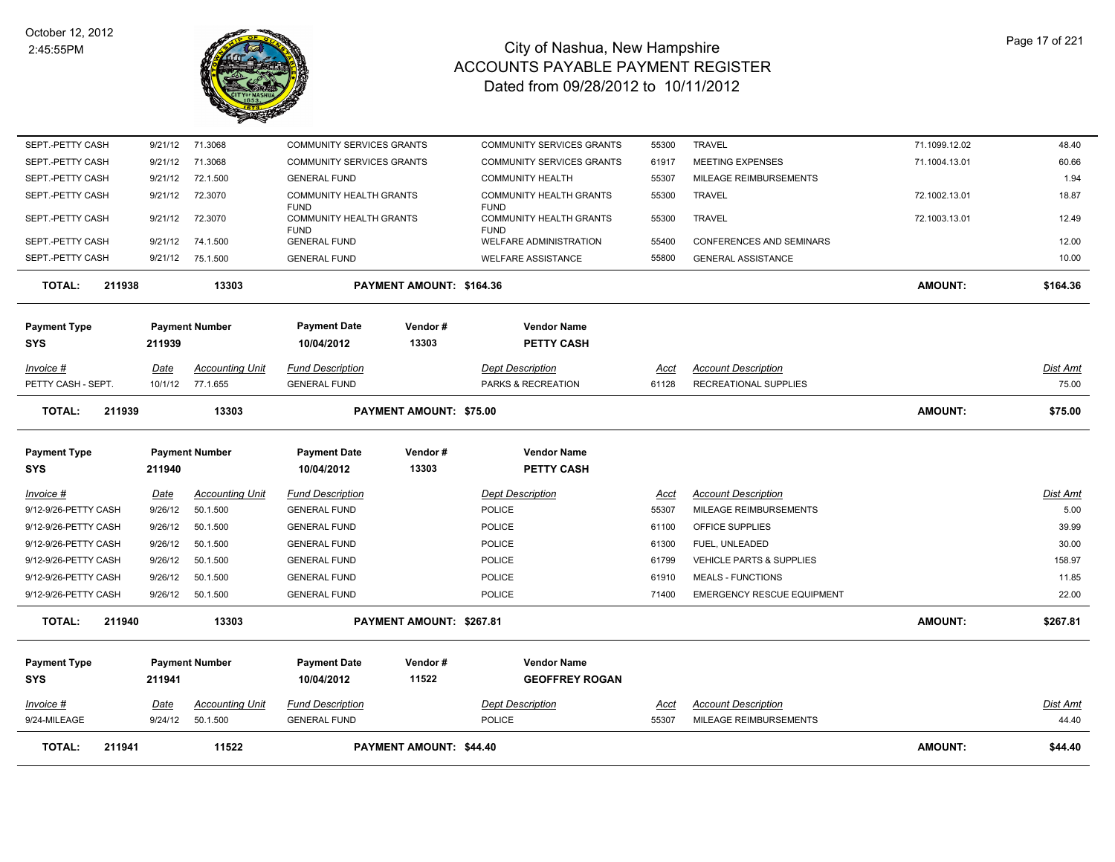

| <b>TOTAL:</b><br>211941    |                        | 11522                              |                                                | <b>PAYMENT AMOUNT: \$44.40</b> |                                               |                      |                                                      | <b>AMOUNT:</b> | \$44.40                  |
|----------------------------|------------------------|------------------------------------|------------------------------------------------|--------------------------------|-----------------------------------------------|----------------------|------------------------------------------------------|----------------|--------------------------|
| Invoice #<br>9/24-MILEAGE  | <u>Date</u><br>9/24/12 | <b>Accounting Unit</b><br>50.1.500 | <b>Fund Description</b><br><b>GENERAL FUND</b> |                                | <b>Dept Description</b><br><b>POLICE</b>      | <u>Acct</u><br>55307 | <b>Account Description</b><br>MILEAGE REIMBURSEMENTS |                | <u>Dist Amt</u><br>44.40 |
| <b>Payment Type</b><br>SYS | 211941                 | <b>Payment Number</b>              | <b>Payment Date</b><br>10/04/2012              | Vendor#<br>11522               | <b>Vendor Name</b><br><b>GEOFFREY ROGAN</b>   |                      |                                                      |                |                          |
| <b>TOTAL:</b><br>211940    |                        | 13303                              |                                                | PAYMENT AMOUNT: \$267.81       |                                               |                      |                                                      | <b>AMOUNT:</b> | \$267.81                 |
| 9/12-9/26-PETTY CASH       | 9/26/12                | 50.1.500                           | <b>GENERAL FUND</b>                            |                                | <b>POLICE</b>                                 | 71400                | <b>EMERGENCY RESCUE EQUIPMENT</b>                    |                | 22.00                    |
| 9/12-9/26-PETTY CASH       | 9/26/12                | 50.1.500                           | <b>GENERAL FUND</b>                            |                                | <b>POLICE</b>                                 | 61910                | <b>MEALS - FUNCTIONS</b>                             |                | 11.85                    |
| 9/12-9/26-PETTY CASH       | 9/26/12                | 50.1.500                           | <b>GENERAL FUND</b>                            |                                | <b>POLICE</b>                                 | 61799                | VEHICLE PARTS & SUPPLIES                             |                | 158.97                   |
| 9/12-9/26-PETTY CASH       | 9/26/12                | 50.1.500                           | <b>GENERAL FUND</b>                            |                                | <b>POLICE</b>                                 | 61300                | FUEL, UNLEADED                                       |                | 30.00                    |
| 9/12-9/26-PETTY CASH       | 9/26/12                | 50.1.500                           | <b>GENERAL FUND</b>                            |                                | <b>POLICE</b>                                 | 61100                | OFFICE SUPPLIES                                      |                | 39.99                    |
| 9/12-9/26-PETTY CASH       | 9/26/12                | 50.1.500                           | <b>GENERAL FUND</b>                            |                                | <b>POLICE</b>                                 | 55307                | MILEAGE REIMBURSEMENTS                               |                | 5.00                     |
| $Invoice$ #                | <b>Date</b>            | <b>Accounting Unit</b>             | <b>Fund Description</b>                        |                                | <b>Dept Description</b>                       | Acct                 | <b>Account Description</b>                           |                | Dist Amt                 |
| <b>Payment Type</b><br>SYS | 211940                 | <b>Payment Number</b>              | <b>Payment Date</b><br>10/04/2012              | Vendor#<br>13303               | <b>Vendor Name</b><br>PETTY CASH              |                      |                                                      |                |                          |
| <b>TOTAL:</b><br>211939    |                        | 13303                              |                                                | <b>PAYMENT AMOUNT: \$75.00</b> |                                               |                      |                                                      | <b>AMOUNT:</b> | \$75.00                  |
| PETTY CASH - SEPT.         | 10/1/12                | 77.1.655                           | <b>GENERAL FUND</b>                            |                                | PARKS & RECREATION                            | 61128                | <b>RECREATIONAL SUPPLIES</b>                         |                | 75.00                    |
| $Invoice$ #                | <u>Date</u>            | Accounting Unit                    | <b>Fund Description</b>                        |                                | <b>Dept Description</b>                       | Acct                 | <b>Account Description</b>                           |                | Dist Amt                 |
| SYS                        | 211939                 |                                    | 10/04/2012                                     | 13303                          | <b>PETTY CASH</b>                             |                      |                                                      |                |                          |
| <b>Payment Type</b>        |                        | <b>Payment Number</b>              | <b>Payment Date</b>                            | Vendor#                        | <b>Vendor Name</b>                            |                      |                                                      |                |                          |
| <b>TOTAL:</b><br>211938    |                        | 13303                              |                                                | PAYMENT AMOUNT: \$164.36       |                                               |                      |                                                      | <b>AMOUNT:</b> | \$164.36                 |
| SEPT.-PETTY CASH           | 9/21/12                | 75.1.500                           | <b>GENERAL FUND</b>                            |                                | <b>WELFARE ASSISTANCE</b>                     | 55800                | <b>GENERAL ASSISTANCE</b>                            |                | 10.00                    |
| SEPT.-PETTY CASH           | 9/21/12                | 74.1.500                           | <b>FUND</b><br><b>GENERAL FUND</b>             |                                | <b>FUND</b><br><b>WELFARE ADMINISTRATION</b>  | 55400                | <b>CONFERENCES AND SEMINARS</b>                      |                | 12.00                    |
| SEPT.-PETTY CASH           | 9/21/12                | 72.3070                            | <b>FUND</b><br><b>COMMUNITY HEALTH GRANTS</b>  |                                | <b>FUND</b><br><b>COMMUNITY HEALTH GRANTS</b> | 55300                | <b>TRAVEL</b>                                        | 72.1003.13.01  | 12.49                    |
| SEPT.-PETTY CASH           | 9/21/12                | 72.3070                            | COMMUNITY HEALTH GRANTS                        |                                | <b>COMMUNITY HEALTH GRANTS</b>                | 55300                | <b>TRAVEL</b>                                        | 72.1002.13.01  | 18.87                    |
| SEPT.-PETTY CASH           | 9/21/12                | 72.1.500                           | <b>GENERAL FUND</b>                            |                                | <b>COMMUNITY HEALTH</b>                       | 55307                | MILEAGE REIMBURSEMENTS                               |                | 1.94                     |
| SEPT.-PETTY CASH           | 9/21/12                | 71.3068                            | COMMUNITY SERVICES GRANTS                      |                                | COMMUNITY SERVICES GRANTS                     | 61917                | MEETING EXPENSES                                     | 71.1004.13.01  | 60.66                    |
| SEPT.-PETTY CASH           | 9/21/12                | 71.3068                            | <b>COMMUNITY SERVICES GRANTS</b>               |                                | <b>COMMUNITY SERVICES GRANTS</b>              | 55300                | <b>TRAVEL</b>                                        | 71.1099.12.02  | 48.40                    |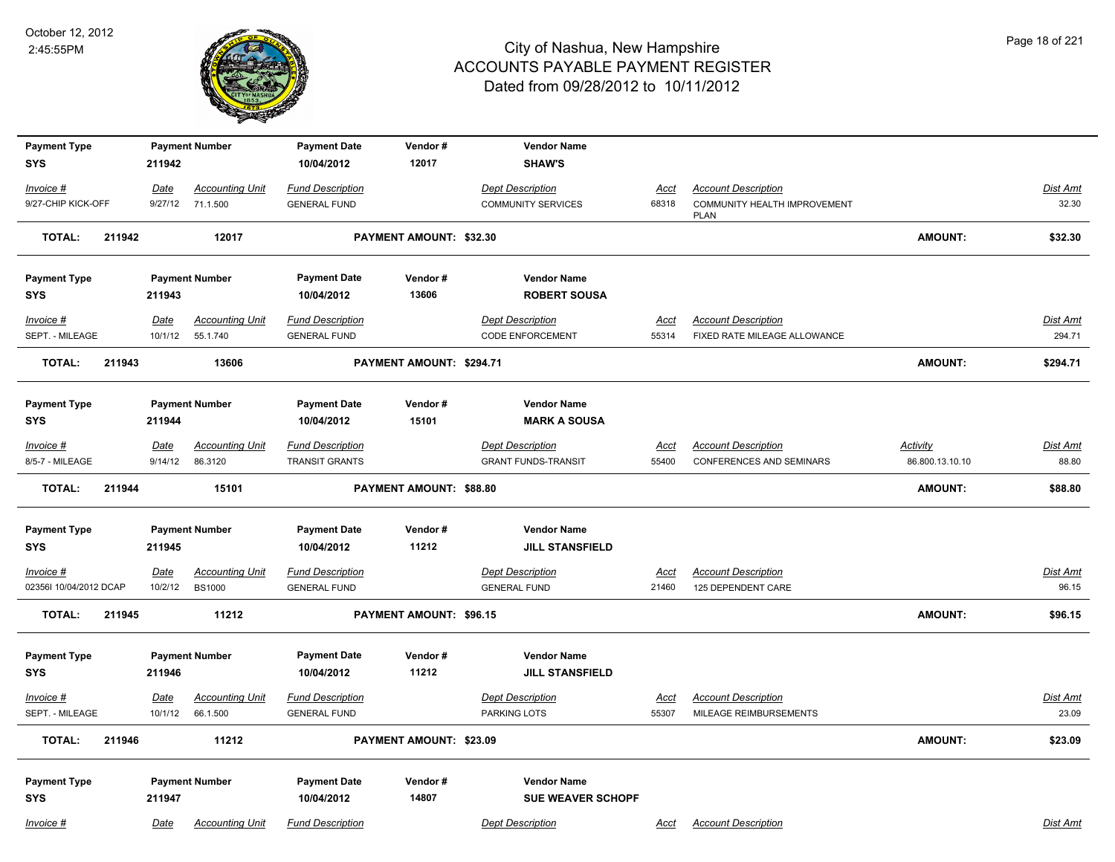

| <b>Payment Type</b>    |             | <b>Payment Number</b>  | <b>Payment Date</b>     | Vendor#                  | <b>Vendor Name</b>         |             |                                             |                 |                 |
|------------------------|-------------|------------------------|-------------------------|--------------------------|----------------------------|-------------|---------------------------------------------|-----------------|-----------------|
| <b>SYS</b>             | 211942      |                        | 10/04/2012              | 12017                    | <b>SHAW'S</b>              |             |                                             |                 |                 |
| Invoice #              | Date        | <b>Accounting Unit</b> | <b>Fund Description</b> |                          | <b>Dept Description</b>    | <u>Acct</u> | <b>Account Description</b>                  |                 | Dist Amt        |
| 9/27-CHIP KICK-OFF     | 9/27/12     | 71.1.500               | <b>GENERAL FUND</b>     |                          | <b>COMMUNITY SERVICES</b>  | 68318       | COMMUNITY HEALTH IMPROVEMENT<br><b>PLAN</b> |                 | 32.30           |
| <b>TOTAL:</b>          | 211942      | 12017                  |                         | PAYMENT AMOUNT: \$32.30  |                            |             |                                             | <b>AMOUNT:</b>  | \$32.30         |
| <b>Payment Type</b>    |             | <b>Payment Number</b>  | <b>Payment Date</b>     | Vendor#                  | <b>Vendor Name</b>         |             |                                             |                 |                 |
| <b>SYS</b>             | 211943      |                        | 10/04/2012              | 13606                    | <b>ROBERT SOUSA</b>        |             |                                             |                 |                 |
| Invoice #              | Date        | <b>Accounting Unit</b> | <b>Fund Description</b> |                          | <b>Dept Description</b>    | <u>Acct</u> | <b>Account Description</b>                  |                 | <b>Dist Amt</b> |
| SEPT. - MILEAGE        | 10/1/12     | 55.1.740               | <b>GENERAL FUND</b>     |                          | <b>CODE ENFORCEMENT</b>    | 55314       | FIXED RATE MILEAGE ALLOWANCE                |                 | 294.71          |
| <b>TOTAL:</b>          | 211943      | 13606                  |                         | PAYMENT AMOUNT: \$294.71 |                            |             |                                             | <b>AMOUNT:</b>  | \$294.71        |
| <b>Payment Type</b>    |             | <b>Payment Number</b>  | <b>Payment Date</b>     | Vendor#                  | <b>Vendor Name</b>         |             |                                             |                 |                 |
| SYS                    | 211944      |                        | 10/04/2012              | 15101                    | <b>MARK A SOUSA</b>        |             |                                             |                 |                 |
| $Invoice$ #            | Date        | <b>Accounting Unit</b> | <b>Fund Description</b> |                          | <b>Dept Description</b>    | <u>Acct</u> | <b>Account Description</b>                  | <b>Activity</b> | <b>Dist Amt</b> |
| 8/5-7 - MILEAGE        | 9/14/12     | 86.3120                | <b>TRANSIT GRANTS</b>   |                          | <b>GRANT FUNDS-TRANSIT</b> | 55400       | <b>CONFERENCES AND SEMINARS</b>             | 86.800.13.10.10 | 88.80           |
| <b>TOTAL:</b>          | 211944      | 15101                  |                         | PAYMENT AMOUNT: \$88.80  |                            |             |                                             | <b>AMOUNT:</b>  | \$88.80         |
| <b>Payment Type</b>    |             | <b>Payment Number</b>  | <b>Payment Date</b>     | Vendor#                  | <b>Vendor Name</b>         |             |                                             |                 |                 |
| <b>SYS</b>             | 211945      |                        | 10/04/2012              | 11212                    | <b>JILL STANSFIELD</b>     |             |                                             |                 |                 |
| Invoice #              | Date        | <b>Accounting Unit</b> | <b>Fund Description</b> |                          | <b>Dept Description</b>    | Acct        | <b>Account Description</b>                  |                 | Dist Amt        |
| 02356I 10/04/2012 DCAP | 10/2/12     | <b>BS1000</b>          | <b>GENERAL FUND</b>     |                          | <b>GENERAL FUND</b>        | 21460       | 125 DEPENDENT CARE                          |                 | 96.15           |
| <b>TOTAL:</b>          | 211945      | 11212                  |                         | PAYMENT AMOUNT: \$96.15  |                            |             |                                             | <b>AMOUNT:</b>  | \$96.15         |
| <b>Payment Type</b>    |             | <b>Payment Number</b>  | <b>Payment Date</b>     | Vendor#                  | <b>Vendor Name</b>         |             |                                             |                 |                 |
| <b>SYS</b>             | 211946      |                        | 10/04/2012              | 11212                    | <b>JILL STANSFIELD</b>     |             |                                             |                 |                 |
| Invoice #              | <u>Date</u> | <b>Accounting Unit</b> | <b>Fund Description</b> |                          | <b>Dept Description</b>    | <u>Acct</u> | <b>Account Description</b>                  |                 | <b>Dist Amt</b> |
| SEPT. - MILEAGE        | 10/1/12     | 66.1.500               | <b>GENERAL FUND</b>     |                          | PARKING LOTS               | 55307       | MILEAGE REIMBURSEMENTS                      |                 | 23.09           |
| <b>TOTAL:</b>          | 211946      | 11212                  |                         | PAYMENT AMOUNT: \$23.09  |                            |             |                                             | <b>AMOUNT:</b>  | \$23.09         |
| <b>Payment Type</b>    |             | <b>Payment Number</b>  | <b>Payment Date</b>     | Vendor#                  | <b>Vendor Name</b>         |             |                                             |                 |                 |
| <b>SYS</b>             | 211947      |                        | 10/04/2012              | 14807                    | <b>SUE WEAVER SCHOPF</b>   |             |                                             |                 |                 |
| Invoice #              | Date        | <b>Accounting Unit</b> | <b>Fund Description</b> |                          | <b>Dept Description</b>    | Acct        | <b>Account Description</b>                  |                 | Dist Amt        |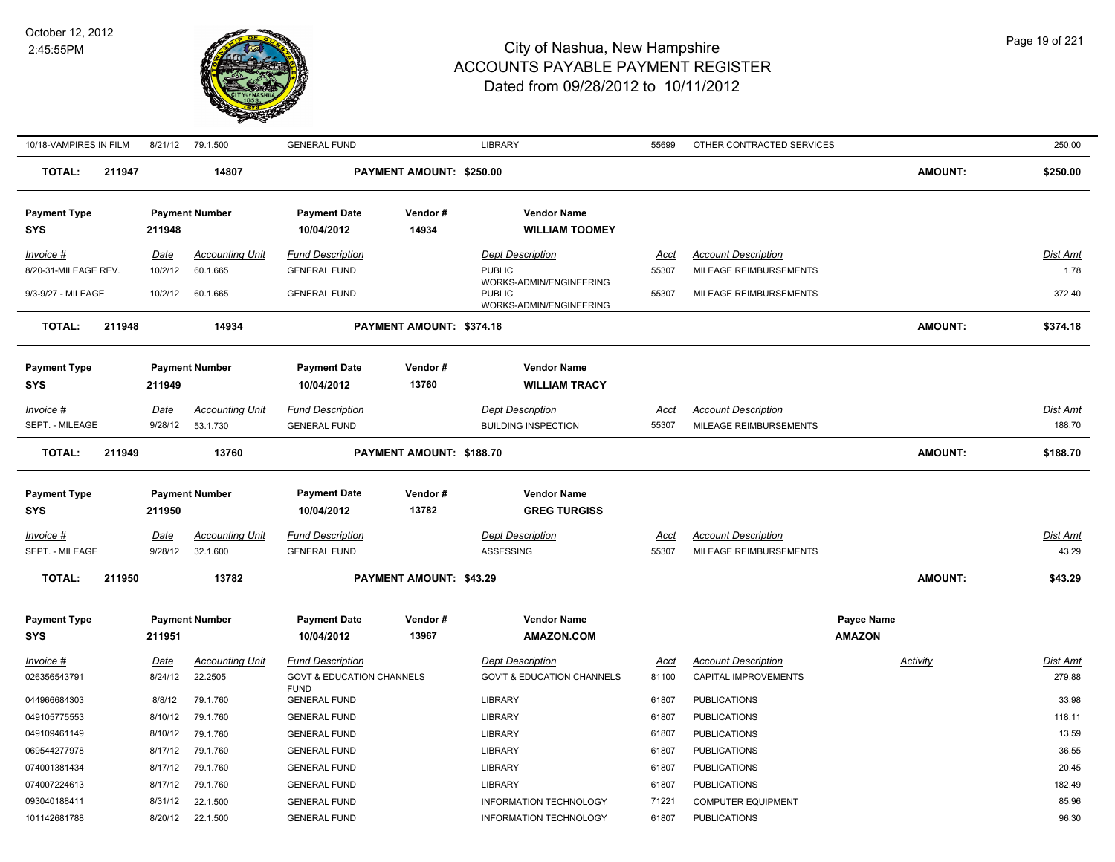

| 10/18-VAMPIRES IN FILM            |        |             | 8/21/12 79.1.500       | <b>GENERAL FUND</b>                                 |                          | <b>LIBRARY</b>                                                      | 55699       | OTHER CONTRACTED SERVICES   |                | 250.00          |
|-----------------------------------|--------|-------------|------------------------|-----------------------------------------------------|--------------------------|---------------------------------------------------------------------|-------------|-----------------------------|----------------|-----------------|
| <b>TOTAL:</b>                     | 211947 |             | 14807                  |                                                     | PAYMENT AMOUNT: \$250.00 |                                                                     |             |                             | <b>AMOUNT:</b> | \$250.00        |
| <b>Payment Type</b>               |        |             | <b>Payment Number</b>  | <b>Payment Date</b>                                 | Vendor#                  | <b>Vendor Name</b>                                                  |             |                             |                |                 |
| <b>SYS</b>                        |        | 211948      |                        | 10/04/2012                                          | 14934                    | <b>WILLIAM TOOMEY</b>                                               |             |                             |                |                 |
| $Invoice$ #                       |        | Date        | <b>Accounting Unit</b> | <b>Fund Description</b>                             |                          | <b>Dept Description</b>                                             | Acct        | <b>Account Description</b>  |                | Dist Amt        |
| 8/20-31-MILEAGE REV.              |        | 10/2/12     | 60.1.665               | <b>GENERAL FUND</b>                                 |                          | <b>PUBLIC</b>                                                       | 55307       | MILEAGE REIMBURSEMENTS      |                | 1.78            |
| 9/3-9/27 - MILEAGE                |        | 10/2/12     | 60.1.665               | <b>GENERAL FUND</b>                                 |                          | WORKS-ADMIN/ENGINEERING<br><b>PUBLIC</b><br>WORKS-ADMIN/ENGINEERING | 55307       | MILEAGE REIMBURSEMENTS      |                | 372.40          |
| TOTAL:                            | 211948 |             | 14934                  |                                                     | PAYMENT AMOUNT: \$374.18 |                                                                     |             |                             | <b>AMOUNT:</b> | \$374.18        |
|                                   |        |             |                        |                                                     |                          |                                                                     |             |                             |                |                 |
| <b>Payment Type</b>               |        |             | <b>Payment Number</b>  | <b>Payment Date</b>                                 | Vendor#                  | <b>Vendor Name</b>                                                  |             |                             |                |                 |
| <b>SYS</b>                        |        | 211949      |                        | 10/04/2012                                          | 13760                    | <b>WILLIAM TRACY</b>                                                |             |                             |                |                 |
| Invoice #                         |        | Date        | <b>Accounting Unit</b> | <b>Fund Description</b>                             |                          | <b>Dept Description</b>                                             | <u>Acct</u> | <b>Account Description</b>  |                | Dist Amt        |
| SEPT. - MILEAGE                   |        | 9/28/12     | 53.1.730               | <b>GENERAL FUND</b>                                 |                          | <b>BUILDING INSPECTION</b>                                          | 55307       | MILEAGE REIMBURSEMENTS      |                | 188.70          |
| <b>TOTAL:</b>                     | 211949 |             | 13760                  |                                                     | PAYMENT AMOUNT: \$188.70 |                                                                     |             |                             | <b>AMOUNT:</b> | \$188.70        |
| <b>Payment Type</b><br><b>SYS</b> |        | 211950      | <b>Payment Number</b>  | <b>Payment Date</b><br>10/04/2012                   | Vendor#<br>13782         | <b>Vendor Name</b><br><b>GREG TURGISS</b>                           |             |                             |                |                 |
| $Invoice$ #                       |        | <u>Date</u> | <b>Accounting Unit</b> | <b>Fund Description</b>                             |                          | <b>Dept Description</b>                                             | <u>Acct</u> | <b>Account Description</b>  |                | <b>Dist Amt</b> |
| SEPT. - MILEAGE                   |        | 9/28/12     | 32.1.600               | <b>GENERAL FUND</b>                                 |                          | ASSESSING                                                           | 55307       | MILEAGE REIMBURSEMENTS      |                | 43.29           |
| <b>TOTAL:</b>                     | 211950 |             | 13782                  |                                                     | PAYMENT AMOUNT: \$43.29  |                                                                     |             |                             | <b>AMOUNT:</b> | \$43.29         |
| <b>Payment Type</b>               |        |             | <b>Payment Number</b>  | <b>Payment Date</b>                                 | Vendor#                  | <b>Vendor Name</b>                                                  |             |                             | Payee Name     |                 |
| <b>SYS</b>                        |        | 211951      |                        | 10/04/2012                                          | 13967                    | <b>AMAZON.COM</b>                                                   |             |                             | <b>AMAZON</b>  |                 |
| Invoice #                         |        | Date        | <b>Accounting Unit</b> | <b>Fund Description</b>                             |                          | <b>Dept Description</b>                                             | Acct        | <b>Account Description</b>  | Activity       | Dist Amt        |
| 026356543791                      |        | 8/24/12     | 22.2505                | <b>GOVT &amp; EDUCATION CHANNELS</b><br><b>FUND</b> |                          | <b>GOV'T &amp; EDUCATION CHANNELS</b>                               | 81100       | <b>CAPITAL IMPROVEMENTS</b> |                | 279.88          |
| 044966684303                      |        | 8/8/12      | 79.1.760               | <b>GENERAL FUND</b>                                 |                          | <b>LIBRARY</b>                                                      | 61807       | <b>PUBLICATIONS</b>         |                | 33.98           |
| 049105775553                      |        | 8/10/12     | 79.1.760               | <b>GENERAL FUND</b>                                 |                          | LIBRARY                                                             | 61807       | <b>PUBLICATIONS</b>         |                | 118.11          |
| 049109461149                      |        | 8/10/12     | 79.1.760               | <b>GENERAL FUND</b>                                 |                          | <b>LIBRARY</b>                                                      | 61807       | <b>PUBLICATIONS</b>         |                | 13.59           |
| 069544277978                      |        | 8/17/12     | 79.1.760               | <b>GENERAL FUND</b>                                 |                          | <b>LIBRARY</b>                                                      | 61807       | <b>PUBLICATIONS</b>         |                | 36.55           |
| 074001381434                      |        | 8/17/12     | 79.1.760               | <b>GENERAL FUND</b>                                 |                          | <b>LIBRARY</b>                                                      | 61807       | <b>PUBLICATIONS</b>         |                | 20.45           |
| 074007224613                      |        | 8/17/12     | 79.1.760               | <b>GENERAL FUND</b>                                 |                          | <b>LIBRARY</b>                                                      | 61807       | <b>PUBLICATIONS</b>         |                | 182.49          |
| 093040188411                      |        | 8/31/12     | 22.1.500               | <b>GENERAL FUND</b>                                 |                          | INFORMATION TECHNOLOGY                                              | 71221       | <b>COMPUTER EQUIPMENT</b>   |                | 85.96           |
| 101142681788                      |        | 8/20/12     | 22.1.500               | <b>GENERAL FUND</b>                                 |                          | <b>INFORMATION TECHNOLOGY</b>                                       | 61807       | <b>PUBLICATIONS</b>         |                | 96.30           |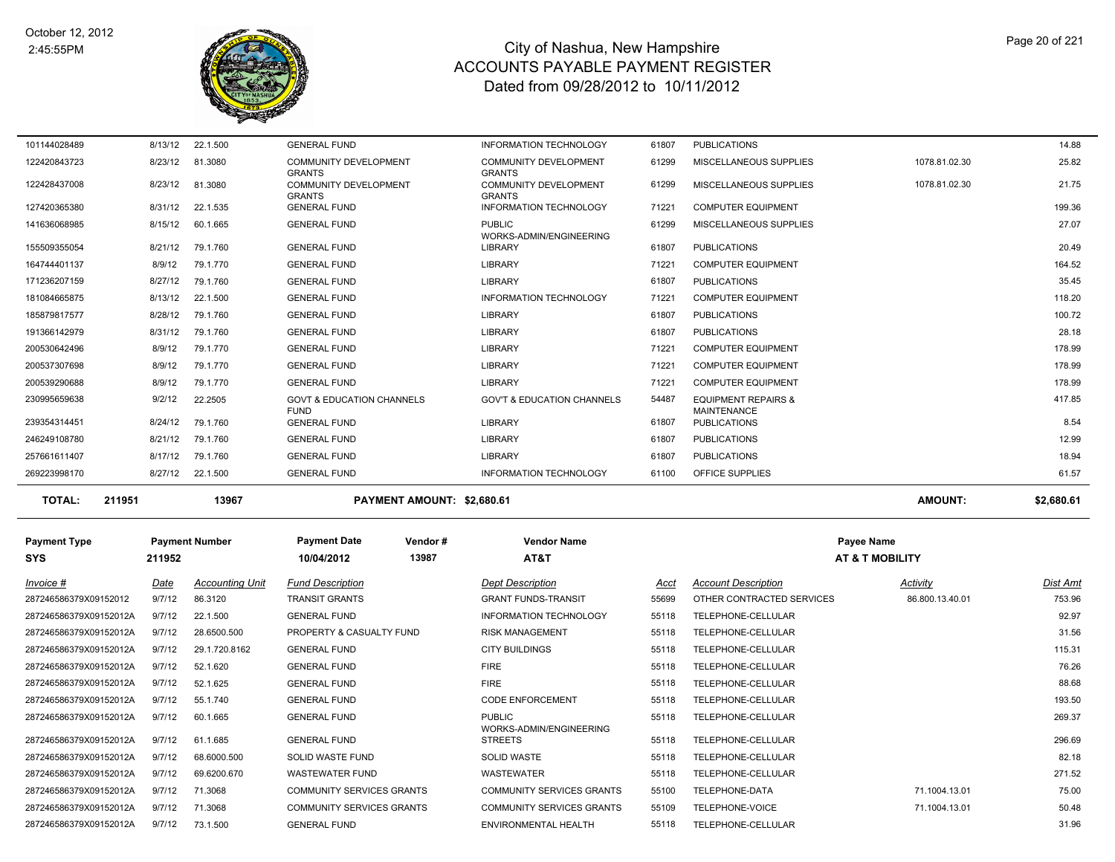

| <b>TOTAL:</b> | 211951  | 13967    | PAYMENT AMOUNT: \$2,680.61                                     |                                                                |       |                                                      | <b>AMOUNT:</b> | \$2,680.61 |
|---------------|---------|----------|----------------------------------------------------------------|----------------------------------------------------------------|-------|------------------------------------------------------|----------------|------------|
| 269223998170  | 8/27/12 | 22.1.500 | <b>GENERAL FUND</b>                                            | <b>INFORMATION TECHNOLOGY</b>                                  | 61100 | <b>OFFICE SUPPLIES</b>                               |                | 61.57      |
| 257661611407  | 8/17/12 | 79.1.760 | <b>GENERAL FUND</b>                                            | <b>LIBRARY</b>                                                 | 61807 | <b>PUBLICATIONS</b>                                  |                | 18.94      |
| 246249108780  | 8/21/12 | 79.1.760 | <b>GENERAL FUND</b>                                            | <b>LIBRARY</b>                                                 | 61807 | <b>PUBLICATIONS</b>                                  |                | 12.99      |
| 239354314451  | 8/24/12 | 79.1.760 | <b>GENERAL FUND</b>                                            | <b>LIBRARY</b>                                                 | 61807 | <b>PUBLICATIONS</b>                                  |                | 8.54       |
| 230995659638  | 9/2/12  | 22.2505  | <b>GOVT &amp; EDUCATION CHANNELS</b><br><b>FUND</b>            | <b>GOV'T &amp; EDUCATION CHANNELS</b>                          | 54487 | <b>EQUIPMENT REPAIRS &amp;</b><br><b>MAINTENANCE</b> |                | 417.85     |
| 200539290688  | 8/9/12  | 79.1.770 | <b>GENERAL FUND</b>                                            | <b>LIBRARY</b>                                                 | 71221 | <b>COMPUTER EQUIPMENT</b>                            |                | 178.99     |
| 200537307698  | 8/9/12  | 79.1.770 | <b>GENERAL FUND</b>                                            | <b>LIBRARY</b>                                                 | 71221 | <b>COMPUTER EQUIPMENT</b>                            |                | 178.99     |
| 200530642496  | 8/9/12  | 79.1.770 | <b>GENERAL FUND</b>                                            | <b>LIBRARY</b>                                                 | 71221 | <b>COMPUTER EQUIPMENT</b>                            |                | 178.99     |
| 191366142979  | 8/31/12 | 79.1.760 | <b>GENERAL FUND</b>                                            | <b>LIBRARY</b>                                                 | 61807 | <b>PUBLICATIONS</b>                                  |                | 28.18      |
| 185879817577  | 8/28/12 | 79.1.760 | <b>GENERAL FUND</b>                                            | <b>LIBRARY</b>                                                 | 61807 | <b>PUBLICATIONS</b>                                  |                | 100.72     |
| 181084665875  | 8/13/12 | 22.1.500 | <b>GENERAL FUND</b>                                            | <b>INFORMATION TECHNOLOGY</b>                                  | 71221 | <b>COMPUTER EQUIPMENT</b>                            |                | 118.20     |
| 171236207159  | 8/27/12 | 79.1.760 | <b>GENERAL FUND</b>                                            | <b>LIBRARY</b>                                                 | 61807 | <b>PUBLICATIONS</b>                                  |                | 35.45      |
| 164744401137  | 8/9/12  | 79.1.770 | <b>GENERAL FUND</b>                                            | <b>LIBRARY</b>                                                 | 71221 | <b>COMPUTER EQUIPMENT</b>                            |                | 164.52     |
| 155509355054  | 8/21/12 | 79.1.760 | <b>GENERAL FUND</b>                                            | <b>LIBRARY</b>                                                 | 61807 | <b>PUBLICATIONS</b>                                  |                | 20.49      |
| 141636068985  | 8/15/12 | 60.1.665 | <b>GENERAL FUND</b>                                            | <b>PUBLIC</b><br>WORKS-ADMIN/ENGINEERING                       | 61299 | MISCELLANEOUS SUPPLIES                               |                | 27.07      |
| 127420365380  | 8/31/12 | 22.1.535 | <b>GENERAL FUND</b>                                            | <b>INFORMATION TECHNOLOGY</b>                                  | 71221 | <b>COMPUTER EQUIPMENT</b>                            |                | 199.36     |
| 122428437008  | 8/23/12 | 81.3080  | <b>GRANTS</b><br><b>COMMUNITY DEVELOPMENT</b><br><b>GRANTS</b> | <b>GRANTS</b><br><b>COMMUNITY DEVELOPMENT</b><br><b>GRANTS</b> | 61299 | MISCELLANEOUS SUPPLIES                               | 1078.81.02.30  | 21.75      |
| 122420843723  | 8/23/12 | 81.3080  | <b>COMMUNITY DEVELOPMENT</b>                                   | <b>COMMUNITY DEVELOPMENT</b>                                   | 61299 | MISCELLANEOUS SUPPLIES                               | 1078.81.02.30  | 25.82      |
| 101144028489  | 8/13/12 | 22.1.500 | <b>GENERAL FUND</b>                                            | <b>INFORMATION TECHNOLOGY</b>                                  | 61807 | <b>PUBLICATIONS</b>                                  |                | 14.88      |

| <b>Payment Type</b><br><b>SYS</b> | 211952 | <b>Payment Number</b>  | <b>Payment Date</b><br>10/04/2012 | Vendor#<br>13987 | <b>Vendor Name</b><br>AT&T               |       |                            | Payee Name<br><b>AT &amp; T MOB</b> |
|-----------------------------------|--------|------------------------|-----------------------------------|------------------|------------------------------------------|-------|----------------------------|-------------------------------------|
| Invoice #                         | Date   | <b>Accounting Unit</b> | <b>Fund Description</b>           |                  | <b>Dept Description</b>                  | Acct  | <b>Account Description</b> |                                     |
| 287246586379X09152012             | 9/7/12 | 86.3120                | <b>TRANSIT GRANTS</b>             |                  | <b>GRANT FUNDS-TRANSIT</b>               | 55699 | OTHER CONTRACTED SERVICES  |                                     |
| 287246586379X09152012A            | 9/7/12 | 22.1.500               | <b>GENERAL FUND</b>               |                  | <b>INFORMATION TECHNOLOGY</b>            | 55118 | TELEPHONE-CELLULAR         |                                     |
| 287246586379X09152012A            | 9/7/12 | 28.6500.500            | PROPERTY & CASUALTY FUND          |                  | <b>RISK MANAGEMENT</b>                   | 55118 | TELEPHONE-CELLULAR         |                                     |
| 287246586379X09152012A            | 9/7/12 | 29.1.720.8162          | <b>GENERAL FUND</b>               |                  | <b>CITY BUILDINGS</b>                    | 55118 | TELEPHONE-CELLULAR         |                                     |
| 287246586379X09152012A            | 9/7/12 | 52.1.620               | <b>GENERAL FUND</b>               |                  | <b>FIRE</b>                              | 55118 | TELEPHONE-CELLULAR         |                                     |
| 287246586379X09152012A            | 9/7/12 | 52.1.625               | <b>GENERAL FUND</b>               |                  | <b>FIRE</b>                              | 55118 | TELEPHONE-CELLULAR         |                                     |
| 287246586379X09152012A            | 9/7/12 | 55.1.740               | <b>GENERAL FUND</b>               |                  | <b>CODE ENFORCEMENT</b>                  | 55118 | TELEPHONE-CELLULAR         |                                     |
| 287246586379X09152012A            | 9/7/12 | 60.1.665               | <b>GENERAL FUND</b>               |                  | <b>PUBLIC</b><br>WORKS-ADMIN/ENGINEERING | 55118 | TELEPHONE-CELLULAR         |                                     |
| 287246586379X09152012A            | 9/7/12 | 61.1.685               | <b>GENERAL FUND</b>               |                  | <b>STREETS</b>                           | 55118 | TELEPHONE-CELLULAR         |                                     |
| 287246586379X09152012A            | 9/7/12 | 68.6000.500            | SOLID WASTE FUND                  |                  | <b>SOLID WASTE</b>                       | 55118 | TELEPHONE-CELLULAR         |                                     |
| 287246586379X09152012A            | 9/7/12 | 69.6200.670            | WASTEWATER FUND                   |                  | WASTEWATER                               | 55118 | TELEPHONE-CELLULAR         |                                     |
| 287246586379X09152012A            | 9/7/12 | 71.3068                | <b>COMMUNITY SERVICES GRANTS</b>  |                  | <b>COMMUNITY SERVICES GRANTS</b>         | 55100 | TELEPHONE-DATA             |                                     |
| 287246586379X09152012A            | 9/7/12 | 71.3068                | <b>COMMUNITY SERVICES GRANTS</b>  |                  | <b>COMMUNITY SERVICES GRANTS</b>         | 55109 | TELEPHONE-VOICE            |                                     |

| YMENT AMOUNT: \$2,680.6 |  |
|-------------------------|--|
|                         |  |

```
 211952 13987 AT&T AT & T MOBILITY
```

| Invoice #              | <u>Date</u> | <b>Accounting Unit</b> | <b>Fund Description</b>          | <b>Dept Description</b>                   | A  |
|------------------------|-------------|------------------------|----------------------------------|-------------------------------------------|----|
| 287246586379X09152012  | 9/7/12      | 86.3120                | <b>TRANSIT GRANTS</b>            | <b>GRANT FUNDS-TRANSIT</b>                | 55 |
| 287246586379X09152012A | 9/7/12      | 22.1.500               | <b>GENERAL FUND</b>              | INFORMATION TECHNOLOGY                    | 55 |
| 287246586379X09152012A | 9/7/12      | 28.6500.500            | PROPERTY & CASUALTY FUND         | <b>RISK MANAGEMENT</b>                    | 55 |
| 287246586379X09152012A | 9/7/12      | 29.1.720.8162          | <b>GENERAL FUND</b>              | <b>CITY BUILDINGS</b>                     | 55 |
| 287246586379X09152012A | 9/7/12      | 52.1.620               | <b>GENERAL FUND</b>              | <b>FIRE</b>                               | 55 |
| 287246586379X09152012A | 9/7/12      | 52.1.625               | <b>GENERAL FUND</b>              | <b>FIRE</b>                               | 55 |
| 287246586379X09152012A | 9/7/12      | 55.1.740               | <b>GENERAL FUND</b>              | <b>CODE ENFORCEMENT</b>                   | 55 |
| 287246586379X09152012A | 9/7/12      | 60.1.665               | <b>GENERAL FUND</b>              | <b>PUBLIC</b>                             | 55 |
| 287246586379X09152012A | 9/7/12      | 61.1.685               | <b>GENERAL FUND</b>              | WORKS-ADMIN/ENGINEERING<br><b>STREETS</b> | 55 |
| 287246586379X09152012A | 9/7/12      | 68.6000.500            | <b>SOLID WASTE FUND</b>          | <b>SOLID WASTE</b>                        | 55 |
| 287246586379X09152012A | 9/7/12      | 69.6200.670            | <b>WASTEWATER FUND</b>           | <b>WASTEWATER</b>                         | 55 |
| 287246586379X09152012A | 9/7/12      | 71.3068                | <b>COMMUNITY SERVICES GRANTS</b> | <b>COMMUNITY SERVICES GRANTS</b>          | 55 |
| 287246586379X09152012A | 9/7/12      | 71.3068                | <b>COMMUNITY SERVICES GRANTS</b> | <b>COMMUNITY SERVICES GRANTS</b>          | 55 |
| 287246586379X09152012A | 9/7/12      | 73.1.500               | <b>GENERAL FUND</b>              | ENVIRONMENTAL HEALTH                      | 55 |

| Invoice #              | Date   | <b>Accounting Unit</b> | <b>Fund Description</b>          | <b>Dept Description</b>                  | Acct  | <b>Account Description</b> | Activity        | Dist Amt |
|------------------------|--------|------------------------|----------------------------------|------------------------------------------|-------|----------------------------|-----------------|----------|
| 287246586379X09152012  | 9/7/12 | 86.3120                | <b>TRANSIT GRANTS</b>            | <b>GRANT FUNDS-TRANSIT</b>               | 55699 | OTHER CONTRACTED SERVICES  | 86.800.13.40.01 | 753.96   |
| 287246586379X09152012A | 9/7/12 | 22.1.500               | <b>GENERAL FUND</b>              | <b>INFORMATION TECHNOLOGY</b>            | 55118 | TELEPHONE-CELLULAR         |                 | 92.97    |
| 287246586379X09152012A | 9/7/12 | 28.6500.500            | PROPERTY & CASUALTY FUND         | <b>RISK MANAGEMENT</b>                   | 55118 | TELEPHONE-CELLULAR         |                 | 31.56    |
| 287246586379X09152012A | 9/7/12 | 29.1.720.8162          | <b>GENERAL FUND</b>              | <b>CITY BUILDINGS</b>                    | 55118 | TELEPHONE-CELLULAR         |                 | 115.31   |
| 287246586379X09152012A | 9/7/12 | 52.1.620               | <b>GENERAL FUND</b>              | <b>FIRE</b>                              | 55118 | TELEPHONE-CELLULAR         |                 | 76.26    |
| 287246586379X09152012A | 9/7/12 | 52.1.625               | <b>GENERAL FUND</b>              | <b>FIRE</b>                              | 55118 | TELEPHONE-CELLULAR         |                 | 88.68    |
| 287246586379X09152012A | 9/7/12 | 55.1.740               | <b>GENERAL FUND</b>              | <b>CODE ENFORCEMENT</b>                  | 55118 | TELEPHONE-CELLULAR         |                 | 193.50   |
| 287246586379X09152012A | 9/7/12 | 60.1.665               | <b>GENERAL FUND</b>              | <b>PUBLIC</b><br>WORKS-ADMIN/ENGINEERING | 55118 | TELEPHONE-CELLULAR         |                 | 269.37   |
| 287246586379X09152012A | 9/7/12 | 61.1.685               | <b>GENERAL FUND</b>              | <b>STREETS</b>                           | 55118 | TELEPHONE-CELLULAR         |                 | 296.69   |
| 287246586379X09152012A | 9/7/12 | 68.6000.500            | <b>SOLID WASTE FUND</b>          | <b>SOLID WASTE</b>                       | 55118 | TELEPHONE-CELLULAR         |                 | 82.18    |
| 287246586379X09152012A | 9/7/12 | 69.6200.670            | <b>WASTEWATER FUND</b>           | <b>WASTEWATER</b>                        | 55118 | TELEPHONE-CELLULAR         |                 | 271.52   |
| 287246586379X09152012A | 9/7/12 | 71.3068                | <b>COMMUNITY SERVICES GRANTS</b> | <b>COMMUNITY SERVICES GRANTS</b>         | 55100 | TELEPHONE-DATA             | 71.1004.13.01   | 75.00    |
| 287246586379X09152012A | 9/7/12 | 71.3068                | <b>COMMUNITY SERVICES GRANTS</b> | <b>COMMUNITY SERVICES GRANTS</b>         | 55109 | TELEPHONE-VOICE            | 71.1004.13.01   | 50.48    |
| 287246586379X09152012A | 9/7/12 | 73.1.500               | <b>GENERAL FUND</b>              | ENVIRONMENTAL HEALTH                     | 55118 | TELEPHONE-CELLULAR         |                 | 31.96    |
|                        |        |                        |                                  |                                          |       |                            |                 |          |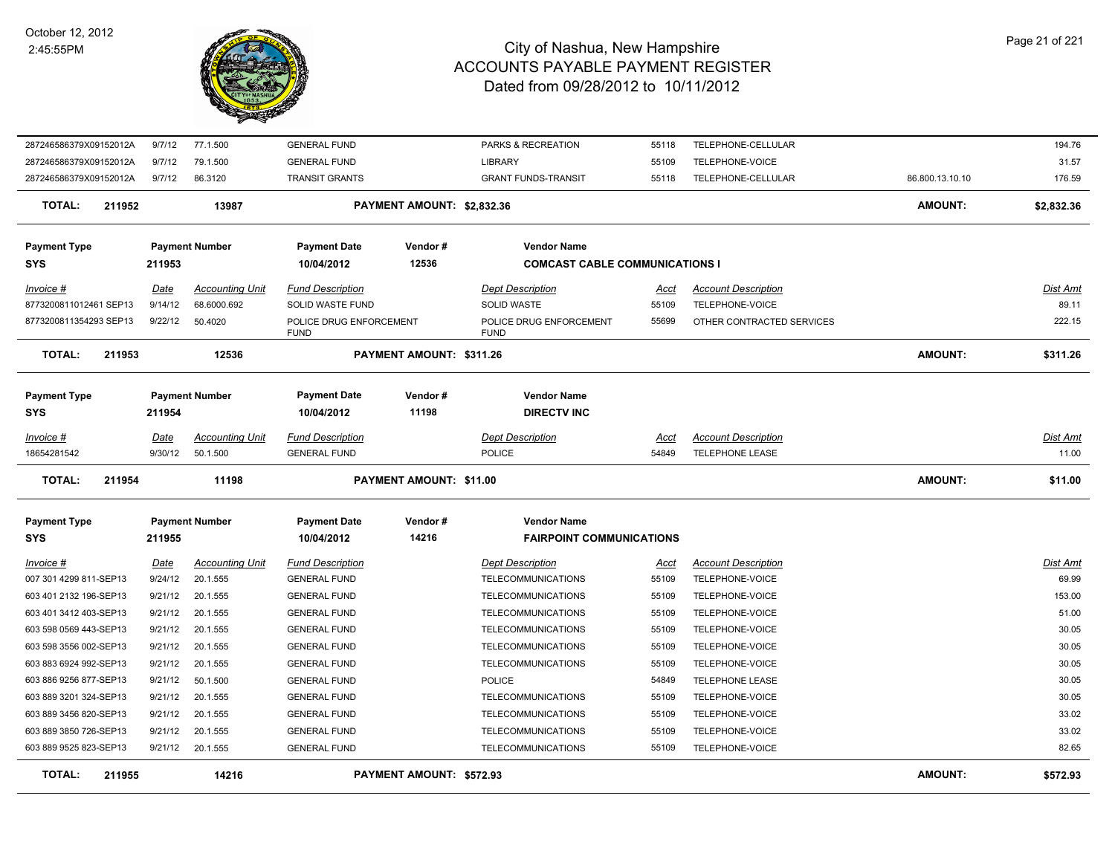

| 287246586379X09152012A  | 9/7/12      | 77.1.500               | <b>GENERAL FUND</b>                    |                                | PARKS & RECREATION                     | 55118       | TELEPHONE-CELLULAR         |                 | 194.76          |
|-------------------------|-------------|------------------------|----------------------------------------|--------------------------------|----------------------------------------|-------------|----------------------------|-----------------|-----------------|
| 287246586379X09152012A  | 9/7/12      | 79.1.500               | <b>GENERAL FUND</b>                    |                                | <b>LIBRARY</b>                         | 55109       | TELEPHONE-VOICE            |                 | 31.57           |
| 287246586379X09152012A  | 9/7/12      | 86.3120                | <b>TRANSIT GRANTS</b>                  |                                | <b>GRANT FUNDS-TRANSIT</b>             | 55118       | TELEPHONE-CELLULAR         | 86.800.13.10.10 | 176.59          |
| 211952<br>TOTAL:        |             | 13987                  |                                        | PAYMENT AMOUNT: \$2,832.36     |                                        |             |                            | <b>AMOUNT:</b>  | \$2,832.36      |
| <b>Payment Type</b>     |             | <b>Payment Number</b>  | <b>Payment Date</b>                    | Vendor#                        | <b>Vendor Name</b>                     |             |                            |                 |                 |
| <b>SYS</b>              | 211953      |                        | 10/04/2012                             | 12536                          | <b>COMCAST CABLE COMMUNICATIONS I</b>  |             |                            |                 |                 |
| Invoice #               | Date        | <b>Accounting Unit</b> | <b>Fund Description</b>                |                                | <b>Dept Description</b>                | Acct        | <b>Account Description</b> |                 | Dist Amt        |
| 8773200811012461 SEP13  | 9/14/12     | 68.6000.692            | SOLID WASTE FUND                       |                                | SOLID WASTE                            | 55109       | TELEPHONE-VOICE            |                 | 89.11           |
| 8773200811354293 SEP13  | 9/22/12     | 50.4020                | POLICE DRUG ENFORCEMENT<br><b>FUND</b> |                                | POLICE DRUG ENFORCEMENT<br><b>FUND</b> | 55699       | OTHER CONTRACTED SERVICES  |                 | 222.15          |
| <b>TOTAL:</b><br>211953 |             | 12536                  |                                        | PAYMENT AMOUNT: \$311.26       |                                        |             |                            | AMOUNT:         | \$311.26        |
| <b>Payment Type</b>     |             | <b>Payment Number</b>  | <b>Payment Date</b>                    | Vendor#                        | <b>Vendor Name</b>                     |             |                            |                 |                 |
| <b>SYS</b>              | 211954      |                        | 10/04/2012                             | 11198                          | <b>DIRECTV INC</b>                     |             |                            |                 |                 |
| <u>Invoice #</u>        | <u>Date</u> | <b>Accounting Unit</b> | <b>Fund Description</b>                |                                | <b>Dept Description</b>                | <u>Acct</u> | <b>Account Description</b> |                 | <u>Dist Amt</u> |
| 18654281542             | 9/30/12     | 50.1.500               | <b>GENERAL FUND</b>                    |                                | <b>POLICE</b>                          | 54849       | <b>TELEPHONE LEASE</b>     |                 | 11.00           |
| <b>TOTAL:</b><br>211954 |             | 11198                  |                                        | <b>PAYMENT AMOUNT: \$11.00</b> |                                        |             |                            | <b>AMOUNT:</b>  | \$11.00         |
| <b>Payment Type</b>     |             | <b>Payment Number</b>  | <b>Payment Date</b>                    | Vendor#                        | <b>Vendor Name</b>                     |             |                            |                 |                 |
| <b>SYS</b>              | 211955      |                        | 10/04/2012                             | 14216                          | <b>FAIRPOINT COMMUNICATIONS</b>        |             |                            |                 |                 |
| Invoice #               | Date        | <b>Accounting Unit</b> | <b>Fund Description</b>                |                                | <b>Dept Description</b>                | Acct        | <b>Account Description</b> |                 | Dist Amt        |
| 007 301 4299 811-SEP13  | 9/24/12     | 20.1.555               | <b>GENERAL FUND</b>                    |                                | <b>TELECOMMUNICATIONS</b>              | 55109       | TELEPHONE-VOICE            |                 | 69.99           |
| 603 401 2132 196-SEP13  | 9/21/12     | 20.1.555               | <b>GENERAL FUND</b>                    |                                | <b>TELECOMMUNICATIONS</b>              | 55109       | TELEPHONE-VOICE            |                 | 153.00          |
| 603 401 3412 403-SEP13  | 9/21/12     | 20.1.555               | <b>GENERAL FUND</b>                    |                                | TELECOMMUNICATIONS                     | 55109       | TELEPHONE-VOICE            |                 | 51.00           |
| 603 598 0569 443-SEP13  | 9/21/12     | 20.1.555               | <b>GENERAL FUND</b>                    |                                | <b>TELECOMMUNICATIONS</b>              | 55109       | TELEPHONE-VOICE            |                 | 30.05           |
| 603 598 3556 002-SEP13  | 9/21/12     | 20.1.555               | <b>GENERAL FUND</b>                    |                                | <b>TELECOMMUNICATIONS</b>              | 55109       | TELEPHONE-VOICE            |                 | 30.05           |
| 603 883 6924 992-SEP13  | 9/21/12     | 20.1.555               | <b>GENERAL FUND</b>                    |                                | TELECOMMUNICATIONS                     | 55109       | TELEPHONE-VOICE            |                 | 30.05           |
| 603 886 9256 877-SEP13  | 9/21/12     | 50.1.500               | <b>GENERAL FUND</b>                    |                                | <b>POLICE</b>                          | 54849       | <b>TELEPHONE LEASE</b>     |                 | 30.05           |
| 603 889 3201 324-SEP13  | 9/21/12     | 20.1.555               | <b>GENERAL FUND</b>                    |                                | <b>TELECOMMUNICATIONS</b>              | 55109       | TELEPHONE-VOICE            |                 | 30.05           |
| 603 889 3456 820-SEP13  | 9/21/12     | 20.1.555               | <b>GENERAL FUND</b>                    |                                | <b>TELECOMMUNICATIONS</b>              | 55109       | TELEPHONE-VOICE            |                 | 33.02           |
| 603 889 3850 726-SEP13  | 9/21/12     | 20.1.555               | <b>GENERAL FUND</b>                    |                                | <b>TELECOMMUNICATIONS</b>              | 55109       | TELEPHONE-VOICE            |                 | 33.02           |
| 603 889 9525 823-SEP13  |             | 9/21/12 20.1.555       | <b>GENERAL FUND</b>                    |                                | <b>TELECOMMUNICATIONS</b>              | 55109       | TELEPHONE-VOICE            |                 | 82.65           |
| <b>TOTAL:</b><br>211955 |             | 14216                  |                                        | PAYMENT AMOUNT: \$572.93       |                                        |             |                            | AMOUNT:         | \$572.93        |
|                         |             |                        |                                        |                                |                                        |             |                            |                 |                 |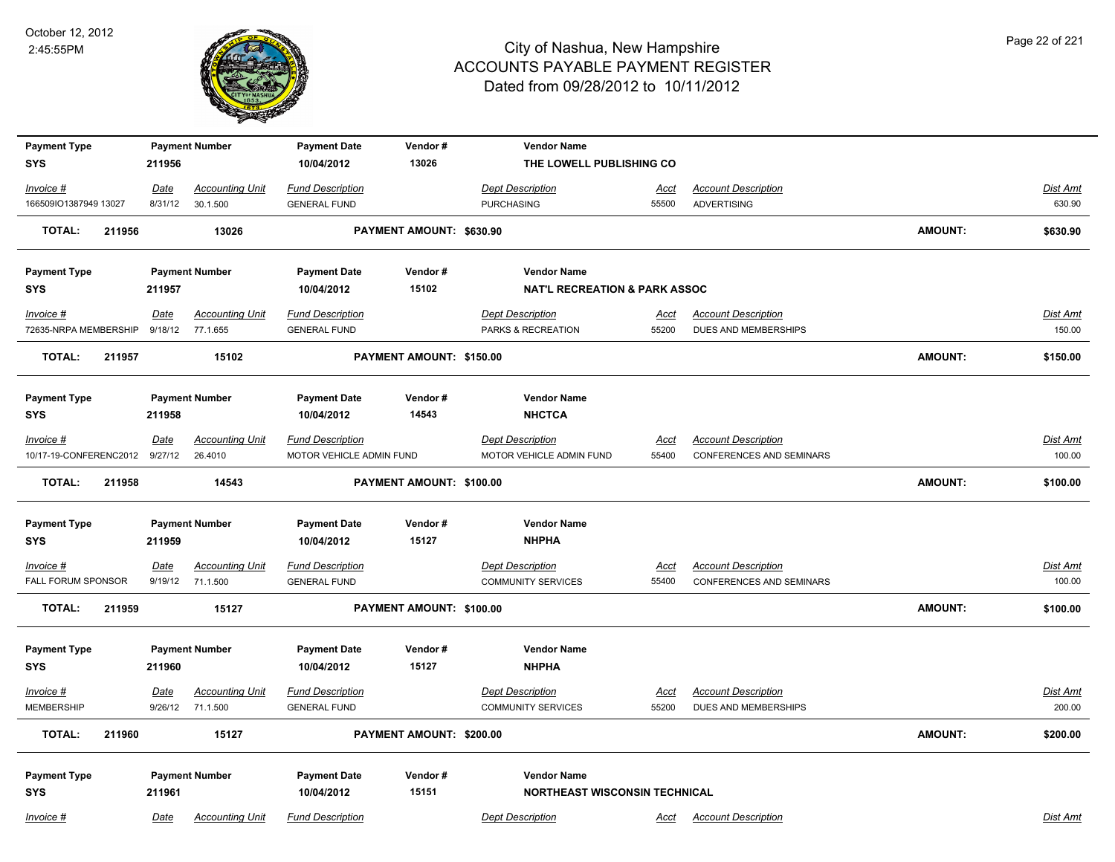

| <b>Payment Type</b>              |                 | <b>Payment Number</b>              | <b>Payment Date</b>                            | Vendor#                  | <b>Vendor Name</b>                                   |                      |                                                    |                |                           |
|----------------------------------|-----------------|------------------------------------|------------------------------------------------|--------------------------|------------------------------------------------------|----------------------|----------------------------------------------------|----------------|---------------------------|
| <b>SYS</b>                       | 211956          |                                    | 10/04/2012                                     | 13026                    | THE LOWELL PUBLISHING CO                             |                      |                                                    |                |                           |
| Invoice #                        | Date            | <b>Accounting Unit</b>             | <b>Fund Description</b>                        |                          | <b>Dept Description</b>                              | Acct                 | <b>Account Description</b>                         |                | Dist Amt                  |
| 166509IO1387949 13027            | 8/31/12         | 30.1.500                           | <b>GENERAL FUND</b>                            |                          | <b>PURCHASING</b>                                    | 55500                | ADVERTISING                                        |                | 630.90                    |
| <b>TOTAL:</b><br>211956          |                 | 13026                              |                                                | PAYMENT AMOUNT: \$630.90 |                                                      |                      |                                                    | <b>AMOUNT:</b> | \$630.90                  |
| <b>Payment Type</b>              |                 | <b>Payment Number</b>              | <b>Payment Date</b>                            | Vendor#                  | <b>Vendor Name</b>                                   |                      |                                                    |                |                           |
| <b>SYS</b>                       | 211957          |                                    | 10/04/2012                                     | 15102                    | <b>NAT'L RECREATION &amp; PARK ASSOC</b>             |                      |                                                    |                |                           |
| Invoice #                        | Date            | <b>Accounting Unit</b>             | <b>Fund Description</b>                        |                          | <b>Dept Description</b>                              | Acct                 | <b>Account Description</b>                         |                | Dist Amt                  |
| 72635-NRPA MEMBERSHIP            | 9/18/12         | 77.1.655                           | <b>GENERAL FUND</b>                            |                          | PARKS & RECREATION                                   | 55200                | DUES AND MEMBERSHIPS                               |                | 150.00                    |
| <b>TOTAL:</b><br>211957          |                 | 15102                              |                                                | PAYMENT AMOUNT: \$150.00 |                                                      |                      |                                                    | <b>AMOUNT:</b> | \$150.00                  |
| <b>Payment Type</b>              |                 | <b>Payment Number</b>              | <b>Payment Date</b>                            | Vendor#                  | <b>Vendor Name</b>                                   |                      |                                                    |                |                           |
| <b>SYS</b>                       | 211958          |                                    | 10/04/2012                                     | 14543                    | <b>NHCTCA</b>                                        |                      |                                                    |                |                           |
| $Invoice$ #                      | <u>Date</u>     | <b>Accounting Unit</b>             | <b>Fund Description</b>                        |                          | <b>Dept Description</b>                              | <u>Acct</u>          | <b>Account Description</b>                         |                | Dist Amt                  |
| 10/17-19-CONFERENC2012           | 9/27/12         | 26.4010                            | MOTOR VEHICLE ADMIN FUND                       |                          | MOTOR VEHICLE ADMIN FUND                             | 55400                | <b>CONFERENCES AND SEMINARS</b>                    |                | 100.00                    |
| <b>TOTAL:</b><br>211958          |                 | 14543                              |                                                | PAYMENT AMOUNT: \$100.00 |                                                      |                      |                                                    | <b>AMOUNT:</b> | \$100.00                  |
| <b>Payment Type</b>              |                 | <b>Payment Number</b>              | <b>Payment Date</b>                            | Vendor#                  | <b>Vendor Name</b>                                   |                      |                                                    |                |                           |
| <b>SYS</b>                       | 211959          |                                    | 10/04/2012                                     | 15127                    | <b>NHPHA</b>                                         |                      |                                                    |                |                           |
| Invoice #                        | <u>Date</u>     | <b>Accounting Unit</b>             | <b>Fund Description</b>                        |                          | <b>Dept Description</b>                              | <u>Acct</u>          | <b>Account Description</b>                         |                | <b>Dist Amt</b>           |
| FALL FORUM SPONSOR               | 9/19/12         | 71.1.500                           | <b>GENERAL FUND</b>                            |                          | <b>COMMUNITY SERVICES</b>                            | 55400                | <b>CONFERENCES AND SEMINARS</b>                    |                | 100.00                    |
| <b>TOTAL:</b><br>211959          |                 | 15127                              |                                                | PAYMENT AMOUNT: \$100.00 |                                                      |                      |                                                    | <b>AMOUNT:</b> | \$100.00                  |
| <b>Payment Type</b>              |                 | <b>Payment Number</b>              | <b>Payment Date</b>                            | Vendor#                  | <b>Vendor Name</b>                                   |                      |                                                    |                |                           |
| <b>SYS</b>                       | 211960          |                                    | 10/04/2012                                     | 15127                    | <b>NHPHA</b>                                         |                      |                                                    |                |                           |
| $Invoice$ #<br><b>MEMBERSHIP</b> | Date<br>9/26/12 | <b>Accounting Unit</b><br>71.1.500 | <b>Fund Description</b><br><b>GENERAL FUND</b> |                          | <b>Dept Description</b><br><b>COMMUNITY SERVICES</b> | <b>Acct</b><br>55200 | <b>Account Description</b><br>DUES AND MEMBERSHIPS |                | <b>Dist Amt</b><br>200.00 |
|                                  |                 |                                    |                                                |                          |                                                      |                      |                                                    |                |                           |
| <b>TOTAL:</b><br>211960          |                 | 15127                              |                                                | PAYMENT AMOUNT: \$200.00 |                                                      |                      |                                                    | <b>AMOUNT:</b> | \$200.00                  |
| <b>Payment Type</b>              |                 | <b>Payment Number</b>              | <b>Payment Date</b>                            | Vendor#                  | <b>Vendor Name</b>                                   |                      |                                                    |                |                           |
| <b>SYS</b>                       | 211961          |                                    | 10/04/2012                                     | 15151                    | NORTHEAST WISCONSIN TECHNICAL                        |                      |                                                    |                |                           |
| Invoice #                        | Date            | <b>Accounting Unit</b>             | <b>Fund Description</b>                        |                          | <b>Dept Description</b>                              | Acct                 | <b>Account Description</b>                         |                | Dist Amt                  |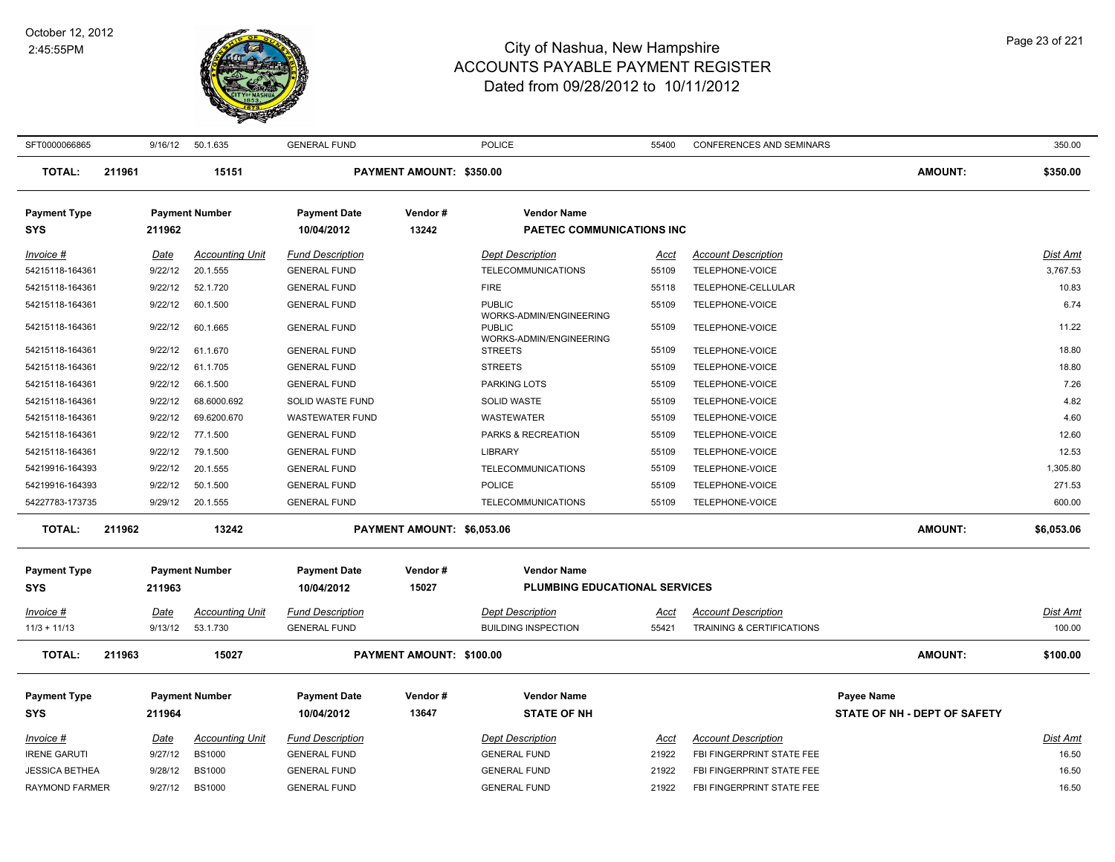

| SFT0000066865                |        |                 | 9/16/12 50.1.635                   | <b>GENERAL FUND</b>                            |                            | <b>POLICE</b>                                        | 55400         | <b>CONFERENCES AND SEMINARS</b>               |                              | 350.00                      |
|------------------------------|--------|-----------------|------------------------------------|------------------------------------------------|----------------------------|------------------------------------------------------|---------------|-----------------------------------------------|------------------------------|-----------------------------|
| <b>TOTAL:</b>                | 211961 |                 | 15151                              |                                                | PAYMENT AMOUNT: \$350.00   |                                                      |               |                                               | <b>AMOUNT:</b>               | \$350.00                    |
| <b>Payment Type</b><br>SYS   |        | 211962          | <b>Payment Number</b>              | <b>Payment Date</b><br>10/04/2012              | Vendor#<br>13242           | <b>Vendor Name</b><br>PAETEC COMMUNICATIONS INC      |               |                                               |                              |                             |
| Invoice #<br>54215118-164361 |        | Date<br>9/22/12 | <b>Accounting Unit</b><br>20.1.555 | <b>Fund Description</b><br><b>GENERAL FUND</b> |                            | <b>Dept Description</b><br><b>TELECOMMUNICATIONS</b> | Acct<br>55109 | <b>Account Description</b><br>TELEPHONE-VOICE |                              | <b>Dist Amt</b><br>3,767.53 |
| 54215118-164361              |        | 9/22/12         | 52.1.720                           | <b>GENERAL FUND</b>                            |                            | <b>FIRE</b>                                          | 55118         | TELEPHONE-CELLULAR                            |                              | 10.83                       |
| 54215118-164361              |        | 9/22/12         | 60.1.500                           | <b>GENERAL FUND</b>                            |                            | <b>PUBLIC</b><br>WORKS-ADMIN/ENGINEERING             | 55109         | TELEPHONE-VOICE                               |                              | 6.74                        |
| 54215118-164361              |        | 9/22/12         | 60.1.665                           | <b>GENERAL FUND</b>                            |                            | <b>PUBLIC</b><br>WORKS-ADMIN/ENGINEERING             | 55109         | TELEPHONE-VOICE                               |                              | 11.22                       |
| 54215118-164361              |        | 9/22/12         | 61.1.670                           | <b>GENERAL FUND</b>                            |                            | <b>STREETS</b>                                       | 55109         | TELEPHONE-VOICE                               |                              | 18.80                       |
| 54215118-164361              |        | 9/22/12         | 61.1.705                           | <b>GENERAL FUND</b>                            |                            | <b>STREETS</b>                                       | 55109         | TELEPHONE-VOICE                               |                              | 18.80                       |
| 54215118-164361              |        | 9/22/12         | 66.1.500                           | <b>GENERAL FUND</b>                            |                            | <b>PARKING LOTS</b>                                  | 55109         | TELEPHONE-VOICE                               |                              | 7.26                        |
| 54215118-164361              |        | 9/22/12         | 68.6000.692                        | SOLID WASTE FUND                               |                            | <b>SOLID WASTE</b>                                   | 55109         | TELEPHONE-VOICE                               |                              | 4.82                        |
| 54215118-164361              |        | 9/22/12         | 69.6200.670                        | <b>WASTEWATER FUND</b>                         |                            | <b>WASTEWATER</b>                                    | 55109         | TELEPHONE-VOICE                               |                              | 4.60                        |
| 54215118-164361              |        | 9/22/12         | 77.1.500                           | <b>GENERAL FUND</b>                            |                            | PARKS & RECREATION                                   | 55109         | TELEPHONE-VOICE                               |                              | 12.60                       |
| 54215118-164361              |        | 9/22/12         | 79.1.500                           | <b>GENERAL FUND</b>                            |                            | <b>LIBRARY</b>                                       | 55109         | TELEPHONE-VOICE                               |                              | 12.53                       |
| 54219916-164393              |        | 9/22/12         | 20.1.555                           | <b>GENERAL FUND</b>                            |                            | <b>TELECOMMUNICATIONS</b>                            | 55109         | TELEPHONE-VOICE                               |                              | 1,305.80                    |
| 54219916-164393              |        | 9/22/12         | 50.1.500                           | <b>GENERAL FUND</b>                            |                            | <b>POLICE</b>                                        | 55109         | TELEPHONE-VOICE                               |                              | 271.53                      |
| 54227783-173735              |        | 9/29/12         | 20.1.555                           | <b>GENERAL FUND</b>                            |                            | TELECOMMUNICATIONS                                   | 55109         | TELEPHONE-VOICE                               |                              | 600.00                      |
| <b>TOTAL:</b>                | 211962 |                 | 13242                              |                                                | PAYMENT AMOUNT: \$6,053.06 |                                                      |               |                                               | <b>AMOUNT:</b>               | \$6,053.06                  |
| <b>Payment Type</b>          |        |                 | <b>Payment Number</b>              | <b>Payment Date</b>                            | Vendor#                    | <b>Vendor Name</b>                                   |               |                                               |                              |                             |
| <b>SYS</b>                   |        | 211963          |                                    | 10/04/2012                                     | 15027                      | <b>PLUMBING EDUCATIONAL SERVICES</b>                 |               |                                               |                              |                             |
| Invoice #                    |        | Date            | <b>Accounting Unit</b>             | <b>Fund Description</b>                        |                            | <b>Dept Description</b>                              | Acct          | <b>Account Description</b>                    |                              | <b>Dist Amt</b>             |
| $11/3 + 11/13$               |        | 9/13/12         | 53.1.730                           | <b>GENERAL FUND</b>                            |                            | <b>BUILDING INSPECTION</b>                           | 55421         | TRAINING & CERTIFICATIONS                     |                              | 100.00                      |
| <b>TOTAL:</b>                | 211963 |                 | 15027                              |                                                | PAYMENT AMOUNT: \$100.00   |                                                      |               |                                               | <b>AMOUNT:</b>               | \$100.00                    |
| <b>Payment Type</b>          |        |                 | <b>Payment Number</b>              | <b>Payment Date</b>                            | Vendor#                    | <b>Vendor Name</b>                                   |               |                                               | Payee Name                   |                             |
| <b>SYS</b>                   |        | 211964          |                                    | 10/04/2012                                     | 13647                      | <b>STATE OF NH</b>                                   |               |                                               | STATE OF NH - DEPT OF SAFETY |                             |
|                              |        |                 |                                    |                                                |                            |                                                      |               |                                               |                              |                             |
| $Invoice$ #                  |        | <u>Date</u>     | <b>Accounting Unit</b>             | <b>Fund Description</b>                        |                            | <b>Dept Description</b>                              | <u>Acct</u>   | <b>Account Description</b>                    |                              | <b>Dist Amt</b>             |
| <b>IRENE GARUTI</b>          |        | 9/27/12         | <b>BS1000</b>                      | <b>GENERAL FUND</b>                            |                            | <b>GENERAL FUND</b>                                  | 21922         | FBI FINGERPRINT STATE FEE                     |                              | 16.50                       |
| <b>JESSICA BETHEA</b>        |        | 9/28/12         | <b>BS1000</b>                      | <b>GENERAL FUND</b>                            |                            | <b>GENERAL FUND</b>                                  | 21922         | FBI FINGERPRINT STATE FEE                     |                              | 16.50                       |
| <b>RAYMOND FARMER</b>        |        | 9/27/12         | <b>BS1000</b>                      | <b>GENERAL FUND</b>                            |                            | <b>GENERAL FUND</b>                                  | 21922         | FBI FINGERPRINT STATE FEE                     |                              | 16.50                       |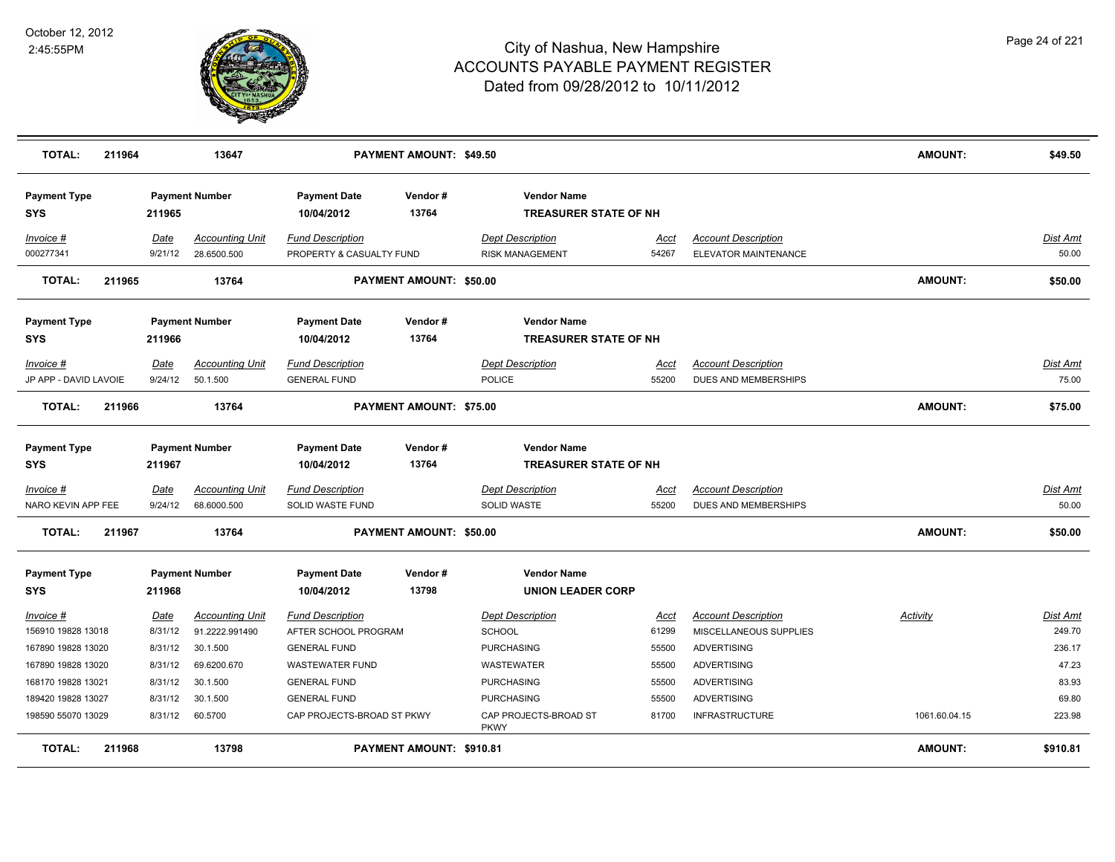

| <b>TOTAL:</b>                          | 211964 |                 | 13647                                 |                                             | <b>PAYMENT AMOUNT: \$49.50</b> |                                                    |                      |                                                    | <b>AMOUNT:</b> | \$49.50                  |
|----------------------------------------|--------|-----------------|---------------------------------------|---------------------------------------------|--------------------------------|----------------------------------------------------|----------------------|----------------------------------------------------|----------------|--------------------------|
| <b>Payment Type</b><br><b>SYS</b>      |        | 211965          | <b>Payment Number</b>                 | <b>Payment Date</b><br>10/04/2012           | Vendor#<br>13764               | <b>Vendor Name</b><br><b>TREASURER STATE OF NH</b> |                      |                                                    |                |                          |
| Invoice #                              |        | Date            | <b>Accounting Unit</b>                | <b>Fund Description</b>                     |                                | <b>Dept Description</b>                            | Acct                 | <b>Account Description</b>                         |                | Dist Amt                 |
| 000277341                              |        | 9/21/12         | 28.6500.500                           | PROPERTY & CASUALTY FUND                    |                                | <b>RISK MANAGEMENT</b>                             | 54267                | ELEVATOR MAINTENANCE                               |                | 50.00                    |
| <b>TOTAL:</b>                          | 211965 |                 | 13764                                 |                                             | PAYMENT AMOUNT: \$50.00        |                                                    |                      |                                                    | <b>AMOUNT:</b> | \$50.00                  |
| <b>Payment Type</b><br><b>SYS</b>      |        | 211966          | <b>Payment Number</b>                 | <b>Payment Date</b><br>10/04/2012           | Vendor#<br>13764               | <b>Vendor Name</b><br><b>TREASURER STATE OF NH</b> |                      |                                                    |                |                          |
| Invoice #                              |        | Date            | <b>Accounting Unit</b>                | <b>Fund Description</b>                     |                                | <b>Dept Description</b>                            | Acct                 | <b>Account Description</b>                         |                | Dist Amt                 |
| JP APP - DAVID LAVOIE                  |        | 9/24/12         | 50.1.500                              | <b>GENERAL FUND</b>                         |                                | <b>POLICE</b>                                      | 55200                | <b>DUES AND MEMBERSHIPS</b>                        |                | 75.00                    |
| <b>TOTAL:</b>                          | 211966 |                 | 13764                                 |                                             | PAYMENT AMOUNT: \$75.00        |                                                    |                      |                                                    | <b>AMOUNT:</b> | \$75.00                  |
| <b>Payment Type</b><br><b>SYS</b>      |        | 211967          | <b>Payment Number</b>                 | <b>Payment Date</b><br>10/04/2012           | Vendor#<br>13764               | <b>Vendor Name</b><br><b>TREASURER STATE OF NH</b> |                      |                                                    |                |                          |
| <u>Invoice #</u><br>NARO KEVIN APP FEE |        | Date<br>9/24/12 | <b>Accounting Unit</b><br>68.6000.500 | <b>Fund Description</b><br>SOLID WASTE FUND |                                | <b>Dept Description</b><br><b>SOLID WASTE</b>      | <u>Acct</u><br>55200 | <b>Account Description</b><br>DUES AND MEMBERSHIPS |                | <b>Dist Amt</b><br>50.00 |
| <b>TOTAL:</b>                          | 211967 |                 | 13764                                 |                                             | <b>PAYMENT AMOUNT: \$50.00</b> |                                                    |                      |                                                    | <b>AMOUNT:</b> | \$50.00                  |
| <b>Payment Type</b><br><b>SYS</b>      |        | 211968          | <b>Payment Number</b>                 | <b>Payment Date</b><br>10/04/2012           | Vendor#<br>13798               | <b>Vendor Name</b><br><b>UNION LEADER CORP</b>     |                      |                                                    |                |                          |
| Invoice #                              |        | Date            | <b>Accounting Unit</b>                | <b>Fund Description</b>                     |                                | <b>Dept Description</b>                            | Acct                 | <b>Account Description</b>                         | Activity       | Dist Amt                 |
| 156910 19828 13018                     |        | 8/31/12         | 91.2222.991490                        | AFTER SCHOOL PROGRAM                        |                                | <b>SCHOOL</b>                                      | 61299                | MISCELLANEOUS SUPPLIES                             |                | 249.70                   |
| 167890 19828 13020                     |        | 8/31/12         | 30.1.500                              | <b>GENERAL FUND</b>                         |                                | <b>PURCHASING</b>                                  | 55500                | <b>ADVERTISING</b>                                 |                | 236.17                   |
| 167890 19828 13020                     |        | 8/31/12         | 69.6200.670                           | <b>WASTEWATER FUND</b>                      |                                | WASTEWATER                                         | 55500                | <b>ADVERTISING</b>                                 |                | 47.23                    |
| 168170 19828 13021                     |        | 8/31/12         | 30.1.500                              | <b>GENERAL FUND</b>                         |                                | PURCHASING                                         | 55500                | <b>ADVERTISING</b>                                 |                | 83.93                    |
| 189420 19828 13027                     |        | 8/31/12         | 30.1.500                              | <b>GENERAL FUND</b>                         |                                | <b>PURCHASING</b>                                  | 55500                | <b>ADVERTISING</b>                                 |                | 69.80                    |
| 198590 55070 13029                     |        | 8/31/12         | 60.5700                               | CAP PROJECTS-BROAD ST PKWY                  |                                | CAP PROJECTS-BROAD ST<br><b>PKWY</b>               | 81700                | <b>INFRASTRUCTURE</b>                              | 1061.60.04.15  | 223.98                   |
| <b>TOTAL:</b>                          | 211968 |                 | 13798                                 |                                             | PAYMENT AMOUNT: \$910.81       |                                                    |                      |                                                    | <b>AMOUNT:</b> | \$910.81                 |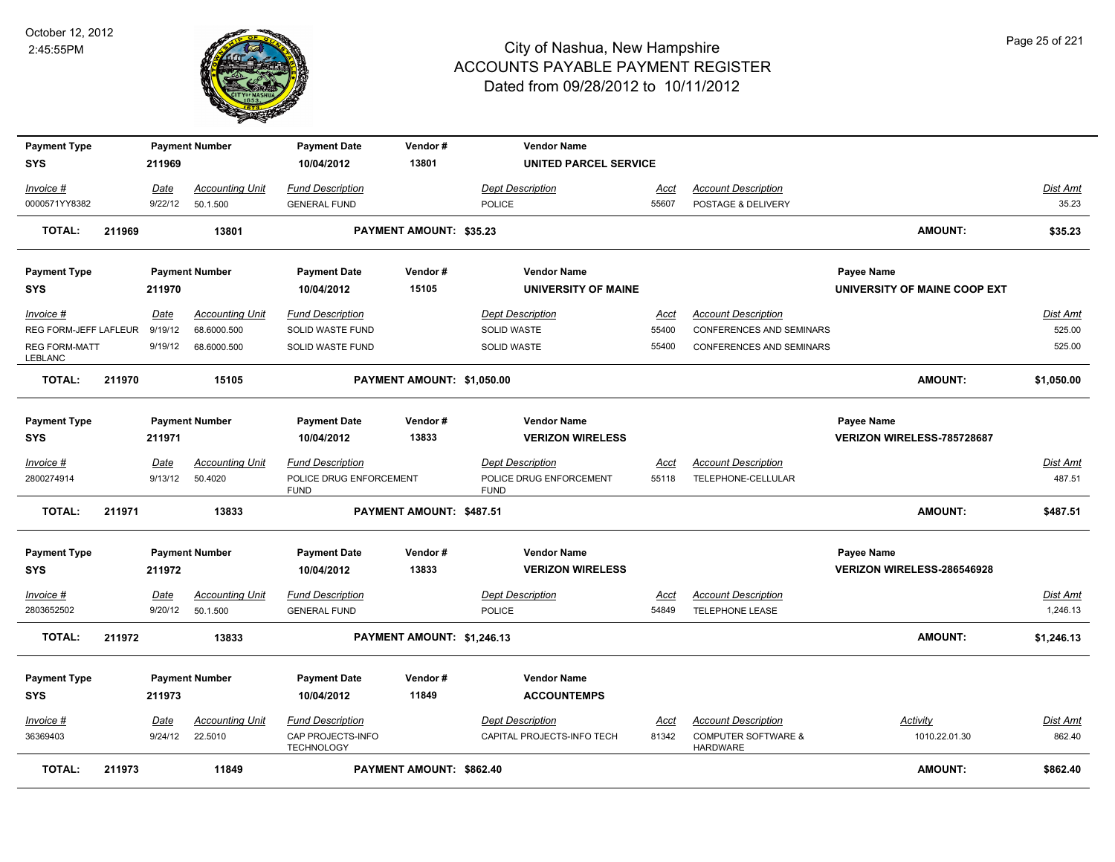

| <b>Payment Type</b><br><b>SYS</b> |        | 211969      | <b>Payment Number</b>  | <b>Payment Date</b><br>10/04/2012      | Vendor#<br>13801           | <b>Vendor Name</b><br><b>UNITED PARCEL SERVICE</b> |             |                                                   |                              |                 |
|-----------------------------------|--------|-------------|------------------------|----------------------------------------|----------------------------|----------------------------------------------------|-------------|---------------------------------------------------|------------------------------|-----------------|
|                                   |        |             |                        |                                        |                            |                                                    |             |                                                   |                              |                 |
| Invoice #                         |        | Date        | <b>Accounting Unit</b> | <b>Fund Description</b>                |                            | <b>Dept Description</b>                            | <b>Acct</b> | <b>Account Description</b>                        |                              | <b>Dist Amt</b> |
| 0000571YY8382                     |        | 9/22/12     | 50.1.500               | <b>GENERAL FUND</b>                    |                            | <b>POLICE</b>                                      | 55607       | POSTAGE & DELIVERY                                |                              | 35.23           |
| <b>TOTAL:</b>                     | 211969 |             | 13801                  |                                        | PAYMENT AMOUNT: \$35.23    |                                                    |             |                                                   | <b>AMOUNT:</b>               | \$35.23         |
| <b>Payment Type</b>               |        |             | <b>Payment Number</b>  | <b>Payment Date</b>                    | Vendor#                    | <b>Vendor Name</b>                                 |             |                                                   | Payee Name                   |                 |
| <b>SYS</b>                        |        | 211970      |                        | 10/04/2012                             | 15105                      | <b>UNIVERSITY OF MAINE</b>                         |             |                                                   | UNIVERSITY OF MAINE COOP EXT |                 |
| Invoice #                         |        | Date        | <b>Accounting Unit</b> | <b>Fund Description</b>                |                            | <b>Dept Description</b>                            | Acct        | <b>Account Description</b>                        |                              | Dist Amt        |
| REG FORM-JEFF LAFLEUR             |        | 9/19/12     | 68.6000.500            | SOLID WASTE FUND                       |                            | <b>SOLID WASTE</b>                                 | 55400       | <b>CONFERENCES AND SEMINARS</b>                   |                              | 525.00          |
| <b>REG FORM-MATT</b><br>LEBLANC   |        | 9/19/12     | 68.6000.500            | SOLID WASTE FUND                       |                            | <b>SOLID WASTE</b>                                 | 55400       | <b>CONFERENCES AND SEMINARS</b>                   |                              | 525.00          |
| <b>TOTAL:</b>                     | 211970 |             | 15105                  |                                        | PAYMENT AMOUNT: \$1,050.00 |                                                    |             |                                                   | <b>AMOUNT:</b>               | \$1,050.00      |
| <b>Payment Type</b>               |        |             | <b>Payment Number</b>  | <b>Payment Date</b>                    | Vendor#                    | <b>Vendor Name</b>                                 |             |                                                   | Payee Name                   |                 |
| <b>SYS</b>                        |        | 211971      |                        | 10/04/2012                             | 13833                      | <b>VERIZON WIRELESS</b>                            |             |                                                   | VERIZON WIRELESS-785728687   |                 |
| Invoice #                         |        | <u>Date</u> | <b>Accounting Unit</b> | <b>Fund Description</b>                |                            | <b>Dept Description</b>                            | <u>Acct</u> | <b>Account Description</b>                        |                              | <u>Dist Amt</u> |
| 2800274914                        |        | 9/13/12     | 50.4020                | POLICE DRUG ENFORCEMENT<br><b>FUND</b> |                            | POLICE DRUG ENFORCEMENT<br><b>FUND</b>             | 55118       | TELEPHONE-CELLULAR                                |                              | 487.51          |
| <b>TOTAL:</b>                     | 211971 |             | 13833                  |                                        | PAYMENT AMOUNT: \$487.51   |                                                    |             |                                                   | AMOUNT:                      | \$487.51        |
| <b>Payment Type</b>               |        |             | <b>Payment Number</b>  | <b>Payment Date</b>                    | Vendor#                    | <b>Vendor Name</b>                                 |             |                                                   | Payee Name                   |                 |
| <b>SYS</b>                        |        | 211972      |                        | 10/04/2012                             | 13833                      | <b>VERIZON WIRELESS</b>                            |             |                                                   | VERIZON WIRELESS-286546928   |                 |
| Invoice #                         |        | Date        | <b>Accounting Unit</b> | <b>Fund Description</b>                |                            | <b>Dept Description</b>                            | <u>Acct</u> | <b>Account Description</b>                        |                              | <b>Dist Amt</b> |
| 2803652502                        |        | 9/20/12     | 50.1.500               | <b>GENERAL FUND</b>                    |                            | <b>POLICE</b>                                      | 54849       | TELEPHONE LEASE                                   |                              | 1,246.13        |
| <b>TOTAL:</b>                     | 211972 |             | 13833                  |                                        | PAYMENT AMOUNT: \$1,246.13 |                                                    |             |                                                   | AMOUNT:                      | \$1,246.13      |
| <b>Payment Type</b>               |        |             | <b>Payment Number</b>  | <b>Payment Date</b>                    | Vendor#                    | <b>Vendor Name</b>                                 |             |                                                   |                              |                 |
| <b>SYS</b>                        |        | 211973      |                        | 10/04/2012                             | 11849                      | <b>ACCOUNTEMPS</b>                                 |             |                                                   |                              |                 |
| Invoice #                         |        | Date        | <b>Accounting Unit</b> | <b>Fund Description</b>                |                            | <b>Dept Description</b>                            | <b>Acct</b> | <b>Account Description</b>                        | <b>Activity</b>              | Dist Amt        |
| 36369403                          |        | 9/24/12     | 22.5010                | CAP PROJECTS-INFO<br><b>TECHNOLOGY</b> |                            | CAPITAL PROJECTS-INFO TECH                         | 81342       | <b>COMPUTER SOFTWARE &amp;</b><br><b>HARDWARE</b> | 1010.22.01.30                | 862.40          |
| <b>TOTAL:</b>                     | 211973 |             | 11849                  |                                        | PAYMENT AMOUNT: \$862.40   |                                                    |             |                                                   | AMOUNT:                      | \$862.40        |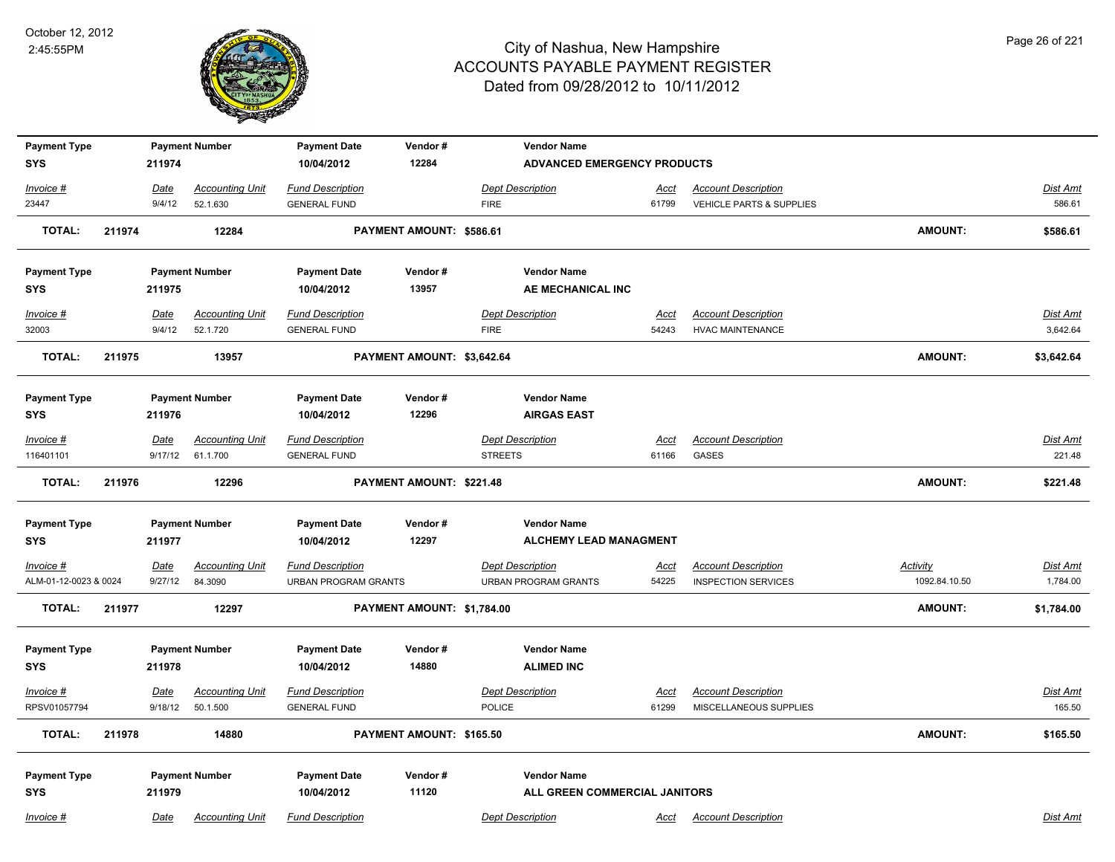

| <b>Payment Type</b><br><b>SYS</b> |        | 211974          | <b>Payment Number</b>              | <b>Payment Date</b><br>10/04/2012              | Vendor#<br>12284           |                                           | <b>Vendor Name</b><br><b>ADVANCED EMERGENCY PRODUCTS</b> |                      |                                     |                 |                    |
|-----------------------------------|--------|-----------------|------------------------------------|------------------------------------------------|----------------------------|-------------------------------------------|----------------------------------------------------------|----------------------|-------------------------------------|-----------------|--------------------|
| Invoice #                         |        |                 | <b>Accounting Unit</b>             | <b>Fund Description</b>                        |                            | <b>Dept Description</b>                   |                                                          |                      | <b>Account Description</b>          |                 | Dist Amt           |
| 23447                             |        | Date<br>9/4/12  | 52.1.630                           | <b>GENERAL FUND</b>                            |                            | <b>FIRE</b>                               |                                                          | <u>Acct</u><br>61799 | VEHICLE PARTS & SUPPLIES            |                 | 586.61             |
| <b>TOTAL:</b>                     | 211974 |                 | 12284                              |                                                | PAYMENT AMOUNT: \$586.61   |                                           |                                                          |                      |                                     | <b>AMOUNT:</b>  | \$586.61           |
| <b>Payment Type</b>               |        |                 | <b>Payment Number</b>              | <b>Payment Date</b>                            | Vendor#                    |                                           | <b>Vendor Name</b>                                       |                      |                                     |                 |                    |
| <b>SYS</b>                        |        | 211975          |                                    | 10/04/2012                                     | 13957                      |                                           | AE MECHANICAL INC                                        |                      |                                     |                 |                    |
| Invoice #                         |        | <u>Date</u>     | <b>Accounting Unit</b>             | <b>Fund Description</b>                        |                            | <b>Dept Description</b>                   |                                                          | <u>Acct</u>          | <b>Account Description</b>          |                 | <b>Dist Amt</b>    |
| 32003                             |        | 9/4/12          | 52.1.720                           | <b>GENERAL FUND</b>                            |                            | <b>FIRE</b>                               |                                                          | 54243                | <b>HVAC MAINTENANCE</b>             |                 | 3,642.64           |
| <b>TOTAL:</b>                     | 211975 |                 | 13957                              |                                                | PAYMENT AMOUNT: \$3,642.64 |                                           |                                                          |                      |                                     | <b>AMOUNT:</b>  | \$3,642.64         |
| <b>Payment Type</b>               |        |                 | <b>Payment Number</b>              | <b>Payment Date</b>                            | Vendor#                    |                                           | <b>Vendor Name</b>                                       |                      |                                     |                 |                    |
| SYS                               |        | 211976          |                                    | 10/04/2012                                     | 12296                      |                                           | <b>AIRGAS EAST</b>                                       |                      |                                     |                 |                    |
| Invoice #<br>116401101            |        | Date<br>9/17/12 | <b>Accounting Unit</b><br>61.1.700 | <b>Fund Description</b><br><b>GENERAL FUND</b> |                            | <b>Dept Description</b><br><b>STREETS</b> |                                                          | Acct<br>61166        | <b>Account Description</b><br>GASES |                 | Dist Amt<br>221.48 |
| <b>TOTAL:</b>                     | 211976 |                 | 12296                              |                                                | PAYMENT AMOUNT: \$221.48   |                                           |                                                          |                      |                                     | <b>AMOUNT:</b>  | \$221.48           |
| <b>Payment Type</b><br>SYS        |        | 211977          | <b>Payment Number</b>              | <b>Payment Date</b><br>10/04/2012              | Vendor#<br>12297           |                                           | <b>Vendor Name</b><br><b>ALCHEMY LEAD MANAGMENT</b>      |                      |                                     |                 |                    |
| $Invoice$ #                       |        | <u>Date</u>     | <b>Accounting Unit</b>             | <b>Fund Description</b>                        |                            | <b>Dept Description</b>                   |                                                          | <u>Acct</u>          | <b>Account Description</b>          | <b>Activity</b> | <u>Dist Amt</u>    |
| ALM-01-12-0023 & 0024             |        | 9/27/12         | 84.3090                            | <b>URBAN PROGRAM GRANTS</b>                    |                            |                                           | <b>URBAN PROGRAM GRANTS</b>                              | 54225                | <b>INSPECTION SERVICES</b>          | 1092.84.10.50   | 1,784.00           |
| <b>TOTAL:</b>                     | 211977 |                 | 12297                              |                                                | PAYMENT AMOUNT: \$1,784.00 |                                           |                                                          |                      |                                     | <b>AMOUNT:</b>  | \$1,784.00         |
| <b>Payment Type</b><br><b>SYS</b> |        | 211978          | <b>Payment Number</b>              | <b>Payment Date</b><br>10/04/2012              | Vendor#<br>14880           |                                           | <b>Vendor Name</b><br><b>ALIMED INC</b>                  |                      |                                     |                 |                    |
| Invoice #                         |        | Date            | <b>Accounting Unit</b>             | <b>Fund Description</b>                        |                            | <b>Dept Description</b>                   |                                                          | <b>Acct</b>          | <b>Account Description</b>          |                 | <b>Dist Amt</b>    |
| RPSV01057794                      |        | 9/18/12         | 50.1.500                           | <b>GENERAL FUND</b>                            |                            | POLICE                                    |                                                          | 61299                | MISCELLANEOUS SUPPLIES              |                 | 165.50             |
| TOTAL:                            | 211978 |                 | 14880                              |                                                | PAYMENT AMOUNT: \$165.50   |                                           |                                                          |                      |                                     | <b>AMOUNT:</b>  | \$165.50           |
| <b>Payment Type</b><br><b>SYS</b> |        | 211979          | <b>Payment Number</b>              | <b>Payment Date</b><br>10/04/2012              | Vendor#<br>11120           |                                           | <b>Vendor Name</b><br>ALL GREEN COMMERCIAL JANITORS      |                      |                                     |                 |                    |
| Invoice #                         |        | Date            | <b>Accounting Unit</b>             | <b>Fund Description</b>                        |                            | <b>Dept Description</b>                   |                                                          | Acct                 | <b>Account Description</b>          |                 | Dist Amt           |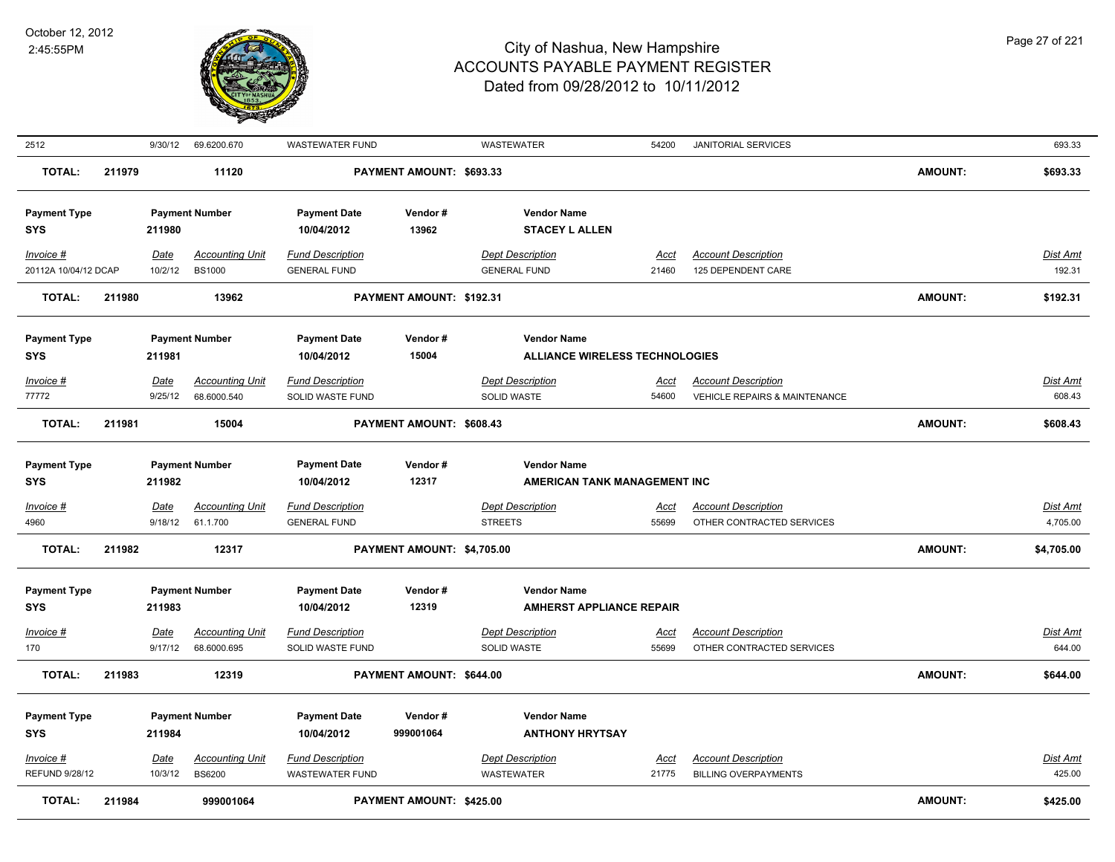

| 2512                                   |        | 9/30/12                | 69.6200.670                             | <b>WASTEWATER FUND</b>                         |                            | WASTEWATER                                                  | 54200                | JANITORIAL SERVICES                                     |                | 693.33                    |
|----------------------------------------|--------|------------------------|-----------------------------------------|------------------------------------------------|----------------------------|-------------------------------------------------------------|----------------------|---------------------------------------------------------|----------------|---------------------------|
| <b>TOTAL:</b>                          | 211979 |                        | 11120                                   |                                                | PAYMENT AMOUNT: \$693.33   |                                                             |                      |                                                         | <b>AMOUNT:</b> | \$693.33                  |
| <b>Payment Type</b><br>SYS             |        | 211980                 | <b>Payment Number</b>                   | <b>Payment Date</b><br>10/04/2012              | Vendor#<br>13962           | <b>Vendor Name</b><br><b>STACEY L ALLEN</b>                 |                      |                                                         |                |                           |
| Invoice #<br>20112A 10/04/12 DCAP      |        | <b>Date</b><br>10/2/12 | <b>Accounting Unit</b><br><b>BS1000</b> | <b>Fund Description</b><br><b>GENERAL FUND</b> |                            | <b>Dept Description</b><br><b>GENERAL FUND</b>              | Acct<br>21460        | <b>Account Description</b><br>125 DEPENDENT CARE        |                | Dist Amt<br>192.31        |
| <b>TOTAL:</b>                          | 211980 |                        | 13962                                   |                                                | PAYMENT AMOUNT: \$192.31   |                                                             |                      |                                                         | <b>AMOUNT:</b> | \$192.31                  |
| <b>Payment Type</b><br><b>SYS</b>      |        | 211981                 | <b>Payment Number</b>                   | <b>Payment Date</b><br>10/04/2012              | Vendor#<br>15004           | <b>Vendor Name</b><br><b>ALLIANCE WIRELESS TECHNOLOGIES</b> |                      |                                                         |                |                           |
| Invoice #                              |        | <b>Date</b>            | <b>Accounting Unit</b>                  | <b>Fund Description</b>                        |                            | <b>Dept Description</b>                                     | <u>Acct</u>          | <b>Account Description</b>                              |                | <b>Dist Amt</b>           |
| 77772                                  |        | 9/25/12                | 68.6000.540                             | SOLID WASTE FUND                               |                            | SOLID WASTE                                                 | 54600                | <b>VEHICLE REPAIRS &amp; MAINTENANCE</b>                |                | 608.43                    |
| <b>TOTAL:</b>                          | 211981 |                        | 15004                                   |                                                | PAYMENT AMOUNT: \$608.43   |                                                             |                      |                                                         | <b>AMOUNT:</b> | \$608.43                  |
| <b>Payment Type</b><br>SYS             |        | 211982                 | <b>Payment Number</b>                   | <b>Payment Date</b><br>10/04/2012              | Vendor#<br>12317           | <b>Vendor Name</b><br>AMERICAN TANK MANAGEMENT INC          |                      |                                                         |                |                           |
| $Invoice$ #<br>4960                    |        | <b>Date</b><br>9/18/12 | <b>Accounting Unit</b><br>61.1.700      | <b>Fund Description</b><br><b>GENERAL FUND</b> |                            | <b>Dept Description</b><br><b>STREETS</b>                   | <u>Acct</u><br>55699 | <b>Account Description</b><br>OTHER CONTRACTED SERVICES |                | Dist Amt<br>4,705.00      |
| <b>TOTAL:</b>                          | 211982 |                        | 12317                                   |                                                | PAYMENT AMOUNT: \$4,705.00 |                                                             |                      |                                                         | <b>AMOUNT:</b> | \$4,705.00                |
| <b>Payment Type</b><br><b>SYS</b>      |        | 211983                 | <b>Payment Number</b>                   | <b>Payment Date</b><br>10/04/2012              | Vendor#<br>12319           | <b>Vendor Name</b><br><b>AMHERST APPLIANCE REPAIR</b>       |                      |                                                         |                |                           |
| Invoice #<br>170                       |        | <b>Date</b><br>9/17/12 | <b>Accounting Unit</b><br>68.6000.695   | <b>Fund Description</b><br>SOLID WASTE FUND    |                            | <b>Dept Description</b><br>SOLID WASTE                      | <u>Acct</u><br>55699 | <b>Account Description</b><br>OTHER CONTRACTED SERVICES |                | <b>Dist Amt</b><br>644.00 |
| <b>TOTAL:</b>                          | 211983 |                        | 12319                                   |                                                | PAYMENT AMOUNT: \$644.00   |                                                             |                      |                                                         | <b>AMOUNT:</b> | \$644.00                  |
| <b>Payment Type</b><br><b>SYS</b>      |        | 211984                 | <b>Payment Number</b>                   | <b>Payment Date</b><br>10/04/2012              | Vendor#<br>999001064       | <b>Vendor Name</b><br><b>ANTHONY HRYTSAY</b>                |                      |                                                         |                |                           |
| Invoice #                              |        | <b>Date</b>            | <b>Accounting Unit</b>                  | <b>Fund Description</b>                        |                            | <b>Dept Description</b>                                     | <u>Acct</u>          | <b>Account Description</b>                              |                | Dist Amt                  |
| <b>REFUND 9/28/12</b><br><b>TOTAL:</b> | 211984 | 10/3/12                | <b>BS6200</b><br>999001064              | <b>WASTEWATER FUND</b>                         | PAYMENT AMOUNT: \$425.00   | WASTEWATER                                                  | 21775                | <b>BILLING OVERPAYMENTS</b>                             | AMOUNT:        | 425.00<br>\$425.00        |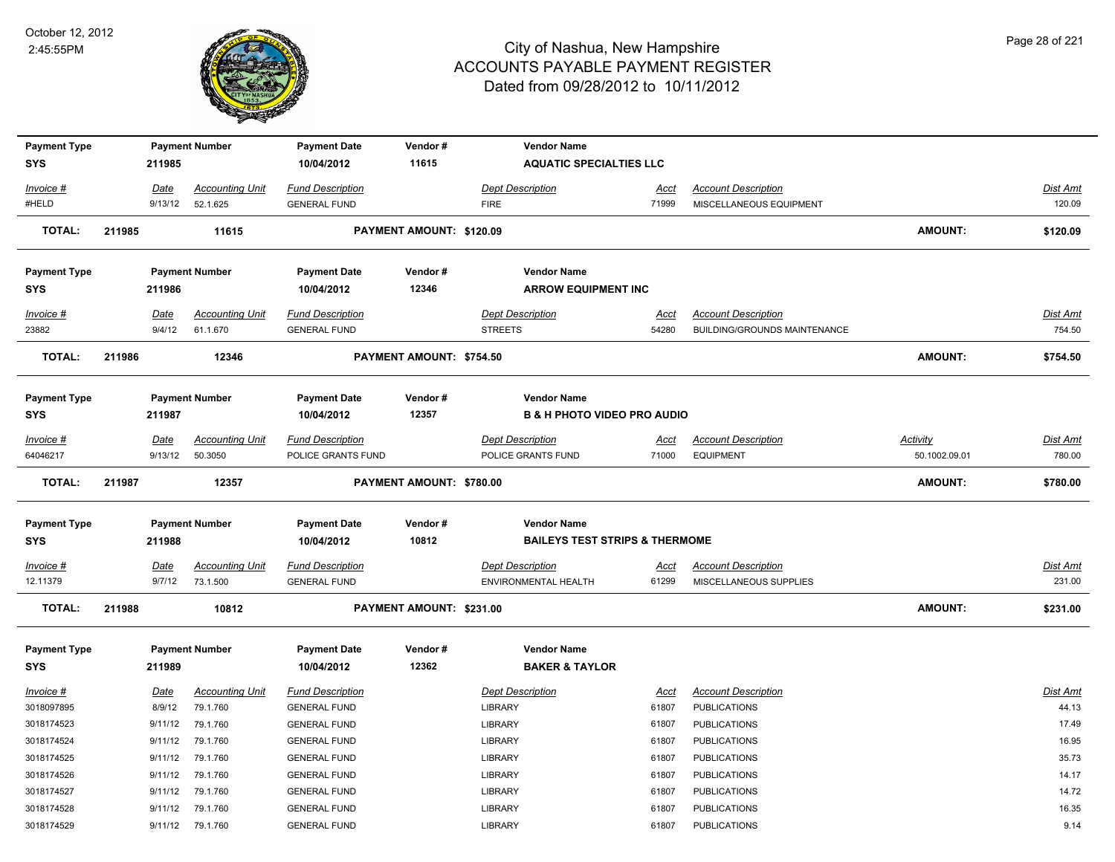

| <b>Payment Type</b>     |        |                | <b>Payment Number</b>  | <b>Payment Date</b>                        | Vendor#                         | <b>Vendor Name</b>                        |                      |                                            |                |                   |
|-------------------------|--------|----------------|------------------------|--------------------------------------------|---------------------------------|-------------------------------------------|----------------------|--------------------------------------------|----------------|-------------------|
| <b>SYS</b>              |        | 211985         |                        | 10/04/2012                                 | 11615                           | <b>AQUATIC SPECIALTIES LLC</b>            |                      |                                            |                |                   |
| Invoice #               |        | Date           | <b>Accounting Unit</b> | <b>Fund Description</b>                    |                                 | <b>Dept Description</b>                   | Acct                 | <b>Account Description</b>                 |                | Dist Amt          |
| #HELD                   |        | 9/13/12        | 52.1.625               | <b>GENERAL FUND</b>                        |                                 | <b>FIRE</b>                               | 71999                | MISCELLANEOUS EQUIPMENT                    |                | 120.09            |
|                         |        |                |                        |                                            |                                 |                                           |                      |                                            |                |                   |
| <b>TOTAL:</b>           | 211985 |                | 11615                  |                                            | PAYMENT AMOUNT: \$120.09        |                                           |                      |                                            | <b>AMOUNT:</b> | \$120.09          |
| <b>Payment Type</b>     |        |                | <b>Payment Number</b>  | <b>Payment Date</b>                        | Vendor#                         | <b>Vendor Name</b>                        |                      |                                            |                |                   |
| <b>SYS</b>              |        | 211986         |                        | 10/04/2012                                 | 12346                           | <b>ARROW EQUIPMENT INC</b>                |                      |                                            |                |                   |
| Invoice #               |        | Date           | <b>Accounting Unit</b> | <b>Fund Description</b>                    |                                 | <b>Dept Description</b>                   | <b>Acct</b>          | <b>Account Description</b>                 |                | Dist Amt          |
| 23882                   |        | 9/4/12         | 61.1.670               | <b>GENERAL FUND</b>                        |                                 | <b>STREETS</b>                            | 54280                | BUILDING/GROUNDS MAINTENANCE               |                | 754.50            |
| <b>TOTAL:</b>           | 211986 |                | 12346                  |                                            | <b>PAYMENT AMOUNT: \$754.50</b> |                                           |                      |                                            | <b>AMOUNT:</b> | \$754.50          |
|                         |        |                |                        |                                            |                                 |                                           |                      |                                            |                |                   |
| <b>Payment Type</b>     |        |                | <b>Payment Number</b>  | <b>Payment Date</b>                        | Vendor#                         | <b>Vendor Name</b>                        |                      |                                            |                |                   |
| <b>SYS</b>              |        | 211987         |                        | 10/04/2012                                 | 12357                           | <b>B &amp; H PHOTO VIDEO PRO AUDIO</b>    |                      |                                            |                |                   |
| Invoice #               |        | Date           | <b>Accounting Unit</b> | <b>Fund Description</b>                    |                                 | <b>Dept Description</b>                   |                      | <b>Account Description</b>                 | Activity       | Dist Amt          |
| 64046217                |        | 9/13/12        | 50.3050                | POLICE GRANTS FUND                         |                                 | POLICE GRANTS FUND                        | <u>Acct</u><br>71000 | <b>EQUIPMENT</b>                           | 50.1002.09.01  | 780.00            |
|                         |        |                |                        |                                            |                                 |                                           |                      |                                            |                |                   |
| <b>TOTAL:</b>           | 211987 |                | 12357                  |                                            | PAYMENT AMOUNT: \$780.00        |                                           |                      |                                            | <b>AMOUNT:</b> | \$780.00          |
|                         |        |                |                        |                                            |                                 |                                           |                      |                                            |                |                   |
| <b>Payment Type</b>     |        |                | <b>Payment Number</b>  | <b>Payment Date</b>                        | Vendor#                         | <b>Vendor Name</b>                        |                      |                                            |                |                   |
| <b>SYS</b>              |        | 211988         |                        | 10/04/2012                                 | 10812                           | <b>BAILEYS TEST STRIPS &amp; THERMOME</b> |                      |                                            |                |                   |
| Invoice #               |        | <b>Date</b>    | <u>Accounting Unit</u> | <b>Fund Description</b>                    |                                 | <b>Dept Description</b>                   | <u>Acct</u>          | <b>Account Description</b>                 |                | <b>Dist Amt</b>   |
| 12.11379                |        | 9/7/12         | 73.1.500               | <b>GENERAL FUND</b>                        |                                 | ENVIRONMENTAL HEALTH                      | 61299                | MISCELLANEOUS SUPPLIES                     |                | 231.00            |
| <b>TOTAL:</b>           | 211988 |                | 10812                  |                                            | PAYMENT AMOUNT: \$231.00        |                                           |                      |                                            | <b>AMOUNT:</b> | \$231.00          |
| <b>Payment Type</b>     |        |                | <b>Payment Number</b>  | <b>Payment Date</b>                        | Vendor#                         | <b>Vendor Name</b>                        |                      |                                            |                |                   |
| <b>SYS</b>              |        | 211989         |                        | 10/04/2012                                 | 12362                           | <b>BAKER &amp; TAYLOR</b>                 |                      |                                            |                |                   |
|                         |        |                |                        |                                            |                                 |                                           |                      |                                            |                |                   |
| Invoice #<br>3018097895 |        | Date<br>8/9/12 | <b>Accounting Unit</b> | <b>Fund Description</b>                    |                                 | <b>Dept Description</b>                   | <u>Acct</u><br>61807 | <b>Account Description</b>                 |                | Dist Amt<br>44.13 |
| 3018174523              |        | 9/11/12        | 79.1.760<br>79.1.760   | <b>GENERAL FUND</b><br><b>GENERAL FUND</b> |                                 | <b>LIBRARY</b><br>LIBRARY                 | 61807                | <b>PUBLICATIONS</b>                        |                | 17.49             |
| 3018174524              |        | 9/11/12        | 79.1.760               | <b>GENERAL FUND</b>                        |                                 | <b>LIBRARY</b>                            | 61807                | <b>PUBLICATIONS</b><br><b>PUBLICATIONS</b> |                | 16.95             |
| 3018174525              |        | 9/11/12        | 79.1.760               | <b>GENERAL FUND</b>                        |                                 | LIBRARY                                   | 61807                | <b>PUBLICATIONS</b>                        |                | 35.73             |
| 3018174526              |        | 9/11/12        | 79.1.760               | <b>GENERAL FUND</b>                        |                                 | <b>LIBRARY</b>                            | 61807                | <b>PUBLICATIONS</b>                        |                | 14.17             |
| 3018174527              |        | 9/11/12        | 79.1.760               | <b>GENERAL FUND</b>                        |                                 | <b>LIBRARY</b>                            | 61807                | <b>PUBLICATIONS</b>                        |                | 14.72             |
| 3018174528              |        | 9/11/12        | 79.1.760               | <b>GENERAL FUND</b>                        |                                 | <b>LIBRARY</b>                            | 61807                | <b>PUBLICATIONS</b>                        |                | 16.35             |
| 3018174529              |        |                | 9/11/12 79.1.760       | <b>GENERAL FUND</b>                        |                                 | <b>LIBRARY</b>                            | 61807                | <b>PUBLICATIONS</b>                        |                | 9.14              |
|                         |        |                |                        |                                            |                                 |                                           |                      |                                            |                |                   |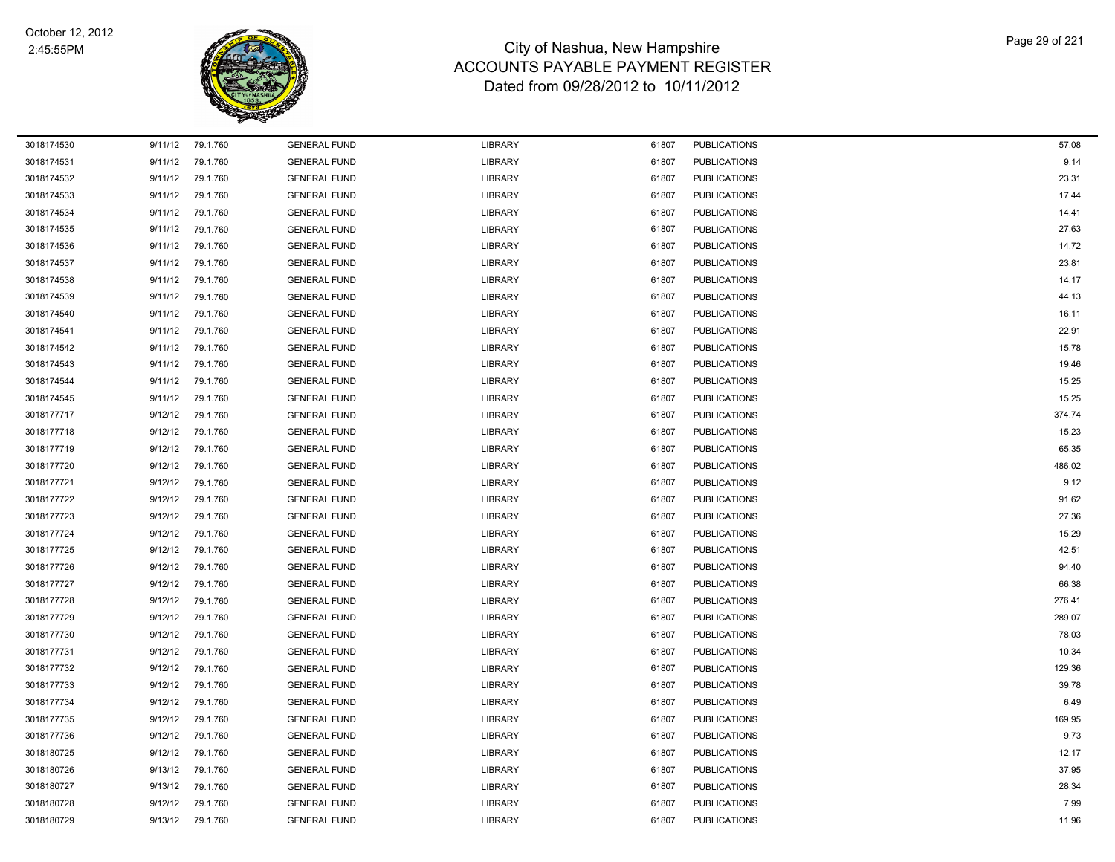

| 3018174530 | 9/11/12 | 79.1.760 | <b>GENERAL FUND</b> | <b>LIBRARY</b> | 61807 | <b>PUBLICATIONS</b> | 57.08  |
|------------|---------|----------|---------------------|----------------|-------|---------------------|--------|
| 3018174531 | 9/11/12 | 79.1.760 | <b>GENERAL FUND</b> | <b>LIBRARY</b> | 61807 | <b>PUBLICATIONS</b> | 9.14   |
| 3018174532 | 9/11/12 | 79.1.760 | <b>GENERAL FUND</b> | <b>LIBRARY</b> | 61807 | <b>PUBLICATIONS</b> | 23.31  |
| 3018174533 | 9/11/12 | 79.1.760 | <b>GENERAL FUND</b> | <b>LIBRARY</b> | 61807 | PUBLICATIONS        | 17.44  |
| 3018174534 | 9/11/12 | 79.1.760 | <b>GENERAL FUND</b> | <b>LIBRARY</b> | 61807 | <b>PUBLICATIONS</b> | 14.41  |
| 3018174535 | 9/11/12 | 79.1.760 | <b>GENERAL FUND</b> | <b>LIBRARY</b> | 61807 | <b>PUBLICATIONS</b> | 27.63  |
| 3018174536 | 9/11/12 | 79.1.760 | <b>GENERAL FUND</b> | <b>LIBRARY</b> | 61807 | <b>PUBLICATIONS</b> | 14.72  |
| 3018174537 | 9/11/12 | 79.1.760 | <b>GENERAL FUND</b> | <b>LIBRARY</b> | 61807 | <b>PUBLICATIONS</b> | 23.81  |
| 3018174538 | 9/11/12 | 79.1.760 | <b>GENERAL FUND</b> | <b>LIBRARY</b> | 61807 | <b>PUBLICATIONS</b> | 14.17  |
| 3018174539 | 9/11/12 | 79.1.760 | <b>GENERAL FUND</b> | <b>LIBRARY</b> | 61807 | <b>PUBLICATIONS</b> | 44.13  |
| 3018174540 | 9/11/12 | 79.1.760 | <b>GENERAL FUND</b> | <b>LIBRARY</b> | 61807 | <b>PUBLICATIONS</b> | 16.11  |
| 3018174541 | 9/11/12 | 79.1.760 | <b>GENERAL FUND</b> | <b>LIBRARY</b> | 61807 | <b>PUBLICATIONS</b> | 22.91  |
| 3018174542 | 9/11/12 | 79.1.760 | <b>GENERAL FUND</b> | <b>LIBRARY</b> | 61807 | <b>PUBLICATIONS</b> | 15.78  |
| 3018174543 | 9/11/12 | 79.1.760 | <b>GENERAL FUND</b> | <b>LIBRARY</b> | 61807 | <b>PUBLICATIONS</b> | 19.46  |
| 3018174544 | 9/11/12 | 79.1.760 | <b>GENERAL FUND</b> | <b>LIBRARY</b> | 61807 | <b>PUBLICATIONS</b> | 15.25  |
| 3018174545 | 9/11/12 | 79.1.760 | <b>GENERAL FUND</b> | <b>LIBRARY</b> | 61807 | <b>PUBLICATIONS</b> | 15.25  |
| 3018177717 | 9/12/12 | 79.1.760 | <b>GENERAL FUND</b> | LIBRARY        | 61807 | <b>PUBLICATIONS</b> | 374.74 |
| 3018177718 | 9/12/12 | 79.1.760 | <b>GENERAL FUND</b> | <b>LIBRARY</b> | 61807 | <b>PUBLICATIONS</b> | 15.23  |
| 3018177719 | 9/12/12 | 79.1.760 | <b>GENERAL FUND</b> | <b>LIBRARY</b> | 61807 | <b>PUBLICATIONS</b> | 65.35  |
| 3018177720 | 9/12/12 | 79.1.760 | <b>GENERAL FUND</b> | <b>LIBRARY</b> | 61807 | <b>PUBLICATIONS</b> | 486.02 |
| 3018177721 | 9/12/12 | 79.1.760 | <b>GENERAL FUND</b> | <b>LIBRARY</b> | 61807 | <b>PUBLICATIONS</b> | 9.12   |
| 3018177722 | 9/12/12 | 79.1.760 | <b>GENERAL FUND</b> | <b>LIBRARY</b> | 61807 | <b>PUBLICATIONS</b> | 91.62  |
| 3018177723 | 9/12/12 | 79.1.760 | <b>GENERAL FUND</b> | <b>LIBRARY</b> | 61807 | <b>PUBLICATIONS</b> | 27.36  |
| 3018177724 | 9/12/12 | 79.1.760 | <b>GENERAL FUND</b> | <b>LIBRARY</b> | 61807 | <b>PUBLICATIONS</b> | 15.29  |
| 3018177725 | 9/12/12 | 79.1.760 | <b>GENERAL FUND</b> | <b>LIBRARY</b> | 61807 | <b>PUBLICATIONS</b> | 42.51  |
| 3018177726 | 9/12/12 | 79.1.760 | <b>GENERAL FUND</b> | <b>LIBRARY</b> | 61807 | <b>PUBLICATIONS</b> | 94.40  |
| 3018177727 | 9/12/12 | 79.1.760 | <b>GENERAL FUND</b> | <b>LIBRARY</b> | 61807 | <b>PUBLICATIONS</b> | 66.38  |
| 3018177728 | 9/12/12 | 79.1.760 | <b>GENERAL FUND</b> | LIBRARY        | 61807 | <b>PUBLICATIONS</b> | 276.41 |
| 3018177729 | 9/12/12 | 79.1.760 | <b>GENERAL FUND</b> | <b>LIBRARY</b> | 61807 | <b>PUBLICATIONS</b> | 289.07 |
| 3018177730 | 9/12/12 | 79.1.760 | <b>GENERAL FUND</b> | <b>LIBRARY</b> | 61807 | <b>PUBLICATIONS</b> | 78.03  |
| 3018177731 | 9/12/12 | 79.1.760 | <b>GENERAL FUND</b> | <b>LIBRARY</b> | 61807 | <b>PUBLICATIONS</b> | 10.34  |
| 3018177732 | 9/12/12 | 79.1.760 | <b>GENERAL FUND</b> | <b>LIBRARY</b> | 61807 | <b>PUBLICATIONS</b> | 129.36 |
| 3018177733 | 9/12/12 | 79.1.760 | <b>GENERAL FUND</b> | <b>LIBRARY</b> | 61807 | <b>PUBLICATIONS</b> | 39.78  |
| 3018177734 | 9/12/12 | 79.1.760 | <b>GENERAL FUND</b> | <b>LIBRARY</b> | 61807 | <b>PUBLICATIONS</b> | 6.49   |
| 3018177735 | 9/12/12 | 79.1.760 | <b>GENERAL FUND</b> | <b>LIBRARY</b> | 61807 | <b>PUBLICATIONS</b> | 169.95 |
| 3018177736 | 9/12/12 | 79.1.760 | <b>GENERAL FUND</b> | <b>LIBRARY</b> | 61807 | <b>PUBLICATIONS</b> | 9.73   |
| 3018180725 | 9/12/12 | 79.1.760 | <b>GENERAL FUND</b> | <b>LIBRARY</b> | 61807 | <b>PUBLICATIONS</b> | 12.17  |
| 3018180726 | 9/13/12 | 79.1.760 | <b>GENERAL FUND</b> | <b>LIBRARY</b> | 61807 | <b>PUBLICATIONS</b> | 37.95  |
| 3018180727 | 9/13/12 | 79.1.760 | <b>GENERAL FUND</b> | LIBRARY        | 61807 | <b>PUBLICATIONS</b> | 28.34  |
| 3018180728 | 9/12/12 | 79.1.760 | <b>GENERAL FUND</b> | LIBRARY        | 61807 | <b>PUBLICATIONS</b> | 7.99   |
| 3018180729 | 9/13/12 | 79.1.760 | <b>GENERAL FUND</b> | <b>LIBRARY</b> | 61807 | <b>PUBLICATIONS</b> | 11.96  |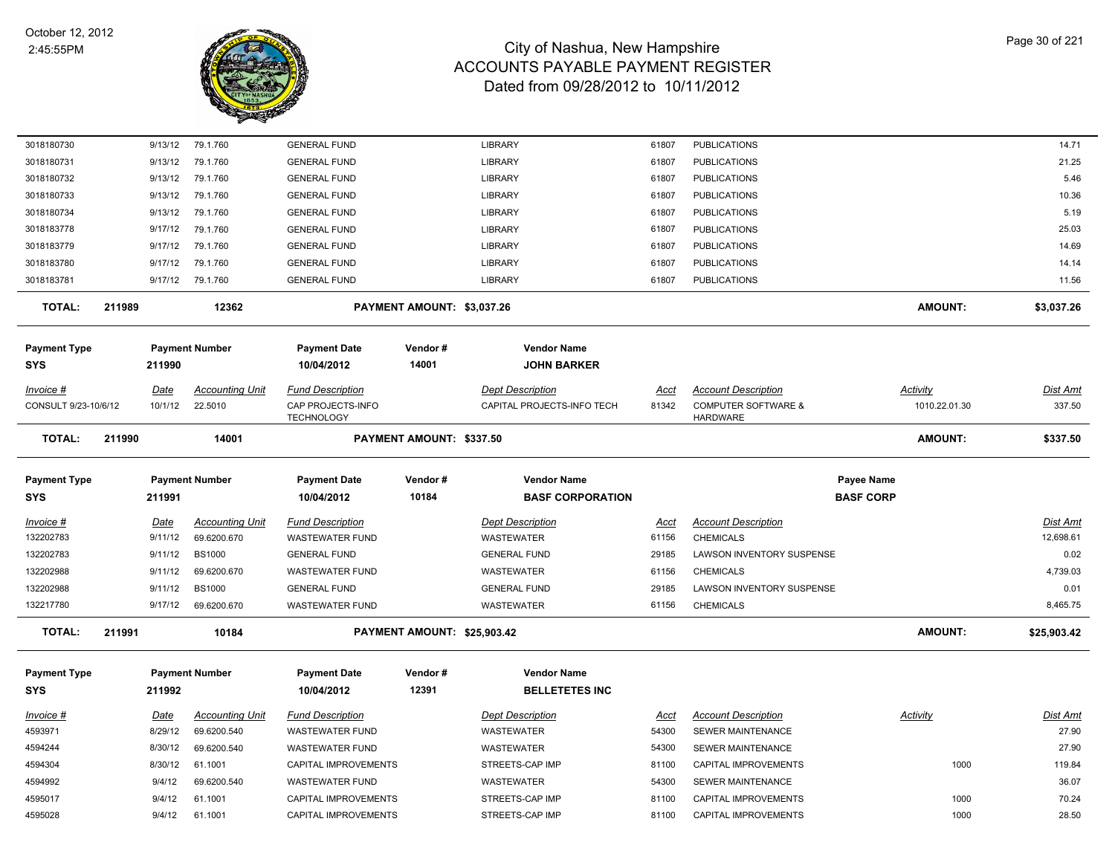

| 3018180730           |        | 9/13/12 | 79.1.760               | <b>GENERAL FUND</b>                    |                             | <b>LIBRARY</b>             | 61807       | <b>PUBLICATIONS</b>                               |                   | 14.71           |
|----------------------|--------|---------|------------------------|----------------------------------------|-----------------------------|----------------------------|-------------|---------------------------------------------------|-------------------|-----------------|
| 3018180731           |        | 9/13/12 | 79.1.760               | <b>GENERAL FUND</b>                    |                             | <b>LIBRARY</b>             | 61807       | <b>PUBLICATIONS</b>                               |                   | 21.25           |
| 3018180732           |        | 9/13/12 | 79.1.760               | <b>GENERAL FUND</b>                    |                             | <b>LIBRARY</b>             | 61807       | <b>PUBLICATIONS</b>                               |                   | 5.46            |
| 3018180733           |        | 9/13/12 | 79.1.760               | <b>GENERAL FUND</b>                    |                             | <b>LIBRARY</b>             | 61807       | <b>PUBLICATIONS</b>                               |                   | 10.36           |
| 3018180734           |        | 9/13/12 | 79.1.760               | <b>GENERAL FUND</b>                    |                             | <b>LIBRARY</b>             | 61807       | <b>PUBLICATIONS</b>                               |                   | 5.19            |
| 3018183778           |        | 9/17/12 | 79.1.760               | <b>GENERAL FUND</b>                    |                             | <b>LIBRARY</b>             | 61807       | <b>PUBLICATIONS</b>                               |                   | 25.03           |
| 3018183779           |        | 9/17/12 | 79.1.760               | <b>GENERAL FUND</b>                    |                             | <b>LIBRARY</b>             | 61807       | <b>PUBLICATIONS</b>                               |                   | 14.69           |
| 3018183780           |        | 9/17/12 | 79.1.760               | <b>GENERAL FUND</b>                    |                             | LIBRARY                    | 61807       | <b>PUBLICATIONS</b>                               |                   | 14.14           |
| 3018183781           |        | 9/17/12 | 79.1.760               | <b>GENERAL FUND</b>                    |                             | <b>LIBRARY</b>             | 61807       | <b>PUBLICATIONS</b>                               |                   | 11.56           |
| <b>TOTAL:</b>        | 211989 |         | 12362                  |                                        | PAYMENT AMOUNT: \$3,037.26  |                            |             |                                                   | <b>AMOUNT:</b>    | \$3,037.26      |
| <b>Payment Type</b>  |        |         | <b>Payment Number</b>  | <b>Payment Date</b>                    | Vendor#                     | <b>Vendor Name</b>         |             |                                                   |                   |                 |
| SYS                  |        | 211990  |                        | 10/04/2012                             | 14001                       | <b>JOHN BARKER</b>         |             |                                                   |                   |                 |
| Invoice #            |        | Date    | <b>Accounting Unit</b> | <b>Fund Description</b>                |                             | <b>Dept Description</b>    | Acct        | <b>Account Description</b>                        | Activity          | Dist Amt        |
| CONSULT 9/23-10/6/12 |        | 10/1/12 | 22.5010                | CAP PROJECTS-INFO<br><b>TECHNOLOGY</b> |                             | CAPITAL PROJECTS-INFO TECH | 81342       | <b>COMPUTER SOFTWARE &amp;</b><br><b>HARDWARE</b> | 1010.22.01.30     | 337.50          |
| <b>TOTAL:</b>        | 211990 |         | 14001                  |                                        | PAYMENT AMOUNT: \$337.50    |                            |             |                                                   | AMOUNT:           | \$337.50        |
| <b>Payment Type</b>  |        |         | <b>Payment Number</b>  | <b>Payment Date</b>                    | Vendor#                     | <b>Vendor Name</b>         |             |                                                   | <b>Payee Name</b> |                 |
| SYS                  |        | 211991  |                        | 10/04/2012                             | 10184                       | <b>BASF CORPORATION</b>    |             |                                                   | <b>BASF CORP</b>  |                 |
| Invoice #            |        | Date    | <b>Accounting Unit</b> | <b>Fund Description</b>                |                             | <b>Dept Description</b>    | <u>Acct</u> | <b>Account Description</b>                        |                   | <b>Dist Amt</b> |
| 132202783            |        | 9/11/12 | 69.6200.670            | <b>WASTEWATER FUND</b>                 |                             | WASTEWATER                 | 61156       | <b>CHEMICALS</b>                                  |                   | 12,698.61       |
| 132202783            |        | 9/11/12 | <b>BS1000</b>          | <b>GENERAL FUND</b>                    |                             | <b>GENERAL FUND</b>        | 29185       | LAWSON INVENTORY SUSPENSE                         |                   | 0.02            |
| 132202988            |        | 9/11/12 | 69.6200.670            | <b>WASTEWATER FUND</b>                 |                             | <b>WASTEWATER</b>          | 61156       | <b>CHEMICALS</b>                                  |                   | 4,739.03        |
| 132202988            |        | 9/11/12 | <b>BS1000</b>          | <b>GENERAL FUND</b>                    |                             | <b>GENERAL FUND</b>        | 29185       | LAWSON INVENTORY SUSPENSE                         |                   | 0.01            |
| 132217780            |        | 9/17/12 | 69.6200.670            | <b>WASTEWATER FUND</b>                 |                             | <b>WASTEWATER</b>          | 61156       | <b>CHEMICALS</b>                                  |                   | 8,465.75        |
| <b>TOTAL:</b>        | 211991 |         | 10184                  |                                        | PAYMENT AMOUNT: \$25,903.42 |                            |             |                                                   | AMOUNT:           | \$25,903.42     |
| Payment Type         |        |         | <b>Payment Number</b>  | <b>Payment Date</b>                    | Vendor#                     | <b>Vendor Name</b>         |             |                                                   |                   |                 |
| SYS                  |        | 211992  |                        | 10/04/2012                             | 12391                       | <b>BELLETETES INC</b>      |             |                                                   |                   |                 |
| <u> Invoice #</u>    |        | Date    | <b>Accounting Unit</b> | <b>Fund Description</b>                |                             | <b>Dept Description</b>    | Acct        | <b>Account Description</b>                        | Activity          | Dist Amt        |
| 4593971              |        | 8/29/12 | 69.6200.540            | <b>WASTEWATER FUND</b>                 |                             | WASTEWATER                 | 54300       | <b>SEWER MAINTENANCE</b>                          |                   | 27.90           |
| 4594244              |        | 8/30/12 | 69.6200.540            | <b>WASTEWATER FUND</b>                 |                             | <b>WASTEWATER</b>          | 54300       | <b>SEWER MAINTENANCE</b>                          |                   | 27.90           |
| 4594304              |        | 8/30/12 | 61.1001                | CAPITAL IMPROVEMENTS                   |                             | STREETS-CAP IMP            | 81100       | CAPITAL IMPROVEMENTS                              | 1000              | 119.84          |
| 4594992              |        | 9/4/12  | 69.6200.540            | <b>WASTEWATER FUND</b>                 |                             | WASTEWATER                 | 54300       | SEWER MAINTENANCE                                 |                   | 36.07           |
| 4595017              |        | 9/4/12  | 61.1001                | CAPITAL IMPROVEMENTS                   |                             | STREETS-CAP IMP            | 81100       | CAPITAL IMPROVEMENTS                              | 1000              | 70.24           |
| 4595028              |        | 9/4/12  | 61.1001                | CAPITAL IMPROVEMENTS                   |                             | STREETS-CAP IMP            | 81100       | CAPITAL IMPROVEMENTS                              | 1000              | 28.50           |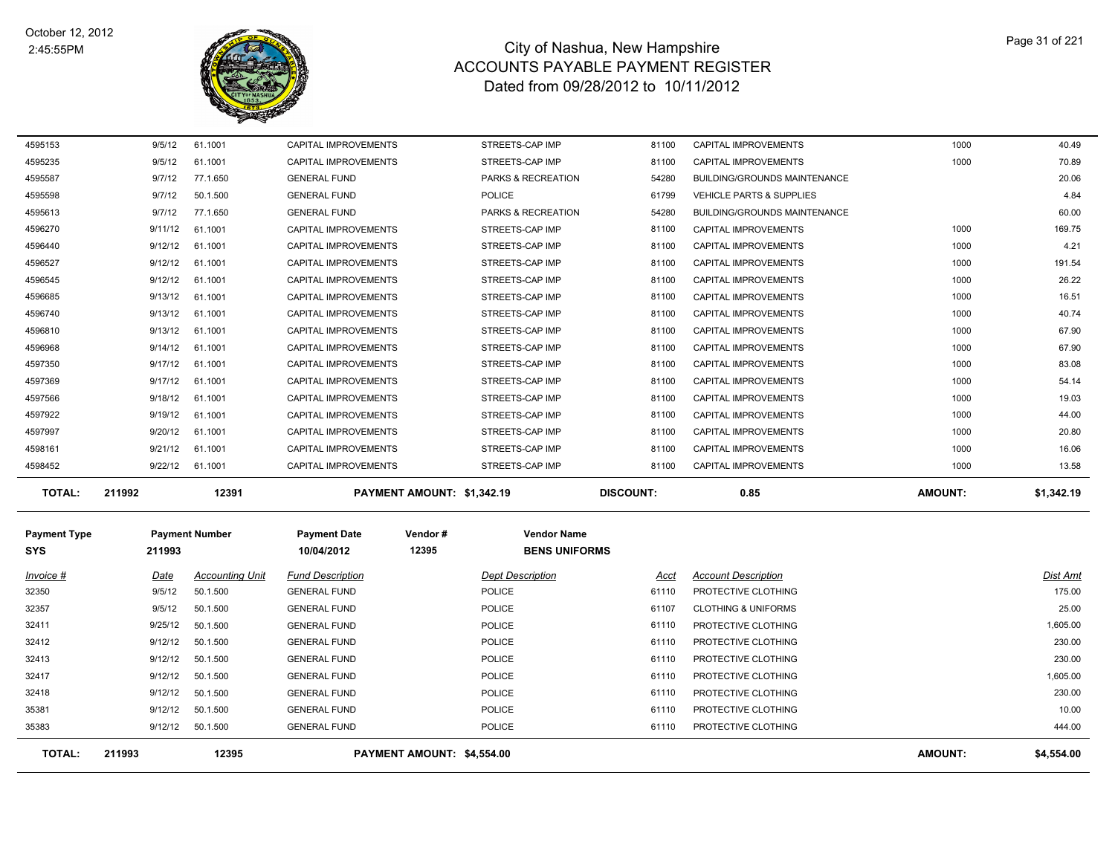

| <b>TOTAL:</b> | 211992  | 12391    | PAYMENT AMOUNT: \$1,342.19  |                               | <b>DISCOUNT:</b> | 0.85                                | <b>AMOUNT:</b> | \$1,342.19 |
|---------------|---------|----------|-----------------------------|-------------------------------|------------------|-------------------------------------|----------------|------------|
| 4598452       | 9/22/12 | 61.1001  | CAPITAL IMPROVEMENTS        | STREETS-CAP IMP               | 81100            | <b>CAPITAL IMPROVEMENTS</b>         | 1000           | 13.58      |
| 4598161       | 9/21/12 | 61.1001  | <b>CAPITAL IMPROVEMENTS</b> | STREETS-CAP IMP               | 81100            | <b>CAPITAL IMPROVEMENTS</b>         | 1000           | 16.06      |
| 4597997       | 9/20/12 | 61.1001  | <b>CAPITAL IMPROVEMENTS</b> | STREETS-CAP IMP               | 81100            | <b>CAPITAL IMPROVEMENTS</b>         | 1000           | 20.80      |
| 4597922       | 9/19/12 | 61.1001  | <b>CAPITAL IMPROVEMENTS</b> | STREETS-CAP IMP               | 81100            | <b>CAPITAL IMPROVEMENTS</b>         | 1000           | 44.00      |
| 4597566       | 9/18/12 | 61.1001  | <b>CAPITAL IMPROVEMENTS</b> | STREETS-CAP IMP               | 81100            | <b>CAPITAL IMPROVEMENTS</b>         | 1000           | 19.03      |
| 4597369       | 9/17/12 | 61.1001  | <b>CAPITAL IMPROVEMENTS</b> | STREETS-CAP IMP               | 81100            | <b>CAPITAL IMPROVEMENTS</b>         | 1000           | 54.14      |
| 4597350       | 9/17/12 | 61.1001  | <b>CAPITAL IMPROVEMENTS</b> | STREETS-CAP IMP               | 81100            | <b>CAPITAL IMPROVEMENTS</b>         | 1000           | 83.08      |
| 4596968       | 9/14/12 | 61.1001  | <b>CAPITAL IMPROVEMENTS</b> | STREETS-CAP IMP               | 81100            | <b>CAPITAL IMPROVEMENTS</b>         | 1000           | 67.90      |
| 4596810       | 9/13/12 | 61.1001  | <b>CAPITAL IMPROVEMENTS</b> | STREETS-CAP IMP               | 81100            | <b>CAPITAL IMPROVEMENTS</b>         | 1000           | 67.90      |
| 4596740       | 9/13/12 | 61.1001  | CAPITAL IMPROVEMENTS        | STREETS-CAP IMP               | 81100            | <b>CAPITAL IMPROVEMENTS</b>         | 1000           | 40.74      |
| 4596685       | 9/13/12 | 61.1001  | <b>CAPITAL IMPROVEMENTS</b> | STREETS-CAP IMP               | 81100            | <b>CAPITAL IMPROVEMENTS</b>         | 1000           | 16.51      |
| 4596545       | 9/12/12 | 61.1001  | <b>CAPITAL IMPROVEMENTS</b> | STREETS-CAP IMP               | 81100            | <b>CAPITAL IMPROVEMENTS</b>         | 1000           | 26.22      |
| 4596527       | 9/12/12 | 61.1001  | CAPITAL IMPROVEMENTS        | STREETS-CAP IMP               | 81100            | CAPITAL IMPROVEMENTS                | 1000           | 191.54     |
| 4596440       | 9/12/12 | 61.1001  | <b>CAPITAL IMPROVEMENTS</b> | STREETS-CAP IMP               | 81100            | CAPITAL IMPROVEMENTS                | 1000           | 4.21       |
| 4596270       | 9/11/12 | 61.1001  | CAPITAL IMPROVEMENTS        | STREETS-CAP IMP               | 81100            | <b>CAPITAL IMPROVEMENTS</b>         | 1000           | 169.75     |
| 4595613       | 9/7/12  | 77.1.650 | <b>GENERAL FUND</b>         | PARKS & RECREATION            | 54280            | <b>BUILDING/GROUNDS MAINTENANCE</b> |                | 60.00      |
| 4595598       | 9/7/12  | 50.1.500 | <b>GENERAL FUND</b>         | POLICE                        | 61799            | <b>VEHICLE PARTS &amp; SUPPLIES</b> |                | 4.84       |
| 4595587       | 9/7/12  | 77.1.650 | <b>GENERAL FUND</b>         | <b>PARKS &amp; RECREATION</b> | 54280            | <b>BUILDING/GROUNDS MAINTENANCE</b> |                | 20.06      |
| 4595235       | 9/5/12  | 61.1001  | <b>CAPITAL IMPROVEMENTS</b> | STREETS-CAP IMP               | 81100            | <b>CAPITAL IMPROVEMENTS</b>         | 1000           | 70.89      |
| 4595153       | 9/5/12  | 61.1001  | <b>CAPITAL IMPROVEMENTS</b> | STREETS-CAP IMP               | 81100            | <b>CAPITAL IMPROVEMENTS</b>         | 1000           | 40.49      |

| <b>Payment Type</b><br><b>SYS</b> | 211993  | <b>Payment Number</b>  | <b>Payment Date</b><br>10/04/2012 | Vendor#<br>12395           | <b>Vendor Name</b><br><b>BENS UNIFORMS</b> |       |                                |                |            |
|-----------------------------------|---------|------------------------|-----------------------------------|----------------------------|--------------------------------------------|-------|--------------------------------|----------------|------------|
| Invoice #                         | Date    | <b>Accounting Unit</b> | <b>Fund Description</b>           |                            | <b>Dept Description</b>                    | Acct  | <b>Account Description</b>     |                | Dist Amt   |
| 32350                             | 9/5/12  | 50.1.500               | <b>GENERAL FUND</b>               |                            | POLICE                                     | 61110 | PROTECTIVE CLOTHING            |                | 175.00     |
| 32357                             | 9/5/12  | 50.1.500               | <b>GENERAL FUND</b>               |                            | POLICE                                     | 61107 | <b>CLOTHING &amp; UNIFORMS</b> |                | 25.00      |
| 32411                             | 9/25/12 | 50.1.500               | <b>GENERAL FUND</b>               |                            | POLICE                                     | 61110 | PROTECTIVE CLOTHING            |                | 1,605.00   |
| 32412                             | 9/12/12 | 50.1.500               | <b>GENERAL FUND</b>               |                            | POLICE                                     | 61110 | PROTECTIVE CLOTHING            |                | 230.00     |
| 32413                             | 9/12/12 | 50.1.500               | <b>GENERAL FUND</b>               |                            | POLICE                                     | 61110 | PROTECTIVE CLOTHING            |                | 230.00     |
| 32417                             | 9/12/12 | 50.1.500               | <b>GENERAL FUND</b>               |                            | POLICE                                     | 61110 | PROTECTIVE CLOTHING            |                | 1,605.00   |
| 32418                             | 9/12/12 | 50.1.500               | <b>GENERAL FUND</b>               |                            | POLICE                                     | 61110 | PROTECTIVE CLOTHING            |                | 230.00     |
| 35381                             | 9/12/12 | 50.1.500               | <b>GENERAL FUND</b>               |                            | POLICE                                     | 61110 | PROTECTIVE CLOTHING            |                | 10.00      |
| 35383                             | 9/12/12 | 50.1.500               | <b>GENERAL FUND</b>               |                            | POLICE                                     | 61110 | PROTECTIVE CLOTHING            |                | 444.00     |
| <b>TOTAL:</b>                     | 211993  | 12395                  |                                   | PAYMENT AMOUNT: \$4,554.00 |                                            |       |                                | <b>AMOUNT:</b> | \$4,554.00 |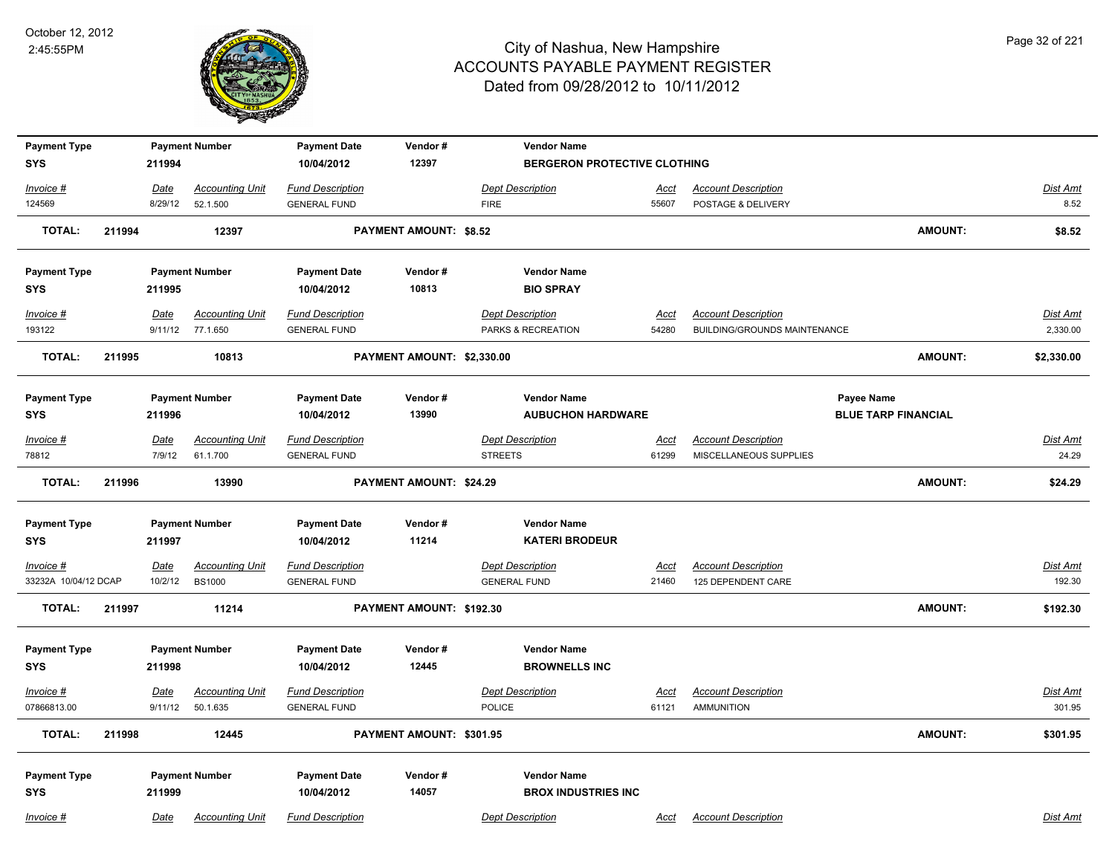

| <b>Payment Type</b><br><b>SYS</b> | <b>Payment Number</b><br>211994 |                | <b>Payment Date</b><br>10/04/2012  | Vendor#<br>12397                               | <b>Vendor Name</b>            | BERGERON PROTECTIVE CLOTHING                     |               |                                                      |                |                   |  |
|-----------------------------------|---------------------------------|----------------|------------------------------------|------------------------------------------------|-------------------------------|--------------------------------------------------|---------------|------------------------------------------------------|----------------|-------------------|--|
| Invoice #                         |                                 | Date           | <b>Accounting Unit</b>             | <b>Fund Description</b>                        |                               | <b>Dept Description</b>                          | <u>Acct</u>   | <b>Account Description</b>                           |                | Dist Amt          |  |
| 124569                            |                                 | 8/29/12        | 52.1.500                           | <b>GENERAL FUND</b>                            |                               | <b>FIRE</b>                                      | 55607         | POSTAGE & DELIVERY                                   |                | 8.52              |  |
| <b>TOTAL:</b>                     | 211994                          |                | 12397                              |                                                | <b>PAYMENT AMOUNT: \$8.52</b> |                                                  |               |                                                      | AMOUNT:        | \$8.52            |  |
| <b>Payment Type</b>               |                                 |                | <b>Payment Number</b>              | <b>Payment Date</b>                            | Vendor#                       | <b>Vendor Name</b>                               |               |                                                      |                |                   |  |
| <b>SYS</b>                        |                                 | 211995         |                                    | 10/04/2012                                     | 10813                         | <b>BIO SPRAY</b>                                 |               |                                                      |                |                   |  |
| $Invoice$ #                       |                                 | Date           | <b>Accounting Unit</b>             | <b>Fund Description</b>                        |                               | <b>Dept Description</b>                          | <u>Acct</u>   | <b>Account Description</b>                           |                | Dist Amt          |  |
| 193122                            |                                 |                | 9/11/12 77.1.650                   | <b>GENERAL FUND</b>                            |                               | PARKS & RECREATION                               | 54280         | BUILDING/GROUNDS MAINTENANCE                         |                | 2,330.00          |  |
| <b>TOTAL:</b>                     | 211995                          |                | 10813                              |                                                | PAYMENT AMOUNT: \$2,330.00    |                                                  |               |                                                      | AMOUNT:        | \$2,330.00        |  |
| <b>Payment Type</b>               |                                 |                | <b>Payment Number</b>              | <b>Payment Date</b>                            | Vendor#                       | <b>Vendor Name</b>                               |               |                                                      | Payee Name     |                   |  |
| <b>SYS</b>                        |                                 | 211996         |                                    | 10/04/2012                                     | 13990                         | <b>AUBUCHON HARDWARE</b>                         |               | <b>BLUE TARP FINANCIAL</b>                           |                |                   |  |
| Invoice #<br>78812                |                                 | Date<br>7/9/12 | <b>Accounting Unit</b><br>61.1.700 | <b>Fund Description</b><br><b>GENERAL FUND</b> |                               | <b>Dept Description</b><br><b>STREETS</b>        | Acct<br>61299 | <b>Account Description</b><br>MISCELLANEOUS SUPPLIES |                | Dist Amt<br>24.29 |  |
| <b>TOTAL:</b>                     | 211996                          |                | 13990                              |                                                | PAYMENT AMOUNT: \$24.29       |                                                  |               |                                                      | AMOUNT:        | \$24.29           |  |
| <b>Payment Type</b><br><b>SYS</b> |                                 | 211997         | <b>Payment Number</b>              | <b>Payment Date</b><br>10/04/2012              | Vendor#<br>11214              | <b>Vendor Name</b><br><b>KATERI BRODEUR</b>      |               |                                                      |                |                   |  |
| <u>Invoice #</u>                  |                                 | <u>Date</u>    | <b>Accounting Unit</b>             | <b>Fund Description</b>                        |                               | <b>Dept Description</b>                          | <u>Acct</u>   | <b>Account Description</b>                           |                | <u>Dist Amt</u>   |  |
| 33232A 10/04/12 DCAP              |                                 | 10/2/12        | <b>BS1000</b>                      | <b>GENERAL FUND</b>                            |                               | <b>GENERAL FUND</b>                              | 21460         | 125 DEPENDENT CARE                                   |                | 192.30            |  |
| <b>TOTAL:</b>                     | 211997                          |                | 11214                              |                                                | PAYMENT AMOUNT: \$192.30      |                                                  |               |                                                      | <b>AMOUNT:</b> | \$192.30          |  |
| <b>Payment Type</b><br><b>SYS</b> |                                 | 211998         | <b>Payment Number</b>              | <b>Payment Date</b><br>10/04/2012              | Vendor#<br>12445              | <b>Vendor Name</b><br><b>BROWNELLS INC</b>       |               |                                                      |                |                   |  |
| Invoice #                         |                                 | Date           | <b>Accounting Unit</b>             | <b>Fund Description</b>                        |                               | <b>Dept Description</b>                          | Acct          | <b>Account Description</b>                           |                | Dist Amt          |  |
| 07866813.00                       |                                 | 9/11/12        | 50.1.635                           | <b>GENERAL FUND</b>                            |                               | POLICE                                           | 61121         | <b>AMMUNITION</b>                                    |                | 301.95            |  |
| <b>TOTAL:</b>                     | 211998                          |                | 12445                              |                                                | PAYMENT AMOUNT: \$301.95      |                                                  |               |                                                      | AMOUNT:        | \$301.95          |  |
| <b>Payment Type</b><br><b>SYS</b> |                                 | 211999         | <b>Payment Number</b>              | <b>Payment Date</b><br>10/04/2012              | Vendor#<br>14057              | <b>Vendor Name</b><br><b>BROX INDUSTRIES INC</b> |               |                                                      |                |                   |  |
| Invoice #                         |                                 | Date           | <b>Accounting Unit</b>             | <b>Fund Description</b>                        |                               | <b>Dept Description</b>                          | Acct          | <b>Account Description</b>                           |                | Dist Amt          |  |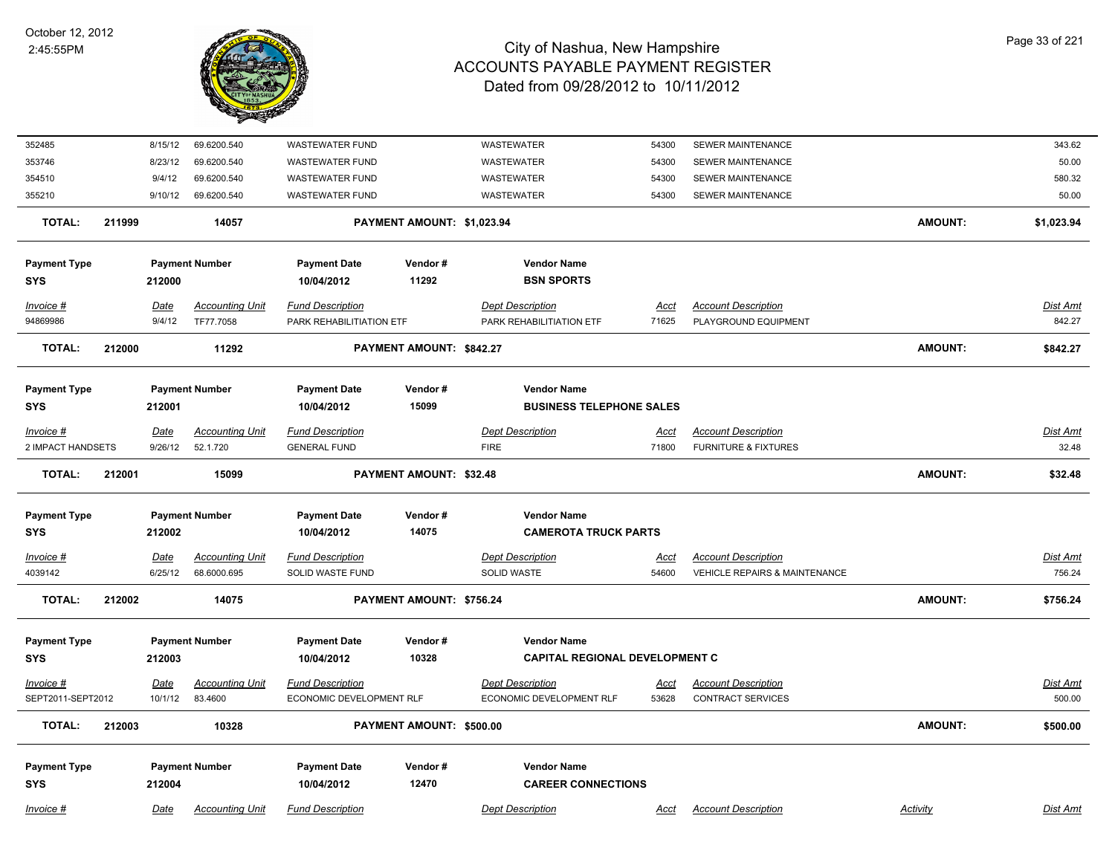

| 352485                            |        | 8/15/12     | 69.6200.540            | <b>WASTEWATER FUND</b>            |                            | <b>WASTEWATER</b>                               | 54300       | <b>SEWER MAINTENANCE</b>                 |                 | 343.62          |
|-----------------------------------|--------|-------------|------------------------|-----------------------------------|----------------------------|-------------------------------------------------|-------------|------------------------------------------|-----------------|-----------------|
| 353746                            |        | 8/23/12     | 69.6200.540            | <b>WASTEWATER FUND</b>            |                            | WASTEWATER                                      | 54300       | <b>SEWER MAINTENANCE</b>                 |                 | 50.00           |
| 354510                            |        | 9/4/12      | 69.6200.540            | <b>WASTEWATER FUND</b>            |                            | WASTEWATER                                      | 54300       | SEWER MAINTENANCE                        |                 | 580.32          |
| 355210                            |        | 9/10/12     | 69.6200.540            | <b>WASTEWATER FUND</b>            |                            | <b>WASTEWATER</b>                               | 54300       | <b>SEWER MAINTENANCE</b>                 |                 | 50.00           |
| <b>TOTAL:</b>                     | 211999 |             | 14057                  |                                   | PAYMENT AMOUNT: \$1,023.94 |                                                 |             |                                          | <b>AMOUNT:</b>  | \$1,023.94      |
| <b>Payment Type</b>               |        |             | <b>Payment Number</b>  | <b>Payment Date</b>               | Vendor#                    | <b>Vendor Name</b>                              |             |                                          |                 |                 |
| <b>SYS</b>                        |        | 212000      |                        | 10/04/2012                        | 11292                      | <b>BSN SPORTS</b>                               |             |                                          |                 |                 |
| Invoice #                         |        | Date        | <b>Accounting Unit</b> | <b>Fund Description</b>           |                            | <b>Dept Description</b>                         | Acct        | <b>Account Description</b>               |                 | <b>Dist Amt</b> |
| 94869986                          |        | 9/4/12      | TF77.7058              | PARK REHABILITIATION ETF          |                            | PARK REHABILITIATION ETF                        | 71625       | PLAYGROUND EQUIPMENT                     |                 | 842.27          |
| <b>TOTAL:</b>                     | 212000 |             | 11292                  |                                   | PAYMENT AMOUNT: \$842.27   |                                                 |             |                                          | <b>AMOUNT:</b>  | \$842.27        |
| <b>Payment Type</b>               |        |             | <b>Payment Number</b>  | <b>Payment Date</b>               | Vendor#                    | <b>Vendor Name</b>                              |             |                                          |                 |                 |
| <b>SYS</b>                        |        | 212001      |                        | 10/04/2012                        | 15099                      | <b>BUSINESS TELEPHONE SALES</b>                 |             |                                          |                 |                 |
| Invoice #                         |        | <b>Date</b> | <b>Accounting Unit</b> | <b>Fund Description</b>           |                            | <b>Dept Description</b>                         | Acct        | <b>Account Description</b>               |                 | Dist Amt        |
| 2 IMPACT HANDSETS                 |        | 9/26/12     | 52.1.720               | <b>GENERAL FUND</b>               |                            | <b>FIRE</b>                                     | 71800       | <b>FURNITURE &amp; FIXTURES</b>          |                 | 32.48           |
| <b>TOTAL:</b>                     | 212001 |             | 15099                  |                                   | PAYMENT AMOUNT: \$32.48    |                                                 |             |                                          | <b>AMOUNT:</b>  | \$32.48         |
| <b>Payment Type</b>               |        |             | <b>Payment Number</b>  | <b>Payment Date</b>               | Vendor#                    | <b>Vendor Name</b>                              |             |                                          |                 |                 |
| <b>SYS</b>                        |        | 212002      |                        | 10/04/2012                        | 14075                      | <b>CAMEROTA TRUCK PARTS</b>                     |             |                                          |                 |                 |
| $Invoice$ #                       |        | Date        | <b>Accounting Unit</b> | <b>Fund Description</b>           |                            | <b>Dept Description</b>                         | <u>Acct</u> | <b>Account Description</b>               |                 | <b>Dist Amt</b> |
| 4039142                           |        | 6/25/12     | 68.6000.695            | SOLID WASTE FUND                  |                            | <b>SOLID WASTE</b>                              | 54600       | <b>VEHICLE REPAIRS &amp; MAINTENANCE</b> |                 | 756.24          |
| <b>TOTAL:</b>                     | 212002 |             | 14075                  |                                   | PAYMENT AMOUNT: \$756.24   |                                                 |             |                                          | <b>AMOUNT:</b>  | \$756.24        |
| <b>Payment Type</b>               |        |             | <b>Payment Number</b>  | <b>Payment Date</b>               | Vendor#                    | <b>Vendor Name</b>                              |             |                                          |                 |                 |
| <b>SYS</b>                        |        | 212003      |                        | 10/04/2012                        | 10328                      | CAPITAL REGIONAL DEVELOPMENT C                  |             |                                          |                 |                 |
| Invoice #                         |        | <b>Date</b> | <b>Accounting Unit</b> | <b>Fund Description</b>           |                            | Dept Description                                | <u>Acct</u> | <b>Account Description</b>               |                 | <u>Dist Amt</u> |
| SEPT2011-SEPT2012                 |        | 10/1/12     | 83.4600                | ECONOMIC DEVELOPMENT RLF          |                            | ECONOMIC DEVELOPMENT RLF                        | 53628       | <b>CONTRACT SERVICES</b>                 |                 | 500.00          |
| TOTAL:                            | 212003 |             | 10328                  |                                   | PAYMENT AMOUNT: \$500.00   |                                                 |             |                                          | <b>AMOUNT:</b>  | \$500.00        |
|                                   |        |             |                        |                                   |                            |                                                 |             |                                          |                 |                 |
| <b>Payment Type</b><br><b>SYS</b> |        | 212004      | <b>Payment Number</b>  | <b>Payment Date</b><br>10/04/2012 | Vendor#<br>12470           | <b>Vendor Name</b><br><b>CAREER CONNECTIONS</b> |             |                                          |                 |                 |
|                                   |        |             |                        |                                   |                            |                                                 |             |                                          |                 |                 |
| Invoice #                         |        | Date        | <b>Accounting Unit</b> | <b>Fund Description</b>           |                            | <b>Dept Description</b>                         | <u>Acct</u> | <b>Account Description</b>               | <b>Activity</b> | <b>Dist Amt</b> |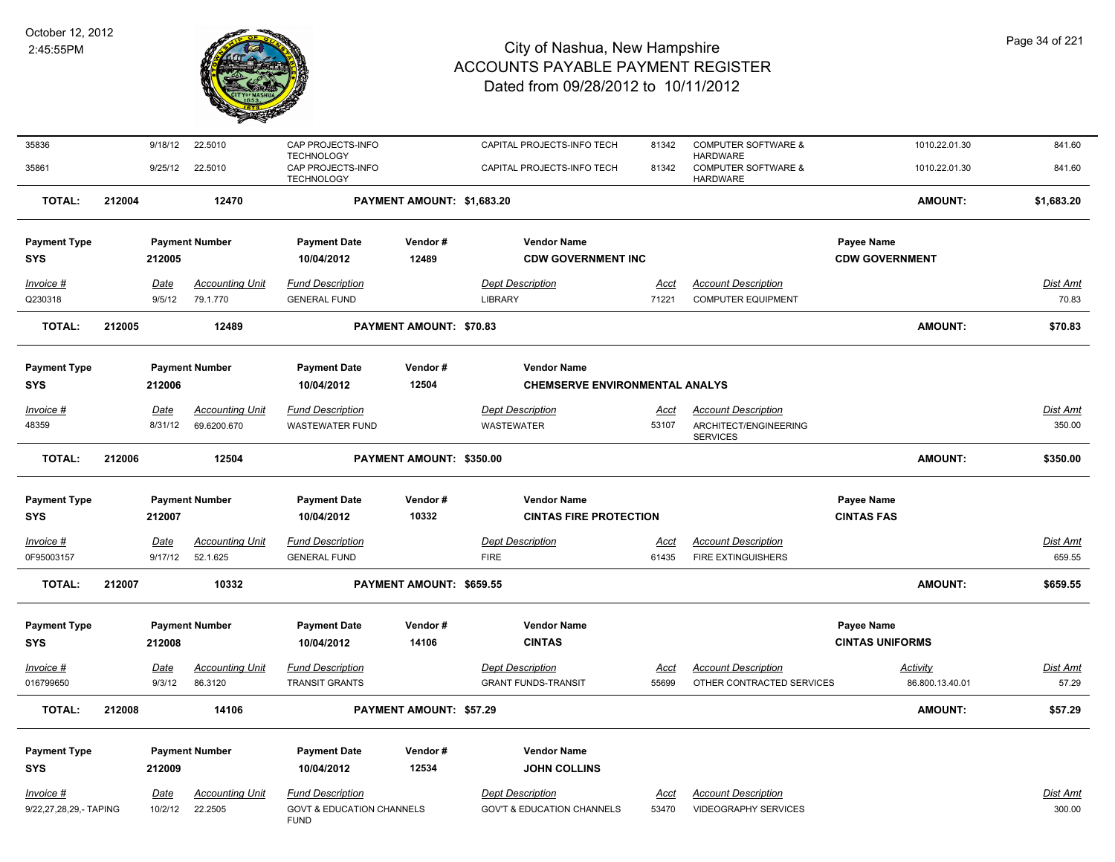

| 35836                  |        | 9/18/12 | 22.5010                | CAP PROJECTS-INFO                                           |                                | CAPITAL PROJECTS-INFO TECH            | 81342       | <b>COMPUTER SOFTWARE &amp;</b>                                       | 1010.22.01.30          | 841.60     |
|------------------------|--------|---------|------------------------|-------------------------------------------------------------|--------------------------------|---------------------------------------|-------------|----------------------------------------------------------------------|------------------------|------------|
| 35861                  |        | 9/25/12 | 22.5010                | <b>TECHNOLOGY</b><br>CAP PROJECTS-INFO<br><b>TECHNOLOGY</b> |                                | CAPITAL PROJECTS-INFO TECH            | 81342       | <b>HARDWARE</b><br><b>COMPUTER SOFTWARE &amp;</b><br><b>HARDWARE</b> | 1010.22.01.30          | 841.60     |
| <b>TOTAL:</b>          | 212004 |         | 12470                  |                                                             | PAYMENT AMOUNT: \$1,683.20     |                                       |             |                                                                      | <b>AMOUNT:</b>         | \$1,683.20 |
| <b>Payment Type</b>    |        |         | <b>Payment Number</b>  | <b>Payment Date</b>                                         | Vendor#                        | <b>Vendor Name</b>                    |             |                                                                      | <b>Payee Name</b>      |            |
| <b>SYS</b>             |        | 212005  |                        | 10/04/2012                                                  | 12489                          | <b>CDW GOVERNMENT INC</b>             |             |                                                                      | <b>CDW GOVERNMENT</b>  |            |
| Invoice #              |        | Date    | <b>Accounting Unit</b> | <b>Fund Description</b>                                     |                                | <b>Dept Description</b>               | Acct        | <b>Account Description</b>                                           |                        | Dist Amt   |
| Q230318                |        | 9/5/12  | 79.1.770               | <b>GENERAL FUND</b>                                         |                                | <b>LIBRARY</b>                        | 71221       | <b>COMPUTER EQUIPMENT</b>                                            |                        | 70.83      |
| <b>TOTAL:</b>          | 212005 |         | 12489                  |                                                             | PAYMENT AMOUNT: \$70.83        |                                       |             |                                                                      | <b>AMOUNT:</b>         | \$70.83    |
| <b>Payment Type</b>    |        |         | <b>Payment Number</b>  | <b>Payment Date</b>                                         | Vendor#                        | <b>Vendor Name</b>                    |             |                                                                      |                        |            |
| <b>SYS</b>             |        | 212006  |                        | 10/04/2012                                                  | 12504                          |                                       |             |                                                                      |                        |            |
| Invoice #              |        | Date    | <b>Accounting Unit</b> | <b>Fund Description</b>                                     |                                | <b>Dept Description</b>               | Acct        | <b>Account Description</b>                                           |                        | Dist Amt   |
| 48359                  |        | 8/31/12 | 69.6200.670            | <b>WASTEWATER FUND</b>                                      |                                | <b>WASTEWATER</b>                     | 53107       | ARCHITECT/ENGINEERING<br><b>SERVICES</b>                             |                        | 350.00     |
| <b>TOTAL:</b>          | 212006 |         | 12504                  |                                                             | PAYMENT AMOUNT: \$350.00       |                                       |             |                                                                      | <b>AMOUNT:</b>         | \$350.00   |
| <b>Payment Type</b>    |        |         | <b>Payment Number</b>  | <b>Payment Date</b>                                         | Vendor#                        | <b>Vendor Name</b>                    |             |                                                                      | <b>Payee Name</b>      |            |
| <b>SYS</b>             |        | 212007  |                        | 10/04/2012                                                  | 10332                          | <b>CINTAS FIRE PROTECTION</b>         |             |                                                                      | <b>CINTAS FAS</b>      |            |
| Invoice #              |        | Date    | <b>Accounting Unit</b> | <b>Fund Description</b>                                     |                                | <b>Dept Description</b>               | Acct        | <b>Account Description</b>                                           |                        | Dist Amt   |
| 0F95003157             |        | 9/17/12 | 52.1.625               | <b>GENERAL FUND</b>                                         |                                | <b>FIRE</b>                           | 61435       | <b>FIRE EXTINGUISHERS</b>                                            |                        | 659.55     |
| <b>TOTAL:</b>          | 212007 |         | 10332                  |                                                             | PAYMENT AMOUNT: \$659.55       |                                       |             |                                                                      | <b>AMOUNT:</b>         | \$659.55   |
| <b>Payment Type</b>    |        |         | <b>Payment Number</b>  | <b>Payment Date</b>                                         | Vendor#                        | <b>Vendor Name</b>                    |             |                                                                      | <b>Payee Name</b>      |            |
| <b>SYS</b>             |        | 212008  |                        | 10/04/2012                                                  | 14106                          | <b>CINTAS</b>                         |             |                                                                      | <b>CINTAS UNIFORMS</b> |            |
| <b>Invoice #</b>       |        | Date    | <b>Accounting Unit</b> | <b>Fund Description</b>                                     |                                | <b>Dept Description</b>               | <u>Acct</u> | <b>Account Description</b>                                           | <b>Activity</b>        | Dist Amt   |
| 016799650              |        | 9/3/12  | 86.3120                | <b>TRANSIT GRANTS</b>                                       |                                | <b>GRANT FUNDS-TRANSIT</b>            | 55699       | OTHER CONTRACTED SERVICES                                            | 86.800.13.40.01        | 57.29      |
| <b>TOTAL:</b>          | 212008 |         | 14106                  |                                                             | <b>PAYMENT AMOUNT: \$57.29</b> |                                       |             |                                                                      | <b>AMOUNT:</b>         | \$57.29    |
| <b>Payment Type</b>    |        |         | <b>Payment Number</b>  | <b>Payment Date</b>                                         | Vendor#                        | <b>Vendor Name</b>                    |             |                                                                      |                        |            |
| <b>SYS</b>             |        | 212009  |                        | 10/04/2012                                                  | 12534                          | <b>JOHN COLLINS</b>                   |             |                                                                      |                        |            |
| Invoice #              |        | Date    | <b>Accounting Unit</b> | <b>Fund Description</b>                                     |                                | <b>Dept Description</b>               | Acct        | <b>Account Description</b>                                           |                        | Dist Amt   |
| 9/22,27,28,29,- TAPING |        | 10/2/12 | 22.2505                | <b>GOVT &amp; EDUCATION CHANNELS</b><br><b>FUND</b>         |                                | <b>GOV'T &amp; EDUCATION CHANNELS</b> | 53470       | <b>VIDEOGRAPHY SERVICES</b>                                          |                        | 300.00     |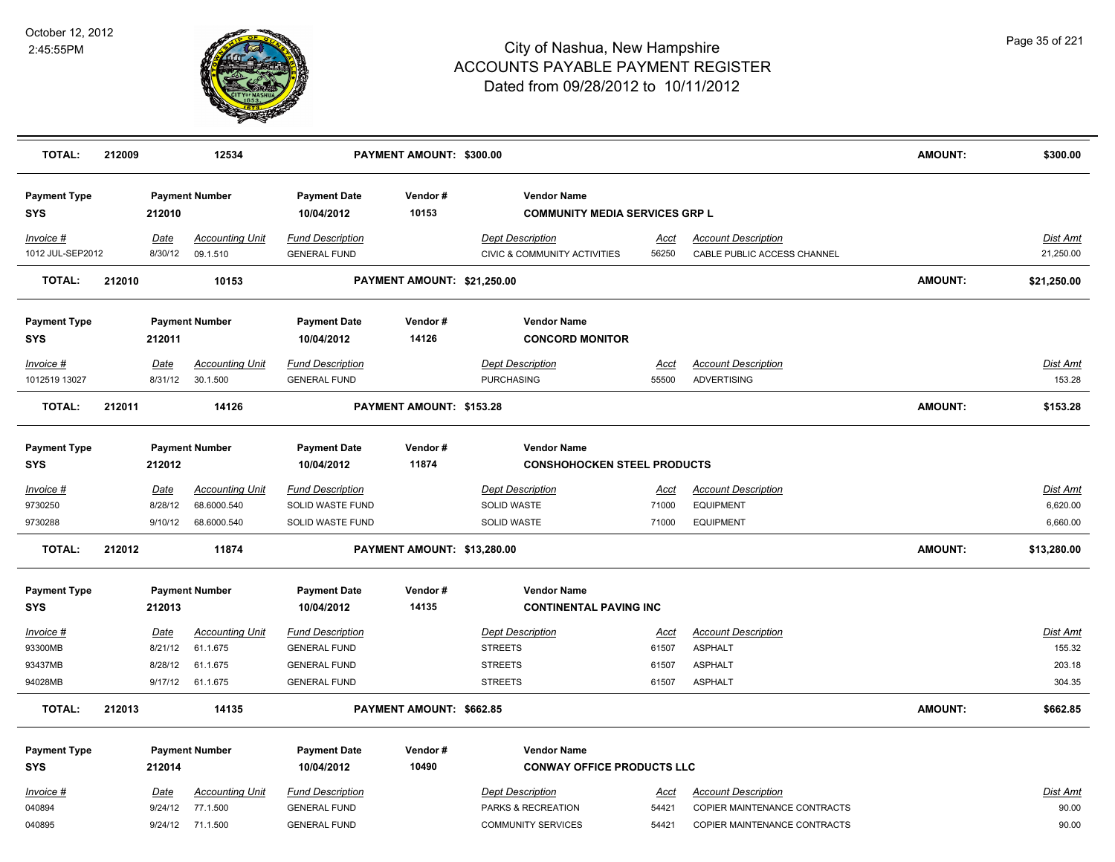

| <b>TOTAL:</b>                     | 212009                          |                 | 12534                              |                                                                                 | PAYMENT AMOUNT: \$300.00    |                                                                    |                      |                                                           | <b>AMOUNT:</b> | \$300.00              |
|-----------------------------------|---------------------------------|-----------------|------------------------------------|---------------------------------------------------------------------------------|-----------------------------|--------------------------------------------------------------------|----------------------|-----------------------------------------------------------|----------------|-----------------------|
| <b>Payment Type</b><br><b>SYS</b> | <b>Payment Number</b><br>212010 |                 | <b>Payment Date</b><br>10/04/2012  | Vendor#<br><b>Vendor Name</b><br>10153<br><b>COMMUNITY MEDIA SERVICES GRP L</b> |                             |                                                                    |                      |                                                           |                |                       |
| Invoice #<br>1012 JUL-SEP2012     |                                 | Date<br>8/30/12 | <b>Accounting Unit</b><br>09.1.510 | <b>Fund Description</b><br><b>GENERAL FUND</b>                                  |                             | <b>Dept Description</b><br><b>CIVIC &amp; COMMUNITY ACTIVITIES</b> | <u>Acct</u><br>56250 | <b>Account Description</b><br>CABLE PUBLIC ACCESS CHANNEL |                | Dist Amt<br>21,250.00 |
| <b>TOTAL:</b>                     | 212010                          |                 | 10153                              |                                                                                 | PAYMENT AMOUNT: \$21,250.00 |                                                                    |                      |                                                           | <b>AMOUNT:</b> | \$21,250.00           |
| <b>Payment Type</b><br><b>SYS</b> |                                 | 212011          | <b>Payment Number</b>              | <b>Payment Date</b><br>10/04/2012                                               | Vendor#<br>14126            | <b>Vendor Name</b><br><b>CONCORD MONITOR</b>                       |                      |                                                           |                |                       |
| Invoice #                         |                                 | Date            | <b>Accounting Unit</b>             | <b>Fund Description</b>                                                         |                             | <b>Dept Description</b>                                            | Acct                 | <b>Account Description</b>                                |                | <b>Dist Amt</b>       |
| 1012519 13027                     |                                 | 8/31/12         | 30.1.500                           | <b>GENERAL FUND</b>                                                             |                             | <b>PURCHASING</b>                                                  | 55500                | <b>ADVERTISING</b>                                        |                | 153.28                |
| <b>TOTAL:</b>                     | 212011                          |                 | 14126                              |                                                                                 | PAYMENT AMOUNT: \$153.28    |                                                                    |                      |                                                           | <b>AMOUNT:</b> | \$153.28              |
| <b>Payment Type</b>               |                                 |                 | <b>Payment Number</b>              | <b>Payment Date</b>                                                             | Vendor#                     | <b>Vendor Name</b>                                                 |                      |                                                           |                |                       |
| SYS                               |                                 | 212012          |                                    | 10/04/2012                                                                      | 11874                       | <b>CONSHOHOCKEN STEEL PRODUCTS</b>                                 |                      |                                                           |                |                       |
| Invoice #                         |                                 | <u>Date</u>     | <b>Accounting Unit</b>             | <b>Fund Description</b>                                                         |                             | <b>Dept Description</b>                                            | <u>Acct</u>          | <b>Account Description</b>                                |                | <b>Dist Amt</b>       |
| 9730250                           |                                 | 8/28/12         | 68.6000.540                        | SOLID WASTE FUND                                                                |                             | SOLID WASTE                                                        | 71000                | <b>EQUIPMENT</b>                                          |                | 6,620.00              |
| 9730288                           |                                 | 9/10/12         | 68.6000.540                        | SOLID WASTE FUND                                                                |                             | <b>SOLID WASTE</b>                                                 | 71000                | <b>EQUIPMENT</b>                                          |                | 6,660.00              |
| <b>TOTAL:</b>                     | 212012<br>11874                 |                 |                                    | PAYMENT AMOUNT: \$13,280.00                                                     |                             |                                                                    |                      |                                                           | <b>AMOUNT:</b> | \$13,280.00           |
| <b>Payment Type</b>               |                                 |                 | <b>Payment Number</b>              | <b>Payment Date</b>                                                             | Vendor#                     | <b>Vendor Name</b>                                                 |                      |                                                           |                |                       |
| <b>SYS</b>                        |                                 | 212013          |                                    | 10/04/2012                                                                      | 14135                       | <b>CONTINENTAL PAVING INC</b>                                      |                      |                                                           |                |                       |
| Invoice #                         |                                 | Date            | <b>Accounting Unit</b>             | <b>Fund Description</b>                                                         |                             | <b>Dept Description</b>                                            | <u>Acct</u>          | <b>Account Description</b>                                |                | Dist Amt              |
| 93300MB                           |                                 | 8/21/12         | 61.1.675                           | <b>GENERAL FUND</b>                                                             |                             | <b>STREETS</b>                                                     | 61507                | <b>ASPHALT</b>                                            |                | 155.32                |
| 93437MB                           |                                 | 8/28/12         | 61.1.675                           | <b>GENERAL FUND</b>                                                             |                             | <b>STREETS</b>                                                     | 61507                | <b>ASPHALT</b>                                            |                | 203.18                |
| 94028MB                           |                                 | 9/17/12         | 61.1.675                           | <b>GENERAL FUND</b>                                                             |                             | <b>STREETS</b>                                                     | 61507                | <b>ASPHALT</b>                                            |                | 304.35                |
| <b>TOTAL:</b>                     | 212013                          |                 | 14135                              |                                                                                 | PAYMENT AMOUNT: \$662.85    |                                                                    |                      |                                                           | <b>AMOUNT:</b> | \$662.85              |
| <b>Payment Type</b>               |                                 |                 | <b>Payment Number</b>              | <b>Payment Date</b>                                                             | Vendor#                     | <b>Vendor Name</b>                                                 |                      |                                                           |                |                       |
| <b>SYS</b>                        |                                 | 212014          |                                    | 10/04/2012                                                                      | 10490                       | <b>CONWAY OFFICE PRODUCTS LLC</b>                                  |                      |                                                           |                |                       |
| Invoice #                         |                                 | Date            | <b>Accounting Unit</b>             | <b>Fund Description</b>                                                         |                             | <b>Dept Description</b>                                            | <u>Acct</u>          | <b>Account Description</b>                                |                | <b>Dist Amt</b>       |
| 040894                            |                                 | 9/24/12         | 77.1.500                           | <b>GENERAL FUND</b>                                                             |                             | PARKS & RECREATION                                                 | 54421                | COPIER MAINTENANCE CONTRACTS                              |                | 90.00                 |
| 040895                            |                                 | 9/24/12         | 71.1.500                           | <b>GENERAL FUND</b>                                                             |                             | <b>COMMUNITY SERVICES</b>                                          | 54421                | COPIER MAINTENANCE CONTRACTS                              |                | 90.00                 |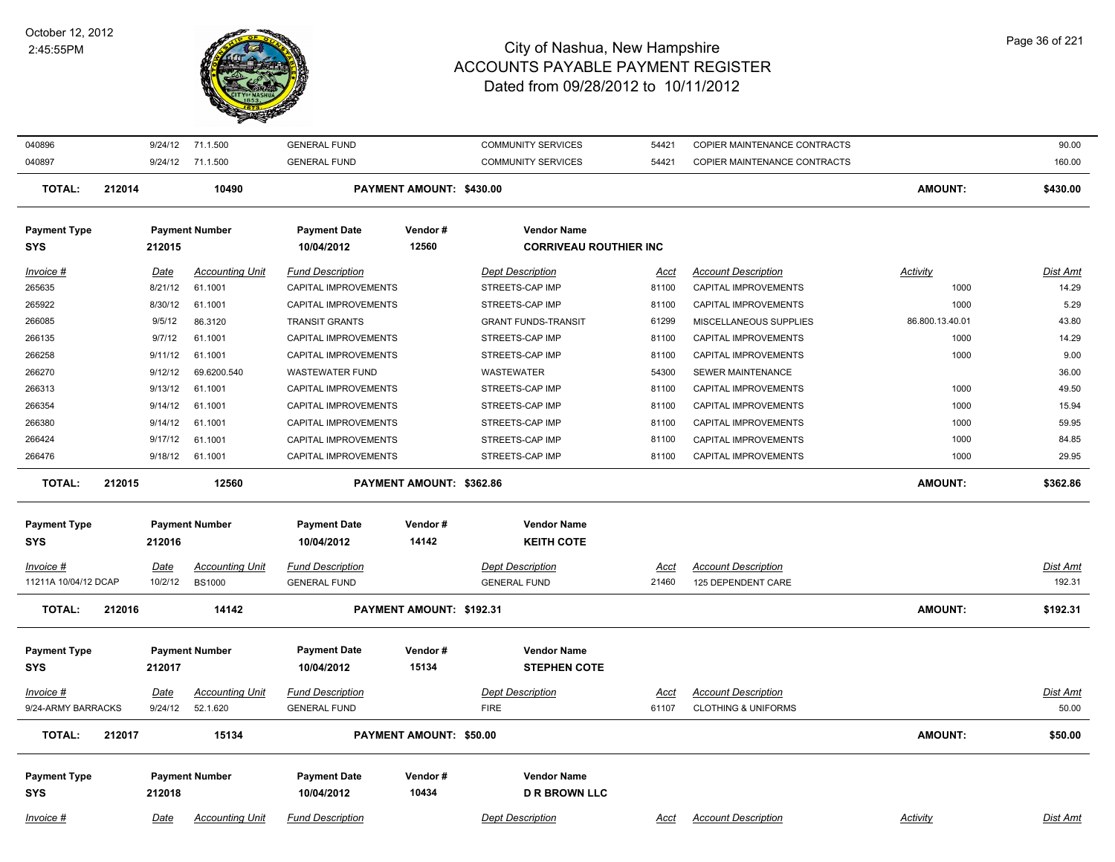

| 040896                            |        |                 | 9/24/12 71.1.500                        | <b>GENERAL FUND</b>                            |                          | <b>COMMUNITY SERVICES</b>                           | 54421                | COPIER MAINTENANCE CONTRACTS                     |                 | 90.00              |
|-----------------------------------|--------|-----------------|-----------------------------------------|------------------------------------------------|--------------------------|-----------------------------------------------------|----------------------|--------------------------------------------------|-----------------|--------------------|
| 040897                            |        |                 | 9/24/12 71.1.500                        | <b>GENERAL FUND</b>                            |                          | <b>COMMUNITY SERVICES</b>                           | 54421                | COPIER MAINTENANCE CONTRACTS                     |                 | 160.00             |
| <b>TOTAL:</b>                     | 212014 |                 | 10490                                   |                                                | PAYMENT AMOUNT: \$430.00 |                                                     |                      |                                                  | <b>AMOUNT:</b>  | \$430.00           |
| <b>Payment Type</b><br>SYS        |        | 212015          | <b>Payment Number</b>                   | <b>Payment Date</b><br>10/04/2012              | Vendor#<br>12560         | <b>Vendor Name</b><br><b>CORRIVEAU ROUTHIER INC</b> |                      |                                                  |                 |                    |
|                                   |        |                 |                                         |                                                |                          |                                                     |                      |                                                  |                 |                    |
| Invoice #                         |        | Date            | <b>Accounting Unit</b>                  | <b>Fund Description</b>                        |                          | <b>Dept Description</b>                             | <u>Acct</u>          | <b>Account Description</b>                       | Activity        | <b>Dist Amt</b>    |
| 265635                            |        | 8/21/12         | 61.1001                                 | CAPITAL IMPROVEMENTS                           |                          | STREETS-CAP IMP                                     | 81100                | CAPITAL IMPROVEMENTS                             | 1000            | 14.29              |
| 265922                            |        | 8/30/12         | 61.1001                                 | CAPITAL IMPROVEMENTS                           |                          | STREETS-CAP IMP                                     | 81100                | CAPITAL IMPROVEMENTS                             | 1000            | 5.29               |
| 266085                            |        | 9/5/12          | 86.3120                                 | <b>TRANSIT GRANTS</b>                          |                          | <b>GRANT FUNDS-TRANSIT</b>                          | 61299                | MISCELLANEOUS SUPPLIES                           | 86.800.13.40.01 | 43.80              |
| 266135                            |        | 9/7/12          | 61.1001                                 | CAPITAL IMPROVEMENTS                           |                          | STREETS-CAP IMP                                     | 81100                | CAPITAL IMPROVEMENTS                             | 1000            | 14.29              |
| 266258                            |        | 9/11/12         | 61.1001                                 | CAPITAL IMPROVEMENTS                           |                          | STREETS-CAP IMP                                     | 81100                | CAPITAL IMPROVEMENTS                             | 1000            | 9.00               |
| 266270                            |        | 9/12/12         | 69.6200.540                             | <b>WASTEWATER FUND</b>                         |                          | <b>WASTEWATER</b>                                   | 54300                | SEWER MAINTENANCE                                |                 | 36.00              |
| 266313                            |        | 9/13/12         | 61.1001                                 | CAPITAL IMPROVEMENTS                           |                          | STREETS-CAP IMP                                     | 81100                | CAPITAL IMPROVEMENTS                             | 1000            | 49.50              |
| 266354                            |        | 9/14/12         | 61.1001                                 | CAPITAL IMPROVEMENTS                           |                          | STREETS-CAP IMP                                     | 81100                | CAPITAL IMPROVEMENTS                             | 1000            | 15.94              |
| 266380                            |        | 9/14/12         | 61.1001                                 | CAPITAL IMPROVEMENTS                           |                          | STREETS-CAP IMP                                     | 81100                | CAPITAL IMPROVEMENTS                             | 1000            | 59.95              |
| 266424                            |        | 9/17/12         | 61.1001                                 | CAPITAL IMPROVEMENTS                           |                          | STREETS-CAP IMP                                     | 81100                | CAPITAL IMPROVEMENTS                             | 1000            | 84.85              |
| 266476                            |        | 9/18/12         | 61.1001                                 | CAPITAL IMPROVEMENTS                           |                          | STREETS-CAP IMP                                     | 81100                | CAPITAL IMPROVEMENTS                             | 1000            | 29.95              |
| <b>TOTAL:</b>                     | 212015 |                 | 12560                                   |                                                | PAYMENT AMOUNT: \$362.86 |                                                     |                      |                                                  | <b>AMOUNT:</b>  | \$362.86           |
| <b>Payment Type</b>               |        |                 | <b>Payment Number</b>                   | <b>Payment Date</b>                            | Vendor#                  | <b>Vendor Name</b>                                  |                      |                                                  |                 |                    |
| <b>SYS</b>                        |        | 212016          |                                         | 10/04/2012                                     | 14142                    | <b>KEITH COTE</b>                                   |                      |                                                  |                 |                    |
|                                   |        |                 |                                         |                                                |                          |                                                     |                      |                                                  |                 |                    |
| Invoice #<br>11211A 10/04/12 DCAP |        | Date<br>10/2/12 | <b>Accounting Unit</b><br><b>BS1000</b> | <b>Fund Description</b><br><b>GENERAL FUND</b> |                          | <b>Dept Description</b><br><b>GENERAL FUND</b>      | <u>Acct</u><br>21460 | <b>Account Description</b><br>125 DEPENDENT CARE |                 | Dist Amt<br>192.31 |
|                                   |        |                 |                                         |                                                |                          |                                                     |                      |                                                  |                 |                    |
| <b>TOTAL:</b>                     | 212016 |                 | 14142                                   |                                                | PAYMENT AMOUNT: \$192.31 |                                                     |                      |                                                  | <b>AMOUNT:</b>  | \$192.31           |
| <b>Payment Type</b>               |        |                 | <b>Payment Number</b>                   | <b>Payment Date</b>                            | Vendor#                  | <b>Vendor Name</b>                                  |                      |                                                  |                 |                    |
| SYS                               |        | 212017          |                                         | 10/04/2012                                     | 15134                    | <b>STEPHEN COTE</b>                                 |                      |                                                  |                 |                    |
| $Invoice$ #                       |        | <u>Date</u>     | <b>Accounting Unit</b>                  | <b>Fund Description</b>                        |                          | <b>Dept Description</b>                             | <u>Acct</u>          | <b>Account Description</b>                       |                 | <b>Dist Amt</b>    |
| 9/24-ARMY BARRACKS                |        | 9/24/12         | 52.1.620                                | <b>GENERAL FUND</b>                            |                          | <b>FIRE</b>                                         | 61107                | <b>CLOTHING &amp; UNIFORMS</b>                   |                 | 50.00              |
| <b>TOTAL:</b>                     | 212017 |                 | 15134                                   |                                                | PAYMENT AMOUNT: \$50.00  |                                                     |                      |                                                  | AMOUNT:         | \$50.00            |
| <b>Payment Type</b>               |        |                 | <b>Payment Number</b>                   | <b>Payment Date</b>                            | Vendor#                  | <b>Vendor Name</b>                                  |                      |                                                  |                 |                    |
| <b>SYS</b>                        |        | 212018          |                                         | 10/04/2012                                     | 10434                    | <b>D R BROWN LLC</b>                                |                      |                                                  |                 |                    |
|                                   |        |                 |                                         |                                                |                          |                                                     |                      |                                                  |                 |                    |
| Invoice #                         |        | Date            | <b>Accounting Unit</b>                  | <b>Fund Description</b>                        |                          | <b>Dept Description</b>                             | Acct                 | <b>Account Description</b>                       | Activity        | Dist Amt           |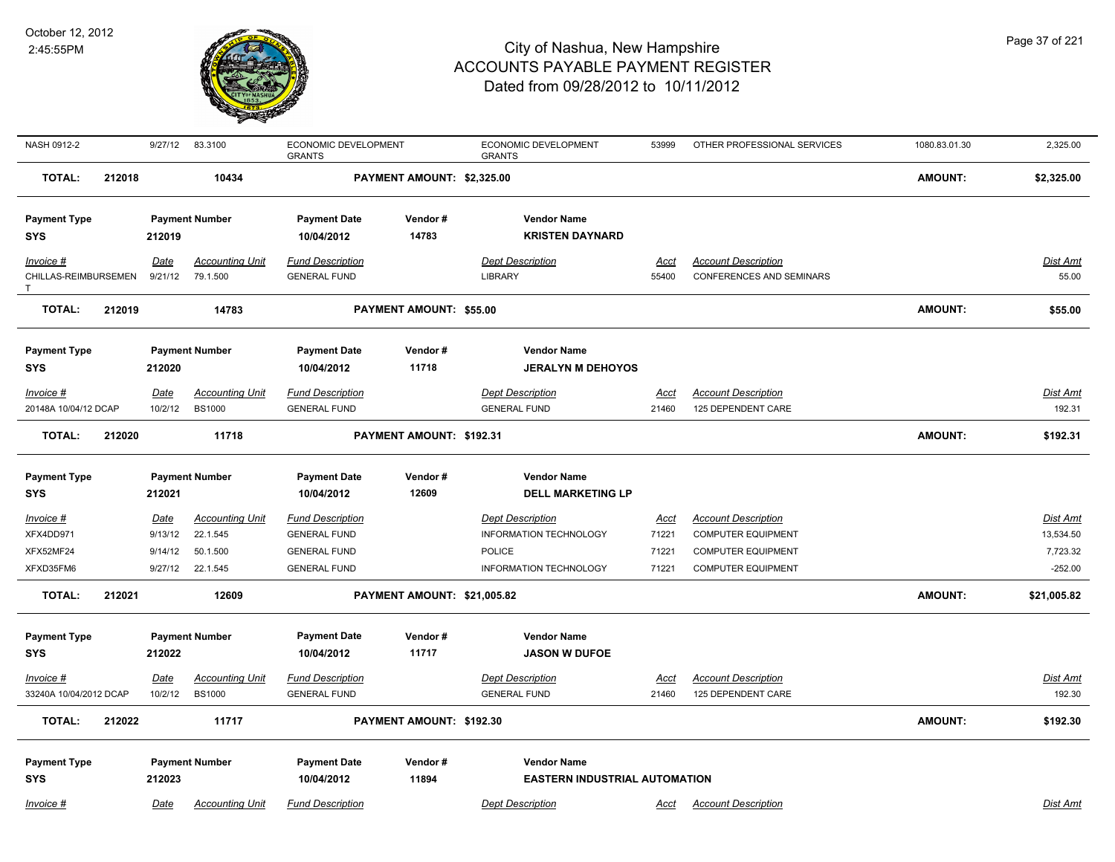

| NASH 0912-2                |             | 9/27/12 83.3100        | ECONOMIC DEVELOPMENT<br><b>GRANTS</b> |                             | ECONOMIC DEVELOPMENT<br><b>GRANTS</b> | 53999       | OTHER PROFESSIONAL SERVICES     | 1080.83.01.30  | 2,325.00        |
|----------------------------|-------------|------------------------|---------------------------------------|-----------------------------|---------------------------------------|-------------|---------------------------------|----------------|-----------------|
| <b>TOTAL:</b>              | 212018      | 10434                  |                                       | PAYMENT AMOUNT: \$2,325.00  |                                       |             |                                 | <b>AMOUNT:</b> | \$2,325.00      |
| <b>Payment Type</b>        |             | <b>Payment Number</b>  | <b>Payment Date</b>                   | Vendor#                     | <b>Vendor Name</b>                    |             |                                 |                |                 |
| <b>SYS</b>                 | 212019      |                        | 10/04/2012                            | 14783                       | <b>KRISTEN DAYNARD</b>                |             |                                 |                |                 |
| $Invoice$ #                | Date        | <b>Accounting Unit</b> | <b>Fund Description</b>               |                             | <b>Dept Description</b>               | Acct        | <b>Account Description</b>      |                | Dist Amt        |
| CHILLAS-REIMBURSEMEN<br>T. | 9/21/12     | 79.1.500               | <b>GENERAL FUND</b>                   |                             | <b>LIBRARY</b>                        | 55400       | <b>CONFERENCES AND SEMINARS</b> |                | 55.00           |
| <b>TOTAL:</b>              | 212019      | 14783                  |                                       | PAYMENT AMOUNT: \$55.00     |                                       |             |                                 | <b>AMOUNT:</b> | \$55.00         |
| <b>Payment Type</b>        |             | <b>Payment Number</b>  | <b>Payment Date</b>                   | Vendor#                     | <b>Vendor Name</b>                    |             |                                 |                |                 |
| <b>SYS</b>                 | 212020      |                        | 10/04/2012                            | 11718                       | <b>JERALYN M DEHOYOS</b>              |             |                                 |                |                 |
| Invoice #                  | <b>Date</b> | <b>Accounting Unit</b> | <b>Fund Description</b>               |                             | <b>Dept Description</b>               | <u>Acct</u> | <b>Account Description</b>      |                | <u>Dist Amt</u> |
| 20148A 10/04/12 DCAP       | 10/2/12     | <b>BS1000</b>          | <b>GENERAL FUND</b>                   |                             | <b>GENERAL FUND</b>                   | 21460       | 125 DEPENDENT CARE              |                | 192.31          |
| <b>TOTAL:</b>              | 212020      | 11718                  |                                       | PAYMENT AMOUNT: \$192.31    |                                       |             |                                 | <b>AMOUNT:</b> | \$192.31        |
| <b>Payment Type</b>        |             | <b>Payment Number</b>  | <b>Payment Date</b>                   | Vendor#                     | <b>Vendor Name</b>                    |             |                                 |                |                 |
| <b>SYS</b>                 | 212021      |                        | 10/04/2012                            | 12609                       | <b>DELL MARKETING LP</b>              |             |                                 |                |                 |
| Invoice #                  | <u>Date</u> | <b>Accounting Unit</b> | <b>Fund Description</b>               |                             | <b>Dept Description</b>               | <u>Acct</u> | <b>Account Description</b>      |                | <u>Dist Amt</u> |
| XFX4DD971                  | 9/13/12     | 22.1.545               | <b>GENERAL FUND</b>                   |                             | INFORMATION TECHNOLOGY                | 71221       | <b>COMPUTER EQUIPMENT</b>       |                | 13,534.50       |
| XFX52MF24                  | 9/14/12     | 50.1.500               | <b>GENERAL FUND</b>                   |                             | <b>POLICE</b>                         | 71221       | <b>COMPUTER EQUIPMENT</b>       |                | 7,723.32        |
| XFXD35FM6                  | 9/27/12     | 22.1.545               | <b>GENERAL FUND</b>                   |                             | INFORMATION TECHNOLOGY                | 71221       | <b>COMPUTER EQUIPMENT</b>       |                | $-252.00$       |
| <b>TOTAL:</b>              | 212021      | 12609                  |                                       | PAYMENT AMOUNT: \$21,005.82 |                                       |             |                                 | <b>AMOUNT:</b> | \$21,005.82     |
| <b>Payment Type</b>        |             | <b>Payment Number</b>  | <b>Payment Date</b>                   | Vendor#                     | <b>Vendor Name</b>                    |             |                                 |                |                 |
| <b>SYS</b>                 | 212022      |                        | 10/04/2012                            | 11717                       | <b>JASON W DUFOE</b>                  |             |                                 |                |                 |
| Invoice #                  | <u>Date</u> | <b>Accounting Unit</b> | <b>Fund Description</b>               |                             | <b>Dept Description</b>               | <u>Acct</u> | <b>Account Description</b>      |                | <u>Dist Amt</u> |
| 33240A 10/04/2012 DCAP     | 10/2/12     | <b>BS1000</b>          | <b>GENERAL FUND</b>                   |                             | <b>GENERAL FUND</b>                   | 21460       | 125 DEPENDENT CARE              |                | 192.30          |
| <b>TOTAL:</b>              | 212022      | 11717                  |                                       | PAYMENT AMOUNT: \$192.30    |                                       |             |                                 | <b>AMOUNT:</b> | \$192.30        |
| <b>Payment Type</b>        |             | <b>Payment Number</b>  | <b>Payment Date</b>                   | Vendor#                     | <b>Vendor Name</b>                    |             |                                 |                |                 |
| <b>SYS</b>                 | 212023      |                        | 10/04/2012                            | 11894                       | <b>EASTERN INDUSTRIAL AUTOMATION</b>  |             |                                 |                |                 |
|                            |             |                        |                                       |                             |                                       |             |                                 |                |                 |
| Invoice #                  | Date        | <b>Accounting Unit</b> | <b>Fund Description</b>               |                             | <b>Dept Description</b>               | Acct        | <b>Account Description</b>      |                | Dist Amt        |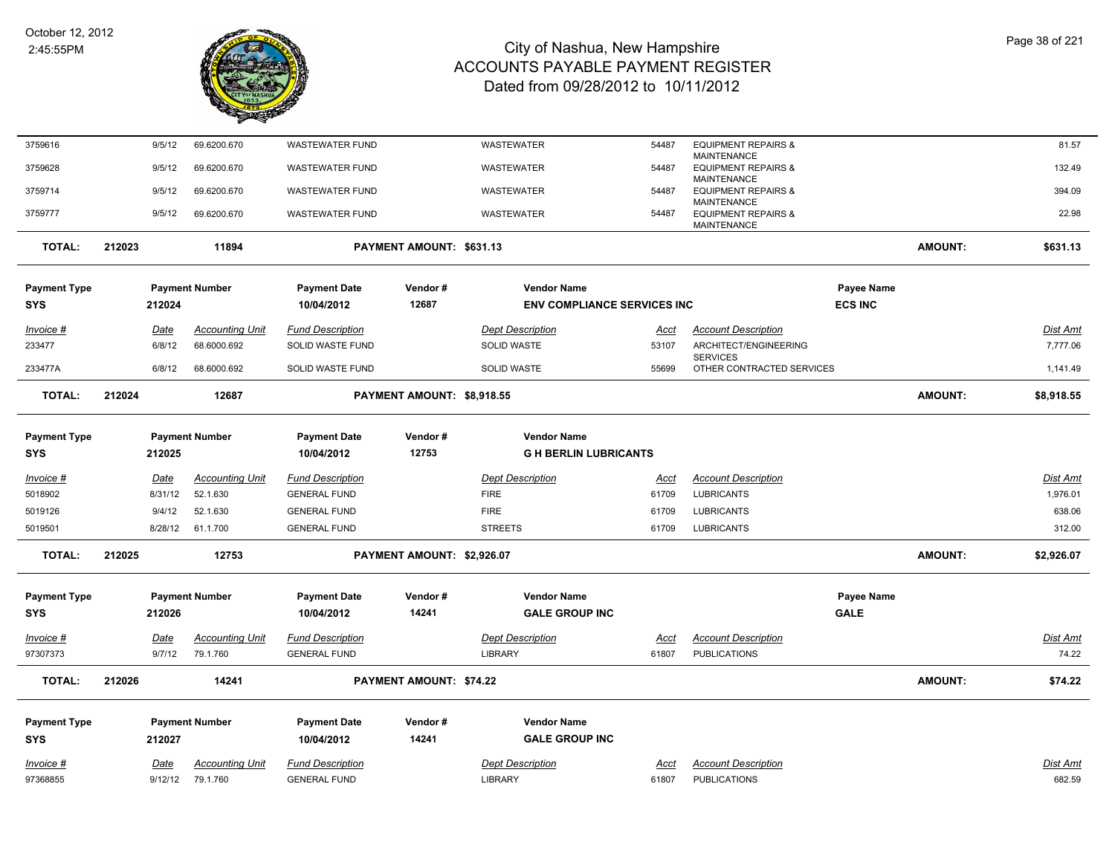

| 3759616             |        | 9/5/12      | 69.6200.670            | <b>WASTEWATER FUND</b>  |                                | WASTEWATER                         | 54487       | <b>EQUIPMENT REPAIRS &amp;</b>                       |                |                | 81.57           |
|---------------------|--------|-------------|------------------------|-------------------------|--------------------------------|------------------------------------|-------------|------------------------------------------------------|----------------|----------------|-----------------|
| 3759628             |        | 9/5/12      | 69.6200.670            | <b>WASTEWATER FUND</b>  |                                | <b>WASTEWATER</b>                  | 54487       | MAINTENANCE<br><b>EQUIPMENT REPAIRS &amp;</b>        |                |                | 132.49          |
| 3759714             |        | 9/5/12      | 69.6200.670            | <b>WASTEWATER FUND</b>  |                                | WASTEWATER                         | 54487       | <b>MAINTENANCE</b><br><b>EQUIPMENT REPAIRS &amp;</b> |                |                | 394.09          |
|                     |        |             |                        |                         |                                |                                    |             | <b>MAINTENANCE</b>                                   |                |                |                 |
| 3759777             |        | 9/5/12      | 69.6200.670            | <b>WASTEWATER FUND</b>  |                                | WASTEWATER                         | 54487       | <b>EQUIPMENT REPAIRS &amp;</b><br>MAINTENANCE        |                |                | 22.98           |
| <b>TOTAL:</b>       | 212023 |             | 11894                  |                         | PAYMENT AMOUNT: \$631.13       |                                    |             |                                                      |                | <b>AMOUNT:</b> | \$631.13        |
| <b>Payment Type</b> |        |             | <b>Payment Number</b>  | <b>Payment Date</b>     | Vendor#                        | <b>Vendor Name</b>                 |             |                                                      | Payee Name     |                |                 |
| SYS                 |        | 212024      |                        | 10/04/2012              | 12687                          | <b>ENV COMPLIANCE SERVICES INC</b> |             |                                                      | <b>ECS INC</b> |                |                 |
| $Invoice$ #         |        | <u>Date</u> | <b>Accounting Unit</b> | <b>Fund Description</b> |                                | <b>Dept Description</b>            | <u>Acct</u> | <b>Account Description</b>                           |                |                | <b>Dist Amt</b> |
| 233477              |        | 6/8/12      | 68.6000.692            | SOLID WASTE FUND        |                                | <b>SOLID WASTE</b>                 | 53107       | ARCHITECT/ENGINEERING                                |                |                | 7,777.06        |
| 233477A             |        | 6/8/12      | 68.6000.692            | SOLID WASTE FUND        |                                | <b>SOLID WASTE</b>                 | 55699       | <b>SERVICES</b><br>OTHER CONTRACTED SERVICES         |                |                | 1,141.49        |
| <b>TOTAL:</b>       | 212024 |             | 12687                  |                         | PAYMENT AMOUNT: \$8,918.55     |                                    |             |                                                      |                | <b>AMOUNT:</b> | \$8,918.55      |
| <b>Payment Type</b> |        |             | <b>Payment Number</b>  | <b>Payment Date</b>     | Vendor#                        | <b>Vendor Name</b>                 |             |                                                      |                |                |                 |
| SYS                 |        | 212025      |                        | 10/04/2012              | 12753                          | <b>G H BERLIN LUBRICANTS</b>       |             |                                                      |                |                |                 |
| <u>Invoice #</u>    |        | <u>Date</u> | <b>Accounting Unit</b> | <b>Fund Description</b> |                                | <b>Dept Description</b>            | <u>Acct</u> | <b>Account Description</b>                           |                |                | <b>Dist Amt</b> |
| 5018902             |        | 8/31/12     | 52.1.630               | <b>GENERAL FUND</b>     |                                | <b>FIRE</b>                        | 61709       | <b>LUBRICANTS</b>                                    |                |                | 1,976.01        |
| 5019126             |        | 9/4/12      | 52.1.630               | <b>GENERAL FUND</b>     |                                | <b>FIRE</b>                        | 61709       | <b>LUBRICANTS</b>                                    |                |                | 638.06          |
| 5019501             |        | 8/28/12     | 61.1.700               | <b>GENERAL FUND</b>     |                                | <b>STREETS</b>                     | 61709       | <b>LUBRICANTS</b>                                    |                |                | 312.00          |
| <b>TOTAL:</b>       | 212025 |             | 12753                  |                         | PAYMENT AMOUNT: \$2,926.07     |                                    |             |                                                      |                | <b>AMOUNT:</b> | \$2,926.07      |
| <b>Payment Type</b> |        |             | <b>Payment Number</b>  | <b>Payment Date</b>     | Vendor#                        | <b>Vendor Name</b>                 |             |                                                      | Payee Name     |                |                 |
| SYS                 |        | 212026      |                        | 10/04/2012              | 14241                          | <b>GALE GROUP INC</b>              |             |                                                      | <b>GALE</b>    |                |                 |
| Invoice #           |        | <b>Date</b> | <b>Accounting Unit</b> | <b>Fund Description</b> |                                | <b>Dept Description</b>            | Acct        | <b>Account Description</b>                           |                |                | Dist Amt        |
| 97307373            |        | 9/7/12      | 79.1.760               | <b>GENERAL FUND</b>     |                                | <b>LIBRARY</b>                     | 61807       | <b>PUBLICATIONS</b>                                  |                |                | 74.22           |
| <b>TOTAL:</b>       | 212026 |             | 14241                  |                         | <b>PAYMENT AMOUNT: \$74.22</b> |                                    |             |                                                      |                | <b>AMOUNT:</b> | \$74.22         |
| <b>Payment Type</b> |        |             | <b>Payment Number</b>  | <b>Payment Date</b>     | Vendor#                        | <b>Vendor Name</b>                 |             |                                                      |                |                |                 |
| <b>SYS</b>          |        | 212027      |                        | 10/04/2012              | 14241                          | <b>GALE GROUP INC</b>              |             |                                                      |                |                |                 |
| Invoice #           |        | Date        | <b>Accounting Unit</b> | <b>Fund Description</b> |                                | <b>Dept Description</b>            | <u>Acct</u> | <b>Account Description</b>                           |                |                | Dist Amt        |
| 97368855            |        | 9/12/12     | 79.1.760               | <b>GENERAL FUND</b>     |                                | <b>LIBRARY</b>                     | 61807       | <b>PUBLICATIONS</b>                                  |                |                | 682.59          |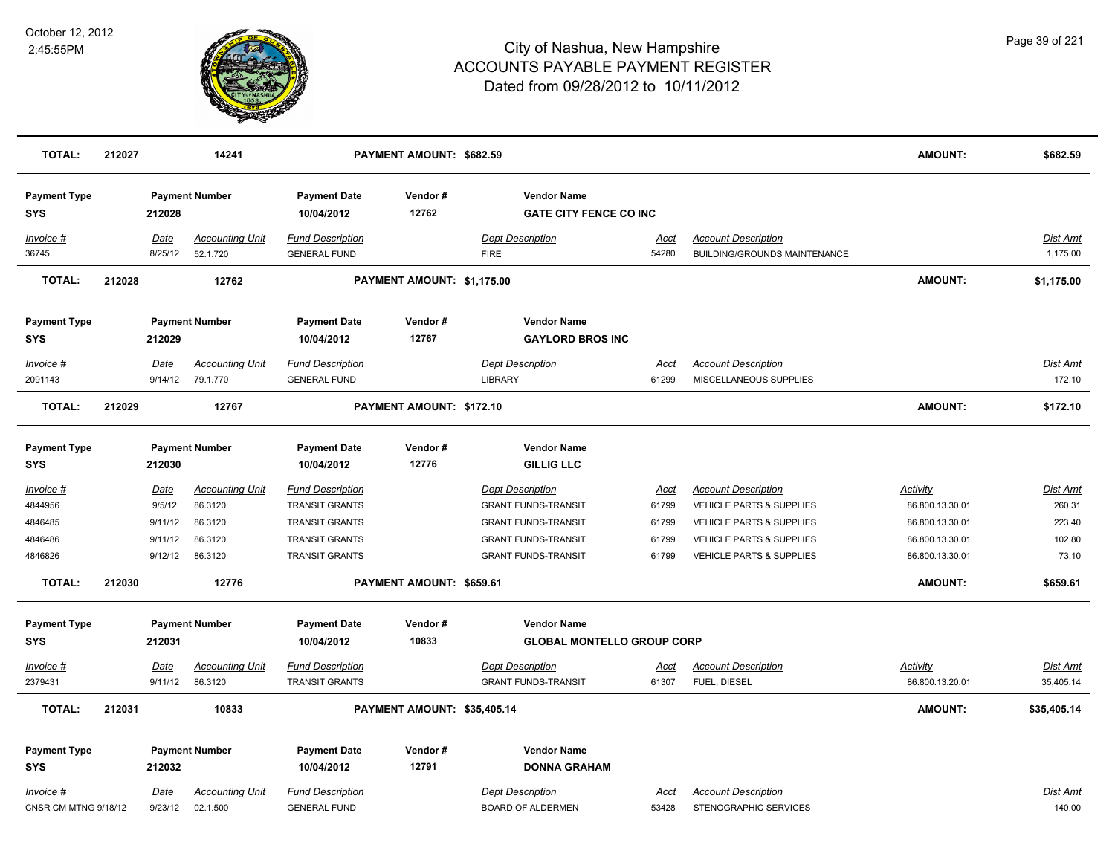

| <b>TOTAL:</b>                     | 212027 |                 | 14241                              |                                                | PAYMENT AMOUNT: \$682.59    |                                                     |               |                                                            | AMOUNT:         | \$682.59             |
|-----------------------------------|--------|-----------------|------------------------------------|------------------------------------------------|-----------------------------|-----------------------------------------------------|---------------|------------------------------------------------------------|-----------------|----------------------|
| <b>Payment Type</b><br><b>SYS</b> |        | 212028          | <b>Payment Number</b>              | <b>Payment Date</b><br>10/04/2012              | Vendor#<br>12762            | <b>Vendor Name</b><br><b>GATE CITY FENCE CO INC</b> |               |                                                            |                 |                      |
| Invoice #<br>36745                |        | Date<br>8/25/12 | <b>Accounting Unit</b><br>52.1.720 | <b>Fund Description</b><br><b>GENERAL FUND</b> |                             | <b>Dept Description</b><br><b>FIRE</b>              | Acct<br>54280 | <b>Account Description</b><br>BUILDING/GROUNDS MAINTENANCE |                 | Dist Amt<br>1,175.00 |
| <b>TOTAL:</b>                     | 212028 |                 | 12762                              |                                                | PAYMENT AMOUNT: \$1,175.00  |                                                     |               |                                                            | AMOUNT:         | \$1,175.00           |
| <b>Payment Type</b><br><b>SYS</b> |        | 212029          | <b>Payment Number</b>              | <b>Payment Date</b><br>10/04/2012              | Vendor#<br>12767            | <b>Vendor Name</b><br><b>GAYLORD BROS INC</b>       |               |                                                            |                 |                      |
| Invoice #                         |        | <u>Date</u>     | <b>Accounting Unit</b>             | <b>Fund Description</b>                        |                             | <b>Dept Description</b>                             | <u>Acct</u>   | <b>Account Description</b>                                 |                 | <b>Dist Amt</b>      |
| 2091143                           |        | 9/14/12         | 79.1.770                           | <b>GENERAL FUND</b>                            |                             | <b>LIBRARY</b>                                      | 61299         | MISCELLANEOUS SUPPLIES                                     |                 | 172.10               |
| <b>TOTAL:</b>                     | 212029 |                 | 12767                              |                                                | PAYMENT AMOUNT: \$172.10    |                                                     |               |                                                            | AMOUNT:         | \$172.10             |
| <b>Payment Type</b><br><b>SYS</b> |        | 212030          | <b>Payment Number</b>              | <b>Payment Date</b><br>10/04/2012              | Vendor#<br>12776            | <b>Vendor Name</b><br><b>GILLIG LLC</b>             |               |                                                            |                 |                      |
| <u>Invoice #</u>                  |        | <u>Date</u>     | <b>Accounting Unit</b>             | <b>Fund Description</b>                        |                             | <b>Dept Description</b>                             | <u>Acct</u>   | <b>Account Description</b>                                 | <b>Activity</b> | <b>Dist Amt</b>      |
| 4844956                           |        | 9/5/12          | 86.3120                            | <b>TRANSIT GRANTS</b>                          |                             | <b>GRANT FUNDS-TRANSIT</b>                          | 61799         | <b>VEHICLE PARTS &amp; SUPPLIES</b>                        | 86.800.13.30.01 | 260.31               |
| 4846485                           |        | 9/11/12         | 86.3120                            | <b>TRANSIT GRANTS</b>                          |                             | <b>GRANT FUNDS-TRANSIT</b>                          | 61799         | <b>VEHICLE PARTS &amp; SUPPLIES</b>                        | 86.800.13.30.01 | 223.40               |
| 4846486                           |        | 9/11/12         | 86.3120                            | TRANSIT GRANTS<br><b>TRANSIT GRANTS</b>        |                             | <b>GRANT FUNDS-TRANSIT</b>                          | 61799         | VEHICLE PARTS & SUPPLIES<br>VEHICLE PARTS & SUPPLIES       | 86.800.13.30.01 | 102.80<br>73.10      |
| 4846826                           |        | 9/12/12         | 86.3120                            |                                                |                             | <b>GRANT FUNDS-TRANSIT</b>                          | 61799         |                                                            | 86.800.13.30.01 |                      |
| <b>TOTAL:</b>                     | 212030 |                 | 12776                              |                                                | PAYMENT AMOUNT: \$659.61    |                                                     |               |                                                            | AMOUNT:         | \$659.61             |
| <b>Payment Type</b>               |        |                 | <b>Payment Number</b>              | <b>Payment Date</b>                            | Vendor#                     | <b>Vendor Name</b>                                  |               |                                                            |                 |                      |
| <b>SYS</b>                        |        | 212031          |                                    | 10/04/2012                                     | 10833                       | <b>GLOBAL MONTELLO GROUP CORP</b>                   |               |                                                            |                 |                      |
| Invoice #                         |        | Date            | <b>Accounting Unit</b>             | <b>Fund Description</b>                        |                             | <b>Dept Description</b>                             | <u>Acct</u>   | <b>Account Description</b>                                 | <b>Activity</b> | Dist Amt             |
| 2379431                           |        | 9/11/12         | 86.3120                            | <b>TRANSIT GRANTS</b>                          |                             | <b>GRANT FUNDS-TRANSIT</b>                          | 61307         | FUEL, DIESEL                                               | 86.800.13.20.01 | 35,405.14            |
| <b>TOTAL:</b>                     | 212031 |                 | 10833                              |                                                | PAYMENT AMOUNT: \$35,405.14 |                                                     |               |                                                            | AMOUNT:         | \$35,405.14          |
|                                   |        |                 |                                    |                                                | Vendor#                     | <b>Vendor Name</b>                                  |               |                                                            |                 |                      |
| <b>Payment Type</b><br><b>SYS</b> |        | 212032          | <b>Payment Number</b>              | <b>Payment Date</b><br>10/04/2012              | 12791                       | <b>DONNA GRAHAM</b>                                 |               |                                                            |                 |                      |
|                                   |        |                 |                                    |                                                |                             |                                                     |               |                                                            |                 |                      |
| Invoice #<br>CNSR CM MTNG 9/18/12 |        | Date            | <b>Accounting Unit</b><br>02.1.500 | <b>Fund Description</b><br><b>GENERAL FUND</b> |                             | <b>Dept Description</b><br><b>BOARD OF ALDERMEN</b> | Acct<br>53428 | <b>Account Description</b><br>STENOGRAPHIC SERVICES        |                 | Dist Amt<br>140.00   |
|                                   |        | 9/23/12         |                                    |                                                |                             |                                                     |               |                                                            |                 |                      |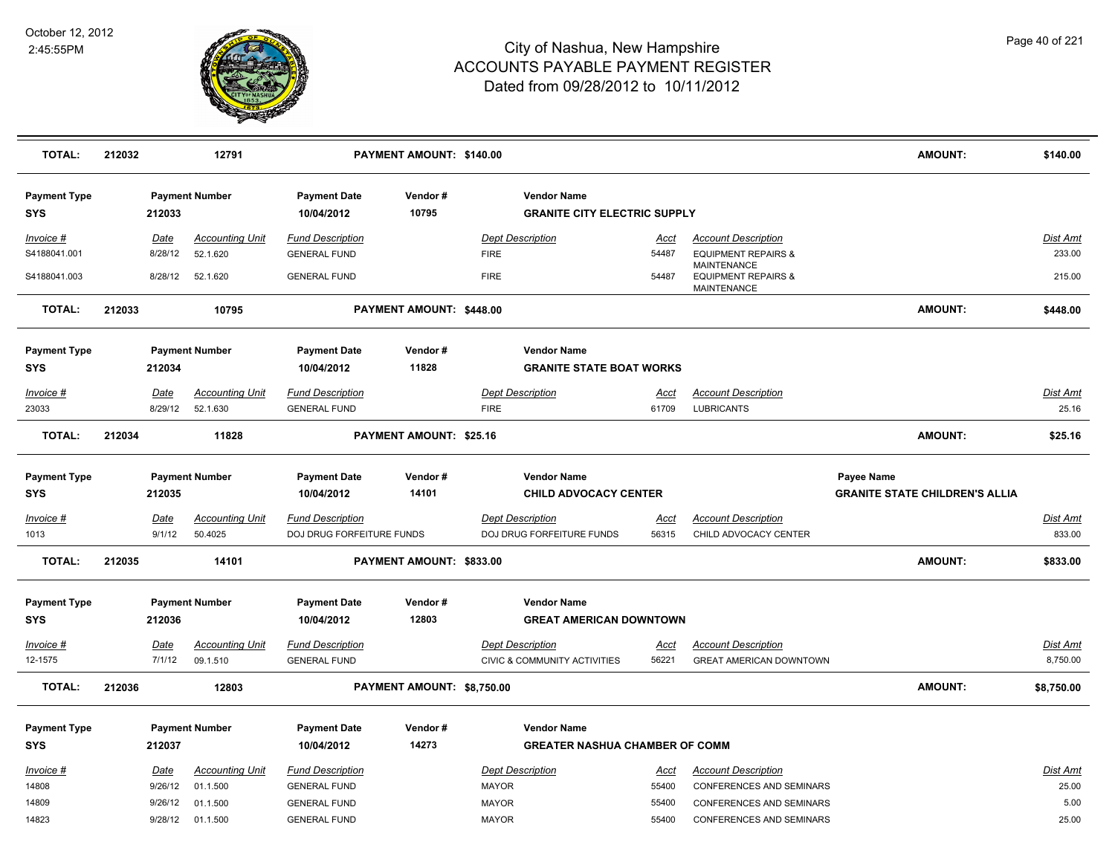

| <b>TOTAL:</b>                     | 212032                | 12791                              |                                                      | PAYMENT AMOUNT: \$140.00   |                                                             |                      |                                                                     | <b>AMOUNT:</b>                        | \$140.00                  |
|-----------------------------------|-----------------------|------------------------------------|------------------------------------------------------|----------------------------|-------------------------------------------------------------|----------------------|---------------------------------------------------------------------|---------------------------------------|---------------------------|
| <b>Payment Type</b><br><b>SYS</b> | 212033                | <b>Payment Number</b>              | <b>Payment Date</b><br>10/04/2012                    | Vendor#<br>10795           | <b>Vendor Name</b><br><b>GRANITE CITY ELECTRIC SUPPLY</b>   |                      |                                                                     |                                       |                           |
| Invoice #<br>S4188041.001         | Date<br>8/28/12       | <b>Accounting Unit</b><br>52.1.620 | <b>Fund Description</b><br><b>GENERAL FUND</b>       |                            | <b>Dept Description</b><br><b>FIRE</b>                      | Acct<br>54487        | <b>Account Description</b><br><b>EQUIPMENT REPAIRS &amp;</b>        |                                       | Dist Amt<br>233.00        |
| S4188041.003                      | 8/28/12               | 52.1.620                           | <b>GENERAL FUND</b>                                  |                            | <b>FIRE</b>                                                 | 54487                | <b>MAINTENANCE</b><br><b>EQUIPMENT REPAIRS &amp;</b><br>MAINTENANCE |                                       | 215.00                    |
| <b>TOTAL:</b>                     | 212033                | 10795                              |                                                      | PAYMENT AMOUNT: \$448.00   |                                                             |                      |                                                                     | <b>AMOUNT:</b>                        | \$448.00                  |
| <b>Payment Type</b><br><b>SYS</b> | 212034                | <b>Payment Number</b>              | <b>Payment Date</b><br>10/04/2012                    | Vendor#<br>11828           | <b>Vendor Name</b><br><b>GRANITE STATE BOAT WORKS</b>       |                      |                                                                     |                                       |                           |
| Invoice #                         | Date                  | <b>Accounting Unit</b>             | <b>Fund Description</b>                              |                            | <b>Dept Description</b>                                     | <u>Acct</u>          | <b>Account Description</b>                                          |                                       | Dist Amt                  |
| 23033                             | 8/29/12               | 52.1.630                           | <b>GENERAL FUND</b>                                  |                            | <b>FIRE</b>                                                 | 61709                | <b>LUBRICANTS</b>                                                   |                                       | 25.16                     |
| <b>TOTAL:</b>                     | 212034                | 11828                              |                                                      | PAYMENT AMOUNT: \$25.16    |                                                             |                      |                                                                     | <b>AMOUNT:</b>                        | \$25.16                   |
| <b>Payment Type</b>               |                       | <b>Payment Number</b>              | <b>Payment Date</b>                                  | Vendor#                    | <b>Vendor Name</b>                                          |                      |                                                                     | Payee Name                            |                           |
| <b>SYS</b>                        | 212035                |                                    | 10/04/2012                                           | 14101                      | <b>CHILD ADVOCACY CENTER</b>                                |                      |                                                                     | <b>GRANITE STATE CHILDREN'S ALLIA</b> |                           |
| Invoice #<br>1013                 | <b>Date</b><br>9/1/12 | <b>Accounting Unit</b><br>50.4025  | <b>Fund Description</b><br>DOJ DRUG FORFEITURE FUNDS |                            | <b>Dept Description</b><br>DOJ DRUG FORFEITURE FUNDS        | <u>Acci</u><br>56315 | <b>Account Description</b><br>CHILD ADVOCACY CENTER                 |                                       | <b>Dist Amt</b><br>833.00 |
| <b>TOTAL:</b>                     | 212035                | 14101                              |                                                      | PAYMENT AMOUNT: \$833.00   |                                                             |                      |                                                                     | <b>AMOUNT:</b>                        | \$833.00                  |
| <b>Payment Type</b><br><b>SYS</b> | 212036                | <b>Payment Number</b>              | <b>Payment Date</b><br>10/04/2012                    | Vendor#<br>12803           | <b>Vendor Name</b><br><b>GREAT AMERICAN DOWNTOWN</b>        |                      |                                                                     |                                       |                           |
| Invoice #                         | Date                  | <b>Accounting Unit</b>             | <b>Fund Description</b>                              |                            | <b>Dept Description</b>                                     | Acct                 | <b>Account Description</b>                                          |                                       | Dist Amt                  |
| 12-1575                           | 7/1/12                | 09.1.510                           | <b>GENERAL FUND</b>                                  |                            | CIVIC & COMMUNITY ACTIVITIES                                | 56221                | GREAT AMERICAN DOWNTOWN                                             |                                       | 8,750.00                  |
| <b>TOTAL:</b>                     | 212036                | 12803                              |                                                      | PAYMENT AMOUNT: \$8,750.00 |                                                             |                      |                                                                     | <b>AMOUNT:</b>                        | \$8,750.00                |
| <b>Payment Type</b><br><b>SYS</b> | 212037                | <b>Payment Number</b>              | <b>Payment Date</b><br>10/04/2012                    | Vendor#<br>14273           | <b>Vendor Name</b><br><b>GREATER NASHUA CHAMBER OF COMM</b> |                      |                                                                     |                                       |                           |
| Invoice #                         | Date                  | <b>Accounting Unit</b>             | <b>Fund Description</b>                              |                            | <b>Dept Description</b>                                     | Acct                 | <b>Account Description</b>                                          |                                       | Dist Amt                  |
| 14808                             | 9/26/12               | 01.1.500                           | <b>GENERAL FUND</b>                                  |                            | <b>MAYOR</b>                                                | 55400                | CONFERENCES AND SEMINARS                                            |                                       | 25.00                     |
| 14809                             | 9/26/12               | 01.1.500                           | <b>GENERAL FUND</b>                                  |                            | <b>MAYOR</b>                                                | 55400                | <b>CONFERENCES AND SEMINARS</b>                                     |                                       | 5.00                      |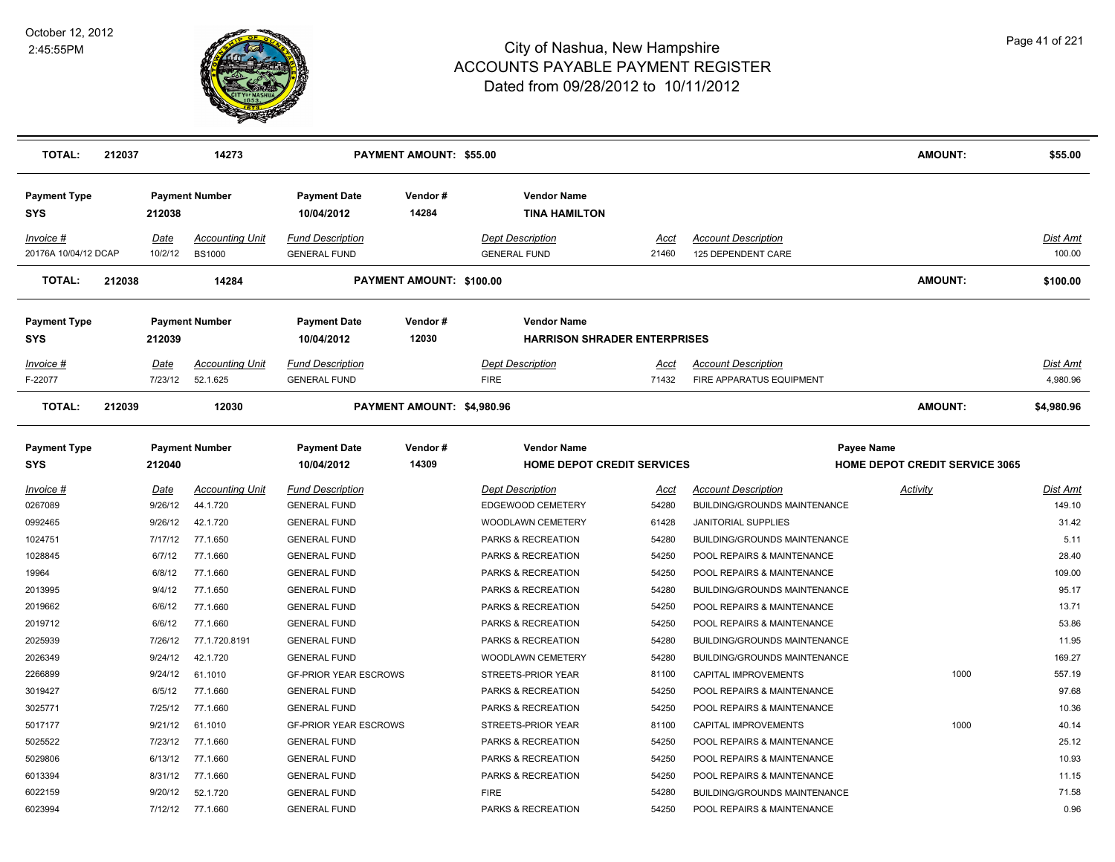

| <b>TOTAL:</b>                     | 212037 |                        | 14273                                   |                                                | PAYMENT AMOUNT: \$55.00    |                                                           |                      |                                                                   | <b>AMOUNT:</b>                                      | \$55.00                   |
|-----------------------------------|--------|------------------------|-----------------------------------------|------------------------------------------------|----------------------------|-----------------------------------------------------------|----------------------|-------------------------------------------------------------------|-----------------------------------------------------|---------------------------|
| <b>Payment Type</b><br><b>SYS</b> |        | 212038                 | <b>Payment Number</b>                   | <b>Payment Date</b><br>10/04/2012              | Vendor#<br>14284           | <b>Vendor Name</b><br><b>TINA HAMILTON</b>                |                      |                                                                   |                                                     |                           |
| Invoice #<br>20176A 10/04/12 DCAP |        | Date<br>10/2/12        | <b>Accounting Unit</b><br><b>BS1000</b> | <b>Fund Description</b><br><b>GENERAL FUND</b> |                            | <b>Dept Description</b><br><b>GENERAL FUND</b>            | Acct<br>21460        | <b>Account Description</b><br>125 DEPENDENT CARE                  |                                                     | Dist Amt<br>100.00        |
| <b>TOTAL:</b>                     | 212038 |                        | 14284                                   |                                                | PAYMENT AMOUNT: \$100.00   |                                                           |                      |                                                                   | AMOUNT:                                             | \$100.00                  |
| <b>Payment Type</b><br><b>SYS</b> |        | 212039                 | <b>Payment Number</b>                   | <b>Payment Date</b><br>10/04/2012              | Vendor#<br>12030           | <b>Vendor Name</b><br><b>HARRISON SHRADER ENTERPRISES</b> |                      |                                                                   |                                                     |                           |
| Invoice #<br>F-22077              |        | Date<br>7/23/12        | <b>Accounting Unit</b><br>52.1.625      | <b>Fund Description</b><br><b>GENERAL FUND</b> |                            | <b>Dept Description</b><br><b>FIRE</b>                    | Acct<br>71432        | <b>Account Description</b><br>FIRE APPARATUS EQUIPMENT            |                                                     | Dist Amt<br>4,980.96      |
| <b>TOTAL:</b>                     | 212039 |                        | 12030                                   |                                                | PAYMENT AMOUNT: \$4,980.96 |                                                           |                      |                                                                   | <b>AMOUNT:</b>                                      | \$4,980.96                |
| <b>Payment Type</b><br><b>SYS</b> |        | 212040                 | <b>Payment Number</b>                   | <b>Payment Date</b><br>10/04/2012              | Vendor#<br>14309           | <b>Vendor Name</b><br><b>HOME DEPOT CREDIT SERVICES</b>   |                      |                                                                   | Payee Name<br><b>HOME DEPOT CREDIT SERVICE 3065</b> |                           |
| Invoice #<br>0267089              |        | <u>Date</u><br>9/26/12 | <b>Accounting Unit</b><br>44.1.720      | <b>Fund Description</b><br><b>GENERAL FUND</b> |                            | <b>Dept Description</b><br>EDGEWOOD CEMETERY              | <u>Acct</u><br>54280 | <b>Account Description</b><br><b>BUILDING/GROUNDS MAINTENANCE</b> | <b>Activity</b>                                     | <u>Dist Amt</u><br>149.10 |
| 0992465                           |        | 9/26/12                | 42.1.720                                | <b>GENERAL FUND</b>                            |                            | WOODLAWN CEMETERY                                         | 61428                | <b>JANITORIAL SUPPLIES</b>                                        |                                                     | 31.42                     |
| 1024751                           |        | 7/17/12                | 77.1.650                                | <b>GENERAL FUND</b>                            |                            | PARKS & RECREATION                                        | 54280                | BUILDING/GROUNDS MAINTENANCE                                      |                                                     | 5.11                      |
| 1028845                           |        | 6/7/12                 | 77.1.660                                | <b>GENERAL FUND</b>                            |                            | PARKS & RECREATION                                        | 54250                | POOL REPAIRS & MAINTENANCE                                        |                                                     | 28.40                     |
| 19964                             |        | 6/8/12                 | 77.1.660                                | <b>GENERAL FUND</b>                            |                            | PARKS & RECREATION                                        | 54250                | POOL REPAIRS & MAINTENANCE                                        |                                                     | 109.00                    |
| 2013995                           |        | 9/4/12                 | 77.1.650                                | <b>GENERAL FUND</b>                            |                            | PARKS & RECREATION                                        | 54280                | BUILDING/GROUNDS MAINTENANCE                                      |                                                     | 95.17                     |
| 2019662                           |        | 6/6/12                 | 77.1.660                                | <b>GENERAL FUND</b>                            |                            | PARKS & RECREATION                                        | 54250                | POOL REPAIRS & MAINTENANCE                                        |                                                     | 13.71                     |
| 2019712                           |        | 6/6/12                 | 77.1.660                                | <b>GENERAL FUND</b>                            |                            | PARKS & RECREATION                                        | 54250                | POOL REPAIRS & MAINTENANCE                                        |                                                     | 53.86                     |
| 2025939                           |        | 7/26/12                | 77.1.720.8191                           | <b>GENERAL FUND</b>                            |                            | PARKS & RECREATION                                        | 54280                | BUILDING/GROUNDS MAINTENANCE                                      |                                                     | 11.95                     |
| 2026349                           |        | 9/24/12                | 42.1.720                                | <b>GENERAL FUND</b>                            |                            | WOODLAWN CEMETERY                                         | 54280                | BUILDING/GROUNDS MAINTENANCE                                      |                                                     | 169.27                    |
| 2266899                           |        | 9/24/12                | 61.1010                                 | <b>GF-PRIOR YEAR ESCROWS</b>                   |                            | STREETS-PRIOR YEAR                                        | 81100                | CAPITAL IMPROVEMENTS                                              | 1000                                                | 557.19                    |
| 3019427                           |        | 6/5/12                 | 77.1.660                                | <b>GENERAL FUND</b>                            |                            | PARKS & RECREATION                                        | 54250                | POOL REPAIRS & MAINTENANCE                                        |                                                     | 97.68                     |
| 3025771                           |        | 7/25/12                | 77.1.660                                | <b>GENERAL FUND</b>                            |                            | PARKS & RECREATION                                        | 54250                | POOL REPAIRS & MAINTENANCE                                        |                                                     | 10.36                     |
| 5017177                           |        | 9/21/12                | 61.1010                                 | <b>GF-PRIOR YEAR ESCROWS</b>                   |                            | STREETS-PRIOR YEAR                                        | 81100                | CAPITAL IMPROVEMENTS                                              | 1000                                                | 40.14                     |
| 5025522                           |        | 7/23/12                | 77.1.660                                | <b>GENERAL FUND</b>                            |                            | PARKS & RECREATION                                        | 54250                | POOL REPAIRS & MAINTENANCE                                        |                                                     | 25.12                     |
| 5029806                           |        | 6/13/12                | 77.1.660                                | <b>GENERAL FUND</b>                            |                            | PARKS & RECREATION                                        | 54250                | POOL REPAIRS & MAINTENANCE                                        |                                                     | 10.93                     |
| 6013394                           |        | 8/31/12                | 77.1.660                                | <b>GENERAL FUND</b>                            |                            | PARKS & RECREATION                                        | 54250                | POOL REPAIRS & MAINTENANCE                                        |                                                     | 11.15                     |
| 6022159                           |        | 9/20/12                | 52.1.720                                | <b>GENERAL FUND</b>                            |                            | <b>FIRE</b>                                               | 54280                | <b>BUILDING/GROUNDS MAINTENANCE</b>                               |                                                     | 71.58                     |
| 6023994                           |        | 7/12/12                | 77.1.660                                | <b>GENERAL FUND</b>                            |                            | PARKS & RECREATION                                        | 54250                | POOL REPAIRS & MAINTENANCE                                        |                                                     | 0.96                      |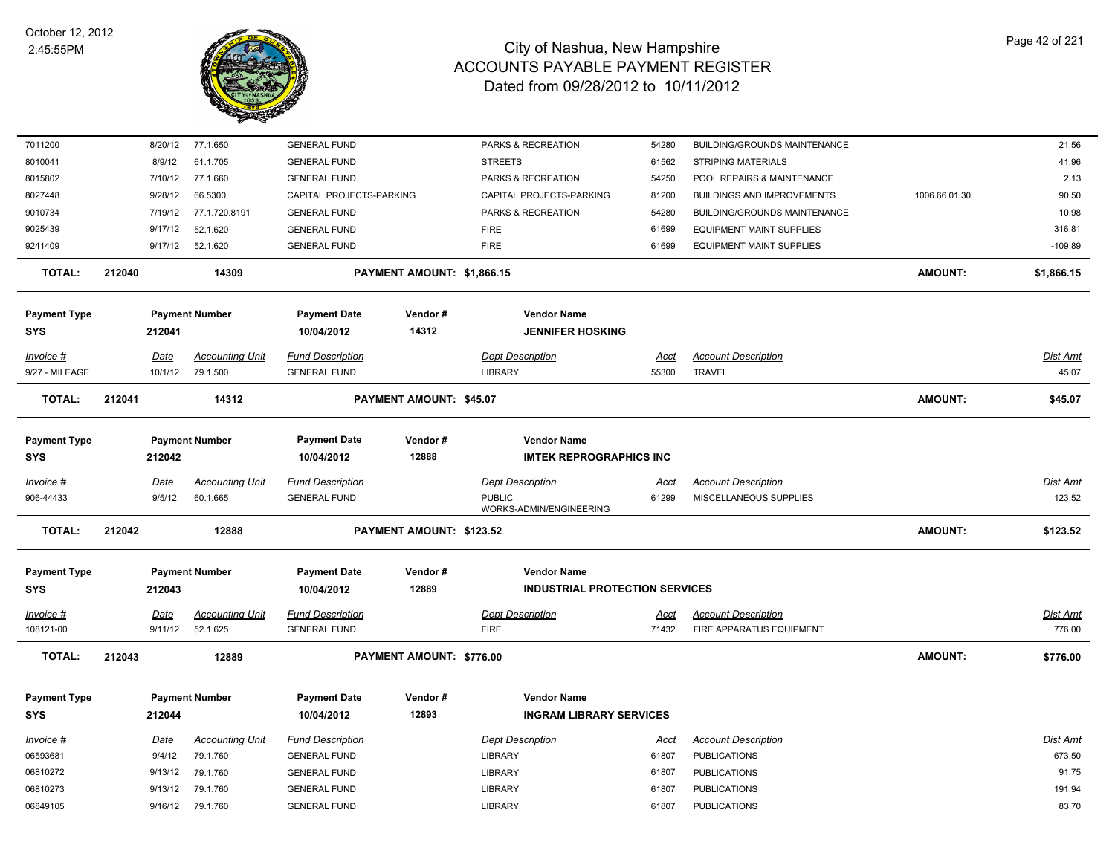

| 7011200                           |        | 8/20/12     | 77.1.650               | <b>GENERAL FUND</b>               |                            | PARKS & RECREATION                                   | 54280       | BUILDING/GROUNDS MAINTENANCE      |                | 21.56           |
|-----------------------------------|--------|-------------|------------------------|-----------------------------------|----------------------------|------------------------------------------------------|-------------|-----------------------------------|----------------|-----------------|
| 8010041                           |        | 8/9/12      | 61.1.705               | <b>GENERAL FUND</b>               |                            | <b>STREETS</b>                                       | 61562       | <b>STRIPING MATERIALS</b>         |                | 41.96           |
| 8015802                           |        | 7/10/12     | 77.1.660               | <b>GENERAL FUND</b>               |                            | PARKS & RECREATION                                   | 54250       | POOL REPAIRS & MAINTENANCE        |                | 2.13            |
| 8027448                           |        | 9/28/12     | 66.5300                | CAPITAL PROJECTS-PARKING          |                            | CAPITAL PROJECTS-PARKING                             | 81200       | <b>BUILDINGS AND IMPROVEMENTS</b> | 1006.66.01.30  | 90.50           |
| 9010734                           |        | 7/19/12     | 77.1.720.8191          | <b>GENERAL FUND</b>               |                            | PARKS & RECREATION                                   | 54280       | BUILDING/GROUNDS MAINTENANCE      |                | 10.98           |
| 9025439                           |        | 9/17/12     | 52.1.620               | <b>GENERAL FUND</b>               |                            | <b>FIRE</b>                                          | 61699       | <b>EQUIPMENT MAINT SUPPLIES</b>   |                | 316.81          |
| 9241409                           |        | 9/17/12     | 52.1.620               | <b>GENERAL FUND</b>               |                            | <b>FIRE</b>                                          | 61699       | <b>EQUIPMENT MAINT SUPPLIES</b>   |                | $-109.89$       |
| <b>TOTAL:</b>                     | 212040 |             | 14309                  |                                   | PAYMENT AMOUNT: \$1,866.15 |                                                      |             |                                   | <b>AMOUNT:</b> | \$1,866.15      |
| <b>Payment Type</b><br><b>SYS</b> |        | 212041      | <b>Payment Number</b>  | <b>Payment Date</b><br>10/04/2012 | Vendor#<br>14312           | <b>Vendor Name</b><br><b>JENNIFER HOSKING</b>        |             |                                   |                |                 |
| Invoice #                         |        | <b>Date</b> | <b>Accounting Unit</b> | <b>Fund Description</b>           |                            | <b>Dept Description</b>                              | <u>Acct</u> | <b>Account Description</b>        |                | Dist Amt        |
| 9/27 - MILEAGE                    |        | 10/1/12     | 79.1.500               | <b>GENERAL FUND</b>               |                            | <b>LIBRARY</b>                                       | 55300       | <b>TRAVEL</b>                     |                | 45.07           |
| <b>TOTAL:</b>                     | 212041 |             | 14312                  |                                   | PAYMENT AMOUNT: \$45.07    |                                                      |             |                                   | <b>AMOUNT:</b> | \$45.07         |
| <b>Payment Type</b><br><b>SYS</b> |        | 212042      | <b>Payment Number</b>  | <b>Payment Date</b><br>10/04/2012 | Vendor#<br>12888           | <b>Vendor Name</b><br><b>IMTEK REPROGRAPHICS INC</b> |             |                                   |                |                 |
|                                   |        |             |                        |                                   |                            |                                                      |             |                                   |                |                 |
| Invoice #                         |        | Date        | <b>Accounting Unit</b> | <b>Fund Description</b>           |                            | <b>Dept Description</b>                              | Acct        | <b>Account Description</b>        |                | Dist Amt        |
| 906-44433                         |        | 9/5/12      | 60.1.665               | <b>GENERAL FUND</b>               |                            | <b>PUBLIC</b><br>WORKS-ADMIN/ENGINEERING             | 61299       | MISCELLANEOUS SUPPLIES            |                | 123.52          |
| <b>TOTAL:</b>                     | 212042 |             | 12888                  |                                   | PAYMENT AMOUNT: \$123.52   |                                                      |             |                                   | <b>AMOUNT:</b> | \$123.52        |
| <b>Payment Type</b>               |        |             | <b>Payment Number</b>  | <b>Payment Date</b>               | Vendor#                    | <b>Vendor Name</b>                                   |             |                                   |                |                 |
| <b>SYS</b>                        |        | 212043      |                        | 10/04/2012                        | 12889                      | <b>INDUSTRIAL PROTECTION SERVICES</b>                |             |                                   |                |                 |
| Invoice #                         |        | Date        | <b>Accounting Unit</b> | <b>Fund Description</b>           |                            | <b>Dept Description</b>                              | Acct        | <b>Account Description</b>        |                | Dist Amt        |
| 108121-00                         |        | 9/11/12     | 52.1.625               | <b>GENERAL FUND</b>               |                            | <b>FIRE</b>                                          | 71432       | FIRE APPARATUS EQUIPMENT          |                | 776.00          |
| <b>TOTAL:</b>                     | 212043 |             | 12889                  |                                   | PAYMENT AMOUNT: \$776.00   |                                                      |             |                                   | <b>AMOUNT:</b> | \$776.00        |
| <b>Payment Type</b>               |        |             | <b>Payment Number</b>  | <b>Payment Date</b>               | Vendor#                    | <b>Vendor Name</b>                                   |             |                                   |                |                 |
| <b>SYS</b>                        |        | 212044      |                        | 10/04/2012                        | 12893                      | <b>INGRAM LIBRARY SERVICES</b>                       |             |                                   |                |                 |
|                                   |        |             |                        |                                   |                            |                                                      |             |                                   |                |                 |
| $Invoice$ #                       |        | <u>Date</u> | <b>Accounting Unit</b> | <b>Fund Description</b>           |                            | <b>Dept Description</b>                              | <u>Acct</u> | <b>Account Description</b>        |                | <b>Dist Amt</b> |
| 06593681                          |        | 9/4/12      | 79.1.760               | <b>GENERAL FUND</b>               |                            | <b>LIBRARY</b>                                       | 61807       | <b>PUBLICATIONS</b>               |                | 673.50          |
| 06810272                          |        | 9/13/12     | 79.1.760               | <b>GENERAL FUND</b>               |                            | <b>LIBRARY</b>                                       | 61807       | PUBLICATIONS                      |                | 91.75           |
| 06810273                          |        | 9/13/12     | 79.1.760               | <b>GENERAL FUND</b>               |                            | <b>LIBRARY</b>                                       | 61807       | <b>PUBLICATIONS</b>               |                | 191.94          |
| 06849105                          |        | 9/16/12     | 79.1.760               | <b>GENERAL FUND</b>               |                            | <b>LIBRARY</b>                                       | 61807       | <b>PUBLICATIONS</b>               |                | 83.70           |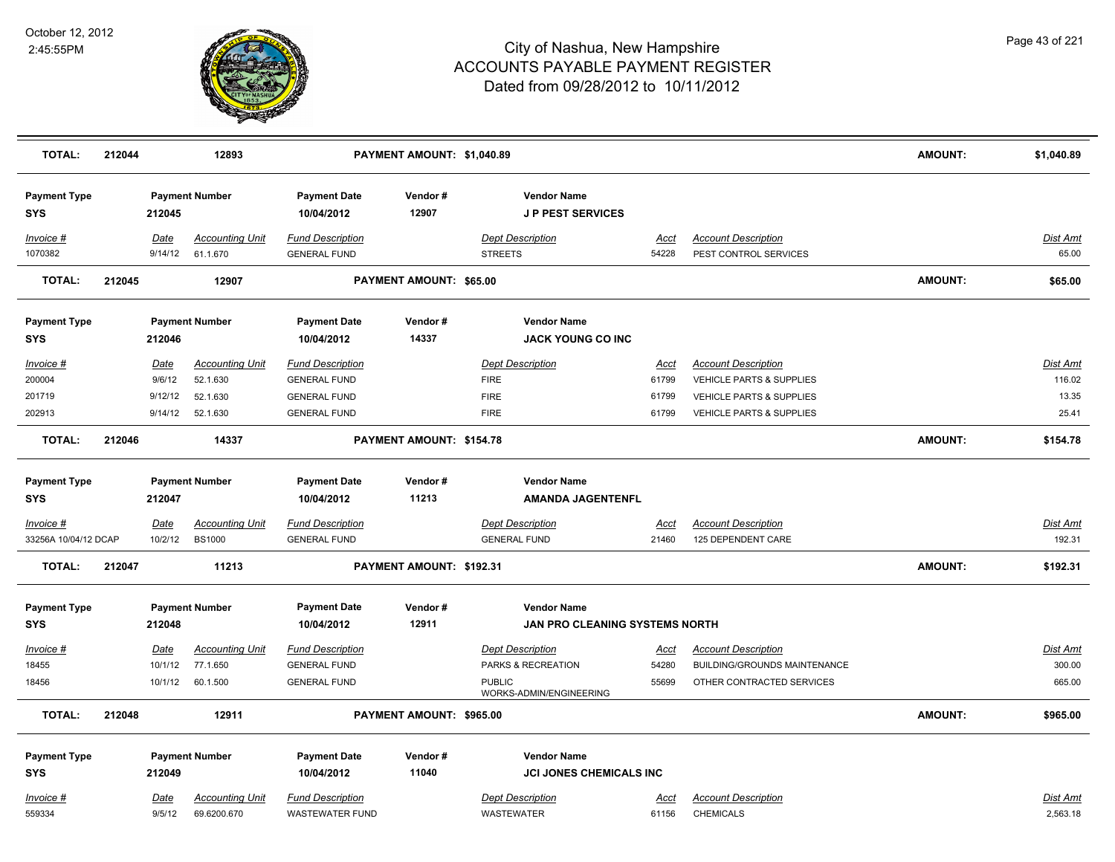

| <b>TOTAL:</b>                     | 212044 |                       | 12893                                 |                                                   | PAYMENT AMOUNT: \$1,040.89 |                                               |                      |                                                     | <b>AMOUNT:</b> | \$1,040.89           |
|-----------------------------------|--------|-----------------------|---------------------------------------|---------------------------------------------------|----------------------------|-----------------------------------------------|----------------------|-----------------------------------------------------|----------------|----------------------|
| <b>Payment Type</b><br><b>SYS</b> |        | 212045                | <b>Payment Number</b>                 | <b>Payment Date</b><br>10/04/2012                 | Vendor#<br>12907           | <b>Vendor Name</b><br><b>JP PEST SERVICES</b> |                      |                                                     |                |                      |
| Invoice #<br>1070382              |        | Date<br>9/14/12       | <b>Accounting Unit</b><br>61.1.670    | <b>Fund Description</b><br><b>GENERAL FUND</b>    |                            | <b>Dept Description</b><br><b>STREETS</b>     | <u>Acct</u><br>54228 | <b>Account Description</b><br>PEST CONTROL SERVICES |                | Dist Amt<br>65.00    |
| <b>TOTAL:</b>                     | 212045 |                       | 12907                                 |                                                   | PAYMENT AMOUNT: \$65.00    |                                               |                      |                                                     | <b>AMOUNT:</b> | \$65.00              |
| <b>Payment Type</b><br><b>SYS</b> |        | 212046                | <b>Payment Number</b>                 | <b>Payment Date</b><br>10/04/2012                 | Vendor#<br>14337           | <b>Vendor Name</b><br>JACK YOUNG CO INC       |                      |                                                     |                |                      |
| Invoice #                         |        | Date                  | <b>Accounting Unit</b>                | <b>Fund Description</b>                           |                            | <b>Dept Description</b>                       | Acct                 | <b>Account Description</b>                          |                | Dist Amt             |
| 200004                            |        | 9/6/12                | 52.1.630                              | <b>GENERAL FUND</b>                               |                            | <b>FIRE</b>                                   | 61799                | VEHICLE PARTS & SUPPLIES                            |                | 116.02               |
| 201719                            |        | 9/12/12               | 52.1.630                              | <b>GENERAL FUND</b>                               |                            | <b>FIRE</b>                                   | 61799                | VEHICLE PARTS & SUPPLIES                            |                | 13.35                |
| 202913                            |        | 9/14/12               | 52.1.630                              | <b>GENERAL FUND</b>                               |                            | <b>FIRE</b>                                   | 61799                | <b>VEHICLE PARTS &amp; SUPPLIES</b>                 |                | 25.41                |
| <b>TOTAL:</b>                     | 212046 |                       | 14337                                 |                                                   | PAYMENT AMOUNT: \$154.78   |                                               |                      |                                                     | <b>AMOUNT:</b> | \$154.78             |
| <b>Payment Type</b>               |        |                       | <b>Payment Number</b>                 | <b>Payment Date</b>                               | Vendor#                    | <b>Vendor Name</b>                            |                      |                                                     |                |                      |
| <b>SYS</b>                        |        | 212047                |                                       | 10/04/2012                                        | 11213                      | <b>AMANDA JAGENTENFL</b>                      |                      |                                                     |                |                      |
| Invoice #                         |        | <u>Date</u>           | <b>Accounting Unit</b>                | <b>Fund Description</b>                           |                            | <b>Dept Description</b>                       | <u>Acct</u>          | <b>Account Description</b>                          |                | <u>Dist Amt</u>      |
| 33256A 10/04/12 DCAP              |        | 10/2/12               | <b>BS1000</b>                         | <b>GENERAL FUND</b>                               |                            | <b>GENERAL FUND</b>                           | 21460                | 125 DEPENDENT CARE                                  |                | 192.31               |
| <b>TOTAL:</b>                     | 212047 |                       | 11213                                 |                                                   | PAYMENT AMOUNT: \$192.31   |                                               |                      |                                                     | <b>AMOUNT:</b> | \$192.31             |
| <b>Payment Type</b>               |        |                       | <b>Payment Number</b>                 | <b>Payment Date</b>                               | Vendor#                    | <b>Vendor Name</b>                            |                      |                                                     |                |                      |
| <b>SYS</b>                        |        | 212048                |                                       | 10/04/2012                                        | 12911                      | JAN PRO CLEANING SYSTEMS NORTH                |                      |                                                     |                |                      |
| Invoice #                         |        | <u>Date</u>           | <b>Accounting Unit</b>                | <b>Fund Description</b>                           |                            | <b>Dept Description</b>                       | Acct                 | <b>Account Description</b>                          |                | <b>Dist Amt</b>      |
| 18455                             |        | 10/1/12               | 77.1.650                              | <b>GENERAL FUND</b>                               |                            | PARKS & RECREATION                            | 54280                | BUILDING/GROUNDS MAINTENANCE                        |                | 300.00               |
| 18456                             |        | 10/1/12               | 60.1.500                              | <b>GENERAL FUND</b>                               |                            | <b>PUBLIC</b><br>WORKS-ADMIN/ENGINEERING      | 55699                | OTHER CONTRACTED SERVICES                           |                | 665.00               |
| <b>TOTAL:</b>                     | 212048 |                       | 12911                                 |                                                   | PAYMENT AMOUNT: \$965.00   |                                               |                      |                                                     | <b>AMOUNT:</b> | \$965.00             |
| <b>Payment Type</b>               |        |                       | <b>Payment Number</b>                 | <b>Payment Date</b>                               | Vendor#                    | <b>Vendor Name</b>                            |                      |                                                     |                |                      |
| <b>SYS</b>                        |        | 212049                |                                       | 10/04/2012                                        | 11040                      | <b>JCI JONES CHEMICALS INC</b>                |                      |                                                     |                |                      |
| Invoice #<br>559334               |        | <u>Date</u><br>9/5/12 | <b>Accounting Unit</b><br>69.6200.670 | <b>Fund Description</b><br><b>WASTEWATER FUND</b> |                            | <b>Dept Description</b><br><b>WASTEWATER</b>  | Acct<br>61156        | <b>Account Description</b><br><b>CHEMICALS</b>      |                | Dist Amt<br>2,563.18 |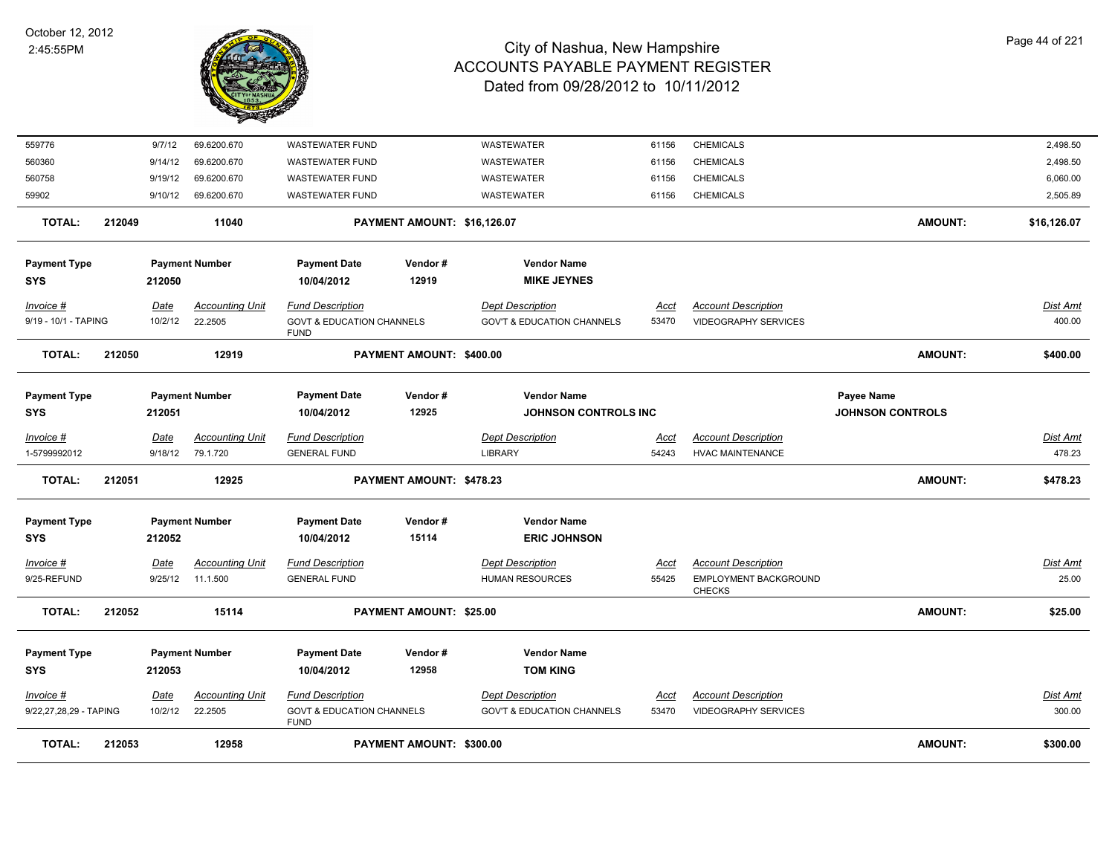

|                          | 212052 |                 | 15114                              | PAYMENT AMOUNT: \$25.00                             |                                 |                                                   |                      |                                                            | <b>AMOUNT:</b>          | \$25.00           |
|--------------------------|--------|-----------------|------------------------------------|-----------------------------------------------------|---------------------------------|---------------------------------------------------|----------------------|------------------------------------------------------------|-------------------------|-------------------|
|                          |        |                 |                                    |                                                     |                                 |                                                   |                      | <b>CHECKS</b>                                              |                         |                   |
| Invoice #<br>9/25-REFUND |        | Date<br>9/25/12 | <b>Accounting Unit</b><br>11.1.500 | <b>Fund Description</b><br><b>GENERAL FUND</b>      |                                 | <b>Dept Description</b><br><b>HUMAN RESOURCES</b> | <u>Acct</u><br>55425 | <b>Account Description</b><br><b>EMPLOYMENT BACKGROUND</b> |                         | Dist Amt<br>25.00 |
| <b>SYS</b>               |        | 212052          |                                    | 10/04/2012                                          |                                 |                                                   |                      |                                                            |                         |                   |
| <b>Payment Type</b>      |        |                 | <b>Payment Number</b>              | <b>Payment Date</b>                                 | Vendor#<br>15114                | <b>Vendor Name</b><br><b>ERIC JOHNSON</b>         |                      |                                                            |                         |                   |
| <b>TOTAL:</b>            | 212051 |                 | 12925                              |                                                     | <b>PAYMENT AMOUNT: \$478.23</b> |                                                   |                      |                                                            | <b>AMOUNT:</b>          | \$478.23          |
| 1-5799992012             |        | 9/18/12         | 79.1.720                           | <b>GENERAL FUND</b>                                 |                                 | <b>LIBRARY</b>                                    | 54243                | <b>HVAC MAINTENANCE</b>                                    |                         | 478.23            |
| Invoice #                |        | <b>Date</b>     | <b>Accounting Unit</b>             | <b>Fund Description</b>                             |                                 | <b>Dept Description</b>                           | <u>Acct</u>          | <b>Account Description</b>                                 |                         | <u>Dist Amt</u>   |
| <b>SYS</b>               |        | 212051          |                                    | 10/04/2012                                          | 12925                           | <b>JOHNSON CONTROLS INC</b>                       |                      |                                                            | <b>JOHNSON CONTROLS</b> |                   |
| <b>Payment Type</b>      |        |                 | <b>Payment Number</b>              | <b>Payment Date</b>                                 | Vendor#                         | <b>Vendor Name</b>                                |                      |                                                            | Payee Name              |                   |
| <b>TOTAL:</b>            | 212050 |                 | 12919                              |                                                     | PAYMENT AMOUNT: \$400.00        |                                                   |                      |                                                            | <b>AMOUNT:</b>          | \$400.00          |
| 9/19 - 10/1 - TAPING     |        | 10/2/12         | 22.2505                            | <b>GOVT &amp; EDUCATION CHANNELS</b><br><b>FUND</b> |                                 | <b>GOV'T &amp; EDUCATION CHANNELS</b>             | 53470                | <b>VIDEOGRAPHY SERVICES</b>                                |                         | 400.00            |
| Invoice #                |        | Date            | <b>Accounting Unit</b>             | <b>Fund Description</b>                             |                                 | <b>Dept Description</b>                           | Acct                 | <b>Account Description</b>                                 |                         | Dist Amt          |
| <b>SYS</b>               |        | 212050          |                                    | 10/04/2012                                          | 12919                           | <b>MIKE JEYNES</b>                                |                      |                                                            |                         |                   |
| <b>Payment Type</b>      |        |                 | <b>Payment Number</b>              | <b>Payment Date</b>                                 | Vendor#                         | <b>Vendor Name</b>                                |                      |                                                            |                         |                   |
| <b>TOTAL:</b>            | 212049 |                 | 11040                              |                                                     | PAYMENT AMOUNT: \$16,126.07     |                                                   |                      |                                                            | <b>AMOUNT:</b>          | \$16,126.07       |
| 59902                    |        | 9/10/12         | 69.6200.670                        | <b>WASTEWATER FUND</b>                              |                                 | WASTEWATER                                        | 61156                | <b>CHEMICALS</b>                                           |                         | 2,505.89          |
| 560758                   |        | 9/19/12         | 69.6200.670                        | WASTEWATER FUND                                     |                                 | WASTEWATER                                        | 61156                | <b>CHEMICALS</b>                                           |                         | 6,060.00          |
|                          |        | 9/14/12         | 69.6200.670                        | <b>WASTEWATER FUND</b>                              |                                 | WASTEWATER                                        | 61156                | <b>CHEMICALS</b>                                           |                         | 2,498.50          |
| 560360                   |        | 9/7/12          | 69.6200.670                        | <b>WASTEWATER FUND</b>                              |                                 | <b>WASTEWATER</b>                                 | 61156                | <b>CHEMICALS</b>                                           |                         | 2,498.50          |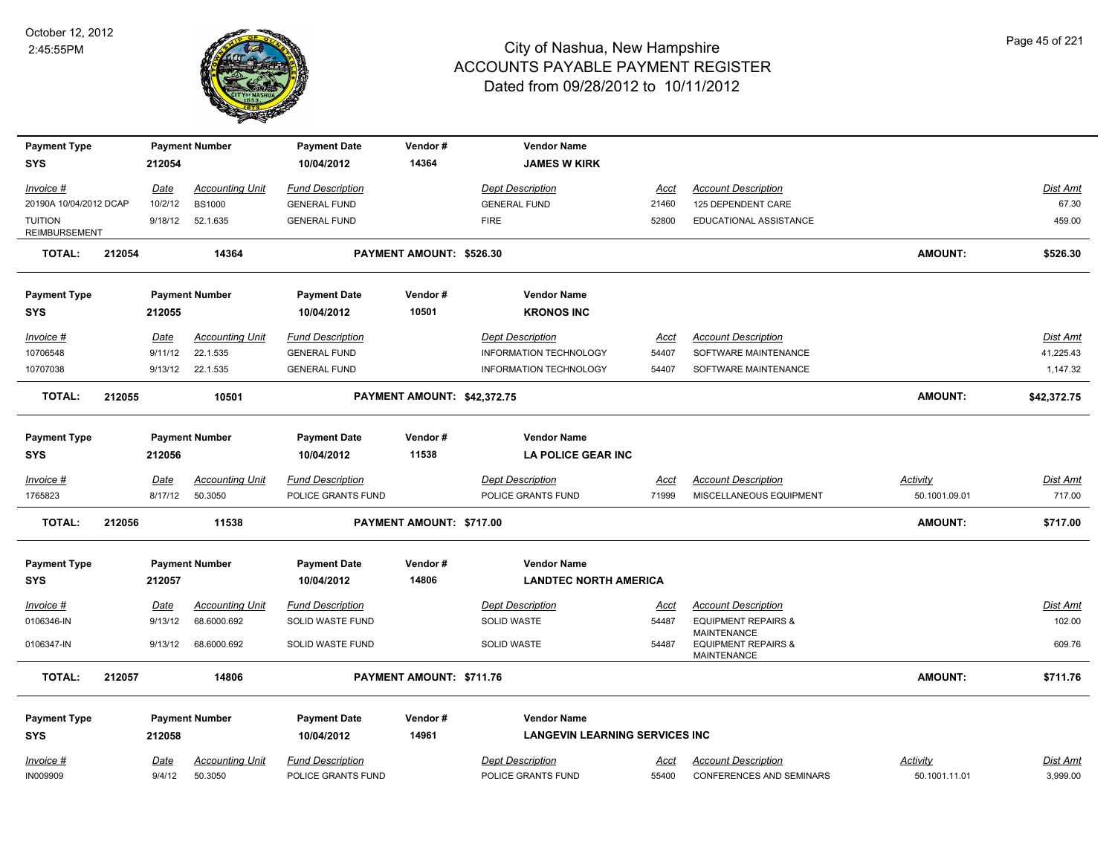

| <b>Payment Type</b><br><b>SYS</b>      |        | 212054          | <b>Payment Number</b>  | <b>Payment Date</b><br>10/04/2012 | Vendor#<br>14364            | <b>Vendor Name</b><br><b>JAMES W KIRK</b> |                      |                                                      |                 |                 |
|----------------------------------------|--------|-----------------|------------------------|-----------------------------------|-----------------------------|-------------------------------------------|----------------------|------------------------------------------------------|-----------------|-----------------|
|                                        |        |                 | <b>Accounting Unit</b> | <b>Fund Description</b>           |                             | <b>Dept Description</b>                   |                      | <b>Account Description</b>                           |                 | Dist Amt        |
| Invoice #<br>20190A 10/04/2012 DCAP    |        | Date<br>10/2/12 | <b>BS1000</b>          | <b>GENERAL FUND</b>               |                             | <b>GENERAL FUND</b>                       | <u>Acct</u><br>21460 | 125 DEPENDENT CARE                                   |                 | 67.30           |
| <b>TUITION</b><br><b>REIMBURSEMENT</b> |        | 9/18/12         | 52.1.635               | <b>GENERAL FUND</b>               |                             | <b>FIRE</b>                               | 52800                | EDUCATIONAL ASSISTANCE                               |                 | 459.00          |
| <b>TOTAL:</b>                          | 212054 |                 | 14364                  |                                   | PAYMENT AMOUNT: \$526.30    |                                           |                      |                                                      | <b>AMOUNT:</b>  | \$526.30        |
| <b>Payment Type</b>                    |        |                 | <b>Payment Number</b>  | <b>Payment Date</b>               | Vendor#                     | <b>Vendor Name</b>                        |                      |                                                      |                 |                 |
| <b>SYS</b>                             |        | 212055          |                        | 10/04/2012                        | 10501                       | <b>KRONOS INC</b>                         |                      |                                                      |                 |                 |
| <u>Invoice #</u>                       |        | Date            | <b>Accounting Unit</b> | <b>Fund Description</b>           |                             | <b>Dept Description</b>                   | <u>Acct</u>          | <b>Account Description</b>                           |                 | Dist Amt        |
| 10706548                               |        | 9/11/12         | 22.1.535               | <b>GENERAL FUND</b>               |                             | <b>INFORMATION TECHNOLOGY</b>             | 54407                | SOFTWARE MAINTENANCE                                 |                 | 41,225.43       |
| 10707038                               |        |                 | 9/13/12 22.1.535       | <b>GENERAL FUND</b>               |                             | <b>INFORMATION TECHNOLOGY</b>             | 54407                | SOFTWARE MAINTENANCE                                 |                 | 1,147.32        |
| <b>TOTAL:</b>                          | 212055 |                 | 10501                  |                                   | PAYMENT AMOUNT: \$42,372.75 |                                           |                      |                                                      | <b>AMOUNT:</b>  | \$42,372.75     |
| <b>Payment Type</b>                    |        |                 | <b>Payment Number</b>  | <b>Payment Date</b>               | Vendor#                     | <b>Vendor Name</b>                        |                      |                                                      |                 |                 |
| <b>SYS</b>                             |        | 212056          |                        | 10/04/2012                        | 11538                       | <b>LA POLICE GEAR INC</b>                 |                      |                                                      |                 |                 |
| <u>Invoice #</u>                       |        | <u>Date</u>     | <b>Accounting Unit</b> | <b>Fund Description</b>           |                             | <b>Dept Description</b>                   | <u>Acct</u>          | <b>Account Description</b>                           | <b>Activity</b> | <u>Dist Amt</u> |
| 1765823                                |        | 8/17/12         | 50.3050                | POLICE GRANTS FUND                |                             | POLICE GRANTS FUND                        | 71999                | MISCELLANEOUS EQUIPMENT                              | 50.1001.09.01   | 717.00          |
| <b>TOTAL:</b>                          | 212056 |                 | 11538                  |                                   | PAYMENT AMOUNT: \$717.00    |                                           |                      |                                                      | <b>AMOUNT:</b>  | \$717.00        |
| <b>Payment Type</b>                    |        |                 | <b>Payment Number</b>  | <b>Payment Date</b>               | Vendor#                     | <b>Vendor Name</b>                        |                      |                                                      |                 |                 |
| <b>SYS</b>                             |        | 212057          |                        | 10/04/2012                        | 14806                       | <b>LANDTEC NORTH AMERICA</b>              |                      |                                                      |                 |                 |
| Invoice #                              |        | Date            | <b>Accounting Unit</b> | <b>Fund Description</b>           |                             | <b>Dept Description</b>                   | Acct                 | <b>Account Description</b>                           |                 | Dist Amt        |
| 0106346-IN                             |        | 9/13/12         | 68.6000.692            | SOLID WASTE FUND                  |                             | SOLID WASTE                               | 54487                | <b>EQUIPMENT REPAIRS &amp;</b><br><b>MAINTENANCE</b> |                 | 102.00          |
| 0106347-IN                             |        | 9/13/12         | 68.6000.692            | SOLID WASTE FUND                  |                             | SOLID WASTE                               | 54487                | <b>EQUIPMENT REPAIRS &amp;</b><br><b>MAINTENANCE</b> |                 | 609.76          |
| TOTAL:                                 | 212057 |                 | 14806                  |                                   | PAYMENT AMOUNT: \$711.76    |                                           |                      |                                                      | <b>AMOUNT:</b>  | \$711.76        |
| <b>Payment Type</b>                    |        |                 | <b>Payment Number</b>  | <b>Payment Date</b>               | Vendor#                     | <b>Vendor Name</b>                        |                      |                                                      |                 |                 |
| <b>SYS</b>                             |        | 212058          |                        | 10/04/2012                        | 14961                       | <b>LANGEVIN LEARNING SERVICES INC</b>     |                      |                                                      |                 |                 |
| Invoice #                              |        | Date            | <b>Accounting Unit</b> | <b>Fund Description</b>           |                             | <b>Dept Description</b>                   | Acct                 | <b>Account Description</b>                           | Activity        | Dist Amt        |
| <b>IN009909</b>                        |        | 9/4/12          | 50.3050                | POLICE GRANTS FUND                |                             | POLICE GRANTS FUND                        | 55400                | <b>CONFERENCES AND SEMINARS</b>                      | 50.1001.11.01   | 3,999.00        |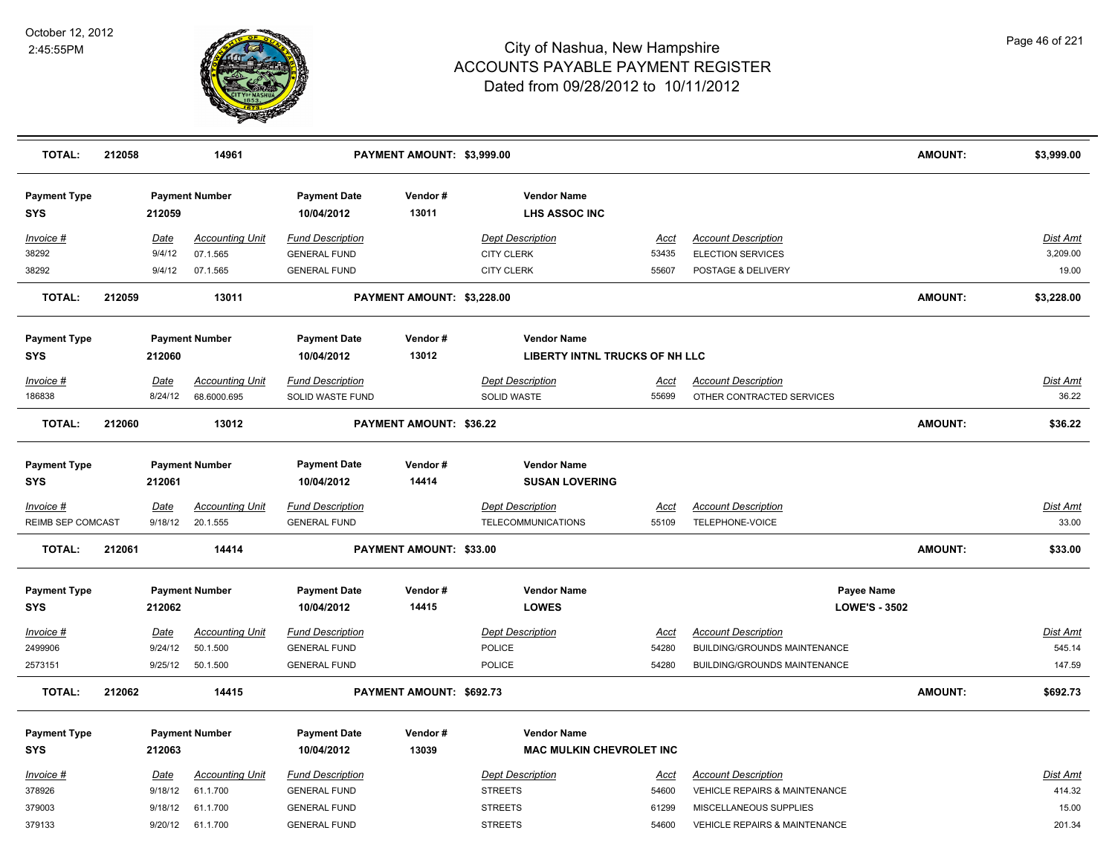

| <b>TOTAL:</b>                     | 212058 |                    | 14961                  |                                            | PAYMENT AMOUNT: \$3,999.00 |                                                       |                |                                                         | <b>AMOUNT:</b> | \$3,999.00      |
|-----------------------------------|--------|--------------------|------------------------|--------------------------------------------|----------------------------|-------------------------------------------------------|----------------|---------------------------------------------------------|----------------|-----------------|
| <b>Payment Type</b><br><b>SYS</b> |        | 212059             | <b>Payment Number</b>  | <b>Payment Date</b><br>10/04/2012          | Vendor#<br>13011           | <b>Vendor Name</b><br><b>LHS ASSOC INC</b>            |                |                                                         |                |                 |
| Invoice #                         |        | Date               | <b>Accounting Unit</b> | <b>Fund Description</b>                    |                            | <b>Dept Description</b>                               | Acct           | <b>Account Description</b>                              |                | <u>Dist Amt</u> |
| 38292                             |        | 9/4/12             | 07.1.565               | <b>GENERAL FUND</b>                        |                            | <b>CITY CLERK</b>                                     | 53435          | <b>ELECTION SERVICES</b>                                |                | 3,209.00        |
| 38292                             |        | 9/4/12             | 07.1.565               | <b>GENERAL FUND</b>                        |                            | <b>CITY CLERK</b>                                     | 55607          | POSTAGE & DELIVERY                                      |                | 19.00           |
| <b>TOTAL:</b>                     | 212059 |                    | 13011                  |                                            | PAYMENT AMOUNT: \$3,228.00 |                                                       |                |                                                         | <b>AMOUNT:</b> | \$3,228.00      |
| <b>Payment Type</b>               |        |                    | <b>Payment Number</b>  | <b>Payment Date</b>                        | Vendor#                    | <b>Vendor Name</b>                                    |                |                                                         |                |                 |
| <b>SYS</b>                        |        | 212060             |                        | 10/04/2012                                 | 13012                      | LIBERTY INTNL TRUCKS OF NH LLC                        |                |                                                         |                |                 |
| Invoice #                         |        | Date               | <b>Accounting Unit</b> | <b>Fund Description</b>                    |                            | <b>Dept Description</b>                               | Acct           | <b>Account Description</b>                              |                | Dist Amt        |
| 186838                            |        | 8/24/12            | 68.6000.695            | SOLID WASTE FUND                           |                            | SOLID WASTE                                           | 55699          | OTHER CONTRACTED SERVICES                               |                | 36.22           |
| <b>TOTAL:</b>                     | 212060 |                    | 13012                  |                                            | PAYMENT AMOUNT: \$36.22    |                                                       |                |                                                         | <b>AMOUNT:</b> | \$36.22         |
| <b>Payment Type</b><br><b>SYS</b> |        | 212061             | <b>Payment Number</b>  | <b>Payment Date</b><br>10/04/2012          | Vendor#<br>14414           | <b>Vendor Name</b><br><b>SUSAN LOVERING</b>           |                |                                                         |                |                 |
| $Invoice$ #                       |        | Date               | <b>Accounting Unit</b> | <b>Fund Description</b>                    |                            | <b>Dept Description</b>                               | <u>Acct</u>    | <b>Account Description</b>                              |                | <b>Dist Amt</b> |
| REIMB SEP COMCAST                 |        | 9/18/12            | 20.1.555               | <b>GENERAL FUND</b>                        |                            | TELECOMMUNICATIONS                                    | 55109          | TELEPHONE-VOICE                                         |                | 33.00           |
| <b>TOTAL:</b>                     | 212061 |                    | 14414                  |                                            | PAYMENT AMOUNT: \$33.00    |                                                       |                |                                                         | <b>AMOUNT:</b> | \$33.00         |
| <b>Payment Type</b>               |        |                    | <b>Payment Number</b>  | <b>Payment Date</b>                        | Vendor#                    | <b>Vendor Name</b>                                    |                | Payee Name                                              |                |                 |
| <b>SYS</b>                        |        | 212062             |                        | 10/04/2012                                 | 14415                      | <b>LOWES</b>                                          |                | <b>LOWE'S - 3502</b>                                    |                |                 |
| Invoice #                         |        | Date               | <b>Accounting Unit</b> | <b>Fund Description</b>                    |                            | <b>Dept Description</b>                               | <b>Acct</b>    | <b>Account Description</b>                              |                | <b>Dist Amt</b> |
| 2499906                           |        | 9/24/12            | 50.1.500               | <b>GENERAL FUND</b>                        |                            | <b>POLICE</b>                                         | 54280          | BUILDING/GROUNDS MAINTENANCE                            |                | 545.14          |
| 2573151                           |        | 9/25/12            | 50.1.500               | <b>GENERAL FUND</b>                        |                            | POLICE                                                | 54280          | BUILDING/GROUNDS MAINTENANCE                            |                | 147.59          |
| <b>TOTAL:</b>                     | 212062 |                    | 14415                  |                                            | PAYMENT AMOUNT: \$692.73   |                                                       |                |                                                         | AMOUNT:        | \$692.73        |
| <b>Payment Type</b><br><b>SYS</b> |        | 212063             | <b>Payment Number</b>  | <b>Payment Date</b><br>10/04/2012          | Vendor#<br>13039           | <b>Vendor Name</b><br><b>MAC MULKIN CHEVROLET INC</b> |                |                                                         |                |                 |
|                                   |        |                    |                        |                                            |                            |                                                       |                |                                                         |                |                 |
| Invoice #                         |        | Date               | <b>Accounting Unit</b> | <b>Fund Description</b>                    |                            | <b>Dept Description</b>                               | <u>Acct</u>    | <b>Account Description</b>                              |                | Dist Amt        |
| 378926<br>379003                  |        | 9/18/12<br>9/18/12 | 61.1.700<br>61.1.700   | <b>GENERAL FUND</b><br><b>GENERAL FUND</b> |                            | <b>STREETS</b><br><b>STREETS</b>                      | 54600<br>61299 | VEHICLE REPAIRS & MAINTENANCE<br>MISCELLANEOUS SUPPLIES |                | 414.32<br>15.00 |
| 379133                            |        | 9/20/12            | 61.1.700               | <b>GENERAL FUND</b>                        |                            | <b>STREETS</b>                                        | 54600          | <b>VEHICLE REPAIRS &amp; MAINTENANCE</b>                |                | 201.34          |
|                                   |        |                    |                        |                                            |                            |                                                       |                |                                                         |                |                 |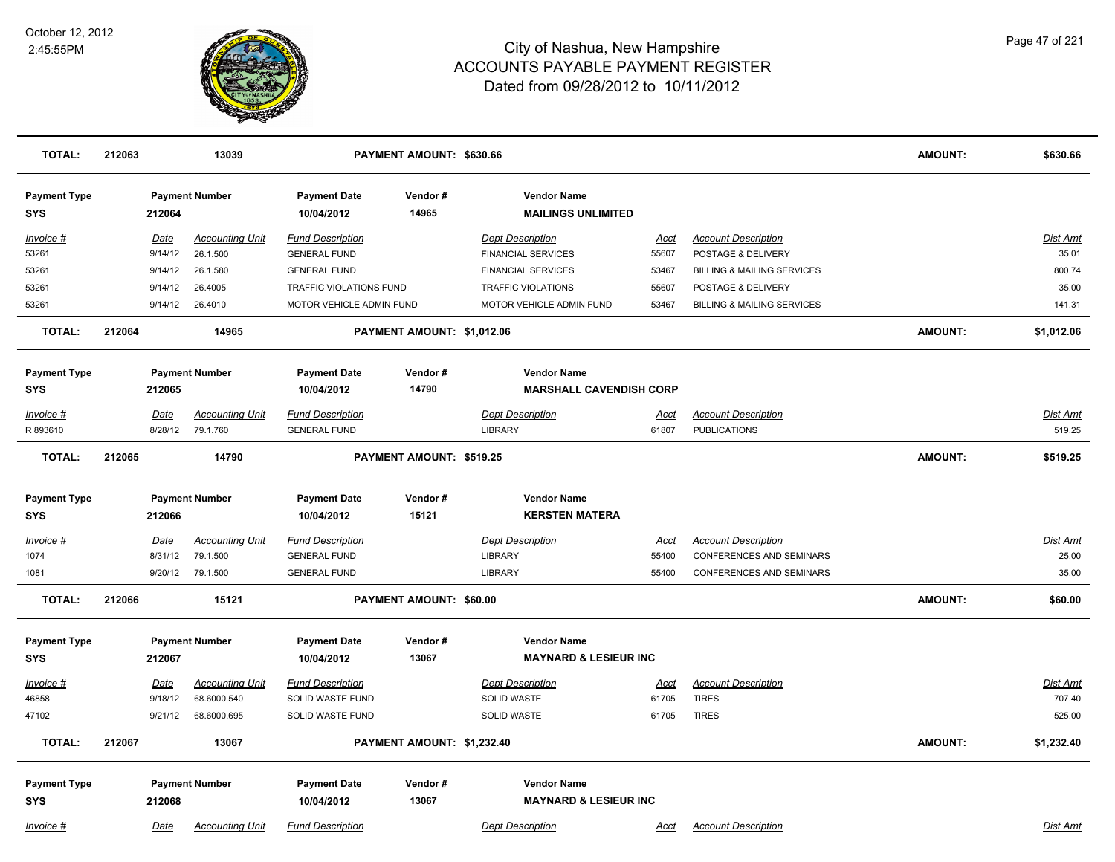

| <b>TOTAL:</b>                     | 212063          | 13039                              |                                                | PAYMENT AMOUNT: \$630.66   |                                                      |                      |                                                  | <b>AMOUNT:</b> | \$630.66          |
|-----------------------------------|-----------------|------------------------------------|------------------------------------------------|----------------------------|------------------------------------------------------|----------------------|--------------------------------------------------|----------------|-------------------|
| <b>Payment Type</b><br><b>SYS</b> | 212064          | <b>Payment Number</b>              | <b>Payment Date</b><br>10/04/2012              | Vendor#<br>14965           | <b>Vendor Name</b><br><b>MAILINGS UNLIMITED</b>      |                      |                                                  |                |                   |
| Invoice #<br>53261                | Date<br>9/14/12 | <b>Accounting Unit</b><br>26.1.500 | <b>Fund Description</b><br><b>GENERAL FUND</b> |                            | <b>Dept Description</b><br><b>FINANCIAL SERVICES</b> | <u>Acct</u><br>55607 | <b>Account Description</b><br>POSTAGE & DELIVERY |                | Dist Amt<br>35.01 |
| 53261                             | 9/14/12         | 26.1.580                           | <b>GENERAL FUND</b>                            |                            | <b>FINANCIAL SERVICES</b>                            | 53467                | <b>BILLING &amp; MAILING SERVICES</b>            |                | 800.74            |
| 53261                             | 9/14/12         | 26.4005                            | TRAFFIC VIOLATIONS FUND                        |                            | <b>TRAFFIC VIOLATIONS</b>                            | 55607                | POSTAGE & DELIVERY                               |                | 35.00             |
| 53261                             | 9/14/12         | 26.4010                            | MOTOR VEHICLE ADMIN FUND                       |                            | MOTOR VEHICLE ADMIN FUND                             | 53467                | <b>BILLING &amp; MAILING SERVICES</b>            |                | 141.31            |
| <b>TOTAL:</b>                     | 212064          | 14965                              |                                                | PAYMENT AMOUNT: \$1,012.06 |                                                      |                      |                                                  | <b>AMOUNT:</b> | \$1,012.06        |
| <b>Payment Type</b>               |                 | <b>Payment Number</b>              | <b>Payment Date</b>                            | Vendor#                    | <b>Vendor Name</b>                                   |                      |                                                  |                |                   |
| SYS                               | 212065          |                                    | 10/04/2012                                     | 14790                      | <b>MARSHALL CAVENDISH CORP</b>                       |                      |                                                  |                |                   |
| Invoice #                         | Date            | <b>Accounting Unit</b>             | <b>Fund Description</b>                        |                            | <b>Dept Description</b>                              | Acct                 | <b>Account Description</b>                       |                | Dist Amt          |
| R 893610                          | 8/28/12         | 79.1.760                           | <b>GENERAL FUND</b>                            |                            | <b>LIBRARY</b>                                       | 61807                | <b>PUBLICATIONS</b>                              |                | 519.25            |
| <b>TOTAL:</b>                     | 212065          | 14790                              |                                                | PAYMENT AMOUNT: \$519.25   |                                                      |                      |                                                  | <b>AMOUNT:</b> | \$519.25          |
| <b>Payment Type</b>               |                 | <b>Payment Number</b>              | <b>Payment Date</b>                            | Vendor#                    | <b>Vendor Name</b>                                   |                      |                                                  |                |                   |
| <b>SYS</b>                        | 212066          |                                    | 10/04/2012                                     | 15121                      | <b>KERSTEN MATERA</b>                                |                      |                                                  |                |                   |
| <u>Invoice #</u>                  | <u>Date</u>     | <b>Accounting Unit</b>             | <b>Fund Description</b>                        |                            | <b>Dept Description</b>                              | <u>Acct</u>          | <b>Account Description</b>                       |                | <u>Dist Amt</u>   |
| 1074                              | 8/31/12         | 79.1.500                           | <b>GENERAL FUND</b>                            |                            | LIBRARY                                              | 55400                | <b>CONFERENCES AND SEMINARS</b>                  |                | 25.00             |
| 1081                              | 9/20/12         | 79.1.500                           | <b>GENERAL FUND</b>                            |                            | <b>LIBRARY</b>                                       | 55400                | <b>CONFERENCES AND SEMINARS</b>                  |                | 35.00             |
| <b>TOTAL:</b>                     | 212066          | 15121                              |                                                | PAYMENT AMOUNT: \$60.00    |                                                      |                      |                                                  | <b>AMOUNT:</b> | \$60.00           |
| <b>Payment Type</b>               |                 | <b>Payment Number</b>              | <b>Payment Date</b>                            | Vendor#                    | <b>Vendor Name</b>                                   |                      |                                                  |                |                   |
| <b>SYS</b>                        | 212067          |                                    | 10/04/2012                                     | 13067                      | <b>MAYNARD &amp; LESIEUR INC</b>                     |                      |                                                  |                |                   |
| Invoice #                         | Date            | <b>Accounting Unit</b>             | <b>Fund Description</b>                        |                            | <b>Dept Description</b>                              | <u>Acct</u>          | <b>Account Description</b>                       |                | <b>Dist Amt</b>   |
| 46858                             | 9/18/12         | 68.6000.540                        | SOLID WASTE FUND                               |                            | SOLID WASTE                                          | 61705                | <b>TIRES</b>                                     |                | 707.40            |
| 47102                             | 9/21/12         | 68.6000.695                        | SOLID WASTE FUND                               |                            | SOLID WASTE                                          | 61705                | <b>TIRES</b>                                     |                | 525.00            |
| <b>TOTAL:</b>                     | 212067          | 13067                              |                                                | PAYMENT AMOUNT: \$1,232.40 |                                                      |                      |                                                  | <b>AMOUNT:</b> | \$1,232.40        |
| <b>Payment Type</b>               |                 | <b>Payment Number</b>              | <b>Payment Date</b>                            | Vendor#                    | <b>Vendor Name</b>                                   |                      |                                                  |                |                   |
| <b>SYS</b>                        | 212068          |                                    | 10/04/2012                                     | 13067                      | <b>MAYNARD &amp; LESIEUR INC</b>                     |                      |                                                  |                |                   |
| Invoice #                         | Date            | <b>Accounting Unit</b>             | <b>Fund Description</b>                        |                            | <b>Dept Description</b>                              | Acct                 | <b>Account Description</b>                       |                | Dist Amt          |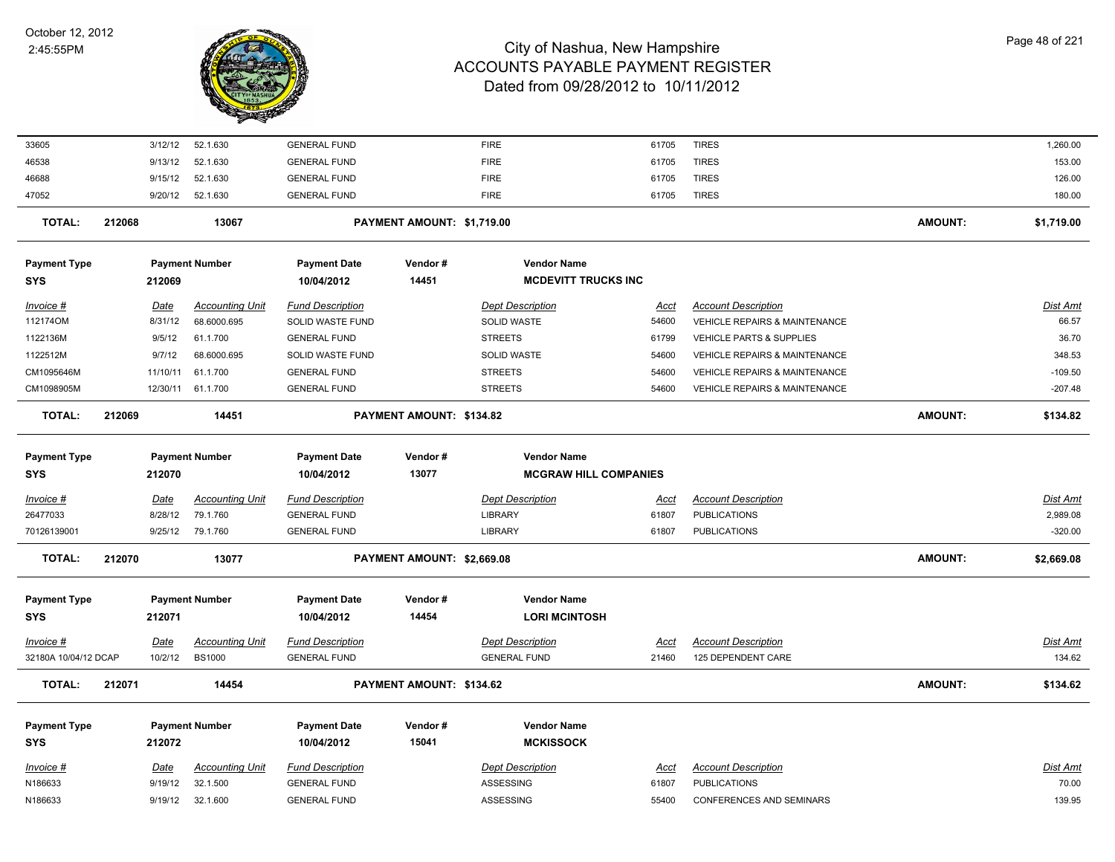

| 33605                |        | 3/12/12     | 52.1.630               | <b>GENERAL FUND</b>     |                            | <b>FIRE</b>                  | 61705       | <b>TIRES</b>                  |                | 1,260.00        |
|----------------------|--------|-------------|------------------------|-------------------------|----------------------------|------------------------------|-------------|-------------------------------|----------------|-----------------|
| 46538                |        | 9/13/12     | 52.1.630               | <b>GENERAL FUND</b>     |                            | <b>FIRE</b>                  | 61705       | <b>TIRES</b>                  |                | 153.00          |
| 46688                |        | 9/15/12     | 52.1.630               | <b>GENERAL FUND</b>     |                            | <b>FIRE</b>                  | 61705       | <b>TIRES</b>                  |                | 126.00          |
| 47052                |        | 9/20/12     | 52.1.630               | <b>GENERAL FUND</b>     |                            | <b>FIRE</b>                  | 61705       | <b>TIRES</b>                  |                | 180.00          |
| <b>TOTAL:</b>        | 212068 |             | 13067                  |                         | PAYMENT AMOUNT: \$1,719.00 |                              |             |                               | <b>AMOUNT:</b> | \$1,719.00      |
| <b>Payment Type</b>  |        |             | <b>Payment Number</b>  | <b>Payment Date</b>     | Vendor#                    | <b>Vendor Name</b>           |             |                               |                |                 |
| <b>SYS</b>           |        | 212069      |                        | 10/04/2012              | 14451                      | <b>MCDEVITT TRUCKS INC</b>   |             |                               |                |                 |
| Invoice #            |        | <u>Date</u> | <b>Accounting Unit</b> | <b>Fund Description</b> |                            | <b>Dept Description</b>      | <u>Acct</u> | <b>Account Description</b>    |                | <u>Dist Amt</u> |
| 112174OM             |        | 8/31/12     | 68.6000.695            | SOLID WASTE FUND        |                            | SOLID WASTE                  | 54600       | VEHICLE REPAIRS & MAINTENANCE |                | 66.57           |
| 1122136M             |        | 9/5/12      | 61.1.700               | <b>GENERAL FUND</b>     |                            | <b>STREETS</b>               | 61799       | VEHICLE PARTS & SUPPLIES      |                | 36.70           |
| 1122512M             |        | 9/7/12      | 68.6000.695            | SOLID WASTE FUND        |                            | SOLID WASTE                  | 54600       | VEHICLE REPAIRS & MAINTENANCE |                | 348.53          |
| CM1095646M           |        | 11/10/11    | 61.1.700               | <b>GENERAL FUND</b>     |                            | <b>STREETS</b>               | 54600       | VEHICLE REPAIRS & MAINTENANCE |                | $-109.50$       |
| CM1098905M           |        |             | 12/30/11 61.1.700      | <b>GENERAL FUND</b>     |                            | <b>STREETS</b>               | 54600       | VEHICLE REPAIRS & MAINTENANCE |                | $-207.48$       |
| <b>TOTAL:</b>        | 212069 |             | 14451                  |                         | PAYMENT AMOUNT: \$134.82   |                              |             |                               | <b>AMOUNT:</b> | \$134.82        |
| <b>Payment Type</b>  |        |             | <b>Payment Number</b>  | <b>Payment Date</b>     | Vendor#                    | <b>Vendor Name</b>           |             |                               |                |                 |
| <b>SYS</b>           |        | 212070      |                        | 10/04/2012              | 13077                      | <b>MCGRAW HILL COMPANIES</b> |             |                               |                |                 |
| Invoice #            |        | <u>Date</u> | <b>Accounting Unit</b> | <b>Fund Description</b> |                            | <b>Dept Description</b>      | <u>Acct</u> | <b>Account Description</b>    |                | Dist Amt        |
| 26477033             |        | 8/28/12     | 79.1.760               | <b>GENERAL FUND</b>     |                            | LIBRARY                      | 61807       | <b>PUBLICATIONS</b>           |                | 2,989.08        |
| 70126139001          |        | 9/25/12     | 79.1.760               | <b>GENERAL FUND</b>     |                            | <b>LIBRARY</b>               | 61807       | <b>PUBLICATIONS</b>           |                | $-320.00$       |
| <b>TOTAL:</b>        | 212070 |             | 13077                  |                         | PAYMENT AMOUNT: \$2,669.08 |                              |             |                               | <b>AMOUNT:</b> | \$2,669.08      |
| <b>Payment Type</b>  |        |             | <b>Payment Number</b>  | <b>Payment Date</b>     | Vendor#                    | <b>Vendor Name</b>           |             |                               |                |                 |
| <b>SYS</b>           |        | 212071      |                        | 10/04/2012              | 14454                      | <b>LORI MCINTOSH</b>         |             |                               |                |                 |
| Invoice #            |        | <u>Date</u> | <b>Accounting Unit</b> | <b>Fund Description</b> |                            | <b>Dept Description</b>      | <u>Acct</u> | <b>Account Description</b>    |                | <u>Dist Amt</u> |
| 32180A 10/04/12 DCAP |        | 10/2/12     | <b>BS1000</b>          | <b>GENERAL FUND</b>     |                            | <b>GENERAL FUND</b>          | 21460       | 125 DEPENDENT CARE            |                | 134.62          |
| <b>TOTAL:</b>        | 212071 |             | 14454                  |                         | PAYMENT AMOUNT: \$134.62   |                              |             |                               | <b>AMOUNT:</b> | \$134.62        |
| <b>Payment Type</b>  |        |             | <b>Payment Number</b>  | <b>Payment Date</b>     | Vendor#                    | <b>Vendor Name</b>           |             |                               |                |                 |
| <b>SYS</b>           |        | 212072      |                        | 10/04/2012              | 15041                      | <b>MCKISSOCK</b>             |             |                               |                |                 |
| Invoice #            |        | <b>Date</b> | <b>Accounting Unit</b> | <b>Fund Description</b> |                            | <b>Dept Description</b>      | <u>Acct</u> | <b>Account Description</b>    |                | Dist Amt        |
| N186633              |        | 9/19/12     | 32.1.500               | <b>GENERAL FUND</b>     |                            | <b>ASSESSING</b>             | 61807       | <b>PUBLICATIONS</b>           |                | 70.00           |
| N186633              |        |             | 9/19/12 32.1.600       | <b>GENERAL FUND</b>     |                            | ASSESSING                    | 55400       | CONFERENCES AND SEMINARS      |                | 139.95          |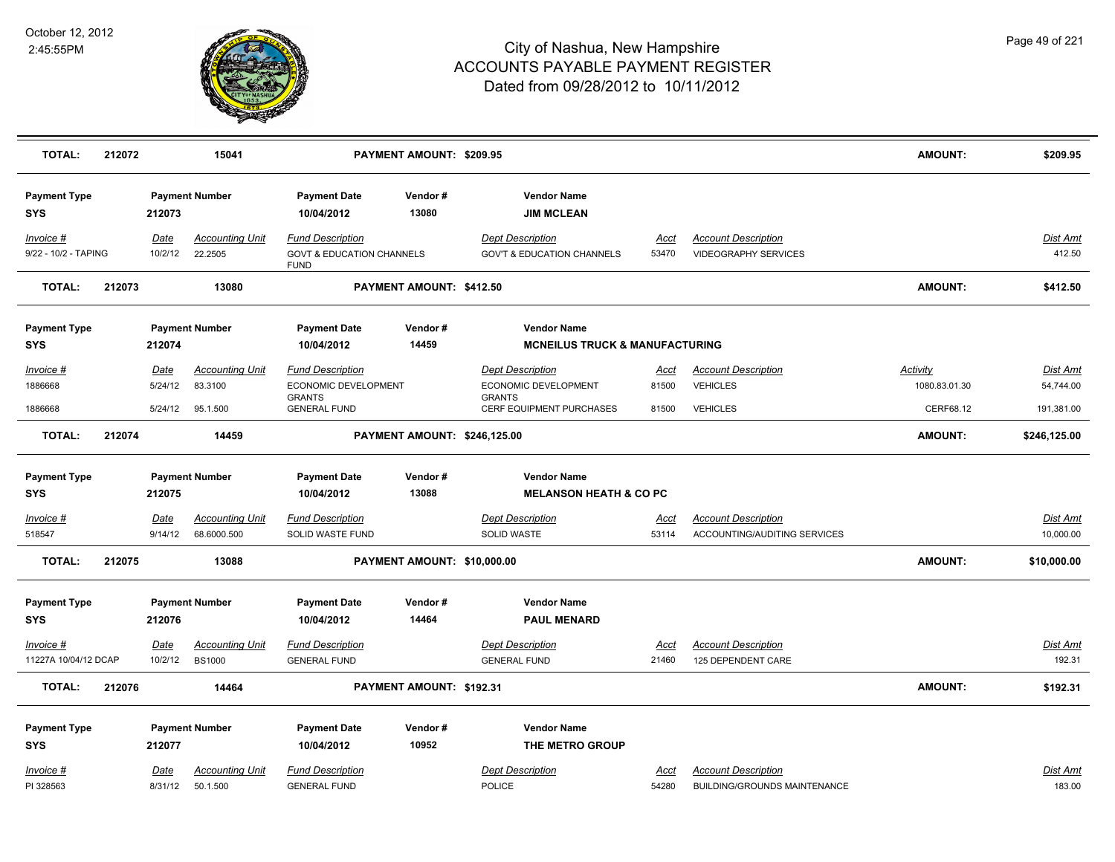

| <b>TOTAL:</b>                     | 212072 |                 | 15041                                   |                                                                                | PAYMENT AMOUNT: \$209.95     |                                                                  |               |                                                           | <b>AMOUNT:</b>  | \$209.95                  |
|-----------------------------------|--------|-----------------|-----------------------------------------|--------------------------------------------------------------------------------|------------------------------|------------------------------------------------------------------|---------------|-----------------------------------------------------------|-----------------|---------------------------|
| <b>Payment Type</b><br><b>SYS</b> |        | 212073          | <b>Payment Number</b>                   | <b>Payment Date</b><br>10/04/2012                                              | Vendor#<br>13080             | <b>Vendor Name</b><br><b>JIM MCLEAN</b>                          |               |                                                           |                 |                           |
| Invoice #<br>9/22 - 10/2 - TAPING |        | Date<br>10/2/12 | <b>Accounting Unit</b><br>22.2505       | <b>Fund Description</b><br><b>GOVT &amp; EDUCATION CHANNELS</b><br><b>FUND</b> |                              | <b>Dept Description</b><br><b>GOV'T &amp; EDUCATION CHANNELS</b> | Acct<br>53470 | <b>Account Description</b><br><b>VIDEOGRAPHY SERVICES</b> |                 | Dist Amt<br>412.50        |
| <b>TOTAL:</b>                     | 212073 |                 | 13080                                   |                                                                                | PAYMENT AMOUNT: \$412.50     |                                                                  |               |                                                           | <b>AMOUNT:</b>  | \$412.50                  |
| <b>Payment Type</b>               |        |                 | <b>Payment Number</b>                   | <b>Payment Date</b>                                                            | Vendor#                      | <b>Vendor Name</b>                                               |               |                                                           |                 |                           |
| <b>SYS</b>                        |        | 212074          |                                         | 10/04/2012                                                                     | 14459                        | <b>MCNEILUS TRUCK &amp; MANUFACTURING</b>                        |               |                                                           |                 |                           |
| Invoice #                         |        | <b>Date</b>     | <b>Accounting Unit</b>                  | <b>Fund Description</b>                                                        |                              | <b>Dept Description</b>                                          | <u>Acct</u>   | <b>Account Description</b>                                | <b>Activity</b> | Dist Amt                  |
| 1886668                           |        | 5/24/12         | 83.3100                                 | ECONOMIC DEVELOPMENT                                                           |                              | ECONOMIC DEVELOPMENT                                             | 81500         | <b>VEHICLES</b>                                           | 1080.83.01.30   | 54,744.00                 |
| 1886668                           |        | 5/24/12         | 95.1.500                                | <b>GRANTS</b><br><b>GENERAL FUND</b>                                           |                              | <b>GRANTS</b><br>CERF EQUIPMENT PURCHASES                        | 81500         | <b>VEHICLES</b>                                           | CERF68.12       | 191,381.00                |
| TOTAL:                            | 212074 |                 | 14459                                   |                                                                                | PAYMENT AMOUNT: \$246,125.00 |                                                                  |               |                                                           | <b>AMOUNT:</b>  | \$246,125.00              |
| <b>Payment Type</b>               |        |                 | <b>Payment Number</b>                   | <b>Payment Date</b>                                                            | Vendor#                      | <b>Vendor Name</b>                                               |               |                                                           |                 |                           |
| <b>SYS</b>                        |        | 212075          |                                         | 10/04/2012                                                                     | 13088                        | <b>MELANSON HEATH &amp; CO PC</b>                                |               |                                                           |                 |                           |
| $Invoice$ #                       |        | Date            | <b>Accounting Unit</b>                  | <b>Fund Description</b>                                                        |                              | <b>Dept Description</b>                                          | <u>Acct</u>   | <b>Account Description</b>                                |                 | <b>Dist Amt</b>           |
| 518547                            |        | 9/14/12         | 68.6000.500                             | SOLID WASTE FUND                                                               |                              | SOLID WASTE                                                      | 53114         | ACCOUNTING/AUDITING SERVICES                              |                 | 10,000.00                 |
| TOTAL:                            | 212075 |                 | 13088                                   |                                                                                | PAYMENT AMOUNT: \$10,000.00  |                                                                  |               |                                                           | <b>AMOUNT:</b>  | \$10,000.00               |
|                                   |        |                 |                                         |                                                                                | Vendor#                      | <b>Vendor Name</b>                                               |               |                                                           |                 |                           |
| <b>Payment Type</b><br><b>SYS</b> |        | 212076          | <b>Payment Number</b>                   | <b>Payment Date</b><br>10/04/2012                                              | 14464                        | <b>PAUL MENARD</b>                                               |               |                                                           |                 |                           |
|                                   |        |                 |                                         |                                                                                |                              |                                                                  |               |                                                           |                 |                           |
| Invoice #<br>11227A 10/04/12 DCAP |        | Date<br>10/2/12 | <b>Accounting Unit</b><br><b>BS1000</b> | <b>Fund Description</b><br><b>GENERAL FUND</b>                                 |                              | <b>Dept Description</b><br><b>GENERAL FUND</b>                   | Acct<br>21460 | <b>Account Description</b><br>125 DEPENDENT CARE          |                 | <b>Dist Amt</b><br>192.31 |
|                                   |        |                 |                                         |                                                                                |                              |                                                                  |               |                                                           |                 |                           |
| <b>TOTAL:</b>                     | 212076 |                 | 14464                                   |                                                                                | PAYMENT AMOUNT: \$192.31     |                                                                  |               |                                                           | <b>AMOUNT:</b>  | \$192.31                  |
| <b>Payment Type</b>               |        |                 | <b>Payment Number</b>                   | <b>Payment Date</b>                                                            | Vendor#                      | <b>Vendor Name</b>                                               |               |                                                           |                 |                           |
| <b>SYS</b>                        |        | 212077          |                                         | 10/04/2012                                                                     | 10952                        | THE METRO GROUP                                                  |               |                                                           |                 |                           |
| Invoice #                         |        | Date            | <b>Accounting Unit</b>                  | <b>Fund Description</b>                                                        |                              | <b>Dept Description</b>                                          | <u>Acct</u>   | <b>Account Description</b>                                |                 | Dist Amt                  |
| PI 328563                         |        | 8/31/12         | 50.1.500                                | <b>GENERAL FUND</b>                                                            |                              | <b>POLICE</b>                                                    | 54280         | <b>BUILDING/GROUNDS MAINTENANCE</b>                       |                 | 183.00                    |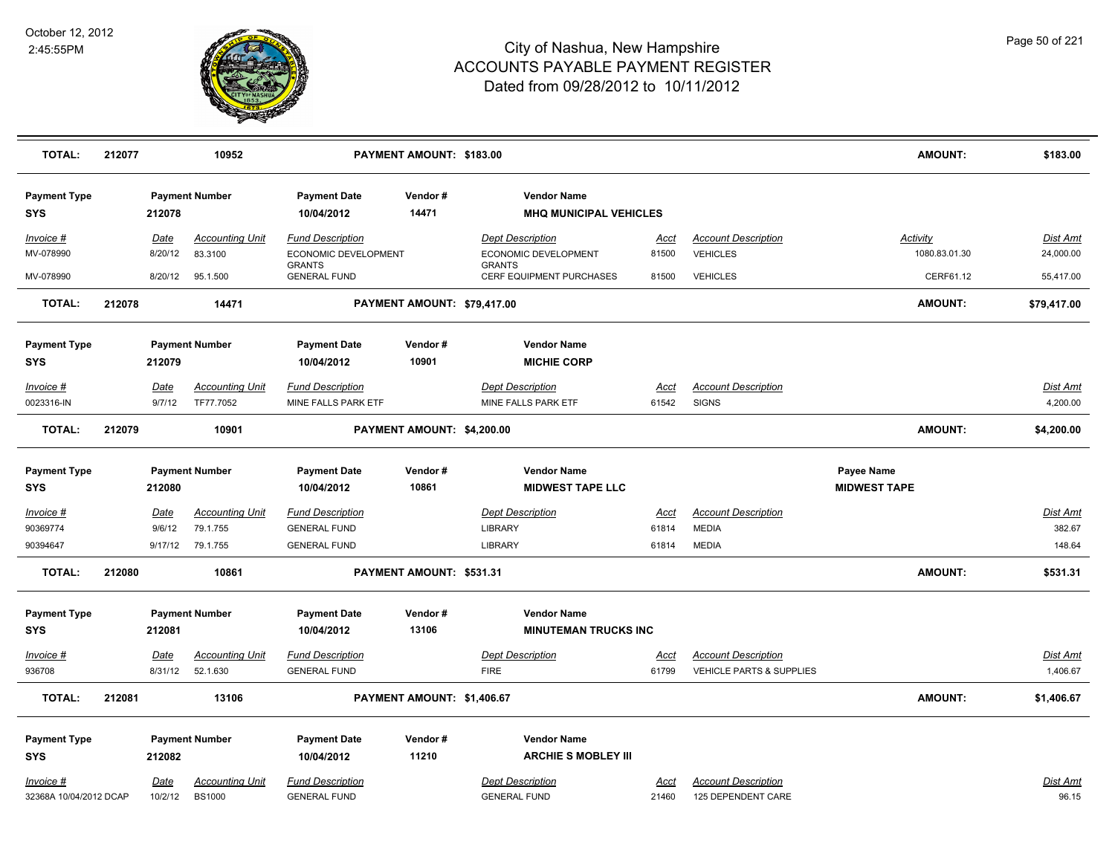

| <b>TOTAL:</b>                     | 212077 |                 | 10952                             |                                                 | PAYMENT AMOUNT: \$183.00    |                                                        |               |                                               | <b>AMOUNT:</b>                    | \$183.00              |
|-----------------------------------|--------|-----------------|-----------------------------------|-------------------------------------------------|-----------------------------|--------------------------------------------------------|---------------|-----------------------------------------------|-----------------------------------|-----------------------|
| <b>Payment Type</b><br><b>SYS</b> |        | 212078          | <b>Payment Number</b>             | <b>Payment Date</b><br>10/04/2012               | Vendor#<br>14471            | <b>Vendor Name</b><br><b>MHQ MUNICIPAL VEHICLES</b>    |               |                                               |                                   |                       |
|                                   |        |                 |                                   |                                                 |                             |                                                        |               |                                               |                                   |                       |
| Invoice #<br>MV-078990            |        | Date<br>8/20/12 | <b>Accounting Unit</b><br>83.3100 | <b>Fund Description</b><br>ECONOMIC DEVELOPMENT |                             | <b>Dept Description</b><br><b>ECONOMIC DEVELOPMENT</b> | Acct<br>81500 | <b>Account Description</b><br><b>VEHICLES</b> | <b>Activity</b><br>1080.83.01.30  | Dist Amt<br>24,000.00 |
|                                   |        |                 |                                   | <b>GRANTS</b>                                   |                             | <b>GRANTS</b>                                          |               |                                               |                                   |                       |
| MV-078990                         |        | 8/20/12         | 95.1.500                          | <b>GENERAL FUND</b>                             |                             | CERF EQUIPMENT PURCHASES                               | 81500         | <b>VEHICLES</b>                               | CERF61.12                         | 55,417.00             |
| <b>TOTAL:</b>                     | 212078 |                 | 14471                             |                                                 | PAYMENT AMOUNT: \$79,417.00 |                                                        |               |                                               | AMOUNT:                           | \$79,417.00           |
| <b>Payment Type</b><br><b>SYS</b> |        | 212079          | <b>Payment Number</b>             | <b>Payment Date</b><br>10/04/2012               | Vendor#<br>10901            | <b>Vendor Name</b><br><b>MICHIE CORP</b>               |               |                                               |                                   |                       |
| Invoice #                         |        | <u>Date</u>     | <b>Accounting Unit</b>            | <b>Fund Description</b>                         |                             | <b>Dept Description</b>                                | <u>Acct</u>   | <b>Account Description</b>                    |                                   | <b>Dist Amt</b>       |
| 0023316-IN                        |        | 9/7/12          | TF77.7052                         | MINE FALLS PARK ETF                             |                             | MINE FALLS PARK ETF                                    | 61542         | <b>SIGNS</b>                                  |                                   | 4,200.00              |
| <b>TOTAL:</b>                     | 212079 |                 | 10901                             |                                                 | PAYMENT AMOUNT: \$4,200.00  |                                                        |               |                                               | AMOUNT:                           | \$4,200.00            |
| <b>Payment Type</b><br><b>SYS</b> |        | 212080          | <b>Payment Number</b>             | <b>Payment Date</b><br>10/04/2012               | Vendor#<br>10861            | <b>Vendor Name</b><br><b>MIDWEST TAPE LLC</b>          |               |                                               | Payee Name<br><b>MIDWEST TAPE</b> |                       |
| Invoice #                         |        | Date            | <b>Accounting Unit</b>            | <b>Fund Description</b>                         |                             | <b>Dept Description</b>                                | Acct          | <b>Account Description</b>                    |                                   | Dist Amt              |
| 90369774                          |        | 9/6/12          | 79.1.755                          | <b>GENERAL FUND</b>                             |                             | LIBRARY                                                | 61814         | <b>MEDIA</b>                                  |                                   | 382.67                |
| 90394647                          |        | 9/17/12         | 79.1.755                          | <b>GENERAL FUND</b>                             |                             | <b>LIBRARY</b>                                         | 61814         | <b>MEDIA</b>                                  |                                   | 148.64                |
| <b>TOTAL:</b>                     | 212080 |                 | 10861                             |                                                 | PAYMENT AMOUNT: \$531.31    |                                                        |               |                                               | AMOUNT:                           | \$531.31              |
| <b>Payment Type</b>               |        |                 | <b>Payment Number</b>             | <b>Payment Date</b>                             | Vendor#                     | <b>Vendor Name</b>                                     |               |                                               |                                   |                       |
| <b>SYS</b>                        |        | 212081          |                                   | 10/04/2012                                      | 13106                       | <b>MINUTEMAN TRUCKS INC</b>                            |               |                                               |                                   |                       |
| Invoice #                         |        | Date            | <b>Accounting Unit</b>            | <b>Fund Description</b>                         |                             | <b>Dept Description</b>                                | <u>Acct</u>   | <b>Account Description</b>                    |                                   | <u>Dist Amt</u>       |
| 936708                            |        | 8/31/12         | 52.1.630                          | <b>GENERAL FUND</b>                             |                             | <b>FIRE</b>                                            | 61799         | <b>VEHICLE PARTS &amp; SUPPLIES</b>           |                                   | 1,406.67              |
| <b>TOTAL:</b>                     | 212081 |                 | 13106                             |                                                 | PAYMENT AMOUNT: \$1,406.67  |                                                        |               |                                               | AMOUNT:                           | \$1,406.67            |
| <b>Payment Type</b>               |        |                 | <b>Payment Number</b>             | <b>Payment Date</b>                             | Vendor#                     | <b>Vendor Name</b>                                     |               |                                               |                                   |                       |
| <b>SYS</b>                        |        | 212082          |                                   | 10/04/2012                                      | 11210                       | <b>ARCHIE S MOBLEY III</b>                             |               |                                               |                                   |                       |
| Invoice #                         |        | Date            | <b>Accounting Unit</b>            | <b>Fund Description</b>                         |                             | <b>Dept Description</b>                                | Acct          | <b>Account Description</b>                    |                                   | Dist Amt              |
| 32368A 10/04/2012 DCAP            |        | 10/2/12         | <b>BS1000</b>                     | <b>GENERAL FUND</b>                             |                             | <b>GENERAL FUND</b>                                    | 21460         | 125 DEPENDENT CARE                            |                                   | 96.15                 |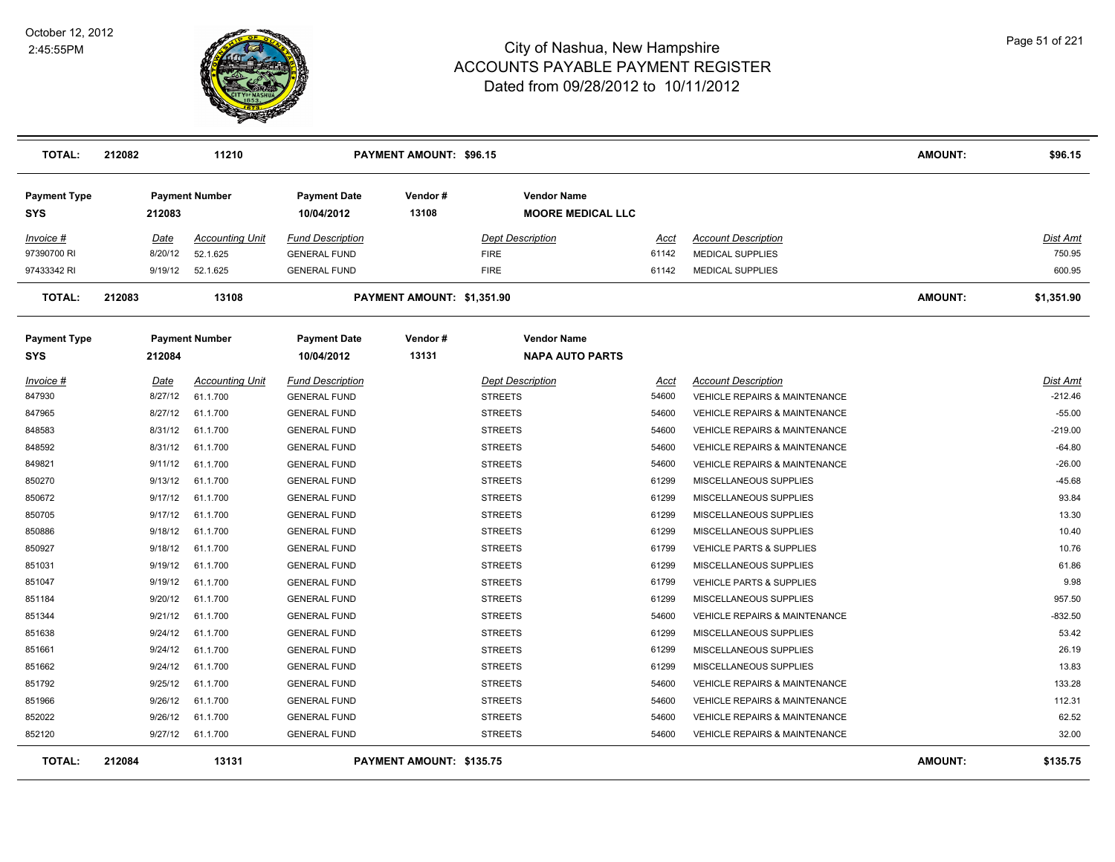

| TOTAL:                            | 212082 |         | 11210                  |                                   | <b>PAYMENT AMOUNT: \$96.15</b> |                         |                                                |       |                                          | <b>AMOUNT:</b> | \$96.15         |
|-----------------------------------|--------|---------|------------------------|-----------------------------------|--------------------------------|-------------------------|------------------------------------------------|-------|------------------------------------------|----------------|-----------------|
| <b>Payment Type</b><br><b>SYS</b> |        | 212083  | <b>Payment Number</b>  | <b>Payment Date</b><br>10/04/2012 | Vendor#<br>13108               |                         | <b>Vendor Name</b><br><b>MOORE MEDICAL LLC</b> |       |                                          |                |                 |
| Invoice #                         |        | Date    | <b>Accounting Unit</b> | <b>Fund Description</b>           |                                | <b>Dept Description</b> |                                                | Acct  | <b>Account Description</b>               |                | <u>Dist Amt</u> |
| 97390700 RI                       |        | 8/20/12 | 52.1.625               | <b>GENERAL FUND</b>               |                                | <b>FIRE</b>             |                                                | 61142 | <b>MEDICAL SUPPLIES</b>                  |                | 750.95          |
| 97433342 RI                       |        | 9/19/12 | 52.1.625               | <b>GENERAL FUND</b>               |                                | <b>FIRE</b>             |                                                | 61142 | <b>MEDICAL SUPPLIES</b>                  |                | 600.95          |
| <b>TOTAL:</b>                     | 212083 |         | 13108                  |                                   | PAYMENT AMOUNT: \$1,351.90     |                         |                                                |       |                                          | <b>AMOUNT:</b> | \$1,351.90      |
| <b>Payment Type</b><br><b>SYS</b> |        | 212084  | <b>Payment Number</b>  | <b>Payment Date</b><br>10/04/2012 | Vendor#<br>13131               |                         | <b>Vendor Name</b><br><b>NAPA AUTO PARTS</b>   |       |                                          |                |                 |
| Invoice #                         |        | Date    | <b>Accounting Unit</b> | <b>Fund Description</b>           |                                | <b>Dept Description</b> |                                                | Acct  | <b>Account Description</b>               |                | Dist Amt        |
| 847930                            |        | 8/27/12 | 61.1.700               | <b>GENERAL FUND</b>               |                                | <b>STREETS</b>          |                                                | 54600 | <b>VEHICLE REPAIRS &amp; MAINTENANCE</b> |                | $-212.46$       |
| 847965                            |        | 8/27/12 | 61.1.700               | <b>GENERAL FUND</b>               |                                | <b>STREETS</b>          |                                                | 54600 | <b>VEHICLE REPAIRS &amp; MAINTENANCE</b> |                | $-55.00$        |
| 848583                            |        | 8/31/12 | 61.1.700               | <b>GENERAL FUND</b>               |                                | STREETS                 |                                                | 54600 | <b>VEHICLE REPAIRS &amp; MAINTENANCE</b> |                | $-219.00$       |
| 848592                            |        | 8/31/12 | 61.1.700               | <b>GENERAL FUND</b>               |                                | STREETS                 |                                                | 54600 | <b>VEHICLE REPAIRS &amp; MAINTENANCE</b> |                | $-64.80$        |
| 849821                            |        | 9/11/12 | 61.1.700               | <b>GENERAL FUND</b>               |                                | STREETS                 |                                                | 54600 | <b>VEHICLE REPAIRS &amp; MAINTENANCE</b> |                | $-26.00$        |
| 850270                            |        | 9/13/12 | 61.1.700               | <b>GENERAL FUND</b>               |                                | <b>STREETS</b>          |                                                | 61299 | MISCELLANEOUS SUPPLIES                   |                | $-45.68$        |
| 850672                            |        | 9/17/12 | 61.1.700               | <b>GENERAL FUND</b>               |                                | <b>STREETS</b>          |                                                | 61299 | MISCELLANEOUS SUPPLIES                   |                | 93.84           |
| 850705                            |        | 9/17/12 | 61.1.700               | <b>GENERAL FUND</b>               |                                | <b>STREETS</b>          |                                                | 61299 | MISCELLANEOUS SUPPLIES                   |                | 13.30           |
| 850886                            |        | 9/18/12 | 61.1.700               | <b>GENERAL FUND</b>               |                                | <b>STREETS</b>          |                                                | 61299 | MISCELLANEOUS SUPPLIES                   |                | 10.40           |
| 850927                            |        | 9/18/12 | 61.1.700               | <b>GENERAL FUND</b>               |                                | <b>STREETS</b>          |                                                | 61799 | VEHICLE PARTS & SUPPLIES                 |                | 10.76           |
| 851031                            |        | 9/19/12 | 61.1.700               | <b>GENERAL FUND</b>               |                                | <b>STREETS</b>          |                                                | 61299 | MISCELLANEOUS SUPPLIES                   |                | 61.86           |
| 851047                            |        | 9/19/12 | 61.1.700               | <b>GENERAL FUND</b>               |                                | <b>STREETS</b>          |                                                | 61799 | <b>VEHICLE PARTS &amp; SUPPLIES</b>      |                | 9.98            |
| 851184                            |        | 9/20/12 | 61.1.700               | <b>GENERAL FUND</b>               |                                | <b>STREETS</b>          |                                                | 61299 | MISCELLANEOUS SUPPLIES                   |                | 957.50          |
| 851344                            |        | 9/21/12 | 61.1.700               | <b>GENERAL FUND</b>               |                                | <b>STREETS</b>          |                                                | 54600 | <b>VEHICLE REPAIRS &amp; MAINTENANCE</b> |                | $-832.50$       |
| 851638                            |        | 9/24/12 | 61.1.700               | <b>GENERAL FUND</b>               |                                | <b>STREETS</b>          |                                                | 61299 | MISCELLANEOUS SUPPLIES                   |                | 53.42           |
| 851661                            |        | 9/24/12 | 61.1.700               | <b>GENERAL FUND</b>               |                                | <b>STREETS</b>          |                                                | 61299 | MISCELLANEOUS SUPPLIES                   |                | 26.19           |
| 851662                            |        | 9/24/12 | 61.1.700               | <b>GENERAL FUND</b>               |                                | <b>STREETS</b>          |                                                | 61299 | MISCELLANEOUS SUPPLIES                   |                | 13.83           |
| 851792                            |        | 9/25/12 | 61.1.700               | <b>GENERAL FUND</b>               |                                | <b>STREETS</b>          |                                                | 54600 | VEHICLE REPAIRS & MAINTENANCE            |                | 133.28          |
| 851966                            |        | 9/26/12 | 61.1.700               | <b>GENERAL FUND</b>               |                                | <b>STREETS</b>          |                                                | 54600 | VEHICLE REPAIRS & MAINTENANCE            |                | 112.31          |
| 852022                            |        | 9/26/12 | 61.1.700               | <b>GENERAL FUND</b>               |                                | <b>STREETS</b>          |                                                | 54600 | <b>VEHICLE REPAIRS &amp; MAINTENANCE</b> |                | 62.52           |
| 852120                            |        | 9/27/12 | 61.1.700               | <b>GENERAL FUND</b>               |                                | <b>STREETS</b>          |                                                | 54600 | <b>VEHICLE REPAIRS &amp; MAINTENANCE</b> |                | 32.00           |
| <b>TOTAL:</b>                     | 212084 |         | 13131                  |                                   | PAYMENT AMOUNT: \$135.75       |                         |                                                |       |                                          | <b>AMOUNT:</b> | \$135.75        |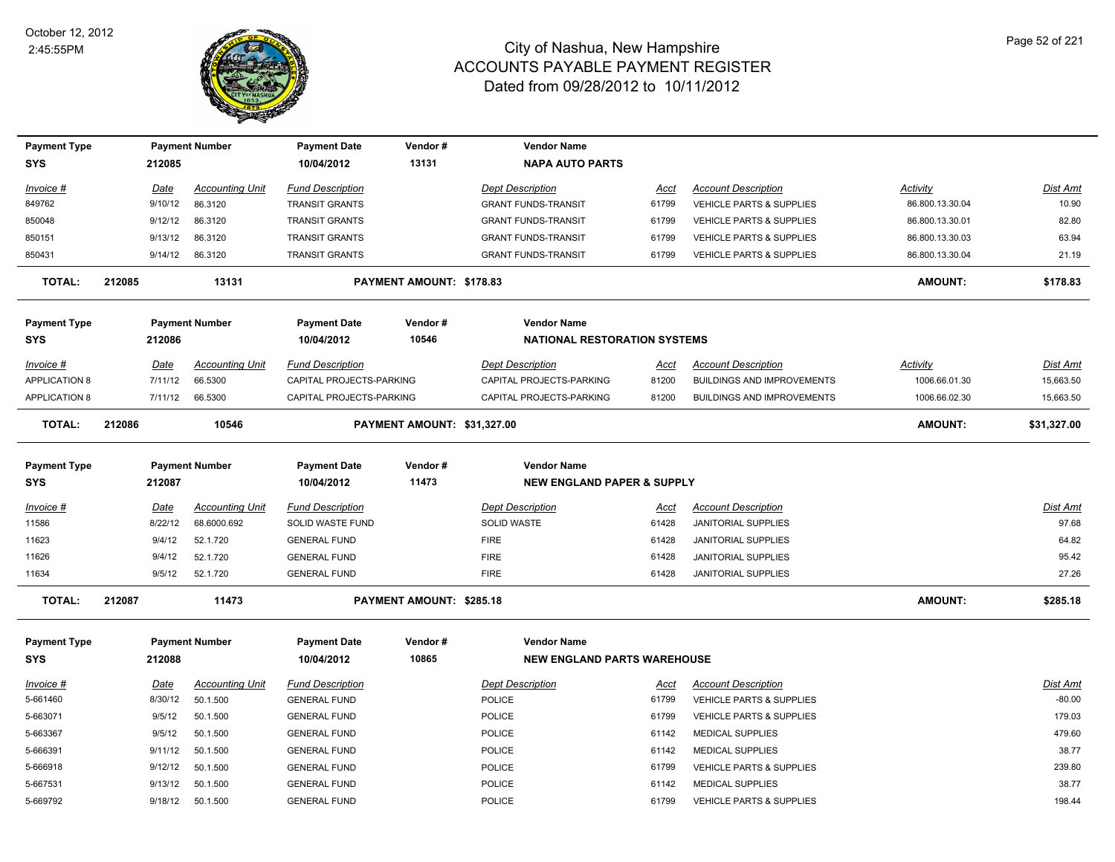

| <b>Payment Type</b>  |        |             | <b>Payment Number</b>  | <b>Payment Date</b>      | Vendor#                     | <b>Vendor Name</b>                    |             |                                     |                 |             |
|----------------------|--------|-------------|------------------------|--------------------------|-----------------------------|---------------------------------------|-------------|-------------------------------------|-----------------|-------------|
| <b>SYS</b>           |        | 212085      |                        | 10/04/2012               | 13131                       | <b>NAPA AUTO PARTS</b>                |             |                                     |                 |             |
| Invoice #            |        | Date        | <b>Accounting Unit</b> | <b>Fund Description</b>  |                             | <b>Dept Description</b>               | Acct        | <b>Account Description</b>          | Activity        | Dist Amt    |
| 849762               |        | 9/10/12     | 86.3120                | <b>TRANSIT GRANTS</b>    |                             | <b>GRANT FUNDS-TRANSIT</b>            | 61799       | VEHICLE PARTS & SUPPLIES            | 86.800.13.30.04 | 10.90       |
| 850048               |        | 9/12/12     | 86.3120                | <b>TRANSIT GRANTS</b>    |                             | <b>GRANT FUNDS-TRANSIT</b>            | 61799       | <b>VEHICLE PARTS &amp; SUPPLIES</b> | 86.800.13.30.01 | 82.80       |
| 850151               |        | 9/13/12     | 86.3120                | <b>TRANSIT GRANTS</b>    |                             | <b>GRANT FUNDS-TRANSIT</b>            | 61799       | <b>VEHICLE PARTS &amp; SUPPLIES</b> | 86.800.13.30.03 | 63.94       |
| 850431               |        | 9/14/12     | 86.3120                | <b>TRANSIT GRANTS</b>    |                             | <b>GRANT FUNDS-TRANSIT</b>            | 61799       | <b>VEHICLE PARTS &amp; SUPPLIES</b> | 86.800.13.30.04 | 21.19       |
| <b>TOTAL:</b>        | 212085 |             | 13131                  |                          | PAYMENT AMOUNT: \$178.83    |                                       |             |                                     | <b>AMOUNT:</b>  | \$178.83    |
| <b>Payment Type</b>  |        |             | <b>Payment Number</b>  | <b>Payment Date</b>      | Vendor#                     | <b>Vendor Name</b>                    |             |                                     |                 |             |
| <b>SYS</b>           |        | 212086      |                        | 10/04/2012               | 10546                       | <b>NATIONAL RESTORATION SYSTEMS</b>   |             |                                     |                 |             |
| Invoice #            |        | Date        | <b>Accounting Unit</b> | <b>Fund Description</b>  |                             | <b>Dept Description</b>               | Acct        | <b>Account Description</b>          | Activity        | Dist Amt    |
| <b>APPLICATION 8</b> |        | 7/11/12     | 66.5300                | CAPITAL PROJECTS-PARKING |                             | CAPITAL PROJECTS-PARKING              | 81200       | <b>BUILDINGS AND IMPROVEMENTS</b>   | 1006.66.01.30   | 15,663.50   |
| <b>APPLICATION 8</b> |        | 7/11/12     | 66.5300                | CAPITAL PROJECTS-PARKING |                             | CAPITAL PROJECTS-PARKING              | 81200       | <b>BUILDINGS AND IMPROVEMENTS</b>   | 1006.66.02.30   | 15,663.50   |
| <b>TOTAL:</b>        | 212086 |             | 10546                  |                          | PAYMENT AMOUNT: \$31,327.00 |                                       |             |                                     | <b>AMOUNT:</b>  | \$31,327.00 |
| <b>Payment Type</b>  |        |             | <b>Payment Number</b>  | <b>Payment Date</b>      | Vendor#                     | <b>Vendor Name</b>                    |             |                                     |                 |             |
| SYS                  |        | 212087      |                        | 10/04/2012               | 11473                       | <b>NEW ENGLAND PAPER &amp; SUPPLY</b> |             |                                     |                 |             |
| Invoice #            |        | Date        | <b>Accounting Unit</b> | <b>Fund Description</b>  |                             | <b>Dept Description</b>               | Acct        | <b>Account Description</b>          |                 | Dist Amt    |
| 11586                |        | 8/22/12     | 68.6000.692            | SOLID WASTE FUND         |                             | <b>SOLID WASTE</b>                    | 61428       | <b>JANITORIAL SUPPLIES</b>          |                 | 97.68       |
| 11623                |        | 9/4/12      | 52.1.720               | <b>GENERAL FUND</b>      |                             | <b>FIRE</b>                           | 61428       | <b>JANITORIAL SUPPLIES</b>          |                 | 64.82       |
| 11626                |        | 9/4/12      | 52.1.720               | <b>GENERAL FUND</b>      |                             | <b>FIRE</b>                           | 61428       | JANITORIAL SUPPLIES                 |                 | 95.42       |
| 11634                |        | 9/5/12      | 52.1.720               | <b>GENERAL FUND</b>      |                             | <b>FIRE</b>                           | 61428       | <b>JANITORIAL SUPPLIES</b>          |                 | 27.26       |
| <b>TOTAL:</b>        | 212087 |             | 11473                  |                          | PAYMENT AMOUNT: \$285.18    |                                       |             |                                     | <b>AMOUNT:</b>  | \$285.18    |
| <b>Payment Type</b>  |        |             | <b>Payment Number</b>  | <b>Payment Date</b>      | Vendor#                     | <b>Vendor Name</b>                    |             |                                     |                 |             |
| <b>SYS</b>           |        | 212088      |                        | 10/04/2012               | 10865                       | <b>NEW ENGLAND PARTS WAREHOUSE</b>    |             |                                     |                 |             |
| Invoice #            |        | <b>Date</b> | <b>Accounting Unit</b> | <b>Fund Description</b>  |                             | <b>Dept Description</b>               | <u>Acct</u> | <b>Account Description</b>          |                 | Dist Amt    |
| 5-661460             |        | 8/30/12     | 50.1.500               | <b>GENERAL FUND</b>      |                             | POLICE                                | 61799       | <b>VEHICLE PARTS &amp; SUPPLIES</b> |                 | $-80.00$    |
| 5-663071             |        | 9/5/12      | 50.1.500               | <b>GENERAL FUND</b>      |                             | POLICE                                | 61799       | VEHICLE PARTS & SUPPLIES            |                 | 179.03      |
| 5-663367             |        | 9/5/12      | 50.1.500               | <b>GENERAL FUND</b>      |                             | POLICE                                | 61142       | <b>MEDICAL SUPPLIES</b>             |                 | 479.60      |
| 5-666391             |        | 9/11/12     | 50.1.500               | <b>GENERAL FUND</b>      |                             | <b>POLICE</b>                         | 61142       | <b>MEDICAL SUPPLIES</b>             |                 | 38.77       |
| 5-666918             |        | 9/12/12     | 50.1.500               | <b>GENERAL FUND</b>      |                             | POLICE                                | 61799       | VEHICLE PARTS & SUPPLIES            |                 | 239.80      |
| 5-667531             |        | 9/13/12     | 50.1.500               | <b>GENERAL FUND</b>      |                             | POLICE                                | 61142       | <b>MEDICAL SUPPLIES</b>             |                 | 38.77       |
| 5-669792             |        | 9/18/12     | 50.1.500               | <b>GENERAL FUND</b>      |                             | POLICE                                | 61799       | <b>VEHICLE PARTS &amp; SUPPLIES</b> |                 | 198.44      |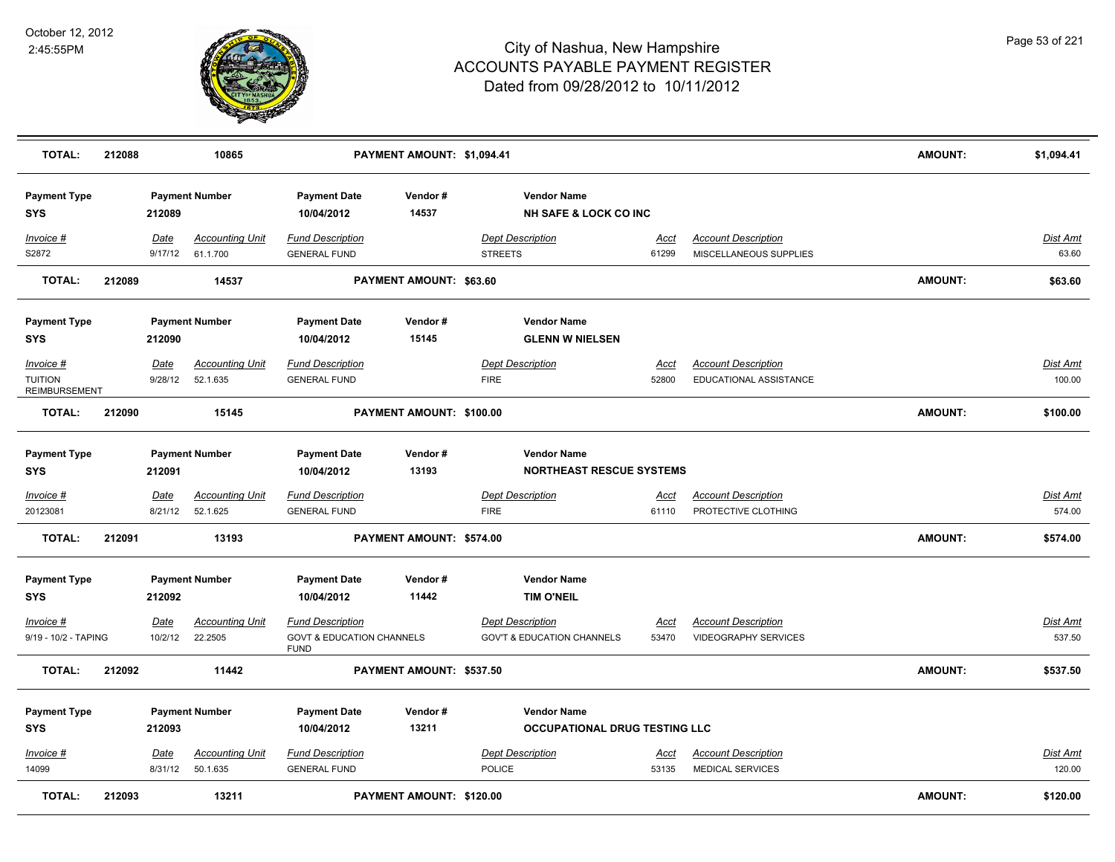

| <b>TOTAL:</b>                                       | 212088 |                        | 10865                                           |                                                                                | PAYMENT AMOUNT: \$1,094.41 |                                                                         |                      |                                                       | <b>AMOUNT:</b> | \$1,094.41                |
|-----------------------------------------------------|--------|------------------------|-------------------------------------------------|--------------------------------------------------------------------------------|----------------------------|-------------------------------------------------------------------------|----------------------|-------------------------------------------------------|----------------|---------------------------|
| <b>Payment Type</b><br><b>SYS</b>                   |        | 212089                 | <b>Payment Number</b>                           | <b>Payment Date</b><br>10/04/2012                                              | Vendor#<br>14537           | <b>Vendor Name</b><br><b>NH SAFE &amp; LOCK CO INC</b>                  |                      |                                                       |                |                           |
| Invoice #<br>S2872                                  |        | <u>Date</u><br>9/17/12 | <b>Accounting Unit</b><br>61.1.700              | <b>Fund Description</b><br><b>GENERAL FUND</b>                                 |                            | <b>Dept Description</b><br><b>STREETS</b>                               | <u>Acct</u><br>61299 | <b>Account Description</b><br>MISCELLANEOUS SUPPLIES  |                | <u>Dist Amt</u><br>63.60  |
| <b>TOTAL:</b>                                       | 212089 |                        | 14537                                           |                                                                                | PAYMENT AMOUNT: \$63.60    |                                                                         |                      |                                                       | <b>AMOUNT:</b> | \$63.60                   |
| <b>Payment Type</b><br><b>SYS</b>                   |        | 212090                 | <b>Payment Number</b><br><b>Accounting Unit</b> | <b>Payment Date</b><br>10/04/2012<br><b>Fund Description</b>                   | Vendor#<br>15145           | <b>Vendor Name</b><br><b>GLENN W NIELSEN</b><br><b>Dept Description</b> |                      |                                                       |                | Dist Amt                  |
| Invoice #<br><b>TUITION</b><br><b>REIMBURSEMENT</b> |        | Date<br>9/28/12        | 52.1.635                                        | <b>GENERAL FUND</b>                                                            |                            | <b>FIRE</b>                                                             | Acct<br>52800        | <b>Account Description</b><br>EDUCATIONAL ASSISTANCE  |                | 100.00                    |
| <b>TOTAL:</b>                                       | 212090 |                        | 15145                                           |                                                                                | PAYMENT AMOUNT: \$100.00   |                                                                         |                      |                                                       | <b>AMOUNT:</b> | \$100.00                  |
| <b>Payment Type</b><br><b>SYS</b>                   |        | 212091                 | <b>Payment Number</b>                           | <b>Payment Date</b><br>10/04/2012                                              | Vendor#<br>13193           | <b>Vendor Name</b><br><b>NORTHEAST RESCUE SYSTEMS</b>                   |                      |                                                       |                |                           |
| Invoice #                                           |        | Date                   | <b>Accounting Unit</b>                          | <b>Fund Description</b>                                                        |                            | <b>Dept Description</b>                                                 | Acct                 | <b>Account Description</b>                            |                | Dist Amt                  |
| 20123081                                            |        | 8/21/12                | 52.1.625                                        | <b>GENERAL FUND</b>                                                            |                            | <b>FIRE</b>                                                             | 61110                | PROTECTIVE CLOTHING                                   |                | 574.00                    |
| <b>TOTAL:</b>                                       | 212091 |                        | 13193                                           |                                                                                | PAYMENT AMOUNT: \$574.00   |                                                                         |                      |                                                       | <b>AMOUNT:</b> | \$574.00                  |
| <b>Payment Type</b><br><b>SYS</b>                   |        | 212092                 | <b>Payment Number</b>                           | <b>Payment Date</b><br>10/04/2012                                              | Vendor#<br>11442           | <b>Vendor Name</b><br><b>TIM O'NEIL</b>                                 |                      |                                                       |                |                           |
| Invoice #<br>9/19 - 10/2 - TAPING                   |        | <u>Date</u><br>10/2/12 | <u>Accounting Unit</u><br>22.2505               | <b>Fund Description</b><br><b>GOVT &amp; EDUCATION CHANNELS</b><br><b>FUND</b> |                            | <b>Dept Description</b><br><b>GOV'T &amp; EDUCATION CHANNELS</b>        | <u>Acct</u><br>53470 | <b>Account Description</b><br>VIDEOGRAPHY SERVICES    |                | <u>Dist Amt</u><br>537.50 |
| <b>TOTAL:</b>                                       | 212092 |                        | 11442                                           |                                                                                | PAYMENT AMOUNT: \$537.50   |                                                                         |                      |                                                       | <b>AMOUNT:</b> | \$537.50                  |
| <b>Payment Type</b><br><b>SYS</b>                   |        | 212093                 | <b>Payment Number</b>                           | <b>Payment Date</b><br>10/04/2012                                              | Vendor#<br>13211           | <b>Vendor Name</b><br><b>OCCUPATIONAL DRUG TESTING LLC</b>              |                      |                                                       |                |                           |
| $Invoice$ #<br>14099                                |        | <u>Date</u><br>8/31/12 | <b>Accounting Unit</b><br>50.1.635              | <b>Fund Description</b><br><b>GENERAL FUND</b>                                 |                            | <b>Dept Description</b><br><b>POLICE</b>                                | <u>Acct</u><br>53135 | <b>Account Description</b><br><b>MEDICAL SERVICES</b> |                | <u>Dist Amt</u><br>120.00 |
| <b>TOTAL:</b>                                       | 212093 |                        | 13211                                           |                                                                                | PAYMENT AMOUNT: \$120.00   |                                                                         |                      |                                                       | <b>AMOUNT:</b> | \$120.00                  |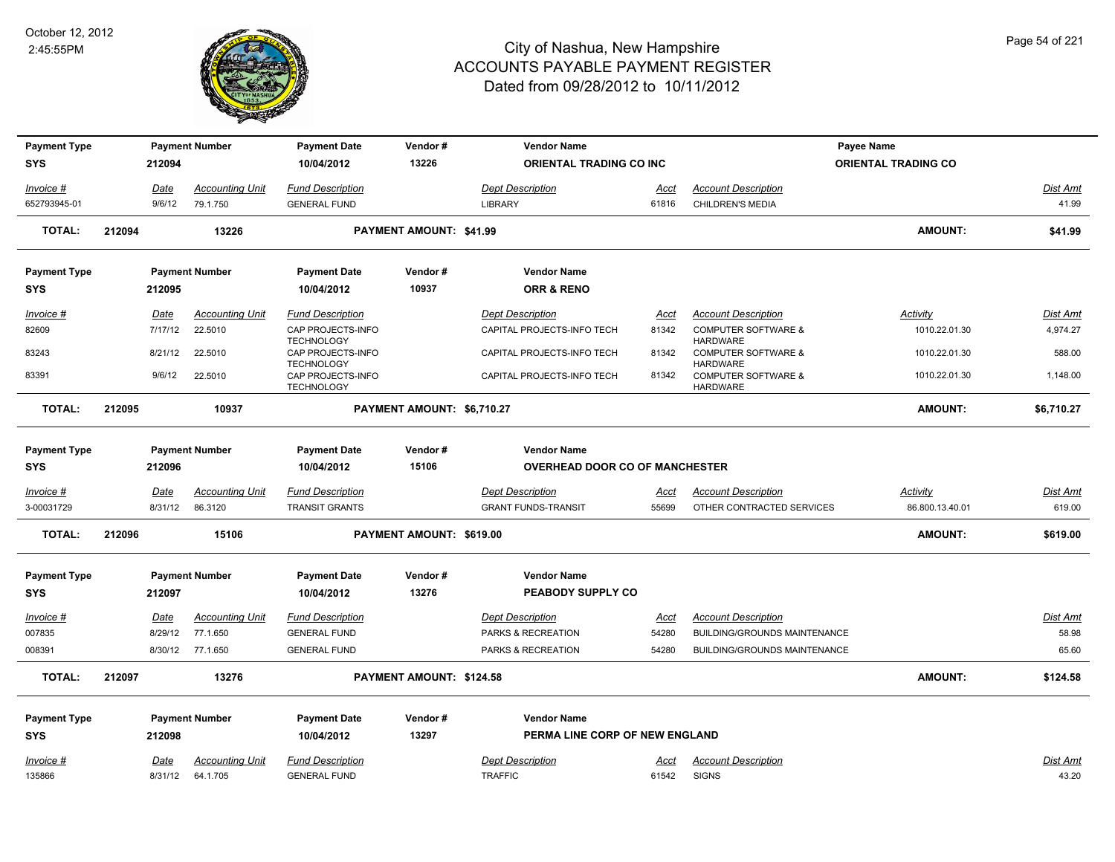

| <b>Payment Type</b> |        |             | <b>Payment Number</b>  | <b>Payment Date</b>                    | Vendor#                    | <b>Vendor Name</b>                    |       |                                                   | <b>Payee Name</b>          |                 |
|---------------------|--------|-------------|------------------------|----------------------------------------|----------------------------|---------------------------------------|-------|---------------------------------------------------|----------------------------|-----------------|
| <b>SYS</b>          |        | 212094      |                        | 10/04/2012                             | 13226                      | <b>ORIENTAL TRADING CO INC</b>        |       |                                                   | <b>ORIENTAL TRADING CO</b> |                 |
| Invoice #           |        | Date        | Accounting Unit        | <b>Fund Description</b>                |                            | <b>Dept Description</b>               | Acct  | <b>Account Description</b>                        |                            | Dist Amt        |
| 652793945-01        |        | 9/6/12      | 79.1.750               | <b>GENERAL FUND</b>                    |                            | <b>LIBRARY</b>                        | 61816 | <b>CHILDREN'S MEDIA</b>                           |                            | 41.99           |
|                     | 212094 |             |                        |                                        |                            |                                       |       |                                                   | <b>AMOUNT:</b>             | \$41.99         |
| <b>TOTAL:</b>       |        |             | 13226                  |                                        | PAYMENT AMOUNT: \$41.99    |                                       |       |                                                   |                            |                 |
| <b>Payment Type</b> |        |             | <b>Payment Number</b>  | <b>Payment Date</b>                    | Vendor#                    | <b>Vendor Name</b>                    |       |                                                   |                            |                 |
| <b>SYS</b>          |        | 212095      |                        | 10/04/2012                             | 10937                      | <b>ORR &amp; RENO</b>                 |       |                                                   |                            |                 |
| Invoice #           |        | Date        | Accounting Unit        | <b>Fund Description</b>                |                            | <b>Dept Description</b>               | Acct  | <b>Account Description</b>                        | Activity                   | <b>Dist Amt</b> |
| 82609               |        | 7/17/12     | 22.5010                | CAP PROJECTS-INFO<br><b>TECHNOLOGY</b> |                            | CAPITAL PROJECTS-INFO TECH            | 81342 | <b>COMPUTER SOFTWARE &amp;</b><br><b>HARDWARE</b> | 1010.22.01.30              | 4,974.27        |
| 83243               |        | 8/21/12     | 22.5010                | CAP PROJECTS-INFO<br><b>TECHNOLOGY</b> |                            | CAPITAL PROJECTS-INFO TECH            | 81342 | <b>COMPUTER SOFTWARE &amp;</b><br><b>HARDWARE</b> | 1010.22.01.30              | 588.00          |
| 83391               |        | 9/6/12      | 22.5010                | CAP PROJECTS-INFO<br><b>TECHNOLOGY</b> |                            | CAPITAL PROJECTS-INFO TECH            | 81342 | <b>COMPUTER SOFTWARE &amp;</b><br><b>HARDWARE</b> | 1010.22.01.30              | 1,148.00        |
| <b>TOTAL:</b>       | 212095 |             | 10937                  |                                        | PAYMENT AMOUNT: \$6,710.27 |                                       |       |                                                   | <b>AMOUNT:</b>             | \$6,710.27      |
| <b>Payment Type</b> |        |             | <b>Payment Number</b>  | <b>Payment Date</b>                    | Vendor#                    | <b>Vendor Name</b>                    |       |                                                   |                            |                 |
| <b>SYS</b>          |        | 212096      |                        | 10/04/2012                             | 15106                      | <b>OVERHEAD DOOR CO OF MANCHESTER</b> |       |                                                   |                            |                 |
|                     |        |             |                        |                                        |                            |                                       |       |                                                   |                            |                 |
| Invoice #           |        | <b>Date</b> | <b>Accounting Unit</b> | <b>Fund Description</b>                |                            | <b>Dept Description</b>               | Acct  | <b>Account Description</b>                        | <u>Activity</u>            | <b>Dist Amt</b> |
| 3-00031729          |        | 8/31/12     | 86.3120                | <b>TRANSIT GRANTS</b>                  |                            | <b>GRANT FUNDS-TRANSIT</b>            | 55699 | OTHER CONTRACTED SERVICES                         | 86.800.13.40.01            | 619.00          |
| <b>TOTAL:</b>       | 212096 |             | 15106                  |                                        | PAYMENT AMOUNT: \$619.00   |                                       |       |                                                   | <b>AMOUNT:</b>             | \$619.00        |
| <b>Payment Type</b> |        |             | <b>Payment Number</b>  | <b>Payment Date</b>                    | Vendor#                    | <b>Vendor Name</b>                    |       |                                                   |                            |                 |
| <b>SYS</b>          |        | 212097      |                        | 10/04/2012                             | 13276                      | PEABODY SUPPLY CO                     |       |                                                   |                            |                 |
| Invoice #           |        | Date        | Accounting Unit        | <b>Fund Description</b>                |                            | <b>Dept Description</b>               | Acct  | <b>Account Description</b>                        |                            | <b>Dist Amt</b> |
| 007835              |        | 8/29/12     | 77.1.650               | <b>GENERAL FUND</b>                    |                            | PARKS & RECREATION                    | 54280 | <b>BUILDING/GROUNDS MAINTENANCE</b>               |                            | 58.98           |
| 008391              |        | 8/30/12     | 77.1.650               | <b>GENERAL FUND</b>                    |                            | PARKS & RECREATION                    | 54280 | <b>BUILDING/GROUNDS MAINTENANCE</b>               |                            | 65.60           |
| <b>TOTAL:</b>       | 212097 |             | 13276                  |                                        | PAYMENT AMOUNT: \$124.58   |                                       |       |                                                   | <b>AMOUNT:</b>             | \$124.58        |
| <b>Payment Type</b> |        |             | <b>Payment Number</b>  | <b>Payment Date</b>                    | Vendor#                    | <b>Vendor Name</b>                    |       |                                                   |                            |                 |
| <b>SYS</b>          |        | 212098      |                        | 10/04/2012                             | 13297                      | PERMA LINE CORP OF NEW ENGLAND        |       |                                                   |                            |                 |
| Invoice #           |        | <b>Date</b> | <b>Accounting Unit</b> | <b>Fund Description</b>                |                            | <b>Dept Description</b>               | Acct  | <b>Account Description</b>                        |                            | Dist Amt        |
| 135866              |        | 8/31/12     | 64.1.705               | <b>GENERAL FUND</b>                    |                            | <b>TRAFFIC</b>                        | 61542 | <b>SIGNS</b>                                      |                            | 43.20           |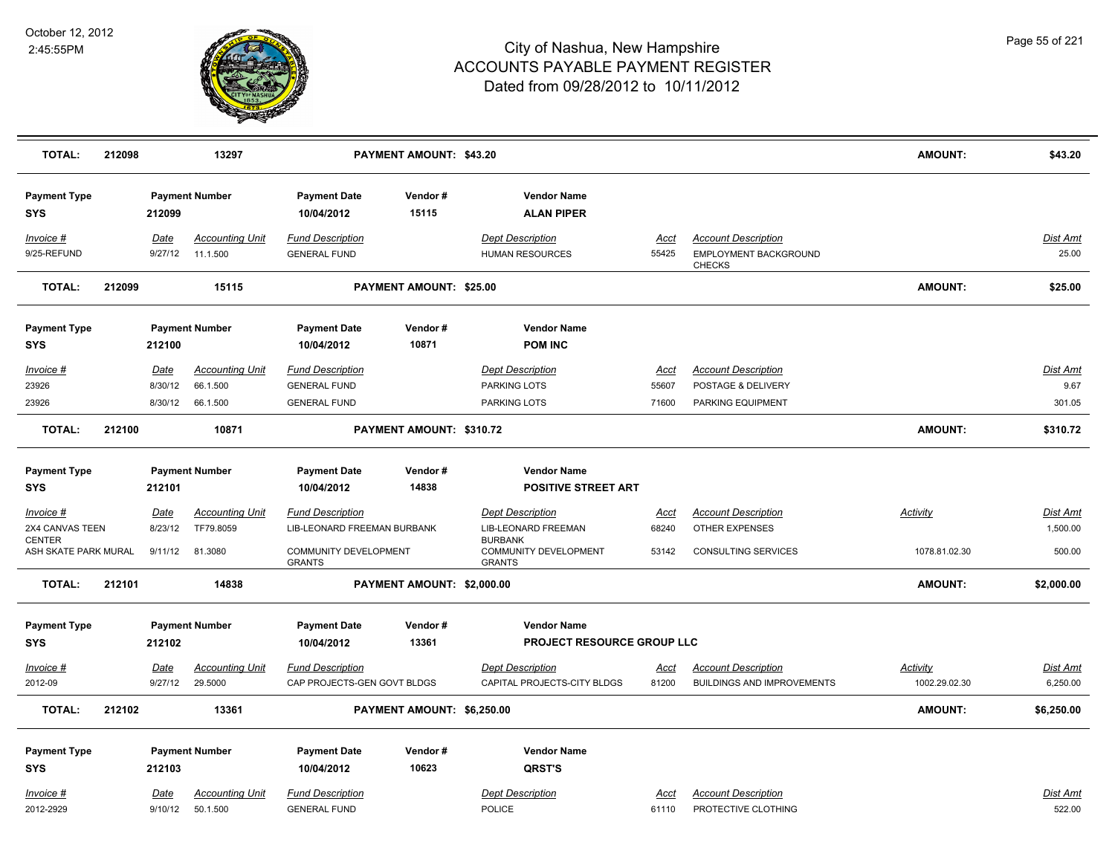

| <b>TOTAL:</b>                                            | 212098 |                        | 13297                              |                                                             | PAYMENT AMOUNT: \$43.20        |                                                                       |                      |                                                                      | <b>AMOUNT:</b>  | \$43.20                     |
|----------------------------------------------------------|--------|------------------------|------------------------------------|-------------------------------------------------------------|--------------------------------|-----------------------------------------------------------------------|----------------------|----------------------------------------------------------------------|-----------------|-----------------------------|
| <b>Payment Type</b><br><b>SYS</b>                        |        | 212099                 | <b>Payment Number</b>              | <b>Payment Date</b><br>10/04/2012                           | Vendor#<br>15115               | <b>Vendor Name</b><br><b>ALAN PIPER</b>                               |                      |                                                                      |                 |                             |
| Invoice #<br>9/25-REFUND                                 |        | Date<br>9/27/12        | <b>Accounting Unit</b><br>11.1.500 | <b>Fund Description</b><br><b>GENERAL FUND</b>              |                                | <b>Dept Description</b><br><b>HUMAN RESOURCES</b>                     | <u>Acct</u><br>55425 | <b>Account Description</b><br>EMPLOYMENT BACKGROUND<br><b>CHECKS</b> |                 | Dist Amt<br>25.00           |
| <b>TOTAL:</b>                                            | 212099 |                        | 15115                              |                                                             | <b>PAYMENT AMOUNT: \$25.00</b> |                                                                       |                      |                                                                      | <b>AMOUNT:</b>  | \$25.00                     |
| <b>Payment Type</b>                                      |        |                        | <b>Payment Number</b>              | <b>Payment Date</b>                                         | Vendor#                        | <b>Vendor Name</b>                                                    |                      |                                                                      |                 |                             |
| <b>SYS</b>                                               |        | 212100                 |                                    | 10/04/2012                                                  | 10871                          | <b>POM INC</b>                                                        |                      |                                                                      |                 |                             |
| <u>Invoice #</u><br>23926                                |        | <u>Date</u><br>8/30/12 | <b>Accounting Unit</b><br>66.1.500 | <b>Fund Description</b><br><b>GENERAL FUND</b>              |                                | <b>Dept Description</b><br>PARKING LOTS                               | <u>Acct</u><br>55607 | <b>Account Description</b><br>POSTAGE & DELIVERY                     |                 | <b>Dist Amt</b><br>9.67     |
| 23926                                                    |        | 8/30/12                | 66.1.500                           | <b>GENERAL FUND</b>                                         |                                | PARKING LOTS                                                          | 71600                | PARKING EQUIPMENT                                                    |                 | 301.05                      |
| <b>TOTAL:</b>                                            | 212100 |                        | 10871                              |                                                             | PAYMENT AMOUNT: \$310.72       |                                                                       |                      |                                                                      | <b>AMOUNT:</b>  | \$310.72                    |
| <b>Payment Type</b>                                      |        |                        | <b>Payment Number</b>              | <b>Payment Date</b>                                         | Vendor#                        | <b>Vendor Name</b>                                                    |                      |                                                                      |                 |                             |
| <b>SYS</b>                                               |        | 212101                 |                                    | 10/04/2012                                                  | 14838                          | <b>POSITIVE STREET ART</b>                                            |                      |                                                                      |                 |                             |
| Invoice #                                                |        | <u>Date</u><br>8/23/12 | <b>Accounting Unit</b>             | <b>Fund Description</b>                                     |                                | <b>Dept Description</b>                                               | <u>Acct</u><br>68240 | <b>Account Description</b><br>OTHER EXPENSES                         | Activity        | <b>Dist Amt</b><br>1,500.00 |
| 2X4 CANVAS TEEN<br><b>CENTER</b><br>ASH SKATE PARK MURAL |        | 9/11/12                | TF79.8059<br>81.3080               | LIB-LEONARD FREEMAN BURBANK<br><b>COMMUNITY DEVELOPMENT</b> |                                | <b>LIB-LEONARD FREEMAN</b><br><b>BURBANK</b><br>COMMUNITY DEVELOPMENT | 53142                | CONSULTING SERVICES                                                  | 1078.81.02.30   | 500.00                      |
|                                                          |        |                        |                                    | <b>GRANTS</b>                                               |                                | <b>GRANTS</b>                                                         |                      |                                                                      |                 |                             |
| <b>TOTAL:</b>                                            | 212101 |                        | 14838                              |                                                             | PAYMENT AMOUNT: \$2,000.00     |                                                                       |                      |                                                                      | <b>AMOUNT:</b>  | \$2,000.00                  |
| <b>Payment Type</b>                                      |        |                        | <b>Payment Number</b>              | <b>Payment Date</b>                                         | Vendor#                        | <b>Vendor Name</b>                                                    |                      |                                                                      |                 |                             |
| <b>SYS</b>                                               |        | 212102                 |                                    | 10/04/2012                                                  | 13361                          | PROJECT RESOURCE GROUP LLC                                            |                      |                                                                      |                 |                             |
| Invoice #                                                |        | Date                   | <b>Accounting Unit</b>             | <b>Fund Description</b>                                     |                                | <b>Dept Description</b>                                               | <u>Acct</u>          | <b>Account Description</b>                                           | <b>Activity</b> | Dist Amt                    |
| 2012-09                                                  |        | 9/27/12                | 29.5000                            | CAP PROJECTS-GEN GOVT BLDGS                                 |                                | CAPITAL PROJECTS-CITY BLDGS                                           | 81200                | <b>BUILDINGS AND IMPROVEMENTS</b>                                    | 1002.29.02.30   | 6,250.00                    |
| <b>TOTAL:</b>                                            | 212102 |                        | 13361                              |                                                             | PAYMENT AMOUNT: \$6,250.00     |                                                                       |                      |                                                                      | <b>AMOUNT:</b>  | \$6,250.00                  |
| <b>Payment Type</b><br><b>SYS</b>                        |        | 212103                 | <b>Payment Number</b>              | <b>Payment Date</b><br>10/04/2012                           | Vendor#<br>10623               | <b>Vendor Name</b><br>QRST'S                                          |                      |                                                                      |                 |                             |
| Invoice #<br>2012-2929                                   |        | <u>Date</u><br>9/10/12 | <b>Accounting Unit</b><br>50.1.500 | <b>Fund Description</b><br><b>GENERAL FUND</b>              |                                | <b>Dept Description</b><br><b>POLICE</b>                              | Acct<br>61110        | <b>Account Description</b><br>PROTECTIVE CLOTHING                    |                 | <b>Dist Amt</b><br>522.00   |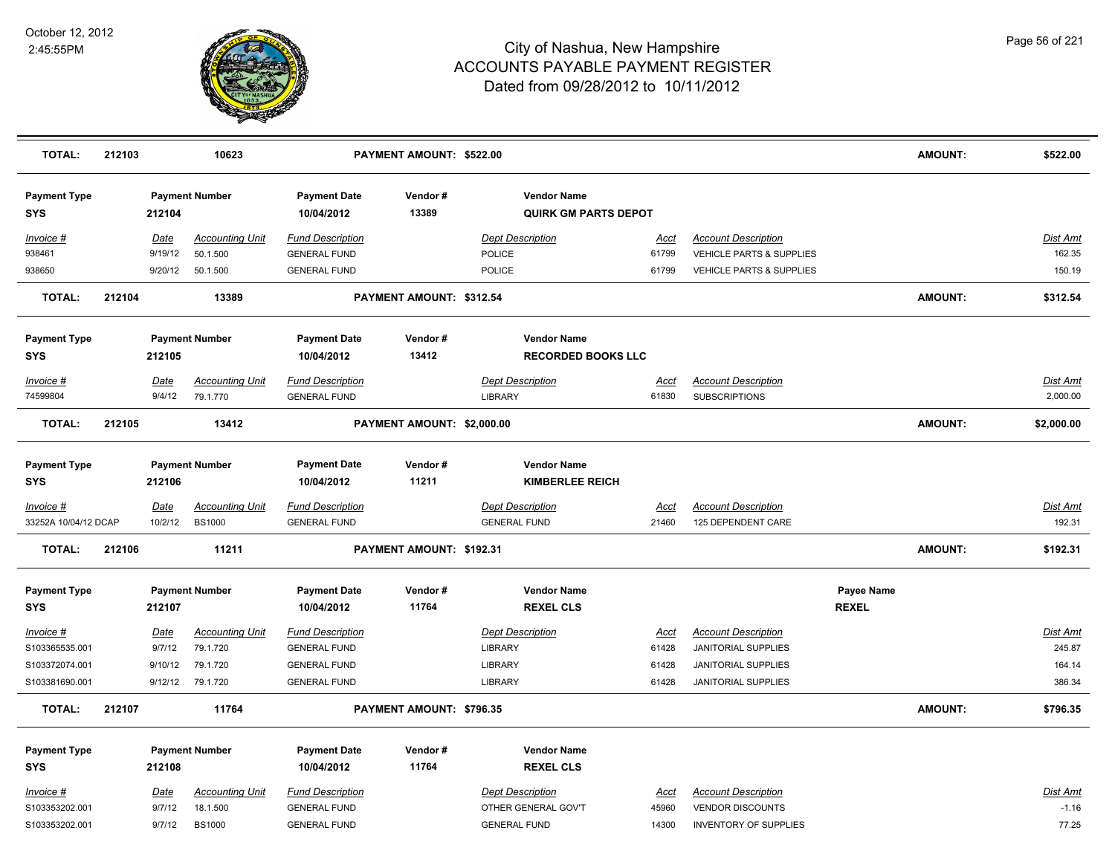

| <b>TOTAL:</b>                     | 212103 |             | 10623                  |                                   | PAYMENT AMOUNT: \$522.00   |                                                   |             |                                     |              | <b>AMOUNT:</b> | \$522.00        |
|-----------------------------------|--------|-------------|------------------------|-----------------------------------|----------------------------|---------------------------------------------------|-------------|-------------------------------------|--------------|----------------|-----------------|
| <b>Payment Type</b><br><b>SYS</b> |        | 212104      | <b>Payment Number</b>  | <b>Payment Date</b><br>10/04/2012 | Vendor#<br>13389           | <b>Vendor Name</b><br><b>QUIRK GM PARTS DEPOT</b> |             |                                     |              |                |                 |
| Invoice #                         |        | Date        | <b>Accounting Unit</b> | <b>Fund Description</b>           |                            | <b>Dept Description</b>                           | Acct        | <b>Account Description</b>          |              |                | Dist Amt        |
| 938461                            |        | 9/19/12     | 50.1.500               | <b>GENERAL FUND</b>               |                            | POLICE                                            | 61799       | VEHICLE PARTS & SUPPLIES            |              |                | 162.35          |
| 938650                            |        | 9/20/12     | 50.1.500               | <b>GENERAL FUND</b>               |                            | <b>POLICE</b>                                     | 61799       | <b>VEHICLE PARTS &amp; SUPPLIES</b> |              |                | 150.19          |
| <b>TOTAL:</b>                     | 212104 |             | 13389                  |                                   | PAYMENT AMOUNT: \$312.54   |                                                   |             |                                     |              | <b>AMOUNT:</b> | \$312.54        |
| <b>Payment Type</b>               |        |             | <b>Payment Number</b>  | <b>Payment Date</b>               | Vendor#                    | <b>Vendor Name</b>                                |             |                                     |              |                |                 |
| <b>SYS</b>                        |        | 212105      |                        | 10/04/2012                        | 13412                      | <b>RECORDED BOOKS LLC</b>                         |             |                                     |              |                |                 |
| $Invoice$ #                       |        | Date        | <b>Accounting Unit</b> | <b>Fund Description</b>           |                            | <b>Dept Description</b>                           | <u>Acct</u> | <b>Account Description</b>          |              |                | <b>Dist Amt</b> |
| 74599804                          |        | 9/4/12      | 79.1.770               | <b>GENERAL FUND</b>               |                            | <b>LIBRARY</b>                                    | 61830       | <b>SUBSCRIPTIONS</b>                |              |                | 2,000.00        |
| <b>TOTAL:</b>                     | 212105 |             | 13412                  |                                   | PAYMENT AMOUNT: \$2,000.00 |                                                   |             |                                     |              | AMOUNT:        | \$2,000.00      |
| <b>Payment Type</b>               |        |             | <b>Payment Number</b>  | <b>Payment Date</b>               | Vendor#                    | <b>Vendor Name</b>                                |             |                                     |              |                |                 |
| <b>SYS</b>                        |        | 212106      |                        | 10/04/2012                        | 11211                      | <b>KIMBERLEE REICH</b>                            |             |                                     |              |                |                 |
| Invoice #                         |        | <u>Date</u> | <b>Accounting Unit</b> | <b>Fund Description</b>           |                            | <b>Dept Description</b>                           | <u>Acct</u> | <b>Account Description</b>          |              |                | Dist Amt        |
| 33252A 10/04/12 DCAP              |        | 10/2/12     | <b>BS1000</b>          | <b>GENERAL FUND</b>               |                            | <b>GENERAL FUND</b>                               | 21460       | 125 DEPENDENT CARE                  |              |                | 192.31          |
| <b>TOTAL:</b>                     | 212106 |             | 11211                  |                                   | PAYMENT AMOUNT: \$192.31   |                                                   |             |                                     |              | <b>AMOUNT:</b> | \$192.31        |
| <b>Payment Type</b>               |        |             | <b>Payment Number</b>  | <b>Payment Date</b>               | Vendor#                    | <b>Vendor Name</b>                                |             |                                     | Payee Name   |                |                 |
| <b>SYS</b>                        |        | 212107      |                        | 10/04/2012                        | 11764                      | <b>REXEL CLS</b>                                  |             |                                     | <b>REXEL</b> |                |                 |
| $Invoice$ #                       |        | Date        | <b>Accounting Unit</b> | <b>Fund Description</b>           |                            | <b>Dept Description</b>                           | <b>Acct</b> | <b>Account Description</b>          |              |                | Dist Amt        |
| S103365535.001                    |        | 9/7/12      | 79.1.720               | <b>GENERAL FUND</b>               |                            | <b>LIBRARY</b>                                    | 61428       | JANITORIAL SUPPLIES                 |              |                | 245.87          |
| S103372074.001                    |        | 9/10/12     | 79.1.720               | <b>GENERAL FUND</b>               |                            | <b>LIBRARY</b>                                    | 61428       | JANITORIAL SUPPLIES                 |              |                | 164.14          |
| S103381690.001                    |        | 9/12/12     | 79.1.720               | <b>GENERAL FUND</b>               |                            | <b>LIBRARY</b>                                    | 61428       | <b>JANITORIAL SUPPLIES</b>          |              |                | 386.34          |
| <b>TOTAL:</b>                     | 212107 |             | 11764                  |                                   | PAYMENT AMOUNT: \$796.35   |                                                   |             |                                     |              | <b>AMOUNT:</b> | \$796.35        |
| <b>Payment Type</b>               |        |             | <b>Payment Number</b>  | <b>Payment Date</b>               | Vendor#                    | <b>Vendor Name</b>                                |             |                                     |              |                |                 |
| <b>SYS</b>                        |        | 212108      |                        | 10/04/2012                        | 11764                      | <b>REXEL CLS</b>                                  |             |                                     |              |                |                 |
| Invoice #                         |        | Date        | <b>Accounting Unit</b> | <b>Fund Description</b>           |                            | <b>Dept Description</b>                           | Acct        | <b>Account Description</b>          |              |                | <u>Dist Amt</u> |
| S103353202.001                    |        | 9/7/12      | 18.1.500               | <b>GENERAL FUND</b>               |                            | OTHER GENERAL GOV'T                               | 45960       | <b>VENDOR DISCOUNTS</b>             |              |                | $-1.16$         |
| S103353202.001                    |        | 9/7/12      | <b>BS1000</b>          | <b>GENERAL FUND</b>               |                            | <b>GENERAL FUND</b>                               | 14300       | <b>INVENTORY OF SUPPLIES</b>        |              |                | 77.25           |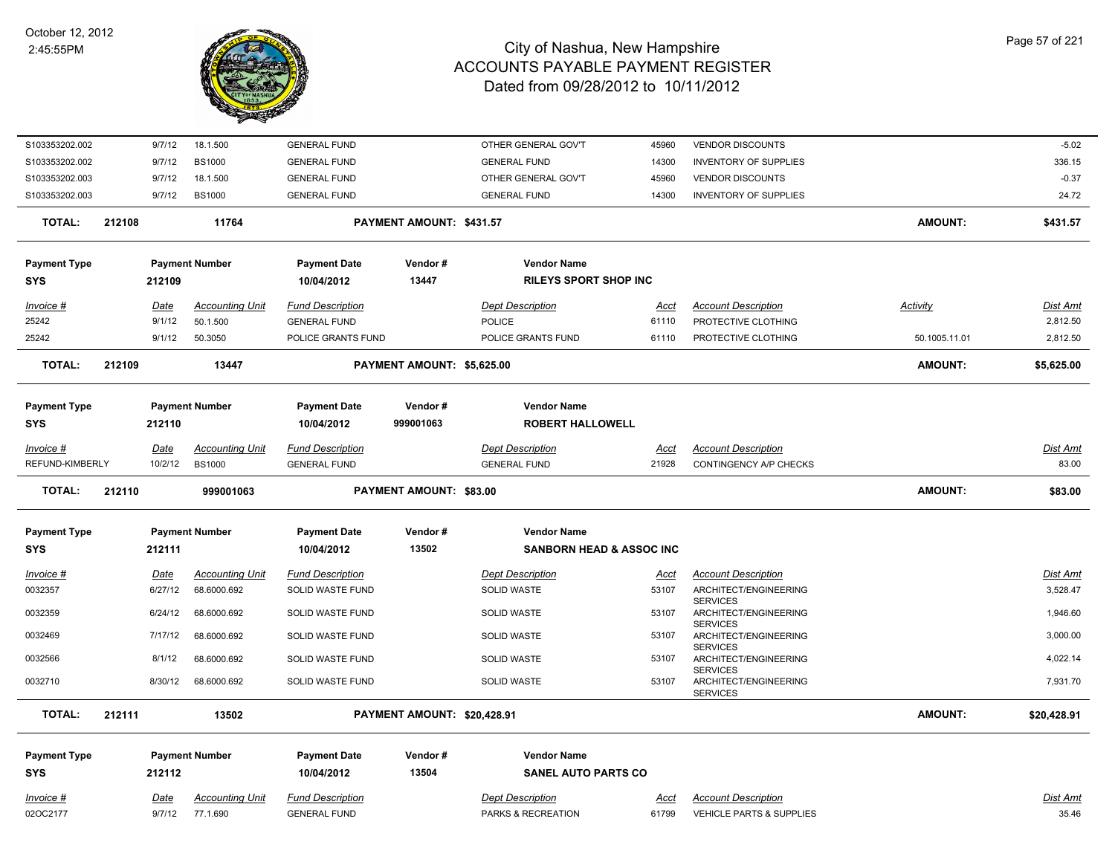

| S103353202.002      |        | 9/7/12      | 18.1.500               | <b>GENERAL FUND</b>     |                                | OTHER GENERAL GOV'T                 | 45960       | <b>VENDOR DISCOUNTS</b>                                     |                 | $-5.02$     |
|---------------------|--------|-------------|------------------------|-------------------------|--------------------------------|-------------------------------------|-------------|-------------------------------------------------------------|-----------------|-------------|
| S103353202.002      |        | 9/7/12      | <b>BS1000</b>          | <b>GENERAL FUND</b>     |                                | <b>GENERAL FUND</b>                 | 14300       | <b>INVENTORY OF SUPPLIES</b>                                |                 | 336.15      |
| S103353202.003      |        | 9/7/12      | 18.1.500               | <b>GENERAL FUND</b>     |                                | OTHER GENERAL GOV'T                 | 45960       | <b>VENDOR DISCOUNTS</b>                                     |                 | $-0.37$     |
| S103353202.003      |        | 9/7/12      | <b>BS1000</b>          | <b>GENERAL FUND</b>     |                                | <b>GENERAL FUND</b>                 | 14300       | <b>INVENTORY OF SUPPLIES</b>                                |                 | 24.72       |
| TOTAL:              | 212108 |             | 11764                  |                         | PAYMENT AMOUNT: \$431.57       |                                     |             |                                                             | <b>AMOUNT:</b>  | \$431.57    |
| <b>Payment Type</b> |        |             | <b>Payment Number</b>  | <b>Payment Date</b>     | Vendor#                        | <b>Vendor Name</b>                  |             |                                                             |                 |             |
| <b>SYS</b>          |        | 212109      |                        | 10/04/2012              | 13447                          | <b>RILEYS SPORT SHOP INC</b>        |             |                                                             |                 |             |
| Invoice #           |        | Date        | <b>Accounting Unit</b> | <b>Fund Description</b> |                                | <b>Dept Description</b>             | <u>Acct</u> | <b>Account Description</b>                                  | <b>Activity</b> | Dist Amt    |
| 25242               |        | 9/1/12      | 50.1.500               | <b>GENERAL FUND</b>     |                                | POLICE                              | 61110       | PROTECTIVE CLOTHING                                         |                 | 2,812.50    |
| 25242               |        | 9/1/12      | 50.3050                | POLICE GRANTS FUND      |                                | POLICE GRANTS FUND                  | 61110       | PROTECTIVE CLOTHING                                         | 50.1005.11.01   | 2,812.50    |
| <b>TOTAL:</b>       | 212109 |             | 13447                  |                         | PAYMENT AMOUNT: \$5,625.00     |                                     |             |                                                             | <b>AMOUNT:</b>  | \$5,625.00  |
| <b>Payment Type</b> |        |             | <b>Payment Number</b>  | <b>Payment Date</b>     | Vendor#                        | <b>Vendor Name</b>                  |             |                                                             |                 |             |
| <b>SYS</b>          |        | 212110      |                        | 10/04/2012              | 999001063                      | <b>ROBERT HALLOWELL</b>             |             |                                                             |                 |             |
| Invoice #           |        | Date        | <b>Accounting Unit</b> | <b>Fund Description</b> |                                | <b>Dept Description</b>             | Acct        | <b>Account Description</b>                                  |                 | Dist Amt    |
| REFUND-KIMBERLY     |        | 10/2/12     | <b>BS1000</b>          | <b>GENERAL FUND</b>     |                                | <b>GENERAL FUND</b>                 | 21928       | CONTINGENCY A/P CHECKS                                      |                 | 83.00       |
| TOTAL:              | 212110 |             | 999001063              |                         | <b>PAYMENT AMOUNT: \$83.00</b> |                                     |             |                                                             | AMOUNT:         | \$83.00     |
| <b>Payment Type</b> |        |             | <b>Payment Number</b>  | <b>Payment Date</b>     | Vendor#                        | <b>Vendor Name</b>                  |             |                                                             |                 |             |
| <b>SYS</b>          |        | 212111      |                        | 10/04/2012              | 13502                          | <b>SANBORN HEAD &amp; ASSOC INC</b> |             |                                                             |                 |             |
| <u>Invoice #</u>    |        | <u>Date</u> | <b>Accounting Unit</b> | <b>Fund Description</b> |                                | <b>Dept Description</b>             | <u>Acct</u> | <b>Account Description</b>                                  |                 | Dist Amt    |
| 0032357             |        | 6/27/12     | 68.6000.692            | SOLID WASTE FUND        |                                | SOLID WASTE                         | 53107       | ARCHITECT/ENGINEERING<br><b>SERVICES</b>                    |                 | 3,528.47    |
| 0032359             |        | 6/24/12     | 68.6000.692            | SOLID WASTE FUND        |                                | SOLID WASTE                         | 53107       | ARCHITECT/ENGINEERING                                       |                 | 1,946.60    |
| 0032469             |        | 7/17/12     | 68.6000.692            | SOLID WASTE FUND        |                                | SOLID WASTE                         | 53107       | <b>SERVICES</b><br>ARCHITECT/ENGINEERING                    |                 | 3,000.00    |
| 0032566             |        | 8/1/12      | 68.6000.692            | SOLID WASTE FUND        |                                | <b>SOLID WASTE</b>                  | 53107       | <b>SERVICES</b><br>ARCHITECT/ENGINEERING                    |                 | 4,022.14    |
| 0032710             |        | 8/30/12     | 68.6000.692            | SOLID WASTE FUND        |                                | <b>SOLID WASTE</b>                  | 53107       | <b>SERVICES</b><br>ARCHITECT/ENGINEERING<br><b>SERVICES</b> |                 | 7,931.70    |
| <b>TOTAL:</b>       | 212111 |             | 13502                  |                         | PAYMENT AMOUNT: \$20,428.91    |                                     |             |                                                             | <b>AMOUNT:</b>  | \$20,428.91 |
| <b>Payment Type</b> |        |             | <b>Payment Number</b>  | <b>Payment Date</b>     | Vendor#                        | <b>Vendor Name</b>                  |             |                                                             |                 |             |
| <b>SYS</b>          |        | 212112      |                        | 10/04/2012              | 13504                          | <b>SANEL AUTO PARTS CO</b>          |             |                                                             |                 |             |
| <i>Invoice</i> #    |        | Date        | <b>Accounting Unit</b> | <b>Fund Description</b> |                                | <b>Dept Description</b>             | Acct        | <b>Account Description</b>                                  |                 | Dist Amt    |
| 02OC2177            |        | 9/7/12      | 77.1.690               | <b>GENERAL FUND</b>     |                                | PARKS & RECREATION                  | 61799       | VEHICLE PARTS & SUPPLIES                                    |                 | 35.46       |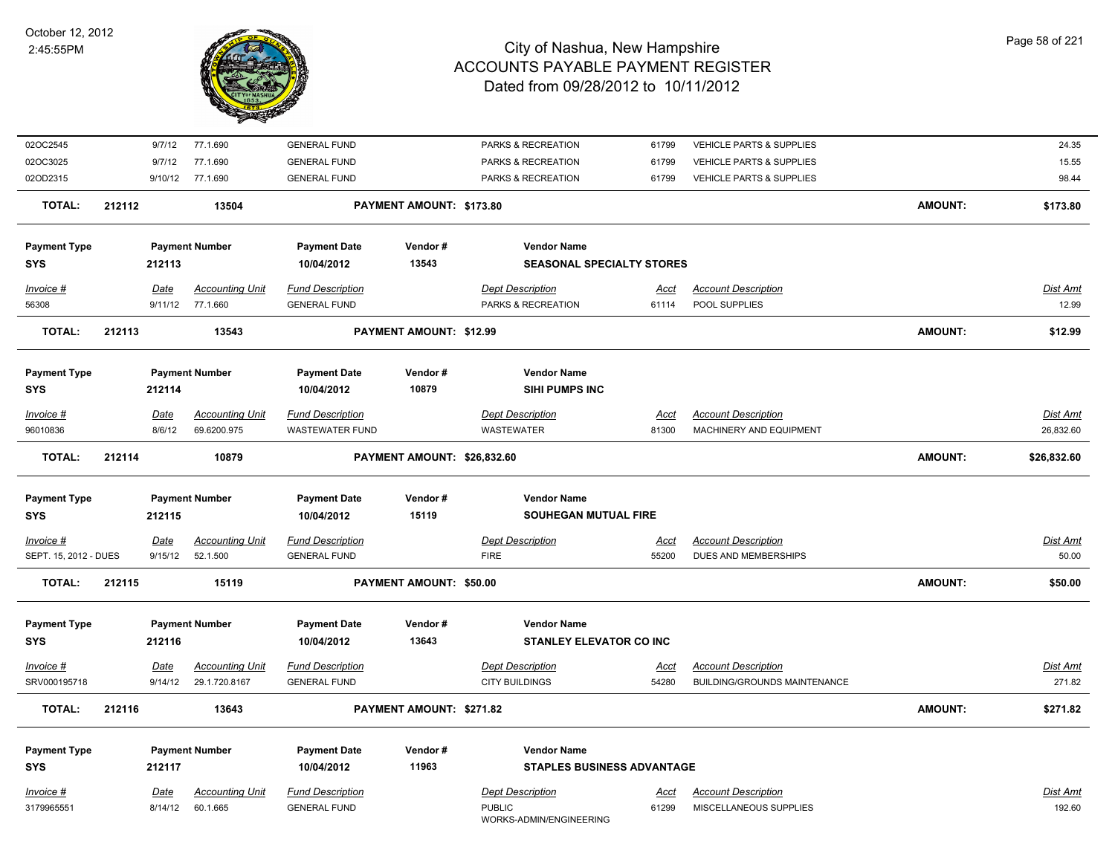

| 02OC2545              |        | 9/7/12      | 77.1.690               | <b>GENERAL FUND</b>     |                                | PARKS & RECREATION                       | 61799       | VEHICLE PARTS & SUPPLIES            |                | 24.35           |
|-----------------------|--------|-------------|------------------------|-------------------------|--------------------------------|------------------------------------------|-------------|-------------------------------------|----------------|-----------------|
| 02OC3025              |        | 9/7/12      | 77.1.690               | <b>GENERAL FUND</b>     |                                | PARKS & RECREATION                       | 61799       | <b>VEHICLE PARTS &amp; SUPPLIES</b> |                | 15.55           |
| 02OD2315              |        |             | 9/10/12 77.1.690       | <b>GENERAL FUND</b>     |                                | PARKS & RECREATION                       | 61799       | <b>VEHICLE PARTS &amp; SUPPLIES</b> |                | 98.44           |
| <b>TOTAL:</b>         | 212112 |             | 13504                  |                         | PAYMENT AMOUNT: \$173.80       |                                          |             |                                     | <b>AMOUNT:</b> | \$173.80        |
| <b>Payment Type</b>   |        |             | <b>Payment Number</b>  | <b>Payment Date</b>     | Vendor#                        | <b>Vendor Name</b>                       |             |                                     |                |                 |
| <b>SYS</b>            |        | 212113      |                        | 10/04/2012              | 13543                          | <b>SEASONAL SPECIALTY STORES</b>         |             |                                     |                |                 |
| Invoice #             |        | Date        | <b>Accounting Unit</b> | <b>Fund Description</b> |                                | <b>Dept Description</b>                  | Acct        | <b>Account Description</b>          |                | Dist Amt        |
| 56308                 |        | 9/11/12     | 77.1.660               | <b>GENERAL FUND</b>     |                                | PARKS & RECREATION                       | 61114       | POOL SUPPLIES                       |                | 12.99           |
| <b>TOTAL:</b>         | 212113 |             | 13543                  |                         | <b>PAYMENT AMOUNT: \$12.99</b> |                                          |             |                                     | <b>AMOUNT:</b> | \$12.99         |
| <b>Payment Type</b>   |        |             | <b>Payment Number</b>  | <b>Payment Date</b>     | Vendor#                        | <b>Vendor Name</b>                       |             |                                     |                |                 |
| <b>SYS</b>            |        | 212114      |                        | 10/04/2012              | 10879                          | <b>SIHI PUMPS INC</b>                    |             |                                     |                |                 |
| Invoice #             |        | <b>Date</b> | <b>Accounting Unit</b> | <b>Fund Description</b> |                                | <b>Dept Description</b>                  | <u>Acct</u> | <b>Account Description</b>          |                | Dist Amt        |
| 96010836              |        | 8/6/12      | 69.6200.975            | <b>WASTEWATER FUND</b>  |                                | <b>WASTEWATER</b>                        | 81300       | MACHINERY AND EQUIPMENT             |                | 26,832.60       |
| <b>TOTAL:</b>         | 212114 |             | 10879                  |                         | PAYMENT AMOUNT: \$26,832.60    |                                          |             |                                     | AMOUNT:        | \$26,832.60     |
| <b>Payment Type</b>   |        |             | <b>Payment Number</b>  | <b>Payment Date</b>     | Vendor#                        | <b>Vendor Name</b>                       |             |                                     |                |                 |
| <b>SYS</b>            |        | 212115      |                        | 10/04/2012              | 15119                          | <b>SOUHEGAN MUTUAL FIRE</b>              |             |                                     |                |                 |
| Invoice #             |        | <u>Date</u> | <b>Accounting Unit</b> | <b>Fund Description</b> |                                | <b>Dept Description</b>                  | <u>Acct</u> | <b>Account Description</b>          |                | Dist Amt        |
| SEPT. 15, 2012 - DUES |        | 9/15/12     | 52.1.500               | <b>GENERAL FUND</b>     |                                | <b>FIRE</b>                              | 55200       | DUES AND MEMBERSHIPS                |                | 50.00           |
| <b>TOTAL:</b>         | 212115 |             | 15119                  |                         | PAYMENT AMOUNT: \$50.00        |                                          |             |                                     | AMOUNT:        | \$50.00         |
| <b>Payment Type</b>   |        |             | <b>Payment Number</b>  | <b>Payment Date</b>     | Vendor#                        | <b>Vendor Name</b>                       |             |                                     |                |                 |
| <b>SYS</b>            |        | 212116      |                        | 10/04/2012              | 13643                          | <b>STANLEY ELEVATOR CO INC</b>           |             |                                     |                |                 |
| Invoice #             |        | Date        | <b>Accounting Unit</b> | <b>Fund Description</b> |                                | <b>Dept Description</b>                  | <u>Acct</u> | <b>Account Description</b>          |                | <b>Dist Amt</b> |
| SRV000195718          |        | 9/14/12     | 29.1.720.8167          | <b>GENERAL FUND</b>     |                                | <b>CITY BUILDINGS</b>                    | 54280       | BUILDING/GROUNDS MAINTENANCE        |                | 271.82          |
| <b>TOTAL:</b>         | 212116 |             | 13643                  |                         | PAYMENT AMOUNT: \$271.82       |                                          |             |                                     | AMOUNT:        | \$271.82        |
| <b>Payment Type</b>   |        |             | <b>Payment Number</b>  | <b>Payment Date</b>     | Vendor#                        | <b>Vendor Name</b>                       |             |                                     |                |                 |
| <b>SYS</b>            |        | 212117      |                        | 10/04/2012              | 11963                          | <b>STAPLES BUSINESS ADVANTAGE</b>        |             |                                     |                |                 |
| Invoice #             |        | Date        | <b>Accounting Unit</b> | <b>Fund Description</b> |                                | <b>Dept Description</b>                  | Acct        | <b>Account Description</b>          |                | Dist Amt        |
| 3179965551            |        | 8/14/12     | 60.1.665               | <b>GENERAL FUND</b>     |                                | <b>PUBLIC</b><br>WORKS-ADMIN/ENGINEERING | 61299       | MISCELLANEOUS SUPPLIES              |                | 192.60          |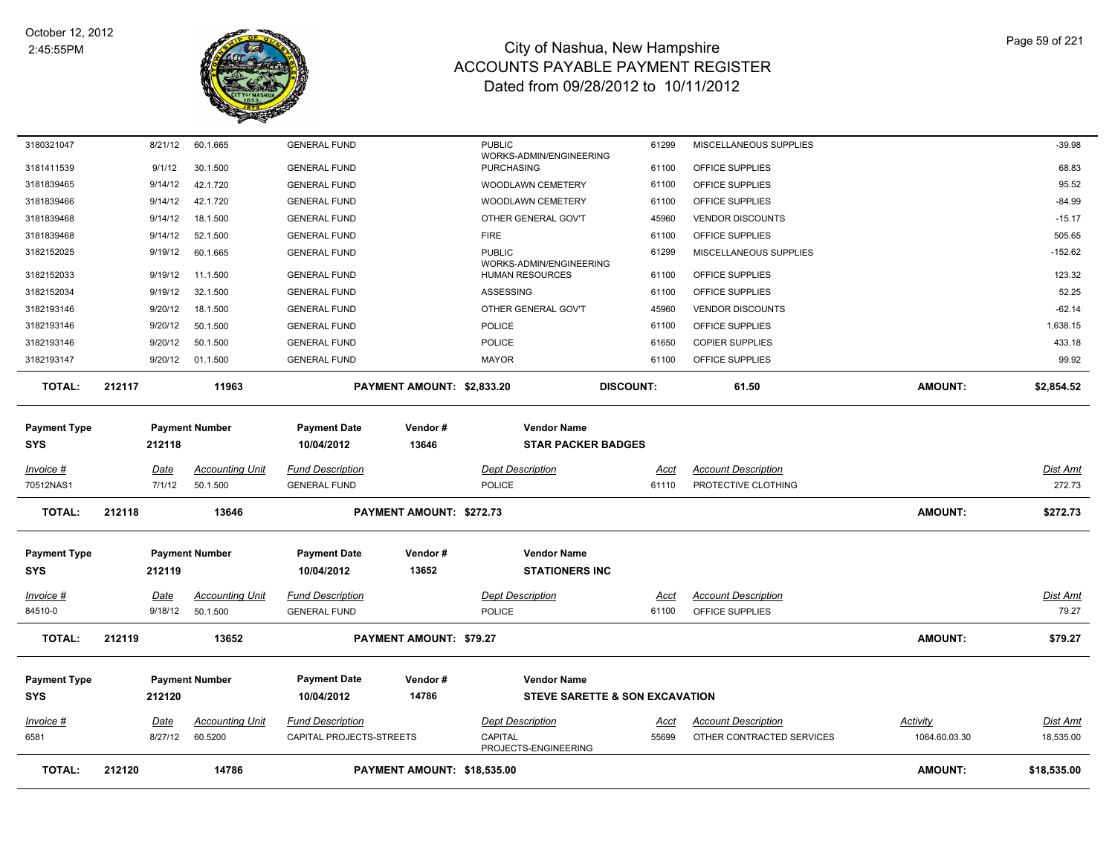

| <b>TOTAL:</b>                     | 212120            | 14786                  |                                            | PAYMENT AMOUNT: \$18,535.00 |                                                   |                                |                                    | <b>AMOUNT:</b>  | \$18,535.00       |
|-----------------------------------|-------------------|------------------------|--------------------------------------------|-----------------------------|---------------------------------------------------|--------------------------------|------------------------------------|-----------------|-------------------|
| 6581                              | 8/27/12           | 60.5200                | CAPITAL PROJECTS-STREETS                   |                             | CAPITAL<br>PROJECTS-ENGINEERING                   | 55699                          | OTHER CONTRACTED SERVICES          | 1064.60.03.30   | 18,535.00         |
| <u>Invoice #</u>                  | Date              | <b>Accounting Unit</b> | <b>Fund Description</b>                    |                             | <b>Dept Description</b>                           | <u>Acct</u>                    | <b>Account Description</b>         | <u>Activity</u> | <u>Dist Amt</u>   |
| <b>Payment Type</b><br><b>SYS</b> | 212120            | <b>Payment Number</b>  | <b>Payment Date</b><br>10/04/2012          | Vendor#<br>14786            | <b>Vendor Name</b>                                | STEVE SARETTE & SON EXCAVATION |                                    |                 |                   |
|                                   |                   |                        |                                            |                             |                                                   |                                |                                    |                 |                   |
| <b>TOTAL:</b>                     | 212119            | 13652                  |                                            | PAYMENT AMOUNT: \$79.27     |                                                   |                                |                                    | <b>AMOUNT:</b>  | \$79.27           |
| 84510-0                           | 9/18/12           | 50.1.500               | <b>GENERAL FUND</b>                        |                             | <b>POLICE</b>                                     | 61100                          | OFFICE SUPPLIES                    |                 | 79.27             |
| Invoice #                         | Date              | <b>Accounting Unit</b> | <b>Fund Description</b>                    |                             | <b>Dept Description</b>                           | <u>Acct</u>                    | <b>Account Description</b>         |                 | Dist Amt          |
| <b>SYS</b>                        | 212119            |                        | 10/04/2012                                 | 13652                       | <b>STATIONERS INC</b>                             |                                |                                    |                 |                   |
| <b>Payment Type</b>               |                   | <b>Payment Number</b>  | <b>Payment Date</b>                        | Vendor#                     | <b>Vendor Name</b>                                |                                |                                    |                 |                   |
| <b>TOTAL:</b>                     | 212118            | 13646                  |                                            | PAYMENT AMOUNT: \$272.73    |                                                   |                                |                                    | <b>AMOUNT:</b>  | \$272.73          |
| 70512NAS1                         | 7/1/12            | 50.1.500               | <b>GENERAL FUND</b>                        |                             | <b>POLICE</b>                                     | 61110                          | PROTECTIVE CLOTHING                |                 | 272.73            |
| Invoice #                         | Date              | <b>Accounting Unit</b> | <b>Fund Description</b>                    |                             | <b>Dept Description</b>                           | Acct                           | <b>Account Description</b>         |                 | <b>Dist Amt</b>   |
| <b>SYS</b>                        | 212118            |                        | 10/04/2012                                 | 13646                       | <b>STAR PACKER BADGES</b>                         |                                |                                    |                 |                   |
| <b>Payment Type</b>               |                   | <b>Payment Number</b>  | <b>Payment Date</b>                        | Vendor#                     | <b>Vendor Name</b>                                |                                |                                    |                 |                   |
| <b>TOTAL:</b>                     | 212117            | 11963                  |                                            | PAYMENT AMOUNT: \$2,833.20  |                                                   | <b>DISCOUNT:</b>               | 61.50                              | <b>AMOUNT:</b>  | \$2,854.52        |
| 3182193147                        | 9/20/12           | 01.1.500               | <b>GENERAL FUND</b>                        |                             | <b>MAYOR</b>                                      | 61100                          | OFFICE SUPPLIES                    |                 | 99.92             |
| 3182193146                        | 9/20/12           | 50.1.500               | <b>GENERAL FUND</b>                        |                             | <b>POLICE</b>                                     | 61650                          | <b>COPIER SUPPLIES</b>             |                 | 433.18            |
| 3182193146                        | 9/20/12           | 50.1.500               | <b>GENERAL FUND</b>                        |                             | <b>POLICE</b>                                     | 61100                          | OFFICE SUPPLIES                    |                 | 1,638.15          |
| 3182193146                        | 9/20/12           | 18.1.500               | <b>GENERAL FUND</b>                        |                             | OTHER GENERAL GOV'T                               | 45960                          | <b>VENDOR DISCOUNTS</b>            |                 | $-62.14$          |
| 3182152034                        | 9/19/12           | 32.1.500               | <b>GENERAL FUND</b>                        |                             | ASSESSING                                         | 61100                          | OFFICE SUPPLIES                    |                 | 52.25             |
| 3182152033                        | 9/19/12           | 11.1.500               | <b>GENERAL FUND</b>                        |                             | WORKS-ADMIN/ENGINEERING<br><b>HUMAN RESOURCES</b> | 61100                          | OFFICE SUPPLIES                    |                 | 123.32            |
| 3182152025                        | 9/19/12           | 60.1.665               | <b>GENERAL FUND</b>                        |                             | <b>PUBLIC</b>                                     | 61299                          | MISCELLANEOUS SUPPLIES             |                 | $-152.62$         |
| 3181839468                        | 9/14/12           | 52.1.500               | <b>GENERAL FUND</b>                        |                             | <b>FIRE</b>                                       | 61100                          | OFFICE SUPPLIES                    |                 | 505.65            |
| 3181839468                        | 9/14/12           | 18.1.500               | <b>GENERAL FUND</b>                        |                             | OTHER GENERAL GOV'T                               | 45960                          | <b>VENDOR DISCOUNTS</b>            |                 | $-15.17$          |
| 3181839466                        | 9/14/12           | 42.1.720               | <b>GENERAL FUND</b>                        |                             | WOODLAWN CEMETERY                                 | 61100                          | OFFICE SUPPLIES                    |                 | $-84.99$          |
| 3181411539<br>3181839465          | 9/14/12           | 42.1.720               | <b>GENERAL FUND</b>                        |                             | <b>PURCHASING</b><br>WOODLAWN CEMETERY            | 61100                          | OFFICE SUPPLIES<br>OFFICE SUPPLIES |                 | 95.52             |
| 3180321047                        | 8/21/12<br>9/1/12 | 60.1.665<br>30.1.500   | <b>GENERAL FUND</b><br><b>GENERAL FUND</b> |                             | <b>PUBLIC</b><br>WORKS-ADMIN/ENGINEERING          | 61299<br>61100                 | MISCELLANEOUS SUPPLIES             |                 | $-39.98$<br>68.83 |
|                                   |                   |                        |                                            |                             |                                                   |                                |                                    |                 |                   |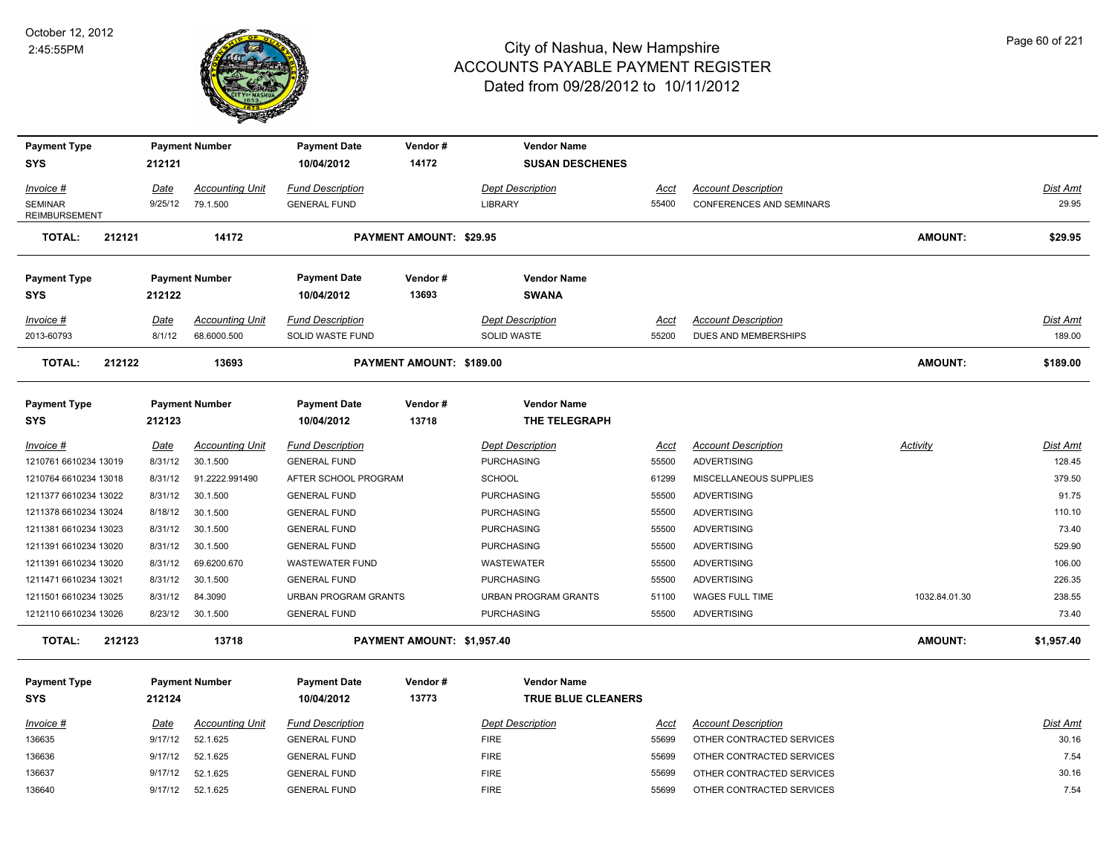

| <b>Payment Type</b>                    |         | <b>Payment Number</b>  | <b>Payment Date</b>     | Vendor#                    | <b>Vendor Name</b>      |             |                                 |                 |                 |
|----------------------------------------|---------|------------------------|-------------------------|----------------------------|-------------------------|-------------|---------------------------------|-----------------|-----------------|
| <b>SYS</b>                             | 212121  |                        | 10/04/2012              | 14172                      | <b>SUSAN DESCHENES</b>  |             |                                 |                 |                 |
| Invoice #                              | Date    | <b>Accounting Unit</b> | <b>Fund Description</b> |                            | <b>Dept Description</b> | Acct        | <b>Account Description</b>      |                 | Dist Amt        |
| <b>SEMINAR</b><br><b>REIMBURSEMENT</b> | 9/25/12 | 79.1.500               | <b>GENERAL FUND</b>     |                            | <b>LIBRARY</b>          | 55400       | <b>CONFERENCES AND SEMINARS</b> |                 | 29.95           |
| <b>TOTAL:</b><br>212121                |         | 14172                  |                         | PAYMENT AMOUNT: \$29.95    |                         |             |                                 | AMOUNT:         | \$29.95         |
| <b>Payment Type</b>                    |         | <b>Payment Number</b>  | <b>Payment Date</b>     | Vendor#                    | <b>Vendor Name</b>      |             |                                 |                 |                 |
| <b>SYS</b>                             | 212122  |                        | 10/04/2012              | 13693                      | <b>SWANA</b>            |             |                                 |                 |                 |
| Invoice #                              | Date    | <b>Accounting Unit</b> | <b>Fund Description</b> |                            | <b>Dept Description</b> | Acct        | <b>Account Description</b>      |                 | <b>Dist Amt</b> |
| 2013-60793                             | 8/1/12  | 68.6000.500            | SOLID WASTE FUND        |                            | <b>SOLID WASTE</b>      | 55200       | DUES AND MEMBERSHIPS            |                 | 189.00          |
| <b>TOTAL:</b><br>212122                |         | 13693                  |                         | PAYMENT AMOUNT: \$189.00   |                         |             |                                 | AMOUNT:         | \$189.00        |
| <b>Payment Type</b>                    |         | <b>Payment Number</b>  | <b>Payment Date</b>     | Vendor#                    | <b>Vendor Name</b>      |             |                                 |                 |                 |
| <b>SYS</b>                             | 212123  |                        | 10/04/2012              | 13718                      | THE TELEGRAPH           |             |                                 |                 |                 |
| Invoice #                              | Date    | <b>Accounting Unit</b> | <b>Fund Description</b> |                            | <b>Dept Description</b> | <b>Acct</b> | <b>Account Description</b>      | <b>Activity</b> | <b>Dist Amt</b> |
| 1210761 6610234 13019                  | 8/31/12 | 30.1.500               | <b>GENERAL FUND</b>     |                            | <b>PURCHASING</b>       | 55500       | <b>ADVERTISING</b>              |                 | 128.45          |
| 1210764 6610234 13018                  | 8/31/12 | 91.2222.991490         | AFTER SCHOOL PROGRAM    |                            | <b>SCHOOL</b>           | 61299       | MISCELLANEOUS SUPPLIES          |                 | 379.50          |
| 1211377 6610234 13022                  | 8/31/12 | 30.1.500               | <b>GENERAL FUND</b>     |                            | <b>PURCHASING</b>       | 55500       | <b>ADVERTISING</b>              |                 | 91.75           |
| 1211378 6610234 13024                  | 8/18/12 | 30.1.500               | <b>GENERAL FUND</b>     |                            | <b>PURCHASING</b>       | 55500       | ADVERTISING                     |                 | 110.10          |
| 1211381 6610234 13023                  | 8/31/12 | 30.1.500               | <b>GENERAL FUND</b>     |                            | <b>PURCHASING</b>       | 55500       | <b>ADVERTISING</b>              |                 | 73.40           |
| 1211391 6610234 13020                  | 8/31/12 | 30.1.500               | <b>GENERAL FUND</b>     |                            | <b>PURCHASING</b>       | 55500       | ADVERTISING                     |                 | 529.90          |
| 1211391 6610234 13020                  | 8/31/12 | 69.6200.670            | WASTEWATER FUND         |                            | WASTEWATER              | 55500       | ADVERTISING                     |                 | 106.00          |
| 1211471 6610234 13021                  | 8/31/12 | 30.1.500               | <b>GENERAL FUND</b>     |                            | <b>PURCHASING</b>       | 55500       | <b>ADVERTISING</b>              |                 | 226.35          |
| 1211501 6610234 13025                  | 8/31/12 | 84.3090                | URBAN PROGRAM GRANTS    |                            | URBAN PROGRAM GRANTS    | 51100       | WAGES FULL TIME                 | 1032.84.01.30   | 238.55          |
| 1212110 6610234 13026                  | 8/23/12 | 30.1.500               | <b>GENERAL FUND</b>     |                            | <b>PURCHASING</b>       | 55500       | <b>ADVERTISING</b>              |                 | 73.40           |
| 212123<br>TOTAL:                       |         | 13718                  |                         | PAYMENT AMOUNT: \$1,957.40 |                         |             |                                 | AMOUNT:         | \$1,957.40      |
| <b>Payment Type</b>                    |         | <b>Payment Number</b>  | <b>Payment Date</b>     | Vendor#                    | <b>Vendor Name</b>      |             |                                 |                 |                 |
| <b>SYS</b>                             | 212124  |                        | 10/04/2012              | 13773                      | TRUE BLUE CLEANERS      |             |                                 |                 |                 |
| Invoice #                              | Date    | <b>Accounting Unit</b> | <b>Fund Description</b> |                            | <b>Dept Description</b> | Acct        | <b>Account Description</b>      |                 | <b>Dist Amt</b> |
| 136635                                 | 9/17/12 | 52.1.625               | <b>GENERAL FUND</b>     |                            | <b>FIRE</b>             | 55699       | OTHER CONTRACTED SERVICES       |                 | 30.16           |
| 136636                                 | 9/17/12 | 52.1.625               | <b>GENERAL FUND</b>     |                            | <b>FIRE</b>             | 55699       | OTHER CONTRACTED SERVICES       |                 | 7.54            |
| 136637                                 | 9/17/12 | 52.1.625               | <b>GENERAL FUND</b>     |                            | <b>FIRE</b>             | 55699       | OTHER CONTRACTED SERVICES       |                 | 30.16           |
| 136640                                 |         | 9/17/12 52.1.625       | <b>GENERAL FUND</b>     |                            | <b>FIRE</b>             | 55699       | OTHER CONTRACTED SERVICES       |                 | 7.54            |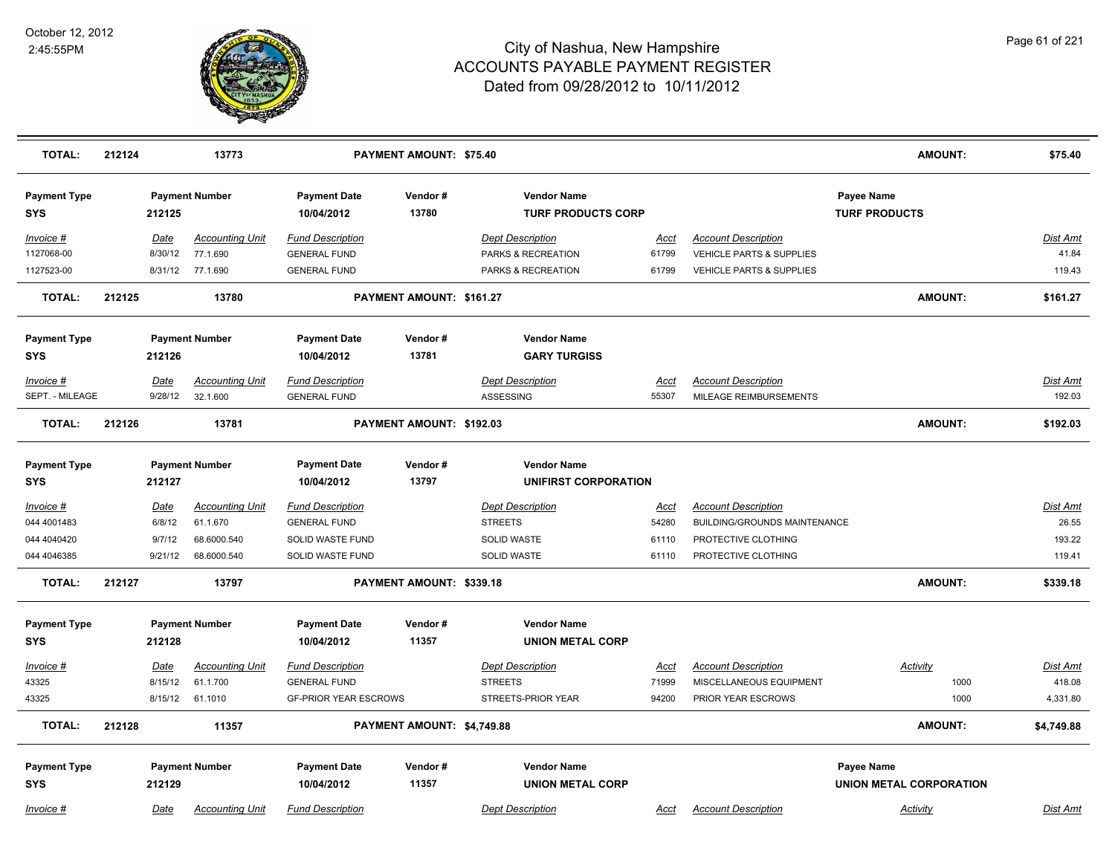

| <b>TOTAL:</b>                     | 212124 |                        | 13773                              |                                                | <b>PAYMENT AMOUNT: \$75.40</b> |                                                 |                      |                                                                   | <b>AMOUNT:</b>                               | \$75.40                   |
|-----------------------------------|--------|------------------------|------------------------------------|------------------------------------------------|--------------------------------|-------------------------------------------------|----------------------|-------------------------------------------------------------------|----------------------------------------------|---------------------------|
| <b>Payment Type</b><br><b>SYS</b> |        | 212125                 | <b>Payment Number</b>              | <b>Payment Date</b><br>10/04/2012              | Vendor#<br>13780               | <b>Vendor Name</b><br><b>TURF PRODUCTS CORP</b> |                      |                                                                   | Payee Name<br><b>TURF PRODUCTS</b>           |                           |
| Invoice #<br>1127068-00           |        | Date<br>8/30/12        | <b>Accounting Unit</b><br>77.1.690 | <b>Fund Description</b><br><b>GENERAL FUND</b> |                                | <b>Dept Description</b><br>PARKS & RECREATION   | Acct<br>61799        | <b>Account Description</b><br><b>VEHICLE PARTS &amp; SUPPLIES</b> |                                              | <u>Dist Amt</u><br>41.84  |
| 1127523-00                        |        | 8/31/12                | 77.1.690                           | <b>GENERAL FUND</b>                            |                                | PARKS & RECREATION                              | 61799                | <b>VEHICLE PARTS &amp; SUPPLIES</b>                               |                                              | 119.43                    |
| <b>TOTAL:</b>                     | 212125 |                        | 13780                              |                                                | PAYMENT AMOUNT: \$161.27       |                                                 |                      |                                                                   | <b>AMOUNT:</b>                               | \$161.27                  |
| <b>Payment Type</b><br><b>SYS</b> |        | 212126                 | <b>Payment Number</b>              | <b>Payment Date</b><br>10/04/2012              | Vendor#<br>13781               | <b>Vendor Name</b><br><b>GARY TURGISS</b>       |                      |                                                                   |                                              |                           |
| Invoice #<br>SEPT. - MILEAGE      |        | <u>Date</u><br>9/28/12 | <b>Accounting Unit</b><br>32.1.600 | <b>Fund Description</b><br><b>GENERAL FUND</b> |                                | <b>Dept Description</b><br>ASSESSING            | <u>Acct</u><br>55307 | <b>Account Description</b><br>MILEAGE REIMBURSEMENTS              |                                              | <b>Dist Amt</b><br>192.03 |
| <b>TOTAL:</b>                     | 212126 |                        | 13781                              |                                                | PAYMENT AMOUNT: \$192.03       |                                                 |                      |                                                                   | <b>AMOUNT:</b>                               | \$192.03                  |
| <b>Payment Type</b><br><b>SYS</b> |        | 212127                 | <b>Payment Number</b>              | <b>Payment Date</b><br>10/04/2012              | Vendor#<br>13797               | <b>Vendor Name</b><br>UNIFIRST CORPORATION      |                      |                                                                   |                                              |                           |
| $Invoice$ #                       |        | <b>Date</b>            | <b>Accounting Unit</b>             | <b>Fund Description</b>                        |                                | <b>Dept Description</b>                         | <u>Acct</u>          | <b>Account Description</b>                                        |                                              | <u>Dist Amt</u>           |
| 044 4001483                       |        | 6/8/12                 | 61.1.670                           | <b>GENERAL FUND</b>                            |                                | <b>STREETS</b>                                  | 54280                | <b>BUILDING/GROUNDS MAINTENANCE</b>                               |                                              | 26.55                     |
| 044 4040420                       |        | 9/7/12                 | 68.6000.540                        | SOLID WASTE FUND                               |                                | SOLID WASTE                                     | 61110                | PROTECTIVE CLOTHING                                               |                                              | 193.22                    |
| 044 4046385                       |        | 9/21/12                | 68.6000.540                        | <b>SOLID WASTE FUND</b>                        |                                | <b>SOLID WASTE</b>                              | 61110                | PROTECTIVE CLOTHING                                               |                                              | 119.41                    |
| <b>TOTAL:</b>                     | 212127 |                        | 13797                              |                                                | PAYMENT AMOUNT: \$339.18       |                                                 |                      |                                                                   | <b>AMOUNT:</b>                               | \$339.18                  |
| <b>Payment Type</b><br><b>SYS</b> |        | 212128                 | <b>Payment Number</b>              | <b>Payment Date</b><br>10/04/2012              | Vendor#<br>11357               | <b>Vendor Name</b><br><b>UNION METAL CORP</b>   |                      |                                                                   |                                              |                           |
| Invoice #                         |        | Date                   | <b>Accounting Unit</b>             | <b>Fund Description</b>                        |                                | <b>Dept Description</b>                         | Acct                 | <b>Account Description</b>                                        | Activity                                     | Dist Amt                  |
| 43325                             |        | 8/15/12                | 61.1.700                           | <b>GENERAL FUND</b>                            |                                | <b>STREETS</b>                                  | 71999                | MISCELLANEOUS EQUIPMENT                                           | 1000                                         | 418.08                    |
| 43325                             |        | 8/15/12                | 61.1010                            | <b>GF-PRIOR YEAR ESCROWS</b>                   |                                | STREETS-PRIOR YEAR                              | 94200                | PRIOR YEAR ESCROWS                                                | 1000                                         | 4,331.80                  |
| <b>TOTAL:</b>                     | 212128 |                        | 11357                              |                                                | PAYMENT AMOUNT: \$4,749.88     |                                                 |                      |                                                                   | <b>AMOUNT:</b>                               | \$4,749.88                |
| <b>Payment Type</b><br><b>SYS</b> |        | 212129                 | <b>Payment Number</b>              | <b>Payment Date</b><br>10/04/2012              | Vendor#<br>11357               | <b>Vendor Name</b><br><b>UNION METAL CORP</b>   |                      |                                                                   | Payee Name<br><b>UNION METAL CORPORATION</b> |                           |
| Invoice #                         |        | Date                   | <b>Accounting Unit</b>             | <b>Fund Description</b>                        |                                | <b>Dept Description</b>                         | <u>Acct</u>          | <b>Account Description</b>                                        | Activity                                     | Dist Amt                  |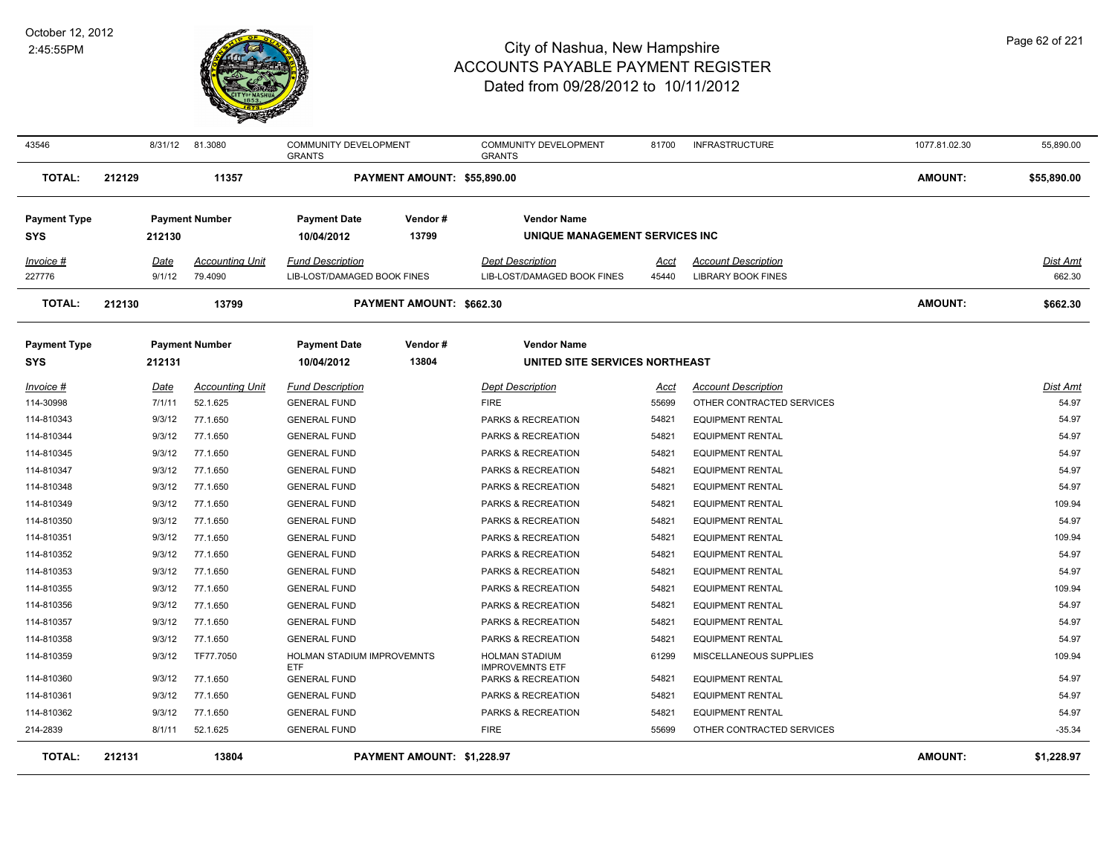

| 43546               |        |             | 8/31/12 81.3080        | <b>COMMUNITY DEVELOPMENT</b><br><b>GRANTS</b> |                             | <b>COMMUNITY DEVELOPMENT</b><br><b>GRANTS</b> | 81700       | <b>INFRASTRUCTURE</b>      | 1077.81.02.30  | 55,890.00   |
|---------------------|--------|-------------|------------------------|-----------------------------------------------|-----------------------------|-----------------------------------------------|-------------|----------------------------|----------------|-------------|
| <b>TOTAL:</b>       | 212129 |             | 11357                  |                                               | PAYMENT AMOUNT: \$55,890.00 |                                               |             |                            | <b>AMOUNT:</b> | \$55,890.00 |
| <b>Payment Type</b> |        |             | <b>Payment Number</b>  | <b>Payment Date</b>                           | Vendor#                     | <b>Vendor Name</b>                            |             |                            |                |             |
| <b>SYS</b>          |        | 212130      |                        | 10/04/2012                                    | 13799                       | UNIQUE MANAGEMENT SERVICES INC                |             |                            |                |             |
| Invoice #           |        | Date        | <b>Accounting Unit</b> | <b>Fund Description</b>                       |                             | <b>Dept Description</b>                       | Acct        | <b>Account Description</b> |                | Dist Amt    |
| 227776              |        | 9/1/12      | 79.4090                | LIB-LOST/DAMAGED BOOK FINES                   |                             | LIB-LOST/DAMAGED BOOK FINES                   | 45440       | <b>LIBRARY BOOK FINES</b>  |                | 662.30      |
| <b>TOTAL:</b>       | 212130 |             | 13799                  |                                               | PAYMENT AMOUNT: \$662.30    |                                               |             |                            | <b>AMOUNT:</b> | \$662.30    |
| <b>Payment Type</b> |        |             | <b>Payment Number</b>  | <b>Payment Date</b>                           | Vendor#                     | <b>Vendor Name</b>                            |             |                            |                |             |
| <b>SYS</b>          |        | 212131      |                        | 10/04/2012                                    | 13804                       | UNITED SITE SERVICES NORTHEAST                |             |                            |                |             |
| <u>Invoice #</u>    |        | <u>Date</u> | <b>Accounting Unit</b> | <b>Fund Description</b>                       |                             | <b>Dept Description</b>                       | <u>Acct</u> | <b>Account Description</b> |                | Dist Amt    |
| 114-30998           |        | 7/1/11      | 52.1.625               | <b>GENERAL FUND</b>                           |                             | <b>FIRE</b>                                   | 55699       | OTHER CONTRACTED SERVICES  |                | 54.97       |
| 114-810343          |        | 9/3/12      | 77.1.650               | <b>GENERAL FUND</b>                           |                             | PARKS & RECREATION                            | 54821       | <b>EQUIPMENT RENTAL</b>    |                | 54.97       |
| 114-810344          |        | 9/3/12      | 77.1.650               | <b>GENERAL FUND</b>                           |                             | PARKS & RECREATION                            | 54821       | <b>EQUIPMENT RENTAL</b>    |                | 54.97       |
| 114-810345          |        | 9/3/12      | 77.1.650               | <b>GENERAL FUND</b>                           |                             | PARKS & RECREATION                            | 54821       | <b>EQUIPMENT RENTAL</b>    |                | 54.97       |
| 114-810347          |        | 9/3/12      | 77.1.650               | <b>GENERAL FUND</b>                           |                             | PARKS & RECREATION                            | 54821       | <b>EQUIPMENT RENTAL</b>    |                | 54.97       |
| 114-810348          |        | 9/3/12      | 77.1.650               | <b>GENERAL FUND</b>                           |                             | PARKS & RECREATION                            | 54821       | <b>EQUIPMENT RENTAL</b>    |                | 54.97       |
| 114-810349          |        | 9/3/12      | 77.1.650               | <b>GENERAL FUND</b>                           |                             | PARKS & RECREATION                            | 54821       | <b>EQUIPMENT RENTAL</b>    |                | 109.94      |
| 114-810350          |        | 9/3/12      | 77.1.650               | <b>GENERAL FUND</b>                           |                             | PARKS & RECREATION                            | 54821       | <b>EQUIPMENT RENTAL</b>    |                | 54.97       |
| 114-810351          |        | 9/3/12      | 77.1.650               | <b>GENERAL FUND</b>                           |                             | PARKS & RECREATION                            | 54821       | <b>EQUIPMENT RENTAL</b>    |                | 109.94      |
| 114-810352          |        | 9/3/12      | 77.1.650               | <b>GENERAL FUND</b>                           |                             | PARKS & RECREATION                            | 54821       | <b>EQUIPMENT RENTAL</b>    |                | 54.97       |
| 114-810353          |        | 9/3/12      | 77.1.650               | <b>GENERAL FUND</b>                           |                             | PARKS & RECREATION                            | 54821       | <b>EQUIPMENT RENTAL</b>    |                | 54.97       |
| 114-810355          |        | 9/3/12      | 77.1.650               | <b>GENERAL FUND</b>                           |                             | PARKS & RECREATION                            | 54821       | <b>EQUIPMENT RENTAL</b>    |                | 109.94      |
| 114-810356          |        | 9/3/12      | 77.1.650               | <b>GENERAL FUND</b>                           |                             | PARKS & RECREATION                            | 54821       | <b>EQUIPMENT RENTAL</b>    |                | 54.97       |
| 114-810357          |        | 9/3/12      | 77.1.650               | <b>GENERAL FUND</b>                           |                             | PARKS & RECREATION                            | 54821       | <b>EQUIPMENT RENTAL</b>    |                | 54.97       |
| 114-810358          |        | 9/3/12      | 77.1.650               | <b>GENERAL FUND</b>                           |                             | PARKS & RECREATION                            | 54821       | <b>EQUIPMENT RENTAL</b>    |                | 54.97       |
| 114-810359          |        | 9/3/12      | TF77.7050              | HOLMAN STADIUM IMPROVEMNTS                    |                             | HOLMAN STADIUM                                | 61299       | MISCELLANEOUS SUPPLIES     |                | 109.94      |
| 114-810360          |        | 9/3/12      | 77.1.650               | <b>ETF</b><br><b>GENERAL FUND</b>             |                             | <b>IMPROVEMNTS ETF</b><br>PARKS & RECREATION  | 54821       | <b>EQUIPMENT RENTAL</b>    |                | 54.97       |
| 114-810361          |        | 9/3/12      | 77.1.650               | <b>GENERAL FUND</b>                           |                             | PARKS & RECREATION                            | 54821       | <b>EQUIPMENT RENTAL</b>    |                | 54.97       |
| 114-810362          |        | 9/3/12      | 77.1.650               | <b>GENERAL FUND</b>                           |                             | PARKS & RECREATION                            | 54821       | <b>EQUIPMENT RENTAL</b>    |                | 54.97       |
| 214-2839            |        | 8/1/11      | 52.1.625               | <b>GENERAL FUND</b>                           |                             | <b>FIRE</b>                                   | 55699       | OTHER CONTRACTED SERVICES  |                | $-35.34$    |
| <b>TOTAL:</b>       | 212131 |             | 13804                  |                                               | PAYMENT AMOUNT: \$1,228.97  |                                               |             |                            | <b>AMOUNT:</b> | \$1,228.97  |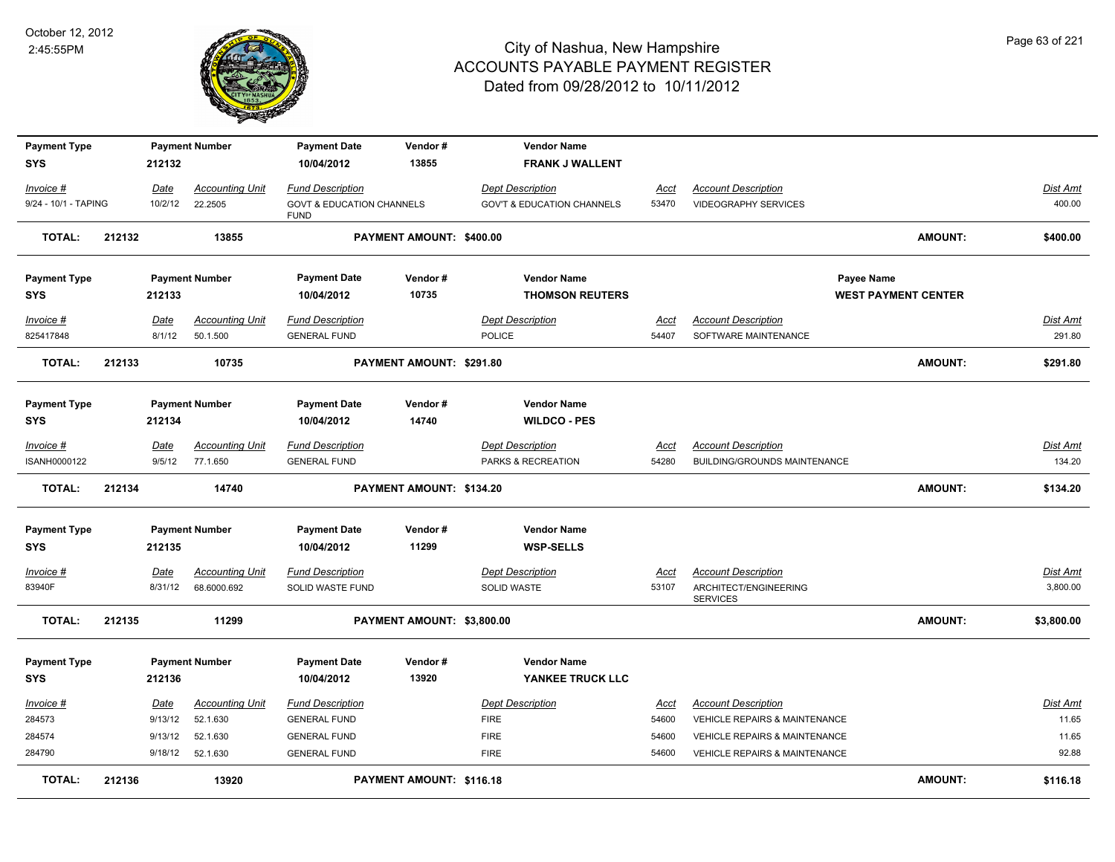

| <b>Payment Type</b><br><b>SYS</b> |        | 212132         | <b>Payment Number</b>              | <b>Payment Date</b><br>10/04/2012                   | Vendor#<br>13855           | <b>Vendor Name</b><br><b>FRANK J WALLENT</b>  |                      |                                                            |                            |                           |
|-----------------------------------|--------|----------------|------------------------------------|-----------------------------------------------------|----------------------------|-----------------------------------------------|----------------------|------------------------------------------------------------|----------------------------|---------------------------|
| Invoice #                         |        | Date           | Accounting Unit                    | <b>Fund Description</b>                             |                            | <b>Dept Description</b>                       | Acct                 | <b>Account Description</b>                                 |                            | Dist Amt                  |
| 9/24 - 10/1 - TAPING              |        | 10/2/12        | 22.2505                            | <b>GOVT &amp; EDUCATION CHANNELS</b><br><b>FUND</b> |                            | <b>GOV'T &amp; EDUCATION CHANNELS</b>         | 53470                | <b>VIDEOGRAPHY SERVICES</b>                                |                            | 400.00                    |
| <b>TOTAL:</b>                     | 212132 |                | 13855                              |                                                     | PAYMENT AMOUNT: \$400.00   |                                               |                      |                                                            | <b>AMOUNT:</b>             | \$400.00                  |
| <b>Payment Type</b>               |        |                | <b>Payment Number</b>              | <b>Payment Date</b>                                 | Vendor#                    | <b>Vendor Name</b>                            |                      | Payee Name                                                 |                            |                           |
| <b>SYS</b>                        |        | 212133         |                                    | 10/04/2012                                          | 10735                      | <b>THOMSON REUTERS</b>                        |                      |                                                            | <b>WEST PAYMENT CENTER</b> |                           |
| Invoice #                         |        | Date           | <b>Accounting Unit</b>             | <b>Fund Description</b>                             |                            | <b>Dept Description</b>                       | <u>Acct</u>          | <b>Account Description</b>                                 |                            | <b>Dist Amt</b>           |
| 825417848                         |        | 8/1/12         | 50.1.500                           | <b>GENERAL FUND</b>                                 |                            | <b>POLICE</b>                                 | 54407                | SOFTWARE MAINTENANCE                                       |                            | 291.80                    |
| <b>TOTAL:</b>                     | 212133 |                | 10735                              |                                                     | PAYMENT AMOUNT: \$291.80   |                                               |                      |                                                            | AMOUNT:                    | \$291.80                  |
| <b>Payment Type</b>               |        |                | <b>Payment Number</b>              | <b>Payment Date</b>                                 | Vendor#                    | <b>Vendor Name</b>                            |                      |                                                            |                            |                           |
| <b>SYS</b>                        |        | 212134         |                                    | 10/04/2012                                          | 14740                      | <b>WILDCO - PES</b>                           |                      |                                                            |                            |                           |
| Invoice #<br>ISANH0000122         |        | Date<br>9/5/12 | <b>Accounting Unit</b><br>77.1.650 | <b>Fund Description</b><br><b>GENERAL FUND</b>      |                            | <b>Dept Description</b><br>PARKS & RECREATION | <u>Acct</u><br>54280 | <b>Account Description</b><br>BUILDING/GROUNDS MAINTENANCE |                            | <b>Dist Amt</b><br>134.20 |
|                                   |        |                |                                    |                                                     |                            |                                               |                      |                                                            |                            |                           |
| <b>TOTAL:</b>                     | 212134 |                | 14740                              |                                                     | PAYMENT AMOUNT: \$134.20   |                                               |                      |                                                            | AMOUNT:                    | \$134.20                  |
| <b>Payment Type</b>               |        |                | <b>Payment Number</b>              | <b>Payment Date</b>                                 | Vendor#                    | <b>Vendor Name</b>                            |                      |                                                            |                            |                           |
| <b>SYS</b>                        |        | 212135         |                                    | 10/04/2012                                          | 11299                      | <b>WSP-SELLS</b>                              |                      |                                                            |                            |                           |
| Invoice #                         |        | Date           | <b>Accounting Unit</b>             | <b>Fund Description</b>                             |                            | <b>Dept Description</b>                       | Acct                 | <b>Account Description</b>                                 |                            | Dist Amt                  |
| 83940F                            |        | 8/31/12        | 68.6000.692                        | SOLID WASTE FUND                                    |                            | SOLID WASTE                                   | 53107                | ARCHITECT/ENGINEERING<br><b>SERVICES</b>                   |                            | 3,800.00                  |
| <b>TOTAL:</b>                     | 212135 |                | 11299                              |                                                     | PAYMENT AMOUNT: \$3,800.00 |                                               |                      |                                                            | <b>AMOUNT:</b>             | \$3,800.00                |
| <b>Payment Type</b>               |        |                | <b>Payment Number</b>              | <b>Payment Date</b>                                 | Vendor#                    | <b>Vendor Name</b>                            |                      |                                                            |                            |                           |
| <b>SYS</b>                        |        | 212136         |                                    | 10/04/2012                                          | 13920                      | YANKEE TRUCK LLC                              |                      |                                                            |                            |                           |
| Invoice #                         |        | Date           | <b>Accounting Unit</b>             | <b>Fund Description</b>                             |                            | <b>Dept Description</b>                       | Acct                 | <b>Account Description</b>                                 |                            | Dist Amt                  |
| 284573                            |        | 9/13/12        | 52.1.630                           | <b>GENERAL FUND</b>                                 |                            | <b>FIRE</b>                                   | 54600                | VEHICLE REPAIRS & MAINTENANCE                              |                            | 11.65                     |
| 284574                            |        | 9/13/12        | 52.1.630                           | <b>GENERAL FUND</b>                                 |                            | <b>FIRE</b>                                   | 54600                | VEHICLE REPAIRS & MAINTENANCE                              |                            | 11.65                     |
| 284790                            |        | 9/18/12        | 52.1.630                           | <b>GENERAL FUND</b>                                 |                            | <b>FIRE</b>                                   | 54600                | VEHICLE REPAIRS & MAINTENANCE                              |                            | 92.88                     |
| <b>TOTAL:</b>                     | 212136 |                | 13920                              |                                                     | PAYMENT AMOUNT: \$116.18   |                                               |                      |                                                            | <b>AMOUNT:</b>             | \$116.18                  |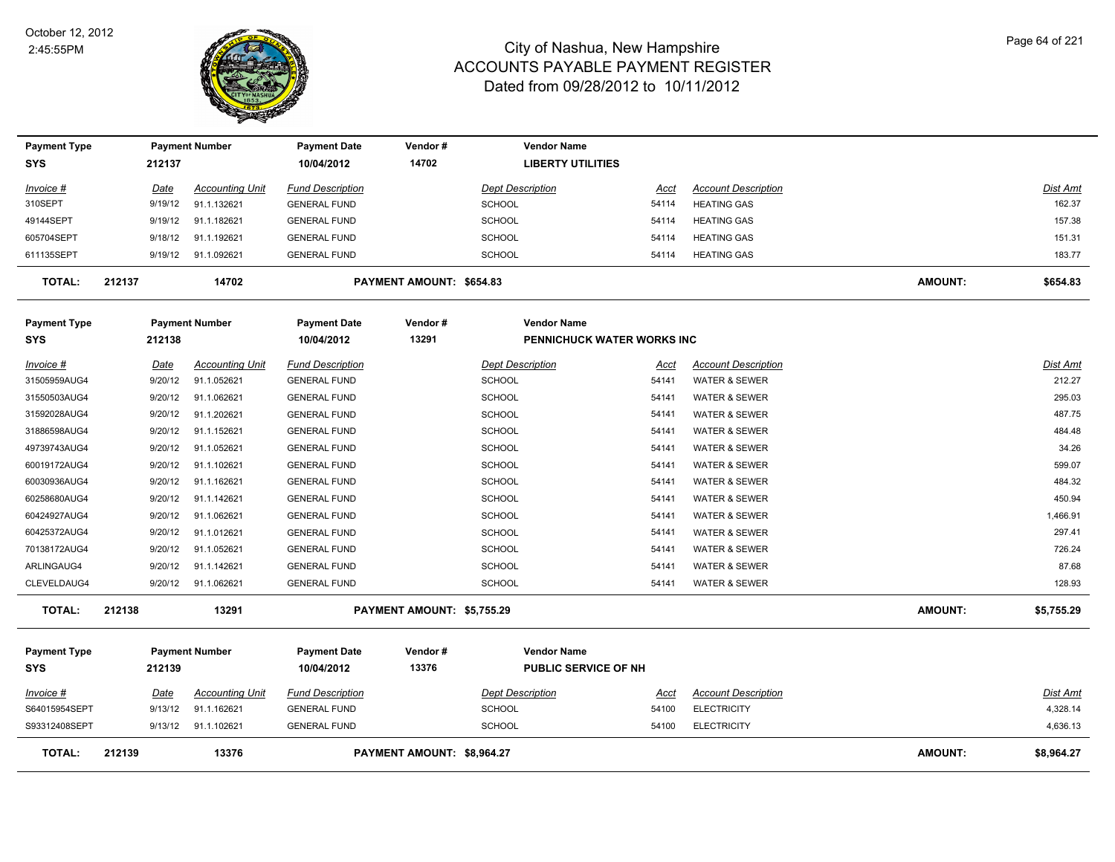

| <b>Payment Type</b> |             | <b>Payment Number</b>  | <b>Payment Date</b>     | Vendor#                    | <b>Vendor Name</b>          |             |                            |                |                 |
|---------------------|-------------|------------------------|-------------------------|----------------------------|-----------------------------|-------------|----------------------------|----------------|-----------------|
| <b>SYS</b>          | 212137      |                        | 10/04/2012              | 14702                      | <b>LIBERTY UTILITIES</b>    |             |                            |                |                 |
| <u>Invoice #</u>    | <u>Date</u> | <b>Accounting Unit</b> | <b>Fund Description</b> |                            | <b>Dept Description</b>     | <u>Acct</u> | <b>Account Description</b> |                | <u>Dist Amt</u> |
| 310SEPT             | 9/19/12     | 91.1.132621            | <b>GENERAL FUND</b>     |                            | <b>SCHOOL</b>               | 54114       | <b>HEATING GAS</b>         |                | 162.37          |
| 49144SEPT           | 9/19/12     | 91.1.182621            | <b>GENERAL FUND</b>     |                            | <b>SCHOOL</b>               | 54114       | <b>HEATING GAS</b>         |                | 157.38          |
| 605704SEPT          | 9/18/12     | 91.1.192621            | <b>GENERAL FUND</b>     |                            | <b>SCHOOL</b>               | 54114       | <b>HEATING GAS</b>         |                | 151.31          |
| 611135SEPT          | 9/19/12     | 91.1.092621            | <b>GENERAL FUND</b>     |                            | <b>SCHOOL</b>               | 54114       | <b>HEATING GAS</b>         |                | 183.77          |
| <b>TOTAL:</b>       | 212137      | 14702                  |                         | PAYMENT AMOUNT: \$654.83   |                             |             |                            | <b>AMOUNT:</b> | \$654.83        |
| <b>Payment Type</b> |             | <b>Payment Number</b>  | <b>Payment Date</b>     | Vendor#                    | <b>Vendor Name</b>          |             |                            |                |                 |
| SYS                 | 212138      |                        | 10/04/2012              | 13291                      | PENNICHUCK WATER WORKS INC  |             |                            |                |                 |
| Invoice #           | Date        | <b>Accounting Unit</b> | <b>Fund Description</b> |                            | <b>Dept Description</b>     | Acct        | <b>Account Description</b> |                | Dist Amt        |
| 31505959AUG4        | 9/20/12     | 91.1.052621            | <b>GENERAL FUND</b>     |                            | <b>SCHOOL</b>               | 54141       | WATER & SEWER              |                | 212.27          |
| 31550503AUG4        | 9/20/12     | 91.1.062621            | <b>GENERAL FUND</b>     |                            | <b>SCHOOL</b>               | 54141       | <b>WATER &amp; SEWER</b>   |                | 295.03          |
| 31592028AUG4        | 9/20/12     | 91.1.202621            | <b>GENERAL FUND</b>     |                            | SCHOOL                      | 54141       | WATER & SEWER              |                | 487.75          |
| 31886598AUG4        | 9/20/12     | 91.1.152621            | <b>GENERAL FUND</b>     |                            | <b>SCHOOL</b>               | 54141       | <b>WATER &amp; SEWER</b>   |                | 484.48          |
| 49739743AUG4        | 9/20/12     | 91.1.052621            | <b>GENERAL FUND</b>     |                            | <b>SCHOOL</b>               | 54141       | <b>WATER &amp; SEWER</b>   |                | 34.26           |
| 60019172AUG4        | 9/20/12     | 91.1.102621            | <b>GENERAL FUND</b>     |                            | SCHOOL                      | 54141       | <b>WATER &amp; SEWER</b>   |                | 599.07          |
| 60030936AUG4        | 9/20/12     | 91.1.162621            | <b>GENERAL FUND</b>     |                            | <b>SCHOOL</b>               | 54141       | <b>WATER &amp; SEWER</b>   |                | 484.32          |
| 60258680AUG4        | 9/20/12     | 91.1.142621            | <b>GENERAL FUND</b>     |                            | <b>SCHOOL</b>               | 54141       | <b>WATER &amp; SEWER</b>   |                | 450.94          |
| 60424927AUG4        | 9/20/12     | 91.1.062621            | <b>GENERAL FUND</b>     |                            | <b>SCHOOL</b>               | 54141       | <b>WATER &amp; SEWER</b>   |                | 1,466.91        |
| 60425372AUG4        | 9/20/12     | 91.1.012621            | <b>GENERAL FUND</b>     |                            | SCHOOL                      | 54141       | WATER & SEWER              |                | 297.41          |
| 70138172AUG4        | 9/20/12     | 91.1.052621            | <b>GENERAL FUND</b>     |                            | <b>SCHOOL</b>               | 54141       | <b>WATER &amp; SEWER</b>   |                | 726.24          |
| ARLINGAUG4          | 9/20/12     | 91.1.142621            | <b>GENERAL FUND</b>     |                            | <b>SCHOOL</b>               | 54141       | <b>WATER &amp; SEWER</b>   |                | 87.68           |
| CLEVELDAUG4         | 9/20/12     | 91.1.062621            | <b>GENERAL FUND</b>     |                            | SCHOOL                      | 54141       | <b>WATER &amp; SEWER</b>   |                | 128.93          |
| <b>TOTAL:</b>       | 212138      | 13291                  |                         | PAYMENT AMOUNT: \$5,755.29 |                             |             |                            | <b>AMOUNT:</b> | \$5,755.29      |
| <b>Payment Type</b> |             | <b>Payment Number</b>  | <b>Payment Date</b>     | Vendor#                    | <b>Vendor Name</b>          |             |                            |                |                 |
| <b>SYS</b>          | 212139      |                        | 10/04/2012              | 13376                      | <b>PUBLIC SERVICE OF NH</b> |             |                            |                |                 |
| <u>Invoice #</u>    | Date        | <b>Accounting Unit</b> | <b>Fund Description</b> |                            | <b>Dept Description</b>     | <u>Acct</u> | <b>Account Description</b> |                | Dist Amt        |
| S64015954SEPT       | 9/13/12     | 91.1.162621            | <b>GENERAL FUND</b>     |                            | <b>SCHOOL</b>               | 54100       | <b>ELECTRICITY</b>         |                | 4,328.14        |
| S93312408SEPT       | 9/13/12     | 91.1.102621            | <b>GENERAL FUND</b>     |                            | <b>SCHOOL</b>               | 54100       | <b>ELECTRICITY</b>         |                | 4,636.13        |
| <b>TOTAL:</b>       | 212139      | 13376                  |                         | PAYMENT AMOUNT: \$8,964.27 |                             |             |                            | <b>AMOUNT:</b> | \$8,964.27      |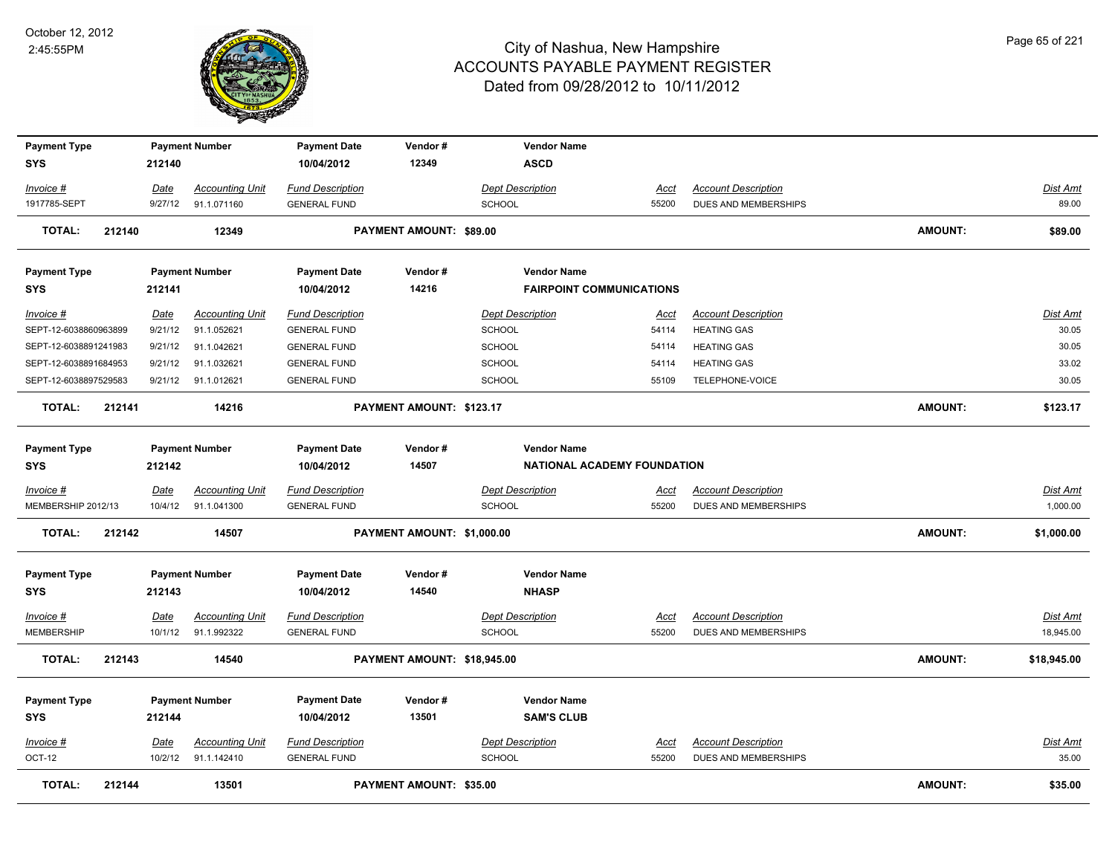

| <b>Payment Type</b>   |        |         | <b>Payment Number</b>  | <b>Payment Date</b>     | Vendor#                        | <b>Vendor Name</b>              |             |                            |                |                 |
|-----------------------|--------|---------|------------------------|-------------------------|--------------------------------|---------------------------------|-------------|----------------------------|----------------|-----------------|
| SYS                   |        | 212140  |                        | 10/04/2012              | 12349                          | <b>ASCD</b>                     |             |                            |                |                 |
| Invoice #             |        | Date    | <b>Accounting Unit</b> | <b>Fund Description</b> |                                | <b>Dept Description</b>         | <b>Acct</b> | <b>Account Description</b> |                | Dist Amt        |
| 1917785-SEPT          |        | 9/27/12 | 91.1.071160            | <b>GENERAL FUND</b>     |                                | <b>SCHOOL</b>                   | 55200       | DUES AND MEMBERSHIPS       |                | 89.00           |
| <b>TOTAL:</b>         | 212140 |         | 12349                  |                         | PAYMENT AMOUNT: \$89.00        |                                 |             |                            | <b>AMOUNT:</b> | \$89.00         |
| <b>Payment Type</b>   |        |         | <b>Payment Number</b>  | <b>Payment Date</b>     | Vendor#                        | <b>Vendor Name</b>              |             |                            |                |                 |
| SYS                   |        | 212141  |                        | 10/04/2012              | 14216                          | <b>FAIRPOINT COMMUNICATIONS</b> |             |                            |                |                 |
| Invoice #             |        | Date    | <b>Accounting Unit</b> | <b>Fund Description</b> |                                | <b>Dept Description</b>         | Acct        | <b>Account Description</b> |                | Dist Amt        |
| SEPT-12-6038860963899 |        | 9/21/12 | 91.1.052621            | <b>GENERAL FUND</b>     |                                | <b>SCHOOL</b>                   | 54114       | <b>HEATING GAS</b>         |                | 30.05           |
| SEPT-12-6038891241983 |        | 9/21/12 | 91.1.042621            | <b>GENERAL FUND</b>     |                                | <b>SCHOOL</b>                   | 54114       | <b>HEATING GAS</b>         |                | 30.05           |
| SEPT-12-6038891684953 |        | 9/21/12 | 91.1.032621            | <b>GENERAL FUND</b>     |                                | SCHOOL                          | 54114       | <b>HEATING GAS</b>         |                | 33.02           |
| SEPT-12-6038897529583 |        | 9/21/12 | 91.1.012621            | <b>GENERAL FUND</b>     |                                | <b>SCHOOL</b>                   | 55109       | TELEPHONE-VOICE            |                | 30.05           |
| <b>TOTAL:</b>         | 212141 |         | 14216                  |                         | PAYMENT AMOUNT: \$123.17       |                                 |             |                            | <b>AMOUNT:</b> | \$123.17        |
| <b>Payment Type</b>   |        |         | <b>Payment Number</b>  | <b>Payment Date</b>     | Vendor#                        | <b>Vendor Name</b>              |             |                            |                |                 |
| SYS                   |        | 212142  |                        | 10/04/2012              | 14507                          | NATIONAL ACADEMY FOUNDATION     |             |                            |                |                 |
| Invoice #             |        | Date    | <b>Accounting Unit</b> | <b>Fund Description</b> |                                | <b>Dept Description</b>         | Acct        | <b>Account Description</b> |                | <b>Dist Amt</b> |
| MEMBERSHIP 2012/13    |        | 10/4/12 | 91.1.041300            | <b>GENERAL FUND</b>     |                                | SCHOOL                          | 55200       | DUES AND MEMBERSHIPS       |                | 1,000.00        |
| <b>TOTAL:</b>         | 212142 |         | 14507                  |                         | PAYMENT AMOUNT: \$1,000.00     |                                 |             |                            | <b>AMOUNT:</b> | \$1,000.00      |
| <b>Payment Type</b>   |        |         | <b>Payment Number</b>  | <b>Payment Date</b>     | Vendor#                        | <b>Vendor Name</b>              |             |                            |                |                 |
| <b>SYS</b>            |        | 212143  |                        | 10/04/2012              | 14540                          | <b>NHASP</b>                    |             |                            |                |                 |
| Invoice #             |        | Date    | <b>Accounting Unit</b> | <b>Fund Description</b> |                                | <b>Dept Description</b>         | <b>Acct</b> | <b>Account Description</b> |                | <b>Dist Amt</b> |
| <b>MEMBERSHIP</b>     |        | 10/1/12 | 91.1.992322            | <b>GENERAL FUND</b>     |                                | <b>SCHOOL</b>                   | 55200       | DUES AND MEMBERSHIPS       |                | 18,945.00       |
| <b>TOTAL:</b>         | 212143 |         | 14540                  |                         | PAYMENT AMOUNT: \$18,945.00    |                                 |             |                            | <b>AMOUNT:</b> | \$18,945.00     |
| <b>Payment Type</b>   |        |         | <b>Payment Number</b>  | <b>Payment Date</b>     | Vendor#                        | <b>Vendor Name</b>              |             |                            |                |                 |
| <b>SYS</b>            |        | 212144  |                        | 10/04/2012              | 13501                          | <b>SAM'S CLUB</b>               |             |                            |                |                 |
| Invoice #             |        | Date    | <b>Accounting Unit</b> | <b>Fund Description</b> |                                | <b>Dept Description</b>         | <b>Acct</b> | <b>Account Description</b> |                | <u>Dist Amt</u> |
| <b>OCT-12</b>         |        |         | 10/2/12 91.1.142410    | <b>GENERAL FUND</b>     |                                | SCHOOL                          | 55200       | DUES AND MEMBERSHIPS       |                | 35.00           |
| <b>TOTAL:</b>         | 212144 |         | 13501                  |                         | <b>PAYMENT AMOUNT: \$35.00</b> |                                 |             |                            | <b>AMOUNT:</b> | \$35.00         |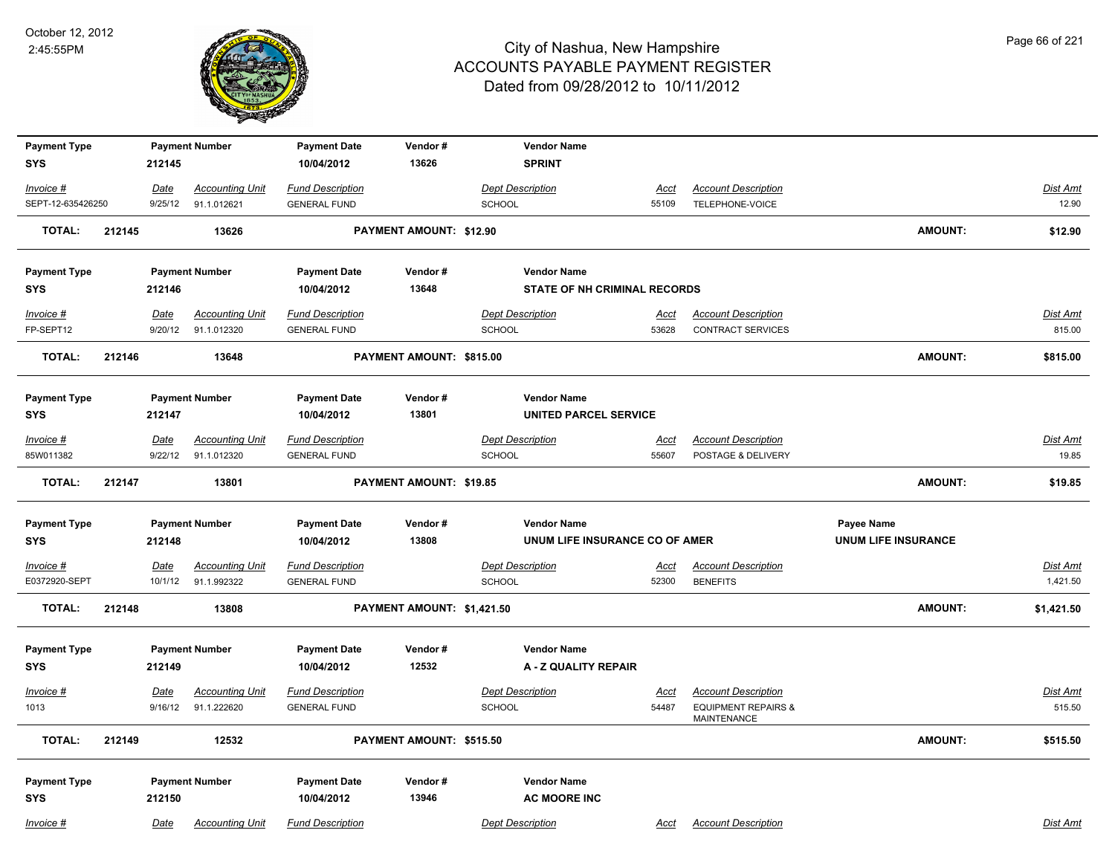

| <b>Payment Type</b>               |        |             | <b>Payment Number</b>  | <b>Payment Date</b>               | Vendor#                    | <b>Vendor Name</b>                        |             |                                                      |                            |                 |
|-----------------------------------|--------|-------------|------------------------|-----------------------------------|----------------------------|-------------------------------------------|-------------|------------------------------------------------------|----------------------------|-----------------|
| <b>SYS</b>                        |        | 212145      |                        | 10/04/2012                        | 13626                      | <b>SPRINT</b>                             |             |                                                      |                            |                 |
| Invoice #                         |        | <u>Date</u> | <b>Accounting Unit</b> | <b>Fund Description</b>           |                            | <b>Dept Description</b>                   | <u>Acct</u> | <b>Account Description</b>                           |                            | Dist Amt        |
| SEPT-12-635426250                 |        | 9/25/12     | 91.1.012621            | <b>GENERAL FUND</b>               |                            | SCHOOL                                    | 55109       | TELEPHONE-VOICE                                      |                            | 12.90           |
| <b>TOTAL:</b>                     | 212145 |             | 13626                  |                                   | PAYMENT AMOUNT: \$12.90    |                                           |             |                                                      | <b>AMOUNT:</b>             | \$12.90         |
| <b>Payment Type</b>               |        |             | <b>Payment Number</b>  | <b>Payment Date</b>               | Vendor#                    | <b>Vendor Name</b>                        |             |                                                      |                            |                 |
| <b>SYS</b>                        |        | 212146      |                        | 10/04/2012                        | 13648                      | STATE OF NH CRIMINAL RECORDS              |             |                                                      |                            |                 |
| Invoice #                         |        | Date        | <b>Accounting Unit</b> | <b>Fund Description</b>           |                            | <b>Dept Description</b>                   | <u>Acct</u> | <b>Account Description</b>                           |                            | Dist Amt        |
| FP-SEPT12                         |        | 9/20/12     | 91.1.012320            | <b>GENERAL FUND</b>               |                            | <b>SCHOOL</b>                             | 53628       | <b>CONTRACT SERVICES</b>                             |                            | 815.00          |
| <b>TOTAL:</b>                     | 212146 |             | 13648                  |                                   | PAYMENT AMOUNT: \$815.00   |                                           |             |                                                      | <b>AMOUNT:</b>             | \$815.00        |
| <b>Payment Type</b>               |        |             | <b>Payment Number</b>  | <b>Payment Date</b>               | Vendor#                    | <b>Vendor Name</b>                        |             |                                                      |                            |                 |
| <b>SYS</b>                        |        | 212147      |                        | 10/04/2012                        | 13801                      | <b>UNITED PARCEL SERVICE</b>              |             |                                                      |                            |                 |
| Invoice #                         |        | Date        | <b>Accounting Unit</b> | <b>Fund Description</b>           |                            | <b>Dept Description</b>                   | <u>Acct</u> | <b>Account Description</b>                           |                            | Dist Amt        |
| 85W011382                         |        | 9/22/12     | 91.1.012320            | <b>GENERAL FUND</b>               |                            | <b>SCHOOL</b>                             | 55607       | POSTAGE & DELIVERY                                   |                            | 19.85           |
| <b>TOTAL:</b>                     | 212147 |             | 13801                  |                                   | PAYMENT AMOUNT: \$19.85    |                                           |             |                                                      | <b>AMOUNT:</b>             | \$19.85         |
| <b>Payment Type</b>               |        |             | <b>Payment Number</b>  | <b>Payment Date</b>               | Vendor#                    | <b>Vendor Name</b>                        |             |                                                      | Payee Name                 |                 |
| <b>SYS</b>                        |        | 212148      |                        | 10/04/2012                        | 13808                      | UNUM LIFE INSURANCE CO OF AMER            |             |                                                      | <b>UNUM LIFE INSURANCE</b> |                 |
| Invoice #                         |        | <b>Date</b> | <b>Accounting Unit</b> | <b>Fund Description</b>           |                            | <b>Dept Description</b>                   | <u>Acct</u> | <b>Account Description</b>                           |                            | <b>Dist Amt</b> |
| E0372920-SEPT                     |        | 10/1/12     | 91.1.992322            | <b>GENERAL FUND</b>               |                            | <b>SCHOOL</b>                             | 52300       | <b>BENEFITS</b>                                      |                            | 1,421.50        |
| <b>TOTAL:</b>                     | 212148 |             | 13808                  |                                   | PAYMENT AMOUNT: \$1,421.50 |                                           |             |                                                      | AMOUNT:                    | \$1,421.50      |
| <b>Payment Type</b>               |        |             | <b>Payment Number</b>  | <b>Payment Date</b>               | Vendor#                    | <b>Vendor Name</b>                        |             |                                                      |                            |                 |
| <b>SYS</b>                        |        | 212149      |                        | 10/04/2012                        | 12532                      | A - Z QUALITY REPAIR                      |             |                                                      |                            |                 |
| Invoice #                         |        | Date        | <b>Accounting Unit</b> | <b>Fund Description</b>           |                            | <b>Dept Description</b>                   | <u>Acct</u> | <b>Account Description</b>                           |                            | <b>Dist Amt</b> |
| 1013                              |        | 9/16/12     | 91.1.222620            | <b>GENERAL FUND</b>               |                            | SCHOOL                                    | 54487       | <b>EQUIPMENT REPAIRS &amp;</b><br><b>MAINTENANCE</b> |                            | 515.50          |
| <b>TOTAL:</b>                     | 212149 |             | 12532                  |                                   | PAYMENT AMOUNT: \$515.50   |                                           |             |                                                      | <b>AMOUNT:</b>             | \$515.50        |
| <b>Payment Type</b><br><b>SYS</b> |        | 212150      | <b>Payment Number</b>  | <b>Payment Date</b><br>10/04/2012 | Vendor#<br>13946           | <b>Vendor Name</b><br><b>AC MOORE INC</b> |             |                                                      |                            |                 |
| Invoice #                         |        | Date        | <b>Accounting Unit</b> | <b>Fund Description</b>           |                            | <b>Dept Description</b>                   | Acct        | <b>Account Description</b>                           |                            | Dist Amt        |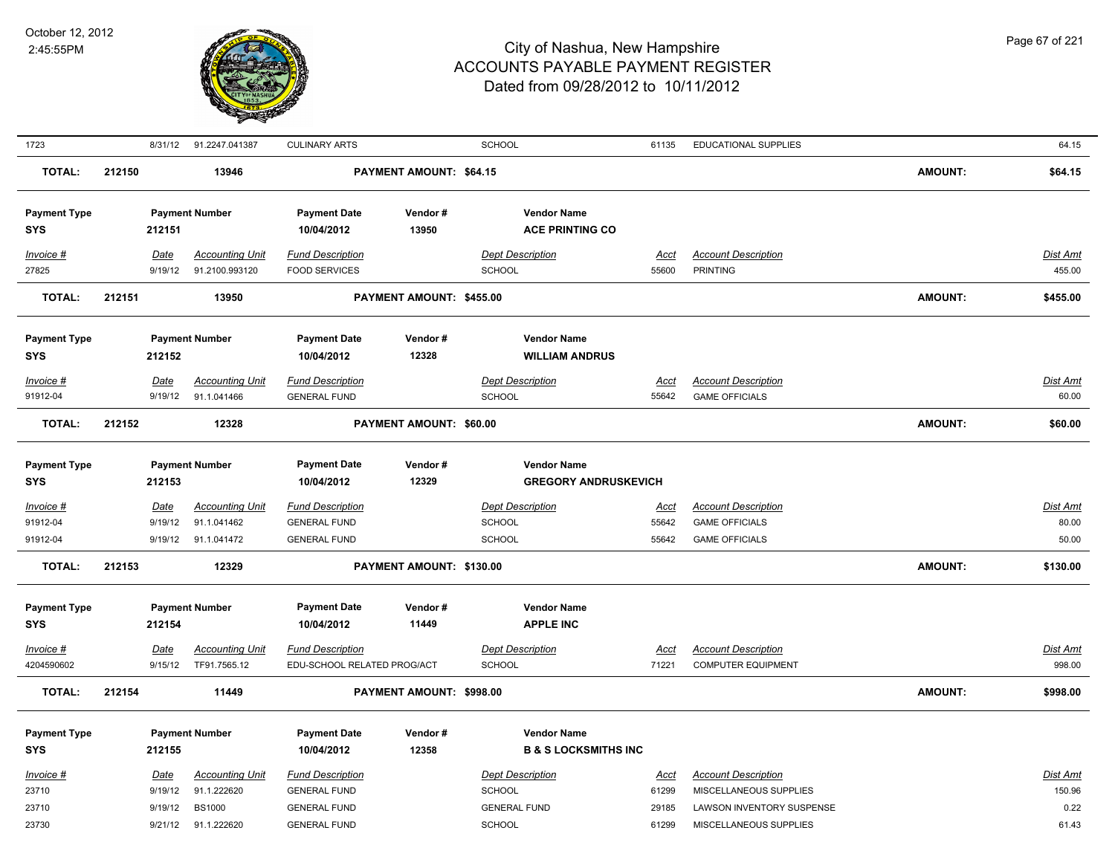

| 1723                                           |        | 8/31/12                           | 91.2247.041387                                       | <b>CULINARY ARTS</b>                                                  |                          | SCHOOL                                                                 | 61135                         | <b>EDUCATIONAL SUPPLIES</b>                                                  |                | 64.15                      |
|------------------------------------------------|--------|-----------------------------------|------------------------------------------------------|-----------------------------------------------------------------------|--------------------------|------------------------------------------------------------------------|-------------------------------|------------------------------------------------------------------------------|----------------|----------------------------|
| TOTAL:                                         | 212150 |                                   | 13946                                                |                                                                       | PAYMENT AMOUNT: \$64.15  |                                                                        |                               |                                                                              | <b>AMOUNT:</b> | \$64.15                    |
| <b>Payment Type</b><br><b>SYS</b>              |        | 212151                            | <b>Payment Number</b>                                | <b>Payment Date</b><br>10/04/2012                                     | Vendor#<br>13950         | <b>Vendor Name</b><br><b>ACE PRINTING CO</b>                           |                               |                                                                              |                |                            |
| Invoice #<br>27825                             |        | Date<br>9/19/12                   | <b>Accounting Unit</b><br>91.2100.993120             | <b>Fund Description</b><br><b>FOOD SERVICES</b>                       |                          | <b>Dept Description</b><br>SCHOOL                                      | Acct<br>55600                 | <b>Account Description</b><br><b>PRINTING</b>                                |                | Dist Amt<br>455.00         |
| <b>TOTAL:</b>                                  | 212151 |                                   | 13950                                                |                                                                       | PAYMENT AMOUNT: \$455.00 |                                                                        |                               |                                                                              | AMOUNT:        | \$455.00                   |
| <b>Payment Type</b><br><b>SYS</b><br>Invoice # |        | 212152<br>Date                    | <b>Payment Number</b><br><b>Accounting Unit</b>      | <b>Payment Date</b><br>10/04/2012<br><b>Fund Description</b>          | Vendor#<br>12328         | <b>Vendor Name</b><br><b>WILLIAM ANDRUS</b><br><b>Dept Description</b> | Acct                          | <b>Account Description</b>                                                   |                | <b>Dist Amt</b>            |
| 91912-04                                       |        | 9/19/12                           | 91.1.041466                                          | <b>GENERAL FUND</b>                                                   |                          | <b>SCHOOL</b>                                                          | 55642                         | <b>GAME OFFICIALS</b>                                                        |                | 60.00                      |
| <b>TOTAL:</b>                                  | 212152 |                                   | 12328                                                |                                                                       | PAYMENT AMOUNT: \$60.00  |                                                                        |                               |                                                                              | <b>AMOUNT:</b> | \$60.00                    |
| <b>Payment Type</b><br><b>SYS</b>              |        | 212153                            | <b>Payment Number</b>                                | <b>Payment Date</b><br>10/04/2012                                     | Vendor#<br>12329         | <b>Vendor Name</b><br><b>GREGORY ANDRUSKEVICH</b>                      |                               |                                                                              |                |                            |
| Invoice #<br>91912-04<br>91912-04              |        | <u>Date</u><br>9/19/12<br>9/19/12 | <b>Accounting Unit</b><br>91.1.041462<br>91.1.041472 | <b>Fund Description</b><br><b>GENERAL FUND</b><br><b>GENERAL FUND</b> |                          | <b>Dept Description</b><br>SCHOOL<br>SCHOOL                            | <u>Acct</u><br>55642<br>55642 | <b>Account Description</b><br><b>GAME OFFICIALS</b><br><b>GAME OFFICIALS</b> |                | Dist Amt<br>80.00<br>50.00 |
| <b>TOTAL:</b>                                  | 212153 |                                   | 12329                                                |                                                                       | PAYMENT AMOUNT: \$130.00 |                                                                        |                               |                                                                              | <b>AMOUNT:</b> | \$130.00                   |
| <b>Payment Type</b><br><b>SYS</b>              |        | 212154                            | <b>Payment Number</b>                                | <b>Payment Date</b><br>10/04/2012                                     | Vendor#<br>11449         | <b>Vendor Name</b><br><b>APPLE INC</b>                                 |                               |                                                                              |                |                            |
| Invoice #<br>4204590602                        |        | <b>Date</b><br>9/15/12            | <b>Accounting Unit</b><br>TF91.7565.12               | <b>Fund Description</b><br>EDU-SCHOOL RELATED PROG/ACT                |                          | <b>Dept Description</b><br>SCHOOL                                      | Acct<br>71221                 | <b>Account Description</b><br><b>COMPUTER EQUIPMENT</b>                      |                | <b>Dist Amt</b><br>998.00  |
| TOTAL:                                         | 212154 |                                   | 11449                                                |                                                                       | PAYMENT AMOUNT: \$998.00 |                                                                        |                               |                                                                              | AMOUNT:        | \$998.00                   |
| <b>Payment Type</b><br>SYS                     |        | 212155                            | <b>Payment Number</b>                                | <b>Payment Date</b><br>10/04/2012                                     | Vendor#<br>12358         | <b>Vendor Name</b><br><b>B &amp; S LOCKSMITHS INC</b>                  |                               |                                                                              |                |                            |
| Invoice #<br>23710                             |        | Date<br>9/19/12                   | <b>Accounting Unit</b><br>91.1.222620                | <b>Fund Description</b><br><b>GENERAL FUND</b>                        |                          | <b>Dept Description</b><br><b>SCHOOL</b>                               | <u>Acct</u><br>61299          | <b>Account Description</b><br>MISCELLANEOUS SUPPLIES                         |                | Dist Amt<br>150.96         |
| 23710<br>23730                                 |        | 9/19/12<br>9/21/12                | <b>BS1000</b><br>91.1.222620                         | <b>GENERAL FUND</b><br><b>GENERAL FUND</b>                            |                          | <b>GENERAL FUND</b><br><b>SCHOOL</b>                                   | 29185<br>61299                | LAWSON INVENTORY SUSPENSE<br>MISCELLANEOUS SUPPLIES                          |                | 0.22<br>61.43              |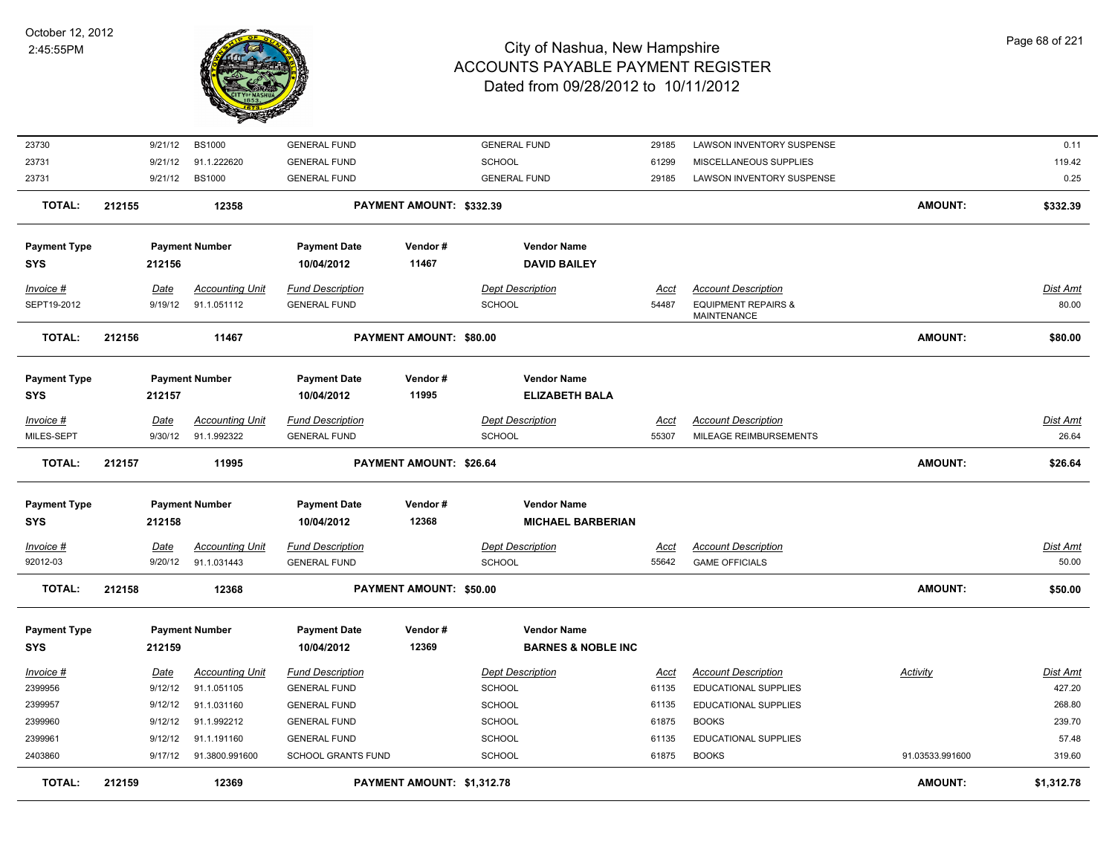

| <b>TOTAL:</b>       | 212159 |             | 12369                  |                           | PAYMENT AMOUNT: \$1,312.78     |                               |             |                                                      | <b>AMOUNT:</b>  | \$1,312.78      |
|---------------------|--------|-------------|------------------------|---------------------------|--------------------------------|-------------------------------|-------------|------------------------------------------------------|-----------------|-----------------|
| 2403860             |        | 9/17/12     | 91.3800.991600         | <b>SCHOOL GRANTS FUND</b> |                                | SCHOOL                        | 61875       | <b>BOOKS</b>                                         | 91.03533.991600 | 319.60          |
| 2399961             |        | 9/12/12     | 91.1.191160            | <b>GENERAL FUND</b>       |                                | <b>SCHOOL</b>                 | 61135       | EDUCATIONAL SUPPLIES                                 |                 | 57.48           |
| 2399960             |        | 9/12/12     | 91.1.992212            | <b>GENERAL FUND</b>       |                                | <b>SCHOOL</b>                 | 61875       | <b>BOOKS</b>                                         |                 | 239.70          |
| 2399957             |        | 9/12/12     | 91.1.031160            | <b>GENERAL FUND</b>       |                                | <b>SCHOOL</b>                 | 61135       | EDUCATIONAL SUPPLIES                                 |                 | 268.80          |
| 2399956             |        | 9/12/12     | 91.1.051105            | <b>GENERAL FUND</b>       |                                | SCHOOL                        | 61135       | EDUCATIONAL SUPPLIES                                 |                 | 427.20          |
| <u>Invoice #</u>    |        | <u>Date</u> | <b>Accounting Unit</b> | <b>Fund Description</b>   |                                | <b>Dept Description</b>       | <u>Acct</u> | <b>Account Description</b>                           | <b>Activity</b> | Dist Amt        |
| SYS                 |        | 212159      |                        | 10/04/2012                | 12369                          | <b>BARNES &amp; NOBLE INC</b> |             |                                                      |                 |                 |
| <b>Payment Type</b> |        |             | <b>Payment Number</b>  | <b>Payment Date</b>       | Vendor#                        | <b>Vendor Name</b>            |             |                                                      |                 |                 |
| <b>TOTAL:</b>       | 212158 |             | 12368                  |                           | <b>PAYMENT AMOUNT: \$50.00</b> |                               |             |                                                      | <b>AMOUNT:</b>  | \$50.00         |
| 92012-03            |        | 9/20/12     | 91.1.031443            | <b>GENERAL FUND</b>       |                                | <b>SCHOOL</b>                 | 55642       | <b>GAME OFFICIALS</b>                                |                 | 50.00           |
| Invoice #           |        | Date        | <b>Accounting Unit</b> | <b>Fund Description</b>   |                                | <b>Dept Description</b>       | Acct        | <b>Account Description</b>                           |                 | <b>Dist Amt</b> |
| <b>SYS</b>          |        | 212158      |                        | 10/04/2012                | 12368                          | <b>MICHAEL BARBERIAN</b>      |             |                                                      |                 |                 |
| <b>Payment Type</b> |        |             | <b>Payment Number</b>  | <b>Payment Date</b>       | Vendor#                        | <b>Vendor Name</b>            |             |                                                      |                 |                 |
| <b>TOTAL:</b>       | 212157 |             | 11995                  |                           | PAYMENT AMOUNT: \$26.64        |                               |             |                                                      | <b>AMOUNT:</b>  | \$26.64         |
| MILES-SEPT          |        | 9/30/12     | 91.1.992322            | <b>GENERAL FUND</b>       |                                | SCHOOL                        | 55307       | MILEAGE REIMBURSEMENTS                               |                 | 26.64           |
| <b>Invoice #</b>    |        | <b>Date</b> | <b>Accounting Unit</b> | <b>Fund Description</b>   |                                | <b>Dept Description</b>       | <b>Acct</b> | <b>Account Description</b>                           |                 | <b>Dist Amt</b> |
| SYS                 |        | 212157      |                        | 10/04/2012                | 11995                          | <b>ELIZABETH BALA</b>         |             |                                                      |                 |                 |
| <b>Payment Type</b> |        |             | <b>Payment Number</b>  | <b>Payment Date</b>       | Vendor#                        | <b>Vendor Name</b>            |             |                                                      |                 |                 |
| <b>TOTAL:</b>       | 212156 |             | 11467                  |                           | <b>PAYMENT AMOUNT: \$80.00</b> |                               |             |                                                      | <b>AMOUNT:</b>  | \$80.00         |
| SEPT19-2012         |        | 9/19/12     | 91.1.051112            | <b>GENERAL FUND</b>       |                                | SCHOOL                        | 54487       | <b>EQUIPMENT REPAIRS &amp;</b><br><b>MAINTENANCE</b> |                 | 80.00           |
| <b>Invoice #</b>    |        | <u>Date</u> | <b>Accounting Unit</b> | <b>Fund Description</b>   |                                | <b>Dept Description</b>       | <u>Acct</u> | <b>Account Description</b>                           |                 | <b>Dist Amt</b> |
| SYS                 |        | 212156      |                        | 10/04/2012                | 11467                          | <b>DAVID BAILEY</b>           |             |                                                      |                 |                 |
| <b>Payment Type</b> |        |             | <b>Payment Number</b>  | <b>Payment Date</b>       | Vendor#                        | <b>Vendor Name</b>            |             |                                                      |                 |                 |
| <b>TOTAL:</b>       | 212155 |             | 12358                  |                           | PAYMENT AMOUNT: \$332.39       |                               |             |                                                      | <b>AMOUNT:</b>  | \$332.39        |
| 23731               |        | 9/21/12     | <b>BS1000</b>          | <b>GENERAL FUND</b>       |                                | <b>GENERAL FUND</b>           | 29185       | LAWSON INVENTORY SUSPENSE                            |                 | 0.25            |
| 23731               |        | 9/21/12     | 91.1.222620            | <b>GENERAL FUND</b>       |                                | SCHOOL                        | 61299       | MISCELLANEOUS SUPPLIES                               |                 | 119.42          |
| 23730               |        | 9/21/12     | <b>BS1000</b>          | <b>GENERAL FUND</b>       |                                | <b>GENERAL FUND</b>           | 29185       | LAWSON INVENTORY SUSPENSE                            |                 | 0.11            |
|                     |        |             |                        |                           |                                |                               |             |                                                      |                 |                 |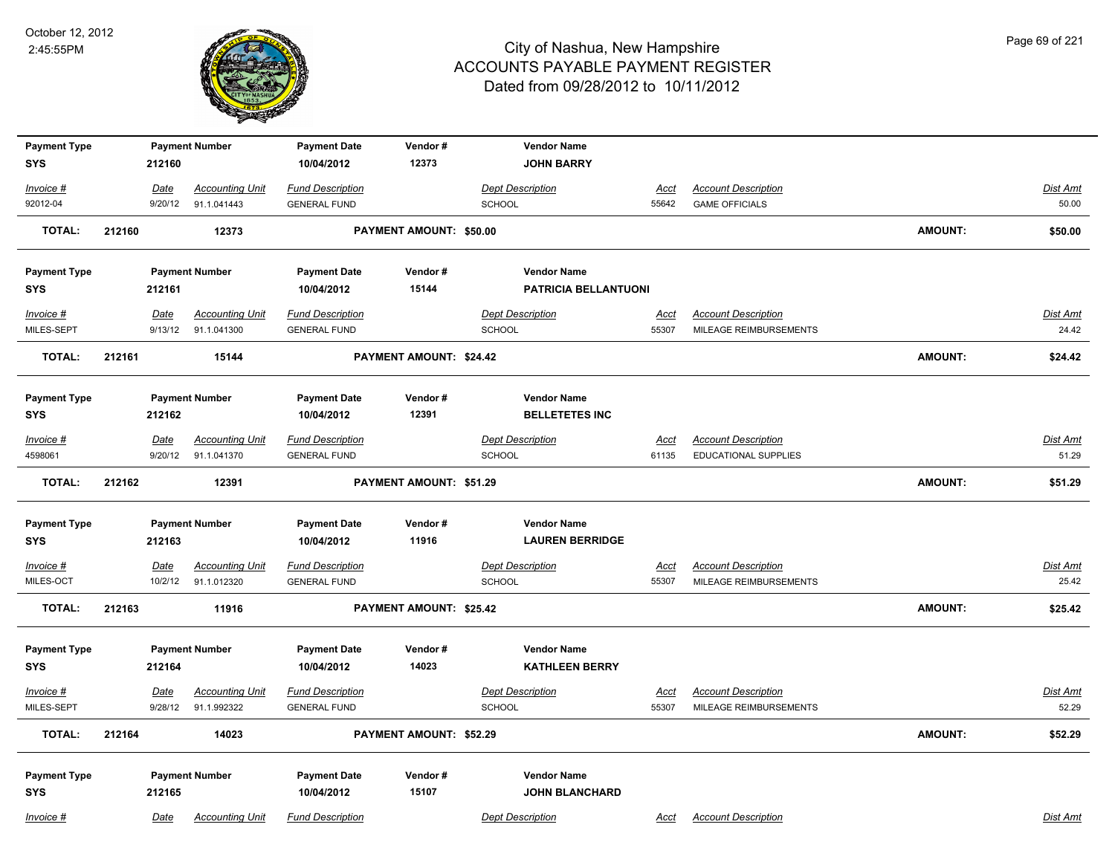

| <b>Payment Type</b><br><b>SYS</b> |        |                 | <b>Payment Number</b>                 | <b>Payment Date</b><br>10/04/2012 | Vendor#<br>12373        | <b>Vendor Name</b><br><b>JOHN BARRY</b> |                      |                                                      |                |                   |
|-----------------------------------|--------|-----------------|---------------------------------------|-----------------------------------|-------------------------|-----------------------------------------|----------------------|------------------------------------------------------|----------------|-------------------|
|                                   |        | 212160          |                                       |                                   |                         |                                         |                      |                                                      |                |                   |
| Invoice #                         |        | Date            | <b>Accounting Unit</b>                | <b>Fund Description</b>           |                         | <b>Dept Description</b>                 | <u>Acct</u>          | <b>Account Description</b>                           |                | Dist Amt          |
| 92012-04                          |        | 9/20/12         | 91.1.041443                           | <b>GENERAL FUND</b>               |                         | <b>SCHOOL</b>                           | 55642                | <b>GAME OFFICIALS</b>                                |                | 50.00             |
| <b>TOTAL:</b>                     | 212160 |                 | 12373                                 |                                   | PAYMENT AMOUNT: \$50.00 |                                         |                      |                                                      | <b>AMOUNT:</b> | \$50.00           |
| <b>Payment Type</b>               |        |                 | <b>Payment Number</b>                 | <b>Payment Date</b>               | Vendor#                 | <b>Vendor Name</b>                      |                      |                                                      |                |                   |
| <b>SYS</b>                        |        | 212161          |                                       | 10/04/2012                        | 15144                   | <b>PATRICIA BELLANTUONI</b>             |                      |                                                      |                |                   |
| Invoice #                         |        | <u>Date</u>     | <b>Accounting Unit</b>                | <b>Fund Description</b>           |                         | <b>Dept Description</b>                 | <u>Acct</u>          | <b>Account Description</b>                           |                | <b>Dist Amt</b>   |
| MILES-SEPT                        |        | 9/13/12         | 91.1.041300                           | <b>GENERAL FUND</b>               |                         | <b>SCHOOL</b>                           | 55307                | MILEAGE REIMBURSEMENTS                               |                | 24.42             |
| <b>TOTAL:</b>                     | 212161 |                 | 15144                                 |                                   | PAYMENT AMOUNT: \$24.42 |                                         |                      |                                                      | <b>AMOUNT:</b> | \$24.42           |
| <b>Payment Type</b>               |        |                 | <b>Payment Number</b>                 | <b>Payment Date</b>               | Vendor#                 | <b>Vendor Name</b>                      |                      |                                                      |                |                   |
| <b>SYS</b>                        |        | 212162          |                                       | 10/04/2012                        | 12391                   | <b>BELLETETES INC</b>                   |                      |                                                      |                |                   |
| Invoice #                         |        | Date            | <b>Accounting Unit</b>                | <b>Fund Description</b>           |                         | <b>Dept Description</b>                 | <b>Acct</b>          | <b>Account Description</b>                           |                | <b>Dist Amt</b>   |
| 4598061                           |        | 9/20/12         | 91.1.041370                           | <b>GENERAL FUND</b>               |                         | <b>SCHOOL</b>                           | 61135                | EDUCATIONAL SUPPLIES                                 |                | 51.29             |
| <b>TOTAL:</b>                     | 212162 |                 | 12391                                 |                                   | PAYMENT AMOUNT: \$51.29 |                                         |                      |                                                      | <b>AMOUNT:</b> | \$51.29           |
| <b>Payment Type</b>               |        |                 | <b>Payment Number</b>                 | <b>Payment Date</b>               | Vendor#                 | <b>Vendor Name</b>                      |                      |                                                      |                |                   |
| <b>SYS</b>                        |        | 212163          |                                       | 10/04/2012                        | 11916                   | <b>LAUREN BERRIDGE</b>                  |                      |                                                      |                |                   |
| Invoice #                         |        | <u>Date</u>     | <b>Accounting Unit</b>                | <b>Fund Description</b>           |                         | <b>Dept Description</b>                 | <u>Acct</u>          | <b>Account Description</b>                           |                | <b>Dist Amt</b>   |
| MILES-OCT                         |        | 10/2/12         | 91.1.012320                           | <b>GENERAL FUND</b>               |                         | SCHOOL                                  | 55307                | MILEAGE REIMBURSEMENTS                               |                | 25.42             |
| <b>TOTAL:</b>                     | 212163 |                 | 11916                                 |                                   | PAYMENT AMOUNT: \$25.42 |                                         |                      |                                                      | AMOUNT:        | \$25.42           |
| <b>Payment Type</b>               |        |                 | <b>Payment Number</b>                 | <b>Payment Date</b>               | Vendor#                 | <b>Vendor Name</b>                      |                      |                                                      |                |                   |
| <b>SYS</b>                        |        | 212164          |                                       | 10/04/2012                        | 14023                   | <b>KATHLEEN BERRY</b>                   |                      |                                                      |                |                   |
| Invoice #<br>MILES-SEPT           |        | Date<br>9/28/12 | <b>Accounting Unit</b><br>91.1.992322 | <b>Fund Description</b>           |                         | <b>Dept Description</b><br>SCHOOL       | <u>Acct</u><br>55307 | <b>Account Description</b><br>MILEAGE REIMBURSEMENTS |                | Dist Amt<br>52.29 |
|                                   |        |                 |                                       | <b>GENERAL FUND</b>               |                         |                                         |                      |                                                      |                |                   |
| TOTAL:                            | 212164 |                 | 14023                                 |                                   | PAYMENT AMOUNT: \$52.29 |                                         |                      |                                                      | AMOUNT:        | \$52.29           |
| <b>Payment Type</b>               |        |                 | <b>Payment Number</b>                 | <b>Payment Date</b>               | Vendor#                 | <b>Vendor Name</b>                      |                      |                                                      |                |                   |
| <b>SYS</b>                        |        | 212165          |                                       | 10/04/2012                        | 15107                   | <b>JOHN BLANCHARD</b>                   |                      |                                                      |                |                   |
| Invoice #                         |        | Date            | <b>Accounting Unit</b>                | <b>Fund Description</b>           |                         | <b>Dept Description</b>                 | Acct                 | <b>Account Description</b>                           |                | Dist Amt          |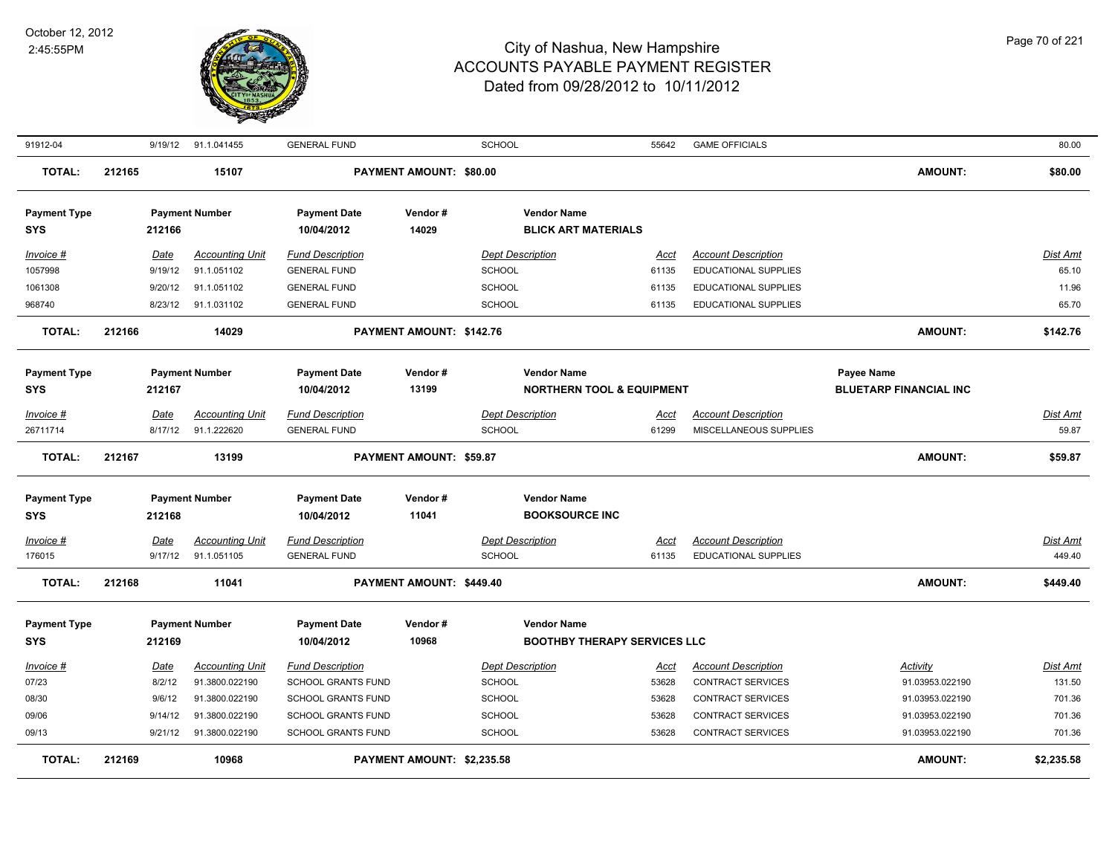

| 91912-04                                                   |        |                                                | 9/19/12 91.1.041455                                                                            | <b>GENERAL FUND</b>                                                                                             |                                | <b>SCHOOL</b>                                                                               | 55642                                           | <b>GAME OFFICIALS</b>                                                                                                        |                                                                                             | 80.00                                                   |
|------------------------------------------------------------|--------|------------------------------------------------|------------------------------------------------------------------------------------------------|-----------------------------------------------------------------------------------------------------------------|--------------------------------|---------------------------------------------------------------------------------------------|-------------------------------------------------|------------------------------------------------------------------------------------------------------------------------------|---------------------------------------------------------------------------------------------|---------------------------------------------------------|
| <b>TOTAL:</b>                                              | 212165 |                                                | 15107                                                                                          |                                                                                                                 | PAYMENT AMOUNT: \$80.00        |                                                                                             |                                                 |                                                                                                                              | <b>AMOUNT:</b>                                                                              | \$80.00                                                 |
| <b>Payment Type</b><br><b>SYS</b>                          |        | 212166                                         | <b>Payment Number</b>                                                                          | <b>Payment Date</b><br>10/04/2012                                                                               | Vendor#<br>14029               | <b>Vendor Name</b><br><b>BLICK ART MATERIALS</b>                                            |                                                 |                                                                                                                              |                                                                                             |                                                         |
| Invoice #<br>1057998<br>1061308<br>968740                  |        | Date<br>9/19/12<br>9/20/12<br>8/23/12          | <b>Accounting Unit</b><br>91.1.051102<br>91.1.051102<br>91.1.031102                            | <b>Fund Description</b><br><b>GENERAL FUND</b><br><b>GENERAL FUND</b><br><b>GENERAL FUND</b>                    |                                | <b>Dept Description</b><br><b>SCHOOL</b><br><b>SCHOOL</b><br><b>SCHOOL</b>                  | Acct<br>61135<br>61135<br>61135                 | <b>Account Description</b><br>EDUCATIONAL SUPPLIES<br>EDUCATIONAL SUPPLIES<br>EDUCATIONAL SUPPLIES                           |                                                                                             | Dist Amt<br>65.10<br>11.96<br>65.70                     |
| <b>TOTAL:</b>                                              | 212166 |                                                | 14029                                                                                          |                                                                                                                 | PAYMENT AMOUNT: \$142.76       |                                                                                             |                                                 |                                                                                                                              | <b>AMOUNT:</b>                                                                              | \$142.76                                                |
| <b>Payment Type</b><br><b>SYS</b>                          |        | 212167                                         | <b>Payment Number</b>                                                                          | <b>Payment Date</b><br>10/04/2012                                                                               | Vendor#<br>13199               | <b>Vendor Name</b>                                                                          | <b>NORTHERN TOOL &amp; EQUIPMENT</b>            |                                                                                                                              | <b>Payee Name</b><br><b>BLUETARP FINANCIAL INC</b>                                          |                                                         |
| Invoice #<br>26711714                                      |        | <u>Date</u><br>8/17/12                         | <b>Accounting Unit</b><br>91.1.222620                                                          | <b>Fund Description</b><br><b>GENERAL FUND</b>                                                                  |                                | <b>Dept Description</b><br>SCHOOL                                                           | <u>Acct</u><br>61299                            | <b>Account Description</b><br>MISCELLANEOUS SUPPLIES                                                                         |                                                                                             | <u>Dist Amt</u><br>59.87                                |
| <b>TOTAL:</b>                                              | 212167 |                                                | 13199                                                                                          |                                                                                                                 | <b>PAYMENT AMOUNT: \$59.87</b> |                                                                                             |                                                 |                                                                                                                              | <b>AMOUNT:</b>                                                                              | \$59.87                                                 |
| <b>Payment Type</b><br><b>SYS</b><br>$Invoice$ #<br>176015 |        | 212168<br><b>Date</b><br>9/17/12               | <b>Payment Number</b><br><b>Accounting Unit</b><br>91.1.051105                                 | <b>Payment Date</b><br>10/04/2012<br><b>Fund Description</b><br><b>GENERAL FUND</b>                             | Vendor#<br>11041               | <b>Vendor Name</b><br><b>BOOKSOURCE INC</b><br><b>Dept Description</b><br><b>SCHOOL</b>     | <u>Acct</u><br>61135                            | <b>Account Description</b><br><b>EDUCATIONAL SUPPLIES</b>                                                                    |                                                                                             | <b>Dist Amt</b><br>449.40                               |
| <b>TOTAL:</b>                                              | 212168 |                                                | 11041                                                                                          |                                                                                                                 | PAYMENT AMOUNT: \$449.40       |                                                                                             |                                                 |                                                                                                                              | <b>AMOUNT:</b>                                                                              | \$449.40                                                |
| <b>Payment Type</b><br><b>SYS</b>                          |        | 212169                                         | <b>Payment Number</b>                                                                          | <b>Payment Date</b><br>10/04/2012                                                                               | Vendor#<br>10968               | <b>Vendor Name</b>                                                                          | <b>BOOTHBY THERAPY SERVICES LLC</b>             |                                                                                                                              |                                                                                             |                                                         |
| Invoice #<br>07/23<br>08/30<br>09/06<br>09/13              |        | Date<br>8/2/12<br>9/6/12<br>9/14/12<br>9/21/12 | <b>Accounting Unit</b><br>91.3800.022190<br>91.3800.022190<br>91.3800.022190<br>91.3800.022190 | <b>Fund Description</b><br>SCHOOL GRANTS FUND<br>SCHOOL GRANTS FUND<br>SCHOOL GRANTS FUND<br>SCHOOL GRANTS FUND |                                | <b>Dept Description</b><br><b>SCHOOL</b><br><b>SCHOOL</b><br><b>SCHOOL</b><br><b>SCHOOL</b> | <u>Acct</u><br>53628<br>53628<br>53628<br>53628 | <b>Account Description</b><br>CONTRACT SERVICES<br>CONTRACT SERVICES<br><b>CONTRACT SERVICES</b><br><b>CONTRACT SERVICES</b> | <b>Activity</b><br>91.03953.022190<br>91.03953.022190<br>91.03953.022190<br>91.03953.022190 | <u>Dist Amt</u><br>131.50<br>701.36<br>701.36<br>701.36 |
| <b>TOTAL:</b>                                              | 212169 |                                                | 10968                                                                                          |                                                                                                                 | PAYMENT AMOUNT: \$2,235.58     |                                                                                             |                                                 |                                                                                                                              | <b>AMOUNT:</b>                                                                              | \$2,235.58                                              |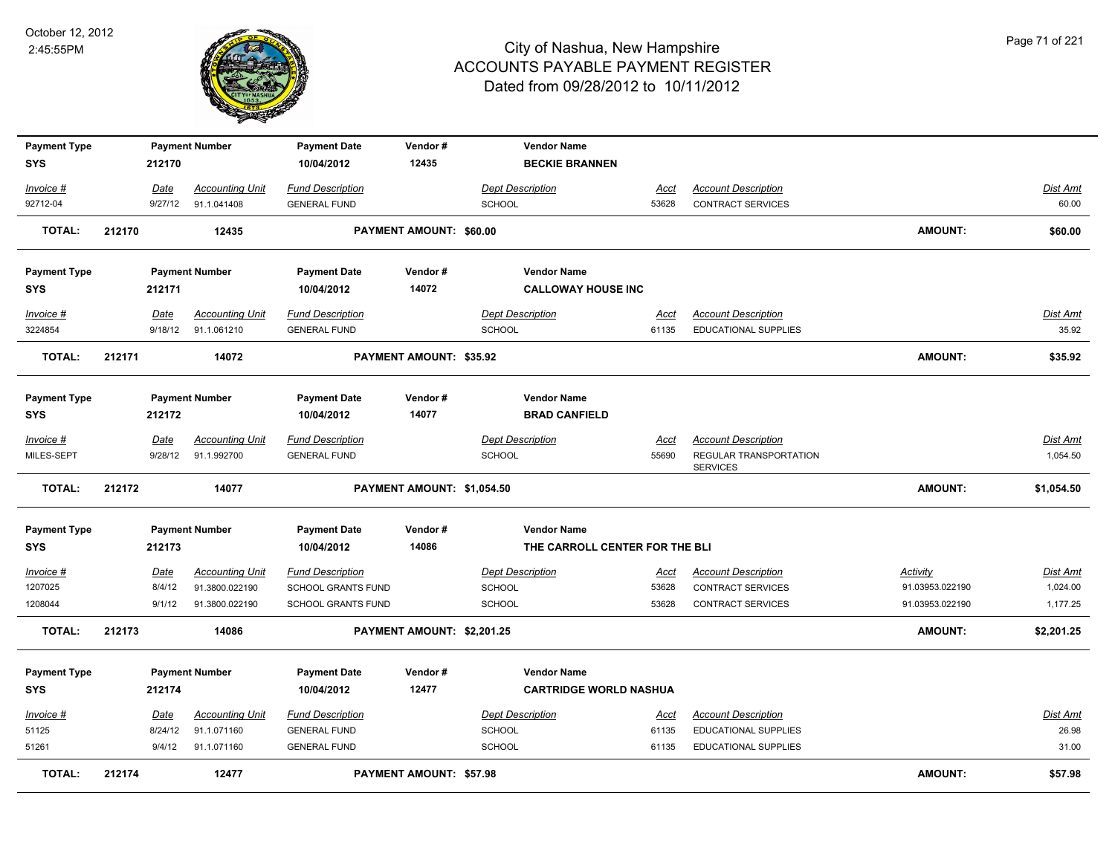

| <b>Payment Type</b>  |        |                   | <b>Payment Number</b>                    | <b>Payment Date</b>                                  | Vendor#                        |                                          | <b>Vendor Name</b>             |                      |                                                           |                                    |                      |
|----------------------|--------|-------------------|------------------------------------------|------------------------------------------------------|--------------------------------|------------------------------------------|--------------------------------|----------------------|-----------------------------------------------------------|------------------------------------|----------------------|
| <b>SYS</b>           |        | 212170            |                                          | 10/04/2012                                           | 12435                          |                                          | <b>BECKIE BRANNEN</b>          |                      |                                                           |                                    |                      |
| Invoice #            |        | Date              | <b>Accounting Unit</b>                   | <b>Fund Description</b>                              |                                | <b>Dept Description</b>                  |                                | Acct                 | <b>Account Description</b>                                |                                    | Dist Amt             |
| 92712-04             |        | 9/27/12           | 91.1.041408                              | <b>GENERAL FUND</b>                                  |                                | <b>SCHOOL</b>                            |                                | 53628                | CONTRACT SERVICES                                         |                                    | 60.00                |
| <b>TOTAL:</b>        | 212170 |                   | 12435                                    |                                                      | PAYMENT AMOUNT: \$60.00        |                                          |                                |                      |                                                           | AMOUNT:                            | \$60.00              |
|                      |        |                   |                                          |                                                      |                                |                                          |                                |                      |                                                           |                                    |                      |
| <b>Payment Type</b>  |        |                   | <b>Payment Number</b>                    | <b>Payment Date</b>                                  | Vendor#                        |                                          | <b>Vendor Name</b>             |                      |                                                           |                                    |                      |
| <b>SYS</b>           |        | 212171            |                                          | 10/04/2012                                           | 14072                          |                                          | <b>CALLOWAY HOUSE INC</b>      |                      |                                                           |                                    |                      |
| Invoice #            |        | Date              | <b>Accounting Unit</b>                   | <b>Fund Description</b>                              |                                | <b>Dept Description</b>                  |                                | Acct                 | <b>Account Description</b>                                |                                    | <b>Dist Amt</b>      |
| 3224854              |        | 9/18/12           | 91.1.061210                              | <b>GENERAL FUND</b>                                  |                                | <b>SCHOOL</b>                            |                                | 61135                | <b>EDUCATIONAL SUPPLIES</b>                               |                                    | 35.92                |
| <b>TOTAL:</b>        | 212171 |                   | 14072                                    |                                                      | PAYMENT AMOUNT: \$35.92        |                                          |                                |                      |                                                           | <b>AMOUNT:</b>                     | \$35.92              |
|                      |        |                   |                                          |                                                      |                                |                                          |                                |                      |                                                           |                                    |                      |
| <b>Payment Type</b>  |        |                   | <b>Payment Number</b>                    | <b>Payment Date</b>                                  | Vendor#                        |                                          | <b>Vendor Name</b>             |                      |                                                           |                                    |                      |
| <b>SYS</b>           |        | 212172            |                                          | 10/04/2012                                           | 14077                          |                                          | <b>BRAD CANFIELD</b>           |                      |                                                           |                                    |                      |
| Invoice #            |        | Date              | <b>Accounting Unit</b>                   | <b>Fund Description</b>                              |                                | <b>Dept Description</b>                  |                                | Acct                 | <b>Account Description</b>                                |                                    | Dist Amt             |
| MILES-SEPT           |        | 9/28/12           | 91.1.992700                              | <b>GENERAL FUND</b>                                  |                                | <b>SCHOOL</b>                            |                                | 55690                | REGULAR TRANSPORTATION                                    |                                    | 1,054.50             |
|                      |        |                   |                                          |                                                      |                                |                                          |                                |                      | <b>SERVICES</b>                                           |                                    |                      |
| <b>TOTAL:</b>        | 212172 |                   | 14077                                    |                                                      | PAYMENT AMOUNT: \$1,054.50     |                                          |                                |                      |                                                           | <b>AMOUNT:</b>                     | \$1,054.50           |
| <b>Payment Type</b>  |        |                   | <b>Payment Number</b>                    | <b>Payment Date</b>                                  | Vendor#                        |                                          | <b>Vendor Name</b>             |                      |                                                           |                                    |                      |
| <b>SYS</b>           |        | 212173            |                                          | 10/04/2012                                           | 14086                          |                                          | THE CARROLL CENTER FOR THE BLI |                      |                                                           |                                    |                      |
|                      |        |                   |                                          |                                                      |                                |                                          |                                |                      |                                                           |                                    |                      |
| Invoice #<br>1207025 |        | Date<br>8/4/12    | <b>Accounting Unit</b><br>91.3800.022190 | <b>Fund Description</b><br><b>SCHOOL GRANTS FUND</b> |                                | <b>Dept Description</b><br><b>SCHOOL</b> |                                | <u>Acct</u><br>53628 | <b>Account Description</b><br><b>CONTRACT SERVICES</b>    | <b>Activity</b><br>91.03953.022190 | Dist Amt<br>1,024.00 |
| 1208044              |        | 9/1/12            | 91.3800.022190                           | SCHOOL GRANTS FUND                                   |                                | SCHOOL                                   |                                | 53628                | CONTRACT SERVICES                                         | 91.03953.022190                    | 1,177.25             |
|                      |        |                   |                                          |                                                      |                                |                                          |                                |                      |                                                           |                                    |                      |
| <b>TOTAL:</b>        | 212173 |                   | 14086                                    |                                                      | PAYMENT AMOUNT: \$2,201.25     |                                          |                                |                      |                                                           | AMOUNT:                            | \$2,201.25           |
| <b>Payment Type</b>  |        |                   | <b>Payment Number</b>                    | <b>Payment Date</b>                                  | Vendor#                        |                                          | <b>Vendor Name</b>             |                      |                                                           |                                    |                      |
| <b>SYS</b>           |        | 212174            |                                          | 10/04/2012                                           | 12477                          |                                          | <b>CARTRIDGE WORLD NASHUA</b>  |                      |                                                           |                                    |                      |
|                      |        |                   |                                          |                                                      |                                |                                          |                                |                      |                                                           |                                    |                      |
| Invoice #<br>51125   |        | <b>Date</b>       | <b>Accounting Unit</b><br>91.1.071160    | <b>Fund Description</b><br><b>GENERAL FUND</b>       |                                | <b>Dept Description</b><br>SCHOOL        |                                | <u>Acct</u><br>61135 | <b>Account Description</b><br><b>EDUCATIONAL SUPPLIES</b> |                                    | Dist Amt<br>26.98    |
| 51261                |        | 8/24/12<br>9/4/12 | 91.1.071160                              | <b>GENERAL FUND</b>                                  |                                | <b>SCHOOL</b>                            |                                | 61135                | <b>EDUCATIONAL SUPPLIES</b>                               |                                    | 31.00                |
|                      |        |                   |                                          |                                                      |                                |                                          |                                |                      |                                                           |                                    |                      |
| <b>TOTAL:</b>        | 212174 |                   | 12477                                    |                                                      | <b>PAYMENT AMOUNT: \$57.98</b> |                                          |                                |                      |                                                           | <b>AMOUNT:</b>                     | \$57.98              |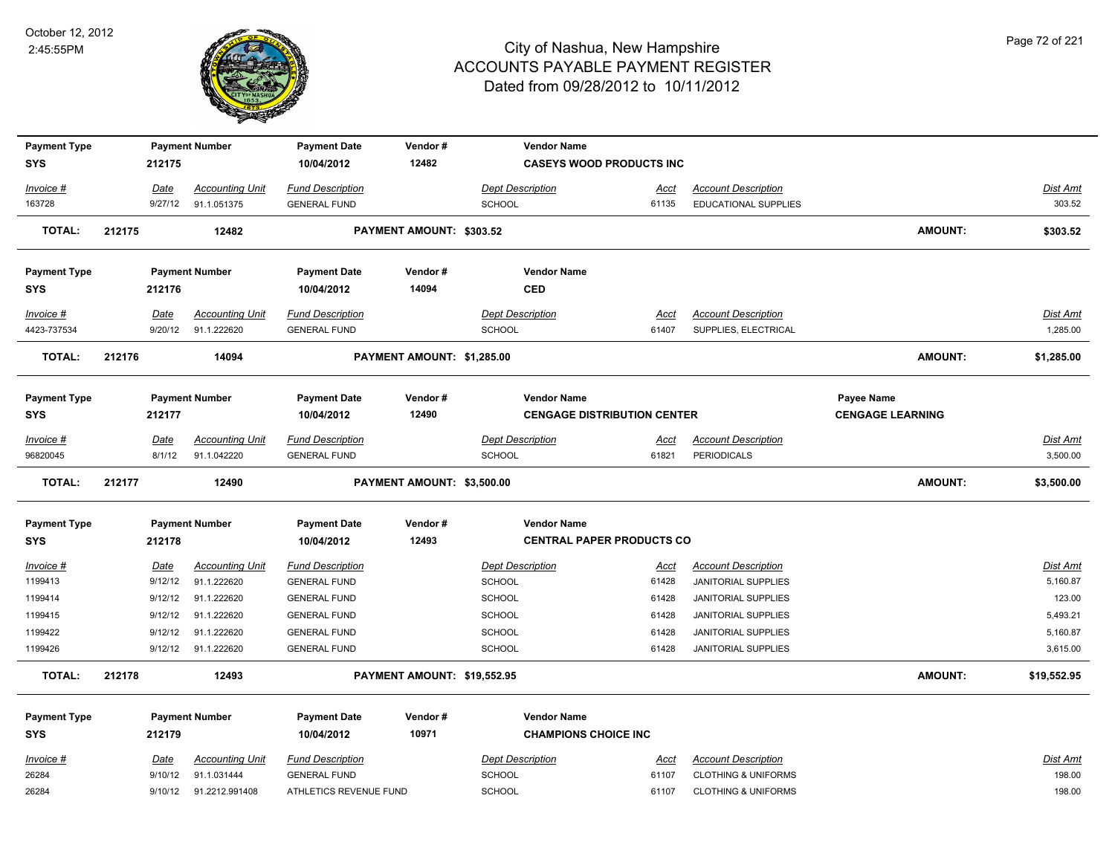

| <b>Payment Type</b>               |        |                 | <b>Payment Number</b>                 | <b>Payment Date</b>                            | Vendor#                     | <b>Vendor Name</b>                                |                      |                                                    |                         |                    |
|-----------------------------------|--------|-----------------|---------------------------------------|------------------------------------------------|-----------------------------|---------------------------------------------------|----------------------|----------------------------------------------------|-------------------------|--------------------|
| <b>SYS</b>                        |        | 212175          |                                       | 10/04/2012                                     | 12482                       | <b>CASEYS WOOD PRODUCTS INC</b>                   |                      |                                                    |                         |                    |
|                                   |        |                 |                                       | <b>Fund Description</b>                        |                             | Dept Description                                  |                      |                                                    |                         |                    |
| Invoice #<br>163728               |        | Date<br>9/27/12 | <b>Accounting Unit</b><br>91.1.051375 | <b>GENERAL FUND</b>                            |                             | <b>SCHOOL</b>                                     | <u>Acct</u><br>61135 | <b>Account Description</b><br>EDUCATIONAL SUPPLIES |                         | Dist Amt<br>303.52 |
|                                   |        |                 |                                       |                                                |                             |                                                   |                      |                                                    |                         |                    |
| <b>TOTAL:</b>                     | 212175 |                 | 12482                                 |                                                | PAYMENT AMOUNT: \$303.52    |                                                   |                      |                                                    | <b>AMOUNT:</b>          | \$303.52           |
| <b>Payment Type</b>               |        |                 | <b>Payment Number</b>                 | <b>Payment Date</b>                            | Vendor#                     | <b>Vendor Name</b>                                |                      |                                                    |                         |                    |
| <b>SYS</b>                        |        | 212176          |                                       | 10/04/2012                                     | 14094                       | <b>CED</b>                                        |                      |                                                    |                         |                    |
| Invoice #                         |        | Date            | <b>Accounting Unit</b>                | <b>Fund Description</b>                        |                             | <b>Dept Description</b>                           | Acct                 | <b>Account Description</b>                         |                         | <b>Dist Amt</b>    |
| 4423-737534                       |        | 9/20/12         | 91.1.222620                           | <b>GENERAL FUND</b>                            |                             | SCHOOL                                            | 61407                | SUPPLIES, ELECTRICAL                               |                         | 1,285.00           |
| TOTAL:                            | 212176 |                 | 14094                                 |                                                | PAYMENT AMOUNT: \$1,285.00  |                                                   |                      |                                                    | <b>AMOUNT:</b>          | \$1,285.00         |
|                                   |        |                 |                                       |                                                |                             |                                                   |                      |                                                    |                         |                    |
| <b>Payment Type</b>               |        |                 | <b>Payment Number</b>                 | <b>Payment Date</b>                            | Vendor#                     | <b>Vendor Name</b>                                |                      |                                                    | Payee Name              |                    |
| <b>SYS</b>                        |        | 212177          |                                       | 10/04/2012                                     | 12490                       | <b>CENGAGE DISTRIBUTION CENTER</b>                |                      |                                                    | <b>CENGAGE LEARNING</b> |                    |
| Invoice #                         |        | Date            | <b>Accounting Unit</b>                | <b>Fund Description</b>                        |                             | <b>Dept Description</b>                           | <u>Acct</u>          | <b>Account Description</b>                         |                         | <b>Dist Amt</b>    |
| 96820045                          |        | 8/1/12          | 91.1.042220                           | <b>GENERAL FUND</b>                            |                             | <b>SCHOOL</b>                                     | 61821                | <b>PERIODICALS</b>                                 |                         | 3,500.00           |
|                                   |        |                 |                                       |                                                |                             |                                                   |                      |                                                    |                         |                    |
| <b>TOTAL:</b>                     | 212177 |                 | 12490                                 |                                                | PAYMENT AMOUNT: \$3,500.00  |                                                   |                      |                                                    | AMOUNT:                 | \$3,500.00         |
|                                   |        |                 |                                       |                                                |                             | <b>Vendor Name</b>                                |                      |                                                    |                         |                    |
| <b>Payment Type</b><br><b>SYS</b> |        | 212178          | <b>Payment Number</b>                 | <b>Payment Date</b><br>10/04/2012              | Vendor#<br>12493            | <b>CENTRAL PAPER PRODUCTS CO</b>                  |                      |                                                    |                         |                    |
| <u>Invoice #</u>                  |        | <u>Date</u>     | <b>Accounting Unit</b>                | <b>Fund Description</b>                        |                             | <b>Dept Description</b>                           | <u>Acct</u>          | <b>Account Description</b>                         |                         | <b>Dist Amt</b>    |
| 1199413                           |        | 9/12/12         | 91.1.222620                           | <b>GENERAL FUND</b>                            |                             | <b>SCHOOL</b>                                     | 61428                | JANITORIAL SUPPLIES                                |                         | 5,160.87           |
| 1199414                           |        | 9/12/12         | 91.1.222620                           | <b>GENERAL FUND</b>                            |                             | SCHOOL                                            | 61428                | JANITORIAL SUPPLIES                                |                         | 123.00             |
| 1199415                           |        | 9/12/12         | 91.1.222620                           | <b>GENERAL FUND</b>                            |                             | SCHOOL                                            | 61428                | JANITORIAL SUPPLIES                                |                         | 5,493.21           |
| 1199422                           |        | 9/12/12         | 91.1.222620                           | <b>GENERAL FUND</b>                            |                             | <b>SCHOOL</b>                                     | 61428                | JANITORIAL SUPPLIES                                |                         | 5,160.87           |
| 1199426                           |        | 9/12/12         | 91.1.222620                           | <b>GENERAL FUND</b>                            |                             | <b>SCHOOL</b>                                     | 61428                | JANITORIAL SUPPLIES                                |                         | 3,615.00           |
| <b>TOTAL:</b>                     | 212178 |                 | 12493                                 |                                                | PAYMENT AMOUNT: \$19,552.95 |                                                   |                      |                                                    | <b>AMOUNT:</b>          | \$19,552.95        |
|                                   |        |                 |                                       |                                                |                             |                                                   |                      |                                                    |                         |                    |
| <b>Payment Type</b><br><b>SYS</b> |        | 212179          | <b>Payment Number</b>                 | <b>Payment Date</b><br>10/04/2012              | Vendor#<br>10971            | <b>Vendor Name</b><br><b>CHAMPIONS CHOICE INC</b> |                      |                                                    |                         |                    |
| Invoice #                         |        | Date            | <b>Accounting Unit</b>                |                                                |                             | <b>Dept Description</b>                           | Acct                 | <b>Account Description</b>                         |                         | Dist Amt           |
| 26284                             |        | 9/10/12         | 91.1.031444                           | <b>Fund Description</b><br><b>GENERAL FUND</b> |                             | <b>SCHOOL</b>                                     | 61107                | <b>CLOTHING &amp; UNIFORMS</b>                     |                         | 198.00             |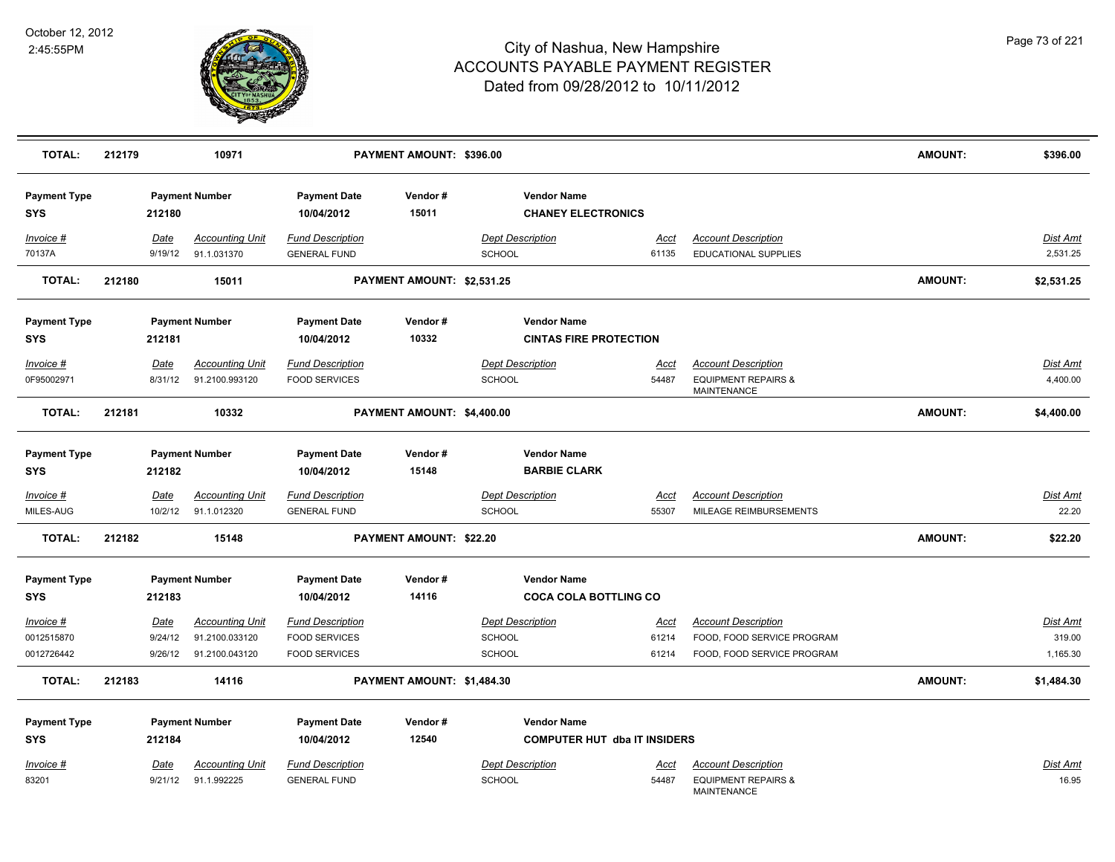

| <b>TOTAL:</b>                     | 212179 |                 | 10971                                    |                                                 | PAYMENT AMOUNT: \$396.00   |                                                 |                                     |                                                                             | <b>AMOUNT:</b> | \$396.00                    |
|-----------------------------------|--------|-----------------|------------------------------------------|-------------------------------------------------|----------------------------|-------------------------------------------------|-------------------------------------|-----------------------------------------------------------------------------|----------------|-----------------------------|
| <b>Payment Type</b><br><b>SYS</b> |        | 212180          | <b>Payment Number</b>                    | <b>Payment Date</b><br>10/04/2012               | Vendor#<br>15011           | <b>Vendor Name</b><br><b>CHANEY ELECTRONICS</b> |                                     |                                                                             |                |                             |
| Invoice #<br>70137A               |        | Date<br>9/19/12 | <b>Accounting Unit</b><br>91.1.031370    | <b>Fund Description</b><br><b>GENERAL FUND</b>  |                            | <b>Dept Description</b><br>SCHOOL               | Acct<br>61135                       | <b>Account Description</b><br>EDUCATIONAL SUPPLIES                          |                | Dist Amt<br>2,531.25        |
| <b>TOTAL:</b>                     | 212180 |                 | 15011                                    |                                                 | PAYMENT AMOUNT: \$2,531.25 |                                                 |                                     |                                                                             | <b>AMOUNT:</b> | \$2,531.25                  |
| <b>Payment Type</b>               |        |                 | <b>Payment Number</b>                    | <b>Payment Date</b>                             | Vendor#                    | <b>Vendor Name</b>                              |                                     |                                                                             |                |                             |
| <b>SYS</b>                        |        | 212181          |                                          | 10/04/2012                                      | 10332                      | <b>CINTAS FIRE PROTECTION</b>                   |                                     |                                                                             |                |                             |
| Invoice #<br>0F95002971           |        | Date<br>8/31/12 | <b>Accounting Unit</b><br>91.2100.993120 | <b>Fund Description</b><br><b>FOOD SERVICES</b> |                            | <b>Dept Description</b><br>SCHOOL               | <u>Acct</u><br>54487                | <b>Account Description</b><br><b>EQUIPMENT REPAIRS &amp;</b><br>MAINTENANCE |                | <b>Dist Amt</b><br>4,400.00 |
| <b>TOTAL:</b>                     | 212181 |                 | 10332                                    |                                                 | PAYMENT AMOUNT: \$4,400.00 |                                                 |                                     |                                                                             | <b>AMOUNT:</b> | \$4,400.00                  |
| <b>Payment Type</b><br><b>SYS</b> |        | 212182          | <b>Payment Number</b>                    | <b>Payment Date</b><br>10/04/2012               | Vendor#<br>15148           | <b>Vendor Name</b><br><b>BARBIE CLARK</b>       |                                     |                                                                             |                |                             |
| Invoice #                         |        | Date            | <b>Accounting Unit</b>                   | <b>Fund Description</b>                         |                            | <b>Dept Description</b>                         | Acct                                | <b>Account Description</b>                                                  |                | <b>Dist Amt</b>             |
| MILES-AUG                         |        | 10/2/12         | 91.1.012320                              | <b>GENERAL FUND</b>                             |                            | <b>SCHOOL</b>                                   | 55307                               | MILEAGE REIMBURSEMENTS                                                      |                | 22.20                       |
| <b>TOTAL:</b>                     | 212182 |                 | 15148                                    |                                                 | PAYMENT AMOUNT: \$22.20    |                                                 |                                     |                                                                             | <b>AMOUNT:</b> | \$22.20                     |
| <b>Payment Type</b>               |        |                 | <b>Payment Number</b>                    | <b>Payment Date</b>                             | Vendor#                    | <b>Vendor Name</b>                              |                                     |                                                                             |                |                             |
| <b>SYS</b>                        |        | 212183          |                                          | 10/04/2012                                      | 14116                      | <b>COCA COLA BOTTLING CO</b>                    |                                     |                                                                             |                |                             |
| $Invoice$ #                       |        | Date            | <b>Accounting Unit</b>                   | <b>Fund Description</b>                         |                            | <b>Dept Description</b>                         | <u>Acct</u>                         | <b>Account Description</b>                                                  |                | <b>Dist Amt</b>             |
| 0012515870                        |        | 9/24/12         | 91.2100.033120                           | <b>FOOD SERVICES</b>                            |                            | SCHOOL                                          | 61214                               | FOOD, FOOD SERVICE PROGRAM                                                  |                | 319.00                      |
| 0012726442                        |        | 9/26/12         | 91.2100.043120                           | <b>FOOD SERVICES</b>                            |                            | <b>SCHOOL</b>                                   | 61214                               | FOOD, FOOD SERVICE PROGRAM                                                  |                | 1,165.30                    |
| <b>TOTAL:</b>                     | 212183 |                 | 14116                                    |                                                 | PAYMENT AMOUNT: \$1,484.30 |                                                 |                                     |                                                                             | <b>AMOUNT:</b> | \$1,484.30                  |
| <b>Payment Type</b>               |        |                 | <b>Payment Number</b>                    | <b>Payment Date</b>                             | Vendor#                    | <b>Vendor Name</b>                              |                                     |                                                                             |                |                             |
| <b>SYS</b>                        |        | 212184          |                                          | 10/04/2012                                      | 12540                      |                                                 | <b>COMPUTER HUT dba IT INSIDERS</b> |                                                                             |                |                             |
| Invoice #                         |        | Date            | <b>Accounting Unit</b>                   | <b>Fund Description</b>                         |                            | <b>Dept Description</b>                         | Acct                                | <b>Account Description</b>                                                  |                | Dist Amt                    |
| 83201                             |        | 9/21/12         | 91.1.992225                              | <b>GENERAL FUND</b>                             |                            | SCHOOL                                          | 54487                               | <b>EQUIPMENT REPAIRS &amp;</b><br><b>MAINTENANCE</b>                        |                | 16.95                       |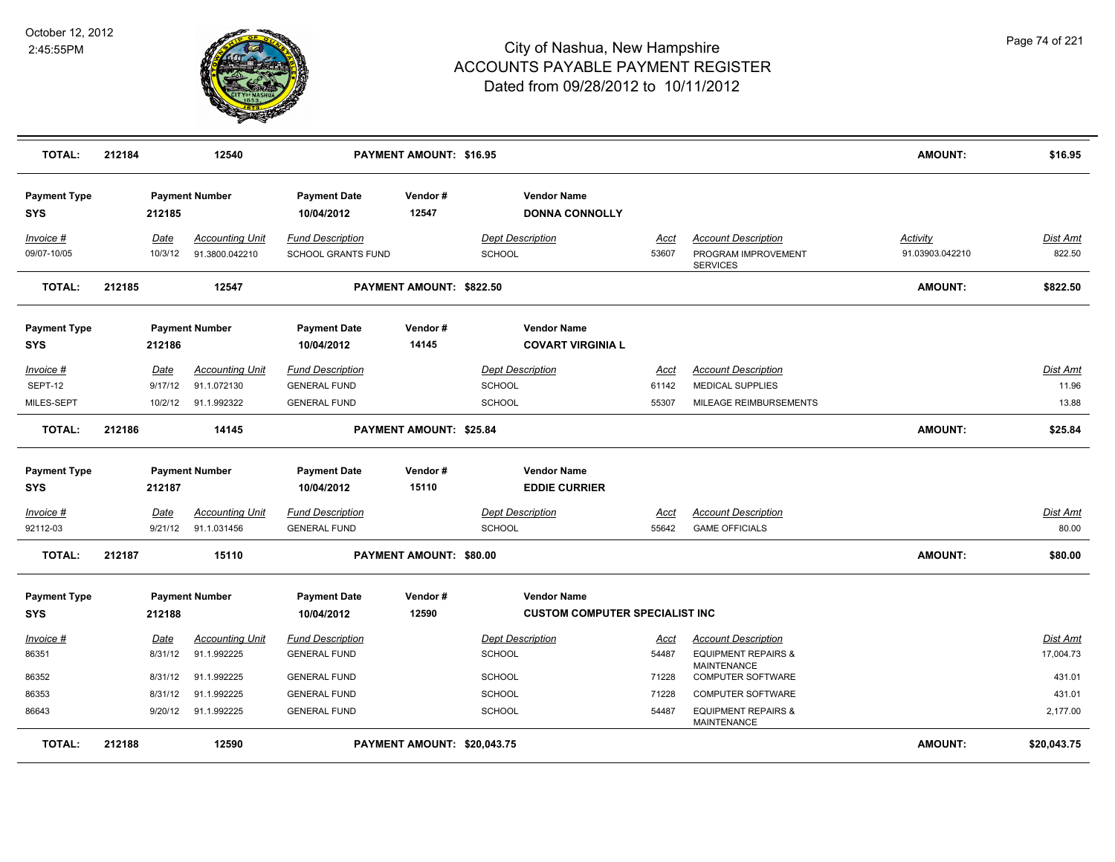

| <b>TOTAL:</b>                     | 212184  | 12540                  |                                   | <b>PAYMENT AMOUNT: \$16.95</b> |                                                |             |                                                | <b>AMOUNT:</b>  | \$16.95         |
|-----------------------------------|---------|------------------------|-----------------------------------|--------------------------------|------------------------------------------------|-------------|------------------------------------------------|-----------------|-----------------|
| <b>Payment Type</b><br><b>SYS</b> | 212185  | <b>Payment Number</b>  | <b>Payment Date</b><br>10/04/2012 | Vendor#<br>12547               | <b>Vendor Name</b><br><b>DONNA CONNOLLY</b>    |             |                                                |                 |                 |
| Invoice #                         | Date    | <b>Accounting Unit</b> | <b>Fund Description</b>           |                                | <b>Dept Description</b>                        | Acct        | <b>Account Description</b>                     | Activity        | <b>Dist Amt</b> |
| 09/07-10/05                       | 10/3/12 | 91.3800.042210         | <b>SCHOOL GRANTS FUND</b>         |                                | <b>SCHOOL</b>                                  | 53607       | PROGRAM IMPROVEMENT<br><b>SERVICES</b>         | 91.03903.042210 | 822.50          |
| <b>TOTAL:</b>                     | 212185  | 12547                  |                                   | PAYMENT AMOUNT: \$822.50       |                                                |             |                                                | <b>AMOUNT:</b>  | \$822.50        |
| <b>Payment Type</b><br><b>SYS</b> | 212186  | <b>Payment Number</b>  | <b>Payment Date</b><br>10/04/2012 | Vendor#<br>14145               | <b>Vendor Name</b><br><b>COVART VIRGINIA L</b> |             |                                                |                 |                 |
| Invoice #                         | Date    | <b>Accounting Unit</b> | <b>Fund Description</b>           |                                | <b>Dept Description</b>                        | <u>Acct</u> | <b>Account Description</b>                     |                 | <b>Dist Amt</b> |
| SEPT-12                           | 9/17/12 | 91.1.072130            | <b>GENERAL FUND</b>               |                                | <b>SCHOOL</b>                                  | 61142       | <b>MEDICAL SUPPLIES</b>                        |                 | 11.96           |
| MILES-SEPT                        | 10/2/12 | 91.1.992322            | <b>GENERAL FUND</b>               |                                | <b>SCHOOL</b>                                  | 55307       | MILEAGE REIMBURSEMENTS                         |                 | 13.88           |
| <b>TOTAL:</b>                     | 212186  | 14145                  |                                   | PAYMENT AMOUNT: \$25.84        |                                                |             |                                                | <b>AMOUNT:</b>  | \$25.84         |
| <b>Payment Type</b>               |         | <b>Payment Number</b>  | <b>Payment Date</b>               | Vendor#                        | <b>Vendor Name</b>                             |             |                                                |                 |                 |
| <b>SYS</b>                        | 212187  |                        | 10/04/2012                        | 15110                          | <b>EDDIE CURRIER</b>                           |             |                                                |                 |                 |
| Invoice #                         | Date    | <b>Accounting Unit</b> | <b>Fund Description</b>           |                                | <b>Dept Description</b>                        | Acct        | <b>Account Description</b>                     |                 | <b>Dist Amt</b> |
| 92112-03                          | 9/21/12 | 91.1.031456            | <b>GENERAL FUND</b>               |                                | <b>SCHOOL</b>                                  | 55642       | <b>GAME OFFICIALS</b>                          |                 | 80.00           |
| <b>TOTAL:</b>                     | 212187  | 15110                  |                                   | PAYMENT AMOUNT: \$80.00        |                                                |             |                                                | <b>AMOUNT:</b>  | \$80.00         |
| <b>Payment Type</b>               |         | <b>Payment Number</b>  | <b>Payment Date</b>               | Vendor#                        | <b>Vendor Name</b>                             |             |                                                |                 |                 |
| <b>SYS</b>                        | 212188  |                        | 10/04/2012                        | 12590                          | <b>CUSTOM COMPUTER SPECIALIST INC</b>          |             |                                                |                 |                 |
| <u>Invoice #</u>                  | Date    | <b>Accounting Unit</b> | <b>Fund Description</b>           |                                | <b>Dept Description</b>                        | <u>Acct</u> | <b>Account Description</b>                     |                 | <b>Dist Amt</b> |
| 86351                             | 8/31/12 | 91.1.992225            | <b>GENERAL FUND</b>               |                                | <b>SCHOOL</b>                                  | 54487       | <b>EQUIPMENT REPAIRS &amp;</b>                 |                 | 17,004.73       |
| 86352                             | 8/31/12 | 91.1.992225            | <b>GENERAL FUND</b>               |                                | SCHOOL                                         | 71228       | <b>MAINTENANCE</b><br><b>COMPUTER SOFTWARE</b> |                 | 431.01          |
| 86353                             | 8/31/12 | 91.1.992225            | <b>GENERAL FUND</b>               |                                | <b>SCHOOL</b>                                  | 71228       | <b>COMPUTER SOFTWARE</b>                       |                 | 431.01          |
| 86643                             | 9/20/12 | 91.1.992225            | <b>GENERAL FUND</b>               |                                | <b>SCHOOL</b>                                  | 54487       | <b>EQUIPMENT REPAIRS &amp;</b><br>MAINTENANCE  |                 | 2,177.00        |
| <b>TOTAL:</b>                     | 212188  | 12590                  |                                   | PAYMENT AMOUNT: \$20,043.75    |                                                |             |                                                | <b>AMOUNT:</b>  | \$20,043.75     |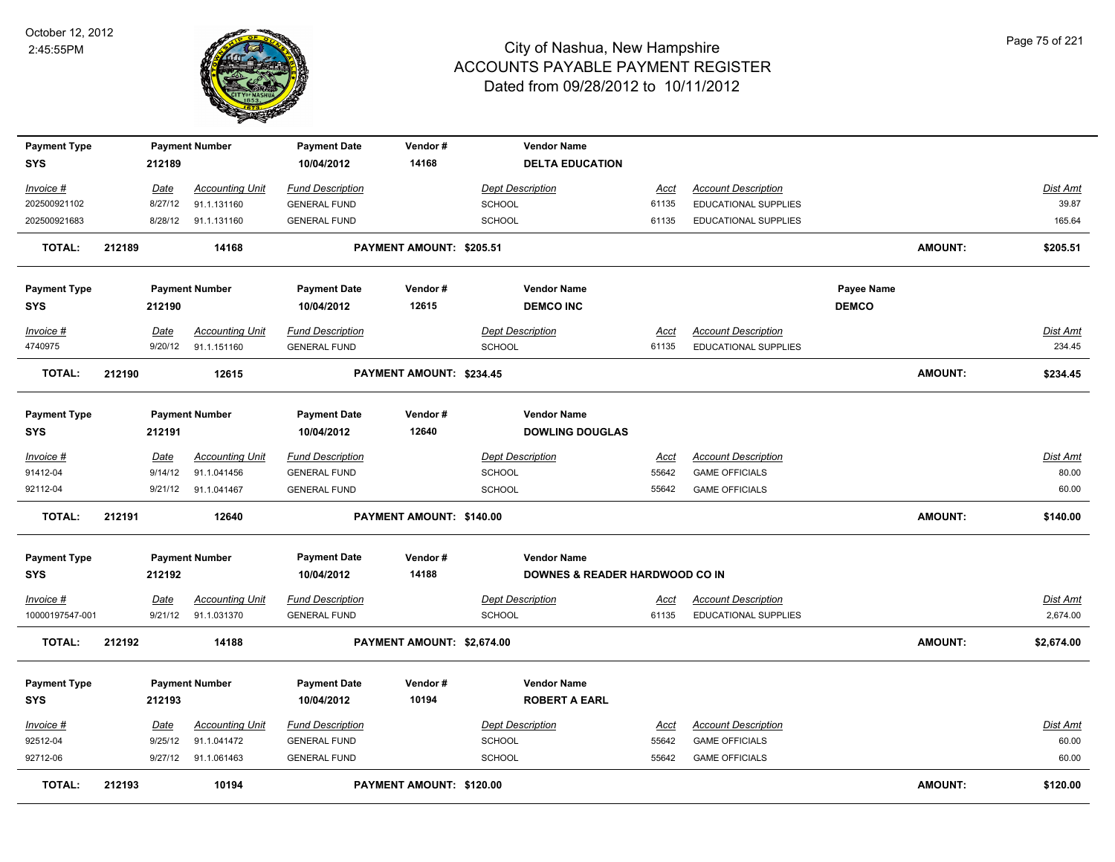

| <b>Payment Type</b><br>SYS |        | 212189          | <b>Payment Number</b>                 | <b>Payment Date</b><br>10/04/2012              | Vendor#<br>14168           | <b>Vendor Name</b><br><b>DELTA EDUCATION</b> |               |                                                           |                   |                |                    |
|----------------------------|--------|-----------------|---------------------------------------|------------------------------------------------|----------------------------|----------------------------------------------|---------------|-----------------------------------------------------------|-------------------|----------------|--------------------|
| Invoice #                  |        | Date            | <b>Accounting Unit</b>                | <b>Fund Description</b>                        |                            | <b>Dept Description</b>                      | <u>Acct</u>   | <b>Account Description</b>                                |                   |                | Dist Amt           |
| 202500921102               |        | 8/27/12         | 91.1.131160                           | <b>GENERAL FUND</b>                            |                            | <b>SCHOOL</b>                                | 61135         | <b>EDUCATIONAL SUPPLIES</b>                               |                   |                | 39.87              |
| 202500921683               |        |                 | 8/28/12 91.1.131160                   | <b>GENERAL FUND</b>                            |                            | SCHOOL                                       | 61135         | EDUCATIONAL SUPPLIES                                      |                   |                | 165.64             |
| <b>TOTAL:</b>              | 212189 |                 | 14168                                 |                                                | PAYMENT AMOUNT: \$205.51   |                                              |               |                                                           |                   | <b>AMOUNT:</b> | \$205.51           |
| <b>Payment Type</b>        |        |                 | <b>Payment Number</b>                 | <b>Payment Date</b>                            | Vendor#                    | <b>Vendor Name</b>                           |               |                                                           | <b>Payee Name</b> |                |                    |
| SYS                        |        | 212190          |                                       | 10/04/2012                                     | 12615                      | <b>DEMCO INC</b>                             |               |                                                           | <b>DEMCO</b>      |                |                    |
| Invoice #<br>4740975       |        | Date<br>9/20/12 | <b>Accounting Unit</b><br>91.1.151160 | <b>Fund Description</b><br><b>GENERAL FUND</b> |                            | <b>Dept Description</b><br><b>SCHOOL</b>     | Acct<br>61135 | <b>Account Description</b><br><b>EDUCATIONAL SUPPLIES</b> |                   |                | Dist Amt<br>234.45 |
| <b>TOTAL:</b>              | 212190 |                 | 12615                                 |                                                | PAYMENT AMOUNT: \$234.45   |                                              |               |                                                           |                   | <b>AMOUNT:</b> | \$234.45           |
| <b>Payment Type</b>        |        |                 | <b>Payment Number</b>                 | <b>Payment Date</b>                            | Vendor#                    | <b>Vendor Name</b>                           |               |                                                           |                   |                |                    |
| <b>SYS</b>                 |        | 212191          |                                       | 10/04/2012                                     | 12640                      | <b>DOWLING DOUGLAS</b>                       |               |                                                           |                   |                |                    |
| Invoice #                  |        | Date            | <b>Accounting Unit</b>                | <b>Fund Description</b>                        |                            | <b>Dept Description</b>                      | Acct          | <b>Account Description</b>                                |                   |                | Dist Amt           |
| 91412-04                   |        | 9/14/12         | 91.1.041456                           | <b>GENERAL FUND</b>                            |                            | <b>SCHOOL</b>                                | 55642         | <b>GAME OFFICIALS</b>                                     |                   |                | 80.00              |
| 92112-04                   |        |                 | 9/21/12 91.1.041467                   | <b>GENERAL FUND</b>                            |                            | <b>SCHOOL</b>                                | 55642         | <b>GAME OFFICIALS</b>                                     |                   |                | 60.00              |
| <b>TOTAL:</b>              | 212191 |                 | 12640                                 |                                                | PAYMENT AMOUNT: \$140.00   |                                              |               |                                                           |                   | <b>AMOUNT:</b> | \$140.00           |
| <b>Payment Type</b>        |        |                 | <b>Payment Number</b>                 | <b>Payment Date</b>                            | Vendor#                    | <b>Vendor Name</b>                           |               |                                                           |                   |                |                    |
| <b>SYS</b>                 |        | 212192          |                                       | 10/04/2012                                     | 14188                      | DOWNES & READER HARDWOOD CO IN               |               |                                                           |                   |                |                    |
| <u>Invoice #</u>           |        | <b>Date</b>     | <b>Accounting Unit</b>                | <b>Fund Description</b>                        |                            | <b>Dept Description</b>                      | <u>Acct</u>   | <b>Account Description</b>                                |                   |                | Dist Amt           |
| 10000197547-001            |        |                 | 9/21/12 91.1.031370                   | <b>GENERAL FUND</b>                            |                            | SCHOOL                                       | 61135         | EDUCATIONAL SUPPLIES                                      |                   |                | 2,674.00           |
| <b>TOTAL:</b>              | 212192 |                 | 14188                                 |                                                | PAYMENT AMOUNT: \$2,674.00 |                                              |               |                                                           |                   | <b>AMOUNT:</b> | \$2,674.00         |
| <b>Payment Type</b>        |        |                 | <b>Payment Number</b>                 | <b>Payment Date</b>                            | Vendor#                    | <b>Vendor Name</b>                           |               |                                                           |                   |                |                    |
| <b>SYS</b>                 |        | 212193          |                                       | 10/04/2012                                     | 10194                      | <b>ROBERT A EARL</b>                         |               |                                                           |                   |                |                    |
| <u>Invoice #</u>           |        | <u>Date</u>     | <b>Accounting Unit</b>                | <b>Fund Description</b>                        |                            | <b>Dept Description</b>                      | Acct          | <b>Account Description</b>                                |                   |                | Dist Amt           |
| 92512-04                   |        | 9/25/12         | 91.1.041472                           | <b>GENERAL FUND</b>                            |                            | <b>SCHOOL</b>                                | 55642         | <b>GAME OFFICIALS</b>                                     |                   |                | 60.00              |
| 92712-06                   |        |                 | 9/27/12 91.1.061463                   | <b>GENERAL FUND</b>                            |                            | <b>SCHOOL</b>                                | 55642         | <b>GAME OFFICIALS</b>                                     |                   |                | 60.00              |
| <b>TOTAL:</b>              | 212193 |                 | 10194                                 |                                                | PAYMENT AMOUNT: \$120.00   |                                              |               |                                                           |                   | <b>AMOUNT:</b> | \$120.00           |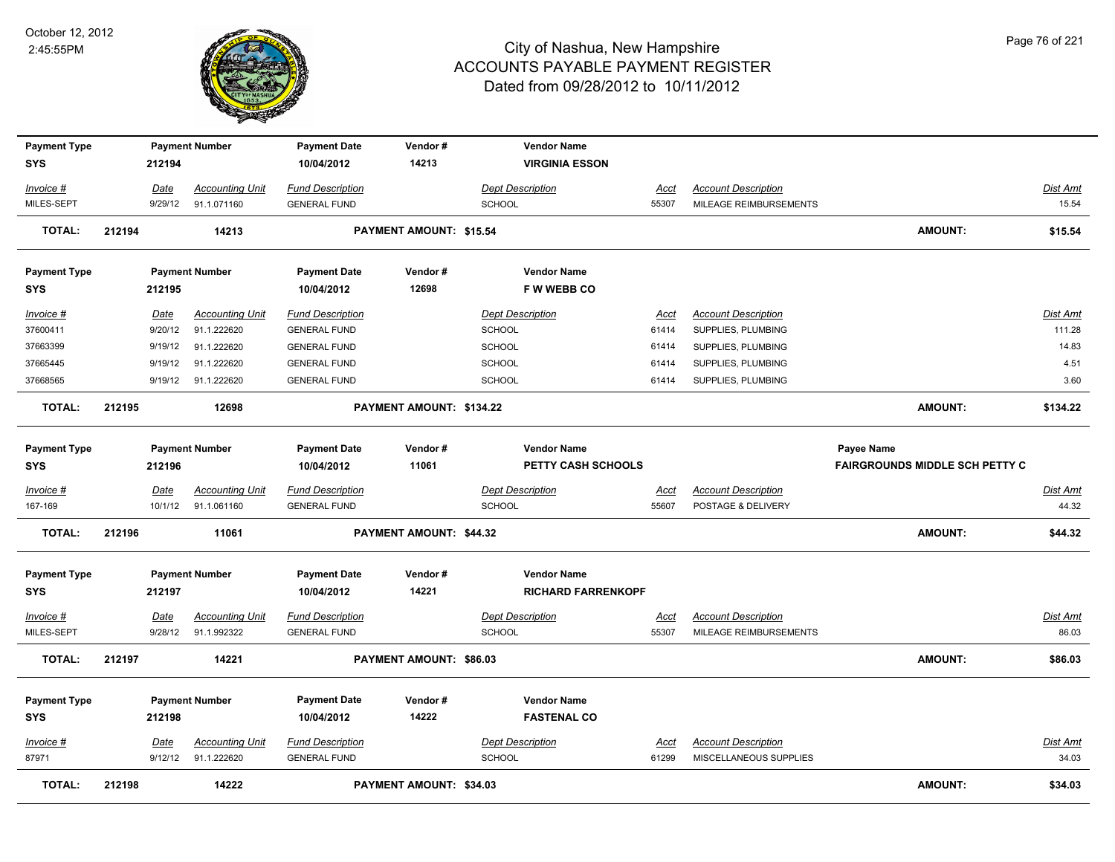

| <b>Payment Type</b><br>SYS |        | 212194      | <b>Payment Number</b>  | <b>Payment Date</b><br>10/04/2012 | Vendor#<br>14213         | <b>Vendor Name</b><br><b>VIRGINIA ESSON</b> |             |                            |                                       |                 |
|----------------------------|--------|-------------|------------------------|-----------------------------------|--------------------------|---------------------------------------------|-------------|----------------------------|---------------------------------------|-----------------|
| Invoice #                  |        | Date        | <b>Accounting Unit</b> | <b>Fund Description</b>           |                          | <b>Dept Description</b>                     | Acct        | <b>Account Description</b> |                                       | <b>Dist Amt</b> |
| MILES-SEPT                 |        | 9/29/12     | 91.1.071160            | <b>GENERAL FUND</b>               |                          | <b>SCHOOL</b>                               | 55307       | MILEAGE REIMBURSEMENTS     |                                       | 15.54           |
| <b>TOTAL:</b>              | 212194 |             | 14213                  |                                   | PAYMENT AMOUNT: \$15.54  |                                             |             |                            | <b>AMOUNT:</b>                        | \$15.54         |
| <b>Payment Type</b>        |        |             | <b>Payment Number</b>  | <b>Payment Date</b>               | Vendor#                  | <b>Vendor Name</b>                          |             |                            |                                       |                 |
| <b>SYS</b>                 |        | 212195      |                        | 10/04/2012                        | 12698                    | <b>FWWEBBCO</b>                             |             |                            |                                       |                 |
| Invoice #                  |        | Date        | <b>Accounting Unit</b> | <b>Fund Description</b>           |                          | <b>Dept Description</b>                     | Acct        | <b>Account Description</b> |                                       | <b>Dist Amt</b> |
| 37600411                   |        | 9/20/12     | 91.1.222620            | <b>GENERAL FUND</b>               |                          | <b>SCHOOL</b>                               | 61414       | SUPPLIES, PLUMBING         |                                       | 111.28          |
| 37663399                   |        | 9/19/12     | 91.1.222620            | <b>GENERAL FUND</b>               |                          | SCHOOL                                      | 61414       | SUPPLIES, PLUMBING         |                                       | 14.83           |
| 37665445                   |        | 9/19/12     | 91.1.222620            | <b>GENERAL FUND</b>               |                          | SCHOOL                                      | 61414       | SUPPLIES, PLUMBING         |                                       | 4.51            |
| 37668565                   |        | 9/19/12     | 91.1.222620            | <b>GENERAL FUND</b>               |                          | <b>SCHOOL</b>                               | 61414       | SUPPLIES, PLUMBING         |                                       | 3.60            |
| <b>TOTAL:</b>              | 212195 |             | 12698                  |                                   | PAYMENT AMOUNT: \$134.22 |                                             |             |                            | AMOUNT:                               | \$134.22        |
| <b>Payment Type</b>        |        |             | <b>Payment Number</b>  | <b>Payment Date</b>               | Vendor#                  | <b>Vendor Name</b>                          |             |                            | Payee Name                            |                 |
| <b>SYS</b>                 |        | 212196      |                        | 10/04/2012                        | 11061                    | <b>PETTY CASH SCHOOLS</b>                   |             |                            | <b>FAIRGROUNDS MIDDLE SCH PETTY C</b> |                 |
| Invoice #                  |        | Date        | <b>Accounting Unit</b> | <b>Fund Description</b>           |                          | <b>Dept Description</b>                     | Acct        | <b>Account Description</b> |                                       | Dist Amt        |
| 167-169                    |        | 10/1/12     | 91.1.061160            | <b>GENERAL FUND</b>               |                          | <b>SCHOOL</b>                               | 55607       | POSTAGE & DELIVERY         |                                       | 44.32           |
| <b>TOTAL:</b>              | 212196 |             | 11061                  |                                   | PAYMENT AMOUNT: \$44.32  |                                             |             |                            | AMOUNT:                               | \$44.32         |
| <b>Payment Type</b>        |        |             | <b>Payment Number</b>  | <b>Payment Date</b>               | Vendor#                  | <b>Vendor Name</b>                          |             |                            |                                       |                 |
| <b>SYS</b>                 |        | 212197      |                        | 10/04/2012                        | 14221                    | <b>RICHARD FARRENKOPF</b>                   |             |                            |                                       |                 |
| <u>Invoice #</u>           |        | <u>Date</u> | <b>Accounting Unit</b> | <b>Fund Description</b>           |                          | <b>Dept Description</b>                     | <u>Acct</u> | <b>Account Description</b> |                                       | <b>Dist Amt</b> |
| MILES-SEPT                 |        | 9/28/12     | 91.1.992322            | <b>GENERAL FUND</b>               |                          | <b>SCHOOL</b>                               | 55307       | MILEAGE REIMBURSEMENTS     |                                       | 86.03           |
| <b>TOTAL:</b>              | 212197 |             | 14221                  |                                   | PAYMENT AMOUNT: \$86.03  |                                             |             |                            | <b>AMOUNT:</b>                        | \$86.03         |
| <b>Payment Type</b>        |        |             | <b>Payment Number</b>  | <b>Payment Date</b>               | Vendor#                  | <b>Vendor Name</b>                          |             |                            |                                       |                 |
| SYS                        |        | 212198      |                        | 10/04/2012                        | 14222                    | <b>FASTENAL CO</b>                          |             |                            |                                       |                 |
| <u>Invoice #</u>           |        | Date        | <b>Accounting Unit</b> | <b>Fund Description</b>           |                          | <b>Dept Description</b>                     | <u>Acct</u> | <b>Account Description</b> |                                       | Dist Amt        |
| 87971                      |        |             | 9/12/12 91.1.222620    | <b>GENERAL FUND</b>               |                          | <b>SCHOOL</b>                               | 61299       | MISCELLANEOUS SUPPLIES     |                                       | 34.03           |
| <b>TOTAL:</b>              | 212198 |             | 14222                  |                                   | PAYMENT AMOUNT: \$34.03  |                                             |             |                            | <b>AMOUNT:</b>                        | \$34.03         |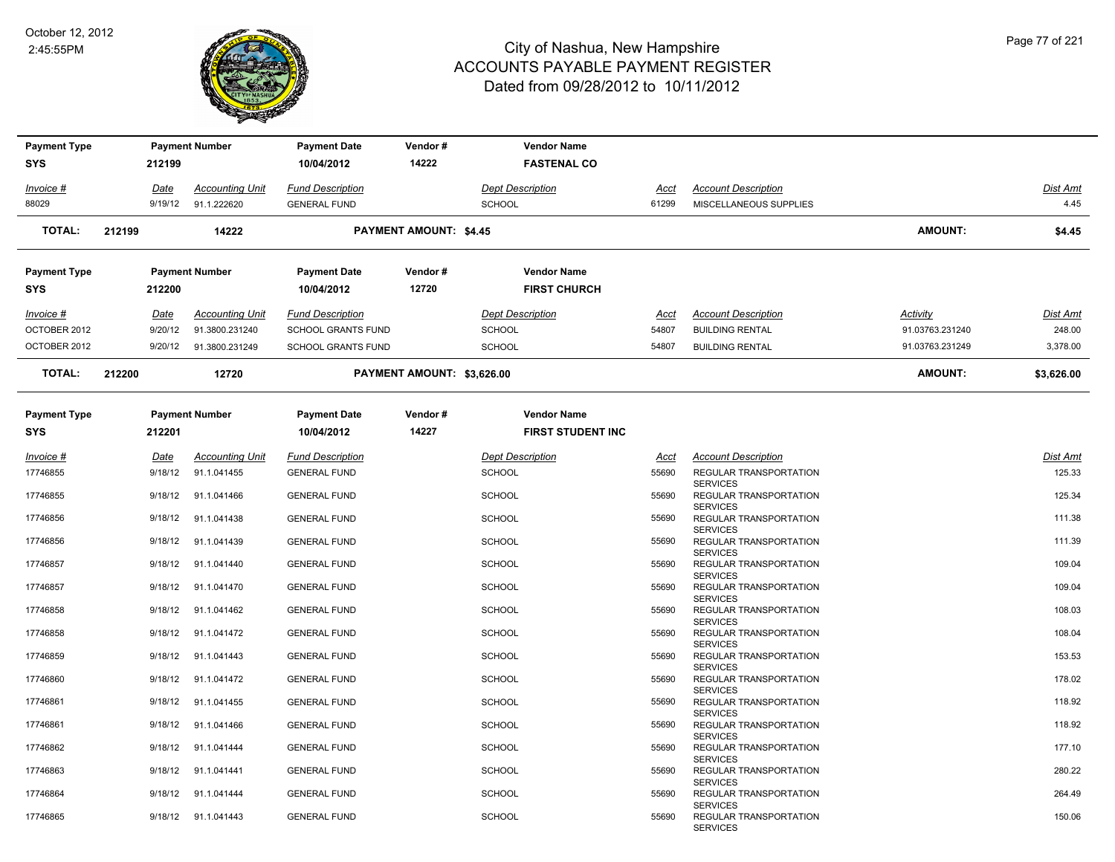

| <b>Payment Type</b>        |        |                 | <b>Payment Number</b>                    | <b>Payment Date</b>                                  | Vendor#                       | <b>Vendor Name</b>                             |                      |                                                                     |                                    |                    |
|----------------------------|--------|-----------------|------------------------------------------|------------------------------------------------------|-------------------------------|------------------------------------------------|----------------------|---------------------------------------------------------------------|------------------------------------|--------------------|
| SYS                        |        | 212199          |                                          | 10/04/2012                                           | 14222                         | <b>FASTENAL CO</b>                             |                      |                                                                     |                                    |                    |
| <u> Invoice #</u>          |        | Date            | <b>Accounting Unit</b>                   | <b>Fund Description</b>                              |                               | <b>Dept Description</b>                        | <u>Acct</u>          | <b>Account Description</b>                                          |                                    | Dist Amt           |
| 88029                      |        | 9/19/12         | 91.1.222620                              | <b>GENERAL FUND</b>                                  |                               | SCHOOL                                         | 61299                | MISCELLANEOUS SUPPLIES                                              |                                    | 4.45               |
| <b>TOTAL:</b>              | 212199 |                 | 14222                                    |                                                      | <b>PAYMENT AMOUNT: \$4.45</b> |                                                |                      |                                                                     | <b>AMOUNT:</b>                     | \$4.45             |
| Payment Type               |        |                 | <b>Payment Number</b>                    | <b>Payment Date</b>                                  | Vendor#                       | <b>Vendor Name</b>                             |                      |                                                                     |                                    |                    |
| SYS                        |        | 212200          |                                          | 10/04/2012                                           | 12720                         | <b>FIRST CHURCH</b>                            |                      |                                                                     |                                    |                    |
| Invoice #<br>OCTOBER 2012  |        | Date<br>9/20/12 | <b>Accounting Unit</b><br>91.3800.231240 | <b>Fund Description</b><br><b>SCHOOL GRANTS FUND</b> |                               | <b>Dept Description</b><br><b>SCHOOL</b>       | <u>Acct</u><br>54807 | <b>Account Description</b><br><b>BUILDING RENTAL</b>                | <b>Activity</b><br>91.03763.231240 | Dist Amt<br>248.00 |
| OCTOBER 2012               |        | 9/20/12         | 91.3800.231249                           | <b>SCHOOL GRANTS FUND</b>                            |                               | <b>SCHOOL</b>                                  | 54807                | <b>BUILDING RENTAL</b>                                              | 91.03763.231249                    | 3,378.00           |
| <b>TOTAL:</b>              | 212200 |                 | 12720                                    |                                                      | PAYMENT AMOUNT: \$3,626.00    |                                                |                      |                                                                     | AMOUNT:                            | \$3,626.00         |
| <b>Payment Type</b><br>SYS |        | 212201          | <b>Payment Number</b>                    | <b>Payment Date</b><br>10/04/2012                    | Vendor#<br>14227              | <b>Vendor Name</b><br><b>FIRST STUDENT INC</b> |                      |                                                                     |                                    |                    |
| <u> Invoice #</u>          |        | Date            | <b>Accounting Unit</b>                   | <b>Fund Description</b>                              |                               | <b>Dept Description</b>                        | <u>Acct</u>          | <b>Account Description</b>                                          |                                    | Dist Amt           |
| 17746855                   |        | 9/18/12         | 91.1.041455                              | <b>GENERAL FUND</b>                                  |                               | SCHOOL                                         | 55690                | REGULAR TRANSPORTATION                                              |                                    | 125.33             |
| 17746855                   |        | 9/18/12         | 91.1.041466                              | <b>GENERAL FUND</b>                                  |                               | SCHOOL                                         | 55690                | <b>SERVICES</b><br><b>REGULAR TRANSPORTATION</b><br><b>SERVICES</b> |                                    | 125.34             |
| 17746856                   |        | 9/18/12         | 91.1.041438                              | <b>GENERAL FUND</b>                                  |                               | SCHOOL                                         | 55690                | REGULAR TRANSPORTATION<br><b>SERVICES</b>                           |                                    | 111.38             |
| 17746856                   |        | 9/18/12         | 91.1.041439                              | <b>GENERAL FUND</b>                                  |                               | <b>SCHOOL</b>                                  | 55690                | REGULAR TRANSPORTATION<br><b>SERVICES</b>                           |                                    | 111.39             |
| 17746857                   |        | 9/18/12         | 91.1.041440                              | <b>GENERAL FUND</b>                                  |                               | <b>SCHOOL</b>                                  | 55690                | REGULAR TRANSPORTATION<br><b>SERVICES</b>                           |                                    | 109.04             |
| 17746857                   |        | 9/18/12         | 91.1.041470                              | <b>GENERAL FUND</b>                                  |                               | <b>SCHOOL</b>                                  | 55690                | REGULAR TRANSPORTATION<br><b>SERVICES</b>                           |                                    | 109.04             |
| 17746858                   |        | 9/18/12         | 91.1.041462                              | <b>GENERAL FUND</b>                                  |                               | <b>SCHOOL</b>                                  | 55690                | REGULAR TRANSPORTATION<br><b>SERVICES</b>                           |                                    | 108.03             |
| 17746858                   |        | 9/18/12         | 91.1.041472                              | <b>GENERAL FUND</b>                                  |                               | SCHOOL                                         | 55690                | REGULAR TRANSPORTATION<br><b>SERVICES</b>                           |                                    | 108.04             |
| 17746859                   |        | 9/18/12         | 91.1.041443                              | <b>GENERAL FUND</b>                                  |                               | SCHOOL                                         | 55690                | REGULAR TRANSPORTATION<br><b>SERVICES</b>                           |                                    | 153.53             |
| 17746860                   |        | 9/18/12         | 91.1.041472                              | <b>GENERAL FUND</b>                                  |                               | SCHOOL                                         | 55690                | REGULAR TRANSPORTATION<br><b>SERVICES</b>                           |                                    | 178.02             |
| 17746861                   |        | 9/18/12         | 91.1.041455                              | <b>GENERAL FUND</b>                                  |                               | SCHOOL                                         | 55690                | REGULAR TRANSPORTATION                                              |                                    | 118.92             |
| 17746861                   |        | 9/18/12         | 91.1.041466                              | <b>GENERAL FUND</b>                                  |                               | SCHOOL                                         | 55690                | <b>SERVICES</b><br>REGULAR TRANSPORTATION<br><b>SERVICES</b>        |                                    | 118.92             |
| 17746862                   |        | 9/18/12         | 91.1.041444                              | <b>GENERAL FUND</b>                                  |                               | <b>SCHOOL</b>                                  | 55690                | REGULAR TRANSPORTATION                                              |                                    | 177.10             |
| 17746863                   |        | 9/18/12         | 91.1.041441                              | <b>GENERAL FUND</b>                                  |                               | <b>SCHOOL</b>                                  | 55690                | <b>SERVICES</b><br><b>REGULAR TRANSPORTATION</b><br><b>SERVICES</b> |                                    | 280.22             |
| 17746864                   |        | 9/18/12         | 91.1.041444                              | <b>GENERAL FUND</b>                                  |                               | <b>SCHOOL</b>                                  | 55690                | REGULAR TRANSPORTATION                                              |                                    | 264.49             |
| 17746865                   |        |                 | 9/18/12 91.1.041443                      | <b>GENERAL FUND</b>                                  |                               | <b>SCHOOL</b>                                  | 55690                | <b>SERVICES</b><br>REGULAR TRANSPORTATION<br><b>SERVICES</b>        |                                    | 150.06             |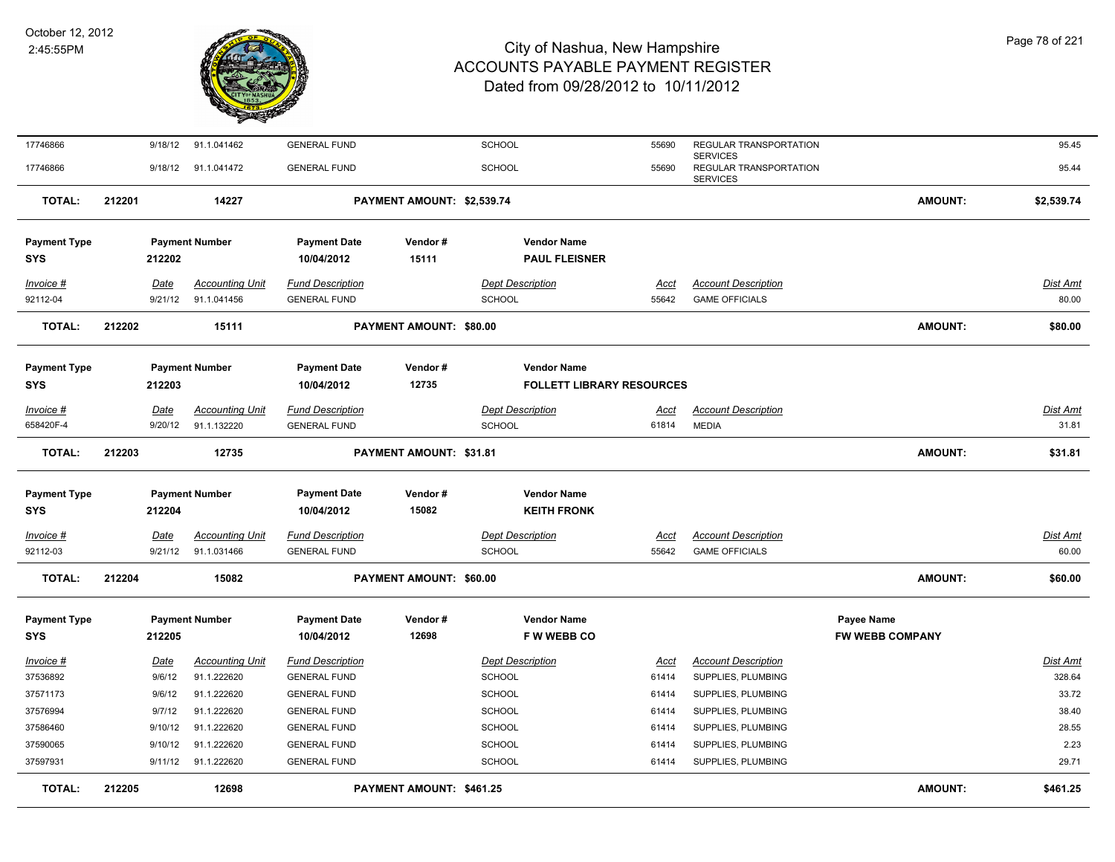

| 17746866                          |        | 9/18/12         | 91.1.041462                           | <b>GENERAL FUND</b>                            |                                | <b>SCHOOL</b>                            | 55690                | REGULAR TRANSPORTATION                                       |                        | 95.45             |
|-----------------------------------|--------|-----------------|---------------------------------------|------------------------------------------------|--------------------------------|------------------------------------------|----------------------|--------------------------------------------------------------|------------------------|-------------------|
| 17746866                          |        |                 | 9/18/12 91.1.041472                   | <b>GENERAL FUND</b>                            |                                | SCHOOL                                   | 55690                | <b>SERVICES</b><br>REGULAR TRANSPORTATION<br><b>SERVICES</b> |                        | 95.44             |
| <b>TOTAL:</b>                     | 212201 |                 | 14227                                 |                                                | PAYMENT AMOUNT: \$2,539.74     |                                          |                      |                                                              | <b>AMOUNT:</b>         | \$2,539.74        |
| <b>Payment Type</b>               |        |                 | <b>Payment Number</b>                 | <b>Payment Date</b>                            | Vendor#                        | <b>Vendor Name</b>                       |                      |                                                              |                        |                   |
| <b>SYS</b>                        |        | 212202          |                                       | 10/04/2012                                     | 15111                          | <b>PAUL FLEISNER</b>                     |                      |                                                              |                        |                   |
| Invoice #                         |        | Date            | <b>Accounting Unit</b>                | <b>Fund Description</b>                        |                                | <b>Dept Description</b>                  | <u>Acct</u>          | <b>Account Description</b>                                   |                        | Dist Amt          |
| 92112-04                          |        | 9/21/12         | 91.1.041456                           | <b>GENERAL FUND</b>                            |                                | <b>SCHOOL</b>                            | 55642                | <b>GAME OFFICIALS</b>                                        |                        | 80.00             |
| <b>TOTAL:</b>                     | 212202 |                 | 15111                                 |                                                | PAYMENT AMOUNT: \$80.00        |                                          |                      |                                                              | <b>AMOUNT:</b>         | \$80.00           |
|                                   |        |                 | <b>Payment Number</b>                 | <b>Payment Date</b>                            | Vendor#                        | <b>Vendor Name</b>                       |                      |                                                              |                        |                   |
| <b>Payment Type</b><br><b>SYS</b> |        | 212203          |                                       | 10/04/2012                                     | 12735                          | <b>FOLLETT LIBRARY RESOURCES</b>         |                      |                                                              |                        |                   |
|                                   |        |                 |                                       |                                                |                                |                                          |                      |                                                              |                        |                   |
| Invoice #<br>658420F-4            |        | Date<br>9/20/12 | <b>Accounting Unit</b><br>91.1.132220 | <b>Fund Description</b><br><b>GENERAL FUND</b> |                                | <b>Dept Description</b><br>SCHOOL        | <u>Acct</u><br>61814 | <b>Account Description</b><br><b>MEDIA</b>                   |                        | Dist Amt<br>31.81 |
|                                   |        |                 |                                       |                                                |                                |                                          |                      |                                                              |                        |                   |
| <b>TOTAL:</b>                     | 212203 |                 | 12735                                 |                                                | PAYMENT AMOUNT: \$31.81        |                                          |                      |                                                              | <b>AMOUNT:</b>         | \$31.81           |
|                                   |        |                 |                                       |                                                |                                |                                          |                      |                                                              |                        |                   |
| <b>Payment Type</b><br><b>SYS</b> |        | 212204          | <b>Payment Number</b>                 | <b>Payment Date</b><br>10/04/2012              | Vendor#<br>15082               | <b>Vendor Name</b><br><b>KEITH FRONK</b> |                      |                                                              |                        |                   |
|                                   |        |                 |                                       |                                                |                                |                                          |                      |                                                              |                        |                   |
| <u>Invoice #</u>                  |        | <b>Date</b>     | <b>Accounting Unit</b>                | <b>Fund Description</b>                        |                                | <b>Dept Description</b>                  | <u>Acct</u>          | <b>Account Description</b>                                   |                        | <u>Dist Amt</u>   |
| 92112-03                          |        | 9/21/12         | 91.1.031466                           | <b>GENERAL FUND</b>                            |                                | SCHOOL                                   | 55642                | <b>GAME OFFICIALS</b>                                        |                        | 60.00             |
| TOTAL:                            | 212204 |                 | 15082                                 |                                                | <b>PAYMENT AMOUNT: \$60.00</b> |                                          |                      |                                                              | <b>AMOUNT:</b>         | \$60.00           |
| <b>Payment Type</b>               |        |                 | <b>Payment Number</b>                 | <b>Payment Date</b>                            | Vendor#                        | <b>Vendor Name</b>                       |                      |                                                              | <b>Payee Name</b>      |                   |
| <b>SYS</b>                        |        | 212205          |                                       | 10/04/2012                                     | 12698                          | F W WEBB CO                              |                      |                                                              | <b>FW WEBB COMPANY</b> |                   |
| <u>Invoice #</u>                  |        | Date            | <b>Accounting Unit</b>                | <b>Fund Description</b>                        |                                | <b>Dept Description</b>                  | <u>Acct</u>          | <b>Account Description</b>                                   |                        | <u>Dist Amt</u>   |
| 37536892                          |        | 9/6/12          | 91.1.222620                           | <b>GENERAL FUND</b>                            |                                | SCHOOL                                   | 61414                | SUPPLIES, PLUMBING                                           |                        | 328.64            |
| 37571173                          |        | 9/6/12          | 91.1.222620                           | <b>GENERAL FUND</b>                            |                                | SCHOOL                                   | 61414                | SUPPLIES, PLUMBING                                           |                        | 33.72             |
| 37576994                          |        | 9/7/12          | 91.1.222620                           | <b>GENERAL FUND</b>                            |                                | <b>SCHOOL</b>                            | 61414                | SUPPLIES, PLUMBING                                           |                        | 38.40             |
| 37586460                          |        | 9/10/12         | 91.1.222620                           | <b>GENERAL FUND</b>                            |                                | SCHOOL                                   | 61414                | SUPPLIES, PLUMBING                                           |                        | 28.55             |
| 37590065                          |        | 9/10/12         | 91.1.222620                           | <b>GENERAL FUND</b>                            |                                | <b>SCHOOL</b>                            | 61414                | SUPPLIES, PLUMBING                                           |                        | 2.23              |
| 37597931                          |        |                 | 9/11/12 91.1.222620                   | <b>GENERAL FUND</b>                            |                                | <b>SCHOOL</b>                            | 61414                | SUPPLIES, PLUMBING                                           |                        | 29.71             |
| <b>TOTAL:</b>                     | 212205 |                 | 12698                                 |                                                | PAYMENT AMOUNT: \$461.25       |                                          |                      |                                                              | <b>AMOUNT:</b>         | \$461.25          |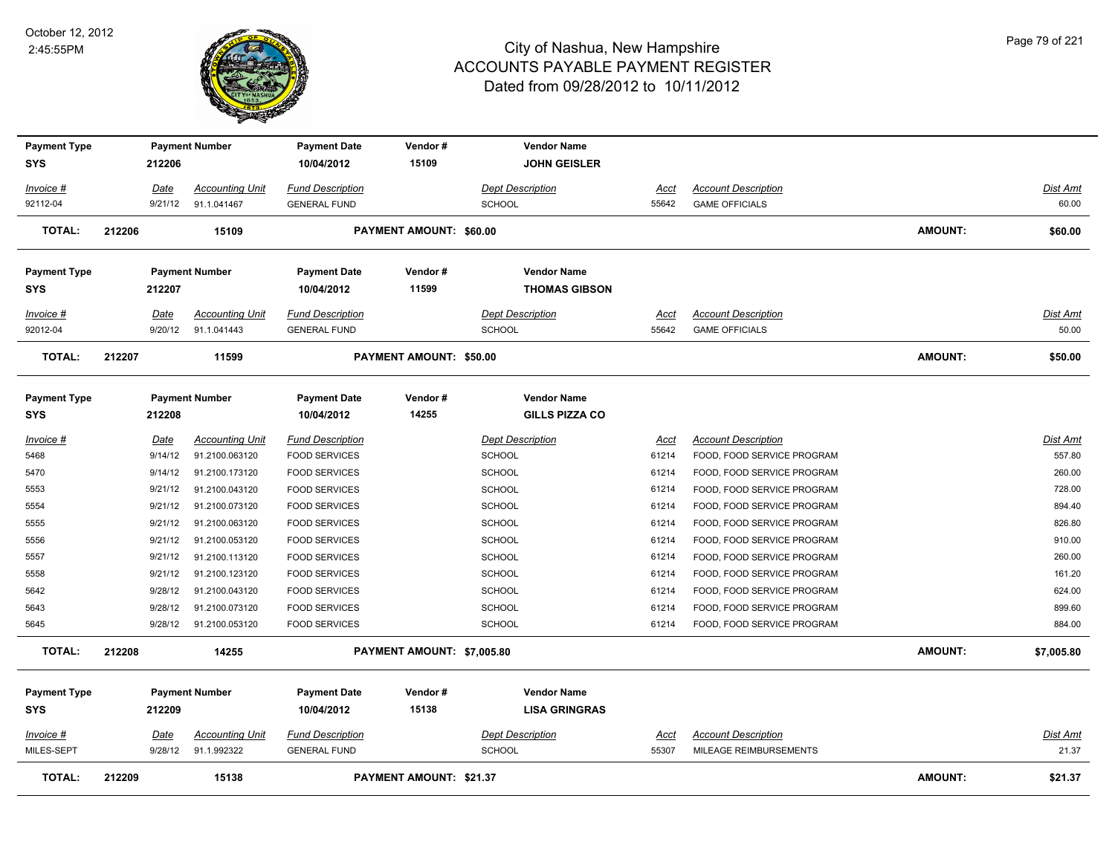

| <b>Payment Type</b>               |                        | <b>Payment Number</b>                 | <b>Payment Date</b>                            | Vendor#                        | <b>Vendor Name</b>                         |                      |                                                      |                |                          |
|-----------------------------------|------------------------|---------------------------------------|------------------------------------------------|--------------------------------|--------------------------------------------|----------------------|------------------------------------------------------|----------------|--------------------------|
| <b>SYS</b>                        | 212206                 |                                       | 10/04/2012                                     | 15109                          | <b>JOHN GEISLER</b>                        |                      |                                                      |                |                          |
| Invoice #                         | Date                   | <b>Accounting Unit</b>                | Fund Description                               |                                | <b>Dept Description</b>                    | <u>Acct</u>          | <b>Account Description</b>                           |                | Dist Amt                 |
| 92112-04                          | 9/21/12                | 91.1.041467                           | <b>GENERAL FUND</b>                            |                                | <b>SCHOOL</b>                              | 55642                | <b>GAME OFFICIALS</b>                                |                | 60.00                    |
| <b>TOTAL:</b>                     | 212206                 | 15109                                 |                                                | PAYMENT AMOUNT: \$60.00        |                                            |                      |                                                      | AMOUNT:        | \$60.00                  |
| <b>Payment Type</b>               |                        | <b>Payment Number</b>                 | <b>Payment Date</b>                            | Vendor#                        | <b>Vendor Name</b>                         |                      |                                                      |                |                          |
| <b>SYS</b>                        | 212207                 |                                       | 10/04/2012                                     | 11599                          | <b>THOMAS GIBSON</b>                       |                      |                                                      |                |                          |
| Invoice #<br>92012-04             | Date<br>9/20/12        | <b>Accounting Unit</b><br>91.1.041443 | <b>Fund Description</b><br><b>GENERAL FUND</b> |                                | <b>Dept Description</b><br>SCHOOL          | Acct<br>55642        | <b>Account Description</b><br><b>GAME OFFICIALS</b>  |                | Dist Amt<br>50.00        |
| <b>TOTAL:</b>                     | 212207                 | 11599                                 |                                                | <b>PAYMENT AMOUNT: \$50.00</b> |                                            |                      |                                                      | AMOUNT:        | \$50.00                  |
| <b>Payment Type</b>               |                        | <b>Payment Number</b>                 | <b>Payment Date</b>                            | Vendor#                        | <b>Vendor Name</b>                         |                      |                                                      |                |                          |
| <b>SYS</b>                        | 212208                 |                                       | 10/04/2012                                     | 14255                          | <b>GILLS PIZZA CO</b>                      |                      |                                                      |                |                          |
| Invoice #                         | Date                   | <b>Accounting Unit</b>                | <b>Fund Description</b>                        |                                | <b>Dept Description</b>                    | Acct                 | <b>Account Description</b>                           |                | Dist Amt                 |
| 5468                              | 9/14/12                | 91.2100.063120                        | <b>FOOD SERVICES</b>                           |                                | <b>SCHOOL</b>                              | 61214                | FOOD, FOOD SERVICE PROGRAM                           |                | 557.80                   |
| 5470                              | 9/14/12                | 91.2100.173120                        | <b>FOOD SERVICES</b>                           |                                | <b>SCHOOL</b>                              | 61214                | FOOD, FOOD SERVICE PROGRAM                           |                | 260.00                   |
| 5553                              | 9/21/12                | 91.2100.043120                        | <b>FOOD SERVICES</b>                           |                                | <b>SCHOOL</b>                              | 61214                | FOOD, FOOD SERVICE PROGRAM                           |                | 728.00                   |
| 5554                              | 9/21/12                | 91.2100.073120                        | <b>FOOD SERVICES</b>                           |                                | <b>SCHOOL</b>                              | 61214                | FOOD, FOOD SERVICE PROGRAM                           |                | 894.40                   |
| 5555                              | 9/21/12                | 91.2100.063120                        | <b>FOOD SERVICES</b>                           |                                | SCHOOL                                     | 61214                | FOOD, FOOD SERVICE PROGRAM                           |                | 826.80                   |
| 5556                              | 9/21/12                | 91.2100.053120                        | <b>FOOD SERVICES</b>                           |                                | SCHOOL                                     | 61214                | FOOD, FOOD SERVICE PROGRAM                           |                | 910.00                   |
| 5557                              | 9/21/12                | 91.2100.113120                        | <b>FOOD SERVICES</b>                           |                                | SCHOOL                                     | 61214                | FOOD, FOOD SERVICE PROGRAM                           |                | 260.00                   |
| 5558                              | 9/21/12                | 91.2100.123120                        | <b>FOOD SERVICES</b>                           |                                | SCHOOL                                     | 61214                | FOOD, FOOD SERVICE PROGRAM                           |                | 161.20                   |
| 5642                              | 9/28/12                | 91.2100.043120                        | <b>FOOD SERVICES</b>                           |                                | SCHOOL                                     | 61214                | FOOD, FOOD SERVICE PROGRAM                           |                | 624.00                   |
| 5643                              | 9/28/12                | 91.2100.073120                        | <b>FOOD SERVICES</b>                           |                                | <b>SCHOOL</b>                              | 61214                | FOOD, FOOD SERVICE PROGRAM                           |                | 899.60                   |
| 5645                              | 9/28/12                | 91.2100.053120                        | <b>FOOD SERVICES</b>                           |                                | <b>SCHOOL</b>                              | 61214                | FOOD, FOOD SERVICE PROGRAM                           |                | 884.00                   |
| <b>TOTAL:</b>                     | 212208                 | 14255                                 |                                                | PAYMENT AMOUNT: \$7,005.80     |                                            |                      |                                                      | AMOUNT:        | \$7,005.80               |
| <b>Payment Type</b><br><b>SYS</b> | 212209                 | <b>Payment Number</b>                 | <b>Payment Date</b><br>10/04/2012              | Vendor#<br>15138               | <b>Vendor Name</b><br><b>LISA GRINGRAS</b> |                      |                                                      |                |                          |
| <u>Invoice #</u><br>MILES-SEPT    | <u>Date</u><br>9/28/12 | <b>Accounting Unit</b><br>91.1.992322 | <b>Fund Description</b><br><b>GENERAL FUND</b> |                                | <b>Dept Description</b><br><b>SCHOOL</b>   | <u>Acct</u><br>55307 | <b>Account Description</b><br>MILEAGE REIMBURSEMENTS |                | <b>Dist Amt</b><br>21.37 |
| <b>TOTAL:</b>                     | 212209                 | 15138                                 |                                                | <b>PAYMENT AMOUNT: \$21.37</b> |                                            |                      |                                                      | <b>AMOUNT:</b> | \$21.37                  |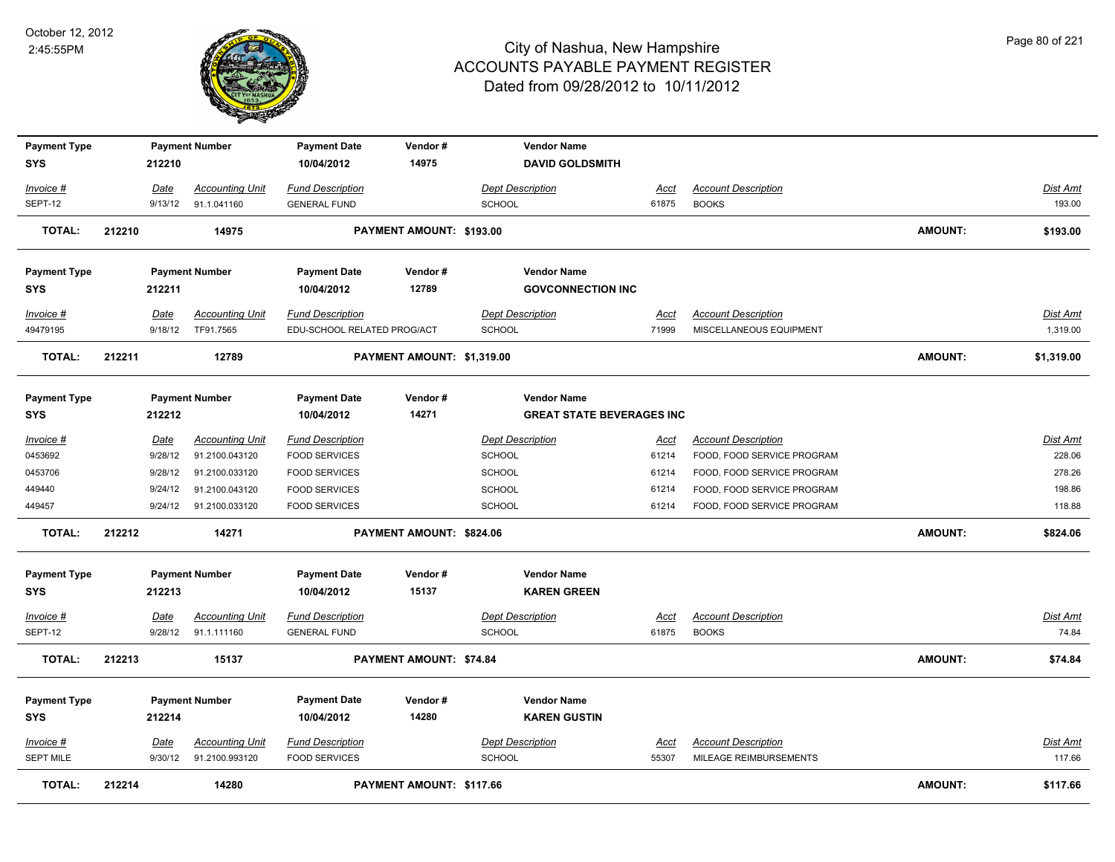

| <b>Payment Type</b>           |        |                        | <b>Payment Number</b>                    | <b>Payment Date</b>                             | Vendor#                    |                                          | <b>Vendor Name</b>               |               |                                                      |                |                    |
|-------------------------------|--------|------------------------|------------------------------------------|-------------------------------------------------|----------------------------|------------------------------------------|----------------------------------|---------------|------------------------------------------------------|----------------|--------------------|
| <b>SYS</b>                    |        | 212210                 |                                          | 10/04/2012                                      | 14975                      |                                          | <b>DAVID GOLDSMITH</b>           |               |                                                      |                |                    |
| Invoice #                     |        | Date                   | <b>Accounting Unit</b>                   | <b>Fund Description</b>                         |                            | <b>Dept Description</b>                  |                                  | <u>Acct</u>   | <b>Account Description</b>                           |                | <b>Dist Amt</b>    |
| SEPT-12                       |        | 9/13/12                | 91.1.041160                              | <b>GENERAL FUND</b>                             |                            | <b>SCHOOL</b>                            |                                  | 61875         | <b>BOOKS</b>                                         |                | 193.00             |
| <b>TOTAL:</b>                 | 212210 |                        | 14975                                    |                                                 | PAYMENT AMOUNT: \$193.00   |                                          |                                  |               |                                                      | <b>AMOUNT:</b> | \$193.00           |
| <b>Payment Type</b>           |        |                        | <b>Payment Number</b>                    | <b>Payment Date</b>                             | Vendor#                    |                                          | <b>Vendor Name</b>               |               |                                                      |                |                    |
| <b>SYS</b>                    |        | 212211                 |                                          | 10/04/2012                                      | 12789                      |                                          | <b>GOVCONNECTION INC</b>         |               |                                                      |                |                    |
| Invoice #                     |        | Date                   | <b>Accounting Unit</b>                   | <b>Fund Description</b>                         |                            | <b>Dept Description</b>                  |                                  | Acct          | <b>Account Description</b>                           |                | Dist Amt           |
| 49479195                      |        | 9/18/12                | TF91.7565                                | EDU-SCHOOL RELATED PROG/ACT                     |                            | <b>SCHOOL</b>                            |                                  | 71999         | MISCELLANEOUS EQUIPMENT                              |                | 1,319.00           |
| <b>TOTAL:</b>                 | 212211 |                        | 12789                                    |                                                 | PAYMENT AMOUNT: \$1,319.00 |                                          |                                  |               |                                                      | <b>AMOUNT:</b> | \$1,319.00         |
| <b>Payment Type</b>           |        |                        | <b>Payment Number</b>                    | <b>Payment Date</b>                             | Vendor#                    |                                          | <b>Vendor Name</b>               |               |                                                      |                |                    |
| <b>SYS</b>                    |        | 212212                 |                                          | 10/04/2012                                      | 14271                      |                                          | <b>GREAT STATE BEVERAGES INC</b> |               |                                                      |                |                    |
| Invoice #                     |        | Date                   | <b>Accounting Unit</b>                   | <b>Fund Description</b>                         |                            | <b>Dept Description</b>                  |                                  | <u>Acct</u>   | <b>Account Description</b>                           |                | <b>Dist Amt</b>    |
| 0453692                       |        | 9/28/12                | 91.2100.043120                           | <b>FOOD SERVICES</b>                            |                            | <b>SCHOOL</b>                            |                                  | 61214         | FOOD, FOOD SERVICE PROGRAM                           |                | 228.06             |
| 0453706                       |        | 9/28/12                | 91.2100.033120                           | <b>FOOD SERVICES</b>                            |                            | <b>SCHOOL</b>                            |                                  | 61214         | FOOD, FOOD SERVICE PROGRAM                           |                | 278.26             |
| 449440                        |        | 9/24/12                | 91.2100.043120                           | <b>FOOD SERVICES</b>                            |                            | <b>SCHOOL</b>                            |                                  | 61214         | FOOD, FOOD SERVICE PROGRAM                           |                | 198.86             |
| 449457                        |        | 9/24/12                | 91.2100.033120                           | <b>FOOD SERVICES</b>                            |                            | <b>SCHOOL</b>                            |                                  | 61214         | FOOD, FOOD SERVICE PROGRAM                           |                | 118.88             |
| TOTAL:                        | 212212 |                        | 14271                                    |                                                 | PAYMENT AMOUNT: \$824.06   |                                          |                                  |               |                                                      | <b>AMOUNT:</b> | \$824.06           |
| <b>Payment Type</b>           |        |                        | <b>Payment Number</b>                    | <b>Payment Date</b>                             | Vendor#                    |                                          | <b>Vendor Name</b>               |               |                                                      |                |                    |
| <b>SYS</b>                    |        | 212213                 |                                          | 10/04/2012                                      | 15137                      |                                          | <b>KAREN GREEN</b>               |               |                                                      |                |                    |
| <u>Invoice #</u>              |        | <u>Date</u>            | <b>Accounting Unit</b>                   | <b>Fund Description</b>                         |                            | <b>Dept Description</b>                  |                                  | <b>Acct</b>   | <b>Account Description</b>                           |                | <b>Dist Amt</b>    |
| SEPT-12                       |        | 9/28/12                | 91.1.111160                              | <b>GENERAL FUND</b>                             |                            | <b>SCHOOL</b>                            |                                  | 61875         | <b>BOOKS</b>                                         |                | 74.84              |
| <b>TOTAL:</b>                 | 212213 |                        | 15137                                    |                                                 | PAYMENT AMOUNT: \$74.84    |                                          |                                  |               |                                                      | <b>AMOUNT:</b> | \$74.84            |
| <b>Payment Type</b>           |        |                        | <b>Payment Number</b>                    | <b>Payment Date</b>                             | Vendor#                    |                                          | <b>Vendor Name</b>               |               |                                                      |                |                    |
| <b>SYS</b>                    |        | 212214                 |                                          | 10/04/2012                                      | 14280                      |                                          | <b>KAREN GUSTIN</b>              |               |                                                      |                |                    |
|                               |        |                        |                                          |                                                 |                            |                                          |                                  |               |                                                      |                |                    |
| Invoice #<br><b>SEPT MILE</b> |        | <b>Date</b><br>9/30/12 | <b>Accounting Unit</b><br>91.2100.993120 | <b>Fund Description</b><br><b>FOOD SERVICES</b> |                            | <b>Dept Description</b><br><b>SCHOOL</b> |                                  | Acct<br>55307 | <b>Account Description</b><br>MILEAGE REIMBURSEMENTS |                | Dist Amt<br>117.66 |
|                               |        |                        |                                          |                                                 |                            |                                          |                                  |               |                                                      |                |                    |
| <b>TOTAL:</b>                 | 212214 |                        | 14280                                    |                                                 | PAYMENT AMOUNT: \$117.66   |                                          |                                  |               |                                                      | <b>AMOUNT:</b> | \$117.66           |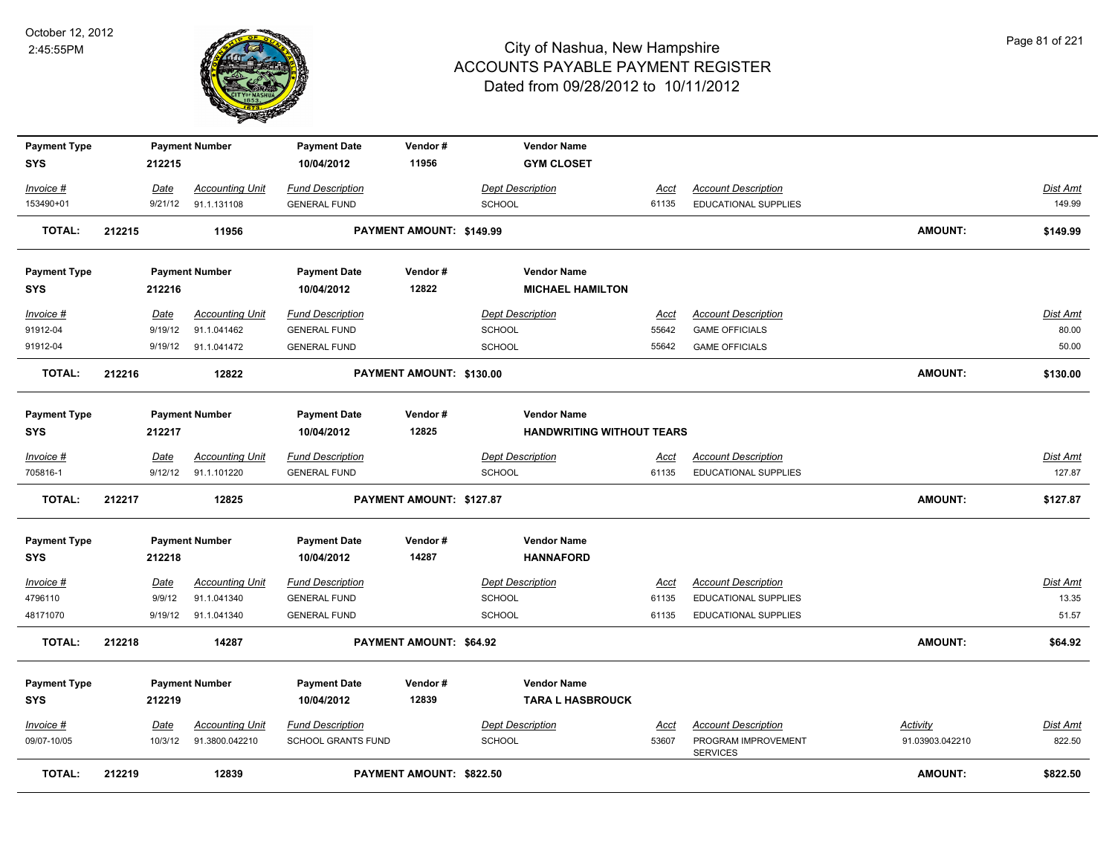

| <b>Payment Type</b>               |        |             | <b>Payment Number</b>  | <b>Payment Date</b>               | Vendor#                         | <b>Vendor Name</b>                                     |             |                                        |                 |                 |
|-----------------------------------|--------|-------------|------------------------|-----------------------------------|---------------------------------|--------------------------------------------------------|-------------|----------------------------------------|-----------------|-----------------|
| <b>SYS</b>                        |        | 212215      |                        | 10/04/2012                        | 11956                           | <b>GYM CLOSET</b>                                      |             |                                        |                 |                 |
| Invoice #                         |        | Date        | <b>Accounting Unit</b> | <b>Fund Description</b>           |                                 | <b>Dept Description</b>                                | Acct        | <b>Account Description</b>             |                 | Dist Amt        |
| 153490+01                         |        | 9/21/12     | 91.1.131108            | <b>GENERAL FUND</b>               |                                 | SCHOOL                                                 | 61135       | EDUCATIONAL SUPPLIES                   |                 | 149.99          |
| <b>TOTAL:</b>                     | 212215 |             | 11956                  |                                   | PAYMENT AMOUNT: \$149.99        |                                                        |             |                                        | AMOUNT:         | \$149.99        |
| <b>Payment Type</b>               |        |             | <b>Payment Number</b>  | <b>Payment Date</b>               | Vendor#                         | <b>Vendor Name</b>                                     |             |                                        |                 |                 |
| <b>SYS</b>                        |        | 212216      |                        | 10/04/2012                        | 12822                           | <b>MICHAEL HAMILTON</b>                                |             |                                        |                 |                 |
| Invoice #                         |        | Date        | <b>Accounting Unit</b> | <b>Fund Description</b>           |                                 | <b>Dept Description</b>                                | Acct        | <b>Account Description</b>             |                 | Dist Amt        |
| 91912-04                          |        | 9/19/12     | 91.1.041462            | <b>GENERAL FUND</b>               |                                 | SCHOOL                                                 | 55642       | <b>GAME OFFICIALS</b>                  |                 | 80.00           |
| 91912-04                          |        | 9/19/12     | 91.1.041472            | <b>GENERAL FUND</b>               |                                 | <b>SCHOOL</b>                                          | 55642       | <b>GAME OFFICIALS</b>                  |                 | 50.00           |
| <b>TOTAL:</b>                     | 212216 |             | 12822                  |                                   | PAYMENT AMOUNT: \$130.00        |                                                        |             |                                        | <b>AMOUNT:</b>  | \$130.00        |
| <b>Payment Type</b><br><b>SYS</b> |        | 212217      | <b>Payment Number</b>  | <b>Payment Date</b><br>10/04/2012 | Vendor#<br>12825                | <b>Vendor Name</b><br><b>HANDWRITING WITHOUT TEARS</b> |             |                                        |                 |                 |
| Invoice #                         |        | Date        | <b>Accounting Unit</b> | <b>Fund Description</b>           |                                 | <b>Dept Description</b>                                | Acct        | <b>Account Description</b>             |                 | Dist Amt        |
| 705816-1                          |        | 9/12/12     | 91.1.101220            | <b>GENERAL FUND</b>               |                                 | <b>SCHOOL</b>                                          | 61135       | <b>EDUCATIONAL SUPPLIES</b>            |                 | 127.87          |
| <b>TOTAL:</b>                     | 212217 |             | 12825                  |                                   | PAYMENT AMOUNT: \$127.87        |                                                        |             |                                        | <b>AMOUNT:</b>  | \$127.87        |
| <b>Payment Type</b><br><b>SYS</b> |        | 212218      | <b>Payment Number</b>  | <b>Payment Date</b><br>10/04/2012 | Vendor#<br>14287                | <b>Vendor Name</b><br><b>HANNAFORD</b>                 |             |                                        |                 |                 |
| $Invoice$ #                       |        | <u>Date</u> | <b>Accounting Unit</b> | <b>Fund Description</b>           |                                 | <b>Dept Description</b>                                | <u>Acct</u> | <b>Account Description</b>             |                 | <b>Dist Amt</b> |
| 4796110                           |        | 9/9/12      | 91.1.041340            | <b>GENERAL FUND</b>               |                                 | <b>SCHOOL</b>                                          | 61135       | <b>EDUCATIONAL SUPPLIES</b>            |                 | 13.35           |
| 48171070                          |        |             | 9/19/12 91.1.041340    | <b>GENERAL FUND</b>               |                                 | SCHOOL                                                 | 61135       | EDUCATIONAL SUPPLIES                   |                 | 51.57           |
| <b>TOTAL:</b>                     | 212218 |             | 14287                  |                                   | PAYMENT AMOUNT: \$64.92         |                                                        |             |                                        | <b>AMOUNT:</b>  | \$64.92         |
| <b>Payment Type</b>               |        |             | <b>Payment Number</b>  | <b>Payment Date</b>               | Vendor#                         | <b>Vendor Name</b>                                     |             |                                        |                 |                 |
| <b>SYS</b>                        |        | 212219      |                        | 10/04/2012                        | 12839                           | <b>TARA L HASBROUCK</b>                                |             |                                        |                 |                 |
| Invoice #                         |        | Date        | <b>Accounting Unit</b> | <b>Fund Description</b>           |                                 | <b>Dept Description</b>                                | Acct        | <b>Account Description</b>             | Activity        | Dist Amt        |
| 09/07-10/05                       |        | 10/3/12     | 91.3800.042210         | SCHOOL GRANTS FUND                |                                 | <b>SCHOOL</b>                                          | 53607       | PROGRAM IMPROVEMENT<br><b>SERVICES</b> | 91.03903.042210 | 822.50          |
| <b>TOTAL:</b>                     | 212219 |             | 12839                  |                                   | <b>PAYMENT AMOUNT: \$822.50</b> |                                                        |             |                                        | <b>AMOUNT:</b>  | \$822.50        |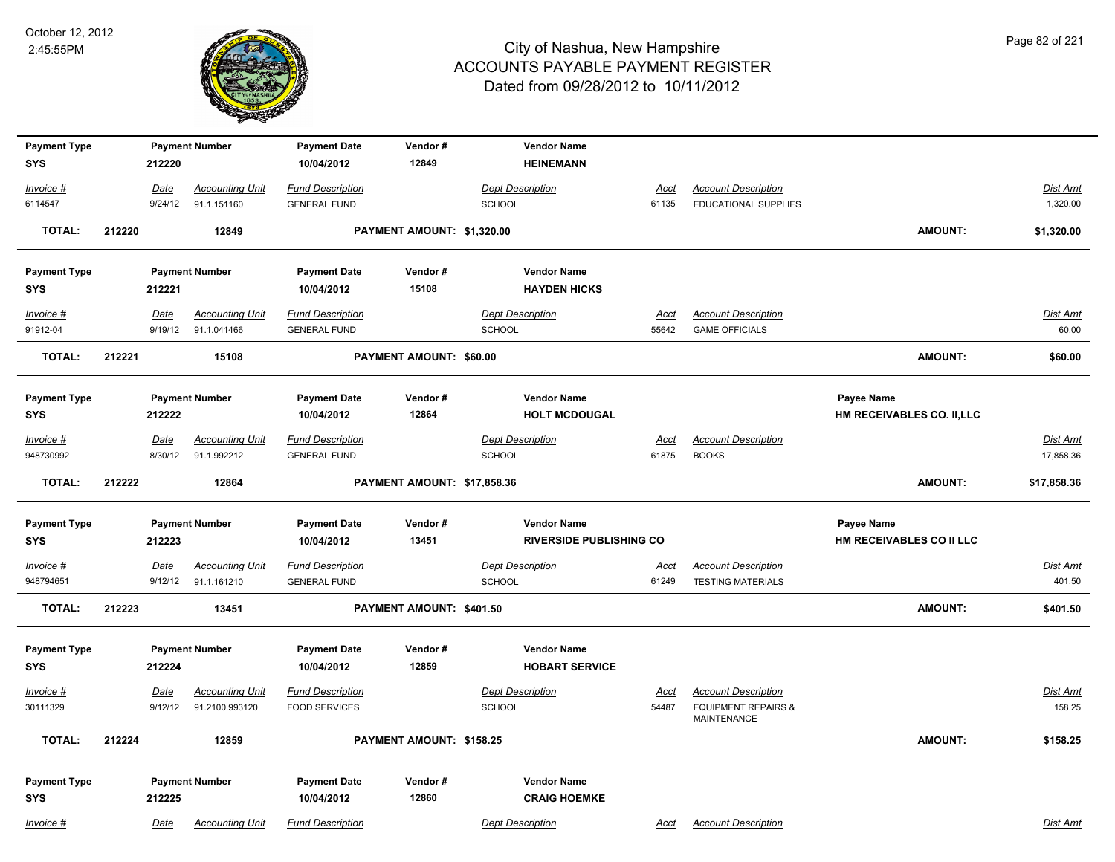

| <b>Payment Type</b>    |        |                 | <b>Payment Number</b>                 | <b>Payment Date</b>                            | Vendor#                     | <b>Vendor Name</b>                       |               |                                                      |                            |                       |
|------------------------|--------|-----------------|---------------------------------------|------------------------------------------------|-----------------------------|------------------------------------------|---------------|------------------------------------------------------|----------------------------|-----------------------|
| <b>SYS</b>             |        | 212220          |                                       | 10/04/2012                                     | 12849                       | <b>HEINEMANN</b>                         |               |                                                      |                            |                       |
| Invoice #              |        | Date            | <b>Accounting Unit</b>                | <b>Fund Description</b>                        |                             | <b>Dept Description</b>                  | <u>Acct</u>   | <b>Account Description</b>                           |                            | <b>Dist Amt</b>       |
| 6114547                |        | 9/24/12         | 91.1.151160                           | <b>GENERAL FUND</b>                            |                             | <b>SCHOOL</b>                            | 61135         | EDUCATIONAL SUPPLIES                                 |                            | 1,320.00              |
| <b>TOTAL:</b>          | 212220 |                 | 12849                                 |                                                | PAYMENT AMOUNT: \$1,320.00  |                                          |               |                                                      | <b>AMOUNT:</b>             | \$1,320.00            |
| <b>Payment Type</b>    |        |                 | <b>Payment Number</b>                 | <b>Payment Date</b>                            | Vendor#                     | <b>Vendor Name</b>                       |               |                                                      |                            |                       |
| <b>SYS</b>             |        | 212221          |                                       | 10/04/2012                                     | 15108                       | <b>HAYDEN HICKS</b>                      |               |                                                      |                            |                       |
| Invoice #              |        | Date            | <b>Accounting Unit</b>                | <b>Fund Description</b>                        |                             | <b>Dept Description</b>                  | <u>Acct</u>   | <b>Account Description</b>                           |                            | Dist Amt              |
| 91912-04               |        | 9/19/12         | 91.1.041466                           | <b>GENERAL FUND</b>                            |                             | <b>SCHOOL</b>                            | 55642         | <b>GAME OFFICIALS</b>                                |                            | 60.00                 |
| <b>TOTAL:</b>          | 212221 |                 | 15108                                 |                                                | PAYMENT AMOUNT: \$60.00     |                                          |               |                                                      | <b>AMOUNT:</b>             | \$60.00               |
| <b>Payment Type</b>    |        |                 | <b>Payment Number</b>                 | <b>Payment Date</b>                            | Vendor#                     | <b>Vendor Name</b>                       |               |                                                      | Payee Name                 |                       |
| <b>SYS</b>             |        | 212222          |                                       | 10/04/2012                                     | 12864                       | <b>HOLT MCDOUGAL</b>                     |               |                                                      | HM RECEIVABLES CO. II, LLC |                       |
| Invoice #<br>948730992 |        | Date<br>8/30/12 | <b>Accounting Unit</b><br>91.1.992212 | <b>Fund Description</b><br><b>GENERAL FUND</b> |                             | <b>Dept Description</b><br><b>SCHOOL</b> | Acct<br>61875 | <b>Account Description</b><br><b>BOOKS</b>           |                            | Dist Amt<br>17,858.36 |
|                        |        |                 |                                       |                                                |                             |                                          |               |                                                      |                            |                       |
| <b>TOTAL:</b>          | 212222 |                 | 12864                                 |                                                | PAYMENT AMOUNT: \$17,858.36 |                                          |               |                                                      | <b>AMOUNT:</b>             | \$17,858.36           |
| <b>Payment Type</b>    |        |                 | <b>Payment Number</b>                 | <b>Payment Date</b>                            | Vendor#                     | <b>Vendor Name</b>                       |               |                                                      | Payee Name                 |                       |
| <b>SYS</b>             |        | 212223          |                                       | 10/04/2012                                     | 13451                       | <b>RIVERSIDE PUBLISHING CO</b>           |               |                                                      | HM RECEIVABLES CO II LLC   |                       |
| $Invoice$ #            |        | Date            | <b>Accounting Unit</b>                | <b>Fund Description</b>                        |                             | <b>Dept Description</b>                  | <u>Acct</u>   | <b>Account Description</b>                           |                            | <b>Dist Amt</b>       |
| 948794651              |        | 9/12/12         | 91.1.161210                           | <b>GENERAL FUND</b>                            |                             | <b>SCHOOL</b>                            | 61249         | <b>TESTING MATERIALS</b>                             |                            | 401.50                |
| <b>TOTAL:</b>          | 212223 |                 | 13451                                 |                                                | PAYMENT AMOUNT: \$401.50    |                                          |               |                                                      | <b>AMOUNT:</b>             | \$401.50              |
| <b>Payment Type</b>    |        |                 | <b>Payment Number</b>                 | <b>Payment Date</b>                            | Vendor#                     | <b>Vendor Name</b>                       |               |                                                      |                            |                       |
| <b>SYS</b>             |        | 212224          |                                       | 10/04/2012                                     | 12859                       | <b>HOBART SERVICE</b>                    |               |                                                      |                            |                       |
| Invoice #              |        | Date            | <b>Accounting Unit</b>                | <b>Fund Description</b>                        |                             | <b>Dept Description</b>                  | Acct          | <b>Account Description</b>                           |                            | Dist Amt              |
| 30111329               |        | 9/12/12         | 91.2100.993120                        | <b>FOOD SERVICES</b>                           |                             | <b>SCHOOL</b>                            | 54487         | <b>EQUIPMENT REPAIRS &amp;</b><br><b>MAINTENANCE</b> |                            | 158.25                |
| <b>TOTAL:</b>          | 212224 |                 | 12859                                 |                                                | PAYMENT AMOUNT: \$158.25    |                                          |               |                                                      | <b>AMOUNT:</b>             | \$158.25              |
| <b>Payment Type</b>    |        |                 | <b>Payment Number</b>                 | <b>Payment Date</b>                            | Vendor#                     | <b>Vendor Name</b>                       |               |                                                      |                            |                       |
| <b>SYS</b>             |        | 212225          |                                       | 10/04/2012                                     | 12860                       | <b>CRAIG HOEMKE</b>                      |               |                                                      |                            |                       |
| Invoice #              |        | Date            | <b>Accounting Unit</b>                | <b>Fund Description</b>                        |                             | <b>Dept Description</b>                  | Acct          | <b>Account Description</b>                           |                            | Dist Amt              |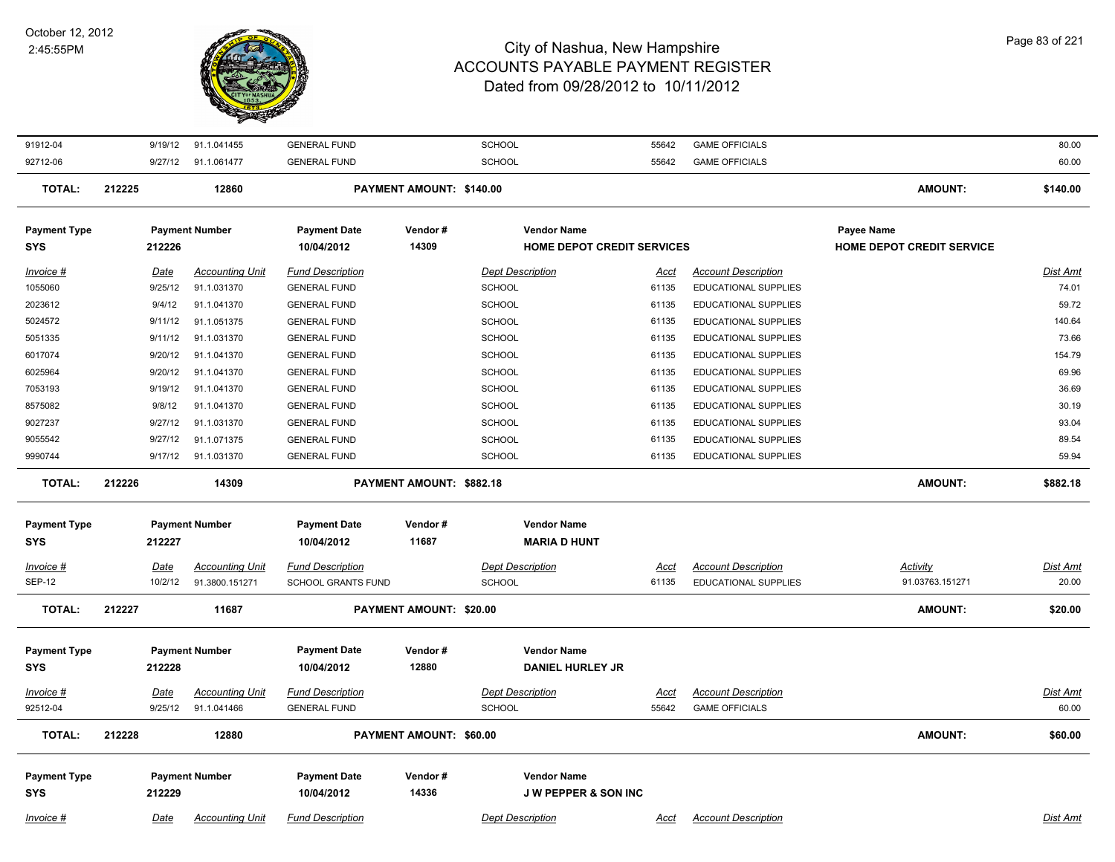

| 91912-04            | 9/19/12     | 91.1.041455            | <b>GENERAL FUND</b>       |                                 | <b>SCHOOL</b>                     | 55642       | <b>GAME OFFICIALS</b>       |                                  | 80.00           |
|---------------------|-------------|------------------------|---------------------------|---------------------------------|-----------------------------------|-------------|-----------------------------|----------------------------------|-----------------|
| 92712-06            |             | 9/27/12 91.1.061477    | <b>GENERAL FUND</b>       |                                 | SCHOOL                            | 55642       | <b>GAME OFFICIALS</b>       |                                  | 60.00           |
| <b>TOTAL:</b>       | 212225      | 12860                  |                           | PAYMENT AMOUNT: \$140.00        |                                   |             |                             | <b>AMOUNT:</b>                   | \$140.00        |
| <b>Payment Type</b> |             | <b>Payment Number</b>  | <b>Payment Date</b>       | Vendor#                         | <b>Vendor Name</b>                |             |                             | <b>Payee Name</b>                |                 |
| <b>SYS</b>          | 212226      |                        | 10/04/2012                | 14309                           | <b>HOME DEPOT CREDIT SERVICES</b> |             |                             | <b>HOME DEPOT CREDIT SERVICE</b> |                 |
| Invoice #           | Date        | <b>Accounting Unit</b> | <b>Fund Description</b>   |                                 | <b>Dept Description</b>           | Acct        | <b>Account Description</b>  |                                  | <b>Dist Amt</b> |
| 1055060             | 9/25/12     | 91.1.031370            | <b>GENERAL FUND</b>       |                                 | <b>SCHOOL</b>                     | 61135       | <b>EDUCATIONAL SUPPLIES</b> |                                  | 74.01           |
| 2023612             | 9/4/12      | 91.1.041370            | <b>GENERAL FUND</b>       |                                 | <b>SCHOOL</b>                     | 61135       | EDUCATIONAL SUPPLIES        |                                  | 59.72           |
| 5024572             | 9/11/12     | 91.1.051375            | <b>GENERAL FUND</b>       |                                 | <b>SCHOOL</b>                     | 61135       | EDUCATIONAL SUPPLIES        |                                  | 140.64          |
| 5051335             | 9/11/12     | 91.1.031370            | <b>GENERAL FUND</b>       |                                 | <b>SCHOOL</b>                     | 61135       | <b>EDUCATIONAL SUPPLIES</b> |                                  | 73.66           |
| 6017074             | 9/20/12     | 91.1.041370            | <b>GENERAL FUND</b>       |                                 | <b>SCHOOL</b>                     | 61135       | EDUCATIONAL SUPPLIES        |                                  | 154.79          |
| 6025964             | 9/20/12     | 91.1.041370            | <b>GENERAL FUND</b>       |                                 | <b>SCHOOL</b>                     | 61135       | <b>EDUCATIONAL SUPPLIES</b> |                                  | 69.96           |
| 7053193             | 9/19/12     | 91.1.041370            | <b>GENERAL FUND</b>       |                                 | <b>SCHOOL</b>                     | 61135       | <b>EDUCATIONAL SUPPLIES</b> |                                  | 36.69           |
| 8575082             | 9/8/12      | 91.1.041370            | <b>GENERAL FUND</b>       |                                 | SCHOOL                            | 61135       | EDUCATIONAL SUPPLIES        |                                  | 30.19           |
| 9027237             | 9/27/12     | 91.1.031370            | <b>GENERAL FUND</b>       |                                 | <b>SCHOOL</b>                     | 61135       | <b>EDUCATIONAL SUPPLIES</b> |                                  | 93.04           |
| 9055542             | 9/27/12     | 91.1.071375            | <b>GENERAL FUND</b>       |                                 | <b>SCHOOL</b>                     | 61135       | <b>EDUCATIONAL SUPPLIES</b> |                                  | 89.54           |
| 9990744             |             | 9/17/12 91.1.031370    | <b>GENERAL FUND</b>       |                                 | SCHOOL                            | 61135       | EDUCATIONAL SUPPLIES        |                                  | 59.94           |
|                     |             |                        |                           |                                 |                                   |             |                             |                                  |                 |
| <b>TOTAL:</b>       | 212226      | 14309                  |                           | <b>PAYMENT AMOUNT: \$882.18</b> |                                   |             |                             | <b>AMOUNT:</b>                   | \$882.18        |
| <b>Payment Type</b> |             | <b>Payment Number</b>  | <b>Payment Date</b>       | Vendor#                         | <b>Vendor Name</b>                |             |                             |                                  |                 |
| <b>SYS</b>          | 212227      |                        | 10/04/2012                | 11687                           | <b>MARIA D HUNT</b>               |             |                             |                                  |                 |
|                     |             |                        |                           |                                 |                                   |             |                             |                                  |                 |
| Invoice #           | Date        | <b>Accounting Unit</b> | <b>Fund Description</b>   |                                 | <b>Dept Description</b>           | Acct        | <b>Account Description</b>  | <b>Activity</b>                  | Dist Amt        |
| <b>SEP-12</b>       | 10/2/12     | 91.3800.151271         | <b>SCHOOL GRANTS FUND</b> |                                 | <b>SCHOOL</b>                     | 61135       | <b>EDUCATIONAL SUPPLIES</b> | 91.03763.151271                  | 20.00           |
| <b>TOTAL:</b>       | 212227      | 11687                  |                           | PAYMENT AMOUNT: \$20.00         |                                   |             |                             | <b>AMOUNT:</b>                   | \$20.00         |
|                     |             |                        |                           |                                 |                                   |             |                             |                                  |                 |
| <b>Payment Type</b> |             | <b>Payment Number</b>  | <b>Payment Date</b>       | Vendor#                         | <b>Vendor Name</b>                |             |                             |                                  |                 |
| <b>SYS</b>          | 212228      |                        | 10/04/2012                | 12880                           | <b>DANIEL HURLEY JR</b>           |             |                             |                                  |                 |
| Invoice #           | <u>Date</u> | <b>Accounting Unit</b> | <b>Fund Description</b>   |                                 | <b>Dept Description</b>           | <u>Acct</u> | <b>Account Description</b>  |                                  | <u>Dist Amt</u> |
| 92512-04            | 9/25/12     | 91.1.041466            | <b>GENERAL FUND</b>       |                                 | <b>SCHOOL</b>                     | 55642       | <b>GAME OFFICIALS</b>       |                                  | 60.00           |
| <b>TOTAL:</b>       | 212228      | 12880                  |                           | PAYMENT AMOUNT: \$60.00         |                                   |             |                             | <b>AMOUNT:</b>                   | \$60.00         |
|                     |             |                        |                           |                                 |                                   |             |                             |                                  |                 |
| <b>Payment Type</b> |             | <b>Payment Number</b>  | <b>Payment Date</b>       | Vendor#                         | <b>Vendor Name</b>                |             |                             |                                  |                 |
| <b>SYS</b>          | 212229      |                        | 10/04/2012                | 14336                           | <b>JW PEPPER &amp; SON INC</b>    |             |                             |                                  |                 |
|                     |             | <b>Accounting Unit</b> |                           |                                 |                                   |             |                             |                                  | Dist Amt        |
| Invoice #           | Date        |                        | <b>Fund Description</b>   |                                 | <b>Dept Description</b>           | Acct        | <b>Account Description</b>  |                                  |                 |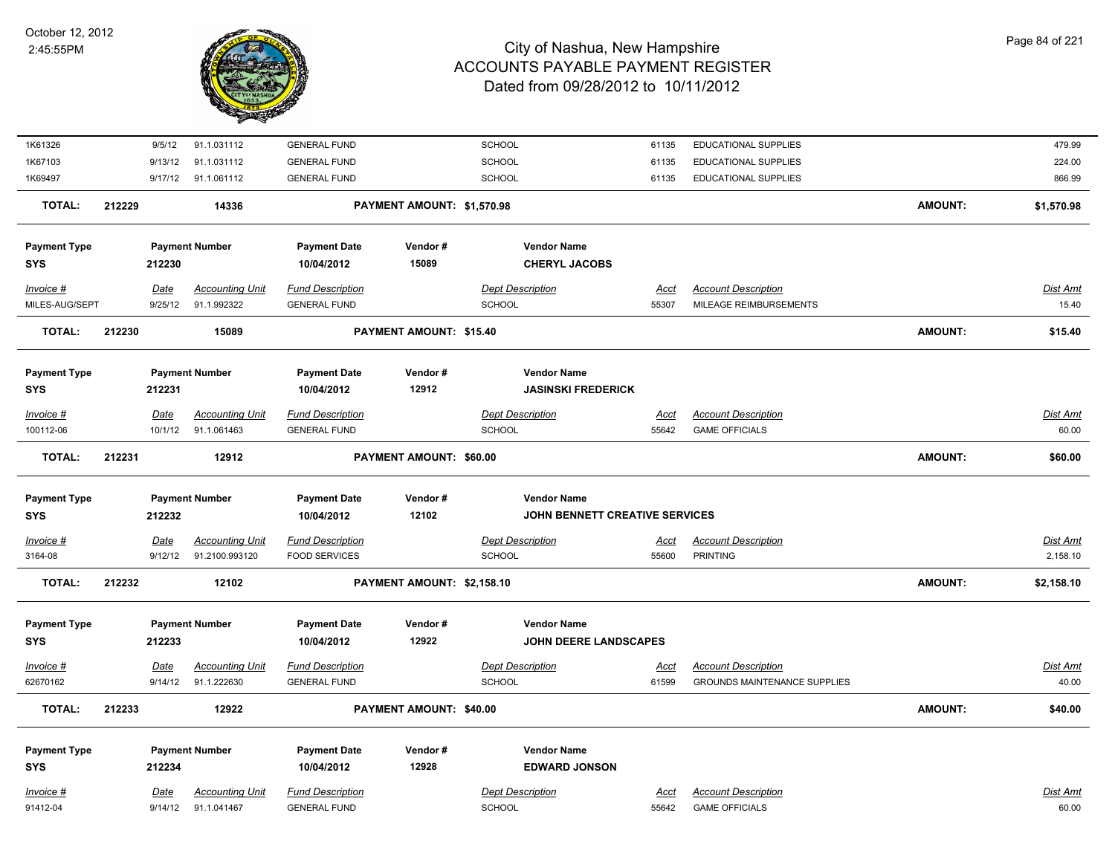

| 1K61326                           |        | 9/5/12                 | 91.1.031112                              | <b>GENERAL FUND</b>                             |                            | <b>SCHOOL</b>                                        | 61135                | EDUCATIONAL SUPPLIES                                 |                | 479.99                      |
|-----------------------------------|--------|------------------------|------------------------------------------|-------------------------------------------------|----------------------------|------------------------------------------------------|----------------------|------------------------------------------------------|----------------|-----------------------------|
| 1K67103                           |        | 9/13/12                | 91.1.031112                              | <b>GENERAL FUND</b>                             |                            | SCHOOL                                               | 61135                | EDUCATIONAL SUPPLIES                                 |                | 224.00                      |
| 1K69497                           |        |                        | 9/17/12 91.1.061112                      | <b>GENERAL FUND</b>                             |                            | SCHOOL                                               | 61135                | <b>EDUCATIONAL SUPPLIES</b>                          |                | 866.99                      |
| <b>TOTAL:</b>                     | 212229 |                        | 14336                                    |                                                 | PAYMENT AMOUNT: \$1,570.98 |                                                      |                      |                                                      | <b>AMOUNT:</b> | \$1,570.98                  |
| <b>Payment Type</b><br><b>SYS</b> |        | 212230                 | <b>Payment Number</b>                    | <b>Payment Date</b><br>10/04/2012               | Vendor#<br>15089           | <b>Vendor Name</b><br><b>CHERYL JACOBS</b>           |                      |                                                      |                |                             |
| Invoice #<br>MILES-AUG/SEPT       |        | <b>Date</b><br>9/25/12 | <b>Accounting Unit</b><br>91.1.992322    | <b>Fund Description</b><br><b>GENERAL FUND</b>  |                            | <b>Dept Description</b><br><b>SCHOOL</b>             | Acct<br>55307        | <b>Account Description</b><br>MILEAGE REIMBURSEMENTS |                | Dist Amt<br>15.40           |
| <b>TOTAL:</b>                     | 212230 |                        | 15089                                    |                                                 | PAYMENT AMOUNT: \$15.40    |                                                      |                      |                                                      | <b>AMOUNT:</b> | \$15.40                     |
| <b>Payment Type</b><br><b>SYS</b> |        | 212231                 | <b>Payment Number</b>                    | <b>Payment Date</b><br>10/04/2012               | Vendor#<br>12912           | <b>Vendor Name</b><br><b>JASINSKI FREDERICK</b>      |                      |                                                      |                |                             |
| Invoice #                         |        | Date                   | <b>Accounting Unit</b>                   | <b>Fund Description</b>                         |                            | <b>Dept Description</b>                              | Acct                 | <b>Account Description</b>                           |                | <b>Dist Amt</b>             |
| 100112-06                         |        | 10/1/12                | 91.1.061463                              | <b>GENERAL FUND</b>                             |                            | <b>SCHOOL</b>                                        | 55642                | <b>GAME OFFICIALS</b>                                |                | 60.00                       |
| <b>TOTAL:</b>                     | 212231 |                        | 12912                                    |                                                 | PAYMENT AMOUNT: \$60.00    |                                                      |                      |                                                      | <b>AMOUNT:</b> | \$60.00                     |
| <b>Payment Type</b><br><b>SYS</b> |        | 212232                 | <b>Payment Number</b>                    | <b>Payment Date</b><br>10/04/2012               | Vendor#<br>12102           | <b>Vendor Name</b><br>JOHN BENNETT CREATIVE SERVICES |                      |                                                      |                |                             |
| $Invoice$ #<br>3164-08            |        | Date<br>9/12/12        | <b>Accounting Unit</b><br>91.2100.993120 | <b>Fund Description</b><br><b>FOOD SERVICES</b> |                            | <b>Dept Description</b><br>SCHOOL                    | <u>Acct</u><br>55600 | <b>Account Description</b><br><b>PRINTING</b>        |                | <b>Dist Amt</b><br>2,158.10 |
| <b>TOTAL:</b>                     | 212232 |                        | 12102                                    |                                                 | PAYMENT AMOUNT: \$2,158.10 |                                                      |                      |                                                      | <b>AMOUNT:</b> | \$2,158.10                  |
| <b>Payment Type</b><br><b>SYS</b> |        | 212233                 | <b>Payment Number</b>                    | <b>Payment Date</b><br>10/04/2012               | Vendor#<br>12922           | <b>Vendor Name</b><br><b>JOHN DEERE LANDSCAPES</b>   |                      |                                                      |                |                             |
| Invoice #                         |        | Date                   | <b>Accounting Unit</b>                   | <b>Fund Description</b>                         |                            | <b>Dept Description</b>                              | <u>Acct</u>          | <b>Account Description</b>                           |                | <b>Dist Amt</b>             |
| 62670162                          |        |                        | 9/14/12 91.1.222630                      | <b>GENERAL FUND</b>                             |                            | SCHOOL                                               | 61599                | <b>GROUNDS MAINTENANCE SUPPLIES</b>                  |                | 40.00                       |
| <b>TOTAL:</b>                     | 212233 |                        | 12922                                    |                                                 | PAYMENT AMOUNT: \$40.00    |                                                      |                      |                                                      | <b>AMOUNT:</b> | \$40.00                     |
| <b>Payment Type</b><br><b>SYS</b> |        | 212234                 | <b>Payment Number</b>                    | <b>Payment Date</b><br>10/04/2012               | Vendor#<br>12928           | <b>Vendor Name</b><br><b>EDWARD JONSON</b>           |                      |                                                      |                |                             |
| Invoice #                         |        | Date                   | <b>Accounting Unit</b>                   | <b>Fund Description</b>                         |                            | <b>Dept Description</b>                              | Acct                 | <b>Account Description</b>                           |                | Dist Amt                    |
| 91412-04                          |        | 9/14/12                | 91.1.041467                              | <b>GENERAL FUND</b>                             |                            | SCHOOL                                               | 55642                | <b>GAME OFFICIALS</b>                                |                | 60.00                       |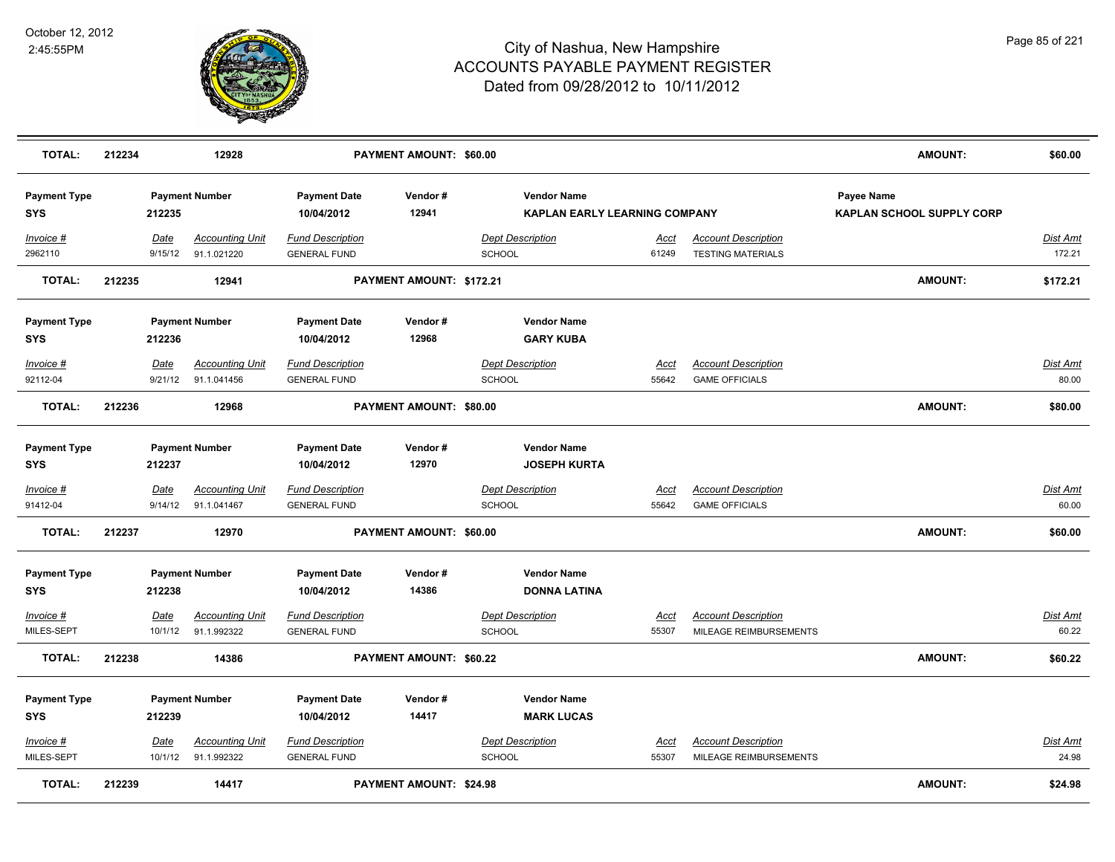

| <b>TOTAL:</b>                     | 212234 |                        | 12928                                 |                                                | <b>PAYMENT AMOUNT: \$60.00</b> |                                           |                                      |                                                        | <b>AMOUNT:</b>                                 | \$60.00                  |
|-----------------------------------|--------|------------------------|---------------------------------------|------------------------------------------------|--------------------------------|-------------------------------------------|--------------------------------------|--------------------------------------------------------|------------------------------------------------|--------------------------|
| <b>Payment Type</b><br><b>SYS</b> |        | 212235                 | <b>Payment Number</b>                 | <b>Payment Date</b><br>10/04/2012              | Vendor#<br>12941               | <b>Vendor Name</b>                        | <b>KAPLAN EARLY LEARNING COMPANY</b> |                                                        | Payee Name<br><b>KAPLAN SCHOOL SUPPLY CORP</b> |                          |
| Invoice #<br>2962110              |        | Date<br>9/15/12        | <b>Accounting Unit</b><br>91.1.021220 | <b>Fund Description</b><br><b>GENERAL FUND</b> |                                | <b>Dept Description</b><br>SCHOOL         | <u>Acct</u><br>61249                 | <b>Account Description</b><br><b>TESTING MATERIALS</b> |                                                | Dist Amt<br>172.21       |
| <b>TOTAL:</b>                     | 212235 |                        | 12941                                 |                                                | PAYMENT AMOUNT: \$172.21       |                                           |                                      |                                                        | <b>AMOUNT:</b>                                 | \$172.21                 |
| <b>Payment Type</b><br>SYS        |        | 212236                 | <b>Payment Number</b>                 | <b>Payment Date</b><br>10/04/2012              | Vendor#<br>12968               | <b>Vendor Name</b><br><b>GARY KUBA</b>    |                                      |                                                        |                                                |                          |
| Invoice #<br>92112-04             |        | Date<br>9/21/12        | <b>Accounting Unit</b><br>91.1.041456 | <b>Fund Description</b><br><b>GENERAL FUND</b> |                                | <b>Dept Description</b><br>SCHOOL         | Acct<br>55642                        | <b>Account Description</b><br><b>GAME OFFICIALS</b>    |                                                | Dist Amt<br>80.00        |
| <b>TOTAL:</b>                     | 212236 |                        | 12968                                 |                                                | PAYMENT AMOUNT: \$80.00        |                                           |                                      |                                                        | <b>AMOUNT:</b>                                 | \$80.00                  |
| <b>Payment Type</b><br>SYS        |        | 212237                 | <b>Payment Number</b>                 | <b>Payment Date</b><br>10/04/2012              | Vendor#<br>12970               | <b>Vendor Name</b><br><b>JOSEPH KURTA</b> |                                      |                                                        |                                                |                          |
| Invoice #<br>91412-04             |        | <b>Date</b><br>9/14/12 | <b>Accounting Unit</b><br>91.1.041467 | <b>Fund Description</b><br><b>GENERAL FUND</b> |                                | <b>Dept Description</b><br><b>SCHOOL</b>  | <u>Acct</u><br>55642                 | <b>Account Description</b><br><b>GAME OFFICIALS</b>    |                                                | <b>Dist Amt</b><br>60.00 |
| <b>TOTAL:</b>                     | 212237 |                        | 12970                                 |                                                | PAYMENT AMOUNT: \$60.00        |                                           |                                      |                                                        | <b>AMOUNT:</b>                                 | \$60.00                  |
| <b>Payment Type</b><br><b>SYS</b> |        | 212238                 | <b>Payment Number</b>                 | <b>Payment Date</b><br>10/04/2012              | Vendor#<br>14386               | <b>Vendor Name</b><br><b>DONNA LATINA</b> |                                      |                                                        |                                                |                          |
| Invoice #<br>MILES-SEPT           |        | Date<br>10/1/12        | <b>Accounting Unit</b><br>91.1.992322 | <b>Fund Description</b><br><b>GENERAL FUND</b> |                                | <b>Dept Description</b><br><b>SCHOOL</b>  | <b>Acct</b><br>55307                 | <b>Account Description</b><br>MILEAGE REIMBURSEMENTS   |                                                | <b>Dist Amt</b><br>60.22 |
| TOTAL:                            | 212238 |                        | 14386                                 |                                                | PAYMENT AMOUNT: \$60.22        |                                           |                                      |                                                        | <b>AMOUNT:</b>                                 | \$60.22                  |
| <b>Payment Type</b><br><b>SYS</b> |        | 212239                 | <b>Payment Number</b>                 | <b>Payment Date</b><br>10/04/2012              | Vendor#<br>14417               | <b>Vendor Name</b><br><b>MARK LUCAS</b>   |                                      |                                                        |                                                |                          |
| Invoice #<br>MILES-SEPT           |        | <b>Date</b><br>10/1/12 | <b>Accounting Unit</b><br>91.1.992322 | <b>Fund Description</b><br><b>GENERAL FUND</b> |                                | <b>Dept Description</b><br><b>SCHOOL</b>  | Acct<br>55307                        | <b>Account Description</b><br>MILEAGE REIMBURSEMENTS   |                                                | Dist Amt<br>24.98        |
| <b>TOTAL:</b>                     | 212239 |                        | 14417                                 |                                                | <b>PAYMENT AMOUNT: \$24.98</b> |                                           |                                      |                                                        | <b>AMOUNT:</b>                                 | \$24.98                  |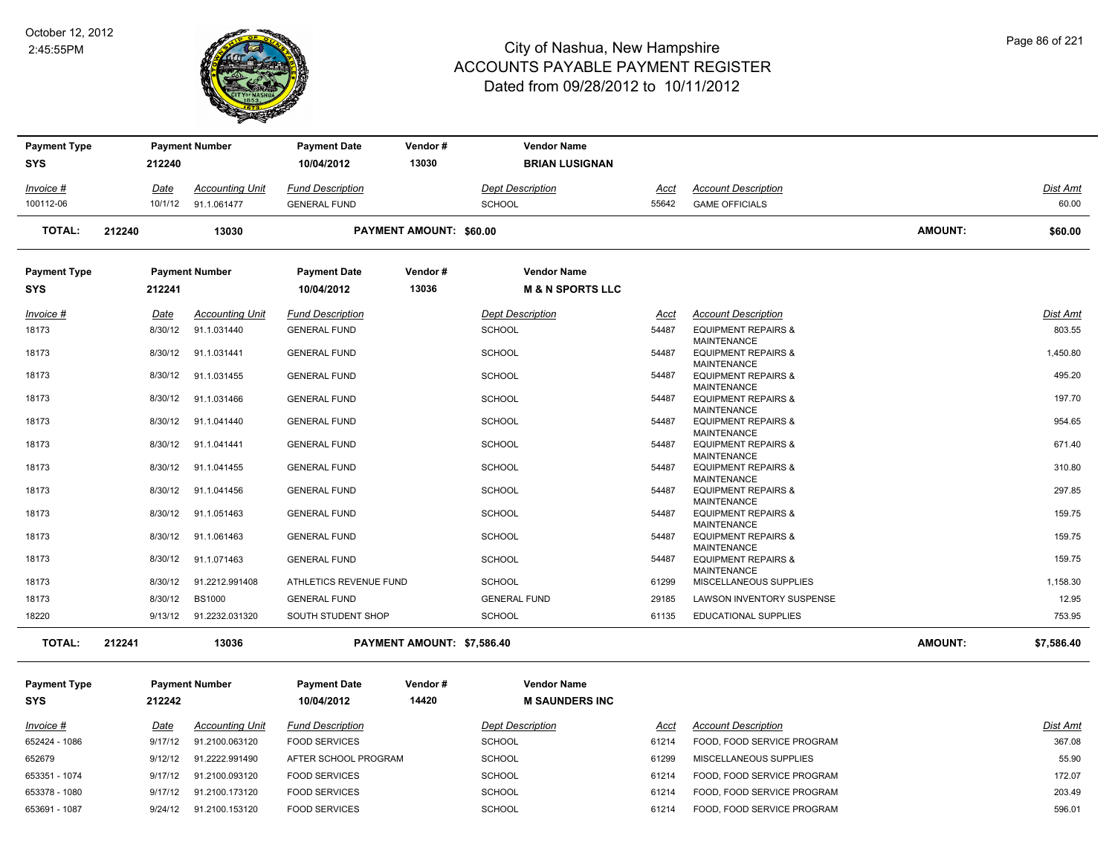

| <b>Payment Type</b><br><b>SYS</b> |        | 212240      | <b>Payment Number</b>  | <b>Payment Date</b><br>10/04/2012 | Vendor#<br>13030               |                         | <b>Vendor Name</b><br><b>BRIAN LUSIGNAN</b>       |               |                                                      |                |                 |
|-----------------------------------|--------|-------------|------------------------|-----------------------------------|--------------------------------|-------------------------|---------------------------------------------------|---------------|------------------------------------------------------|----------------|-----------------|
|                                   |        |             |                        |                                   |                                |                         |                                                   |               |                                                      |                |                 |
| Invoice #                         |        | Date        | <b>Accounting Unit</b> | <b>Fund Description</b>           |                                |                         | <b>Dept Description</b>                           | <u>Acct</u>   | <b>Account Description</b>                           |                | Dist Amt        |
| 100112-06                         |        | 10/1/12     | 91.1.061477            | <b>GENERAL FUND</b>               |                                | <b>SCHOOL</b>           |                                                   | 55642         | <b>GAME OFFICIALS</b>                                |                | 60.00           |
| <b>TOTAL:</b>                     | 212240 |             | 13030                  |                                   | <b>PAYMENT AMOUNT: \$60.00</b> |                         |                                                   |               |                                                      | AMOUNT:        | \$60.00         |
| <b>Payment Type</b><br><b>SYS</b> |        | 212241      | <b>Payment Number</b>  | <b>Payment Date</b><br>10/04/2012 | Vendor#<br>13036               |                         | <b>Vendor Name</b><br><b>M &amp; N SPORTS LLC</b> |               |                                                      |                |                 |
| Invoice #                         |        | <u>Date</u> | <b>Accounting Unit</b> | <b>Fund Description</b>           |                                | <b>Dept Description</b> |                                                   | Acct          | <b>Account Description</b>                           |                | <b>Dist Amt</b> |
| 18173                             |        | 8/30/12     | 91.1.031440            | <b>GENERAL FUND</b>               |                                | <b>SCHOOL</b>           |                                                   | 54487         | <b>EQUIPMENT REPAIRS &amp;</b>                       |                | 803.55          |
| 18173                             |        | 8/30/12     | 91.1.031441            | <b>GENERAL FUND</b>               |                                | <b>SCHOOL</b>           |                                                   | 54487         | <b>MAINTENANCE</b><br><b>EQUIPMENT REPAIRS &amp;</b> |                | 1,450.80        |
| 18173                             |        | 8/30/12     | 91.1.031455            | <b>GENERAL FUND</b>               |                                | <b>SCHOOL</b>           |                                                   | 54487         | <b>MAINTENANCE</b><br><b>EQUIPMENT REPAIRS &amp;</b> |                | 495.20          |
| 18173                             |        | 8/30/12     | 91.1.031466            | <b>GENERAL FUND</b>               |                                | <b>SCHOOL</b>           |                                                   | 54487         | <b>MAINTENANCE</b><br><b>EQUIPMENT REPAIRS &amp;</b> |                | 197.70          |
| 18173                             |        | 8/30/12     | 91.1.041440            | <b>GENERAL FUND</b>               |                                | SCHOOL                  |                                                   | 54487         | <b>MAINTENANCE</b><br><b>EQUIPMENT REPAIRS &amp;</b> |                | 954.65          |
| 18173                             |        | 8/30/12     | 91.1.041441            | <b>GENERAL FUND</b>               |                                | <b>SCHOOL</b>           |                                                   | 54487         | <b>MAINTENANCE</b><br><b>EQUIPMENT REPAIRS &amp;</b> |                | 671.40          |
| 18173                             |        | 8/30/12     | 91.1.041455            | <b>GENERAL FUND</b>               |                                | <b>SCHOOL</b>           |                                                   | 54487         | <b>MAINTENANCE</b><br><b>EQUIPMENT REPAIRS &amp;</b> |                | 310.80          |
| 18173                             |        | 8/30/12     | 91.1.041456            | <b>GENERAL FUND</b>               |                                | <b>SCHOOL</b>           |                                                   | 54487         | <b>MAINTENANCE</b><br><b>EQUIPMENT REPAIRS &amp;</b> |                | 297.85          |
|                                   |        |             |                        |                                   |                                |                         |                                                   |               | <b>MAINTENANCE</b>                                   |                |                 |
| 18173                             |        | 8/30/12     | 91.1.051463            | <b>GENERAL FUND</b>               |                                | SCHOOL                  |                                                   | 54487         | <b>EQUIPMENT REPAIRS &amp;</b><br><b>MAINTENANCE</b> |                | 159.75          |
| 18173                             |        | 8/30/12     | 91.1.061463            | <b>GENERAL FUND</b>               |                                | <b>SCHOOL</b>           |                                                   | 54487         | <b>EQUIPMENT REPAIRS &amp;</b><br><b>MAINTENANCE</b> |                | 159.75          |
| 18173                             |        | 8/30/12     | 91.1.071463            | <b>GENERAL FUND</b>               |                                | SCHOOL                  |                                                   | 54487         | <b>EQUIPMENT REPAIRS &amp;</b><br><b>MAINTENANCE</b> |                | 159.75          |
| 18173                             |        | 8/30/12     | 91.2212.991408         | ATHLETICS REVENUE FUND            |                                | <b>SCHOOL</b>           |                                                   | 61299         | MISCELLANEOUS SUPPLIES                               |                | 1,158.30        |
| 18173                             |        | 8/30/12     | <b>BS1000</b>          | <b>GENERAL FUND</b>               |                                | <b>GENERAL FUND</b>     |                                                   | 29185         | LAWSON INVENTORY SUSPENSE                            |                | 12.95           |
| 18220                             |        | 9/13/12     | 91.2232.031320         | SOUTH STUDENT SHOP                |                                | <b>SCHOOL</b>           |                                                   | 61135         | <b>EDUCATIONAL SUPPLIES</b>                          |                | 753.95          |
| <b>TOTAL:</b>                     | 212241 |             | 13036                  |                                   | PAYMENT AMOUNT: \$7,586.40     |                         |                                                   |               |                                                      | <b>AMOUNT:</b> | \$7,586.40      |
| <b>Payment Type</b>               |        |             | <b>Payment Number</b>  | <b>Payment Date</b>               | Vendor#                        |                         | <b>Vendor Name</b>                                |               |                                                      |                |                 |
| <b>SYS</b>                        |        | 212242      |                        | 10/04/2012                        | 14420                          |                         | <b>M SAUNDERS INC</b>                             |               |                                                      |                |                 |
| Invoice #                         |        | Date        | <b>Accounting Unit</b> | <b>Fund Description</b>           |                                | <b>Dept Description</b> |                                                   |               | <b>Account Description</b>                           |                | Dist Amt        |
| 652424 - 1086                     |        | 9/17/12     | 91.2100.063120         | <b>FOOD SERVICES</b>              |                                | <b>SCHOOL</b>           |                                                   | Acct<br>61214 | FOOD, FOOD SERVICE PROGRAM                           |                | 367.08          |
|                                   |        |             |                        |                                   |                                |                         |                                                   |               |                                                      |                |                 |

652679 9/12/12 91.2222.991490 AFTER SCHOOL PROGRAM SCHOOL 61299 MISCELLANEOUS SUPPLIES 55.90 653351 - 1074 91/17/12 91.2100.093120 FOOD SERVICES SCHOOL SCHOOL 61214 FOOD, FOOD SERVICE PROGRAM 172.07 653378 - 1080 9/17/12 91.2100.173120 FOOD SERVICES SCHOOL SCHOOL 61214 FOOD, FOOD SERVICE PROGRAM 203.49 653691 - 1087 9/24/12 91.2100.153120 FOOD SERVICES SCHOOL SCHOOL 61214 FOOD, FOOD SERVICE PROGRAM 596.01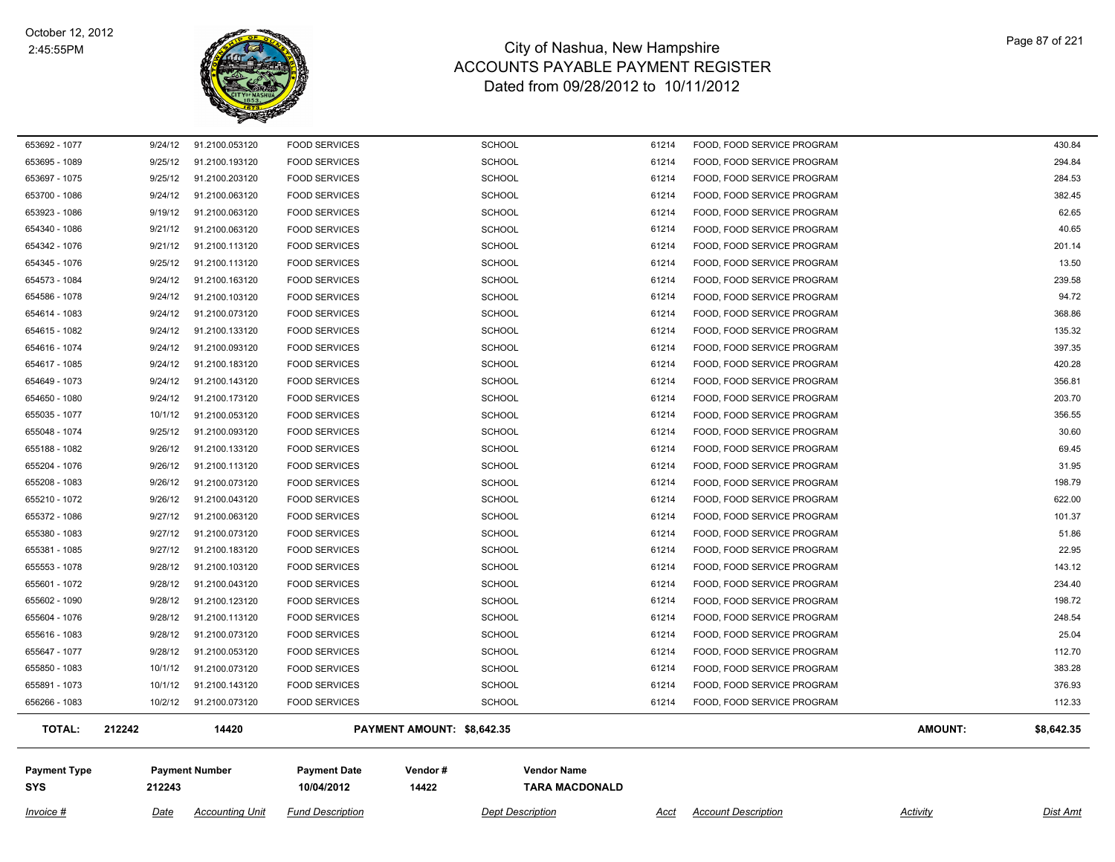

| Invoice #                         | Date    | <b>Accounting Unit</b> | <b>Fund Description</b>           |                            | <b>Dept Description</b>                     | Acct  | <b>Account Description</b> | Activity | Dist Amt   |
|-----------------------------------|---------|------------------------|-----------------------------------|----------------------------|---------------------------------------------|-------|----------------------------|----------|------------|
| <b>Payment Type</b><br><b>SYS</b> | 212243  | <b>Payment Number</b>  | <b>Payment Date</b><br>10/04/2012 | Vendor#<br>14422           | <b>Vendor Name</b><br><b>TARA MACDONALD</b> |       |                            |          |            |
| <b>TOTAL:</b>                     | 212242  | 14420                  |                                   | PAYMENT AMOUNT: \$8,642.35 |                                             |       |                            | AMOUNT:  | \$8,642.35 |
| 656266 - 1083                     | 10/2/12 | 91.2100.073120         | <b>FOOD SERVICES</b>              | <b>SCHOOL</b>              |                                             | 61214 | FOOD, FOOD SERVICE PROGRAM |          | 112.33     |
| 655891 - 1073                     | 10/1/12 | 91.2100.143120         | <b>FOOD SERVICES</b>              | <b>SCHOOL</b>              |                                             | 61214 | FOOD, FOOD SERVICE PROGRAM |          | 376.93     |
| 655850 - 1083                     | 10/1/12 | 91.2100.073120         | <b>FOOD SERVICES</b>              | <b>SCHOOL</b>              |                                             | 61214 | FOOD, FOOD SERVICE PROGRAM |          | 383.28     |
| 655647 - 1077                     | 9/28/12 | 91.2100.053120         | <b>FOOD SERVICES</b>              | <b>SCHOOL</b>              |                                             | 61214 | FOOD, FOOD SERVICE PROGRAM |          | 112.70     |
| 655616 - 1083                     | 9/28/12 | 91.2100.073120         | <b>FOOD SERVICES</b>              | <b>SCHOOL</b>              |                                             | 61214 | FOOD, FOOD SERVICE PROGRAM |          | 25.04      |
| 655604 - 1076                     | 9/28/12 | 91.2100.113120         | <b>FOOD SERVICES</b>              | <b>SCHOOL</b>              |                                             | 61214 | FOOD, FOOD SERVICE PROGRAM |          | 248.54     |
| 655602 - 1090                     | 9/28/12 | 91.2100.123120         | <b>FOOD SERVICES</b>              | <b>SCHOOL</b>              |                                             | 61214 | FOOD, FOOD SERVICE PROGRAM |          | 198.72     |
| 655601 - 1072                     | 9/28/12 | 91.2100.043120         | <b>FOOD SERVICES</b>              | SCHOOL                     |                                             | 61214 | FOOD, FOOD SERVICE PROGRAM |          | 234.40     |
| 655553 - 1078                     | 9/28/12 | 91.2100.103120         | <b>FOOD SERVICES</b>              | <b>SCHOOL</b>              |                                             | 61214 | FOOD, FOOD SERVICE PROGRAM |          | 143.12     |
| 655381 - 1085                     | 9/27/12 | 91.2100.183120         | <b>FOOD SERVICES</b>              | <b>SCHOOL</b>              |                                             | 61214 | FOOD, FOOD SERVICE PROGRAM |          | 22.95      |
| 655380 - 1083                     | 9/27/12 | 91.2100.073120         | <b>FOOD SERVICES</b>              | <b>SCHOOL</b>              |                                             | 61214 | FOOD, FOOD SERVICE PROGRAM |          | 51.86      |
| 655372 - 1086                     | 9/27/12 | 91.2100.063120         | <b>FOOD SERVICES</b>              | <b>SCHOOL</b>              |                                             | 61214 | FOOD, FOOD SERVICE PROGRAM |          | 101.37     |
| 655210 - 1072                     | 9/26/12 | 91.2100.043120         | <b>FOOD SERVICES</b>              | <b>SCHOOL</b>              |                                             | 61214 | FOOD, FOOD SERVICE PROGRAM |          | 622.00     |
| 655208 - 1083                     | 9/26/12 | 91.2100.073120         | <b>FOOD SERVICES</b>              | <b>SCHOOL</b>              |                                             | 61214 | FOOD, FOOD SERVICE PROGRAM |          | 198.79     |
| 655204 - 1076                     | 9/26/12 | 91.2100.113120         | <b>FOOD SERVICES</b>              | <b>SCHOOL</b>              |                                             | 61214 | FOOD, FOOD SERVICE PROGRAM |          | 31.95      |
| 655188 - 1082                     | 9/26/12 | 91.2100.133120         | <b>FOOD SERVICES</b>              | <b>SCHOOL</b>              |                                             | 61214 | FOOD, FOOD SERVICE PROGRAM |          | 69.45      |
| 655048 - 1074                     | 9/25/12 | 91.2100.093120         | <b>FOOD SERVICES</b>              | <b>SCHOOL</b>              |                                             | 61214 | FOOD, FOOD SERVICE PROGRAM |          | 30.60      |
| 655035 - 1077                     | 10/1/12 | 91.2100.053120         | <b>FOOD SERVICES</b>              | <b>SCHOOL</b>              |                                             | 61214 | FOOD, FOOD SERVICE PROGRAM |          | 356.55     |
| 654650 - 1080                     | 9/24/12 | 91.2100.173120         | <b>FOOD SERVICES</b>              | SCHOOL                     |                                             | 61214 | FOOD, FOOD SERVICE PROGRAM |          | 203.70     |
| 654649 - 1073                     | 9/24/12 | 91.2100.143120         | <b>FOOD SERVICES</b>              | <b>SCHOOL</b>              |                                             | 61214 | FOOD, FOOD SERVICE PROGRAM |          | 356.81     |
| 654617 - 1085                     | 9/24/12 | 91.2100.183120         | <b>FOOD SERVICES</b>              | <b>SCHOOL</b>              |                                             | 61214 | FOOD, FOOD SERVICE PROGRAM |          | 420.28     |
| 654616 - 1074                     | 9/24/12 | 91.2100.093120         | <b>FOOD SERVICES</b>              | <b>SCHOOL</b>              |                                             | 61214 | FOOD, FOOD SERVICE PROGRAM |          | 397.35     |
| 654615 - 1082                     | 9/24/12 | 91.2100.133120         | <b>FOOD SERVICES</b>              | <b>SCHOOL</b>              |                                             | 61214 | FOOD, FOOD SERVICE PROGRAM |          | 135.32     |
| 654614 - 1083                     | 9/24/12 | 91.2100.073120         | <b>FOOD SERVICES</b>              | <b>SCHOOL</b>              |                                             | 61214 | FOOD, FOOD SERVICE PROGRAM |          | 368.86     |
| 654586 - 1078                     | 9/24/12 | 91.2100.103120         | <b>FOOD SERVICES</b>              | <b>SCHOOL</b>              |                                             | 61214 | FOOD, FOOD SERVICE PROGRAM |          | 94.72      |
| 654573 - 1084                     | 9/24/12 | 91.2100.163120         | <b>FOOD SERVICES</b>              | <b>SCHOOL</b>              |                                             | 61214 | FOOD, FOOD SERVICE PROGRAM |          | 239.58     |
| 654345 - 1076                     | 9/25/12 | 91.2100.113120         | <b>FOOD SERVICES</b>              | <b>SCHOOL</b>              |                                             | 61214 | FOOD, FOOD SERVICE PROGRAM |          | 13.50      |
| 654342 - 1076                     | 9/21/12 | 91.2100.113120         | <b>FOOD SERVICES</b>              | SCHOOL                     |                                             | 61214 | FOOD, FOOD SERVICE PROGRAM |          | 201.14     |
| 654340 - 1086                     | 9/21/12 | 91.2100.063120         | <b>FOOD SERVICES</b>              | <b>SCHOOL</b>              |                                             | 61214 | FOOD, FOOD SERVICE PROGRAM |          | 40.65      |
| 653923 - 1086                     | 9/19/12 | 91.2100.063120         | <b>FOOD SERVICES</b>              | <b>SCHOOL</b>              |                                             | 61214 | FOOD, FOOD SERVICE PROGRAM |          | 62.65      |
| 653700 - 1086                     | 9/24/12 | 91.2100.063120         | <b>FOOD SERVICES</b>              | <b>SCHOOL</b>              |                                             | 61214 | FOOD, FOOD SERVICE PROGRAM |          | 382.45     |
| 653697 - 1075                     | 9/25/12 | 91.2100.203120         | <b>FOOD SERVICES</b>              | <b>SCHOOL</b>              |                                             | 61214 | FOOD, FOOD SERVICE PROGRAM |          | 284.53     |
| 653695 - 1089                     | 9/25/12 | 91.2100.193120         | <b>FOOD SERVICES</b>              | <b>SCHOOL</b>              |                                             | 61214 | FOOD, FOOD SERVICE PROGRAM |          | 294.84     |
| 653692 - 1077                     | 9/24/12 | 91.2100.053120         | <b>FOOD SERVICES</b>              | <b>SCHOOL</b>              |                                             | 61214 | FOOD, FOOD SERVICE PROGRAM |          | 430.84     |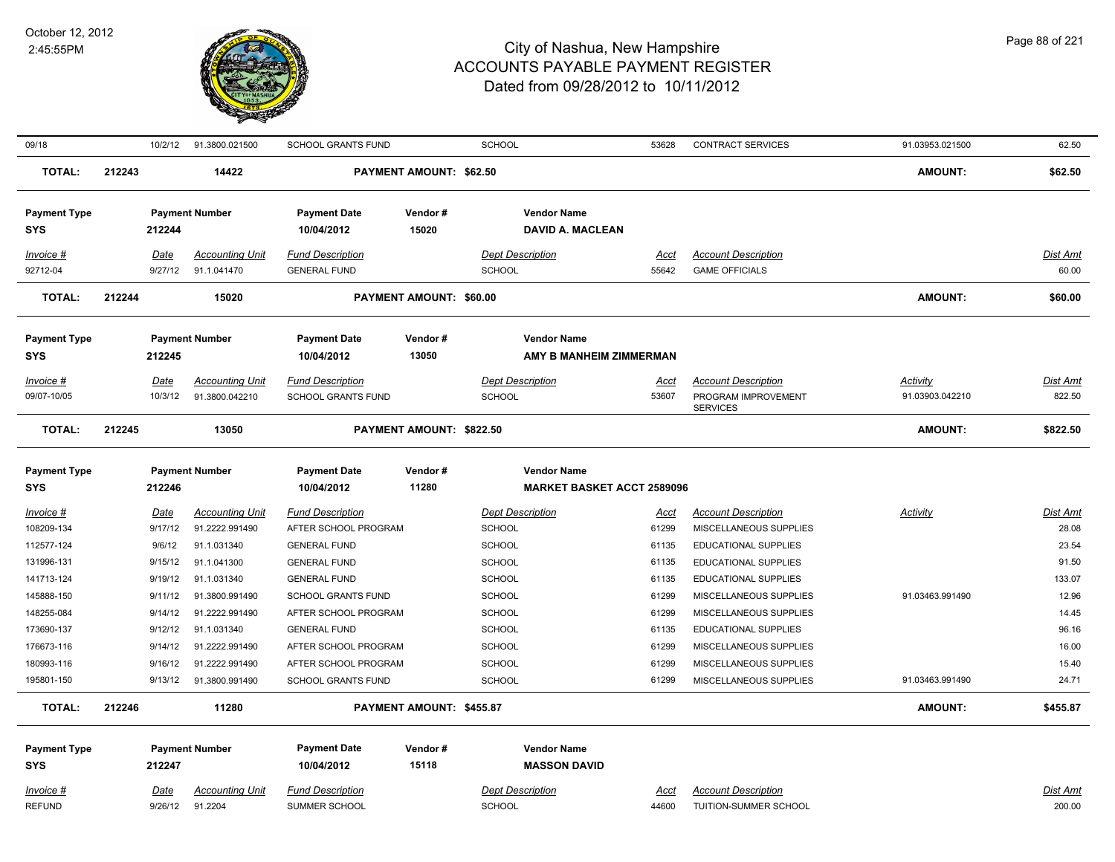

| 09/18                             |        | 10/2/12                | 91.3800.021500                    | SCHOOL GRANTS FUND                       |                                | <b>SCHOOL</b>                             | 53628                | <b>CONTRACT SERVICES</b>                            | 91.03953.021500 | 62.50              |
|-----------------------------------|--------|------------------------|-----------------------------------|------------------------------------------|--------------------------------|-------------------------------------------|----------------------|-----------------------------------------------------|-----------------|--------------------|
| <b>TOTAL:</b>                     | 212243 |                        | 14422                             |                                          | <b>PAYMENT AMOUNT: \$62.50</b> |                                           |                      |                                                     | <b>AMOUNT:</b>  | \$62.50            |
| <b>Payment Type</b>               |        |                        | <b>Payment Number</b>             | <b>Payment Date</b>                      | Vendor#                        | <b>Vendor Name</b>                        |                      |                                                     |                 |                    |
| <b>SYS</b>                        |        | 212244                 |                                   | 10/04/2012                               | 15020                          | <b>DAVID A. MACLEAN</b>                   |                      |                                                     |                 |                    |
| $Invoice$ #                       |        | <b>Date</b>            | <b>Accounting Unit</b>            | <b>Fund Description</b>                  |                                | <b>Dept Description</b>                   | <u>Acct</u>          | <b>Account Description</b>                          |                 | <u>Dist Amt</u>    |
| 92712-04                          |        | 9/27/12                | 91.1.041470                       | <b>GENERAL FUND</b>                      |                                | SCHOOL                                    | 55642                | <b>GAME OFFICIALS</b>                               |                 | 60.00              |
| <b>TOTAL:</b>                     | 212244 |                        | 15020                             |                                          | PAYMENT AMOUNT: \$60.00        |                                           |                      |                                                     | <b>AMOUNT:</b>  | \$60.00            |
| <b>Payment Type</b>               |        |                        | <b>Payment Number</b>             | <b>Payment Date</b>                      | Vendor#                        | <b>Vendor Name</b>                        |                      |                                                     |                 |                    |
| <b>SYS</b>                        |        | 212245                 |                                   | 10/04/2012                               | 13050                          | AMY B MANHEIM ZIMMERMAN                   |                      |                                                     |                 |                    |
| Invoice #                         |        | Date                   | <b>Accounting Unit</b>            | <b>Fund Description</b>                  |                                | <b>Dept Description</b>                   | Acct                 | <b>Account Description</b>                          | Activity        | Dist Amt           |
| 09/07-10/05                       |        | 10/3/12                | 91.3800.042210                    | <b>SCHOOL GRANTS FUND</b>                |                                | SCHOOL                                    | 53607                | PROGRAM IMPROVEMENT<br><b>SERVICES</b>              | 91.03903.042210 | 822.50             |
| <b>TOTAL:</b>                     | 212245 |                        | 13050                             |                                          | PAYMENT AMOUNT: \$822.50       |                                           |                      |                                                     | <b>AMOUNT:</b>  | \$822.50           |
| <b>Payment Type</b>               |        |                        | <b>Payment Number</b>             | <b>Payment Date</b>                      | Vendor#                        | <b>Vendor Name</b>                        |                      |                                                     |                 |                    |
| <b>SYS</b>                        |        | 212246                 |                                   | 10/04/2012                               | 11280                          | <b>MARKET BASKET ACCT 2589096</b>         |                      |                                                     |                 |                    |
| Invoice #                         |        | Date                   | <b>Accounting Unit</b>            | <b>Fund Description</b>                  |                                | <b>Dept Description</b>                   | Acct                 | <b>Account Description</b>                          | Activity        | Dist Amt           |
| 108209-134                        |        | 9/17/12                | 91.2222.991490                    | AFTER SCHOOL PROGRAM                     |                                | SCHOOL                                    | 61299                | MISCELLANEOUS SUPPLIES                              |                 | 28.08              |
| 112577-124                        |        | 9/6/12                 | 91.1.031340                       | <b>GENERAL FUND</b>                      |                                | <b>SCHOOL</b>                             | 61135                | <b>EDUCATIONAL SUPPLIES</b>                         |                 | 23.54              |
| 131996-131                        |        | 9/15/12                | 91.1.041300                       | <b>GENERAL FUND</b>                      |                                | SCHOOL                                    | 61135                | <b>EDUCATIONAL SUPPLIES</b>                         |                 | 91.50              |
| 141713-124                        |        | 9/19/12                | 91.1.031340                       | <b>GENERAL FUND</b>                      |                                | <b>SCHOOL</b>                             | 61135                | <b>EDUCATIONAL SUPPLIES</b>                         |                 | 133.07             |
| 145888-150                        |        | 9/11/12                | 91.3800.991490                    | <b>SCHOOL GRANTS FUND</b>                |                                | <b>SCHOOL</b>                             | 61299                | MISCELLANEOUS SUPPLIES                              | 91.03463.991490 | 12.96              |
| 148255-084                        |        | 9/14/12                | 91.2222.991490                    | AFTER SCHOOL PROGRAM                     |                                | SCHOOL                                    | 61299                | MISCELLANEOUS SUPPLIES                              |                 | 14.45              |
| 173690-137                        |        | 9/12/12                | 91.1.031340                       | <b>GENERAL FUND</b>                      |                                | <b>SCHOOL</b>                             | 61135                | <b>EDUCATIONAL SUPPLIES</b>                         |                 | 96.16              |
| 176673-116                        |        | 9/14/12                | 91.2222.991490                    | AFTER SCHOOL PROGRAM                     |                                | SCHOOL                                    | 61299                | MISCELLANEOUS SUPPLIES                              |                 | 16.00              |
| 180993-116                        |        | 9/16/12                | 91.2222.991490                    | AFTER SCHOOL PROGRAM                     |                                | SCHOOL                                    | 61299                | MISCELLANEOUS SUPPLIES                              |                 | 15.40              |
| 195801-150                        |        | 9/13/12                | 91.3800.991490                    | <b>SCHOOL GRANTS FUND</b>                |                                | <b>SCHOOL</b>                             | 61299                | MISCELLANEOUS SUPPLIES                              | 91.03463.991490 | 24.71              |
| <b>TOTAL:</b>                     | 212246 |                        | 11280                             |                                          | PAYMENT AMOUNT: \$455.87       |                                           |                      |                                                     | <b>AMOUNT:</b>  | \$455.87           |
| <b>Payment Type</b><br><b>SYS</b> |        | 212247                 | <b>Payment Number</b>             | <b>Payment Date</b><br>10/04/2012        | Vendor #<br>15118              | <b>Vendor Name</b><br><b>MASSON DAVID</b> |                      |                                                     |                 |                    |
|                                   |        |                        |                                   |                                          |                                |                                           |                      |                                                     |                 |                    |
| $Invoice$ #<br><b>REFUND</b>      |        | <u>Date</u><br>9/26/12 | <b>Accounting Unit</b><br>91.2204 | <b>Fund Description</b><br>SUMMER SCHOOL |                                | <b>Dept Description</b><br>SCHOOL         | <b>Acct</b><br>44600 | <b>Account Description</b><br>TUITION-SUMMER SCHOOL |                 | Dist Amt<br>200.00 |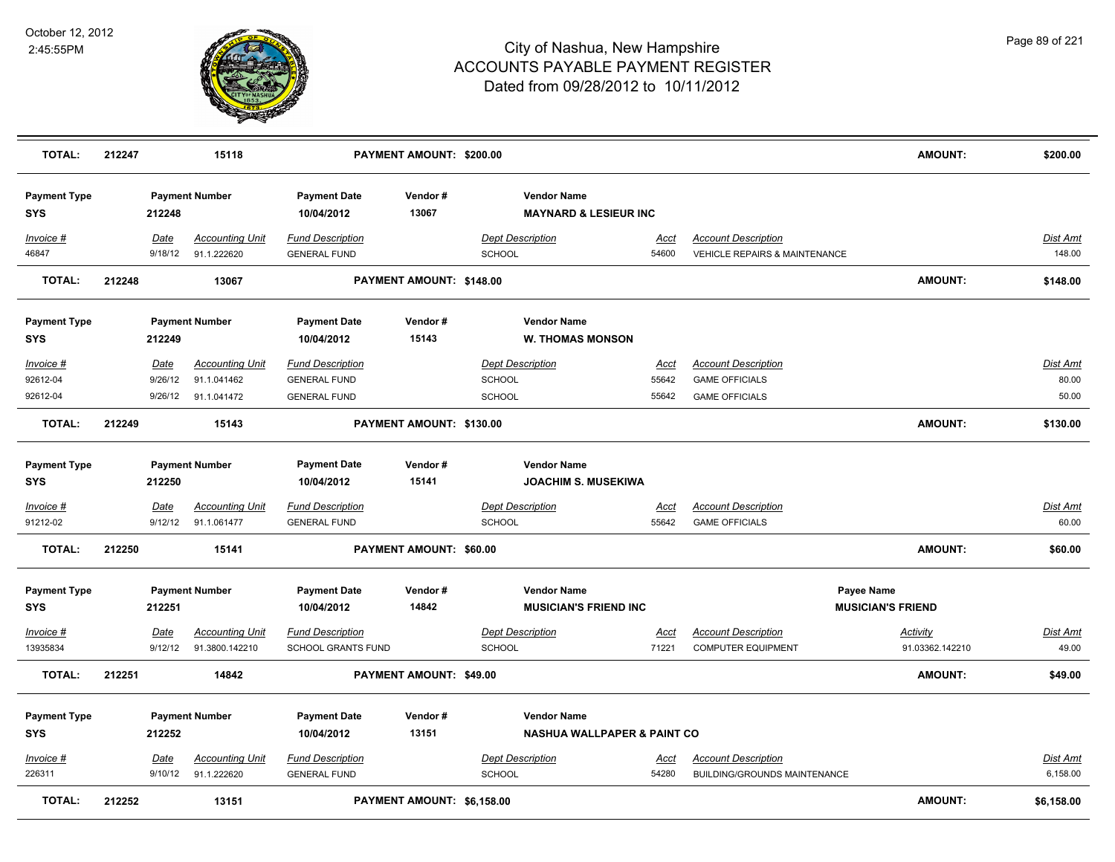

| <b>TOTAL:</b>                     | 212247 |                 | 15118                                    |                                                      | PAYMENT AMOUNT: \$200.00   |                                                              |                      |                                                                        | <b>AMOUNT:</b>                         | \$200.00                 |
|-----------------------------------|--------|-----------------|------------------------------------------|------------------------------------------------------|----------------------------|--------------------------------------------------------------|----------------------|------------------------------------------------------------------------|----------------------------------------|--------------------------|
| <b>Payment Type</b><br><b>SYS</b> |        | 212248          | <b>Payment Number</b>                    | <b>Payment Date</b><br>10/04/2012                    | Vendor#<br>13067           | <b>Vendor Name</b><br><b>MAYNARD &amp; LESIEUR INC</b>       |                      |                                                                        |                                        |                          |
| Invoice #<br>46847                |        | Date<br>9/18/12 | <b>Accounting Unit</b><br>91.1.222620    | <b>Fund Description</b><br><b>GENERAL FUND</b>       |                            | <b>Dept Description</b><br><b>SCHOOL</b>                     | Acct<br>54600        | <b>Account Description</b><br><b>VEHICLE REPAIRS &amp; MAINTENANCE</b> |                                        | Dist Amt<br>148.00       |
| <b>TOTAL:</b>                     | 212248 |                 | 13067                                    |                                                      | PAYMENT AMOUNT: \$148.00   |                                                              |                      |                                                                        | <b>AMOUNT:</b>                         | \$148.00                 |
| <b>Payment Type</b><br><b>SYS</b> |        | 212249          | <b>Payment Number</b>                    | <b>Payment Date</b><br>10/04/2012                    | Vendor#<br>15143           | <b>Vendor Name</b><br><b>W. THOMAS MONSON</b>                |                      |                                                                        |                                        |                          |
| Invoice #                         |        | Date            | <b>Accounting Unit</b>                   | <b>Fund Description</b>                              |                            | <b>Dept Description</b>                                      | <u>Acct</u>          | <b>Account Description</b>                                             |                                        | <b>Dist Amt</b>          |
| 92612-04                          |        | 9/26/12         | 91.1.041462                              | <b>GENERAL FUND</b>                                  |                            | <b>SCHOOL</b>                                                | 55642                | <b>GAME OFFICIALS</b>                                                  |                                        | 80.00                    |
| 92612-04                          |        |                 | 9/26/12 91.1.041472                      | <b>GENERAL FUND</b>                                  |                            | <b>SCHOOL</b>                                                | 55642                | <b>GAME OFFICIALS</b>                                                  |                                        | 50.00                    |
| <b>TOTAL:</b>                     | 212249 |                 | 15143                                    |                                                      | PAYMENT AMOUNT: \$130.00   |                                                              |                      |                                                                        | <b>AMOUNT:</b>                         | \$130.00                 |
| <b>Payment Type</b><br><b>SYS</b> |        | 212250          | <b>Payment Number</b>                    | <b>Payment Date</b><br>10/04/2012                    | Vendor#<br>15141           | <b>Vendor Name</b><br><b>JOACHIM S. MUSEKIWA</b>             |                      |                                                                        |                                        |                          |
| $Invoice$ #<br>91212-02           |        | Date<br>9/12/12 | <b>Accounting Unit</b><br>91.1.061477    | <b>Fund Description</b><br><b>GENERAL FUND</b>       |                            | <b>Dept Description</b><br><b>SCHOOL</b>                     | <u>Acct</u><br>55642 | <b>Account Description</b><br><b>GAME OFFICIALS</b>                    |                                        | <b>Dist Amt</b><br>60.00 |
| <b>TOTAL:</b>                     | 212250 |                 | 15141                                    |                                                      | PAYMENT AMOUNT: \$60.00    |                                                              |                      |                                                                        | AMOUNT:                                | \$60.00                  |
| <b>Payment Type</b><br><b>SYS</b> |        | 212251          | <b>Payment Number</b>                    | <b>Payment Date</b><br>10/04/2012                    | Vendor#<br>14842           | <b>Vendor Name</b><br><b>MUSICIAN'S FRIEND INC</b>           |                      |                                                                        | Payee Name<br><b>MUSICIAN'S FRIEND</b> |                          |
| Invoice #<br>13935834             |        | Date<br>9/12/12 | <b>Accounting Unit</b><br>91.3800.142210 | <b>Fund Description</b><br><b>SCHOOL GRANTS FUND</b> |                            | <b>Dept Description</b><br><b>SCHOOL</b>                     | Acct<br>71221        | <b>Account Description</b><br><b>COMPUTER EQUIPMENT</b>                | <b>Activity</b><br>91.03362.142210     | Dist Amt<br>49.00        |
| <b>TOTAL:</b>                     | 212251 |                 | 14842                                    |                                                      | PAYMENT AMOUNT: \$49.00    |                                                              |                      |                                                                        | <b>AMOUNT:</b>                         | \$49.00                  |
| <b>Payment Type</b><br><b>SYS</b> |        | 212252          | <b>Payment Number</b>                    | <b>Payment Date</b><br>10/04/2012                    | Vendor#<br>13151           | <b>Vendor Name</b><br><b>NASHUA WALLPAPER &amp; PAINT CO</b> |                      |                                                                        |                                        |                          |
| Invoice #                         |        | <u>Date</u>     | <b>Accounting Unit</b>                   | <b>Fund Description</b>                              |                            | <b>Dept Description</b>                                      | <u>Acct</u>          | <b>Account Description</b>                                             |                                        | <u>Dist Amt</u>          |
| 226311                            |        | 9/10/12         | 91.1.222620                              | <b>GENERAL FUND</b>                                  |                            | <b>SCHOOL</b>                                                | 54280                | BUILDING/GROUNDS MAINTENANCE                                           |                                        | 6,158.00                 |
| <b>TOTAL:</b>                     | 212252 |                 | 13151                                    |                                                      | PAYMENT AMOUNT: \$6,158.00 |                                                              |                      |                                                                        | AMOUNT:                                | \$6,158.00               |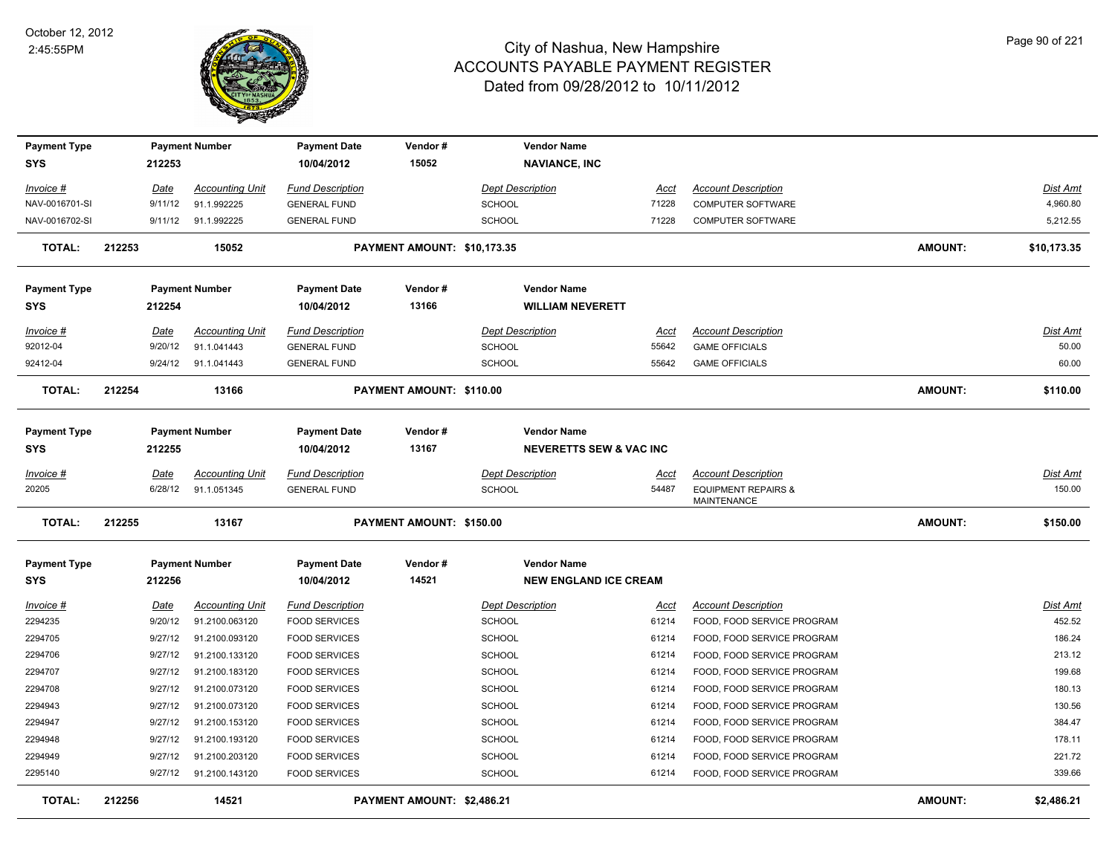

| <b>Payment Type</b> |        |             | <b>Payment Number</b>  | <b>Payment Date</b>     | Vendor#                     | <b>Vendor Name</b>                 |             |                                                      |                |                 |
|---------------------|--------|-------------|------------------------|-------------------------|-----------------------------|------------------------------------|-------------|------------------------------------------------------|----------------|-----------------|
| <b>SYS</b>          |        | 212253      |                        | 10/04/2012              | 15052                       | <b>NAVIANCE, INC</b>               |             |                                                      |                |                 |
| $Invoice$ #         |        | <u>Date</u> | <b>Accounting Unit</b> | <b>Fund Description</b> |                             | <b>Dept Description</b>            | <u>Acct</u> | <b>Account Description</b>                           |                | Dist Amt        |
| NAV-0016701-SI      |        | 9/11/12     | 91.1.992225            | <b>GENERAL FUND</b>     |                             | <b>SCHOOL</b>                      | 71228       | <b>COMPUTER SOFTWARE</b>                             |                | 4,960.80        |
| NAV-0016702-SI      |        | 9/11/12     | 91.1.992225            | <b>GENERAL FUND</b>     |                             | <b>SCHOOL</b>                      | 71228       | <b>COMPUTER SOFTWARE</b>                             |                | 5,212.55        |
| <b>TOTAL:</b>       | 212253 |             | 15052                  |                         | PAYMENT AMOUNT: \$10,173.35 |                                    |             |                                                      | <b>AMOUNT:</b> | \$10,173.35     |
| <b>Payment Type</b> |        |             | <b>Payment Number</b>  | <b>Payment Date</b>     | Vendor#                     | <b>Vendor Name</b>                 |             |                                                      |                |                 |
| <b>SYS</b>          |        | 212254      |                        | 10/04/2012              | 13166                       | <b>WILLIAM NEVERETT</b>            |             |                                                      |                |                 |
| $Invoice$ #         |        | Date        | <b>Accounting Unit</b> | <b>Fund Description</b> |                             | <b>Dept Description</b>            | Acct        | <b>Account Description</b>                           |                | <b>Dist Amt</b> |
| 92012-04            |        | 9/20/12     | 91.1.041443            | <b>GENERAL FUND</b>     |                             | <b>SCHOOL</b>                      | 55642       | <b>GAME OFFICIALS</b>                                |                | 50.00           |
| 92412-04            |        | 9/24/12     | 91.1.041443            | <b>GENERAL FUND</b>     |                             | SCHOOL                             | 55642       | <b>GAME OFFICIALS</b>                                |                | 60.00           |
| <b>TOTAL:</b>       | 212254 |             | 13166                  |                         | PAYMENT AMOUNT: \$110.00    |                                    |             |                                                      | <b>AMOUNT:</b> | \$110.00        |
| <b>Payment Type</b> |        |             | <b>Payment Number</b>  | <b>Payment Date</b>     | Vendor#                     | <b>Vendor Name</b>                 |             |                                                      |                |                 |
| <b>SYS</b>          |        | 212255      |                        | 10/04/2012              | 13167                       | <b>NEVERETTS SEW &amp; VAC INC</b> |             |                                                      |                |                 |
| Invoice #           |        | Date        | <b>Accounting Unit</b> | <b>Fund Description</b> |                             | <b>Dept Description</b>            | Acct        | <b>Account Description</b>                           |                | <b>Dist Amt</b> |
| 20205               |        | 6/28/12     | 91.1.051345            | <b>GENERAL FUND</b>     |                             | <b>SCHOOL</b>                      | 54487       | <b>EQUIPMENT REPAIRS &amp;</b><br><b>MAINTENANCE</b> |                | 150.00          |
| <b>TOTAL:</b>       | 212255 |             | 13167                  |                         | PAYMENT AMOUNT: \$150.00    |                                    |             |                                                      | <b>AMOUNT:</b> | \$150.00        |
| <b>Payment Type</b> |        |             | <b>Payment Number</b>  | <b>Payment Date</b>     | Vendor#                     | <b>Vendor Name</b>                 |             |                                                      |                |                 |
| SYS                 |        | 212256      |                        | 10/04/2012              | 14521                       | <b>NEW ENGLAND ICE CREAM</b>       |             |                                                      |                |                 |
| Invoice #           |        | <u>Date</u> | <b>Accounting Unit</b> | <u>Fund Description</u> |                             | <b>Dept Description</b>            | <u>Acct</u> | <b>Account Description</b>                           |                | Dist Amt        |
| 2294235             |        | 9/20/12     | 91.2100.063120         | <b>FOOD SERVICES</b>    |                             | SCHOOL                             | 61214       | FOOD, FOOD SERVICE PROGRAM                           |                | 452.52          |
| 2294705             |        | 9/27/12     | 91.2100.093120         | <b>FOOD SERVICES</b>    |                             | <b>SCHOOL</b>                      | 61214       | FOOD, FOOD SERVICE PROGRAM                           |                | 186.24          |
| 2294706             |        | 9/27/12     | 91.2100.133120         | <b>FOOD SERVICES</b>    |                             | SCHOOL                             | 61214       | FOOD, FOOD SERVICE PROGRAM                           |                | 213.12          |
| 2294707             |        | 9/27/12     | 91.2100.183120         | <b>FOOD SERVICES</b>    |                             | <b>SCHOOL</b>                      | 61214       | FOOD, FOOD SERVICE PROGRAM                           |                | 199.68          |
| 2294708             |        | 9/27/12     | 91.2100.073120         | <b>FOOD SERVICES</b>    |                             | SCHOOL                             | 61214       | FOOD, FOOD SERVICE PROGRAM                           |                | 180.13          |
| 2294943             |        | 9/27/12     | 91.2100.073120         | <b>FOOD SERVICES</b>    |                             | <b>SCHOOL</b>                      | 61214       | FOOD, FOOD SERVICE PROGRAM                           |                | 130.56          |
| 2294947             |        | 9/27/12     | 91.2100.153120         | <b>FOOD SERVICES</b>    |                             | <b>SCHOOL</b>                      | 61214       | FOOD, FOOD SERVICE PROGRAM                           |                | 384.47          |
| 2294948             |        | 9/27/12     | 91.2100.193120         | <b>FOOD SERVICES</b>    |                             | <b>SCHOOL</b>                      | 61214       | FOOD, FOOD SERVICE PROGRAM                           |                | 178.11          |
| 2294949             |        | 9/27/12     | 91.2100.203120         | <b>FOOD SERVICES</b>    |                             | <b>SCHOOL</b>                      | 61214       | FOOD, FOOD SERVICE PROGRAM                           |                | 221.72          |
| 2295140             |        | 9/27/12     | 91.2100.143120         | <b>FOOD SERVICES</b>    |                             | <b>SCHOOL</b>                      | 61214       | FOOD, FOOD SERVICE PROGRAM                           |                | 339.66          |
| <b>TOTAL:</b>       | 212256 |             | 14521                  |                         | PAYMENT AMOUNT: \$2,486.21  |                                    |             |                                                      | <b>AMOUNT:</b> | \$2,486.21      |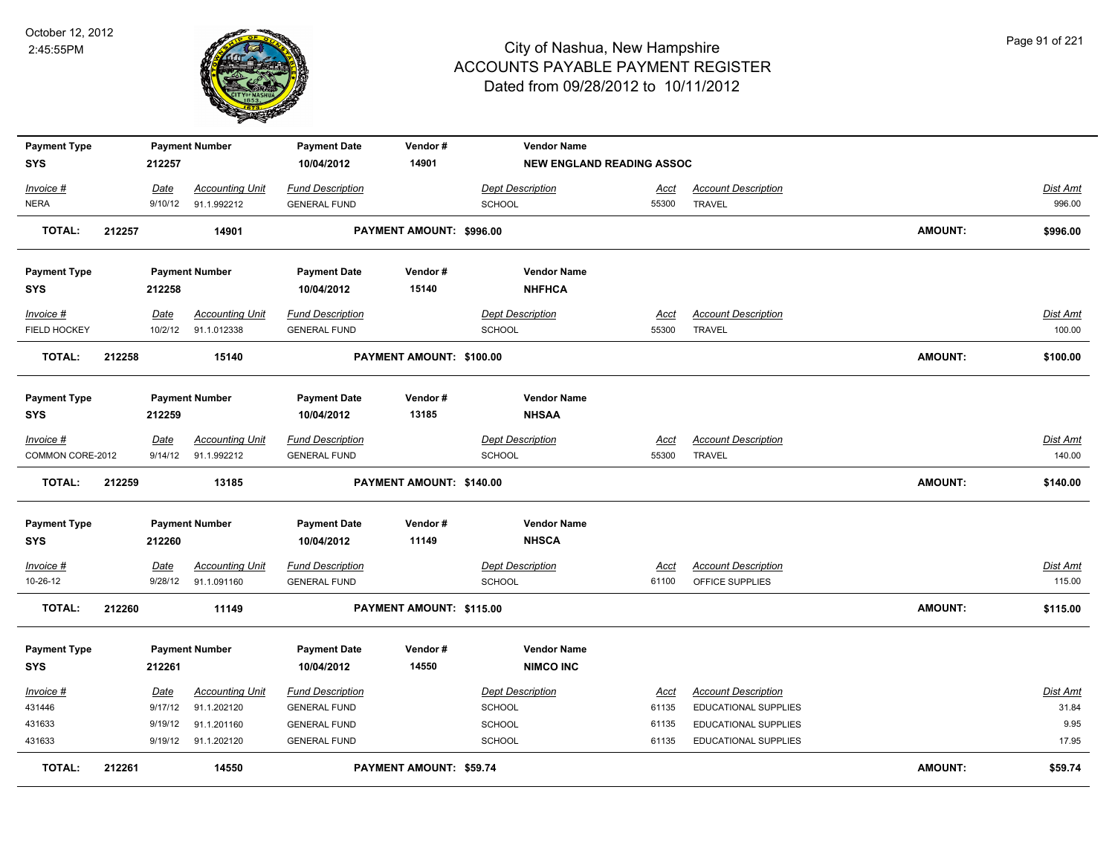

| <b>Payment Type</b><br><b>SYS</b> |        | 212257          | <b>Payment Number</b>                 | <b>Payment Date</b><br>10/04/2012              | Vendor#<br>14901         | <b>Vendor Name</b>                       | <b>NEW ENGLAND READING ASSOC</b> |                                             |                |                    |
|-----------------------------------|--------|-----------------|---------------------------------------|------------------------------------------------|--------------------------|------------------------------------------|----------------------------------|---------------------------------------------|----------------|--------------------|
|                                   |        |                 |                                       |                                                |                          |                                          |                                  |                                             |                |                    |
| Invoice #                         |        | Date            | <b>Accounting Unit</b>                | <b>Fund Description</b>                        |                          | <b>Dept Description</b>                  | Acct                             | <b>Account Description</b>                  |                | Dist Amt           |
| <b>NERA</b>                       |        | 9/10/12         | 91.1.992212                           | <b>GENERAL FUND</b>                            |                          | <b>SCHOOL</b>                            | 55300                            | <b>TRAVEL</b>                               |                | 996.00             |
| <b>TOTAL:</b>                     | 212257 |                 | 14901                                 |                                                | PAYMENT AMOUNT: \$996.00 |                                          |                                  |                                             | AMOUNT:        | \$996.00           |
| <b>Payment Type</b>               |        |                 | <b>Payment Number</b>                 | <b>Payment Date</b>                            | Vendor#                  | <b>Vendor Name</b>                       |                                  |                                             |                |                    |
| <b>SYS</b>                        |        | 212258          |                                       | 10/04/2012                                     | 15140                    | <b>NHFHCA</b>                            |                                  |                                             |                |                    |
| Invoice #<br>FIELD HOCKEY         |        | Date<br>10/2/12 | <b>Accounting Unit</b><br>91.1.012338 | <b>Fund Description</b><br><b>GENERAL FUND</b> |                          | <b>Dept Description</b><br><b>SCHOOL</b> | Acct<br>55300                    | <b>Account Description</b><br><b>TRAVEL</b> |                | Dist Amt<br>100.00 |
|                                   |        |                 |                                       |                                                |                          |                                          |                                  |                                             |                |                    |
| <b>TOTAL:</b>                     | 212258 |                 | 15140                                 |                                                | PAYMENT AMOUNT: \$100.00 |                                          |                                  |                                             | <b>AMOUNT:</b> | \$100.00           |
| <b>Payment Type</b>               |        |                 | <b>Payment Number</b>                 | <b>Payment Date</b>                            | Vendor#                  | <b>Vendor Name</b>                       |                                  |                                             |                |                    |
| <b>SYS</b>                        |        | 212259          |                                       | 10/04/2012                                     | 13185                    | <b>NHSAA</b>                             |                                  |                                             |                |                    |
| Invoice #                         |        | <u>Date</u>     | <b>Accounting Unit</b>                | <b>Fund Description</b>                        |                          | <b>Dept Description</b>                  | <u>Acct</u>                      | <b>Account Description</b>                  |                | Dist Amt           |
| COMMON CORE-2012                  |        | 9/14/12         | 91.1.992212                           | <b>GENERAL FUND</b>                            |                          | SCHOOL                                   | 55300                            | <b>TRAVEL</b>                               |                | 140.00             |
| <b>TOTAL:</b>                     | 212259 |                 | 13185                                 |                                                | PAYMENT AMOUNT: \$140.00 |                                          |                                  |                                             | <b>AMOUNT:</b> | \$140.00           |
| <b>Payment Type</b>               |        |                 | <b>Payment Number</b>                 | <b>Payment Date</b>                            | Vendor#                  | <b>Vendor Name</b>                       |                                  |                                             |                |                    |
| <b>SYS</b>                        |        | 212260          |                                       | 10/04/2012                                     | 11149                    | <b>NHSCA</b>                             |                                  |                                             |                |                    |
| $Invoice$ #                       |        | Date            | <b>Accounting Unit</b>                | <b>Fund Description</b>                        |                          | <b>Dept Description</b>                  | <u>Acct</u>                      | <b>Account Description</b>                  |                | <b>Dist Amt</b>    |
| 10-26-12                          |        | 9/28/12         | 91.1.091160                           | <b>GENERAL FUND</b>                            |                          | <b>SCHOOL</b>                            | 61100                            | OFFICE SUPPLIES                             |                | 115.00             |
| <b>TOTAL:</b>                     | 212260 |                 | 11149                                 |                                                | PAYMENT AMOUNT: \$115.00 |                                          |                                  |                                             | AMOUNT:        | \$115.00           |
| <b>Payment Type</b>               |        |                 | <b>Payment Number</b>                 | <b>Payment Date</b>                            | Vendor#                  | <b>Vendor Name</b>                       |                                  |                                             |                |                    |
| <b>SYS</b>                        |        | 212261          |                                       | 10/04/2012                                     | 14550                    | <b>NIMCO INC</b>                         |                                  |                                             |                |                    |
| Invoice #                         |        | Date            | <b>Accounting Unit</b>                | <b>Fund Description</b>                        |                          | <b>Dept Description</b>                  | <b>Acct</b>                      | <b>Account Description</b>                  |                | Dist Amt           |
| 431446                            |        | 9/17/12         | 91.1.202120                           | <b>GENERAL FUND</b>                            |                          | <b>SCHOOL</b>                            | 61135                            | EDUCATIONAL SUPPLIES                        |                | 31.84              |
| 431633                            |        | 9/19/12         | 91.1.201160                           | <b>GENERAL FUND</b>                            |                          | SCHOOL                                   | 61135                            | EDUCATIONAL SUPPLIES                        |                | 9.95               |
| 431633                            |        | 9/19/12         | 91.1.202120                           | <b>GENERAL FUND</b>                            |                          | <b>SCHOOL</b>                            | 61135                            | EDUCATIONAL SUPPLIES                        |                | 17.95              |
| TOTAL:                            | 212261 |                 | 14550                                 |                                                | PAYMENT AMOUNT: \$59.74  |                                          |                                  |                                             | AMOUNT:        | \$59.74            |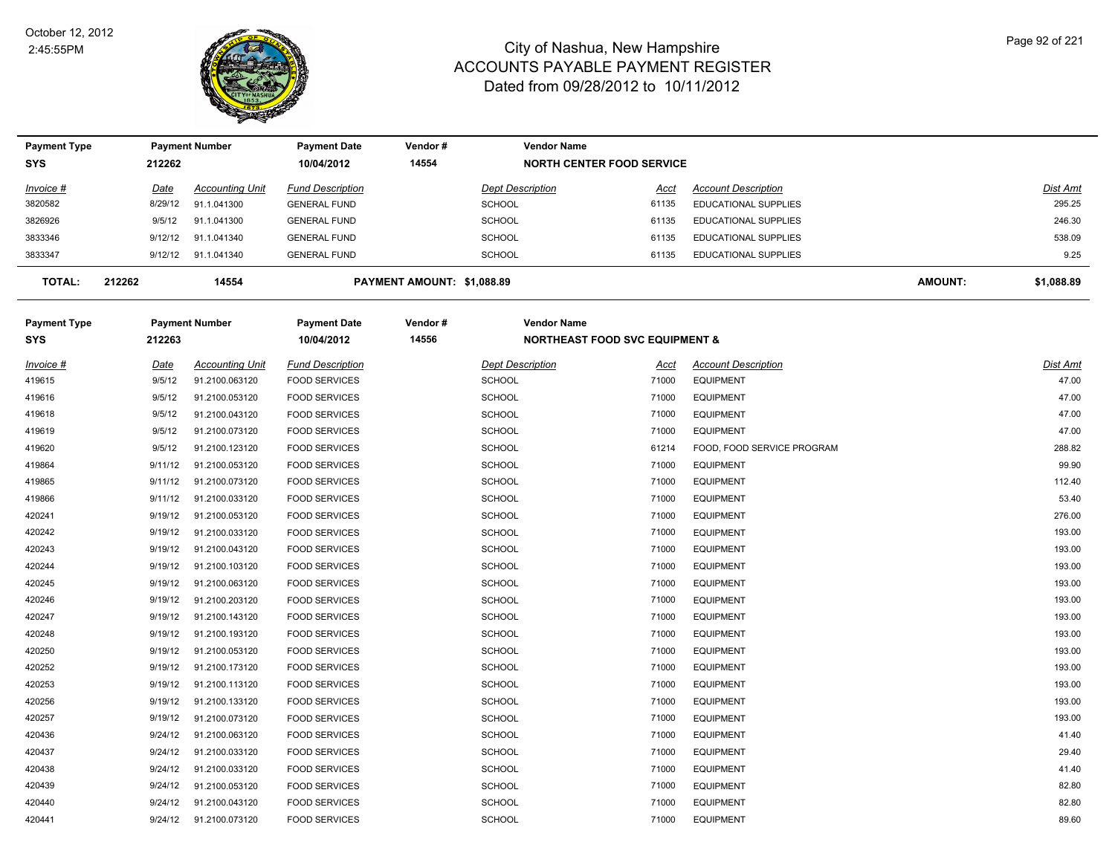

| <b>Payment Type</b> |             | <b>Payment Number</b>  | <b>Payment Date</b>     | Vendor#                    | <b>Vendor Name</b>      |                                           |                             |                |            |
|---------------------|-------------|------------------------|-------------------------|----------------------------|-------------------------|-------------------------------------------|-----------------------------|----------------|------------|
| <b>SYS</b>          | 212262      |                        | 10/04/2012              | 14554                      |                         | <b>NORTH CENTER FOOD SERVICE</b>          |                             |                |            |
| Invoice #           | <u>Date</u> | <b>Accounting Unit</b> | <b>Fund Description</b> |                            | <b>Dept Description</b> | <u>Acct</u>                               | <b>Account Description</b>  |                | Dist Amt   |
| 3820582             | 8/29/12     | 91.1.041300            | <b>GENERAL FUND</b>     |                            | <b>SCHOOL</b>           | 61135                                     | <b>EDUCATIONAL SUPPLIES</b> |                | 295.25     |
| 3826926             | 9/5/12      | 91.1.041300            | <b>GENERAL FUND</b>     |                            | <b>SCHOOL</b>           | 61135                                     | <b>EDUCATIONAL SUPPLIES</b> |                | 246.30     |
| 3833346             | 9/12/12     | 91.1.041340            | <b>GENERAL FUND</b>     |                            | <b>SCHOOL</b>           | 61135                                     | EDUCATIONAL SUPPLIES        |                | 538.09     |
| 3833347             |             | 9/12/12 91.1.041340    | <b>GENERAL FUND</b>     |                            | <b>SCHOOL</b>           | 61135                                     | <b>EDUCATIONAL SUPPLIES</b> |                | 9.25       |
| <b>TOTAL:</b>       | 212262      | 14554                  |                         | PAYMENT AMOUNT: \$1,088.89 |                         |                                           |                             | <b>AMOUNT:</b> | \$1,088.89 |
| <b>Payment Type</b> |             | <b>Payment Number</b>  | <b>Payment Date</b>     | Vendor#                    | <b>Vendor Name</b>      |                                           |                             |                |            |
| <b>SYS</b>          | 212263      |                        | 10/04/2012              | 14556                      |                         | <b>NORTHEAST FOOD SVC EQUIPMENT &amp;</b> |                             |                |            |
| Invoice #           | <b>Date</b> | <b>Accounting Unit</b> | <b>Fund Description</b> |                            | <b>Dept Description</b> | Acct                                      | <b>Account Description</b>  |                | Dist Amt   |
| 419615              | 9/5/12      | 91.2100.063120         | <b>FOOD SERVICES</b>    |                            | <b>SCHOOL</b>           | 71000                                     | <b>EQUIPMENT</b>            |                | 47.00      |
| 419616              | 9/5/12      | 91.2100.053120         | <b>FOOD SERVICES</b>    |                            | <b>SCHOOL</b>           | 71000                                     | <b>EQUIPMENT</b>            |                | 47.00      |
| 419618              | 9/5/12      | 91.2100.043120         | <b>FOOD SERVICES</b>    |                            | <b>SCHOOL</b>           | 71000                                     | <b>EQUIPMENT</b>            |                | 47.00      |
| 419619              | 9/5/12      | 91.2100.073120         | <b>FOOD SERVICES</b>    |                            | SCHOOL                  | 71000                                     | <b>EQUIPMENT</b>            |                | 47.00      |
| 419620              | 9/5/12      | 91.2100.123120         | <b>FOOD SERVICES</b>    |                            | SCHOOL                  | 61214                                     | FOOD, FOOD SERVICE PROGRAM  |                | 288.82     |
| 419864              | 9/11/12     | 91.2100.053120         | <b>FOOD SERVICES</b>    |                            | SCHOOL                  | 71000                                     | <b>EQUIPMENT</b>            |                | 99.90      |
| 419865              | 9/11/12     | 91.2100.073120         | <b>FOOD SERVICES</b>    |                            | SCHOOL                  | 71000                                     | <b>EQUIPMENT</b>            |                | 112.40     |
| 419866              | 9/11/12     | 91.2100.033120         | <b>FOOD SERVICES</b>    |                            | SCHOOL                  | 71000                                     | <b>EQUIPMENT</b>            |                | 53.40      |
| 420241              | 9/19/12     | 91.2100.053120         | <b>FOOD SERVICES</b>    |                            | SCHOOL                  | 71000                                     | <b>EQUIPMENT</b>            |                | 276.00     |
| 420242              | 9/19/12     | 91.2100.033120         | <b>FOOD SERVICES</b>    |                            | SCHOOL                  | 71000                                     | <b>EQUIPMENT</b>            |                | 193.00     |
| 420243              | 9/19/12     | 91.2100.043120         | <b>FOOD SERVICES</b>    |                            | SCHOOL                  | 71000                                     | <b>EQUIPMENT</b>            |                | 193.00     |
| 420244              | 9/19/12     | 91.2100.103120         | <b>FOOD SERVICES</b>    |                            | SCHOOL                  | 71000                                     | <b>EQUIPMENT</b>            |                | 193.00     |
| 420245              | 9/19/12     | 91.2100.063120         | <b>FOOD SERVICES</b>    |                            | SCHOOL                  | 71000                                     | <b>EQUIPMENT</b>            |                | 193.00     |
| 420246              | 9/19/12     | 91.2100.203120         | <b>FOOD SERVICES</b>    |                            | <b>SCHOOL</b>           | 71000                                     | <b>EQUIPMENT</b>            |                | 193.00     |
| 420247              | 9/19/12     | 91.2100.143120         | <b>FOOD SERVICES</b>    |                            | <b>SCHOOL</b>           | 71000                                     | <b>EQUIPMENT</b>            |                | 193.00     |
| 420248              | 9/19/12     | 91.2100.193120         | <b>FOOD SERVICES</b>    |                            | SCHOOL                  | 71000                                     | <b>EQUIPMENT</b>            |                | 193.00     |
| 420250              | 9/19/12     | 91.2100.053120         | <b>FOOD SERVICES</b>    |                            | <b>SCHOOL</b>           | 71000                                     | <b>EQUIPMENT</b>            |                | 193.00     |
| 420252              | 9/19/12     | 91.2100.173120         | <b>FOOD SERVICES</b>    |                            | SCHOOL                  | 71000                                     | <b>EQUIPMENT</b>            |                | 193.00     |
| 420253              | 9/19/12     | 91.2100.113120         | <b>FOOD SERVICES</b>    |                            | SCHOOL                  | 71000                                     | <b>EQUIPMENT</b>            |                | 193.00     |
| 420256              | 9/19/12     | 91.2100.133120         | <b>FOOD SERVICES</b>    |                            | <b>SCHOOL</b>           | 71000                                     | <b>EQUIPMENT</b>            |                | 193.00     |
| 420257              | 9/19/12     | 91.2100.073120         | <b>FOOD SERVICES</b>    |                            | <b>SCHOOL</b>           | 71000                                     | <b>EQUIPMENT</b>            |                | 193.00     |
| 420436              | 9/24/12     | 91.2100.063120         | <b>FOOD SERVICES</b>    |                            | SCHOOL                  | 71000                                     | <b>EQUIPMENT</b>            |                | 41.40      |
| 420437              | 9/24/12     | 91.2100.033120         | <b>FOOD SERVICES</b>    |                            | <b>SCHOOL</b>           | 71000                                     | <b>EQUIPMENT</b>            |                | 29.40      |
| 420438              | 9/24/12     | 91.2100.033120         | <b>FOOD SERVICES</b>    |                            | <b>SCHOOL</b>           | 71000                                     | <b>EQUIPMENT</b>            |                | 41.40      |
| 420439              | 9/24/12     | 91.2100.053120         | <b>FOOD SERVICES</b>    |                            | <b>SCHOOL</b>           | 71000                                     | <b>EQUIPMENT</b>            |                | 82.80      |
| 420440              | 9/24/12     | 91.2100.043120         | <b>FOOD SERVICES</b>    |                            | <b>SCHOOL</b>           | 71000                                     | <b>EQUIPMENT</b>            |                | 82.80      |
| 420441              | 9/24/12     | 91.2100.073120         | <b>FOOD SERVICES</b>    |                            | <b>SCHOOL</b>           | 71000                                     | <b>EQUIPMENT</b>            |                | 89.60      |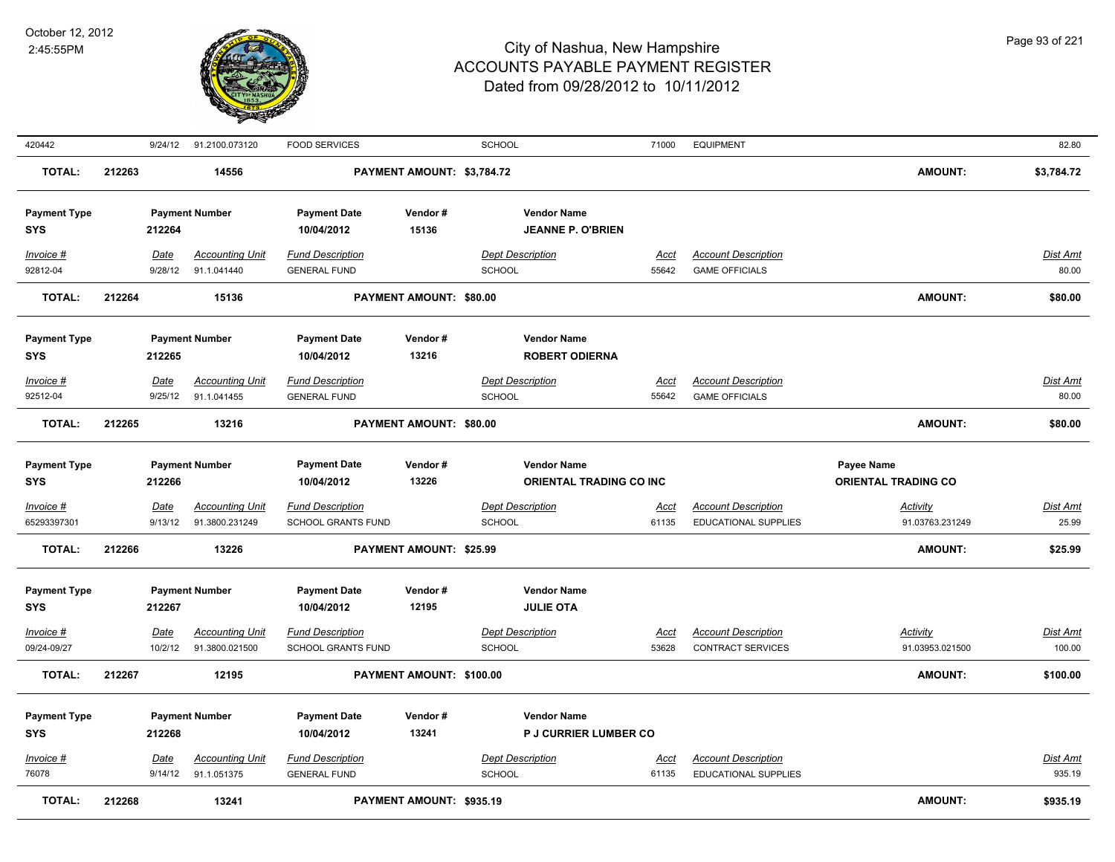

| 420442              |        | 9/24/12     | 91.2100.073120         | <b>FOOD SERVICES</b>    |                                | <b>SCHOOL</b> |                              | 71000       | <b>EQUIPMENT</b>            |                            | 82.80           |
|---------------------|--------|-------------|------------------------|-------------------------|--------------------------------|---------------|------------------------------|-------------|-----------------------------|----------------------------|-----------------|
| <b>TOTAL:</b>       | 212263 |             | 14556                  |                         | PAYMENT AMOUNT: \$3,784.72     |               |                              |             |                             | <b>AMOUNT:</b>             | \$3,784.72      |
| <b>Payment Type</b> |        |             | <b>Payment Number</b>  | <b>Payment Date</b>     | Vendor#                        |               | <b>Vendor Name</b>           |             |                             |                            |                 |
| SYS                 |        | 212264      |                        | 10/04/2012              | 15136                          |               | <b>JEANNE P. O'BRIEN</b>     |             |                             |                            |                 |
| Invoice #           |        | Date        | <b>Accounting Unit</b> | <b>Fund Description</b> |                                |               | <b>Dept Description</b>      | Acct        | <b>Account Description</b>  |                            | Dist Amt        |
| 92812-04            |        | 9/28/12     | 91.1.041440            | <b>GENERAL FUND</b>     |                                | <b>SCHOOL</b> |                              | 55642       | <b>GAME OFFICIALS</b>       |                            | 80.00           |
| <b>TOTAL:</b>       | 212264 |             | 15136                  |                         | PAYMENT AMOUNT: \$80.00        |               |                              |             |                             | <b>AMOUNT:</b>             | \$80.00         |
| <b>Payment Type</b> |        |             | <b>Payment Number</b>  | <b>Payment Date</b>     | Vendor#                        |               | <b>Vendor Name</b>           |             |                             |                            |                 |
| SYS                 |        | 212265      |                        | 10/04/2012              | 13216                          |               | <b>ROBERT ODIERNA</b>        |             |                             |                            |                 |
| Invoice #           |        | Date        | <b>Accounting Unit</b> | <b>Fund Description</b> |                                |               | <b>Dept Description</b>      | <u>Acct</u> | <b>Account Description</b>  |                            | Dist Amt        |
| 92512-04            |        | 9/25/12     | 91.1.041455            | <b>GENERAL FUND</b>     |                                | <b>SCHOOL</b> |                              | 55642       | <b>GAME OFFICIALS</b>       |                            | 80.00           |
| <b>TOTAL:</b>       | 212265 |             | 13216                  |                         | PAYMENT AMOUNT: \$80.00        |               |                              |             |                             | <b>AMOUNT:</b>             | \$80.00         |
| <b>Payment Type</b> |        |             | <b>Payment Number</b>  | <b>Payment Date</b>     | Vendor#                        |               | <b>Vendor Name</b>           |             |                             | Payee Name                 |                 |
| <b>SYS</b>          |        | 212266      |                        | 10/04/2012              | 13226                          |               | ORIENTAL TRADING CO INC      |             |                             | <b>ORIENTAL TRADING CO</b> |                 |
| Invoice #           |        | <b>Date</b> | <b>Accounting Unit</b> | <b>Fund Description</b> |                                |               | <b>Dept Description</b>      | <u>Acct</u> | <b>Account Description</b>  | <u>Activity</u>            | <u>Dist Amt</u> |
| 65293397301         |        | 9/13/12     | 91.3800.231249         | SCHOOL GRANTS FUND      |                                | SCHOOL        |                              | 61135       | EDUCATIONAL SUPPLIES        | 91.03763.231249            | 25.99           |
| <b>TOTAL:</b>       | 212266 |             | 13226                  |                         | <b>PAYMENT AMOUNT: \$25.99</b> |               |                              |             |                             | <b>AMOUNT:</b>             | \$25.99         |
| <b>Payment Type</b> |        |             | <b>Payment Number</b>  | <b>Payment Date</b>     | Vendor#                        |               | <b>Vendor Name</b>           |             |                             |                            |                 |
| <b>SYS</b>          |        | 212267      |                        | 10/04/2012              | 12195                          |               | <b>JULIE OTA</b>             |             |                             |                            |                 |
| Invoice #           |        | Date        | <b>Accounting Unit</b> | <b>Fund Description</b> |                                |               | <b>Dept Description</b>      | <b>Acct</b> | <b>Account Description</b>  | Activity                   | <b>Dist Amt</b> |
| 09/24-09/27         |        | 10/2/12     | 91.3800.021500         | SCHOOL GRANTS FUND      |                                | <b>SCHOOL</b> |                              | 53628       | <b>CONTRACT SERVICES</b>    | 91.03953.021500            | 100.00          |
| <b>TOTAL:</b>       | 212267 |             | 12195                  |                         | PAYMENT AMOUNT: \$100.00       |               |                              |             |                             | AMOUNT:                    | \$100.00        |
| <b>Payment Type</b> |        |             | <b>Payment Number</b>  | <b>Payment Date</b>     | Vendor#                        |               | <b>Vendor Name</b>           |             |                             |                            |                 |
| <b>SYS</b>          |        | 212268      |                        | 10/04/2012              | 13241                          |               | <b>P J CURRIER LUMBER CO</b> |             |                             |                            |                 |
| Invoice #           |        | <b>Date</b> | <b>Accounting Unit</b> | <b>Fund Description</b> |                                |               | <b>Dept Description</b>      | <u>Acct</u> | <b>Account Description</b>  |                            | <b>Dist Amt</b> |
| 76078               |        | 9/14/12     | 91.1.051375            | <b>GENERAL FUND</b>     |                                | <b>SCHOOL</b> |                              | 61135       | <b>EDUCATIONAL SUPPLIES</b> |                            | 935.19          |
| <b>TOTAL:</b>       | 212268 |             | 13241                  |                         | PAYMENT AMOUNT: \$935.19       |               |                              |             |                             | <b>AMOUNT:</b>             | \$935.19        |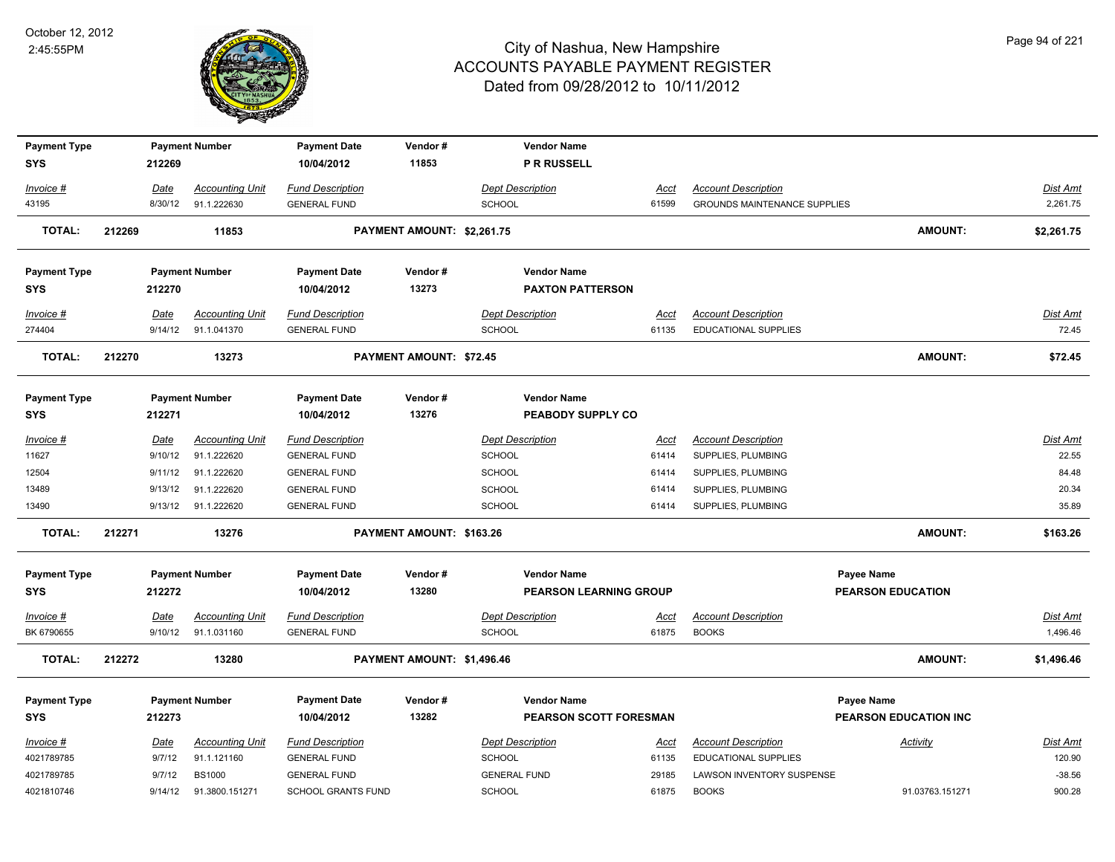

| <b>Payment Type</b>       |         | <b>Payment Number</b>                         | <b>Payment Date</b>                            | Vendor#                    | <b>Vendor Name</b>                       |                      |                                            |                              |                      |
|---------------------------|---------|-----------------------------------------------|------------------------------------------------|----------------------------|------------------------------------------|----------------------|--------------------------------------------|------------------------------|----------------------|
| <b>SYS</b>                | 212269  |                                               | 10/04/2012                                     | 11853                      | <b>P R RUSSELL</b>                       |                      |                                            |                              |                      |
| Invoice #                 | Date    | <b>Accounting Unit</b>                        | <b>Fund Description</b>                        |                            | <b>Dept Description</b>                  | Acct                 | <b>Account Description</b>                 |                              | Dist Amt             |
| 43195                     | 8/30/12 | 91.1.222630                                   | <b>GENERAL FUND</b>                            |                            | <b>SCHOOL</b>                            | 61599                | <b>GROUNDS MAINTENANCE SUPPLIES</b>        |                              | 2,261.75             |
|                           |         |                                               |                                                |                            |                                          |                      |                                            |                              |                      |
| <b>TOTAL:</b>             | 212269  | 11853                                         |                                                | PAYMENT AMOUNT: \$2,261.75 |                                          |                      |                                            | <b>AMOUNT:</b>               | \$2,261.75           |
| <b>Payment Type</b>       |         | <b>Payment Number</b>                         | <b>Payment Date</b>                            | Vendor#                    | <b>Vendor Name</b>                       |                      |                                            |                              |                      |
| <b>SYS</b>                | 212270  |                                               | 10/04/2012                                     | 13273                      | <b>PAXTON PATTERSON</b>                  |                      |                                            |                              |                      |
| Invoice #                 | Date    | <b>Accounting Unit</b>                        | <b>Fund Description</b>                        |                            | <b>Dept Description</b>                  | <u>Acct</u>          | <b>Account Description</b>                 |                              | <u>Dist Amt</u>      |
| 274404                    | 9/14/12 | 91.1.041370                                   | <b>GENERAL FUND</b>                            |                            | <b>SCHOOL</b>                            | 61135                | EDUCATIONAL SUPPLIES                       |                              | 72.45                |
| <b>TOTAL:</b>             | 212270  | 13273                                         |                                                | PAYMENT AMOUNT: \$72.45    |                                          |                      |                                            | <b>AMOUNT:</b>               | \$72.45              |
|                           |         |                                               |                                                |                            |                                          |                      |                                            |                              |                      |
| <b>Payment Type</b>       |         | <b>Payment Number</b>                         | <b>Payment Date</b>                            | Vendor#                    | <b>Vendor Name</b>                       |                      |                                            |                              |                      |
| <b>SYS</b>                | 212271  |                                               | 10/04/2012                                     | 13276                      | PEABODY SUPPLY CO                        |                      |                                            |                              |                      |
| Invoice #                 | Date    | <b>Accounting Unit</b>                        | <b>Fund Description</b>                        |                            | <b>Dept Description</b>                  | Acct                 | <b>Account Description</b>                 |                              | Dist Amt             |
| 11627                     | 9/10/12 | 91.1.222620                                   | <b>GENERAL FUND</b>                            |                            | <b>SCHOOL</b>                            | 61414                | SUPPLIES, PLUMBING                         |                              | 22.55                |
| 12504                     | 9/11/12 | 91.1.222620                                   | <b>GENERAL FUND</b>                            |                            | <b>SCHOOL</b>                            | 61414                | SUPPLIES, PLUMBING                         |                              | 84.48                |
| 13489                     | 9/13/12 | 91.1.222620                                   | <b>GENERAL FUND</b>                            |                            | <b>SCHOOL</b>                            | 61414                | SUPPLIES, PLUMBING                         |                              | 20.34                |
| 13490                     |         | 9/13/12 91.1.222620                           | <b>GENERAL FUND</b>                            |                            | SCHOOL                                   | 61414                | SUPPLIES, PLUMBING                         |                              | 35.89                |
| <b>TOTAL:</b>             | 212271  | 13276                                         |                                                | PAYMENT AMOUNT: \$163.26   |                                          |                      |                                            | <b>AMOUNT:</b>               | \$163.26             |
| <b>Payment Type</b>       |         | <b>Payment Number</b>                         | <b>Payment Date</b>                            | Vendor#                    | <b>Vendor Name</b>                       |                      |                                            | Payee Name                   |                      |
| <b>SYS</b>                | 212272  |                                               | 10/04/2012                                     | 13280                      | <b>PEARSON LEARNING GROUP</b>            |                      |                                            | <b>PEARSON EDUCATION</b>     |                      |
| $Invoice$ #<br>BK 6790655 | Date    | <b>Accounting Unit</b><br>9/10/12 91.1.031160 | <b>Fund Description</b><br><b>GENERAL FUND</b> |                            | <b>Dept Description</b><br><b>SCHOOL</b> | <u>Acct</u><br>61875 | <b>Account Description</b><br><b>BOOKS</b> |                              | Dist Amt<br>1,496.46 |
| <b>TOTAL:</b>             | 212272  | 13280                                         |                                                | PAYMENT AMOUNT: \$1,496.46 |                                          |                      |                                            | <b>AMOUNT:</b>               | \$1,496.46           |
|                           |         |                                               |                                                |                            |                                          |                      |                                            |                              |                      |
| <b>Payment Type</b>       |         | <b>Payment Number</b>                         | <b>Payment Date</b>                            | Vendor#                    | <b>Vendor Name</b>                       |                      |                                            | <b>Payee Name</b>            |                      |
| <b>SYS</b>                | 212273  |                                               | 10/04/2012                                     | 13282                      | <b>PEARSON SCOTT FORESMAN</b>            |                      |                                            | <b>PEARSON EDUCATION INC</b> |                      |
| Invoice #                 | Date    | <b>Accounting Unit</b>                        | <b>Fund Description</b>                        |                            | <b>Dept Description</b>                  | Acct                 | <b>Account Description</b>                 | Activity                     | <u>Dist Amt</u>      |
| 4021789785                | 9/7/12  | 91.1.121160                                   | <b>GENERAL FUND</b>                            |                            | <b>SCHOOL</b>                            | 61135                | EDUCATIONAL SUPPLIES                       |                              | 120.90               |
| 4021789785                | 9/7/12  | <b>BS1000</b>                                 | <b>GENERAL FUND</b>                            |                            | <b>GENERAL FUND</b>                      | 29185                | LAWSON INVENTORY SUSPENSE                  |                              | $-38.56$             |
| 4021810746                | 9/14/12 | 91.3800.151271                                | <b>SCHOOL GRANTS FUND</b>                      |                            | <b>SCHOOL</b>                            | 61875                | <b>BOOKS</b>                               | 91.03763.151271              | 900.28               |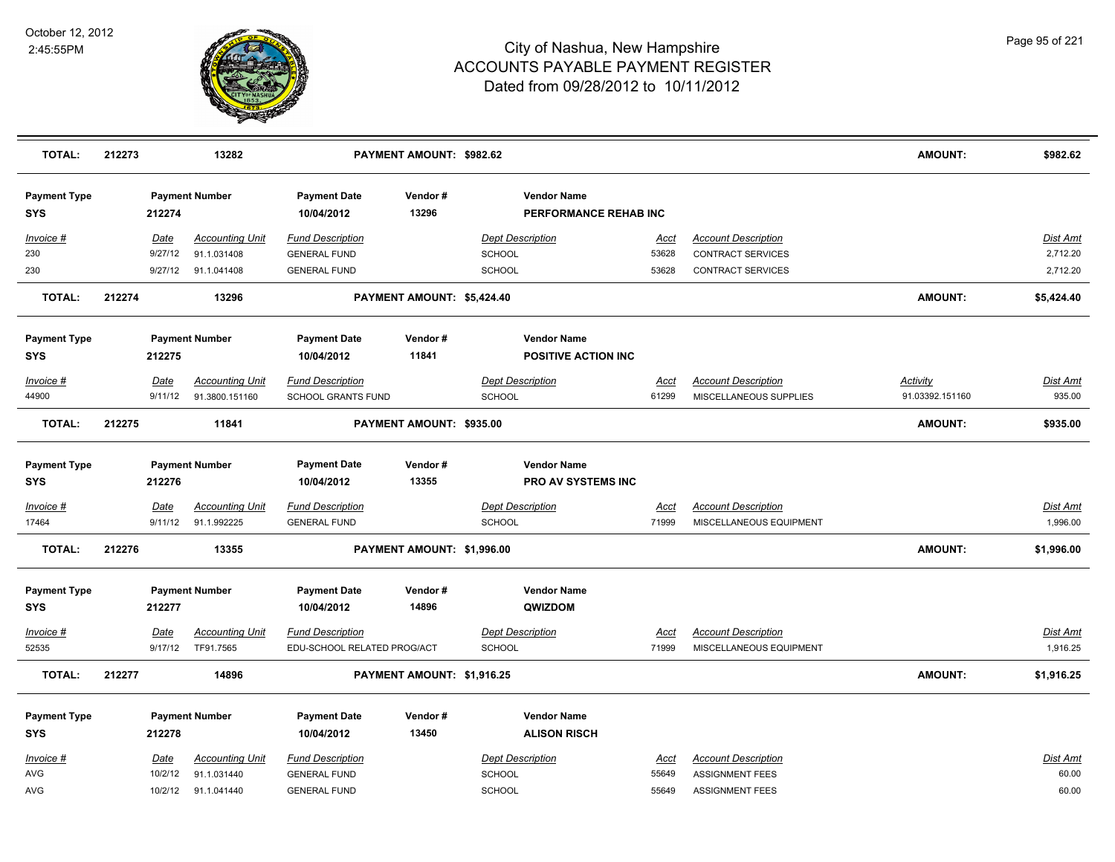

| <b>TOTAL:</b>                     | 212273 |                        | 13282                                 |                                                | PAYMENT AMOUNT: \$982.62   |                                                  |                      |                                                       | <b>AMOUNT:</b>  | \$982.62                    |
|-----------------------------------|--------|------------------------|---------------------------------------|------------------------------------------------|----------------------------|--------------------------------------------------|----------------------|-------------------------------------------------------|-----------------|-----------------------------|
| <b>Payment Type</b><br><b>SYS</b> |        | 212274                 | <b>Payment Number</b>                 | <b>Payment Date</b><br>10/04/2012              | Vendor#<br>13296           | <b>Vendor Name</b><br>PERFORMANCE REHAB INC      |                      |                                                       |                 |                             |
| Invoice #                         |        | Date                   | <b>Accounting Unit</b>                | <b>Fund Description</b>                        |                            | <b>Dept Description</b>                          | <u>Acct</u>          | <b>Account Description</b>                            |                 | Dist Amt                    |
| 230                               |        | 9/27/12                | 91.1.031408                           | <b>GENERAL FUND</b>                            |                            | <b>SCHOOL</b>                                    | 53628                | <b>CONTRACT SERVICES</b>                              |                 | 2,712.20                    |
| 230                               |        |                        | 9/27/12 91.1.041408                   | <b>GENERAL FUND</b>                            |                            | <b>SCHOOL</b>                                    | 53628                | <b>CONTRACT SERVICES</b>                              |                 | 2,712.20                    |
| <b>TOTAL:</b>                     | 212274 |                        | 13296                                 |                                                | PAYMENT AMOUNT: \$5,424.40 |                                                  |                      |                                                       | <b>AMOUNT:</b>  | \$5,424.40                  |
| <b>Payment Type</b><br><b>SYS</b> |        | 212275                 | <b>Payment Number</b>                 | <b>Payment Date</b><br>10/04/2012              | Vendor#<br>11841           | <b>Vendor Name</b><br><b>POSITIVE ACTION INC</b> |                      |                                                       |                 |                             |
| Invoice #                         |        | Date                   | <b>Accounting Unit</b>                | <b>Fund Description</b>                        |                            | <b>Dept Description</b>                          | Acct                 | <b>Account Description</b>                            | <b>Activity</b> | Dist Amt                    |
| 44900                             |        | 9/11/12                | 91.3800.151160                        | SCHOOL GRANTS FUND                             |                            | <b>SCHOOL</b>                                    | 61299                | MISCELLANEOUS SUPPLIES                                | 91.03392.151160 | 935.00                      |
| <b>TOTAL:</b>                     | 212275 |                        | 11841                                 |                                                | PAYMENT AMOUNT: \$935.00   |                                                  |                      |                                                       | <b>AMOUNT:</b>  | \$935.00                    |
| <b>Payment Type</b><br><b>SYS</b> |        | 212276                 | <b>Payment Number</b>                 | <b>Payment Date</b><br>10/04/2012              | Vendor#<br>13355           | <b>Vendor Name</b><br><b>PRO AV SYSTEMS INC</b>  |                      |                                                       |                 |                             |
| Invoice #<br>17464                |        | <b>Date</b><br>9/11/12 | <b>Accounting Unit</b><br>91.1.992225 | <b>Fund Description</b><br><b>GENERAL FUND</b> |                            | <b>Dept Description</b><br><b>SCHOOL</b>         | <u>Acct</u><br>71999 | <b>Account Description</b><br>MISCELLANEOUS EQUIPMENT |                 | <b>Dist Amt</b><br>1,996.00 |
| <b>TOTAL:</b>                     | 212276 |                        | 13355                                 |                                                | PAYMENT AMOUNT: \$1,996.00 |                                                  |                      |                                                       | <b>AMOUNT:</b>  | \$1,996.00                  |
| <b>Payment Type</b><br><b>SYS</b> |        | 212277                 | <b>Payment Number</b>                 | <b>Payment Date</b><br>10/04/2012              | Vendor#<br>14896           | <b>Vendor Name</b><br>QWIZDOM                    |                      |                                                       |                 |                             |
| $Invoice$ #                       |        | Date                   | Accounting Unit                       | <b>Fund Description</b>                        |                            | <b>Dept Description</b>                          | Acct                 | <b>Account Description</b>                            |                 | <u>Dist Amt</u>             |
| 52535                             |        |                        | 9/17/12 TF91.7565                     | EDU-SCHOOL RELATED PROG/ACT                    |                            | SCHOOL                                           | 71999                | MISCELLANEOUS EQUIPMENT                               |                 | 1,916.25                    |
| <b>TOTAL:</b>                     | 212277 |                        | 14896                                 |                                                | PAYMENT AMOUNT: \$1,916.25 |                                                  |                      |                                                       | <b>AMOUNT:</b>  | \$1,916.25                  |
| <b>Payment Type</b><br><b>SYS</b> |        | 212278                 | <b>Payment Number</b>                 | <b>Payment Date</b><br>10/04/2012              | Vendor#<br>13450           | <b>Vendor Name</b><br><b>ALISON RISCH</b>        |                      |                                                       |                 |                             |
| Invoice #                         |        | <u>Date</u>            | <b>Accounting Unit</b>                | <b>Fund Description</b>                        |                            | <b>Dept Description</b>                          | <u>Acct</u>          | <b>Account Description</b>                            |                 | Dist Amt                    |
| <b>AVG</b>                        |        | 10/2/12                | 91.1.031440                           | <b>GENERAL FUND</b>                            |                            | <b>SCHOOL</b>                                    | 55649                | <b>ASSIGNMENT FEES</b>                                |                 | 60.00                       |
| AVG                               |        | 10/2/12                | 91.1.041440                           | <b>GENERAL FUND</b>                            |                            | SCHOOL                                           | 55649                | <b>ASSIGNMENT FEES</b>                                |                 | 60.00                       |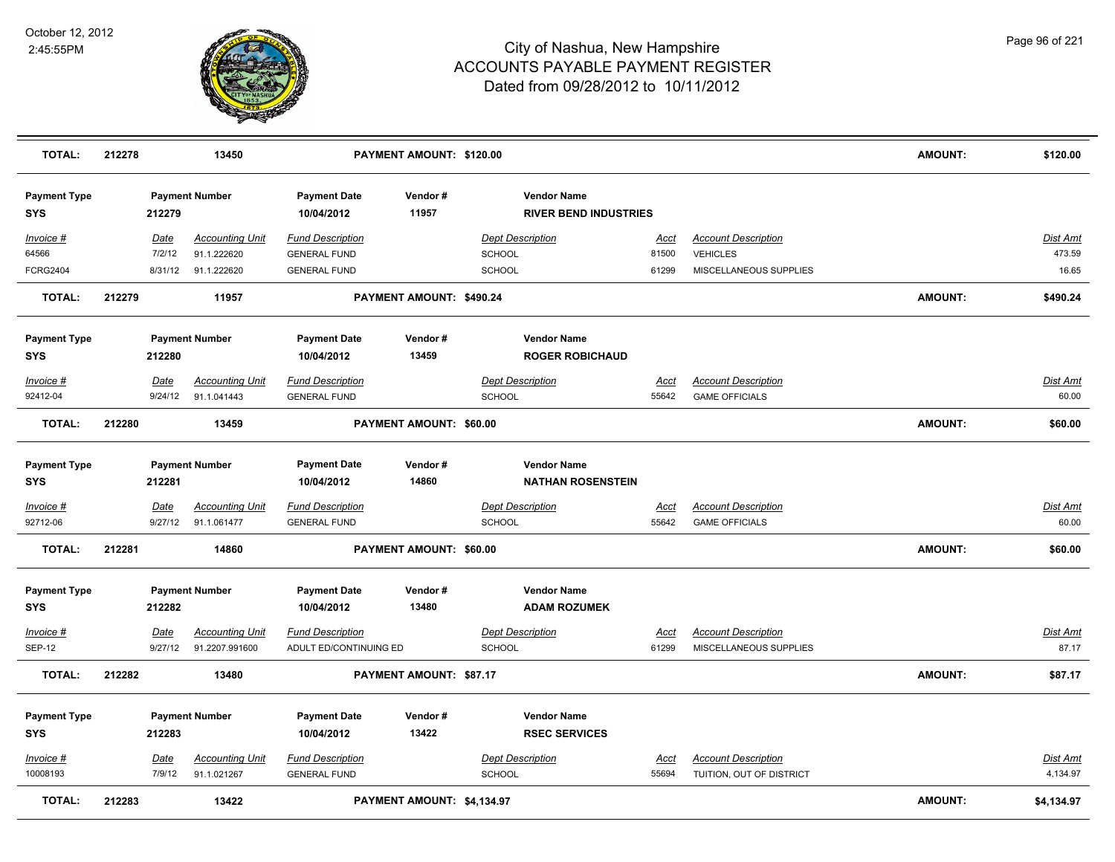

| TOTAL:                            | 212278 |                        | 13450                                 |                                                | PAYMENT AMOUNT: \$120.00   |               |                                                    |                      |                                                     | <b>AMOUNT:</b> | \$120.00                 |
|-----------------------------------|--------|------------------------|---------------------------------------|------------------------------------------------|----------------------------|---------------|----------------------------------------------------|----------------------|-----------------------------------------------------|----------------|--------------------------|
| <b>Payment Type</b><br><b>SYS</b> |        | 212279                 | <b>Payment Number</b>                 | <b>Payment Date</b><br>10/04/2012              | Vendor#<br>11957           |               | <b>Vendor Name</b><br><b>RIVER BEND INDUSTRIES</b> |                      |                                                     |                |                          |
| Invoice #                         |        | Date                   | <b>Accounting Unit</b>                | <b>Fund Description</b>                        |                            |               | <b>Dept Description</b>                            | <u>Acct</u>          | <b>Account Description</b>                          |                | <u>Dist Amt</u>          |
| 64566                             |        | 7/2/12                 | 91.1.222620                           | <b>GENERAL FUND</b>                            |                            | SCHOOL        |                                                    | 81500                | <b>VEHICLES</b>                                     |                | 473.59                   |
| <b>FCRG2404</b>                   |        | 8/31/12                | 91.1.222620                           | <b>GENERAL FUND</b>                            |                            | SCHOOL        |                                                    | 61299                | MISCELLANEOUS SUPPLIES                              |                | 16.65                    |
| <b>TOTAL:</b>                     | 212279 |                        | 11957                                 |                                                | PAYMENT AMOUNT: \$490.24   |               |                                                    |                      |                                                     | AMOUNT:        | \$490.24                 |
| <b>Payment Type</b>               |        |                        | <b>Payment Number</b>                 | <b>Payment Date</b>                            | Vendor#                    |               | <b>Vendor Name</b>                                 |                      |                                                     |                |                          |
| <b>SYS</b>                        |        | 212280                 |                                       | 10/04/2012                                     | 13459                      |               | <b>ROGER ROBICHAUD</b>                             |                      |                                                     |                |                          |
| Invoice #                         |        | Date                   | <b>Accounting Unit</b>                | <b>Fund Description</b>                        |                            |               | <b>Dept Description</b>                            | <u>Acct</u>          | <b>Account Description</b>                          |                | Dist Amt                 |
| 92412-04                          |        | 9/24/12                | 91.1.041443                           | <b>GENERAL FUND</b>                            |                            | SCHOOL        |                                                    | 55642                | <b>GAME OFFICIALS</b>                               |                | 60.00                    |
| <b>TOTAL:</b>                     | 212280 |                        | 13459                                 |                                                | PAYMENT AMOUNT: \$60.00    |               |                                                    |                      |                                                     | AMOUNT:        | \$60.00                  |
| <b>Payment Type</b>               |        |                        | <b>Payment Number</b>                 | <b>Payment Date</b>                            | Vendor#                    |               | <b>Vendor Name</b>                                 |                      |                                                     |                |                          |
| <b>SYS</b>                        |        | 212281                 |                                       | 10/04/2012                                     | 14860                      |               | <b>NATHAN ROSENSTEIN</b>                           |                      |                                                     |                |                          |
| $Invoice$ #<br>92712-06           |        | <b>Date</b><br>9/27/12 | <b>Accounting Unit</b><br>91.1.061477 | <b>Fund Description</b><br><b>GENERAL FUND</b> |                            | <b>SCHOOL</b> | <b>Dept Description</b>                            | <u>Acct</u><br>55642 | <b>Account Description</b><br><b>GAME OFFICIALS</b> |                | <u>Dist Amt</u><br>60.00 |
| <b>TOTAL:</b>                     | 212281 |                        | 14860                                 |                                                | PAYMENT AMOUNT: \$60.00    |               |                                                    |                      |                                                     | <b>AMOUNT:</b> | \$60.00                  |
| <b>Payment Type</b><br><b>SYS</b> |        | 212282                 | <b>Payment Number</b>                 | <b>Payment Date</b><br>10/04/2012              | Vendor#<br>13480           |               | <b>Vendor Name</b><br><b>ADAM ROZUMEK</b>          |                      |                                                     |                |                          |
| Invoice #                         |        | <b>Date</b>            | <b>Accounting Unit</b>                | <b>Fund Description</b>                        |                            |               | <b>Dept Description</b>                            | Acct                 | <b>Account Description</b>                          |                | <b>Dist Amt</b>          |
| <b>SEP-12</b>                     |        | 9/27/12                | 91.2207.991600                        | ADULT ED/CONTINUING ED                         |                            | <b>SCHOOL</b> |                                                    | 61299                | MISCELLANEOUS SUPPLIES                              |                | 87.17                    |
| <b>TOTAL:</b>                     | 212282 |                        | 13480                                 |                                                | PAYMENT AMOUNT: \$87.17    |               |                                                    |                      |                                                     | AMOUNT:        | \$87.17                  |
| <b>Payment Type</b><br><b>SYS</b> |        | 212283                 | <b>Payment Number</b>                 | <b>Payment Date</b><br>10/04/2012              | Vendor#<br>13422           |               | <b>Vendor Name</b><br><b>RSEC SERVICES</b>         |                      |                                                     |                |                          |
| Invoice #                         |        | Date                   | <b>Accounting Unit</b>                | <b>Fund Description</b>                        |                            |               | <b>Dept Description</b>                            | <u>Acct</u>          | <b>Account Description</b>                          |                | <b>Dist Amt</b>          |
| 10008193                          |        | 7/9/12                 | 91.1.021267                           | <b>GENERAL FUND</b>                            |                            | SCHOOL        |                                                    | 55694                | TUITION, OUT OF DISTRICT                            |                | 4,134.97                 |
| <b>TOTAL:</b>                     | 212283 |                        | 13422                                 |                                                | PAYMENT AMOUNT: \$4,134.97 |               |                                                    |                      |                                                     | <b>AMOUNT:</b> | \$4,134.97               |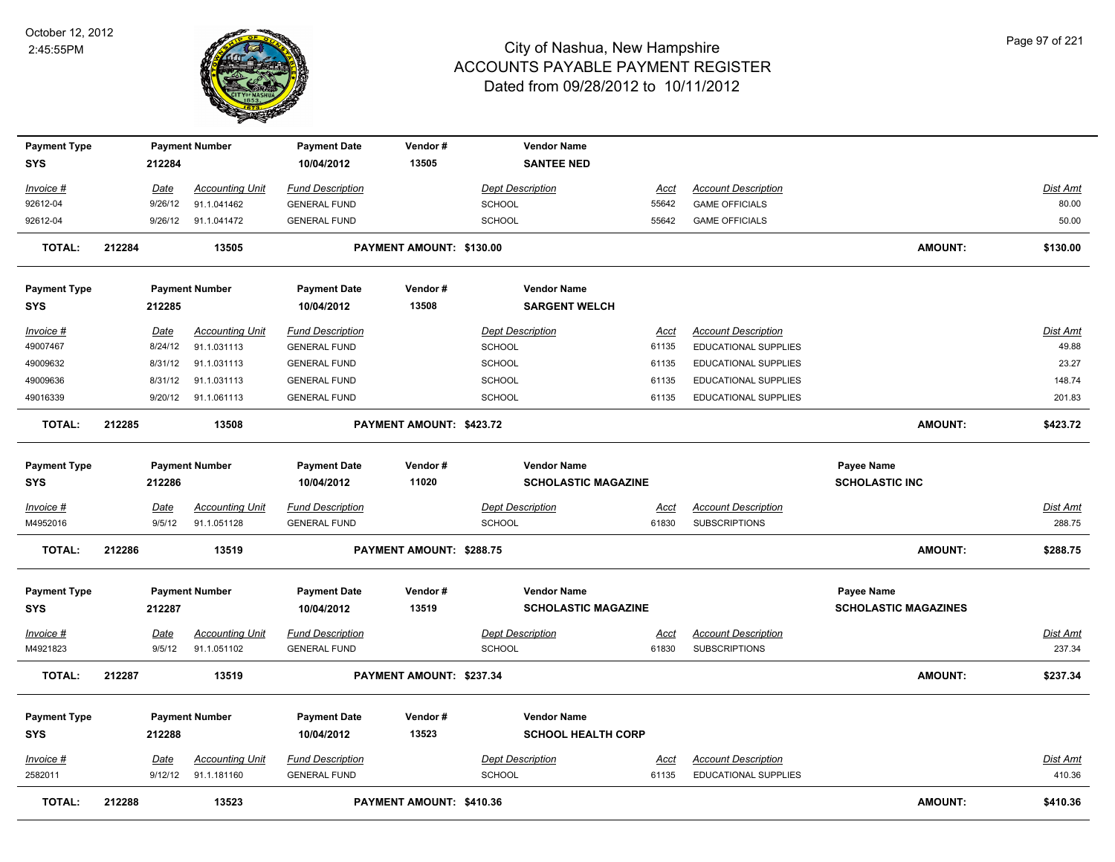

| <b>Payment Type</b> |             | <b>Payment Number</b>  | <b>Payment Date</b>     | Vendor#                  | <b>Vendor Name</b>         |             |                             |                             |                           |
|---------------------|-------------|------------------------|-------------------------|--------------------------|----------------------------|-------------|-----------------------------|-----------------------------|---------------------------|
| <b>SYS</b>          | 212284      |                        | 10/04/2012              | 13505                    | <b>SANTEE NED</b>          |             |                             |                             |                           |
| Invoice #           | Date        | <b>Accounting Unit</b> | <b>Fund Description</b> |                          | <b>Dept Description</b>    | Acct        | <b>Account Description</b>  |                             | Dist Amt                  |
| 92612-04            | 9/26/12     | 91.1.041462            | <b>GENERAL FUND</b>     |                          | <b>SCHOOL</b>              | 55642       | <b>GAME OFFICIALS</b>       |                             | 80.00                     |
| 92612-04            |             | 9/26/12 91.1.041472    | <b>GENERAL FUND</b>     |                          | <b>SCHOOL</b>              | 55642       | <b>GAME OFFICIALS</b>       |                             | 50.00                     |
|                     |             |                        |                         |                          |                            |             |                             |                             |                           |
| <b>TOTAL:</b>       | 212284      | 13505                  |                         | PAYMENT AMOUNT: \$130.00 |                            |             |                             | <b>AMOUNT:</b>              | \$130.00                  |
| <b>Payment Type</b> |             | <b>Payment Number</b>  | <b>Payment Date</b>     | Vendor#                  | <b>Vendor Name</b>         |             |                             |                             |                           |
| <b>SYS</b>          | 212285      |                        | 10/04/2012              | 13508                    | <b>SARGENT WELCH</b>       |             |                             |                             |                           |
| Invoice #           | Date        | <b>Accounting Unit</b> | <b>Fund Description</b> |                          | <b>Dept Description</b>    | Acct        | <b>Account Description</b>  |                             | Dist Amt                  |
| 49007467            | 8/24/12     | 91.1.031113            | <b>GENERAL FUND</b>     |                          | <b>SCHOOL</b>              | 61135       | <b>EDUCATIONAL SUPPLIES</b> |                             | 49.88                     |
| 49009632            | 8/31/12     | 91.1.031113            | <b>GENERAL FUND</b>     |                          | SCHOOL                     | 61135       | EDUCATIONAL SUPPLIES        |                             | 23.27                     |
| 49009636            | 8/31/12     | 91.1.031113            | <b>GENERAL FUND</b>     |                          | <b>SCHOOL</b>              | 61135       | EDUCATIONAL SUPPLIES        |                             | 148.74                    |
| 49016339            | 9/20/12     | 91.1.061113            | <b>GENERAL FUND</b>     |                          | <b>SCHOOL</b>              | 61135       | EDUCATIONAL SUPPLIES        |                             | 201.83                    |
|                     |             |                        |                         |                          |                            |             |                             |                             |                           |
| <b>TOTAL:</b>       | 212285      | 13508                  |                         | PAYMENT AMOUNT: \$423.72 |                            |             |                             | <b>AMOUNT:</b>              | \$423.72                  |
| <b>Payment Type</b> |             | <b>Payment Number</b>  | <b>Payment Date</b>     | Vendor#                  | <b>Vendor Name</b>         |             |                             | <b>Payee Name</b>           |                           |
| SYS                 | 212286      |                        | 10/04/2012              | 11020                    | <b>SCHOLASTIC MAGAZINE</b> |             |                             | <b>SCHOLASTIC INC</b>       |                           |
|                     |             |                        |                         |                          |                            |             |                             |                             |                           |
| Invoice #           | Date        | <b>Accounting Unit</b> | <b>Fund Description</b> |                          | <b>Dept Description</b>    | <u>Acct</u> | <b>Account Description</b>  |                             | Dist Amt                  |
| M4952016            | 9/5/12      | 91.1.051128            | <b>GENERAL FUND</b>     |                          | <b>SCHOOL</b>              | 61830       | <b>SUBSCRIPTIONS</b>        |                             | 288.75                    |
| <b>TOTAL:</b>       | 212286      | 13519                  |                         | PAYMENT AMOUNT: \$288.75 |                            |             |                             | <b>AMOUNT:</b>              | \$288.75                  |
| <b>Payment Type</b> |             | <b>Payment Number</b>  | <b>Payment Date</b>     | Vendor#                  | <b>Vendor Name</b>         |             |                             | <b>Payee Name</b>           |                           |
| <b>SYS</b>          | 212287      |                        | 10/04/2012              | 13519                    | <b>SCHOLASTIC MAGAZINE</b> |             |                             | <b>SCHOLASTIC MAGAZINES</b> |                           |
|                     |             |                        |                         |                          |                            |             |                             |                             |                           |
| <u>Invoice #</u>    | <b>Date</b> | <b>Accounting Unit</b> | <b>Fund Description</b> |                          | <b>Dept Description</b>    | Acct        | <b>Account Description</b>  |                             | <b>Dist Amt</b>           |
| M4921823            | 9/5/12      | 91.1.051102            | <b>GENERAL FUND</b>     |                          | <b>SCHOOL</b>              | 61830       | <b>SUBSCRIPTIONS</b>        |                             | 237.34                    |
| <b>TOTAL:</b>       | 212287      | 13519                  |                         | PAYMENT AMOUNT: \$237.34 |                            |             |                             | <b>AMOUNT:</b>              | \$237.34                  |
| <b>Payment Type</b> |             | <b>Payment Number</b>  | <b>Payment Date</b>     | Vendor#                  | <b>Vendor Name</b>         |             |                             |                             |                           |
| <b>SYS</b>          | 212288      |                        | 10/04/2012              | 13523                    | <b>SCHOOL HEALTH CORP</b>  |             |                             |                             |                           |
|                     |             |                        |                         |                          |                            |             |                             |                             |                           |
| Invoice #           | Date        | <b>Accounting Unit</b> | <b>Fund Description</b> |                          | <b>Dept Description</b>    | <u>Acct</u> | <b>Account Description</b>  |                             | <u>Dist Amt</u><br>410.36 |
| 2582011             |             | 9/12/12 91.1.181160    | <b>GENERAL FUND</b>     |                          | <b>SCHOOL</b>              | 61135       | EDUCATIONAL SUPPLIES        |                             |                           |
| <b>TOTAL:</b>       | 212288      | 13523                  |                         | PAYMENT AMOUNT: \$410.36 |                            |             |                             | <b>AMOUNT:</b>              | \$410.36                  |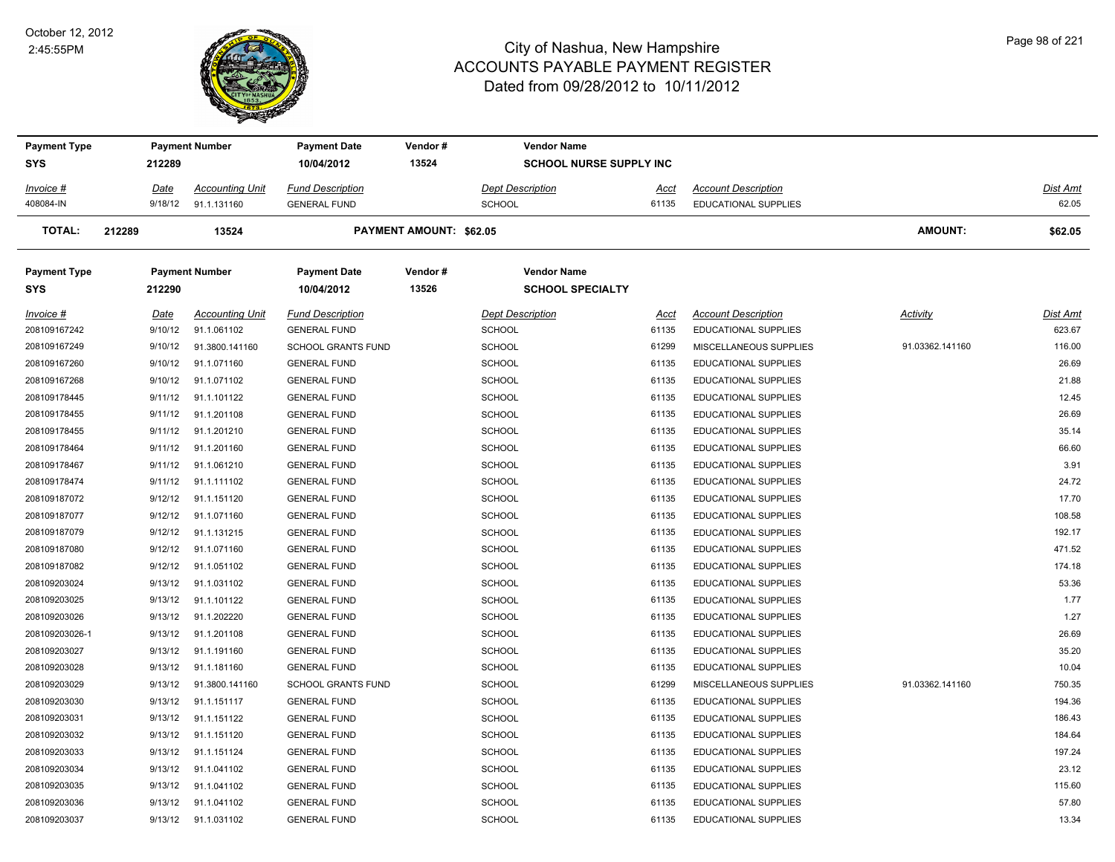

| <b>Payment Type</b> |             | <b>Payment Number</b>  | <b>Payment Date</b>       | Vendor#                 | <b>Vendor Name</b>             |             |                             |                 |                 |
|---------------------|-------------|------------------------|---------------------------|-------------------------|--------------------------------|-------------|-----------------------------|-----------------|-----------------|
| SYS                 | 212289      |                        | 10/04/2012                | 13524                   | <b>SCHOOL NURSE SUPPLY INC</b> |             |                             |                 |                 |
| Invoice #           | Date        | <b>Accounting Unit</b> | <b>Fund Description</b>   |                         | <b>Dept Description</b>        | <u>Acct</u> | <b>Account Description</b>  |                 | Dist Amt        |
| 408084-IN           | 9/18/12     | 91.1.131160            | <b>GENERAL FUND</b>       |                         | SCHOOL                         | 61135       | <b>EDUCATIONAL SUPPLIES</b> |                 | 62.05           |
| TOTAL:              | 212289      | 13524                  |                           | PAYMENT AMOUNT: \$62.05 |                                |             |                             | <b>AMOUNT:</b>  | \$62.05         |
| <b>Payment Type</b> |             | <b>Payment Number</b>  | <b>Payment Date</b>       | Vendor#                 | <b>Vendor Name</b>             |             |                             |                 |                 |
| SYS                 | 212290      |                        | 10/04/2012                | 13526                   | <b>SCHOOL SPECIALTY</b>        |             |                             |                 |                 |
| <u>Invoice #</u>    | <u>Date</u> | <b>Accounting Unit</b> | <b>Fund Description</b>   |                         | <b>Dept Description</b>        | <u>Acct</u> | <b>Account Description</b>  | <b>Activity</b> | <u>Dist Amt</u> |
| 208109167242        | 9/10/12     | 91.1.061102            | <b>GENERAL FUND</b>       |                         | <b>SCHOOL</b>                  | 61135       | <b>EDUCATIONAL SUPPLIES</b> |                 | 623.67          |
| 208109167249        | 9/10/12     | 91.3800.141160         | <b>SCHOOL GRANTS FUND</b> |                         | <b>SCHOOL</b>                  | 61299       | MISCELLANEOUS SUPPLIES      | 91.03362.141160 | 116.00          |
| 208109167260        | 9/10/12     | 91.1.071160            | <b>GENERAL FUND</b>       |                         | <b>SCHOOL</b>                  | 61135       | <b>EDUCATIONAL SUPPLIES</b> |                 | 26.69           |
| 208109167268        | 9/10/12     | 91.1.071102            | <b>GENERAL FUND</b>       |                         | <b>SCHOOL</b>                  | 61135       | EDUCATIONAL SUPPLIES        |                 | 21.88           |
| 208109178445        | 9/11/12     | 91.1.101122            | <b>GENERAL FUND</b>       |                         | SCHOOL                         | 61135       | EDUCATIONAL SUPPLIES        |                 | 12.45           |
| 208109178455        | 9/11/12     | 91.1.201108            | <b>GENERAL FUND</b>       |                         | <b>SCHOOL</b>                  | 61135       | <b>EDUCATIONAL SUPPLIES</b> |                 | 26.69           |
| 208109178455        | 9/11/12     | 91.1.201210            | <b>GENERAL FUND</b>       |                         | <b>SCHOOL</b>                  | 61135       | EDUCATIONAL SUPPLIES        |                 | 35.14           |
| 208109178464        | 9/11/12     | 91.1.201160            | <b>GENERAL FUND</b>       |                         | <b>SCHOOL</b>                  | 61135       | EDUCATIONAL SUPPLIES        |                 | 66.60           |
| 208109178467        | 9/11/12     | 91.1.061210            | <b>GENERAL FUND</b>       |                         | <b>SCHOOL</b>                  | 61135       | EDUCATIONAL SUPPLIES        |                 | 3.91            |
| 208109178474        | 9/11/12     | 91.1.111102            | <b>GENERAL FUND</b>       |                         | <b>SCHOOL</b>                  | 61135       | <b>EDUCATIONAL SUPPLIES</b> |                 | 24.72           |
| 208109187072        | 9/12/12     | 91.1.151120            | <b>GENERAL FUND</b>       |                         | <b>SCHOOL</b>                  | 61135       | EDUCATIONAL SUPPLIES        |                 | 17.70           |
| 208109187077        | 9/12/12     | 91.1.071160            | <b>GENERAL FUND</b>       |                         | <b>SCHOOL</b>                  | 61135       | <b>EDUCATIONAL SUPPLIES</b> |                 | 108.58          |
| 208109187079        | 9/12/12     | 91.1.131215            | <b>GENERAL FUND</b>       |                         | <b>SCHOOL</b>                  | 61135       | EDUCATIONAL SUPPLIES        |                 | 192.17          |
| 208109187080        | 9/12/12     | 91.1.071160            | <b>GENERAL FUND</b>       |                         | <b>SCHOOL</b>                  | 61135       | <b>EDUCATIONAL SUPPLIES</b> |                 | 471.52          |
| 208109187082        | 9/12/12     | 91.1.051102            | <b>GENERAL FUND</b>       |                         | SCHOOL                         | 61135       | <b>EDUCATIONAL SUPPLIES</b> |                 | 174.18          |
| 208109203024        | 9/13/12     | 91.1.031102            | <b>GENERAL FUND</b>       |                         | <b>SCHOOL</b>                  | 61135       | <b>EDUCATIONAL SUPPLIES</b> |                 | 53.36           |
| 208109203025        | 9/13/12     | 91.1.101122            | <b>GENERAL FUND</b>       |                         | <b>SCHOOL</b>                  | 61135       | EDUCATIONAL SUPPLIES        |                 | 1.77            |
| 208109203026        | 9/13/12     | 91.1.202220            | <b>GENERAL FUND</b>       |                         | SCHOOL                         | 61135       | EDUCATIONAL SUPPLIES        |                 | 1.27            |
| 208109203026-1      | 9/13/12     | 91.1.201108            | <b>GENERAL FUND</b>       |                         | <b>SCHOOL</b>                  | 61135       | <b>EDUCATIONAL SUPPLIES</b> |                 | 26.69           |
| 208109203027        | 9/13/12     | 91.1.191160            | <b>GENERAL FUND</b>       |                         | <b>SCHOOL</b>                  | 61135       | EDUCATIONAL SUPPLIES        |                 | 35.20           |
| 208109203028        | 9/13/12     | 91.1.181160            | <b>GENERAL FUND</b>       |                         | <b>SCHOOL</b>                  | 61135       | EDUCATIONAL SUPPLIES        |                 | 10.04           |
| 208109203029        | 9/13/12     | 91.3800.141160         | <b>SCHOOL GRANTS FUND</b> |                         | <b>SCHOOL</b>                  | 61299       | MISCELLANEOUS SUPPLIES      | 91.03362.141160 | 750.35          |
| 208109203030        | 9/13/12     | 91.1.151117            | <b>GENERAL FUND</b>       |                         | <b>SCHOOL</b>                  | 61135       | <b>EDUCATIONAL SUPPLIES</b> |                 | 194.36          |
| 208109203031        | 9/13/12     | 91.1.151122            | <b>GENERAL FUND</b>       |                         | <b>SCHOOL</b>                  | 61135       | EDUCATIONAL SUPPLIES        |                 | 186.43          |
| 208109203032        | 9/13/12     | 91.1.151120            | <b>GENERAL FUND</b>       |                         | <b>SCHOOL</b>                  | 61135       | <b>EDUCATIONAL SUPPLIES</b> |                 | 184.64          |
| 208109203033        | 9/13/12     | 91.1.151124            | <b>GENERAL FUND</b>       |                         | SCHOOL                         | 61135       | EDUCATIONAL SUPPLIES        |                 | 197.24          |
| 208109203034        | 9/13/12     | 91.1.041102            | <b>GENERAL FUND</b>       |                         | <b>SCHOOL</b>                  | 61135       | EDUCATIONAL SUPPLIES        |                 | 23.12           |
| 208109203035        | 9/13/12     | 91.1.041102            | <b>GENERAL FUND</b>       |                         | <b>SCHOOL</b>                  | 61135       | EDUCATIONAL SUPPLIES        |                 | 115.60          |
| 208109203036        | 9/13/12     | 91.1.041102            | <b>GENERAL FUND</b>       |                         | <b>SCHOOL</b>                  | 61135       | <b>EDUCATIONAL SUPPLIES</b> |                 | 57.80           |
| 208109203037        | 9/13/12     | 91.1.031102            | <b>GENERAL FUND</b>       |                         | SCHOOL                         | 61135       | EDUCATIONAL SUPPLIES        |                 | 13.34           |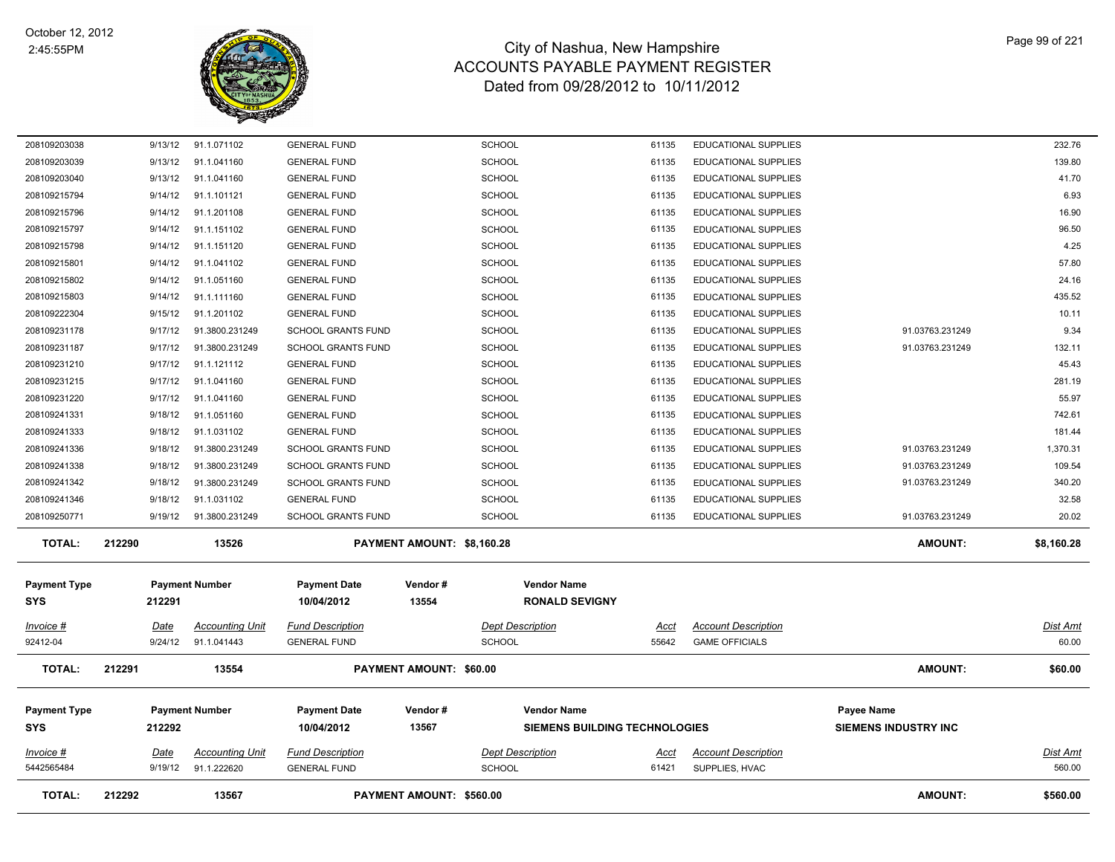

| <b>TOTAL:</b>                     | 212292                 | 13567                                 |                                                        | PAYMENT AMOUNT: \$560.00   |                                          |                                                            |                |                                                     | AMOUNT:                                   | \$560.00           |
|-----------------------------------|------------------------|---------------------------------------|--------------------------------------------------------|----------------------------|------------------------------------------|------------------------------------------------------------|----------------|-----------------------------------------------------|-------------------------------------------|--------------------|
| Invoice #<br>5442565484           | <u>Date</u><br>9/19/12 | <b>Accounting Unit</b><br>91.1.222620 | <b>Fund Description</b><br><b>GENERAL FUND</b>         |                            | Dept Description<br>SCHOOL               |                                                            | Acct<br>61421  | <b>Account Description</b><br>SUPPLIES, HVAC        |                                           | Dist Amt<br>560.00 |
| <b>Payment Type</b><br>SYS        | 212292                 | <b>Payment Number</b>                 | <b>Payment Date</b><br>10/04/2012                      | Vendor#<br>13567           |                                          | <b>Vendor Name</b><br><b>SIEMENS BUILDING TECHNOLOGIES</b> |                |                                                     | Payee Name<br><b>SIEMENS INDUSTRY INC</b> |                    |
| <b>TOTAL:</b>                     | 212291                 | 13554                                 |                                                        | PAYMENT AMOUNT: \$60.00    |                                          |                                                            |                |                                                     | <b>AMOUNT:</b>                            | \$60.00            |
| Invoice #<br>92412-04             | Date<br>9/24/12        | <b>Accounting Unit</b><br>91.1.041443 | <b>Fund Description</b><br><b>GENERAL FUND</b>         |                            | <b>Dept Description</b><br><b>SCHOOL</b> |                                                            | Acct<br>55642  | <b>Account Description</b><br><b>GAME OFFICIALS</b> |                                           | Dist Amt<br>60.00  |
| <b>Payment Type</b><br><b>SYS</b> | 212291                 | <b>Payment Number</b>                 | <b>Payment Date</b><br>10/04/2012                      | Vendor#<br>13554           |                                          | <b>Vendor Name</b><br><b>RONALD SEVIGNY</b>                |                |                                                     |                                           |                    |
| <b>TOTAL:</b>                     | 212290                 | 13526                                 |                                                        | PAYMENT AMOUNT: \$8,160.28 |                                          |                                                            |                |                                                     | <b>AMOUNT:</b>                            | \$8,160.28         |
| 208109250771                      | 9/19/12                | 91.3800.231249                        | <b>SCHOOL GRANTS FUND</b>                              |                            | <b>SCHOOL</b>                            |                                                            | 61135          | <b>EDUCATIONAL SUPPLIES</b>                         | 91.03763.231249                           | 20.02              |
| 208109241346                      | 9/18/12                | 91.1.031102                           | <b>GENERAL FUND</b>                                    |                            | <b>SCHOOL</b>                            |                                                            | 61135          | EDUCATIONAL SUPPLIES                                |                                           | 32.58              |
| 208109241342                      | 9/18/12                | 91.3800.231249                        | <b>SCHOOL GRANTS FUND</b>                              |                            | <b>SCHOOL</b>                            |                                                            | 61135          | EDUCATIONAL SUPPLIES                                | 91.03763.231249                           | 340.20             |
| 208109241338                      | 9/18/12                | 91.3800.231249                        | <b>SCHOOL GRANTS FUND</b>                              |                            | <b>SCHOOL</b>                            |                                                            | 61135          | EDUCATIONAL SUPPLIES                                | 91.03763.231249                           | 109.54             |
| 208109241336                      | 9/18/12                | 91.3800.231249                        | <b>SCHOOL GRANTS FUND</b>                              |                            | <b>SCHOOL</b>                            |                                                            | 61135          | EDUCATIONAL SUPPLIES                                | 91.03763.231249                           | 1,370.31           |
| 208109241333                      | 9/18/12                | 91.1.031102                           | <b>GENERAL FUND</b>                                    |                            | <b>SCHOOL</b>                            |                                                            | 61135          | EDUCATIONAL SUPPLIES                                |                                           | 181.44             |
| 208109241331                      | 9/18/12                | 91.1.051160                           | <b>GENERAL FUND</b>                                    |                            | <b>SCHOOL</b>                            |                                                            | 61135          | EDUCATIONAL SUPPLIES                                |                                           | 742.61             |
| 208109231220                      | 9/17/12                | 91.1.041160                           | <b>GENERAL FUND</b>                                    |                            | <b>SCHOOL</b>                            |                                                            | 61135          | EDUCATIONAL SUPPLIES                                |                                           | 55.97              |
| 208109231215                      | 9/17/12                | 91.1.041160                           | <b>GENERAL FUND</b>                                    |                            | <b>SCHOOL</b>                            |                                                            | 61135          | EDUCATIONAL SUPPLIES                                |                                           | 281.19             |
| 208109231210                      | 9/17/12                | 91.1.121112                           | <b>GENERAL FUND</b>                                    |                            | <b>SCHOOL</b>                            |                                                            | 61135          | EDUCATIONAL SUPPLIES                                |                                           | 45.43              |
| 208109231187                      | 9/17/12                | 91.3800.231249                        | <b>SCHOOL GRANTS FUND</b><br><b>SCHOOL GRANTS FUND</b> |                            | <b>SCHOOL</b><br><b>SCHOOL</b>           |                                                            | 61135<br>61135 | EDUCATIONAL SUPPLIES<br>EDUCATIONAL SUPPLIES        | 91.03763.231249<br>91.03763.231249        | 132.11             |
| 208109222304<br>208109231178      | 9/15/12<br>9/17/12     | 91.1.201102<br>91.3800.231249         | <b>GENERAL FUND</b>                                    |                            | <b>SCHOOL</b>                            |                                                            | 61135          | EDUCATIONAL SUPPLIES                                |                                           | 10.11<br>9.34      |
| 208109215803                      | 9/14/12                | 91.1.111160                           | <b>GENERAL FUND</b>                                    |                            | <b>SCHOOL</b>                            |                                                            | 61135          | EDUCATIONAL SUPPLIES                                |                                           | 435.52             |
| 208109215802                      | 9/14/12                | 91.1.051160                           | <b>GENERAL FUND</b>                                    |                            | <b>SCHOOL</b>                            |                                                            | 61135          | EDUCATIONAL SUPPLIES                                |                                           | 24.16              |
| 208109215801                      | 9/14/12                | 91.1.041102                           | <b>GENERAL FUND</b>                                    |                            | <b>SCHOOL</b>                            |                                                            | 61135          | EDUCATIONAL SUPPLIES                                |                                           | 57.80              |
| 208109215798                      | 9/14/12                | 91.1.151120                           | <b>GENERAL FUND</b>                                    |                            | <b>SCHOOL</b>                            |                                                            | 61135          | EDUCATIONAL SUPPLIES                                |                                           | 4.25               |
| 208109215797                      | 9/14/12                | 91.1.151102                           | <b>GENERAL FUND</b>                                    |                            | <b>SCHOOL</b>                            |                                                            | 61135          | EDUCATIONAL SUPPLIES                                |                                           | 96.50              |
| 208109215796                      | 9/14/12                | 91.1.201108                           | <b>GENERAL FUND</b>                                    |                            | <b>SCHOOL</b>                            |                                                            | 61135          | EDUCATIONAL SUPPLIES                                |                                           | 16.90              |
| 208109215794                      | 9/14/12                | 91.1.101121                           | <b>GENERAL FUND</b>                                    |                            | <b>SCHOOL</b>                            |                                                            | 61135          | EDUCATIONAL SUPPLIES                                |                                           | 6.93               |
| 208109203040                      | 9/13/12                | 91.1.041160                           | <b>GENERAL FUND</b>                                    |                            | <b>SCHOOL</b>                            |                                                            | 61135          | EDUCATIONAL SUPPLIES                                |                                           | 41.70              |
| 208109203039                      | 9/13/12                | 91.1.041160                           | <b>GENERAL FUND</b>                                    |                            | <b>SCHOOL</b>                            |                                                            | 61135          | EDUCATIONAL SUPPLIES                                |                                           | 139.80             |
| 208109203038                      | 9/13/12                | 91.1.071102                           | <b>GENERAL FUND</b>                                    |                            | <b>SCHOOL</b>                            |                                                            | 61135          | EDUCATIONAL SUPPLIES                                |                                           | 232.76             |
|                                   |                        |                                       |                                                        |                            |                                          |                                                            |                |                                                     |                                           |                    |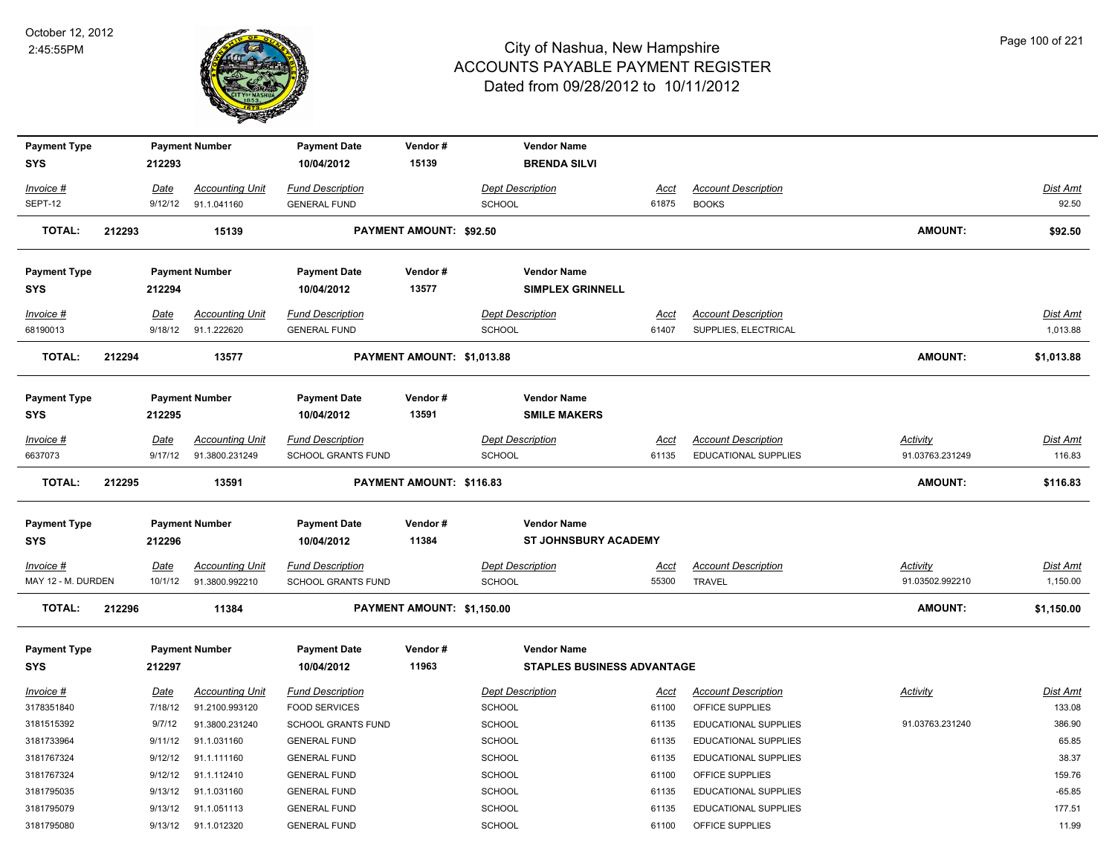

| <b>Payment Type</b>               |                 | <b>Payment Number</b>                    | <b>Payment Date</b>                           | Vendor#                    | <b>Vendor Name</b>                                |                      |                                             |                             |                             |
|-----------------------------------|-----------------|------------------------------------------|-----------------------------------------------|----------------------------|---------------------------------------------------|----------------------|---------------------------------------------|-----------------------------|-----------------------------|
| <b>SYS</b>                        | 212293          |                                          | 10/04/2012                                    | 15139                      | <b>BRENDA SILVI</b>                               |                      |                                             |                             |                             |
| Invoice #                         | Date            | <b>Accounting Unit</b>                   | <b>Fund Description</b>                       |                            | <b>Dept Description</b>                           | Acct                 | <b>Account Description</b>                  |                             | Dist Amt                    |
| SEPT-12                           | 9/12/12         | 91.1.041160                              | <b>GENERAL FUND</b>                           |                            | SCHOOL                                            | 61875                | <b>BOOKS</b>                                |                             | 92.50                       |
| <b>TOTAL:</b>                     | 212293          | 15139                                    |                                               | PAYMENT AMOUNT: \$92.50    |                                                   |                      |                                             | <b>AMOUNT:</b>              | \$92.50                     |
| <b>Payment Type</b>               |                 | <b>Payment Number</b>                    | <b>Payment Date</b>                           | Vendor#                    | <b>Vendor Name</b>                                |                      |                                             |                             |                             |
| <b>SYS</b>                        | 212294          |                                          | 10/04/2012                                    | 13577                      | <b>SIMPLEX GRINNELL</b>                           |                      |                                             |                             |                             |
| Invoice #                         | Date            | <b>Accounting Unit</b>                   | <b>Fund Description</b>                       |                            | <b>Dept Description</b>                           | Acct                 | <b>Account Description</b>                  |                             | Dist Amt                    |
| 68190013                          | 9/18/12         | 91.1.222620                              | <b>GENERAL FUND</b>                           |                            | SCHOOL                                            | 61407                | SUPPLIES, ELECTRICAL                        |                             | 1,013.88                    |
| <b>TOTAL:</b>                     | 212294          | 13577                                    |                                               | PAYMENT AMOUNT: \$1,013.88 |                                                   |                      |                                             | AMOUNT:                     | \$1,013.88                  |
| <b>Payment Type</b>               |                 | <b>Payment Number</b>                    | <b>Payment Date</b>                           | Vendor#                    | <b>Vendor Name</b>                                |                      |                                             |                             |                             |
| <b>SYS</b>                        | 212295          |                                          | 10/04/2012                                    | 13591                      | <b>SMILE MAKERS</b>                               |                      |                                             |                             |                             |
| Invoice #                         | Date            | <b>Accounting Unit</b>                   | <b>Fund Description</b>                       |                            | <b>Dept Description</b>                           | <u>Acct</u>          | <b>Account Description</b>                  | Activity                    | <u>Dist Amt</u>             |
| 6637073                           | 9/17/12         | 91.3800.231249                           | SCHOOL GRANTS FUND                            |                            | SCHOOL                                            | 61135                | EDUCATIONAL SUPPLIES                        | 91.03763.231249             | 116.83                      |
| <b>TOTAL:</b>                     | 212295          | 13591                                    |                                               | PAYMENT AMOUNT: \$116.83   |                                                   |                      |                                             | <b>AMOUNT:</b>              | \$116.83                    |
| <b>Payment Type</b><br><b>SYS</b> | 212296          | <b>Payment Number</b>                    | <b>Payment Date</b><br>10/04/2012             | Vendor#<br>11384           | <b>Vendor Name</b><br><b>ST JOHNSBURY ACADEMY</b> |                      |                                             |                             |                             |
| Invoice #<br>MAY 12 - M. DURDEN   | Date<br>10/1/12 | <b>Accounting Unit</b><br>91.3800.992210 | <b>Fund Description</b><br>SCHOOL GRANTS FUND |                            | <b>Dept Description</b><br>SCHOOL                 | <u>Acct</u><br>55300 | <b>Account Description</b><br><b>TRAVEL</b> | Activity<br>91.03502.992210 | <b>Dist Amt</b><br>1,150.00 |
| <b>TOTAL:</b>                     | 212296          | 11384                                    |                                               | PAYMENT AMOUNT: \$1,150.00 |                                                   |                      |                                             | AMOUNT:                     | \$1,150.00                  |
| <b>Payment Type</b>               |                 | <b>Payment Number</b>                    | <b>Payment Date</b>                           | Vendor#                    | <b>Vendor Name</b>                                |                      |                                             |                             |                             |
| <b>SYS</b>                        | 212297          |                                          | 10/04/2012                                    | 11963                      | <b>STAPLES BUSINESS ADVANTAGE</b>                 |                      |                                             |                             |                             |
| Invoice #                         | Date            | <b>Accounting Unit</b>                   | <b>Fund Description</b>                       |                            | <b>Dept Description</b>                           | Acct                 | <b>Account Description</b>                  | Activity                    | Dist Amt                    |
| 3178351840                        | 7/18/12         | 91.2100.993120                           | <b>FOOD SERVICES</b>                          |                            | SCHOOL                                            | 61100                | OFFICE SUPPLIES                             |                             | 133.08                      |
| 3181515392                        | 9/7/12          | 91.3800.231240                           | SCHOOL GRANTS FUND                            |                            | SCHOOL                                            | 61135                | EDUCATIONAL SUPPLIES                        | 91.03763.231240             | 386.90                      |
| 3181733964                        | 9/11/12         | 91.1.031160                              | <b>GENERAL FUND</b>                           |                            | SCHOOL                                            | 61135                | EDUCATIONAL SUPPLIES                        |                             | 65.85                       |
| 3181767324                        | 9/12/12         | 91.1.111160                              | <b>GENERAL FUND</b>                           |                            | <b>SCHOOL</b>                                     | 61135                | EDUCATIONAL SUPPLIES                        |                             | 38.37                       |
| 3181767324                        | 9/12/12         | 91.1.112410                              | <b>GENERAL FUND</b>                           |                            | <b>SCHOOL</b>                                     | 61100                | OFFICE SUPPLIES                             |                             | 159.76                      |
| 3181795035                        | 9/13/12         | 91.1.031160                              | <b>GENERAL FUND</b>                           |                            | <b>SCHOOL</b>                                     | 61135                | EDUCATIONAL SUPPLIES                        |                             | $-65.85$                    |
| 3181795079                        | 9/13/12         | 91.1.051113                              | <b>GENERAL FUND</b>                           |                            | <b>SCHOOL</b>                                     | 61135                | <b>EDUCATIONAL SUPPLIES</b>                 |                             | 177.51                      |
| 3181795080                        | 9/13/12         | 91.1.012320                              | <b>GENERAL FUND</b>                           |                            | <b>SCHOOL</b>                                     | 61100                | OFFICE SUPPLIES                             |                             | 11.99                       |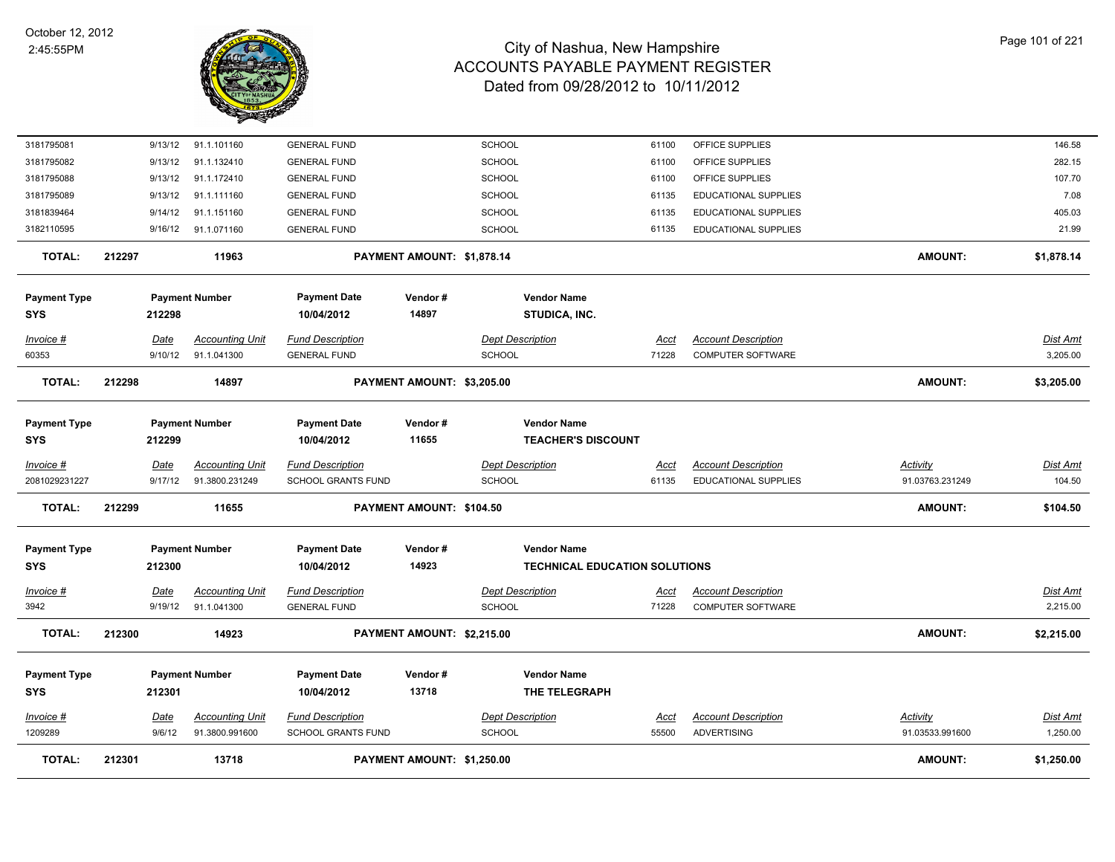

| 3181795081                 | 9/13/12 | 91.1.101160            | <b>GENERAL FUND</b>               |                            | <b>SCHOOL</b>           | 61100                                |             | OFFICE SUPPLIES             |                 | 146.58          |
|----------------------------|---------|------------------------|-----------------------------------|----------------------------|-------------------------|--------------------------------------|-------------|-----------------------------|-----------------|-----------------|
| 3181795082                 | 9/13/12 | 91.1.132410            | <b>GENERAL FUND</b>               |                            | SCHOOL                  | 61100                                |             | OFFICE SUPPLIES             |                 | 282.15          |
| 3181795088                 | 9/13/12 | 91.1.172410            | <b>GENERAL FUND</b>               |                            | <b>SCHOOL</b>           | 61100                                |             | OFFICE SUPPLIES             |                 | 107.70          |
| 3181795089                 | 9/13/12 | 91.1.111160            | <b>GENERAL FUND</b>               |                            | <b>SCHOOL</b>           | 61135                                |             | <b>EDUCATIONAL SUPPLIES</b> |                 | 7.08            |
| 3181839464                 | 9/14/12 | 91.1.151160            | <b>GENERAL FUND</b>               |                            | SCHOOL                  | 61135                                |             | EDUCATIONAL SUPPLIES        |                 | 405.03          |
| 3182110595                 | 9/16/12 | 91.1.071160            | <b>GENERAL FUND</b>               |                            | <b>SCHOOL</b>           | 61135                                |             | EDUCATIONAL SUPPLIES        |                 | 21.99           |
| <b>TOTAL:</b>              | 212297  | 11963                  |                                   | PAYMENT AMOUNT: \$1,878.14 |                         |                                      |             |                             | <b>AMOUNT:</b>  | \$1,878.14      |
| <b>Payment Type</b>        |         | <b>Payment Number</b>  | <b>Payment Date</b>               | Vendor#                    | <b>Vendor Name</b>      |                                      |             |                             |                 |                 |
| SYS                        | 212298  |                        | 10/04/2012                        | 14897                      | STUDICA, INC.           |                                      |             |                             |                 |                 |
| Invoice #                  | Date    | <b>Accounting Unit</b> | <b>Fund Description</b>           |                            | <b>Dept Description</b> |                                      | <u>Acct</u> | <b>Account Description</b>  |                 | <b>Dist Amt</b> |
| 60353                      | 9/10/12 | 91.1.041300            | <b>GENERAL FUND</b>               |                            | <b>SCHOOL</b>           | 71228                                |             | COMPUTER SOFTWARE           |                 | 3,205.00        |
| TOTAL:                     | 212298  | 14897                  |                                   | PAYMENT AMOUNT: \$3,205.00 |                         |                                      |             |                             | <b>AMOUNT:</b>  | \$3,205.00      |
|                            |         |                        |                                   |                            |                         |                                      |             |                             |                 |                 |
| <b>Payment Type</b>        |         | <b>Payment Number</b>  | <b>Payment Date</b>               | Vendor#                    | <b>Vendor Name</b>      |                                      |             |                             |                 |                 |
| SYS                        | 212299  |                        | 10/04/2012                        | 11655                      |                         | <b>TEACHER'S DISCOUNT</b>            |             |                             |                 |                 |
| Invoice #                  | Date    | <b>Accounting Unit</b> | <b>Fund Description</b>           |                            | Dept Description        |                                      | Acct        | <b>Account Description</b>  | <b>Activity</b> | Dist Amt        |
| 2081029231227              | 9/17/12 | 91.3800.231249         | SCHOOL GRANTS FUND                |                            | <b>SCHOOL</b>           | 61135                                |             | EDUCATIONAL SUPPLIES        | 91.03763.231249 | 104.50          |
| <b>TOTAL:</b>              | 212299  | 11655                  |                                   | PAYMENT AMOUNT: \$104.50   |                         |                                      |             |                             | <b>AMOUNT:</b>  | \$104.50        |
|                            |         | <b>Payment Number</b>  |                                   | Vendor#                    | <b>Vendor Name</b>      |                                      |             |                             |                 |                 |
| <b>Payment Type</b><br>SYS | 212300  |                        | <b>Payment Date</b><br>10/04/2012 | 14923                      |                         | <b>TECHNICAL EDUCATION SOLUTIONS</b> |             |                             |                 |                 |
|                            |         |                        |                                   |                            |                         |                                      |             |                             |                 |                 |
| $Invoice$ #                | Date    | <b>Accounting Unit</b> | <b>Fund Description</b>           |                            | <b>Dept Description</b> |                                      | <u>Acct</u> | <b>Account Description</b>  |                 | <b>Dist Amt</b> |
| 3942                       | 9/19/12 | 91.1.041300            | <b>GENERAL FUND</b>               |                            | <b>SCHOOL</b>           | 71228                                |             | COMPUTER SOFTWARE           |                 | 2,215.00        |
| <b>TOTAL:</b>              | 212300  | 14923                  |                                   | PAYMENT AMOUNT: \$2,215.00 |                         |                                      |             |                             | AMOUNT:         | \$2,215.00      |
| <b>Payment Type</b>        |         | <b>Payment Number</b>  | <b>Payment Date</b>               | Vendor#                    | <b>Vendor Name</b>      |                                      |             |                             |                 |                 |
| SYS                        | 212301  |                        | 10/04/2012                        | 13718                      |                         | THE TELEGRAPH                        |             |                             |                 |                 |
| Invoice #                  | Date    | <b>Accounting Unit</b> | <b>Fund Description</b>           |                            | <b>Dept Description</b> |                                      | Acct        | <b>Account Description</b>  | Activity        | Dist Amt        |
| 1209289                    | 9/6/12  | 91.3800.991600         | SCHOOL GRANTS FUND                |                            | <b>SCHOOL</b>           | 55500                                |             | <b>ADVERTISING</b>          | 91.03533.991600 | 1,250.00        |
| <b>TOTAL:</b>              | 212301  | 13718                  |                                   | PAYMENT AMOUNT: \$1,250.00 |                         |                                      |             |                             | <b>AMOUNT:</b>  | \$1,250.00      |
|                            |         |                        |                                   |                            |                         |                                      |             |                             |                 |                 |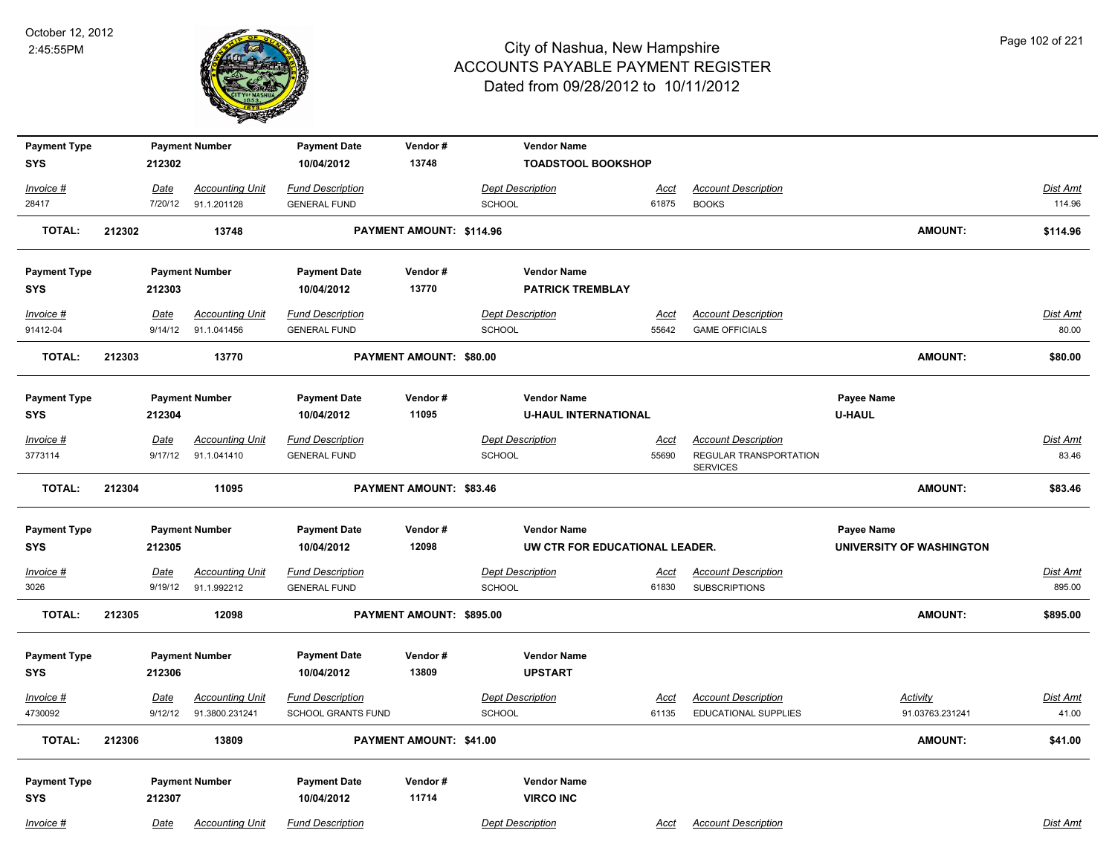

| <b>Payment Type</b>               |        |                        | <b>Payment Number</b>                    | <b>Payment Date</b>                            | Vendor#                        | <b>Vendor Name</b>                       |                      |                                                           |                             |                          |
|-----------------------------------|--------|------------------------|------------------------------------------|------------------------------------------------|--------------------------------|------------------------------------------|----------------------|-----------------------------------------------------------|-----------------------------|--------------------------|
| <b>SYS</b>                        |        | 212302                 |                                          | 10/04/2012                                     | 13748                          | <b>TOADSTOOL BOOKSHOP</b>                |                      |                                                           |                             |                          |
| Invoice #                         |        | Date                   | <b>Accounting Unit</b>                   | <b>Fund Description</b>                        |                                | <b>Dept Description</b>                  | <u>Acct</u>          | <b>Account Description</b>                                |                             | Dist Amt                 |
| 28417                             |        | 7/20/12                | 91.1.201128                              | <b>GENERAL FUND</b>                            |                                | <b>SCHOOL</b>                            | 61875                | <b>BOOKS</b>                                              |                             | 114.96                   |
| <b>TOTAL:</b>                     | 212302 |                        | 13748                                    |                                                | PAYMENT AMOUNT: \$114.96       |                                          |                      |                                                           | <b>AMOUNT:</b>              | \$114.96                 |
| <b>Payment Type</b>               |        |                        | <b>Payment Number</b>                    | <b>Payment Date</b>                            | Vendor#                        | <b>Vendor Name</b>                       |                      |                                                           |                             |                          |
| SYS                               |        | 212303                 |                                          | 10/04/2012                                     | 13770                          | <b>PATRICK TREMBLAY</b>                  |                      |                                                           |                             |                          |
| Invoice #                         |        | Date                   | <b>Accounting Unit</b>                   | <b>Fund Description</b>                        |                                | <b>Dept Description</b>                  | <u>Acct</u>          | <b>Account Description</b>                                |                             | <b>Dist Amt</b>          |
| 91412-04                          |        | 9/14/12                | 91.1.041456                              | <b>GENERAL FUND</b>                            |                                | SCHOOL                                   | 55642                | <b>GAME OFFICIALS</b>                                     |                             | 80.00                    |
| <b>TOTAL:</b>                     | 212303 |                        | 13770                                    |                                                | PAYMENT AMOUNT: \$80.00        |                                          |                      |                                                           | <b>AMOUNT:</b>              | \$80.00                  |
| <b>Payment Type</b>               |        |                        | <b>Payment Number</b>                    | <b>Payment Date</b>                            | Vendor#                        | <b>Vendor Name</b>                       |                      |                                                           | Payee Name                  |                          |
| SYS                               |        | 212304                 |                                          | 10/04/2012                                     | 11095                          | <b>U-HAUL INTERNATIONAL</b>              |                      |                                                           | <b>U-HAUL</b>               |                          |
| Invoice #<br>3773114              |        | Date<br>9/17/12        | <b>Accounting Unit</b><br>91.1.041410    | <b>Fund Description</b><br><b>GENERAL FUND</b> |                                | <b>Dept Description</b><br><b>SCHOOL</b> | Acct<br>55690        | <b>Account Description</b><br>REGULAR TRANSPORTATION      |                             | <b>Dist Amt</b><br>83.46 |
|                                   |        |                        |                                          |                                                |                                |                                          |                      | <b>SERVICES</b>                                           |                             |                          |
| <b>TOTAL:</b>                     | 212304 |                        | 11095                                    |                                                | PAYMENT AMOUNT: \$83.46        |                                          |                      |                                                           | <b>AMOUNT:</b>              | \$83.46                  |
| <b>Payment Type</b>               |        |                        | <b>Payment Number</b>                    | <b>Payment Date</b>                            | Vendor#                        | <b>Vendor Name</b>                       |                      |                                                           | Payee Name                  |                          |
| SYS                               |        | 212305                 |                                          | 10/04/2012                                     | 12098                          | UW CTR FOR EDUCATIONAL LEADER.           |                      |                                                           | UNIVERSITY OF WASHINGTON    |                          |
| Invoice #<br>3026                 |        | <u>Date</u><br>9/19/12 | <b>Accounting Unit</b><br>91.1.992212    | <b>Fund Description</b><br><b>GENERAL FUND</b> |                                | <b>Dept Description</b><br>SCHOOL        | <u>Acct</u><br>61830 | <b>Account Description</b><br><b>SUBSCRIPTIONS</b>        |                             | Dist Amt<br>895.00       |
| <b>TOTAL:</b>                     | 212305 |                        | 12098                                    |                                                | PAYMENT AMOUNT: \$895.00       |                                          |                      |                                                           | <b>AMOUNT:</b>              | \$895.00                 |
| <b>Payment Type</b><br>SYS        |        | 212306                 | <b>Payment Number</b>                    | <b>Payment Date</b><br>10/04/2012              | Vendor#<br>13809               | <b>Vendor Name</b><br><b>UPSTART</b>     |                      |                                                           |                             |                          |
| $Invoice$ #<br>4730092            |        | Date<br>9/12/12        | <b>Accounting Unit</b><br>91.3800.231241 | <b>Fund Description</b><br>SCHOOL GRANTS FUND  |                                | <b>Dept Description</b><br>SCHOOL        | Acct<br>61135        | <b>Account Description</b><br><b>EDUCATIONAL SUPPLIES</b> | Activity<br>91.03763.231241 | <u>Dist Amt</u><br>41.00 |
| <b>TOTAL:</b>                     | 212306 |                        | 13809                                    |                                                | <b>PAYMENT AMOUNT: \$41.00</b> |                                          |                      |                                                           | <b>AMOUNT:</b>              | \$41.00                  |
| <b>Payment Type</b><br><b>SYS</b> |        | 212307                 | <b>Payment Number</b>                    | <b>Payment Date</b><br>10/04/2012              | Vendor#<br>11714               | <b>Vendor Name</b><br><b>VIRCO INC</b>   |                      |                                                           |                             |                          |
| Invoice #                         |        | Date                   | <b>Accounting Unit</b>                   | <b>Fund Description</b>                        |                                | <b>Dept Description</b>                  | Acct                 | <b>Account Description</b>                                |                             | Dist Amt                 |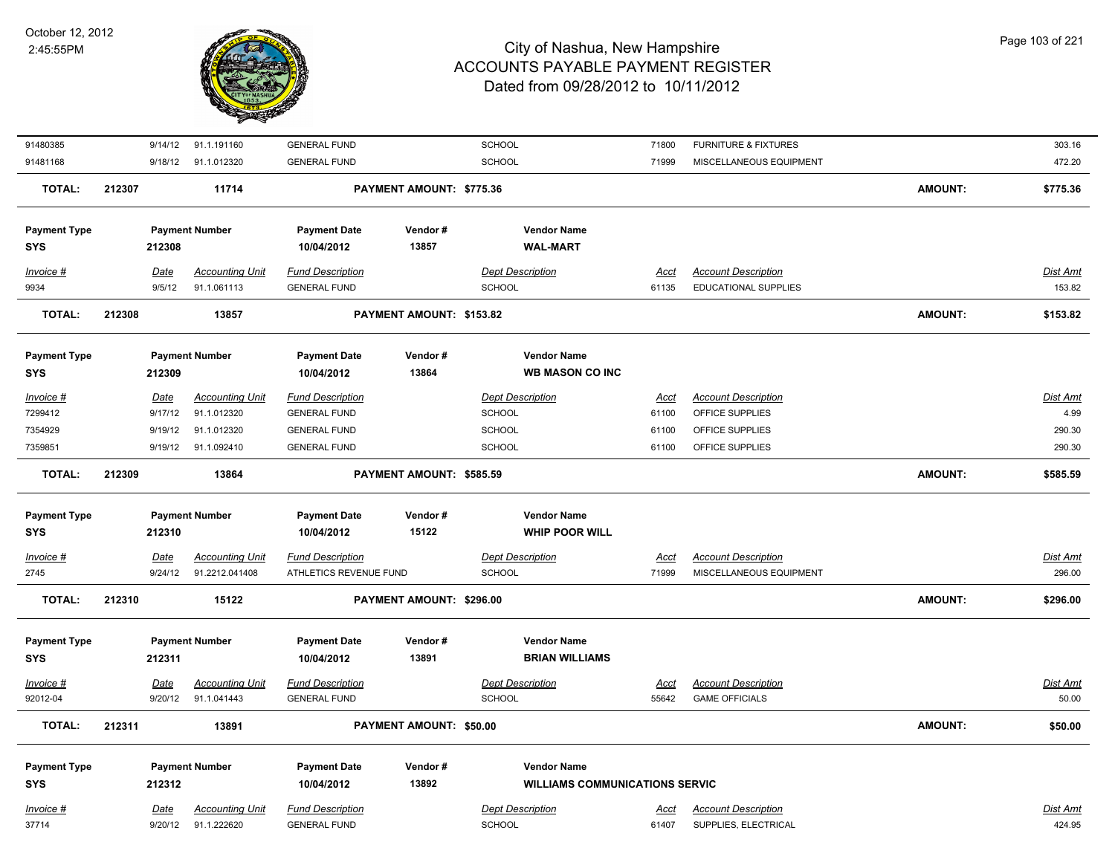

| 91480385                          |             | 9/14/12<br>91.1.191160          | <b>GENERAL FUND</b>               |                          | SCHOOL                                | 71800       | <b>FURNITURE &amp; FIXTURES</b> |                | 303.16          |
|-----------------------------------|-------------|---------------------------------|-----------------------------------|--------------------------|---------------------------------------|-------------|---------------------------------|----------------|-----------------|
| 91481168                          |             | 9/18/12 91.1.012320             | <b>GENERAL FUND</b>               |                          | SCHOOL                                | 71999       | MISCELLANEOUS EQUIPMENT         |                | 472.20          |
| <b>TOTAL:</b>                     | 212307      | 11714                           |                                   | PAYMENT AMOUNT: \$775.36 |                                       |             |                                 | <b>AMOUNT:</b> | \$775.36        |
| <b>Payment Type</b>               |             | <b>Payment Number</b>           | <b>Payment Date</b>               | Vendor#                  | <b>Vendor Name</b>                    |             |                                 |                |                 |
| <b>SYS</b>                        | 212308      |                                 | 10/04/2012                        | 13857                    | <b>WAL-MART</b>                       |             |                                 |                |                 |
| Invoice #                         | Date        | <b>Accounting Unit</b>          | <b>Fund Description</b>           |                          | <b>Dept Description</b>               | Acct        | <b>Account Description</b>      |                | Dist Amt        |
| 9934                              |             | 91.1.061113<br>9/5/12           | <b>GENERAL FUND</b>               |                          | <b>SCHOOL</b>                         | 61135       | <b>EDUCATIONAL SUPPLIES</b>     |                | 153.82          |
| <b>TOTAL:</b>                     | 212308      | 13857                           |                                   | PAYMENT AMOUNT: \$153.82 |                                       |             |                                 | <b>AMOUNT:</b> | \$153.82        |
| <b>Payment Type</b>               |             | <b>Payment Number</b>           | <b>Payment Date</b>               | Vendor#                  | <b>Vendor Name</b>                    |             |                                 |                |                 |
| <b>SYS</b>                        |             | 212309                          | 10/04/2012                        | 13864                    | <b>WB MASON CO INC</b>                |             |                                 |                |                 |
| Invoice #                         | Date        | <b>Accounting Unit</b>          | <b>Fund Description</b>           |                          | <b>Dept Description</b>               | <u>Acct</u> | <b>Account Description</b>      |                | Dist Amt        |
| 7299412                           |             | 9/17/12<br>91.1.012320          | <b>GENERAL FUND</b>               |                          | <b>SCHOOL</b>                         | 61100       | OFFICE SUPPLIES                 |                | 4.99            |
| 7354929                           |             | 9/19/12<br>91.1.012320          | <b>GENERAL FUND</b>               |                          | <b>SCHOOL</b>                         | 61100       | OFFICE SUPPLIES                 |                | 290.30          |
| 7359851                           |             | 9/19/12<br>91.1.092410          | <b>GENERAL FUND</b>               |                          | SCHOOL                                | 61100       | OFFICE SUPPLIES                 |                | 290.30          |
| <b>TOTAL:</b>                     | 212309      | 13864                           |                                   | PAYMENT AMOUNT: \$585.59 |                                       |             |                                 | <b>AMOUNT:</b> | \$585.59        |
|                                   |             |                                 |                                   |                          | <b>Vendor Name</b>                    |             |                                 |                |                 |
| <b>Payment Type</b><br><b>SYS</b> |             | <b>Payment Number</b><br>212310 | <b>Payment Date</b><br>10/04/2012 | Vendor#<br>15122         | <b>WHIP POOR WILL</b>                 |             |                                 |                |                 |
| $Invoice$ #                       | <u>Date</u> | <b>Accounting Unit</b>          | <b>Fund Description</b>           |                          | <b>Dept Description</b>               | <u>Acct</u> | <b>Account Description</b>      |                | <u>Dist Amt</u> |
| 2745                              |             | 91.2212.041408<br>9/24/12       | ATHLETICS REVENUE FUND            |                          | SCHOOL                                | 71999       | MISCELLANEOUS EQUIPMENT         |                | 296.00          |
|                                   |             |                                 |                                   |                          |                                       |             |                                 |                |                 |
| <b>TOTAL:</b>                     | 212310      | 15122                           |                                   | PAYMENT AMOUNT: \$296.00 |                                       |             |                                 | <b>AMOUNT:</b> | \$296.00        |
|                                   |             | <b>Payment Number</b>           |                                   | Vendor#                  | <b>Vendor Name</b>                    |             |                                 |                |                 |
| <b>Payment Type</b><br><b>SYS</b> | 212311      |                                 | <b>Payment Date</b><br>10/04/2012 | 13891                    | <b>BRIAN WILLIAMS</b>                 |             |                                 |                |                 |
|                                   |             |                                 |                                   |                          |                                       |             |                                 |                |                 |
| Invoice #                         | <u>Date</u> | <b>Accounting Unit</b>          | <b>Fund Description</b>           |                          | <b>Dept Description</b>               | <u>Acct</u> | <b>Account Description</b>      |                | Dist Amt        |
| 92012-04                          |             | 9/20/12<br>91.1.041443          | <b>GENERAL FUND</b>               |                          | <b>SCHOOL</b>                         | 55642       | <b>GAME OFFICIALS</b>           |                | 50.00           |
| <b>TOTAL:</b>                     | 212311      | 13891                           |                                   | PAYMENT AMOUNT: \$50.00  |                                       |             |                                 | <b>AMOUNT:</b> | \$50.00         |
| <b>Payment Type</b>               |             | <b>Payment Number</b>           | <b>Payment Date</b>               | Vendor#                  | <b>Vendor Name</b>                    |             |                                 |                |                 |
| <b>SYS</b>                        |             | 212312                          | 10/04/2012                        | 13892                    | <b>WILLIAMS COMMUNICATIONS SERVIC</b> |             |                                 |                |                 |
| Invoice #                         | <b>Date</b> | <b>Accounting Unit</b>          | <b>Fund Description</b>           |                          | <b>Dept Description</b>               | <u>Acct</u> | <b>Account Description</b>      |                | Dist Amt        |
| 37714                             |             | 91.1.222620<br>9/20/12          | <b>GENERAL FUND</b>               |                          | <b>SCHOOL</b>                         | 61407       | SUPPLIES, ELECTRICAL            |                | 424.95          |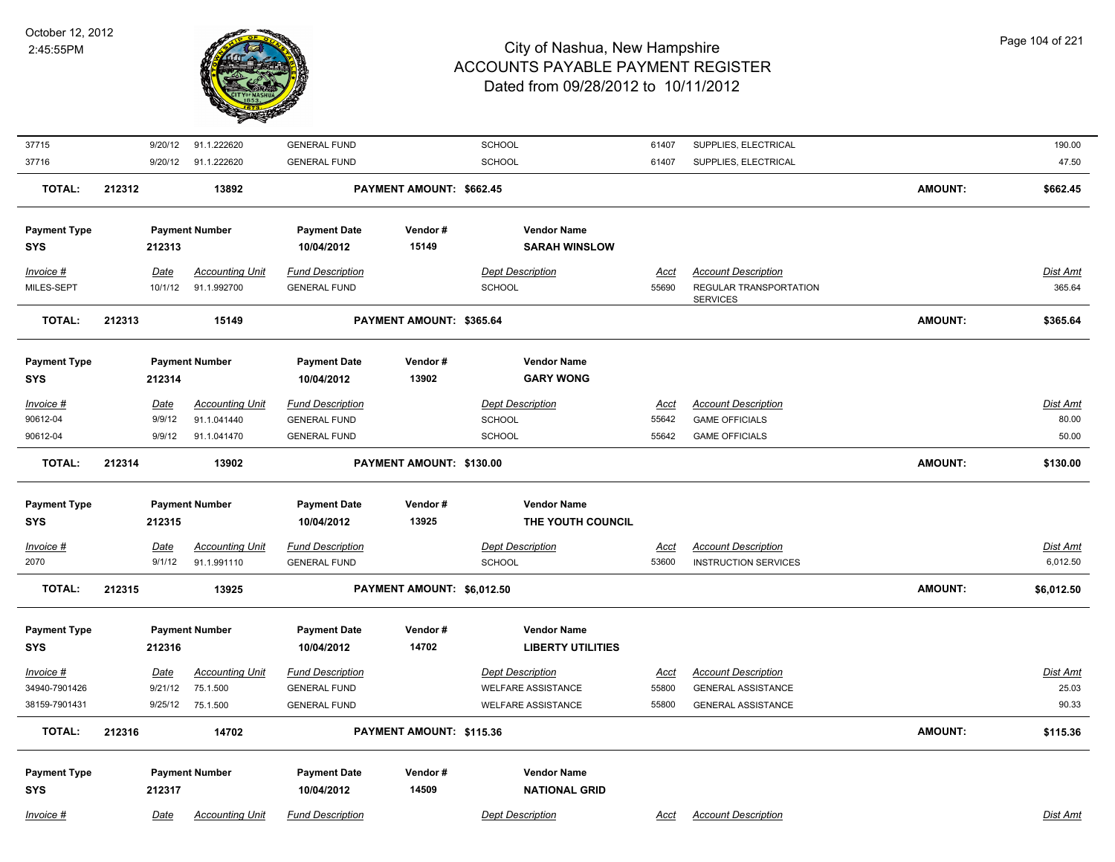

| 37715               | 9/20/12     | 91.1.222620            | <b>GENERAL FUND</b>     |                            | SCHOOL                    | 61407       | SUPPLIES, ELECTRICAL                      |                | 190.00          |
|---------------------|-------------|------------------------|-------------------------|----------------------------|---------------------------|-------------|-------------------------------------------|----------------|-----------------|
| 37716               | 9/20/12     | 91.1.222620            | <b>GENERAL FUND</b>     |                            | SCHOOL                    | 61407       | SUPPLIES, ELECTRICAL                      |                | 47.50           |
| <b>TOTAL:</b>       | 212312      | 13892                  |                         | PAYMENT AMOUNT: \$662.45   |                           |             |                                           | <b>AMOUNT:</b> | \$662.45        |
|                     |             |                        |                         |                            |                           |             |                                           |                |                 |
| <b>Payment Type</b> |             | <b>Payment Number</b>  | <b>Payment Date</b>     | Vendor#<br>15149           | <b>Vendor Name</b>        |             |                                           |                |                 |
| <b>SYS</b>          | 212313      |                        | 10/04/2012              |                            | <b>SARAH WINSLOW</b>      |             |                                           |                |                 |
| Invoice #           | Date        | <b>Accounting Unit</b> | <b>Fund Description</b> |                            | <b>Dept Description</b>   | Acct        | <b>Account Description</b>                |                | Dist Amt        |
| MILES-SEPT          | 10/1/12     | 91.1.992700            | <b>GENERAL FUND</b>     |                            | SCHOOL                    | 55690       | REGULAR TRANSPORTATION<br><b>SERVICES</b> |                | 365.64          |
| <b>TOTAL:</b>       | 212313      | 15149                  |                         | PAYMENT AMOUNT: \$365.64   |                           |             |                                           | <b>AMOUNT:</b> | \$365.64        |
| <b>Payment Type</b> |             | <b>Payment Number</b>  | <b>Payment Date</b>     | Vendor#                    | <b>Vendor Name</b>        |             |                                           |                |                 |
| <b>SYS</b>          | 212314      |                        | 10/04/2012              | 13902                      | <b>GARY WONG</b>          |             |                                           |                |                 |
| $Invoice$ #         | <u>Date</u> | <b>Accounting Unit</b> | <b>Fund Description</b> |                            | <b>Dept Description</b>   | <u>Acct</u> | <b>Account Description</b>                |                | Dist Amt        |
| 90612-04            | 9/9/12      | 91.1.041440            | <b>GENERAL FUND</b>     |                            | SCHOOL                    | 55642       | <b>GAME OFFICIALS</b>                     |                | 80.00           |
| 90612-04            | 9/9/12      | 91.1.041470            | <b>GENERAL FUND</b>     |                            | <b>SCHOOL</b>             | 55642       | <b>GAME OFFICIALS</b>                     |                | 50.00           |
| <b>TOTAL:</b>       | 212314      | 13902                  |                         | PAYMENT AMOUNT: \$130.00   |                           |             |                                           | <b>AMOUNT:</b> | \$130.00        |
| <b>Payment Type</b> |             | <b>Payment Number</b>  | <b>Payment Date</b>     | Vendor#                    | <b>Vendor Name</b>        |             |                                           |                |                 |
| <b>SYS</b>          | 212315      |                        | 10/04/2012              | 13925                      | THE YOUTH COUNCIL         |             |                                           |                |                 |
|                     |             |                        |                         |                            |                           |             |                                           |                |                 |
| Invoice #           | Date        | <b>Accounting Unit</b> | <b>Fund Description</b> |                            | <b>Dept Description</b>   | <u>Acct</u> | <b>Account Description</b>                |                | Dist Amt        |
| 2070                | 9/1/12      | 91.1.991110            | <b>GENERAL FUND</b>     |                            | SCHOOL                    | 53600       | <b>INSTRUCTION SERVICES</b>               |                | 6,012.50        |
| <b>TOTAL:</b>       | 212315      | 13925                  |                         | PAYMENT AMOUNT: \$6,012.50 |                           |             |                                           | <b>AMOUNT:</b> | \$6,012.50      |
|                     |             |                        |                         |                            |                           |             |                                           |                |                 |
| <b>Payment Type</b> |             | <b>Payment Number</b>  | <b>Payment Date</b>     | Vendor#                    | <b>Vendor Name</b>        |             |                                           |                |                 |
| <b>SYS</b>          | 212316      |                        | 10/04/2012              | 14702                      | <b>LIBERTY UTILITIES</b>  |             |                                           |                |                 |
| Invoice #           | <u>Date</u> | <b>Accounting Unit</b> | <b>Fund Description</b> |                            | <b>Dept Description</b>   | <u>Acct</u> | <b>Account Description</b>                |                | <u>Dist Amt</u> |
| 34940-7901426       | 9/21/12     | 75.1.500               | <b>GENERAL FUND</b>     |                            | <b>WELFARE ASSISTANCE</b> | 55800       | <b>GENERAL ASSISTANCE</b>                 |                | 25.03           |
| 38159-7901431       | 9/25/12     | 75.1.500               | <b>GENERAL FUND</b>     |                            | <b>WELFARE ASSISTANCE</b> | 55800       | <b>GENERAL ASSISTANCE</b>                 |                | 90.33           |
| <b>TOTAL:</b>       | 212316      | 14702                  |                         | PAYMENT AMOUNT: \$115.36   |                           |             |                                           | <b>AMOUNT:</b> | \$115.36        |
| <b>Payment Type</b> |             | <b>Payment Number</b>  | <b>Payment Date</b>     | Vendor#                    | <b>Vendor Name</b>        |             |                                           |                |                 |
| <b>SYS</b>          | 212317      |                        | 10/04/2012              | 14509                      | <b>NATIONAL GRID</b>      |             |                                           |                |                 |
|                     |             |                        |                         |                            |                           |             |                                           |                |                 |
| Invoice #           | Date        | <b>Accounting Unit</b> | <b>Fund Description</b> |                            | <b>Dept Description</b>   | Acct        | <b>Account Description</b>                |                | Dist Amt        |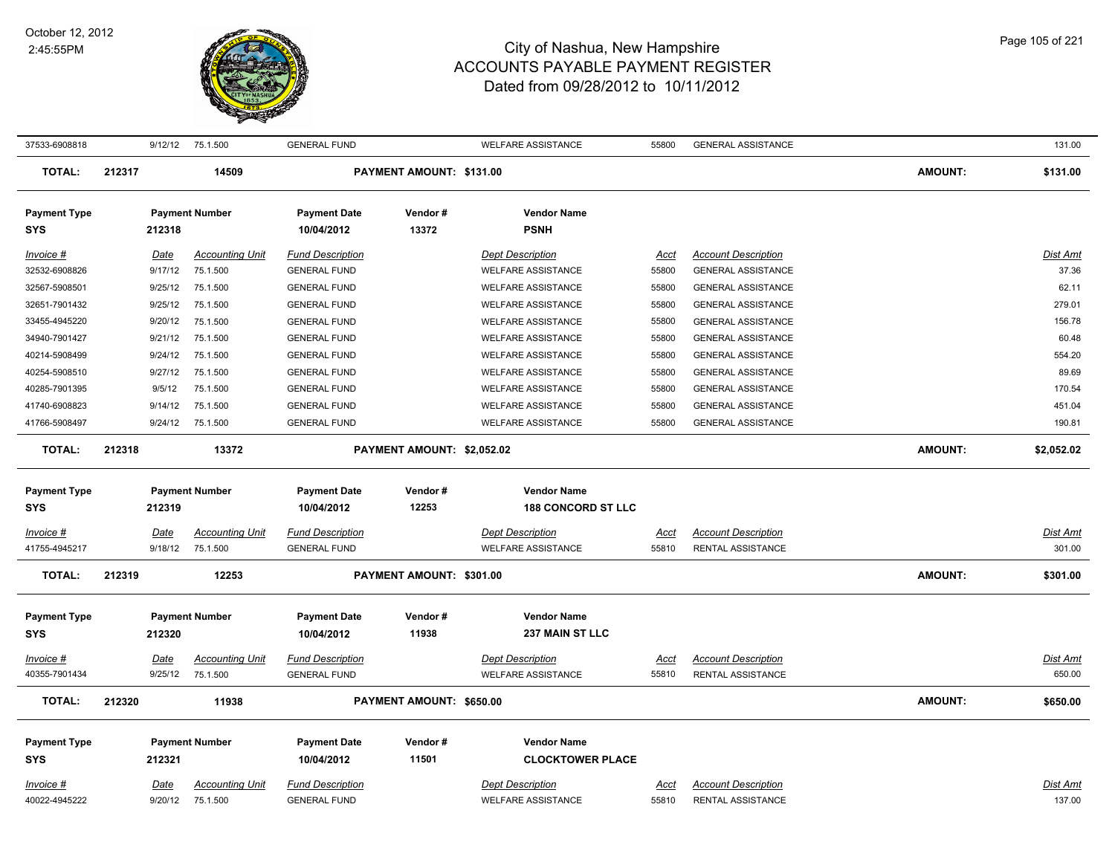

| 37533-6908818                     |        |                 | 9/12/12 75.1.500                   | <b>GENERAL FUND</b>                            |                            | <b>WELFARE ASSISTANCE</b>                            | 55800         | <b>GENERAL ASSISTANCE</b>                              |                | 131.00             |
|-----------------------------------|--------|-----------------|------------------------------------|------------------------------------------------|----------------------------|------------------------------------------------------|---------------|--------------------------------------------------------|----------------|--------------------|
| <b>TOTAL:</b>                     | 212317 |                 | 14509                              |                                                | PAYMENT AMOUNT: \$131.00   |                                                      |               |                                                        | AMOUNT:        | \$131.00           |
| <b>Payment Type</b><br><b>SYS</b> |        | 212318          | <b>Payment Number</b>              | <b>Payment Date</b><br>10/04/2012              | Vendor#<br>13372           | <b>Vendor Name</b><br><b>PSNH</b>                    |               |                                                        |                |                    |
| $Invoice$ #                       |        | <u>Date</u>     | <b>Accounting Unit</b>             | <b>Fund Description</b>                        |                            | <b>Dept Description</b>                              | Acct          | <b>Account Description</b>                             |                | <b>Dist Amt</b>    |
| 32532-6908826                     |        | 9/17/12         | 75.1.500                           | <b>GENERAL FUND</b>                            |                            | <b>WELFARE ASSISTANCE</b>                            | 55800         | <b>GENERAL ASSISTANCE</b>                              |                | 37.36              |
| 32567-5908501                     |        | 9/25/12         | 75.1.500                           | <b>GENERAL FUND</b>                            |                            | <b>WELFARE ASSISTANCE</b>                            | 55800         | <b>GENERAL ASSISTANCE</b>                              |                | 62.11              |
| 32651-7901432                     |        | 9/25/12         | 75.1.500                           | <b>GENERAL FUND</b>                            |                            | <b>WELFARE ASSISTANCE</b>                            | 55800         | <b>GENERAL ASSISTANCE</b>                              |                | 279.01             |
| 33455-4945220                     |        | 9/20/12         | 75.1.500                           | <b>GENERAL FUND</b>                            |                            | <b>WELFARE ASSISTANCE</b>                            | 55800         | <b>GENERAL ASSISTANCE</b>                              |                | 156.78             |
| 34940-7901427                     |        | 9/21/12         | 75.1.500                           | <b>GENERAL FUND</b>                            |                            | <b>WELFARE ASSISTANCE</b>                            | 55800         | <b>GENERAL ASSISTANCE</b>                              |                | 60.48              |
| 40214-5908499                     |        | 9/24/12         | 75.1.500                           | <b>GENERAL FUND</b>                            |                            | <b>WELFARE ASSISTANCE</b>                            | 55800         | <b>GENERAL ASSISTANCE</b>                              |                | 554.20             |
| 40254-5908510                     |        | 9/27/12         | 75.1.500                           | <b>GENERAL FUND</b>                            |                            | <b>WELFARE ASSISTANCE</b>                            | 55800         | <b>GENERAL ASSISTANCE</b>                              |                | 89.69              |
| 40285-7901395                     |        | 9/5/12          | 75.1.500                           | <b>GENERAL FUND</b>                            |                            | <b>WELFARE ASSISTANCE</b>                            | 55800         | <b>GENERAL ASSISTANCE</b>                              |                | 170.54             |
| 41740-6908823                     |        | 9/14/12         | 75.1.500                           | <b>GENERAL FUND</b>                            |                            | <b>WELFARE ASSISTANCE</b>                            | 55800         | <b>GENERAL ASSISTANCE</b>                              |                | 451.04             |
| 41766-5908497                     |        | 9/24/12         | 75.1.500                           | <b>GENERAL FUND</b>                            |                            | <b>WELFARE ASSISTANCE</b>                            | 55800         | <b>GENERAL ASSISTANCE</b>                              |                | 190.81             |
| <b>TOTAL:</b>                     | 212318 |                 | 13372                              |                                                | PAYMENT AMOUNT: \$2,052.02 |                                                      |               |                                                        | <b>AMOUNT:</b> | \$2,052.02         |
| <b>Payment Type</b>               |        |                 | <b>Payment Number</b>              | <b>Payment Date</b>                            | Vendor#                    | <b>Vendor Name</b>                                   |               |                                                        |                |                    |
| <b>SYS</b>                        |        | 212319          |                                    | 10/04/2012                                     | 12253                      | <b>188 CONCORD ST LLC</b>                            |               |                                                        |                |                    |
| Invoice #                         |        | Date            | <b>Accounting Unit</b>             | <b>Fund Description</b>                        |                            | <b>Dept Description</b>                              | Acct          | <b>Account Description</b>                             |                | <b>Dist Amt</b>    |
| 41755-4945217                     |        | 9/18/12         | 75.1.500                           | <b>GENERAL FUND</b>                            |                            | <b>WELFARE ASSISTANCE</b>                            | 55810         | RENTAL ASSISTANCE                                      |                | 301.00             |
| <b>TOTAL:</b>                     | 212319 |                 | 12253                              |                                                | PAYMENT AMOUNT: \$301.00   |                                                      |               |                                                        | <b>AMOUNT:</b> | \$301.00           |
|                                   |        |                 |                                    |                                                |                            |                                                      |               |                                                        |                |                    |
| <b>Payment Type</b>               |        |                 | <b>Payment Number</b>              | <b>Payment Date</b>                            | Vendor#                    | <b>Vendor Name</b>                                   |               |                                                        |                |                    |
| <b>SYS</b>                        |        | 212320          |                                    | 10/04/2012                                     | 11938                      | 237 MAIN ST LLC                                      |               |                                                        |                |                    |
| Invoice #                         |        | Date            | <b>Accounting Unit</b>             | <b>Fund Description</b>                        |                            | <b>Dept Description</b>                              | <b>Acct</b>   | <b>Account Description</b>                             |                | <b>Dist Amt</b>    |
| 40355-7901434                     |        | 9/25/12         | 75.1.500                           | <b>GENERAL FUND</b>                            |                            | <b>WELFARE ASSISTANCE</b>                            | 55810         | RENTAL ASSISTANCE                                      |                | 650.00             |
| <b>TOTAL:</b>                     | 212320 |                 | 11938                              |                                                | PAYMENT AMOUNT: \$650.00   |                                                      |               |                                                        | <b>AMOUNT:</b> | \$650.00           |
|                                   |        |                 |                                    |                                                |                            |                                                      |               |                                                        |                |                    |
| <b>Payment Type</b>               |        |                 | <b>Payment Number</b>              | <b>Payment Date</b>                            | Vendor#                    | <b>Vendor Name</b>                                   |               |                                                        |                |                    |
| <b>SYS</b>                        |        | 212321          |                                    | 10/04/2012                                     | 11501                      | <b>CLOCKTOWER PLACE</b>                              |               |                                                        |                |                    |
|                                   |        |                 |                                    |                                                |                            |                                                      |               |                                                        |                |                    |
| Invoice #<br>40022-4945222        |        | Date<br>9/20/12 | <b>Accounting Unit</b><br>75.1.500 | <b>Fund Description</b><br><b>GENERAL FUND</b> |                            | <b>Dept Description</b><br><b>WELFARE ASSISTANCE</b> | Acct<br>55810 | <b>Account Description</b><br><b>RENTAL ASSISTANCE</b> |                | Dist Amt<br>137.00 |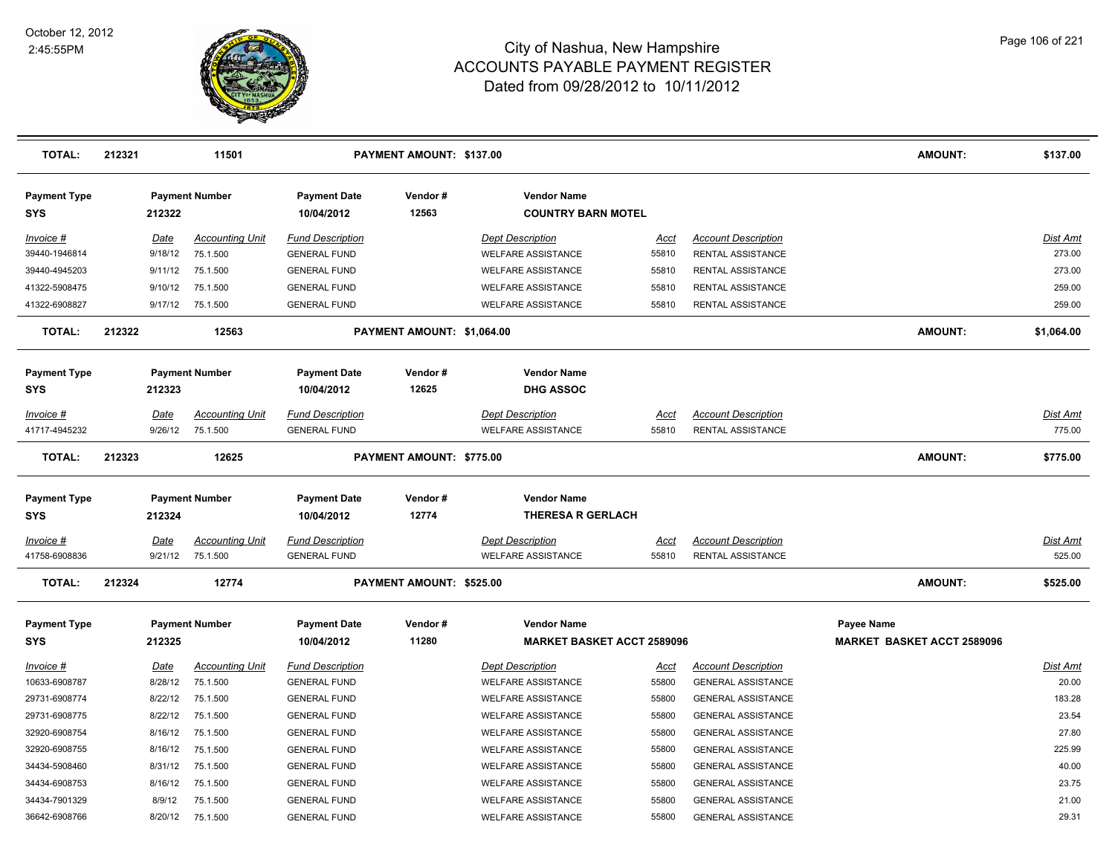

| <b>TOTAL:</b>                     | 212321 |         | 11501                  |                                   | PAYMENT AMOUNT: \$137.00   |                                                 |             |                            | <b>AMOUNT:</b>                    | \$137.00        |
|-----------------------------------|--------|---------|------------------------|-----------------------------------|----------------------------|-------------------------------------------------|-------------|----------------------------|-----------------------------------|-----------------|
| <b>Payment Type</b><br><b>SYS</b> |        | 212322  | <b>Payment Number</b>  | <b>Payment Date</b><br>10/04/2012 | Vendor#<br>12563           | <b>Vendor Name</b><br><b>COUNTRY BARN MOTEL</b> |             |                            |                                   |                 |
| Invoice #                         |        | Date    | <b>Accounting Unit</b> | <b>Fund Description</b>           |                            | <b>Dept Description</b>                         | Acct        | <b>Account Description</b> |                                   | Dist Amt        |
| 39440-1946814                     |        | 9/18/12 | 75.1.500               | <b>GENERAL FUND</b>               |                            | <b>WELFARE ASSISTANCE</b>                       | 55810       | RENTAL ASSISTANCE          |                                   | 273.00          |
| 39440-4945203                     |        | 9/11/12 | 75.1.500               | <b>GENERAL FUND</b>               |                            | <b>WELFARE ASSISTANCE</b>                       | 55810       | RENTAL ASSISTANCE          |                                   | 273.00          |
| 41322-5908475                     |        | 9/10/12 | 75.1.500               | <b>GENERAL FUND</b>               |                            | <b>WELFARE ASSISTANCE</b>                       | 55810       | <b>RENTAL ASSISTANCE</b>   |                                   | 259.00          |
| 41322-6908827                     |        | 9/17/12 | 75.1.500               | <b>GENERAL FUND</b>               |                            | <b>WELFARE ASSISTANCE</b>                       | 55810       | <b>RENTAL ASSISTANCE</b>   |                                   | 259.00          |
| <b>TOTAL:</b>                     | 212322 |         | 12563                  |                                   | PAYMENT AMOUNT: \$1,064.00 |                                                 |             |                            | <b>AMOUNT:</b>                    | \$1,064.00      |
| <b>Payment Type</b>               |        |         | <b>Payment Number</b>  | <b>Payment Date</b>               | Vendor#                    | <b>Vendor Name</b>                              |             |                            |                                   |                 |
| <b>SYS</b>                        |        | 212323  |                        | 10/04/2012                        | 12625                      | <b>DHG ASSOC</b>                                |             |                            |                                   |                 |
| Invoice #                         |        | Date    | <b>Accounting Unit</b> | <b>Fund Description</b>           |                            | <b>Dept Description</b>                         | <u>Acct</u> | <b>Account Description</b> |                                   | Dist Amt        |
| 41717-4945232                     |        | 9/26/12 | 75.1.500               | <b>GENERAL FUND</b>               |                            | <b>WELFARE ASSISTANCE</b>                       | 55810       | RENTAL ASSISTANCE          |                                   | 775.00          |
| <b>TOTAL:</b>                     | 212323 |         | 12625                  |                                   | PAYMENT AMOUNT: \$775.00   |                                                 |             |                            | <b>AMOUNT:</b>                    | \$775.00        |
| <b>Payment Type</b><br>SYS        |        | 212324  | <b>Payment Number</b>  | <b>Payment Date</b><br>10/04/2012 | Vendor#<br>12774           | <b>Vendor Name</b><br><b>THERESA R GERLACH</b>  |             |                            |                                   |                 |
| <u>Invoice #</u>                  |        | Date    | <b>Accounting Unit</b> | <b>Fund Description</b>           |                            | <b>Dept Description</b>                         | <u>Acci</u> | <b>Account Description</b> |                                   | Dist Amt        |
| 41758-6908836                     |        | 9/21/12 | 75.1.500               | <b>GENERAL FUND</b>               |                            | <b>WELFARE ASSISTANCE</b>                       | 55810       | <b>RENTAL ASSISTANCE</b>   |                                   | 525.00          |
| <b>TOTAL:</b>                     | 212324 |         | 12774                  |                                   | PAYMENT AMOUNT: \$525.00   |                                                 |             |                            | <b>AMOUNT:</b>                    | \$525.00        |
| <b>Payment Type</b>               |        |         | <b>Payment Number</b>  | <b>Payment Date</b>               | Vendor#                    | <b>Vendor Name</b>                              |             |                            | <b>Payee Name</b>                 |                 |
| <b>SYS</b>                        |        | 212325  |                        | 10/04/2012                        | 11280                      | <b>MARKET BASKET ACCT 2589096</b>               |             |                            | <b>MARKET BASKET ACCT 2589096</b> |                 |
| <u>Invoice #</u>                  |        | Date    | <b>Accounting Unit</b> | <b>Fund Description</b>           |                            | <b>Dept Description</b>                         | <u>Acct</u> | <b>Account Description</b> |                                   | <b>Dist Amt</b> |
| 10633-6908787                     |        | 8/28/12 | 75.1.500               | <b>GENERAL FUND</b>               |                            | <b>WELFARE ASSISTANCE</b>                       | 55800       | <b>GENERAL ASSISTANCE</b>  |                                   | 20.00           |
| 29731-6908774                     |        | 8/22/12 | 75.1.500               | <b>GENERAL FUND</b>               |                            | <b>WELFARE ASSISTANCE</b>                       | 55800       | <b>GENERAL ASSISTANCE</b>  |                                   | 183.28          |
| 29731-6908775                     |        | 8/22/12 | 75.1.500               | <b>GENERAL FUND</b>               |                            | <b>WELFARE ASSISTANCE</b>                       | 55800       | <b>GENERAL ASSISTANCE</b>  |                                   | 23.54           |
| 32920-6908754                     |        | 8/16/12 | 75.1.500               | <b>GENERAL FUND</b>               |                            | <b>WELFARE ASSISTANCE</b>                       | 55800       | <b>GENERAL ASSISTANCE</b>  |                                   | 27.80           |
| 32920-6908755                     |        | 8/16/12 | 75.1.500               | <b>GENERAL FUND</b>               |                            | <b>WELFARE ASSISTANCE</b>                       | 55800       | <b>GENERAL ASSISTANCE</b>  |                                   | 225.99          |
| 34434-5908460                     |        | 8/31/12 | 75.1.500               | <b>GENERAL FUND</b>               |                            | <b>WELFARE ASSISTANCE</b>                       | 55800       | <b>GENERAL ASSISTANCE</b>  |                                   | 40.00           |
| 34434-6908753                     |        | 8/16/12 | 75.1.500               | <b>GENERAL FUND</b>               |                            | <b>WELFARE ASSISTANCE</b>                       | 55800       | <b>GENERAL ASSISTANCE</b>  |                                   | 23.75           |
| 34434-7901329                     |        | 8/9/12  | 75.1.500               | <b>GENERAL FUND</b>               |                            | <b>WELFARE ASSISTANCE</b>                       | 55800       | <b>GENERAL ASSISTANCE</b>  |                                   | 21.00           |
| 36642-6908766                     |        | 8/20/12 | 75.1.500               | <b>GENERAL FUND</b>               |                            | <b>WELFARE ASSISTANCE</b>                       | 55800       | <b>GENERAL ASSISTANCE</b>  |                                   | 29.31           |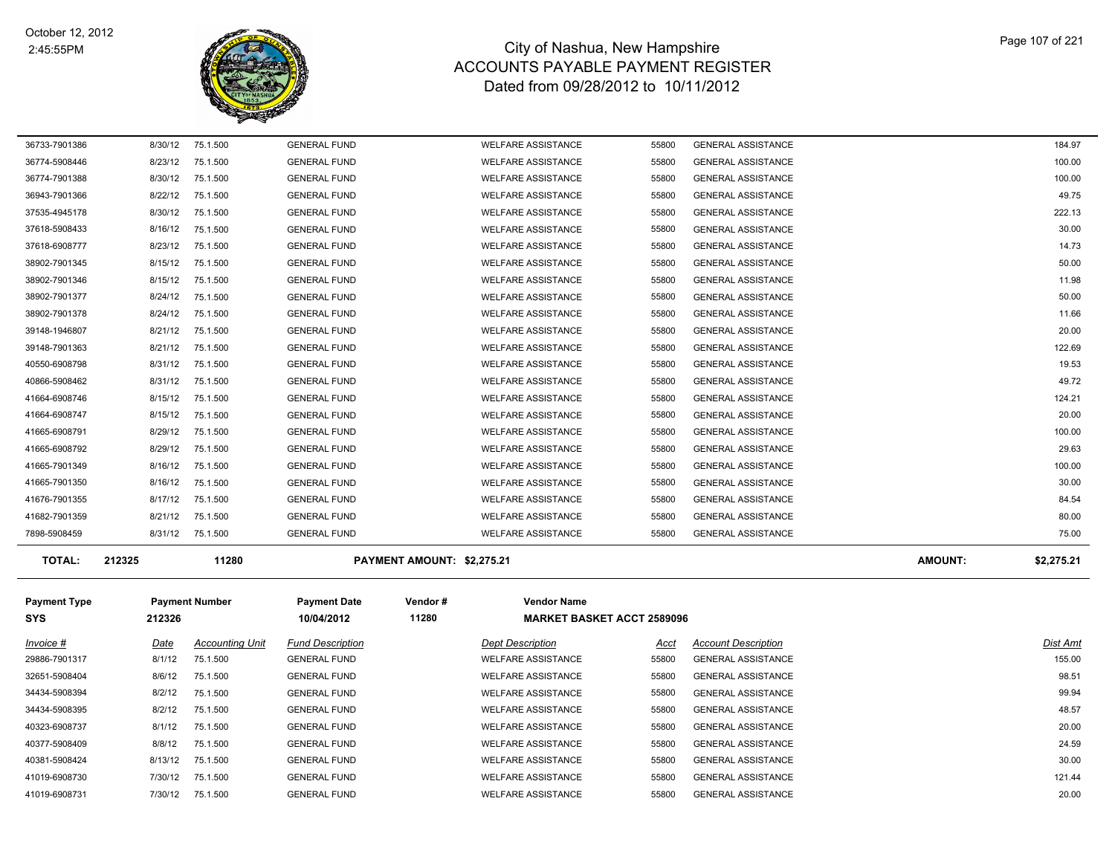

| <b>TOTAL:</b> | 212325  | 11280    |                     | PAYMENT AMOUNT: \$2.275.21 |       |                           | <b>AMOUNT:</b> | \$2,275.21 |
|---------------|---------|----------|---------------------|----------------------------|-------|---------------------------|----------------|------------|
| 7898-5908459  | 8/31/12 | 75.1.500 | <b>GENERAL FUND</b> | <b>WELFARE ASSISTANCE</b>  | 55800 | <b>GENERAL ASSISTANCE</b> |                | 75.00      |
| 41682-7901359 | 8/21/12 | 75.1.500 | <b>GENERAL FUND</b> | <b>WELFARE ASSISTANCE</b>  | 55800 | <b>GENERAL ASSISTANCE</b> |                | 80.00      |
| 41676-7901355 | 8/17/12 | 75.1.500 | <b>GENERAL FUND</b> | <b>WELFARE ASSISTANCE</b>  | 55800 | <b>GENERAL ASSISTANCE</b> |                | 84.54      |
| 41665-7901350 | 8/16/12 | 75.1.500 | <b>GENERAL FUND</b> | <b>WELFARE ASSISTANCE</b>  | 55800 | <b>GENERAL ASSISTANCE</b> |                | 30.00      |
| 41665-7901349 | 8/16/12 | 75.1.500 | <b>GENERAL FUND</b> | <b>WELFARE ASSISTANCE</b>  | 55800 | <b>GENERAL ASSISTANCE</b> |                | 100.00     |
| 41665-6908792 | 8/29/12 | 75.1.500 | <b>GENERAL FUND</b> | <b>WELFARE ASSISTANCE</b>  | 55800 | <b>GENERAL ASSISTANCE</b> |                | 29.63      |
| 41665-6908791 | 8/29/12 | 75.1.500 | <b>GENERAL FUND</b> | <b>WELFARE ASSISTANCE</b>  | 55800 | <b>GENERAL ASSISTANCE</b> |                | 100.00     |
| 41664-6908747 | 8/15/12 | 75.1.500 | <b>GENERAL FUND</b> | <b>WELFARE ASSISTANCE</b>  | 55800 | <b>GENERAL ASSISTANCE</b> |                | 20.00      |
| 41664-6908746 | 8/15/12 | 75.1.500 | <b>GENERAL FUND</b> | <b>WELFARE ASSISTANCE</b>  | 55800 | <b>GENERAL ASSISTANCE</b> |                | 124.21     |
| 40866-5908462 | 8/31/12 | 75.1.500 | <b>GENERAL FUND</b> | <b>WELFARE ASSISTANCE</b>  | 55800 | <b>GENERAL ASSISTANCE</b> |                | 49.72      |
| 40550-6908798 | 8/31/12 | 75.1.500 | <b>GENERAL FUND</b> | <b>WELFARE ASSISTANCE</b>  | 55800 | <b>GENERAL ASSISTANCE</b> |                | 19.53      |
| 39148-7901363 | 8/21/12 | 75.1.500 | <b>GENERAL FUND</b> | <b>WELFARE ASSISTANCE</b>  | 55800 | <b>GENERAL ASSISTANCE</b> |                | 122.69     |
| 39148-1946807 | 8/21/12 | 75.1.500 | <b>GENERAL FUND</b> | <b>WELFARE ASSISTANCE</b>  | 55800 | <b>GENERAL ASSISTANCE</b> |                | 20.00      |
| 38902-7901378 | 8/24/12 | 75.1.500 | <b>GENERAL FUND</b> | <b>WELFARE ASSISTANCE</b>  | 55800 | <b>GENERAL ASSISTANCE</b> |                | 11.66      |
| 38902-7901377 | 8/24/12 | 75.1.500 | <b>GENERAL FUND</b> | <b>WELFARE ASSISTANCE</b>  | 55800 | <b>GENERAL ASSISTANCE</b> |                | 50.00      |
| 38902-7901346 | 8/15/12 | 75.1.500 | <b>GENERAL FUND</b> | <b>WELFARE ASSISTANCE</b>  | 55800 | <b>GENERAL ASSISTANCE</b> |                | 11.98      |
| 38902-7901345 | 8/15/12 | 75.1.500 | <b>GENERAL FUND</b> | <b>WELFARE ASSISTANCE</b>  | 55800 | <b>GENERAL ASSISTANCE</b> |                | 50.00      |
| 37618-6908777 | 8/23/12 | 75.1.500 | <b>GENERAL FUND</b> | <b>WELFARE ASSISTANCE</b>  | 55800 | <b>GENERAL ASSISTANCE</b> |                | 14.73      |
| 37618-5908433 | 8/16/12 | 75.1.500 | <b>GENERAL FUND</b> | <b>WELFARE ASSISTANCE</b>  | 55800 | <b>GENERAL ASSISTANCE</b> |                | 30.00      |
| 37535-4945178 | 8/30/12 | 75.1.500 | <b>GENERAL FUND</b> | <b>WELFARE ASSISTANCE</b>  | 55800 | <b>GENERAL ASSISTANCE</b> |                | 222.13     |
| 36943-7901366 | 8/22/12 | 75.1.500 | <b>GENERAL FUND</b> | <b>WELFARE ASSISTANCE</b>  | 55800 | <b>GENERAL ASSISTANCE</b> |                | 49.75      |
| 36774-7901388 | 8/30/12 | 75.1.500 | <b>GENERAL FUND</b> | <b>WELFARE ASSISTANCE</b>  | 55800 | <b>GENERAL ASSISTANCE</b> |                | 100.00     |
| 36774-5908446 | 8/23/12 | 75.1.500 | <b>GENERAL FUND</b> | <b>WELFARE ASSISTANCE</b>  | 55800 | <b>GENERAL ASSISTANCE</b> |                | 100.00     |
| 36733-7901386 | 8/30/12 | 75.1.500 | <b>GENERAL FUND</b> | <b>WELFARE ASSISTANCE</b>  | 55800 | <b>GENERAL ASSISTANCE</b> |                | 184.97     |

| <b>Payment Type</b> |         | <b>Payment Number</b>  | <b>Payment Date</b>     | Vendor# | <b>Vendor Name</b>        |                                   |                            |          |
|---------------------|---------|------------------------|-------------------------|---------|---------------------------|-----------------------------------|----------------------------|----------|
| <b>SYS</b>          | 212326  |                        | 10/04/2012              | 11280   |                           | <b>MARKET BASKET ACCT 2589096</b> |                            |          |
| Invoice #           | Date    | <b>Accounting Unit</b> | <b>Fund Description</b> |         | <b>Dept Description</b>   | Acct                              | <b>Account Description</b> | Dist Amt |
| 29886-7901317       | 8/1/12  | 75.1.500               | <b>GENERAL FUND</b>     |         | <b>WELFARE ASSISTANCE</b> | 55800                             | <b>GENERAL ASSISTANCE</b>  | 155.00   |
| 32651-5908404       | 8/6/12  | 75.1.500               | <b>GENERAL FUND</b>     |         | <b>WELFARE ASSISTANCE</b> | 55800                             | <b>GENERAL ASSISTANCE</b>  | 98.51    |
| 34434-5908394       | 8/2/12  | 75.1.500               | <b>GENERAL FUND</b>     |         | <b>WELFARE ASSISTANCE</b> | 55800                             | <b>GENERAL ASSISTANCE</b>  | 99.94    |
| 34434-5908395       | 8/2/12  | 75.1.500               | <b>GENERAL FUND</b>     |         | <b>WELFARE ASSISTANCE</b> | 55800                             | <b>GENERAL ASSISTANCE</b>  | 48.57    |
| 40323-6908737       | 8/1/12  | 75.1.500               | <b>GENERAL FUND</b>     |         | <b>WELFARE ASSISTANCE</b> | 55800                             | <b>GENERAL ASSISTANCE</b>  | 20.00    |
| 40377-5908409       | 8/8/12  | 75.1.500               | <b>GENERAL FUND</b>     |         | <b>WELFARE ASSISTANCE</b> | 55800                             | <b>GENERAL ASSISTANCE</b>  | 24.59    |
| 40381-5908424       | 8/13/12 | 75.1.500               | <b>GENERAL FUND</b>     |         | <b>WELFARE ASSISTANCE</b> | 55800                             | <b>GENERAL ASSISTANCE</b>  | 30.00    |
| 41019-6908730       | 7/30/12 | 75.1.500               | <b>GENERAL FUND</b>     |         | <b>WELFARE ASSISTANCE</b> | 55800                             | <b>GENERAL ASSISTANCE</b>  | 121.44   |
| 41019-6908731       | 7/30/12 | 75.1.500               | <b>GENERAL FUND</b>     |         | <b>WELFARE ASSISTANCE</b> | 55800                             | <b>GENERAL ASSISTANCE</b>  | 20.00    |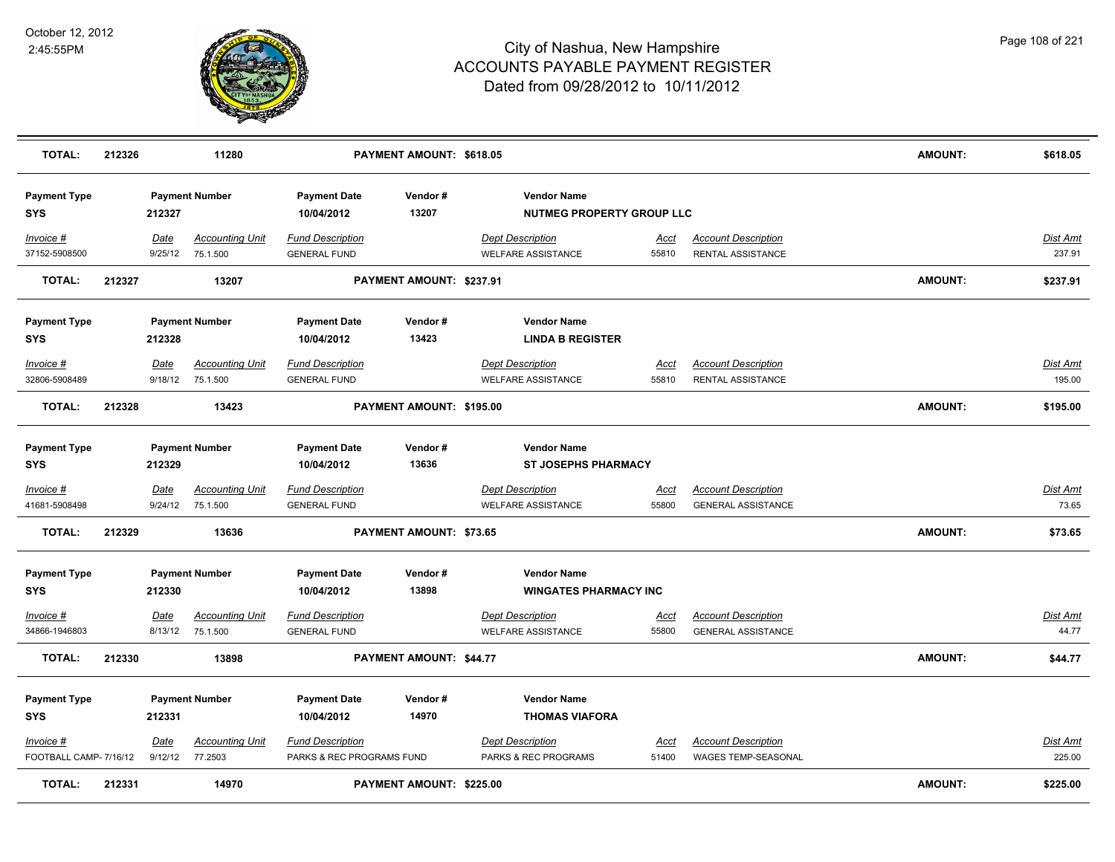

| <b>TOTAL:</b>                                | 212326                |                                 | 11280                              |                                                                                   | PAYMENT AMOUNT: \$618.05 |                                                        |                      |                                                        | <b>AMOUNT:</b> | \$618.05           |
|----------------------------------------------|-----------------------|---------------------------------|------------------------------------|-----------------------------------------------------------------------------------|--------------------------|--------------------------------------------------------|----------------------|--------------------------------------------------------|----------------|--------------------|
| <b>Payment Type</b><br><b>SYS</b>            |                       | <b>Payment Number</b><br>212327 |                                    | <b>Payment Date</b><br>10/04/2012                                                 | Vendor#<br>13207         | <b>Vendor Name</b><br><b>NUTMEG PROPERTY GROUP LLC</b> |                      |                                                        |                |                    |
| Invoice #<br>37152-5908500                   |                       | Date<br>9/25/12                 | <b>Accounting Unit</b><br>75.1.500 | <b>Fund Description</b><br><b>GENERAL FUND</b>                                    |                          | <b>Dept Description</b><br><b>WELFARE ASSISTANCE</b>   | <u>Acct</u><br>55810 | <b>Account Description</b><br><b>RENTAL ASSISTANCE</b> |                | Dist Amt<br>237.91 |
| <b>TOTAL:</b>                                | 212327                | 13207                           |                                    |                                                                                   | PAYMENT AMOUNT: \$237.91 |                                                        |                      |                                                        | <b>AMOUNT:</b> | \$237.91           |
| <b>Payment Type</b>                          | <b>Payment Number</b> |                                 | <b>Payment Date</b>                | Vendor#                                                                           | <b>Vendor Name</b>       |                                                        |                      |                                                        |                |                    |
| SYS                                          |                       | 212328                          |                                    | 10/04/2012                                                                        | 13423                    | <b>LINDA B REGISTER</b>                                |                      |                                                        |                |                    |
| Invoice #                                    |                       | Date                            | <b>Accounting Unit</b>             | <b>Fund Description</b>                                                           |                          | <b>Dept Description</b>                                | Acct                 | <b>Account Description</b>                             |                | Dist Amt           |
| 32806-5908489                                |                       | 9/18/12                         | 75.1.500                           | <b>GENERAL FUND</b>                                                               |                          | <b>WELFARE ASSISTANCE</b>                              | 55810                | <b>RENTAL ASSISTANCE</b>                               |                | 195.00             |
| <b>TOTAL:</b>                                | 212328                |                                 | 13423                              | PAYMENT AMOUNT: \$195.00                                                          |                          |                                                        |                      |                                                        | AMOUNT:        | \$195.00           |
| <b>Payment Type</b>                          | <b>Payment Number</b> |                                 | <b>Payment Date</b>                | Vendor#                                                                           | <b>Vendor Name</b>       |                                                        |                      |                                                        |                |                    |
| <b>SYS</b>                                   |                       | 212329                          |                                    | 10/04/2012                                                                        | 13636                    | <b>ST JOSEPHS PHARMACY</b>                             |                      |                                                        |                |                    |
| Invoice #                                    |                       | <u>Date</u>                     | <b>Accounting Unit</b>             | <b>Fund Description</b>                                                           |                          | <b>Dept Description</b>                                | <u>Acct</u>          | <b>Account Description</b>                             |                | <u>Dist Amt</u>    |
| 41681-5908498                                |                       | 9/24/12                         | 75.1.500                           | <b>GENERAL FUND</b>                                                               |                          | <b>WELFARE ASSISTANCE</b>                              | 55800                | <b>GENERAL ASSISTANCE</b>                              |                | 73.65              |
| <b>TOTAL:</b>                                | 212329                | 13636                           |                                    | <b>PAYMENT AMOUNT: \$73.65</b>                                                    |                          |                                                        |                      |                                                        | <b>AMOUNT:</b> | \$73.65            |
| <b>Payment Type</b>                          |                       |                                 | <b>Payment Number</b>              | <b>Payment Date</b>                                                               | Vendor#                  | <b>Vendor Name</b>                                     |                      |                                                        |                |                    |
| SYS                                          |                       | 212330                          |                                    | 13898<br><b>WINGATES PHARMACY INC</b><br>10/04/2012                               |                          |                                                        |                      |                                                        |                |                    |
| Invoice #                                    |                       | Date                            | <b>Accounting Unit</b>             | <b>Fund Description</b>                                                           |                          | <b>Dept Description</b>                                | Acct                 | <b>Account Description</b>                             |                | Dist Amt           |
| 34866-1946803                                |                       | 8/13/12                         | 75.1.500                           | <b>GENERAL FUND</b>                                                               |                          | <b>WELFARE ASSISTANCE</b>                              | 55800                | <b>GENERAL ASSISTANCE</b>                              |                | 44.77              |
| <b>TOTAL:</b>                                | 212330                |                                 | 13898                              |                                                                                   | PAYMENT AMOUNT: \$44.77  |                                                        |                      |                                                        | <b>AMOUNT:</b> | \$44.77            |
| <b>Payment Type</b>                          |                       |                                 | <b>Payment Number</b>              | <b>Payment Date</b>                                                               | Vendor#                  | <b>Vendor Name</b>                                     |                      |                                                        |                |                    |
| 212331<br><b>SYS</b>                         |                       |                                 |                                    | 10/04/2012                                                                        | 14970                    | <b>THOMAS VIAFORA</b>                                  |                      |                                                        |                |                    |
|                                              |                       |                                 |                                    |                                                                                   |                          |                                                        |                      |                                                        |                |                    |
| Invoice #                                    |                       | Date                            | <b>Accounting Unit</b>             | <b>Fund Description</b>                                                           |                          | <b>Dept Description</b>                                | <u>Acct</u>          | <b>Account Description</b>                             |                | Dist Amt           |
| FOOTBALL CAMP- 7/16/12<br>9/12/12<br>77.2503 |                       |                                 |                                    | WAGES TEMP-SEASONAL<br>PARKS & REC PROGRAMS FUND<br>PARKS & REC PROGRAMS<br>51400 |                          |                                                        |                      |                                                        |                | 225.00             |
| <b>TOTAL:</b>                                | 212331                |                                 | 14970                              |                                                                                   | PAYMENT AMOUNT: \$225.00 |                                                        |                      |                                                        | <b>AMOUNT:</b> | \$225.00           |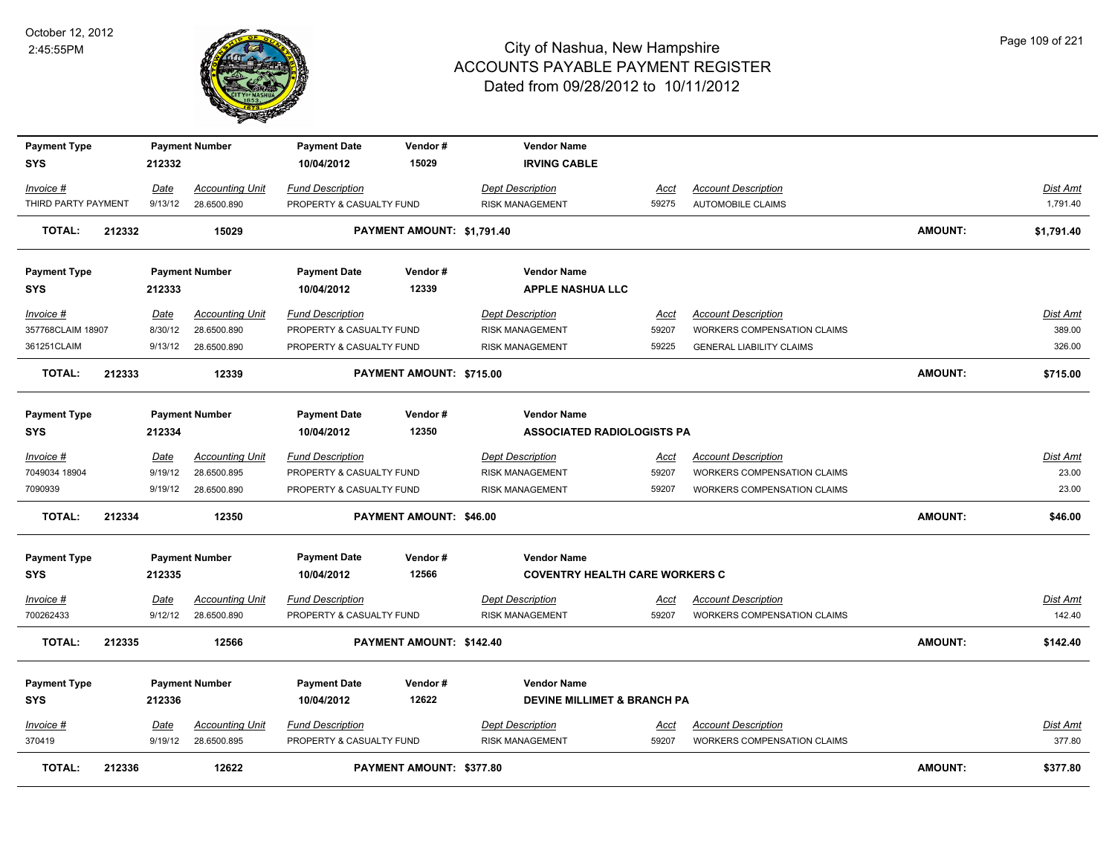

| <b>Payment Type</b> |        |             | <b>Payment Number</b>  | <b>Payment Date</b>      | Vendor#                        | <b>Vendor Name</b>                     |             |                                    |                |                 |
|---------------------|--------|-------------|------------------------|--------------------------|--------------------------------|----------------------------------------|-------------|------------------------------------|----------------|-----------------|
| <b>SYS</b>          |        | 212332      |                        | 10/04/2012               | 15029                          | <b>IRVING CABLE</b>                    |             |                                    |                |                 |
| <u>Invoice #</u>    |        | <u>Date</u> | <b>Accounting Unit</b> | <b>Fund Description</b>  |                                | <b>Dept Description</b>                | Acct        | <b>Account Description</b>         |                | <u>Dist Amt</u> |
| THIRD PARTY PAYMENT |        | 9/13/12     | 28.6500.890            | PROPERTY & CASUALTY FUND |                                | <b>RISK MANAGEMENT</b>                 | 59275       | <b>AUTOMOBILE CLAIMS</b>           |                | 1,791.40        |
| <b>TOTAL:</b>       | 212332 |             | 15029                  |                          | PAYMENT AMOUNT: \$1,791.40     |                                        |             |                                    | <b>AMOUNT:</b> | \$1,791.40      |
|                     |        |             |                        |                          |                                |                                        |             |                                    |                |                 |
| <b>Payment Type</b> |        |             | <b>Payment Number</b>  | <b>Payment Date</b>      | Vendor#                        | <b>Vendor Name</b>                     |             |                                    |                |                 |
| <b>SYS</b>          |        | 212333      |                        | 10/04/2012               | 12339                          | <b>APPLE NASHUA LLC</b>                |             |                                    |                |                 |
|                     |        |             |                        |                          |                                |                                        |             |                                    |                |                 |
| Invoice #           |        | Date        | <b>Accounting Unit</b> | <b>Fund Description</b>  |                                | <b>Dept Description</b>                | <b>Acct</b> | <b>Account Description</b>         |                | <b>Dist Amt</b> |
| 357768CLAIM 18907   |        | 8/30/12     | 28.6500.890            | PROPERTY & CASUALTY FUND |                                | <b>RISK MANAGEMENT</b>                 | 59207       | <b>WORKERS COMPENSATION CLAIMS</b> |                | 389.00          |
| 361251CLAIM         |        | 9/13/12     | 28.6500.890            | PROPERTY & CASUALTY FUND |                                | <b>RISK MANAGEMENT</b>                 | 59225       | <b>GENERAL LIABILITY CLAIMS</b>    |                | 326.00          |
| TOTAL:              | 212333 |             | 12339                  |                          | PAYMENT AMOUNT: \$715.00       |                                        |             |                                    | AMOUNT:        | \$715.00        |
|                     |        |             |                        |                          |                                |                                        |             |                                    |                |                 |
| <b>Payment Type</b> |        |             | <b>Payment Number</b>  | <b>Payment Date</b>      | Vendor#                        | <b>Vendor Name</b>                     |             |                                    |                |                 |
| <b>SYS</b>          |        | 212334      |                        | 10/04/2012               | 12350                          | <b>ASSOCIATED RADIOLOGISTS PA</b>      |             |                                    |                |                 |
| Invoice #           |        | Date        | <b>Accounting Unit</b> | <b>Fund Description</b>  |                                | <b>Dept Description</b>                | Acct        | <b>Account Description</b>         |                | <b>Dist Amt</b> |
| 7049034 18904       |        | 9/19/12     | 28.6500.895            | PROPERTY & CASUALTY FUND |                                | <b>RISK MANAGEMENT</b>                 | 59207       | <b>WORKERS COMPENSATION CLAIMS</b> |                | 23.00           |
| 7090939             |        | 9/19/12     | 28.6500.890            | PROPERTY & CASUALTY FUND |                                | <b>RISK MANAGEMENT</b>                 | 59207       | WORKERS COMPENSATION CLAIMS        |                | 23.00           |
|                     |        |             |                        |                          |                                |                                        |             |                                    |                |                 |
| <b>TOTAL:</b>       | 212334 |             | 12350                  |                          | <b>PAYMENT AMOUNT: \$46.00</b> |                                        |             |                                    | <b>AMOUNT:</b> | \$46.00         |
| <b>Payment Type</b> |        |             | <b>Payment Number</b>  | <b>Payment Date</b>      | Vendor#                        | <b>Vendor Name</b>                     |             |                                    |                |                 |
| <b>SYS</b>          |        | 212335      |                        | 10/04/2012               | 12566                          | <b>COVENTRY HEALTH CARE WORKERS C</b>  |             |                                    |                |                 |
| <u>Invoice #</u>    |        | <b>Date</b> | <b>Accounting Unit</b> | <b>Fund Description</b>  |                                | <b>Dept Description</b>                | <u>Acct</u> | <b>Account Description</b>         |                | <u>Dist Amt</u> |
| 700262433           |        | 9/12/12     | 28.6500.890            | PROPERTY & CASUALTY FUND |                                | <b>RISK MANAGEMENT</b>                 | 59207       | <b>WORKERS COMPENSATION CLAIMS</b> |                | 142.40          |
| <b>TOTAL:</b>       | 212335 |             | 12566                  |                          | PAYMENT AMOUNT: \$142.40       |                                        |             |                                    | <b>AMOUNT:</b> | \$142.40        |
|                     |        |             |                        |                          |                                |                                        |             |                                    |                |                 |
| <b>Payment Type</b> |        |             | <b>Payment Number</b>  | <b>Payment Date</b>      | Vendor#                        | <b>Vendor Name</b>                     |             |                                    |                |                 |
| <b>SYS</b>          |        | 212336      |                        | 10/04/2012               | 12622                          | <b>DEVINE MILLIMET &amp; BRANCH PA</b> |             |                                    |                |                 |
|                     |        |             |                        |                          |                                |                                        |             |                                    |                |                 |
| <u>Invoice #</u>    |        | Date        | <b>Accounting Unit</b> | <b>Fund Description</b>  |                                | <b>Dept Description</b>                | <u>Acct</u> | <b>Account Description</b>         |                | Dist Amt        |
| 370419              |        | 9/19/12     | 28.6500.895            | PROPERTY & CASUALTY FUND |                                | RISK MANAGEMENT                        | 59207       | <b>WORKERS COMPENSATION CLAIMS</b> |                | 377.80          |
| <b>TOTAL:</b>       | 212336 |             | 12622                  |                          | PAYMENT AMOUNT: \$377.80       |                                        |             |                                    | <b>AMOUNT:</b> | \$377.80        |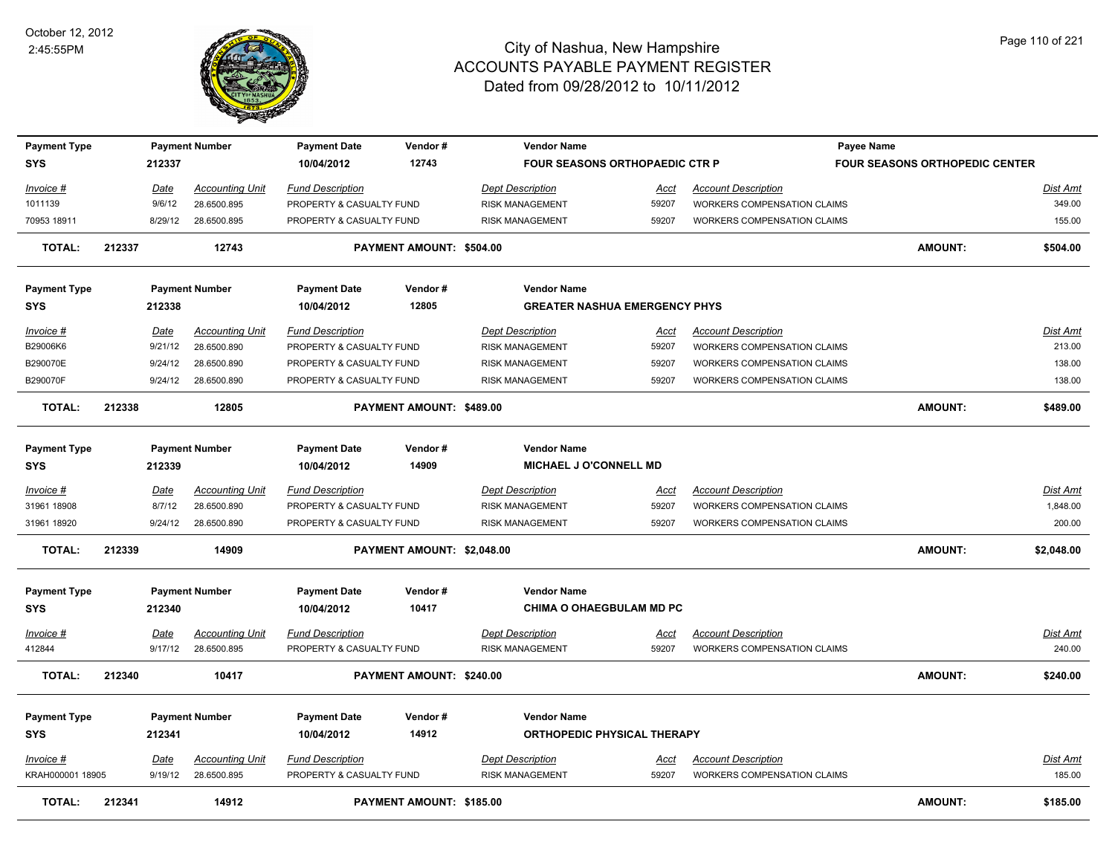

| <b>Payment Type</b> |        |             | <b>Payment Number</b>  | <b>Payment Date</b>      | Vendor#                    | <b>Vendor Name</b>                    |             |                                    | Payee Name                            |                 |
|---------------------|--------|-------------|------------------------|--------------------------|----------------------------|---------------------------------------|-------------|------------------------------------|---------------------------------------|-----------------|
| SYS                 |        | 212337      |                        | 10/04/2012               | 12743                      | <b>FOUR SEASONS ORTHOPAEDIC CTR P</b> |             |                                    | <b>FOUR SEASONS ORTHOPEDIC CENTER</b> |                 |
| <u> Invoice #</u>   |        | <u>Date</u> | <b>Accounting Unit</b> | <b>Fund Description</b>  |                            | <b>Dept Description</b>               | <u>Acct</u> | <b>Account Description</b>         |                                       | Dist Amt        |
| 1011139             |        | 9/6/12      | 28.6500.895            | PROPERTY & CASUALTY FUND |                            | <b>RISK MANAGEMENT</b>                | 59207       | <b>WORKERS COMPENSATION CLAIMS</b> |                                       | 349.00          |
| 70953 18911         |        | 8/29/12     | 28.6500.895            | PROPERTY & CASUALTY FUND |                            | <b>RISK MANAGEMENT</b>                | 59207       | WORKERS COMPENSATION CLAIMS        |                                       | 155.00          |
| TOTAL:              | 212337 |             | 12743                  |                          | PAYMENT AMOUNT: \$504.00   |                                       |             |                                    | <b>AMOUNT:</b>                        | \$504.00        |
| <b>Payment Type</b> |        |             | <b>Payment Number</b>  | <b>Payment Date</b>      | Vendor#                    | <b>Vendor Name</b>                    |             |                                    |                                       |                 |
| <b>SYS</b>          |        | 212338      |                        | 10/04/2012               | 12805                      | <b>GREATER NASHUA EMERGENCY PHYS</b>  |             |                                    |                                       |                 |
| Invoice #           |        | Date        | <b>Accounting Unit</b> | <b>Fund Description</b>  |                            | <b>Dept Description</b>               | Acct        | <b>Account Description</b>         |                                       | Dist Amt        |
| B29006K6            |        | 9/21/12     | 28.6500.890            | PROPERTY & CASUALTY FUND |                            | <b>RISK MANAGEMENT</b>                | 59207       | WORKERS COMPENSATION CLAIMS        |                                       | 213.00          |
| B290070E            |        | 9/24/12     | 28.6500.890            | PROPERTY & CASUALTY FUND |                            | <b>RISK MANAGEMENT</b>                | 59207       | <b>WORKERS COMPENSATION CLAIMS</b> |                                       | 138.00          |
| B290070F            |        | 9/24/12     | 28.6500.890            | PROPERTY & CASUALTY FUND |                            | <b>RISK MANAGEMENT</b>                | 59207       | WORKERS COMPENSATION CLAIMS        |                                       | 138.00          |
| <b>TOTAL:</b>       | 212338 |             | 12805                  |                          | PAYMENT AMOUNT: \$489.00   |                                       |             |                                    | <b>AMOUNT:</b>                        | \$489.00        |
| <b>Payment Type</b> |        |             | <b>Payment Number</b>  | <b>Payment Date</b>      | Vendor#                    | <b>Vendor Name</b>                    |             |                                    |                                       |                 |
| <b>SYS</b>          |        | 212339      |                        | 10/04/2012               | 14909                      | <b>MICHAEL J O'CONNELL MD</b>         |             |                                    |                                       |                 |
| Invoice #           |        | Date        | <b>Accounting Unit</b> | <b>Fund Description</b>  |                            | <b>Dept Description</b>               | Acct        | <b>Account Description</b>         |                                       | Dist Amt        |
| 31961 18908         |        | 8/7/12      | 28.6500.890            | PROPERTY & CASUALTY FUND |                            | <b>RISK MANAGEMENT</b>                | 59207       | WORKERS COMPENSATION CLAIMS        |                                       | 1,848.00        |
| 31961 18920         |        | 9/24/12     | 28.6500.890            | PROPERTY & CASUALTY FUND |                            | <b>RISK MANAGEMENT</b>                | 59207       | WORKERS COMPENSATION CLAIMS        |                                       | 200.00          |
| <b>TOTAL:</b>       | 212339 |             | 14909                  |                          | PAYMENT AMOUNT: \$2,048.00 |                                       |             |                                    | <b>AMOUNT:</b>                        | \$2,048.00      |
| <b>Payment Type</b> |        |             | <b>Payment Number</b>  | Payment Date             | Vendor#                    | <b>Vendor Name</b>                    |             |                                    |                                       |                 |
| <b>SYS</b>          |        | 212340      |                        | 10/04/2012               | 10417                      | <b>CHIMA O OHAEGBULAM MD PC</b>       |             |                                    |                                       |                 |
| <u> Invoice #</u>   |        | <u>Date</u> | <b>Accounting Unit</b> | <b>Fund Description</b>  |                            | <b>Dept Description</b>               | <u>Acct</u> | <b>Account Description</b>         |                                       | <u>Dist Amt</u> |
| 412844              |        | 9/17/12     | 28.6500.895            | PROPERTY & CASUALTY FUND |                            | <b>RISK MANAGEMENT</b>                | 59207       | WORKERS COMPENSATION CLAIMS        |                                       | 240.00          |
| <b>TOTAL:</b>       | 212340 |             | 10417                  |                          | PAYMENT AMOUNT: \$240.00   |                                       |             |                                    | <b>AMOUNT:</b>                        | \$240.00        |
| Payment Type        |        |             | <b>Payment Number</b>  | <b>Payment Date</b>      | Vendor#                    | <b>Vendor Name</b>                    |             |                                    |                                       |                 |
| <b>SYS</b>          |        | 212341      |                        | 10/04/2012               | 14912                      | <b>ORTHOPEDIC PHYSICAL THERAPY</b>    |             |                                    |                                       |                 |
| Invoice #           |        | Date        | <b>Accounting Unit</b> | <b>Fund Description</b>  |                            | <b>Dept Description</b>               | Acct        | <b>Account Description</b>         |                                       | Dist Amt        |
| KRAH000001 18905    |        | 9/19/12     | 28.6500.895            | PROPERTY & CASUALTY FUND |                            | <b>RISK MANAGEMENT</b>                | 59207       | <b>WORKERS COMPENSATION CLAIMS</b> |                                       | 185.00          |
| <b>TOTAL:</b>       | 212341 |             | 14912                  |                          | PAYMENT AMOUNT: \$185.00   |                                       |             |                                    | <b>AMOUNT:</b>                        | \$185.00        |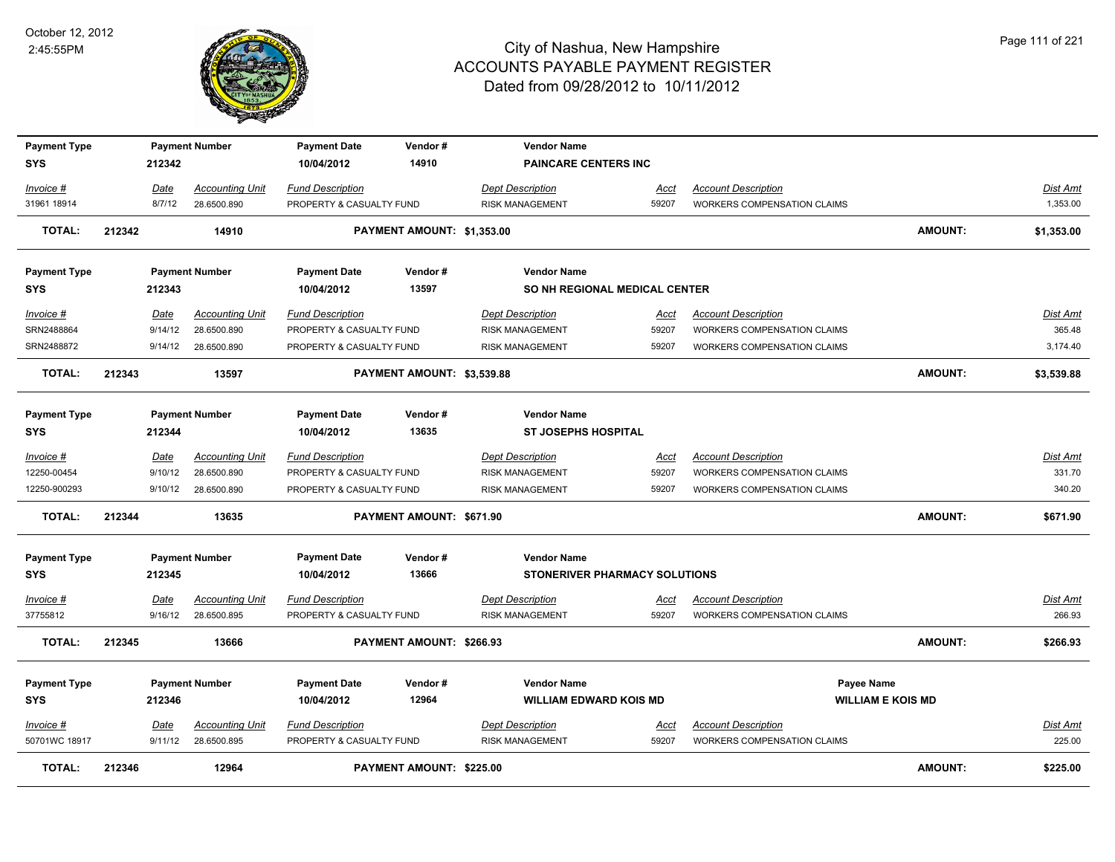

| <b>Payment Type</b><br>SYS        |        | 212342      | <b>Payment Number</b>  | <b>Payment Date</b><br>10/04/2012 | Vendor#<br>14910           | <b>Vendor Name</b><br><b>PAINCARE CENTERS INC</b>          |             |                                    |                |                 |
|-----------------------------------|--------|-------------|------------------------|-----------------------------------|----------------------------|------------------------------------------------------------|-------------|------------------------------------|----------------|-----------------|
| Invoice #                         |        | Date        | <b>Accounting Unit</b> | <b>Fund Description</b>           |                            | <b>Dept Description</b>                                    | Acct        | <b>Account Description</b>         |                | Dist Amt        |
| 31961 18914                       |        | 8/7/12      | 28.6500.890            | PROPERTY & CASUALTY FUND          |                            | <b>RISK MANAGEMENT</b>                                     | 59207       | <b>WORKERS COMPENSATION CLAIMS</b> |                | 1,353.00        |
| <b>TOTAL:</b>                     | 212342 |             | 14910                  |                                   | PAYMENT AMOUNT: \$1,353.00 |                                                            |             |                                    | AMOUNT:        | \$1,353.00      |
| <b>Payment Type</b>               |        |             | <b>Payment Number</b>  | <b>Payment Date</b>               | Vendor#                    | <b>Vendor Name</b>                                         |             |                                    |                |                 |
| <b>SYS</b>                        |        | 212343      |                        | 10/04/2012                        | 13597                      | <b>SO NH REGIONAL MEDICAL CENTER</b>                       |             |                                    |                |                 |
| Invoice #                         |        | Date        | <b>Accounting Unit</b> | <b>Fund Description</b>           |                            | <b>Dept Description</b>                                    | <u>Acct</u> | <b>Account Description</b>         |                | <b>Dist Amt</b> |
| SRN2488864                        |        | 9/14/12     | 28.6500.890            | PROPERTY & CASUALTY FUND          |                            | <b>RISK MANAGEMENT</b>                                     | 59207       | WORKERS COMPENSATION CLAIMS        |                | 365.48          |
| SRN2488872                        |        | 9/14/12     | 28.6500.890            | PROPERTY & CASUALTY FUND          |                            | <b>RISK MANAGEMENT</b>                                     | 59207       | <b>WORKERS COMPENSATION CLAIMS</b> |                | 3,174.40        |
| <b>TOTAL:</b>                     | 212343 |             | 13597                  |                                   | PAYMENT AMOUNT: \$3,539.88 |                                                            |             |                                    | <b>AMOUNT:</b> | \$3,539.88      |
| <b>Payment Type</b><br>SYS        |        | 212344      | <b>Payment Number</b>  | <b>Payment Date</b><br>10/04/2012 | Vendor#<br>13635           | <b>Vendor Name</b><br><b>ST JOSEPHS HOSPITAL</b>           |             |                                    |                |                 |
| Invoice #                         |        | Date        | <b>Accounting Unit</b> | <b>Fund Description</b>           |                            | <b>Dept Description</b>                                    | Acct        | <b>Account Description</b>         |                | Dist Amt        |
| 12250-00454                       |        | 9/10/12     | 28.6500.890            | PROPERTY & CASUALTY FUND          |                            | <b>RISK MANAGEMENT</b>                                     | 59207       | <b>WORKERS COMPENSATION CLAIMS</b> |                | 331.70          |
| 12250-900293                      |        | 9/10/12     | 28.6500.890            | PROPERTY & CASUALTY FUND          |                            | <b>RISK MANAGEMENT</b>                                     | 59207       | WORKERS COMPENSATION CLAIMS        |                | 340.20          |
| <b>TOTAL:</b>                     | 212344 |             | 13635                  |                                   | PAYMENT AMOUNT: \$671.90   |                                                            |             |                                    | AMOUNT:        | \$671.90        |
| <b>Payment Type</b><br><b>SYS</b> |        | 212345      | <b>Payment Number</b>  | <b>Payment Date</b><br>10/04/2012 | Vendor#<br>13666           | <b>Vendor Name</b><br><b>STONERIVER PHARMACY SOLUTIONS</b> |             |                                    |                |                 |
| <u>Invoice #</u>                  |        | <b>Date</b> | <b>Accounting Unit</b> | <b>Fund Description</b>           |                            | <b>Dept Description</b>                                    | <u>Acct</u> | <b>Account Description</b>         |                | <u>Dist Amt</u> |
| 37755812                          |        | 9/16/12     | 28.6500.895            | PROPERTY & CASUALTY FUND          |                            | <b>RISK MANAGEMENT</b>                                     | 59207       | <b>WORKERS COMPENSATION CLAIMS</b> |                | 266.93          |
| <b>TOTAL:</b>                     | 212345 |             | 13666                  |                                   | PAYMENT AMOUNT: \$266.93   |                                                            |             |                                    | <b>AMOUNT:</b> | \$266.93        |
| <b>Payment Type</b>               |        |             | <b>Payment Number</b>  | <b>Payment Date</b>               | Vendor#                    | <b>Vendor Name</b>                                         |             | Payee Name                         |                |                 |
| <b>SYS</b>                        |        | 212346      |                        | 10/04/2012                        | 12964                      | <b>WILLIAM EDWARD KOIS MD</b>                              |             | <b>WILLIAM E KOIS MD</b>           |                |                 |
| Invoice #                         |        | Date        | <b>Accounting Unit</b> | <b>Fund Description</b>           |                            | <b>Dept Description</b>                                    | <u>Acct</u> | <b>Account Description</b>         |                | Dist Amt        |
| 50701WC 18917                     |        | 9/11/12     | 28.6500.895            | PROPERTY & CASUALTY FUND          |                            | <b>RISK MANAGEMENT</b>                                     | 59207       | <b>WORKERS COMPENSATION CLAIMS</b> |                | 225.00          |
| <b>TOTAL:</b>                     | 212346 |             | 12964                  |                                   | PAYMENT AMOUNT: \$225.00   |                                                            |             |                                    | <b>AMOUNT:</b> | \$225.00        |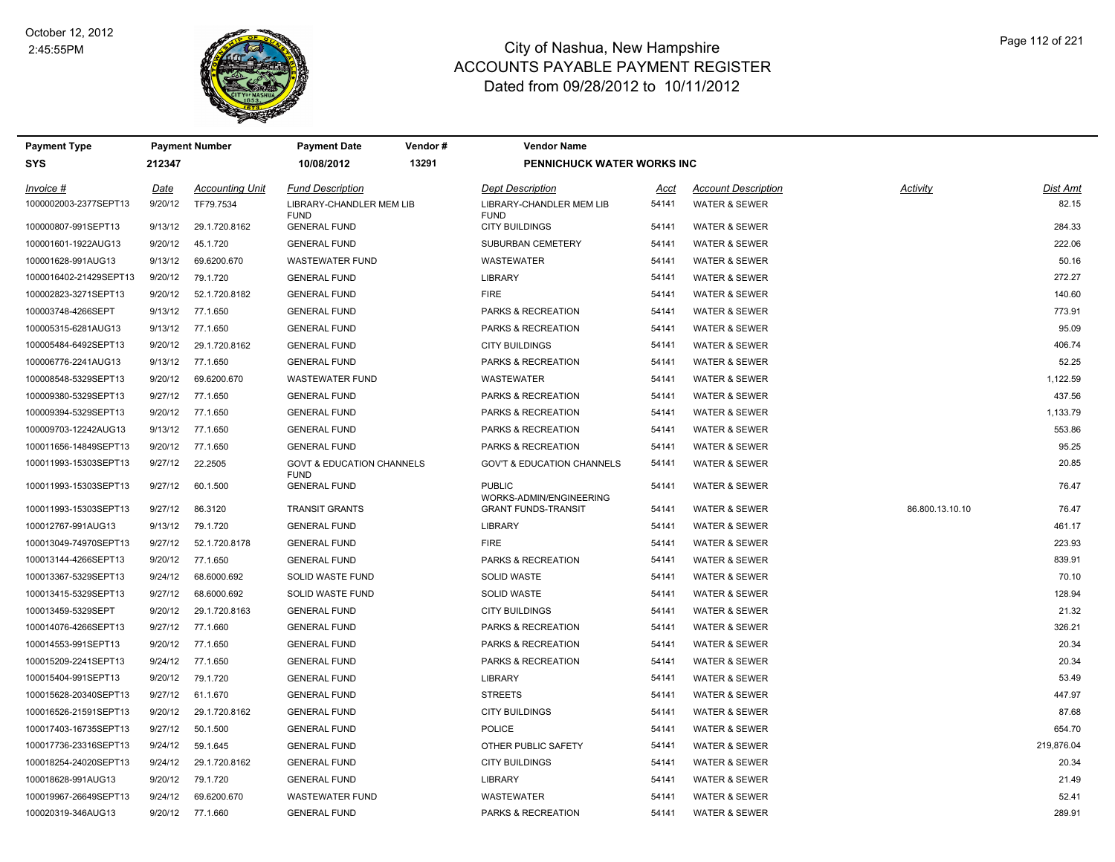

| Payment Type<br><b>Payment Number</b> |         |                        | Payment Date                                        | Vendor # | <b>Vendor Name</b>                                    |       |                            |                 |                 |
|---------------------------------------|---------|------------------------|-----------------------------------------------------|----------|-------------------------------------------------------|-------|----------------------------|-----------------|-----------------|
| SYS                                   | 212347  |                        | 10/08/2012                                          | 13291    | PENNICHUCK WATER WORKS INC                            |       |                            |                 |                 |
| Invoice #                             | Date    | <b>Accounting Unit</b> | <b>Fund Description</b>                             |          | <b>Dept Description</b>                               | Acct  | <b>Account Description</b> | Activity        | <b>Dist Amt</b> |
| 1000002003-2377SEPT13                 | 9/20/12 | TF79.7534              | LIBRARY-CHANDLER MEM LIB<br><b>FUND</b>             |          | LIBRARY-CHANDLER MEM LIB<br><b>FUND</b>               | 54141 | <b>WATER &amp; SEWER</b>   |                 | 82.15           |
| 100000807-991SEPT13                   | 9/13/12 | 29.1.720.8162          | <b>GENERAL FUND</b>                                 |          | <b>CITY BUILDINGS</b>                                 | 54141 | <b>WATER &amp; SEWER</b>   |                 | 284.33          |
| 100001601-1922AUG13                   | 9/20/12 | 45.1.720               | <b>GENERAL FUND</b>                                 |          | SUBURBAN CEMETERY                                     | 54141 | <b>WATER &amp; SEWER</b>   |                 | 222.06          |
| 100001628-991AUG13                    | 9/13/12 | 69.6200.670            | <b>WASTEWATER FUND</b>                              |          | <b>WASTEWATER</b>                                     | 54141 | <b>WATER &amp; SEWER</b>   |                 | 50.16           |
| 1000016402-21429SEPT13                | 9/20/12 | 79.1.720               | <b>GENERAL FUND</b>                                 |          | <b>LIBRARY</b>                                        | 54141 | <b>WATER &amp; SEWER</b>   |                 | 272.27          |
| 100002823-3271SEPT13                  | 9/20/12 | 52.1.720.8182          | <b>GENERAL FUND</b>                                 |          | <b>FIRE</b>                                           | 54141 | <b>WATER &amp; SEWER</b>   |                 | 140.60          |
| 100003748-4266SEPT                    | 9/13/12 | 77.1.650               | <b>GENERAL FUND</b>                                 |          | <b>PARKS &amp; RECREATION</b>                         | 54141 | <b>WATER &amp; SEWER</b>   |                 | 773.91          |
| 100005315-6281AUG13                   | 9/13/12 | 77.1.650               | <b>GENERAL FUND</b>                                 |          | PARKS & RECREATION                                    | 54141 | <b>WATER &amp; SEWER</b>   |                 | 95.09           |
| 100005484-6492SEPT13                  | 9/20/12 | 29.1.720.8162          | <b>GENERAL FUND</b>                                 |          | <b>CITY BUILDINGS</b>                                 | 54141 | <b>WATER &amp; SEWER</b>   |                 | 406.74          |
| 100006776-2241AUG13                   | 9/13/12 | 77.1.650               | <b>GENERAL FUND</b>                                 |          | PARKS & RECREATION                                    | 54141 | <b>WATER &amp; SEWER</b>   |                 | 52.25           |
| 100008548-5329SEPT13                  | 9/20/12 | 69.6200.670            | <b>WASTEWATER FUND</b>                              |          | <b>WASTEWATER</b>                                     | 54141 | <b>WATER &amp; SEWER</b>   |                 | 1,122.59        |
| 100009380-5329SEPT13                  | 9/27/12 | 77.1.650               | <b>GENERAL FUND</b>                                 |          | PARKS & RECREATION                                    | 54141 | <b>WATER &amp; SEWER</b>   |                 | 437.56          |
| 100009394-5329SEPT13                  | 9/20/12 | 77.1.650               | <b>GENERAL FUND</b>                                 |          | PARKS & RECREATION                                    | 54141 | <b>WATER &amp; SEWER</b>   |                 | 1,133.79        |
| 100009703-12242AUG13                  | 9/13/12 | 77.1.650               | <b>GENERAL FUND</b>                                 |          | PARKS & RECREATION                                    | 54141 | <b>WATER &amp; SEWER</b>   |                 | 553.86          |
| 100011656-14849SEPT13                 | 9/20/12 | 77.1.650               | <b>GENERAL FUND</b>                                 |          | PARKS & RECREATION                                    | 54141 | <b>WATER &amp; SEWER</b>   |                 | 95.25           |
| 100011993-15303SEPT13                 | 9/27/12 | 22.2505                | <b>GOVT &amp; EDUCATION CHANNELS</b><br><b>FUND</b> |          | <b>GOV'T &amp; EDUCATION CHANNELS</b>                 | 54141 | <b>WATER &amp; SEWER</b>   |                 | 20.85           |
| 100011993-15303SEPT13                 | 9/27/12 | 60.1.500               | <b>GENERAL FUND</b>                                 |          | <b>PUBLIC</b>                                         | 54141 | WATER & SEWER              |                 | 76.47           |
| 100011993-15303SEPT13                 | 9/27/12 | 86.3120                | <b>TRANSIT GRANTS</b>                               |          | WORKS-ADMIN/ENGINEERING<br><b>GRANT FUNDS-TRANSIT</b> | 54141 | <b>WATER &amp; SEWER</b>   | 86.800.13.10.10 | 76.47           |
| 100012767-991AUG13                    | 9/13/12 | 79.1.720               | <b>GENERAL FUND</b>                                 |          | <b>LIBRARY</b>                                        | 54141 | <b>WATER &amp; SEWER</b>   |                 | 461.17          |
| 100013049-74970SEPT13                 | 9/27/12 | 52.1.720.8178          | <b>GENERAL FUND</b>                                 |          | <b>FIRE</b>                                           | 54141 | <b>WATER &amp; SEWER</b>   |                 | 223.93          |
| 100013144-4266SEPT13                  | 9/20/12 | 77.1.650               | <b>GENERAL FUND</b>                                 |          | <b>PARKS &amp; RECREATION</b>                         | 54141 | <b>WATER &amp; SEWER</b>   |                 | 839.91          |
| 100013367-5329SEPT13                  | 9/24/12 | 68.6000.692            | SOLID WASTE FUND                                    |          | <b>SOLID WASTE</b>                                    | 54141 | WATER & SEWER              |                 | 70.10           |
| 100013415-5329SEPT13                  | 9/27/12 | 68.6000.692            | SOLID WASTE FUND                                    |          | <b>SOLID WASTE</b>                                    | 54141 | <b>WATER &amp; SEWER</b>   |                 | 128.94          |
| 100013459-5329SEPT                    | 9/20/12 | 29.1.720.8163          | <b>GENERAL FUND</b>                                 |          | <b>CITY BUILDINGS</b>                                 | 54141 | WATER & SEWER              |                 | 21.32           |
| 100014076-4266SEPT13                  | 9/27/12 | 77.1.660               | <b>GENERAL FUND</b>                                 |          | PARKS & RECREATION                                    | 54141 | <b>WATER &amp; SEWER</b>   |                 | 326.21          |
| 100014553-991SEPT13                   | 9/20/12 | 77.1.650               | <b>GENERAL FUND</b>                                 |          | PARKS & RECREATION                                    | 54141 | <b>WATER &amp; SEWER</b>   |                 | 20.34           |
| 100015209-2241SEPT13                  | 9/24/12 | 77.1.650               | <b>GENERAL FUND</b>                                 |          | PARKS & RECREATION                                    | 54141 | <b>WATER &amp; SEWER</b>   |                 | 20.34           |
| 100015404-991SEPT13                   | 9/20/12 | 79.1.720               | <b>GENERAL FUND</b>                                 |          | <b>LIBRARY</b>                                        | 54141 | <b>WATER &amp; SEWER</b>   |                 | 53.49           |
| 100015628-20340SEPT13                 | 9/27/12 | 61.1.670               | <b>GENERAL FUND</b>                                 |          | <b>STREETS</b>                                        | 54141 | <b>WATER &amp; SEWER</b>   |                 | 447.97          |
| 100016526-21591SEPT13                 | 9/20/12 | 29.1.720.8162          | <b>GENERAL FUND</b>                                 |          | <b>CITY BUILDINGS</b>                                 | 54141 | <b>WATER &amp; SEWER</b>   |                 | 87.68           |
| 100017403-16735SEPT13                 | 9/27/12 | 50.1.500               | <b>GENERAL FUND</b>                                 |          | <b>POLICE</b>                                         | 54141 | WATER & SEWER              |                 | 654.70          |
| 100017736-23316SEPT13                 | 9/24/12 | 59.1.645               | <b>GENERAL FUND</b>                                 |          | OTHER PUBLIC SAFETY                                   | 54141 | <b>WATER &amp; SEWER</b>   |                 | 219,876.04      |
| 100018254-24020SEPT13                 | 9/24/12 | 29.1.720.8162          | <b>GENERAL FUND</b>                                 |          | <b>CITY BUILDINGS</b>                                 | 54141 | <b>WATER &amp; SEWER</b>   |                 | 20.34           |
| 100018628-991AUG13                    | 9/20/12 | 79.1.720               | <b>GENERAL FUND</b>                                 |          | <b>LIBRARY</b>                                        | 54141 | <b>WATER &amp; SEWER</b>   |                 | 21.49           |
| 100019967-26649SEPT13                 | 9/24/12 | 69.6200.670            | <b>WASTEWATER FUND</b>                              |          | <b>WASTEWATER</b>                                     | 54141 | <b>WATER &amp; SEWER</b>   |                 | 52.41           |
| 100020319-346AUG13                    | 9/20/12 | 77.1.660               | <b>GENERAL FUND</b>                                 |          | <b>PARKS &amp; RECREATION</b>                         | 54141 | <b>WATER &amp; SEWER</b>   |                 | 289.91          |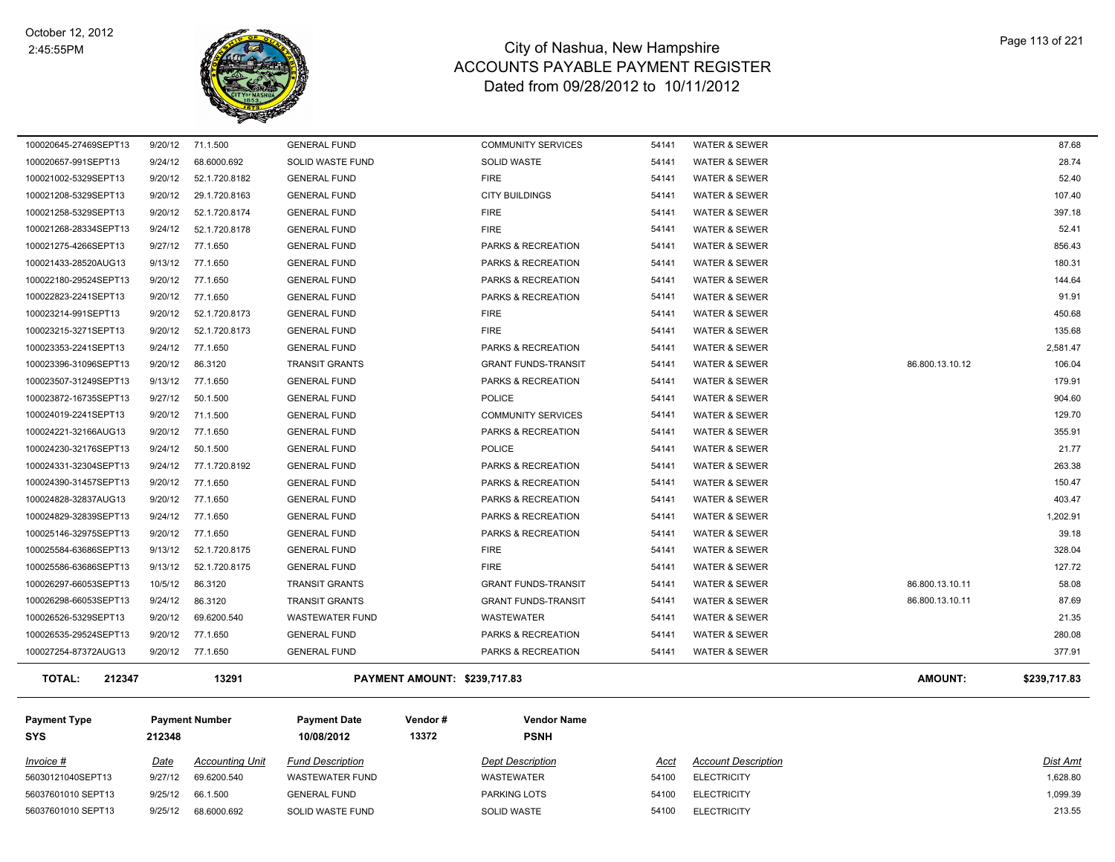

| <b>TOTAL:</b><br>212347 |         | 13291            | PAYMENT AMOUNT: \$239,717.83 |                               |       |                          | AMOUNT:         | \$239,717.83 |
|-------------------------|---------|------------------|------------------------------|-------------------------------|-------|--------------------------|-----------------|--------------|
| 100027254-87372AUG13    |         | 9/20/12 77.1.650 | <b>GENERAL FUND</b>          | PARKS & RECREATION            | 54141 | <b>WATER &amp; SEWER</b> |                 | 377.91       |
| 100026535-29524SEPT13   | 9/20/12 | 77.1.650         | <b>GENERAL FUND</b>          | PARKS & RECREATION            | 54141 | <b>WATER &amp; SEWER</b> |                 | 280.08       |
| 100026526-5329SEPT13    | 9/20/12 | 69.6200.540      | <b>WASTEWATER FUND</b>       | <b>WASTEWATER</b>             | 54141 | <b>WATER &amp; SEWER</b> |                 | 21.35        |
| 100026298-66053SEPT13   | 9/24/12 | 86.3120          | <b>TRANSIT GRANTS</b>        | <b>GRANT FUNDS-TRANSIT</b>    | 54141 | <b>WATER &amp; SEWER</b> | 86.800.13.10.11 | 87.69        |
| 100026297-66053SEPT13   | 10/5/12 | 86.3120          | <b>TRANSIT GRANTS</b>        | <b>GRANT FUNDS-TRANSIT</b>    | 54141 | <b>WATER &amp; SEWER</b> | 86.800.13.10.11 | 58.08        |
| 100025586-63686SEPT13   | 9/13/12 | 52.1.720.8175    | <b>GENERAL FUND</b>          | <b>FIRE</b>                   | 54141 | <b>WATER &amp; SEWER</b> |                 | 127.72       |
| 100025584-63686SEPT13   | 9/13/12 | 52.1.720.8175    | <b>GENERAL FUND</b>          | <b>FIRE</b>                   | 54141 | <b>WATER &amp; SEWER</b> |                 | 328.04       |
| 100025146-32975SEPT13   | 9/20/12 | 77.1.650         | <b>GENERAL FUND</b>          | PARKS & RECREATION            | 54141 | <b>WATER &amp; SEWER</b> |                 | 39.18        |
| 100024829-32839SEPT13   | 9/24/12 | 77.1.650         | <b>GENERAL FUND</b>          | PARKS & RECREATION            | 54141 | <b>WATER &amp; SEWER</b> |                 | 1,202.91     |
| 100024828-32837AUG13    | 9/20/12 | 77.1.650         | <b>GENERAL FUND</b>          | PARKS & RECREATION            | 54141 | <b>WATER &amp; SEWER</b> |                 | 403.47       |
| 100024390-31457SEPT13   | 9/20/12 | 77.1.650         | <b>GENERAL FUND</b>          | PARKS & RECREATION            | 54141 | <b>WATER &amp; SEWER</b> |                 | 150.47       |
| 100024331-32304SEPT13   | 9/24/12 | 77.1.720.8192    | <b>GENERAL FUND</b>          | PARKS & RECREATION            | 54141 | <b>WATER &amp; SEWER</b> |                 | 263.38       |
| 100024230-32176SEPT13   | 9/24/12 | 50.1.500         | <b>GENERAL FUND</b>          | <b>POLICE</b>                 | 54141 | <b>WATER &amp; SEWER</b> |                 | 21.77        |
| 100024221-32166AUG13    | 9/20/12 | 77.1.650         | <b>GENERAL FUND</b>          | PARKS & RECREATION            | 54141 | <b>WATER &amp; SEWER</b> |                 | 355.91       |
| 100024019-2241SEPT13    | 9/20/12 | 71.1.500         | <b>GENERAL FUND</b>          | <b>COMMUNITY SERVICES</b>     | 54141 | <b>WATER &amp; SEWER</b> |                 | 129.70       |
| 100023872-16735SEPT13   | 9/27/12 | 50.1.500         | <b>GENERAL FUND</b>          | <b>POLICE</b>                 | 54141 | <b>WATER &amp; SEWER</b> |                 | 904.60       |
| 100023507-31249SEPT13   | 9/13/12 | 77.1.650         | <b>GENERAL FUND</b>          | PARKS & RECREATION            | 54141 | <b>WATER &amp; SEWER</b> |                 | 179.91       |
| 100023396-31096SEPT13   | 9/20/12 | 86.3120          | <b>TRANSIT GRANTS</b>        | <b>GRANT FUNDS-TRANSIT</b>    | 54141 | <b>WATER &amp; SEWER</b> | 86.800.13.10.12 | 106.04       |
| 100023353-2241SEPT13    | 9/24/12 | 77.1.650         | <b>GENERAL FUND</b>          | PARKS & RECREATION            | 54141 | <b>WATER &amp; SEWER</b> |                 | 2,581.47     |
| 100023215-3271SEPT13    | 9/20/12 | 52.1.720.8173    | <b>GENERAL FUND</b>          | <b>FIRE</b>                   | 54141 | <b>WATER &amp; SEWER</b> |                 | 135.68       |
| 100023214-991SEPT13     | 9/20/12 | 52.1.720.8173    | <b>GENERAL FUND</b>          | <b>FIRE</b>                   | 54141 | <b>WATER &amp; SEWER</b> |                 | 450.68       |
| 100022823-2241SEPT13    | 9/20/12 | 77.1.650         | <b>GENERAL FUND</b>          | PARKS & RECREATION            | 54141 | <b>WATER &amp; SEWER</b> |                 | 91.91        |
| 100022180-29524SEPT13   | 9/20/12 | 77.1.650         | <b>GENERAL FUND</b>          | <b>PARKS &amp; RECREATION</b> | 54141 | <b>WATER &amp; SEWER</b> |                 | 144.64       |
| 100021433-28520AUG13    | 9/13/12 | 77.1.650         | <b>GENERAL FUND</b>          | <b>PARKS &amp; RECREATION</b> | 54141 | <b>WATER &amp; SEWER</b> |                 | 180.31       |
| 100021275-4266SEPT13    | 9/27/12 | 77.1.650         | <b>GENERAL FUND</b>          | PARKS & RECREATION            | 54141 | <b>WATER &amp; SEWER</b> |                 | 856.43       |
| 100021268-28334SEPT13   | 9/24/12 | 52.1.720.8178    | <b>GENERAL FUND</b>          | <b>FIRE</b>                   | 54141 | <b>WATER &amp; SEWER</b> |                 | 52.41        |
| 100021258-5329SEPT13    | 9/20/12 | 52.1.720.8174    | <b>GENERAL FUND</b>          | <b>FIRE</b>                   | 54141 | <b>WATER &amp; SEWER</b> |                 | 397.18       |
| 100021208-5329SEPT13    | 9/20/12 | 29.1.720.8163    | <b>GENERAL FUND</b>          | <b>CITY BUILDINGS</b>         | 54141 | <b>WATER &amp; SEWER</b> |                 | 107.40       |
| 100021002-5329SEPT13    | 9/20/12 | 52.1.720.8182    | <b>GENERAL FUND</b>          | <b>FIRE</b>                   | 54141 | <b>WATER &amp; SEWER</b> |                 | 52.40        |
| 100020657-991SEPT13     | 9/24/12 | 68.6000.692      | <b>SOLID WASTE FUND</b>      | <b>SOLID WASTE</b>            | 54141 | <b>WATER &amp; SEWER</b> |                 | 28.74        |
| 100020645-27469SEPT13   | 9/20/12 | 71.1.500         | <b>GENERAL FUND</b>          | <b>COMMUNITY SERVICES</b>     | 54141 | <b>WATER &amp; SEWER</b> |                 | 87.68        |

| <b>Payment Type</b><br><b>SYS</b> | <b>Payment Number</b><br>212348 |                        | <b>Payment Date</b><br>10/08/2012 | Vendor#<br>13372 | <b>Vendor Name</b><br><b>PSNH</b> |      |                            |                 |
|-----------------------------------|---------------------------------|------------------------|-----------------------------------|------------------|-----------------------------------|------|----------------------------|-----------------|
| Invoice #                         | Date                            | <b>Accounting Unit</b> | <b>Fund Description</b>           |                  | <b>Dept Description</b>           | Acct | <b>Account Description</b> | <b>Dist Amt</b> |
| 56030121040SEPT13                 | 9/27/12                         | 69.6200.540            | WASTEWATER FUND                   |                  | WASTEWATER                        | 5410 | <b>ELECTRICITY</b>         | 1,628.80        |
| 56037601010 SEPT13                | 9/25/12                         | 66.1.500               | <b>GENERAL FUND</b>               |                  | PARKING LOTS                      | 5410 | <b>ELECTRICITY</b>         | 1,099.39        |
| 56037601010 SEPT13                | 9/25/12                         | 68.6000.692            | SOLID WASTE FUND                  |                  | <b>SOLID WASTE</b>                | 5410 | <b>ELECTRICITY</b>         | 213.55          |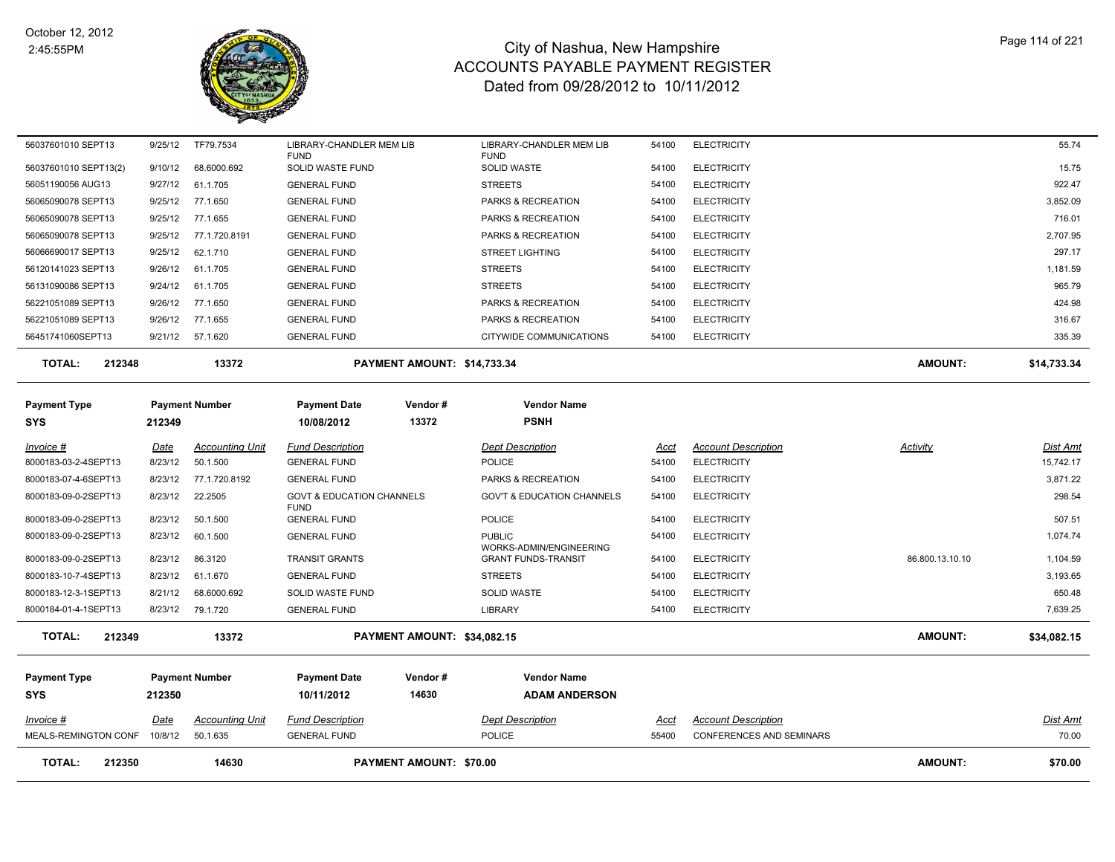

| <b>TOTAL:</b><br>212350           |                       | 14630                  |                                       | <b>PAYMENT AMOUNT: \$70.00</b> |                                                       |             |                                 | <b>AMOUNT:</b>  | \$70.00         |
|-----------------------------------|-----------------------|------------------------|---------------------------------------|--------------------------------|-------------------------------------------------------|-------------|---------------------------------|-----------------|-----------------|
| MEALS-REMINGTON CONF              | 10/8/12               | 50.1.635               | <b>GENERAL FUND</b>                   |                                | <b>POLICE</b>                                         | 55400       | <b>CONFERENCES AND SEMINARS</b> |                 | 70.00           |
| <b>SYS</b><br>$Invoice$ #         | 212350<br><u>Date</u> | <b>Accounting Unit</b> | 10/11/2012<br><b>Fund Description</b> | 14630                          | <b>ADAM ANDERSON</b><br><b>Dept Description</b>       | <u>Acct</u> | <b>Account Description</b>      |                 | <b>Dist Amt</b> |
| <b>Payment Type</b>               |                       | <b>Payment Number</b>  | <b>Payment Date</b>                   | Vendor#                        | <b>Vendor Name</b>                                    |             |                                 |                 |                 |
| <b>TOTAL:</b><br>212349           |                       | 13372                  |                                       | PAYMENT AMOUNT: \$34,082.15    |                                                       |             |                                 | AMOUNT:         | \$34,082.15     |
| 8000184-01-4-1SEPT13              | 8/23/12               | 79.1.720               | <b>GENERAL FUND</b>                   |                                | <b>LIBRARY</b>                                        | 54100       | <b>ELECTRICITY</b>              |                 | 7,639.25        |
| 8000183-12-3-1SEPT13              | 8/21/12               | 68.6000.692            | <b>SOLID WASTE FUND</b>               |                                | SOLID WASTE                                           | 54100       | <b>ELECTRICITY</b>              |                 | 650.48          |
| 8000183-10-7-4SEPT13              | 8/23/12               | 61.1.670               | <b>GENERAL FUND</b>                   |                                | <b>STREETS</b>                                        | 54100       | <b>ELECTRICITY</b>              |                 | 3,193.65        |
| 8000183-09-0-2SEPT13              | 8/23/12               | 86.3120                | <b>TRANSIT GRANTS</b>                 |                                | WORKS-ADMIN/ENGINEERING<br><b>GRANT FUNDS-TRANSIT</b> | 54100       | <b>ELECTRICITY</b>              | 86.800.13.10.10 | 1,104.59        |
| 8000183-09-0-2SEPT13              | 8/23/12               | 60.1.500               | <b>GENERAL FUND</b>                   |                                | <b>PUBLIC</b>                                         | 54100       | <b>ELECTRICITY</b>              |                 | 1,074.74        |
| 8000183-09-0-2SEPT13              | 8/23/12               | 50.1.500               | <b>FUND</b><br><b>GENERAL FUND</b>    |                                | POLICE                                                | 54100       | <b>ELECTRICITY</b>              |                 | 507.51          |
| 8000183-09-0-2SEPT13              | 8/23/12               | 22.2505                | <b>GOVT &amp; EDUCATION CHANNELS</b>  |                                | <b>GOV'T &amp; EDUCATION CHANNELS</b>                 | 54100       | <b>ELECTRICITY</b>              |                 | 298.54          |
| 8000183-07-4-6SEPT13              | 8/23/12               | 77.1.720.8192          | <b>GENERAL FUND</b>                   |                                | PARKS & RECREATION                                    | 54100       | <b>ELECTRICITY</b>              |                 | 3,871.22        |
| 8000183-03-2-4SEPT13              | 8/23/12               | 50.1.500               | <b>GENERAL FUND</b>                   |                                | <b>POLICE</b>                                         | 54100       | <b>ELECTRICITY</b>              |                 | 15,742.17       |
| Invoice #                         | Date                  | <b>Accounting Unit</b> | <b>Fund Description</b>               |                                | <b>Dept Description</b>                               | <u>Acct</u> | <b>Account Description</b>      | Activity        | <b>Dist Amt</b> |
| <b>Payment Type</b><br><b>SYS</b> | 212349                | <b>Payment Number</b>  | <b>Payment Date</b><br>10/08/2012     | Vendor#<br>13372               | <b>Vendor Name</b><br><b>PSNH</b>                     |             |                                 |                 |                 |
| <b>TOTAL:</b><br>212348           |                       | 13372                  |                                       | PAYMENT AMOUNT: \$14,733.34    |                                                       |             |                                 | <b>AMOUNT:</b>  | \$14,733.34     |
| 56451741060SEPT13                 | 9/21/12               | 57.1.620               | <b>GENERAL FUND</b>                   |                                | CITYWIDE COMMUNICATIONS                               | 54100       | <b>ELECTRICITY</b>              |                 | 335.39          |
| 56221051089 SEPT13                | 9/26/12               | 77.1.655               | <b>GENERAL FUND</b>                   |                                | PARKS & RECREATION                                    | 54100       | <b>ELECTRICITY</b>              |                 | 316.67          |
| 56221051089 SEPT13                | 9/26/12               | 77.1.650               | <b>GENERAL FUND</b>                   |                                | PARKS & RECREATION                                    | 54100       | <b>ELECTRICITY</b>              |                 | 424.98          |
| 56131090086 SEPT13                | 9/24/12               | 61.1.705               | <b>GENERAL FUND</b>                   |                                | <b>STREETS</b>                                        | 54100       | <b>ELECTRICITY</b>              |                 | 965.79          |
| 56120141023 SEPT13                | 9/26/12               | 61.1.705               | <b>GENERAL FUND</b>                   |                                | <b>STREETS</b>                                        | 54100       | <b>ELECTRICITY</b>              |                 | 1,181.59        |
| 56066690017 SEPT13                | 9/25/12               | 62.1.710               | <b>GENERAL FUND</b>                   |                                | <b>STREET LIGHTING</b>                                | 54100       | <b>ELECTRICITY</b>              |                 | 297.17          |
| 56065090078 SEPT13                | 9/25/12               | 77.1.720.8191          | <b>GENERAL FUND</b>                   |                                | PARKS & RECREATION                                    | 54100       | <b>ELECTRICITY</b>              |                 | 2,707.95        |
| 56065090078 SEPT13                | 9/25/12               | 77.1.655               | <b>GENERAL FUND</b>                   |                                | PARKS & RECREATION                                    | 54100       | <b>ELECTRICITY</b>              |                 | 716.01          |
| 56065090078 SEPT13                | 9/25/12               | 77.1.650               | <b>GENERAL FUND</b>                   |                                | PARKS & RECREATION                                    | 54100       | <b>ELECTRICITY</b>              |                 | 3,852.09        |
| 56051190056 AUG13                 | 9/27/12               | 61.1.705               | <b>GENERAL FUND</b>                   |                                | <b>STREETS</b>                                        | 54100       | <b>ELECTRICITY</b>              |                 | 922.47          |
| 56037601010 SEPT13(2)             | 9/10/12               | 68.6000.692            | <b>FUND</b><br>SOLID WASTE FUND       |                                | <b>FUND</b><br>SOLID WASTE                            | 54100       | <b>ELECTRICITY</b>              |                 | 15.75           |
| 56037601010 SEPT13                | 9/25/12               | TF79.7534              | LIBRARY-CHANDLER MEM LIB              |                                | LIBRARY-CHANDLER MEM LIB                              | 54100       | <b>ELECTRICITY</b>              |                 | 55.74           |
|                                   |                       |                        |                                       |                                |                                                       |             |                                 |                 |                 |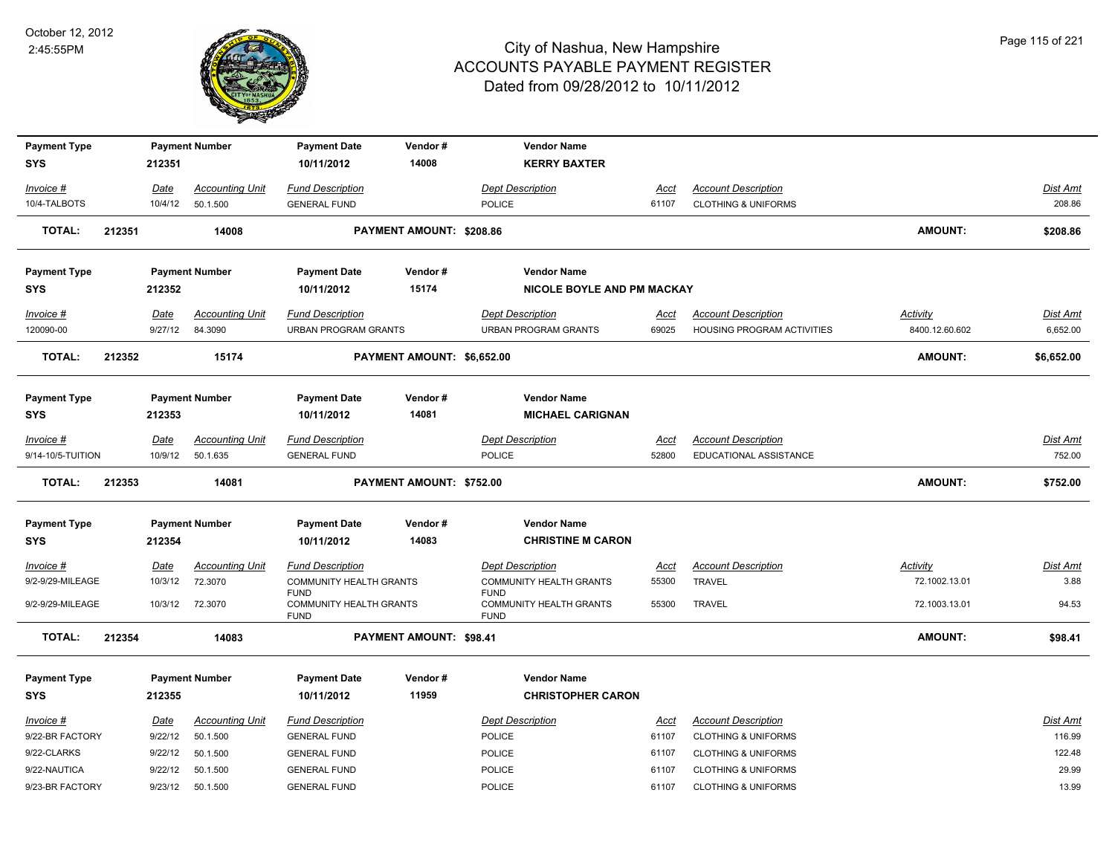

| <b>Payment Type</b>               |        |                 | <b>Payment Number</b>             | <b>Payment Date</b>                                          | Vendor#                    | <b>Vendor Name</b>                                           |                      |                                                          |                                   |                      |
|-----------------------------------|--------|-----------------|-----------------------------------|--------------------------------------------------------------|----------------------------|--------------------------------------------------------------|----------------------|----------------------------------------------------------|-----------------------------------|----------------------|
| <b>SYS</b>                        |        | 212351          |                                   | 10/11/2012                                                   | 14008                      | <b>KERRY BAXTER</b>                                          |                      |                                                          |                                   |                      |
| Invoice #                         |        | Date            | <b>Accounting Unit</b>            | <b>Fund Description</b>                                      |                            | <b>Dept Description</b>                                      | Acct                 | <b>Account Description</b>                               |                                   | Dist Amt             |
| 10/4-TALBOTS                      |        | 10/4/12         | 50.1.500                          | <b>GENERAL FUND</b>                                          |                            | <b>POLICE</b>                                                | 61107                | <b>CLOTHING &amp; UNIFORMS</b>                           |                                   | 208.86               |
| <b>TOTAL:</b>                     | 212351 |                 | 14008                             |                                                              | PAYMENT AMOUNT: \$208.86   |                                                              |                      |                                                          | <b>AMOUNT:</b>                    | \$208.86             |
| <b>Payment Type</b>               |        |                 | <b>Payment Number</b>             | <b>Payment Date</b>                                          | Vendor#                    | <b>Vendor Name</b>                                           |                      |                                                          |                                   |                      |
| <b>SYS</b>                        |        | 212352          |                                   | 10/11/2012                                                   | 15174                      | NICOLE BOYLE AND PM MACKAY                                   |                      |                                                          |                                   |                      |
| Invoice #<br>120090-00            |        | Date<br>9/27/12 | <b>Accounting Unit</b><br>84.3090 | <b>Fund Description</b><br><b>URBAN PROGRAM GRANTS</b>       |                            | <b>Dept Description</b><br><b>URBAN PROGRAM GRANTS</b>       | <u>Acct</u><br>69025 | <b>Account Description</b><br>HOUSING PROGRAM ACTIVITIES | <b>Activity</b><br>8400.12.60.602 | Dist Amt<br>6,652.00 |
| <b>TOTAL:</b>                     | 212352 |                 | 15174                             |                                                              | PAYMENT AMOUNT: \$6,652.00 |                                                              |                      |                                                          | <b>AMOUNT:</b>                    | \$6,652.00           |
| <b>Payment Type</b><br><b>SYS</b> |        | 212353          | <b>Payment Number</b>             | <b>Payment Date</b><br>10/11/2012                            | Vendor#<br>14081           | <b>Vendor Name</b><br><b>MICHAEL CARIGNAN</b>                |                      |                                                          |                                   |                      |
| Invoice #                         |        | Date            | <b>Accounting Unit</b>            | <b>Fund Description</b>                                      |                            | <b>Dept Description</b>                                      | Acct                 | <b>Account Description</b>                               |                                   | Dist Amt             |
| 9/14-10/5-TUITION                 |        | 10/9/12         | 50.1.635                          | <b>GENERAL FUND</b>                                          |                            | POLICE                                                       | 52800                | EDUCATIONAL ASSISTANCE                                   |                                   | 752.00               |
| <b>TOTAL:</b>                     | 212353 |                 | 14081                             |                                                              | PAYMENT AMOUNT: \$752.00   |                                                              |                      |                                                          | <b>AMOUNT:</b>                    | \$752.00             |
| <b>Payment Type</b>               |        |                 | <b>Payment Number</b>             | <b>Payment Date</b>                                          | Vendor#                    | <b>Vendor Name</b>                                           |                      |                                                          |                                   |                      |
| <b>SYS</b>                        |        | 212354          |                                   | 10/11/2012                                                   | 14083                      | <b>CHRISTINE M CARON</b>                                     |                      |                                                          |                                   |                      |
| $Invoice$ #                       |        | <b>Date</b>     | <b>Accounting Unit</b>            | <b>Fund Description</b>                                      |                            | <b>Dept Description</b>                                      | <u>Acct</u>          | <b>Account Description</b>                               | Activity                          | <u>Dist Amt</u>      |
| 9/2-9/29-MILEAGE                  |        | 10/3/12         | 72.3070                           | <b>COMMUNITY HEALTH GRANTS</b>                               |                            | <b>COMMUNITY HEALTH GRANTS</b>                               | 55300                | TRAVEL                                                   | 72.1002.13.01                     | 3.88                 |
| 9/2-9/29-MILEAGE                  |        | 10/3/12         | 72.3070                           | <b>FUND</b><br><b>COMMUNITY HEALTH GRANTS</b><br><b>FUND</b> |                            | <b>FUND</b><br><b>COMMUNITY HEALTH GRANTS</b><br><b>FUND</b> | 55300                | TRAVEL                                                   | 72.1003.13.01                     | 94.53                |
| TOTAL:                            | 212354 |                 | 14083                             |                                                              | PAYMENT AMOUNT: \$98.41    |                                                              |                      |                                                          | <b>AMOUNT:</b>                    | \$98.41              |
| <b>Payment Type</b>               |        |                 | <b>Payment Number</b>             | <b>Payment Date</b>                                          | Vendor#                    | <b>Vendor Name</b>                                           |                      |                                                          |                                   |                      |
| <b>SYS</b>                        |        | 212355          |                                   | 10/11/2012                                                   | 11959                      | <b>CHRISTOPHER CARON</b>                                     |                      |                                                          |                                   |                      |
| Invoice #                         |        | <u>Date</u>     | <b>Accounting Unit</b>            | <b>Fund Description</b>                                      |                            | <b>Dept Description</b>                                      | <u>Acct</u>          | <b>Account Description</b>                               |                                   | Dist Amt             |
| 9/22-BR FACTORY                   |        | 9/22/12         | 50.1.500                          | <b>GENERAL FUND</b>                                          |                            | <b>POLICE</b>                                                | 61107                | <b>CLOTHING &amp; UNIFORMS</b>                           |                                   | 116.99               |
| 9/22-CLARKS                       |        | 9/22/12         | 50.1.500                          | <b>GENERAL FUND</b>                                          |                            | POLICE                                                       | 61107                | <b>CLOTHING &amp; UNIFORMS</b>                           |                                   | 122.48               |
| 9/22-NAUTICA                      |        | 9/22/12         | 50.1.500                          | <b>GENERAL FUND</b>                                          |                            | <b>POLICE</b>                                                | 61107                | <b>CLOTHING &amp; UNIFORMS</b>                           |                                   | 29.99                |
| 9/23-BR FACTORY                   |        | 9/23/12         | 50.1.500                          | <b>GENERAL FUND</b>                                          |                            | POLICE                                                       | 61107                | <b>CLOTHING &amp; UNIFORMS</b>                           |                                   | 13.99                |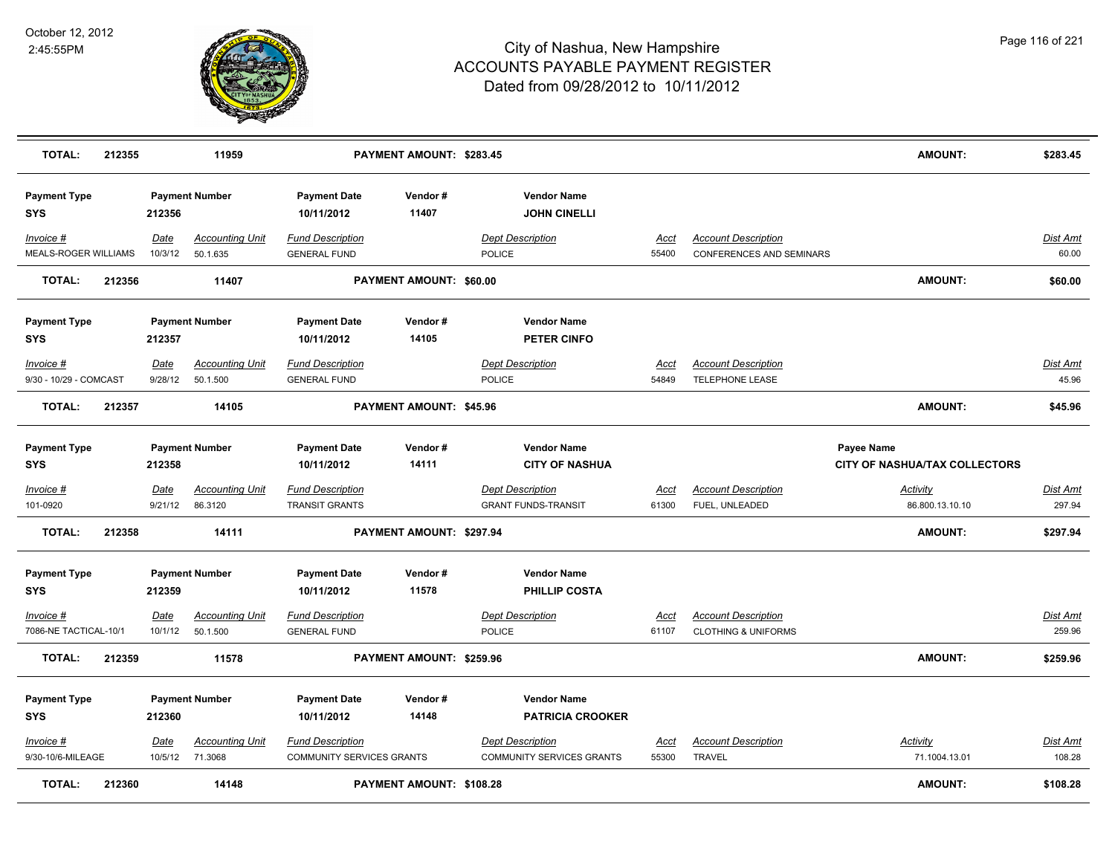

| <b>TOTAL:</b>                       | 212355 |                 | 11959                                     |                                                             | PAYMENT AMOUNT: \$283.45       |                                                             |                      |                                                              | <b>AMOUNT:</b>                              | \$283.45           |
|-------------------------------------|--------|-----------------|-------------------------------------------|-------------------------------------------------------------|--------------------------------|-------------------------------------------------------------|----------------------|--------------------------------------------------------------|---------------------------------------------|--------------------|
| <b>Payment Type</b><br><b>SYS</b>   |        | 212356          | <b>Payment Number</b>                     | <b>Payment Date</b><br>10/11/2012                           | Vendor#<br>11407               | <b>Vendor Name</b><br><b>JOHN CINELLI</b>                   |                      |                                                              |                                             |                    |
| $Invoice$ #<br>MEALS-ROGER WILLIAMS |        | Date<br>10/3/12 | <b>Accounting Unit</b><br>50.1.635        | <b>Fund Description</b><br><b>GENERAL FUND</b>              |                                | <b>Dept Description</b><br>POLICE                           | <b>Acct</b><br>55400 | <b>Account Description</b><br>CONFERENCES AND SEMINARS       |                                             | Dist Amt<br>60.00  |
| <b>TOTAL:</b>                       | 212356 |                 | 11407                                     |                                                             | PAYMENT AMOUNT: \$60.00        |                                                             |                      |                                                              | <b>AMOUNT:</b>                              | \$60.00            |
| <b>Payment Type</b><br><b>SYS</b>   |        | 212357          | <b>Payment Number</b>                     | <b>Payment Date</b><br>10/11/2012                           | Vendor#<br>14105               | <b>Vendor Name</b><br><b>PETER CINFO</b>                    |                      |                                                              |                                             |                    |
| Invoice #<br>9/30 - 10/29 - COMCAST |        | Date<br>9/28/12 | <b>Accounting Unit</b><br>50.1.500        | <b>Fund Description</b><br><b>GENERAL FUND</b>              |                                | <b>Dept Description</b><br>POLICE                           | <u>Acct</u><br>54849 | <b>Account Description</b><br><b>TELEPHONE LEASE</b>         |                                             | Dist Amt<br>45.96  |
| <b>TOTAL:</b>                       | 212357 |                 | 14105                                     |                                                             | <b>PAYMENT AMOUNT: \$45.96</b> |                                                             |                      |                                                              | <b>AMOUNT:</b>                              | \$45.96            |
| <b>Payment Type</b><br><b>SYS</b>   |        | 212358          | <b>Payment Number</b>                     | <b>Payment Date</b><br>10/11/2012                           | Vendor#<br>14111               | <b>Vendor Name</b><br><b>CITY OF NASHUA</b>                 |                      |                                                              | Payee Name<br>CITY OF NASHUA/TAX COLLECTORS |                    |
| <b>Invoice #</b><br>101-0920        |        | Date<br>9/21/12 | <b>Accounting Unit</b><br>86.3120         | <b>Fund Description</b><br><b>TRANSIT GRANTS</b>            |                                | <b>Dept Description</b><br><b>GRANT FUNDS-TRANSIT</b>       | <u>Acct</u><br>61300 | <b>Account Description</b><br>FUEL, UNLEADED                 | Activity<br>86.800.13.10.10                 | Dist Amt<br>297.94 |
| <b>TOTAL:</b>                       | 212358 |                 | 14111                                     |                                                             | PAYMENT AMOUNT: \$297.94       |                                                             |                      |                                                              | AMOUNT:                                     | \$297.94           |
| <b>Payment Type</b><br><b>SYS</b>   |        | 212359          | <b>Payment Number</b>                     | <b>Payment Date</b><br>10/11/2012                           | Vendor#<br>11578               | <b>Vendor Name</b><br>PHILLIP COSTA                         |                      |                                                              |                                             |                    |
| Invoice #<br>7086-NE TACTICAL-10/1  |        | Date<br>10/1/12 | <b>Accounting Unit</b><br>50.1.500        | <b>Fund Description</b><br><b>GENERAL FUND</b>              |                                | <b>Dept Description</b><br><b>POLICE</b>                    | <b>Acct</b><br>61107 | <b>Account Description</b><br><b>CLOTHING &amp; UNIFORMS</b> |                                             | Dist Amt<br>259.96 |
| <b>TOTAL:</b>                       | 212359 |                 | 11578                                     |                                                             | PAYMENT AMOUNT: \$259.96       |                                                             |                      |                                                              | <b>AMOUNT:</b>                              | \$259.96           |
| <b>Payment Type</b><br><b>SYS</b>   |        | 212360          | <b>Payment Number</b>                     | <b>Payment Date</b><br>10/11/2012                           | Vendor#<br>14148               | <b>Vendor Name</b><br><b>PATRICIA CROOKER</b>               |                      |                                                              |                                             |                    |
| Invoice #<br>9/30-10/6-MILEAGE      |        | Date            | <b>Accounting Unit</b><br>10/5/12 71.3068 | <b>Fund Description</b><br><b>COMMUNITY SERVICES GRANTS</b> |                                | <b>Dept Description</b><br><b>COMMUNITY SERVICES GRANTS</b> | <u>Acct</u><br>55300 | <b>Account Description</b><br><b>TRAVEL</b>                  | Activity<br>71.1004.13.01                   | Dist Amt<br>108.28 |
| <b>TOTAL:</b>                       | 212360 |                 | 14148                                     |                                                             | PAYMENT AMOUNT: \$108.28       |                                                             |                      |                                                              | <b>AMOUNT:</b>                              | \$108.28           |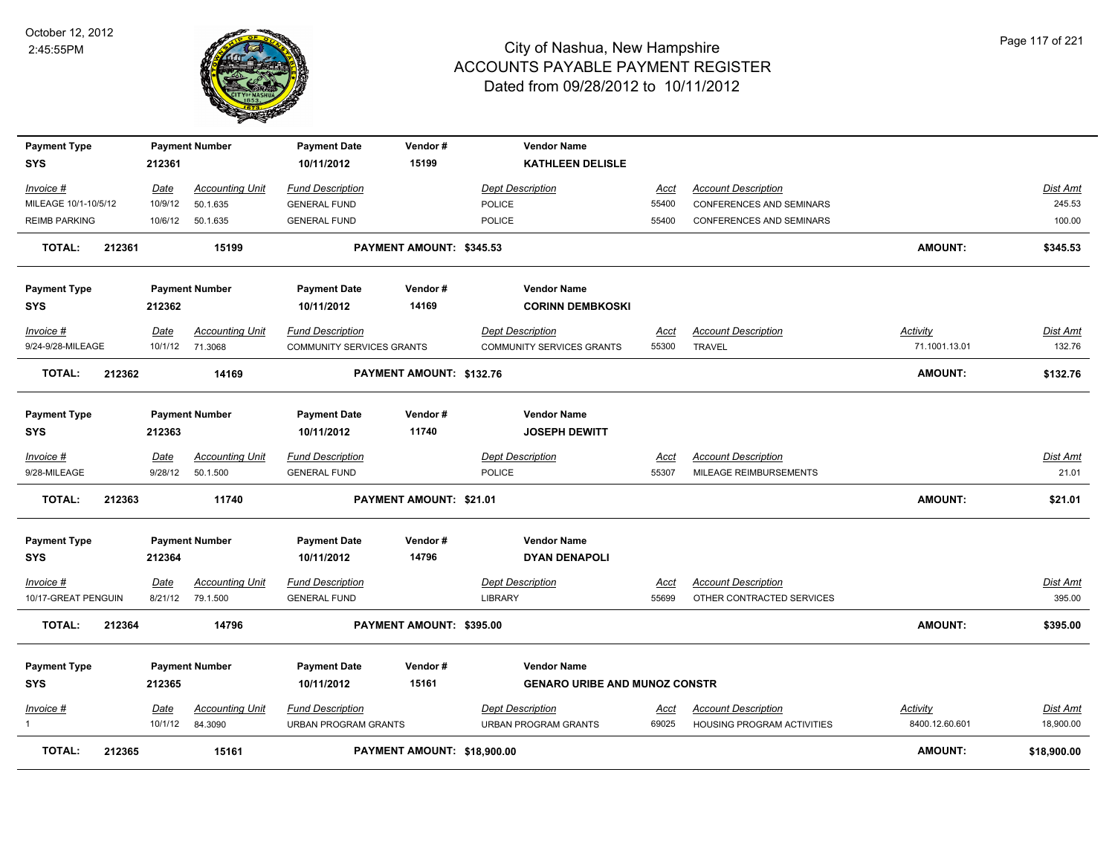

| <b>Payment Type</b>            |        |                 | <b>Payment Number</b>                     | <b>Payment Date</b>                                  | Vendor#                     | <b>Vendor Name</b>                                   |               |                                                      |                           |                    |
|--------------------------------|--------|-----------------|-------------------------------------------|------------------------------------------------------|-----------------------------|------------------------------------------------------|---------------|------------------------------------------------------|---------------------------|--------------------|
| <b>SYS</b>                     |        | 212361          |                                           | 10/11/2012                                           | 15199                       | <b>KATHLEEN DELISLE</b>                              |               |                                                      |                           |                    |
| Invoice #                      |        | Date            | <b>Accounting Unit</b>                    | <b>Fund Description</b>                              |                             | <b>Dept Description</b>                              | Acct          | <b>Account Description</b>                           |                           | Dist Amt           |
| MILEAGE 10/1-10/5/12           |        | 10/9/12         | 50.1.635                                  | <b>GENERAL FUND</b>                                  |                             | <b>POLICE</b>                                        | 55400         | CONFERENCES AND SEMINARS                             |                           | 245.53             |
| <b>REIMB PARKING</b>           |        | 10/6/12         | 50.1.635                                  | <b>GENERAL FUND</b>                                  |                             | <b>POLICE</b>                                        | 55400         | <b>CONFERENCES AND SEMINARS</b>                      |                           | 100.00             |
| <b>TOTAL:</b>                  | 212361 |                 | 15199                                     |                                                      | PAYMENT AMOUNT: \$345.53    |                                                      |               |                                                      | <b>AMOUNT:</b>            | \$345.53           |
| <b>Payment Type</b>            |        |                 | <b>Payment Number</b>                     | <b>Payment Date</b>                                  | Vendor#                     | <b>Vendor Name</b>                                   |               |                                                      |                           |                    |
| <b>SYS</b>                     |        | 212362          |                                           | 10/11/2012                                           | 14169                       | <b>CORINN DEMBKOSKI</b>                              |               |                                                      |                           |                    |
| Invoice #<br>9/24-9/28-MILEAGE |        | Date            | <b>Accounting Unit</b><br>10/1/12 71.3068 | <b>Fund Description</b><br>COMMUNITY SERVICES GRANTS |                             | <b>Dept Description</b><br>COMMUNITY SERVICES GRANTS | Acct<br>55300 | <b>Account Description</b><br><b>TRAVEL</b>          | Activity<br>71.1001.13.01 | Dist Amt<br>132.76 |
| <b>TOTAL:</b>                  | 212362 |                 | 14169                                     |                                                      | PAYMENT AMOUNT: \$132.76    |                                                      |               |                                                      | <b>AMOUNT:</b>            | \$132.76           |
| <b>Payment Type</b>            |        |                 | <b>Payment Number</b>                     | <b>Payment Date</b>                                  | Vendor#                     | <b>Vendor Name</b>                                   |               |                                                      |                           |                    |
| <b>SYS</b>                     |        | 212363          |                                           | 10/11/2012                                           | 11740                       | <b>JOSEPH DEWITT</b>                                 |               |                                                      |                           |                    |
| Invoice #<br>9/28-MILEAGE      |        | Date<br>9/28/12 | <b>Accounting Unit</b><br>50.1.500        | <b>Fund Description</b><br><b>GENERAL FUND</b>       |                             | <b>Dept Description</b><br><b>POLICE</b>             | Acct<br>55307 | <b>Account Description</b><br>MILEAGE REIMBURSEMENTS |                           | Dist Amt<br>21.01  |
| <b>TOTAL:</b>                  | 212363 |                 | 11740                                     |                                                      | PAYMENT AMOUNT: \$21.01     |                                                      |               |                                                      | <b>AMOUNT:</b>            | \$21.01            |
| <b>Payment Type</b>            |        |                 | <b>Payment Number</b>                     | <b>Payment Date</b>                                  | Vendor#                     | <b>Vendor Name</b>                                   |               |                                                      |                           |                    |
| <b>SYS</b>                     |        | 212364          |                                           | 10/11/2012                                           | 14796                       | <b>DYAN DENAPOLI</b>                                 |               |                                                      |                           |                    |
| <u> Invoice #</u>              |        | Date            | <b>Accounting Unit</b>                    | <b>Fund Description</b>                              |                             | <b>Dept Description</b>                              | <u>Acct</u>   | <b>Account Description</b>                           |                           | Dist Amt           |
| 10/17-GREAT PENGUIN            |        |                 | 8/21/12 79.1.500                          | <b>GENERAL FUND</b>                                  |                             | <b>LIBRARY</b>                                       | 55699         | OTHER CONTRACTED SERVICES                            |                           | 395.00             |
| <b>TOTAL:</b>                  | 212364 |                 | 14796                                     |                                                      | PAYMENT AMOUNT: \$395.00    |                                                      |               |                                                      | <b>AMOUNT:</b>            | \$395.00           |
| <b>Payment Type</b>            |        |                 | <b>Payment Number</b>                     | <b>Payment Date</b>                                  | Vendor#                     | <b>Vendor Name</b>                                   |               |                                                      |                           |                    |
| <b>SYS</b>                     |        | 212365          |                                           | 10/11/2012                                           | 15161                       | <b>GENARO URIBE AND MUNOZ CONSTR</b>                 |               |                                                      |                           |                    |
| Invoice #                      |        | Date            | <b>Accounting Unit</b>                    | <b>Fund Description</b>                              |                             | <b>Dept Description</b>                              | <u>Acct</u>   | <b>Account Description</b>                           | <b>Activity</b>           | <u>Dist Amt</u>    |
| $\mathbf{1}$                   |        | 10/1/12         | 84.3090                                   | <b>URBAN PROGRAM GRANTS</b>                          |                             | <b>URBAN PROGRAM GRANTS</b>                          | 69025         | HOUSING PROGRAM ACTIVITIES                           | 8400.12.60.601            | 18,900.00          |
| <b>TOTAL:</b>                  | 212365 |                 | 15161                                     |                                                      | PAYMENT AMOUNT: \$18,900.00 |                                                      |               |                                                      | <b>AMOUNT:</b>            | \$18,900.00        |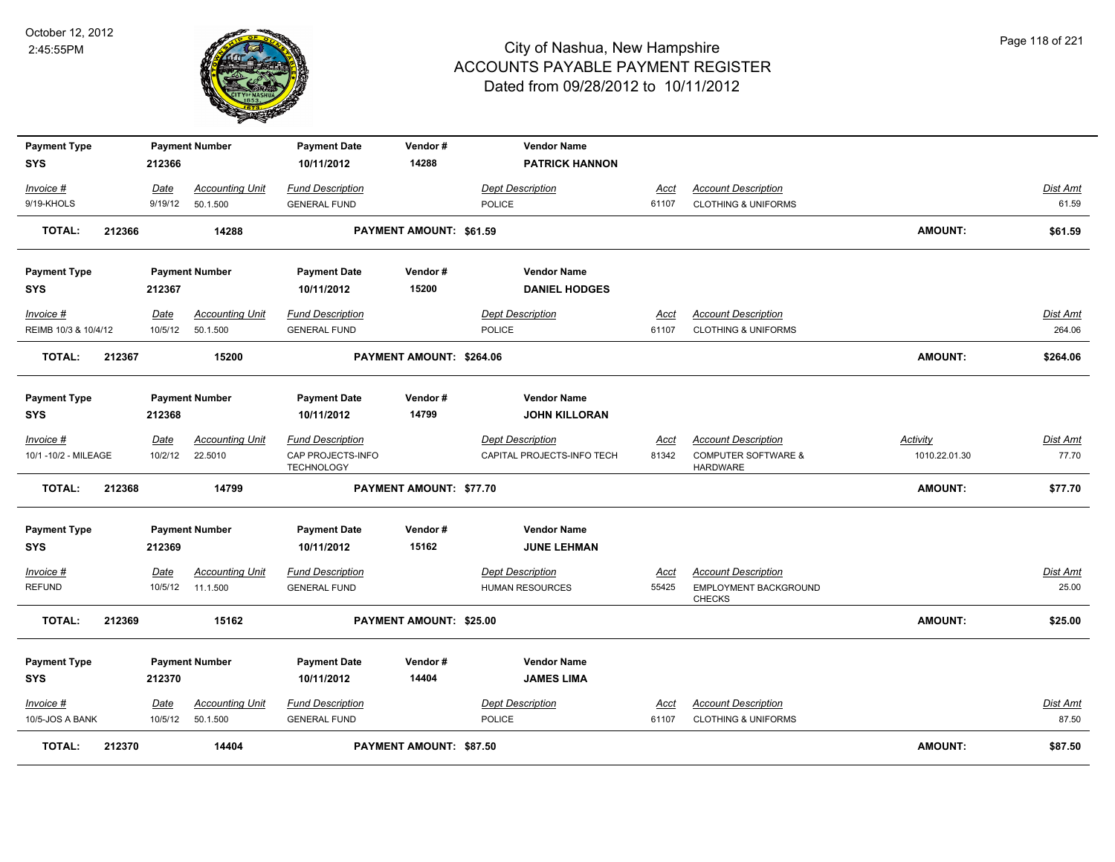

| <b>Payment Type</b>  |        |         | <b>Payment Number</b>  | <b>Payment Date</b>                    | Vendor#                        | <b>Vendor Name</b>         |             |                                                   |                |          |
|----------------------|--------|---------|------------------------|----------------------------------------|--------------------------------|----------------------------|-------------|---------------------------------------------------|----------------|----------|
| SYS                  |        | 212366  |                        | 10/11/2012                             | 14288                          | <b>PATRICK HANNON</b>      |             |                                                   |                |          |
| Invoice #            |        | Date    | <b>Accounting Unit</b> | <b>Fund Description</b>                |                                | <b>Dept Description</b>    | <u>Acct</u> | <b>Account Description</b>                        |                | Dist Amt |
| 9/19-KHOLS           |        | 9/19/12 | 50.1.500               | <b>GENERAL FUND</b>                    |                                | <b>POLICE</b>              | 61107       | <b>CLOTHING &amp; UNIFORMS</b>                    |                | 61.59    |
| <b>TOTAL:</b>        | 212366 |         | 14288                  |                                        | PAYMENT AMOUNT: \$61.59        |                            |             |                                                   | <b>AMOUNT:</b> | \$61.59  |
| <b>Payment Type</b>  |        |         | <b>Payment Number</b>  | <b>Payment Date</b>                    | Vendor#                        | <b>Vendor Name</b>         |             |                                                   |                |          |
| SYS                  |        | 212367  |                        | 10/11/2012                             | 15200                          | <b>DANIEL HODGES</b>       |             |                                                   |                |          |
| Invoice #            |        | Date    | <b>Accounting Unit</b> | <b>Fund Description</b>                |                                | <b>Dept Description</b>    | Acct        | <b>Account Description</b>                        |                | Dist Amt |
| REIMB 10/3 & 10/4/12 |        | 10/5/12 | 50.1.500               | <b>GENERAL FUND</b>                    |                                | POLICE                     | 61107       | <b>CLOTHING &amp; UNIFORMS</b>                    |                | 264.06   |
| <b>TOTAL:</b>        | 212367 |         | 15200                  |                                        | PAYMENT AMOUNT: \$264.06       |                            |             |                                                   | <b>AMOUNT:</b> | \$264.06 |
| <b>Payment Type</b>  |        |         | <b>Payment Number</b>  | <b>Payment Date</b>                    | Vendor#                        | <b>Vendor Name</b>         |             |                                                   |                |          |
| <b>SYS</b>           |        | 212368  |                        | 10/11/2012                             | 14799                          | <b>JOHN KILLORAN</b>       |             |                                                   |                |          |
| Invoice #            |        | Date    | <b>Accounting Unit</b> | <b>Fund Description</b>                |                                | <b>Dept Description</b>    | <u>Acct</u> | <b>Account Description</b>                        | Activity       | Dist Amt |
| 10/1 -10/2 - MILEAGE |        | 10/2/12 | 22.5010                | CAP PROJECTS-INFO<br><b>TECHNOLOGY</b> |                                | CAPITAL PROJECTS-INFO TECH | 81342       | <b>COMPUTER SOFTWARE &amp;</b><br><b>HARDWARE</b> | 1010.22.01.30  | 77.70    |
| <b>TOTAL:</b>        | 212368 |         | 14799                  |                                        | <b>PAYMENT AMOUNT: \$77.70</b> |                            |             |                                                   | <b>AMOUNT:</b> | \$77.70  |
| <b>Payment Type</b>  |        |         | <b>Payment Number</b>  | <b>Payment Date</b>                    | Vendor#                        | <b>Vendor Name</b>         |             |                                                   |                |          |
| <b>SYS</b>           |        | 212369  |                        | 10/11/2012                             | 15162                          | <b>JUNE LEHMAN</b>         |             |                                                   |                |          |
| Invoice #            |        | Date    | <b>Accounting Unit</b> | <b>Fund Description</b>                |                                | <b>Dept Description</b>    | <u>Acct</u> | <b>Account Description</b>                        |                | Dist Amt |
| <b>REFUND</b>        |        | 10/5/12 | 11.1.500               | <b>GENERAL FUND</b>                    |                                | <b>HUMAN RESOURCES</b>     | 55425       | EMPLOYMENT BACKGROUND<br><b>CHECKS</b>            |                | 25.00    |
| <b>TOTAL:</b>        | 212369 |         | 15162                  |                                        | PAYMENT AMOUNT: \$25.00        |                            |             |                                                   | <b>AMOUNT:</b> | \$25.00  |
| <b>Payment Type</b>  |        |         | <b>Payment Number</b>  | <b>Payment Date</b>                    | Vendor#                        | <b>Vendor Name</b>         |             |                                                   |                |          |
| SYS                  |        | 212370  |                        | 10/11/2012                             | 14404                          | <b>JAMES LIMA</b>          |             |                                                   |                |          |
| Invoice #            |        | Date    | <b>Accounting Unit</b> | <b>Fund Description</b>                |                                | <b>Dept Description</b>    | Acct        | <b>Account Description</b>                        |                | Dist Amt |
| 10/5-JOS A BANK      |        | 10/5/12 | 50.1.500               | <b>GENERAL FUND</b>                    |                                | <b>POLICE</b>              | 61107       | <b>CLOTHING &amp; UNIFORMS</b>                    |                | 87.50    |
| TOTAL:               | 212370 |         | 14404                  |                                        | PAYMENT AMOUNT: \$87.50        |                            |             |                                                   | <b>AMOUNT:</b> | \$87.50  |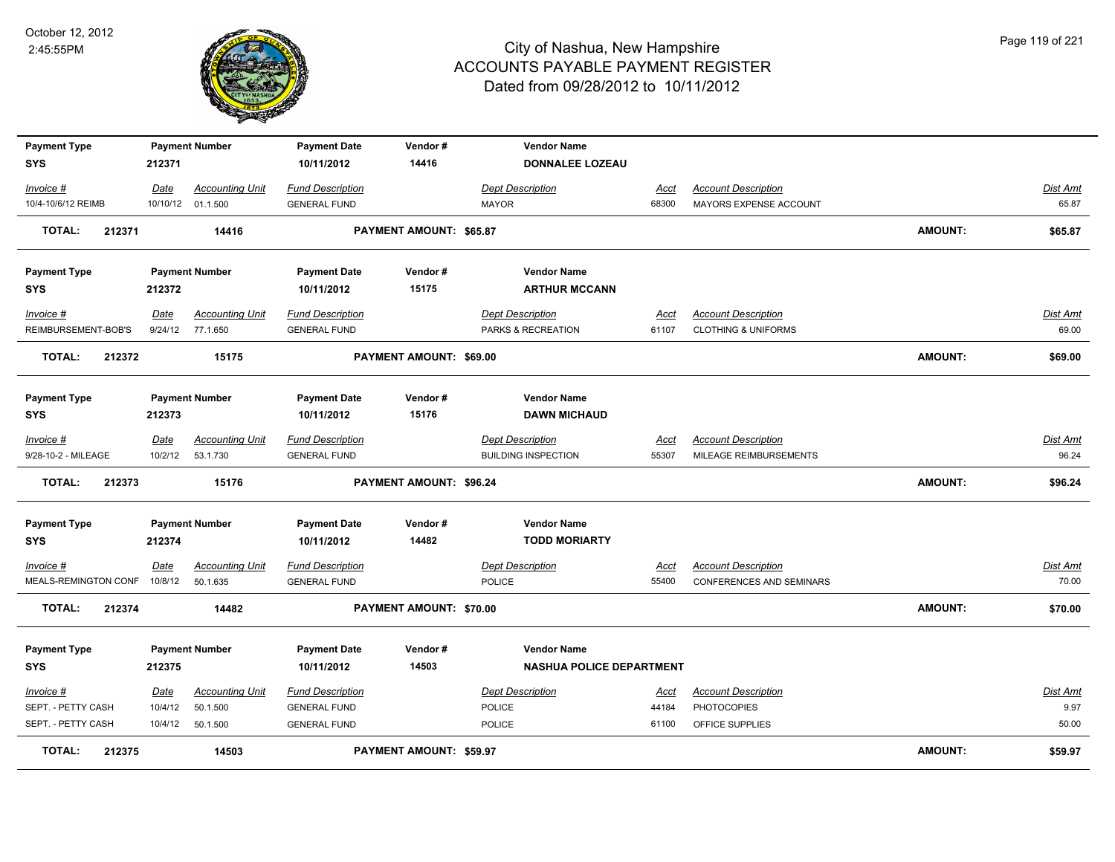

| <b>Payment Type</b>          |             | <b>Payment Number</b>  | <b>Payment Date</b>     | Vendor#                        | <b>Vendor Name</b>              |             |                                 |                |                 |
|------------------------------|-------------|------------------------|-------------------------|--------------------------------|---------------------------------|-------------|---------------------------------|----------------|-----------------|
| <b>SYS</b>                   | 212371      |                        | 10/11/2012              | 14416                          | <b>DONNALEE LOZEAU</b>          |             |                                 |                |                 |
| Invoice #                    | Date        | <b>Accounting Unit</b> | <b>Fund Description</b> |                                | <b>Dept Description</b>         | Acct        | <b>Account Description</b>      |                | Dist Amt        |
| 10/4-10/6/12 REIMB           |             | 10/10/12 01.1.500      | <b>GENERAL FUND</b>     |                                | MAYOR                           | 68300       | MAYORS EXPENSE ACCOUNT          |                | 65.87           |
| <b>TOTAL:</b><br>212371      |             | 14416                  |                         | PAYMENT AMOUNT: \$65.87        |                                 |             |                                 | <b>AMOUNT:</b> | \$65.87         |
| <b>Payment Type</b>          |             | <b>Payment Number</b>  | <b>Payment Date</b>     | Vendor#                        | <b>Vendor Name</b>              |             |                                 |                |                 |
| SYS                          | 212372      |                        | 10/11/2012              | 15175                          | <b>ARTHUR MCCANN</b>            |             |                                 |                |                 |
| Invoice #                    | Date        | <b>Accounting Unit</b> | <b>Fund Description</b> |                                | <b>Dept Description</b>         | Acct        | <b>Account Description</b>      |                | Dist Amt        |
| REIMBURSEMENT-BOB'S          |             | 9/24/12 77.1.650       | <b>GENERAL FUND</b>     |                                | PARKS & RECREATION              | 61107       | <b>CLOTHING &amp; UNIFORMS</b>  |                | 69.00           |
| <b>TOTAL:</b><br>212372      |             | 15175                  |                         | <b>PAYMENT AMOUNT: \$69.00</b> |                                 |             |                                 | <b>AMOUNT:</b> | \$69.00         |
| <b>Payment Type</b>          |             | <b>Payment Number</b>  | <b>Payment Date</b>     | Vendor#                        | <b>Vendor Name</b>              |             |                                 |                |                 |
| SYS                          | 212373      |                        | 10/11/2012              | 15176                          | <b>DAWN MICHAUD</b>             |             |                                 |                |                 |
| Invoice #                    | <b>Date</b> | <b>Accounting Unit</b> | <b>Fund Description</b> |                                | <b>Dept Description</b>         | Acct        | <b>Account Description</b>      |                | Dist Amt        |
| 9/28-10-2 - MILEAGE          | 10/2/12     | 53.1.730               | <b>GENERAL FUND</b>     |                                | <b>BUILDING INSPECTION</b>      | 55307       | MILEAGE REIMBURSEMENTS          |                | 96.24           |
| <b>TOTAL:</b><br>212373      |             | 15176                  |                         | PAYMENT AMOUNT: \$96.24        |                                 |             |                                 | <b>AMOUNT:</b> | \$96.24         |
| <b>Payment Type</b>          |             | <b>Payment Number</b>  | <b>Payment Date</b>     | Vendor#                        | <b>Vendor Name</b>              |             |                                 |                |                 |
| <b>SYS</b>                   | 212374      |                        | 10/11/2012              | 14482                          | <b>TODD MORIARTY</b>            |             |                                 |                |                 |
| <u>Invoice #</u>             | <b>Date</b> | <b>Accounting Unit</b> | <b>Fund Description</b> |                                | <b>Dept Description</b>         | <u>Acct</u> | <b>Account Description</b>      |                | <b>Dist Amt</b> |
| MEALS-REMINGTON CONF 10/8/12 |             | 50.1.635               | <b>GENERAL FUND</b>     |                                | <b>POLICE</b>                   | 55400       | <b>CONFERENCES AND SEMINARS</b> |                | 70.00           |
| <b>TOTAL:</b><br>212374      |             | 14482                  |                         | PAYMENT AMOUNT: \$70.00        |                                 |             |                                 | <b>AMOUNT:</b> | \$70.00         |
| <b>Payment Type</b>          |             | <b>Payment Number</b>  | <b>Payment Date</b>     | Vendor#                        | <b>Vendor Name</b>              |             |                                 |                |                 |
| <b>SYS</b>                   | 212375      |                        | 10/11/2012              | 14503                          | <b>NASHUA POLICE DEPARTMENT</b> |             |                                 |                |                 |
| Invoice #                    | <u>Date</u> | <b>Accounting Unit</b> | <b>Fund Description</b> |                                | <b>Dept Description</b>         | <u>Acct</u> | <b>Account Description</b>      |                | Dist Amt        |
| SEPT. - PETTY CASH           | 10/4/12     | 50.1.500               | <b>GENERAL FUND</b>     |                                | POLICE                          | 44184       | <b>PHOTOCOPIES</b>              |                | 9.97            |
| SEPT. - PETTY CASH           | 10/4/12     | 50.1.500               | <b>GENERAL FUND</b>     |                                | <b>POLICE</b>                   | 61100       | OFFICE SUPPLIES                 |                | 50.00           |
| <b>TOTAL:</b><br>212375      |             | 14503                  |                         | PAYMENT AMOUNT: \$59.97        |                                 |             |                                 | <b>AMOUNT:</b> | \$59.97         |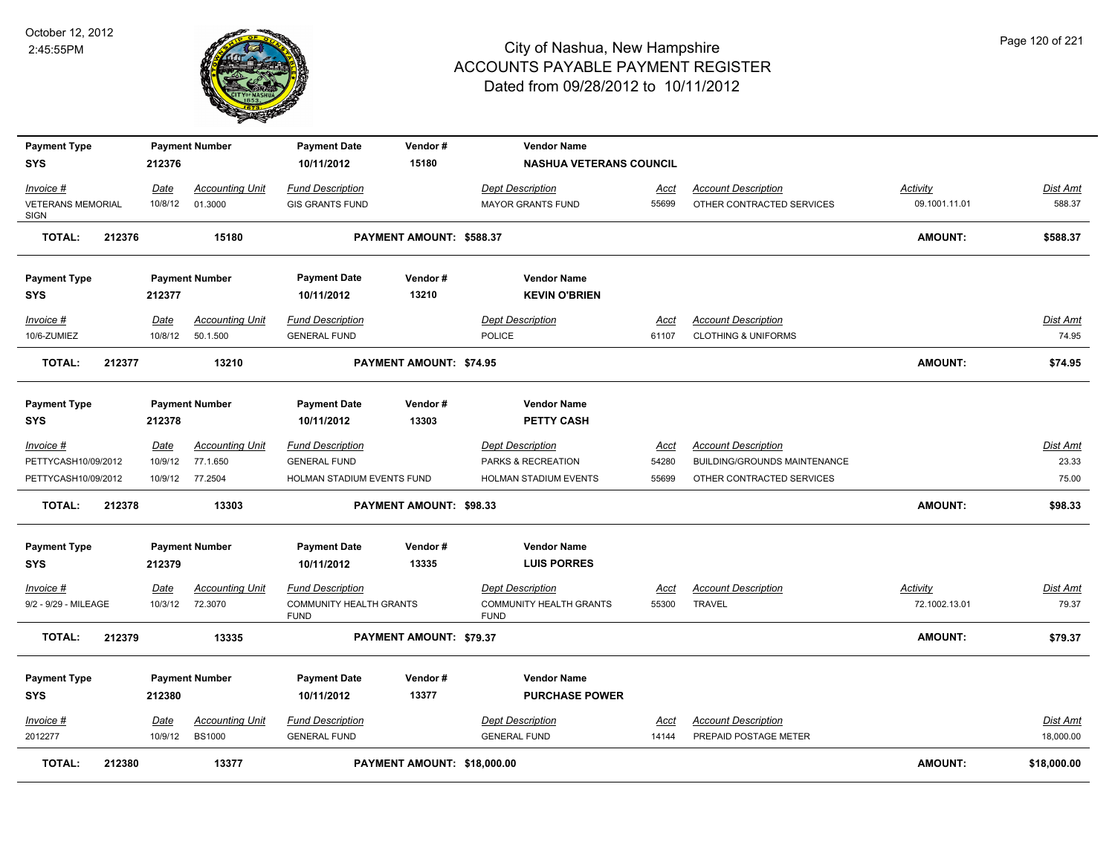

| <b>Payment Type</b>                     |        |             | <b>Payment Number</b>  | <b>Payment Date</b>                           | Vendor#                     | <b>Vendor Name</b>                            |             |                                     |                |                 |
|-----------------------------------------|--------|-------------|------------------------|-----------------------------------------------|-----------------------------|-----------------------------------------------|-------------|-------------------------------------|----------------|-----------------|
| <b>SYS</b>                              |        | 212376      |                        | 10/11/2012                                    | 15180                       | <b>NASHUA VETERANS COUNCIL</b>                |             |                                     |                |                 |
| Invoice #                               |        | Date        | <b>Accounting Unit</b> | <b>Fund Description</b>                       |                             | <b>Dept Description</b>                       | Acct        | <b>Account Description</b>          | Activity       | Dist Amt        |
| <b>VETERANS MEMORIAL</b><br><b>SIGN</b> |        | 10/8/12     | 01.3000                | <b>GIS GRANTS FUND</b>                        |                             | <b>MAYOR GRANTS FUND</b>                      | 55699       | OTHER CONTRACTED SERVICES           | 09.1001.11.01  | 588.37          |
| <b>TOTAL:</b>                           | 212376 |             | 15180                  |                                               | PAYMENT AMOUNT: \$588.37    |                                               |             |                                     | <b>AMOUNT:</b> | \$588.37        |
| <b>Payment Type</b>                     |        |             | <b>Payment Number</b>  | <b>Payment Date</b>                           | Vendor#                     | <b>Vendor Name</b>                            |             |                                     |                |                 |
| <b>SYS</b>                              |        | 212377      |                        | 10/11/2012                                    | 13210                       | <b>KEVIN O'BRIEN</b>                          |             |                                     |                |                 |
| Invoice #                               |        | Date        | <b>Accounting Unit</b> | <b>Fund Description</b>                       |                             | <b>Dept Description</b>                       | Acct        | <b>Account Description</b>          |                | Dist Amt        |
| 10/6-ZUMIEZ                             |        | 10/8/12     | 50.1.500               | <b>GENERAL FUND</b>                           |                             | POLICE                                        | 61107       | <b>CLOTHING &amp; UNIFORMS</b>      |                | 74.95           |
| <b>TOTAL:</b>                           | 212377 |             | 13210                  |                                               | PAYMENT AMOUNT: \$74.95     |                                               |             |                                     | <b>AMOUNT:</b> | \$74.95         |
| <b>Payment Type</b>                     |        |             | <b>Payment Number</b>  | <b>Payment Date</b>                           | Vendor#                     | <b>Vendor Name</b>                            |             |                                     |                |                 |
| <b>SYS</b>                              |        | 212378      |                        | 10/11/2012                                    | 13303                       | <b>PETTY CASH</b>                             |             |                                     |                |                 |
| Invoice #                               |        | <u>Date</u> | <b>Accounting Unit</b> | <b>Fund Description</b>                       |                             | <b>Dept Description</b>                       | <u>Acct</u> | <b>Account Description</b>          |                | Dist Amt        |
| PETTYCASH10/09/2012                     |        | 10/9/12     | 77.1.650               | <b>GENERAL FUND</b>                           |                             | PARKS & RECREATION                            | 54280       | <b>BUILDING/GROUNDS MAINTENANCE</b> |                | 23.33           |
| PETTYCASH10/09/2012                     |        |             | 10/9/12 77.2504        | HOLMAN STADIUM EVENTS FUND                    |                             | HOLMAN STADIUM EVENTS                         | 55699       | OTHER CONTRACTED SERVICES           |                | 75.00           |
| <b>TOTAL:</b>                           | 212378 |             | 13303                  |                                               | PAYMENT AMOUNT: \$98.33     |                                               |             |                                     | <b>AMOUNT:</b> | \$98.33         |
| <b>Payment Type</b>                     |        |             | <b>Payment Number</b>  | <b>Payment Date</b>                           | Vendor#                     | <b>Vendor Name</b>                            |             |                                     |                |                 |
| <b>SYS</b>                              |        | 212379      |                        | 10/11/2012                                    | 13335                       | <b>LUIS PORRES</b>                            |             |                                     |                |                 |
| Invoice #                               |        | <u>Date</u> | <b>Accounting Unit</b> | <b>Fund Description</b>                       |                             | <b>Dept Description</b>                       | <u>Acct</u> | <b>Account Description</b>          | Activity       | Dist Amt        |
| 9/2 - 9/29 - MILEAGE                    |        | 10/3/12     | 72.3070                | <b>COMMUNITY HEALTH GRANTS</b><br><b>FUND</b> |                             | <b>COMMUNITY HEALTH GRANTS</b><br><b>FUND</b> | 55300       | <b>TRAVEL</b>                       | 72.1002.13.01  | 79.37           |
| <b>TOTAL:</b>                           | 212379 |             | 13335                  |                                               | PAYMENT AMOUNT: \$79.37     |                                               |             |                                     | AMOUNT:        | \$79.37         |
| <b>Payment Type</b>                     |        |             | <b>Payment Number</b>  | <b>Payment Date</b>                           | Vendor#                     | <b>Vendor Name</b>                            |             |                                     |                |                 |
| <b>SYS</b>                              |        | 212380      |                        | 10/11/2012                                    | 13377                       | <b>PURCHASE POWER</b>                         |             |                                     |                |                 |
| $Invoice$ #                             |        | <u>Date</u> | <b>Accounting Unit</b> | <b>Fund Description</b>                       |                             | <b>Dept Description</b>                       | Acct        | <b>Account Description</b>          |                | <b>Dist Amt</b> |
| 2012277                                 |        | 10/9/12     | <b>BS1000</b>          | <b>GENERAL FUND</b>                           |                             | <b>GENERAL FUND</b>                           | 14144       | PREPAID POSTAGE METER               |                | 18,000.00       |
| <b>TOTAL:</b>                           | 212380 |             | 13377                  |                                               | PAYMENT AMOUNT: \$18,000.00 |                                               |             |                                     | <b>AMOUNT:</b> | \$18,000.00     |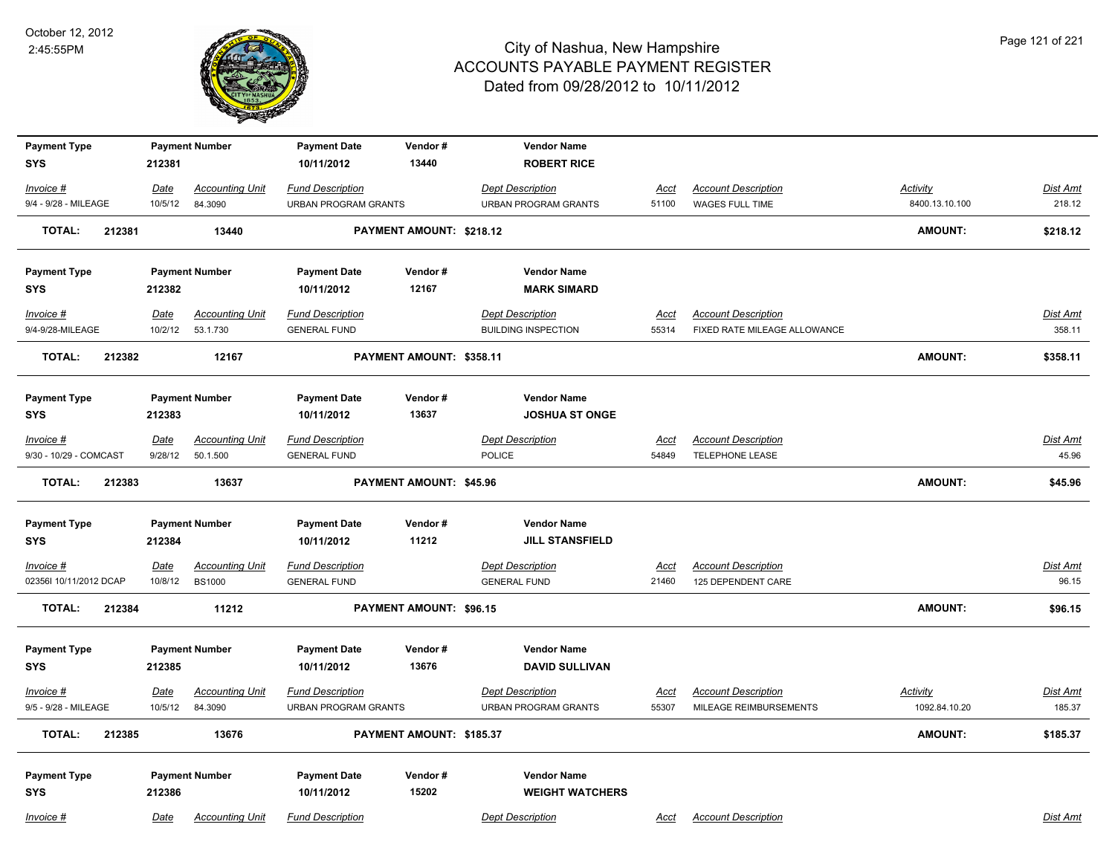

| <b>Payment Type</b><br><b>SYS</b> | 212381          | <b>Payment Number</b>             | <b>Payment Date</b><br>10/11/2012                      | Vendor#<br>13440         | <b>Vendor Name</b><br><b>ROBERT RICE</b>               |                      |                                                      |                                  |                           |
|-----------------------------------|-----------------|-----------------------------------|--------------------------------------------------------|--------------------------|--------------------------------------------------------|----------------------|------------------------------------------------------|----------------------------------|---------------------------|
| Invoice #<br>9/4 - 9/28 - MILEAGE | Date<br>10/5/12 | <b>Accounting Unit</b><br>84.3090 | <b>Fund Description</b><br><b>URBAN PROGRAM GRANTS</b> |                          | <b>Dept Description</b><br><b>URBAN PROGRAM GRANTS</b> | <u>Acct</u><br>51100 | <b>Account Description</b><br>WAGES FULL TIME        | Activity<br>8400.13.10.100       | <b>Dist Amt</b><br>218.12 |
| <b>TOTAL:</b><br>212381           |                 | 13440                             |                                                        | PAYMENT AMOUNT: \$218.12 |                                                        |                      |                                                      | <b>AMOUNT:</b>                   | \$218.12                  |
| <b>Payment Type</b>               |                 | <b>Payment Number</b>             | <b>Payment Date</b>                                    | Vendor#                  | <b>Vendor Name</b>                                     |                      |                                                      |                                  |                           |
| <b>SYS</b>                        | 212382          |                                   | 10/11/2012                                             | 12167                    | <b>MARK SIMARD</b>                                     |                      |                                                      |                                  |                           |
| Invoice #                         | <u>Date</u>     | <b>Accounting Unit</b>            | <b>Fund Description</b>                                |                          | <b>Dept Description</b>                                | Acct                 | <b>Account Description</b>                           |                                  | <b>Dist Amt</b>           |
| 9/4-9/28-MILEAGE                  | 10/2/12         | 53.1.730                          | <b>GENERAL FUND</b>                                    |                          | <b>BUILDING INSPECTION</b>                             | 55314                | FIXED RATE MILEAGE ALLOWANCE                         |                                  | 358.11                    |
| <b>TOTAL:</b><br>212382           |                 | 12167                             |                                                        | PAYMENT AMOUNT: \$358.11 |                                                        |                      |                                                      | <b>AMOUNT:</b>                   | \$358.11                  |
| <b>Payment Type</b>               |                 | <b>Payment Number</b>             | <b>Payment Date</b>                                    | Vendor#                  | <b>Vendor Name</b>                                     |                      |                                                      |                                  |                           |
| <b>SYS</b>                        | 212383          |                                   | 10/11/2012                                             | 13637                    | <b>JOSHUA ST ONGE</b>                                  |                      |                                                      |                                  |                           |
| Invoice #                         | Date            | <b>Accounting Unit</b>            | <b>Fund Description</b>                                |                          | <b>Dept Description</b>                                | Acct                 | <b>Account Description</b>                           |                                  | Dist Amt                  |
| 9/30 - 10/29 - COMCAST            | 9/28/12         | 50.1.500                          | <b>GENERAL FUND</b>                                    |                          | <b>POLICE</b>                                          | 54849                | <b>TELEPHONE LEASE</b>                               |                                  | 45.96                     |
| <b>TOTAL:</b><br>212383           |                 | 13637                             |                                                        | PAYMENT AMOUNT: \$45.96  |                                                        |                      |                                                      | <b>AMOUNT:</b>                   | \$45.96                   |
| <b>Payment Type</b>               |                 | <b>Payment Number</b>             | <b>Payment Date</b>                                    | Vendor#                  | <b>Vendor Name</b>                                     |                      |                                                      |                                  |                           |
| <b>SYS</b>                        | 212384          |                                   | 10/11/2012                                             | 11212                    | <b>JILL STANSFIELD</b>                                 |                      |                                                      |                                  |                           |
| $Invoice$ #                       | <u>Date</u>     | <b>Accounting Unit</b>            | <b>Fund Description</b>                                |                          | <b>Dept Description</b>                                | <u>Acct</u>          | <b>Account Description</b>                           |                                  | <b>Dist Amt</b>           |
| 02356I 10/11/2012 DCAP            | 10/8/12         | <b>BS1000</b>                     | <b>GENERAL FUND</b>                                    |                          | <b>GENERAL FUND</b>                                    | 21460                | 125 DEPENDENT CARE                                   |                                  | 96.15                     |
| <b>TOTAL:</b><br>212384           |                 | 11212                             |                                                        | PAYMENT AMOUNT: \$96.15  |                                                        |                      |                                                      | <b>AMOUNT:</b>                   | \$96.15                   |
| <b>Payment Type</b>               |                 | <b>Payment Number</b>             | <b>Payment Date</b>                                    | Vendor#                  | <b>Vendor Name</b>                                     |                      |                                                      |                                  |                           |
| <b>SYS</b>                        | 212385          |                                   | 10/11/2012                                             | 13676                    | <b>DAVID SULLIVAN</b>                                  |                      |                                                      |                                  |                           |
| Invoice #<br>9/5 - 9/28 - MILEAGE | Date<br>10/5/12 | <b>Accounting Unit</b><br>84.3090 | <b>Fund Description</b><br><b>URBAN PROGRAM GRANTS</b> |                          | <b>Dept Description</b><br><b>URBAN PROGRAM GRANTS</b> | <u>Acct</u><br>55307 | <b>Account Description</b><br>MILEAGE REIMBURSEMENTS | <b>Activity</b><br>1092.84.10.20 | Dist Amt<br>185.37        |
| <b>TOTAL:</b><br>212385           |                 | 13676                             |                                                        | PAYMENT AMOUNT: \$185.37 |                                                        |                      |                                                      | <b>AMOUNT:</b>                   | \$185.37                  |
| <b>Payment Type</b>               |                 | <b>Payment Number</b>             | <b>Payment Date</b>                                    | Vendor#                  | <b>Vendor Name</b>                                     |                      |                                                      |                                  |                           |
| <b>SYS</b>                        | 212386          |                                   | 10/11/2012                                             | 15202                    | <b>WEIGHT WATCHERS</b>                                 |                      |                                                      |                                  |                           |
| Invoice #                         | Date            | <b>Accounting Unit</b>            | <b>Fund Description</b>                                |                          | <b>Dept Description</b>                                | Acct                 | <b>Account Description</b>                           |                                  | Dist Amt                  |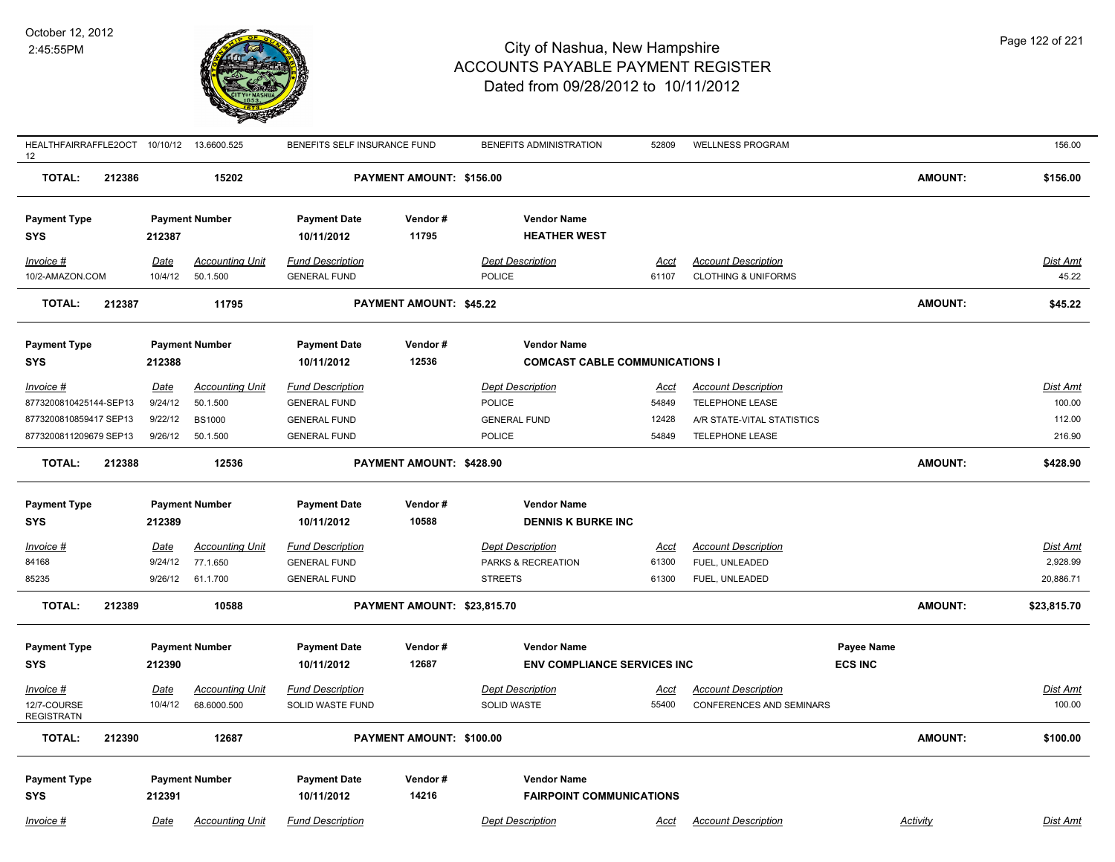

| HEALTHFAIRRAFFLE2OCT 10/10/12 13.6600.525<br>12 |        |             |                        | BENEFITS SELF INSURANCE FUND |                             | BENEFITS ADMINISTRATION               | 52809       | <b>WELLNESS PROGRAM</b>        |                   |                | 156.00          |
|-------------------------------------------------|--------|-------------|------------------------|------------------------------|-----------------------------|---------------------------------------|-------------|--------------------------------|-------------------|----------------|-----------------|
| <b>TOTAL:</b>                                   | 212386 |             | 15202                  |                              | PAYMENT AMOUNT: \$156.00    |                                       |             |                                |                   | <b>AMOUNT:</b> | \$156.00        |
| <b>Payment Type</b>                             |        |             | <b>Payment Number</b>  | <b>Payment Date</b>          | Vendor#                     | <b>Vendor Name</b>                    |             |                                |                   |                |                 |
| <b>SYS</b>                                      |        | 212387      |                        | 10/11/2012                   | 11795                       | <b>HEATHER WEST</b>                   |             |                                |                   |                |                 |
| Invoice #                                       |        | Date        | <b>Accounting Unit</b> | <b>Fund Description</b>      |                             | <b>Dept Description</b>               | Acct        | <b>Account Description</b>     |                   |                | Dist Amt        |
| 10/2-AMAZON.COM                                 |        | 10/4/12     | 50.1.500               | <b>GENERAL FUND</b>          |                             | POLICE                                | 61107       | <b>CLOTHING &amp; UNIFORMS</b> |                   |                | 45.22           |
| <b>TOTAL:</b>                                   | 212387 |             | 11795                  |                              | PAYMENT AMOUNT: \$45.22     |                                       |             |                                |                   | <b>AMOUNT:</b> | \$45.22         |
| <b>Payment Type</b>                             |        |             | <b>Payment Number</b>  | <b>Payment Date</b>          | Vendor#                     | <b>Vendor Name</b>                    |             |                                |                   |                |                 |
| <b>SYS</b>                                      |        | 212388      |                        | 10/11/2012                   | 12536                       | <b>COMCAST CABLE COMMUNICATIONS I</b> |             |                                |                   |                |                 |
| Invoice #                                       |        | <u>Date</u> | <b>Accounting Unit</b> | <b>Fund Description</b>      |                             | <b>Dept Description</b>               | <u>Acct</u> | <b>Account Description</b>     |                   |                | Dist Amt        |
| 8773200810425144-SEP13                          |        | 9/24/12     | 50.1.500               | <b>GENERAL FUND</b>          |                             | <b>POLICE</b>                         | 54849       | TELEPHONE LEASE                |                   |                | 100.00          |
| 8773200810859417 SEP13                          |        | 9/22/12     | <b>BS1000</b>          | <b>GENERAL FUND</b>          |                             | <b>GENERAL FUND</b>                   | 12428       | A/R STATE-VITAL STATISTICS     |                   |                | 112.00          |
| 8773200811209679 SEP13                          |        | 9/26/12     | 50.1.500               | <b>GENERAL FUND</b>          |                             | <b>POLICE</b>                         | 54849       | <b>TELEPHONE LEASE</b>         |                   |                | 216.90          |
| <b>TOTAL:</b>                                   | 212388 |             | 12536                  |                              | PAYMENT AMOUNT: \$428.90    |                                       |             |                                |                   | <b>AMOUNT:</b> | \$428.90        |
| <b>Payment Type</b>                             |        |             | <b>Payment Number</b>  | <b>Payment Date</b>          | Vendor#                     | <b>Vendor Name</b>                    |             |                                |                   |                |                 |
| <b>SYS</b>                                      |        | 212389      |                        | 10/11/2012                   | 10588                       | <b>DENNIS K BURKE INC</b>             |             |                                |                   |                |                 |
| Invoice #                                       |        | Date        | <b>Accounting Unit</b> | <b>Fund Description</b>      |                             | <b>Dept Description</b>               | Acct        | <b>Account Description</b>     |                   |                | <u>Dist Amt</u> |
| 84168                                           |        | 9/24/12     | 77.1.650               | <b>GENERAL FUND</b>          |                             | PARKS & RECREATION                    | 61300       | FUEL, UNLEADED                 |                   |                | 2,928.99        |
| 85235                                           |        | 9/26/12     | 61.1.700               | <b>GENERAL FUND</b>          |                             | <b>STREETS</b>                        | 61300       | FUEL, UNLEADED                 |                   |                | 20,886.71       |
| <b>TOTAL:</b>                                   | 212389 |             | 10588                  |                              | PAYMENT AMOUNT: \$23,815.70 |                                       |             |                                |                   | AMOUNT:        | \$23,815.70     |
| <b>Payment Type</b>                             |        |             | <b>Payment Number</b>  | <b>Payment Date</b>          | Vendor#                     | <b>Vendor Name</b>                    |             |                                | <b>Payee Name</b> |                |                 |
| <b>SYS</b>                                      |        | 212390      |                        | 10/11/2012                   | 12687                       | <b>ENV COMPLIANCE SERVICES INC</b>    |             |                                | <b>ECS INC</b>    |                |                 |
| Invoice #                                       |        | <u>Date</u> | <b>Accounting Unit</b> | <b>Fund Description</b>      |                             | <b>Dept Description</b>               | <u>Acct</u> | <b>Account Description</b>     |                   |                | <u>Dist Amt</u> |
| 12/7-COURSE<br><b>REGISTRATN</b>                |        | 10/4/12     | 68.6000.500            | SOLID WASTE FUND             |                             | SOLID WASTE                           | 55400       | CONFERENCES AND SEMINARS       |                   |                | 100.00          |
| <b>TOTAL:</b>                                   | 212390 |             | 12687                  |                              | PAYMENT AMOUNT: \$100.00    |                                       |             |                                |                   | <b>AMOUNT:</b> | \$100.00        |
| <b>Payment Type</b>                             |        |             | <b>Payment Number</b>  | <b>Payment Date</b>          | Vendor#                     | <b>Vendor Name</b>                    |             |                                |                   |                |                 |
| <b>SYS</b>                                      |        | 212391      |                        | 10/11/2012                   | 14216                       | <b>FAIRPOINT COMMUNICATIONS</b>       |             |                                |                   |                |                 |
| Invoice #                                       |        | Date        | <b>Accounting Unit</b> | <b>Fund Description</b>      |                             | <b>Dept Description</b>               | Acct        | <b>Account Description</b>     |                   | Activity       | Dist Amt        |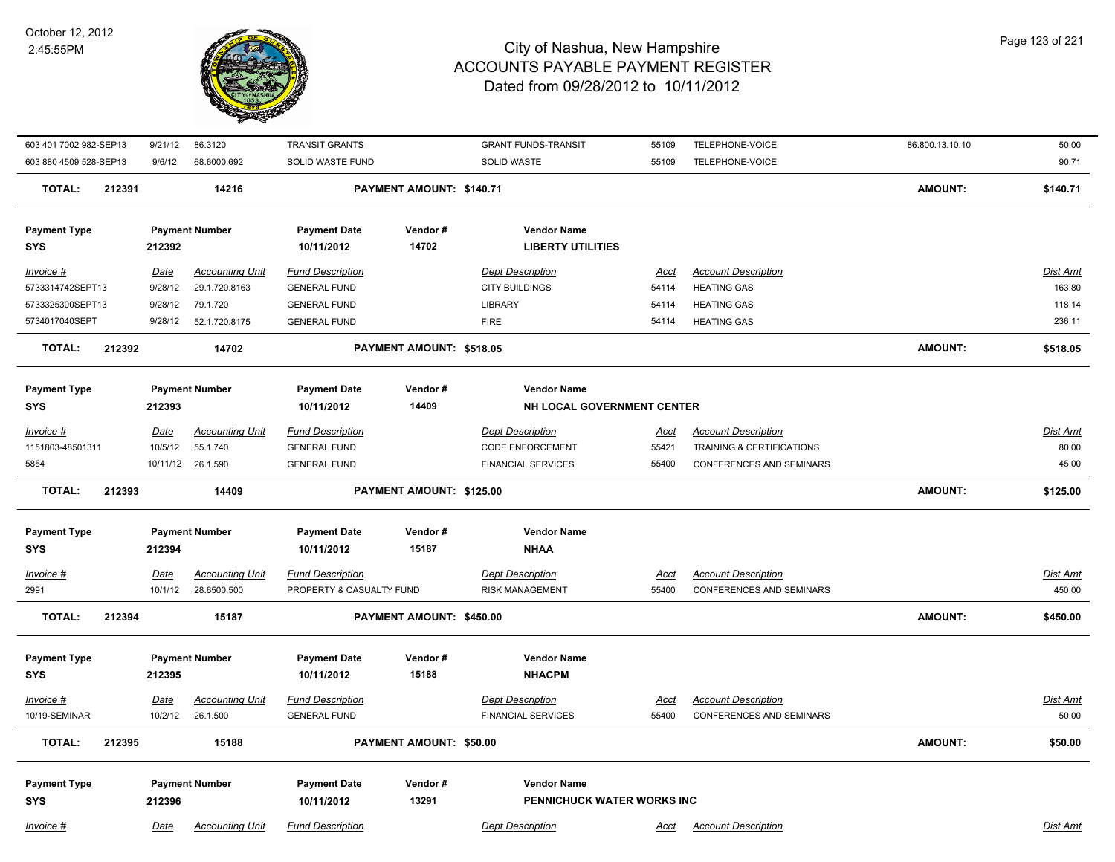

| 603 401 7002 982-SEP13            | 9/21/12                | 86.3120                               | <b>TRANSIT GRANTS</b>                               |                          | <b>GRANT FUNDS-TRANSIT</b>                         | 55109                | TELEPHONE-VOICE                                               | 86.800.13.10.10 | 50.00                     |
|-----------------------------------|------------------------|---------------------------------------|-----------------------------------------------------|--------------------------|----------------------------------------------------|----------------------|---------------------------------------------------------------|-----------------|---------------------------|
| 603 880 4509 528-SEP13            | 9/6/12                 | 68.6000.692                           | SOLID WASTE FUND                                    |                          | <b>SOLID WASTE</b>                                 | 55109                | TELEPHONE-VOICE                                               |                 | 90.71                     |
| <b>TOTAL:</b>                     | 212391                 | 14216                                 |                                                     | PAYMENT AMOUNT: \$140.71 |                                                    |                      |                                                               | <b>AMOUNT:</b>  | \$140.71                  |
| <b>Payment Type</b><br><b>SYS</b> | 212392                 | <b>Payment Number</b>                 | <b>Payment Date</b><br>10/11/2012                   | Vendor#<br>14702         | <b>Vendor Name</b><br><b>LIBERTY UTILITIES</b>     |                      |                                                               |                 |                           |
| Invoice #                         | <u>Date</u>            | <b>Accounting Unit</b>                | <b>Fund Description</b>                             |                          | <b>Dept Description</b>                            | Acct                 | <b>Account Description</b>                                    |                 | Dist Amt                  |
| 5733314742SEPT13                  | 9/28/12                | 29.1.720.8163                         | <b>GENERAL FUND</b>                                 |                          | <b>CITY BUILDINGS</b>                              | 54114                | <b>HEATING GAS</b>                                            |                 | 163.80                    |
| 5733325300SEPT13                  | 9/28/12                | 79.1.720                              | <b>GENERAL FUND</b>                                 |                          | <b>LIBRARY</b>                                     | 54114                | <b>HEATING GAS</b>                                            |                 | 118.14                    |
| 5734017040SEPT                    | 9/28/12                | 52.1.720.8175                         | <b>GENERAL FUND</b>                                 |                          | <b>FIRE</b>                                        | 54114                | <b>HEATING GAS</b>                                            |                 | 236.11                    |
| <b>TOTAL:</b>                     | 212392                 | 14702                                 |                                                     | PAYMENT AMOUNT: \$518.05 |                                                    |                      |                                                               | <b>AMOUNT:</b>  | \$518.05                  |
| <b>Payment Type</b>               |                        | <b>Payment Number</b>                 | <b>Payment Date</b>                                 | Vendor#                  | <b>Vendor Name</b>                                 |                      |                                                               |                 |                           |
| <b>SYS</b>                        | 212393                 |                                       | 10/11/2012                                          | 14409                    | NH LOCAL GOVERNMENT CENTER                         |                      |                                                               |                 |                           |
| Invoice #<br>1151803-48501311     | <b>Date</b><br>10/5/12 | <b>Accounting Unit</b>                | <b>Fund Description</b><br><b>GENERAL FUND</b>      |                          | <b>Dept Description</b><br><b>CODE ENFORCEMENT</b> | <u>Acct</u><br>55421 | <b>Account Description</b>                                    |                 | Dist Amt<br>80.00         |
| 5854                              | 10/11/12               | 55.1.740<br>26.1.590                  | <b>GENERAL FUND</b>                                 |                          | <b>FINANCIAL SERVICES</b>                          | 55400                | TRAINING & CERTIFICATIONS<br><b>CONFERENCES AND SEMINARS</b>  |                 | 45.00                     |
|                                   |                        |                                       |                                                     |                          |                                                    |                      |                                                               |                 |                           |
| <b>TOTAL:</b>                     | 212393                 | 14409                                 |                                                     | PAYMENT AMOUNT: \$125.00 |                                                    |                      |                                                               | <b>AMOUNT:</b>  | \$125.00                  |
| <b>Payment Type</b>               |                        | <b>Payment Number</b>                 | <b>Payment Date</b>                                 | Vendor#                  | <b>Vendor Name</b>                                 |                      |                                                               |                 |                           |
| <b>SYS</b>                        | 212394                 |                                       | 10/11/2012                                          | 15187                    | <b>NHAA</b>                                        |                      |                                                               |                 |                           |
|                                   |                        |                                       |                                                     |                          |                                                    |                      |                                                               |                 |                           |
| Invoice #<br>2991                 | <u>Date</u><br>10/1/12 | <b>Accounting Unit</b><br>28.6500.500 | <b>Fund Description</b><br>PROPERTY & CASUALTY FUND |                          | <b>Dept Description</b><br><b>RISK MANAGEMENT</b>  | <u>Acct</u><br>55400 | <b>Account Description</b><br><b>CONFERENCES AND SEMINARS</b> |                 | <u>Dist Amt</u><br>450.00 |
|                                   |                        |                                       |                                                     |                          |                                                    |                      |                                                               |                 |                           |
| <b>TOTAL:</b>                     | 212394                 | 15187                                 |                                                     | PAYMENT AMOUNT: \$450.00 |                                                    |                      |                                                               | <b>AMOUNT:</b>  | \$450.00                  |
| <b>Payment Type</b>               |                        | <b>Payment Number</b>                 | <b>Payment Date</b>                                 | Vendor#                  | <b>Vendor Name</b>                                 |                      |                                                               |                 |                           |
| <b>SYS</b>                        | 212395                 |                                       | 10/11/2012                                          | 15188                    | <b>NHACPM</b>                                      |                      |                                                               |                 |                           |
| Invoice #                         | <b>Date</b>            | <b>Accounting Unit</b>                | <b>Fund Description</b>                             |                          | <b>Dept Description</b>                            | Acct                 | <b>Account Description</b>                                    |                 | Dist Amt                  |
| 10/19-SEMINAR                     | 10/2/12                | 26.1.500                              | <b>GENERAL FUND</b>                                 |                          | <b>FINANCIAL SERVICES</b>                          | 55400                | <b>CONFERENCES AND SEMINARS</b>                               |                 | 50.00                     |
| <b>TOTAL:</b>                     | 212395                 | 15188                                 |                                                     | PAYMENT AMOUNT: \$50.00  |                                                    |                      |                                                               | <b>AMOUNT:</b>  | \$50.00                   |
|                                   |                        |                                       |                                                     |                          |                                                    |                      |                                                               |                 |                           |
| <b>Payment Type</b>               |                        | <b>Payment Number</b>                 | <b>Payment Date</b>                                 | Vendor#                  | <b>Vendor Name</b>                                 |                      |                                                               |                 |                           |
| <b>SYS</b>                        | 212396                 |                                       | 10/11/2012                                          | 13291                    | PENNICHUCK WATER WORKS INC                         |                      |                                                               |                 |                           |
| Invoice #                         | Date                   | <b>Accounting Unit</b>                | <b>Fund Description</b>                             |                          | <b>Dept Description</b>                            | Acct                 | <b>Account Description</b>                                    |                 | Dist Amt                  |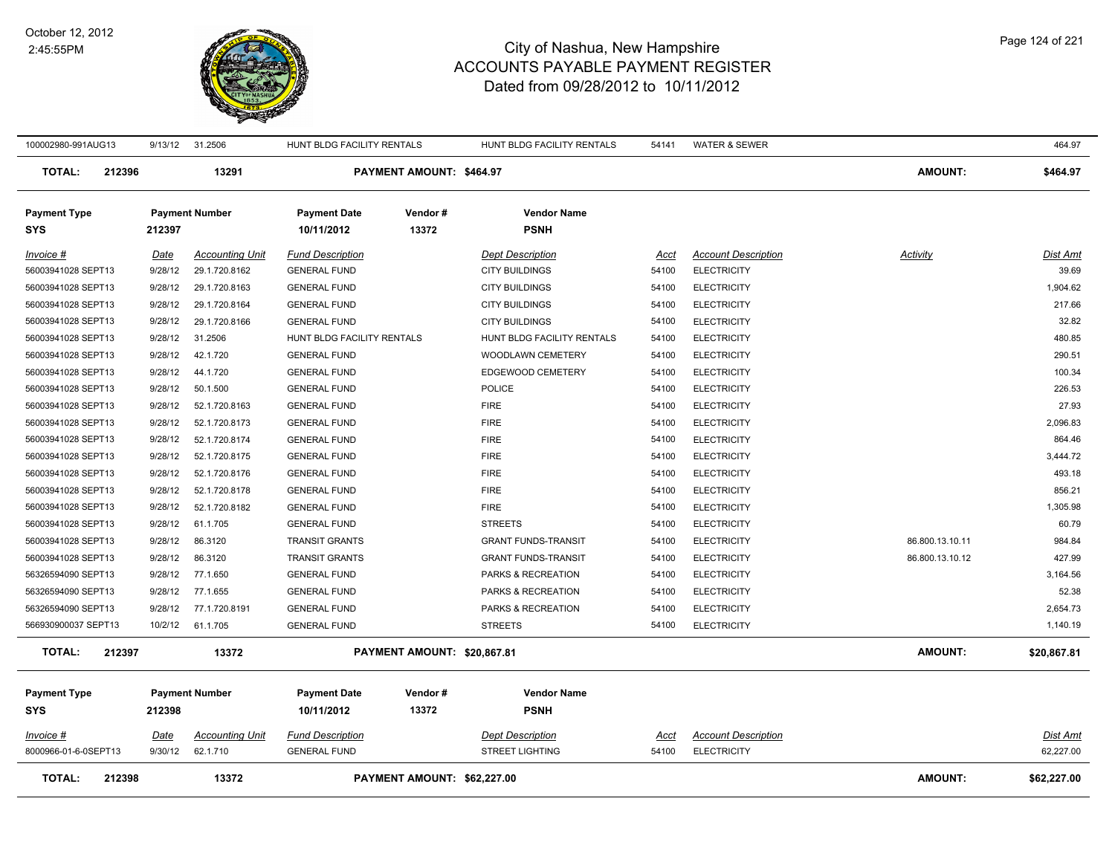

| 100002980-991AUG13                | 9/13/12     | 31.2506                | HUNT BLDG FACILITY RENTALS        |                             | HUNT BLDG FACILITY RENTALS        | 54141       | <b>WATER &amp; SEWER</b>   |                 | 464.97          |
|-----------------------------------|-------------|------------------------|-----------------------------------|-----------------------------|-----------------------------------|-------------|----------------------------|-----------------|-----------------|
| <b>TOTAL:</b><br>212396           |             | 13291                  |                                   | PAYMENT AMOUNT: \$464.97    |                                   |             |                            | <b>AMOUNT:</b>  | \$464.97        |
| <b>Payment Type</b><br><b>SYS</b> | 212397      | <b>Payment Number</b>  | <b>Payment Date</b><br>10/11/2012 | Vendor#<br>13372            | <b>Vendor Name</b><br><b>PSNH</b> |             |                            |                 |                 |
| Invoice #                         | Date        | <b>Accounting Unit</b> | <b>Fund Description</b>           |                             | <b>Dept Description</b>           | Acct        | <b>Account Description</b> | Activity        | Dist Amt        |
| 56003941028 SEPT13                | 9/28/12     | 29.1.720.8162          | <b>GENERAL FUND</b>               |                             | <b>CITY BUILDINGS</b>             | 54100       | <b>ELECTRICITY</b>         |                 | 39.69           |
| 56003941028 SEPT13                | 9/28/12     | 29.1.720.8163          | <b>GENERAL FUND</b>               |                             | <b>CITY BUILDINGS</b>             | 54100       | <b>ELECTRICITY</b>         |                 | 1,904.62        |
| 56003941028 SEPT13                | 9/28/12     | 29.1.720.8164          | <b>GENERAL FUND</b>               |                             | <b>CITY BUILDINGS</b>             | 54100       | <b>ELECTRICITY</b>         |                 | 217.66          |
| 56003941028 SEPT13                | 9/28/12     | 29.1.720.8166          | <b>GENERAL FUND</b>               |                             | <b>CITY BUILDINGS</b>             | 54100       | <b>ELECTRICITY</b>         |                 | 32.82           |
| 56003941028 SEPT13                | 9/28/12     | 31.2506                | HUNT BLDG FACILITY RENTALS        |                             | HUNT BLDG FACILITY RENTALS        | 54100       | <b>ELECTRICITY</b>         |                 | 480.85          |
| 56003941028 SEPT13                | 9/28/12     | 42.1.720               | <b>GENERAL FUND</b>               |                             | WOODLAWN CEMETERY                 | 54100       | <b>ELECTRICITY</b>         |                 | 290.51          |
| 56003941028 SEPT13                | 9/28/12     | 44.1.720               | <b>GENERAL FUND</b>               |                             | EDGEWOOD CEMETERY                 | 54100       | <b>ELECTRICITY</b>         |                 | 100.34          |
| 56003941028 SEPT13                | 9/28/12     | 50.1.500               | <b>GENERAL FUND</b>               |                             | POLICE                            | 54100       | <b>ELECTRICITY</b>         |                 | 226.53          |
| 56003941028 SEPT13                | 9/28/12     | 52.1.720.8163          | <b>GENERAL FUND</b>               |                             | <b>FIRE</b>                       | 54100       | <b>ELECTRICITY</b>         |                 | 27.93           |
| 56003941028 SEPT13                | 9/28/12     | 52.1.720.8173          | <b>GENERAL FUND</b>               |                             | <b>FIRE</b>                       | 54100       | <b>ELECTRICITY</b>         |                 | 2,096.83        |
| 56003941028 SEPT13                | 9/28/12     | 52.1.720.8174          | <b>GENERAL FUND</b>               |                             | <b>FIRE</b>                       | 54100       | <b>ELECTRICITY</b>         |                 | 864.46          |
| 56003941028 SEPT13                | 9/28/12     | 52.1.720.8175          | <b>GENERAL FUND</b>               |                             | <b>FIRE</b>                       | 54100       | <b>ELECTRICITY</b>         |                 | 3,444.72        |
| 56003941028 SEPT13                | 9/28/12     | 52.1.720.8176          | <b>GENERAL FUND</b>               |                             | <b>FIRE</b>                       | 54100       | <b>ELECTRICITY</b>         |                 | 493.18          |
| 56003941028 SEPT13                | 9/28/12     | 52.1.720.8178          | <b>GENERAL FUND</b>               |                             | <b>FIRE</b>                       | 54100       | <b>ELECTRICITY</b>         |                 | 856.21          |
| 56003941028 SEPT13                | 9/28/12     | 52.1.720.8182          | <b>GENERAL FUND</b>               |                             | <b>FIRE</b>                       | 54100       | <b>ELECTRICITY</b>         |                 | 1,305.98        |
| 56003941028 SEPT13                | 9/28/12     | 61.1.705               | <b>GENERAL FUND</b>               |                             | <b>STREETS</b>                    | 54100       | <b>ELECTRICITY</b>         |                 | 60.79           |
| 56003941028 SEPT13                | 9/28/12     | 86.3120                | <b>TRANSIT GRANTS</b>             |                             | <b>GRANT FUNDS-TRANSIT</b>        | 54100       | <b>ELECTRICITY</b>         | 86.800.13.10.11 | 984.84          |
| 56003941028 SEPT13                | 9/28/12     | 86.3120                | <b>TRANSIT GRANTS</b>             |                             | <b>GRANT FUNDS-TRANSIT</b>        | 54100       | <b>ELECTRICITY</b>         | 86.800.13.10.12 | 427.99          |
| 56326594090 SEPT13                | 9/28/12     | 77.1.650               | <b>GENERAL FUND</b>               |                             | PARKS & RECREATION                | 54100       | <b>ELECTRICITY</b>         |                 | 3,164.56        |
| 56326594090 SEPT13                | 9/28/12     | 77.1.655               | <b>GENERAL FUND</b>               |                             | PARKS & RECREATION                | 54100       | <b>ELECTRICITY</b>         |                 | 52.38           |
| 56326594090 SEPT13                | 9/28/12     | 77.1.720.8191          | <b>GENERAL FUND</b>               |                             | PARKS & RECREATION                | 54100       | <b>ELECTRICITY</b>         |                 | 2,654.73        |
| 566930900037 SEPT13               | 10/2/12     | 61.1.705               | <b>GENERAL FUND</b>               |                             | <b>STREETS</b>                    | 54100       | <b>ELECTRICITY</b>         |                 | 1,140.19        |
| <b>TOTAL:</b><br>212397           |             | 13372                  |                                   | PAYMENT AMOUNT: \$20,867.81 |                                   |             |                            | <b>AMOUNT:</b>  | \$20,867.81     |
| <b>Payment Type</b>               |             | <b>Payment Number</b>  | <b>Payment Date</b>               | Vendor#                     | <b>Vendor Name</b>                |             |                            |                 |                 |
| SYS                               | 212398      |                        | 10/11/2012                        | 13372                       | <b>PSNH</b>                       |             |                            |                 |                 |
| Invoice #                         | <u>Date</u> | <b>Accounting Unit</b> | <b>Fund Description</b>           |                             | <b>Dept Description</b>           | <u>Acct</u> | <b>Account Description</b> |                 | <u>Dist Amt</u> |
| 8000966-01-6-0SEPT13              | 9/30/12     | 62.1.710               | <b>GENERAL FUND</b>               |                             | <b>STREET LIGHTING</b>            | 54100       | <b>ELECTRICITY</b>         |                 | 62,227.00       |
| 212398<br><b>TOTAL:</b>           |             | 13372                  |                                   | PAYMENT AMOUNT: \$62,227.00 |                                   |             |                            | <b>AMOUNT:</b>  | \$62,227.00     |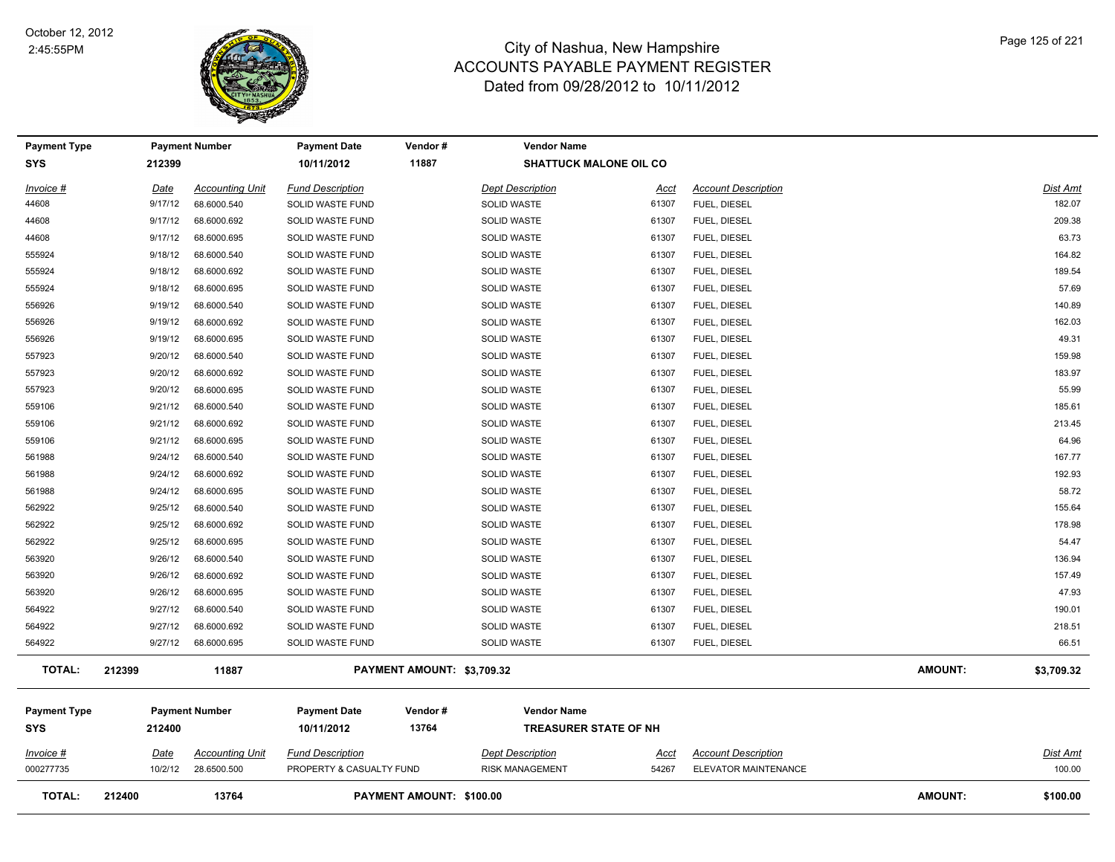

| <b>Payment Type</b>               |         | <b>Payment Number</b>  | <b>Payment Date</b>               | Vendor#                    | <b>Vendor Name</b>                                 |                               |                            |                |                 |
|-----------------------------------|---------|------------------------|-----------------------------------|----------------------------|----------------------------------------------------|-------------------------------|----------------------------|----------------|-----------------|
| <b>SYS</b>                        | 212399  |                        | 10/11/2012                        | 11887                      |                                                    | <b>SHATTUCK MALONE OIL CO</b> |                            |                |                 |
| Invoice #                         | Date    | <b>Accounting Unit</b> | <b>Fund Description</b>           |                            | <b>Dept Description</b>                            | Acct                          | <b>Account Description</b> |                | <b>Dist Amt</b> |
| 44608                             | 9/17/12 | 68.6000.540            | SOLID WASTE FUND                  |                            | <b>SOLID WASTE</b>                                 | 61307                         | FUEL, DIESEL               |                | 182.07          |
| 44608                             | 9/17/12 | 68.6000.692            | SOLID WASTE FUND                  |                            | SOLID WASTE                                        | 61307                         | FUEL, DIESEL               |                | 209.38          |
| 44608                             | 9/17/12 | 68.6000.695            | SOLID WASTE FUND                  |                            | <b>SOLID WASTE</b>                                 | 61307                         | FUEL, DIESEL               |                | 63.73           |
| 555924                            | 9/18/12 | 68.6000.540            | SOLID WASTE FUND                  |                            | SOLID WASTE                                        | 61307                         | FUEL, DIESEL               |                | 164.82          |
| 555924                            | 9/18/12 | 68.6000.692            | SOLID WASTE FUND                  |                            | SOLID WASTE                                        | 61307                         | FUEL, DIESEL               |                | 189.54          |
| 555924                            | 9/18/12 | 68.6000.695            | SOLID WASTE FUND                  |                            | SOLID WASTE                                        | 61307                         | FUEL, DIESEL               |                | 57.69           |
| 556926                            | 9/19/12 | 68.6000.540            | SOLID WASTE FUND                  |                            | <b>SOLID WASTE</b>                                 | 61307                         | FUEL, DIESEL               |                | 140.89          |
| 556926                            | 9/19/12 | 68.6000.692            | SOLID WASTE FUND                  |                            | <b>SOLID WASTE</b>                                 | 61307                         | FUEL, DIESEL               |                | 162.03          |
| 556926                            | 9/19/12 | 68.6000.695            | SOLID WASTE FUND                  |                            | <b>SOLID WASTE</b>                                 | 61307                         | FUEL, DIESEL               |                | 49.31           |
| 557923                            | 9/20/12 | 68.6000.540            | SOLID WASTE FUND                  |                            | <b>SOLID WASTE</b>                                 | 61307                         | FUEL, DIESEL               |                | 159.98          |
| 557923                            | 9/20/12 | 68.6000.692            | SOLID WASTE FUND                  |                            | <b>SOLID WASTE</b>                                 | 61307                         | FUEL, DIESEL               |                | 183.97          |
| 557923                            | 9/20/12 | 68.6000.695            | SOLID WASTE FUND                  |                            | SOLID WASTE                                        | 61307                         | FUEL, DIESEL               |                | 55.99           |
| 559106                            | 9/21/12 | 68.6000.540            | SOLID WASTE FUND                  |                            | SOLID WASTE                                        | 61307                         | FUEL, DIESEL               |                | 185.61          |
| 559106                            | 9/21/12 | 68.6000.692            | SOLID WASTE FUND                  |                            | SOLID WASTE                                        | 61307                         | FUEL, DIESEL               |                | 213.45          |
| 559106                            | 9/21/12 | 68.6000.695            | SOLID WASTE FUND                  |                            | <b>SOLID WASTE</b>                                 | 61307                         | FUEL, DIESEL               |                | 64.96           |
| 561988                            | 9/24/12 | 68.6000.540            | SOLID WASTE FUND                  |                            | SOLID WASTE                                        | 61307                         | FUEL, DIESEL               |                | 167.77          |
| 561988                            | 9/24/12 | 68.6000.692            | SOLID WASTE FUND                  |                            | <b>SOLID WASTE</b>                                 | 61307                         | FUEL, DIESEL               |                | 192.93          |
| 561988                            | 9/24/12 | 68.6000.695            | SOLID WASTE FUND                  |                            | SOLID WASTE                                        | 61307                         | FUEL, DIESEL               |                | 58.72           |
| 562922                            | 9/25/12 | 68.6000.540            | SOLID WASTE FUND                  |                            | <b>SOLID WASTE</b>                                 | 61307                         | FUEL, DIESEL               |                | 155.64          |
| 562922                            | 9/25/12 | 68.6000.692            | <b>SOLID WASTE FUND</b>           |                            | <b>SOLID WASTE</b>                                 | 61307                         | FUEL, DIESEL               |                | 178.98          |
| 562922                            | 9/25/12 | 68.6000.695            | SOLID WASTE FUND                  |                            | SOLID WASTE                                        | 61307                         | FUEL, DIESEL               |                | 54.47           |
| 563920                            | 9/26/12 | 68.6000.540            | <b>SOLID WASTE FUND</b>           |                            | <b>SOLID WASTE</b>                                 | 61307                         | FUEL, DIESEL               |                | 136.94          |
| 563920                            | 9/26/12 | 68.6000.692            | SOLID WASTE FUND                  |                            | SOLID WASTE                                        | 61307                         | FUEL, DIESEL               |                | 157.49          |
| 563920                            | 9/26/12 | 68.6000.695            | SOLID WASTE FUND                  |                            | <b>SOLID WASTE</b>                                 | 61307                         | FUEL, DIESEL               |                | 47.93           |
| 564922                            | 9/27/12 | 68.6000.540            | SOLID WASTE FUND                  |                            | <b>SOLID WASTE</b>                                 | 61307                         | FUEL, DIESEL               |                | 190.01          |
| 564922                            | 9/27/12 | 68.6000.692            | SOLID WASTE FUND                  |                            | <b>SOLID WASTE</b>                                 | 61307                         | FUEL, DIESEL               |                | 218.51          |
| 564922                            | 9/27/12 | 68.6000.695            | SOLID WASTE FUND                  |                            | <b>SOLID WASTE</b>                                 | 61307                         | FUEL, DIESEL               |                | 66.51           |
| <b>TOTAL:</b>                     | 212399  | 11887                  |                                   | PAYMENT AMOUNT: \$3,709.32 |                                                    |                               |                            | <b>AMOUNT:</b> | \$3,709.32      |
| <b>Payment Type</b><br><b>SYS</b> | 212400  | <b>Payment Number</b>  | <b>Payment Date</b><br>10/11/2012 | Vendor#<br>13764           | <b>Vendor Name</b><br><b>TREASURER STATE OF NH</b> |                               |                            |                |                 |
| Invoice #                         | Date    | <b>Accounting Unit</b> | <b>Fund Description</b>           |                            | <b>Dept Description</b>                            | <u>Acct</u>                   | <b>Account Description</b> |                | Dist Amt        |
| 000277735                         | 10/2/12 | 28.6500.500            | PROPERTY & CASUALTY FUND          |                            | <b>RISK MANAGEMENT</b>                             | 54267                         | ELEVATOR MAINTENANCE       |                | 100.00          |
| <b>TOTAL:</b>                     | 212400  | 13764                  |                                   | PAYMENT AMOUNT: \$100.00   |                                                    |                               |                            | <b>AMOUNT:</b> | \$100.00        |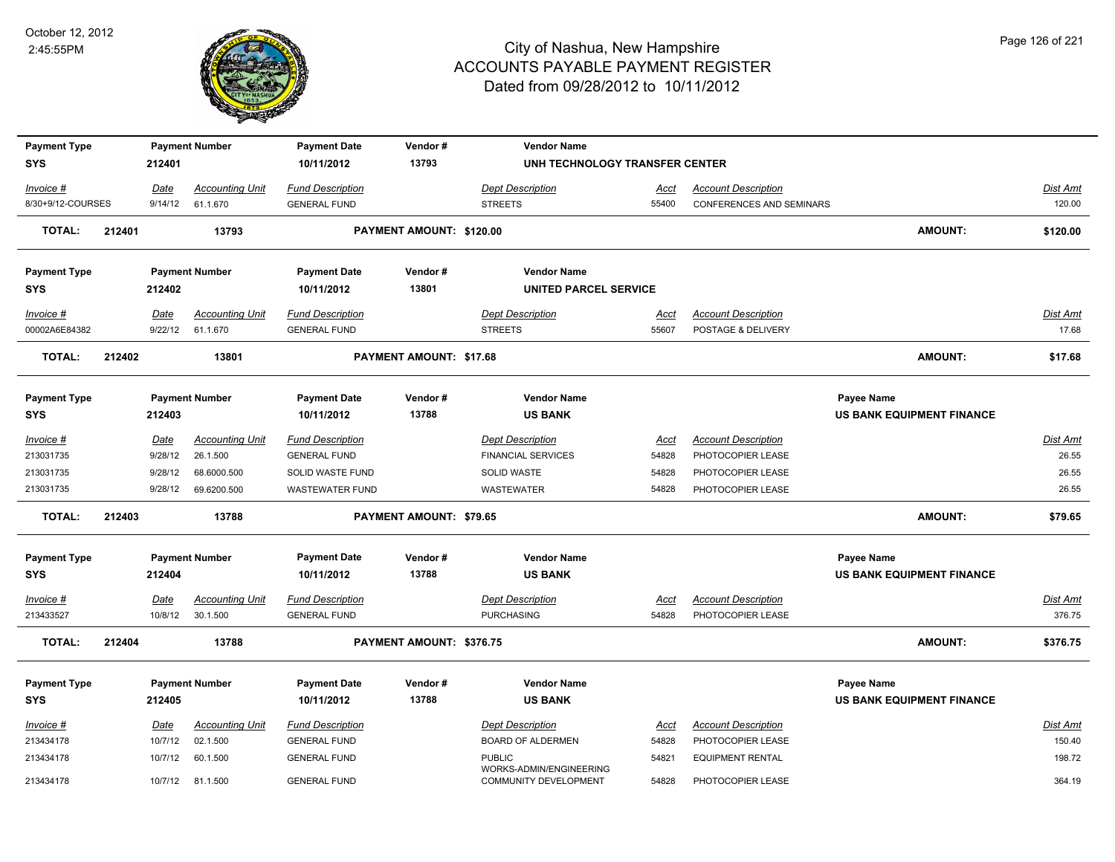

| <b>Payment Type</b><br><b>SYS</b> |        | 212401  | <b>Payment Number</b>  | <b>Payment Date</b><br>10/11/2012 | Vendor#<br>13793         | <b>Vendor Name</b><br>UNH TECHNOLOGY TRANSFER CENTER |             |                                 |                                  |                 |
|-----------------------------------|--------|---------|------------------------|-----------------------------------|--------------------------|------------------------------------------------------|-------------|---------------------------------|----------------------------------|-----------------|
|                                   |        |         |                        |                                   |                          |                                                      |             |                                 |                                  |                 |
| Invoice #                         |        | Date    | <b>Accounting Unit</b> | <b>Fund Description</b>           |                          | <b>Dept Description</b>                              | <u>Acct</u> | <b>Account Description</b>      |                                  | Dist Amt        |
| 8/30+9/12-COURSES                 |        | 9/14/12 | 61.1.670               | <b>GENERAL FUND</b>               |                          | <b>STREETS</b>                                       | 55400       | <b>CONFERENCES AND SEMINARS</b> |                                  | 120.00          |
| <b>TOTAL:</b>                     | 212401 |         | 13793                  |                                   | PAYMENT AMOUNT: \$120.00 |                                                      |             |                                 | <b>AMOUNT:</b>                   | \$120.00        |
| <b>Payment Type</b>               |        |         | <b>Payment Number</b>  | <b>Payment Date</b>               | Vendor#                  | <b>Vendor Name</b>                                   |             |                                 |                                  |                 |
| <b>SYS</b>                        |        | 212402  |                        | 10/11/2012                        | 13801                    | UNITED PARCEL SERVICE                                |             |                                 |                                  |                 |
| <b>Invoice #</b>                  |        | Date    | <b>Accounting Unit</b> | <b>Fund Description</b>           |                          | <b>Dept Description</b>                              | Acct        | <b>Account Description</b>      |                                  | <b>Dist Amt</b> |
| 00002A6E84382                     |        | 9/22/12 | 61.1.670               | <b>GENERAL FUND</b>               |                          | <b>STREETS</b>                                       | 55607       | POSTAGE & DELIVERY              |                                  | 17.68           |
| <b>TOTAL:</b>                     | 212402 |         | 13801                  |                                   | PAYMENT AMOUNT: \$17.68  |                                                      |             |                                 | AMOUNT:                          | \$17.68         |
| <b>Payment Type</b>               |        |         | <b>Payment Number</b>  | <b>Payment Date</b>               | Vendor#                  | <b>Vendor Name</b>                                   |             |                                 | Payee Name                       |                 |
| <b>SYS</b>                        |        | 212403  |                        | 10/11/2012                        | 13788                    | <b>US BANK</b>                                       |             |                                 | <b>US BANK EQUIPMENT FINANCE</b> |                 |
| Invoice #                         |        | Date    | <b>Accounting Unit</b> | <b>Fund Description</b>           |                          | Dept Description                                     | Acct        | <b>Account Description</b>      |                                  | Dist Amt        |
| 213031735                         |        | 9/28/12 | 26.1.500               | <b>GENERAL FUND</b>               |                          | <b>FINANCIAL SERVICES</b>                            | 54828       | PHOTOCOPIER LEASE               |                                  | 26.55           |
| 213031735                         |        | 9/28/12 | 68.6000.500            | SOLID WASTE FUND                  |                          | SOLID WASTE                                          | 54828       | PHOTOCOPIER LEASE               |                                  | 26.55           |
| 213031735                         |        | 9/28/12 | 69.6200.500            | <b>WASTEWATER FUND</b>            |                          | <b>WASTEWATER</b>                                    | 54828       | PHOTOCOPIER LEASE               |                                  | 26.55           |
| <b>TOTAL:</b>                     | 212403 |         | 13788                  |                                   | PAYMENT AMOUNT: \$79.65  |                                                      |             |                                 | AMOUNT:                          | \$79.65         |
| <b>Payment Type</b>               |        |         | <b>Payment Number</b>  | <b>Payment Date</b>               | Vendor#                  | <b>Vendor Name</b>                                   |             |                                 | Payee Name                       |                 |
| <b>SYS</b>                        |        | 212404  |                        | 10/11/2012                        | 13788                    | <b>US BANK</b>                                       |             |                                 | <b>US BANK EQUIPMENT FINANCE</b> |                 |
| Invoice #                         |        | Date    | <b>Accounting Unit</b> | <b>Fund Description</b>           |                          | <b>Dept Description</b>                              | <u>Acct</u> | <b>Account Description</b>      |                                  | <b>Dist Amt</b> |
| 213433527                         |        | 10/8/12 | 30.1.500               | <b>GENERAL FUND</b>               |                          | <b>PURCHASING</b>                                    | 54828       | PHOTOCOPIER LEASE               |                                  | 376.75          |
| <b>TOTAL:</b>                     | 212404 |         | 13788                  |                                   | PAYMENT AMOUNT: \$376.75 |                                                      |             |                                 | <b>AMOUNT:</b>                   | \$376.75        |
| <b>Payment Type</b>               |        |         | <b>Payment Number</b>  | <b>Payment Date</b>               | Vendor#                  | <b>Vendor Name</b>                                   |             |                                 | Payee Name                       |                 |
| <b>SYS</b>                        |        | 212405  |                        | 10/11/2012                        | 13788                    | <b>US BANK</b>                                       |             |                                 | US BANK EQUIPMENT FINANCE        |                 |
| Invoice #                         |        | Date    | <b>Accounting Unit</b> | <b>Fund Description</b>           |                          | <b>Dept Description</b>                              | Acct        | <b>Account Description</b>      |                                  | Dist Amt        |
| 213434178                         |        | 10/7/12 | 02.1.500               | <b>GENERAL FUND</b>               |                          | <b>BOARD OF ALDERMEN</b>                             | 54828       | PHOTOCOPIER LEASE               |                                  | 150.40          |
| 213434178                         |        | 10/7/12 | 60.1.500               | <b>GENERAL FUND</b>               |                          | <b>PUBLIC</b><br>WORKS-ADMIN/ENGINEERING             | 54821       | <b>EQUIPMENT RENTAL</b>         |                                  | 198.72          |
| 213434178                         |        | 10/7/12 | 81.1.500               | <b>GENERAL FUND</b>               |                          | <b>COMMUNITY DEVELOPMENT</b>                         | 54828       | PHOTOCOPIER LEASE               |                                  | 364.19          |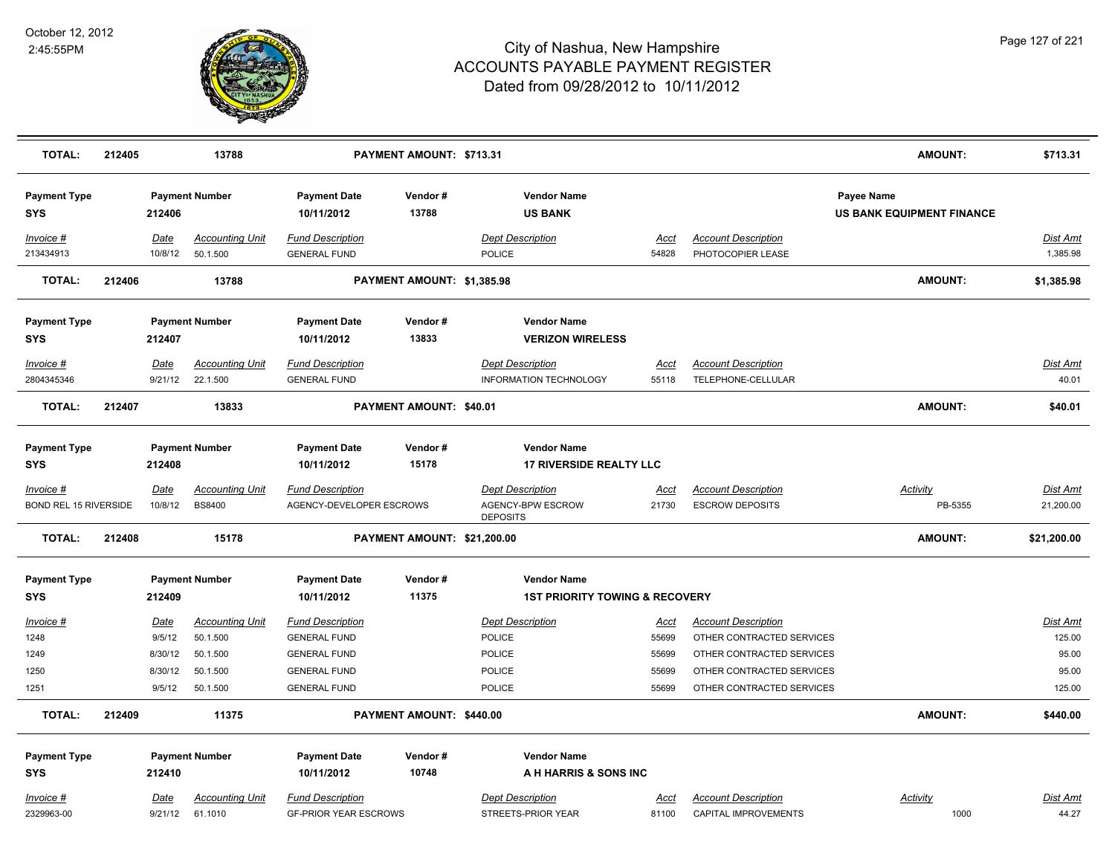

| <b>TOTAL:</b>                                  | 212405 |                 | 13788                                           |                                                              | PAYMENT AMOUNT: \$713.31    |                                                                        |                      |                                                      | <b>AMOUNT:</b>                                 | \$713.31                     |
|------------------------------------------------|--------|-----------------|-------------------------------------------------|--------------------------------------------------------------|-----------------------------|------------------------------------------------------------------------|----------------------|------------------------------------------------------|------------------------------------------------|------------------------------|
| <b>Payment Type</b><br><b>SYS</b>              |        | 212406          | <b>Payment Number</b>                           | <b>Payment Date</b><br>10/11/2012                            | Vendor#<br>13788            | <b>Vendor Name</b><br><b>US BANK</b>                                   |                      |                                                      | Payee Name<br><b>US BANK EQUIPMENT FINANCE</b> |                              |
| Invoice #<br>213434913                         |        | Date<br>10/8/12 | <b>Accounting Unit</b><br>50.1.500              | <b>Fund Description</b><br><b>GENERAL FUND</b>               |                             | <b>Dept Description</b><br>POLICE                                      | <b>Acct</b><br>54828 | <b>Account Description</b><br>PHOTOCOPIER LEASE      |                                                | <b>Dist Amt</b><br>1,385.98  |
| <b>TOTAL:</b>                                  | 212406 |                 | 13788                                           |                                                              | PAYMENT AMOUNT: \$1,385.98  |                                                                        |                      |                                                      | <b>AMOUNT:</b>                                 | \$1,385.98                   |
| <b>Payment Type</b><br><b>SYS</b>              |        | 212407          | <b>Payment Number</b>                           | <b>Payment Date</b><br>10/11/2012                            | Vendor#<br>13833            | <b>Vendor Name</b><br><b>VERIZON WIRELESS</b>                          |                      |                                                      |                                                |                              |
| Invoice #                                      |        | Date            | <b>Accounting Unit</b>                          | <b>Fund Description</b>                                      |                             | <b>Dept Description</b>                                                | Acct                 | <b>Account Description</b>                           |                                                | Dist Amt                     |
| 2804345346                                     |        | 9/21/12         | 22.1.500                                        | <b>GENERAL FUND</b>                                          |                             | <b>INFORMATION TECHNOLOGY</b>                                          | 55118                | TELEPHONE-CELLULAR                                   |                                                | 40.01                        |
| TOTAL:                                         | 212407 |                 | 13833                                           |                                                              | PAYMENT AMOUNT: \$40.01     |                                                                        |                      |                                                      | <b>AMOUNT:</b>                                 | \$40.01                      |
| <b>Payment Type</b><br><b>SYS</b>              |        | 212408          | <b>Payment Number</b>                           | <b>Payment Date</b><br>10/11/2012                            | Vendor#<br>15178            | <b>Vendor Name</b><br><b>17 RIVERSIDE REALTY LLC</b>                   |                      |                                                      |                                                |                              |
| $Invoice$ #<br><b>BOND REL 15 RIVERSIDE</b>    |        | Date<br>10/8/12 | <b>Accounting Unit</b><br><b>BS8400</b>         | <b>Fund Description</b><br>AGENCY-DEVELOPER ESCROWS          |                             | <b>Dept Description</b><br>AGENCY-BPW ESCROW<br><b>DEPOSITS</b>        | <u>Acct</u><br>21730 | <b>Account Description</b><br><b>ESCROW DEPOSITS</b> | <b>Activity</b><br>PB-5355                     | <b>Dist Amt</b><br>21,200.00 |
| <b>TOTAL:</b>                                  | 212408 |                 | 15178                                           |                                                              | PAYMENT AMOUNT: \$21,200.00 |                                                                        |                      |                                                      | <b>AMOUNT:</b>                                 | \$21,200.00                  |
| <b>Payment Type</b><br><b>SYS</b>              |        | 212409          | <b>Payment Number</b>                           | <b>Payment Date</b><br>10/11/2012                            | Vendor#<br>11375            | <b>Vendor Name</b><br><b>1ST PRIORITY TOWING &amp; RECOVERY</b>        |                      |                                                      |                                                |                              |
| $Invoice$ #                                    |        | <u>Date</u>     | <b>Accounting Unit</b>                          | <b>Fund Description</b>                                      |                             | <b>Dept Description</b>                                                | <u>Acct</u>          | <b>Account Description</b>                           |                                                | Dist Amt                     |
| 1248                                           |        | 9/5/12          | 50.1.500                                        | <b>GENERAL FUND</b>                                          |                             | <b>POLICE</b>                                                          | 55699                | OTHER CONTRACTED SERVICES                            |                                                | 125.00                       |
| 1249                                           |        | 8/30/12         | 50.1.500                                        | <b>GENERAL FUND</b>                                          |                             | <b>POLICE</b>                                                          | 55699                | OTHER CONTRACTED SERVICES                            |                                                | 95.00                        |
| 1250                                           |        | 8/30/12         | 50.1.500                                        | <b>GENERAL FUND</b>                                          |                             | <b>POLICE</b>                                                          | 55699                | OTHER CONTRACTED SERVICES                            |                                                | 95.00                        |
| 1251                                           |        | 9/5/12          | 50.1.500                                        | <b>GENERAL FUND</b>                                          |                             | <b>POLICE</b>                                                          | 55699                | OTHER CONTRACTED SERVICES                            |                                                | 125.00                       |
| <b>TOTAL:</b>                                  | 212409 |                 | 11375                                           |                                                              | PAYMENT AMOUNT: \$440.00    |                                                                        |                      |                                                      | AMOUNT:                                        | \$440.00                     |
| <b>Payment Type</b><br><b>SYS</b><br>Invoice # |        | 212410<br>Date  | <b>Payment Number</b><br><b>Accounting Unit</b> | <b>Payment Date</b><br>10/11/2012<br><b>Fund Description</b> | Vendor#<br>10748            | <b>Vendor Name</b><br>A H HARRIS & SONS INC<br><b>Dept Description</b> | Acct                 | <b>Account Description</b>                           | Activity                                       | <b>Dist Amt</b>              |
| 2329963-00                                     |        | 9/21/12         | 61.1010                                         | <b>GF-PRIOR YEAR ESCROWS</b>                                 |                             | STREETS-PRIOR YEAR                                                     | 81100                | CAPITAL IMPROVEMENTS                                 | 1000                                           | 44.27                        |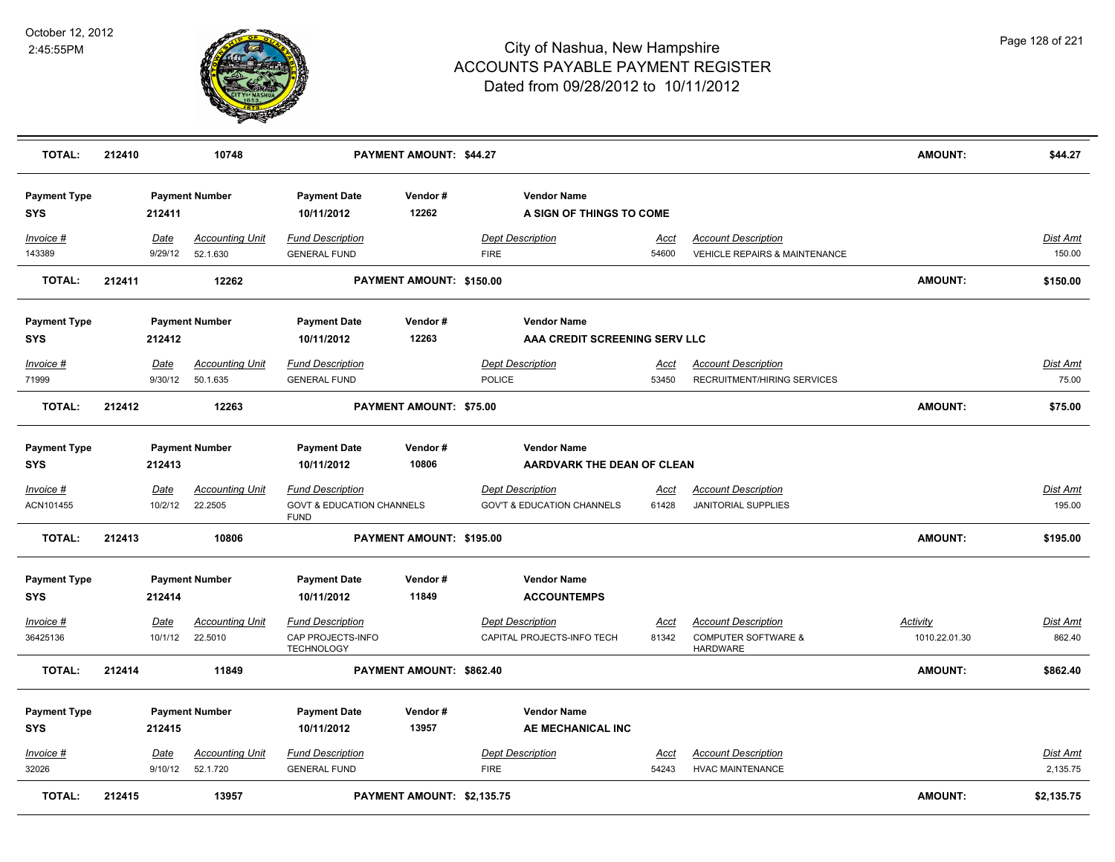

| <b>TOTAL:</b>                     | 212410 |                        | 10748                              |                                                                                | <b>PAYMENT AMOUNT: \$44.27</b> |                                                                  |                      |                                                                                 | <b>AMOUNT:</b>                   | \$44.27                   |
|-----------------------------------|--------|------------------------|------------------------------------|--------------------------------------------------------------------------------|--------------------------------|------------------------------------------------------------------|----------------------|---------------------------------------------------------------------------------|----------------------------------|---------------------------|
| <b>Payment Type</b><br><b>SYS</b> |        | 212411                 | <b>Payment Number</b>              | <b>Payment Date</b><br>10/11/2012                                              | Vendor#<br>12262               | <b>Vendor Name</b><br>A SIGN OF THINGS TO COME                   |                      |                                                                                 |                                  |                           |
| Invoice #<br>143389               |        | Date<br>9/29/12        | <b>Accounting Unit</b><br>52.1.630 | <b>Fund Description</b><br><b>GENERAL FUND</b>                                 |                                | <b>Dept Description</b><br><b>FIRE</b>                           | Acct<br>54600        | <b>Account Description</b><br><b>VEHICLE REPAIRS &amp; MAINTENANCE</b>          |                                  | Dist Amt<br>150.00        |
| <b>TOTAL:</b>                     | 212411 |                        | 12262                              |                                                                                | PAYMENT AMOUNT: \$150.00       |                                                                  |                      |                                                                                 | <b>AMOUNT:</b>                   | \$150.00                  |
| <b>Payment Type</b><br><b>SYS</b> |        | 212412                 | <b>Payment Number</b>              | <b>Payment Date</b><br>10/11/2012                                              | Vendor#<br>12263               | <b>Vendor Name</b><br>AAA CREDIT SCREENING SERV LLC              |                      |                                                                                 |                                  |                           |
| Invoice #<br>71999                |        | Date<br>9/30/12        | <b>Accounting Unit</b><br>50.1.635 | <b>Fund Description</b><br><b>GENERAL FUND</b>                                 |                                | <b>Dept Description</b><br><b>POLICE</b>                         | <u>Acct</u><br>53450 | <b>Account Description</b><br>RECRUITMENT/HIRING SERVICES                       |                                  | Dist Amt<br>75.00         |
| <b>TOTAL:</b>                     | 212412 |                        | 12263                              |                                                                                | PAYMENT AMOUNT: \$75.00        |                                                                  |                      |                                                                                 | <b>AMOUNT:</b>                   | \$75.00                   |
| <b>Payment Type</b><br><b>SYS</b> |        | 212413                 | <b>Payment Number</b>              | <b>Payment Date</b><br>10/11/2012                                              | Vendor#<br>10806               | <b>Vendor Name</b><br>AARDVARK THE DEAN OF CLEAN                 |                      |                                                                                 |                                  |                           |
| Invoice #<br>ACN101455            |        | <b>Date</b><br>10/2/12 | <b>Accounting Unit</b><br>22.2505  | <b>Fund Description</b><br><b>GOVT &amp; EDUCATION CHANNELS</b><br><b>FUND</b> |                                | <b>Dept Description</b><br><b>GOV'T &amp; EDUCATION CHANNELS</b> | <u>Acct</u><br>61428 | <b>Account Description</b><br><b>JANITORIAL SUPPLIES</b>                        |                                  | <u>Dist Amt</u><br>195.00 |
| <b>TOTAL:</b>                     | 212413 |                        | 10806                              |                                                                                | PAYMENT AMOUNT: \$195.00       |                                                                  |                      |                                                                                 | <b>AMOUNT:</b>                   | \$195.00                  |
| <b>Payment Type</b><br><b>SYS</b> |        | 212414                 | <b>Payment Number</b>              | <b>Payment Date</b><br>10/11/2012                                              | Vendor#<br>11849               | <b>Vendor Name</b><br><b>ACCOUNTEMPS</b>                         |                      |                                                                                 |                                  |                           |
| Invoice #<br>36425136             |        | <b>Date</b><br>10/1/12 | <b>Accounting Unit</b><br>22.5010  | <b>Fund Description</b><br>CAP PROJECTS-INFO<br><b>TECHNOLOGY</b>              |                                | <b>Dept Description</b><br>CAPITAL PROJECTS-INFO TECH            | Acct<br>81342        | <b>Account Description</b><br><b>COMPUTER SOFTWARE &amp;</b><br><b>HARDWARE</b> | <b>Activity</b><br>1010.22.01.30 | <b>Dist Amt</b><br>862.40 |
| <b>TOTAL:</b>                     | 212414 |                        | 11849                              |                                                                                | PAYMENT AMOUNT: \$862.40       |                                                                  |                      |                                                                                 | <b>AMOUNT:</b>                   | \$862.40                  |
| <b>Payment Type</b><br><b>SYS</b> |        | 212415                 | <b>Payment Number</b>              | <b>Payment Date</b><br>10/11/2012                                              | Vendor#<br>13957               | <b>Vendor Name</b><br>AE MECHANICAL INC                          |                      |                                                                                 |                                  |                           |
| Invoice #<br>32026                |        | Date<br>9/10/12        | <b>Accounting Unit</b><br>52.1.720 | <b>Fund Description</b><br><b>GENERAL FUND</b>                                 |                                | <b>Dept Description</b><br><b>FIRE</b>                           | Acct<br>54243        | <b>Account Description</b><br><b>HVAC MAINTENANCE</b>                           |                                  | Dist Amt<br>2,135.75      |
| <b>TOTAL:</b>                     | 212415 |                        | 13957                              |                                                                                | PAYMENT AMOUNT: \$2,135.75     |                                                                  |                      |                                                                                 | <b>AMOUNT:</b>                   | \$2,135.75                |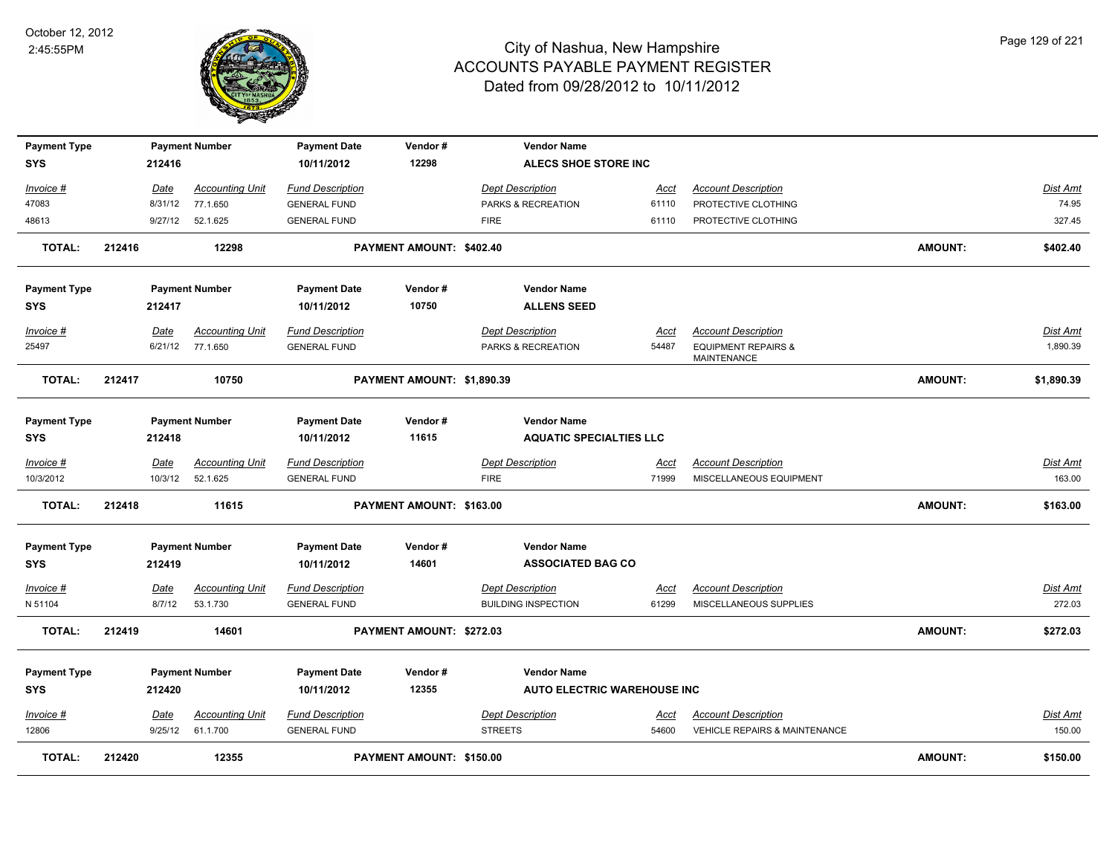

| <b>Payment Type</b> |        |             | <b>Payment Number</b>  | <b>Payment Date</b>     | Vendor#                    | <b>Vendor Name</b>                 |             |                                               |                |                 |
|---------------------|--------|-------------|------------------------|-------------------------|----------------------------|------------------------------------|-------------|-----------------------------------------------|----------------|-----------------|
| <b>SYS</b>          |        | 212416      |                        | 10/11/2012              | 12298                      | ALECS SHOE STORE INC               |             |                                               |                |                 |
| Invoice #           |        | Date        | <b>Accounting Unit</b> | <b>Fund Description</b> |                            | Dept Description                   | Acct        | <b>Account Description</b>                    |                | Dist Amt        |
| 47083               |        | 8/31/12     | 77.1.650               | <b>GENERAL FUND</b>     |                            | PARKS & RECREATION                 | 61110       | PROTECTIVE CLOTHING                           |                | 74.95           |
| 48613               |        | 9/27/12     | 52.1.625               | <b>GENERAL FUND</b>     |                            | <b>FIRE</b>                        | 61110       | PROTECTIVE CLOTHING                           |                | 327.45          |
| <b>TOTAL:</b>       | 212416 |             | 12298                  |                         | PAYMENT AMOUNT: \$402.40   |                                    |             |                                               | <b>AMOUNT:</b> | \$402.40        |
| <b>Payment Type</b> |        |             | <b>Payment Number</b>  | <b>Payment Date</b>     | Vendor#                    | <b>Vendor Name</b>                 |             |                                               |                |                 |
| <b>SYS</b>          |        | 212417      |                        | 10/11/2012              | 10750                      | <b>ALLENS SEED</b>                 |             |                                               |                |                 |
| <u>Invoice #</u>    |        | Date        | <b>Accounting Unit</b> | <b>Fund Description</b> |                            | <b>Dept Description</b>            | <u>Acct</u> | <b>Account Description</b>                    |                | <u>Dist Amt</u> |
| 25497               |        | 6/21/12     | 77.1.650               | <b>GENERAL FUND</b>     |                            | PARKS & RECREATION                 | 54487       | <b>EQUIPMENT REPAIRS &amp;</b><br>MAINTENANCE |                | 1,890.39        |
| <b>TOTAL:</b>       | 212417 |             | 10750                  |                         | PAYMENT AMOUNT: \$1,890.39 |                                    |             |                                               | <b>AMOUNT:</b> | \$1,890.39      |
| <b>Payment Type</b> |        |             | <b>Payment Number</b>  | <b>Payment Date</b>     | Vendor#                    | <b>Vendor Name</b>                 |             |                                               |                |                 |
| <b>SYS</b>          |        | 212418      |                        | 10/11/2012              | 11615                      | <b>AQUATIC SPECIALTIES LLC</b>     |             |                                               |                |                 |
| Invoice #           |        | Date        | <b>Accounting Unit</b> | <b>Fund Description</b> |                            | <b>Dept Description</b>            | <u>Acct</u> | <b>Account Description</b>                    |                | Dist Amt        |
| 10/3/2012           |        | 10/3/12     | 52.1.625               | <b>GENERAL FUND</b>     |                            | <b>FIRE</b>                        | 71999       | MISCELLANEOUS EQUIPMENT                       |                | 163.00          |
| <b>TOTAL:</b>       | 212418 |             | 11615                  |                         | PAYMENT AMOUNT: \$163.00   |                                    |             |                                               | <b>AMOUNT:</b> | \$163.00        |
| <b>Payment Type</b> |        |             | <b>Payment Number</b>  | <b>Payment Date</b>     | Vendor#                    | <b>Vendor Name</b>                 |             |                                               |                |                 |
| <b>SYS</b>          |        | 212419      |                        | 10/11/2012              | 14601                      | <b>ASSOCIATED BAG CO</b>           |             |                                               |                |                 |
| Invoice #           |        | Date        | <b>Accounting Unit</b> | <b>Fund Description</b> |                            | <b>Dept Description</b>            | Acct        | <b>Account Description</b>                    |                | Dist Amt        |
| N 51104             |        | 8/7/12      | 53.1.730               | <b>GENERAL FUND</b>     |                            | <b>BUILDING INSPECTION</b>         | 61299       | MISCELLANEOUS SUPPLIES                        |                | 272.03          |
| <b>TOTAL:</b>       | 212419 |             | 14601                  |                         | PAYMENT AMOUNT: \$272.03   |                                    |             |                                               | <b>AMOUNT:</b> | \$272.03        |
| <b>Payment Type</b> |        |             | <b>Payment Number</b>  | <b>Payment Date</b>     | Vendor#                    | <b>Vendor Name</b>                 |             |                                               |                |                 |
| <b>SYS</b>          |        | 212420      |                        | 10/11/2012              | 12355                      | <b>AUTO ELECTRIC WAREHOUSE INC</b> |             |                                               |                |                 |
| Invoice #           |        | <u>Date</u> | <b>Accounting Unit</b> | <b>Fund Description</b> |                            | <b>Dept Description</b>            | <u>Acct</u> | <b>Account Description</b>                    |                | Dist Amt        |
| 12806               |        | 9/25/12     | 61.1.700               | <b>GENERAL FUND</b>     |                            | <b>STREETS</b>                     | 54600       | <b>VEHICLE REPAIRS &amp; MAINTENANCE</b>      |                | 150.00          |
| <b>TOTAL:</b>       | 212420 |             | 12355                  |                         | PAYMENT AMOUNT: \$150.00   |                                    |             |                                               | <b>AMOUNT:</b> | \$150.00        |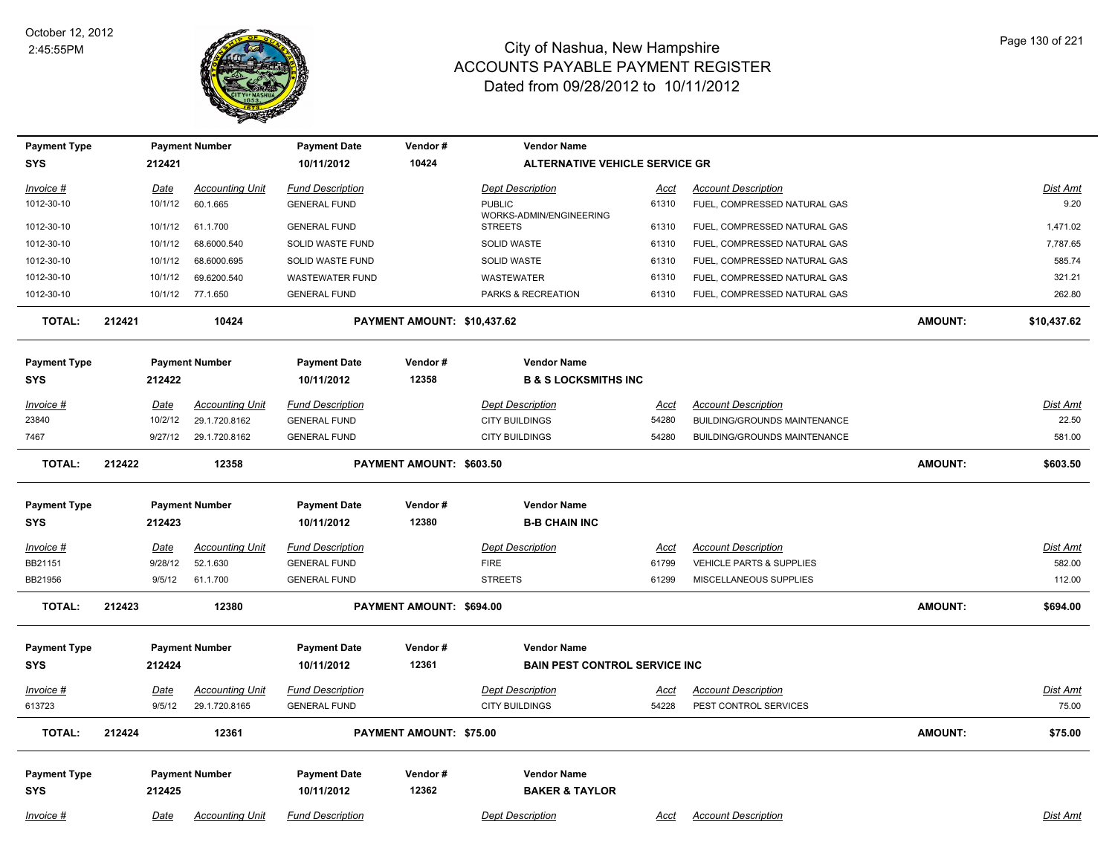

| <b>Payment Type</b> |             | <b>Payment Number</b>  | <b>Payment Date</b>     | Vendor#                     | <b>Vendor Name</b>                        |             |                                     |                |                 |
|---------------------|-------------|------------------------|-------------------------|-----------------------------|-------------------------------------------|-------------|-------------------------------------|----------------|-----------------|
| <b>SYS</b>          | 212421      |                        | 10/11/2012              | 10424                       | <b>ALTERNATIVE VEHICLE SERVICE GR</b>     |             |                                     |                |                 |
| Invoice #           | <u>Date</u> | <b>Accounting Unit</b> | <b>Fund Description</b> |                             | <b>Dept Description</b>                   | <u>Acct</u> | <b>Account Description</b>          |                | Dist Amt        |
| 1012-30-10          | 10/1/12     | 60.1.665               | <b>GENERAL FUND</b>     |                             | <b>PUBLIC</b>                             | 61310       | FUEL, COMPRESSED NATURAL GAS        |                | 9.20            |
| 1012-30-10          | 10/1/12     | 61.1.700               | <b>GENERAL FUND</b>     |                             | WORKS-ADMIN/ENGINEERING<br><b>STREETS</b> | 61310       | FUEL, COMPRESSED NATURAL GAS        |                | 1,471.02        |
| 1012-30-10          | 10/1/12     | 68.6000.540            | SOLID WASTE FUND        |                             | SOLID WASTE                               | 61310       | FUEL, COMPRESSED NATURAL GAS        |                | 7,787.65        |
| 1012-30-10          | 10/1/12     | 68.6000.695            | SOLID WASTE FUND        |                             | SOLID WASTE                               | 61310       | FUEL, COMPRESSED NATURAL GAS        |                | 585.74          |
| 1012-30-10          | 10/1/12     | 69.6200.540            | <b>WASTEWATER FUND</b>  |                             | <b>WASTEWATER</b>                         | 61310       | FUEL, COMPRESSED NATURAL GAS        |                | 321.21          |
| 1012-30-10          | 10/1/12     | 77.1.650               | <b>GENERAL FUND</b>     |                             | PARKS & RECREATION                        | 61310       | FUEL, COMPRESSED NATURAL GAS        |                | 262.80          |
| <b>TOTAL:</b>       | 212421      | 10424                  |                         | PAYMENT AMOUNT: \$10,437.62 |                                           |             |                                     | <b>AMOUNT:</b> | \$10,437.62     |
| <b>Payment Type</b> |             | <b>Payment Number</b>  | <b>Payment Date</b>     | Vendor#                     | <b>Vendor Name</b>                        |             |                                     |                |                 |
| <b>SYS</b>          | 212422      |                        | 10/11/2012              | 12358                       | <b>B &amp; S LOCKSMITHS INC</b>           |             |                                     |                |                 |
| Invoice #           | Date        | <b>Accounting Unit</b> | <b>Fund Description</b> |                             | <b>Dept Description</b>                   | <u>Acct</u> | <b>Account Description</b>          |                | <b>Dist Amt</b> |
| 23840               | 10/2/12     | 29.1.720.8162          | <b>GENERAL FUND</b>     |                             | <b>CITY BUILDINGS</b>                     | 54280       | <b>BUILDING/GROUNDS MAINTENANCE</b> |                | 22.50           |
| 7467                | 9/27/12     | 29.1.720.8162          | <b>GENERAL FUND</b>     |                             | <b>CITY BUILDINGS</b>                     | 54280       | BUILDING/GROUNDS MAINTENANCE        |                | 581.00          |
| <b>TOTAL:</b>       | 212422      | 12358                  |                         | PAYMENT AMOUNT: \$603.50    |                                           |             |                                     | <b>AMOUNT:</b> | \$603.50        |
| <b>Payment Type</b> |             | <b>Payment Number</b>  | <b>Payment Date</b>     | Vendor#                     | <b>Vendor Name</b>                        |             |                                     |                |                 |
| <b>SYS</b>          | 212423      |                        | 10/11/2012              | 12380                       | <b>B-B CHAIN INC</b>                      |             |                                     |                |                 |
| <u>Invoice #</u>    | <u>Date</u> | <b>Accounting Unit</b> | <b>Fund Description</b> |                             | <b>Dept Description</b>                   | <u>Acct</u> | <b>Account Description</b>          |                | <b>Dist Amt</b> |
| BB21151             | 9/28/12     | 52.1.630               | <b>GENERAL FUND</b>     |                             | <b>FIRE</b>                               | 61799       | VEHICLE PARTS & SUPPLIES            |                | 582.00          |
| BB21956             | 9/5/12      | 61.1.700               | <b>GENERAL FUND</b>     |                             | <b>STREETS</b>                            | 61299       | MISCELLANEOUS SUPPLIES              |                | 112.00          |
| <b>TOTAL:</b>       | 212423      | 12380                  |                         | PAYMENT AMOUNT: \$694.00    |                                           |             |                                     | <b>AMOUNT:</b> | \$694.00        |
| <b>Payment Type</b> |             | <b>Payment Number</b>  | <b>Payment Date</b>     | Vendor#                     | <b>Vendor Name</b>                        |             |                                     |                |                 |
| <b>SYS</b>          | 212424      |                        | 10/11/2012              | 12361                       | <b>BAIN PEST CONTROL SERVICE INC</b>      |             |                                     |                |                 |
| Invoice #           | Date        | <b>Accounting Unit</b> | <b>Fund Description</b> |                             | <b>Dept Description</b>                   | Acct        | <b>Account Description</b>          |                | Dist Amt        |
| 613723              | 9/5/12      | 29.1.720.8165          | <b>GENERAL FUND</b>     |                             | <b>CITY BUILDINGS</b>                     | 54228       | PEST CONTROL SERVICES               |                | 75.00           |
| <b>TOTAL:</b>       | 212424      | 12361                  |                         | PAYMENT AMOUNT: \$75.00     |                                           |             |                                     | <b>AMOUNT:</b> | \$75.00         |
| <b>Payment Type</b> |             | <b>Payment Number</b>  | <b>Payment Date</b>     | Vendor#                     | <b>Vendor Name</b>                        |             |                                     |                |                 |
| <b>SYS</b>          | 212425      |                        | 10/11/2012              | 12362                       | <b>BAKER &amp; TAYLOR</b>                 |             |                                     |                |                 |
| Invoice #           | Date        | <b>Accounting Unit</b> | <b>Fund Description</b> |                             | <b>Dept Description</b>                   | Acct        | <b>Account Description</b>          |                | Dist Amt        |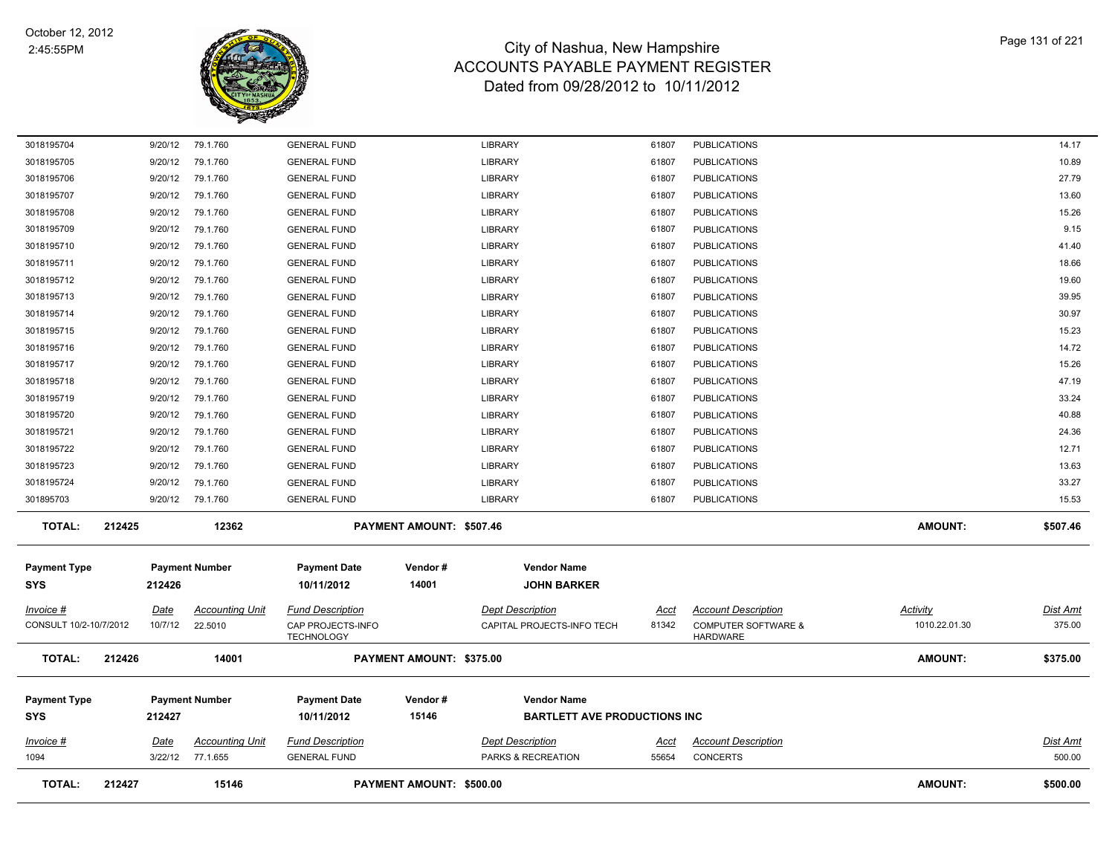

| <b>TOTAL:</b>                       | 212427 |                        | 15146                              |                                                                   | PAYMENT AMOUNT: \$500.00 |                                                           |                      |                                                                                 | <b>AMOUNT:</b>                   | \$500.00                  |
|-------------------------------------|--------|------------------------|------------------------------------|-------------------------------------------------------------------|--------------------------|-----------------------------------------------------------|----------------------|---------------------------------------------------------------------------------|----------------------------------|---------------------------|
| <u>Invoice #</u><br>1094            |        | <u>Date</u><br>3/22/12 | <b>Accounting Unit</b><br>77.1.655 | <b>Fund Description</b><br><b>GENERAL FUND</b>                    |                          | <b>Dept Description</b><br>PARKS & RECREATION             | <u>Acct</u><br>55654 | <b>Account Description</b><br><b>CONCERTS</b>                                   |                                  | <b>Dist Amt</b><br>500.00 |
| <b>Payment Type</b><br><b>SYS</b>   |        | 212427                 | <b>Payment Number</b>              | <b>Payment Date</b><br>10/11/2012                                 | Vendor#<br>15146         | <b>Vendor Name</b><br><b>BARTLETT AVE PRODUCTIONS INC</b> |                      |                                                                                 |                                  |                           |
| <b>TOTAL:</b>                       | 212426 |                        | 14001                              |                                                                   | PAYMENT AMOUNT: \$375.00 |                                                           |                      |                                                                                 | <b>AMOUNT:</b>                   | \$375.00                  |
| Invoice #<br>CONSULT 10/2-10/7/2012 |        | Date<br>10/7/12        | <b>Accounting Unit</b><br>22.5010  | <b>Fund Description</b><br>CAP PROJECTS-INFO<br><b>TECHNOLOGY</b> |                          | <b>Dept Description</b><br>CAPITAL PROJECTS-INFO TECH     | Acct<br>81342        | <b>Account Description</b><br><b>COMPUTER SOFTWARE &amp;</b><br><b>HARDWARE</b> | <b>Activity</b><br>1010.22.01.30 | Dist Amt<br>375.00        |
| <b>Payment Type</b><br><b>SYS</b>   |        | 212426                 | <b>Payment Number</b>              | <b>Payment Date</b><br>10/11/2012                                 | Vendor#<br>14001         | <b>Vendor Name</b><br><b>JOHN BARKER</b>                  |                      |                                                                                 |                                  |                           |
| <b>TOTAL:</b>                       | 212425 |                        | 12362                              |                                                                   | PAYMENT AMOUNT: \$507.46 |                                                           |                      |                                                                                 | <b>AMOUNT:</b>                   | \$507.46                  |
| 301895703                           |        | 9/20/12                | 79.1.760                           | <b>GENERAL FUND</b>                                               |                          | <b>LIBRARY</b>                                            | 61807                | <b>PUBLICATIONS</b>                                                             |                                  | 15.53                     |
| 3018195724                          |        | 9/20/12                | 79.1.760                           | <b>GENERAL FUND</b>                                               |                          | LIBRARY                                                   | 61807                | <b>PUBLICATIONS</b>                                                             |                                  | 33.27                     |
| 3018195723                          |        | 9/20/12                | 79.1.760                           | <b>GENERAL FUND</b>                                               |                          | LIBRARY                                                   | 61807                | <b>PUBLICATIONS</b>                                                             |                                  | 13.63                     |
| 3018195722                          |        | 9/20/12                | 79.1.760                           | <b>GENERAL FUND</b>                                               |                          | <b>LIBRARY</b>                                            | 61807                | <b>PUBLICATIONS</b>                                                             |                                  | 12.71                     |
| 3018195721                          |        | 9/20/12                | 79.1.760                           | <b>GENERAL FUND</b>                                               |                          | LIBRARY                                                   | 61807                | <b>PUBLICATIONS</b>                                                             |                                  | 24.36                     |
| 3018195720                          |        | 9/20/12                | 79.1.760                           | <b>GENERAL FUND</b>                                               |                          | <b>LIBRARY</b>                                            | 61807                | <b>PUBLICATIONS</b>                                                             |                                  | 40.88                     |
| 3018195719                          |        | 9/20/12                | 79.1.760                           | <b>GENERAL FUND</b>                                               |                          | LIBRARY                                                   | 61807                | <b>PUBLICATIONS</b>                                                             |                                  | 33.24                     |
| 3018195718                          |        | 9/20/12                | 79.1.760                           | <b>GENERAL FUND</b>                                               |                          | <b>LIBRARY</b>                                            | 61807                | <b>PUBLICATIONS</b>                                                             |                                  | 47.19                     |
| 3018195717                          |        | 9/20/12                | 79.1.760                           | <b>GENERAL FUND</b>                                               |                          | <b>LIBRARY</b>                                            | 61807                | <b>PUBLICATIONS</b>                                                             |                                  | 15.26                     |
| 3018195716                          |        | 9/20/12                | 79.1.760                           | <b>GENERAL FUND</b>                                               |                          | LIBRARY                                                   | 61807                | <b>PUBLICATIONS</b>                                                             |                                  | 14.72                     |
| 3018195715                          |        | 9/20/12                | 79.1.760                           | <b>GENERAL FUND</b>                                               |                          | <b>LIBRARY</b>                                            | 61807                | <b>PUBLICATIONS</b>                                                             |                                  | 15.23                     |
| 3018195713<br>3018195714            |        | 9/20/12                | 79.1.760                           | <b>GENERAL FUND</b>                                               |                          | <b>LIBRARY</b>                                            | 61807<br>61807       | <b>PUBLICATIONS</b>                                                             |                                  | 30.97                     |
| 3018195712                          |        | 9/20/12<br>9/20/12     | 79.1.760<br>79.1.760               | <b>GENERAL FUND</b><br><b>GENERAL FUND</b>                        |                          | <b>LIBRARY</b><br>LIBRARY                                 | 61807                | <b>PUBLICATIONS</b><br><b>PUBLICATIONS</b>                                      |                                  | 19.60<br>39.95            |
| 3018195711                          |        | 9/20/12                | 79.1.760                           | <b>GENERAL FUND</b>                                               |                          | LIBRARY                                                   | 61807                | <b>PUBLICATIONS</b>                                                             |                                  | 18.66                     |
| 3018195710                          |        | 9/20/12                | 79.1.760                           | <b>GENERAL FUND</b>                                               |                          | <b>LIBRARY</b>                                            | 61807                | <b>PUBLICATIONS</b>                                                             |                                  | 41.40                     |
| 3018195709                          |        | 9/20/12                | 79.1.760                           | <b>GENERAL FUND</b>                                               |                          | <b>LIBRARY</b>                                            | 61807                | <b>PUBLICATIONS</b>                                                             |                                  | 9.15                      |
| 3018195708                          |        | 9/20/12                | 79.1.760                           | <b>GENERAL FUND</b>                                               |                          | <b>LIBRARY</b>                                            | 61807                | <b>PUBLICATIONS</b>                                                             |                                  | 15.26                     |
| 3018195707                          |        | 9/20/12                | 79.1.760                           | <b>GENERAL FUND</b>                                               |                          | <b>LIBRARY</b>                                            | 61807                | <b>PUBLICATIONS</b>                                                             |                                  | 13.60                     |
| 3018195706                          |        | 9/20/12                | 79.1.760                           | <b>GENERAL FUND</b>                                               |                          | <b>LIBRARY</b>                                            | 61807                | <b>PUBLICATIONS</b>                                                             |                                  | 27.79                     |
| 3018195705                          |        | 9/20/12                | 79.1.760                           | <b>GENERAL FUND</b>                                               |                          | LIBRARY                                                   | 61807                | <b>PUBLICATIONS</b>                                                             |                                  | 10.89                     |
| 3018195704                          |        | 9/20/12                | 79.1.760                           | <b>GENERAL FUND</b>                                               |                          | <b>LIBRARY</b>                                            | 61807                | <b>PUBLICATIONS</b>                                                             |                                  | 14.17                     |
|                                     |        |                        |                                    |                                                                   |                          |                                                           |                      |                                                                                 |                                  |                           |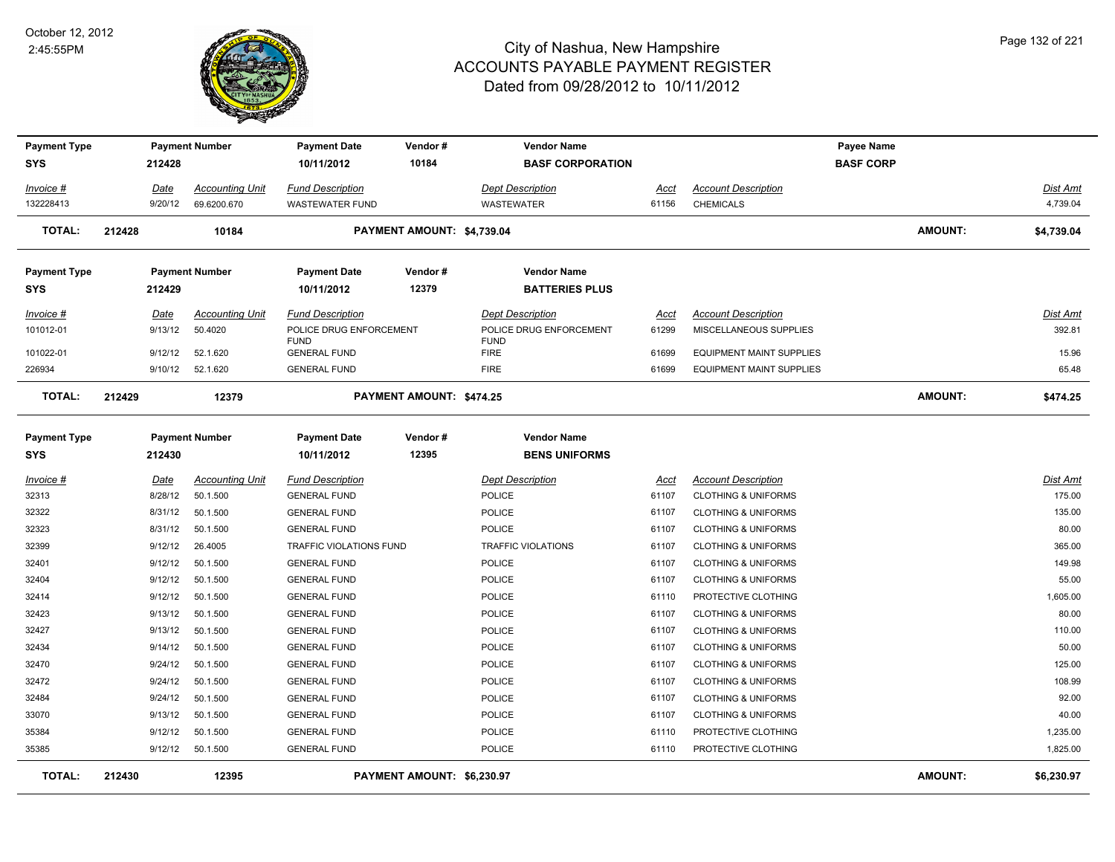

| <b>Payment Type</b><br><b>SYS</b> |        | 212428          | <b>Payment Number</b>                 | <b>Payment Date</b><br>10/11/2012                 | Vendor#<br>10184           | <b>Vendor Name</b><br><b>BASF CORPORATION</b> |                      |                                                | Payee Name<br><b>BASF CORP</b> |                |                             |
|-----------------------------------|--------|-----------------|---------------------------------------|---------------------------------------------------|----------------------------|-----------------------------------------------|----------------------|------------------------------------------------|--------------------------------|----------------|-----------------------------|
|                                   |        |                 |                                       |                                                   |                            |                                               |                      |                                                |                                |                |                             |
| <u> Invoice #</u><br>132228413    |        | Date<br>9/20/12 | <b>Accounting Unit</b><br>69.6200.670 | <b>Fund Description</b><br><b>WASTEWATER FUND</b> |                            | <b>Dept Description</b><br><b>WASTEWATER</b>  | <u>Acct</u><br>61156 | <b>Account Description</b><br><b>CHEMICALS</b> |                                |                | <b>Dist Amt</b><br>4,739.04 |
|                                   |        |                 |                                       |                                                   |                            |                                               |                      |                                                |                                |                |                             |
| <b>TOTAL:</b>                     | 212428 |                 | 10184                                 |                                                   | PAYMENT AMOUNT: \$4,739.04 |                                               |                      |                                                |                                | <b>AMOUNT:</b> | \$4,739.04                  |
| <b>Payment Type</b>               |        |                 | <b>Payment Number</b>                 | <b>Payment Date</b>                               | Vendor#                    | <b>Vendor Name</b>                            |                      |                                                |                                |                |                             |
| <b>SYS</b>                        |        | 212429          |                                       | 10/11/2012                                        | 12379                      | <b>BATTERIES PLUS</b>                         |                      |                                                |                                |                |                             |
| <u> Invoice #</u>                 |        | Date            | <b>Accounting Unit</b>                | <b>Fund Description</b>                           |                            | <b>Dept Description</b>                       | <u>Acct</u>          | <b>Account Description</b>                     |                                |                | <b>Dist Amt</b>             |
| 101012-01                         |        | 9/13/12         | 50.4020                               | POLICE DRUG ENFORCEMENT                           |                            | POLICE DRUG ENFORCEMENT                       | 61299                | MISCELLANEOUS SUPPLIES                         |                                |                | 392.81                      |
| 101022-01                         |        | 9/12/12         | 52.1.620                              | <b>FUND</b><br><b>GENERAL FUND</b>                |                            | <b>FUND</b><br><b>FIRE</b>                    | 61699                | <b>EQUIPMENT MAINT SUPPLIES</b>                |                                |                | 15.96                       |
| 226934                            |        | 9/10/12         | 52.1.620                              | <b>GENERAL FUND</b>                               |                            | <b>FIRE</b>                                   | 61699                | <b>EQUIPMENT MAINT SUPPLIES</b>                |                                |                | 65.48                       |
|                                   |        |                 |                                       |                                                   |                            |                                               |                      |                                                |                                |                |                             |
| <b>TOTAL:</b>                     | 212429 |                 | 12379                                 |                                                   | PAYMENT AMOUNT: \$474.25   |                                               |                      |                                                |                                | <b>AMOUNT:</b> | \$474.25                    |
| <b>Payment Type</b>               |        |                 | <b>Payment Number</b>                 | <b>Payment Date</b>                               | Vendor#                    | <b>Vendor Name</b>                            |                      |                                                |                                |                |                             |
| SYS                               |        | 212430          |                                       | 10/11/2012                                        | 12395                      | <b>BENS UNIFORMS</b>                          |                      |                                                |                                |                |                             |
| <u>Invoice #</u>                  |        | <u>Date</u>     | <b>Accounting Unit</b>                | <b>Fund Description</b>                           |                            | <b>Dept Description</b>                       | <u>Acct</u>          | <b>Account Description</b>                     |                                |                | <b>Dist Amt</b>             |
| 32313                             |        | 8/28/12         | 50.1.500                              | <b>GENERAL FUND</b>                               |                            | POLICE                                        | 61107                | <b>CLOTHING &amp; UNIFORMS</b>                 |                                |                | 175.00                      |
| 32322                             |        | 8/31/12         | 50.1.500                              | <b>GENERAL FUND</b>                               |                            | <b>POLICE</b>                                 | 61107                | <b>CLOTHING &amp; UNIFORMS</b>                 |                                |                | 135.00                      |
| 32323                             |        | 8/31/12         | 50.1.500                              | <b>GENERAL FUND</b>                               |                            | <b>POLICE</b>                                 | 61107                | <b>CLOTHING &amp; UNIFORMS</b>                 |                                |                | 80.00                       |
| 32399                             |        | 9/12/12         | 26.4005                               | TRAFFIC VIOLATIONS FUND                           |                            | <b>TRAFFIC VIOLATIONS</b>                     | 61107                | <b>CLOTHING &amp; UNIFORMS</b>                 |                                |                | 365.00                      |
| 32401                             |        | 9/12/12         | 50.1.500                              | <b>GENERAL FUND</b>                               |                            | POLICE                                        | 61107                | <b>CLOTHING &amp; UNIFORMS</b>                 |                                |                | 149.98                      |
| 32404                             |        | 9/12/12         | 50.1.500                              | <b>GENERAL FUND</b>                               |                            | POLICE                                        | 61107                | <b>CLOTHING &amp; UNIFORMS</b>                 |                                |                | 55.00                       |
| 32414                             |        | 9/12/12         | 50.1.500                              | <b>GENERAL FUND</b>                               |                            | POLICE                                        | 61110                | PROTECTIVE CLOTHING                            |                                |                | 1,605.00                    |
| 32423                             |        | 9/13/12         | 50.1.500                              | <b>GENERAL FUND</b>                               |                            | POLICE                                        | 61107                | <b>CLOTHING &amp; UNIFORMS</b>                 |                                |                | 80.00                       |
| 32427                             |        | 9/13/12         | 50.1.500                              | <b>GENERAL FUND</b>                               |                            | POLICE                                        | 61107                | <b>CLOTHING &amp; UNIFORMS</b>                 |                                |                | 110.00                      |
| 32434                             |        | 9/14/12         | 50.1.500                              | <b>GENERAL FUND</b>                               |                            | <b>POLICE</b>                                 | 61107                | <b>CLOTHING &amp; UNIFORMS</b>                 |                                |                | 50.00                       |
| 32470                             |        | 9/24/12         | 50.1.500                              | <b>GENERAL FUND</b>                               |                            | <b>POLICE</b>                                 | 61107                | <b>CLOTHING &amp; UNIFORMS</b>                 |                                |                | 125.00                      |
| 32472                             |        | 9/24/12         | 50.1.500                              | <b>GENERAL FUND</b>                               |                            | POLICE                                        | 61107                | <b>CLOTHING &amp; UNIFORMS</b>                 |                                |                | 108.99                      |
| 32484                             |        | 9/24/12         | 50.1.500                              | <b>GENERAL FUND</b>                               |                            | POLICE                                        | 61107                | <b>CLOTHING &amp; UNIFORMS</b>                 |                                |                | 92.00                       |
| 33070                             |        | 9/13/12         | 50.1.500                              | <b>GENERAL FUND</b>                               |                            | POLICE                                        | 61107                | <b>CLOTHING &amp; UNIFORMS</b>                 |                                |                | 40.00                       |
| 35384                             |        | 9/12/12         | 50.1.500                              | <b>GENERAL FUND</b>                               |                            | POLICE                                        | 61110                | PROTECTIVE CLOTHING                            |                                |                | 1,235.00                    |
| 35385                             |        | 9/12/12         | 50.1.500                              | <b>GENERAL FUND</b>                               |                            | <b>POLICE</b>                                 | 61110                | PROTECTIVE CLOTHING                            |                                |                | 1,825.00                    |
| <b>TOTAL:</b>                     | 212430 |                 | 12395                                 |                                                   | PAYMENT AMOUNT: \$6,230.97 |                                               |                      |                                                |                                | AMOUNT:        | \$6,230.97                  |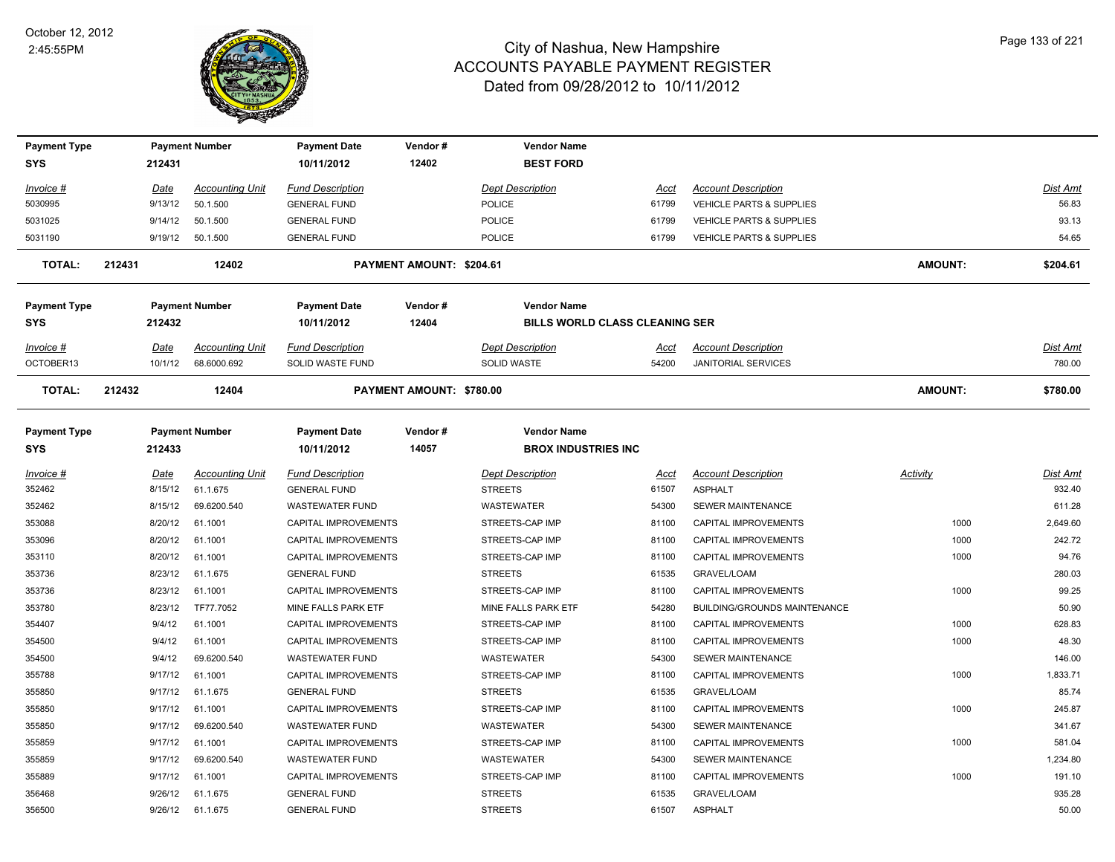

| <b>Payment Type</b>               |             | <b>Payment Number</b>  | <b>Payment Date</b>               | Vendor#                  | <b>Vendor Name</b>                               |       |                                     |                |                 |
|-----------------------------------|-------------|------------------------|-----------------------------------|--------------------------|--------------------------------------------------|-------|-------------------------------------|----------------|-----------------|
| <b>SYS</b>                        | 212431      |                        | 10/11/2012                        | 12402                    | <b>BEST FORD</b>                                 |       |                                     |                |                 |
| Invoice #                         | Date        | <b>Accounting Unit</b> | <b>Fund Description</b>           |                          | <b>Dept Description</b>                          | Acct  | <b>Account Description</b>          |                | Dist Amt        |
| 5030995                           | 9/13/12     | 50.1.500               | <b>GENERAL FUND</b>               |                          | <b>POLICE</b>                                    | 61799 | <b>VEHICLE PARTS &amp; SUPPLIES</b> |                | 56.83           |
| 5031025                           | 9/14/12     | 50.1.500               | <b>GENERAL FUND</b>               |                          | <b>POLICE</b>                                    | 61799 | <b>VEHICLE PARTS &amp; SUPPLIES</b> |                | 93.13           |
| 5031190                           | 9/19/12     | 50.1.500               | <b>GENERAL FUND</b>               |                          | <b>POLICE</b>                                    | 61799 | <b>VEHICLE PARTS &amp; SUPPLIES</b> |                | 54.65           |
| TOTAL:                            | 212431      | 12402                  |                                   | PAYMENT AMOUNT: \$204.61 |                                                  |       |                                     | <b>AMOUNT:</b> | \$204.61        |
| <b>Payment Type</b>               |             | <b>Payment Number</b>  | <b>Payment Date</b>               | Vendor#                  | <b>Vendor Name</b>                               |       |                                     |                |                 |
| <b>SYS</b>                        | 212432      |                        | 10/11/2012                        | 12404                    | <b>BILLS WORLD CLASS CLEANING SER</b>            |       |                                     |                |                 |
| Invoice #                         | <u>Date</u> | <b>Accounting Unit</b> | <b>Fund Description</b>           |                          | <b>Dept Description</b>                          | Acct  | <b>Account Description</b>          |                | <u>Dist Amt</u> |
| OCTOBER13                         | 10/1/12     | 68.6000.692            | SOLID WASTE FUND                  |                          | SOLID WASTE                                      | 54200 | <b>JANITORIAL SERVICES</b>          |                | 780.00          |
| <b>TOTAL:</b>                     | 212432      | 12404                  |                                   | PAYMENT AMOUNT: \$780.00 |                                                  |       |                                     | <b>AMOUNT:</b> | \$780.00        |
| <b>Payment Type</b><br><b>SYS</b> | 212433      | <b>Payment Number</b>  | <b>Payment Date</b><br>10/11/2012 | Vendor#<br>14057         | <b>Vendor Name</b><br><b>BROX INDUSTRIES INC</b> |       |                                     |                |                 |
| Invoice #                         | Date        | <b>Accounting Unit</b> | <b>Fund Description</b>           |                          | <b>Dept Description</b>                          | Acct  | <b>Account Description</b>          | Activity       | Dist Amt        |
| 352462                            | 8/15/12     | 61.1.675               | <b>GENERAL FUND</b>               |                          | <b>STREETS</b>                                   | 61507 | <b>ASPHALT</b>                      |                | 932.40          |
| 352462                            | 8/15/12     | 69.6200.540            | <b>WASTEWATER FUND</b>            |                          | WASTEWATER                                       | 54300 | SEWER MAINTENANCE                   |                | 611.28          |
| 353088                            | 8/20/12     | 61.1001                | CAPITAL IMPROVEMENTS              |                          | STREETS-CAP IMP                                  | 81100 | CAPITAL IMPROVEMENTS                | 1000           | 2,649.60        |
| 353096                            | 8/20/12     | 61.1001                | CAPITAL IMPROVEMENTS              |                          | STREETS-CAP IMP                                  | 81100 | CAPITAL IMPROVEMENTS                | 1000           | 242.72          |
| 353110                            | 8/20/12     | 61.1001                | CAPITAL IMPROVEMENTS              |                          | STREETS-CAP IMP                                  | 81100 | CAPITAL IMPROVEMENTS                | 1000           | 94.76           |
| 353736                            | 8/23/12     | 61.1.675               | <b>GENERAL FUND</b>               |                          | <b>STREETS</b>                                   | 61535 | <b>GRAVEL/LOAM</b>                  |                | 280.03          |
| 353736                            | 8/23/12     | 61.1001                | CAPITAL IMPROVEMENTS              |                          | STREETS-CAP IMP                                  | 81100 | CAPITAL IMPROVEMENTS                | 1000           | 99.25           |
| 353780                            | 8/23/12     | TF77.7052              | MINE FALLS PARK ETF               |                          | MINE FALLS PARK ETF                              | 54280 | BUILDING/GROUNDS MAINTENANCE        |                | 50.90           |
| 354407                            | 9/4/12      | 61.1001                | CAPITAL IMPROVEMENTS              |                          | STREETS-CAP IMP                                  | 81100 | CAPITAL IMPROVEMENTS                | 1000           | 628.83          |
| 354500                            | 9/4/12      | 61.1001                | CAPITAL IMPROVEMENTS              |                          | STREETS-CAP IMP                                  | 81100 | CAPITAL IMPROVEMENTS                | 1000           | 48.30           |
| 354500                            | 9/4/12      | 69.6200.540            | <b>WASTEWATER FUND</b>            |                          | WASTEWATER                                       | 54300 | SEWER MAINTENANCE                   |                | 146.00          |
| 355788                            | 9/17/12     | 61.1001                | CAPITAL IMPROVEMENTS              |                          | STREETS-CAP IMP                                  | 81100 | CAPITAL IMPROVEMENTS                | 1000           | 1,833.71        |
| 355850                            | 9/17/12     | 61.1.675               | <b>GENERAL FUND</b>               |                          | <b>STREETS</b>                                   | 61535 | GRAVEL/LOAM                         |                | 85.74           |
| 355850                            | 9/17/12     | 61.1001                | CAPITAL IMPROVEMENTS              |                          | STREETS-CAP IMP                                  | 81100 | CAPITAL IMPROVEMENTS                | 1000           | 245.87          |
| 355850                            | 9/17/12     | 69.6200.540            | <b>WASTEWATER FUND</b>            |                          | WASTEWATER                                       | 54300 | <b>SEWER MAINTENANCE</b>            |                | 341.67          |
| 355859                            | 9/17/12     | 61.1001                | CAPITAL IMPROVEMENTS              |                          | STREETS-CAP IMP                                  | 81100 | CAPITAL IMPROVEMENTS                | 1000           | 581.04          |
| 355859                            | 9/17/12     | 69.6200.540            | <b>WASTEWATER FUND</b>            |                          | WASTEWATER                                       | 54300 | SEWER MAINTENANCE                   |                | 1,234.80        |
| 355889                            | 9/17/12     | 61.1001                | <b>CAPITAL IMPROVEMENTS</b>       |                          | STREETS-CAP IMP                                  | 81100 | CAPITAL IMPROVEMENTS                | 1000           | 191.10          |
| 356468                            | 9/26/12     | 61.1.675               | <b>GENERAL FUND</b>               |                          | <b>STREETS</b>                                   | 61535 | <b>GRAVEL/LOAM</b>                  |                | 935.28          |
| 356500                            | 9/26/12     | 61.1.675               | <b>GENERAL FUND</b>               |                          | <b>STREETS</b>                                   | 61507 | <b>ASPHALT</b>                      |                | 50.00           |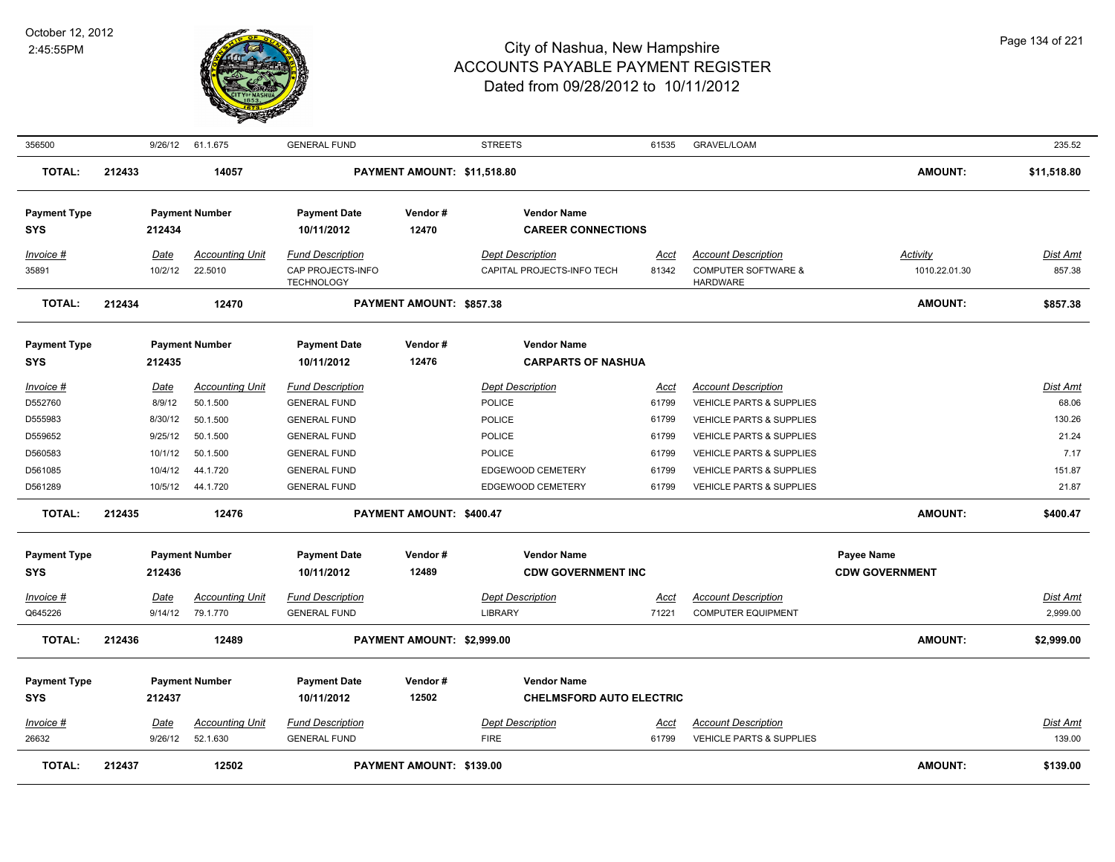

| 356500                            |        |             | 9/26/12 61.1.675       | <b>GENERAL FUND</b>                    |                             | <b>STREETS</b>                                        | 61535       | <b>GRAVEL/LOAM</b>                                |                       | 235.52          |
|-----------------------------------|--------|-------------|------------------------|----------------------------------------|-----------------------------|-------------------------------------------------------|-------------|---------------------------------------------------|-----------------------|-----------------|
| <b>TOTAL:</b>                     | 212433 |             | 14057                  |                                        | PAYMENT AMOUNT: \$11,518.80 |                                                       |             |                                                   | <b>AMOUNT:</b>        | \$11,518.80     |
| <b>Payment Type</b>               |        |             | <b>Payment Number</b>  | <b>Payment Date</b>                    | Vendor#                     | <b>Vendor Name</b>                                    |             |                                                   |                       |                 |
| SYS                               |        | 212434      |                        | 10/11/2012                             | 12470                       | <b>CAREER CONNECTIONS</b>                             |             |                                                   |                       |                 |
| Invoice #                         |        | Date        | <b>Accounting Unit</b> | <b>Fund Description</b>                |                             | <b>Dept Description</b>                               | Acct        | <b>Account Description</b>                        | <b>Activity</b>       | <u>Dist Amt</u> |
| 35891                             |        | 10/2/12     | 22.5010                | CAP PROJECTS-INFO<br><b>TECHNOLOGY</b> |                             | CAPITAL PROJECTS-INFO TECH                            | 81342       | <b>COMPUTER SOFTWARE &amp;</b><br><b>HARDWARE</b> | 1010.22.01.30         | 857.38          |
| <b>TOTAL:</b>                     | 212434 |             | 12470                  |                                        | PAYMENT AMOUNT: \$857.38    |                                                       |             |                                                   | <b>AMOUNT:</b>        | \$857.38        |
| <b>Payment Type</b>               |        |             | <b>Payment Number</b>  | <b>Payment Date</b>                    | Vendor#                     | <b>Vendor Name</b>                                    |             |                                                   |                       |                 |
| SYS                               |        | 212435      |                        | 10/11/2012                             | 12476                       | <b>CARPARTS OF NASHUA</b>                             |             |                                                   |                       |                 |
| Invoice #                         |        | <u>Date</u> | <b>Accounting Unit</b> | <b>Fund Description</b>                |                             | <b>Dept Description</b>                               | <u>Acct</u> | <b>Account Description</b>                        |                       | Dist Amt        |
| D552760                           |        | 8/9/12      | 50.1.500               | <b>GENERAL FUND</b>                    |                             | <b>POLICE</b>                                         | 61799       | <b>VEHICLE PARTS &amp; SUPPLIES</b>               |                       | 68.06           |
| D555983                           |        | 8/30/12     | 50.1.500               | <b>GENERAL FUND</b>                    |                             | <b>POLICE</b>                                         | 61799       | VEHICLE PARTS & SUPPLIES                          |                       | 130.26          |
| D559652                           |        | 9/25/12     | 50.1.500               | <b>GENERAL FUND</b>                    |                             | <b>POLICE</b>                                         | 61799       | VEHICLE PARTS & SUPPLIES                          |                       | 21.24           |
| D560583                           |        | 10/1/12     | 50.1.500               | <b>GENERAL FUND</b>                    |                             | <b>POLICE</b>                                         | 61799       | VEHICLE PARTS & SUPPLIES                          |                       | 7.17            |
| D561085                           |        | 10/4/12     | 44.1.720               | <b>GENERAL FUND</b>                    |                             | EDGEWOOD CEMETERY                                     | 61799       | VEHICLE PARTS & SUPPLIES                          |                       | 151.87          |
| D561289                           |        | 10/5/12     | 44.1.720               | <b>GENERAL FUND</b>                    |                             | EDGEWOOD CEMETERY                                     | 61799       | <b>VEHICLE PARTS &amp; SUPPLIES</b>               |                       | 21.87           |
| <b>TOTAL:</b>                     | 212435 |             | 12476                  |                                        | PAYMENT AMOUNT: \$400.47    |                                                       |             |                                                   | <b>AMOUNT:</b>        | \$400.47        |
| <b>Payment Type</b>               |        |             | <b>Payment Number</b>  | <b>Payment Date</b>                    | Vendor#                     | <b>Vendor Name</b>                                    |             |                                                   | Payee Name            |                 |
| <b>SYS</b>                        |        | 212436      |                        | 10/11/2012                             | 12489                       | <b>CDW GOVERNMENT INC</b>                             |             |                                                   | <b>CDW GOVERNMENT</b> |                 |
| <u>Invoice #</u>                  |        | <u>Date</u> | <b>Accounting Unit</b> | <b>Fund Description</b>                |                             | <b>Dept Description</b>                               | Acct        | <b>Account Description</b>                        |                       | <u>Dist Amt</u> |
| Q645226                           |        |             | 9/14/12 79.1.770       | <b>GENERAL FUND</b>                    |                             | <b>LIBRARY</b>                                        | 71221       | <b>COMPUTER EQUIPMENT</b>                         |                       | 2,999.00        |
| <b>TOTAL:</b>                     | 212436 |             | 12489                  |                                        | PAYMENT AMOUNT: \$2,999.00  |                                                       |             |                                                   | <b>AMOUNT:</b>        | \$2,999.00      |
|                                   |        |             |                        |                                        |                             |                                                       |             |                                                   |                       |                 |
| <b>Payment Type</b><br><b>SYS</b> |        | 212437      | <b>Payment Number</b>  | <b>Payment Date</b><br>10/11/2012      | Vendor#<br>12502            | <b>Vendor Name</b><br><b>CHELMSFORD AUTO ELECTRIC</b> |             |                                                   |                       |                 |
|                                   |        |             |                        |                                        |                             |                                                       |             |                                                   |                       |                 |
| $Invoice$ #                       |        | <u>Date</u> | <b>Accounting Unit</b> | <b>Fund Description</b>                |                             | <b>Dept Description</b>                               | <u>Acct</u> | <b>Account Description</b>                        |                       | <u>Dist Amt</u> |
| 26632                             |        | 9/26/12     | 52.1.630               | <b>GENERAL FUND</b>                    |                             | <b>FIRE</b>                                           | 61799       | VEHICLE PARTS & SUPPLIES                          |                       | 139.00          |
| <b>TOTAL:</b>                     | 212437 |             | 12502                  |                                        | PAYMENT AMOUNT: \$139.00    |                                                       |             |                                                   | <b>AMOUNT:</b>        | \$139.00        |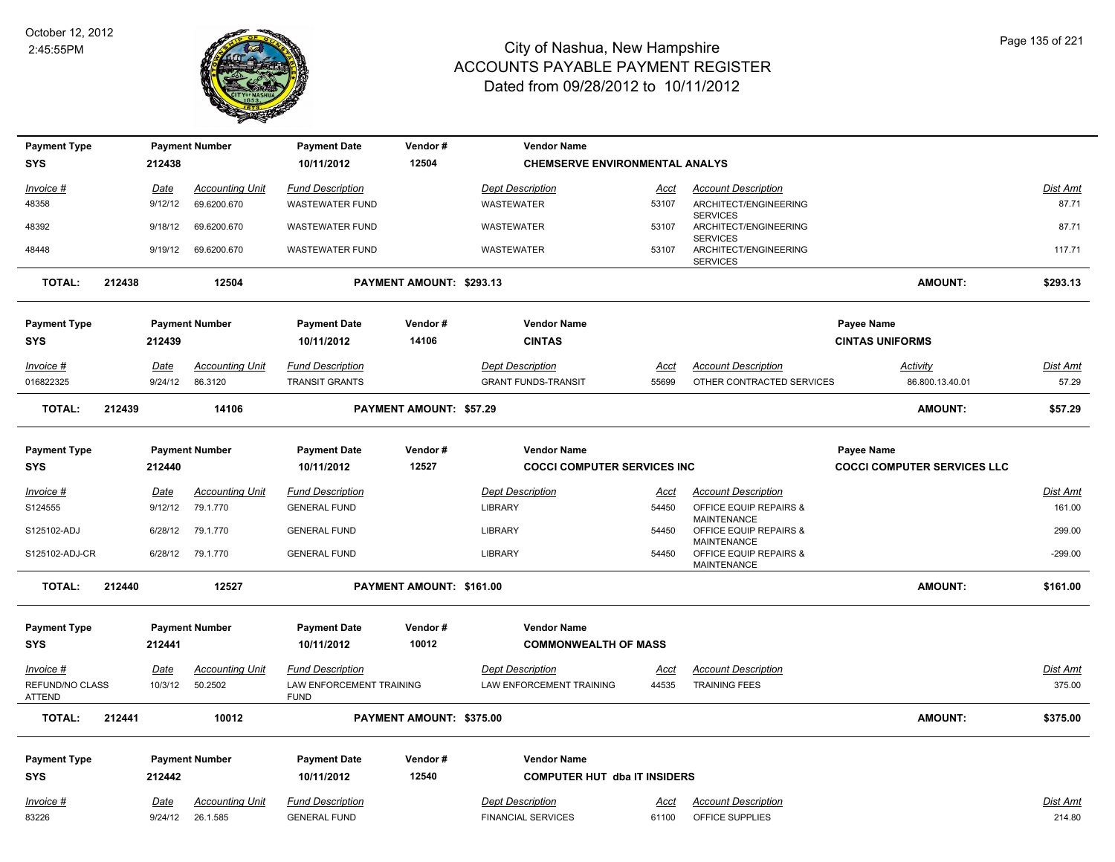

| <b>Payment Type</b>       |        |             | <b>Payment Number</b>  | <b>Payment Date</b>                     | Vendor#                        | <b>Vendor Name</b>                    |             |                                                                    |                                    |                 |
|---------------------------|--------|-------------|------------------------|-----------------------------------------|--------------------------------|---------------------------------------|-------------|--------------------------------------------------------------------|------------------------------------|-----------------|
| <b>SYS</b>                |        | 212438      |                        | 10/11/2012                              | 12504                          | <b>CHEMSERVE ENVIRONMENTAL ANALYS</b> |             |                                                                    |                                    |                 |
| Invoice #                 |        | Date        | <b>Accounting Unit</b> | <b>Fund Description</b>                 |                                | <b>Dept Description</b>               | Acct        | <b>Account Description</b>                                         |                                    | Dist Amt        |
| 48358                     |        | 9/12/12     | 69.6200.670            | <b>WASTEWATER FUND</b>                  |                                | <b>WASTEWATER</b>                     | 53107       | ARCHITECT/ENGINEERING<br><b>SERVICES</b>                           |                                    | 87.71           |
| 48392                     |        | 9/18/12     | 69.6200.670            | <b>WASTEWATER FUND</b>                  |                                | <b>WASTEWATER</b>                     | 53107       | ARCHITECT/ENGINEERING                                              |                                    | 87.71           |
| 48448                     |        | 9/19/12     | 69.6200.670            | <b>WASTEWATER FUND</b>                  |                                | <b>WASTEWATER</b>                     | 53107       | <b>SERVICES</b><br>ARCHITECT/ENGINEERING<br><b>SERVICES</b>        |                                    | 117.71          |
| <b>TOTAL:</b>             | 212438 |             | 12504                  |                                         | PAYMENT AMOUNT: \$293.13       |                                       |             |                                                                    | AMOUNT:                            | \$293.13        |
| <b>Payment Type</b>       |        |             | <b>Payment Number</b>  | <b>Payment Date</b>                     | Vendor#                        | <b>Vendor Name</b>                    |             |                                                                    | Payee Name                         |                 |
| <b>SYS</b>                |        | 212439      |                        | 10/11/2012                              | 14106                          | <b>CINTAS</b>                         |             |                                                                    | <b>CINTAS UNIFORMS</b>             |                 |
| Invoice #                 |        | Date        | <b>Accounting Unit</b> | <b>Fund Description</b>                 |                                | <b>Dept Description</b>               | <u>Acct</u> | <b>Account Description</b>                                         | Activity                           | <u>Dist Amt</u> |
| 016822325                 |        | 9/24/12     | 86.3120                | <b>TRANSIT GRANTS</b>                   |                                | <b>GRANT FUNDS-TRANSIT</b>            | 55699       | OTHER CONTRACTED SERVICES                                          | 86.800.13.40.01                    | 57.29           |
| <b>TOTAL:</b>             | 212439 |             | 14106                  |                                         | <b>PAYMENT AMOUNT: \$57.29</b> |                                       |             |                                                                    | <b>AMOUNT:</b>                     | \$57.29         |
|                           |        |             |                        |                                         |                                |                                       |             |                                                                    |                                    |                 |
| <b>Payment Type</b>       |        |             | <b>Payment Number</b>  | <b>Payment Date</b>                     | Vendor#                        | <b>Vendor Name</b>                    |             |                                                                    | Payee Name                         |                 |
| <b>SYS</b>                |        | 212440      |                        | 10/11/2012                              | 12527                          | <b>COCCI COMPUTER SERVICES INC.</b>   |             |                                                                    | <b>COCCI COMPUTER SERVICES LLC</b> |                 |
| <u>Invoice #</u>          |        | <u>Date</u> | <b>Accounting Unit</b> | <b>Fund Description</b>                 |                                | <b>Dept Description</b>               | <u>Acct</u> | <b>Account Description</b>                                         |                                    | Dist Amt        |
| S124555                   |        | 9/12/12     | 79.1.770               | <b>GENERAL FUND</b>                     |                                | <b>LIBRARY</b>                        | 54450       | OFFICE EQUIP REPAIRS &                                             |                                    | 161.00          |
| S125102-ADJ               |        | 6/28/12     | 79.1.770               | <b>GENERAL FUND</b>                     |                                | <b>LIBRARY</b>                        | 54450       | <b>MAINTENANCE</b><br>OFFICE EQUIP REPAIRS &                       |                                    | 299.00          |
| S125102-ADJ-CR            |        |             | 6/28/12 79.1.770       | <b>GENERAL FUND</b>                     |                                | LIBRARY                               | 54450       | <b>MAINTENANCE</b><br>OFFICE EQUIP REPAIRS &<br><b>MAINTENANCE</b> |                                    | $-299.00$       |
| <b>TOTAL:</b>             | 212440 |             | 12527                  |                                         | PAYMENT AMOUNT: \$161.00       |                                       |             |                                                                    | <b>AMOUNT:</b>                     | \$161.00        |
|                           |        |             |                        |                                         |                                |                                       |             |                                                                    |                                    |                 |
| <b>Payment Type</b>       |        |             | <b>Payment Number</b>  | <b>Payment Date</b>                     | Vendor#                        | <b>Vendor Name</b>                    |             |                                                                    |                                    |                 |
| <b>SYS</b>                |        | 212441      |                        | 10/11/2012                              | 10012                          | <b>COMMONWEALTH OF MASS</b>           |             |                                                                    |                                    |                 |
| $Invoice$ #               |        | <u>Date</u> | Accounting Unit        | <b>Fund Description</b>                 |                                | <b>Dept Description</b>               | Acct        | <b>Account Description</b>                                         |                                    | Dist Amt        |
| REFUND/NO CLASS<br>ATTEND |        | 10/3/12     | 50.2502                | LAW ENFORCEMENT TRAINING<br><b>FUND</b> |                                | LAW ENFORCEMENT TRAINING              | 44535       | <b>TRAINING FEES</b>                                               |                                    | 375.00          |
| <b>TOTAL:</b>             | 212441 |             | 10012                  |                                         | PAYMENT AMOUNT: \$375.00       |                                       |             |                                                                    | <b>AMOUNT:</b>                     | \$375.00        |
| <b>Payment Type</b>       |        |             | <b>Payment Number</b>  | <b>Payment Date</b>                     | Vendor#                        | <b>Vendor Name</b>                    |             |                                                                    |                                    |                 |
| <b>SYS</b>                |        | 212442      |                        | 10/11/2012                              | 12540                          | <b>COMPUTER HUT dba IT INSIDERS</b>   |             |                                                                    |                                    |                 |
| Invoice #                 |        | Date        | <b>Accounting Unit</b> | <b>Fund Description</b>                 |                                | <b>Dept Description</b>               | Acct        | <b>Account Description</b>                                         |                                    | Dist Amt        |
| 83226                     |        | 9/24/12     | 26.1.585               | <b>GENERAL FUND</b>                     |                                | <b>FINANCIAL SERVICES</b>             | 61100       | OFFICE SUPPLIES                                                    |                                    | 214.80          |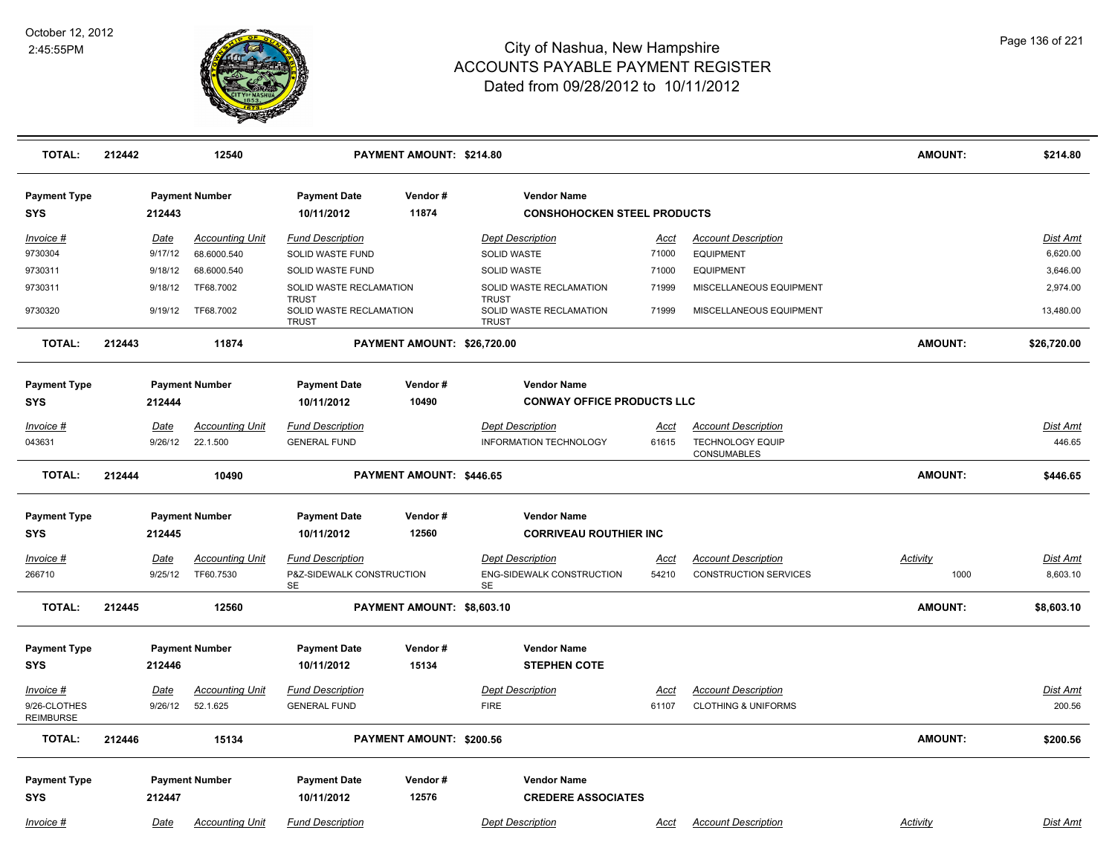

| <b>TOTAL:</b>                     | 212442 |                        | 12540                                 |                                                         | PAYMENT AMOUNT: \$214.80    |                                                          |               |                                                | <b>AMOUNT:</b>  | \$214.80             |
|-----------------------------------|--------|------------------------|---------------------------------------|---------------------------------------------------------|-----------------------------|----------------------------------------------------------|---------------|------------------------------------------------|-----------------|----------------------|
| <b>Payment Type</b><br><b>SYS</b> |        | 212443                 | <b>Payment Number</b>                 | <b>Payment Date</b><br>10/11/2012                       | Vendor#<br>11874            | <b>Vendor Name</b><br><b>CONSHOHOCKEN STEEL PRODUCTS</b> |               |                                                |                 |                      |
|                                   |        |                        |                                       |                                                         |                             |                                                          |               |                                                |                 |                      |
| Invoice #<br>9730304              |        | <u>Date</u><br>9/17/12 | <b>Accounting Unit</b><br>68.6000.540 | <b>Fund Description</b><br>SOLID WASTE FUND             |                             | <b>Dept Description</b><br>SOLID WASTE                   | Acct<br>71000 | <b>Account Description</b><br><b>EQUIPMENT</b> |                 | Dist Amt<br>6,620.00 |
| 9730311                           |        | 9/18/12                | 68.6000.540                           | SOLID WASTE FUND                                        |                             | <b>SOLID WASTE</b>                                       | 71000         | <b>EQUIPMENT</b>                               |                 | 3,646.00             |
| 9730311                           |        | 9/18/12                | TF68.7002                             | SOLID WASTE RECLAMATION                                 |                             | SOLID WASTE RECLAMATION                                  | 71999         | MISCELLANEOUS EQUIPMENT                        |                 | 2,974.00             |
| 9730320                           |        | 9/19/12                | TF68.7002                             | <b>TRUST</b><br>SOLID WASTE RECLAMATION<br><b>TRUST</b> |                             | <b>TRUST</b><br>SOLID WASTE RECLAMATION<br><b>TRUST</b>  | 71999         | MISCELLANEOUS EQUIPMENT                        |                 | 13,480.00            |
| <b>TOTAL:</b>                     | 212443 |                        | 11874                                 |                                                         | PAYMENT AMOUNT: \$26,720.00 |                                                          |               |                                                | <b>AMOUNT:</b>  | \$26,720.00          |
| <b>Payment Type</b>               |        |                        | <b>Payment Number</b>                 | <b>Payment Date</b>                                     | Vendor#                     | <b>Vendor Name</b>                                       |               |                                                |                 |                      |
| <b>SYS</b>                        |        | 212444                 |                                       | 10/11/2012                                              | 10490                       | <b>CONWAY OFFICE PRODUCTS LLC</b>                        |               |                                                |                 |                      |
| Invoice #                         |        | Date                   | <b>Accounting Unit</b>                | <b>Fund Description</b>                                 |                             | <b>Dept Description</b>                                  | Acct          | <b>Account Description</b>                     |                 | Dist Amt             |
| 043631                            |        | 9/26/12                | 22.1.500                              | <b>GENERAL FUND</b>                                     |                             | INFORMATION TECHNOLOGY                                   | 61615         | <b>TECHNOLOGY EQUIP</b><br>CONSUMABLES         |                 | 446.65               |
| <b>TOTAL:</b>                     | 212444 |                        | 10490                                 |                                                         | PAYMENT AMOUNT: \$446.65    |                                                          |               |                                                | <b>AMOUNT:</b>  | \$446.65             |
| <b>Payment Type</b>               |        |                        | <b>Payment Number</b>                 | <b>Payment Date</b>                                     | Vendor#                     | <b>Vendor Name</b>                                       |               |                                                |                 |                      |
| <b>SYS</b>                        |        | 212445                 |                                       | 10/11/2012                                              | 12560                       | <b>CORRIVEAU ROUTHIER INC</b>                            |               |                                                |                 |                      |
| Invoice #                         |        | Date                   | <b>Accounting Unit</b>                | <b>Fund Description</b>                                 |                             | <b>Dept Description</b>                                  | Acct          | <b>Account Description</b>                     | <b>Activity</b> | Dist Amt             |
| 266710                            |        | 9/25/12                | TF60.7530                             | P&Z-SIDEWALK CONSTRUCTION<br>SE                         |                             | ENG-SIDEWALK CONSTRUCTION<br>SE                          | 54210         | <b>CONSTRUCTION SERVICES</b>                   | 1000            | 8,603.10             |
| <b>TOTAL:</b>                     | 212445 |                        | 12560                                 |                                                         | PAYMENT AMOUNT: \$8,603.10  |                                                          |               |                                                | <b>AMOUNT:</b>  | \$8,603.10           |
| <b>Payment Type</b>               |        |                        | <b>Payment Number</b>                 | <b>Payment Date</b>                                     | Vendor#                     | <b>Vendor Name</b>                                       |               |                                                |                 |                      |
| <b>SYS</b>                        |        | 212446                 |                                       | 10/11/2012                                              | 15134                       | <b>STEPHEN COTE</b>                                      |               |                                                |                 |                      |
| Invoice #                         |        | Date                   | <b>Accounting Unit</b>                | <b>Fund Description</b>                                 |                             | <b>Dept Description</b>                                  | Acct          | <b>Account Description</b>                     |                 | Dist Amt             |
| 9/26-CLOTHES<br><b>REIMBURSE</b>  |        | 9/26/12                | 52.1.625                              | <b>GENERAL FUND</b>                                     |                             | <b>FIRE</b>                                              | 61107         | <b>CLOTHING &amp; UNIFORMS</b>                 |                 | 200.56               |
| <b>TOTAL:</b>                     | 212446 |                        | 15134                                 |                                                         | PAYMENT AMOUNT: \$200.56    |                                                          |               |                                                | <b>AMOUNT:</b>  | \$200.56             |
| <b>Payment Type</b>               |        |                        | <b>Payment Number</b>                 | <b>Payment Date</b>                                     | Vendor#                     | <b>Vendor Name</b>                                       |               |                                                |                 |                      |
| <b>SYS</b>                        |        | 212447                 |                                       | 10/11/2012                                              | 12576                       | <b>CREDERE ASSOCIATES</b>                                |               |                                                |                 |                      |
| Invoice #                         |        | <b>Date</b>            | <b>Accounting Unit</b>                | <b>Fund Description</b>                                 |                             | <b>Dept Description</b>                                  | <u>Acct</u>   | <b>Account Description</b>                     | <b>Activity</b> | <b>Dist Amt</b>      |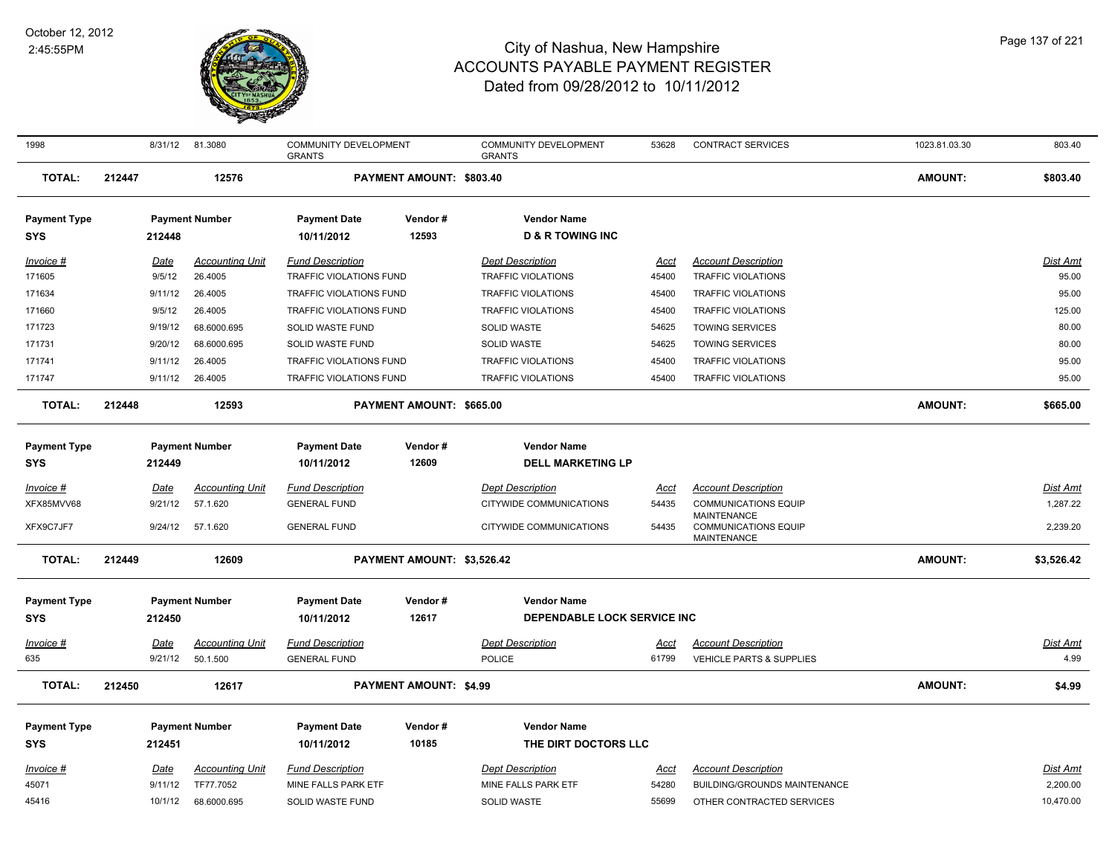

| 1998                |        | 8/31/12 | 81.3080                | COMMUNITY DEVELOPMENT<br><b>GRANTS</b> |                               | COMMUNITY DEVELOPMENT<br><b>GRANTS</b> | 53628       | <b>CONTRACT SERVICES</b>                                                | 1023.81.03.30  | 803.40          |
|---------------------|--------|---------|------------------------|----------------------------------------|-------------------------------|----------------------------------------|-------------|-------------------------------------------------------------------------|----------------|-----------------|
| <b>TOTAL:</b>       | 212447 |         | 12576                  |                                        | PAYMENT AMOUNT: \$803.40      |                                        |             |                                                                         | <b>AMOUNT:</b> | \$803.40        |
| <b>Payment Type</b> |        |         | <b>Payment Number</b>  | <b>Payment Date</b>                    | Vendor#                       | <b>Vendor Name</b>                     |             |                                                                         |                |                 |
| <b>SYS</b>          |        | 212448  |                        | 10/11/2012                             | 12593                         | <b>D &amp; R TOWING INC</b>            |             |                                                                         |                |                 |
| Invoice #           |        | Date    | <b>Accounting Unit</b> | <b>Fund Description</b>                |                               | <b>Dept Description</b>                | Acct        | <b>Account Description</b>                                              |                | Dist Amt        |
| 171605              |        | 9/5/12  | 26.4005                | TRAFFIC VIOLATIONS FUND                |                               | <b>TRAFFIC VIOLATIONS</b>              | 45400       | TRAFFIC VIOLATIONS                                                      |                | 95.00           |
| 171634              |        | 9/11/12 | 26.4005                | TRAFFIC VIOLATIONS FUND                |                               | <b>TRAFFIC VIOLATIONS</b>              | 45400       | <b>TRAFFIC VIOLATIONS</b>                                               |                | 95.00           |
| 171660              |        | 9/5/12  | 26.4005                | TRAFFIC VIOLATIONS FUND                |                               | <b>TRAFFIC VIOLATIONS</b>              | 45400       | TRAFFIC VIOLATIONS                                                      |                | 125.00          |
| 171723              |        | 9/19/12 | 68.6000.695            | SOLID WASTE FUND                       |                               | SOLID WASTE                            | 54625       | <b>TOWING SERVICES</b>                                                  |                | 80.00           |
| 171731              |        | 9/20/12 | 68.6000.695            | SOLID WASTE FUND                       |                               | SOLID WASTE                            | 54625       | <b>TOWING SERVICES</b>                                                  |                | 80.00           |
| 171741              |        | 9/11/12 | 26.4005                | <b>TRAFFIC VIOLATIONS FUND</b>         |                               | <b>TRAFFIC VIOLATIONS</b>              | 45400       | <b>TRAFFIC VIOLATIONS</b>                                               |                | 95.00           |
| 171747              |        |         | 9/11/12 26.4005        | TRAFFIC VIOLATIONS FUND                |                               | <b>TRAFFIC VIOLATIONS</b>              | 45400       | TRAFFIC VIOLATIONS                                                      |                | 95.00           |
| <b>TOTAL:</b>       | 212448 |         | 12593                  |                                        | PAYMENT AMOUNT: \$665.00      |                                        |             |                                                                         | <b>AMOUNT:</b> | \$665.00        |
| <b>Payment Type</b> |        |         | <b>Payment Number</b>  | <b>Payment Date</b>                    | Vendor#                       | <b>Vendor Name</b>                     |             |                                                                         |                |                 |
| <b>SYS</b>          |        | 212449  |                        | 10/11/2012                             | 12609                         | <b>DELL MARKETING LP</b>               |             |                                                                         |                |                 |
| Invoice #           |        | Date    | <b>Accounting Unit</b> | <b>Fund Description</b>                |                               | <b>Dept Description</b>                | <u>Acct</u> | <b>Account Description</b>                                              |                | <b>Dist Amt</b> |
| XFX85MVV68          |        | 9/21/12 | 57.1.620               | <b>GENERAL FUND</b>                    |                               | CITYWIDE COMMUNICATIONS                | 54435       | <b>COMMUNICATIONS EQUIP</b>                                             |                | 1,287.22        |
| XFX9C7JF7           |        | 9/24/12 | 57.1.620               | <b>GENERAL FUND</b>                    |                               | CITYWIDE COMMUNICATIONS                | 54435       | <b>MAINTENANCE</b><br><b>COMMUNICATIONS EQUIP</b><br><b>MAINTENANCE</b> |                | 2,239.20        |
| <b>TOTAL:</b>       | 212449 |         | 12609                  |                                        | PAYMENT AMOUNT: \$3,526.42    |                                        |             |                                                                         | <b>AMOUNT:</b> | \$3,526.42      |
| <b>Payment Type</b> |        |         | <b>Payment Number</b>  | <b>Payment Date</b>                    | Vendor#                       | <b>Vendor Name</b>                     |             |                                                                         |                |                 |
| <b>SYS</b>          |        | 212450  |                        | 10/11/2012                             | 12617                         | DEPENDABLE LOCK SERVICE INC            |             |                                                                         |                |                 |
|                     |        |         |                        |                                        |                               |                                        |             |                                                                         |                |                 |
| Invoice #           |        | Date    | <b>Accounting Unit</b> | <b>Fund Description</b>                |                               | <b>Dept Description</b>                | <u>Acct</u> | <b>Account Description</b>                                              |                | Dist Amt        |
| 635                 |        | 9/21/12 | 50.1.500               | <b>GENERAL FUND</b>                    |                               | <b>POLICE</b>                          | 61799       | <b>VEHICLE PARTS &amp; SUPPLIES</b>                                     |                | 4.99            |
| <b>TOTAL:</b>       | 212450 |         | 12617                  |                                        | <b>PAYMENT AMOUNT: \$4.99</b> |                                        |             |                                                                         | <b>AMOUNT:</b> | \$4.99          |
| <b>Payment Type</b> |        |         | <b>Payment Number</b>  | <b>Payment Date</b>                    | Vendor#                       | <b>Vendor Name</b>                     |             |                                                                         |                |                 |
| <b>SYS</b>          |        | 212451  |                        | 10/11/2012                             | 10185                         | THE DIRT DOCTORS LLC                   |             |                                                                         |                |                 |
| Invoice #           |        | Date    | <b>Accounting Unit</b> | <b>Fund Description</b>                |                               | <b>Dept Description</b>                | Acct        | <b>Account Description</b>                                              |                | Dist Amt        |
| 45071               |        | 9/11/12 | TF77.7052              | MINE FALLS PARK ETF                    |                               | MINE FALLS PARK ETF                    | 54280       | <b>BUILDING/GROUNDS MAINTENANCE</b>                                     |                | 2,200.00        |
| 45416               |        | 10/1/12 | 68.6000.695            | SOLID WASTE FUND                       |                               | SOLID WASTE                            | 55699       | OTHER CONTRACTED SERVICES                                               |                | 10,470.00       |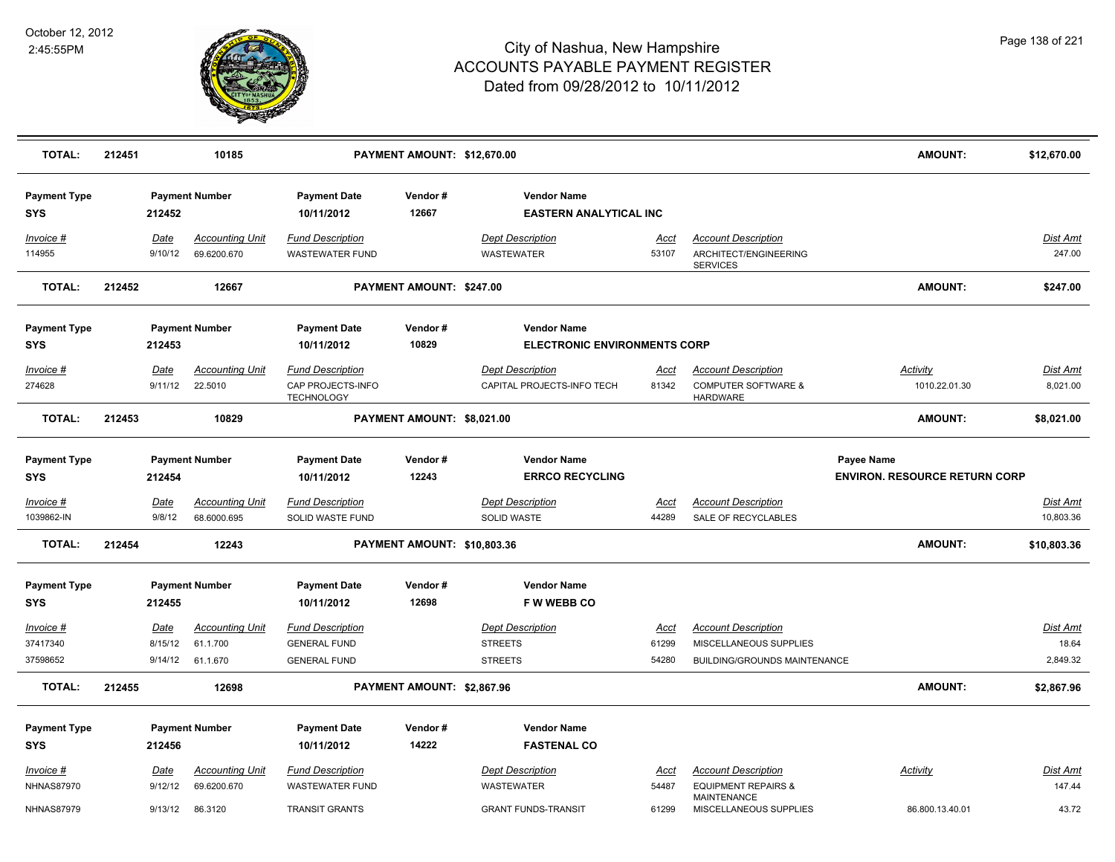

| <b>TOTAL:</b>                                              | 212451 |                            | 10185                                            |                                                                            | PAYMENT AMOUNT: \$12,670.00 |                                                                            |                               |                                                                                                              | AMOUNT:                                            | \$12,670.00                   |
|------------------------------------------------------------|--------|----------------------------|--------------------------------------------------|----------------------------------------------------------------------------|-----------------------------|----------------------------------------------------------------------------|-------------------------------|--------------------------------------------------------------------------------------------------------------|----------------------------------------------------|-------------------------------|
| <b>Payment Type</b><br><b>SYS</b>                          |        | 212452                     | <b>Payment Number</b>                            | <b>Payment Date</b><br>10/11/2012                                          | Vendor#<br>12667            | <b>Vendor Name</b><br><b>EASTERN ANALYTICAL INC</b>                        |                               |                                                                                                              |                                                    |                               |
| Invoice #<br>114955                                        |        | Date<br>9/10/12            | <b>Accounting Unit</b><br>69.6200.670            | <b>Fund Description</b><br><b>WASTEWATER FUND</b>                          |                             | <b>Dept Description</b><br><b>WASTEWATER</b>                               | Acct<br>53107                 | <b>Account Description</b><br>ARCHITECT/ENGINEERING<br><b>SERVICES</b>                                       |                                                    | Dist Amt<br>247.00            |
| <b>TOTAL:</b>                                              | 212452 |                            | 12667                                            |                                                                            | PAYMENT AMOUNT: \$247.00    |                                                                            |                               |                                                                                                              | <b>AMOUNT:</b>                                     | \$247.00                      |
| <b>Payment Type</b>                                        |        |                            | <b>Payment Number</b>                            | <b>Payment Date</b>                                                        | Vendor#                     | <b>Vendor Name</b>                                                         |                               |                                                                                                              |                                                    |                               |
| SYS                                                        |        | 212453                     |                                                  | 10/11/2012                                                                 | 10829                       | <b>ELECTRONIC ENVIRONMENTS CORP</b>                                        |                               |                                                                                                              |                                                    |                               |
| Invoice #<br>274628                                        |        | Date<br>9/11/12            | <b>Accounting Unit</b><br>22.5010                | <b>Fund Description</b><br>CAP PROJECTS-INFO<br><b>TECHNOLOGY</b>          |                             | <b>Dept Description</b><br>CAPITAL PROJECTS-INFO TECH                      | <u>Acct</u><br>81342          | <b>Account Description</b><br><b>COMPUTER SOFTWARE &amp;</b><br><b>HARDWARE</b>                              | Activity<br>1010.22.01.30                          | <b>Dist Amt</b><br>8,021.00   |
| <b>TOTAL:</b>                                              | 212453 |                            | 10829                                            |                                                                            | PAYMENT AMOUNT: \$8,021.00  |                                                                            |                               |                                                                                                              | <b>AMOUNT:</b>                                     | \$8,021.00                    |
| <b>Payment Type</b><br><b>SYS</b>                          |        | 212454                     | <b>Payment Number</b>                            | <b>Payment Date</b><br>10/11/2012                                          | Vendor#<br>12243            | <b>Vendor Name</b><br><b>ERRCO RECYCLING</b>                               |                               |                                                                                                              | Payee Name<br><b>ENVIRON, RESOURCE RETURN CORP</b> |                               |
| <u>Invoice #</u><br>1039862-IN                             |        | <b>Date</b><br>9/8/12      | <b>Accounting Unit</b><br>68.6000.695            | <b>Fund Description</b><br><b>SOLID WASTE FUND</b>                         |                             | <b>Dept Description</b><br><b>SOLID WASTE</b>                              | <u>Acct</u><br>44289          | <b>Account Description</b><br>SALE OF RECYCLABLES                                                            |                                                    | <u>Dist Amt</u><br>10,803.36  |
| <b>TOTAL:</b>                                              | 212454 |                            | 12243                                            |                                                                            | PAYMENT AMOUNT: \$10,803.36 |                                                                            |                               |                                                                                                              | AMOUNT:                                            | \$10,803.36                   |
| <b>Payment Type</b><br><b>SYS</b>                          |        | 212455                     | <b>Payment Number</b>                            | <b>Payment Date</b><br>10/11/2012                                          | Vendor#<br>12698            | <b>Vendor Name</b><br>F W WEBB CO                                          |                               |                                                                                                              |                                                    |                               |
| Invoice #<br>37417340<br>37598652                          |        | Date<br>8/15/12<br>9/14/12 | <b>Accounting Unit</b><br>61.1.700<br>61.1.670   | <b>Fund Description</b><br><b>GENERAL FUND</b><br><b>GENERAL FUND</b>      |                             | <b>Dept Description</b><br><b>STREETS</b><br><b>STREETS</b>                | Acct<br>61299<br>54280        | <b>Account Description</b><br>MISCELLANEOUS SUPPLIES<br><b>BUILDING/GROUNDS MAINTENANCE</b>                  |                                                    | Dist Amt<br>18.64<br>2,849.32 |
| <b>TOTAL:</b>                                              | 212455 |                            | 12698                                            |                                                                            | PAYMENT AMOUNT: \$2,867.96  |                                                                            |                               |                                                                                                              | AMOUNT:                                            | \$2,867.96                    |
| <b>Payment Type</b><br><b>SYS</b>                          |        | 212456                     | <b>Payment Number</b>                            | <b>Payment Date</b><br>10/11/2012                                          | Vendor#<br>14222            | <b>Vendor Name</b><br><b>FASTENAL CO</b>                                   |                               |                                                                                                              |                                                    |                               |
| <u>Invoice #</u><br><b>NHNAS87970</b><br><b>NHNAS87979</b> |        | Date<br>9/12/12<br>9/13/12 | <b>Accounting Unit</b><br>69.6200.670<br>86.3120 | <b>Fund Description</b><br><b>WASTEWATER FUND</b><br><b>TRANSIT GRANTS</b> |                             | <b>Dept Description</b><br><b>WASTEWATER</b><br><b>GRANT FUNDS-TRANSIT</b> | <u>Acct</u><br>54487<br>61299 | <b>Account Description</b><br><b>EQUIPMENT REPAIRS &amp;</b><br><b>MAINTENANCE</b><br>MISCELLANEOUS SUPPLIES | <b>Activity</b><br>86.800.13.40.01                 | Dist Amt<br>147.44<br>43.72   |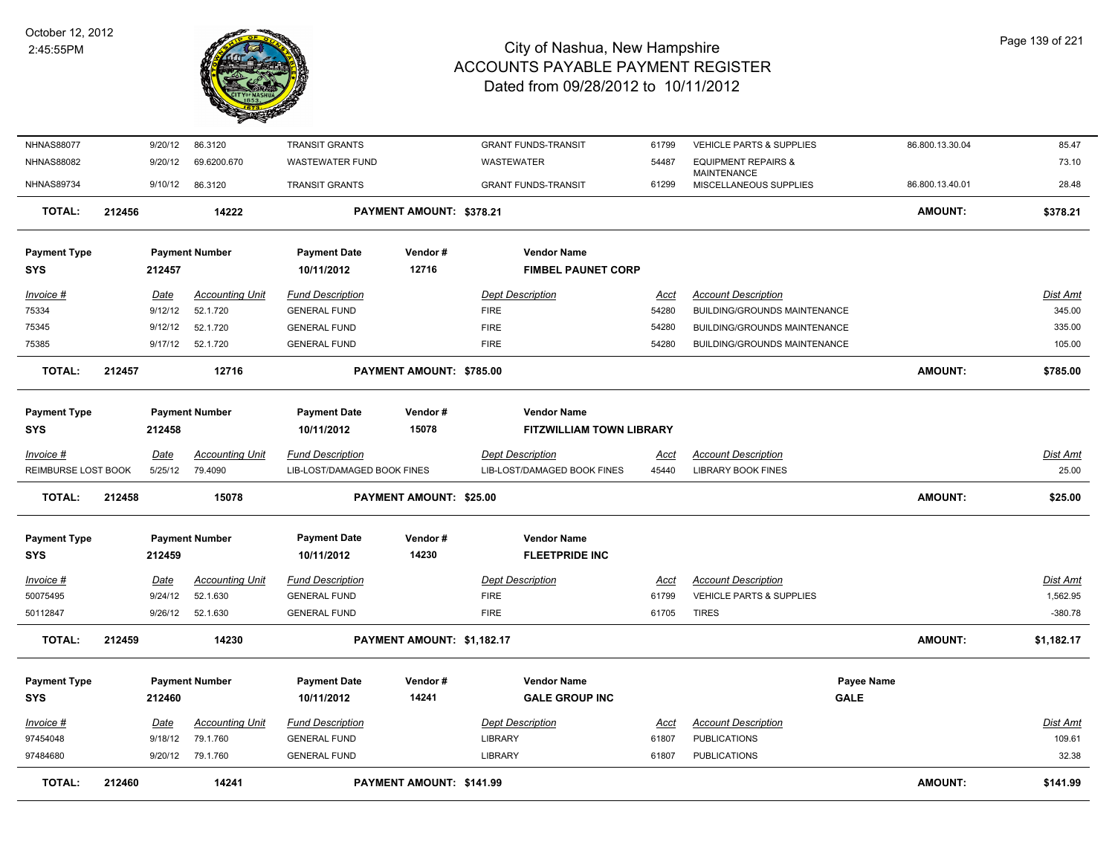

| <b>NHNAS88077</b>   |        | 9/20/12     | 86.3120                | <b>TRANSIT GRANTS</b>       |                            | <b>GRANT FUNDS-TRANSIT</b>      | 61799       | VEHICLE PARTS & SUPPLIES              | 86.800.13.30.04 | 85.47           |
|---------------------|--------|-------------|------------------------|-----------------------------|----------------------------|---------------------------------|-------------|---------------------------------------|-----------------|-----------------|
| <b>NHNAS88082</b>   |        | 9/20/12     | 69.6200.670            | <b>WASTEWATER FUND</b>      |                            | WASTEWATER                      | 54487       | <b>EQUIPMENT REPAIRS &amp;</b>        |                 | 73.10           |
| <b>NHNAS89734</b>   |        | 9/10/12     | 86.3120                | <b>TRANSIT GRANTS</b>       |                            | <b>GRANT FUNDS-TRANSIT</b>      | 61299       | MAINTENANCE<br>MISCELLANEOUS SUPPLIES | 86.800.13.40.01 | 28.48           |
| <b>TOTAL:</b>       | 212456 |             | 14222                  |                             | PAYMENT AMOUNT: \$378.21   |                                 |             |                                       | <b>AMOUNT:</b>  | \$378.21        |
| <b>Payment Type</b> |        |             | <b>Payment Number</b>  | <b>Payment Date</b>         | Vendor#                    | <b>Vendor Name</b>              |             |                                       |                 |                 |
| <b>SYS</b>          |        | 212457      |                        | 10/11/2012                  | 12716                      | <b>FIMBEL PAUNET CORP</b>       |             |                                       |                 |                 |
|                     |        |             |                        |                             |                            |                                 |             |                                       |                 |                 |
| Invoice #           |        | Date        | <b>Accounting Unit</b> | <b>Fund Description</b>     |                            | <b>Dept Description</b>         | <u>Acct</u> | <b>Account Description</b>            |                 | Dist Amt        |
| 75334               |        | 9/12/12     | 52.1.720               | <b>GENERAL FUND</b>         |                            | <b>FIRE</b>                     | 54280       | <b>BUILDING/GROUNDS MAINTENANCE</b>   |                 | 345.00          |
| 75345               |        | 9/12/12     | 52.1.720               | <b>GENERAL FUND</b>         |                            | <b>FIRE</b>                     | 54280       | BUILDING/GROUNDS MAINTENANCE          |                 | 335.00          |
| 75385               |        | 9/17/12     | 52.1.720               | <b>GENERAL FUND</b>         |                            | <b>FIRE</b>                     | 54280       | BUILDING/GROUNDS MAINTENANCE          |                 | 105.00          |
| <b>TOTAL:</b>       | 212457 |             | 12716                  |                             | PAYMENT AMOUNT: \$785.00   |                                 |             |                                       | <b>AMOUNT:</b>  | \$785.00        |
| <b>Payment Type</b> |        |             | <b>Payment Number</b>  | <b>Payment Date</b>         | Vendor#                    | <b>Vendor Name</b>              |             |                                       |                 |                 |
| <b>SYS</b>          |        | 212458      |                        | 10/11/2012                  | 15078                      | <b>FITZWILLIAM TOWN LIBRARY</b> |             |                                       |                 |                 |
| $Invoice$ #         |        | <b>Date</b> | <b>Accounting Unit</b> | <b>Fund Description</b>     |                            | <b>Dept Description</b>         | <b>Acct</b> | <b>Account Description</b>            |                 | <b>Dist Amt</b> |
| REIMBURSE LOST BOOK |        | 5/25/12     | 79.4090                | LIB-LOST/DAMAGED BOOK FINES |                            | LIB-LOST/DAMAGED BOOK FINES     | 45440       | <b>LIBRARY BOOK FINES</b>             |                 | 25.00           |
| <b>TOTAL:</b>       | 212458 |             | 15078                  |                             | PAYMENT AMOUNT: \$25.00    |                                 |             |                                       | <b>AMOUNT:</b>  | \$25.00         |
| <b>Payment Type</b> |        |             | <b>Payment Number</b>  | <b>Payment Date</b>         | Vendor#                    | <b>Vendor Name</b>              |             |                                       |                 |                 |
| <b>SYS</b>          |        | 212459      |                        | 10/11/2012                  | 14230                      | <b>FLEETPRIDE INC</b>           |             |                                       |                 |                 |
|                     |        |             |                        |                             |                            |                                 |             |                                       |                 |                 |
| Invoice #           |        | <u>Date</u> | <b>Accounting Unit</b> | <b>Fund Description</b>     |                            | <b>Dept Description</b>         | <u>Acct</u> | <b>Account Description</b>            |                 | Dist Amt        |
| 50075495            |        | 9/24/12     | 52.1.630               | <b>GENERAL FUND</b>         |                            | <b>FIRE</b>                     | 61799       | VEHICLE PARTS & SUPPLIES              |                 | 1,562.95        |
| 50112847            |        | 9/26/12     | 52.1.630               | <b>GENERAL FUND</b>         |                            | <b>FIRE</b>                     | 61705       | <b>TIRES</b>                          |                 | $-380.78$       |
| <b>TOTAL:</b>       | 212459 |             | 14230                  |                             | PAYMENT AMOUNT: \$1,182.17 |                                 |             |                                       | <b>AMOUNT:</b>  | \$1,182.17      |
| <b>Payment Type</b> |        |             | <b>Payment Number</b>  | <b>Payment Date</b>         | Vendor#                    | <b>Vendor Name</b>              |             |                                       | Payee Name      |                 |
| <b>SYS</b>          |        | 212460      |                        | 10/11/2012                  | 14241                      | <b>GALE GROUP INC</b>           |             |                                       | <b>GALE</b>     |                 |
| $Invoice$ #         |        | Date        | <b>Accounting Unit</b> | <b>Fund Description</b>     |                            | <b>Dept Description</b>         | <u>Acct</u> | <b>Account Description</b>            |                 | <u>Dist Amt</u> |
| 97454048            |        | 9/18/12     | 79.1.760               | <b>GENERAL FUND</b>         |                            | <b>LIBRARY</b>                  | 61807       | <b>PUBLICATIONS</b>                   |                 | 109.61          |
| 97484680            |        |             | 9/20/12 79.1.760       | <b>GENERAL FUND</b>         |                            | <b>LIBRARY</b>                  | 61807       | <b>PUBLICATIONS</b>                   |                 | 32.38           |
| <b>TOTAL:</b>       | 212460 |             | 14241                  |                             | PAYMENT AMOUNT: \$141.99   |                                 |             |                                       | <b>AMOUNT:</b>  | \$141.99        |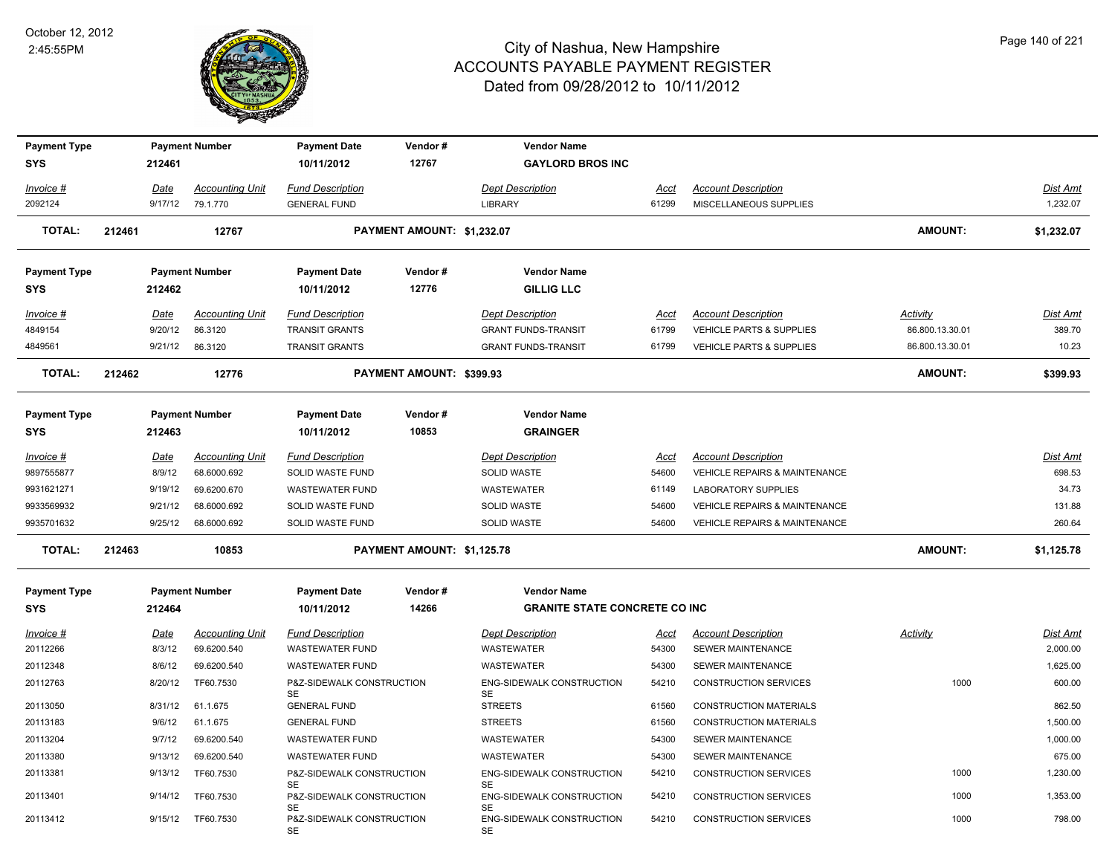

| <b>Payment Type</b>  |        |                 | <b>Payment Number</b>             | <b>Payment Date</b>                              | Vendor#                    | <b>Vendor Name</b>                                    |               |                                                                   |                                    |                    |
|----------------------|--------|-----------------|-----------------------------------|--------------------------------------------------|----------------------------|-------------------------------------------------------|---------------|-------------------------------------------------------------------|------------------------------------|--------------------|
| <b>SYS</b>           |        | 212461          |                                   | 10/11/2012                                       | 12767                      | <b>GAYLORD BROS INC</b>                               |               |                                                                   |                                    |                    |
| Invoice #            |        | <u>Date</u>     | <b>Accounting Unit</b>            | <b>Fund Description</b>                          |                            | <b>Dept Description</b>                               | Acct          | <b>Account Description</b>                                        |                                    | Dist Amt           |
| 2092124              |        | 9/17/12         | 79.1.770                          | <b>GENERAL FUND</b>                              |                            | <b>LIBRARY</b>                                        | 61299         | MISCELLANEOUS SUPPLIES                                            |                                    | 1,232.07           |
| <b>TOTAL:</b>        | 212461 |                 | 12767                             |                                                  | PAYMENT AMOUNT: \$1,232.07 |                                                       |               |                                                                   | AMOUNT:                            | \$1,232.07         |
| <b>Payment Type</b>  |        |                 | <b>Payment Number</b>             | <b>Payment Date</b>                              | Vendor#                    | <b>Vendor Name</b>                                    |               |                                                                   |                                    |                    |
| SYS                  |        | 212462          |                                   | 10/11/2012                                       | 12776                      | <b>GILLIG LLC</b>                                     |               |                                                                   |                                    |                    |
| Invoice #<br>4849154 |        | Date<br>9/20/12 | <b>Accounting Unit</b><br>86.3120 | <b>Fund Description</b><br><b>TRANSIT GRANTS</b> |                            | <b>Dept Description</b><br><b>GRANT FUNDS-TRANSIT</b> | Acct<br>61799 | <b>Account Description</b><br><b>VEHICLE PARTS &amp; SUPPLIES</b> | <b>Activity</b><br>86.800.13.30.01 | Dist Amt<br>389.70 |
| 4849561              |        | 9/21/12         | 86.3120                           | <b>TRANSIT GRANTS</b>                            |                            | <b>GRANT FUNDS-TRANSIT</b>                            | 61799         | <b>VEHICLE PARTS &amp; SUPPLIES</b>                               | 86.800.13.30.01                    | 10.23              |
| <b>TOTAL:</b>        | 212462 |                 | 12776                             |                                                  | PAYMENT AMOUNT: \$399.93   |                                                       |               |                                                                   | <b>AMOUNT:</b>                     | \$399.93           |
| <b>Payment Type</b>  |        |                 | <b>Payment Number</b>             | <b>Payment Date</b>                              | Vendor#                    | <b>Vendor Name</b>                                    |               |                                                                   |                                    |                    |
| <b>SYS</b>           |        | 212463          |                                   | 10/11/2012                                       | 10853                      | <b>GRAINGER</b>                                       |               |                                                                   |                                    |                    |
| $Invoice$ #          |        | <u>Date</u>     | <b>Accounting Unit</b>            | <b>Fund Description</b>                          |                            | <b>Dept Description</b>                               | Acct          | <b>Account Description</b>                                        |                                    | Dist Amt           |
| 9897555877           |        | 8/9/12          | 68.6000.692                       | SOLID WASTE FUND                                 |                            | <b>SOLID WASTE</b>                                    | 54600         | <b>VEHICLE REPAIRS &amp; MAINTENANCE</b>                          |                                    | 698.53             |
| 9931621271           |        | 9/19/12         | 69.6200.670                       | <b>WASTEWATER FUND</b>                           |                            | WASTEWATER                                            | 61149         | LABORATORY SUPPLIES                                               |                                    | 34.73              |
| 9933569932           |        | 9/21/12         | 68.6000.692                       | SOLID WASTE FUND                                 |                            | SOLID WASTE                                           | 54600         | VEHICLE REPAIRS & MAINTENANCE                                     |                                    | 131.88             |
| 9935701632           |        | 9/25/12         | 68.6000.692                       | SOLID WASTE FUND                                 |                            | SOLID WASTE                                           | 54600         | <b>VEHICLE REPAIRS &amp; MAINTENANCE</b>                          |                                    | 260.64             |
| <b>TOTAL:</b>        | 212463 |                 | 10853                             |                                                  | PAYMENT AMOUNT: \$1,125.78 |                                                       |               |                                                                   | AMOUNT:                            | \$1,125.78         |
| <b>Payment Type</b>  |        |                 | <b>Payment Number</b>             | <b>Payment Date</b>                              | Vendor#                    | <b>Vendor Name</b>                                    |               |                                                                   |                                    |                    |
| <b>SYS</b>           |        | 212464          |                                   | 10/11/2012                                       | 14266                      | <b>GRANITE STATE CONCRETE CO INC</b>                  |               |                                                                   |                                    |                    |
| Invoice #            |        | <u>Date</u>     | <u>Accounting Unit</u>            | <b>Fund Description</b>                          |                            | <b>Dept Description</b>                               | <u>Acct</u>   | <b>Account Description</b>                                        | <b>Activity</b>                    | <b>Dist Amt</b>    |
| 20112266             |        | 8/3/12          | 69.6200.540                       | <b>WASTEWATER FUND</b>                           |                            | WASTEWATER                                            | 54300         | SEWER MAINTENANCE                                                 |                                    | 2,000.00           |
| 20112348             |        | 8/6/12          | 69.6200.540                       | <b>WASTEWATER FUND</b>                           |                            | WASTEWATER                                            | 54300         | <b>SEWER MAINTENANCE</b>                                          |                                    | 1,625.00           |
| 20112763             |        | 8/20/12         | TF60.7530                         | P&Z-SIDEWALK CONSTRUCTION                        |                            | ENG-SIDEWALK CONSTRUCTION                             | 54210         | <b>CONSTRUCTION SERVICES</b>                                      | 1000                               | 600.00             |
| 20113050             |        | 8/31/12         | 61.1.675                          | SE<br><b>GENERAL FUND</b>                        |                            | <b>SE</b><br><b>STREETS</b>                           | 61560         | <b>CONSTRUCTION MATERIALS</b>                                     |                                    | 862.50             |
| 20113183             |        | 9/6/12          | 61.1.675                          | <b>GENERAL FUND</b>                              |                            | <b>STREETS</b>                                        | 61560         | <b>CONSTRUCTION MATERIALS</b>                                     |                                    | 1,500.00           |
| 20113204             |        | 9/7/12          | 69.6200.540                       | <b>WASTEWATER FUND</b>                           |                            | WASTEWATER                                            | 54300         | SEWER MAINTENANCE                                                 |                                    | 1,000.00           |
| 20113380             |        | 9/13/12         | 69.6200.540                       | <b>WASTEWATER FUND</b>                           |                            | WASTEWATER                                            | 54300         | SEWER MAINTENANCE                                                 |                                    | 675.00             |
| 20113381             |        | 9/13/12         | TF60.7530                         | P&Z-SIDEWALK CONSTRUCTION<br>SE                  |                            | ENG-SIDEWALK CONSTRUCTION<br>SE                       | 54210         | <b>CONSTRUCTION SERVICES</b>                                      | 1000                               | 1,230.00           |
| 20113401             |        | 9/14/12         | TF60.7530                         | P&Z-SIDEWALK CONSTRUCTION                        |                            | ENG-SIDEWALK CONSTRUCTION                             | 54210         | <b>CONSTRUCTION SERVICES</b>                                      | 1000                               | 1,353.00           |
| 20113412             |        | 9/15/12         | TF60.7530                         | SE<br>P&Z-SIDEWALK CONSTRUCTION<br>SE            |                            | SE<br><b>ENG-SIDEWALK CONSTRUCTION</b><br><b>SE</b>   | 54210         | <b>CONSTRUCTION SERVICES</b>                                      | 1000                               | 798.00             |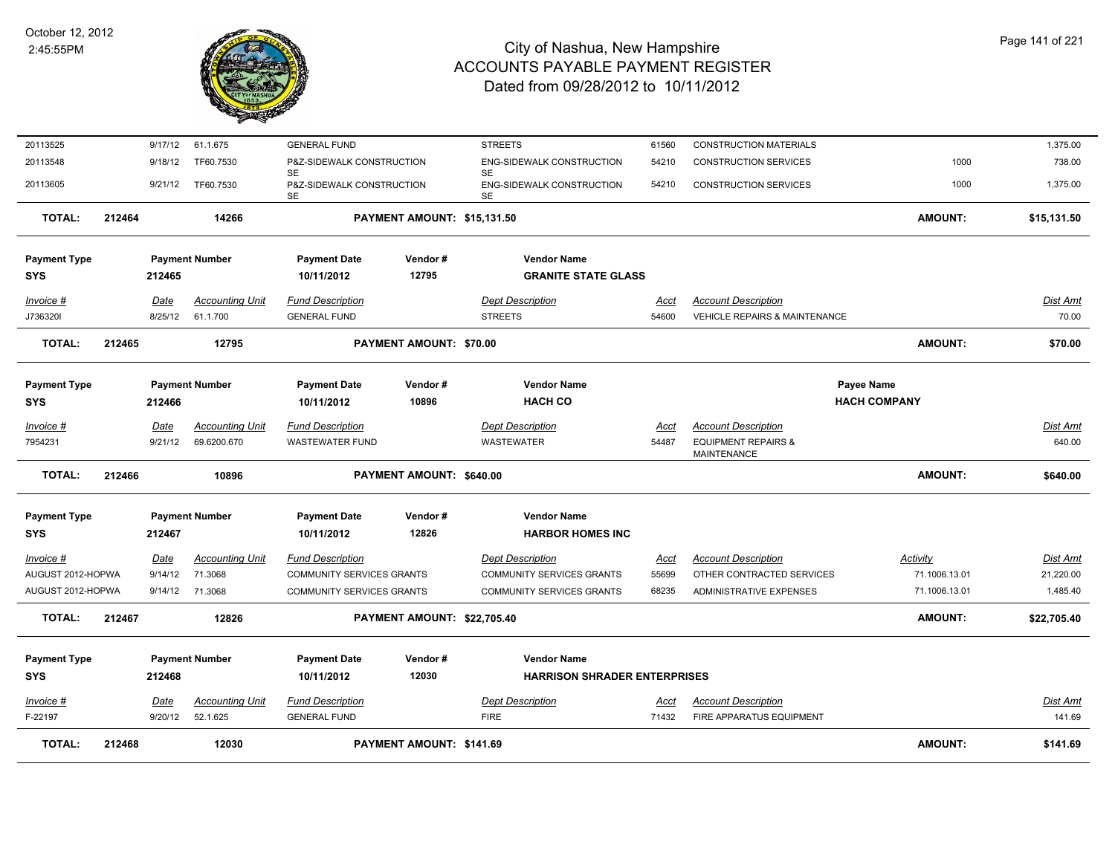

| TOTAL:                            | 212468 |                | 12030                  |                                        | PAYMENT AMOUNT: \$141.69    |                                                                |             |                                                      | AMOUNT:             | \$141.69        |
|-----------------------------------|--------|----------------|------------------------|----------------------------------------|-----------------------------|----------------------------------------------------------------|-------------|------------------------------------------------------|---------------------|-----------------|
| F-22197                           |        | 9/20/12        | 52.1.625               | <b>GENERAL FUND</b>                    |                             | <b>FIRE</b>                                                    | 71432       | FIRE APPARATUS EQUIPMENT                             |                     | 141.69          |
| SYS<br>Invoice #                  |        | 212468<br>Date | <b>Accounting Unit</b> | 10/11/2012<br><b>Fund Description</b>  | 12030                       | <b>HARRISON SHRADER ENTERPRISES</b><br><b>Dept Description</b> | Acct        | <b>Account Description</b>                           |                     | <b>Dist Amt</b> |
| <b>Payment Type</b>               |        |                | <b>Payment Number</b>  | <b>Payment Date</b>                    | Vendor#                     | <b>Vendor Name</b>                                             |             |                                                      |                     |                 |
| <b>TOTAL:</b>                     | 212467 |                | 12826                  |                                        | PAYMENT AMOUNT: \$22,705.40 |                                                                |             |                                                      | AMOUNT:             | \$22,705.40     |
| AUGUST 2012-HOPWA                 |        |                | 9/14/12 71.3068        | <b>COMMUNITY SERVICES GRANTS</b>       |                             | <b>COMMUNITY SERVICES GRANTS</b>                               | 68235       | ADMINISTRATIVE EXPENSES                              | 71.1006.13.01       | 1,485.40        |
| AUGUST 2012-HOPWA                 |        | 9/14/12        | 71.3068                | <b>COMMUNITY SERVICES GRANTS</b>       |                             | <b>COMMUNITY SERVICES GRANTS</b>                               | 55699       | OTHER CONTRACTED SERVICES                            | 71.1006.13.01       | 21,220.00       |
| <u>Invoice #</u>                  |        | Date           | <b>Accounting Unit</b> | <b>Fund Description</b>                |                             | <b>Dept Description</b>                                        | <u>Acct</u> | <b>Account Description</b>                           | <b>Activity</b>     | Dist Amt        |
| SYS                               |        | 212467         |                        | 10/11/2012                             | 12826                       | <b>HARBOR HOMES INC</b>                                        |             |                                                      |                     |                 |
| <b>Payment Type</b>               |        |                | <b>Payment Number</b>  | <b>Payment Date</b>                    | Vendor#                     | <b>Vendor Name</b>                                             |             |                                                      |                     |                 |
| <b>TOTAL:</b>                     | 212466 |                | 10896                  |                                        | PAYMENT AMOUNT: \$640.00    |                                                                |             |                                                      | AMOUNT:             | \$640.00        |
| 7954231                           |        | 9/21/12        | 69.6200.670            | <b>WASTEWATER FUND</b>                 |                             | WASTEWATER                                                     | 54487       | <b>EQUIPMENT REPAIRS &amp;</b><br><b>MAINTENANCE</b> |                     | 640.00          |
| Invoice #                         |        | Date           | <b>Accounting Unit</b> | <b>Fund Description</b>                |                             | <b>Dept Description</b>                                        | Acct        | <b>Account Description</b>                           |                     | Dist Amt        |
| <b>SYS</b>                        |        | 212466         |                        | 10/11/2012                             | 10896                       | <b>HACH CO</b>                                                 |             |                                                      | <b>HACH COMPANY</b> |                 |
| <b>Payment Type</b>               |        |                | <b>Payment Number</b>  | <b>Payment Date</b>                    | Vendor#                     | <b>Vendor Name</b>                                             |             |                                                      | Payee Name          |                 |
| <b>TOTAL:</b>                     | 212465 |                | 12795                  |                                        | PAYMENT AMOUNT: \$70.00     |                                                                |             |                                                      | AMOUNT:             | \$70.00         |
| J736320I                          |        | 8/25/12        | 61.1.700               | <b>GENERAL FUND</b>                    |                             | <b>STREETS</b>                                                 | 54600       | <b>VEHICLE REPAIRS &amp; MAINTENANCE</b>             |                     | 70.00           |
| Invoice #                         |        | Date           | <b>Accounting Unit</b> | <b>Fund Description</b>                |                             | <b>Dept Description</b>                                        | Acct        | <b>Account Description</b>                           |                     | Dist Amt        |
| <b>Payment Type</b><br><b>SYS</b> |        | 212465         | <b>Payment Number</b>  | <b>Payment Date</b><br>10/11/2012      | Vendor#<br>12795            | <b>Vendor Name</b><br><b>GRANITE STATE GLASS</b>               |             |                                                      |                     |                 |
| <b>TOTAL:</b>                     | 212464 |                | 14266                  |                                        | PAYMENT AMOUNT: \$15,131.50 |                                                                |             |                                                      | <b>AMOUNT:</b>      | \$15,131.50     |
| 20113605                          |        | 9/21/12        | TF60.7530              | P&Z-SIDEWALK CONSTRUCTION<br>SE        |                             | ENG-SIDEWALK CONSTRUCTION<br>SE                                | 54210       | <b>CONSTRUCTION SERVICES</b>                         | 1000                | 1,375.00        |
| 20113548                          |        | 9/18/12        | TF60.7530              | P&Z-SIDEWALK CONSTRUCTION<br><b>SE</b> |                             | ENG-SIDEWALK CONSTRUCTION<br><b>SE</b>                         | 54210       | <b>CONSTRUCTION SERVICES</b>                         | 1000                | 738.00          |
| 20113525                          |        |                |                        |                                        |                             |                                                                |             |                                                      |                     |                 |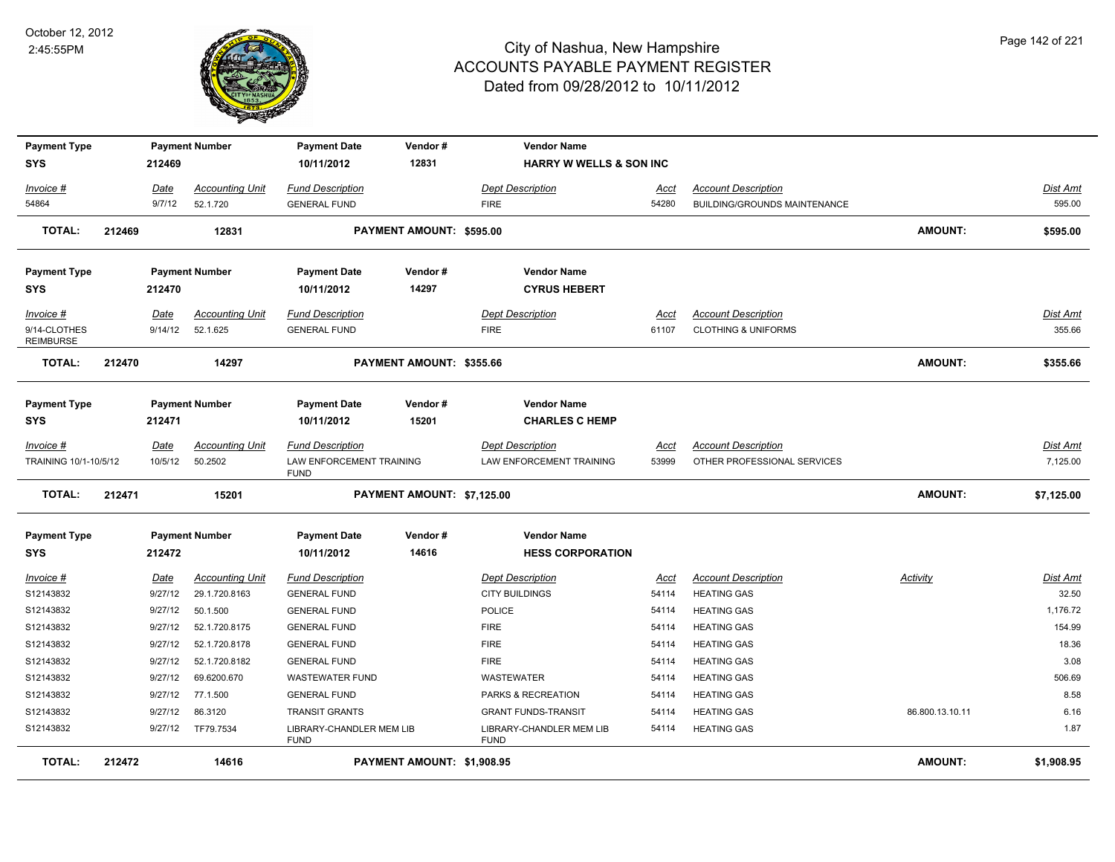

| <b>Payment Type</b>              |        |                        | <b>Payment Number</b>                   | <b>Payment Date</b>                            | Vendor#                    | <b>Vendor Name</b>                               |                                    |                                                  |                 |                   |
|----------------------------------|--------|------------------------|-----------------------------------------|------------------------------------------------|----------------------------|--------------------------------------------------|------------------------------------|--------------------------------------------------|-----------------|-------------------|
| SYS                              |        | 212469                 |                                         | 10/11/2012                                     | 12831                      |                                                  | <b>HARRY W WELLS &amp; SON INC</b> |                                                  |                 |                   |
| Invoice #                        |        | Date                   | <b>Accounting Unit</b>                  | <b>Fund Description</b>                        |                            | <b>Dept Description</b>                          | Acct                               | <b>Account Description</b>                       |                 | Dist Amt          |
| 54864                            |        | 9/7/12                 | 52.1.720                                | <b>GENERAL FUND</b>                            |                            | <b>FIRE</b>                                      | 54280                              | BUILDING/GROUNDS MAINTENANCE                     |                 | 595.00            |
| <b>TOTAL:</b>                    | 212469 |                        | 12831                                   |                                                | PAYMENT AMOUNT: \$595.00   |                                                  |                                    |                                                  | <b>AMOUNT:</b>  | \$595.00          |
| <b>Payment Type</b>              |        |                        | <b>Payment Number</b>                   | <b>Payment Date</b>                            | Vendor#                    | <b>Vendor Name</b>                               |                                    |                                                  |                 |                   |
| SYS                              |        | 212470                 |                                         | 10/11/2012                                     | 14297                      | <b>CYRUS HEBERT</b>                              |                                    |                                                  |                 |                   |
| Invoice #                        |        | Date                   | <b>Accounting Unit</b>                  | <b>Fund Description</b>                        |                            | <b>Dept Description</b>                          | Acct                               | <b>Account Description</b>                       |                 | Dist Amt          |
| 9/14-CLOTHES<br><b>REIMBURSE</b> |        | 9/14/12                | 52.1.625                                | <b>GENERAL FUND</b>                            |                            | <b>FIRE</b>                                      | 61107                              | <b>CLOTHING &amp; UNIFORMS</b>                   |                 | 355.66            |
| <b>TOTAL:</b>                    | 212470 |                        | 14297                                   |                                                | PAYMENT AMOUNT: \$355.66   |                                                  |                                    |                                                  | <b>AMOUNT:</b>  | \$355.66          |
| <b>Payment Type</b>              |        |                        | <b>Payment Number</b>                   | <b>Payment Date</b>                            | Vendor#                    | <b>Vendor Name</b>                               |                                    |                                                  |                 |                   |
| <b>SYS</b>                       |        | 212471                 |                                         | 10/11/2012                                     | 15201                      | <b>CHARLES C HEMP</b>                            |                                    |                                                  |                 |                   |
| <u>Invoice #</u>                 |        | <u>Date</u>            | <u>Accounting Unit</u>                  | <b>Fund Description</b>                        |                            | <b>Dept Description</b>                          | <u>Acct</u>                        | <b>Account Description</b>                       |                 | <u>Dist Amt</u>   |
| TRAINING 10/1-10/5/12            |        | 10/5/12                | 50.2502                                 | LAW ENFORCEMENT TRAINING<br><b>FUND</b>        |                            | LAW ENFORCEMENT TRAINING                         | 53999                              | OTHER PROFESSIONAL SERVICES                      |                 | 7,125.00          |
| <b>TOTAL:</b>                    | 212471 |                        | 15201                                   |                                                | PAYMENT AMOUNT: \$7,125.00 |                                                  |                                    |                                                  | <b>AMOUNT:</b>  | \$7,125.00        |
| <b>Payment Type</b>              |        |                        | <b>Payment Number</b>                   | <b>Payment Date</b>                            | Vendor#                    | <b>Vendor Name</b>                               |                                    |                                                  |                 |                   |
| SYS                              |        | 212472                 |                                         | 10/11/2012                                     | 14616                      | <b>HESS CORPORATION</b>                          |                                    |                                                  |                 |                   |
| <u>Invoice #</u><br>S12143832    |        | <u>Date</u><br>9/27/12 | <b>Accounting Unit</b><br>29.1.720.8163 | <u>Fund Description</u><br><b>GENERAL FUND</b> |                            | <b>Dept Description</b><br><b>CITY BUILDINGS</b> | <u>Acct</u><br>54114               | <b>Account Description</b><br><b>HEATING GAS</b> | <b>Activity</b> | Dist Amt<br>32.50 |
| S12143832                        |        | 9/27/12                | 50.1.500                                | <b>GENERAL FUND</b>                            |                            | <b>POLICE</b>                                    | 54114                              | <b>HEATING GAS</b>                               |                 | 1,176.72          |
| S12143832                        |        | 9/27/12                | 52.1.720.8175                           | <b>GENERAL FUND</b>                            |                            | <b>FIRE</b>                                      | 54114                              | <b>HEATING GAS</b>                               |                 | 154.99            |
| S12143832                        |        | 9/27/12                | 52.1.720.8178                           | <b>GENERAL FUND</b>                            |                            | <b>FIRE</b>                                      | 54114                              | <b>HEATING GAS</b>                               |                 | 18.36             |
| S12143832                        |        | 9/27/12                | 52.1.720.8182                           | <b>GENERAL FUND</b>                            |                            | <b>FIRE</b>                                      | 54114                              | <b>HEATING GAS</b>                               |                 | 3.08              |
| S12143832                        |        | 9/27/12                | 69.6200.670                             | <b>WASTEWATER FUND</b>                         |                            | <b>WASTEWATER</b>                                | 54114                              | <b>HEATING GAS</b>                               |                 | 506.69            |
| S12143832                        |        | 9/27/12                | 77.1.500                                | <b>GENERAL FUND</b>                            |                            | PARKS & RECREATION                               | 54114                              | <b>HEATING GAS</b>                               |                 | 8.58              |
| S12143832                        |        | 9/27/12                | 86.3120                                 | <b>TRANSIT GRANTS</b>                          |                            | <b>GRANT FUNDS-TRANSIT</b>                       | 54114                              | <b>HEATING GAS</b>                               | 86.800.13.10.11 | 6.16              |
| S12143832                        |        | 9/27/12                | TF79.7534                               | LIBRARY-CHANDLER MEM LIB<br><b>FUND</b>        |                            | LIBRARY-CHANDLER MEM LIB<br><b>FUND</b>          | 54114                              | <b>HEATING GAS</b>                               |                 | 1.87              |
| <b>TOTAL:</b>                    | 212472 |                        | 14616                                   |                                                | PAYMENT AMOUNT: \$1,908.95 |                                                  |                                    |                                                  | <b>AMOUNT:</b>  | \$1,908.95        |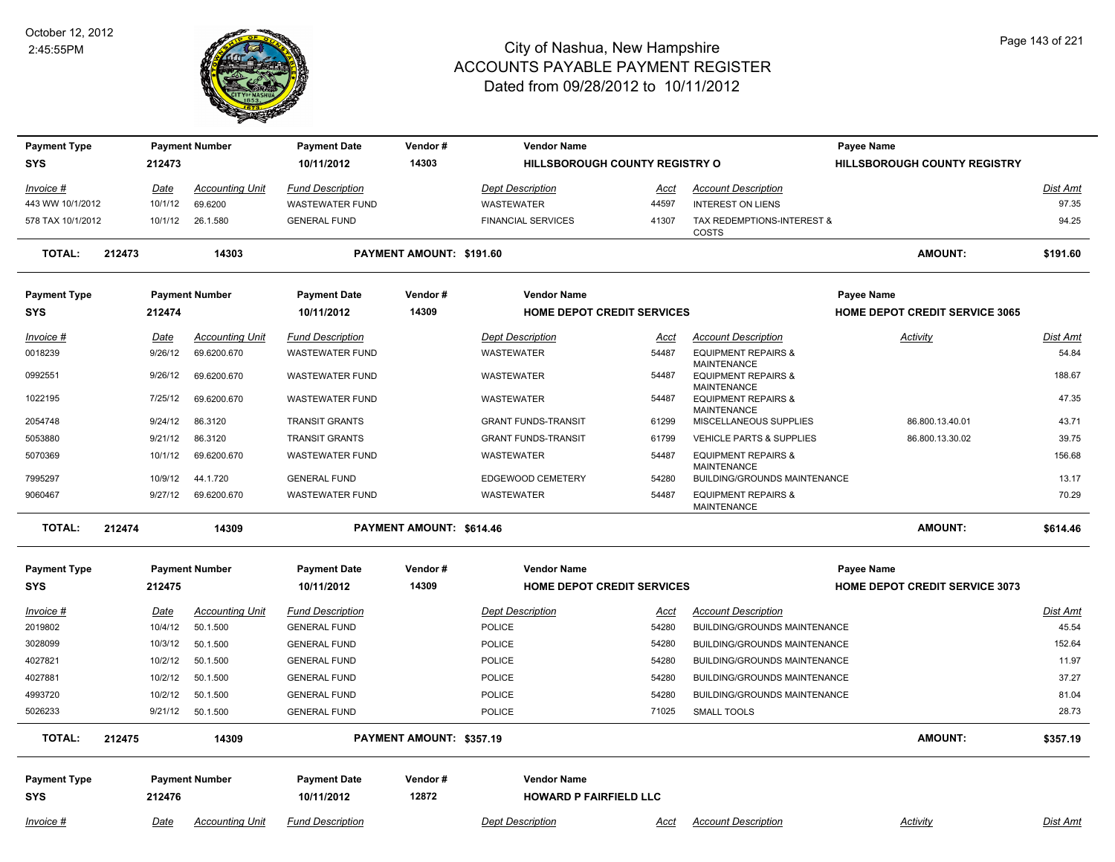

| <b>Payment Type</b>               |        |                        | <b>Payment Number</b>              | <b>Payment Date</b>                            | Vendor#                  |                                   | <b>Vendor Name</b>                                  |                                                                            | Payee Name                            |                          |
|-----------------------------------|--------|------------------------|------------------------------------|------------------------------------------------|--------------------------|-----------------------------------|-----------------------------------------------------|----------------------------------------------------------------------------|---------------------------------------|--------------------------|
| <b>SYS</b>                        |        | 212473                 |                                    | 10/11/2012                                     | 14303                    |                                   | <b>HILLSBOROUGH COUNTY REGISTRY O</b>               |                                                                            | <b>HILLSBOROUGH COUNTY REGISTRY</b>   |                          |
| Invoice #                         |        | Date                   | <b>Accounting Unit</b>             | <b>Fund Description</b>                        |                          | <b>Dept Description</b>           | <u>Acct</u>                                         | <b>Account Description</b>                                                 |                                       | <b>Dist Amt</b>          |
| 443 WW 10/1/2012                  |        | 10/1/12                | 69.6200                            | <b>WASTEWATER FUND</b>                         |                          | <b>WASTEWATER</b>                 | 44597                                               | <b>INTEREST ON LIENS</b>                                                   |                                       | 97.35                    |
| 578 TAX 10/1/2012                 |        | 10/1/12                | 26.1.580                           | <b>GENERAL FUND</b>                            |                          | <b>FINANCIAL SERVICES</b>         | 41307                                               | TAX REDEMPTIONS-INTEREST &<br>COSTS                                        |                                       | 94.25                    |
| <b>TOTAL:</b>                     | 212473 |                        | 14303                              |                                                | PAYMENT AMOUNT: \$191.60 |                                   |                                                     |                                                                            | <b>AMOUNT:</b>                        | \$191.60                 |
| <b>Payment Type</b>               |        |                        | <b>Payment Number</b>              | <b>Payment Date</b>                            | Vendor#                  |                                   | <b>Vendor Name</b>                                  |                                                                            | Payee Name                            |                          |
| <b>SYS</b>                        |        | 212474                 |                                    | 10/11/2012                                     | 14309                    |                                   | HOME DEPOT CREDIT SERVICES                          |                                                                            | <b>HOME DEPOT CREDIT SERVICE 3065</b> |                          |
| Invoice #                         |        | Date                   | <b>Accounting Unit</b>             | <b>Fund Description</b>                        |                          | <b>Dept Description</b>           | Acct                                                | <b>Account Description</b>                                                 | Activity                              | Dist Amt                 |
| 0018239                           |        | 9/26/12                | 69.6200.670                        | <b>WASTEWATER FUND</b>                         |                          | <b>WASTEWATER</b>                 | 54487                                               | <b>EQUIPMENT REPAIRS &amp;</b>                                             |                                       | 54.84                    |
| 0992551                           |        | 9/26/12                | 69.6200.670                        | <b>WASTEWATER FUND</b>                         |                          | WASTEWATER                        | 54487                                               | <b>MAINTENANCE</b><br><b>EQUIPMENT REPAIRS &amp;</b><br><b>MAINTENANCE</b> |                                       | 188.67                   |
| 1022195                           |        | 7/25/12                | 69.6200.670                        | <b>WASTEWATER FUND</b>                         |                          | WASTEWATER                        | 54487                                               | <b>EQUIPMENT REPAIRS &amp;</b><br><b>MAINTENANCE</b>                       |                                       | 47.35                    |
| 2054748                           |        | 9/24/12                | 86.3120                            | <b>TRANSIT GRANTS</b>                          |                          | <b>GRANT FUNDS-TRANSIT</b>        | 61299                                               | MISCELLANEOUS SUPPLIES                                                     | 86.800.13.40.01                       | 43.71                    |
| 5053880                           |        | 9/21/12                | 86.3120                            | <b>TRANSIT GRANTS</b>                          |                          | <b>GRANT FUNDS-TRANSIT</b>        | 61799                                               | VEHICLE PARTS & SUPPLIES                                                   | 86.800.13.30.02                       | 39.75                    |
| 5070369                           |        | 10/1/12                | 69.6200.670                        | <b>WASTEWATER FUND</b>                         |                          | WASTEWATER                        | 54487                                               | <b>EQUIPMENT REPAIRS &amp;</b>                                             |                                       | 156.68                   |
| 7995297                           |        | 10/9/12                | 44.1.720                           | <b>GENERAL FUND</b>                            |                          | EDGEWOOD CEMETERY                 | 54280                                               | <b>MAINTENANCE</b><br>BUILDING/GROUNDS MAINTENANCE                         |                                       | 13.17                    |
| 9060467                           |        | 9/27/12                | 69.6200.670                        | <b>WASTEWATER FUND</b>                         |                          | WASTEWATER                        | 54487                                               | <b>EQUIPMENT REPAIRS &amp;</b><br><b>MAINTENANCE</b>                       |                                       | 70.29                    |
| <b>TOTAL:</b>                     | 212474 |                        | 14309                              |                                                | PAYMENT AMOUNT: \$614.46 |                                   |                                                     |                                                                            | <b>AMOUNT:</b>                        | \$614.46                 |
| <b>Payment Type</b>               |        |                        | <b>Payment Number</b>              | <b>Payment Date</b>                            | Vendor#                  |                                   | <b>Vendor Name</b>                                  |                                                                            | <b>Payee Name</b>                     |                          |
| <b>SYS</b>                        |        | 212475                 |                                    | 10/11/2012                                     | 14309                    |                                   | <b>HOME DEPOT CREDIT SERVICES</b>                   |                                                                            | <b>HOME DEPOT CREDIT SERVICE 3073</b> |                          |
|                                   |        |                        |                                    |                                                |                          |                                   |                                                     |                                                                            |                                       |                          |
| Invoice #<br>2019802              |        | <u>Date</u><br>10/4/12 | <b>Accounting Unit</b><br>50.1.500 | <b>Fund Description</b><br><b>GENERAL FUND</b> |                          | <b>Dept Description</b><br>POLICE | <u>Acct</u><br>54280                                | <b>Account Description</b><br>BUILDING/GROUNDS MAINTENANCE                 |                                       | <b>Dist Amt</b><br>45.54 |
| 3028099                           |        | 10/3/12                | 50.1.500                           | <b>GENERAL FUND</b>                            |                          | POLICE                            | 54280                                               | BUILDING/GROUNDS MAINTENANCE                                               |                                       | 152.64                   |
| 4027821                           |        | 10/2/12                | 50.1.500                           | <b>GENERAL FUND</b>                            |                          | POLICE                            | 54280                                               | BUILDING/GROUNDS MAINTENANCE                                               |                                       | 11.97                    |
| 4027881                           |        | 10/2/12                | 50.1.500                           | <b>GENERAL FUND</b>                            |                          | <b>POLICE</b>                     | 54280                                               | BUILDING/GROUNDS MAINTENANCE                                               |                                       | 37.27                    |
| 4993720                           |        | 10/2/12                | 50.1.500                           | <b>GENERAL FUND</b>                            |                          | <b>POLICE</b>                     | 54280                                               | BUILDING/GROUNDS MAINTENANCE                                               |                                       | 81.04                    |
| 5026233                           |        | 9/21/12                | 50.1.500                           | <b>GENERAL FUND</b>                            |                          | <b>POLICE</b>                     | 71025                                               | <b>SMALL TOOLS</b>                                                         |                                       | 28.73                    |
| <b>TOTAL:</b>                     | 212475 |                        | 14309                              |                                                | PAYMENT AMOUNT: \$357.19 |                                   |                                                     |                                                                            | <b>AMOUNT:</b>                        | \$357.19                 |
|                                   |        |                        |                                    |                                                |                          |                                   |                                                     |                                                                            |                                       |                          |
| <b>Payment Type</b><br><b>SYS</b> |        | 212476                 | <b>Payment Number</b>              | <b>Payment Date</b><br>10/11/2012              | Vendor#<br>12872         |                                   | <b>Vendor Name</b><br><b>HOWARD P FAIRFIELD LLC</b> |                                                                            |                                       |                          |
|                                   |        |                        |                                    |                                                |                          |                                   |                                                     |                                                                            |                                       |                          |
| $Invoice$ #                       |        | <u>Date</u>            | <b>Accounting Unit</b>             | <b>Fund Description</b>                        |                          | <b>Dept Description</b>           | <u>Acct</u>                                         | <b>Account Description</b>                                                 | Activity                              | <b>Dist Amt</b>          |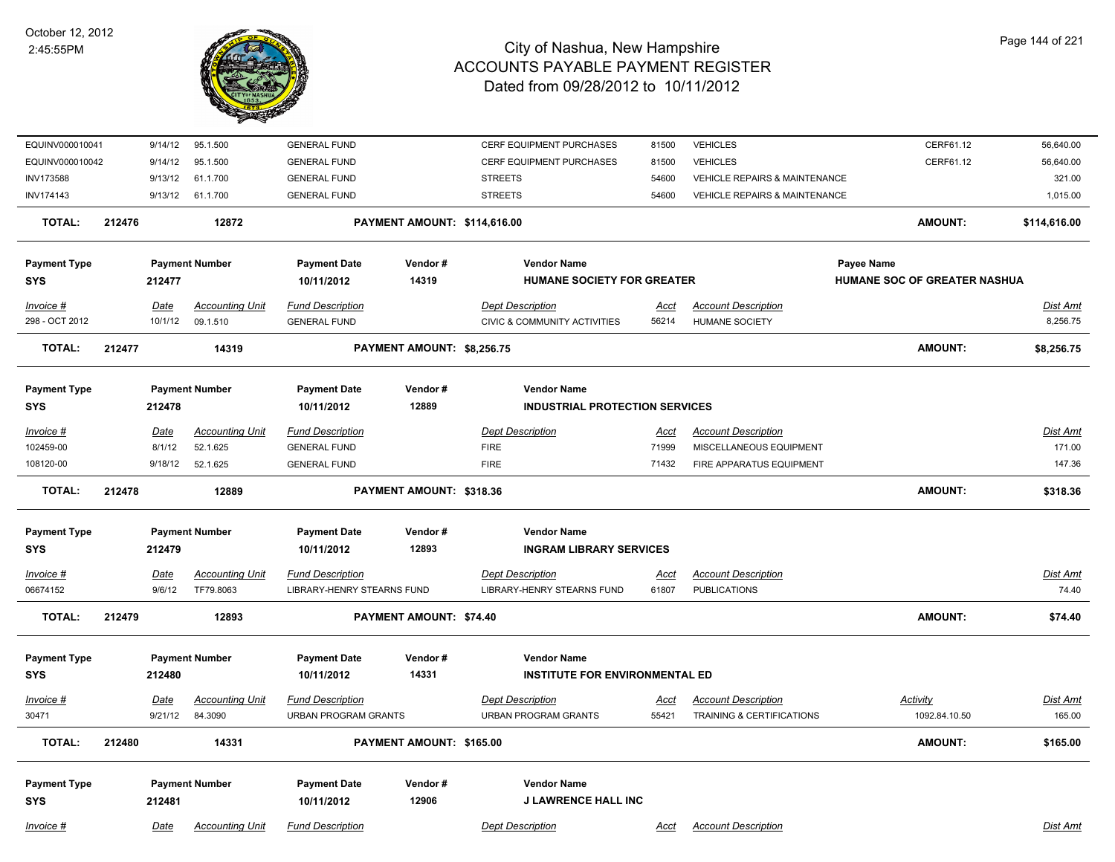

| EQUINV000010041                              | 9/14/12         | 95.1.500               | <b>GENERAL FUND</b>                                          |                              | CERF EQUIPMENT PURCHASES                | 81500       | <b>VEHICLES</b>                          | CERF61.12                    | 56,640.00       |
|----------------------------------------------|-----------------|------------------------|--------------------------------------------------------------|------------------------------|-----------------------------------------|-------------|------------------------------------------|------------------------------|-----------------|
| EQUINV000010042                              | 9/14/12         | 95.1.500               | <b>GENERAL FUND</b>                                          |                              | <b>CERF EQUIPMENT PURCHASES</b>         | 81500       | <b>VEHICLES</b>                          | CERF61.12                    | 56,640.00       |
| <b>INV173588</b>                             | 9/13/12         | 61.1.700               | <b>GENERAL FUND</b>                                          |                              | <b>STREETS</b>                          | 54600       | VEHICLE REPAIRS & MAINTENANCE            |                              | 321.00          |
| INV174143                                    | 9/13/12         | 61.1.700               | <b>GENERAL FUND</b>                                          |                              | <b>STREETS</b>                          | 54600       | <b>VEHICLE REPAIRS &amp; MAINTENANCE</b> |                              | 1,015.00        |
| <b>TOTAL:</b>                                | 212476          | 12872                  |                                                              | PAYMENT AMOUNT: \$114,616.00 |                                         |             |                                          | <b>AMOUNT:</b>               | \$114,616.00    |
| <b>Payment Type</b>                          |                 | <b>Payment Number</b>  | <b>Payment Date</b>                                          | Vendor#                      | <b>Vendor Name</b>                      |             |                                          | Payee Name                   |                 |
| <b>SYS</b>                                   | 212477          |                        | 10/11/2012                                                   | 14319                        | <b>HUMANE SOCIETY FOR GREATER</b>       |             |                                          | HUMANE SOC OF GREATER NASHUA |                 |
| Invoice #                                    | Date            | <b>Accounting Unit</b> | <b>Fund Description</b>                                      |                              | <b>Dept Description</b>                 | Acct        | <b>Account Description</b>               |                              | Dist Amt        |
| 298 - OCT 2012                               | 10/1/12         | 09.1.510               | <b>GENERAL FUND</b>                                          |                              | <b>CIVIC &amp; COMMUNITY ACTIVITIES</b> | 56214       | <b>HUMANE SOCIETY</b>                    |                              | 8,256.75        |
| <b>TOTAL:</b>                                | 212477<br>14319 |                        | PAYMENT AMOUNT: \$8,256.75                                   |                              |                                         |             |                                          | <b>AMOUNT:</b>               | \$8,256.75      |
| <b>Payment Type</b>                          |                 | <b>Payment Number</b>  | <b>Payment Date</b>                                          | Vendor#                      | <b>Vendor Name</b>                      |             |                                          |                              |                 |
| <b>SYS</b>                                   | 212478          |                        | 12889<br>10/11/2012<br><b>INDUSTRIAL PROTECTION SERVICES</b> |                              |                                         |             |                                          |                              |                 |
| Invoice #                                    | Date            | <b>Accounting Unit</b> | <b>Fund Description</b>                                      |                              | <b>Dept Description</b>                 | Acct        | <b>Account Description</b>               |                              | Dist Amt        |
| 102459-00                                    | 8/1/12          | 52.1.625               | <b>GENERAL FUND</b>                                          |                              | <b>FIRE</b>                             | 71999       | MISCELLANEOUS EQUIPMENT                  |                              | 171.00          |
| 108120-00                                    | 9/18/12         | 52.1.625               | <b>GENERAL FUND</b>                                          |                              | <b>FIRE</b>                             | 71432       | FIRE APPARATUS EQUIPMENT                 |                              | 147.36          |
| <b>TOTAL:</b>                                | 212478          | 12889                  | PAYMENT AMOUNT: \$318.36                                     |                              |                                         |             |                                          | <b>AMOUNT:</b>               | \$318.36        |
| <b>Payment Type</b><br><b>Payment Number</b> |                 | <b>Payment Date</b>    | Vendor#                                                      | <b>Vendor Name</b>           |                                         |             |                                          |                              |                 |
| <b>SYS</b>                                   | 212479          |                        | 10/11/2012                                                   | 12893                        | <b>INGRAM LIBRARY SERVICES</b>          |             |                                          |                              |                 |
| Invoice #                                    | <u>Date</u>     | <b>Accounting Unit</b> | <b>Fund Description</b>                                      |                              | <b>Dept Description</b>                 | <u>Acct</u> | <b>Account Description</b>               |                              | <u>Dist Amt</u> |
| 06674152                                     | 9/6/12          | TF79.8063              | LIBRARY-HENRY STEARNS FUND                                   |                              | LIBRARY-HENRY STEARNS FUND              | 61807       | <b>PUBLICATIONS</b>                      |                              | 74.40           |
| <b>TOTAL:</b>                                | 212479<br>12893 |                        | <b>PAYMENT AMOUNT: \$74.40</b>                               |                              |                                         |             |                                          | <b>AMOUNT:</b>               | \$74.40         |
| <b>Payment Type</b>                          |                 | <b>Payment Number</b>  | <b>Payment Date</b>                                          | Vendor#                      | <b>Vendor Name</b>                      |             |                                          |                              |                 |
| <b>SYS</b>                                   | 212480          |                        | 14331<br>10/11/2012                                          |                              | <b>INSTITUTE FOR ENVIRONMENTAL ED</b>   |             |                                          |                              |                 |
| Invoice #                                    | Date            | <b>Accounting Unit</b> | <b>Fund Description</b>                                      |                              | <b>Dept Description</b>                 | Acct        | <b>Account Description</b>               | Activity                     | <u>Dist Amt</u> |
| 30471                                        | 9/21/12         | 84.3090                | <b>URBAN PROGRAM GRANTS</b>                                  |                              | <b>URBAN PROGRAM GRANTS</b>             | 55421       | TRAINING & CERTIFICATIONS                | 1092.84.10.50                | 165.00          |
| TOTAL:                                       | 212480<br>14331 |                        | PAYMENT AMOUNT: \$165.00                                     |                              |                                         |             |                                          | <b>AMOUNT:</b>               | \$165.00        |
| <b>Payment Type</b>                          |                 | <b>Payment Number</b>  | <b>Payment Date</b>                                          | Vendor#                      | <b>Vendor Name</b>                      |             |                                          |                              |                 |
| <b>SYS</b>                                   | 212481          |                        | 10/11/2012                                                   | 12906                        | <b>J LAWRENCE HALL INC</b>              |             |                                          |                              |                 |
| Invoice #                                    | Date            | <b>Accounting Unit</b> | <b>Fund Description</b>                                      |                              | <b>Dept Description</b>                 | Acct        | <b>Account Description</b>               |                              | Dist Amt        |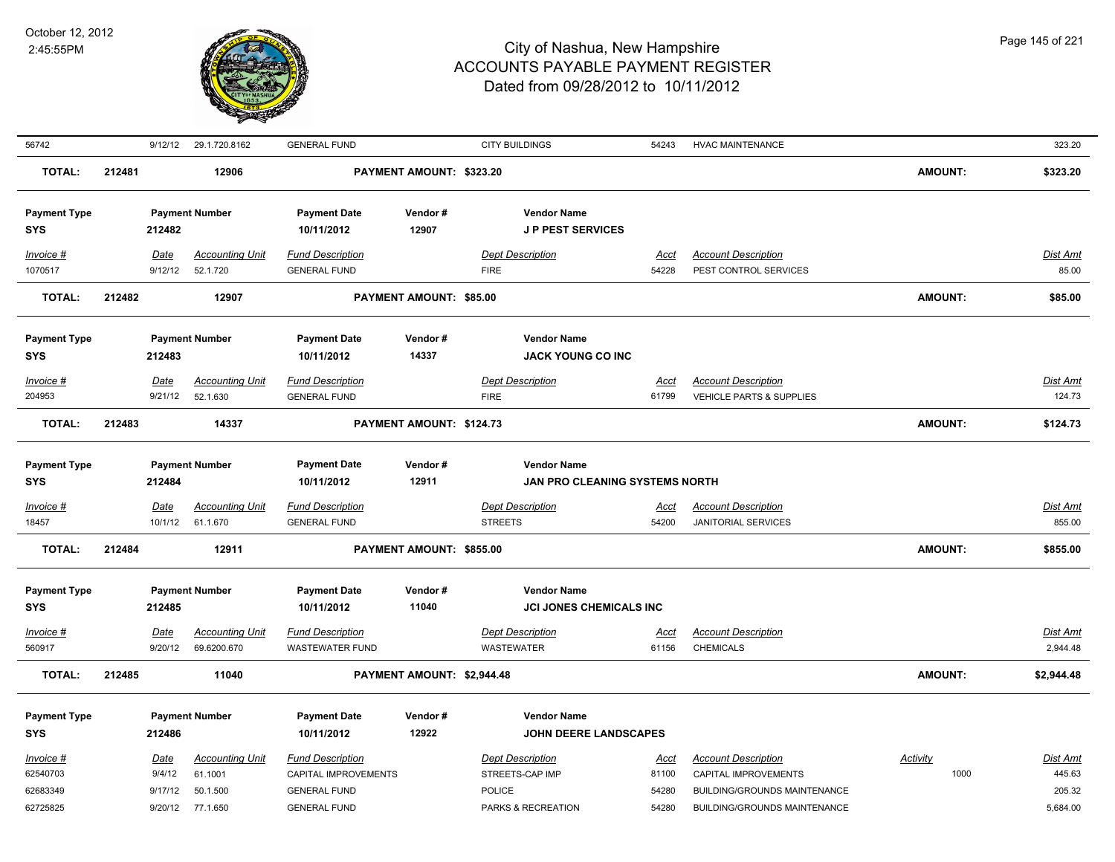

| 56742                                         |        | 9/12/12                              | 29.1.720.8162                                             | <b>GENERAL FUND</b>                                                                           |                            | <b>CITY BUILDINGS</b>                                                             | 54243                           | <b>HVAC MAINTENANCE</b>                                                                                                   |                  | 323.20                                   |
|-----------------------------------------------|--------|--------------------------------------|-----------------------------------------------------------|-----------------------------------------------------------------------------------------------|----------------------------|-----------------------------------------------------------------------------------|---------------------------------|---------------------------------------------------------------------------------------------------------------------------|------------------|------------------------------------------|
| <b>TOTAL:</b>                                 | 212481 |                                      | 12906                                                     |                                                                                               | PAYMENT AMOUNT: \$323.20   |                                                                                   |                                 |                                                                                                                           | AMOUNT:          | \$323.20                                 |
| <b>Payment Type</b><br><b>SYS</b>             |        | 212482                               | <b>Payment Number</b>                                     | <b>Payment Date</b><br>10/11/2012                                                             | Vendor#<br>12907           | <b>Vendor Name</b><br><b>JP PEST SERVICES</b>                                     |                                 |                                                                                                                           |                  |                                          |
| Invoice #<br>1070517                          |        | Date<br>9/12/12                      | <b>Accounting Unit</b><br>52.1.720                        | <b>Fund Description</b><br><b>GENERAL FUND</b>                                                |                            | <b>Dept Description</b><br><b>FIRE</b>                                            | Acct<br>54228                   | <b>Account Description</b><br>PEST CONTROL SERVICES                                                                       |                  | Dist Amt<br>85.00                        |
| <b>TOTAL:</b>                                 | 212482 |                                      | 12907                                                     |                                                                                               | PAYMENT AMOUNT: \$85.00    |                                                                                   |                                 |                                                                                                                           | <b>AMOUNT:</b>   | \$85.00                                  |
| <b>Payment Type</b><br><b>SYS</b>             |        | 212483                               | <b>Payment Number</b>                                     | <b>Payment Date</b><br>10/11/2012                                                             | Vendor#<br>14337           | <b>Vendor Name</b><br><b>JACK YOUNG CO INC</b>                                    |                                 |                                                                                                                           |                  |                                          |
| Invoice #<br>204953                           |        | Date<br>9/21/12                      | <b>Accounting Unit</b><br>52.1.630                        | <b>Fund Description</b><br><b>GENERAL FUND</b>                                                |                            | <b>Dept Description</b><br><b>FIRE</b>                                            | Acct<br>61799                   | <b>Account Description</b><br>VEHICLE PARTS & SUPPLIES                                                                    |                  | Dist Amt<br>124.73                       |
| <b>TOTAL:</b>                                 | 212483 |                                      | 14337                                                     |                                                                                               | PAYMENT AMOUNT: \$124.73   |                                                                                   |                                 |                                                                                                                           | <b>AMOUNT:</b>   | \$124.73                                 |
| <b>Payment Type</b><br><b>SYS</b>             |        | 212484                               | <b>Payment Number</b>                                     | <b>Payment Date</b><br>10/11/2012                                                             | Vendor#<br>12911           | <b>Vendor Name</b><br>JAN PRO CLEANING SYSTEMS NORTH                              |                                 |                                                                                                                           |                  |                                          |
| $Invoice$ #<br>18457                          |        | Date<br>10/1/12                      | <b>Accounting Unit</b><br>61.1.670                        | <b>Fund Description</b><br><b>GENERAL FUND</b>                                                |                            | <b>Dept Description</b><br><b>STREETS</b>                                         | <u>Acct</u><br>54200            | <b>Account Description</b><br>JANITORIAL SERVICES                                                                         |                  | Dist Amt<br>855.00                       |
| <b>TOTAL:</b>                                 | 212484 |                                      | 12911                                                     |                                                                                               | PAYMENT AMOUNT: \$855.00   |                                                                                   |                                 |                                                                                                                           | AMOUNT:          | \$855.00                                 |
| <b>Payment Type</b><br><b>SYS</b>             |        | 212485                               | <b>Payment Number</b>                                     | <b>Payment Date</b><br>10/11/2012                                                             | Vendor#<br>11040           | <b>Vendor Name</b><br><b>JCI JONES CHEMICALS INC</b>                              |                                 |                                                                                                                           |                  |                                          |
| Invoice #<br>560917                           |        | Date<br>9/20/12                      | <b>Accounting Unit</b><br>69.6200.670                     | <b>Fund Description</b><br><b>WASTEWATER FUND</b>                                             |                            | <b>Dept Description</b><br><b>WASTEWATER</b>                                      | Acct<br>61156                   | <b>Account Description</b><br><b>CHEMICALS</b>                                                                            |                  | Dist Amt<br>2,944.48                     |
| <b>TOTAL:</b>                                 | 212485 |                                      | 11040                                                     |                                                                                               | PAYMENT AMOUNT: \$2,944.48 |                                                                                   |                                 |                                                                                                                           | AMOUNT:          | \$2,944.48                               |
| <b>Payment Type</b><br><b>SYS</b>             |        | 212486                               | <b>Payment Number</b>                                     | <b>Payment Date</b><br>10/11/2012                                                             | Vendor#<br>12922           | <b>Vendor Name</b><br><b>JOHN DEERE LANDSCAPES</b>                                |                                 |                                                                                                                           |                  |                                          |
| Invoice #<br>62540703<br>62683349<br>62725825 |        | Date<br>9/4/12<br>9/17/12<br>9/20/12 | <b>Accounting Unit</b><br>61.1001<br>50.1.500<br>77.1.650 | <b>Fund Description</b><br>CAPITAL IMPROVEMENTS<br><b>GENERAL FUND</b><br><b>GENERAL FUND</b> |                            | <b>Dept Description</b><br>STREETS-CAP IMP<br><b>POLICE</b><br>PARKS & RECREATION | Acct<br>81100<br>54280<br>54280 | <b>Account Description</b><br>CAPITAL IMPROVEMENTS<br><b>BUILDING/GROUNDS MAINTENANCE</b><br>BUILDING/GROUNDS MAINTENANCE | Activity<br>1000 | Dist Amt<br>445.63<br>205.32<br>5,684.00 |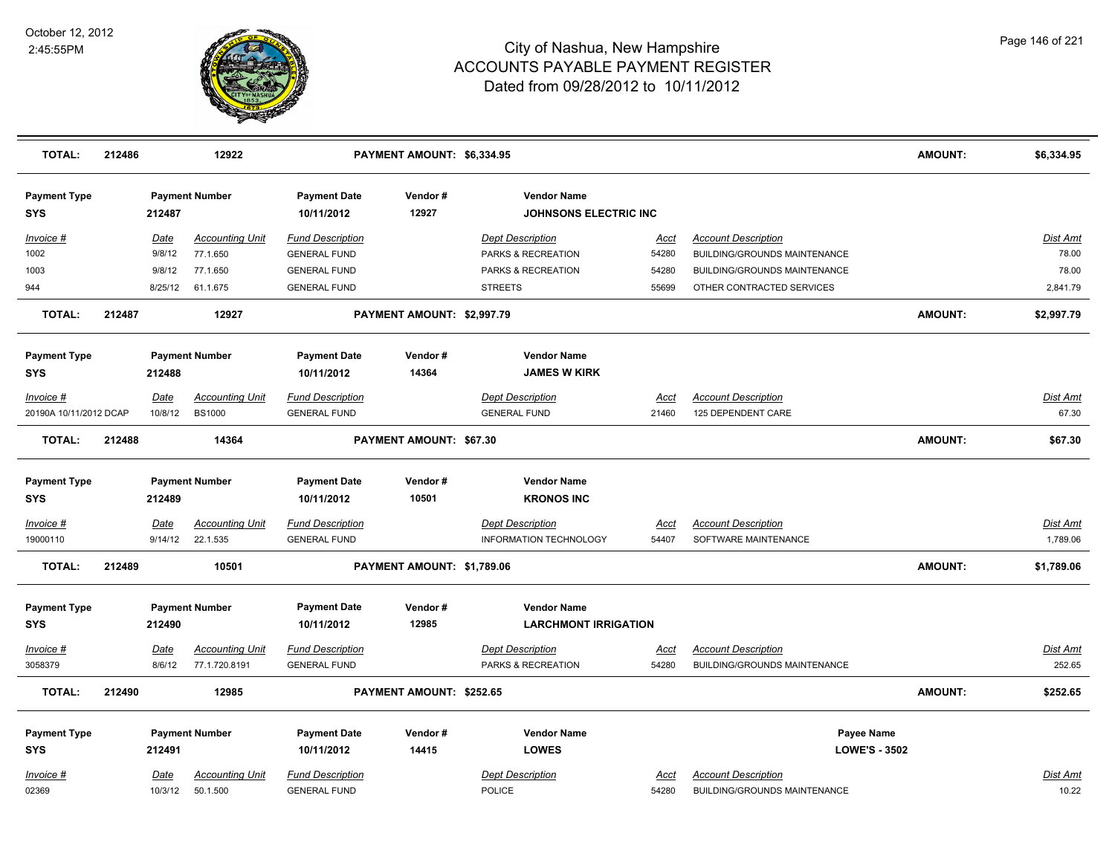

| <b>TOTAL:</b>                     | 212486 |                       | 12922                                   |                                                | PAYMENT AMOUNT: \$6,334.95 |                                                    |                      |                                                            | <b>AMOUNT:</b>       | \$6,334.95         |
|-----------------------------------|--------|-----------------------|-----------------------------------------|------------------------------------------------|----------------------------|----------------------------------------------------|----------------------|------------------------------------------------------------|----------------------|--------------------|
| <b>Payment Type</b><br><b>SYS</b> |        | 212487                | <b>Payment Number</b>                   | <b>Payment Date</b><br>10/11/2012              | Vendor#<br>12927           | <b>Vendor Name</b><br><b>JOHNSONS ELECTRIC INC</b> |                      |                                                            |                      |                    |
| Invoice #                         |        | Date                  | <b>Accounting Unit</b>                  | <b>Fund Description</b>                        |                            | <b>Dept Description</b>                            | <u>Acct</u>          | <b>Account Description</b>                                 |                      | <b>Dist Amt</b>    |
| 1002                              |        | 9/8/12                | 77.1.650                                | <b>GENERAL FUND</b>                            |                            | PARKS & RECREATION                                 | 54280                | <b>BUILDING/GROUNDS MAINTENANCE</b>                        |                      | 78.00              |
| 1003                              |        | 9/8/12                | 77.1.650                                | <b>GENERAL FUND</b>                            |                            | PARKS & RECREATION                                 | 54280                | <b>BUILDING/GROUNDS MAINTENANCE</b>                        |                      | 78.00              |
| 944                               |        | 8/25/12               | 61.1.675                                | <b>GENERAL FUND</b>                            |                            | <b>STREETS</b>                                     | 55699                | OTHER CONTRACTED SERVICES                                  |                      | 2,841.79           |
| <b>TOTAL:</b>                     | 212487 |                       | 12927                                   |                                                | PAYMENT AMOUNT: \$2,997.79 |                                                    |                      |                                                            | <b>AMOUNT:</b>       | \$2,997.79         |
| <b>Payment Type</b><br>SYS        |        | 212488                | <b>Payment Number</b>                   | <b>Payment Date</b><br>10/11/2012              | Vendor#<br>14364           | <b>Vendor Name</b><br><b>JAMES W KIRK</b>          |                      |                                                            |                      |                    |
| Invoice #                         |        | Date                  | <b>Accounting Unit</b>                  | <b>Fund Description</b>                        |                            | <b>Dept Description</b>                            | <u>Acct</u>          | <b>Account Description</b>                                 |                      | Dist Amt           |
| 20190A 10/11/2012 DCAP            |        | 10/8/12               | <b>BS1000</b>                           | <b>GENERAL FUND</b>                            |                            | <b>GENERAL FUND</b>                                | 21460                | 125 DEPENDENT CARE                                         |                      | 67.30              |
| <b>TOTAL:</b>                     | 212488 |                       | 14364                                   |                                                | PAYMENT AMOUNT: \$67.30    |                                                    |                      |                                                            | <b>AMOUNT:</b>       | \$67.30            |
| <b>Payment Type</b><br>SYS        |        | 212489                | <b>Payment Number</b>                   | <b>Payment Date</b><br>10/11/2012              | Vendor#<br>10501           | <b>Vendor Name</b><br><b>KRONOS INC</b>            |                      |                                                            |                      |                    |
| Invoice #                         |        | <b>Date</b>           | <b>Accounting Unit</b>                  | <b>Fund Description</b>                        |                            | <b>Dept Description</b>                            | <u>Acct</u>          | <b>Account Description</b>                                 |                      | <b>Dist Amt</b>    |
| 19000110                          |        | 9/14/12               | 22.1.535                                | <b>GENERAL FUND</b>                            |                            | <b>INFORMATION TECHNOLOGY</b>                      | 54407                | SOFTWARE MAINTENANCE                                       |                      | 1,789.06           |
| <b>TOTAL:</b>                     | 212489 |                       | 10501                                   |                                                | PAYMENT AMOUNT: \$1,789.06 |                                                    |                      |                                                            | <b>AMOUNT:</b>       | \$1,789.06         |
| <b>Payment Type</b>               |        |                       | <b>Payment Number</b>                   | <b>Payment Date</b>                            | Vendor#                    | <b>Vendor Name</b>                                 |                      |                                                            |                      |                    |
| <b>SYS</b>                        |        | 212490                |                                         | 10/11/2012                                     | 12985                      | <b>LARCHMONT IRRIGATION</b>                        |                      |                                                            |                      |                    |
| Invoice #<br>3058379              |        | <b>Date</b><br>8/6/12 | <b>Accounting Unit</b><br>77.1.720.8191 | <b>Fund Description</b><br><b>GENERAL FUND</b> |                            | <b>Dept Description</b><br>PARKS & RECREATION      | <u>Acct</u><br>54280 | <b>Account Description</b><br>BUILDING/GROUNDS MAINTENANCE |                      | Dist Amt<br>252.65 |
| <b>TOTAL:</b>                     | 212490 |                       | 12985                                   |                                                | PAYMENT AMOUNT: \$252.65   |                                                    |                      |                                                            | <b>AMOUNT:</b>       | \$252.65           |
| <b>Payment Type</b>               |        |                       | <b>Payment Number</b>                   | <b>Payment Date</b>                            | Vendor#                    | <b>Vendor Name</b>                                 |                      |                                                            | <b>Payee Name</b>    |                    |
| <b>SYS</b>                        |        | 212491                |                                         | 10/11/2012                                     | 14415                      | <b>LOWES</b>                                       |                      |                                                            | <b>LOWE'S - 3502</b> |                    |
| Invoice #                         |        | Date                  | <b>Accounting Unit</b>                  | <b>Fund Description</b>                        |                            | <b>Dept Description</b>                            | <u>Acct</u>          | <b>Account Description</b>                                 |                      | Dist Amt           |
| 02369                             |        | 10/3/12               | 50.1.500                                | <b>GENERAL FUND</b>                            |                            | POLICE                                             | 54280                | BUILDING/GROUNDS MAINTENANCE                               |                      | 10.22              |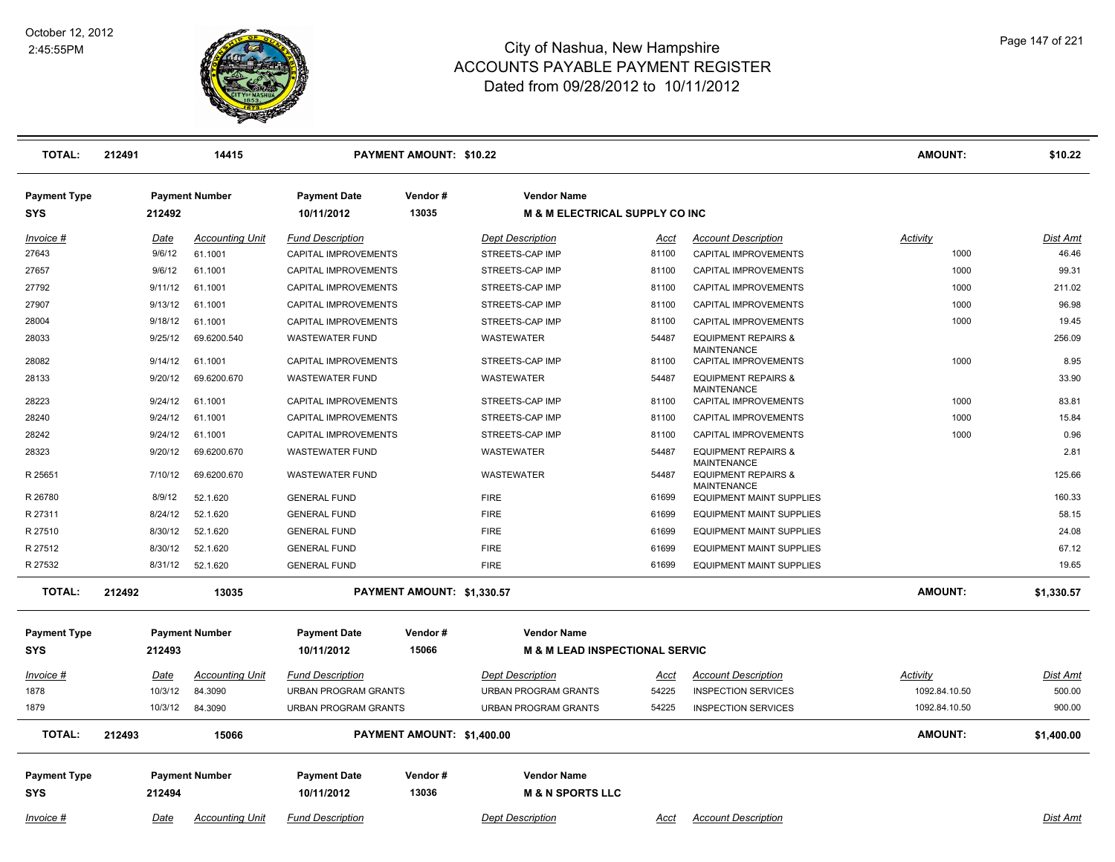

| <b>TOTAL:</b>       | 212491 | 14415<br>PAYMENT AMOUNT: \$10.22 |                        |                             |                            | <b>AMOUNT:</b>                            | \$10.22     |                                                      |                |                 |
|---------------------|--------|----------------------------------|------------------------|-----------------------------|----------------------------|-------------------------------------------|-------------|------------------------------------------------------|----------------|-----------------|
| <b>Payment Type</b> |        |                                  | <b>Payment Number</b>  | <b>Payment Date</b>         | Vendor#                    | <b>Vendor Name</b>                        |             |                                                      |                |                 |
| <b>SYS</b>          |        | 212492                           |                        | 10/11/2012                  | 13035                      | <b>M &amp; M ELECTRICAL SUPPLY CO INC</b> |             |                                                      |                |                 |
| Invoice #           |        | <u>Date</u>                      | <b>Accounting Unit</b> | <b>Fund Description</b>     |                            | <b>Dept Description</b>                   | <u>Acct</u> | <b>Account Description</b>                           | Activity       | Dist Amt        |
| 27643               |        | 9/6/12                           | 61.1001                | <b>CAPITAL IMPROVEMENTS</b> |                            | STREETS-CAP IMP                           | 81100       | <b>CAPITAL IMPROVEMENTS</b>                          | 1000           | 46.46           |
| 27657               |        | 9/6/12                           | 61.1001                | CAPITAL IMPROVEMENTS        |                            | STREETS-CAP IMP                           | 81100       | CAPITAL IMPROVEMENTS                                 | 1000           | 99.31           |
| 27792               |        | 9/11/12                          | 61.1001                | CAPITAL IMPROVEMENTS        |                            | STREETS-CAP IMP                           | 81100       | CAPITAL IMPROVEMENTS                                 | 1000           | 211.02          |
| 27907               |        | 9/13/12                          | 61.1001                | CAPITAL IMPROVEMENTS        |                            | STREETS-CAP IMP                           | 81100       | CAPITAL IMPROVEMENTS                                 | 1000           | 96.98           |
| 28004               |        | 9/18/12                          | 61.1001                | CAPITAL IMPROVEMENTS        |                            | STREETS-CAP IMP                           | 81100       | CAPITAL IMPROVEMENTS                                 | 1000           | 19.45           |
| 28033               |        | 9/25/12                          | 69.6200.540            | <b>WASTEWATER FUND</b>      |                            | WASTEWATER                                | 54487       | <b>EQUIPMENT REPAIRS &amp;</b><br><b>MAINTENANCE</b> |                | 256.09          |
| 28082               |        | 9/14/12                          | 61.1001                | CAPITAL IMPROVEMENTS        |                            | STREETS-CAP IMP                           | 81100       | CAPITAL IMPROVEMENTS                                 | 1000           | 8.95            |
| 28133               |        | 9/20/12                          | 69.6200.670            | <b>WASTEWATER FUND</b>      |                            | WASTEWATER                                | 54487       | <b>EQUIPMENT REPAIRS &amp;</b><br><b>MAINTENANCE</b> |                | 33.90           |
| 28223               |        | 9/24/12                          | 61.1001                | CAPITAL IMPROVEMENTS        |                            | STREETS-CAP IMP                           | 81100       | CAPITAL IMPROVEMENTS                                 | 1000           | 83.81           |
| 28240               |        | 9/24/12                          | 61.1001                | CAPITAL IMPROVEMENTS        |                            | STREETS-CAP IMP                           | 81100       | CAPITAL IMPROVEMENTS                                 | 1000           | 15.84           |
| 28242               |        | 9/24/12                          | 61.1001                | CAPITAL IMPROVEMENTS        |                            | STREETS-CAP IMP                           | 81100       | CAPITAL IMPROVEMENTS                                 | 1000           | 0.96            |
| 28323               |        | 9/20/12                          | 69.6200.670            | <b>WASTEWATER FUND</b>      |                            | WASTEWATER                                | 54487       | <b>EQUIPMENT REPAIRS &amp;</b><br><b>MAINTENANCE</b> |                | 2.81            |
| R 25651             |        | 7/10/12                          | 69.6200.670            | <b>WASTEWATER FUND</b>      |                            | WASTEWATER                                | 54487       | <b>EQUIPMENT REPAIRS &amp;</b><br><b>MAINTENANCE</b> |                | 125.66          |
| R 26780             |        | 8/9/12                           | 52.1.620               | <b>GENERAL FUND</b>         |                            | <b>FIRE</b>                               | 61699       | <b>EQUIPMENT MAINT SUPPLIES</b>                      |                | 160.33          |
| R 27311             |        | 8/24/12                          | 52.1.620               | <b>GENERAL FUND</b>         |                            | <b>FIRE</b>                               | 61699       | <b>EQUIPMENT MAINT SUPPLIES</b>                      |                | 58.15           |
| R 27510             |        | 8/30/12                          | 52.1.620               | <b>GENERAL FUND</b>         |                            | <b>FIRE</b>                               | 61699       | <b>EQUIPMENT MAINT SUPPLIES</b>                      |                | 24.08           |
| R 27512             |        | 8/30/12                          | 52.1.620               | <b>GENERAL FUND</b>         |                            | <b>FIRE</b>                               | 61699       | <b>EQUIPMENT MAINT SUPPLIES</b>                      |                | 67.12           |
| R 27532             |        |                                  | 8/31/12 52.1.620       | <b>GENERAL FUND</b>         |                            | <b>FIRE</b>                               | 61699       | <b>EQUIPMENT MAINT SUPPLIES</b>                      |                | 19.65           |
| <b>TOTAL:</b>       | 212492 |                                  | 13035                  |                             | PAYMENT AMOUNT: \$1,330.57 |                                           |             |                                                      | <b>AMOUNT:</b> | \$1,330.57      |
| <b>Payment Type</b> |        |                                  | <b>Payment Number</b>  | <b>Payment Date</b>         | Vendor#                    | <b>Vendor Name</b>                        |             |                                                      |                |                 |
| <b>SYS</b>          |        | 212493                           |                        | 10/11/2012                  | 15066                      | <b>M &amp; M LEAD INSPECTIONAL SERVIC</b> |             |                                                      |                |                 |
|                     |        |                                  |                        |                             |                            |                                           |             |                                                      |                |                 |
| Invoice #           |        | Date                             | <b>Accounting Unit</b> | <b>Fund Description</b>     |                            | <b>Dept Description</b>                   | <u>Acct</u> | <b>Account Description</b>                           | Activity       | Dist Amt        |
| 1878                |        | 10/3/12                          | 84.3090                | <b>URBAN PROGRAM GRANTS</b> |                            | URBAN PROGRAM GRANTS                      | 54225       | <b>INSPECTION SERVICES</b>                           | 1092.84.10.50  | 500.00          |
| 1879                |        | 10/3/12                          | 84.3090                | <b>URBAN PROGRAM GRANTS</b> |                            | <b>URBAN PROGRAM GRANTS</b>               | 54225       | <b>INSPECTION SERVICES</b>                           | 1092.84.10.50  | 900.00          |
| <b>TOTAL:</b>       | 212493 |                                  | 15066                  |                             | PAYMENT AMOUNT: \$1,400.00 |                                           |             |                                                      | <b>AMOUNT:</b> | \$1,400.00      |
| <b>Payment Type</b> |        |                                  | <b>Payment Number</b>  | <b>Payment Date</b>         | Vendor#                    | <b>Vendor Name</b>                        |             |                                                      |                |                 |
| <b>SYS</b>          |        | 212494                           |                        | 10/11/2012                  | 13036                      | <b>M &amp; N SPORTS LLC</b>               |             |                                                      |                |                 |
| Invoice #           |        | Date                             | <b>Accounting Unit</b> | <b>Fund Description</b>     |                            | <b>Dept Description</b>                   | Acct        | <b>Account Description</b>                           |                | <b>Dist Amt</b> |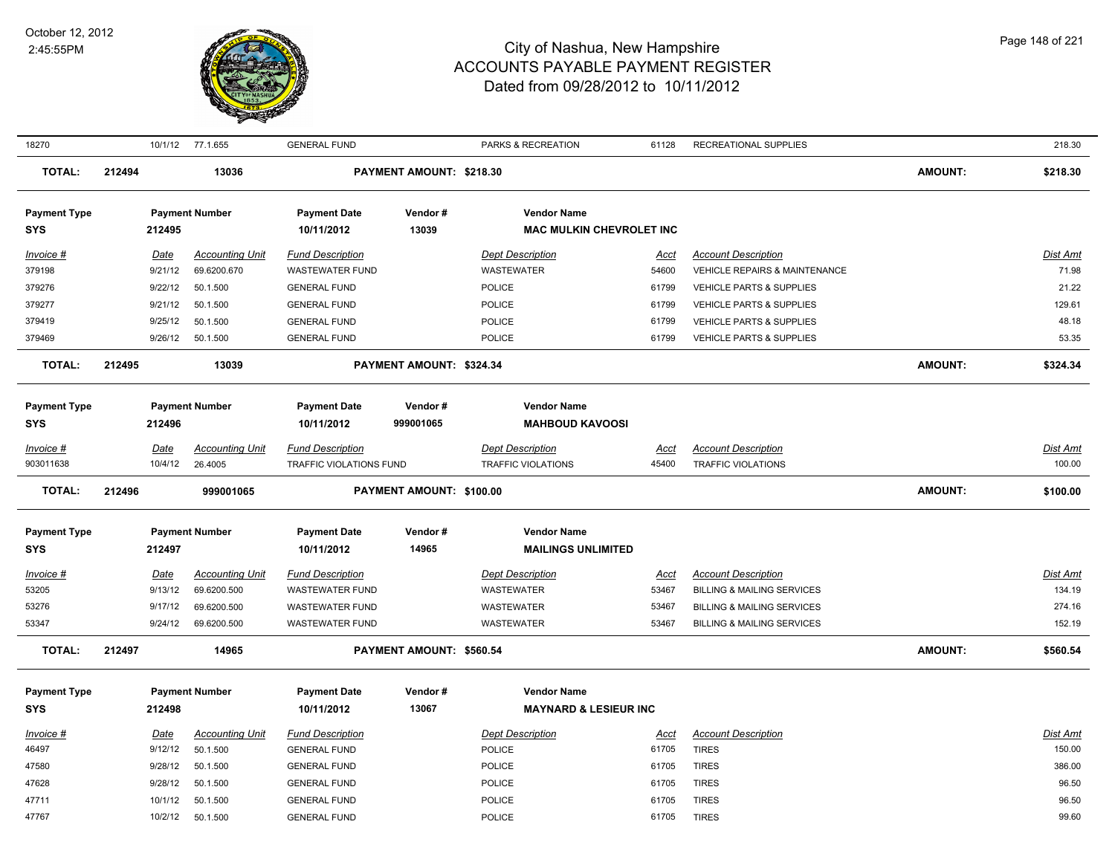

| 18270                             |        |             | 10/1/12 77.1.655       | <b>GENERAL FUND</b>               |                          | PARKS & RECREATION                                    | 61128       | RECREATIONAL SUPPLIES                 |         | 218.30          |
|-----------------------------------|--------|-------------|------------------------|-----------------------------------|--------------------------|-------------------------------------------------------|-------------|---------------------------------------|---------|-----------------|
| <b>TOTAL:</b>                     | 212494 |             | 13036                  |                                   | PAYMENT AMOUNT: \$218.30 |                                                       |             |                                       | AMOUNT: | \$218.30        |
| <b>Payment Type</b><br><b>SYS</b> |        | 212495      | <b>Payment Number</b>  | <b>Payment Date</b><br>10/11/2012 | Vendor#<br>13039         | <b>Vendor Name</b><br><b>MAC MULKIN CHEVROLET INC</b> |             |                                       |         |                 |
|                                   |        |             |                        |                                   |                          |                                                       |             |                                       |         |                 |
| Invoice #                         |        | Date        | <b>Accounting Unit</b> | <b>Fund Description</b>           |                          | <b>Dept Description</b>                               | <u>Acct</u> | <b>Account Description</b>            |         | <b>Dist Amt</b> |
| 379198                            |        | 9/21/12     | 69.6200.670            | WASTEWATER FUND                   |                          | WASTEWATER                                            | 54600       | VEHICLE REPAIRS & MAINTENANCE         |         | 71.98           |
| 379276                            |        | 9/22/12     | 50.1.500               | <b>GENERAL FUND</b>               |                          | POLICE                                                | 61799       | VEHICLE PARTS & SUPPLIES              |         | 21.22           |
| 379277                            |        | 9/21/12     | 50.1.500               | <b>GENERAL FUND</b>               |                          | <b>POLICE</b>                                         | 61799       | <b>VEHICLE PARTS &amp; SUPPLIES</b>   |         | 129.61          |
| 379419                            |        | 9/25/12     | 50.1.500               | <b>GENERAL FUND</b>               |                          | POLICE                                                | 61799       | <b>VEHICLE PARTS &amp; SUPPLIES</b>   |         | 48.18           |
| 379469                            |        | 9/26/12     | 50.1.500               | <b>GENERAL FUND</b>               |                          | <b>POLICE</b>                                         | 61799       | <b>VEHICLE PARTS &amp; SUPPLIES</b>   |         | 53.35           |
| <b>TOTAL:</b>                     | 212495 |             | 13039                  |                                   | PAYMENT AMOUNT: \$324.34 |                                                       |             |                                       | AMOUNT: | \$324.34        |
| <b>Payment Type</b>               |        |             | <b>Payment Number</b>  | <b>Payment Date</b>               | Vendor#                  | <b>Vendor Name</b>                                    |             |                                       |         |                 |
| <b>SYS</b>                        |        | 212496      |                        | 10/11/2012                        | 999001065                | <b>MAHBOUD KAVOOSI</b>                                |             |                                       |         |                 |
|                                   |        |             |                        |                                   |                          |                                                       |             |                                       |         |                 |
| Invoice #                         |        | Date        | <b>Accounting Unit</b> | <b>Fund Description</b>           |                          | <b>Dept Description</b>                               | Acct        | <b>Account Description</b>            |         | <b>Dist Amt</b> |
| 903011638                         |        | 10/4/12     | 26.4005                | TRAFFIC VIOLATIONS FUND           |                          | <b>TRAFFIC VIOLATIONS</b>                             | 45400       | <b>TRAFFIC VIOLATIONS</b>             |         | 100.00          |
| <b>TOTAL:</b>                     | 212496 |             | 999001065              |                                   | PAYMENT AMOUNT: \$100.00 |                                                       |             |                                       | AMOUNT: | \$100.00        |
| <b>Payment Type</b>               |        |             | <b>Payment Number</b>  | <b>Payment Date</b>               | Vendor#                  | <b>Vendor Name</b>                                    |             |                                       |         |                 |
| <b>SYS</b>                        |        | 212497      |                        | 10/11/2012                        | 14965                    | <b>MAILINGS UNLIMITED</b>                             |             |                                       |         |                 |
| Invoice #                         |        | <b>Date</b> | <b>Accounting Unit</b> | <b>Fund Description</b>           |                          | <b>Dept Description</b>                               | <u>Acct</u> | <b>Account Description</b>            |         | <b>Dist Amt</b> |
| 53205                             |        | 9/13/12     | 69.6200.500            | <b>WASTEWATER FUND</b>            |                          | WASTEWATER                                            | 53467       | BILLING & MAILING SERVICES            |         | 134.19          |
| 53276                             |        | 9/17/12     | 69.6200.500            | <b>WASTEWATER FUND</b>            |                          | <b>WASTEWATER</b>                                     | 53467       | <b>BILLING &amp; MAILING SERVICES</b> |         | 274.16          |
| 53347                             |        | 9/24/12     | 69.6200.500            | <b>WASTEWATER FUND</b>            |                          | WASTEWATER                                            | 53467       | <b>BILLING &amp; MAILING SERVICES</b> |         | 152.19          |
| <b>TOTAL:</b>                     | 212497 |             | 14965                  |                                   | PAYMENT AMOUNT: \$560.54 |                                                       |             |                                       | AMOUNT: | \$560.54        |
| <b>Payment Type</b>               |        |             | <b>Payment Number</b>  | <b>Payment Date</b>               | Vendor#                  | <b>Vendor Name</b>                                    |             |                                       |         |                 |
| <b>SYS</b>                        |        | 212498      |                        | 10/11/2012                        | 13067                    | <b>MAYNARD &amp; LESIEUR INC</b>                      |             |                                       |         |                 |
| Invoice #                         |        | Date        | <b>Accounting Unit</b> | <b>Fund Description</b>           |                          | <b>Dept Description</b>                               | <u>Acct</u> | <b>Account Description</b>            |         | Dist Amt        |
| 46497                             |        | 9/12/12     | 50.1.500               | <b>GENERAL FUND</b>               |                          | POLICE                                                | 61705       | <b>TIRES</b>                          |         | 150.00          |
| 47580                             |        | 9/28/12     | 50.1.500               | <b>GENERAL FUND</b>               |                          | POLICE                                                | 61705       | <b>TIRES</b>                          |         | 386.00          |
| 47628                             |        | 9/28/12     | 50.1.500               | <b>GENERAL FUND</b>               |                          | <b>POLICE</b>                                         | 61705       | <b>TIRES</b>                          |         | 96.50           |
| 47711                             |        | 10/1/12     | 50.1.500               | <b>GENERAL FUND</b>               |                          | POLICE                                                | 61705       | <b>TIRES</b>                          |         | 96.50           |
| 47767                             |        | 10/2/12     | 50.1.500               | <b>GENERAL FUND</b>               |                          | <b>POLICE</b>                                         | 61705       | <b>TIRES</b>                          |         | 99.60           |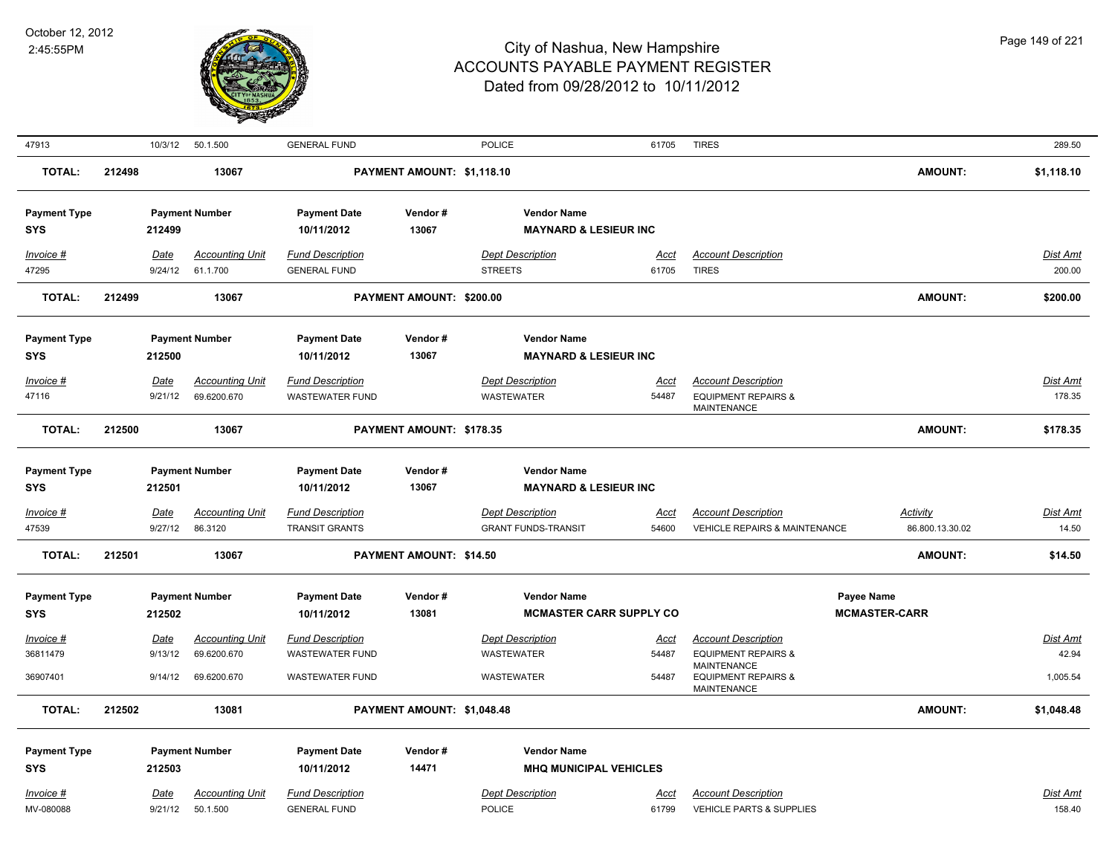

| 47913               |        | 10/3/12     | 50.1.500               | <b>GENERAL FUND</b>     |                            | <b>POLICE</b>                    | 61705                          | <b>TIRES</b>                                                               |                      | 289.50          |
|---------------------|--------|-------------|------------------------|-------------------------|----------------------------|----------------------------------|--------------------------------|----------------------------------------------------------------------------|----------------------|-----------------|
| <b>TOTAL:</b>       | 212498 |             | 13067                  |                         | PAYMENT AMOUNT: \$1,118.10 |                                  |                                |                                                                            | <b>AMOUNT:</b>       | \$1,118.10      |
| <b>Payment Type</b> |        |             | <b>Payment Number</b>  | <b>Payment Date</b>     | Vendor#                    | <b>Vendor Name</b>               |                                |                                                                            |                      |                 |
| <b>SYS</b>          |        | 212499      |                        | 10/11/2012              | 13067                      | <b>MAYNARD &amp; LESIEUR INC</b> |                                |                                                                            |                      |                 |
| Invoice #           |        | Date        | <b>Accounting Unit</b> | <b>Fund Description</b> |                            | <b>Dept Description</b>          | Acct                           | <b>Account Description</b>                                                 |                      | Dist Amt        |
| 47295               |        | 9/24/12     | 61.1.700               | <b>GENERAL FUND</b>     |                            | <b>STREETS</b>                   | 61705                          | <b>TIRES</b>                                                               |                      | 200.00          |
| <b>TOTAL:</b>       | 212499 |             | 13067                  |                         | PAYMENT AMOUNT: \$200.00   |                                  |                                |                                                                            | <b>AMOUNT:</b>       | \$200.00        |
|                     |        |             |                        |                         |                            |                                  |                                |                                                                            |                      |                 |
| <b>Payment Type</b> |        |             | <b>Payment Number</b>  | <b>Payment Date</b>     | Vendor#                    | <b>Vendor Name</b>               |                                |                                                                            |                      |                 |
| <b>SYS</b>          |        | 212500      |                        | 10/11/2012              | 13067                      | <b>MAYNARD &amp; LESIEUR INC</b> |                                |                                                                            |                      |                 |
| Invoice #           |        | Date        | <b>Accounting Unit</b> | <b>Fund Description</b> |                            | <b>Dept Description</b>          | <u>Acct</u>                    | <b>Account Description</b>                                                 |                      | <b>Dist Amt</b> |
| 47116               |        | 9/21/12     | 69.6200.670            | <b>WASTEWATER FUND</b>  |                            | <b>WASTEWATER</b>                | 54487                          | <b>EQUIPMENT REPAIRS &amp;</b><br><b>MAINTENANCE</b>                       |                      | 178.35          |
| <b>TOTAL:</b>       | 212500 |             | 13067                  |                         | PAYMENT AMOUNT: \$178.35   |                                  |                                |                                                                            | <b>AMOUNT:</b>       | \$178.35        |
|                     |        |             |                        |                         |                            |                                  |                                |                                                                            |                      |                 |
| <b>Payment Type</b> |        |             | <b>Payment Number</b>  | <b>Payment Date</b>     | Vendor#                    | <b>Vendor Name</b>               |                                |                                                                            |                      |                 |
| SYS                 |        | 212501      |                        | 10/11/2012              | 13067                      | <b>MAYNARD &amp; LESIEUR INC</b> |                                |                                                                            |                      |                 |
| Invoice #           |        | Date        | <b>Accounting Unit</b> | <b>Fund Description</b> |                            | <b>Dept Description</b>          | Acct                           | <b>Account Description</b>                                                 | Activity             | Dist Amt        |
| 47539               |        | 9/27/12     | 86.3120                | <b>TRANSIT GRANTS</b>   |                            | <b>GRANT FUNDS-TRANSIT</b>       | 54600                          | <b>VEHICLE REPAIRS &amp; MAINTENANCE</b>                                   | 86.800.13.30.02      | 14.50           |
| <b>TOTAL:</b>       | 212501 |             | 13067                  |                         | PAYMENT AMOUNT: \$14.50    |                                  |                                |                                                                            | <b>AMOUNT:</b>       | \$14.50         |
| <b>Payment Type</b> |        |             | <b>Payment Number</b>  | <b>Payment Date</b>     | Vendor#                    | <b>Vendor Name</b>               |                                |                                                                            | Payee Name           |                 |
| <b>SYS</b>          |        | 212502      |                        | 10/11/2012              | 13081                      |                                  | <b>MCMASTER CARR SUPPLY CO</b> |                                                                            | <b>MCMASTER-CARR</b> |                 |
| Invoice #           |        | Date        | <b>Accounting Unit</b> | <b>Fund Description</b> |                            | <b>Dept Description</b>          | <u>Acct</u>                    | <b>Account Description</b>                                                 |                      | Dist Amt        |
| 36811479            |        | 9/13/12     | 69.6200.670            | <b>WASTEWATER FUND</b>  |                            | WASTEWATER                       | 54487                          | <b>EQUIPMENT REPAIRS &amp;</b>                                             |                      | 42.94           |
| 36907401            |        | 9/14/12     | 69.6200.670            | <b>WASTEWATER FUND</b>  |                            | <b>WASTEWATER</b>                | 54487                          | <b>MAINTENANCE</b><br><b>EQUIPMENT REPAIRS &amp;</b><br><b>MAINTENANCE</b> |                      | 1,005.54        |
| <b>TOTAL:</b>       | 212502 |             | 13081                  |                         | PAYMENT AMOUNT: \$1,048.48 |                                  |                                |                                                                            | <b>AMOUNT:</b>       | \$1,048.48      |
| <b>Payment Type</b> |        |             | <b>Payment Number</b>  | <b>Payment Date</b>     | Vendor#                    | <b>Vendor Name</b>               |                                |                                                                            |                      |                 |
| <b>SYS</b>          |        | 212503      |                        | 10/11/2012              | 14471                      | <b>MHQ MUNICIPAL VEHICLES</b>    |                                |                                                                            |                      |                 |
| Invoice #           |        | <u>Date</u> | <b>Accounting Unit</b> | <b>Fund Description</b> |                            | <b>Dept Description</b>          | Acct                           | <b>Account Description</b>                                                 |                      | <b>Dist Amt</b> |
| MV-080088           |        | 9/21/12     | 50.1.500               | <b>GENERAL FUND</b>     |                            | <b>POLICE</b>                    | 61799                          | <b>VEHICLE PARTS &amp; SUPPLIES</b>                                        |                      | 158.40          |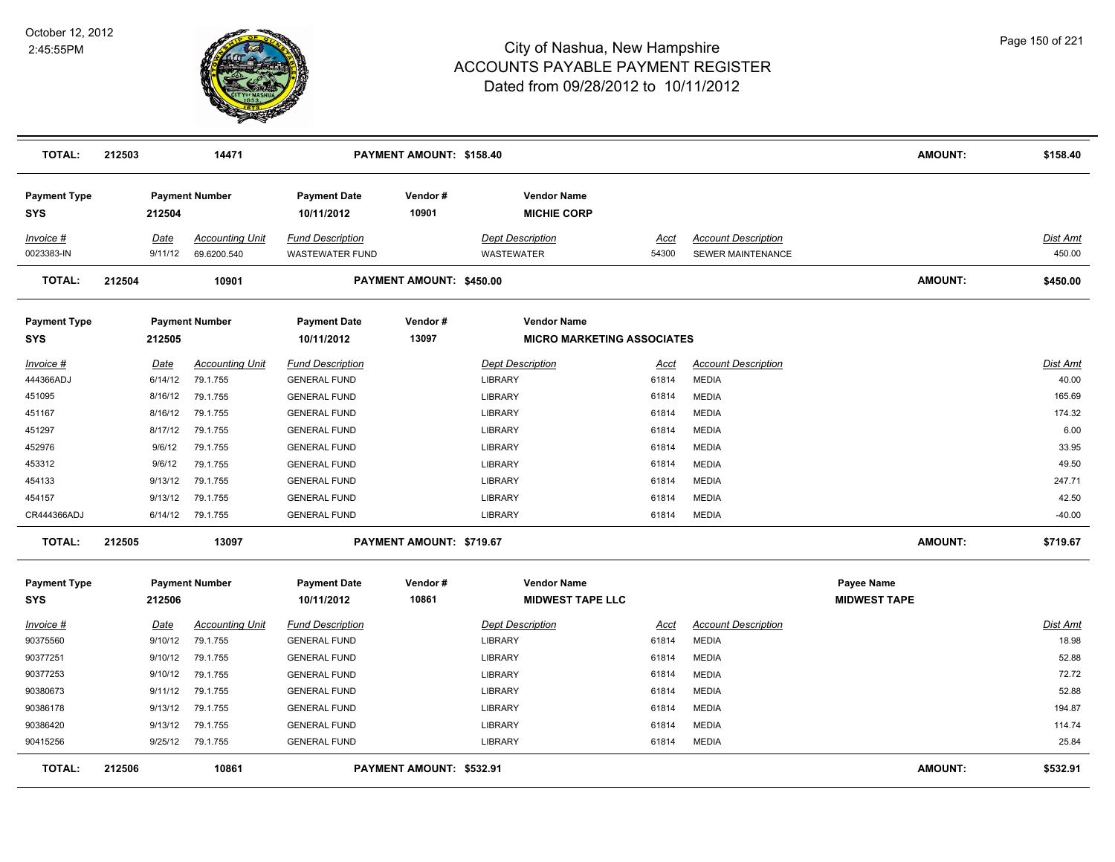

| TOTAL:                            | 212503 |                 | 14471                                 |                                                   | PAYMENT AMOUNT: \$158.40 |                                                         |               |                                                        | <b>AMOUNT:</b>                    | \$158.40           |
|-----------------------------------|--------|-----------------|---------------------------------------|---------------------------------------------------|--------------------------|---------------------------------------------------------|---------------|--------------------------------------------------------|-----------------------------------|--------------------|
| <b>Payment Type</b><br><b>SYS</b> |        | 212504          | <b>Payment Number</b>                 | <b>Payment Date</b><br>10/11/2012                 | Vendor#<br>10901         | <b>Vendor Name</b><br><b>MICHIE CORP</b>                |               |                                                        |                                   |                    |
| Invoice #<br>0023383-IN           |        | Date<br>9/11/12 | <b>Accounting Unit</b><br>69.6200.540 | <b>Fund Description</b><br><b>WASTEWATER FUND</b> |                          | <b>Dept Description</b><br><b>WASTEWATER</b>            | Acct<br>54300 | <b>Account Description</b><br><b>SEWER MAINTENANCE</b> |                                   | Dist Amt<br>450.00 |
| TOTAL:                            | 212504 |                 | 10901                                 |                                                   | PAYMENT AMOUNT: \$450.00 |                                                         |               |                                                        | <b>AMOUNT:</b>                    | \$450.00           |
| <b>Payment Type</b><br><b>SYS</b> |        | 212505          | <b>Payment Number</b>                 | <b>Payment Date</b><br>10/11/2012                 | Vendor#<br>13097         | <b>Vendor Name</b><br><b>MICRO MARKETING ASSOCIATES</b> |               |                                                        |                                   |                    |
| Invoice #                         |        | <b>Date</b>     | <b>Accounting Unit</b>                | <b>Fund Description</b>                           |                          | <b>Dept Description</b>                                 | Acct          | <b>Account Description</b>                             |                                   | <b>Dist Amt</b>    |
| 444366ADJ                         |        | 6/14/12         | 79.1.755                              | <b>GENERAL FUND</b>                               |                          | <b>LIBRARY</b>                                          | 61814         | <b>MEDIA</b>                                           |                                   | 40.00              |
| 451095                            |        | 8/16/12         | 79.1.755                              | <b>GENERAL FUND</b>                               |                          | <b>LIBRARY</b>                                          | 61814         | <b>MEDIA</b>                                           |                                   | 165.69             |
| 451167                            |        | 8/16/12         | 79.1.755                              | <b>GENERAL FUND</b>                               |                          | LIBRARY                                                 | 61814         | <b>MEDIA</b>                                           |                                   | 174.32             |
| 451297                            |        | 8/17/12         | 79.1.755                              | <b>GENERAL FUND</b>                               |                          | LIBRARY                                                 | 61814         | <b>MEDIA</b>                                           |                                   | 6.00               |
| 452976                            |        | 9/6/12          | 79.1.755                              | <b>GENERAL FUND</b>                               |                          | <b>LIBRARY</b>                                          | 61814         | <b>MEDIA</b>                                           |                                   | 33.95              |
| 453312                            |        | 9/6/12          | 79.1.755                              | <b>GENERAL FUND</b>                               |                          | LIBRARY                                                 | 61814         | <b>MEDIA</b>                                           |                                   | 49.50              |
| 454133                            |        | 9/13/12         | 79.1.755                              | <b>GENERAL FUND</b>                               |                          | LIBRARY                                                 | 61814         | <b>MEDIA</b>                                           |                                   | 247.71             |
| 454157                            |        | 9/13/12         | 79.1.755                              | <b>GENERAL FUND</b>                               |                          | LIBRARY                                                 | 61814         | <b>MEDIA</b>                                           |                                   | 42.50              |
| CR444366ADJ                       |        | 6/14/12         | 79.1.755                              | <b>GENERAL FUND</b>                               |                          | <b>LIBRARY</b>                                          | 61814         | <b>MEDIA</b>                                           |                                   | $-40.00$           |
| <b>TOTAL:</b>                     | 212505 |                 | 13097                                 |                                                   | PAYMENT AMOUNT: \$719.67 |                                                         |               |                                                        | <b>AMOUNT:</b>                    | \$719.67           |
| <b>Payment Type</b><br><b>SYS</b> |        | 212506          | <b>Payment Number</b>                 | <b>Payment Date</b><br>10/11/2012                 | Vendor#<br>10861         | <b>Vendor Name</b><br><b>MIDWEST TAPE LLC</b>           |               |                                                        | Payee Name<br><b>MIDWEST TAPE</b> |                    |
| Invoice #                         |        | <u>Date</u>     | <b>Accounting Unit</b>                | <b>Fund Description</b>                           |                          | <b>Dept Description</b>                                 | <b>Acct</b>   | <b>Account Description</b>                             |                                   | Dist Amt           |
| 90375560                          |        | 9/10/12         | 79.1.755                              | <b>GENERAL FUND</b>                               |                          | <b>LIBRARY</b>                                          | 61814         | <b>MEDIA</b>                                           |                                   | 18.98              |
| 90377251                          |        | 9/10/12         | 79.1.755                              | <b>GENERAL FUND</b>                               |                          | LIBRARY                                                 | 61814         | <b>MEDIA</b>                                           |                                   | 52.88              |
| 90377253                          |        | 9/10/12         | 79.1.755                              | <b>GENERAL FUND</b>                               |                          | LIBRARY                                                 | 61814         | <b>MEDIA</b>                                           |                                   | 72.72              |
| 90380673                          |        | 9/11/12         | 79.1.755                              | <b>GENERAL FUND</b>                               |                          | LIBRARY                                                 | 61814         | <b>MEDIA</b>                                           |                                   | 52.88              |
| 90386178                          |        | 9/13/12         | 79.1.755                              | <b>GENERAL FUND</b>                               |                          | LIBRARY                                                 | 61814         | <b>MEDIA</b>                                           |                                   | 194.87             |
| 90386420                          |        | 9/13/12         | 79.1.755                              | <b>GENERAL FUND</b>                               |                          | <b>LIBRARY</b>                                          | 61814         | <b>MEDIA</b>                                           |                                   | 114.74             |
| 90415256                          |        | 9/25/12         | 79.1.755                              | <b>GENERAL FUND</b>                               |                          | LIBRARY                                                 | 61814         | <b>MEDIA</b>                                           |                                   | 25.84              |
| <b>TOTAL:</b>                     | 212506 |                 | 10861                                 |                                                   | PAYMENT AMOUNT: \$532.91 |                                                         |               |                                                        | <b>AMOUNT:</b>                    | \$532.91           |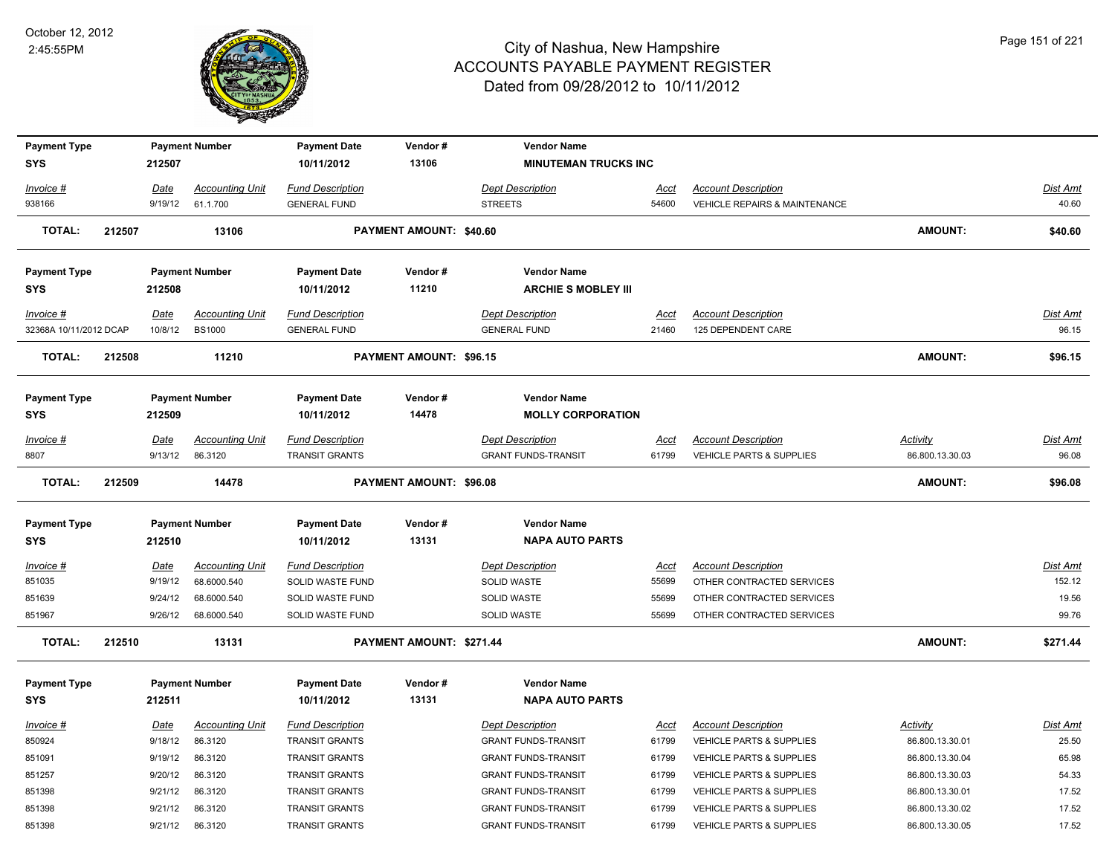

| <b>Payment Type</b>    |        |             | <b>Payment Number</b>  | <b>Payment Date</b>     | Vendor#                        | <b>Vendor Name</b>          |       |                                     |                 |          |
|------------------------|--------|-------------|------------------------|-------------------------|--------------------------------|-----------------------------|-------|-------------------------------------|-----------------|----------|
| <b>SYS</b>             |        | 212507      |                        | 10/11/2012              | 13106                          | <b>MINUTEMAN TRUCKS INC</b> |       |                                     |                 |          |
| Invoice #              |        | Date        | <b>Accounting Unit</b> | <b>Fund Description</b> |                                | <b>Dept Description</b>     | Acct  | <b>Account Description</b>          |                 | Dist Amt |
| 938166                 |        | 9/19/12     | 61.1.700               | <b>GENERAL FUND</b>     |                                | <b>STREETS</b>              | 54600 | VEHICLE REPAIRS & MAINTENANCE       |                 | 40.60    |
|                        |        |             |                        |                         |                                |                             |       |                                     |                 |          |
| <b>TOTAL:</b>          | 212507 |             | 13106                  |                         | PAYMENT AMOUNT: \$40.60        |                             |       |                                     | <b>AMOUNT:</b>  | \$40.60  |
| <b>Payment Type</b>    |        |             | <b>Payment Number</b>  | <b>Payment Date</b>     | Vendor#                        | <b>Vendor Name</b>          |       |                                     |                 |          |
| <b>SYS</b>             |        | 212508      |                        | 10/11/2012              | 11210                          | <b>ARCHIE S MOBLEY III</b>  |       |                                     |                 |          |
| Invoice #              |        | Date        | <b>Accounting Unit</b> | <b>Fund Description</b> |                                | <b>Dept Description</b>     | Acct  | <b>Account Description</b>          |                 | Dist Amt |
| 32368A 10/11/2012 DCAP |        | 10/8/12     | <b>BS1000</b>          | <b>GENERAL FUND</b>     |                                | <b>GENERAL FUND</b>         | 21460 | 125 DEPENDENT CARE                  |                 | 96.15    |
| <b>TOTAL:</b>          | 212508 |             | 11210                  |                         | <b>PAYMENT AMOUNT: \$96.15</b> |                             |       |                                     | <b>AMOUNT:</b>  | \$96.15  |
|                        |        |             |                        |                         |                                |                             |       |                                     |                 |          |
| <b>Payment Type</b>    |        |             | <b>Payment Number</b>  | <b>Payment Date</b>     | Vendor#                        | <b>Vendor Name</b>          |       |                                     |                 |          |
| <b>SYS</b>             |        | 212509      |                        | 10/11/2012              | 14478                          | <b>MOLLY CORPORATION</b>    |       |                                     |                 |          |
| Invoice #              |        | Date        | <b>Accounting Unit</b> | <b>Fund Description</b> |                                | <b>Dept Description</b>     | Acct  | <b>Account Description</b>          | Activity        | Dist Amt |
| 8807                   |        | 9/13/12     | 86.3120                | <b>TRANSIT GRANTS</b>   |                                | <b>GRANT FUNDS-TRANSIT</b>  | 61799 | <b>VEHICLE PARTS &amp; SUPPLIES</b> | 86.800.13.30.03 | 96.08    |
|                        |        |             |                        |                         |                                |                             |       |                                     |                 |          |
| <b>TOTAL:</b>          | 212509 |             | 14478                  |                         | PAYMENT AMOUNT: \$96.08        |                             |       |                                     | <b>AMOUNT:</b>  | \$96.08  |
| <b>Payment Type</b>    |        |             | <b>Payment Number</b>  | <b>Payment Date</b>     | Vendor#                        | <b>Vendor Name</b>          |       |                                     |                 |          |
| <b>SYS</b>             |        | 212510      |                        | 10/11/2012              | 13131                          | <b>NAPA AUTO PARTS</b>      |       |                                     |                 |          |
| $Invoice$ #            |        | Date        | <b>Accounting Unit</b> | <b>Fund Description</b> |                                | <b>Dept Description</b>     | Acct  | <b>Account Description</b>          |                 | Dist Amt |
| 851035                 |        | 9/19/12     | 68.6000.540            | SOLID WASTE FUND        |                                | <b>SOLID WASTE</b>          | 55699 | OTHER CONTRACTED SERVICES           |                 | 152.12   |
| 851639                 |        | 9/24/12     | 68.6000.540            | SOLID WASTE FUND        |                                | SOLID WASTE                 | 55699 | OTHER CONTRACTED SERVICES           |                 | 19.56    |
| 851967                 |        | 9/26/12     | 68.6000.540            | SOLID WASTE FUND        |                                | <b>SOLID WASTE</b>          | 55699 | OTHER CONTRACTED SERVICES           |                 | 99.76    |
| <b>TOTAL:</b>          | 212510 |             | 13131                  |                         | PAYMENT AMOUNT: \$271.44       |                             |       |                                     | <b>AMOUNT:</b>  | \$271.44 |
|                        |        |             |                        |                         |                                |                             |       |                                     |                 |          |
| <b>Payment Type</b>    |        |             | <b>Payment Number</b>  | <b>Payment Date</b>     | Vendor#<br>13131               | <b>Vendor Name</b>          |       |                                     |                 |          |
| <b>SYS</b>             |        | 212511      |                        | 10/11/2012              |                                | <b>NAPA AUTO PARTS</b>      |       |                                     |                 |          |
| Invoice #              |        | <u>Date</u> | <b>Accounting Unit</b> | <b>Fund Description</b> |                                | <b>Dept Description</b>     | Acct  | <b>Account Description</b>          | Activity        | Dist Amt |
| 850924                 |        | 9/18/12     | 86.3120                | <b>TRANSIT GRANTS</b>   |                                | <b>GRANT FUNDS-TRANSIT</b>  | 61799 | <b>VEHICLE PARTS &amp; SUPPLIES</b> | 86.800.13.30.01 | 25.50    |
| 851091                 |        | 9/19/12     | 86.3120                | <b>TRANSIT GRANTS</b>   |                                | <b>GRANT FUNDS-TRANSIT</b>  | 61799 | <b>VEHICLE PARTS &amp; SUPPLIES</b> | 86.800.13.30.04 | 65.98    |
| 851257                 |        | 9/20/12     | 86.3120                | <b>TRANSIT GRANTS</b>   |                                | <b>GRANT FUNDS-TRANSIT</b>  | 61799 | <b>VEHICLE PARTS &amp; SUPPLIES</b> | 86.800.13.30.03 | 54.33    |
| 851398                 |        | 9/21/12     | 86.3120                | <b>TRANSIT GRANTS</b>   |                                | <b>GRANT FUNDS-TRANSIT</b>  | 61799 | <b>VEHICLE PARTS &amp; SUPPLIES</b> | 86.800.13.30.01 | 17.52    |
| 851398                 |        | 9/21/12     | 86.3120                | <b>TRANSIT GRANTS</b>   |                                | <b>GRANT FUNDS-TRANSIT</b>  | 61799 | <b>VEHICLE PARTS &amp; SUPPLIES</b> | 86.800.13.30.02 | 17.52    |
| 851398                 |        | 9/21/12     | 86.3120                | <b>TRANSIT GRANTS</b>   |                                | <b>GRANT FUNDS-TRANSIT</b>  | 61799 | <b>VEHICLE PARTS &amp; SUPPLIES</b> | 86.800.13.30.05 | 17.52    |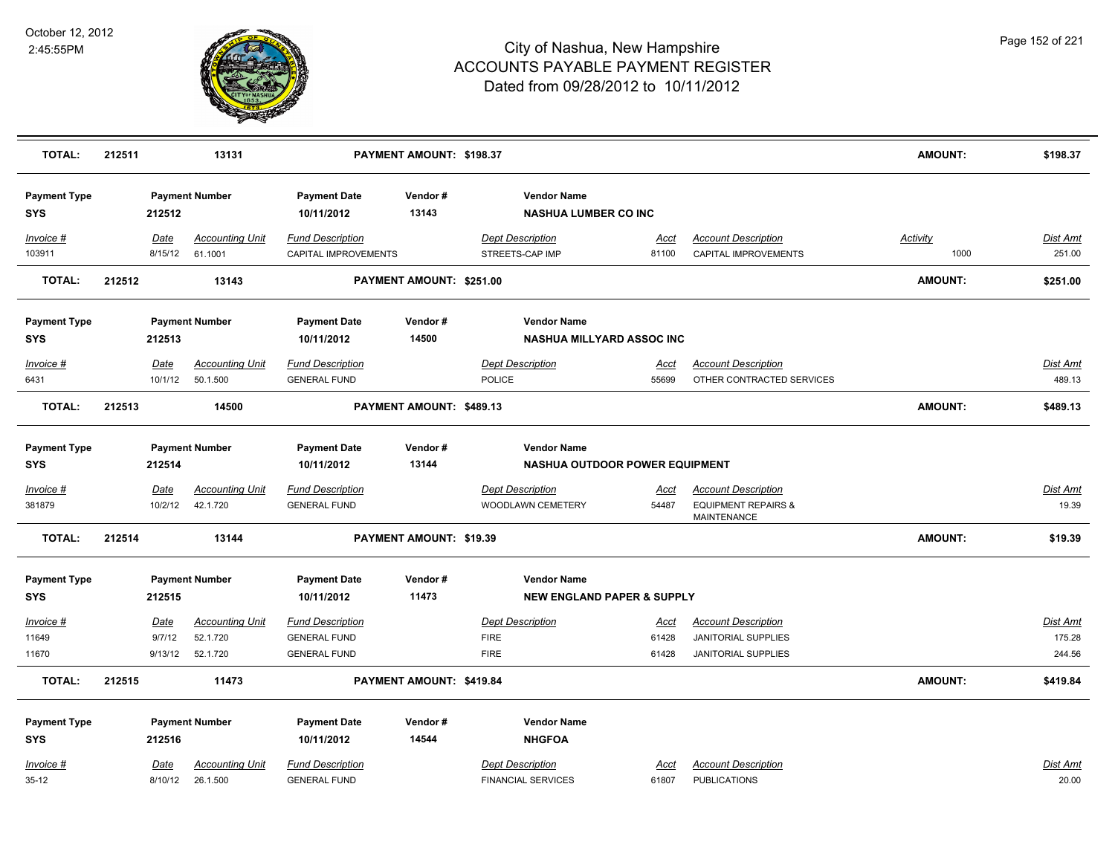

| <b>TOTAL:</b>                     | 212511 |                 | 13131                             |                                                 | PAYMENT AMOUNT: \$198.37 |                                                   |                      |                                                    | <b>AMOUNT:</b>          | \$198.37                  |
|-----------------------------------|--------|-----------------|-----------------------------------|-------------------------------------------------|--------------------------|---------------------------------------------------|----------------------|----------------------------------------------------|-------------------------|---------------------------|
| <b>Payment Type</b><br><b>SYS</b> |        | 212512          | <b>Payment Number</b>             | <b>Payment Date</b><br>10/11/2012               | Vendor#<br>13143         | <b>Vendor Name</b><br><b>NASHUA LUMBER CO INC</b> |                      |                                                    |                         |                           |
| $Invoice$ #<br>103911             |        | Date<br>8/15/12 | <b>Accounting Unit</b><br>61.1001 | <b>Fund Description</b><br>CAPITAL IMPROVEMENTS |                          | <b>Dept Description</b><br>STREETS-CAP IMP        | <u>Acct</u><br>81100 | <b>Account Description</b><br>CAPITAL IMPROVEMENTS | <b>Activity</b><br>1000 | <b>Dist Amt</b><br>251.00 |
| <b>TOTAL:</b>                     | 212512 |                 | 13143                             |                                                 | PAYMENT AMOUNT: \$251.00 |                                                   |                      |                                                    | <b>AMOUNT:</b>          | \$251.00                  |
| <b>Payment Type</b>               |        |                 | <b>Payment Number</b>             | <b>Payment Date</b>                             | Vendor#                  | <b>Vendor Name</b>                                |                      |                                                    |                         |                           |
| <b>SYS</b>                        |        | 212513          |                                   | 10/11/2012                                      | 14500                    | <b>NASHUA MILLYARD ASSOC INC</b>                  |                      |                                                    |                         |                           |
| Invoice #                         |        | Date            | <b>Accounting Unit</b>            | <b>Fund Description</b>                         |                          | <b>Dept Description</b>                           | Acct                 | <b>Account Description</b>                         |                         | <b>Dist Amt</b>           |
| 6431                              |        | 10/1/12         | 50.1.500                          | <b>GENERAL FUND</b>                             |                          | <b>POLICE</b>                                     | 55699                | OTHER CONTRACTED SERVICES                          |                         | 489.13                    |
| <b>TOTAL:</b>                     | 212513 |                 | 14500                             |                                                 | PAYMENT AMOUNT: \$489.13 |                                                   |                      |                                                    | <b>AMOUNT:</b>          | \$489.13                  |
| <b>Payment Type</b>               |        |                 | <b>Payment Number</b>             | <b>Payment Date</b>                             | Vendor#                  | <b>Vendor Name</b>                                |                      |                                                    |                         |                           |
| <b>SYS</b>                        |        | 212514          |                                   | 10/11/2012                                      | 13144                    | NASHUA OUTDOOR POWER EQUIPMENT                    |                      |                                                    |                         |                           |
| $Invoice$ #                       |        | Date            | <b>Accounting Unit</b>            | <b>Fund Description</b>                         |                          | <b>Dept Description</b>                           | <u>Acci</u>          | <b>Account Description</b>                         |                         | <b>Dist Amt</b>           |
| 381879                            |        | 10/2/12         | 42.1.720                          | <b>GENERAL FUND</b>                             |                          | WOODLAWN CEMETERY                                 | 54487                | <b>EQUIPMENT REPAIRS &amp;</b><br>MAINTENANCE      |                         | 19.39                     |
| <b>TOTAL:</b>                     | 212514 |                 | 13144                             |                                                 | PAYMENT AMOUNT: \$19.39  |                                                   |                      |                                                    | <b>AMOUNT:</b>          | \$19.39                   |
| <b>Payment Type</b>               |        |                 | <b>Payment Number</b>             | <b>Payment Date</b>                             | Vendor#                  | <b>Vendor Name</b>                                |                      |                                                    |                         |                           |
| <b>SYS</b>                        |        | 212515          |                                   | 10/11/2012                                      | 11473                    | <b>NEW ENGLAND PAPER &amp; SUPPLY</b>             |                      |                                                    |                         |                           |
| $Invoice$ #                       |        | Date            | <b>Accounting Unit</b>            | <b>Fund Description</b>                         |                          | <b>Dept Description</b>                           | <u>Acct</u>          | <b>Account Description</b>                         |                         | <b>Dist Amt</b>           |
| 11649                             |        | 9/7/12          | 52.1.720                          | <b>GENERAL FUND</b>                             |                          | <b>FIRE</b>                                       | 61428                | JANITORIAL SUPPLIES                                |                         | 175.28                    |
| 11670                             |        | 9/13/12         | 52.1.720                          | <b>GENERAL FUND</b>                             |                          | <b>FIRE</b>                                       | 61428                | <b>JANITORIAL SUPPLIES</b>                         |                         | 244.56                    |
| <b>TOTAL:</b>                     | 212515 |                 | 11473                             |                                                 | PAYMENT AMOUNT: \$419.84 |                                                   |                      |                                                    | <b>AMOUNT:</b>          | \$419.84                  |
| <b>Payment Type</b>               |        |                 | <b>Payment Number</b>             | <b>Payment Date</b>                             | Vendor#                  | <b>Vendor Name</b>                                |                      |                                                    |                         |                           |
| <b>SYS</b>                        |        | 212516          |                                   | 10/11/2012                                      | 14544                    | <b>NHGFOA</b>                                     |                      |                                                    |                         |                           |
| Invoice #                         |        | Date            | <b>Accounting Unit</b>            | <b>Fund Description</b>                         |                          | <b>Dept Description</b>                           | Acct                 | <b>Account Description</b>                         |                         | <b>Dist Amt</b>           |
| $35-12$                           |        | 8/10/12         | 26.1.500                          | <b>GENERAL FUND</b>                             |                          | <b>FINANCIAL SERVICES</b>                         | 61807                | <b>PUBLICATIONS</b>                                |                         | 20.00                     |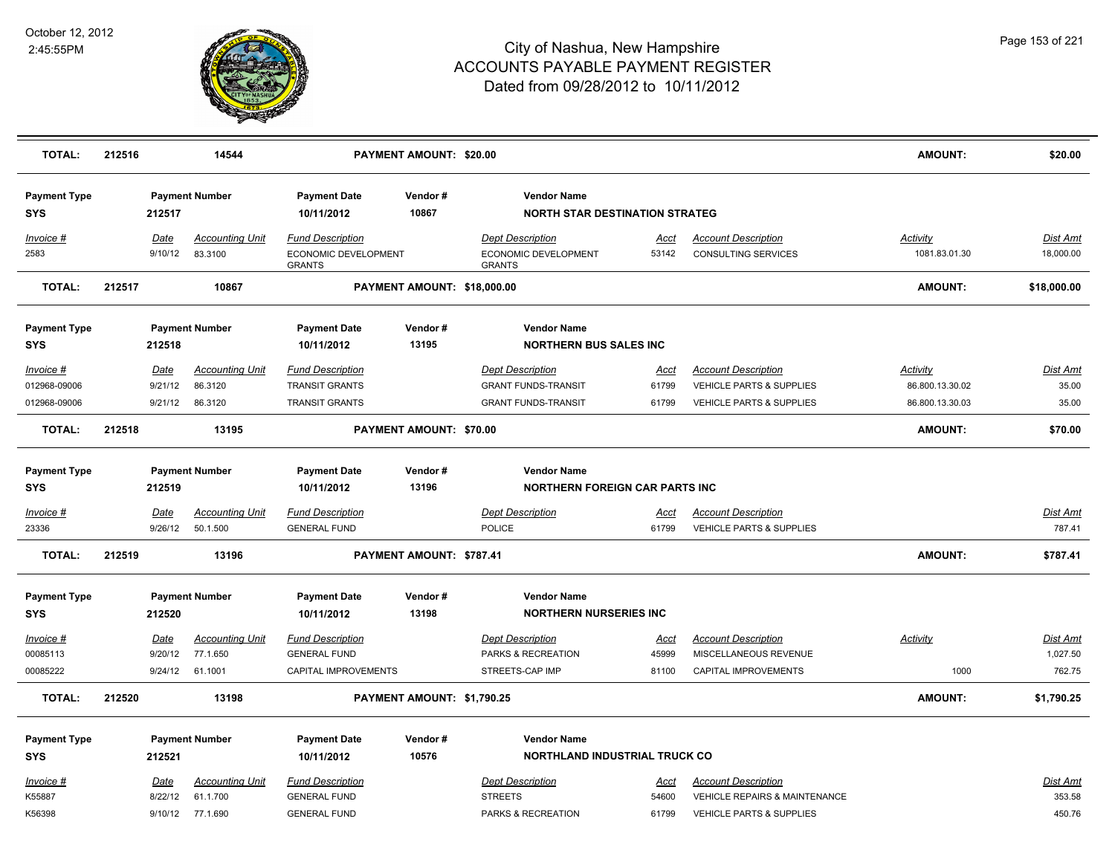

| <b>TOTAL:</b>                               | 212516 |                                   | 14544                                        |                                                                           | PAYMENT AMOUNT: \$20.00     |                                                                                     |                        |                                                                                               | <b>AMOUNT:</b>                                 | \$20.00                           |
|---------------------------------------------|--------|-----------------------------------|----------------------------------------------|---------------------------------------------------------------------------|-----------------------------|-------------------------------------------------------------------------------------|------------------------|-----------------------------------------------------------------------------------------------|------------------------------------------------|-----------------------------------|
| <b>Payment Type</b><br><b>SYS</b>           |        | 212517                            | <b>Payment Number</b>                        | <b>Payment Date</b><br>10/11/2012                                         | Vendor#<br>10867            | <b>Vendor Name</b><br><b>NORTH STAR DESTINATION STRATEG</b>                         |                        |                                                                                               |                                                |                                   |
| Invoice #<br>2583                           |        | Date<br>9/10/12                   | <b>Accounting Unit</b><br>83.3100            | <b>Fund Description</b><br>ECONOMIC DEVELOPMENT<br><b>GRANTS</b>          |                             | <b>Dept Description</b><br>ECONOMIC DEVELOPMENT<br><b>GRANTS</b>                    | Acct<br>53142          | <b>Account Description</b><br><b>CONSULTING SERVICES</b>                                      | Activity<br>1081.83.01.30                      | <b>Dist Amt</b><br>18,000.00      |
| <b>TOTAL:</b>                               | 212517 |                                   | 10867                                        |                                                                           | PAYMENT AMOUNT: \$18,000.00 |                                                                                     |                        |                                                                                               | <b>AMOUNT:</b>                                 | \$18,000.00                       |
| <b>Payment Type</b>                         |        |                                   | <b>Payment Number</b>                        | <b>Payment Date</b>                                                       | Vendor#                     | <b>Vendor Name</b>                                                                  |                        |                                                                                               |                                                |                                   |
| <b>SYS</b>                                  |        | 212518                            |                                              | 10/11/2012                                                                | 13195                       | <b>NORTHERN BUS SALES INC</b>                                                       |                        |                                                                                               |                                                |                                   |
| $Invoice$ #<br>012968-09006<br>012968-09006 |        | <b>Date</b><br>9/21/12<br>9/21/12 | <b>Accounting Unit</b><br>86.3120<br>86.3120 | <b>Fund Description</b><br><b>TRANSIT GRANTS</b><br><b>TRANSIT GRANTS</b> |                             | <b>Dept Description</b><br><b>GRANT FUNDS-TRANSIT</b><br><b>GRANT FUNDS-TRANSIT</b> | Acct<br>61799<br>61799 | <b>Account Description</b><br><b>VEHICLE PARTS &amp; SUPPLIES</b><br>VEHICLE PARTS & SUPPLIES | Activity<br>86.800.13.30.02<br>86.800.13.30.03 | <b>Dist Amt</b><br>35.00<br>35.00 |
| <b>TOTAL:</b>                               | 212518 |                                   | 13195                                        |                                                                           | PAYMENT AMOUNT: \$70.00     |                                                                                     |                        |                                                                                               | <b>AMOUNT:</b>                                 | \$70.00                           |
|                                             |        |                                   |                                              |                                                                           |                             |                                                                                     |                        |                                                                                               |                                                |                                   |
| <b>Payment Type</b>                         |        |                                   | <b>Payment Number</b>                        | <b>Payment Date</b>                                                       | Vendor#                     | <b>Vendor Name</b>                                                                  |                        |                                                                                               |                                                |                                   |
| <b>SYS</b>                                  |        | 212519                            |                                              | 10/11/2012                                                                | 13196                       | <b>NORTHERN FOREIGN CAR PARTS INC</b>                                               |                        |                                                                                               |                                                |                                   |
| Invoice #                                   |        | Date                              | <b>Accounting Unit</b>                       | <b>Fund Description</b>                                                   |                             | <b>Dept Description</b>                                                             | Acct                   | <b>Account Description</b>                                                                    |                                                | Dist Amt                          |
| 23336                                       |        | 9/26/12                           | 50.1.500                                     | <b>GENERAL FUND</b>                                                       |                             | <b>POLICE</b>                                                                       | 61799                  | <b>VEHICLE PARTS &amp; SUPPLIES</b>                                                           |                                                | 787.41                            |
| <b>TOTAL:</b>                               | 212519 |                                   | 13196                                        |                                                                           | PAYMENT AMOUNT: \$787.41    |                                                                                     |                        |                                                                                               | <b>AMOUNT:</b>                                 | \$787.41                          |
| <b>Payment Type</b>                         |        |                                   | <b>Payment Number</b>                        | <b>Payment Date</b>                                                       | Vendor#                     | <b>Vendor Name</b>                                                                  |                        |                                                                                               |                                                |                                   |
| <b>SYS</b>                                  |        | 212520                            |                                              | 10/11/2012                                                                | 13198                       | <b>NORTHERN NURSERIES INC</b>                                                       |                        |                                                                                               |                                                |                                   |
| $Invoice$ #                                 |        | Date                              | <b>Accounting Unit</b>                       | <b>Fund Description</b>                                                   |                             | <b>Dept Description</b>                                                             | <u>Acci</u>            | <b>Account Description</b>                                                                    | <b>Activity</b>                                | Dist Amt                          |
| 00085113                                    |        | 9/20/12                           | 77.1.650                                     | <b>GENERAL FUND</b>                                                       |                             | PARKS & RECREATION                                                                  | 45999                  | MISCELLANEOUS REVENUE                                                                         |                                                | 1,027.50                          |
| 00085222                                    |        | 9/24/12                           | 61.1001                                      | CAPITAL IMPROVEMENTS                                                      |                             | STREETS-CAP IMP                                                                     | 81100                  | CAPITAL IMPROVEMENTS                                                                          | 1000                                           | 762.75                            |
| <b>TOTAL:</b>                               | 212520 |                                   | 13198                                        |                                                                           | PAYMENT AMOUNT: \$1,790.25  |                                                                                     |                        |                                                                                               | AMOUNT:                                        | \$1,790.25                        |
| <b>Payment Type</b>                         |        |                                   | <b>Payment Number</b>                        | <b>Payment Date</b>                                                       | Vendor#                     | <b>Vendor Name</b>                                                                  |                        |                                                                                               |                                                |                                   |
| <b>SYS</b>                                  |        | 212521                            |                                              | 10/11/2012                                                                | 10576                       | <b>NORTHLAND INDUSTRIAL TRUCK CO</b>                                                |                        |                                                                                               |                                                |                                   |
| Invoice #                                   |        | Date                              | <b>Accounting Unit</b>                       | <b>Fund Description</b>                                                   |                             | <b>Dept Description</b>                                                             | Acct                   | <b>Account Description</b>                                                                    |                                                | Dist Amt                          |
| K55887<br>K56398                            |        | 8/22/12                           | 61.1.700<br>9/10/12 77.1.690                 | <b>GENERAL FUND</b><br><b>GENERAL FUND</b>                                |                             | <b>STREETS</b><br>PARKS & RECREATION                                                | 54600<br>61799         | <b>VEHICLE REPAIRS &amp; MAINTENANCE</b><br><b>VEHICLE PARTS &amp; SUPPLIES</b>               |                                                | 353.58<br>450.76                  |
|                                             |        |                                   |                                              |                                                                           |                             |                                                                                     |                        |                                                                                               |                                                |                                   |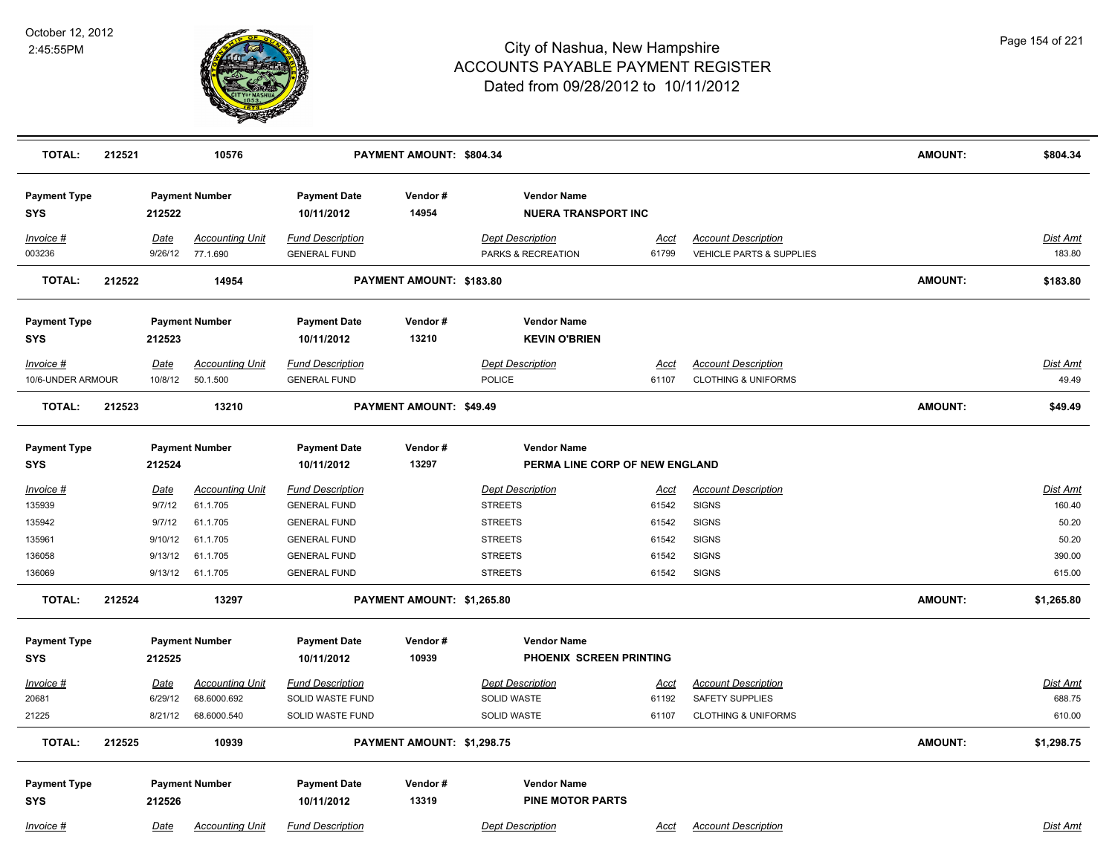

| <b>TOTAL:</b>                     | 212521 |             | 10576                                      |                                                | PAYMENT AMOUNT: \$804.34   |                                                  |                      |                                                        | <b>AMOUNT:</b> | \$804.34                  |
|-----------------------------------|--------|-------------|--------------------------------------------|------------------------------------------------|----------------------------|--------------------------------------------------|----------------------|--------------------------------------------------------|----------------|---------------------------|
| <b>Payment Type</b><br><b>SYS</b> |        | 212522      | <b>Payment Number</b>                      | <b>Payment Date</b><br>10/11/2012              | Vendor#<br>14954           | <b>Vendor Name</b><br><b>NUERA TRANSPORT INC</b> |                      |                                                        |                |                           |
| Invoice #<br>003236               |        | Date        | <b>Accounting Unit</b><br>9/26/12 77.1.690 | <b>Fund Description</b><br><b>GENERAL FUND</b> |                            | <b>Dept Description</b><br>PARKS & RECREATION    | <u>Acct</u><br>61799 | <b>Account Description</b><br>VEHICLE PARTS & SUPPLIES |                | <b>Dist Amt</b><br>183.80 |
| TOTAL:                            | 212522 |             | 14954                                      |                                                | PAYMENT AMOUNT: \$183.80   |                                                  |                      |                                                        | <b>AMOUNT:</b> | \$183.80                  |
| <b>Payment Type</b><br><b>SYS</b> |        | 212523      | <b>Payment Number</b>                      | <b>Payment Date</b><br>10/11/2012              | Vendor#<br>13210           | <b>Vendor Name</b><br><b>KEVIN O'BRIEN</b>       |                      |                                                        |                |                           |
| Invoice #                         |        | Date        | <b>Accounting Unit</b>                     | <b>Fund Description</b>                        |                            | <b>Dept Description</b>                          | <u>Acct</u>          | <b>Account Description</b>                             |                | Dist Amt                  |
| 10/6-UNDER ARMOUR                 |        | 10/8/12     | 50.1.500                                   | <b>GENERAL FUND</b>                            |                            | POLICE                                           | 61107                | <b>CLOTHING &amp; UNIFORMS</b>                         |                | 49.49                     |
| <b>TOTAL:</b>                     | 212523 |             | 13210                                      |                                                | PAYMENT AMOUNT: \$49.49    |                                                  |                      |                                                        | <b>AMOUNT:</b> | \$49.49                   |
| <b>Payment Type</b>               |        |             | <b>Payment Number</b>                      | <b>Payment Date</b>                            | Vendor#                    | <b>Vendor Name</b>                               |                      |                                                        |                |                           |
| <b>SYS</b>                        |        | 212524      |                                            | 10/11/2012                                     | 13297                      | PERMA LINE CORP OF NEW ENGLAND                   |                      |                                                        |                |                           |
| Invoice #                         |        | <b>Date</b> | <b>Accounting Unit</b>                     | <b>Fund Description</b>                        |                            | <b>Dept Description</b>                          | <u>Acct</u>          | <b>Account Description</b>                             |                | <b>Dist Amt</b>           |
| 135939                            |        | 9/7/12      | 61.1.705                                   | <b>GENERAL FUND</b>                            |                            | <b>STREETS</b>                                   | 61542                | <b>SIGNS</b>                                           |                | 160.40                    |
| 135942                            |        | 9/7/12      | 61.1.705                                   | <b>GENERAL FUND</b>                            |                            | <b>STREETS</b>                                   | 61542                | <b>SIGNS</b>                                           |                | 50.20                     |
| 135961                            |        | 9/10/12     | 61.1.705                                   | <b>GENERAL FUND</b>                            |                            | <b>STREETS</b>                                   | 61542                | <b>SIGNS</b>                                           |                | 50.20                     |
| 136058                            |        | 9/13/12     | 61.1.705                                   | <b>GENERAL FUND</b>                            |                            | <b>STREETS</b>                                   | 61542                | <b>SIGNS</b>                                           |                | 390.00                    |
| 136069                            |        |             | 9/13/12 61.1.705                           | <b>GENERAL FUND</b>                            |                            | <b>STREETS</b>                                   | 61542                | <b>SIGNS</b>                                           |                | 615.00                    |
| <b>TOTAL:</b>                     | 212524 |             | 13297                                      |                                                | PAYMENT AMOUNT: \$1,265.80 |                                                  |                      |                                                        | <b>AMOUNT:</b> | \$1,265.80                |
| <b>Payment Type</b>               |        |             | <b>Payment Number</b>                      | <b>Payment Date</b>                            | Vendor#                    | <b>Vendor Name</b>                               |                      |                                                        |                |                           |
| <b>SYS</b>                        |        | 212525      |                                            | 10/11/2012                                     | 10939                      | PHOENIX SCREEN PRINTING                          |                      |                                                        |                |                           |
| <u>Invoice #</u>                  |        | <u>Date</u> | <b>Accounting Unit</b>                     | <b>Fund Description</b>                        |                            | <b>Dept Description</b>                          | <u>Acct</u>          | <b>Account Description</b>                             |                | <b>Dist Amt</b>           |
| 20681                             |        | 6/29/12     | 68.6000.692                                | SOLID WASTE FUND                               |                            | SOLID WASTE                                      | 61192                | SAFETY SUPPLIES                                        |                | 688.75                    |
| 21225                             |        | 8/21/12     | 68.6000.540                                | SOLID WASTE FUND                               |                            | <b>SOLID WASTE</b>                               | 61107                | <b>CLOTHING &amp; UNIFORMS</b>                         |                | 610.00                    |
| <b>TOTAL:</b>                     | 212525 |             | 10939                                      |                                                | PAYMENT AMOUNT: \$1,298.75 |                                                  |                      |                                                        | <b>AMOUNT:</b> | \$1,298.75                |
| <b>Payment Type</b><br><b>SYS</b> |        | 212526      | <b>Payment Number</b>                      | <b>Payment Date</b><br>10/11/2012              | Vendor#<br>13319           | <b>Vendor Name</b><br><b>PINE MOTOR PARTS</b>    |                      |                                                        |                |                           |
| Invoice #                         |        | Date        | <b>Accounting Unit</b>                     | <b>Fund Description</b>                        |                            | <b>Dept Description</b>                          | Acct                 | <b>Account Description</b>                             |                | Dist Amt                  |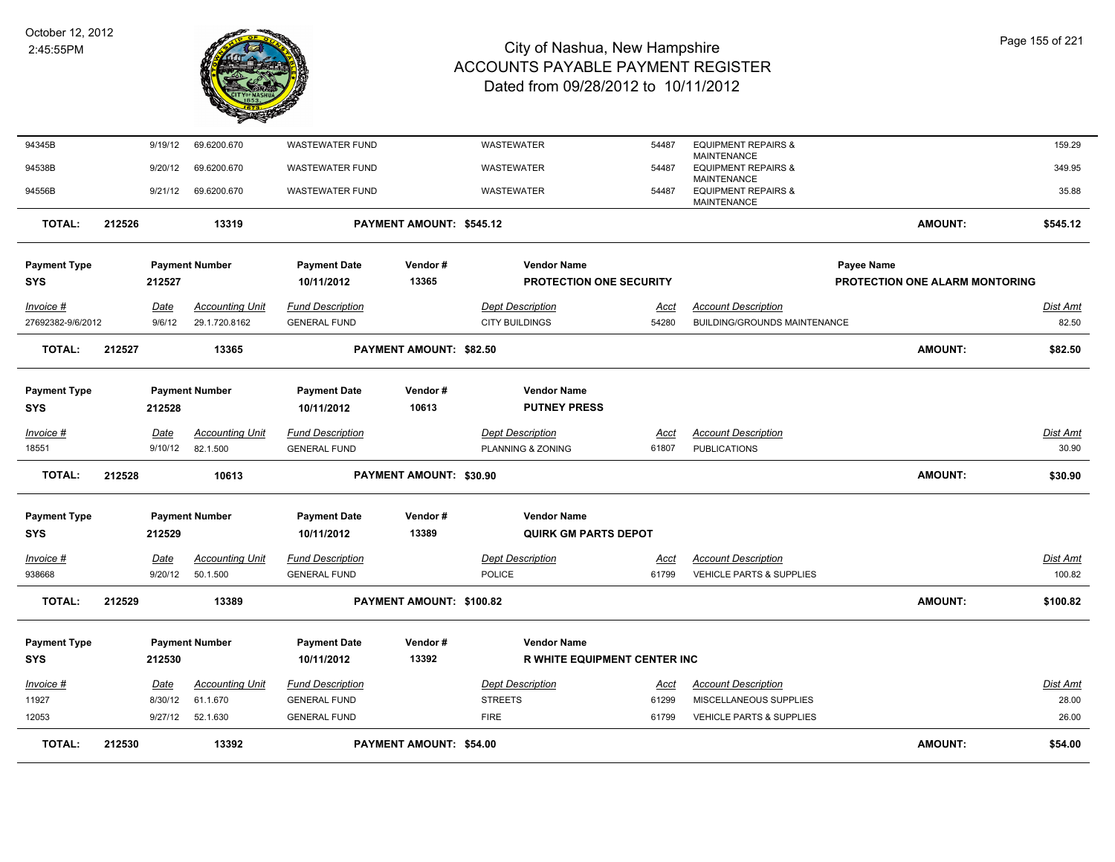

| <b>TOTAL:</b>              | 212530 |                 | 13392                              |                                                | <b>PAYMENT AMOUNT: \$54.00</b> |                                              |                      |                                                                            | AMOUNT:                        | \$54.00                  |
|----------------------------|--------|-----------------|------------------------------------|------------------------------------------------|--------------------------------|----------------------------------------------|----------------------|----------------------------------------------------------------------------|--------------------------------|--------------------------|
| 12053                      |        | 9/27/12         | 52.1.630                           | <b>GENERAL FUND</b>                            |                                | <b>FIRE</b>                                  | 61799                | VEHICLE PARTS & SUPPLIES                                                   |                                | 26.00                    |
| 11927                      |        | 8/30/12         | 61.1.670                           | <b>GENERAL FUND</b>                            |                                | <b>STREETS</b>                               | 61299                | MISCELLANEOUS SUPPLIES                                                     |                                | 28.00                    |
| Invoice #                  |        | Date            | <b>Accounting Unit</b>             | <b>Fund Description</b>                        |                                | <b>Dept Description</b>                      | Acct                 | <b>Account Description</b>                                                 |                                | <b>Dist Amt</b>          |
| <b>SYS</b>                 |        | 212530          |                                    | 10/11/2012                                     | 13392                          | <b>R WHITE EQUIPMENT CENTER INC</b>          |                      |                                                                            |                                |                          |
| <b>Payment Type</b>        |        |                 | <b>Payment Number</b>              | <b>Payment Date</b>                            | Vendor#                        | <b>Vendor Name</b>                           |                      |                                                                            |                                |                          |
| <b>TOTAL:</b>              | 212529 |                 | 13389                              |                                                | PAYMENT AMOUNT: \$100.82       |                                              |                      |                                                                            | <b>AMOUNT:</b>                 | \$100.82                 |
| <u>Invoice #</u><br>938668 |        | Date<br>9/20/12 | <b>Accounting Unit</b><br>50.1.500 | <b>Fund Description</b><br><b>GENERAL FUND</b> |                                | <b>Dept Description</b><br>POLICE            | Acct<br>61799        | <b>Account Description</b><br>VEHICLE PARTS & SUPPLIES                     |                                | Dist Amt<br>100.82       |
| <b>SYS</b>                 |        | 212529          |                                    | 10/11/2012                                     | 13389                          | <b>QUIRK GM PARTS DEPOT</b>                  |                      |                                                                            |                                |                          |
| <b>Payment Type</b>        |        |                 | <b>Payment Number</b>              | <b>Payment Date</b>                            | Vendor#                        | <b>Vendor Name</b>                           |                      |                                                                            |                                |                          |
| <b>TOTAL:</b>              | 212528 |                 | 10613                              |                                                | PAYMENT AMOUNT: \$30.90        |                                              |                      |                                                                            | <b>AMOUNT:</b>                 | \$30.90                  |
| Invoice #<br>18551         |        | Date<br>9/10/12 | <b>Accounting Unit</b><br>82.1.500 | <b>Fund Description</b><br><b>GENERAL FUND</b> |                                | <b>Dept Description</b><br>PLANNING & ZONING | <b>Acct</b><br>61807 | <b>Account Description</b><br><b>PUBLICATIONS</b>                          |                                | <b>Dist Amt</b><br>30.90 |
| <b>SYS</b>                 |        | 212528          |                                    | 10/11/2012                                     | 10613                          | <b>PUTNEY PRESS</b>                          |                      |                                                                            |                                |                          |
| <b>Payment Type</b>        |        |                 | <b>Payment Number</b>              | <b>Payment Date</b>                            | Vendor#                        | <b>Vendor Name</b>                           |                      |                                                                            |                                |                          |
| <b>TOTAL:</b>              | 212527 |                 | 13365                              |                                                | <b>PAYMENT AMOUNT: \$82.50</b> |                                              |                      |                                                                            | <b>AMOUNT:</b>                 | \$82.50                  |
| 27692382-9/6/2012          |        | 9/6/12          | 29.1.720.8162                      | <b>GENERAL FUND</b>                            |                                | <b>CITY BUILDINGS</b>                        | 54280                | BUILDING/GROUNDS MAINTENANCE                                               |                                | 82.50                    |
| Invoice #                  |        | Date            | <b>Accounting Unit</b>             | <b>Fund Description</b>                        |                                | <b>Dept Description</b>                      | Acct                 | <b>Account Description</b>                                                 |                                | <b>Dist Amt</b>          |
| <b>SYS</b>                 |        | 212527          |                                    | 10/11/2012                                     | 13365                          | <b>PROTECTION ONE SECURITY</b>               |                      |                                                                            | PROTECTION ONE ALARM MONTORING |                          |
| <b>Payment Type</b>        |        |                 | <b>Payment Number</b>              | <b>Payment Date</b>                            | Vendor#                        | <b>Vendor Name</b>                           |                      |                                                                            | Payee Name                     |                          |
| <b>TOTAL:</b>              | 212526 |                 | 13319                              |                                                | PAYMENT AMOUNT: \$545.12       |                                              |                      |                                                                            | <b>AMOUNT:</b>                 | \$545.12                 |
| 94556B                     |        | 9/21/12         | 69.6200.670                        | WASTEWATER FUND                                |                                | WASTEWATER                                   | 54487                | <b>EQUIPMENT REPAIRS &amp;</b><br><b>MAINTENANCE</b>                       |                                | 35.88                    |
| 94538B                     |        | 9/20/12         | 69.6200.670                        | <b>WASTEWATER FUND</b>                         |                                | WASTEWATER                                   | 54487                | <b>MAINTENANCE</b><br><b>EQUIPMENT REPAIRS &amp;</b><br><b>MAINTENANCE</b> |                                | 349.95                   |
| 94345B                     |        | 9/19/12         | 69.6200.670                        | <b>WASTEWATER FUND</b>                         |                                | WASTEWATER                                   | 54487                | <b>EQUIPMENT REPAIRS &amp;</b>                                             |                                | 159.29                   |
|                            |        |                 |                                    |                                                |                                |                                              |                      |                                                                            |                                |                          |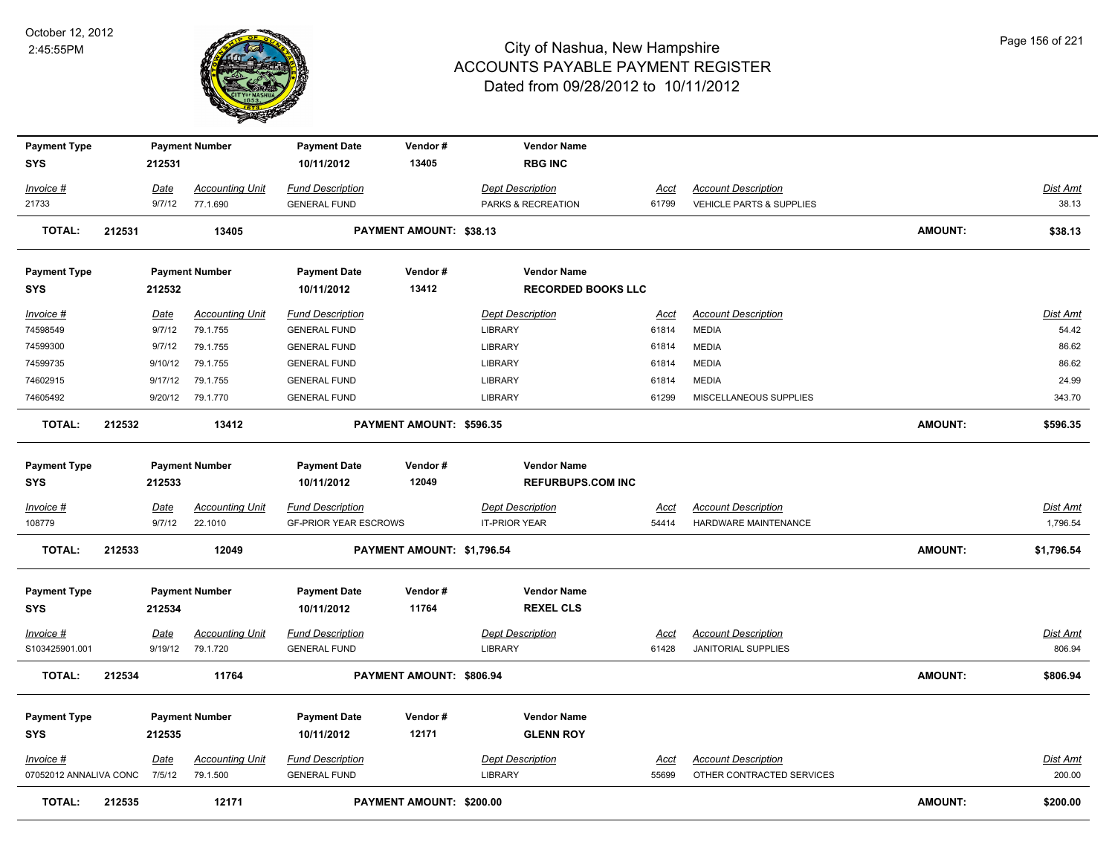

| <b>Payment Type</b><br><b>SYS</b> |        | 212531                | <b>Payment Number</b>              | <b>Payment Date</b><br>10/11/2012              | Vendor#<br>13405           | <b>Vendor Name</b><br><b>RBG INC</b>      |                      |                                            |                |                          |
|-----------------------------------|--------|-----------------------|------------------------------------|------------------------------------------------|----------------------------|-------------------------------------------|----------------------|--------------------------------------------|----------------|--------------------------|
|                                   |        |                       |                                    |                                                |                            |                                           |                      |                                            |                |                          |
| Invoice #                         |        | Date                  | <b>Accounting Unit</b>             | <b>Fund Description</b>                        |                            | <b>Dept Description</b>                   | <u>Acct</u>          | <b>Account Description</b>                 |                | Dist Amt                 |
| 21733                             |        | 9/7/12                | 77.1.690                           | <b>GENERAL FUND</b>                            |                            | PARKS & RECREATION                        | 61799                | VEHICLE PARTS & SUPPLIES                   |                | 38.13                    |
| <b>TOTAL:</b>                     | 212531 |                       | 13405                              |                                                | PAYMENT AMOUNT: \$38.13    |                                           |                      |                                            | <b>AMOUNT:</b> | \$38.13                  |
| <b>Payment Type</b>               |        |                       | <b>Payment Number</b>              | <b>Payment Date</b>                            | Vendor#                    | <b>Vendor Name</b>                        |                      |                                            |                |                          |
| <b>SYS</b>                        |        | 212532                |                                    | 10/11/2012                                     | 13412                      | <b>RECORDED BOOKS LLC</b>                 |                      |                                            |                |                          |
| <u> Invoice #</u><br>74598549     |        | <u>Date</u><br>9/7/12 | <b>Accounting Unit</b><br>79.1.755 | <b>Fund Description</b><br><b>GENERAL FUND</b> |                            | <b>Dept Description</b><br><b>LIBRARY</b> | <u>Acct</u><br>61814 | <b>Account Description</b><br><b>MEDIA</b> |                | <u>Dist Amt</u><br>54.42 |
| 74599300                          |        | 9/7/12                | 79.1.755                           | <b>GENERAL FUND</b>                            |                            | <b>LIBRARY</b>                            | 61814                | <b>MEDIA</b>                               |                | 86.62                    |
| 74599735                          |        | 9/10/12               | 79.1.755                           | <b>GENERAL FUND</b>                            |                            | <b>LIBRARY</b>                            | 61814                | <b>MEDIA</b>                               |                | 86.62                    |
| 74602915                          |        | 9/17/12               | 79.1.755                           | <b>GENERAL FUND</b>                            |                            | <b>LIBRARY</b>                            | 61814                | <b>MEDIA</b>                               |                | 24.99                    |
| 74605492                          |        |                       | 9/20/12 79.1.770                   | <b>GENERAL FUND</b>                            |                            | <b>LIBRARY</b>                            | 61299                | MISCELLANEOUS SUPPLIES                     |                | 343.70                   |
| <b>TOTAL:</b>                     | 212532 |                       | 13412                              |                                                | PAYMENT AMOUNT: \$596.35   |                                           |                      |                                            | <b>AMOUNT:</b> | \$596.35                 |
| <b>Payment Type</b>               |        |                       | <b>Payment Number</b>              | <b>Payment Date</b>                            | Vendor#                    | <b>Vendor Name</b>                        |                      |                                            |                |                          |
| <b>SYS</b>                        |        | 212533                |                                    | 10/11/2012                                     | 12049                      | <b>REFURBUPS.COM INC</b>                  |                      |                                            |                |                          |
| <u> Invoice #</u>                 |        | Date                  | <b>Accounting Unit</b>             | <b>Fund Description</b>                        |                            | <b>Dept Description</b>                   | Acct                 | <b>Account Description</b>                 |                | Dist Amt                 |
| 108779                            |        | 9/7/12                | 22.1010                            | <b>GF-PRIOR YEAR ESCROWS</b>                   |                            | <b>IT-PRIOR YEAR</b>                      | 54414                | <b>HARDWARE MAINTENANCE</b>                |                | 1,796.54                 |
| <b>TOTAL:</b>                     | 212533 |                       | 12049                              |                                                | PAYMENT AMOUNT: \$1,796.54 |                                           |                      |                                            | <b>AMOUNT:</b> | \$1,796.54               |
| <b>Payment Type</b>               |        |                       | <b>Payment Number</b>              | <b>Payment Date</b>                            | Vendor#                    | <b>Vendor Name</b>                        |                      |                                            |                |                          |
| <b>SYS</b>                        |        | 212534                |                                    | 10/11/2012                                     | 11764                      | <b>REXEL CLS</b>                          |                      |                                            |                |                          |
| <u> Invoice #</u>                 |        | Date                  | <b>Accounting Unit</b>             | <b>Fund Description</b>                        |                            | <b>Dept Description</b>                   | <u>Acct</u>          | <b>Account Description</b>                 |                | <u>Dist Amt</u>          |
| S103425901.001                    |        | 9/19/12               | 79.1.720                           | <b>GENERAL FUND</b>                            |                            | <b>LIBRARY</b>                            | 61428                | <b>JANITORIAL SUPPLIES</b>                 |                | 806.94                   |
| <b>TOTAL:</b>                     | 212534 |                       | 11764                              |                                                | PAYMENT AMOUNT: \$806.94   |                                           |                      |                                            | <b>AMOUNT:</b> | \$806.94                 |
| <b>Payment Type</b>               |        |                       | <b>Payment Number</b>              | <b>Payment Date</b>                            | Vendor#                    | <b>Vendor Name</b>                        |                      |                                            |                |                          |
| <b>SYS</b>                        |        | 212535                |                                    | 10/11/2012                                     | 12171                      | <b>GLENN ROY</b>                          |                      |                                            |                |                          |
| $Invoice$ #                       |        | Date                  | <b>Accounting Unit</b>             | <b>Fund Description</b>                        |                            | <b>Dept Description</b>                   | <u>Acct</u>          | <b>Account Description</b>                 |                | Dist Amt                 |
| 07052012 ANNALIVA CONC            |        | 7/5/12                | 79.1.500                           | <b>GENERAL FUND</b>                            |                            | <b>LIBRARY</b>                            | 55699                | OTHER CONTRACTED SERVICES                  |                | 200.00                   |
| <b>TOTAL:</b>                     | 212535 |                       | 12171                              |                                                | PAYMENT AMOUNT: \$200.00   |                                           |                      |                                            | <b>AMOUNT:</b> | \$200.00                 |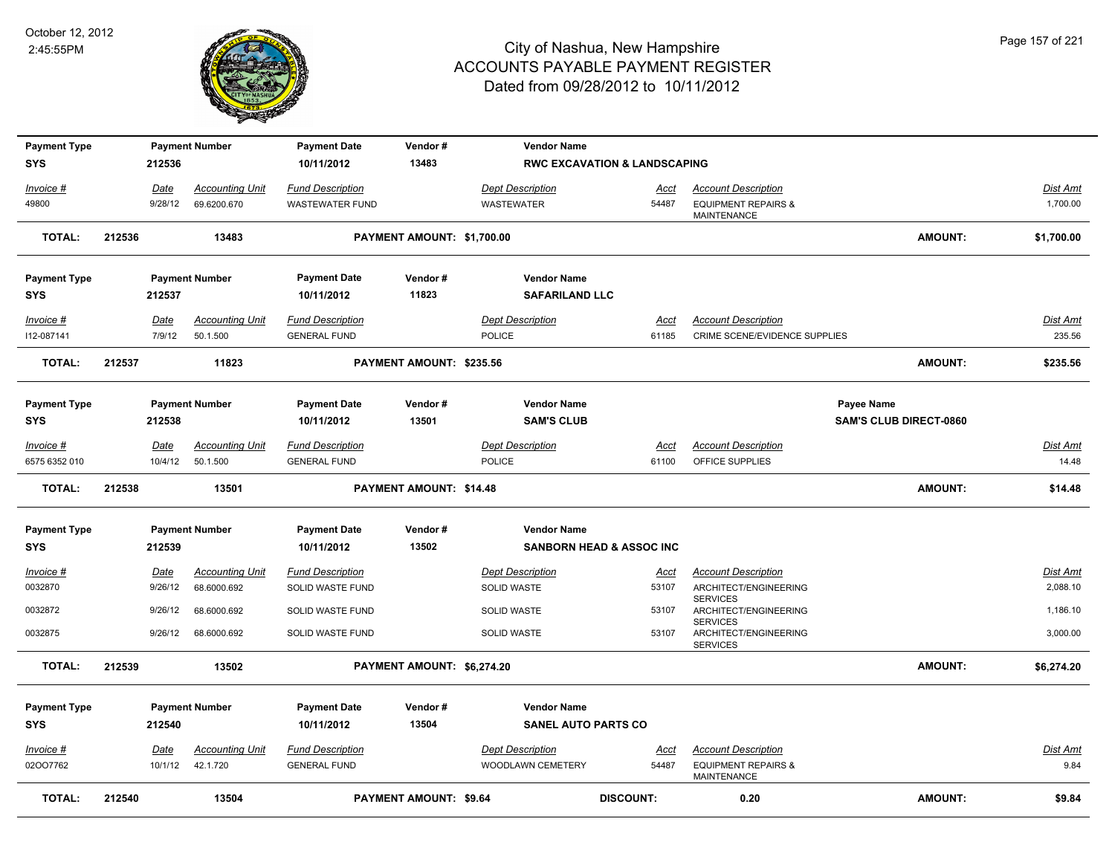

| <b>Payment Type</b>          |        |                 | <b>Payment Number</b>              | <b>Payment Date</b>                            | Vendor#                       | <b>Vendor Name</b>                |                                         |                                                             |                               |                          |
|------------------------------|--------|-----------------|------------------------------------|------------------------------------------------|-------------------------------|-----------------------------------|-----------------------------------------|-------------------------------------------------------------|-------------------------------|--------------------------|
| <b>SYS</b>                   |        | 212536          |                                    | 10/11/2012                                     | 13483                         |                                   | <b>RWC EXCAVATION &amp; LANDSCAPING</b> |                                                             |                               |                          |
| Invoice #                    |        | Date            | <b>Accounting Unit</b>             | <b>Fund Description</b>                        |                               | <b>Dept Description</b>           | Acct                                    | <b>Account Description</b>                                  |                               | Dist Amt                 |
| 49800                        |        | 9/28/12         | 69.6200.670                        | <b>WASTEWATER FUND</b>                         |                               | <b>WASTEWATER</b>                 | 54487                                   | <b>EQUIPMENT REPAIRS &amp;</b><br><b>MAINTENANCE</b>        |                               | 1,700.00                 |
| <b>TOTAL:</b>                | 212536 |                 | 13483                              |                                                | PAYMENT AMOUNT: \$1,700.00    |                                   |                                         |                                                             | <b>AMOUNT:</b>                | \$1,700.00               |
| <b>Payment Type</b>          |        |                 | <b>Payment Number</b>              | <b>Payment Date</b>                            | Vendor#                       | <b>Vendor Name</b>                |                                         |                                                             |                               |                          |
| <b>SYS</b>                   |        | 212537          |                                    | 10/11/2012                                     | 11823                         | <b>SAFARILAND LLC</b>             |                                         |                                                             |                               |                          |
| Invoice #<br>112-087141      |        | Date<br>7/9/12  | <b>Accounting Unit</b><br>50.1.500 | <b>Fund Description</b><br><b>GENERAL FUND</b> |                               | <b>Dept Description</b><br>POLICE | Acct<br>61185                           | <b>Account Description</b><br>CRIME SCENE/EVIDENCE SUPPLIES |                               | Dist Amt<br>235.56       |
|                              |        |                 |                                    |                                                |                               |                                   |                                         |                                                             |                               |                          |
| <b>TOTAL:</b>                | 212537 |                 | 11823                              |                                                | PAYMENT AMOUNT: \$235.56      |                                   |                                         |                                                             | <b>AMOUNT:</b>                | \$235.56                 |
| <b>Payment Type</b>          |        |                 | <b>Payment Number</b>              | <b>Payment Date</b>                            | Vendor#                       | <b>Vendor Name</b>                |                                         |                                                             | Payee Name                    |                          |
| <b>SYS</b>                   |        | 212538          |                                    | 10/11/2012                                     | 13501                         | <b>SAM'S CLUB</b>                 |                                         |                                                             | <b>SAM'S CLUB DIRECT-0860</b> |                          |
| $Invoice$ #<br>6575 6352 010 |        | Date<br>10/4/12 | <b>Accounting Unit</b><br>50.1.500 | <b>Fund Description</b><br><b>GENERAL FUND</b> |                               | <b>Dept Description</b><br>POLICE | <u>Acct</u><br>61100                    | <b>Account Description</b><br>OFFICE SUPPLIES               |                               | <b>Dist Amt</b><br>14.48 |
| <b>TOTAL:</b>                | 212538 |                 | 13501                              |                                                | PAYMENT AMOUNT: \$14.48       |                                   |                                         |                                                             | <b>AMOUNT:</b>                | \$14.48                  |
|                              |        |                 |                                    |                                                |                               |                                   |                                         |                                                             |                               |                          |
| <b>Payment Type</b>          |        |                 | <b>Payment Number</b>              | <b>Payment Date</b>                            | Vendor#                       | <b>Vendor Name</b>                |                                         |                                                             |                               |                          |
| <b>SYS</b>                   |        | 212539          |                                    | 10/11/2012                                     | 13502                         |                                   | <b>SANBORN HEAD &amp; ASSOC INC</b>     |                                                             |                               |                          |
| Invoice #                    |        | <u>Date</u>     | <b>Accounting Unit</b>             | <b>Fund Description</b>                        |                               | <b>Dept Description</b>           | <u>Acct</u>                             | <b>Account Description</b>                                  |                               | <b>Dist Amt</b>          |
| 0032870                      |        | 9/26/12         | 68.6000.692                        | SOLID WASTE FUND                               |                               | SOLID WASTE                       | 53107                                   | ARCHITECT/ENGINEERING                                       |                               | 2,088.10                 |
| 0032872                      |        | 9/26/12         | 68.6000.692                        | SOLID WASTE FUND                               |                               | <b>SOLID WASTE</b>                | 53107                                   | <b>SERVICES</b><br>ARCHITECT/ENGINEERING<br><b>SERVICES</b> |                               | 1,186.10                 |
| 0032875                      |        | 9/26/12         | 68.6000.692                        | SOLID WASTE FUND                               |                               | <b>SOLID WASTE</b>                | 53107                                   | ARCHITECT/ENGINEERING<br><b>SERVICES</b>                    |                               | 3,000.00                 |
| <b>TOTAL:</b>                | 212539 |                 | 13502                              |                                                | PAYMENT AMOUNT: \$6,274.20    |                                   |                                         |                                                             | <b>AMOUNT:</b>                | \$6,274.20               |
| <b>Payment Type</b>          |        |                 | <b>Payment Number</b>              | <b>Payment Date</b>                            | Vendor#                       | <b>Vendor Name</b>                |                                         |                                                             |                               |                          |
| <b>SYS</b>                   |        | 212540          |                                    | 10/11/2012                                     | 13504                         | <b>SANEL AUTO PARTS CO</b>        |                                         |                                                             |                               |                          |
| Invoice #                    |        | Date            | <b>Accounting Unit</b>             | <b>Fund Description</b>                        |                               | <b>Dept Description</b>           | <u>Acct</u>                             | <b>Account Description</b>                                  |                               | Dist Amt                 |
| 02007762                     |        | 10/1/12         | 42.1.720                           | <b>GENERAL FUND</b>                            |                               | WOODLAWN CEMETERY                 | 54487                                   | <b>EQUIPMENT REPAIRS &amp;</b><br><b>MAINTENANCE</b>        |                               | 9.84                     |
| <b>TOTAL:</b>                | 212540 |                 | 13504                              |                                                | <b>PAYMENT AMOUNT: \$9.64</b> |                                   | <b>DISCOUNT:</b>                        | 0.20                                                        | <b>AMOUNT:</b>                | \$9.84                   |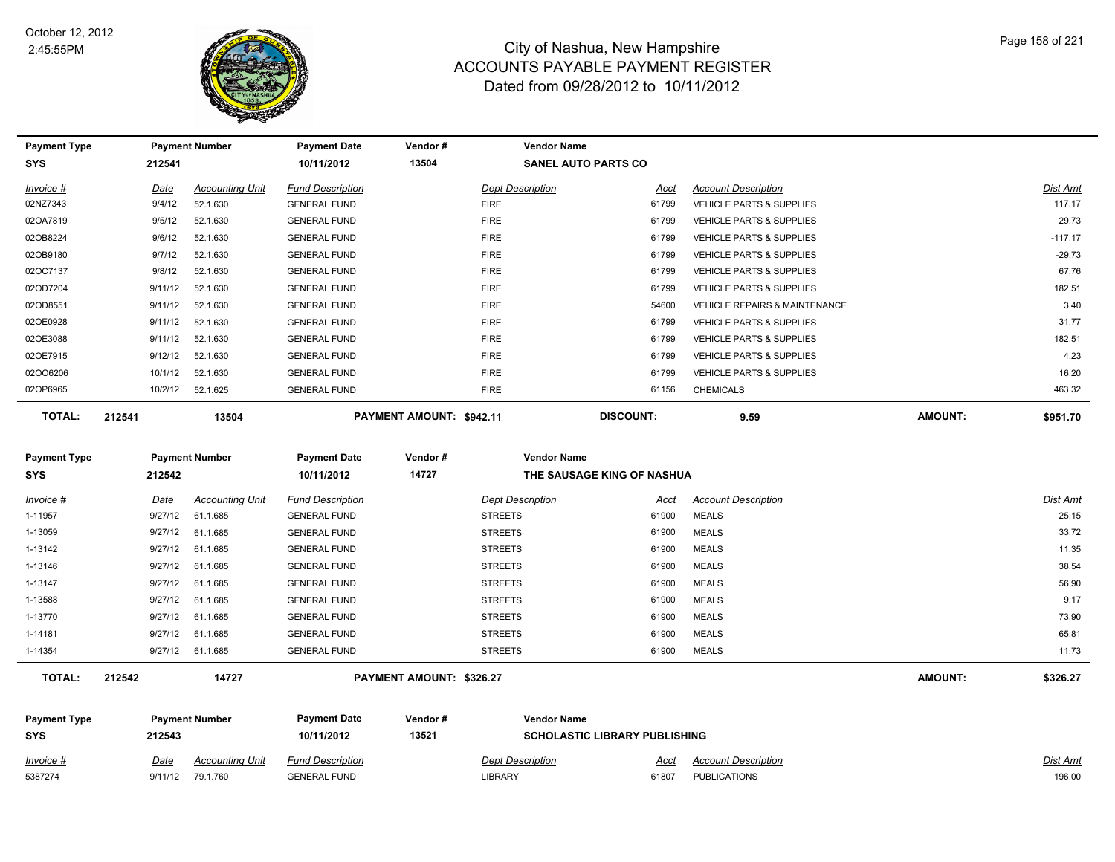

| <b>Payment Type</b> |         | <b>Payment Number</b>  | <b>Payment Date</b>     | Vendor#                  | <b>Vendor Name</b>         |       |                                          |                |           |
|---------------------|---------|------------------------|-------------------------|--------------------------|----------------------------|-------|------------------------------------------|----------------|-----------|
| SYS                 | 212541  |                        | 10/11/2012              | 13504                    | <b>SANEL AUTO PARTS CO</b> |       |                                          |                |           |
| Invoice #           | Date    | <b>Accounting Unit</b> | <b>Fund Description</b> |                          | <b>Dept Description</b>    | Acct  | <b>Account Description</b>               |                | Dist Amt  |
| 02NZ7343            | 9/4/12  | 52.1.630               | <b>GENERAL FUND</b>     |                          | <b>FIRE</b>                | 61799 | <b>VEHICLE PARTS &amp; SUPPLIES</b>      |                | 117.17    |
| 02OA7819            | 9/5/12  | 52.1.630               | <b>GENERAL FUND</b>     |                          | <b>FIRE</b>                | 61799 | <b>VEHICLE PARTS &amp; SUPPLIES</b>      |                | 29.73     |
| 02OB8224            | 9/6/12  | 52.1.630               | <b>GENERAL FUND</b>     |                          | <b>FIRE</b>                | 61799 | <b>VEHICLE PARTS &amp; SUPPLIES</b>      |                | $-117.17$ |
| 02OB9180            | 9/7/12  | 52.1.630               | <b>GENERAL FUND</b>     |                          | <b>FIRE</b>                | 61799 | <b>VEHICLE PARTS &amp; SUPPLIES</b>      |                | $-29.73$  |
| 02OC7137            | 9/8/12  | 52.1.630               | <b>GENERAL FUND</b>     |                          | <b>FIRE</b>                | 61799 | <b>VEHICLE PARTS &amp; SUPPLIES</b>      |                | 67.76     |
| 02OD7204            | 9/11/12 | 52.1.630               | <b>GENERAL FUND</b>     |                          | <b>FIRE</b>                | 61799 | <b>VEHICLE PARTS &amp; SUPPLIES</b>      |                | 182.51    |
| 02OD8551            | 9/11/12 | 52.1.630               | <b>GENERAL FUND</b>     |                          | <b>FIRE</b>                | 54600 | <b>VEHICLE REPAIRS &amp; MAINTENANCE</b> |                | 3.40      |
| 02OE0928            | 9/11/12 | 52.1.630               | <b>GENERAL FUND</b>     |                          | <b>FIRE</b>                | 61799 | <b>VEHICLE PARTS &amp; SUPPLIES</b>      |                | 31.77     |
| 02OE3088            | 9/11/12 | 52.1.630               | <b>GENERAL FUND</b>     |                          | <b>FIRE</b>                | 61799 | <b>VEHICLE PARTS &amp; SUPPLIES</b>      |                | 182.51    |
| 02OE7915            | 9/12/12 | 52.1.630               | <b>GENERAL FUND</b>     |                          | <b>FIRE</b>                | 61799 | <b>VEHICLE PARTS &amp; SUPPLIES</b>      |                | 4.23      |
| 02006206            | 10/1/12 | 52.1.630               | <b>GENERAL FUND</b>     |                          | <b>FIRE</b>                | 61799 | <b>VEHICLE PARTS &amp; SUPPLIES</b>      |                | 16.20     |
| 02OP6965            | 10/2/12 | 52.1.625               | <b>GENERAL FUND</b>     |                          | <b>FIRE</b>                | 61156 | <b>CHEMICALS</b>                         |                | 463.32    |
| TOTAL:              | 212541  | 13504                  |                         | PAYMENT AMOUNT: \$942.11 | <b>DISCOUNT:</b>           |       | 9.59                                     | <b>AMOUNT:</b> | \$951.70  |

| <b>Payment Type</b> |         | <b>Payment Number</b>  | <b>Payment Date</b>     | Vendor# | <b>Vendor Name</b>      |                            |                            |          |
|---------------------|---------|------------------------|-------------------------|---------|-------------------------|----------------------------|----------------------------|----------|
| <b>SYS</b>          | 212542  |                        | 10/11/2012              | 14727   |                         | THE SAUSAGE KING OF NASHUA |                            |          |
| Invoice #           | Date    | <b>Accounting Unit</b> | <b>Fund Description</b> |         | <b>Dept Description</b> | Acct                       | <b>Account Description</b> | Dist Amt |
| 1-11957             | 9/27/12 | 61.1.685               | <b>GENERAL FUND</b>     |         | <b>STREETS</b>          | 61900                      | <b>MEALS</b>               | 25.15    |
| 1-13059             | 9/27/12 | 61.1.685               | <b>GENERAL FUND</b>     |         | <b>STREETS</b>          | 61900                      | MEALS                      | 33.72    |
| 1-13142             | 9/27/12 | 61.1.685               | <b>GENERAL FUND</b>     |         | <b>STREETS</b>          | 61900                      | MEALS                      | 11.35    |
| 1-13146             | 9/27/12 | 61.1.685               | <b>GENERAL FUND</b>     |         | <b>STREETS</b>          | 61900                      | <b>MEALS</b>               | 38.54    |
| 1-13147             | 9/27/12 | 61.1.685               | <b>GENERAL FUND</b>     |         | <b>STREETS</b>          | 61900                      | <b>MEALS</b>               | 56.90    |
| 1-13588             | 9/27/12 | 61.1.685               | <b>GENERAL FUND</b>     |         | <b>STREETS</b>          | 61900                      | <b>MEALS</b>               | 9.17     |
| 1-13770             | 9/27/12 | 61.1.685               | <b>GENERAL FUND</b>     |         | <b>STREETS</b>          | 61900                      | <b>MEALS</b>               | 73.90    |
| 1-14181             | 9/27/12 | 61.1.685               | <b>GENERAL FUND</b>     |         | <b>STREETS</b>          | 61900                      | MEALS                      | 65.81    |
| 1-14354             | 9/27/12 | 61.1.685               | <b>GENERAL FUND</b>     |         | <b>STREETS</b>          | 61900                      | <b>MEALS</b>               | 11.73    |
|                     |         |                        |                         |         |                         |                            |                            |          |

**TOTAL: 212542 14727 PAYMENT AMOUNT: \$326.27 AMOUNT: \$326.27**

| <b>Payment Type</b><br><b>SYS</b> | 212543      | <b>Payment Number</b> | <b>Payment Date</b><br>10/11/2012 | Vendor#<br>13521 | <b>Vendor Name</b><br><b>SCHOLASTIC LIBRARY PUBLISHING</b> |       |                            |                 |
|-----------------------------------|-------------|-----------------------|-----------------------------------|------------------|------------------------------------------------------------|-------|----------------------------|-----------------|
| <u>Invoice #</u>                  | <u>Date</u> | Accountina Unit       | <b>Fund Description</b>           |                  | <b>Dept Description</b>                                    | Acct  | <b>Account Description</b> | <u>Dist Amt</u> |
| 5387274                           | 9/11/12     | 79.1.760              | <b>GENERAL FUND</b>               |                  | <b>LIBRARY</b>                                             | 61807 | <b>PUBLICATIONS</b>        | 196.00          |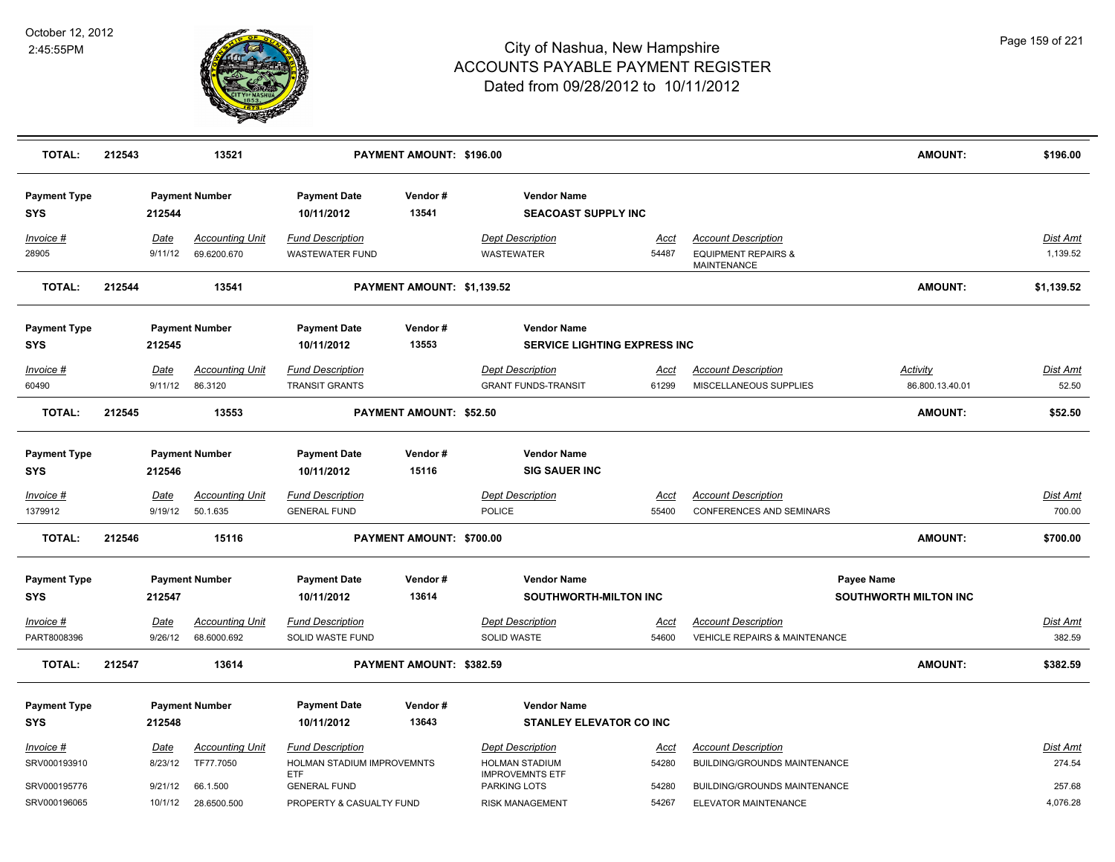

| <b>TOTAL:</b>                     | 212543 |                        | 13521                                 |                                                   | PAYMENT AMOUNT: \$196.00   |                                                           |                      |                                                                             | <b>AMOUNT:</b>                     | \$196.00                  |
|-----------------------------------|--------|------------------------|---------------------------------------|---------------------------------------------------|----------------------------|-----------------------------------------------------------|----------------------|-----------------------------------------------------------------------------|------------------------------------|---------------------------|
| <b>Payment Type</b><br>SYS        |        | 212544                 | <b>Payment Number</b>                 | <b>Payment Date</b><br>10/11/2012                 | Vendor#<br>13541           | <b>Vendor Name</b><br><b>SEACOAST SUPPLY INC</b>          |                      |                                                                             |                                    |                           |
| Invoice #<br>28905                |        | Date<br>9/11/12        | <b>Accounting Unit</b><br>69.6200.670 | <b>Fund Description</b><br><b>WASTEWATER FUND</b> |                            | <b>Dept Description</b><br>WASTEWATER                     | <u>Acct</u><br>54487 | <b>Account Description</b><br><b>EQUIPMENT REPAIRS &amp;</b><br>MAINTENANCE |                                    | Dist Amt<br>1,139.52      |
| <b>TOTAL:</b>                     | 212544 |                        | 13541                                 |                                                   | PAYMENT AMOUNT: \$1,139.52 |                                                           |                      |                                                                             | <b>AMOUNT:</b>                     | \$1,139.52                |
| <b>Payment Type</b><br>SYS        |        | 212545                 | <b>Payment Number</b>                 | <b>Payment Date</b><br>10/11/2012                 | Vendor#<br>13553           | <b>Vendor Name</b><br><b>SERVICE LIGHTING EXPRESS INC</b> |                      |                                                                             |                                    |                           |
| <u>Invoice #</u><br>60490         |        | Date<br>9/11/12        | <b>Accounting Unit</b><br>86.3120     | <b>Fund Description</b><br><b>TRANSIT GRANTS</b>  |                            | <b>Dept Description</b><br><b>GRANT FUNDS-TRANSIT</b>     | <u>Acct</u><br>61299 | <b>Account Description</b><br>MISCELLANEOUS SUPPLIES                        | <b>Activity</b><br>86.800.13.40.01 | <b>Dist Amt</b><br>52.50  |
| <b>TOTAL:</b>                     | 212545 |                        | 13553                                 |                                                   | PAYMENT AMOUNT: \$52.50    |                                                           |                      |                                                                             | <b>AMOUNT:</b>                     | \$52.50                   |
| <b>Payment Type</b><br><b>SYS</b> |        | 212546                 | <b>Payment Number</b>                 | <b>Payment Date</b><br>10/11/2012                 | Vendor#<br>15116           | <b>Vendor Name</b><br><b>SIG SAUER INC</b>                |                      |                                                                             |                                    |                           |
| <u>Invoice #</u>                  |        | Date                   | <b>Accounting Unit</b>                | <b>Fund Description</b>                           |                            | <b>Dept Description</b>                                   | <u>Acct</u>          | <b>Account Description</b>                                                  |                                    | Dist Amt                  |
| 1379912<br><b>TOTAL:</b>          | 212546 | 9/19/12                | 50.1.635<br>15116                     | <b>GENERAL FUND</b>                               | PAYMENT AMOUNT: \$700.00   | <b>POLICE</b>                                             | 55400                | CONFERENCES AND SEMINARS                                                    | <b>AMOUNT:</b>                     | 700.00<br>\$700.00        |
|                                   |        |                        |                                       |                                                   |                            |                                                           |                      |                                                                             |                                    |                           |
| <b>Payment Type</b><br>SYS        |        | 212547                 | <b>Payment Number</b>                 | <b>Payment Date</b><br>10/11/2012                 | Vendor#<br>13614           | <b>Vendor Name</b><br>SOUTHWORTH-MILTON INC               |                      | <b>Payee Name</b>                                                           | <b>SOUTHWORTH MILTON INC</b>       |                           |
| <u> Invoice #</u><br>PART8008396  |        | <u>Date</u><br>9/26/12 | <b>Accounting Unit</b><br>68.6000.692 | <b>Fund Description</b><br>SOLID WASTE FUND       |                            | <b>Dept Description</b><br>SOLID WASTE                    | <u>Acct</u><br>54600 | <b>Account Description</b><br><b>VEHICLE REPAIRS &amp; MAINTENANCE</b>      |                                    | <b>Dist Amt</b><br>382.59 |
| <b>TOTAL:</b>                     | 212547 |                        | 13614                                 |                                                   | PAYMENT AMOUNT: \$382.59   |                                                           |                      |                                                                             | <b>AMOUNT:</b>                     | \$382.59                  |
| <b>Payment Type</b>               |        |                        | <b>Payment Number</b>                 | <b>Payment Date</b>                               | Vendor#                    | <b>Vendor Name</b>                                        |                      |                                                                             |                                    |                           |
| <b>SYS</b>                        |        | 212548                 |                                       | 10/11/2012                                        | 13643                      | <b>STANLEY ELEVATOR CO INC</b>                            |                      |                                                                             |                                    |                           |
| <u>Invoice #</u>                  |        | Date                   | <b>Accounting Unit</b>                | <b>Fund Description</b>                           |                            | <b>Dept Description</b>                                   | Acct                 | <b>Account Description</b>                                                  |                                    | Dist Amt                  |
| SRV000193910                      |        | 8/23/12                | TF77.7050                             | HOLMAN STADIUM IMPROVEMNTS<br><b>ETF</b>          |                            | <b>HOLMAN STADIUM</b><br><b>IMPROVEMNTS ETF</b>           | 54280                | BUILDING/GROUNDS MAINTENANCE                                                |                                    | 274.54                    |
| SRV000195776                      |        | 9/21/12                | 66.1.500                              | <b>GENERAL FUND</b>                               |                            | <b>PARKING LOTS</b>                                       | 54280                | <b>BUILDING/GROUNDS MAINTENANCE</b>                                         |                                    | 257.68                    |
| SRV000196065                      |        | 10/1/12                | 28.6500.500                           | PROPERTY & CASUALTY FUND                          |                            | <b>RISK MANAGEMENT</b>                                    | 54267                | ELEVATOR MAINTENANCE                                                        |                                    | 4,076.28                  |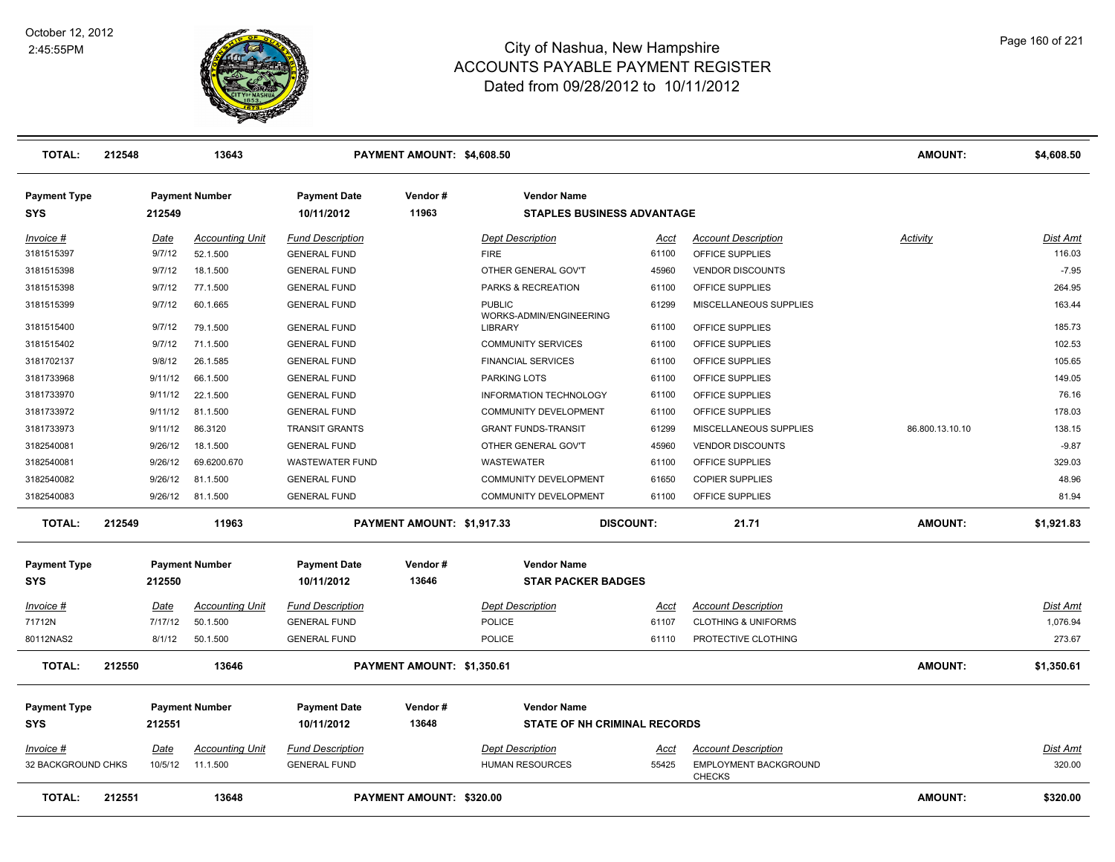

| <b>TOTAL:</b>                     | 212548 | 13643<br>PAYMENT AMOUNT: \$4,608.50 |                        |                                   |                            | <b>AMOUNT:</b>                                          | \$4,608.50       |                                        |                 |                 |
|-----------------------------------|--------|-------------------------------------|------------------------|-----------------------------------|----------------------------|---------------------------------------------------------|------------------|----------------------------------------|-----------------|-----------------|
| <b>Payment Type</b><br><b>SYS</b> |        | 212549                              | <b>Payment Number</b>  | <b>Payment Date</b><br>10/11/2012 | Vendor#<br>11963           | <b>Vendor Name</b><br><b>STAPLES BUSINESS ADVANTAGE</b> |                  |                                        |                 |                 |
| Invoice #                         |        | Date                                | <b>Accounting Unit</b> | <b>Fund Description</b>           |                            | <b>Dept Description</b>                                 | Acct             | <b>Account Description</b>             | Activity        | <b>Dist Amt</b> |
| 3181515397                        |        | 9/7/12                              | 52.1.500               | <b>GENERAL FUND</b>               |                            | <b>FIRE</b>                                             | 61100            | OFFICE SUPPLIES                        |                 | 116.03          |
| 3181515398                        |        | 9/7/12                              | 18.1.500               | <b>GENERAL FUND</b>               |                            | OTHER GENERAL GOV'T                                     | 45960            | <b>VENDOR DISCOUNTS</b>                |                 | $-7.95$         |
| 3181515398                        |        | 9/7/12                              | 77.1.500               | <b>GENERAL FUND</b>               |                            | PARKS & RECREATION                                      | 61100            | OFFICE SUPPLIES                        |                 | 264.95          |
| 3181515399                        |        | 9/7/12                              | 60.1.665               | <b>GENERAL FUND</b>               |                            | <b>PUBLIC</b><br>WORKS-ADMIN/ENGINEERING                | 61299            | MISCELLANEOUS SUPPLIES                 |                 | 163.44          |
| 3181515400                        |        | 9/7/12                              | 79.1.500               | <b>GENERAL FUND</b>               |                            | <b>LIBRARY</b>                                          | 61100            | OFFICE SUPPLIES                        |                 | 185.73          |
| 3181515402                        |        | 9/7/12                              | 71.1.500               | <b>GENERAL FUND</b>               |                            | <b>COMMUNITY SERVICES</b>                               | 61100            | OFFICE SUPPLIES                        |                 | 102.53          |
| 3181702137                        |        | 9/8/12                              | 26.1.585               | <b>GENERAL FUND</b>               |                            | <b>FINANCIAL SERVICES</b>                               | 61100            | OFFICE SUPPLIES                        |                 | 105.65          |
| 3181733968                        |        | 9/11/12                             | 66.1.500               | <b>GENERAL FUND</b>               |                            | PARKING LOTS                                            | 61100            | OFFICE SUPPLIES                        |                 | 149.05          |
| 3181733970                        |        | 9/11/12                             | 22.1.500               | <b>GENERAL FUND</b>               |                            | INFORMATION TECHNOLOGY                                  | 61100            | OFFICE SUPPLIES                        |                 | 76.16           |
| 3181733972                        |        | 9/11/12                             | 81.1.500               | <b>GENERAL FUND</b>               |                            | COMMUNITY DEVELOPMENT                                   | 61100            | OFFICE SUPPLIES                        |                 | 178.03          |
| 3181733973                        |        | 9/11/12                             | 86.3120                | <b>TRANSIT GRANTS</b>             |                            | <b>GRANT FUNDS-TRANSIT</b>                              | 61299            | MISCELLANEOUS SUPPLIES                 | 86.800.13.10.10 | 138.15          |
| 3182540081                        |        | 9/26/12                             | 18.1.500               | <b>GENERAL FUND</b>               |                            | OTHER GENERAL GOV'T                                     | 45960            | <b>VENDOR DISCOUNTS</b>                |                 | $-9.87$         |
| 3182540081                        |        | 9/26/12                             | 69.6200.670            | <b>WASTEWATER FUND</b>            |                            | WASTEWATER                                              | 61100            | OFFICE SUPPLIES                        |                 | 329.03          |
| 3182540082                        |        | 9/26/12                             | 81.1.500               | <b>GENERAL FUND</b>               |                            | COMMUNITY DEVELOPMENT                                   | 61650            | <b>COPIER SUPPLIES</b>                 |                 | 48.96           |
| 3182540083                        |        | 9/26/12                             | 81.1.500               | <b>GENERAL FUND</b>               |                            | COMMUNITY DEVELOPMENT                                   | 61100            | OFFICE SUPPLIES                        |                 | 81.94           |
| <b>TOTAL:</b>                     | 212549 |                                     | 11963                  |                                   | PAYMENT AMOUNT: \$1.917.33 |                                                         | <b>DISCOUNT:</b> | 21.71                                  | <b>AMOUNT:</b>  | \$1,921.83      |
| <b>Payment Type</b>               |        |                                     | <b>Payment Number</b>  | <b>Payment Date</b>               | Vendor#                    | <b>Vendor Name</b>                                      |                  |                                        |                 |                 |
| <b>SYS</b>                        |        | 212550                              |                        | 10/11/2012                        | 13646                      | <b>STAR PACKER BADGES</b>                               |                  |                                        |                 |                 |
| Invoice #                         |        | <u>Date</u>                         | <b>Accounting Unit</b> | <b>Fund Description</b>           |                            | <b>Dept Description</b>                                 | <u>Acct</u>      | <b>Account Description</b>             |                 | <b>Dist Amt</b> |
| 71712N                            |        | 7/17/12                             | 50.1.500               | <b>GENERAL FUND</b>               |                            | <b>POLICE</b>                                           | 61107            | <b>CLOTHING &amp; UNIFORMS</b>         |                 | 1,076.94        |
| 80112NAS2                         |        | 8/1/12                              | 50.1.500               | <b>GENERAL FUND</b>               |                            | <b>POLICE</b>                                           | 61110            | PROTECTIVE CLOTHING                    |                 | 273.67          |
| <b>TOTAL:</b>                     | 212550 |                                     | 13646                  |                                   | PAYMENT AMOUNT: \$1,350.61 |                                                         |                  |                                        | <b>AMOUNT:</b>  | \$1,350.61      |
| <b>Payment Type</b>               |        |                                     | <b>Payment Number</b>  | <b>Payment Date</b>               | Vendor#                    | <b>Vendor Name</b>                                      |                  |                                        |                 |                 |
| <b>SYS</b>                        |        | 212551                              |                        | 10/11/2012                        | 13648                      | <b>STATE OF NH CRIMINAL RECORDS</b>                     |                  |                                        |                 |                 |
| Invoice #                         |        | Date                                | <b>Accounting Unit</b> | <b>Fund Description</b>           |                            | <b>Dept Description</b>                                 | <u>Acct</u>      | <b>Account Description</b>             |                 | Dist Amt        |
| 32 BACKGROUND CHKS                |        | 10/5/12                             | 11.1.500               | <b>GENERAL FUND</b>               |                            | <b>HUMAN RESOURCES</b>                                  | 55425            | EMPLOYMENT BACKGROUND<br><b>CHECKS</b> |                 | 320.00          |
| <b>TOTAL:</b>                     | 212551 |                                     | 13648                  |                                   | PAYMENT AMOUNT: \$320.00   |                                                         |                  |                                        | <b>AMOUNT:</b>  | \$320.00        |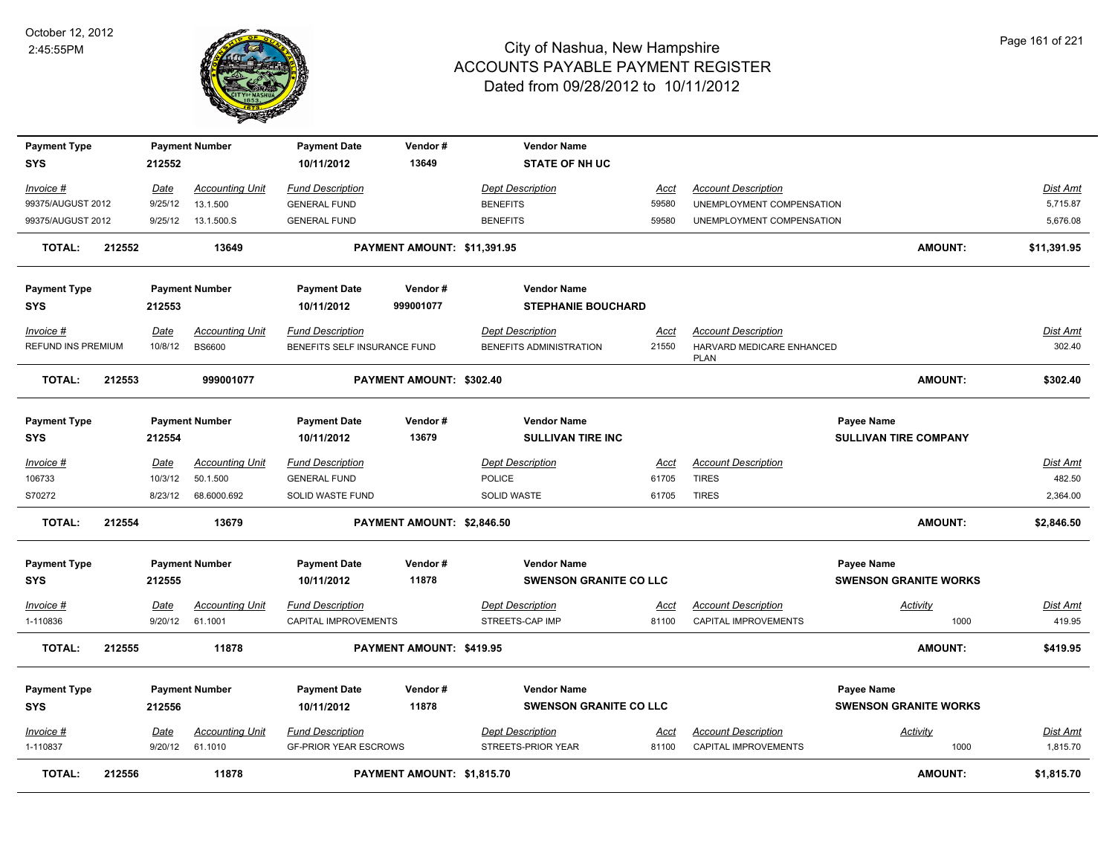

| <b>Payment Type</b><br><b>SYS</b>      |        | 212552                 | <b>Payment Number</b>                   | <b>Payment Date</b><br>10/11/2012                       | Vendor#<br>13649            | <b>Vendor Name</b><br><b>STATE OF NH UC</b>         |                      |                                                         |                                                   |                             |
|----------------------------------------|--------|------------------------|-----------------------------------------|---------------------------------------------------------|-----------------------------|-----------------------------------------------------|----------------------|---------------------------------------------------------|---------------------------------------------------|-----------------------------|
| Invoice #                              |        | Date                   | <b>Accounting Unit</b>                  | <b>Fund Description</b>                                 |                             | <b>Dept Description</b>                             | <u>Acct</u>          | <b>Account Description</b>                              |                                                   | <b>Dist Amt</b>             |
| 99375/AUGUST 2012                      |        | 9/25/12                | 13.1.500                                | <b>GENERAL FUND</b>                                     |                             | <b>BENEFITS</b>                                     | 59580                | UNEMPLOYMENT COMPENSATION                               |                                                   | 5,715.87                    |
| 99375/AUGUST 2012                      |        | 9/25/12                | 13.1.500.S                              | <b>GENERAL FUND</b>                                     |                             | <b>BENEFITS</b>                                     | 59580                | UNEMPLOYMENT COMPENSATION                               |                                                   | 5,676.08                    |
| <b>TOTAL:</b>                          | 212552 |                        | 13649                                   |                                                         | PAYMENT AMOUNT: \$11,391.95 |                                                     |                      |                                                         | <b>AMOUNT:</b>                                    | \$11,391.95                 |
| <b>Payment Type</b>                    |        |                        | <b>Payment Number</b>                   | <b>Payment Date</b>                                     | Vendor#                     | <b>Vendor Name</b>                                  |                      |                                                         |                                                   |                             |
| <b>SYS</b>                             |        | 212553                 |                                         | 10/11/2012                                              | 999001077                   | <b>STEPHANIE BOUCHARD</b>                           |                      |                                                         |                                                   |                             |
| Invoice #<br><b>REFUND INS PREMIUM</b> |        | Date<br>10/8/12        | <b>Accounting Unit</b><br><b>BS6600</b> | <b>Fund Description</b><br>BENEFITS SELF INSURANCE FUND |                             | <b>Dept Description</b><br>BENEFITS ADMINISTRATION  | Acct<br>21550        | <b>Account Description</b><br>HARVARD MEDICARE ENHANCED |                                                   | Dist Amt<br>302.40          |
|                                        |        |                        |                                         |                                                         |                             |                                                     |                      | <b>PLAN</b>                                             |                                                   |                             |
| <b>TOTAL:</b>                          | 212553 |                        | 999001077                               |                                                         | PAYMENT AMOUNT: \$302.40    |                                                     |                      |                                                         | <b>AMOUNT:</b>                                    | \$302.40                    |
| <b>Payment Type</b><br><b>SYS</b>      |        | 212554                 | <b>Payment Number</b>                   | <b>Payment Date</b><br>10/11/2012                       | Vendor#<br>13679            | <b>Vendor Name</b><br><b>SULLIVAN TIRE INC</b>      |                      |                                                         | Payee Name<br><b>SULLIVAN TIRE COMPANY</b>        |                             |
| <u>Invoice #</u>                       |        | Date                   | <b>Accounting Unit</b>                  | <b>Fund Description</b>                                 |                             | <b>Dept Description</b>                             | <u>Acct</u>          | <b>Account Description</b>                              |                                                   | <b>Dist Amt</b>             |
| 106733                                 |        | 10/3/12                | 50.1.500                                | <b>GENERAL FUND</b>                                     |                             | <b>POLICE</b>                                       | 61705                | <b>TIRES</b>                                            |                                                   | 482.50                      |
| S70272                                 |        | 8/23/12                | 68.6000.692                             | <b>SOLID WASTE FUND</b>                                 |                             | SOLID WASTE                                         | 61705                | <b>TIRES</b>                                            |                                                   | 2,364.00                    |
| <b>TOTAL:</b>                          | 212554 |                        | 13679                                   |                                                         | PAYMENT AMOUNT: \$2,846.50  |                                                     |                      |                                                         | <b>AMOUNT:</b>                                    | \$2,846.50                  |
| <b>Payment Type</b><br><b>SYS</b>      |        | 212555                 | <b>Payment Number</b>                   | <b>Payment Date</b><br>10/11/2012                       | Vendor#<br>11878            | <b>Vendor Name</b><br><b>SWENSON GRANITE CO LLC</b> |                      |                                                         | <b>Payee Name</b><br><b>SWENSON GRANITE WORKS</b> |                             |
| Invoice #                              |        | Date                   | <b>Accounting Unit</b>                  | <b>Fund Description</b>                                 |                             | <b>Dept Description</b>                             | Acct                 | <b>Account Description</b>                              | Activity                                          | Dist Amt                    |
| 1-110836                               |        | 9/20/12                | 61.1001                                 | CAPITAL IMPROVEMENTS                                    |                             | STREETS-CAP IMP                                     | 81100                | CAPITAL IMPROVEMENTS                                    | 1000                                              | 419.95                      |
| <b>TOTAL:</b>                          | 212555 |                        | 11878                                   |                                                         | PAYMENT AMOUNT: \$419.95    |                                                     |                      |                                                         | <b>AMOUNT:</b>                                    | \$419.95                    |
| <b>Payment Type</b>                    |        |                        | <b>Payment Number</b>                   | <b>Payment Date</b>                                     | Vendor#                     | <b>Vendor Name</b>                                  |                      |                                                         | <b>Payee Name</b>                                 |                             |
| <b>SYS</b>                             |        | 212556                 |                                         | 10/11/2012                                              | 11878                       | <b>SWENSON GRANITE CO LLC</b>                       |                      |                                                         | <b>SWENSON GRANITE WORKS</b>                      |                             |
| <u>Invoice #</u><br>1-110837           |        | <b>Date</b><br>9/20/12 | <b>Accounting Unit</b><br>61.1010       | <b>Fund Description</b><br><b>GF-PRIOR YEAR ESCROWS</b> |                             | <b>Dept Description</b><br>STREETS-PRIOR YEAR       | <u>Acct</u><br>81100 | <b>Account Description</b><br>CAPITAL IMPROVEMENTS      | <b>Activity</b><br>1000                           | <u>Dist Amt</u><br>1,815.70 |
| <b>TOTAL:</b>                          | 212556 |                        | 11878                                   |                                                         | PAYMENT AMOUNT: \$1,815.70  |                                                     |                      |                                                         | <b>AMOUNT:</b>                                    | \$1,815.70                  |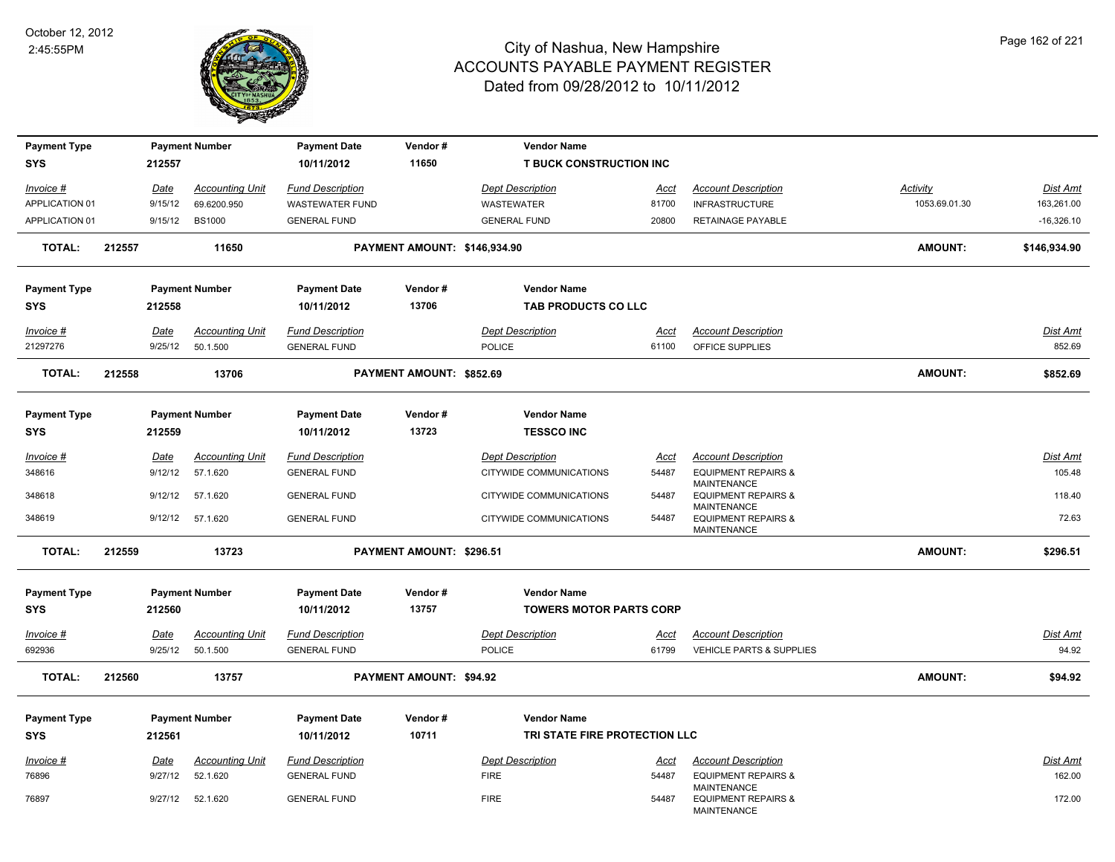

| <b>Payment Type</b>               |        |             | <b>Payment Number</b>  | <b>Payment Date</b>               | Vendor#                      | <b>Vendor Name</b>                                  |             |                                                              |                 |              |
|-----------------------------------|--------|-------------|------------------------|-----------------------------------|------------------------------|-----------------------------------------------------|-------------|--------------------------------------------------------------|-----------------|--------------|
| SYS                               |        | 212557      |                        | 10/11/2012                        | 11650                        | <b>T BUCK CONSTRUCTION INC</b>                      |             |                                                              |                 |              |
| <u>Invoice #</u>                  |        | <u>Date</u> | <b>Accounting Unit</b> | <b>Fund Description</b>           |                              | <b>Dept Description</b>                             | <u>Acct</u> | <b>Account Description</b>                                   | <b>Activity</b> | Dist Amt     |
| APPLICATION 01                    |        | 9/15/12     | 69.6200.950            | <b>WASTEWATER FUND</b>            |                              | WASTEWATER                                          | 81700       | <b>INFRASTRUCTURE</b>                                        | 1053.69.01.30   | 163,261.00   |
| APPLICATION 01                    |        | 9/15/12     | <b>BS1000</b>          | <b>GENERAL FUND</b>               |                              | <b>GENERAL FUND</b>                                 | 20800       | RETAINAGE PAYABLE                                            |                 | $-16,326.10$ |
| <b>TOTAL:</b>                     | 212557 |             | 11650                  |                                   | PAYMENT AMOUNT: \$146,934.90 |                                                     |             |                                                              | <b>AMOUNT:</b>  | \$146,934.90 |
| <b>Payment Type</b>               |        |             | <b>Payment Number</b>  | <b>Payment Date</b>               | Vendor#                      | <b>Vendor Name</b>                                  |             |                                                              |                 |              |
| <b>SYS</b>                        |        | 212558      |                        | 10/11/2012                        | 13706                        | TAB PRODUCTS CO LLC                                 |             |                                                              |                 |              |
| Invoice #                         |        | Date        | <b>Accounting Unit</b> | <b>Fund Description</b>           |                              | <b>Dept Description</b>                             | Acct        | <b>Account Description</b>                                   |                 | Dist Amt     |
| 21297276                          |        | 9/25/12     | 50.1.500               | <b>GENERAL FUND</b>               |                              | POLICE                                              | 61100       | OFFICE SUPPLIES                                              |                 | 852.69       |
| <b>TOTAL:</b>                     | 212558 |             | 13706                  |                                   | PAYMENT AMOUNT: \$852.69     |                                                     |             |                                                              | <b>AMOUNT:</b>  | \$852.69     |
| <b>Payment Type</b>               |        |             | <b>Payment Number</b>  | <b>Payment Date</b>               | Vendor#                      | <b>Vendor Name</b>                                  |             |                                                              |                 |              |
| <b>SYS</b>                        |        | 212559      |                        | 10/11/2012                        | 13723                        | <b>TESSCO INC</b>                                   |             |                                                              |                 |              |
| <b>Invoice #</b>                  |        | Date        | <b>Accounting Unit</b> | <b>Fund Description</b>           |                              | <b>Dept Description</b>                             | <u>Acct</u> | <b>Account Description</b>                                   |                 | Dist Amt     |
| 348616                            |        | 9/12/12     | 57.1.620               | <b>GENERAL FUND</b>               |                              | CITYWIDE COMMUNICATIONS                             | 54487       | <b>EQUIPMENT REPAIRS &amp;</b>                               |                 | 105.48       |
| 348618                            |        | 9/12/12     | 57.1.620               | <b>GENERAL FUND</b>               |                              | CITYWIDE COMMUNICATIONS                             | 54487       | <b>MAINTENANCE</b><br><b>EQUIPMENT REPAIRS &amp;</b>         |                 | 118.40       |
| 348619                            |        | 9/12/12     | 57.1.620               | <b>GENERAL FUND</b>               |                              | CITYWIDE COMMUNICATIONS                             | 54487       | MAINTENANCE<br><b>EQUIPMENT REPAIRS &amp;</b><br>MAINTENANCE |                 | 72.63        |
| <b>TOTAL:</b>                     | 212559 |             | 13723                  |                                   | PAYMENT AMOUNT: \$296.51     |                                                     |             |                                                              | <b>AMOUNT:</b>  | \$296.51     |
| <b>Payment Type</b>               |        |             | <b>Payment Number</b>  | <b>Payment Date</b>               | Vendor#                      | <b>Vendor Name</b>                                  |             |                                                              |                 |              |
| <b>SYS</b>                        |        | 212560      |                        | 10/11/2012                        | 13757                        | <b>TOWERS MOTOR PARTS CORP</b>                      |             |                                                              |                 |              |
| Invoice #                         |        | Date        | <b>Accounting Unit</b> | <b>Fund Description</b>           |                              | <b>Dept Description</b>                             | Acct        | <b>Account Description</b>                                   |                 | Dist Amt     |
| 692936                            |        | 9/25/12     | 50.1.500               | <b>GENERAL FUND</b>               |                              | <b>POLICE</b>                                       | 61799       | <b>VEHICLE PARTS &amp; SUPPLIES</b>                          |                 | 94.92        |
| <b>TOTAL:</b>                     | 212560 |             | 13757                  |                                   | PAYMENT AMOUNT: \$94.92      |                                                     |             |                                                              | <b>AMOUNT:</b>  | \$94.92      |
|                                   |        |             |                        |                                   |                              |                                                     |             |                                                              |                 |              |
| <b>Payment Type</b><br><b>SYS</b> |        |             | <b>Payment Number</b>  | <b>Payment Date</b><br>10/11/2012 | Vendor#<br>10711             | <b>Vendor Name</b><br>TRI STATE FIRE PROTECTION LLC |             |                                                              |                 |              |
|                                   |        | 212561      |                        |                                   |                              |                                                     |             |                                                              |                 |              |
| Invoice #                         |        | Date        | <b>Accounting Unit</b> | <b>Fund Description</b>           |                              | <b>Dept Description</b>                             | Acct        | <b>Account Description</b>                                   |                 | Dist Amt     |
| 76896                             |        | 9/27/12     | 52.1.620               | <b>GENERAL FUND</b>               |                              | <b>FIRE</b>                                         | 54487       | <b>EQUIPMENT REPAIRS &amp;</b><br><b>MAINTENANCE</b>         |                 | 162.00       |
| 76897                             |        | 9/27/12     | 52.1.620               | <b>GENERAL FUND</b>               |                              | <b>FIRE</b>                                         | 54487       | <b>EQUIPMENT REPAIRS &amp;</b><br><b>MAINTENANCE</b>         |                 | 172.00       |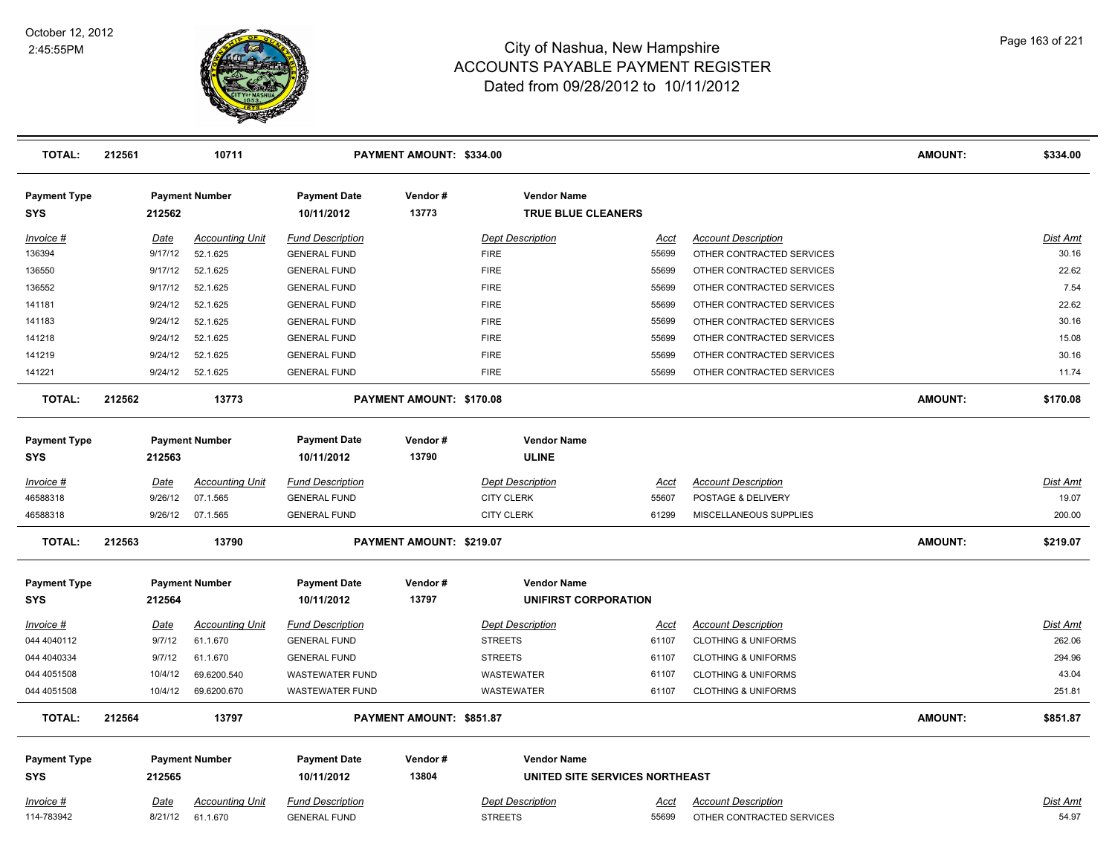

| <b>TOTAL:</b>                     | 212561 |         | 10711                  |                                   | PAYMENT AMOUNT: \$334.00 |                         |                                                      |             |                                | <b>AMOUNT:</b> | \$334.00        |
|-----------------------------------|--------|---------|------------------------|-----------------------------------|--------------------------|-------------------------|------------------------------------------------------|-------------|--------------------------------|----------------|-----------------|
| <b>Payment Type</b><br><b>SYS</b> |        | 212562  | <b>Payment Number</b>  | <b>Payment Date</b><br>10/11/2012 | Vendor#<br>13773         |                         | <b>Vendor Name</b><br><b>TRUE BLUE CLEANERS</b>      |             |                                |                |                 |
| Invoice #                         |        | Date    | <b>Accounting Unit</b> | <b>Fund Description</b>           |                          | <b>Dept Description</b> |                                                      | Acct        | <b>Account Description</b>     |                | <b>Dist Amt</b> |
| 136394                            |        | 9/17/12 | 52.1.625               | <b>GENERAL FUND</b>               |                          | <b>FIRE</b>             |                                                      | 55699       | OTHER CONTRACTED SERVICES      |                | 30.16           |
| 136550                            |        | 9/17/12 | 52.1.625               | <b>GENERAL FUND</b>               |                          | <b>FIRE</b>             |                                                      | 55699       | OTHER CONTRACTED SERVICES      |                | 22.62           |
| 136552                            |        | 9/17/12 | 52.1.625               | <b>GENERAL FUND</b>               |                          | <b>FIRE</b>             |                                                      | 55699       | OTHER CONTRACTED SERVICES      |                | 7.54            |
| 141181                            |        | 9/24/12 | 52.1.625               | <b>GENERAL FUND</b>               |                          | <b>FIRE</b>             |                                                      | 55699       | OTHER CONTRACTED SERVICES      |                | 22.62           |
| 141183                            |        | 9/24/12 | 52.1.625               | <b>GENERAL FUND</b>               |                          | <b>FIRE</b>             |                                                      | 55699       | OTHER CONTRACTED SERVICES      |                | 30.16           |
| 141218                            |        | 9/24/12 | 52.1.625               | <b>GENERAL FUND</b>               |                          | <b>FIRE</b>             |                                                      | 55699       | OTHER CONTRACTED SERVICES      |                | 15.08           |
| 141219                            |        | 9/24/12 | 52.1.625               | <b>GENERAL FUND</b>               |                          | <b>FIRE</b>             |                                                      | 55699       | OTHER CONTRACTED SERVICES      |                | 30.16           |
| 141221                            |        | 9/24/12 | 52.1.625               | <b>GENERAL FUND</b>               |                          | <b>FIRE</b>             |                                                      | 55699       | OTHER CONTRACTED SERVICES      |                | 11.74           |
| <b>TOTAL:</b>                     | 212562 |         | 13773                  |                                   | PAYMENT AMOUNT: \$170.08 |                         |                                                      |             |                                | <b>AMOUNT:</b> | \$170.08        |
| <b>Payment Type</b><br><b>SYS</b> |        | 212563  | <b>Payment Number</b>  | <b>Payment Date</b><br>10/11/2012 | Vendor#<br>13790         |                         | <b>Vendor Name</b><br><b>ULINE</b>                   |             |                                |                |                 |
| Invoice #                         |        | Date    | <b>Accounting Unit</b> | <b>Fund Description</b>           |                          | <b>Dept Description</b> |                                                      | <u>Acct</u> | <b>Account Description</b>     |                | <b>Dist Amt</b> |
| 46588318                          |        | 9/26/12 | 07.1.565               | <b>GENERAL FUND</b>               |                          | <b>CITY CLERK</b>       |                                                      | 55607       | POSTAGE & DELIVERY             |                | 19.07           |
| 46588318                          |        | 9/26/12 | 07.1.565               | <b>GENERAL FUND</b>               |                          | <b>CITY CLERK</b>       |                                                      | 61299       | MISCELLANEOUS SUPPLIES         |                | 200.00          |
| <b>TOTAL:</b>                     | 212563 |         | 13790                  |                                   | PAYMENT AMOUNT: \$219.07 |                         |                                                      |             |                                | <b>AMOUNT:</b> | \$219.07        |
| <b>Payment Type</b>               |        |         | <b>Payment Number</b>  | <b>Payment Date</b>               | Vendor#                  |                         | <b>Vendor Name</b>                                   |             |                                |                |                 |
| <b>SYS</b>                        |        | 212564  |                        | 10/11/2012                        | 13797                    |                         | <b>UNIFIRST CORPORATION</b>                          |             |                                |                |                 |
| $Invoice$ #                       |        | Date    | <b>Accounting Unit</b> | <b>Fund Description</b>           |                          | <b>Dept Description</b> |                                                      | <b>Acct</b> | <b>Account Description</b>     |                | <b>Dist Amt</b> |
| 044 4040112                       |        | 9/7/12  | 61.1.670               | <b>GENERAL FUND</b>               |                          | <b>STREETS</b>          |                                                      | 61107       | <b>CLOTHING &amp; UNIFORMS</b> |                | 262.06          |
| 044 4040334                       |        | 9/7/12  | 61.1.670               | <b>GENERAL FUND</b>               |                          | <b>STREETS</b>          |                                                      | 61107       | <b>CLOTHING &amp; UNIFORMS</b> |                | 294.96          |
| 044 4051508                       |        | 10/4/12 | 69.6200.540            | <b>WASTEWATER FUND</b>            |                          | <b>WASTEWATER</b>       |                                                      | 61107       | <b>CLOTHING &amp; UNIFORMS</b> |                | 43.04           |
| 044 4051508                       |        | 10/4/12 | 69.6200.670            | <b>WASTEWATER FUND</b>            |                          | WASTEWATER              |                                                      | 61107       | <b>CLOTHING &amp; UNIFORMS</b> |                | 251.81          |
| <b>TOTAL:</b>                     | 212564 |         | 13797                  |                                   | PAYMENT AMOUNT: \$851.87 |                         |                                                      |             |                                | <b>AMOUNT:</b> | \$851.87        |
| <b>Payment Type</b><br>SYS        |        | 212565  | <b>Payment Number</b>  | <b>Payment Date</b><br>10/11/2012 | Vendor#<br>13804         |                         | <b>Vendor Name</b><br>UNITED SITE SERVICES NORTHEAST |             |                                |                |                 |
| Invoice #                         |        | Date    | <b>Accounting Unit</b> | <b>Fund Description</b>           |                          | <b>Dept Description</b> |                                                      | Acct        | <b>Account Description</b>     |                | Dist Amt        |
| 114-783942                        |        | 8/21/12 | 61.1.670               | <b>GENERAL FUND</b>               |                          | <b>STREETS</b>          |                                                      | 55699       | OTHER CONTRACTED SERVICES      |                | 54.97           |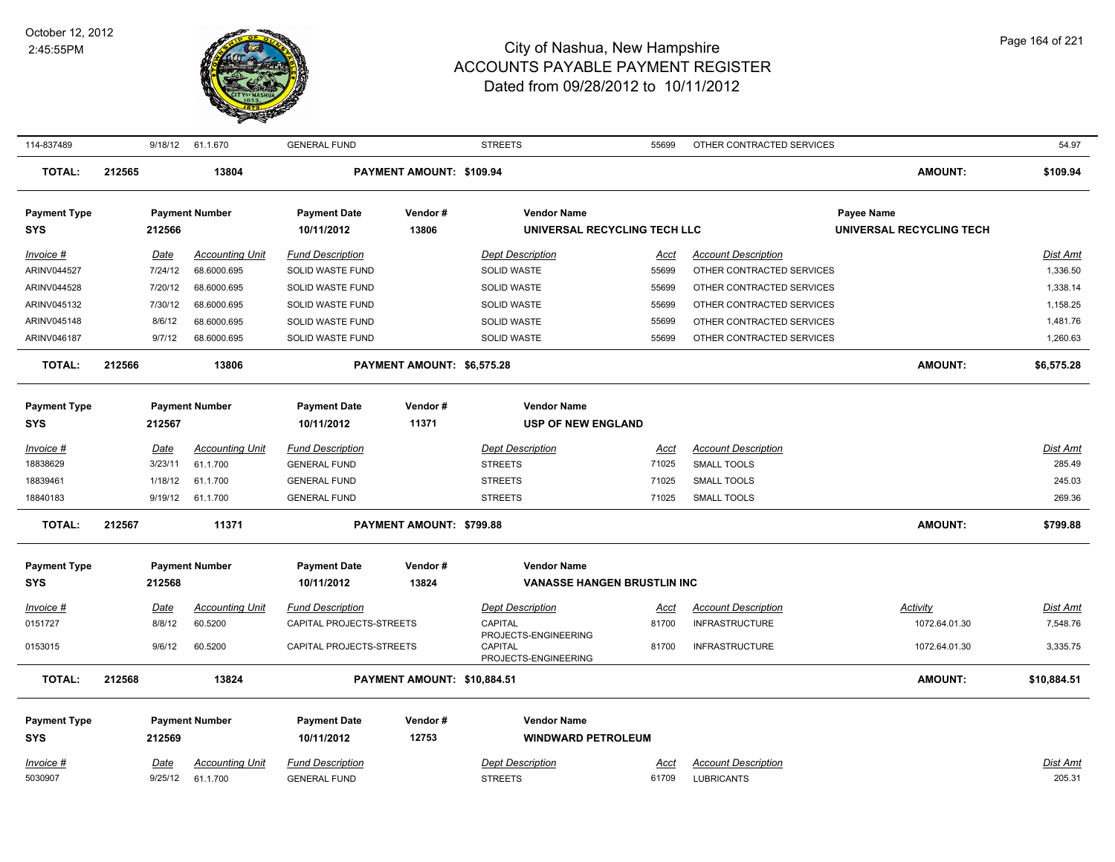

| 114-837489                        |        | 9/18/12     | 61.1.670               | <b>GENERAL FUND</b>               |                             | <b>STREETS</b>                                                 | 55699       | OTHER CONTRACTED SERVICES  |                                               | 54.97           |
|-----------------------------------|--------|-------------|------------------------|-----------------------------------|-----------------------------|----------------------------------------------------------------|-------------|----------------------------|-----------------------------------------------|-----------------|
| <b>TOTAL:</b>                     | 212565 |             | 13804                  |                                   | PAYMENT AMOUNT: \$109.94    |                                                                |             |                            | <b>AMOUNT:</b>                                | \$109.94        |
| <b>Payment Type</b><br><b>SYS</b> |        | 212566      | <b>Payment Number</b>  | <b>Payment Date</b><br>10/11/2012 | Vendor#<br>13806            | <b>Vendor Name</b><br>UNIVERSAL RECYCLING TECH LLC             |             |                            | <b>Payee Name</b><br>UNIVERSAL RECYCLING TECH |                 |
| Invoice #                         |        | Date        | <b>Accounting Unit</b> | <b>Fund Description</b>           |                             | <b>Dept Description</b>                                        | Acct        | <b>Account Description</b> |                                               | Dist Amt        |
| ARINV044527                       |        | 7/24/12     | 68.6000.695            | SOLID WASTE FUND                  |                             | <b>SOLID WASTE</b>                                             | 55699       | OTHER CONTRACTED SERVICES  |                                               | 1,336.50        |
| ARINV044528                       |        | 7/20/12     | 68.6000.695            | SOLID WASTE FUND                  |                             | <b>SOLID WASTE</b>                                             | 55699       | OTHER CONTRACTED SERVICES  |                                               | 1,338.14        |
| ARINV045132                       |        | 7/30/12     | 68.6000.695            | SOLID WASTE FUND                  |                             | <b>SOLID WASTE</b>                                             | 55699       | OTHER CONTRACTED SERVICES  |                                               | 1,158.25        |
| ARINV045148                       |        | 8/6/12      | 68.6000.695            | SOLID WASTE FUND                  |                             | <b>SOLID WASTE</b>                                             | 55699       | OTHER CONTRACTED SERVICES  |                                               | 1,481.76        |
| ARINV046187                       |        | 9/7/12      | 68.6000.695            | SOLID WASTE FUND                  |                             | SOLID WASTE                                                    | 55699       | OTHER CONTRACTED SERVICES  |                                               | 1,260.63        |
| <b>TOTAL:</b>                     | 212566 |             | 13806                  |                                   | PAYMENT AMOUNT: \$6,575.28  |                                                                |             |                            | <b>AMOUNT:</b>                                | \$6,575.28      |
| <b>Payment Type</b>               |        |             | <b>Payment Number</b>  | <b>Payment Date</b>               | Vendor#                     | <b>Vendor Name</b>                                             |             |                            |                                               |                 |
| <b>SYS</b>                        |        | 212567      |                        | 10/11/2012                        | 11371                       | <b>USP OF NEW ENGLAND</b>                                      |             |                            |                                               |                 |
| $Invoice$ #                       |        | Date        | <b>Accounting Unit</b> | <b>Fund Description</b>           |                             | <b>Dept Description</b>                                        | Acct        | <b>Account Description</b> |                                               | Dist Amt        |
| 18838629                          |        | 3/23/11     | 61.1.700               | <b>GENERAL FUND</b>               |                             | <b>STREETS</b>                                                 | 71025       | <b>SMALL TOOLS</b>         |                                               | 285.49          |
| 18839461                          |        | 1/18/12     | 61.1.700               | <b>GENERAL FUND</b>               |                             | <b>STREETS</b>                                                 | 71025       | SMALL TOOLS                |                                               | 245.03          |
| 18840183                          |        | 9/19/12     | 61.1.700               | <b>GENERAL FUND</b>               |                             | <b>STREETS</b>                                                 | 71025       | <b>SMALL TOOLS</b>         |                                               | 269.36          |
| <b>TOTAL:</b>                     | 212567 |             | 11371                  |                                   | PAYMENT AMOUNT: \$799.88    |                                                                |             |                            | <b>AMOUNT:</b>                                | \$799.88        |
| <b>Payment Type</b>               |        |             | <b>Payment Number</b>  | <b>Payment Date</b>               | Vendor#                     | <b>Vendor Name</b>                                             |             |                            |                                               |                 |
| <b>SYS</b>                        |        | 212568      |                        | 10/11/2012                        | 13824                       | <b>VANASSE HANGEN BRUSTLIN INC</b>                             |             |                            |                                               |                 |
| $Invoice$ #                       |        | <u>Date</u> | <b>Accounting Unit</b> | <b>Fund Description</b>           |                             | <b>Dept Description</b>                                        | <u>Acct</u> | <b>Account Description</b> | <u>Activity</u>                               | <u>Dist Amt</u> |
| 0151727                           |        | 8/8/12      | 60.5200                | CAPITAL PROJECTS-STREETS          |                             | CAPITAL                                                        | 81700       | <b>INFRASTRUCTURE</b>      | 1072.64.01.30                                 | 7,548.76        |
| 0153015                           |        | 9/6/12      | 60.5200                | CAPITAL PROJECTS-STREETS          |                             | PROJECTS-ENGINEERING<br><b>CAPITAL</b><br>PROJECTS-ENGINEERING | 81700       | <b>INFRASTRUCTURE</b>      | 1072.64.01.30                                 | 3,335.75        |
| <b>TOTAL:</b>                     | 212568 |             | 13824                  |                                   | PAYMENT AMOUNT: \$10,884.51 |                                                                |             |                            | <b>AMOUNT:</b>                                | \$10,884.51     |
| <b>Payment Type</b>               |        |             | <b>Payment Number</b>  | <b>Payment Date</b>               | Vendor#                     | <b>Vendor Name</b>                                             |             |                            |                                               |                 |
| <b>SYS</b>                        |        | 212569      |                        | 10/11/2012                        | 12753                       | <b>WINDWARD PETROLEUM</b>                                      |             |                            |                                               |                 |
| Invoice #                         |        | Date        | <b>Accounting Unit</b> | <b>Fund Description</b>           |                             | <b>Dept Description</b>                                        | Acct        | <b>Account Description</b> |                                               | Dist Amt        |
| 5030907                           |        | 9/25/12     | 61.1.700               | <b>GENERAL FUND</b>               |                             | <b>STREETS</b>                                                 | 61709       | <b>LUBRICANTS</b>          |                                               | 205.31          |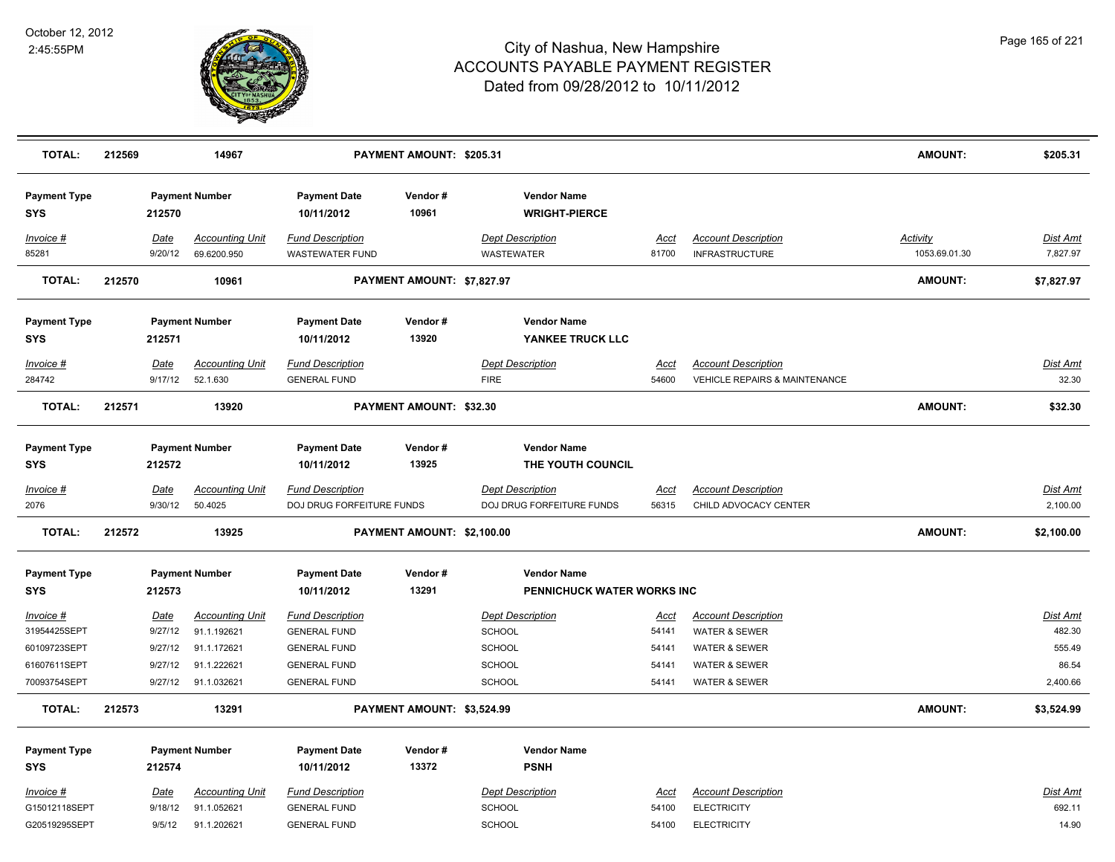

| <b>TOTAL:</b>                     | 212569 |                 | 14967                                 |                                                      | PAYMENT AMOUNT: \$205.31   |                                                      |                      |                                                     | <b>AMOUNT:</b>                   | \$205.31                    |
|-----------------------------------|--------|-----------------|---------------------------------------|------------------------------------------------------|----------------------------|------------------------------------------------------|----------------------|-----------------------------------------------------|----------------------------------|-----------------------------|
| <b>Payment Type</b><br><b>SYS</b> |        | 212570          | <b>Payment Number</b>                 | <b>Payment Date</b><br>10/11/2012                    | Vendor#<br>10961           | <b>Vendor Name</b><br><b>WRIGHT-PIERCE</b>           |                      |                                                     |                                  |                             |
| Invoice #<br>85281                |        | Date<br>9/20/12 | <b>Accounting Unit</b><br>69.6200.950 | <b>Fund Description</b><br>WASTEWATER FUND           |                            | <b>Dept Description</b><br><b>WASTEWATER</b>         | <u>Acct</u><br>81700 | <b>Account Description</b><br><b>INFRASTRUCTURE</b> | <b>Activity</b><br>1053.69.01.30 | <b>Dist Amt</b><br>7,827.97 |
| <b>TOTAL:</b>                     | 212570 |                 | 10961                                 |                                                      | PAYMENT AMOUNT: \$7,827.97 |                                                      |                      |                                                     | <b>AMOUNT:</b>                   | \$7,827.97                  |
| <b>Payment Type</b><br><b>SYS</b> |        | 212571          | <b>Payment Number</b>                 | <b>Payment Date</b><br>10/11/2012                    | Vendor#<br>13920           | <b>Vendor Name</b><br>YANKEE TRUCK LLC               |                      |                                                     |                                  |                             |
| Invoice #                         |        | Date            | <b>Accounting Unit</b>                | <b>Fund Description</b>                              |                            | <b>Dept Description</b>                              | <u>Acct</u>          | <b>Account Description</b>                          |                                  | Dist Amt                    |
| 284742                            |        | 9/17/12         | 52.1.630                              | <b>GENERAL FUND</b>                                  |                            | <b>FIRE</b>                                          | 54600                | <b>VEHICLE REPAIRS &amp; MAINTENANCE</b>            |                                  | 32.30                       |
| <b>TOTAL:</b>                     | 212571 |                 | 13920                                 |                                                      | PAYMENT AMOUNT: \$32.30    |                                                      |                      |                                                     | <b>AMOUNT:</b>                   | \$32.30                     |
| <b>Payment Type</b><br><b>SYS</b> |        | 212572          | <b>Payment Number</b>                 | <b>Payment Date</b><br>10/11/2012                    | Vendor#<br>13925           | <b>Vendor Name</b><br>THE YOUTH COUNCIL              |                      |                                                     |                                  |                             |
| Invoice #<br>2076                 |        | Date<br>9/30/12 | <b>Accounting Unit</b><br>50.4025     | <b>Fund Description</b><br>DOJ DRUG FORFEITURE FUNDS |                            | <b>Dept Description</b><br>DOJ DRUG FORFEITURE FUNDS | <u>Acct</u><br>56315 | <b>Account Description</b><br>CHILD ADVOCACY CENTER |                                  | Dist Amt<br>2,100.00        |
| <b>TOTAL:</b>                     | 212572 |                 | 13925                                 |                                                      | PAYMENT AMOUNT: \$2,100.00 |                                                      |                      |                                                     | <b>AMOUNT:</b>                   | \$2,100.00                  |
| <b>Payment Type</b><br><b>SYS</b> |        | 212573          | <b>Payment Number</b>                 | <b>Payment Date</b><br>10/11/2012                    | Vendor#<br>13291           | <b>Vendor Name</b><br>PENNICHUCK WATER WORKS INC     |                      |                                                     |                                  |                             |
| Invoice #                         |        | Date            | <b>Accounting Unit</b>                | <b>Fund Description</b>                              |                            | <b>Dept Description</b>                              | <u>Acct</u>          | <b>Account Description</b>                          |                                  | <b>Dist Amt</b>             |
| 31954425SEPT                      |        | 9/27/12         | 91.1.192621                           | <b>GENERAL FUND</b>                                  |                            | SCHOOL                                               | 54141                | <b>WATER &amp; SEWER</b>                            |                                  | 482.30                      |
| 60109723SEPT                      |        | 9/27/12         | 91.1.172621                           | <b>GENERAL FUND</b>                                  |                            | SCHOOL                                               | 54141                | <b>WATER &amp; SEWER</b>                            |                                  | 555.49                      |
| 61607611SEPT                      |        | 9/27/12         | 91.1.222621                           | <b>GENERAL FUND</b>                                  |                            | <b>SCHOOL</b>                                        | 54141                | <b>WATER &amp; SEWER</b>                            |                                  | 86.54                       |
| 70093754SEPT                      |        | 9/27/12         | 91.1.032621                           | <b>GENERAL FUND</b>                                  |                            | <b>SCHOOL</b>                                        | 54141                | <b>WATER &amp; SEWER</b>                            |                                  | 2,400.66                    |
| <b>TOTAL:</b>                     | 212573 |                 | 13291                                 |                                                      | PAYMENT AMOUNT: \$3,524.99 |                                                      |                      |                                                     | <b>AMOUNT:</b>                   | \$3,524.99                  |
| <b>Payment Type</b>               |        |                 | <b>Payment Number</b>                 | <b>Payment Date</b>                                  | Vendor#                    | <b>Vendor Name</b>                                   |                      |                                                     |                                  |                             |
| <b>SYS</b>                        |        | 212574          |                                       | 10/11/2012                                           | 13372                      | <b>PSNH</b>                                          |                      |                                                     |                                  |                             |
| Invoice #                         |        | Date            | <b>Accounting Unit</b>                | <b>Fund Description</b>                              |                            | <b>Dept Description</b>                              | Acct                 | <b>Account Description</b>                          |                                  | <b>Dist Amt</b>             |
| G15012118SEPT                     |        | 9/18/12         | 91.1.052621                           | <b>GENERAL FUND</b>                                  |                            | SCHOOL                                               | 54100                | <b>ELECTRICITY</b>                                  |                                  | 692.11                      |
| G20519295SEPT                     |        | 9/5/12          | 91.1.202621                           | <b>GENERAL FUND</b>                                  |                            | <b>SCHOOL</b>                                        | 54100                | <b>ELECTRICITY</b>                                  |                                  | 14.90                       |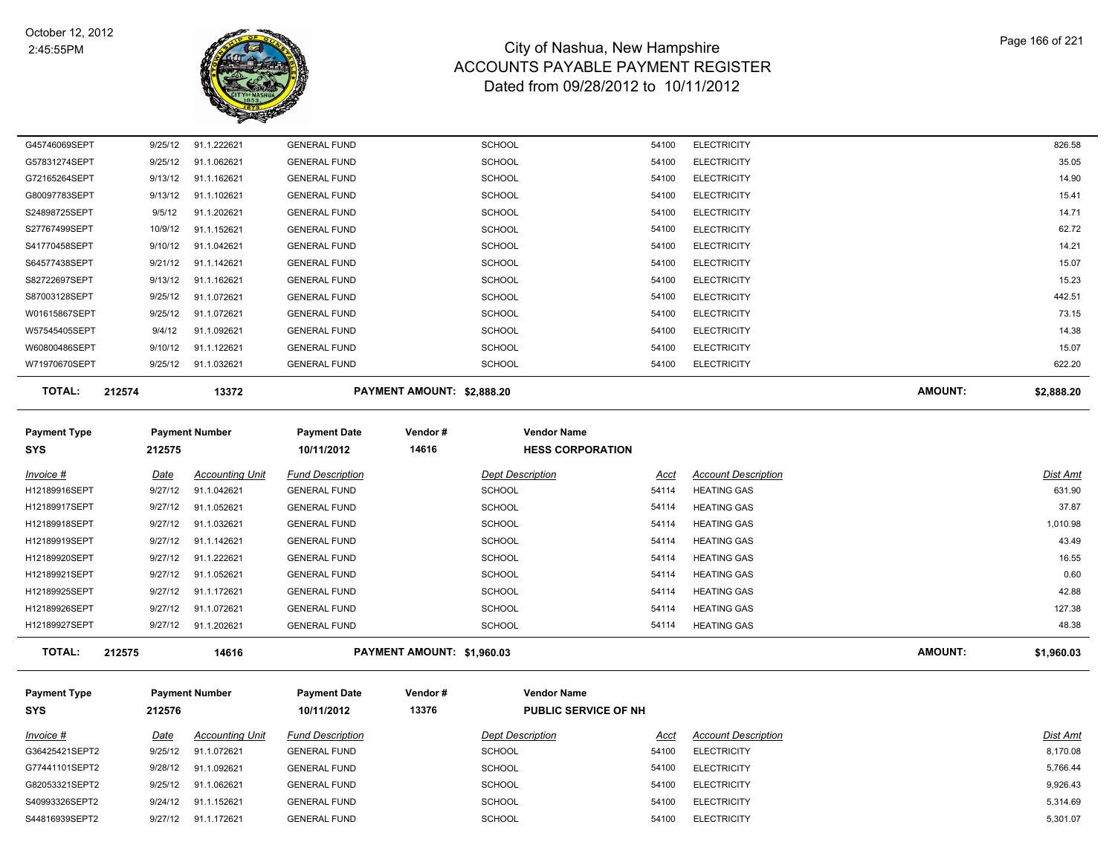

| <b>TOTAL:</b> | 212574 |         | 13372       |                     | PAYMENT AMOUNT: \$2,888.20 |       |                    | <b>AMOUNT:</b> | \$2,888.20 |
|---------------|--------|---------|-------------|---------------------|----------------------------|-------|--------------------|----------------|------------|
| W71970670SEPT |        | 9/25/12 | 91.1.032621 | <b>GENERAL FUND</b> | SCHOOL                     | 54100 | <b>ELECTRICITY</b> |                | 622.20     |
| W60800486SEPT |        | 9/10/12 | 91.1.122621 | <b>GENERAL FUND</b> | SCHOOL                     | 54100 | <b>ELECTRICITY</b> |                | 15.07      |
| W57545405SEPT |        | 9/4/12  | 91.1.092621 | <b>GENERAL FUND</b> | <b>SCHOOL</b>              | 54100 | <b>ELECTRICITY</b> |                | 14.38      |
| W01615867SEPT |        | 9/25/12 | 91.1.072621 | <b>GENERAL FUND</b> | <b>SCHOOL</b>              | 54100 | <b>ELECTRICITY</b> |                | 73.15      |
| S87003128SEPT |        | 9/25/12 | 91.1.072621 | <b>GENERAL FUND</b> | <b>SCHOOL</b>              | 54100 | <b>ELECTRICITY</b> |                | 442.51     |
| S82722697SEPT |        | 9/13/12 | 91.1.162621 | <b>GENERAL FUND</b> | <b>SCHOOL</b>              | 54100 | <b>ELECTRICITY</b> |                | 15.23      |
| S64577438SEPT |        | 9/21/12 | 91.1.142621 | <b>GENERAL FUND</b> | <b>SCHOOL</b>              | 54100 | <b>ELECTRICITY</b> |                | 15.07      |
| S41770458SEPT |        | 9/10/12 | 91.1.042621 | <b>GENERAL FUND</b> | <b>SCHOOL</b>              | 54100 | <b>ELECTRICITY</b> |                | 14.21      |
| S27767499SEPT |        | 10/9/12 | 91.1.152621 | <b>GENERAL FUND</b> | <b>SCHOOL</b>              | 54100 | <b>ELECTRICITY</b> |                | 62.72      |
| S24898725SEPT |        | 9/5/12  | 91.1.202621 | <b>GENERAL FUND</b> | <b>SCHOOL</b>              | 54100 | <b>ELECTRICITY</b> |                | 14.71      |
| G80097783SEPT |        | 9/13/12 | 91.1.102621 | <b>GENERAL FUND</b> | <b>SCHOOL</b>              | 54100 | <b>ELECTRICITY</b> |                | 15.41      |
| G72165264SEPT |        | 9/13/12 | 91.1.162621 | <b>GENERAL FUND</b> | <b>SCHOOL</b>              | 54100 | <b>ELECTRICITY</b> |                | 14.90      |
| G57831274SEPT |        | 9/25/12 | 91.1.062621 | <b>GENERAL FUND</b> | <b>SCHOOL</b>              | 54100 | <b>ELECTRICITY</b> |                | 35.05      |
| G45746069SEPT |        | 9/25/12 | 91.1.222621 | <b>GENERAL FUND</b> | <b>SCHOOL</b>              | 54100 | <b>ELECTRICITY</b> |                | 826.58     |

| <b>Payment Type</b> |         | <b>Payment Number</b>  | <b>Payment Date</b>     | Vendor#                    | <b>Vendor Name</b>      |       |                            |                |            |
|---------------------|---------|------------------------|-------------------------|----------------------------|-------------------------|-------|----------------------------|----------------|------------|
| <b>SYS</b>          | 212575  |                        | 10/11/2012              | 14616                      | <b>HESS CORPORATION</b> |       |                            |                |            |
| Invoice #           | Date    | <b>Accounting Unit</b> | <b>Fund Description</b> |                            | <b>Dept Description</b> | Acct  | <b>Account Description</b> |                | Dist Amt   |
| H12189916SEPT       | 9/27/12 | 91.1.042621            | <b>GENERAL FUND</b>     |                            | <b>SCHOOL</b>           | 54114 | <b>HEATING GAS</b>         |                | 631.90     |
| H12189917SEPT       | 9/27/12 | 91.1.052621            | <b>GENERAL FUND</b>     |                            | <b>SCHOOL</b>           | 54114 | <b>HEATING GAS</b>         |                | 37.87      |
| H12189918SEPT       | 9/27/12 | 91.1.032621            | <b>GENERAL FUND</b>     |                            | <b>SCHOOL</b>           | 54114 | <b>HEATING GAS</b>         |                | 1,010.98   |
| H12189919SEPT       | 9/27/12 | 91.1.142621            | <b>GENERAL FUND</b>     |                            | <b>SCHOOL</b>           | 54114 | <b>HEATING GAS</b>         |                | 43.49      |
| H12189920SEPT       | 9/27/12 | 91.1.222621            | <b>GENERAL FUND</b>     |                            | <b>SCHOOL</b>           | 54114 | <b>HEATING GAS</b>         |                | 16.55      |
| H12189921SEPT       | 9/27/12 | 91.1.052621            | <b>GENERAL FUND</b>     |                            | <b>SCHOOL</b>           | 54114 | <b>HEATING GAS</b>         |                | 0.60       |
| H12189925SEPT       | 9/27/12 | 91.1.172621            | <b>GENERAL FUND</b>     |                            | <b>SCHOOL</b>           | 54114 | <b>HEATING GAS</b>         |                | 42.88      |
| H12189926SEPT       | 9/27/12 | 91.1.072621            | <b>GENERAL FUND</b>     |                            | <b>SCHOOL</b>           | 54114 | <b>HEATING GAS</b>         |                | 127.38     |
| H12189927SEPT       | 9/27/12 | 91.1.202621            | <b>GENERAL FUND</b>     |                            | <b>SCHOOL</b>           | 54114 | <b>HEATING GAS</b>         |                | 48.38      |
| <b>TOTAL:</b>       | 212575  | 14616                  |                         | PAYMENT AMOUNT: \$1,960.03 |                         |       |                            | <b>AMOUNT:</b> | \$1,960.03 |

| Payment Type<br>SYS | 212576  | <b>Payment Number</b>  | <b>Payment Date</b><br>10/11/2012 | Vendor#<br>13376 | <b>Vendor Name</b>      | <b>PUBLIC SERVICE OF NH</b> |                            |          |
|---------------------|---------|------------------------|-----------------------------------|------------------|-------------------------|-----------------------------|----------------------------|----------|
| Invoice #           | Date    | <b>Accounting Unit</b> | <b>Fund Description</b>           |                  | <b>Dept Description</b> | Acct                        | <b>Account Description</b> | Dist Amt |
| G36425421SEPT2      | 9/25/12 | 91.1.072621            | <b>GENERAL FUND</b>               |                  | <b>SCHOOL</b>           | 54100                       | <b>ELECTRICITY</b>         | 8,170.08 |
| G77441101SEPT2      | 9/28/12 | 91.1.092621            | <b>GENERAL FUND</b>               |                  | <b>SCHOOL</b>           | 54100                       | <b>ELECTRICITY</b>         | 5,766.44 |
| G82053321SEPT2      | 9/25/12 | 91.1.062621            | <b>GENERAL FUND</b>               |                  | <b>SCHOOL</b>           | 54100                       | <b>ELECTRICITY</b>         | 9,926.43 |
| S40993326SEPT2      | 9/24/12 | 91.1.152621            | <b>GENERAL FUND</b>               |                  | <b>SCHOOL</b>           | 54100                       | <b>ELECTRICITY</b>         | 5,314.69 |
| S44816939SEPT2      | 9/27/12 | 91.1.172621            | <b>GENERAL FUND</b>               |                  | <b>SCHOOL</b>           | 54100                       | <b>ELECTRICITY</b>         | 5,301.07 |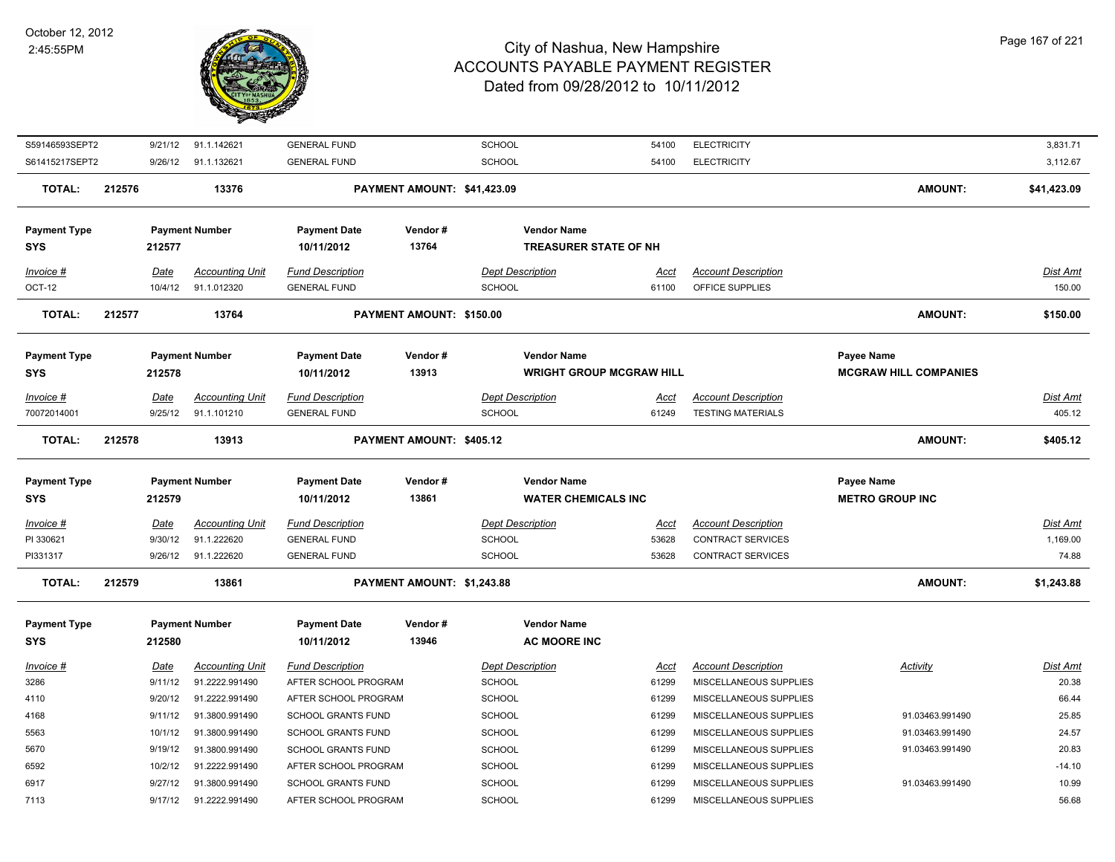

| S59146593SEPT2                    |        | 9/21/12     | 91.1.142621            | <b>GENERAL FUND</b>               |                             | <b>SCHOOL</b>                                         | 54100       | <b>ELECTRICITY</b>         |                                                   | 3,831.71        |
|-----------------------------------|--------|-------------|------------------------|-----------------------------------|-----------------------------|-------------------------------------------------------|-------------|----------------------------|---------------------------------------------------|-----------------|
| S61415217SEPT2                    |        | 9/26/12     | 91.1.132621            | <b>GENERAL FUND</b>               |                             | <b>SCHOOL</b>                                         | 54100       | <b>ELECTRICITY</b>         |                                                   | 3,112.67        |
| <b>TOTAL:</b>                     | 212576 |             | 13376                  |                                   | PAYMENT AMOUNT: \$41,423.09 |                                                       |             |                            | <b>AMOUNT:</b>                                    | \$41,423.09     |
| <b>Payment Type</b><br><b>SYS</b> |        | 212577      | <b>Payment Number</b>  | <b>Payment Date</b><br>10/11/2012 | Vendor#<br>13764            | <b>Vendor Name</b><br><b>TREASURER STATE OF NH</b>    |             |                            |                                                   |                 |
| Invoice #                         |        | Date        | <b>Accounting Unit</b> | <b>Fund Description</b>           |                             | <b>Dept Description</b>                               | <u>Acct</u> | <b>Account Description</b> |                                                   | Dist Amt        |
| OCT-12                            |        | 10/4/12     | 91.1.012320            | <b>GENERAL FUND</b>               |                             | <b>SCHOOL</b>                                         | 61100       | OFFICE SUPPLIES            |                                                   | 150.00          |
| <b>TOTAL:</b>                     | 212577 |             | 13764                  |                                   | PAYMENT AMOUNT: \$150.00    |                                                       |             |                            | <b>AMOUNT:</b>                                    | \$150.00        |
| <b>Payment Type</b><br><b>SYS</b> |        | 212578      | <b>Payment Number</b>  | <b>Payment Date</b><br>10/11/2012 | Vendor#<br>13913            | <b>Vendor Name</b><br><b>WRIGHT GROUP MCGRAW HILL</b> |             |                            | <b>Payee Name</b><br><b>MCGRAW HILL COMPANIES</b> |                 |
| Invoice #                         |        | Date        | <b>Accounting Unit</b> | <b>Fund Description</b>           |                             | <b>Dept Description</b>                               | Acct        | <b>Account Description</b> |                                                   | Dist Amt        |
| 70072014001                       |        | 9/25/12     | 91.1.101210            | <b>GENERAL FUND</b>               |                             | <b>SCHOOL</b>                                         | 61249       | <b>TESTING MATERIALS</b>   |                                                   | 405.12          |
| <b>TOTAL:</b>                     | 212578 |             | 13913                  |                                   | PAYMENT AMOUNT: \$405.12    |                                                       |             |                            | <b>AMOUNT:</b>                                    | \$405.12        |
|                                   |        |             |                        |                                   |                             |                                                       |             |                            |                                                   |                 |
| <b>Payment Type</b><br><b>SYS</b> |        | 212579      | <b>Payment Number</b>  | <b>Payment Date</b><br>10/11/2012 | Vendor#<br>13861            | <b>Vendor Name</b><br><b>WATER CHEMICALS INC</b>      |             |                            | Payee Name<br><b>METRO GROUP INC</b>              |                 |
| Invoice #                         |        | <u>Date</u> | <b>Accounting Unit</b> | <b>Fund Description</b>           |                             | <b>Dept Description</b>                               | <u>Acct</u> | <b>Account Description</b> |                                                   | <u>Dist Amt</u> |
| PI 330621                         |        | 9/30/12     | 91.1.222620            | <b>GENERAL FUND</b>               |                             | <b>SCHOOL</b>                                         | 53628       | <b>CONTRACT SERVICES</b>   |                                                   | 1,169.00        |
| PI331317                          |        | 9/26/12     | 91.1.222620            | <b>GENERAL FUND</b>               |                             | <b>SCHOOL</b>                                         | 53628       | <b>CONTRACT SERVICES</b>   |                                                   | 74.88           |
| <b>TOTAL:</b>                     | 212579 |             | 13861                  |                                   | PAYMENT AMOUNT: \$1,243.88  |                                                       |             |                            | <b>AMOUNT:</b>                                    | \$1,243.88      |
| <b>Payment Type</b><br>SYS        |        | 212580      | <b>Payment Number</b>  | <b>Payment Date</b><br>10/11/2012 | Vendor#<br>13946            | <b>Vendor Name</b><br><b>AC MOORE INC</b>             |             |                            |                                                   |                 |
| Invoice #                         |        | Date        | <b>Accounting Unit</b> | <b>Fund Description</b>           |                             | <b>Dept Description</b>                               | <u>Acct</u> | <b>Account Description</b> | <b>Activity</b>                                   | Dist Amt        |
| 3286                              |        | 9/11/12     | 91.2222.991490         | AFTER SCHOOL PROGRAM              |                             | <b>SCHOOL</b>                                         | 61299       | MISCELLANEOUS SUPPLIES     |                                                   | 20.38           |
| 4110                              |        | 9/20/12     | 91.2222.991490         | AFTER SCHOOL PROGRAM              |                             | <b>SCHOOL</b>                                         | 61299       | MISCELLANEOUS SUPPLIES     |                                                   | 66.44           |
| 4168                              |        | 9/11/12     | 91.3800.991490         | SCHOOL GRANTS FUND                |                             | <b>SCHOOL</b>                                         | 61299       | MISCELLANEOUS SUPPLIES     | 91.03463.991490                                   | 25.85           |
| 5563                              |        | 10/1/12     | 91.3800.991490         | <b>SCHOOL GRANTS FUND</b>         |                             | <b>SCHOOL</b>                                         | 61299       | MISCELLANEOUS SUPPLIES     | 91.03463.991490                                   | 24.57           |
| 5670                              |        | 9/19/12     | 91.3800.991490         | SCHOOL GRANTS FUND                |                             | <b>SCHOOL</b>                                         | 61299       | MISCELLANEOUS SUPPLIES     | 91.03463.991490                                   | 20.83           |
| 6592                              |        | 10/2/12     | 91.2222.991490         | AFTER SCHOOL PROGRAM              |                             | <b>SCHOOL</b>                                         | 61299       | MISCELLANEOUS SUPPLIES     |                                                   | $-14.10$        |
| 6917                              |        | 9/27/12     | 91.3800.991490         | SCHOOL GRANTS FUND                |                             | SCHOOL                                                | 61299       | MISCELLANEOUS SUPPLIES     | 91.03463.991490                                   | 10.99           |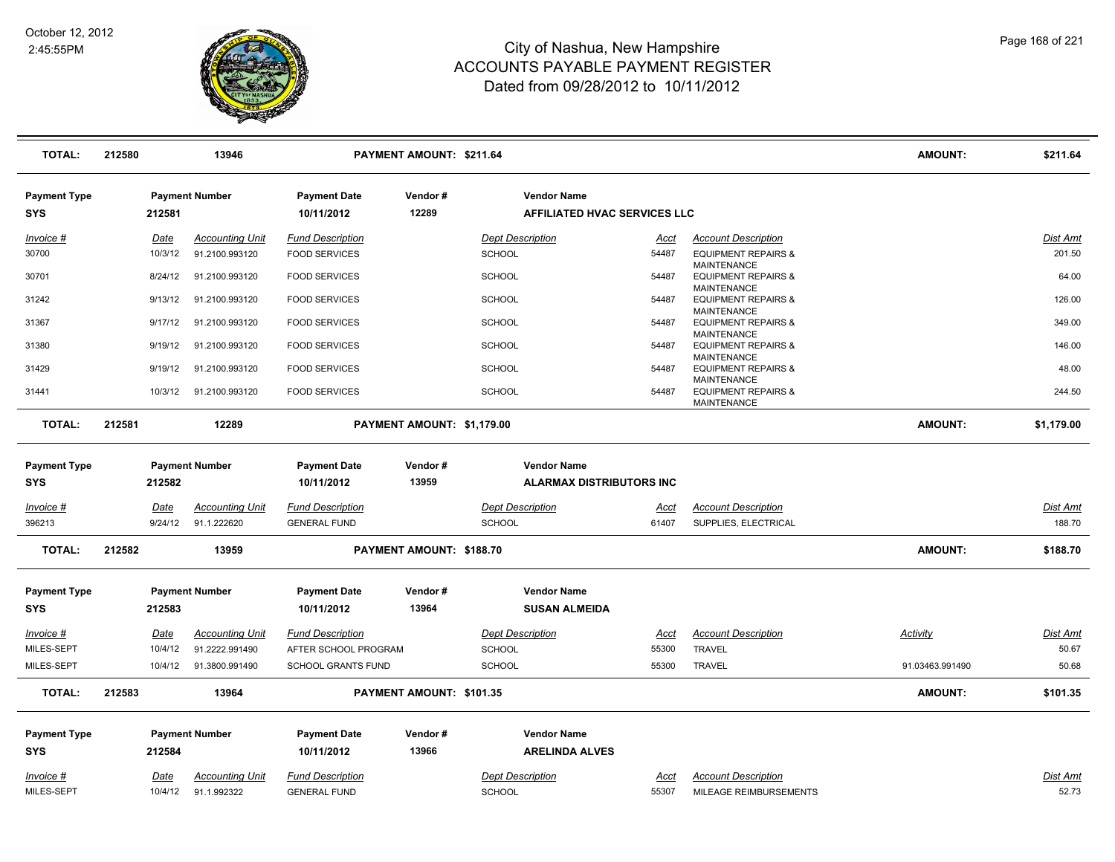

| <b>TOTAL:</b>                     | 212580 |                        | 13946                                 |                                                | PAYMENT AMOUNT: \$211.64   |                                                       |                      |                                                                            | AMOUNT:         | \$211.64                  |
|-----------------------------------|--------|------------------------|---------------------------------------|------------------------------------------------|----------------------------|-------------------------------------------------------|----------------------|----------------------------------------------------------------------------|-----------------|---------------------------|
| <b>Payment Type</b><br><b>SYS</b> |        | 212581                 | <b>Payment Number</b>                 | <b>Payment Date</b><br>10/11/2012              | Vendor#<br>12289           | <b>Vendor Name</b><br>AFFILIATED HVAC SERVICES LLC    |                      |                                                                            |                 |                           |
| Invoice #                         |        | Date                   | <b>Accounting Unit</b>                | <b>Fund Description</b>                        |                            | <b>Dept Description</b>                               | Acct                 | <b>Account Description</b>                                                 |                 | Dist Amt                  |
| 30700                             |        | 10/3/12                | 91.2100.993120                        | <b>FOOD SERVICES</b>                           |                            | <b>SCHOOL</b>                                         | 54487                | <b>EQUIPMENT REPAIRS &amp;</b>                                             |                 | 201.50                    |
| 30701                             |        | 8/24/12                | 91.2100.993120                        | <b>FOOD SERVICES</b>                           |                            | <b>SCHOOL</b>                                         | 54487                | <b>MAINTENANCE</b><br><b>EQUIPMENT REPAIRS &amp;</b>                       |                 | 64.00                     |
| 31242                             |        | 9/13/12                | 91.2100.993120                        | <b>FOOD SERVICES</b>                           |                            | <b>SCHOOL</b>                                         | 54487                | <b>MAINTENANCE</b><br><b>EQUIPMENT REPAIRS &amp;</b>                       |                 | 126.00                    |
| 31367                             |        | 9/17/12                | 91.2100.993120                        | <b>FOOD SERVICES</b>                           |                            | <b>SCHOOL</b>                                         | 54487                | <b>MAINTENANCE</b><br><b>EQUIPMENT REPAIRS &amp;</b>                       |                 | 349.00                    |
| 31380                             |        | 9/19/12                | 91.2100.993120                        | <b>FOOD SERVICES</b>                           |                            | <b>SCHOOL</b>                                         | 54487                | <b>MAINTENANCE</b><br><b>EQUIPMENT REPAIRS &amp;</b>                       |                 | 146.00                    |
| 31429                             |        | 9/19/12                | 91.2100.993120                        | <b>FOOD SERVICES</b>                           |                            | <b>SCHOOL</b>                                         | 54487                | <b>MAINTENANCE</b><br><b>EQUIPMENT REPAIRS &amp;</b>                       |                 | 48.00                     |
| 31441                             |        | 10/3/12                | 91.2100.993120                        | <b>FOOD SERVICES</b>                           |                            | <b>SCHOOL</b>                                         | 54487                | <b>MAINTENANCE</b><br><b>EQUIPMENT REPAIRS &amp;</b><br><b>MAINTENANCE</b> |                 | 244.50                    |
| <b>TOTAL:</b>                     | 212581 |                        | 12289                                 |                                                | PAYMENT AMOUNT: \$1,179.00 |                                                       |                      |                                                                            | <b>AMOUNT:</b>  | \$1,179.00                |
| <b>Payment Type</b><br><b>SYS</b> |        | 212582                 | <b>Payment Number</b>                 | <b>Payment Date</b><br>10/11/2012              | Vendor#<br>13959           | <b>Vendor Name</b><br><b>ALARMAX DISTRIBUTORS INC</b> |                      |                                                                            |                 |                           |
| <u>Invoice #</u><br>396213        |        | <u>Date</u><br>9/24/12 | <b>Accounting Unit</b><br>91.1.222620 | <b>Fund Description</b><br><b>GENERAL FUND</b> |                            | <b>Dept Description</b><br>SCHOOL                     | <u>Acct</u><br>61407 | <b>Account Description</b><br>SUPPLIES, ELECTRICAL                         |                 | <b>Dist Amt</b><br>188.70 |
| <b>TOTAL:</b>                     | 212582 |                        | 13959                                 |                                                | PAYMENT AMOUNT: \$188.70   |                                                       |                      |                                                                            | <b>AMOUNT:</b>  | \$188.70                  |
| <b>Payment Type</b><br>SYS        |        | 212583                 | <b>Payment Number</b>                 | <b>Payment Date</b><br>10/11/2012              | Vendor#<br>13964           | <b>Vendor Name</b><br><b>SUSAN ALMEIDA</b>            |                      |                                                                            |                 |                           |
|                                   |        |                        |                                       |                                                |                            |                                                       |                      |                                                                            |                 |                           |
| Invoice #                         |        | <u>Date</u>            | <b>Accounting Unit</b>                | <b>Fund Description</b>                        |                            | <b>Dept Description</b>                               | Acct                 | <b>Account Description</b>                                                 | Activity        | Dist Amt                  |
| MILES-SEPT                        |        | 10/4/12                | 91.2222.991490                        | AFTER SCHOOL PROGRAM                           |                            | <b>SCHOOL</b>                                         | 55300                | <b>TRAVEL</b>                                                              |                 | 50.67                     |
| MILES-SEPT                        |        | 10/4/12                | 91.3800.991490                        | <b>SCHOOL GRANTS FUND</b>                      |                            | <b>SCHOOL</b>                                         | 55300                | <b>TRAVEL</b>                                                              | 91.03463.991490 | 50.68                     |
| <b>TOTAL:</b>                     | 212583 |                        | 13964                                 |                                                | PAYMENT AMOUNT: \$101.35   |                                                       |                      |                                                                            | <b>AMOUNT:</b>  | \$101.35                  |
| <b>Payment Type</b>               |        |                        | <b>Payment Number</b>                 | <b>Payment Date</b>                            | Vendor#                    | <b>Vendor Name</b>                                    |                      |                                                                            |                 |                           |
| <b>SYS</b>                        |        | 212584                 |                                       | 10/11/2012                                     | 13966                      | <b>ARELINDA ALVES</b>                                 |                      |                                                                            |                 |                           |
| Invoice #                         |        | Date                   | <b>Accounting Unit</b>                | <b>Fund Description</b>                        |                            | <b>Dept Description</b>                               | Acct                 | <b>Account Description</b>                                                 |                 | Dist Amt                  |
|                                   |        | 10/4/12                | 91.1.992322                           | <b>GENERAL FUND</b>                            |                            | SCHOOL                                                | 55307                | MILEAGE REIMBURSEMENTS                                                     |                 | 52.73                     |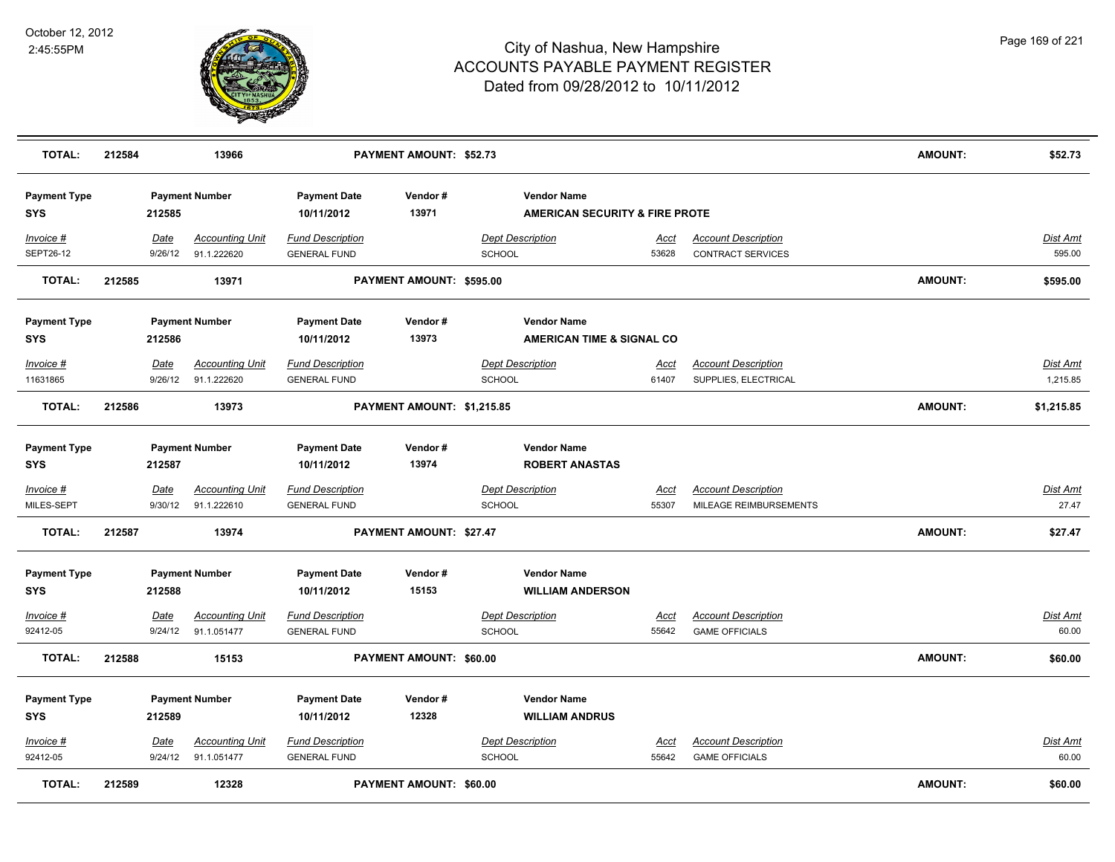

| <b>TOTAL:</b>                     | 212584 |                        | 13966                                 |                                                | <b>PAYMENT AMOUNT: \$52.73</b> |                                                                 |                      |                                                      | <b>AMOUNT:</b> | \$52.73                     |
|-----------------------------------|--------|------------------------|---------------------------------------|------------------------------------------------|--------------------------------|-----------------------------------------------------------------|----------------------|------------------------------------------------------|----------------|-----------------------------|
| <b>Payment Type</b><br><b>SYS</b> |        | 212585                 | <b>Payment Number</b>                 | <b>Payment Date</b><br>10/11/2012              | Vendor#<br>13971               | <b>Vendor Name</b><br><b>AMERICAN SECURITY &amp; FIRE PROTE</b> |                      |                                                      |                |                             |
| $Invoice$ #<br>SEPT26-12          |        | Date<br>9/26/12        | <b>Accounting Unit</b><br>91.1.222620 | <b>Fund Description</b><br><b>GENERAL FUND</b> |                                | <b>Dept Description</b><br><b>SCHOOL</b>                        | <u>Acct</u><br>53628 | <b>Account Description</b><br>CONTRACT SERVICES      |                | <b>Dist Amt</b><br>595.00   |
| <b>TOTAL:</b>                     | 212585 |                        | 13971                                 |                                                | PAYMENT AMOUNT: \$595.00       |                                                                 |                      |                                                      | <b>AMOUNT:</b> | \$595.00                    |
| <b>Payment Type</b><br><b>SYS</b> |        | 212586                 | <b>Payment Number</b>                 | <b>Payment Date</b><br>10/11/2012              | Vendor#<br>13973               | <b>Vendor Name</b><br>AMERICAN TIME & SIGNAL CO                 |                      |                                                      |                |                             |
| Invoice #<br>11631865             |        | Date<br>9/26/12        | <b>Accounting Unit</b><br>91.1.222620 | <b>Fund Description</b><br><b>GENERAL FUND</b> |                                | <b>Dept Description</b><br><b>SCHOOL</b>                        | Acct<br>61407        | <b>Account Description</b><br>SUPPLIES, ELECTRICAL   |                | <b>Dist Amt</b><br>1,215.85 |
| <b>TOTAL:</b>                     | 212586 |                        | 13973                                 |                                                | PAYMENT AMOUNT: \$1,215.85     |                                                                 |                      |                                                      | <b>AMOUNT:</b> | \$1,215.85                  |
| <b>Payment Type</b><br><b>SYS</b> |        | 212587                 | <b>Payment Number</b>                 | <b>Payment Date</b><br>10/11/2012              | Vendor#<br>13974               | <b>Vendor Name</b><br><b>ROBERT ANASTAS</b>                     |                      |                                                      |                |                             |
| Invoice #<br>MILES-SEPT           |        | <u>Date</u><br>9/30/12 | <b>Accounting Unit</b><br>91.1.222610 | <b>Fund Description</b><br><b>GENERAL FUND</b> |                                | <b>Dept Description</b><br>SCHOOL                               | <u>Acct</u><br>55307 | <b>Account Description</b><br>MILEAGE REIMBURSEMENTS |                | <u>Dist Amt</u><br>27.47    |
| <b>TOTAL:</b>                     | 212587 |                        | 13974                                 |                                                | PAYMENT AMOUNT: \$27.47        |                                                                 |                      |                                                      | <b>AMOUNT:</b> | \$27.47                     |
| <b>Payment Type</b><br><b>SYS</b> |        | 212588                 | <b>Payment Number</b>                 | <b>Payment Date</b><br>10/11/2012              | Vendor#<br>15153               | <b>Vendor Name</b><br><b>WILLIAM ANDERSON</b>                   |                      |                                                      |                |                             |
| $Invoice$ #<br>92412-05           |        | Date<br>9/24/12        | <b>Accounting Unit</b><br>91.1.051477 | <b>Fund Description</b><br><b>GENERAL FUND</b> |                                | <b>Dept Description</b><br><b>SCHOOL</b>                        | <u>Acct</u><br>55642 | <b>Account Description</b><br><b>GAME OFFICIALS</b>  |                | Dist Amt<br>60.00           |
| <b>TOTAL:</b>                     | 212588 |                        | 15153                                 |                                                | PAYMENT AMOUNT: \$60.00        |                                                                 |                      |                                                      | <b>AMOUNT:</b> | \$60.00                     |
| <b>Payment Type</b><br><b>SYS</b> |        | 212589                 | <b>Payment Number</b>                 | <b>Payment Date</b><br>10/11/2012              | Vendor#<br>12328               | <b>Vendor Name</b><br><b>WILLIAM ANDRUS</b>                     |                      |                                                      |                |                             |
| Invoice #<br>92412-05             |        | Date<br>9/24/12        | <b>Accounting Unit</b><br>91.1.051477 | <b>Fund Description</b><br><b>GENERAL FUND</b> |                                | <b>Dept Description</b><br><b>SCHOOL</b>                        | <u>Acct</u><br>55642 | <b>Account Description</b><br><b>GAME OFFICIALS</b>  |                | <b>Dist Amt</b><br>60.00    |
| <b>TOTAL:</b>                     | 212589 |                        | 12328                                 |                                                | <b>PAYMENT AMOUNT: \$60.00</b> |                                                                 |                      |                                                      | <b>AMOUNT:</b> | \$60.00                     |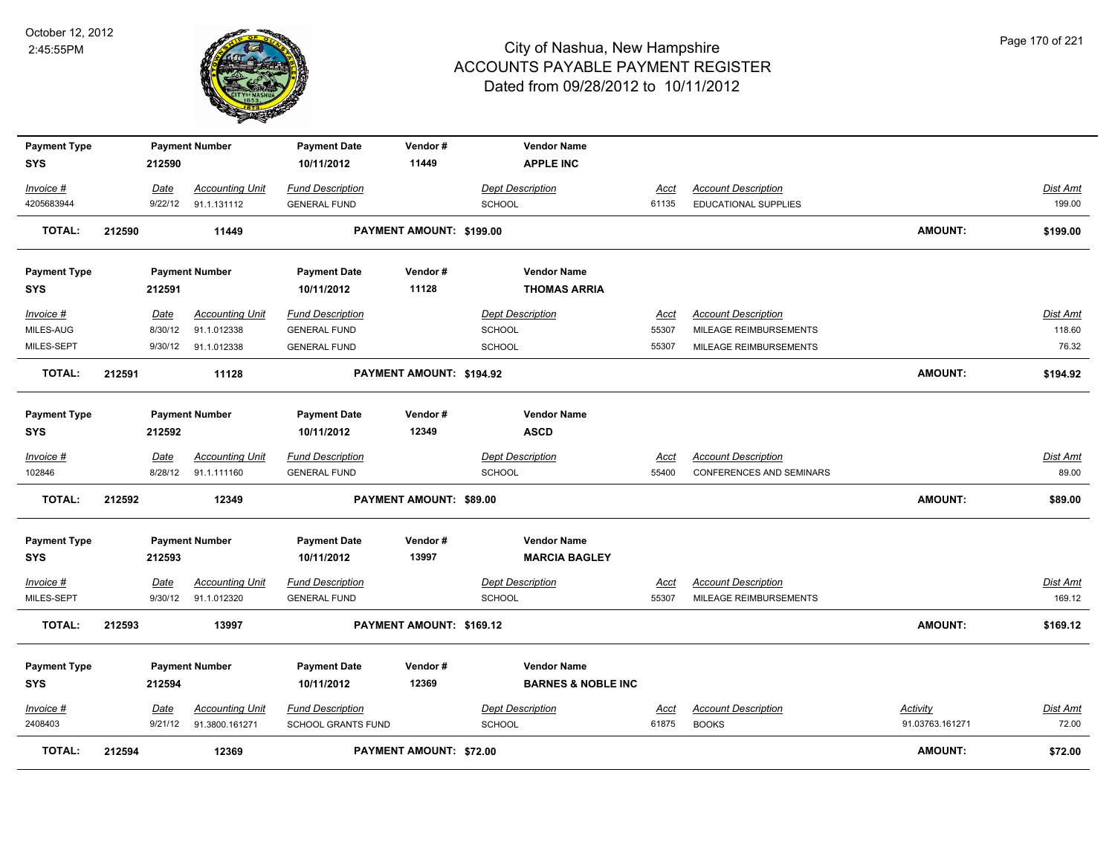

| <b>Payment Type</b>               |        |             | <b>Payment Number</b>  | <b>Payment Date</b>               | Vendor#                  | <b>Vendor Name</b>                                  |             |                                 |                 |          |
|-----------------------------------|--------|-------------|------------------------|-----------------------------------|--------------------------|-----------------------------------------------------|-------------|---------------------------------|-----------------|----------|
| <b>SYS</b>                        |        | 212590      |                        | 10/11/2012                        | 11449                    | <b>APPLE INC</b>                                    |             |                                 |                 |          |
| Invoice #                         |        | Date        | <b>Accounting Unit</b> | <b>Fund Description</b>           |                          | <b>Dept Description</b>                             | <b>Acct</b> | <b>Account Description</b>      |                 | Dist Amt |
| 4205683944                        |        | 9/22/12     | 91.1.131112            | <b>GENERAL FUND</b>               |                          | <b>SCHOOL</b>                                       | 61135       | <b>EDUCATIONAL SUPPLIES</b>     |                 | 199.00   |
| TOTAL:                            | 212590 |             | 11449                  |                                   | PAYMENT AMOUNT: \$199.00 |                                                     |             |                                 | <b>AMOUNT:</b>  | \$199.00 |
|                                   |        |             |                        |                                   |                          |                                                     |             |                                 |                 |          |
| <b>Payment Type</b>               |        |             | <b>Payment Number</b>  | <b>Payment Date</b>               | Vendor#                  | <b>Vendor Name</b>                                  |             |                                 |                 |          |
| <b>SYS</b>                        |        | 212591      |                        | 10/11/2012                        | 11128                    | <b>THOMAS ARRIA</b>                                 |             |                                 |                 |          |
| Invoice #                         |        | Date        | <b>Accounting Unit</b> | <b>Fund Description</b>           |                          | <b>Dept Description</b>                             | Acct        | <b>Account Description</b>      |                 | Dist Amt |
| MILES-AUG                         |        | 8/30/12     | 91.1.012338            | <b>GENERAL FUND</b>               |                          | <b>SCHOOL</b>                                       | 55307       | MILEAGE REIMBURSEMENTS          |                 | 118.60   |
| MILES-SEPT                        |        | 9/30/12     | 91.1.012338            | <b>GENERAL FUND</b>               |                          | <b>SCHOOL</b>                                       | 55307       | MILEAGE REIMBURSEMENTS          |                 | 76.32    |
| <b>TOTAL:</b>                     | 212591 |             | 11128                  |                                   | PAYMENT AMOUNT: \$194.92 |                                                     |             |                                 | <b>AMOUNT:</b>  | \$194.92 |
| <b>Payment Type</b>               |        |             | <b>Payment Number</b>  | <b>Payment Date</b>               | Vendor#                  | <b>Vendor Name</b>                                  |             |                                 |                 |          |
| <b>SYS</b>                        |        | 212592      |                        | 10/11/2012                        | 12349                    | <b>ASCD</b>                                         |             |                                 |                 |          |
| Invoice #                         |        | Date        | <b>Accounting Unit</b> | <b>Fund Description</b>           |                          | <b>Dept Description</b>                             | Acct        | <b>Account Description</b>      |                 | Dist Amt |
| 102846                            |        | 8/28/12     | 91.1.111160            | <b>GENERAL FUND</b>               |                          | <b>SCHOOL</b>                                       | 55400       | <b>CONFERENCES AND SEMINARS</b> |                 | 89.00    |
|                                   |        |             |                        |                                   |                          |                                                     |             |                                 |                 |          |
| <b>TOTAL:</b>                     | 212592 |             | 12349                  |                                   | PAYMENT AMOUNT: \$89.00  |                                                     |             |                                 | <b>AMOUNT:</b>  | \$89.00  |
| <b>Payment Type</b>               |        |             | <b>Payment Number</b>  | <b>Payment Date</b>               | Vendor#                  | <b>Vendor Name</b>                                  |             |                                 |                 |          |
| <b>SYS</b>                        |        | 212593      |                        | 10/11/2012                        | 13997                    | <b>MARCIA BAGLEY</b>                                |             |                                 |                 |          |
| Invoice #                         |        | <b>Date</b> | <b>Accounting Unit</b> | <b>Fund Description</b>           |                          | <b>Dept Description</b>                             | <u>Acct</u> | <b>Account Description</b>      |                 | Dist Amt |
| MILES-SEPT                        |        | 9/30/12     | 91.1.012320            | <b>GENERAL FUND</b>               |                          | <b>SCHOOL</b>                                       | 55307       | MILEAGE REIMBURSEMENTS          |                 | 169.12   |
| <b>TOTAL:</b>                     | 212593 |             | 13997                  |                                   | PAYMENT AMOUNT: \$169.12 |                                                     |             |                                 | AMOUNT:         | \$169.12 |
|                                   |        |             |                        |                                   |                          |                                                     |             |                                 |                 |          |
| <b>Payment Type</b><br><b>SYS</b> |        | 212594      | <b>Payment Number</b>  | <b>Payment Date</b><br>10/11/2012 | Vendor#<br>12369         | <b>Vendor Name</b><br><b>BARNES &amp; NOBLE INC</b> |             |                                 |                 |          |
| Invoice #                         |        | Date        | <b>Accounting Unit</b> | <b>Fund Description</b>           |                          | <b>Dept Description</b>                             | <u>Acct</u> | <b>Account Description</b>      | Activity        | Dist Amt |
| 2408403                           |        | 9/21/12     | 91.3800.161271         | <b>SCHOOL GRANTS FUND</b>         |                          | <b>SCHOOL</b>                                       | 61875       | <b>BOOKS</b>                    | 91.03763.161271 | 72.00    |
| <b>TOTAL:</b>                     | 212594 |             | 12369                  |                                   | PAYMENT AMOUNT: \$72.00  |                                                     |             |                                 | <b>AMOUNT:</b>  | \$72.00  |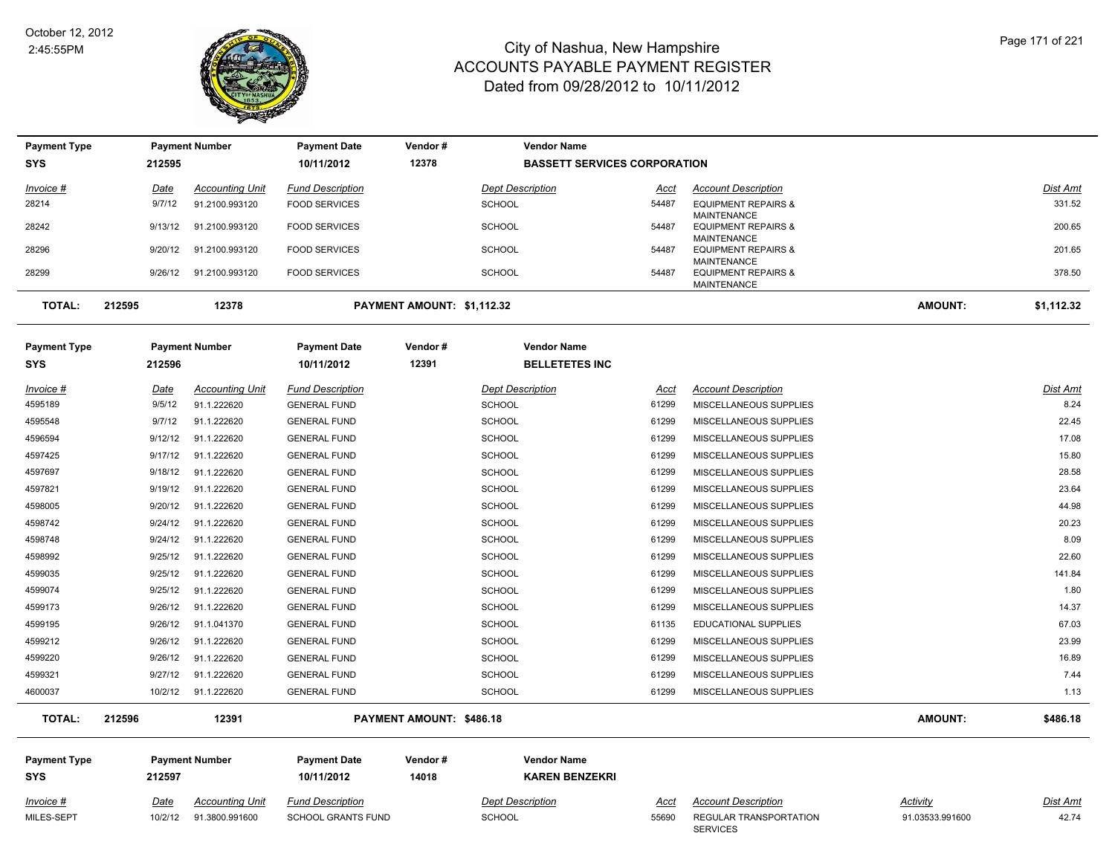

| <b>Payment Type</b>            |        |                        | <b>Payment Number</b>                    | <b>Payment Date</b>                            | Vendor#                    |                                          | <b>Vendor Name</b>                  |                      |                                                                            |                                    |                         |
|--------------------------------|--------|------------------------|------------------------------------------|------------------------------------------------|----------------------------|------------------------------------------|-------------------------------------|----------------------|----------------------------------------------------------------------------|------------------------------------|-------------------------|
| <b>SYS</b>                     |        | 212595                 |                                          | 10/11/2012                                     | 12378                      |                                          | <b>BASSETT SERVICES CORPORATION</b> |                      |                                                                            |                                    |                         |
| Invoice #                      |        | Date                   | <b>Accounting Unit</b>                   | <b>Fund Description</b>                        |                            | <b>Dept Description</b>                  |                                     | <u>Acct</u>          | <b>Account Description</b>                                                 |                                    | Dist Amt                |
| 28214                          |        | 9/7/12                 | 91.2100.993120                           | <b>FOOD SERVICES</b>                           |                            | <b>SCHOOL</b>                            |                                     | 54487                | <b>EQUIPMENT REPAIRS &amp;</b>                                             |                                    | 331.52                  |
| 28242                          |        | 9/13/12                | 91.2100.993120                           | <b>FOOD SERVICES</b>                           |                            | SCHOOL                                   |                                     | 54487                | <b>MAINTENANCE</b><br><b>EQUIPMENT REPAIRS &amp;</b><br><b>MAINTENANCE</b> |                                    | 200.65                  |
| 28296                          |        | 9/20/12                | 91.2100.993120                           | <b>FOOD SERVICES</b>                           |                            | <b>SCHOOL</b>                            |                                     | 54487                | <b>EQUIPMENT REPAIRS &amp;</b>                                             |                                    | 201.65                  |
| 28299                          |        | 9/26/12                | 91.2100.993120                           | <b>FOOD SERVICES</b>                           |                            | <b>SCHOOL</b>                            |                                     | 54487                | <b>MAINTENANCE</b><br><b>EQUIPMENT REPAIRS &amp;</b><br><b>MAINTENANCE</b> |                                    | 378.50                  |
| <b>TOTAL:</b>                  | 212595 |                        | 12378                                    |                                                | PAYMENT AMOUNT: \$1,112.32 |                                          |                                     |                      |                                                                            | <b>AMOUNT:</b>                     | \$1,112.32              |
| <b>Payment Type</b>            |        |                        | <b>Payment Number</b>                    | <b>Payment Date</b>                            | Vendor#                    |                                          | <b>Vendor Name</b>                  |                      |                                                                            |                                    |                         |
| <b>SYS</b>                     |        | 212596                 |                                          | 10/11/2012                                     | 12391                      |                                          | <b>BELLETETES INC</b>               |                      |                                                                            |                                    |                         |
| Invoice #<br>4595189           |        | Date<br>9/5/12         | <b>Accounting Unit</b><br>91.1.222620    | <b>Fund Description</b><br><b>GENERAL FUND</b> |                            | <b>Dept Description</b><br><b>SCHOOL</b> |                                     | <b>Acct</b><br>61299 | <b>Account Description</b><br>MISCELLANEOUS SUPPLIES                       |                                    | <b>Dist Amt</b><br>8.24 |
| 4595548                        |        | 9/7/12                 | 91.1.222620                              | <b>GENERAL FUND</b>                            |                            | SCHOOL                                   |                                     | 61299                | MISCELLANEOUS SUPPLIES                                                     |                                    | 22.45                   |
| 4596594                        |        | 9/12/12                | 91.1.222620                              | <b>GENERAL FUND</b>                            |                            | <b>SCHOOL</b>                            |                                     | 61299                | MISCELLANEOUS SUPPLIES                                                     |                                    | 17.08                   |
| 4597425                        |        | 9/17/12                | 91.1.222620                              | <b>GENERAL FUND</b>                            |                            | SCHOOL                                   |                                     | 61299                | MISCELLANEOUS SUPPLIES                                                     |                                    | 15.80                   |
| 4597697                        |        | 9/18/12                | 91.1.222620                              | <b>GENERAL FUND</b>                            |                            | <b>SCHOOL</b>                            |                                     | 61299                | MISCELLANEOUS SUPPLIES                                                     |                                    | 28.58                   |
| 4597821                        |        | 9/19/12                | 91.1.222620                              | <b>GENERAL FUND</b>                            |                            | <b>SCHOOL</b>                            |                                     | 61299                | MISCELLANEOUS SUPPLIES                                                     |                                    | 23.64                   |
| 4598005                        |        | 9/20/12                | 91.1.222620                              | <b>GENERAL FUND</b>                            |                            | SCHOOL                                   |                                     | 61299                | MISCELLANEOUS SUPPLIES                                                     |                                    | 44.98                   |
| 4598742                        |        | 9/24/12                | 91.1.222620                              | <b>GENERAL FUND</b>                            |                            | <b>SCHOOL</b>                            |                                     | 61299                | MISCELLANEOUS SUPPLIES                                                     |                                    | 20.23                   |
| 4598748                        |        | 9/24/12                | 91.1.222620                              | <b>GENERAL FUND</b>                            |                            | <b>SCHOOL</b>                            |                                     | 61299                | MISCELLANEOUS SUPPLIES                                                     |                                    | 8.09                    |
| 4598992                        |        | 9/25/12                | 91.1.222620                              | <b>GENERAL FUND</b>                            |                            | <b>SCHOOL</b>                            |                                     | 61299                | MISCELLANEOUS SUPPLIES                                                     |                                    | 22.60                   |
| 4599035                        |        | 9/25/12                | 91.1.222620                              | <b>GENERAL FUND</b>                            |                            | <b>SCHOOL</b>                            |                                     | 61299                | MISCELLANEOUS SUPPLIES                                                     |                                    | 141.84                  |
| 4599074                        |        | 9/25/12                | 91.1.222620                              | <b>GENERAL FUND</b>                            |                            | SCHOOL                                   |                                     | 61299                | MISCELLANEOUS SUPPLIES                                                     |                                    | 1.80                    |
| 4599173                        |        | 9/26/12                | 91.1.222620                              | <b>GENERAL FUND</b>                            |                            | <b>SCHOOL</b>                            |                                     | 61299                | MISCELLANEOUS SUPPLIES                                                     |                                    | 14.37                   |
| 4599195                        |        | 9/26/12                | 91.1.041370                              | <b>GENERAL FUND</b>                            |                            | <b>SCHOOL</b>                            |                                     | 61135                | EDUCATIONAL SUPPLIES                                                       |                                    | 67.03                   |
| 4599212                        |        | 9/26/12                | 91.1.222620                              | <b>GENERAL FUND</b>                            |                            | SCHOOL                                   |                                     | 61299                | MISCELLANEOUS SUPPLIES                                                     |                                    | 23.99                   |
| 4599220                        |        | 9/26/12                | 91.1.222620                              | <b>GENERAL FUND</b>                            |                            | <b>SCHOOL</b>                            |                                     | 61299                | MISCELLANEOUS SUPPLIES                                                     |                                    | 16.89                   |
| 4599321                        |        | 9/27/12                | 91.1.222620                              | <b>GENERAL FUND</b>                            |                            | SCHOOL                                   |                                     | 61299                | MISCELLANEOUS SUPPLIES                                                     |                                    | 7.44                    |
| 4600037                        |        |                        | 10/2/12 91.1.222620                      | <b>GENERAL FUND</b>                            |                            | <b>SCHOOL</b>                            |                                     | 61299                | MISCELLANEOUS SUPPLIES                                                     |                                    | 1.13                    |
| <b>TOTAL:</b>                  | 212596 |                        | 12391                                    |                                                | PAYMENT AMOUNT: \$486.18   |                                          |                                     |                      |                                                                            | AMOUNT:                            | \$486.18                |
| <b>Payment Type</b>            |        |                        | <b>Payment Number</b>                    | <b>Payment Date</b>                            | Vendor#                    |                                          | <b>Vendor Name</b>                  |                      |                                                                            |                                    |                         |
| <b>SYS</b>                     |        | 212597                 |                                          | 10/11/2012                                     | 14018                      |                                          | <b>KAREN BENZEKRI</b>               |                      |                                                                            |                                    |                         |
| <u>Invoice #</u><br>MILES-SEPT |        | <b>Date</b><br>10/2/12 | <b>Accounting Unit</b><br>91.3800.991600 | <b>Fund Description</b><br>SCHOOL GRANTS FUND  |                            | <b>Dept Description</b><br><b>SCHOOL</b> |                                     | <u>Acct</u><br>55690 | <b>Account Description</b><br>REGULAR TRANSPORTATION<br><b>SERVICES</b>    | <b>Activity</b><br>91.03533.991600 | Dist Amt<br>42.74       |
|                                |        |                        |                                          |                                                |                            |                                          |                                     |                      |                                                                            |                                    |                         |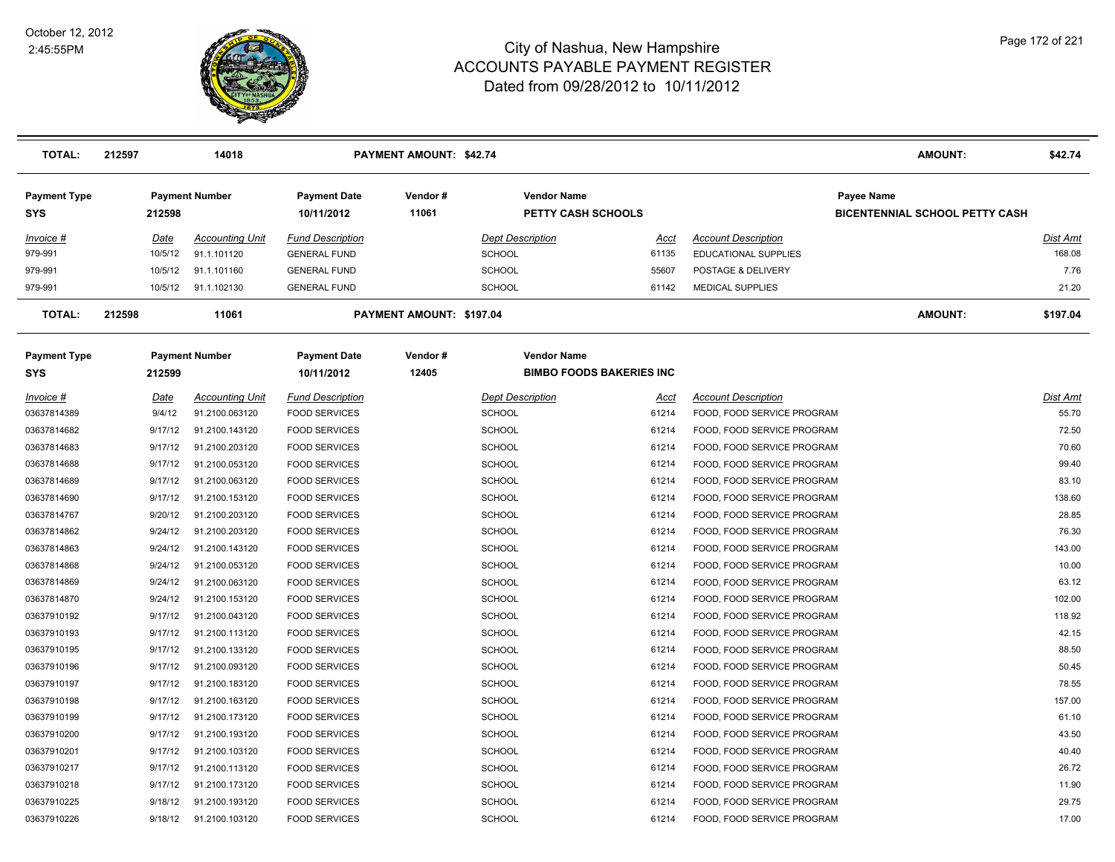

| <b>TOTAL:</b>                     | 212597      | 14018                  |                                   | <b>PAYMENT AMOUNT: \$42.74</b> |                                                 |                                 |                             | AMOUNT:                                                    | \$42.74  |
|-----------------------------------|-------------|------------------------|-----------------------------------|--------------------------------|-------------------------------------------------|---------------------------------|-----------------------------|------------------------------------------------------------|----------|
| <b>Payment Type</b><br><b>SYS</b> | 212598      | <b>Payment Number</b>  | <b>Payment Date</b><br>10/11/2012 | Vendor#<br>11061               | <b>Vendor Name</b><br><b>PETTY CASH SCHOOLS</b> |                                 |                             | <b>Payee Name</b><br><b>BICENTENNIAL SCHOOL PETTY CASH</b> |          |
| $Invoice$ #                       | <u>Date</u> | <b>Accounting Unit</b> | <b>Fund Description</b>           |                                | <b>Dept Description</b>                         | Acct                            | <b>Account Description</b>  |                                                            | Dist Amt |
| 979-991                           | 10/5/12     | 91.1.101120            | <b>GENERAL FUND</b>               |                                | <b>SCHOOL</b>                                   | 61135                           | <b>EDUCATIONAL SUPPLIES</b> |                                                            | 168.08   |
| 979-991                           | 10/5/12     | 91.1.101160            | <b>GENERAL FUND</b>               |                                | <b>SCHOOL</b>                                   | 55607                           | POSTAGE & DELIVERY          |                                                            | 7.76     |
| 979-991                           | 10/5/12     | 91.1.102130            | <b>GENERAL FUND</b>               |                                | SCHOOL                                          | 61142                           | <b>MEDICAL SUPPLIES</b>     |                                                            | 21.20    |
| <b>TOTAL:</b>                     | 212598      | 11061                  |                                   | PAYMENT AMOUNT: \$197.04       |                                                 |                                 |                             | <b>AMOUNT:</b>                                             | \$197.04 |
| <b>Payment Type</b><br><b>SYS</b> | 212599      | <b>Payment Number</b>  | <b>Payment Date</b><br>10/11/2012 | Vendor#<br>12405               | <b>Vendor Name</b>                              | <b>BIMBO FOODS BAKERIES INC</b> |                             |                                                            |          |
| Invoice #                         | Date        | <b>Accounting Unit</b> | <b>Fund Description</b>           |                                | <b>Dept Description</b>                         | Acct                            | <b>Account Description</b>  |                                                            | Dist Amt |
| 03637814389                       | 9/4/12      | 91.2100.063120         | <b>FOOD SERVICES</b>              |                                | <b>SCHOOL</b>                                   | 61214                           | FOOD, FOOD SERVICE PROGRAM  |                                                            | 55.70    |
| 03637814682                       | 9/17/12     | 91.2100.143120         | <b>FOOD SERVICES</b>              |                                | <b>SCHOOL</b>                                   | 61214                           | FOOD, FOOD SERVICE PROGRAM  |                                                            | 72.50    |
| 03637814683                       | 9/17/12     | 91.2100.203120         | <b>FOOD SERVICES</b>              |                                | <b>SCHOOL</b>                                   | 61214                           | FOOD, FOOD SERVICE PROGRAM  |                                                            | 70.60    |
| 03637814688                       | 9/17/12     | 91.2100.053120         | <b>FOOD SERVICES</b>              |                                | <b>SCHOOL</b>                                   | 61214                           | FOOD, FOOD SERVICE PROGRAM  |                                                            | 99.40    |
| 03637814689                       | 9/17/12     | 91.2100.063120         | <b>FOOD SERVICES</b>              |                                | <b>SCHOOL</b>                                   | 61214                           | FOOD, FOOD SERVICE PROGRAM  |                                                            | 83.10    |
| 03637814690                       | 9/17/12     | 91.2100.153120         | <b>FOOD SERVICES</b>              |                                | <b>SCHOOL</b>                                   | 61214                           | FOOD, FOOD SERVICE PROGRAM  |                                                            | 138.60   |
| 03637814767                       | 9/20/12     | 91.2100.203120         | <b>FOOD SERVICES</b>              |                                | <b>SCHOOL</b>                                   | 61214                           | FOOD, FOOD SERVICE PROGRAM  |                                                            | 28.85    |
| 03637814862                       | 9/24/12     | 91.2100.203120         | <b>FOOD SERVICES</b>              |                                | <b>SCHOOL</b>                                   | 61214                           | FOOD, FOOD SERVICE PROGRAM  |                                                            | 76.30    |
| 03637814863                       | 9/24/12     | 91.2100.143120         | <b>FOOD SERVICES</b>              |                                | <b>SCHOOL</b>                                   | 61214                           | FOOD, FOOD SERVICE PROGRAM  |                                                            | 143.00   |
| 03637814868                       | 9/24/12     | 91.2100.053120         | <b>FOOD SERVICES</b>              |                                | <b>SCHOOL</b>                                   | 61214                           | FOOD, FOOD SERVICE PROGRAM  |                                                            | 10.00    |
| 03637814869                       | 9/24/12     | 91.2100.063120         | <b>FOOD SERVICES</b>              |                                | <b>SCHOOL</b>                                   | 61214                           | FOOD, FOOD SERVICE PROGRAM  |                                                            | 63.12    |
| 03637814870                       | 9/24/12     | 91.2100.153120         | <b>FOOD SERVICES</b>              |                                | <b>SCHOOL</b>                                   | 61214                           | FOOD, FOOD SERVICE PROGRAM  |                                                            | 102.00   |
| 03637910192                       | 9/17/12     | 91.2100.043120         | <b>FOOD SERVICES</b>              |                                | <b>SCHOOL</b>                                   | 61214                           | FOOD, FOOD SERVICE PROGRAM  |                                                            | 118.92   |
| 03637910193                       | 9/17/12     | 91.2100.113120         | <b>FOOD SERVICES</b>              |                                | <b>SCHOOL</b>                                   | 61214                           | FOOD, FOOD SERVICE PROGRAM  |                                                            | 42.15    |
| 03637910195                       | 9/17/12     | 91.2100.133120         | <b>FOOD SERVICES</b>              |                                | <b>SCHOOL</b>                                   | 61214                           | FOOD, FOOD SERVICE PROGRAM  |                                                            | 88.50    |
| 03637910196                       | 9/17/12     | 91.2100.093120         | <b>FOOD SERVICES</b>              |                                | <b>SCHOOL</b>                                   | 61214                           | FOOD, FOOD SERVICE PROGRAM  |                                                            | 50.45    |
| 03637910197                       | 9/17/12     | 91.2100.183120         | <b>FOOD SERVICES</b>              |                                | <b>SCHOOL</b>                                   | 61214                           | FOOD, FOOD SERVICE PROGRAM  |                                                            | 78.55    |
| 03637910198                       | 9/17/12     | 91.2100.163120         | <b>FOOD SERVICES</b>              |                                | <b>SCHOOL</b>                                   | 61214                           | FOOD, FOOD SERVICE PROGRAM  |                                                            | 157.00   |
| 03637910199                       | 9/17/12     | 91.2100.173120         | <b>FOOD SERVICES</b>              |                                | <b>SCHOOL</b>                                   | 61214                           | FOOD, FOOD SERVICE PROGRAM  |                                                            | 61.10    |
| 03637910200                       | 9/17/12     | 91.2100.193120         | <b>FOOD SERVICES</b>              |                                | <b>SCHOOL</b>                                   | 61214                           | FOOD, FOOD SERVICE PROGRAM  |                                                            | 43.50    |
| 03637910201                       | 9/17/12     | 91.2100.103120         | <b>FOOD SERVICES</b>              |                                | <b>SCHOOL</b>                                   | 61214                           | FOOD, FOOD SERVICE PROGRAM  |                                                            | 40.40    |
| 03637910217                       | 9/17/12     | 91.2100.113120         | <b>FOOD SERVICES</b>              |                                | <b>SCHOOL</b>                                   | 61214                           | FOOD, FOOD SERVICE PROGRAM  |                                                            | 26.72    |
| 03637910218                       | 9/17/12     | 91.2100.173120         | <b>FOOD SERVICES</b>              |                                | <b>SCHOOL</b>                                   | 61214                           | FOOD, FOOD SERVICE PROGRAM  |                                                            | 11.90    |
| 03637910225                       | 9/18/12     | 91.2100.193120         | <b>FOOD SERVICES</b>              |                                | SCHOOL                                          | 61214                           | FOOD, FOOD SERVICE PROGRAM  |                                                            | 29.75    |
| 03637910226                       | 9/18/12     | 91.2100.103120         | <b>FOOD SERVICES</b>              |                                | SCHOOL                                          | 61214                           | FOOD, FOOD SERVICE PROGRAM  |                                                            | 17.00    |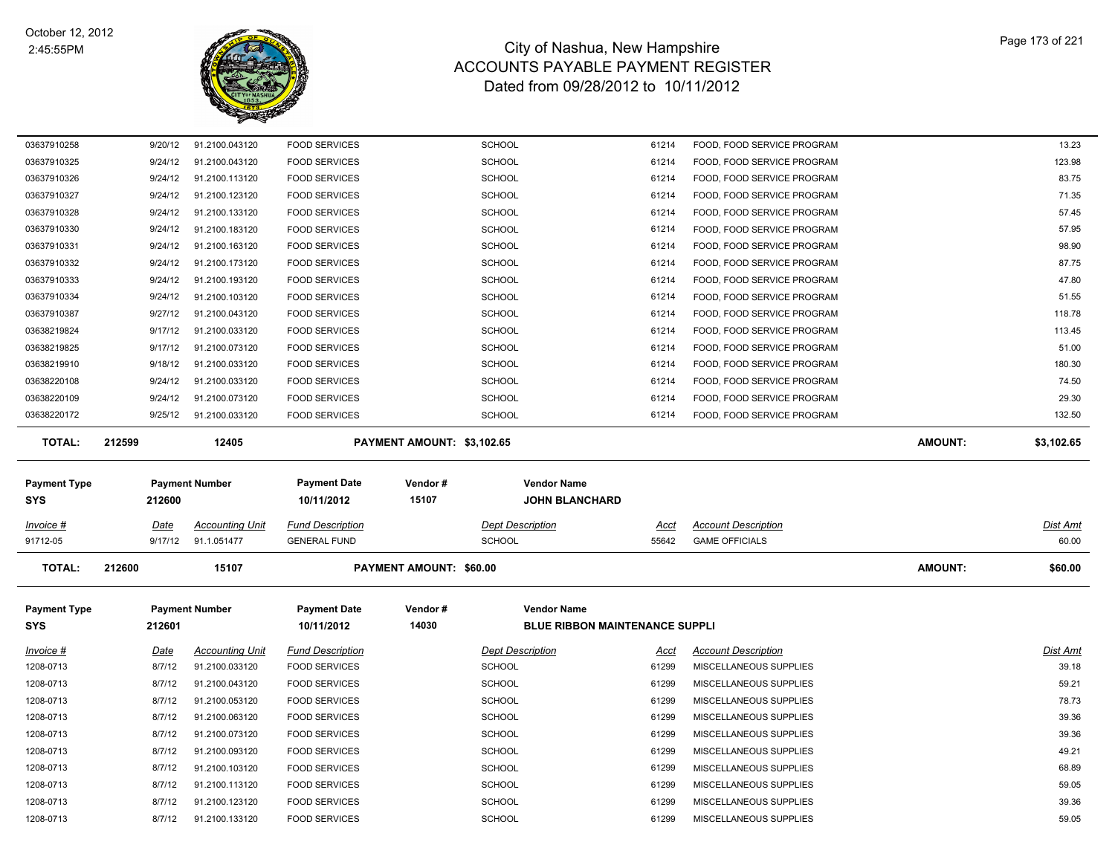

| 03637910258            | 9/20/12          | 91.2100.043120                   | <b>FOOD SERVICES</b>                         |                            | <b>SCHOOL</b>                         | 61214          | FOOD, FOOD SERVICE PROGRAM                       |                | 13.23          |
|------------------------|------------------|----------------------------------|----------------------------------------------|----------------------------|---------------------------------------|----------------|--------------------------------------------------|----------------|----------------|
| 03637910325            | 9/24/12          | 91.2100.043120                   | <b>FOOD SERVICES</b>                         |                            | <b>SCHOOL</b>                         | 61214          | FOOD, FOOD SERVICE PROGRAM                       |                | 123.98         |
| 03637910326            | 9/24/12          | 91.2100.113120                   | <b>FOOD SERVICES</b>                         |                            | <b>SCHOOL</b>                         | 61214          | FOOD, FOOD SERVICE PROGRAM                       |                | 83.75          |
| 03637910327            | 9/24/12          | 91.2100.123120                   | <b>FOOD SERVICES</b>                         |                            | SCHOOL                                | 61214          | FOOD, FOOD SERVICE PROGRAM                       |                | 71.35          |
| 03637910328            | 9/24/12          | 91.2100.133120                   | <b>FOOD SERVICES</b>                         |                            | SCHOOL                                | 61214          | FOOD, FOOD SERVICE PROGRAM                       |                | 57.45          |
| 03637910330            | 9/24/12          | 91.2100.183120                   | <b>FOOD SERVICES</b>                         |                            | SCHOOL                                | 61214          | FOOD, FOOD SERVICE PROGRAM                       |                | 57.95          |
| 03637910331            | 9/24/12          | 91.2100.163120                   | <b>FOOD SERVICES</b>                         |                            | <b>SCHOOL</b>                         | 61214          | FOOD, FOOD SERVICE PROGRAM                       |                | 98.90          |
| 03637910332            | 9/24/12          | 91.2100.173120                   | <b>FOOD SERVICES</b>                         |                            | SCHOOL                                | 61214          | FOOD, FOOD SERVICE PROGRAM                       |                | 87.75          |
| 03637910333            | 9/24/12          | 91.2100.193120                   | <b>FOOD SERVICES</b>                         |                            | SCHOOL                                | 61214          | FOOD, FOOD SERVICE PROGRAM                       |                | 47.80          |
| 03637910334            | 9/24/12          | 91.2100.103120                   | <b>FOOD SERVICES</b>                         |                            | SCHOOL                                | 61214          | FOOD, FOOD SERVICE PROGRAM                       |                | 51.55          |
| 03637910387            | 9/27/12          | 91.2100.043120                   | <b>FOOD SERVICES</b>                         |                            | <b>SCHOOL</b>                         | 61214          | FOOD, FOOD SERVICE PROGRAM                       |                | 118.78         |
| 03638219824            | 9/17/12          | 91.2100.033120                   | <b>FOOD SERVICES</b>                         |                            | SCHOOL                                | 61214          | FOOD, FOOD SERVICE PROGRAM                       |                | 113.45         |
| 03638219825            | 9/17/12          | 91.2100.073120                   | <b>FOOD SERVICES</b>                         |                            | SCHOOL                                | 61214          | FOOD, FOOD SERVICE PROGRAM                       |                | 51.00          |
| 03638219910            | 9/18/12          | 91.2100.033120                   | <b>FOOD SERVICES</b>                         |                            | <b>SCHOOL</b>                         | 61214          | FOOD, FOOD SERVICE PROGRAM                       |                | 180.30         |
| 03638220108            | 9/24/12          | 91.2100.033120                   | <b>FOOD SERVICES</b>                         |                            | <b>SCHOOL</b>                         | 61214          | FOOD, FOOD SERVICE PROGRAM                       |                | 74.50          |
| 03638220109            | 9/24/12          | 91.2100.073120                   | <b>FOOD SERVICES</b>                         |                            | <b>SCHOOL</b>                         | 61214          | FOOD, FOOD SERVICE PROGRAM                       |                | 29.30          |
| 03638220172            | 9/25/12          | 91.2100.033120                   | <b>FOOD SERVICES</b>                         |                            | <b>SCHOOL</b>                         | 61214          | FOOD, FOOD SERVICE PROGRAM                       |                | 132.50         |
| TOTAL:                 | 212599           | 12405                            |                                              | PAYMENT AMOUNT: \$3,102.65 |                                       |                |                                                  | <b>AMOUNT:</b> | \$3,102.65     |
| <b>Payment Type</b>    |                  |                                  |                                              |                            |                                       |                |                                                  |                |                |
|                        |                  | <b>Payment Number</b>            | <b>Payment Date</b>                          | Vendor#                    | <b>Vendor Name</b>                    |                |                                                  |                |                |
| <b>SYS</b>             | 212600           |                                  | 10/11/2012                                   | 15107                      | <b>JOHN BLANCHARD</b>                 |                |                                                  |                |                |
| <i>Invoice</i> #       | <u>Date</u>      | <b>Accounting Unit</b>           | <b>Fund Description</b>                      |                            | <b>Dept Description</b>               | Acct           | <b>Account Description</b>                       |                | Dist Amt       |
| 91712-05               | 9/17/12          | 91.1.051477                      | <b>GENERAL FUND</b>                          |                            | SCHOOL                                | 55642          | <b>GAME OFFICIALS</b>                            |                | 60.00          |
| <b>TOTAL:</b>          | 212600           | 15107                            |                                              | PAYMENT AMOUNT: \$60.00    |                                       |                |                                                  | <b>AMOUNT:</b> | \$60.00        |
|                        |                  |                                  |                                              |                            |                                       |                |                                                  |                |                |
| <b>Payment Type</b>    |                  | <b>Payment Number</b>            | <b>Payment Date</b>                          | Vendor#                    | <b>Vendor Name</b>                    |                |                                                  |                |                |
| <b>SYS</b>             | 212601           |                                  | 10/11/2012                                   | 14030                      | <b>BLUE RIBBON MAINTENANCE SUPPLI</b> |                |                                                  |                |                |
| Invoice #              | <u>Date</u>      | <b>Accounting Unit</b>           | <b>Fund Description</b>                      |                            | <b>Dept Description</b>               | Acct           | <b>Account Description</b>                       |                | Dist Amt       |
| 1208-0713              | 8/7/12           | 91.2100.033120                   | <b>FOOD SERVICES</b>                         |                            | SCHOOL                                | 61299          | MISCELLANEOUS SUPPLIES                           |                | 39.18          |
| 1208-0713              | 8/7/12           | 91.2100.043120                   | <b>FOOD SERVICES</b>                         |                            | SCHOOL                                | 61299          | MISCELLANEOUS SUPPLIES                           |                | 59.21          |
| 1208-0713              | 8/7/12           | 91.2100.053120                   | <b>FOOD SERVICES</b>                         |                            | <b>SCHOOL</b>                         | 61299          | MISCELLANEOUS SUPPLIES                           |                | 78.73          |
| 1208-0713              | 8/7/12           | 91.2100.063120                   | <b>FOOD SERVICES</b>                         |                            | <b>SCHOOL</b>                         | 61299          | MISCELLANEOUS SUPPLIES                           |                | 39.36          |
| 1208-0713              | 8/7/12           | 91.2100.073120                   | <b>FOOD SERVICES</b>                         |                            | <b>SCHOOL</b>                         | 61299          | MISCELLANEOUS SUPPLIES                           |                | 39.36          |
| 1208-0713              | 8/7/12           | 91.2100.093120                   | <b>FOOD SERVICES</b>                         |                            | <b>SCHOOL</b>                         | 61299          | MISCELLANEOUS SUPPLIES                           |                | 49.21          |
| 1208-0713              | 8/7/12           | 91.2100.103120                   | <b>FOOD SERVICES</b>                         |                            | <b>SCHOOL</b>                         | 61299          | MISCELLANEOUS SUPPLIES                           |                | 68.89          |
| 1208-0713              | 8/7/12           | 91.2100.113120                   | <b>FOOD SERVICES</b>                         |                            | <b>SCHOOL</b>                         | 61299          | MISCELLANEOUS SUPPLIES                           |                | 59.05          |
| 1208-0713<br>1208-0713 | 8/7/12<br>8/7/12 | 91.2100.123120<br>91.2100.133120 | <b>FOOD SERVICES</b><br><b>FOOD SERVICES</b> |                            | <b>SCHOOL</b><br>SCHOOL               | 61299<br>61299 | MISCELLANEOUS SUPPLIES<br>MISCELLANEOUS SUPPLIES |                | 39.36<br>59.05 |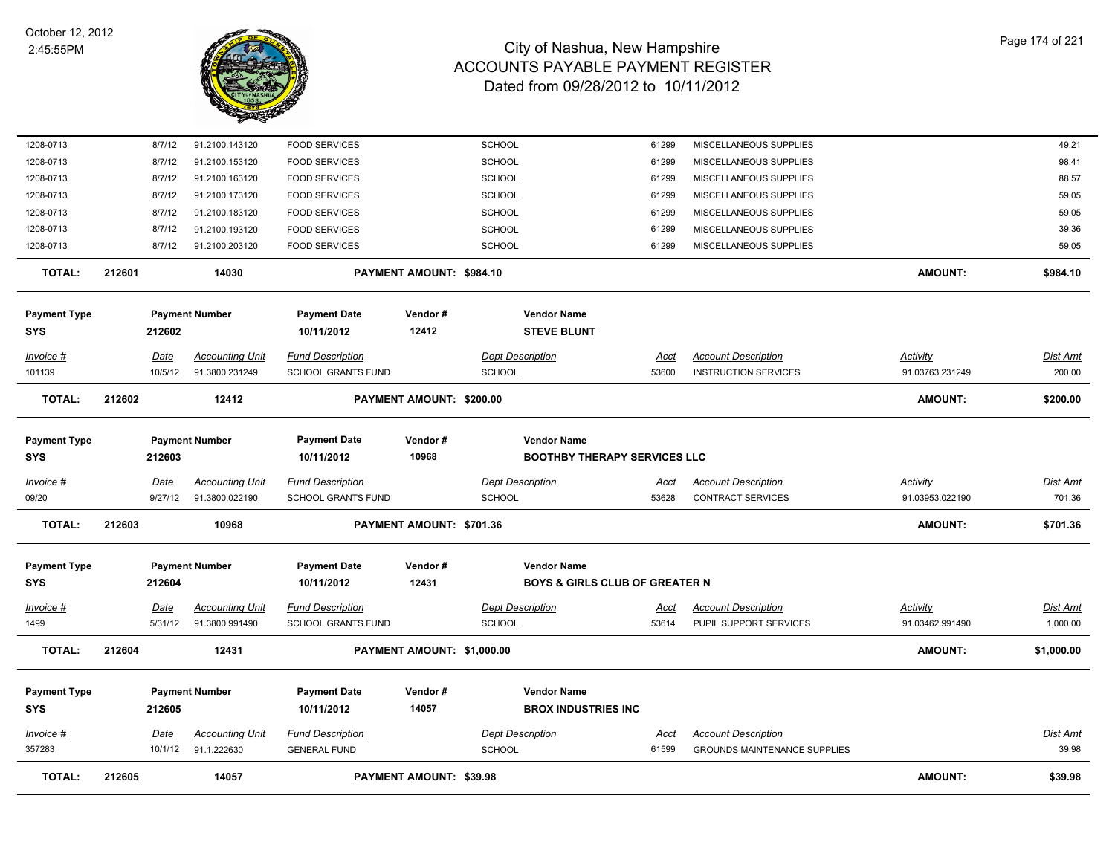

| <b>TOTAL:</b>                     | 212605          | 14057                                    |                                                      | <b>PAYMENT AMOUNT: \$39.98</b> |                                                                 |                      |                                                                   | <b>AMOUNT:</b>                     | \$39.98                     |
|-----------------------------------|-----------------|------------------------------------------|------------------------------------------------------|--------------------------------|-----------------------------------------------------------------|----------------------|-------------------------------------------------------------------|------------------------------------|-----------------------------|
| <u> Invoice #</u><br>357283       | Date<br>10/1/12 | <b>Accounting Unit</b><br>91.1.222630    | <b>Fund Description</b><br><b>GENERAL FUND</b>       |                                | <b>Dept Description</b><br><b>SCHOOL</b>                        | <u>Acct</u><br>61599 | <b>Account Description</b><br><b>GROUNDS MAINTENANCE SUPPLIES</b> |                                    | <b>Dist Amt</b><br>39.98    |
| <b>Payment Type</b><br><b>SYS</b> | 212605          | <b>Payment Number</b>                    | <b>Payment Date</b><br>10/11/2012                    | Vendor#<br>14057               | <b>Vendor Name</b><br><b>BROX INDUSTRIES INC</b>                |                      |                                                                   |                                    |                             |
| <b>TOTAL:</b>                     | 212604          | 12431                                    |                                                      | PAYMENT AMOUNT: \$1,000.00     |                                                                 |                      |                                                                   | AMOUNT:                            | \$1,000.00                  |
| <u> Invoice #</u><br>1499         | Date<br>5/31/12 | <b>Accounting Unit</b><br>91.3800.991490 | <b>Fund Description</b><br><b>SCHOOL GRANTS FUND</b> |                                | <b>Dept Description</b><br><b>SCHOOL</b>                        | <u>Acct</u><br>53614 | <b>Account Description</b><br>PUPIL SUPPORT SERVICES              | <b>Activity</b><br>91.03462.991490 | <u>Dist Amt</u><br>1,000.00 |
| <b>Payment Type</b><br><b>SYS</b> | 212604          | <b>Payment Number</b>                    | <b>Payment Date</b><br>10/11/2012                    | Vendor#<br>12431               | <b>Vendor Name</b><br><b>BOYS &amp; GIRLS CLUB OF GREATER N</b> |                      |                                                                   |                                    |                             |
| <b>TOTAL:</b>                     | 212603          | 10968                                    |                                                      | PAYMENT AMOUNT: \$701.36       |                                                                 |                      |                                                                   | AMOUNT:                            | \$701.36                    |
| Invoice #<br>09/20                | Date<br>9/27/12 | <b>Accounting Unit</b><br>91.3800.022190 | <b>Fund Description</b><br>SCHOOL GRANTS FUND        |                                | <b>Dept Description</b><br>SCHOOL                               | Acct<br>53628        | <b>Account Description</b><br><b>CONTRACT SERVICES</b>            | Activity<br>91.03953.022190        | <b>Dist Amt</b><br>701.36   |
| Payment Type<br>SYS               | 212603          | <b>Payment Number</b>                    | <b>Payment Date</b><br>10/11/2012                    | Vendor#<br>10968               | <b>Vendor Name</b><br><b>BOOTHBY THERAPY SERVICES LLC</b>       |                      |                                                                   |                                    |                             |
| <b>TOTAL:</b>                     | 212602          | 12412                                    |                                                      | PAYMENT AMOUNT: \$200.00       |                                                                 |                      |                                                                   | <b>AMOUNT:</b>                     | \$200.00                    |
| 101139                            | 10/5/12         | 91.3800.231249                           | SCHOOL GRANTS FUND                                   |                                | SCHOOL                                                          | 53600                | <b>INSTRUCTION SERVICES</b>                                       | 91.03763.231249                    | 200.00                      |
| Invoice #                         | Date            | <b>Accounting Unit</b>                   | <b>Fund Description</b>                              |                                | <b>Dept Description</b>                                         | Acct                 | <b>Account Description</b>                                        | Activity                           | <b>Dist Amt</b>             |
| <b>Payment Type</b><br>SYS        | 212602          | <b>Payment Number</b>                    | <b>Payment Date</b><br>10/11/2012                    | Vendor#<br>12412               | <b>Vendor Name</b><br><b>STEVE BLUNT</b>                        |                      |                                                                   |                                    |                             |
| <b>TOTAL:</b>                     | 212601          | 14030                                    |                                                      | PAYMENT AMOUNT: \$984.10       |                                                                 |                      |                                                                   | <b>AMOUNT:</b>                     | \$984.10                    |
| 1208-0713                         | 8/7/12          | 91.2100.203120                           | <b>FOOD SERVICES</b>                                 |                                | <b>SCHOOL</b>                                                   | 61299                | MISCELLANEOUS SUPPLIES                                            |                                    | 59.05                       |
| 1208-0713                         | 8/7/12          | 91.2100.193120                           | <b>FOOD SERVICES</b>                                 |                                | <b>SCHOOL</b>                                                   | 61299                | MISCELLANEOUS SUPPLIES                                            |                                    | 39.36                       |
| 1208-0713                         | 8/7/12          | 91.2100.183120                           | <b>FOOD SERVICES</b>                                 |                                | <b>SCHOOL</b>                                                   | 61299                | MISCELLANEOUS SUPPLIES                                            |                                    | 59.05                       |
| 1208-0713                         | 8/7/12          | 91.2100.173120                           | <b>FOOD SERVICES</b>                                 |                                | <b>SCHOOL</b>                                                   | 61299                | MISCELLANEOUS SUPPLIES                                            |                                    | 59.05                       |
| 1208-0713                         | 8/7/12          | 91.2100.163120                           | <b>FOOD SERVICES</b>                                 |                                | <b>SCHOOL</b>                                                   | 61299                | MISCELLANEOUS SUPPLIES                                            |                                    | 88.57                       |
| 1208-0713                         | 8/7/12          | 91.2100.153120                           | <b>FOOD SERVICES</b>                                 |                                | <b>SCHOOL</b>                                                   | 61299                | MISCELLANEOUS SUPPLIES                                            |                                    | 98.41                       |
| 1208-0713                         | 8/7/12          | 91.2100.143120                           | <b>FOOD SERVICES</b>                                 |                                | <b>SCHOOL</b>                                                   | 61299                | MISCELLANEOUS SUPPLIES                                            |                                    | 49.21                       |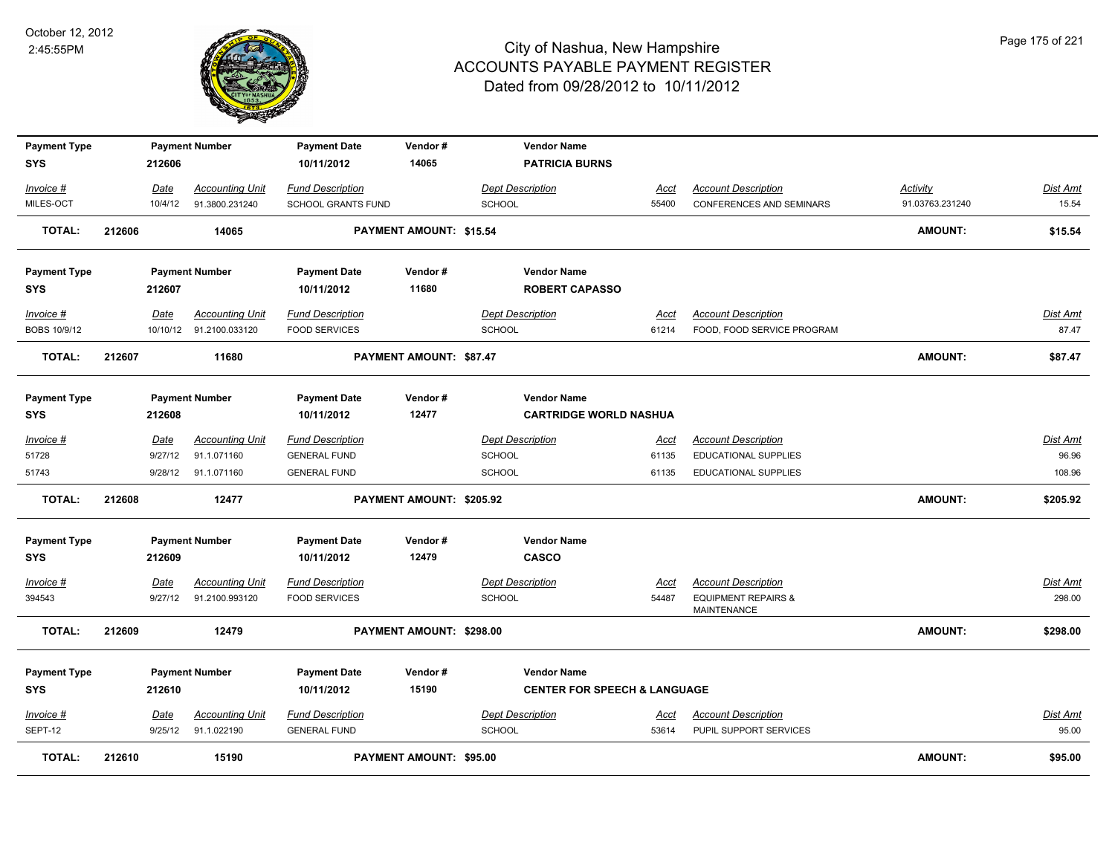

| <b>Payment Type</b><br><b>SYS</b> |        | 212606  | <b>Payment Number</b>   | <b>Payment Date</b><br>10/11/2012 | Vendor#<br>14065               | <b>Vendor Name</b><br><b>PATRICIA BURNS</b>                   |             |                                               |                 |          |
|-----------------------------------|--------|---------|-------------------------|-----------------------------------|--------------------------------|---------------------------------------------------------------|-------------|-----------------------------------------------|-----------------|----------|
| Invoice #                         |        | Date    | <b>Accounting Unit</b>  | <b>Fund Description</b>           |                                | <b>Dept Description</b>                                       | Acct        | <b>Account Description</b>                    | Activity        | Dist Amt |
| MILES-OCT                         |        | 10/4/12 | 91.3800.231240          | SCHOOL GRANTS FUND                |                                | SCHOOL                                                        | 55400       | <b>CONFERENCES AND SEMINARS</b>               | 91.03763.231240 | 15.54    |
| TOTAL:                            | 212606 |         | 14065                   |                                   | PAYMENT AMOUNT: \$15.54        |                                                               |             |                                               | AMOUNT:         | \$15.54  |
| <b>Payment Type</b>               |        |         | <b>Payment Number</b>   | <b>Payment Date</b>               | Vendor#                        | <b>Vendor Name</b>                                            |             |                                               |                 |          |
| <b>SYS</b>                        |        | 212607  |                         | 10/11/2012                        | 11680                          | <b>ROBERT CAPASSO</b>                                         |             |                                               |                 |          |
| Invoice #                         |        | Date    | <b>Accounting Unit</b>  | <b>Fund Description</b>           |                                | <b>Dept Description</b>                                       | Acct        | <b>Account Description</b>                    |                 | Dist Amt |
| BOBS 10/9/12                      |        |         | 10/10/12 91.2100.033120 | <b>FOOD SERVICES</b>              |                                | <b>SCHOOL</b>                                                 | 61214       | FOOD, FOOD SERVICE PROGRAM                    |                 | 87.47    |
| <b>TOTAL:</b>                     | 212607 |         | 11680                   |                                   | PAYMENT AMOUNT: \$87.47        |                                                               |             |                                               | AMOUNT:         | \$87.47  |
| <b>Payment Type</b><br><b>SYS</b> |        | 212608  | <b>Payment Number</b>   | <b>Payment Date</b><br>10/11/2012 | Vendor#<br>12477               | <b>Vendor Name</b><br><b>CARTRIDGE WORLD NASHUA</b>           |             |                                               |                 |          |
| Invoice #                         |        | Date    | <b>Accounting Unit</b>  | <b>Fund Description</b>           |                                | <b>Dept Description</b>                                       | Acct        | <b>Account Description</b>                    |                 | Dist Amt |
| 51728                             |        | 9/27/12 | 91.1.071160             | <b>GENERAL FUND</b>               |                                | SCHOOL                                                        | 61135       | <b>EDUCATIONAL SUPPLIES</b>                   |                 | 96.96    |
| 51743                             |        | 9/28/12 | 91.1.071160             | <b>GENERAL FUND</b>               |                                | SCHOOL                                                        | 61135       | <b>EDUCATIONAL SUPPLIES</b>                   |                 | 108.96   |
| <b>TOTAL:</b>                     | 212608 |         | 12477                   |                                   | PAYMENT AMOUNT: \$205.92       |                                                               |             |                                               | AMOUNT:         | \$205.92 |
| <b>Payment Type</b><br><b>SYS</b> |        | 212609  | <b>Payment Number</b>   | <b>Payment Date</b><br>10/11/2012 | Vendor#<br>12479               | <b>Vendor Name</b><br><b>CASCO</b>                            |             |                                               |                 |          |
| $Invoice$ #                       |        | Date    | <b>Accounting Unit</b>  | <b>Fund Description</b>           |                                | <b>Dept Description</b>                                       | <b>Acct</b> | <b>Account Description</b>                    |                 | Dist Amt |
| 394543                            |        | 9/27/12 | 91.2100.993120          | <b>FOOD SERVICES</b>              |                                | <b>SCHOOL</b>                                                 | 54487       | <b>EQUIPMENT REPAIRS &amp;</b><br>MAINTENANCE |                 | 298.00   |
| TOTAL:                            | 212609 |         | 12479                   |                                   | PAYMENT AMOUNT: \$298.00       |                                                               |             |                                               | <b>AMOUNT:</b>  | \$298.00 |
| <b>Payment Type</b><br><b>SYS</b> |        | 212610  | <b>Payment Number</b>   | <b>Payment Date</b><br>10/11/2012 | Vendor#<br>15190               | <b>Vendor Name</b><br><b>CENTER FOR SPEECH &amp; LANGUAGE</b> |             |                                               |                 |          |
| $Invoice$ #                       |        | Date    | <b>Accounting Unit</b>  | <b>Fund Description</b>           |                                | <b>Dept Description</b>                                       | <u>Acct</u> | <b>Account Description</b>                    |                 | Dist Amt |
| SEPT-12                           |        | 9/25/12 | 91.1.022190             | <b>GENERAL FUND</b>               |                                | <b>SCHOOL</b>                                                 | 53614       | PUPIL SUPPORT SERVICES                        |                 | 95.00    |
| <b>TOTAL:</b>                     | 212610 |         | 15190                   |                                   | <b>PAYMENT AMOUNT: \$95.00</b> |                                                               |             |                                               | <b>AMOUNT:</b>  | \$95.00  |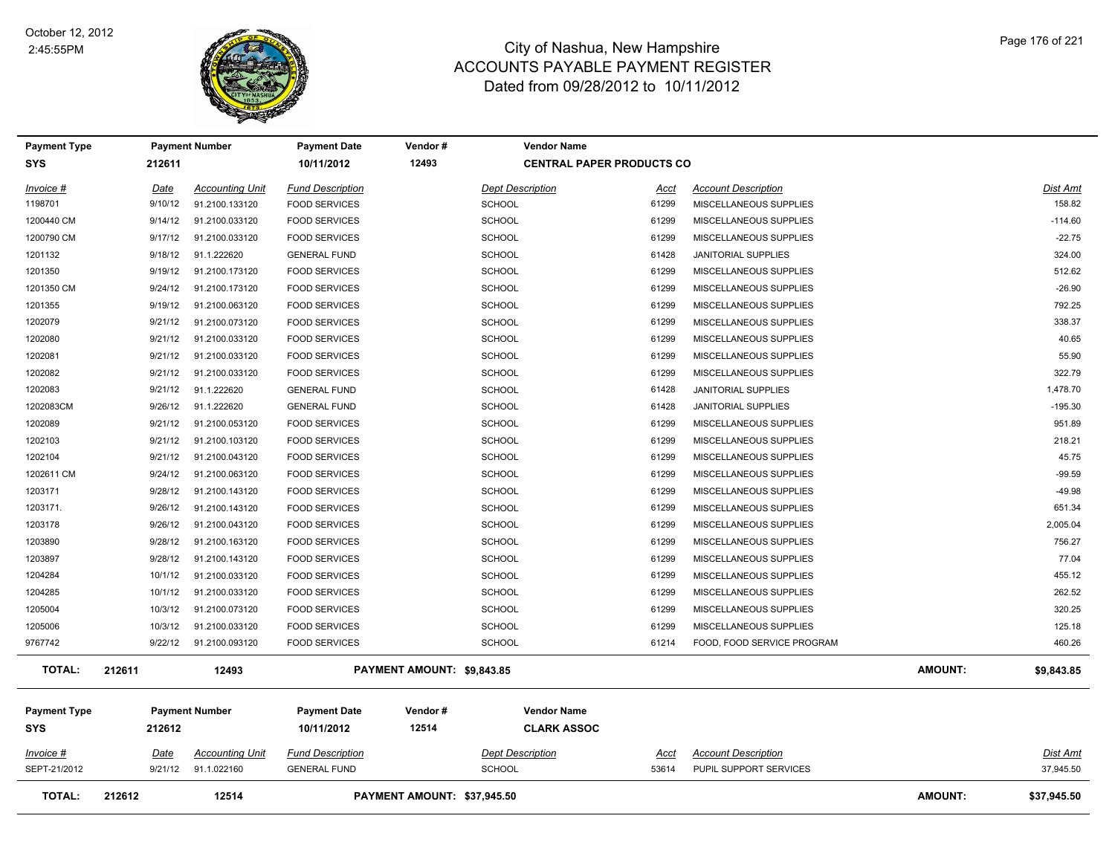

| <b>Payment Type</b>        |             | <b>Payment Number</b>  | <b>Payment Date</b>               | Vendor#                     | <b>Vendor Name</b>                       |             |                            |         |                 |
|----------------------------|-------------|------------------------|-----------------------------------|-----------------------------|------------------------------------------|-------------|----------------------------|---------|-----------------|
| <b>SYS</b>                 | 212611      |                        | 10/11/2012                        | 12493                       | <b>CENTRAL PAPER PRODUCTS CO</b>         |             |                            |         |                 |
| Invoice #                  | <u>Date</u> | <b>Accounting Unit</b> | <b>Fund Description</b>           |                             | <b>Dept Description</b>                  | Acct        | <b>Account Description</b> |         | Dist Amt        |
| 1198701                    | 9/10/12     | 91.2100.133120         | <b>FOOD SERVICES</b>              | <b>SCHOOL</b>               |                                          | 61299       | MISCELLANEOUS SUPPLIES     |         | 158.82          |
| 1200440 CM                 | 9/14/12     | 91.2100.033120         | <b>FOOD SERVICES</b>              | <b>SCHOOL</b>               |                                          | 61299       | MISCELLANEOUS SUPPLIES     |         | $-114.60$       |
| 1200790 CM                 | 9/17/12     | 91.2100.033120         | <b>FOOD SERVICES</b>              | <b>SCHOOL</b>               |                                          | 61299       | MISCELLANEOUS SUPPLIES     |         | $-22.75$        |
| 1201132                    | 9/18/12     | 91.1.222620            | <b>GENERAL FUND</b>               | <b>SCHOOL</b>               |                                          | 61428       | <b>JANITORIAL SUPPLIES</b> |         | 324.00          |
| 1201350                    | 9/19/12     | 91.2100.173120         | <b>FOOD SERVICES</b>              | <b>SCHOOL</b>               |                                          | 61299       | MISCELLANEOUS SUPPLIES     |         | 512.62          |
| 1201350 CM                 | 9/24/12     | 91.2100.173120         | <b>FOOD SERVICES</b>              | <b>SCHOOL</b>               |                                          | 61299       | MISCELLANEOUS SUPPLIES     |         | $-26.90$        |
| 1201355                    | 9/19/12     | 91.2100.063120         | <b>FOOD SERVICES</b>              | <b>SCHOOL</b>               |                                          | 61299       | MISCELLANEOUS SUPPLIES     |         | 792.25          |
| 1202079                    | 9/21/12     | 91.2100.073120         | <b>FOOD SERVICES</b>              | SCHOOL                      |                                          | 61299       | MISCELLANEOUS SUPPLIES     |         | 338.37          |
| 1202080                    | 9/21/12     | 91.2100.033120         | <b>FOOD SERVICES</b>              | <b>SCHOOL</b>               |                                          | 61299       | MISCELLANEOUS SUPPLIES     |         | 40.65           |
| 1202081                    | 9/21/12     | 91.2100.033120         | <b>FOOD SERVICES</b>              | <b>SCHOOL</b>               |                                          | 61299       | MISCELLANEOUS SUPPLIES     |         | 55.90           |
| 1202082                    | 9/21/12     | 91.2100.033120         | <b>FOOD SERVICES</b>              | <b>SCHOOL</b>               |                                          | 61299       | MISCELLANEOUS SUPPLIES     |         | 322.79          |
| 1202083                    | 9/21/12     | 91.1.222620            | <b>GENERAL FUND</b>               | <b>SCHOOL</b>               |                                          | 61428       | <b>JANITORIAL SUPPLIES</b> |         | 1,478.70        |
| 1202083CM                  | 9/26/12     | 91.1.222620            | <b>GENERAL FUND</b>               | <b>SCHOOL</b>               |                                          | 61428       | <b>JANITORIAL SUPPLIES</b> |         | $-195.30$       |
| 1202089                    | 9/21/12     | 91.2100.053120         | <b>FOOD SERVICES</b>              | <b>SCHOOL</b>               |                                          | 61299       | MISCELLANEOUS SUPPLIES     |         | 951.89          |
| 1202103                    | 9/21/12     | 91.2100.103120         | <b>FOOD SERVICES</b>              | <b>SCHOOL</b>               |                                          | 61299       | MISCELLANEOUS SUPPLIES     |         | 218.21          |
| 1202104                    | 9/21/12     | 91.2100.043120         | <b>FOOD SERVICES</b>              | <b>SCHOOL</b>               |                                          | 61299       | MISCELLANEOUS SUPPLIES     |         | 45.75           |
| 1202611 CM                 | 9/24/12     | 91.2100.063120         | <b>FOOD SERVICES</b>              | <b>SCHOOL</b>               |                                          | 61299       | MISCELLANEOUS SUPPLIES     |         | $-99.59$        |
| 1203171                    | 9/28/12     | 91.2100.143120         | <b>FOOD SERVICES</b>              | <b>SCHOOL</b>               |                                          | 61299       | MISCELLANEOUS SUPPLIES     |         | $-49.98$        |
| 1203171.                   | 9/26/12     | 91.2100.143120         | <b>FOOD SERVICES</b>              | <b>SCHOOL</b>               |                                          | 61299       | MISCELLANEOUS SUPPLIES     |         | 651.34          |
| 1203178                    | 9/26/12     | 91.2100.043120         | <b>FOOD SERVICES</b>              | <b>SCHOOL</b>               |                                          | 61299       | MISCELLANEOUS SUPPLIES     |         | 2,005.04        |
| 1203890                    | 9/28/12     | 91.2100.163120         | <b>FOOD SERVICES</b>              | <b>SCHOOL</b>               |                                          | 61299       | MISCELLANEOUS SUPPLIES     |         | 756.27          |
| 1203897                    | 9/28/12     | 91.2100.143120         | <b>FOOD SERVICES</b>              | <b>SCHOOL</b>               |                                          | 61299       | MISCELLANEOUS SUPPLIES     |         | 77.04           |
| 1204284                    | 10/1/12     | 91.2100.033120         | <b>FOOD SERVICES</b>              | <b>SCHOOL</b>               |                                          | 61299       | MISCELLANEOUS SUPPLIES     |         | 455.12          |
| 1204285                    | 10/1/12     | 91.2100.033120         | <b>FOOD SERVICES</b>              | <b>SCHOOL</b>               |                                          | 61299       | MISCELLANEOUS SUPPLIES     |         | 262.52          |
| 1205004                    | 10/3/12     | 91.2100.073120         | <b>FOOD SERVICES</b>              | <b>SCHOOL</b>               |                                          | 61299       | MISCELLANEOUS SUPPLIES     |         | 320.25          |
| 1205006                    | 10/3/12     | 91.2100.033120         | <b>FOOD SERVICES</b>              | <b>SCHOOL</b>               |                                          | 61299       | MISCELLANEOUS SUPPLIES     |         | 125.18          |
| 9767742                    | 9/22/12     | 91.2100.093120         | <b>FOOD SERVICES</b>              | SCHOOL                      |                                          | 61214       | FOOD, FOOD SERVICE PROGRAM |         | 460.26          |
| <b>TOTAL:</b>              | 212611      | 12493                  |                                   | PAYMENT AMOUNT: \$9,843.85  |                                          |             |                            | AMOUNT: | \$9,843.85      |
| <b>Payment Type</b><br>SYS | 212612      | <b>Payment Number</b>  | <b>Payment Date</b><br>10/11/2012 | Vendor#<br>12514            | <b>Vendor Name</b><br><b>CLARK ASSOC</b> |             |                            |         |                 |
| $Invoice$ #                | <u>Date</u> | <b>Accounting Unit</b> | <b>Fund Description</b>           |                             | <b>Dept Description</b>                  | <u>Acct</u> | <b>Account Description</b> |         | <u>Dist Amt</u> |
| SEPT-21/2012               | 9/21/12     | 91.1.022160            | <b>GENERAL FUND</b>               | <b>SCHOOL</b>               |                                          | 53614       | PUPIL SUPPORT SERVICES     |         | 37,945.50       |
| <b>TOTAL:</b>              | 212612      | 12514                  |                                   | PAYMENT AMOUNT: \$37,945.50 |                                          |             |                            | AMOUNT: | \$37,945.50     |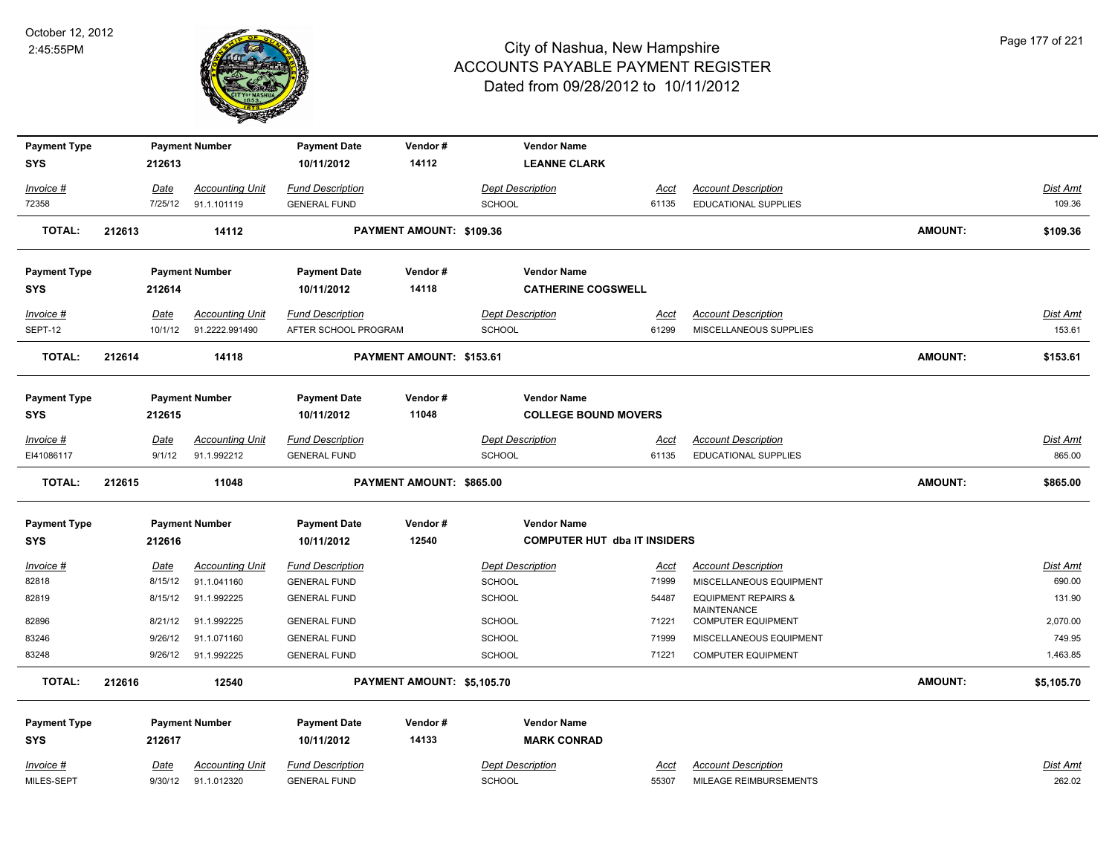

| <b>Payment Type</b> |        |             | <b>Payment Number</b>  | <b>Payment Date</b>     | Vendor#                             | <b>Vendor Name</b>          |             |                                                      |                |                 |
|---------------------|--------|-------------|------------------------|-------------------------|-------------------------------------|-----------------------------|-------------|------------------------------------------------------|----------------|-----------------|
| <b>SYS</b>          |        | 212613      |                        | 10/11/2012              | 14112                               | <b>LEANNE CLARK</b>         |             |                                                      |                |                 |
| Invoice #           |        | Date        | <b>Accounting Unit</b> | <b>Fund Description</b> |                                     | <b>Dept Description</b>     | Acct        | <b>Account Description</b>                           |                | Dist Amt        |
| 72358               |        | 7/25/12     | 91.1.101119            | <b>GENERAL FUND</b>     |                                     | <b>SCHOOL</b>               | 61135       | <b>EDUCATIONAL SUPPLIES</b>                          |                | 109.36          |
| <b>TOTAL:</b>       | 212613 |             | 14112                  |                         | PAYMENT AMOUNT: \$109.36            |                             |             |                                                      | <b>AMOUNT:</b> | \$109.36        |
| <b>Payment Type</b> |        |             | <b>Payment Number</b>  | <b>Payment Date</b>     | Vendor#                             | <b>Vendor Name</b>          |             |                                                      |                |                 |
| <b>SYS</b>          |        | 212614      |                        | 10/11/2012              | 14118                               | <b>CATHERINE COGSWELL</b>   |             |                                                      |                |                 |
| Invoice #           |        | Date        | <b>Accounting Unit</b> | <b>Fund Description</b> |                                     | <b>Dept Description</b>     | <u>Acct</u> | <b>Account Description</b>                           |                | Dist Amt        |
| SEPT-12             |        | 10/1/12     | 91.2222.991490         | AFTER SCHOOL PROGRAM    |                                     | <b>SCHOOL</b>               | 61299       | MISCELLANEOUS SUPPLIES                               |                | 153.61          |
| <b>TOTAL:</b>       | 212614 |             | 14118                  |                         | PAYMENT AMOUNT: \$153.61            |                             |             |                                                      | <b>AMOUNT:</b> | \$153.61        |
| <b>Payment Type</b> |        |             | <b>Payment Number</b>  | <b>Payment Date</b>     | Vendor#                             | <b>Vendor Name</b>          |             |                                                      |                |                 |
| <b>SYS</b>          |        | 212615      |                        | 10/11/2012              | 11048                               | <b>COLLEGE BOUND MOVERS</b> |             |                                                      |                |                 |
| Invoice #           |        | Date        | <b>Accounting Unit</b> | <b>Fund Description</b> |                                     | <b>Dept Description</b>     | <u>Acct</u> | <b>Account Description</b>                           |                | Dist Amt        |
| EI41086117          |        | 9/1/12      | 91.1.992212            | <b>GENERAL FUND</b>     |                                     | <b>SCHOOL</b>               | 61135       | EDUCATIONAL SUPPLIES                                 |                | 865.00          |
| <b>TOTAL:</b>       | 212615 |             | 11048                  |                         | PAYMENT AMOUNT: \$865.00            |                             |             |                                                      | <b>AMOUNT:</b> | \$865.00        |
| <b>Payment Type</b> |        |             | <b>Payment Number</b>  | <b>Payment Date</b>     | Vendor#                             | <b>Vendor Name</b>          |             |                                                      |                |                 |
| <b>SYS</b>          | 212616 |             | 10/11/2012             | 12540                   | <b>COMPUTER HUT dba IT INSIDERS</b> |                             |             |                                                      |                |                 |
| $Invoice$ #         |        | <u>Date</u> | <b>Accounting Unit</b> | <b>Fund Description</b> |                                     | <b>Dept Description</b>     | <u>Acct</u> | <b>Account Description</b>                           |                | <b>Dist Amt</b> |
| 82818               |        | 8/15/12     | 91.1.041160            | <b>GENERAL FUND</b>     |                                     | <b>SCHOOL</b>               | 71999       | MISCELLANEOUS EQUIPMENT                              |                | 690.00          |
| 82819               |        | 8/15/12     | 91.1.992225            | <b>GENERAL FUND</b>     |                                     | SCHOOL                      | 54487       | <b>EQUIPMENT REPAIRS &amp;</b><br><b>MAINTENANCE</b> |                | 131.90          |
| 82896               |        | 8/21/12     | 91.1.992225            | <b>GENERAL FUND</b>     |                                     | <b>SCHOOL</b>               | 71221       | <b>COMPUTER EQUIPMENT</b>                            |                | 2,070.00        |
| 83246               |        | 9/26/12     | 91.1.071160            | <b>GENERAL FUND</b>     |                                     | <b>SCHOOL</b>               | 71999       | MISCELLANEOUS EQUIPMENT                              |                | 749.95          |
| 83248               |        | 9/26/12     | 91.1.992225            | <b>GENERAL FUND</b>     |                                     | <b>SCHOOL</b>               | 71221       | <b>COMPUTER EQUIPMENT</b>                            |                | 1,463.85        |
| <b>TOTAL:</b>       | 212616 |             | 12540                  |                         | PAYMENT AMOUNT: \$5,105.70          |                             |             |                                                      | <b>AMOUNT:</b> | \$5,105.70      |
| <b>Payment Type</b> |        |             | <b>Payment Number</b>  | <b>Payment Date</b>     | Vendor#                             | <b>Vendor Name</b>          |             |                                                      |                |                 |
| <b>SYS</b>          |        | 212617      |                        | 10/11/2012              | 14133                               | <b>MARK CONRAD</b>          |             |                                                      |                |                 |
| $Invoice$ #         |        | <b>Date</b> | <b>Accounting Unit</b> | <b>Fund Description</b> |                                     | <b>Dept Description</b>     | <u>Acct</u> | <b>Account Description</b>                           |                | <b>Dist Amt</b> |
| MILES-SEPT          |        | 9/30/12     | 91.1.012320            | <b>GENERAL FUND</b>     |                                     | <b>SCHOOL</b>               | 55307       | MILEAGE REIMBURSEMENTS                               |                | 262.02          |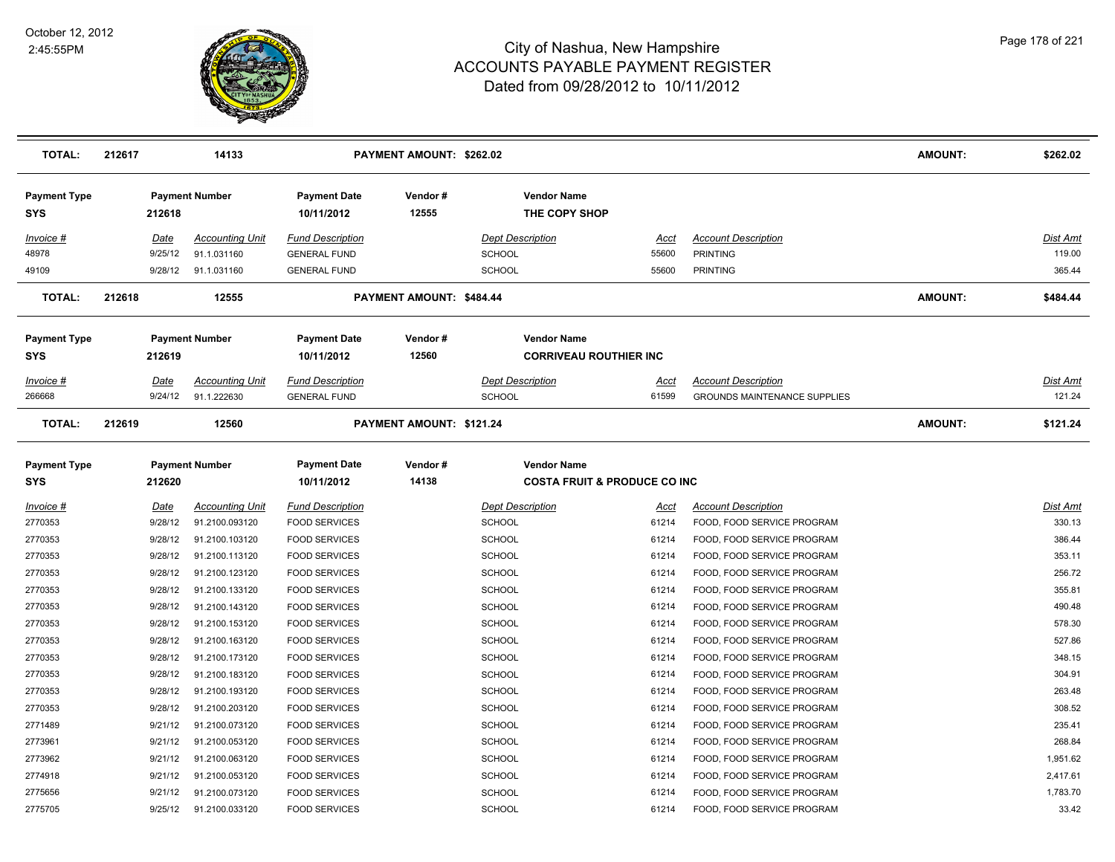

| <b>TOTAL:</b>                     | 212617 |                        | 14133                                 |                                                | PAYMENT AMOUNT: \$262.02 |                                                               |                |                                                                   | <b>AMOUNT:</b> | \$262.02                  |
|-----------------------------------|--------|------------------------|---------------------------------------|------------------------------------------------|--------------------------|---------------------------------------------------------------|----------------|-------------------------------------------------------------------|----------------|---------------------------|
| <b>Payment Type</b><br><b>SYS</b> |        | 212618                 | <b>Payment Number</b>                 | <b>Payment Date</b><br>10/11/2012              | Vendor#<br>12555         | <b>Vendor Name</b><br>THE COPY SHOP                           |                |                                                                   |                |                           |
| <u>Invoice #</u><br>48978         |        | <u>Date</u><br>9/25/12 | <b>Accounting Unit</b><br>91.1.031160 | Fund Description<br><b>GENERAL FUND</b>        |                          | <b>Dept Description</b><br><b>SCHOOL</b>                      | Acct<br>55600  | <b>Account Description</b><br><b>PRINTING</b>                     |                | Dist Amt<br>119.00        |
| 49109                             |        | 9/28/12                | 91.1.031160                           | <b>GENERAL FUND</b>                            |                          | <b>SCHOOL</b>                                                 | 55600          | <b>PRINTING</b>                                                   |                | 365.44                    |
| <b>TOTAL:</b>                     | 212618 |                        | 12555                                 |                                                | PAYMENT AMOUNT: \$484.44 |                                                               |                |                                                                   | <b>AMOUNT:</b> | \$484.44                  |
| <b>Payment Type</b><br><b>SYS</b> |        | 212619                 | <b>Payment Number</b>                 | <b>Payment Date</b><br>10/11/2012              | Vendor#<br>12560         | <b>Vendor Name</b><br><b>CORRIVEAU ROUTHIER INC</b>           |                |                                                                   |                |                           |
| <u>Invoice #</u><br>266668        |        | Date<br>9/24/12        | <b>Accounting Unit</b><br>91.1.222630 | <b>Fund Description</b><br><b>GENERAL FUND</b> |                          | <b>Dept Description</b><br><b>SCHOOL</b>                      | Acct<br>61599  | <b>Account Description</b><br><b>GROUNDS MAINTENANCE SUPPLIES</b> |                | <u>Dist Amt</u><br>121.24 |
| <b>TOTAL:</b>                     | 212619 |                        | 12560                                 |                                                | PAYMENT AMOUNT: \$121.24 |                                                               |                |                                                                   | <b>AMOUNT:</b> | \$121.24                  |
| <b>Payment Type</b><br><b>SYS</b> |        | 212620                 | <b>Payment Number</b>                 | <b>Payment Date</b><br>10/11/2012              | Vendor#<br>14138         | <b>Vendor Name</b><br><b>COSTA FRUIT &amp; PRODUCE CO INC</b> |                |                                                                   |                |                           |
| <u>Invoice #</u>                  |        | <b>Date</b>            | <b>Accounting Unit</b>                | <b>Fund Description</b>                        |                          | <b>Dept Description</b>                                       | <u>Acct</u>    | <b>Account Description</b>                                        |                | Dist Amt                  |
| 2770353                           |        | 9/28/12                | 91.2100.093120                        | <b>FOOD SERVICES</b>                           |                          | <b>SCHOOL</b>                                                 | 61214          | FOOD, FOOD SERVICE PROGRAM                                        |                | 330.13                    |
| 2770353                           |        | 9/28/12                | 91.2100.103120                        | <b>FOOD SERVICES</b>                           |                          | <b>SCHOOL</b>                                                 | 61214          | FOOD, FOOD SERVICE PROGRAM                                        |                | 386.44                    |
| 2770353                           |        | 9/28/12                | 91.2100.113120                        | <b>FOOD SERVICES</b>                           |                          | <b>SCHOOL</b>                                                 | 61214          | FOOD, FOOD SERVICE PROGRAM                                        |                | 353.11                    |
| 2770353                           |        | 9/28/12                | 91.2100.123120                        | <b>FOOD SERVICES</b>                           |                          | <b>SCHOOL</b>                                                 | 61214          | FOOD, FOOD SERVICE PROGRAM                                        |                | 256.72                    |
| 2770353                           |        | 9/28/12                | 91.2100.133120                        | <b>FOOD SERVICES</b>                           |                          | <b>SCHOOL</b>                                                 | 61214          | FOOD, FOOD SERVICE PROGRAM                                        |                | 355.81                    |
| 2770353                           |        | 9/28/12                | 91.2100.143120                        | <b>FOOD SERVICES</b>                           |                          | <b>SCHOOL</b>                                                 | 61214          | FOOD, FOOD SERVICE PROGRAM                                        |                | 490.48                    |
| 2770353                           |        | 9/28/12                | 91.2100.153120                        | <b>FOOD SERVICES</b>                           |                          | <b>SCHOOL</b>                                                 | 61214          | FOOD, FOOD SERVICE PROGRAM                                        |                | 578.30                    |
| 2770353                           |        | 9/28/12                | 91.2100.163120                        | <b>FOOD SERVICES</b>                           |                          | <b>SCHOOL</b>                                                 | 61214          | FOOD, FOOD SERVICE PROGRAM                                        |                | 527.86                    |
| 2770353                           |        | 9/28/12                | 91.2100.173120                        | <b>FOOD SERVICES</b>                           |                          | <b>SCHOOL</b>                                                 | 61214          | FOOD, FOOD SERVICE PROGRAM                                        |                | 348.15                    |
| 2770353                           |        | 9/28/12                | 91.2100.183120                        | <b>FOOD SERVICES</b>                           |                          | <b>SCHOOL</b>                                                 | 61214          | FOOD, FOOD SERVICE PROGRAM                                        |                | 304.91                    |
| 2770353                           |        | 9/28/12                | 91.2100.193120                        | <b>FOOD SERVICES</b>                           |                          | <b>SCHOOL</b>                                                 | 61214          | FOOD, FOOD SERVICE PROGRAM                                        |                | 263.48                    |
| 2770353                           |        | 9/28/12                | 91.2100.203120                        | <b>FOOD SERVICES</b>                           |                          | <b>SCHOOL</b>                                                 | 61214          | FOOD, FOOD SERVICE PROGRAM                                        |                | 308.52                    |
| 2771489                           |        | 9/21/12                | 91.2100.073120                        | <b>FOOD SERVICES</b>                           |                          | <b>SCHOOL</b>                                                 | 61214          | FOOD, FOOD SERVICE PROGRAM                                        |                | 235.41<br>268.84          |
| 2773961<br>2773962                |        | 9/21/12<br>9/21/12     | 91.2100.053120<br>91.2100.063120      | <b>FOOD SERVICES</b><br><b>FOOD SERVICES</b>   |                          | SCHOOL<br><b>SCHOOL</b>                                       | 61214          | FOOD, FOOD SERVICE PROGRAM<br>FOOD, FOOD SERVICE PROGRAM          |                | 1,951.62                  |
| 2774918                           |        | 9/21/12                | 91.2100.053120                        | <b>FOOD SERVICES</b>                           |                          | <b>SCHOOL</b>                                                 | 61214<br>61214 | FOOD, FOOD SERVICE PROGRAM                                        |                | 2,417.61                  |
| 2775656                           |        | 9/21/12                | 91.2100.073120                        | <b>FOOD SERVICES</b>                           |                          | <b>SCHOOL</b>                                                 | 61214          | FOOD, FOOD SERVICE PROGRAM                                        |                | 1,783.70                  |
| 2775705                           |        | 9/25/12                | 91.2100.033120                        | <b>FOOD SERVICES</b>                           |                          | SCHOOL                                                        | 61214          | FOOD, FOOD SERVICE PROGRAM                                        |                | 33.42                     |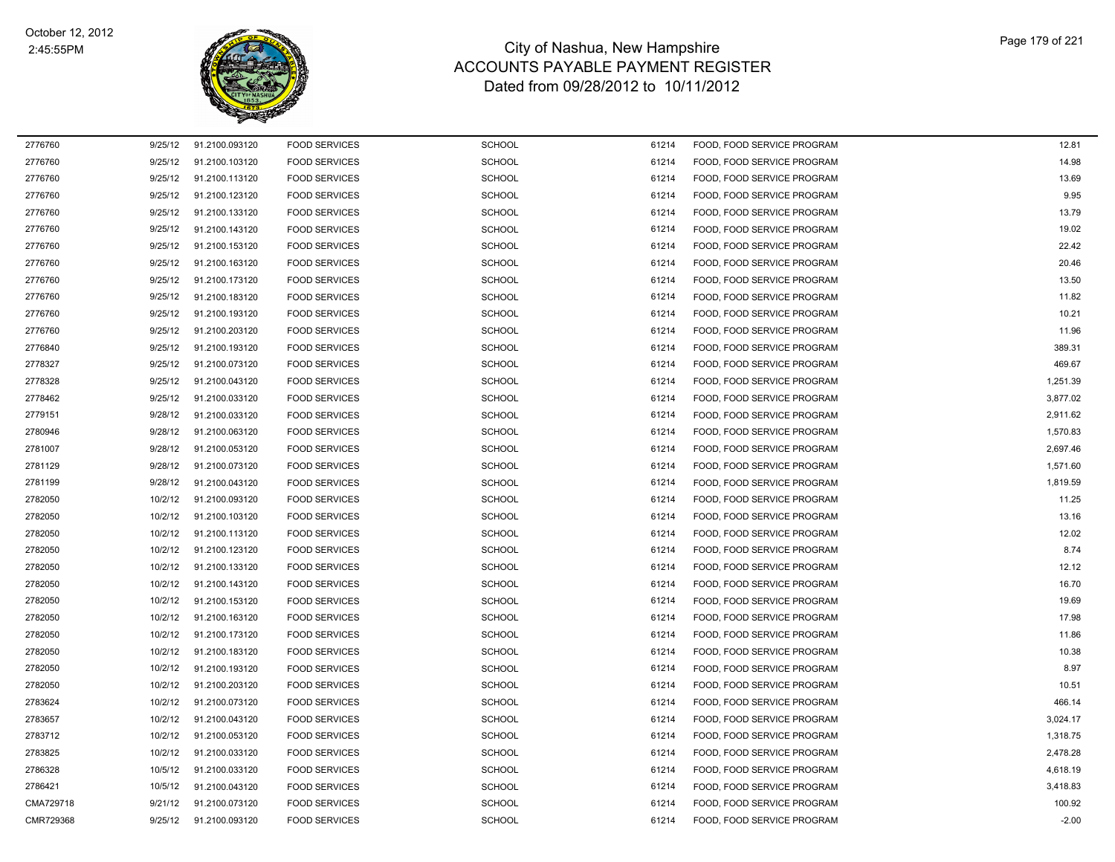

| 2776760   | 9/25/12 | 91.2100.093120 | <b>FOOD SERVICES</b> | <b>SCHOOL</b> | 61214 | FOOD, FOOD SERVICE PROGRAM | 12.81    |
|-----------|---------|----------------|----------------------|---------------|-------|----------------------------|----------|
| 2776760   | 9/25/12 | 91.2100.103120 | <b>FOOD SERVICES</b> | SCHOOL        | 61214 | FOOD, FOOD SERVICE PROGRAM | 14.98    |
| 2776760   | 9/25/12 | 91.2100.113120 | <b>FOOD SERVICES</b> | SCHOOL        | 61214 | FOOD, FOOD SERVICE PROGRAM | 13.69    |
| 2776760   | 9/25/12 | 91.2100.123120 | <b>FOOD SERVICES</b> | <b>SCHOOL</b> | 61214 | FOOD, FOOD SERVICE PROGRAM | 9.95     |
| 2776760   | 9/25/12 | 91.2100.133120 | <b>FOOD SERVICES</b> | <b>SCHOOL</b> | 61214 | FOOD, FOOD SERVICE PROGRAM | 13.79    |
| 2776760   | 9/25/12 | 91.2100.143120 | <b>FOOD SERVICES</b> | <b>SCHOOL</b> | 61214 | FOOD, FOOD SERVICE PROGRAM | 19.02    |
| 2776760   | 9/25/12 | 91.2100.153120 | <b>FOOD SERVICES</b> | <b>SCHOOL</b> | 61214 | FOOD, FOOD SERVICE PROGRAM | 22.42    |
| 2776760   | 9/25/12 | 91.2100.163120 | <b>FOOD SERVICES</b> | <b>SCHOOL</b> | 61214 | FOOD, FOOD SERVICE PROGRAM | 20.46    |
| 2776760   | 9/25/12 | 91.2100.173120 | <b>FOOD SERVICES</b> | <b>SCHOOL</b> | 61214 | FOOD. FOOD SERVICE PROGRAM | 13.50    |
| 2776760   | 9/25/12 | 91.2100.183120 | <b>FOOD SERVICES</b> | <b>SCHOOL</b> | 61214 | FOOD, FOOD SERVICE PROGRAM | 11.82    |
| 2776760   | 9/25/12 | 91.2100.193120 | <b>FOOD SERVICES</b> | <b>SCHOOL</b> | 61214 | FOOD, FOOD SERVICE PROGRAM | 10.21    |
| 2776760   | 9/25/12 | 91.2100.203120 | <b>FOOD SERVICES</b> | <b>SCHOOL</b> | 61214 | FOOD, FOOD SERVICE PROGRAM | 11.96    |
| 2776840   | 9/25/12 | 91.2100.193120 | <b>FOOD SERVICES</b> | <b>SCHOOL</b> | 61214 | FOOD, FOOD SERVICE PROGRAM | 389.31   |
| 2778327   | 9/25/12 | 91.2100.073120 | <b>FOOD SERVICES</b> | <b>SCHOOL</b> | 61214 | FOOD, FOOD SERVICE PROGRAM | 469.67   |
| 2778328   | 9/25/12 | 91.2100.043120 | <b>FOOD SERVICES</b> | <b>SCHOOL</b> | 61214 | FOOD, FOOD SERVICE PROGRAM | 1,251.39 |
| 2778462   | 9/25/12 | 91.2100.033120 | <b>FOOD SERVICES</b> | <b>SCHOOL</b> | 61214 | FOOD, FOOD SERVICE PROGRAM | 3,877.02 |
| 2779151   | 9/28/12 | 91.2100.033120 | <b>FOOD SERVICES</b> | <b>SCHOOL</b> | 61214 | FOOD. FOOD SERVICE PROGRAM | 2,911.62 |
| 2780946   | 9/28/12 | 91.2100.063120 | <b>FOOD SERVICES</b> | <b>SCHOOL</b> | 61214 | FOOD, FOOD SERVICE PROGRAM | 1,570.83 |
| 2781007   | 9/28/12 | 91.2100.053120 | <b>FOOD SERVICES</b> | SCHOOL        | 61214 | FOOD, FOOD SERVICE PROGRAM | 2,697.46 |
| 2781129   | 9/28/12 | 91.2100.073120 | <b>FOOD SERVICES</b> | <b>SCHOOL</b> | 61214 | FOOD, FOOD SERVICE PROGRAM | 1,571.60 |
| 2781199   | 9/28/12 | 91.2100.043120 | <b>FOOD SERVICES</b> | <b>SCHOOL</b> | 61214 | FOOD, FOOD SERVICE PROGRAM | 1,819.59 |
| 2782050   | 10/2/12 | 91.2100.093120 | <b>FOOD SERVICES</b> | <b>SCHOOL</b> | 61214 | FOOD, FOOD SERVICE PROGRAM | 11.25    |
| 2782050   | 10/2/12 | 91.2100.103120 | <b>FOOD SERVICES</b> | <b>SCHOOL</b> | 61214 | FOOD, FOOD SERVICE PROGRAM | 13.16    |
| 2782050   | 10/2/12 | 91.2100.113120 | <b>FOOD SERVICES</b> | <b>SCHOOL</b> | 61214 | FOOD, FOOD SERVICE PROGRAM | 12.02    |
| 2782050   | 10/2/12 | 91.2100.123120 | <b>FOOD SERVICES</b> | <b>SCHOOL</b> | 61214 | FOOD, FOOD SERVICE PROGRAM | 8.74     |
| 2782050   | 10/2/12 | 91.2100.133120 | <b>FOOD SERVICES</b> | <b>SCHOOL</b> | 61214 | FOOD, FOOD SERVICE PROGRAM | 12.12    |
| 2782050   | 10/2/12 | 91.2100.143120 | <b>FOOD SERVICES</b> | SCHOOL        | 61214 | FOOD, FOOD SERVICE PROGRAM | 16.70    |
| 2782050   | 10/2/12 | 91.2100.153120 | <b>FOOD SERVICES</b> | <b>SCHOOL</b> | 61214 | FOOD, FOOD SERVICE PROGRAM | 19.69    |
| 2782050   | 10/2/12 | 91.2100.163120 | <b>FOOD SERVICES</b> | <b>SCHOOL</b> | 61214 | FOOD, FOOD SERVICE PROGRAM | 17.98    |
| 2782050   | 10/2/12 | 91.2100.173120 | <b>FOOD SERVICES</b> | <b>SCHOOL</b> | 61214 | FOOD, FOOD SERVICE PROGRAM | 11.86    |
| 2782050   | 10/2/12 | 91.2100.183120 | <b>FOOD SERVICES</b> | <b>SCHOOL</b> | 61214 | FOOD, FOOD SERVICE PROGRAM | 10.38    |
| 2782050   | 10/2/12 | 91.2100.193120 | <b>FOOD SERVICES</b> | <b>SCHOOL</b> | 61214 | FOOD, FOOD SERVICE PROGRAM | 8.97     |
| 2782050   | 10/2/12 | 91.2100.203120 | <b>FOOD SERVICES</b> | <b>SCHOOL</b> | 61214 | FOOD, FOOD SERVICE PROGRAM | 10.51    |
| 2783624   | 10/2/12 | 91.2100.073120 | <b>FOOD SERVICES</b> | SCHOOL        | 61214 | FOOD, FOOD SERVICE PROGRAM | 466.14   |
| 2783657   | 10/2/12 | 91.2100.043120 | <b>FOOD SERVICES</b> | <b>SCHOOL</b> | 61214 | FOOD, FOOD SERVICE PROGRAM | 3,024.17 |
| 2783712   | 10/2/12 | 91.2100.053120 | <b>FOOD SERVICES</b> | <b>SCHOOL</b> | 61214 | FOOD, FOOD SERVICE PROGRAM | 1,318.75 |
| 2783825   | 10/2/12 | 91.2100.033120 | <b>FOOD SERVICES</b> | <b>SCHOOL</b> | 61214 | FOOD, FOOD SERVICE PROGRAM | 2,478.28 |
| 2786328   | 10/5/12 | 91.2100.033120 | <b>FOOD SERVICES</b> | <b>SCHOOL</b> | 61214 | FOOD, FOOD SERVICE PROGRAM | 4,618.19 |
| 2786421   | 10/5/12 | 91.2100.043120 | <b>FOOD SERVICES</b> | SCHOOL        | 61214 | FOOD, FOOD SERVICE PROGRAM | 3,418.83 |
| CMA729718 | 9/21/12 | 91.2100.073120 | <b>FOOD SERVICES</b> | SCHOOL        | 61214 | FOOD, FOOD SERVICE PROGRAM | 100.92   |
| CMR729368 | 9/25/12 | 91.2100.093120 | <b>FOOD SERVICES</b> | SCHOOL        | 61214 | FOOD, FOOD SERVICE PROGRAM | $-2.00$  |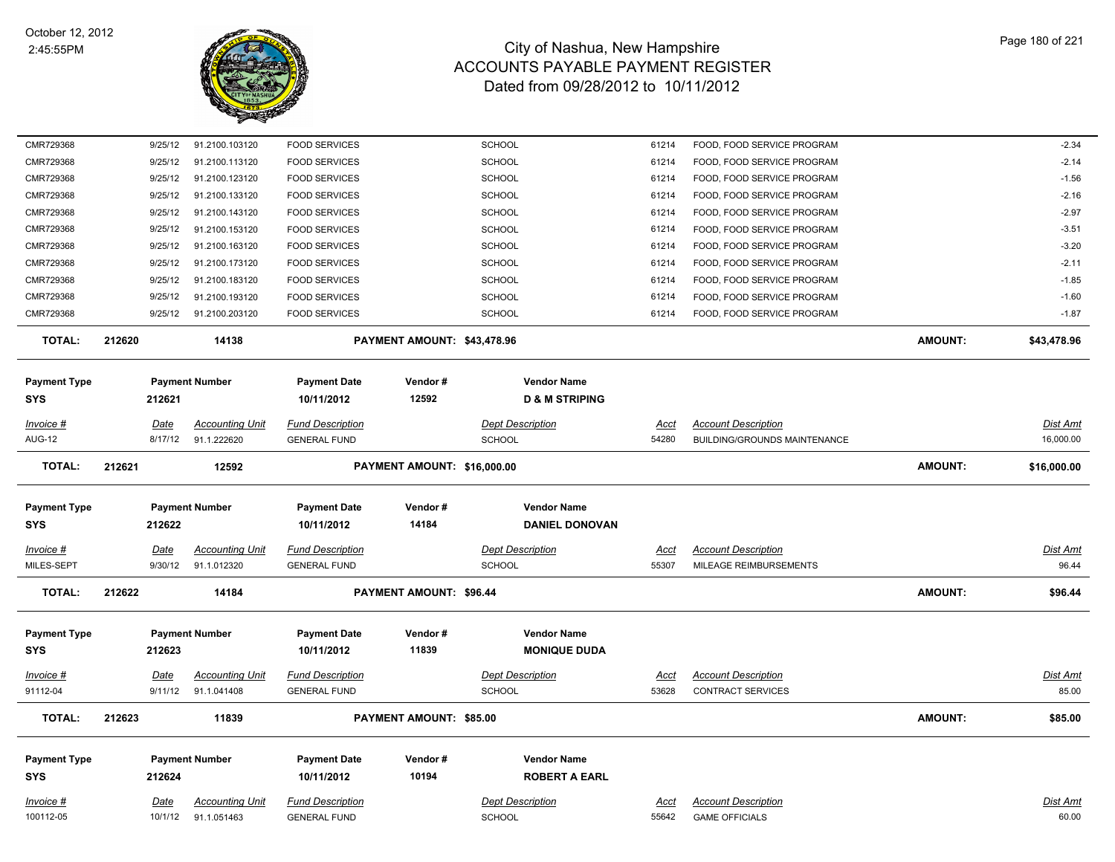

| <b>Payment Type</b><br><b>SYS</b><br>Invoice # |        | 212624<br>Date     | <b>Accounting Unit</b>                | 10/11/2012<br><b>Fund Description</b>          | 10194                       | <b>ROBERT A EARL</b><br><b>Dept Description</b> | <u>Acct</u>          | <b>Account Description</b>                                        |                | Dist Amt                     |
|------------------------------------------------|--------|--------------------|---------------------------------------|------------------------------------------------|-----------------------------|-------------------------------------------------|----------------------|-------------------------------------------------------------------|----------------|------------------------------|
|                                                |        |                    |                                       |                                                |                             |                                                 |                      |                                                                   |                |                              |
|                                                |        |                    | <b>Payment Number</b>                 | <b>Payment Date</b>                            | Vendor#                     | <b>Vendor Name</b>                              |                      |                                                                   |                |                              |
| <b>TOTAL:</b>                                  | 212623 |                    | 11839                                 |                                                | PAYMENT AMOUNT: \$85.00     |                                                 |                      |                                                                   | <b>AMOUNT:</b> | \$85.00                      |
| 91112-04                                       |        | 9/11/12            | 91.1.041408                           | <b>GENERAL FUND</b>                            |                             | <b>SCHOOL</b>                                   | 53628                | CONTRACT SERVICES                                                 |                | 85.00                        |
| Invoice #                                      |        | Date               | <b>Accounting Unit</b>                | <b>Fund Description</b>                        |                             | <b>Dept Description</b>                         | <u>Acct</u>          | <b>Account Description</b>                                        |                | <b>Dist Amt</b>              |
| <b>Payment Type</b><br>SYS                     |        | 212623             | <b>Payment Number</b>                 | <b>Payment Date</b><br>10/11/2012              | Vendor#<br>11839            | <b>Vendor Name</b><br><b>MONIQUE DUDA</b>       |                      |                                                                   |                |                              |
| <b>TOTAL:</b>                                  | 212622 |                    | 14184                                 |                                                | PAYMENT AMOUNT: \$96.44     |                                                 |                      |                                                                   | <b>AMOUNT:</b> | \$96.44                      |
| MILES-SEPT                                     |        | 9/30/12            | 91.1.012320                           | <b>GENERAL FUND</b>                            |                             | <b>SCHOOL</b>                                   | 55307                | MILEAGE REIMBURSEMENTS                                            |                | 96.44                        |
| Invoice #                                      |        | Date               | <b>Accounting Unit</b>                | <b>Fund Description</b>                        |                             | <b>Dept Description</b>                         | Acct                 | <b>Account Description</b>                                        |                | Dist Amt                     |
| <b>Payment Type</b><br>SYS                     |        | 212622             | <b>Payment Number</b>                 | <b>Payment Date</b><br>10/11/2012              | Vendor#<br>14184            | <b>Vendor Name</b><br><b>DANIEL DONOVAN</b>     |                      |                                                                   |                |                              |
|                                                |        |                    |                                       |                                                |                             |                                                 |                      |                                                                   |                |                              |
| <b>TOTAL:</b>                                  | 212621 |                    | 12592                                 |                                                | PAYMENT AMOUNT: \$16,000.00 |                                                 |                      |                                                                   | <b>AMOUNT:</b> | \$16,000.00                  |
| Invoice #<br><b>AUG-12</b>                     |        | Date<br>8/17/12    | <b>Accounting Unit</b><br>91.1.222620 | <b>Fund Description</b><br><b>GENERAL FUND</b> |                             | Dept Description<br><b>SCHOOL</b>               | <u>Acct</u><br>54280 | <b>Account Description</b><br><b>BUILDING/GROUNDS MAINTENANCE</b> |                | <b>Dist Amt</b><br>16,000.00 |
| <b>SYS</b>                                     |        | 212621             |                                       | 10/11/2012                                     | 12592                       | <b>D &amp; M STRIPING</b>                       |                      |                                                                   |                |                              |
| <b>Payment Type</b>                            |        |                    | <b>Payment Number</b>                 | <b>Payment Date</b>                            | Vendor#                     | <b>Vendor Name</b>                              |                      |                                                                   |                |                              |
| <b>TOTAL:</b>                                  | 212620 |                    | 14138                                 |                                                | PAYMENT AMOUNT: \$43,478.96 |                                                 |                      |                                                                   | <b>AMOUNT:</b> | \$43,478.96                  |
| CMR729368                                      |        | 9/25/12            | 91.2100.203120                        | <b>FOOD SERVICES</b>                           |                             | SCHOOL                                          | 61214                | FOOD, FOOD SERVICE PROGRAM                                        |                | $-1.87$                      |
| CMR729368                                      |        | 9/25/12            | 91.2100.193120                        | <b>FOOD SERVICES</b>                           |                             | <b>SCHOOL</b>                                   | 61214                | FOOD, FOOD SERVICE PROGRAM                                        |                | $-1.60$                      |
| CMR729368                                      |        | 9/25/12            | 91.2100.183120                        | <b>FOOD SERVICES</b>                           |                             | <b>SCHOOL</b>                                   | 61214                | FOOD, FOOD SERVICE PROGRAM                                        |                | $-1.85$                      |
| CMR729368                                      |        | 9/25/12            | 91.2100.173120                        | <b>FOOD SERVICES</b>                           |                             | SCHOOL                                          | 61214                | FOOD, FOOD SERVICE PROGRAM                                        |                | $-2.11$                      |
| CMR729368                                      |        | 9/25/12            | 91.2100.163120                        | <b>FOOD SERVICES</b>                           |                             | SCHOOL                                          | 61214                | FOOD, FOOD SERVICE PROGRAM                                        |                | $-3.20$                      |
| CMR729368                                      |        | 9/25/12            | 91.2100.153120                        | <b>FOOD SERVICES</b>                           |                             | <b>SCHOOL</b>                                   | 61214                | FOOD, FOOD SERVICE PROGRAM                                        |                | $-3.51$                      |
| CMR729368                                      |        | 9/25/12            | 91.2100.143120                        | <b>FOOD SERVICES</b>                           |                             | SCHOOL                                          | 61214                | FOOD, FOOD SERVICE PROGRAM                                        |                | $-2.97$                      |
| CMR729368                                      |        | 9/25/12            | 91.2100.133120                        | <b>FOOD SERVICES</b>                           |                             | SCHOOL                                          | 61214                | FOOD, FOOD SERVICE PROGRAM                                        |                | $-2.16$                      |
| CMR729368<br>CMR729368                         |        | 9/25/12<br>9/25/12 | 91.2100.113120<br>91.2100.123120      | <b>FOOD SERVICES</b><br><b>FOOD SERVICES</b>   |                             | SCHOOL<br>SCHOOL                                | 61214<br>61214       | FOOD, FOOD SERVICE PROGRAM<br>FOOD, FOOD SERVICE PROGRAM          |                | $-2.14$<br>$-1.56$           |
| CMR729368                                      |        | 9/25/12            | 91.2100.103120                        | <b>FOOD SERVICES</b>                           |                             | <b>SCHOOL</b>                                   | 61214                | FOOD, FOOD SERVICE PROGRAM                                        |                | $-2.34$                      |
|                                                |        |                    |                                       |                                                |                             |                                                 |                      |                                                                   |                |                              |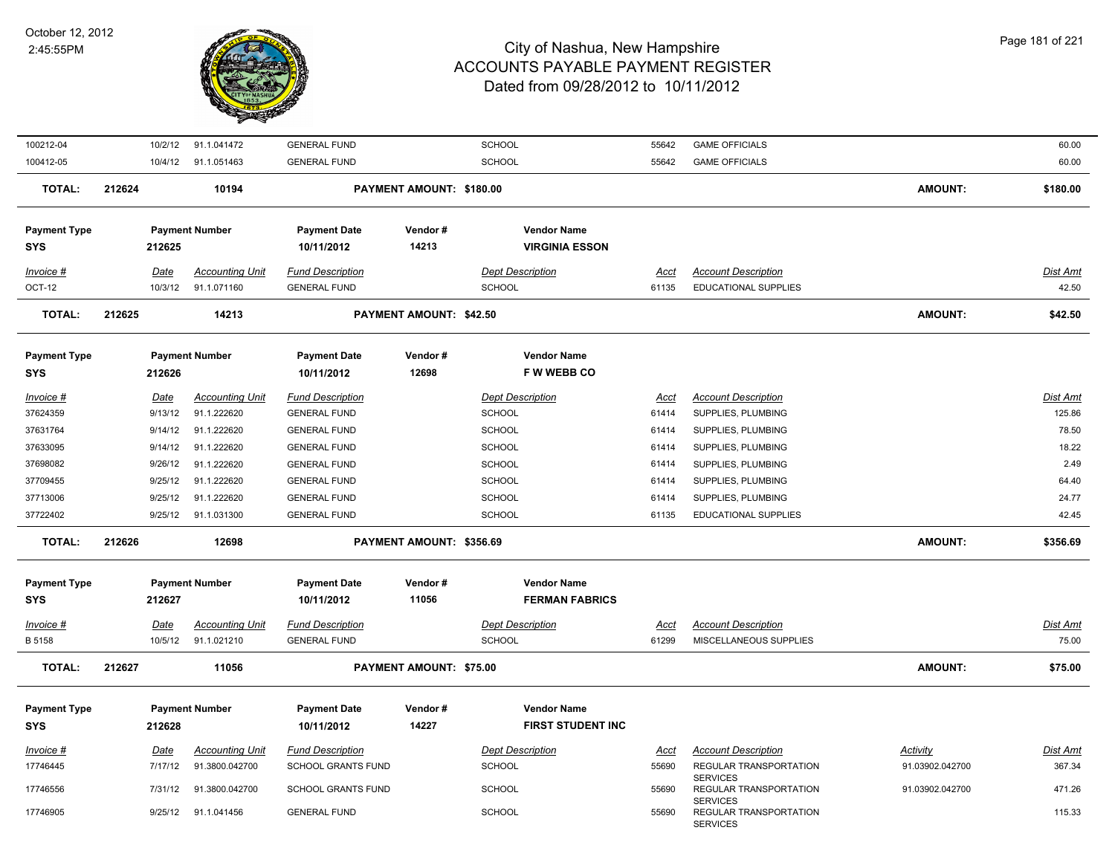

| 100212-04                  |        | 10/2/12                | 91.1.041472                           | <b>GENERAL FUND</b>                            |                                | <b>SCHOOL</b>                            | 55642                | <b>GAME OFFICIALS</b>                                        |                 | 60.00                    |
|----------------------------|--------|------------------------|---------------------------------------|------------------------------------------------|--------------------------------|------------------------------------------|----------------------|--------------------------------------------------------------|-----------------|--------------------------|
| 100412-05                  |        |                        | 10/4/12 91.1.051463                   | <b>GENERAL FUND</b>                            |                                | SCHOOL                                   | 55642                | <b>GAME OFFICIALS</b>                                        |                 | 60.00                    |
| <b>TOTAL:</b>              | 212624 |                        | 10194                                 |                                                | PAYMENT AMOUNT: \$180.00       |                                          |                      |                                                              | <b>AMOUNT:</b>  | \$180.00                 |
| <b>Payment Type</b>        |        |                        | <b>Payment Number</b>                 | <b>Payment Date</b>                            | Vendor#                        | <b>Vendor Name</b>                       |                      |                                                              |                 |                          |
| <b>SYS</b>                 |        | 212625                 |                                       | 10/11/2012                                     | 14213                          | <b>VIRGINIA ESSON</b>                    |                      |                                                              |                 |                          |
|                            |        |                        |                                       |                                                |                                |                                          |                      |                                                              |                 |                          |
| Invoice #<br>OCT-12        |        | Date<br>10/3/12        | <b>Accounting Unit</b><br>91.1.071160 | <b>Fund Description</b><br><b>GENERAL FUND</b> |                                | <b>Dept Description</b><br>SCHOOL        | Acct<br>61135        | <b>Account Description</b><br>EDUCATIONAL SUPPLIES           |                 | Dist Amt<br>42.50        |
|                            |        |                        |                                       |                                                |                                |                                          |                      |                                                              |                 |                          |
| <b>TOTAL:</b>              | 212625 |                        | 14213                                 |                                                | <b>PAYMENT AMOUNT: \$42.50</b> |                                          |                      |                                                              | <b>AMOUNT:</b>  | \$42.50                  |
| <b>Payment Type</b>        |        |                        | <b>Payment Number</b>                 | <b>Payment Date</b>                            | Vendor#                        | <b>Vendor Name</b>                       |                      |                                                              |                 |                          |
| <b>SYS</b>                 |        | 212626                 |                                       | 10/11/2012                                     | 12698                          | F W WEBB CO                              |                      |                                                              |                 |                          |
| $Invoice$ #                |        | Date                   | <b>Accounting Unit</b>                | <b>Fund Description</b>                        |                                | <b>Dept Description</b>                  | Acct                 | <b>Account Description</b>                                   |                 | Dist Amt                 |
| 37624359                   |        | 9/13/12                | 91.1.222620                           | <b>GENERAL FUND</b>                            |                                | <b>SCHOOL</b>                            | 61414                | SUPPLIES, PLUMBING                                           |                 | 125.86                   |
| 37631764                   |        | 9/14/12                | 91.1.222620                           | <b>GENERAL FUND</b>                            |                                | <b>SCHOOL</b>                            | 61414                | SUPPLIES, PLUMBING                                           |                 | 78.50                    |
| 37633095                   |        | 9/14/12                | 91.1.222620                           | <b>GENERAL FUND</b>                            |                                | <b>SCHOOL</b>                            | 61414                | SUPPLIES, PLUMBING                                           |                 | 18.22                    |
| 37698082                   |        | 9/26/12                | 91.1.222620                           | <b>GENERAL FUND</b>                            |                                | SCHOOL                                   | 61414                | SUPPLIES, PLUMBING                                           |                 | 2.49                     |
| 37709455                   |        | 9/25/12                | 91.1.222620                           | <b>GENERAL FUND</b>                            |                                | <b>SCHOOL</b>                            | 61414                | SUPPLIES, PLUMBING                                           |                 | 64.40                    |
| 37713006                   |        | 9/25/12                | 91.1.222620                           | <b>GENERAL FUND</b>                            |                                | <b>SCHOOL</b>                            | 61414                | SUPPLIES, PLUMBING                                           |                 | 24.77                    |
| 37722402                   |        | 9/25/12                | 91.1.031300                           | <b>GENERAL FUND</b>                            |                                | <b>SCHOOL</b>                            | 61135                | EDUCATIONAL SUPPLIES                                         |                 | 42.45                    |
| <b>TOTAL:</b>              | 212626 |                        | 12698                                 |                                                | PAYMENT AMOUNT: \$356.69       |                                          |                      |                                                              | <b>AMOUNT:</b>  | \$356.69                 |
| <b>Payment Type</b>        |        |                        | <b>Payment Number</b>                 | <b>Payment Date</b>                            | Vendor#                        | <b>Vendor Name</b>                       |                      |                                                              |                 |                          |
| <b>SYS</b>                 |        | 212627                 |                                       | 10/11/2012                                     | 11056                          | <b>FERMAN FABRICS</b>                    |                      |                                                              |                 |                          |
|                            |        |                        |                                       |                                                |                                |                                          |                      |                                                              |                 |                          |
| <u>Invoice #</u><br>B 5158 |        | <u>Date</u><br>10/5/12 | <b>Accounting Unit</b><br>91.1.021210 | <u>Fund Description</u><br><b>GENERAL FUND</b> |                                | <b>Dept Description</b><br><b>SCHOOL</b> | <u>Acct</u><br>61299 | <b>Account Description</b><br>MISCELLANEOUS SUPPLIES         |                 | <u>Dist Amt</u><br>75.00 |
|                            |        |                        |                                       |                                                |                                |                                          |                      |                                                              |                 |                          |
| <b>TOTAL:</b>              | 212627 |                        | 11056                                 |                                                | PAYMENT AMOUNT: \$75.00        |                                          |                      |                                                              | <b>AMOUNT:</b>  | \$75.00                  |
| <b>Payment Type</b>        |        |                        | <b>Payment Number</b>                 | <b>Payment Date</b>                            | Vendor#                        | <b>Vendor Name</b>                       |                      |                                                              |                 |                          |
| <b>SYS</b>                 |        | 212628                 |                                       | 10/11/2012                                     | 14227                          | <b>FIRST STUDENT INC</b>                 |                      |                                                              |                 |                          |
| Invoice #                  |        | Date                   | <b>Accounting Unit</b>                | <b>Fund Description</b>                        |                                | <b>Dept Description</b>                  | Acct                 | <b>Account Description</b>                                   | <b>Activity</b> | Dist Amt                 |
| 17746445                   |        | 7/17/12                | 91.3800.042700                        | <b>SCHOOL GRANTS FUND</b>                      |                                | <b>SCHOOL</b>                            | 55690                | REGULAR TRANSPORTATION<br><b>SERVICES</b>                    | 91.03902.042700 | 367.34                   |
| 17746556                   |        | 7/31/12                | 91.3800.042700                        | <b>SCHOOL GRANTS FUND</b>                      |                                | <b>SCHOOL</b>                            | 55690                | REGULAR TRANSPORTATION                                       | 91.03902.042700 | 471.26                   |
| 17746905                   |        |                        | 9/25/12 91.1.041456                   | <b>GENERAL FUND</b>                            |                                | <b>SCHOOL</b>                            | 55690                | <b>SERVICES</b><br>REGULAR TRANSPORTATION<br><b>SERVICES</b> |                 | 115.33                   |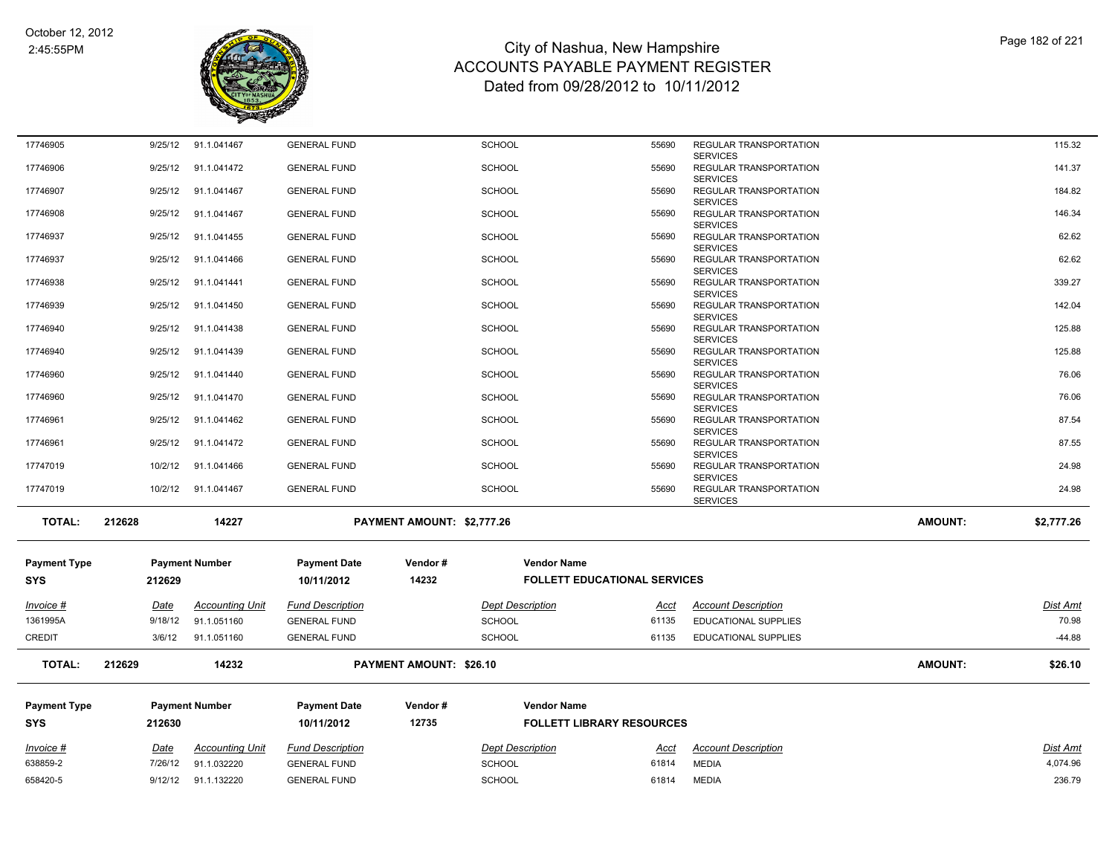

| 17746905            | 9/25/12     | 91.1.041467            | <b>GENERAL FUND</b>     |                                | <b>SCHOOL</b>           | 55690                               | REGULAR TRANSPORTATION                                       |                | 115.32     |
|---------------------|-------------|------------------------|-------------------------|--------------------------------|-------------------------|-------------------------------------|--------------------------------------------------------------|----------------|------------|
| 17746906            | 9/25/12     | 91.1.041472            | <b>GENERAL FUND</b>     |                                | <b>SCHOOL</b>           | 55690                               | <b>SERVICES</b><br>REGULAR TRANSPORTATION<br><b>SERVICES</b> |                | 141.37     |
| 17746907            | 9/25/12     | 91.1.041467            | <b>GENERAL FUND</b>     |                                | <b>SCHOOL</b>           | 55690                               | REGULAR TRANSPORTATION                                       |                | 184.82     |
| 17746908            | 9/25/12     | 91.1.041467            | <b>GENERAL FUND</b>     |                                | <b>SCHOOL</b>           | 55690                               | <b>SERVICES</b><br>REGULAR TRANSPORTATION<br><b>SERVICES</b> |                | 146.34     |
| 17746937            | 9/25/12     | 91.1.041455            | <b>GENERAL FUND</b>     |                                | <b>SCHOOL</b>           | 55690                               | REGULAR TRANSPORTATION<br><b>SERVICES</b>                    |                | 62.62      |
| 17746937            | 9/25/12     | 91.1.041466            | <b>GENERAL FUND</b>     |                                | <b>SCHOOL</b>           | 55690                               | REGULAR TRANSPORTATION                                       |                | 62.62      |
| 17746938            | 9/25/12     | 91.1.041441            | <b>GENERAL FUND</b>     |                                | <b>SCHOOL</b>           | 55690                               | <b>SERVICES</b><br>REGULAR TRANSPORTATION<br><b>SERVICES</b> |                | 339.27     |
| 17746939            | 9/25/12     | 91.1.041450            | <b>GENERAL FUND</b>     |                                | <b>SCHOOL</b>           | 55690                               | REGULAR TRANSPORTATION<br><b>SERVICES</b>                    |                | 142.04     |
| 17746940            | 9/25/12     | 91.1.041438            | <b>GENERAL FUND</b>     |                                | <b>SCHOOL</b>           | 55690                               | REGULAR TRANSPORTATION<br><b>SERVICES</b>                    |                | 125.88     |
| 17746940            | 9/25/12     | 91.1.041439            | <b>GENERAL FUND</b>     |                                | <b>SCHOOL</b>           | 55690                               | REGULAR TRANSPORTATION<br><b>SERVICES</b>                    |                | 125.88     |
| 17746960            | 9/25/12     | 91.1.041440            | <b>GENERAL FUND</b>     |                                | <b>SCHOOL</b>           | 55690                               | REGULAR TRANSPORTATION<br><b>SERVICES</b>                    |                | 76.06      |
| 17746960            | 9/25/12     | 91.1.041470            | <b>GENERAL FUND</b>     |                                | <b>SCHOOL</b>           | 55690                               | REGULAR TRANSPORTATION<br><b>SERVICES</b>                    |                | 76.06      |
| 17746961            | 9/25/12     | 91.1.041462            | <b>GENERAL FUND</b>     |                                | <b>SCHOOL</b>           | 55690                               | REGULAR TRANSPORTATION<br><b>SERVICES</b>                    |                | 87.54      |
| 17746961            | 9/25/12     | 91.1.041472            | <b>GENERAL FUND</b>     |                                | <b>SCHOOL</b>           | 55690                               | REGULAR TRANSPORTATION<br><b>SERVICES</b>                    |                | 87.55      |
| 17747019            | 10/2/12     | 91.1.041466            | <b>GENERAL FUND</b>     |                                | <b>SCHOOL</b>           | 55690                               | REGULAR TRANSPORTATION                                       |                | 24.98      |
| 17747019            | 10/2/12     | 91.1.041467            | <b>GENERAL FUND</b>     |                                | <b>SCHOOL</b>           | 55690                               | <b>SERVICES</b><br>REGULAR TRANSPORTATION<br><b>SERVICES</b> |                | 24.98      |
| <b>TOTAL:</b>       | 212628      | 14227                  |                         | PAYMENT AMOUNT: \$2,777.26     |                         |                                     |                                                              | <b>AMOUNT:</b> | \$2,777.26 |
| <b>Payment Type</b> |             | <b>Payment Number</b>  | <b>Payment Date</b>     | Vendor#                        | <b>Vendor Name</b>      |                                     |                                                              |                |            |
| SYS                 | 212629      |                        | 10/11/2012              | 14232                          |                         | <b>FOLLETT EDUCATIONAL SERVICES</b> |                                                              |                |            |
| Invoice #           | Date        | <b>Accounting Unit</b> | <b>Fund Description</b> |                                | <b>Dept Description</b> | Acct                                | <b>Account Description</b>                                   |                | Dist Amt   |
| 1361995A            | 9/18/12     | 91.1.051160            | <b>GENERAL FUND</b>     |                                | <b>SCHOOL</b>           | 61135                               | EDUCATIONAL SUPPLIES                                         |                | 70.98      |
| <b>CREDIT</b>       | 3/6/12      | 91.1.051160            | <b>GENERAL FUND</b>     |                                | <b>SCHOOL</b>           | 61135                               | EDUCATIONAL SUPPLIES                                         |                | $-44.88$   |
| <b>TOTAL:</b>       | 212629      | 14232                  |                         | <b>PAYMENT AMOUNT: \$26.10</b> |                         |                                     |                                                              | <b>AMOUNT:</b> | \$26.10    |
| <b>Payment Type</b> |             | <b>Payment Number</b>  | <b>Payment Date</b>     | Vendor#                        | <b>Vendor Name</b>      |                                     |                                                              |                |            |
| <b>SYS</b>          | 212630      |                        | 10/11/2012              | 12735                          |                         | <b>FOLLETT LIBRARY RESOURCES</b>    |                                                              |                |            |
| <u>Invoice #</u>    | <u>Date</u> | <b>Accounting Unit</b> | <b>Fund Description</b> |                                | <b>Dept Description</b> | <u>Acct</u>                         | <b>Account Description</b>                                   |                | Dist Amt   |
| 638859-2            | 7/26/12     | 91.1.032220            | <b>GENERAL FUND</b>     |                                | <b>SCHOOL</b>           | 61814                               | <b>MEDIA</b>                                                 |                | 4,074.96   |
| 658420-5            | 9/12/12     | 91.1.132220            | <b>GENERAL FUND</b>     |                                | <b>SCHOOL</b>           | 61814                               | <b>MEDIA</b>                                                 |                | 236.79     |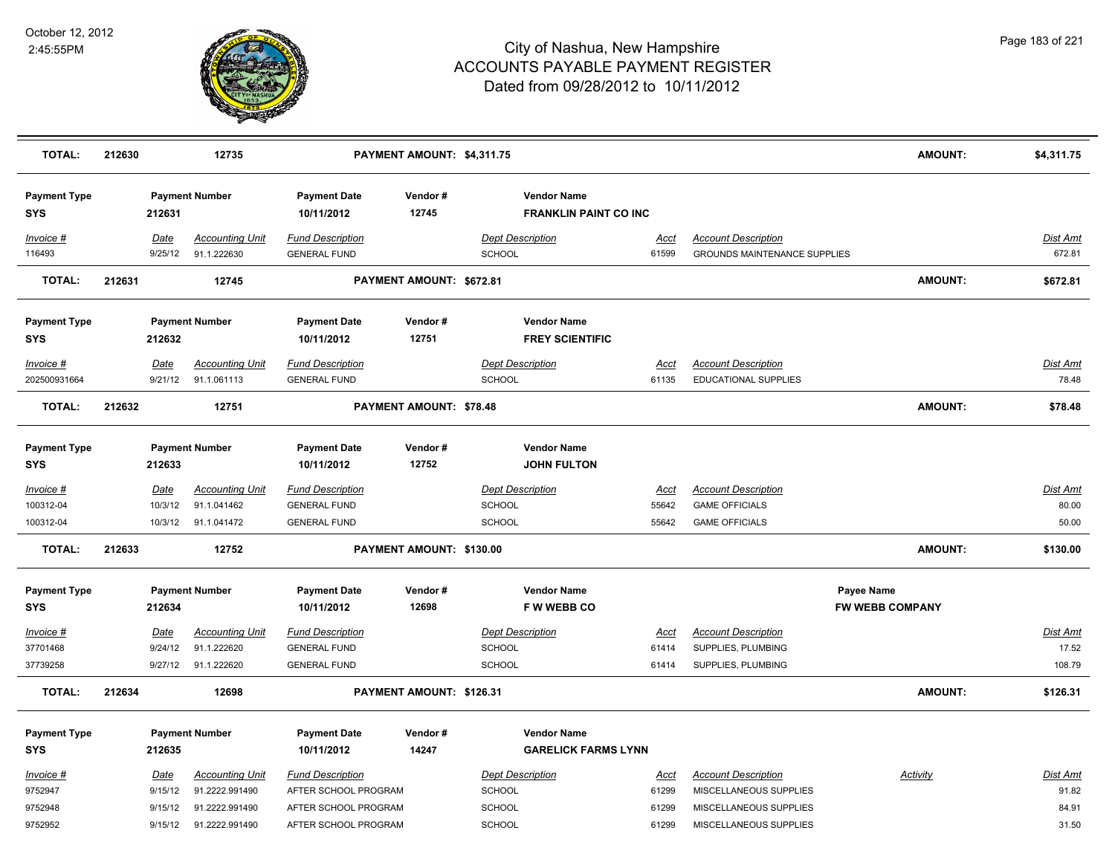

| <b>TOTAL:</b>                     | 212630 |                            | 12735                                                |                                                                       | PAYMENT AMOUNT: \$4,311.75 |                                                    |                        |                                                                        | <b>AMOUNT:</b>         | \$4,311.75                  |
|-----------------------------------|--------|----------------------------|------------------------------------------------------|-----------------------------------------------------------------------|----------------------------|----------------------------------------------------|------------------------|------------------------------------------------------------------------|------------------------|-----------------------------|
| <b>Payment Type</b><br><b>SYS</b> |        | 212631                     | <b>Payment Number</b>                                | <b>Payment Date</b><br>10/11/2012                                     | Vendor#<br>12745           | <b>Vendor Name</b><br><b>FRANKLIN PAINT CO INC</b> |                        |                                                                        |                        |                             |
| Invoice #<br>116493               |        | Date<br>9/25/12            | <b>Accounting Unit</b><br>91.1.222630                | <b>Fund Description</b><br><b>GENERAL FUND</b>                        |                            | <b>Dept Description</b><br>SCHOOL                  | Acct<br>61599          | <b>Account Description</b><br><b>GROUNDS MAINTENANCE SUPPLIES</b>      |                        | Dist Amt<br>672.81          |
| <b>TOTAL:</b>                     | 212631 |                            | 12745                                                |                                                                       | PAYMENT AMOUNT: \$672.81   |                                                    |                        |                                                                        | <b>AMOUNT:</b>         | \$672.81                    |
| <b>Payment Type</b><br><b>SYS</b> |        | 212632                     | <b>Payment Number</b>                                | <b>Payment Date</b><br>10/11/2012                                     | Vendor#<br>12751           | <b>Vendor Name</b><br><b>FREY SCIENTIFIC</b>       |                        |                                                                        |                        |                             |
| Invoice #<br>202500931664         |        | Date<br>9/21/12            | <b>Accounting Unit</b><br>91.1.061113                | <b>Fund Description</b><br><b>GENERAL FUND</b>                        |                            | <b>Dept Description</b><br>SCHOOL                  | <u>Acct</u><br>61135   | <b>Account Description</b><br>EDUCATIONAL SUPPLIES                     |                        | <b>Dist Amt</b><br>78.48    |
| <b>TOTAL:</b>                     | 212632 |                            | 12751                                                |                                                                       | PAYMENT AMOUNT: \$78.48    |                                                    |                        |                                                                        | <b>AMOUNT:</b>         | \$78.48                     |
| <b>Payment Type</b><br><b>SYS</b> |        | 212633                     | <b>Payment Number</b>                                | <b>Payment Date</b><br>10/11/2012                                     | Vendor#<br>12752           | <b>Vendor Name</b><br><b>JOHN FULTON</b>           |                        |                                                                        |                        |                             |
| Invoice #<br>100312-04            |        | <b>Date</b><br>10/3/12     | <b>Accounting Unit</b><br>91.1.041462                | <b>Fund Description</b><br><b>GENERAL FUND</b>                        |                            | <b>Dept Description</b><br>SCHOOL                  | <b>Acct</b><br>55642   | <b>Account Description</b><br><b>GAME OFFICIALS</b>                    |                        | Dist Amt<br>80.00           |
| 100312-04<br><b>TOTAL:</b>        | 212633 | 10/3/12                    | 91.1.041472<br>12752                                 | <b>GENERAL FUND</b>                                                   | PAYMENT AMOUNT: \$130.00   | SCHOOL                                             | 55642                  | <b>GAME OFFICIALS</b>                                                  | <b>AMOUNT:</b>         | 50.00<br>\$130.00           |
| <b>Payment Type</b>               |        |                            | <b>Payment Number</b>                                | <b>Payment Date</b>                                                   | Vendor#                    | <b>Vendor Name</b>                                 |                        |                                                                        | Payee Name             |                             |
| <b>SYS</b>                        |        | 212634                     |                                                      | 10/11/2012                                                            | 12698                      | <b>FWWEBBCO</b>                                    |                        |                                                                        | <b>FW WEBB COMPANY</b> |                             |
| Invoice #<br>37701468<br>37739258 |        | Date<br>9/24/12<br>9/27/12 | <b>Accounting Unit</b><br>91.1.222620<br>91.1.222620 | <b>Fund Description</b><br><b>GENERAL FUND</b><br><b>GENERAL FUND</b> |                            | <b>Dept Description</b><br>SCHOOL<br>SCHOOL        | Acct<br>61414<br>61414 | <b>Account Description</b><br>SUPPLIES, PLUMBING<br>SUPPLIES, PLUMBING |                        | Dist Amt<br>17.52<br>108.79 |
| <b>TOTAL:</b>                     | 212634 |                            | 12698                                                |                                                                       | PAYMENT AMOUNT: \$126.31   |                                                    |                        |                                                                        | <b>AMOUNT:</b>         | \$126.31                    |
| <b>Payment Type</b>               |        |                            | <b>Payment Number</b>                                | <b>Payment Date</b>                                                   | Vendor#                    | <b>Vendor Name</b>                                 |                        |                                                                        |                        |                             |
| <b>SYS</b>                        |        | 212635                     |                                                      | 10/11/2012                                                            | 14247                      | <b>GARELICK FARMS LYNN</b>                         |                        |                                                                        |                        |                             |
| Invoice #                         |        | <u>Date</u>                | <b>Accounting Unit</b>                               | <b>Fund Description</b>                                               |                            | <b>Dept Description</b>                            | <u>Acct</u>            | <b>Account Description</b>                                             | <b>Activity</b>        | <b>Dist Amt</b>             |
| 9752947                           |        | 9/15/12                    | 91.2222.991490                                       | AFTER SCHOOL PROGRAM                                                  |                            | SCHOOL                                             | 61299                  | MISCELLANEOUS SUPPLIES                                                 |                        | 91.82                       |
| 9752948<br>9752952                |        | 9/15/12<br>9/15/12         | 91.2222.991490<br>91.2222.991490                     | AFTER SCHOOL PROGRAM<br>AFTER SCHOOL PROGRAM                          |                            | SCHOOL<br>SCHOOL                                   | 61299<br>61299         | MISCELLANEOUS SUPPLIES<br>MISCELLANEOUS SUPPLIES                       |                        | 84.91<br>31.50              |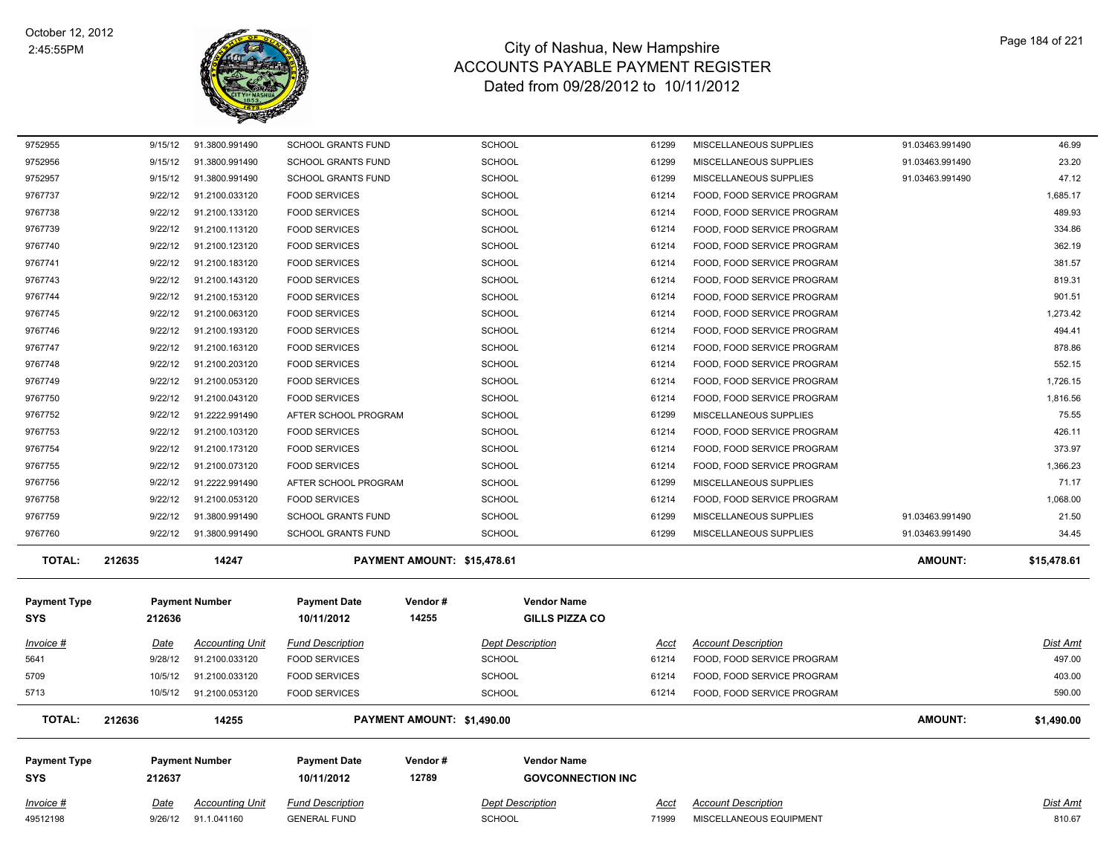

| 9752955                           | 9/15/12 | 91.3800.991490         | <b>SCHOOL GRANTS FUND</b>         |                             | <b>SCHOOL</b>                                  | 61299 | MISCELLANEOUS SUPPLIES     | 91.03463.991490 | 46.99       |
|-----------------------------------|---------|------------------------|-----------------------------------|-----------------------------|------------------------------------------------|-------|----------------------------|-----------------|-------------|
| 9752956                           | 9/15/12 | 91.3800.991490         | <b>SCHOOL GRANTS FUND</b>         |                             | SCHOOL                                         | 61299 | MISCELLANEOUS SUPPLIES     | 91.03463.991490 | 23.20       |
| 9752957                           | 9/15/12 | 91.3800.991490         | <b>SCHOOL GRANTS FUND</b>         |                             | <b>SCHOOL</b>                                  | 61299 | MISCELLANEOUS SUPPLIES     | 91.03463.991490 | 47.12       |
| 9767737                           | 9/22/12 | 91.2100.033120         | <b>FOOD SERVICES</b>              |                             | <b>SCHOOL</b>                                  | 61214 | FOOD, FOOD SERVICE PROGRAM |                 | 1,685.17    |
| 9767738                           | 9/22/12 | 91.2100.133120         | <b>FOOD SERVICES</b>              |                             | <b>SCHOOL</b>                                  | 61214 | FOOD, FOOD SERVICE PROGRAM |                 | 489.93      |
| 9767739                           | 9/22/12 | 91.2100.113120         | <b>FOOD SERVICES</b>              |                             | <b>SCHOOL</b>                                  | 61214 | FOOD, FOOD SERVICE PROGRAM |                 | 334.86      |
| 9767740                           | 9/22/12 | 91.2100.123120         | <b>FOOD SERVICES</b>              |                             | SCHOOL                                         | 61214 | FOOD, FOOD SERVICE PROGRAM |                 | 362.19      |
| 9767741                           | 9/22/12 | 91.2100.183120         | <b>FOOD SERVICES</b>              |                             | <b>SCHOOL</b>                                  | 61214 | FOOD, FOOD SERVICE PROGRAM |                 | 381.57      |
| 9767743                           | 9/22/12 | 91.2100.143120         | <b>FOOD SERVICES</b>              |                             | <b>SCHOOL</b>                                  | 61214 | FOOD, FOOD SERVICE PROGRAM |                 | 819.31      |
| 9767744                           | 9/22/12 | 91.2100.153120         | <b>FOOD SERVICES</b>              |                             | <b>SCHOOL</b>                                  | 61214 | FOOD, FOOD SERVICE PROGRAM |                 | 901.51      |
| 9767745                           | 9/22/12 | 91.2100.063120         | <b>FOOD SERVICES</b>              |                             | <b>SCHOOL</b>                                  | 61214 | FOOD, FOOD SERVICE PROGRAM |                 | 1,273.42    |
| 9767746                           | 9/22/12 | 91.2100.193120         | <b>FOOD SERVICES</b>              |                             | <b>SCHOOL</b>                                  | 61214 | FOOD, FOOD SERVICE PROGRAM |                 | 494.41      |
| 9767747                           | 9/22/12 | 91.2100.163120         | <b>FOOD SERVICES</b>              |                             | <b>SCHOOL</b>                                  | 61214 | FOOD, FOOD SERVICE PROGRAM |                 | 878.86      |
| 9767748                           | 9/22/12 | 91.2100.203120         | <b>FOOD SERVICES</b>              |                             | <b>SCHOOL</b>                                  | 61214 | FOOD, FOOD SERVICE PROGRAM |                 | 552.15      |
| 9767749                           | 9/22/12 | 91.2100.053120         | <b>FOOD SERVICES</b>              |                             | SCHOOL                                         | 61214 | FOOD, FOOD SERVICE PROGRAM |                 | 1,726.15    |
| 9767750                           | 9/22/12 | 91.2100.043120         | <b>FOOD SERVICES</b>              |                             | <b>SCHOOL</b>                                  | 61214 | FOOD, FOOD SERVICE PROGRAM |                 | 1,816.56    |
| 9767752                           | 9/22/12 | 91.2222.991490         | AFTER SCHOOL PROGRAM              |                             | <b>SCHOOL</b>                                  | 61299 | MISCELLANEOUS SUPPLIES     |                 | 75.55       |
| 9767753                           | 9/22/12 | 91.2100.103120         | <b>FOOD SERVICES</b>              |                             | <b>SCHOOL</b>                                  | 61214 | FOOD, FOOD SERVICE PROGRAM |                 | 426.11      |
| 9767754                           | 9/22/12 | 91.2100.173120         | <b>FOOD SERVICES</b>              |                             | <b>SCHOOL</b>                                  | 61214 | FOOD, FOOD SERVICE PROGRAM |                 | 373.97      |
| 9767755                           | 9/22/12 | 91.2100.073120         | <b>FOOD SERVICES</b>              |                             | <b>SCHOOL</b>                                  | 61214 | FOOD, FOOD SERVICE PROGRAM |                 | 1,366.23    |
| 9767756                           | 9/22/12 | 91.2222.991490         | AFTER SCHOOL PROGRAM              |                             | <b>SCHOOL</b>                                  | 61299 | MISCELLANEOUS SUPPLIES     |                 | 71.17       |
| 9767758                           | 9/22/12 | 91.2100.053120         | <b>FOOD SERVICES</b>              |                             | <b>SCHOOL</b>                                  | 61214 | FOOD, FOOD SERVICE PROGRAM |                 | 1,068.00    |
| 9767759                           | 9/22/12 | 91.3800.991490         | <b>SCHOOL GRANTS FUND</b>         |                             | <b>SCHOOL</b>                                  | 61299 | MISCELLANEOUS SUPPLIES     | 91.03463.991490 | 21.50       |
| 9767760                           | 9/22/12 | 91.3800.991490         | <b>SCHOOL GRANTS FUND</b>         |                             | <b>SCHOOL</b>                                  | 61299 | MISCELLANEOUS SUPPLIES     | 91.03463.991490 | 34.45       |
| <b>TOTAL:</b>                     | 212635  | 14247                  |                                   | PAYMENT AMOUNT: \$15,478.61 |                                                |       |                            | AMOUNT:         | \$15,478.61 |
|                                   |         |                        |                                   |                             |                                                |       |                            |                 |             |
| <b>Payment Type</b>               |         | <b>Payment Number</b>  | <b>Payment Date</b><br>10/11/2012 | Vendor#<br>14255            | <b>Vendor Name</b>                             |       |                            |                 |             |
| <b>SYS</b>                        | 212636  |                        |                                   |                             | <b>GILLS PIZZA CO</b>                          |       |                            |                 |             |
| Invoice #                         | Date    | <b>Accounting Unit</b> | <b>Fund Description</b>           |                             | <b>Dept Description</b>                        | Acct  | <b>Account Description</b> |                 | Dist Amt    |
| 5641                              | 9/28/12 | 91.2100.033120         | <b>FOOD SERVICES</b>              |                             | <b>SCHOOL</b>                                  | 61214 | FOOD, FOOD SERVICE PROGRAM |                 | 497.00      |
| 5709                              | 10/5/12 | 91.2100.033120         | <b>FOOD SERVICES</b>              |                             | <b>SCHOOL</b>                                  | 61214 | FOOD, FOOD SERVICE PROGRAM |                 | 403.00      |
| 5713                              | 10/5/12 | 91.2100.053120         | <b>FOOD SERVICES</b>              |                             | <b>SCHOOL</b>                                  | 61214 | FOOD, FOOD SERVICE PROGRAM |                 | 590.00      |
| <b>TOTAL:</b>                     | 212636  | 14255                  |                                   | PAYMENT AMOUNT: \$1,490.00  |                                                |       |                            | AMOUNT:         | \$1,490.00  |
|                                   |         |                        |                                   |                             |                                                |       |                            |                 |             |
| <b>Payment Type</b><br><b>SYS</b> |         | <b>Payment Number</b>  | <b>Payment Date</b><br>10/11/2012 | Vendor#<br>12789            | <b>Vendor Name</b><br><b>GOVCONNECTION INC</b> |       |                            |                 |             |
|                                   | 212637  |                        |                                   |                             |                                                |       |                            |                 |             |
| Invoice #                         | Date    | <b>Accounting Unit</b> | <b>Fund Description</b>           |                             | <b>Dept Description</b>                        | Acct  | <b>Account Description</b> |                 | Dist Amt    |
| 49512198                          | 9/26/12 | 91.1.041160            | <b>GENERAL FUND</b>               |                             | <b>SCHOOL</b>                                  | 71999 | MISCELLANEOUS EQUIPMENT    |                 | 810.67      |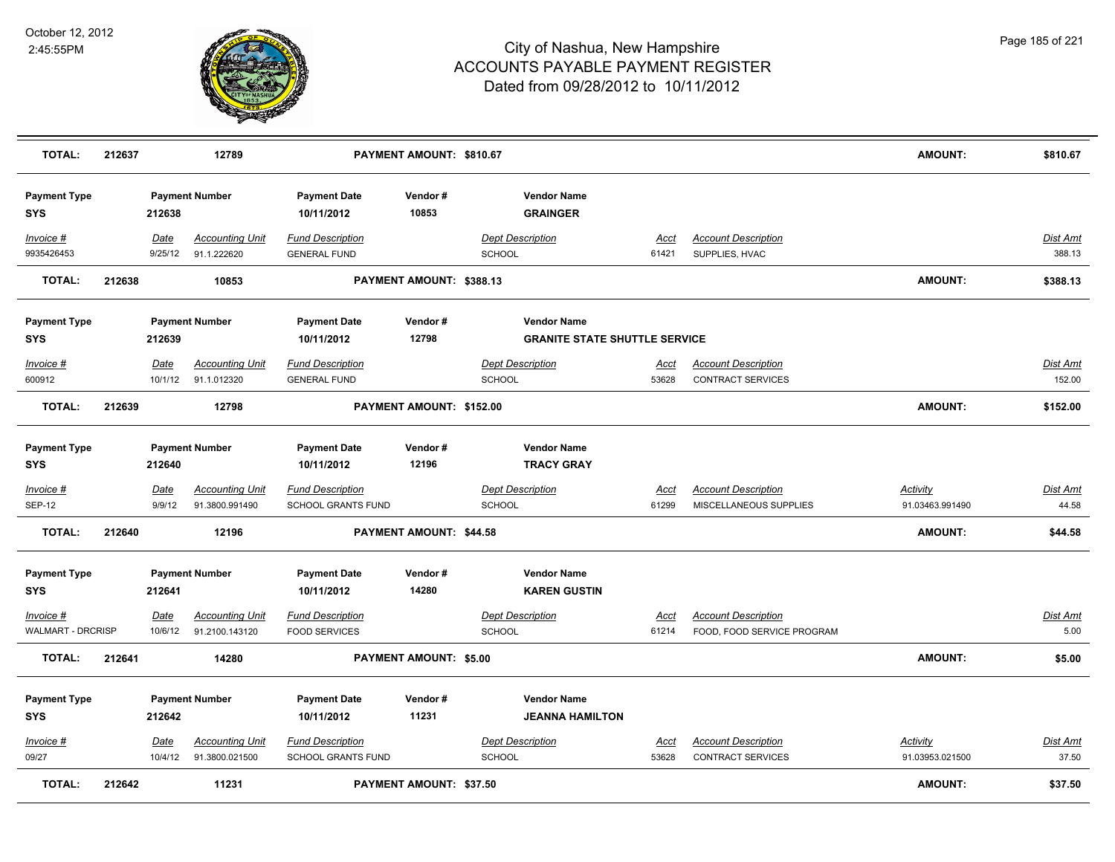

| <b>TOTAL:</b>                     | 212637 |                       | 12789                                    |                                                      | PAYMENT AMOUNT: \$810.67       |                                           |                                      |                                                        | <b>AMOUNT:</b>                     | \$810.67                 |
|-----------------------------------|--------|-----------------------|------------------------------------------|------------------------------------------------------|--------------------------------|-------------------------------------------|--------------------------------------|--------------------------------------------------------|------------------------------------|--------------------------|
| <b>Payment Type</b><br><b>SYS</b> |        | 212638                | <b>Payment Number</b>                    | <b>Payment Date</b><br>10/11/2012                    | Vendor#<br>10853               | <b>Vendor Name</b><br><b>GRAINGER</b>     |                                      |                                                        |                                    |                          |
| $Invoice$ #<br>9935426453         |        | Date<br>9/25/12       | <b>Accounting Unit</b><br>91.1.222620    | <b>Fund Description</b><br><b>GENERAL FUND</b>       |                                | <b>Dept Description</b><br><b>SCHOOL</b>  | <u>Acct</u><br>61421                 | <b>Account Description</b><br>SUPPLIES, HVAC           |                                    | Dist Amt<br>388.13       |
| <b>TOTAL:</b>                     | 212638 |                       | 10853                                    |                                                      | PAYMENT AMOUNT: \$388.13       |                                           |                                      |                                                        | <b>AMOUNT:</b>                     | \$388.13                 |
| <b>Payment Type</b>               |        |                       | <b>Payment Number</b>                    | <b>Payment Date</b>                                  | Vendor#                        | <b>Vendor Name</b>                        |                                      |                                                        |                                    |                          |
| <b>SYS</b>                        |        | 212639                |                                          | 10/11/2012                                           | 12798                          |                                           | <b>GRANITE STATE SHUTTLE SERVICE</b> |                                                        |                                    |                          |
| Invoice #                         |        | Date                  | <b>Accounting Unit</b>                   | <b>Fund Description</b>                              |                                | <b>Dept Description</b>                   | Acct                                 | <b>Account Description</b>                             |                                    | Dist Amt                 |
| 600912                            |        | 10/1/12               | 91.1.012320                              | <b>GENERAL FUND</b>                                  |                                | <b>SCHOOL</b>                             | 53628                                | <b>CONTRACT SERVICES</b>                               |                                    | 152.00                   |
| <b>TOTAL:</b>                     | 212639 |                       | 12798                                    |                                                      | PAYMENT AMOUNT: \$152.00       |                                           |                                      |                                                        | <b>AMOUNT:</b>                     | \$152.00                 |
| <b>Payment Type</b><br><b>SYS</b> |        | 212640                | <b>Payment Number</b>                    | <b>Payment Date</b><br>10/11/2012                    | Vendor#<br>12196               | <b>Vendor Name</b><br><b>TRACY GRAY</b>   |                                      |                                                        |                                    |                          |
| Invoice #<br><b>SEP-12</b>        |        | <u>Date</u><br>9/9/12 | <b>Accounting Unit</b><br>91.3800.991490 | <b>Fund Description</b><br>SCHOOL GRANTS FUND        |                                | <b>Dept Description</b><br><b>SCHOOL</b>  | <u>Acct</u><br>61299                 | <b>Account Description</b><br>MISCELLANEOUS SUPPLIES   | <u>Activity</u><br>91.03463.991490 | <u>Dist Amt</u><br>44.58 |
| <b>TOTAL:</b>                     | 212640 |                       | 12196                                    |                                                      | PAYMENT AMOUNT: \$44.58        |                                           |                                      |                                                        | <b>AMOUNT:</b>                     | \$44.58                  |
| <b>Payment Type</b><br><b>SYS</b> |        | 212641                | <b>Payment Number</b>                    | <b>Payment Date</b><br>10/11/2012                    | Vendor#<br>14280               | <b>Vendor Name</b><br><b>KAREN GUSTIN</b> |                                      |                                                        |                                    |                          |
| Invoice #                         |        | Date                  | <b>Accounting Unit</b>                   | <b>Fund Description</b>                              |                                | <b>Dept Description</b>                   | <b>Acct</b>                          | <b>Account Description</b>                             |                                    | Dist Amt                 |
| <b>WALMART - DRCRISP</b>          |        | 10/6/12               | 91.2100.143120                           | <b>FOOD SERVICES</b>                                 |                                | <b>SCHOOL</b>                             | 61214                                | FOOD, FOOD SERVICE PROGRAM                             |                                    | 5.00                     |
| <b>TOTAL:</b>                     | 212641 |                       | 14280                                    |                                                      | PAYMENT AMOUNT: \$5.00         |                                           |                                      |                                                        | <b>AMOUNT:</b>                     | \$5.00                   |
| <b>Payment Type</b>               |        |                       | <b>Payment Number</b>                    | <b>Payment Date</b>                                  | Vendor#                        | <b>Vendor Name</b>                        |                                      |                                                        |                                    |                          |
| <b>SYS</b>                        |        | 212642                |                                          | 10/11/2012                                           | 11231                          | <b>JEANNA HAMILTON</b>                    |                                      |                                                        |                                    |                          |
|                                   |        |                       |                                          |                                                      |                                |                                           |                                      |                                                        |                                    |                          |
| $Invoice$ #<br>09/27              |        | Date<br>10/4/12       | <b>Accounting Unit</b><br>91.3800.021500 | <b>Fund Description</b><br><b>SCHOOL GRANTS FUND</b> |                                | <b>Dept Description</b><br><b>SCHOOL</b>  | <u>Acct</u><br>53628                 | <b>Account Description</b><br><b>CONTRACT SERVICES</b> | <b>Activity</b><br>91.03953.021500 | <u>Dist Amt</u><br>37.50 |
|                                   |        |                       |                                          |                                                      |                                |                                           |                                      |                                                        |                                    |                          |
| <b>TOTAL:</b>                     | 212642 |                       | 11231                                    |                                                      | <b>PAYMENT AMOUNT: \$37.50</b> |                                           |                                      |                                                        | <b>AMOUNT:</b>                     | \$37.50                  |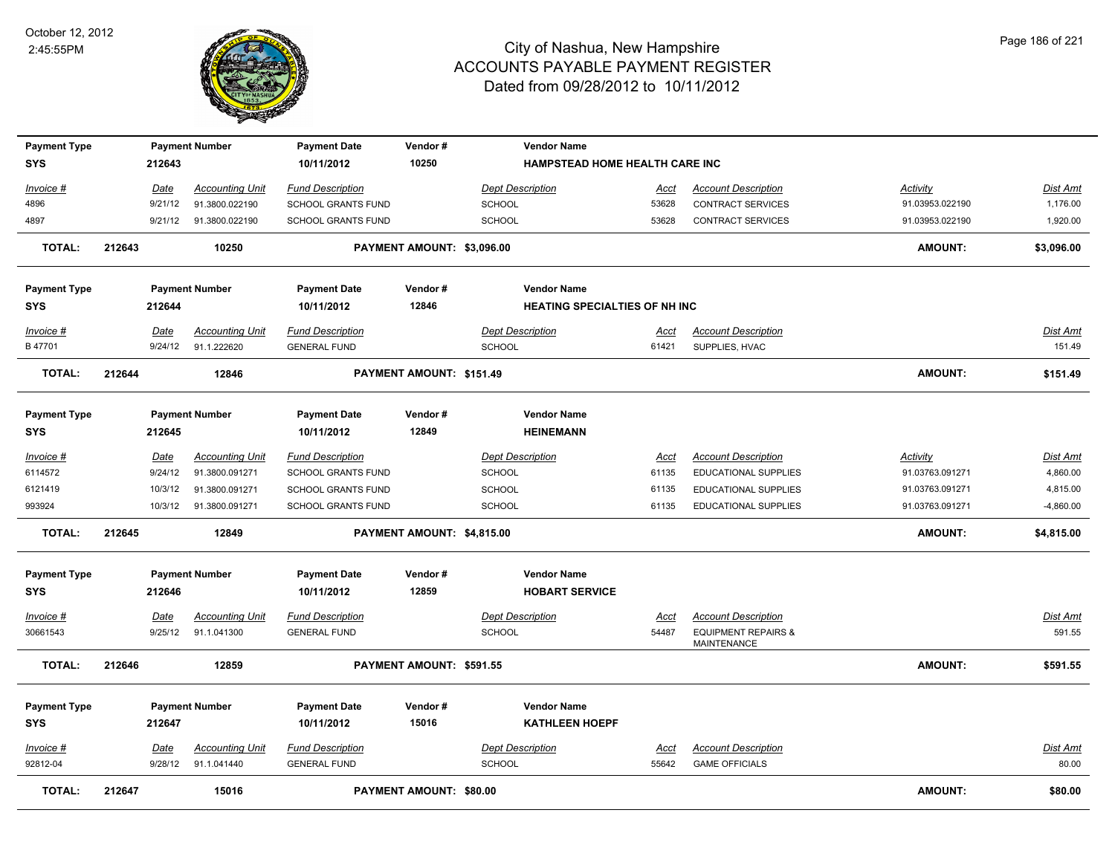

| <b>Payment Type</b> |        |             | <b>Payment Number</b>  | <b>Payment Date</b>       | Vendor#                        | <b>Vendor Name</b>                   |             |                                                      |                 |                 |
|---------------------|--------|-------------|------------------------|---------------------------|--------------------------------|--------------------------------------|-------------|------------------------------------------------------|-----------------|-----------------|
| <b>SYS</b>          |        | 212643      |                        | 10/11/2012                | 10250                          | HAMPSTEAD HOME HEALTH CARE INC       |             |                                                      |                 |                 |
| Invoice #           |        | Date        | <b>Accounting Unit</b> | <b>Fund Description</b>   |                                | <b>Dept Description</b>              | <u>Acct</u> | <b>Account Description</b>                           | Activity        | Dist Amt        |
| 4896                |        | 9/21/12     | 91.3800.022190         | SCHOOL GRANTS FUND        |                                | SCHOOL                               | 53628       | CONTRACT SERVICES                                    | 91.03953.022190 | 1,176.00        |
| 4897                |        | 9/21/12     | 91.3800.022190         | SCHOOL GRANTS FUND        |                                | SCHOOL                               | 53628       | CONTRACT SERVICES                                    | 91.03953.022190 | 1,920.00        |
| <b>TOTAL:</b>       | 212643 |             | 10250                  |                           | PAYMENT AMOUNT: \$3,096.00     |                                      |             |                                                      | AMOUNT:         | \$3,096.00      |
| <b>Payment Type</b> |        |             | <b>Payment Number</b>  | <b>Payment Date</b>       | Vendor#                        | <b>Vendor Name</b>                   |             |                                                      |                 |                 |
| SYS                 |        | 212644      |                        | 10/11/2012                | 12846                          | <b>HEATING SPECIALTIES OF NH INC</b> |             |                                                      |                 |                 |
| Invoice #           |        | Date        | <b>Accounting Unit</b> | <b>Fund Description</b>   |                                | <b>Dept Description</b>              | Acct        | <b>Account Description</b>                           |                 | Dist Amt        |
| B 47701             |        | 9/24/12     | 91.1.222620            | <b>GENERAL FUND</b>       |                                | SCHOOL                               | 61421       | SUPPLIES, HVAC                                       |                 | 151.49          |
| <b>TOTAL:</b>       | 212644 |             | 12846                  |                           | PAYMENT AMOUNT: \$151.49       |                                      |             |                                                      | AMOUNT:         | \$151.49        |
| <b>Payment Type</b> |        |             | <b>Payment Number</b>  | <b>Payment Date</b>       | Vendor#                        | <b>Vendor Name</b>                   |             |                                                      |                 |                 |
| SYS                 |        | 212645      |                        | 10/11/2012                | 12849                          | <b>HEINEMANN</b>                     |             |                                                      |                 |                 |
| Invoice #           |        | Date        | <b>Accounting Unit</b> | <b>Fund Description</b>   |                                | <b>Dept Description</b>              | Acct        | <b>Account Description</b>                           | Activity        | Dist Amt        |
| 6114572             |        | 9/24/12     | 91.3800.091271         | SCHOOL GRANTS FUND        |                                | SCHOOL                               | 61135       | EDUCATIONAL SUPPLIES                                 | 91.03763.091271 | 4,860.00        |
| 6121419             |        | 10/3/12     | 91.3800.091271         | SCHOOL GRANTS FUND        |                                | SCHOOL                               | 61135       | <b>EDUCATIONAL SUPPLIES</b>                          | 91.03763.091271 | 4,815.00        |
| 993924              |        | 10/3/12     | 91.3800.091271         | <b>SCHOOL GRANTS FUND</b> |                                | <b>SCHOOL</b>                        | 61135       | <b>EDUCATIONAL SUPPLIES</b>                          | 91.03763.091271 | $-4,860.00$     |
| <b>TOTAL:</b>       | 212645 |             | 12849                  |                           | PAYMENT AMOUNT: \$4,815.00     |                                      |             |                                                      | <b>AMOUNT:</b>  | \$4,815.00      |
| <b>Payment Type</b> |        |             | <b>Payment Number</b>  | <b>Payment Date</b>       | Vendor#                        | <b>Vendor Name</b>                   |             |                                                      |                 |                 |
| <b>SYS</b>          |        | 212646      |                        | 10/11/2012                | 12859                          | <b>HOBART SERVICE</b>                |             |                                                      |                 |                 |
| <u>Invoice #</u>    |        | Date        | <b>Accounting Unit</b> | <b>Fund Description</b>   |                                | <b>Dept Description</b>              | <u>Acct</u> | <b>Account Description</b>                           |                 | <u>Dist Amt</u> |
| 30661543            |        | 9/25/12     | 91.1.041300            | <b>GENERAL FUND</b>       |                                | SCHOOL                               | 54487       | <b>EQUIPMENT REPAIRS &amp;</b><br><b>MAINTENANCE</b> |                 | 591.55          |
| <b>TOTAL:</b>       | 212646 |             | 12859                  |                           | PAYMENT AMOUNT: \$591.55       |                                      |             |                                                      | <b>AMOUNT:</b>  | \$591.55        |
| <b>Payment Type</b> |        |             | <b>Payment Number</b>  | <b>Payment Date</b>       | Vendor#                        | <b>Vendor Name</b>                   |             |                                                      |                 |                 |
| SYS                 |        | 212647      |                        | 10/11/2012                | 15016                          | <b>KATHLEEN HOEPF</b>                |             |                                                      |                 |                 |
| <b>Invoice #</b>    |        | <u>Date</u> | <b>Accounting Unit</b> | <b>Fund Description</b>   |                                | <b>Dept Description</b>              | <u>Acct</u> | <b>Account Description</b>                           |                 | <u>Dist Amt</u> |
| 92812-04            |        | 9/28/12     | 91.1.041440            | <b>GENERAL FUND</b>       |                                | SCHOOL                               | 55642       | <b>GAME OFFICIALS</b>                                |                 | 80.00           |
| <b>TOTAL:</b>       | 212647 |             | 15016                  |                           | <b>PAYMENT AMOUNT: \$80.00</b> |                                      |             |                                                      | <b>AMOUNT:</b>  | \$80.00         |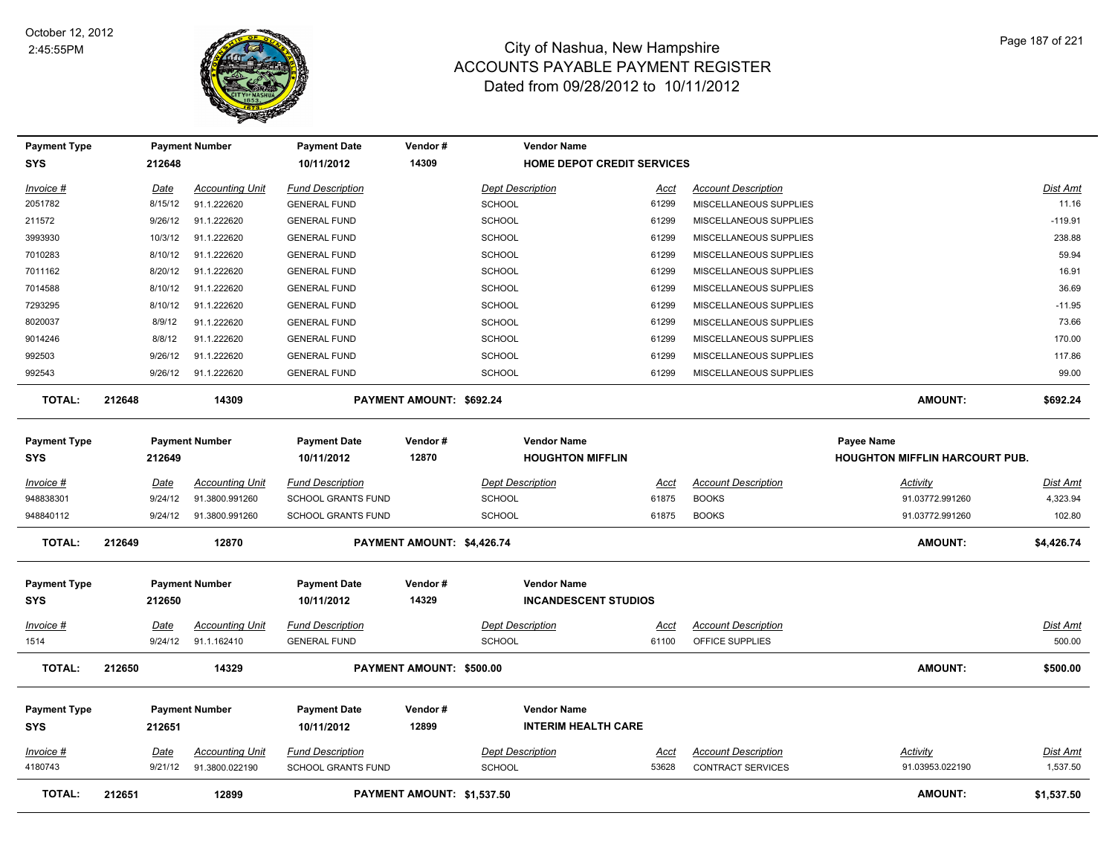

| <b>Payment Type</b>               |        |                 | <b>Payment Number</b>                    | <b>Payment Date</b>                                  | Vendor#                    |                                          | <b>Vendor Name</b>                                |               |                                            |                                                            |                      |
|-----------------------------------|--------|-----------------|------------------------------------------|------------------------------------------------------|----------------------------|------------------------------------------|---------------------------------------------------|---------------|--------------------------------------------|------------------------------------------------------------|----------------------|
| <b>SYS</b>                        |        | 212648          |                                          | 10/11/2012                                           | 14309                      |                                          | <b>HOME DEPOT CREDIT SERVICES</b>                 |               |                                            |                                                            |                      |
| Invoice #                         |        | Date            | <b>Accounting Unit</b>                   | <b>Fund Description</b>                              |                            | <b>Dept Description</b>                  |                                                   | <u>Acct</u>   | <b>Account Description</b>                 |                                                            | <b>Dist Amt</b>      |
| 2051782                           |        | 8/15/12         | 91.1.222620                              | <b>GENERAL FUND</b>                                  |                            | <b>SCHOOL</b>                            |                                                   | 61299         | MISCELLANEOUS SUPPLIES                     |                                                            | 11.16                |
| 211572                            |        | 9/26/12         | 91.1.222620                              | <b>GENERAL FUND</b>                                  |                            | <b>SCHOOL</b>                            |                                                   | 61299         | MISCELLANEOUS SUPPLIES                     |                                                            | $-119.91$            |
| 3993930                           |        | 10/3/12         | 91.1.222620                              | <b>GENERAL FUND</b>                                  |                            | <b>SCHOOL</b>                            |                                                   | 61299         | MISCELLANEOUS SUPPLIES                     |                                                            | 238.88               |
| 7010283                           |        | 8/10/12         | 91.1.222620                              | <b>GENERAL FUND</b>                                  |                            | SCHOOL                                   |                                                   | 61299         | MISCELLANEOUS SUPPLIES                     |                                                            | 59.94                |
| 7011162                           |        | 8/20/12         | 91.1.222620                              | <b>GENERAL FUND</b>                                  |                            | <b>SCHOOL</b>                            |                                                   | 61299         | MISCELLANEOUS SUPPLIES                     |                                                            | 16.91                |
| 7014588                           |        | 8/10/12         | 91.1.222620                              | <b>GENERAL FUND</b>                                  |                            | <b>SCHOOL</b>                            |                                                   | 61299         | MISCELLANEOUS SUPPLIES                     |                                                            | 36.69                |
| 7293295                           |        | 8/10/12         | 91.1.222620                              | <b>GENERAL FUND</b>                                  |                            | SCHOOL                                   |                                                   | 61299         | MISCELLANEOUS SUPPLIES                     |                                                            | $-11.95$             |
| 8020037                           |        | 8/9/12          | 91.1.222620                              | <b>GENERAL FUND</b>                                  |                            | <b>SCHOOL</b>                            |                                                   | 61299         | MISCELLANEOUS SUPPLIES                     |                                                            | 73.66                |
| 9014246                           |        | 8/8/12          | 91.1.222620                              | <b>GENERAL FUND</b>                                  |                            | <b>SCHOOL</b>                            |                                                   | 61299         | MISCELLANEOUS SUPPLIES                     |                                                            | 170.00               |
| 992503                            |        | 9/26/12         | 91.1.222620                              | <b>GENERAL FUND</b>                                  |                            | <b>SCHOOL</b>                            |                                                   | 61299         | MISCELLANEOUS SUPPLIES                     |                                                            | 117.86               |
| 992543                            |        | 9/26/12         | 91.1.222620                              | <b>GENERAL FUND</b>                                  |                            | <b>SCHOOL</b>                            |                                                   | 61299         | MISCELLANEOUS SUPPLIES                     |                                                            | 99.00                |
| <b>TOTAL:</b>                     | 212648 |                 | 14309                                    |                                                      | PAYMENT AMOUNT: \$692.24   |                                          |                                                   |               |                                            | AMOUNT:                                                    | \$692.24             |
| <b>Payment Type</b><br><b>SYS</b> |        | 212649          | <b>Payment Number</b>                    | <b>Payment Date</b><br>10/11/2012                    | Vendor#<br>12870           |                                          | <b>Vendor Name</b><br><b>HOUGHTON MIFFLIN</b>     |               |                                            | <b>Payee Name</b><br><b>HOUGHTON MIFFLIN HARCOURT PUB.</b> |                      |
|                                   |        |                 |                                          |                                                      |                            |                                          |                                                   |               |                                            |                                                            |                      |
| Invoice #<br>948838301            |        | Date<br>9/24/12 | <b>Accounting Unit</b><br>91.3800.991260 | <b>Fund Description</b><br><b>SCHOOL GRANTS FUND</b> |                            | <b>Dept Description</b><br><b>SCHOOL</b> |                                                   | Acct<br>61875 | <b>Account Description</b><br><b>BOOKS</b> | <b>Activity</b><br>91.03772.991260                         | Dist Amt<br>4,323.94 |
| 948840112                         |        | 9/24/12         | 91.3800.991260                           | <b>SCHOOL GRANTS FUND</b>                            |                            | <b>SCHOOL</b>                            |                                                   | 61875         | <b>BOOKS</b>                               | 91.03772.991260                                            | 102.80               |
| <b>TOTAL:</b>                     | 212649 |                 | 12870                                    |                                                      | PAYMENT AMOUNT: \$4,426.74 |                                          |                                                   |               |                                            | <b>AMOUNT:</b>                                             | \$4,426.74           |
| <b>Payment Type</b><br><b>SYS</b> |        | 212650          | <b>Payment Number</b>                    | <b>Payment Date</b><br>10/11/2012                    | Vendor#<br>14329           |                                          | <b>Vendor Name</b><br><b>INCANDESCENT STUDIOS</b> |               |                                            |                                                            |                      |
| Invoice #                         |        | Date            | <b>Accounting Unit</b>                   | <b>Fund Description</b>                              |                            | <b>Dept Description</b>                  |                                                   | Acct          | <b>Account Description</b>                 |                                                            | Dist Amt             |
| 1514                              |        | 9/24/12         | 91.1.162410                              | <b>GENERAL FUND</b>                                  |                            | <b>SCHOOL</b>                            |                                                   | 61100         | OFFICE SUPPLIES                            |                                                            | 500.00               |
| <b>TOTAL:</b>                     | 212650 |                 | 14329                                    |                                                      | PAYMENT AMOUNT: \$500.00   |                                          |                                                   |               |                                            | <b>AMOUNT:</b>                                             | \$500.00             |
| <b>Payment Type</b><br>SYS        |        | 212651          | <b>Payment Number</b>                    | <b>Payment Date</b><br>10/11/2012                    | Vendor#<br>12899           |                                          | <b>Vendor Name</b><br><b>INTERIM HEALTH CARE</b>  |               |                                            |                                                            |                      |
| Invoice #                         |        | <u>Date</u>     | <b>Accounting Unit</b>                   | <b>Fund Description</b>                              |                            | <b>Dept Description</b>                  |                                                   | <u>Acct</u>   | <b>Account Description</b>                 | <b>Activity</b>                                            | <b>Dist Amt</b>      |
| 4180743                           |        | 9/21/12         | 91.3800.022190                           | <b>SCHOOL GRANTS FUND</b>                            |                            | <b>SCHOOL</b>                            |                                                   | 53628         | <b>CONTRACT SERVICES</b>                   | 91.03953.022190                                            | 1,537.50             |
| <b>TOTAL:</b>                     | 212651 |                 | 12899                                    |                                                      | PAYMENT AMOUNT: \$1,537.50 |                                          |                                                   |               |                                            | AMOUNT:                                                    | \$1,537.50           |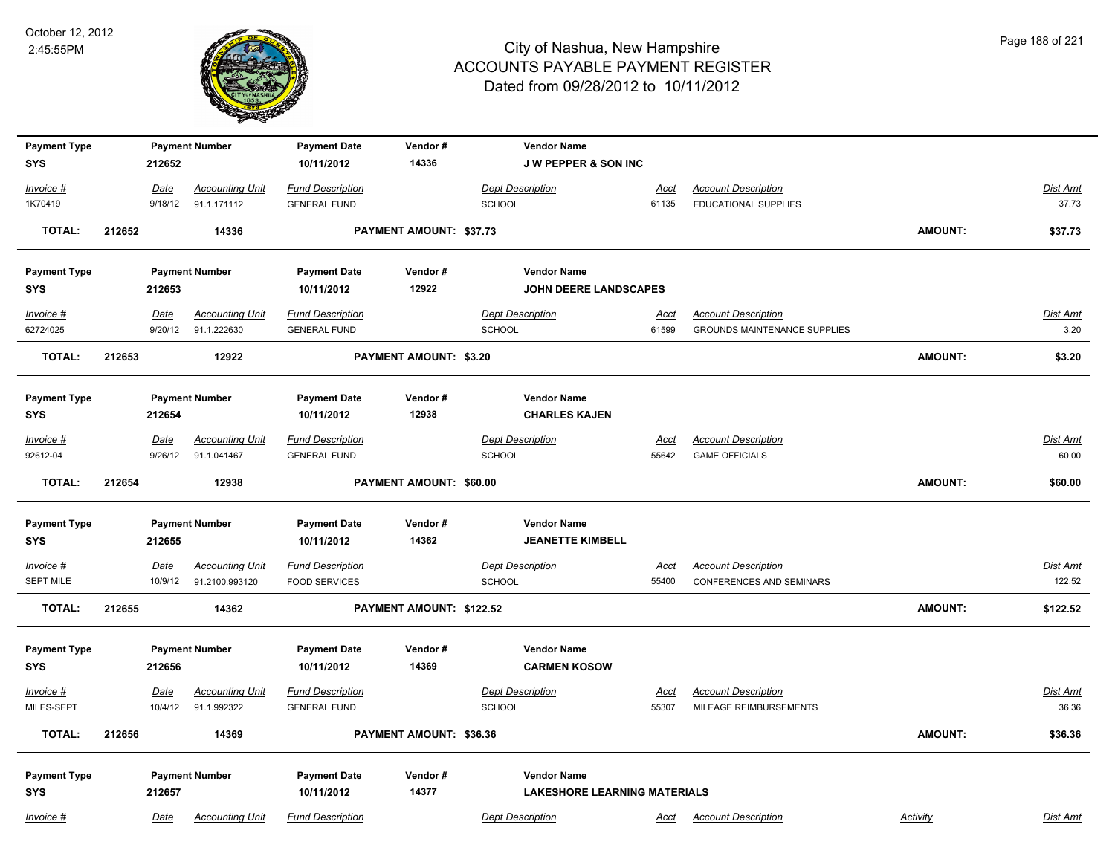

| <b>Payment Type</b>               |        |             | <b>Payment Number</b>  | <b>Payment Date</b>               | Vendor#                        | <b>Vendor Name</b>                        |             |                                     |                |                 |
|-----------------------------------|--------|-------------|------------------------|-----------------------------------|--------------------------------|-------------------------------------------|-------------|-------------------------------------|----------------|-----------------|
| <b>SYS</b>                        |        | 212652      |                        | 10/11/2012                        | 14336                          | <b>J W PEPPER &amp; SON INC</b>           |             |                                     |                |                 |
| Invoice #                         |        | Date        | <b>Accounting Unit</b> | <b>Fund Description</b>           |                                | <b>Dept Description</b>                   | Acct        | <b>Account Description</b>          |                | Dist Amt        |
| 1K70419                           |        | 9/18/12     | 91.1.171112            | <b>GENERAL FUND</b>               |                                | <b>SCHOOL</b>                             | 61135       | EDUCATIONAL SUPPLIES                |                | 37.73           |
| <b>TOTAL:</b>                     | 212652 |             | 14336                  |                                   | <b>PAYMENT AMOUNT: \$37.73</b> |                                           |             |                                     | <b>AMOUNT:</b> | \$37.73         |
| <b>Payment Type</b>               |        |             | <b>Payment Number</b>  | <b>Payment Date</b>               | Vendor#                        | <b>Vendor Name</b>                        |             |                                     |                |                 |
| <b>SYS</b>                        |        | 212653      |                        | 10/11/2012                        | 12922                          | <b>JOHN DEERE LANDSCAPES</b>              |             |                                     |                |                 |
| Invoice #                         |        | Date        | <b>Accounting Unit</b> | <b>Fund Description</b>           |                                | <b>Dept Description</b>                   | <u>Acct</u> | <b>Account Description</b>          |                | Dist Amt        |
| 62724025                          |        | 9/20/12     | 91.1.222630            | <b>GENERAL FUND</b>               |                                | <b>SCHOOL</b>                             | 61599       | <b>GROUNDS MAINTENANCE SUPPLIES</b> |                | 3.20            |
| <b>TOTAL:</b>                     | 212653 |             | 12922                  |                                   | <b>PAYMENT AMOUNT: \$3.20</b>  |                                           |             |                                     | <b>AMOUNT:</b> | \$3.20          |
| <b>Payment Type</b>               |        |             | <b>Payment Number</b>  | <b>Payment Date</b>               | Vendor#                        | <b>Vendor Name</b>                        |             |                                     |                |                 |
| <b>SYS</b>                        |        | 212654      |                        | 10/11/2012                        | 12938                          | <b>CHARLES KAJEN</b>                      |             |                                     |                |                 |
| Invoice #                         |        | <u>Date</u> | <b>Accounting Unit</b> | <b>Fund Description</b>           |                                | <b>Dept Description</b>                   | <u>Acct</u> | <b>Account Description</b>          |                | Dist Amt        |
| 92612-04                          |        | 9/26/12     | 91.1.041467            | <b>GENERAL FUND</b>               |                                | <b>SCHOOL</b>                             | 55642       | <b>GAME OFFICIALS</b>               |                | 60.00           |
| <b>TOTAL:</b>                     | 212654 |             | 12938                  |                                   | PAYMENT AMOUNT: \$60.00        |                                           |             |                                     | <b>AMOUNT:</b> | \$60.00         |
| <b>Payment Type</b>               |        |             | <b>Payment Number</b>  | <b>Payment Date</b>               | Vendor#                        | <b>Vendor Name</b>                        |             |                                     |                |                 |
| <b>SYS</b>                        |        | 212655      |                        | 10/11/2012                        | 14362                          | <b>JEANETTE KIMBELL</b>                   |             |                                     |                |                 |
| <u>Invoice #</u>                  |        | <u>Date</u> | <b>Accounting Unit</b> | <b>Fund Description</b>           |                                | <b>Dept Description</b>                   | <u>Acct</u> | <b>Account Description</b>          |                | <u>Dist Amt</u> |
| <b>SEPT MILE</b>                  |        | 10/9/12     | 91.2100.993120         | <b>FOOD SERVICES</b>              |                                | <b>SCHOOL</b>                             | 55400       | <b>CONFERENCES AND SEMINARS</b>     |                | 122.52          |
| <b>TOTAL:</b>                     | 212655 |             | 14362                  |                                   | PAYMENT AMOUNT: \$122.52       |                                           |             |                                     | <b>AMOUNT:</b> | \$122.52        |
|                                   |        |             |                        |                                   |                                |                                           |             |                                     |                |                 |
| <b>Payment Type</b><br><b>SYS</b> |        | 212656      | <b>Payment Number</b>  | <b>Payment Date</b><br>10/11/2012 | Vendor#<br>14369               | <b>Vendor Name</b><br><b>CARMEN KOSOW</b> |             |                                     |                |                 |
|                                   |        |             |                        |                                   |                                |                                           |             |                                     |                |                 |
| Invoice #                         |        | Date        | <b>Accounting Unit</b> | <b>Fund Description</b>           |                                | <b>Dept Description</b>                   | Acct        | <b>Account Description</b>          |                | Dist Amt        |
| MILES-SEPT                        |        | 10/4/12     | 91.1.992322            | <b>GENERAL FUND</b>               |                                | <b>SCHOOL</b>                             | 55307       | MILEAGE REIMBURSEMENTS              |                | 36.36           |
| <b>TOTAL:</b>                     | 212656 |             | 14369                  |                                   | PAYMENT AMOUNT: \$36.36        |                                           |             |                                     | <b>AMOUNT:</b> | \$36.36         |
| <b>Payment Type</b>               |        |             | <b>Payment Number</b>  | <b>Payment Date</b>               | Vendor#                        | <b>Vendor Name</b>                        |             |                                     |                |                 |
| <b>SYS</b>                        |        | 212657      |                        | 10/11/2012                        | 14377                          | <b>LAKESHORE LEARNING MATERIALS</b>       |             |                                     |                |                 |
| Invoice #                         |        | Date        | <b>Accounting Unit</b> | <b>Fund Description</b>           |                                | <b>Dept Description</b>                   | Acct        | <b>Account Description</b>          | Activity       | Dist Amt        |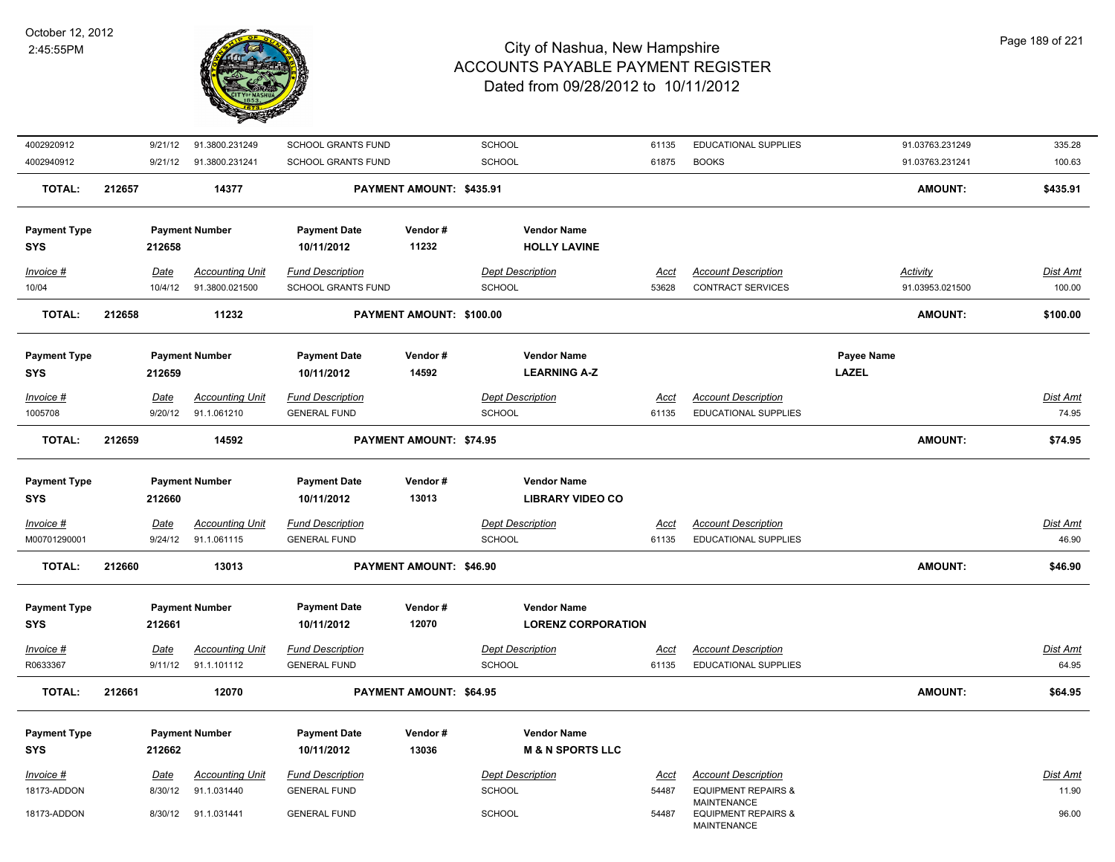

| 4002920912                        | 9/21/12         | 91.3800.231249                        | SCHOOL GRANTS FUND                             |                          | SCHOOL                                          | 61135                | EDUCATIONAL SUPPLIES                                      | 91.03763.231249            | 335.28                   |
|-----------------------------------|-----------------|---------------------------------------|------------------------------------------------|--------------------------|-------------------------------------------------|----------------------|-----------------------------------------------------------|----------------------------|--------------------------|
| 4002940912                        | 9/21/12         | 91.3800.231241                        | SCHOOL GRANTS FUND                             |                          | <b>SCHOOL</b>                                   | 61875                | <b>BOOKS</b>                                              | 91.03763.231241            | 100.63                   |
| <b>TOTAL:</b>                     | 212657          | 14377                                 |                                                | PAYMENT AMOUNT: \$435.91 |                                                 |                      |                                                           | <b>AMOUNT:</b>             | \$435.91                 |
| <b>Payment Type</b><br><b>SYS</b> | 212658          | <b>Payment Number</b>                 | <b>Payment Date</b><br>10/11/2012              | Vendor#<br>11232         | <b>Vendor Name</b><br><b>HOLLY LAVINE</b>       |                      |                                                           |                            |                          |
| Invoice #                         | Date            | <b>Accounting Unit</b>                | <b>Fund Description</b>                        |                          | <b>Dept Description</b>                         | <u>Acct</u>          | <b>Account Description</b>                                | Activity                   | Dist Amt                 |
| 10/04                             | 10/4/12         | 91.3800.021500                        | <b>SCHOOL GRANTS FUND</b>                      |                          | <b>SCHOOL</b>                                   | 53628                | CONTRACT SERVICES                                         | 91.03953.021500            | 100.00                   |
| <b>TOTAL:</b>                     | 212658          | 11232                                 |                                                | PAYMENT AMOUNT: \$100.00 |                                                 |                      |                                                           | <b>AMOUNT:</b>             | \$100.00                 |
| <b>Payment Type</b><br>SYS        | 212659          | <b>Payment Number</b>                 | <b>Payment Date</b><br>10/11/2012              | Vendor#<br>14592         | <b>Vendor Name</b><br><b>LEARNING A-Z</b>       |                      |                                                           | Payee Name<br><b>LAZEL</b> |                          |
| Invoice #                         | Date            | <b>Accounting Unit</b>                | <b>Fund Description</b>                        |                          | <b>Dept Description</b>                         | <u>Acct</u>          | <b>Account Description</b>                                |                            | Dist Amt                 |
| 1005708                           | 9/20/12         | 91.1.061210                           | <b>GENERAL FUND</b>                            |                          | <b>SCHOOL</b>                                   | 61135                | <b>EDUCATIONAL SUPPLIES</b>                               |                            | 74.95                    |
| <b>TOTAL:</b>                     | 212659          | 14592                                 |                                                | PAYMENT AMOUNT: \$74.95  |                                                 |                      |                                                           | <b>AMOUNT:</b>             | \$74.95                  |
| <b>Payment Type</b><br><b>SYS</b> | 212660          | <b>Payment Number</b>                 | <b>Payment Date</b><br>10/11/2012              | Vendor#<br>13013         | <b>Vendor Name</b><br><b>LIBRARY VIDEO CO</b>   |                      |                                                           |                            |                          |
| $Invoice$ #<br>M00701290001       | Date<br>9/24/12 | <b>Accounting Unit</b><br>91.1.061115 | <b>Fund Description</b><br><b>GENERAL FUND</b> |                          | <b>Dept Description</b><br><b>SCHOOL</b>        | <u>Acct</u><br>61135 | <b>Account Description</b><br><b>EDUCATIONAL SUPPLIES</b> |                            | <b>Dist Amt</b><br>46.90 |
| <b>TOTAL:</b>                     | 212660          | 13013                                 |                                                | PAYMENT AMOUNT: \$46.90  |                                                 |                      |                                                           | <b>AMOUNT:</b>             | \$46.90                  |
| <b>Payment Type</b><br><b>SYS</b> | 212661          | <b>Payment Number</b>                 | <b>Payment Date</b><br>10/11/2012              | Vendor#<br>12070         | <b>Vendor Name</b><br><b>LORENZ CORPORATION</b> |                      |                                                           |                            |                          |
| Invoice #                         | Date            | <b>Accounting Unit</b>                | <b>Fund Description</b>                        |                          | <b>Dept Description</b>                         | Acct                 | <b>Account Description</b>                                |                            | <b>Dist Amt</b>          |
| R0633367                          | 9/11/12         | 91.1.101112                           | <b>GENERAL FUND</b>                            |                          | <b>SCHOOL</b>                                   | 61135                | <b>EDUCATIONAL SUPPLIES</b>                               |                            | 64.95                    |
| <b>TOTAL:</b>                     | 212661          | 12070                                 |                                                | PAYMENT AMOUNT: \$64.95  |                                                 |                      |                                                           | <b>AMOUNT:</b>             | \$64.95                  |
| <b>Payment Type</b>               |                 | <b>Payment Number</b>                 | <b>Payment Date</b>                            | Vendor#                  | <b>Vendor Name</b>                              |                      |                                                           |                            |                          |
| <b>SYS</b>                        | 212662          |                                       | 10/11/2012                                     | 13036                    | <b>M &amp; N SPORTS LLC</b>                     |                      |                                                           |                            |                          |
| Invoice #                         | Date            | <b>Accounting Unit</b>                | <b>Fund Description</b>                        |                          | <b>Dept Description</b>                         | Acct                 | <b>Account Description</b>                                |                            | Dist Amt                 |
| 18173-ADDON                       | 8/30/12         | 91.1.031440                           | <b>GENERAL FUND</b>                            |                          | <b>SCHOOL</b>                                   | 54487                | <b>EQUIPMENT REPAIRS &amp;</b><br><b>MAINTENANCE</b>      |                            | 11.90                    |
| 18173-ADDON                       | 8/30/12         | 91.1.031441                           | <b>GENERAL FUND</b>                            |                          | <b>SCHOOL</b>                                   | 54487                | <b>EQUIPMENT REPAIRS &amp;</b><br><b>MAINTENANCE</b>      |                            | 96.00                    |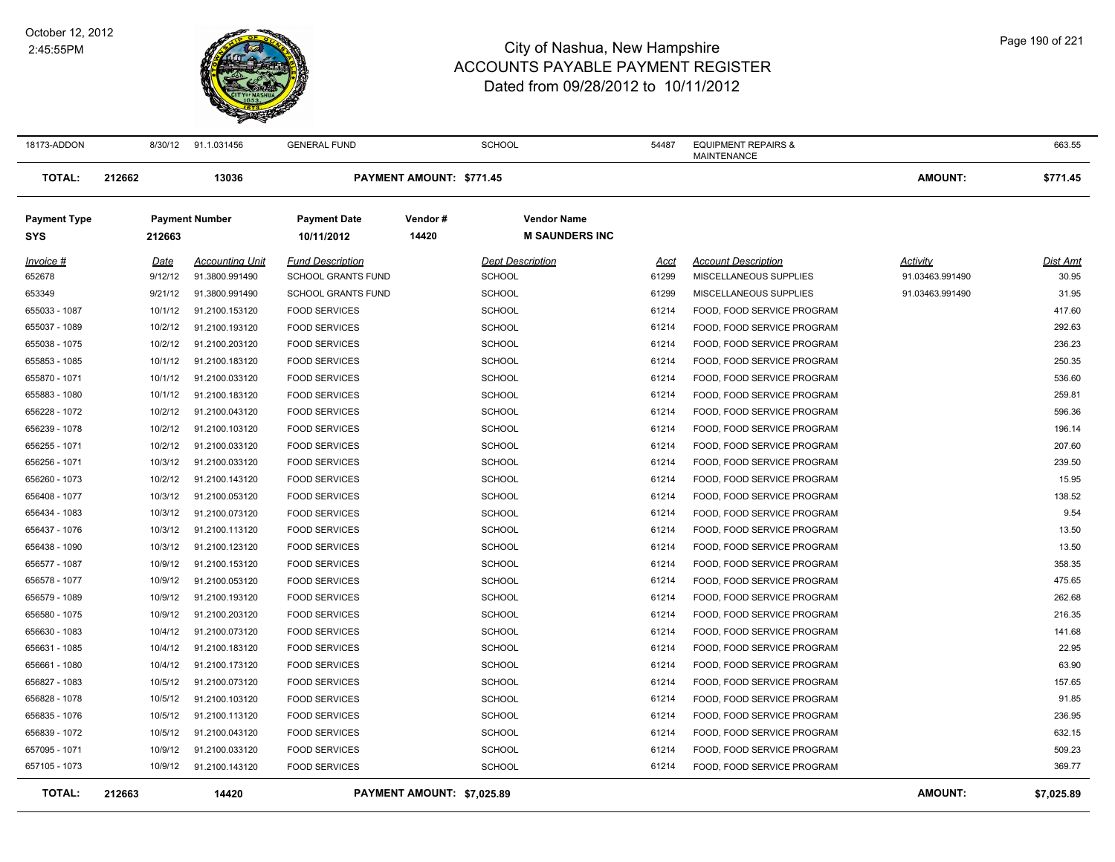

| 18173-ADDON                       |        | 8/30/12 | 91.1.031456            | <b>GENERAL FUND</b>               |                            | SCHOOL                  |                                             | 54487 | <b>EQUIPMENT REPAIRS &amp;</b><br>MAINTENANCE |                 | 663.55          |
|-----------------------------------|--------|---------|------------------------|-----------------------------------|----------------------------|-------------------------|---------------------------------------------|-------|-----------------------------------------------|-----------------|-----------------|
| <b>TOTAL:</b>                     | 212662 |         | 13036                  |                                   | PAYMENT AMOUNT: \$771.45   |                         |                                             |       |                                               | <b>AMOUNT:</b>  | \$771.45        |
| <b>Payment Type</b><br><b>SYS</b> |        | 212663  | <b>Payment Number</b>  | <b>Payment Date</b><br>10/11/2012 | Vendor#<br>14420           |                         | <b>Vendor Name</b><br><b>M SAUNDERS INC</b> |       |                                               |                 |                 |
| Invoice #                         |        | Date    | <b>Accounting Unit</b> | <b>Fund Description</b>           |                            | <b>Dept Description</b> |                                             | Acct  | <b>Account Description</b>                    | Activity        | <b>Dist Amt</b> |
| 652678                            |        | 9/12/12 | 91.3800.991490         | <b>SCHOOL GRANTS FUND</b>         |                            | <b>SCHOOL</b>           |                                             | 61299 | MISCELLANEOUS SUPPLIES                        | 91.03463.991490 | 30.95           |
| 653349                            |        | 9/21/12 | 91.3800.991490         | <b>SCHOOL GRANTS FUND</b>         |                            | <b>SCHOOL</b>           |                                             | 61299 | MISCELLANEOUS SUPPLIES                        | 91.03463.991490 | 31.95           |
| 655033 - 1087                     |        | 10/1/12 | 91.2100.153120         | <b>FOOD SERVICES</b>              |                            | <b>SCHOOL</b>           |                                             | 61214 | FOOD, FOOD SERVICE PROGRAM                    |                 | 417.60          |
| 655037 - 1089                     |        | 10/2/12 | 91.2100.193120         | <b>FOOD SERVICES</b>              |                            | <b>SCHOOL</b>           |                                             | 61214 | FOOD, FOOD SERVICE PROGRAM                    |                 | 292.63          |
| 655038 - 1075                     |        | 10/2/12 | 91.2100.203120         | <b>FOOD SERVICES</b>              |                            | <b>SCHOOL</b>           |                                             | 61214 | FOOD, FOOD SERVICE PROGRAM                    |                 | 236.23          |
| 655853 - 1085                     |        | 10/1/12 | 91.2100.183120         | <b>FOOD SERVICES</b>              |                            | <b>SCHOOL</b>           |                                             | 61214 | FOOD, FOOD SERVICE PROGRAM                    |                 | 250.35          |
| 655870 - 1071                     |        | 10/1/12 | 91.2100.033120         | <b>FOOD SERVICES</b>              |                            | <b>SCHOOL</b>           |                                             | 61214 | FOOD, FOOD SERVICE PROGRAM                    |                 | 536.60          |
| 655883 - 1080                     |        | 10/1/12 | 91.2100.183120         | <b>FOOD SERVICES</b>              |                            | <b>SCHOOL</b>           |                                             | 61214 | FOOD, FOOD SERVICE PROGRAM                    |                 | 259.81          |
| 656228 - 1072                     |        | 10/2/12 | 91.2100.043120         | <b>FOOD SERVICES</b>              |                            | <b>SCHOOL</b>           |                                             | 61214 | FOOD, FOOD SERVICE PROGRAM                    |                 | 596.36          |
| 656239 - 1078                     |        | 10/2/12 | 91.2100.103120         | <b>FOOD SERVICES</b>              |                            | <b>SCHOOL</b>           |                                             | 61214 | FOOD, FOOD SERVICE PROGRAM                    |                 | 196.14          |
| 656255 - 1071                     |        | 10/2/12 | 91.2100.033120         | <b>FOOD SERVICES</b>              |                            | <b>SCHOOL</b>           |                                             | 61214 | FOOD, FOOD SERVICE PROGRAM                    |                 | 207.60          |
| 656256 - 1071                     |        | 10/3/12 | 91.2100.033120         | <b>FOOD SERVICES</b>              |                            | <b>SCHOOL</b>           |                                             | 61214 | FOOD, FOOD SERVICE PROGRAM                    |                 | 239.50          |
| 656260 - 1073                     |        | 10/2/12 | 91.2100.143120         | <b>FOOD SERVICES</b>              |                            | SCHOOL                  |                                             | 61214 | FOOD, FOOD SERVICE PROGRAM                    |                 | 15.95           |
| 656408 - 1077                     |        | 10/3/12 | 91.2100.053120         | <b>FOOD SERVICES</b>              |                            | SCHOOL                  |                                             | 61214 | FOOD, FOOD SERVICE PROGRAM                    |                 | 138.52          |
| 656434 - 1083                     |        | 10/3/12 | 91.2100.073120         | <b>FOOD SERVICES</b>              |                            | <b>SCHOOL</b>           |                                             | 61214 | FOOD, FOOD SERVICE PROGRAM                    |                 | 9.54            |
| 656437 - 1076                     |        | 10/3/12 | 91.2100.113120         | <b>FOOD SERVICES</b>              |                            | <b>SCHOOL</b>           |                                             | 61214 | FOOD, FOOD SERVICE PROGRAM                    |                 | 13.50           |
| 656438 - 1090                     |        | 10/3/12 | 91.2100.123120         | <b>FOOD SERVICES</b>              |                            | <b>SCHOOL</b>           |                                             | 61214 | FOOD, FOOD SERVICE PROGRAM                    |                 | 13.50           |
| 656577 - 1087                     |        | 10/9/12 | 91.2100.153120         | <b>FOOD SERVICES</b>              |                            | <b>SCHOOL</b>           |                                             | 61214 | FOOD, FOOD SERVICE PROGRAM                    |                 | 358.35          |
| 656578 - 1077                     |        | 10/9/12 | 91.2100.053120         | <b>FOOD SERVICES</b>              |                            | <b>SCHOOL</b>           |                                             | 61214 | FOOD, FOOD SERVICE PROGRAM                    |                 | 475.65          |
| 656579 - 1089                     |        | 10/9/12 | 91.2100.193120         | <b>FOOD SERVICES</b>              |                            | <b>SCHOOL</b>           |                                             | 61214 | FOOD, FOOD SERVICE PROGRAM                    |                 | 262.68          |
| 656580 - 1075                     |        | 10/9/12 | 91.2100.203120         | <b>FOOD SERVICES</b>              |                            | <b>SCHOOL</b>           |                                             | 61214 | FOOD, FOOD SERVICE PROGRAM                    |                 | 216.35          |
| 656630 - 1083                     |        | 10/4/12 | 91.2100.073120         | <b>FOOD SERVICES</b>              |                            | <b>SCHOOL</b>           |                                             | 61214 | FOOD, FOOD SERVICE PROGRAM                    |                 | 141.68          |
| 656631 - 1085                     |        | 10/4/12 | 91.2100.183120         | <b>FOOD SERVICES</b>              |                            | <b>SCHOOL</b>           |                                             | 61214 | FOOD, FOOD SERVICE PROGRAM                    |                 | 22.95           |
| 656661 - 1080                     |        | 10/4/12 | 91.2100.173120         | <b>FOOD SERVICES</b>              |                            | <b>SCHOOL</b>           |                                             | 61214 | FOOD, FOOD SERVICE PROGRAM                    |                 | 63.90           |
| 656827 - 1083                     |        | 10/5/12 | 91.2100.073120         | <b>FOOD SERVICES</b>              |                            | <b>SCHOOL</b>           |                                             | 61214 | FOOD, FOOD SERVICE PROGRAM                    |                 | 157.65          |
| 656828 - 1078                     |        | 10/5/12 | 91.2100.103120         | <b>FOOD SERVICES</b>              |                            | SCHOOL                  |                                             | 61214 | FOOD, FOOD SERVICE PROGRAM                    |                 | 91.85           |
| 656835 - 1076                     |        | 10/5/12 | 91.2100.113120         | <b>FOOD SERVICES</b>              |                            | <b>SCHOOL</b>           |                                             | 61214 | FOOD, FOOD SERVICE PROGRAM                    |                 | 236.95          |
| 656839 - 1072                     |        | 10/5/12 | 91.2100.043120         | <b>FOOD SERVICES</b>              |                            | <b>SCHOOL</b>           |                                             | 61214 | FOOD, FOOD SERVICE PROGRAM                    |                 | 632.15          |
| 657095 - 1071                     |        | 10/9/12 | 91.2100.033120         | <b>FOOD SERVICES</b>              |                            | SCHOOL                  |                                             | 61214 | FOOD, FOOD SERVICE PROGRAM                    |                 | 509.23          |
| 657105 - 1073                     |        | 10/9/12 | 91.2100.143120         | <b>FOOD SERVICES</b>              |                            | SCHOOL                  |                                             | 61214 | FOOD, FOOD SERVICE PROGRAM                    |                 | 369.77          |
| <b>TOTAL:</b>                     | 212663 |         | 14420                  |                                   | PAYMENT AMOUNT: \$7.025.89 |                         |                                             |       |                                               | <b>AMOUNT:</b>  | \$7,025.89      |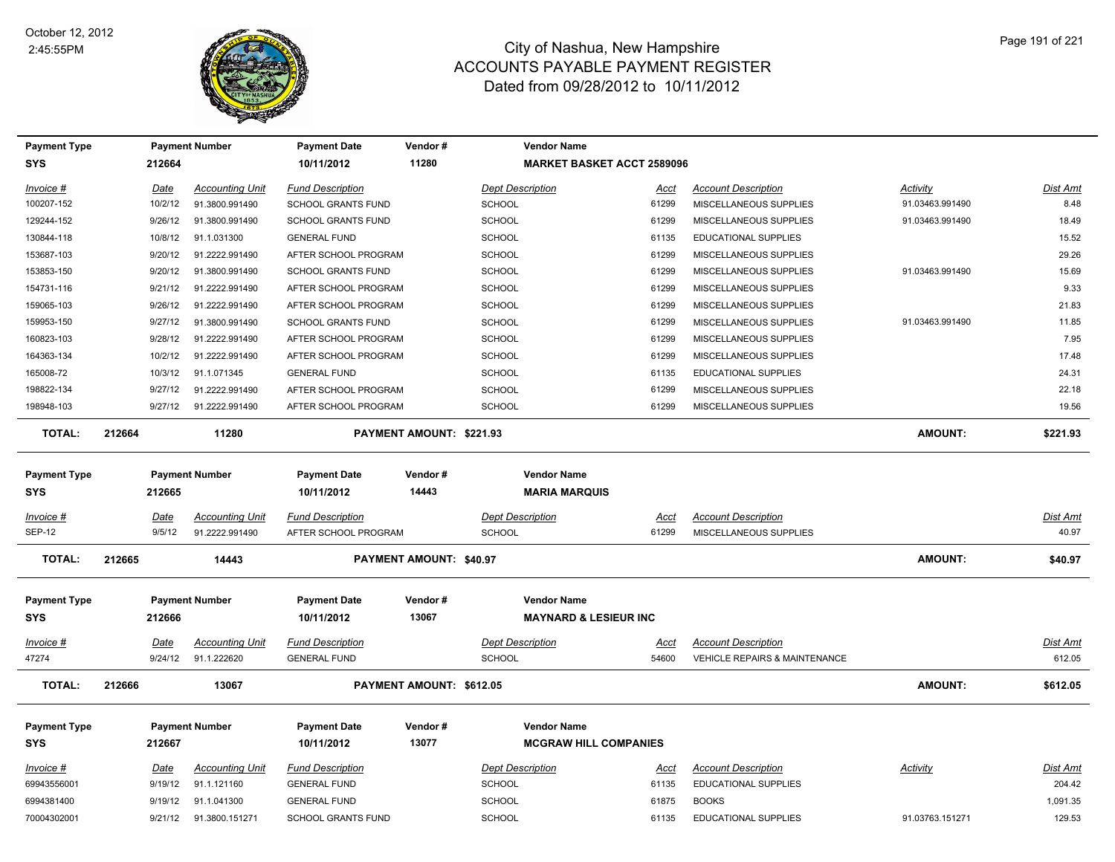

| <b>Payment Type</b> |             | <b>Payment Number</b>  | <b>Payment Date</b>       | Vendor#                  | <b>Vendor Name</b>                |             |                                          |                 |                 |
|---------------------|-------------|------------------------|---------------------------|--------------------------|-----------------------------------|-------------|------------------------------------------|-----------------|-----------------|
| <b>SYS</b>          | 212664      |                        | 10/11/2012                | 11280                    | <b>MARKET BASKET ACCT 2589096</b> |             |                                          |                 |                 |
| Invoice #           | Date        | <b>Accounting Unit</b> | <b>Fund Description</b>   |                          | <b>Dept Description</b>           | <u>Acct</u> | <b>Account Description</b>               | <b>Activity</b> | Dist Amt        |
| 100207-152          | 10/2/12     | 91.3800.991490         | <b>SCHOOL GRANTS FUND</b> |                          | <b>SCHOOL</b>                     | 61299       | MISCELLANEOUS SUPPLIES                   | 91.03463.991490 | 8.48            |
| 129244-152          | 9/26/12     | 91.3800.991490         | <b>SCHOOL GRANTS FUND</b> |                          | <b>SCHOOL</b>                     | 61299       | MISCELLANEOUS SUPPLIES                   | 91.03463.991490 | 18.49           |
| 130844-118          | 10/8/12     | 91.1.031300            | <b>GENERAL FUND</b>       |                          | <b>SCHOOL</b>                     | 61135       | EDUCATIONAL SUPPLIES                     |                 | 15.52           |
| 153687-103          | 9/20/12     | 91.2222.991490         | AFTER SCHOOL PROGRAM      |                          | <b>SCHOOL</b>                     | 61299       | MISCELLANEOUS SUPPLIES                   |                 | 29.26           |
| 153853-150          | 9/20/12     | 91.3800.991490         | <b>SCHOOL GRANTS FUND</b> |                          | <b>SCHOOL</b>                     | 61299       | MISCELLANEOUS SUPPLIES                   | 91.03463.991490 | 15.69           |
| 154731-116          | 9/21/12     | 91.2222.991490         | AFTER SCHOOL PROGRAM      |                          | <b>SCHOOL</b>                     | 61299       | MISCELLANEOUS SUPPLIES                   |                 | 9.33            |
| 159065-103          | 9/26/12     | 91.2222.991490         | AFTER SCHOOL PROGRAM      |                          | <b>SCHOOL</b>                     | 61299       | MISCELLANEOUS SUPPLIES                   |                 | 21.83           |
| 159953-150          | 9/27/12     | 91.3800.991490         | <b>SCHOOL GRANTS FUND</b> |                          | <b>SCHOOL</b>                     | 61299       | MISCELLANEOUS SUPPLIES                   | 91.03463.991490 | 11.85           |
| 160823-103          | 9/28/12     | 91.2222.991490         | AFTER SCHOOL PROGRAM      |                          | <b>SCHOOL</b>                     | 61299       | MISCELLANEOUS SUPPLIES                   |                 | 7.95            |
| 164363-134          | 10/2/12     | 91.2222.991490         | AFTER SCHOOL PROGRAM      |                          | <b>SCHOOL</b>                     | 61299       | MISCELLANEOUS SUPPLIES                   |                 | 17.48           |
| 165008-72           | 10/3/12     | 91.1.071345            | <b>GENERAL FUND</b>       |                          | <b>SCHOOL</b>                     | 61135       | EDUCATIONAL SUPPLIES                     |                 | 24.31           |
| 198822-134          | 9/27/12     | 91.2222.991490         | AFTER SCHOOL PROGRAM      |                          | <b>SCHOOL</b>                     | 61299       | MISCELLANEOUS SUPPLIES                   |                 | 22.18           |
| 198948-103          | 9/27/12     | 91.2222.991490         | AFTER SCHOOL PROGRAM      |                          | <b>SCHOOL</b>                     | 61299       | MISCELLANEOUS SUPPLIES                   |                 | 19.56           |
| <b>TOTAL:</b>       | 212664      | 11280                  |                           | PAYMENT AMOUNT: \$221.93 |                                   |             |                                          | <b>AMOUNT:</b>  | \$221.93        |
| <b>Payment Type</b> |             | <b>Payment Number</b>  | <b>Payment Date</b>       | Vendor#                  | <b>Vendor Name</b>                |             |                                          |                 |                 |
| <b>SYS</b>          | 212665      |                        | 10/11/2012                | 14443                    | <b>MARIA MARQUIS</b>              |             |                                          |                 |                 |
| Invoice #           | Date        | <b>Accounting Unit</b> | <b>Fund Description</b>   |                          | <b>Dept Description</b>           | Acct        | <b>Account Description</b>               |                 | Dist Amt        |
| <b>SEP-12</b>       | 9/5/12      | 91.2222.991490         | AFTER SCHOOL PROGRAM      |                          | <b>SCHOOL</b>                     | 61299       | MISCELLANEOUS SUPPLIES                   |                 | 40.97           |
| <b>TOTAL:</b>       | 212665      | 14443                  |                           | PAYMENT AMOUNT: \$40.97  |                                   |             |                                          | <b>AMOUNT:</b>  | \$40.97         |
| <b>Payment Type</b> |             | <b>Payment Number</b>  | <b>Payment Date</b>       | Vendor#                  | <b>Vendor Name</b>                |             |                                          |                 |                 |
| <b>SYS</b>          | 212666      |                        | 10/11/2012                | 13067                    | <b>MAYNARD &amp; LESIEUR INC</b>  |             |                                          |                 |                 |
| $Invoice$ #         | Date        | <b>Accounting Unit</b> | <b>Fund Description</b>   |                          | <b>Dept Description</b>           | Acct        | <b>Account Description</b>               |                 | Dist Amt        |
| 47274               | 9/24/12     | 91.1.222620            | <b>GENERAL FUND</b>       |                          | <b>SCHOOL</b>                     | 54600       | <b>VEHICLE REPAIRS &amp; MAINTENANCE</b> |                 | 612.05          |
| <b>TOTAL:</b>       | 212666      | 13067                  |                           | PAYMENT AMOUNT: \$612.05 |                                   |             |                                          | <b>AMOUNT:</b>  | \$612.05        |
| <b>Payment Type</b> |             | <b>Payment Number</b>  | <b>Payment Date</b>       | Vendor#                  | <b>Vendor Name</b>                |             |                                          |                 |                 |
| <b>SYS</b>          | 212667      |                        | 10/11/2012                | 13077                    | <b>MCGRAW HILL COMPANIES</b>      |             |                                          |                 |                 |
| Invoice #           | <u>Date</u> | <b>Accounting Unit</b> | <b>Fund Description</b>   |                          | <b>Dept Description</b>           | <u>Acct</u> | <b>Account Description</b>               | <b>Activity</b> | <u>Dist Amt</u> |
| 69943556001         | 9/19/12     | 91.1.121160            | <b>GENERAL FUND</b>       |                          | <b>SCHOOL</b>                     | 61135       | EDUCATIONAL SUPPLIES                     |                 | 204.42          |
|                     |             |                        |                           |                          |                                   |             |                                          |                 |                 |
| 6994381400          | 9/19/12     | 91.1.041300            | <b>GENERAL FUND</b>       |                          | <b>SCHOOL</b>                     | 61875       | <b>BOOKS</b>                             |                 | 1,091.35        |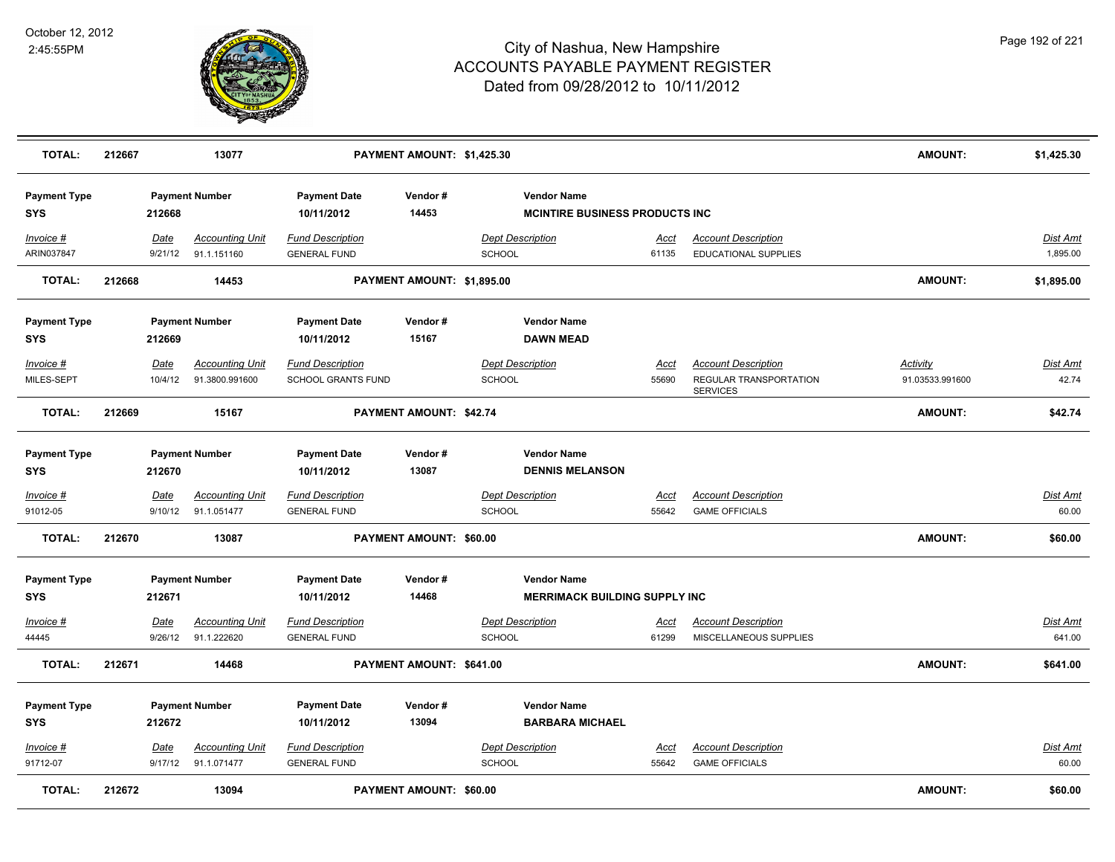

| <b>TOTAL:</b>                     | 212667 |                        | 13077                                         |                                                | PAYMENT AMOUNT: \$1,425.30 |                                              |                                        |                                                                         | <b>AMOUNT:</b>                     | \$1,425.30                |
|-----------------------------------|--------|------------------------|-----------------------------------------------|------------------------------------------------|----------------------------|----------------------------------------------|----------------------------------------|-------------------------------------------------------------------------|------------------------------------|---------------------------|
| <b>Payment Type</b><br><b>SYS</b> |        | 212668                 | <b>Payment Number</b>                         | <b>Payment Date</b><br>10/11/2012              | Vendor#<br>14453           | <b>Vendor Name</b>                           | <b>MCINTIRE BUSINESS PRODUCTS INC.</b> |                                                                         |                                    |                           |
| Invoice #<br>ARIN037847           |        | Date<br>9/21/12        | <b>Accounting Unit</b><br>91.1.151160         | <b>Fund Description</b><br><b>GENERAL FUND</b> |                            | <b>Dept Description</b><br><b>SCHOOL</b>     | Acct<br>61135                          | <b>Account Description</b><br>EDUCATIONAL SUPPLIES                      |                                    | Dist Amt<br>1,895.00      |
| <b>TOTAL:</b>                     | 212668 |                        | 14453                                         |                                                | PAYMENT AMOUNT: \$1,895.00 |                                              |                                        |                                                                         | <b>AMOUNT:</b>                     | \$1,895.00                |
| <b>Payment Type</b><br><b>SYS</b> |        | 212669                 | <b>Payment Number</b>                         | <b>Payment Date</b><br>10/11/2012              | Vendor#<br>15167           | <b>Vendor Name</b><br><b>DAWN MEAD</b>       |                                        |                                                                         |                                    |                           |
| Invoice #<br>MILES-SEPT           |        | Date<br>10/4/12        | <b>Accounting Unit</b><br>91.3800.991600      | <b>Fund Description</b><br>SCHOOL GRANTS FUND  |                            | <b>Dept Description</b><br>SCHOOL            | Acct<br>55690                          | <b>Account Description</b><br>REGULAR TRANSPORTATION<br><b>SERVICES</b> | <b>Activity</b><br>91.03533.991600 | <u>Dist Amt</u><br>42.74  |
| <b>TOTAL:</b>                     | 212669 |                        | 15167                                         |                                                | PAYMENT AMOUNT: \$42.74    |                                              |                                        |                                                                         | <b>AMOUNT:</b>                     | \$42.74                   |
| <b>Payment Type</b><br><b>SYS</b> |        | 212670                 | <b>Payment Number</b>                         | <b>Payment Date</b><br>10/11/2012              | Vendor#<br>13087           | <b>Vendor Name</b><br><b>DENNIS MELANSON</b> |                                        |                                                                         |                                    |                           |
| Invoice #<br>91012-05             |        | Date                   | <b>Accounting Unit</b><br>9/10/12 91.1.051477 | <b>Fund Description</b><br><b>GENERAL FUND</b> |                            | <b>Dept Description</b><br><b>SCHOOL</b>     | Acct<br>55642                          | <b>Account Description</b><br><b>GAME OFFICIALS</b>                     |                                    | <u>Dist Amt</u><br>60.00  |
| <b>TOTAL:</b>                     | 212670 |                        | 13087                                         |                                                | PAYMENT AMOUNT: \$60.00    |                                              |                                        |                                                                         | <b>AMOUNT:</b>                     | \$60.00                   |
| <b>Payment Type</b><br><b>SYS</b> |        | 212671                 | <b>Payment Number</b>                         | <b>Payment Date</b><br>10/11/2012              | Vendor#<br>14468           | <b>Vendor Name</b>                           | <b>MERRIMACK BUILDING SUPPLY INC</b>   |                                                                         |                                    |                           |
| $Invoice$ #<br>44445              |        | <b>Date</b><br>9/26/12 | <b>Accounting Unit</b><br>91.1.222620         | <b>Fund Description</b><br><b>GENERAL FUND</b> |                            | <b>Dept Description</b><br><b>SCHOOL</b>     | <u>Acct</u><br>61299                   | <b>Account Description</b><br>MISCELLANEOUS SUPPLIES                    |                                    | <b>Dist Amt</b><br>641.00 |
| <b>TOTAL:</b>                     | 212671 |                        | 14468                                         |                                                | PAYMENT AMOUNT: \$641.00   |                                              |                                        |                                                                         | <b>AMOUNT:</b>                     | \$641.00                  |
| <b>Payment Type</b><br><b>SYS</b> |        | 212672                 | <b>Payment Number</b>                         | <b>Payment Date</b><br>10/11/2012              | Vendor#<br>13094           | <b>Vendor Name</b><br><b>BARBARA MICHAEL</b> |                                        |                                                                         |                                    |                           |
| Invoice #<br>91712-07             |        | Date<br>9/17/12        | <b>Accounting Unit</b><br>91.1.071477         | <b>Fund Description</b><br><b>GENERAL FUND</b> |                            | <b>Dept Description</b><br><b>SCHOOL</b>     | <u>Acct</u><br>55642                   | <b>Account Description</b><br><b>GAME OFFICIALS</b>                     |                                    | <b>Dist Amt</b><br>60.00  |
| <b>TOTAL:</b>                     | 212672 |                        | 13094                                         |                                                | PAYMENT AMOUNT: \$60.00    |                                              |                                        |                                                                         | <b>AMOUNT:</b>                     | \$60.00                   |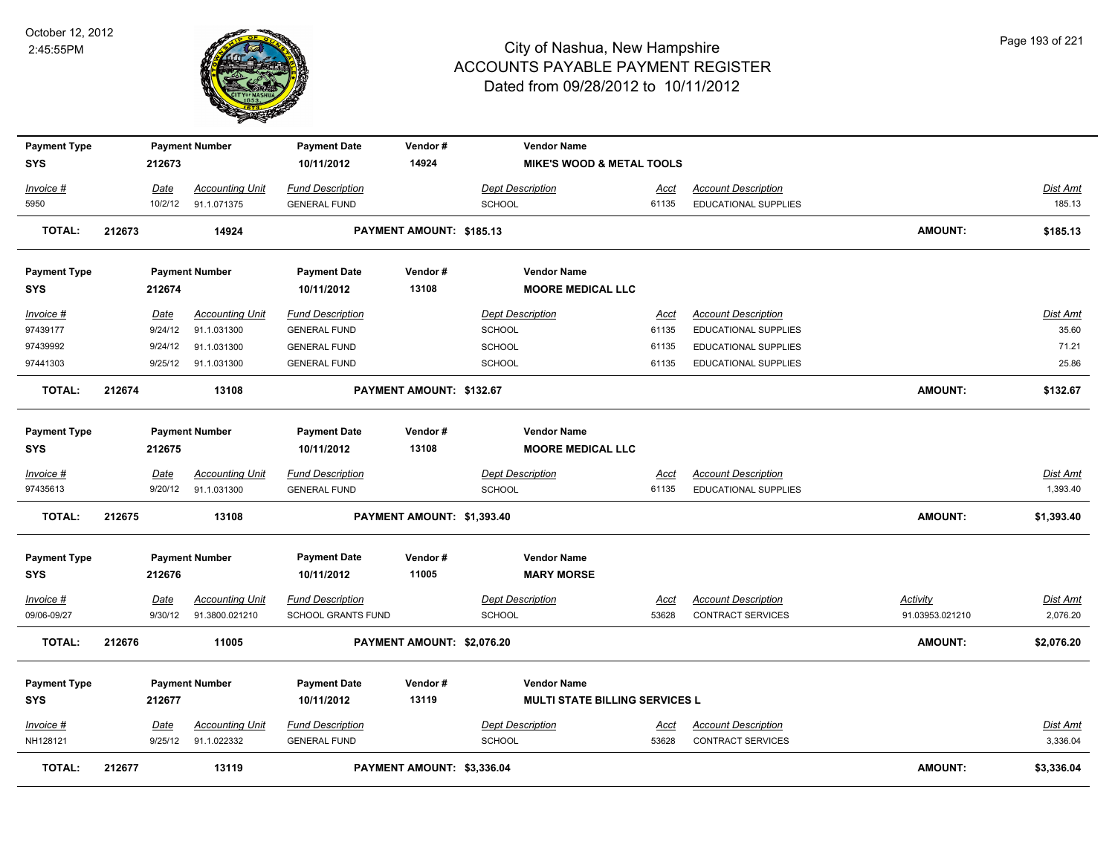

| <b>Payment Type</b> |         | <b>Payment Number</b>  | <b>Payment Date</b>     | Vendor#                    | <b>Vendor Name</b>                    |             |                             |                 |                 |
|---------------------|---------|------------------------|-------------------------|----------------------------|---------------------------------------|-------------|-----------------------------|-----------------|-----------------|
| <b>SYS</b>          | 212673  |                        | 10/11/2012              | 14924                      | <b>MIKE'S WOOD &amp; METAL TOOLS</b>  |             |                             |                 |                 |
| Invoice #           | Date    | <b>Accounting Unit</b> | <b>Fund Description</b> |                            | <b>Dept Description</b>               | <u>Acct</u> | <b>Account Description</b>  |                 | <b>Dist Amt</b> |
| 5950                | 10/2/12 | 91.1.071375            | <b>GENERAL FUND</b>     |                            | <b>SCHOOL</b>                         | 61135       | <b>EDUCATIONAL SUPPLIES</b> |                 | 185.13          |
| <b>TOTAL:</b>       | 212673  | 14924                  |                         | PAYMENT AMOUNT: \$185.13   |                                       |             |                             | <b>AMOUNT:</b>  | \$185.13        |
| <b>Payment Type</b> |         | <b>Payment Number</b>  | <b>Payment Date</b>     | Vendor#                    | <b>Vendor Name</b>                    |             |                             |                 |                 |
| <b>SYS</b>          | 212674  |                        | 10/11/2012              | 13108                      | <b>MOORE MEDICAL LLC</b>              |             |                             |                 |                 |
| Invoice #           | Date    | <b>Accounting Unit</b> | <b>Fund Description</b> |                            | <b>Dept Description</b>               | Acct        | <b>Account Description</b>  |                 | Dist Amt        |
| 97439177            | 9/24/12 | 91.1.031300            | <b>GENERAL FUND</b>     |                            | <b>SCHOOL</b>                         | 61135       | <b>EDUCATIONAL SUPPLIES</b> |                 | 35.60           |
| 97439992            | 9/24/12 | 91.1.031300            | <b>GENERAL FUND</b>     |                            | SCHOOL                                | 61135       | EDUCATIONAL SUPPLIES        |                 | 71.21           |
| 97441303            |         | 9/25/12 91.1.031300    | <b>GENERAL FUND</b>     |                            | SCHOOL                                | 61135       | <b>EDUCATIONAL SUPPLIES</b> |                 | 25.86           |
| <b>TOTAL:</b>       | 212674  | 13108                  |                         | PAYMENT AMOUNT: \$132.67   |                                       |             |                             | <b>AMOUNT:</b>  | \$132.67        |
| <b>Payment Type</b> |         | <b>Payment Number</b>  | <b>Payment Date</b>     | Vendor#                    | <b>Vendor Name</b>                    |             |                             |                 |                 |
| <b>SYS</b>          | 212675  |                        | 10/11/2012              | 13108                      | <b>MOORE MEDICAL LLC</b>              |             |                             |                 |                 |
| <u>Invoice #</u>    | Date    | <b>Accounting Unit</b> | <b>Fund Description</b> |                            | <b>Dept Description</b>               | <u>Acct</u> | <b>Account Description</b>  |                 | Dist Amt        |
| 97435613            |         | 9/20/12 91.1.031300    | <b>GENERAL FUND</b>     |                            | <b>SCHOOL</b>                         | 61135       | <b>EDUCATIONAL SUPPLIES</b> |                 | 1,393.40        |
| <b>TOTAL:</b>       | 212675  | 13108                  |                         | PAYMENT AMOUNT: \$1,393.40 |                                       |             |                             | <b>AMOUNT:</b>  | \$1,393.40      |
| <b>Payment Type</b> |         | <b>Payment Number</b>  | <b>Payment Date</b>     | Vendor#                    | <b>Vendor Name</b>                    |             |                             |                 |                 |
| SYS                 | 212676  |                        | 10/11/2012              | 11005                      | <b>MARY MORSE</b>                     |             |                             |                 |                 |
| Invoice #           | Date    | <b>Accounting Unit</b> | <b>Fund Description</b> |                            | <b>Dept Description</b>               | <b>Acct</b> | <b>Account Description</b>  | <b>Activity</b> | Dist Amt        |
| 09/06-09/27         | 9/30/12 | 91.3800.021210         | SCHOOL GRANTS FUND      |                            | <b>SCHOOL</b>                         | 53628       | CONTRACT SERVICES           | 91.03953.021210 | 2,076.20        |
| <b>TOTAL:</b>       | 212676  | 11005                  |                         | PAYMENT AMOUNT: \$2,076.20 |                                       |             |                             | <b>AMOUNT:</b>  | \$2,076.20      |
| <b>Payment Type</b> |         | <b>Payment Number</b>  | <b>Payment Date</b>     | Vendor#                    | <b>Vendor Name</b>                    |             |                             |                 |                 |
| <b>SYS</b>          | 212677  |                        | 10/11/2012              | 13119                      | <b>MULTI STATE BILLING SERVICES L</b> |             |                             |                 |                 |
| Invoice #           | Date    | <b>Accounting Unit</b> | <b>Fund Description</b> |                            | <b>Dept Description</b>               | <u>Acct</u> | <b>Account Description</b>  |                 | <b>Dist Amt</b> |
| NH128121            | 9/25/12 | 91.1.022332            | <b>GENERAL FUND</b>     |                            | <b>SCHOOL</b>                         | 53628       | <b>CONTRACT SERVICES</b>    |                 | 3,336.04        |
| <b>TOTAL:</b>       | 212677  | 13119                  |                         | PAYMENT AMOUNT: \$3,336.04 |                                       |             |                             | <b>AMOUNT:</b>  | \$3,336.04      |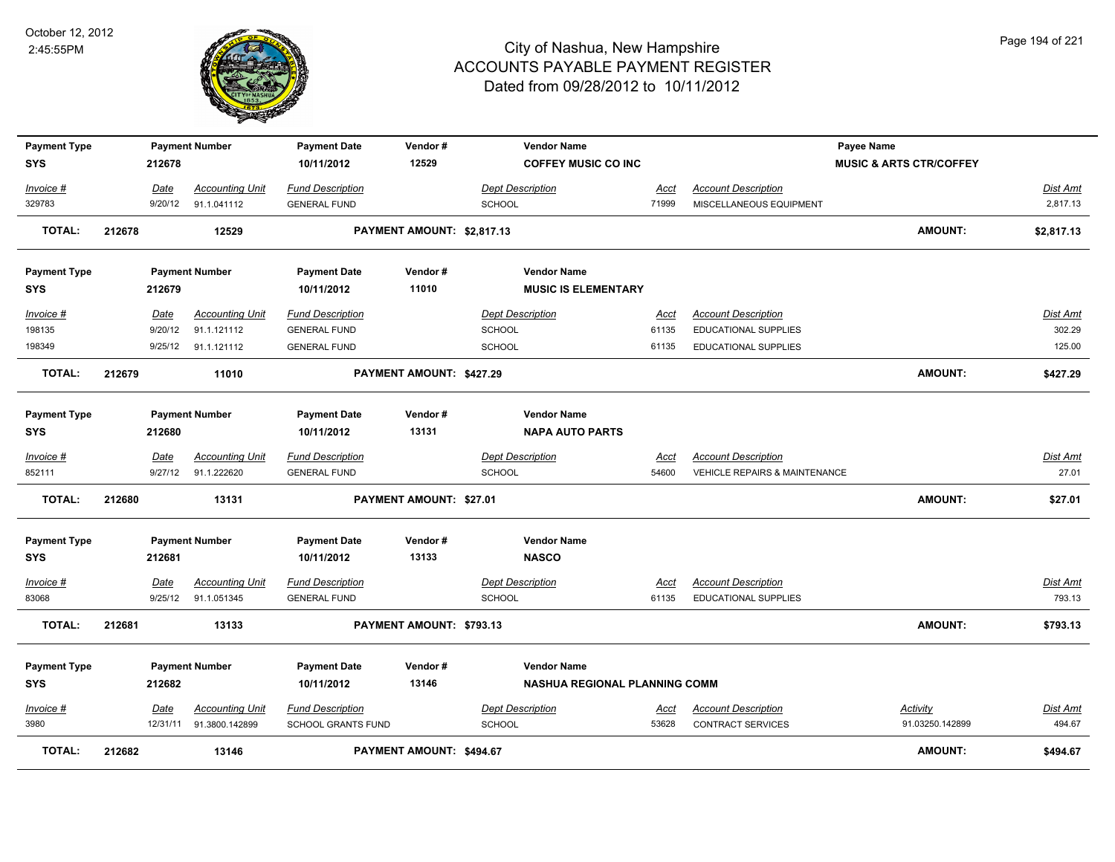

| <b>Payment Type</b> |        |             | <b>Payment Number</b>  | <b>Payment Date</b>       | Vendor#                    | <b>Vendor Name</b>            |             |                                          | <b>Payee Name</b>                  |                 |
|---------------------|--------|-------------|------------------------|---------------------------|----------------------------|-------------------------------|-------------|------------------------------------------|------------------------------------|-----------------|
| <b>SYS</b>          |        | 212678      |                        | 10/11/2012                | 12529                      | <b>COFFEY MUSIC CO INC</b>    |             |                                          | <b>MUSIC &amp; ARTS CTR/COFFEY</b> |                 |
| Invoice #           |        | Date        | <b>Accounting Unit</b> | <b>Fund Description</b>   |                            | <b>Dept Description</b>       | Acct        | <b>Account Description</b>               |                                    | Dist Amt        |
| 329783              |        | 9/20/12     | 91.1.041112            | <b>GENERAL FUND</b>       |                            | <b>SCHOOL</b>                 | 71999       | MISCELLANEOUS EQUIPMENT                  |                                    | 2,817.13        |
| <b>TOTAL:</b>       | 212678 |             | 12529                  |                           | PAYMENT AMOUNT: \$2,817.13 |                               |             |                                          | <b>AMOUNT:</b>                     | \$2,817.13      |
| <b>Payment Type</b> |        |             | <b>Payment Number</b>  | <b>Payment Date</b>       | Vendor#                    | <b>Vendor Name</b>            |             |                                          |                                    |                 |
| <b>SYS</b>          |        | 212679      |                        | 10/11/2012                | 11010                      | <b>MUSIC IS ELEMENTARY</b>    |             |                                          |                                    |                 |
| Invoice #           |        | Date        | <b>Accounting Unit</b> | <b>Fund Description</b>   |                            | <b>Dept Description</b>       | Acct        | <b>Account Description</b>               |                                    | Dist Amt        |
| 198135              |        | 9/20/12     | 91.1.121112            | <b>GENERAL FUND</b>       |                            | <b>SCHOOL</b>                 | 61135       | EDUCATIONAL SUPPLIES                     |                                    | 302.29          |
| 198349              |        |             | 9/25/12 91.1.121112    | <b>GENERAL FUND</b>       |                            | <b>SCHOOL</b>                 | 61135       | EDUCATIONAL SUPPLIES                     |                                    | 125.00          |
| <b>TOTAL:</b>       | 212679 |             | 11010                  |                           | PAYMENT AMOUNT: \$427.29   |                               |             |                                          | <b>AMOUNT:</b>                     | \$427.29        |
| <b>Payment Type</b> |        |             | <b>Payment Number</b>  | <b>Payment Date</b>       | Vendor#                    | <b>Vendor Name</b>            |             |                                          |                                    |                 |
| <b>SYS</b>          |        | 212680      |                        | 10/11/2012                | 13131                      | <b>NAPA AUTO PARTS</b>        |             |                                          |                                    |                 |
| Invoice #           |        | Date        | <b>Accounting Unit</b> | <b>Fund Description</b>   |                            | <b>Dept Description</b>       | Acct        | <b>Account Description</b>               |                                    | Dist Amt        |
| 852111              |        | 9/27/12     | 91.1.222620            | <b>GENERAL FUND</b>       |                            | <b>SCHOOL</b>                 | 54600       | <b>VEHICLE REPAIRS &amp; MAINTENANCE</b> |                                    | 27.01           |
| <b>TOTAL:</b>       | 212680 |             | 13131                  |                           | PAYMENT AMOUNT: \$27.01    |                               |             |                                          | <b>AMOUNT:</b>                     | \$27.01         |
| <b>Payment Type</b> |        |             | <b>Payment Number</b>  | <b>Payment Date</b>       | Vendor#                    | <b>Vendor Name</b>            |             |                                          |                                    |                 |
| <b>SYS</b>          |        | 212681      |                        | 10/11/2012                | 13133                      | <b>NASCO</b>                  |             |                                          |                                    |                 |
| <u> Invoice #</u>   |        | <b>Date</b> | <b>Accounting Unit</b> | <b>Fund Description</b>   |                            | <b>Dept Description</b>       | <u>Acct</u> | <b>Account Description</b>               |                                    | Dist Amt        |
| 83068               |        | 9/25/12     | 91.1.051345            | <b>GENERAL FUND</b>       |                            | <b>SCHOOL</b>                 | 61135       | <b>EDUCATIONAL SUPPLIES</b>              |                                    | 793.13          |
| <b>TOTAL:</b>       | 212681 |             | 13133                  |                           | PAYMENT AMOUNT: \$793.13   |                               |             |                                          | <b>AMOUNT:</b>                     | \$793.13        |
| <b>Payment Type</b> |        |             | <b>Payment Number</b>  | <b>Payment Date</b>       | Vendor#                    | <b>Vendor Name</b>            |             |                                          |                                    |                 |
| <b>SYS</b>          |        | 212682      |                        | 10/11/2012                | 13146                      | NASHUA REGIONAL PLANNING COMM |             |                                          |                                    |                 |
| $Invoice$ #         |        | Date        | <b>Accounting Unit</b> | <b>Fund Description</b>   |                            | <b>Dept Description</b>       | <u>Acct</u> | <b>Account Description</b>               | <b>Activity</b>                    | <u>Dist Amt</u> |
| 3980                |        | 12/31/11    | 91.3800.142899         | <b>SCHOOL GRANTS FUND</b> |                            | <b>SCHOOL</b>                 | 53628       | <b>CONTRACT SERVICES</b>                 | 91.03250.142899                    | 494.67          |
| <b>TOTAL:</b>       | 212682 |             | 13146                  |                           | PAYMENT AMOUNT: \$494.67   |                               |             |                                          | <b>AMOUNT:</b>                     | \$494.67        |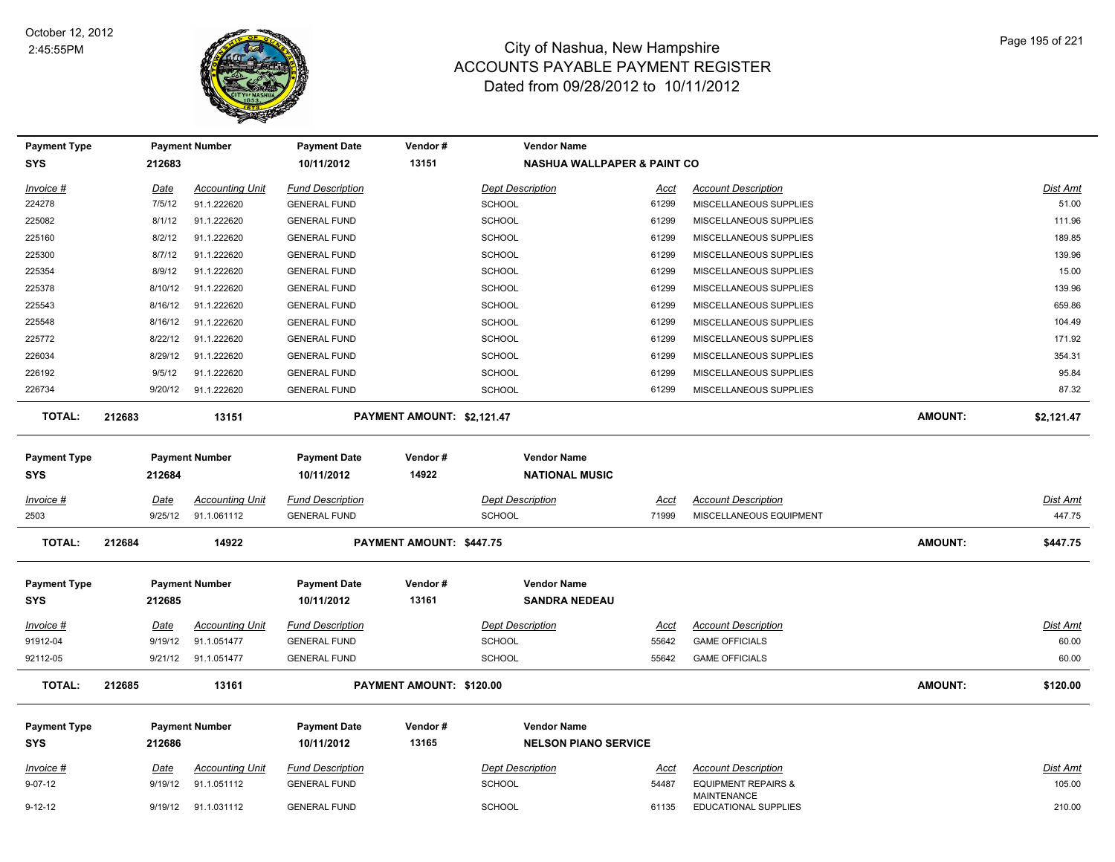

| <b>Payment Type</b>               |        |             | <b>Payment Number</b>  | <b>Payment Date</b>               | Vendor#                    | <b>Vendor Name</b>                          |             |                                                      |                |                 |
|-----------------------------------|--------|-------------|------------------------|-----------------------------------|----------------------------|---------------------------------------------|-------------|------------------------------------------------------|----------------|-----------------|
| <b>SYS</b>                        |        | 212683      |                        | 10/11/2012                        | 13151                      | <b>NASHUA WALLPAPER &amp; PAINT CO</b>      |             |                                                      |                |                 |
| <u>Invoice #</u>                  |        | <u>Date</u> | <b>Accounting Unit</b> | <b>Fund Description</b>           |                            | <b>Dept Description</b>                     | Acct        | <b>Account Description</b>                           |                | <b>Dist Amt</b> |
| 224278                            |        | 7/5/12      | 91.1.222620            | <b>GENERAL FUND</b>               |                            | <b>SCHOOL</b>                               | 61299       | MISCELLANEOUS SUPPLIES                               |                | 51.00           |
| 225082                            |        | 8/1/12      | 91.1.222620            | <b>GENERAL FUND</b>               |                            | <b>SCHOOL</b>                               | 61299       | MISCELLANEOUS SUPPLIES                               |                | 111.96          |
| 225160                            |        | 8/2/12      | 91.1.222620            | <b>GENERAL FUND</b>               |                            | SCHOOL                                      | 61299       | MISCELLANEOUS SUPPLIES                               |                | 189.85          |
| 225300                            |        | 8/7/12      | 91.1.222620            | <b>GENERAL FUND</b>               |                            | <b>SCHOOL</b>                               | 61299       | MISCELLANEOUS SUPPLIES                               |                | 139.96          |
| 225354                            |        | 8/9/12      | 91.1.222620            | <b>GENERAL FUND</b>               |                            | <b>SCHOOL</b>                               | 61299       | MISCELLANEOUS SUPPLIES                               |                | 15.00           |
| 225378                            |        | 8/10/12     | 91.1.222620            | <b>GENERAL FUND</b>               |                            | <b>SCHOOL</b>                               | 61299       | MISCELLANEOUS SUPPLIES                               |                | 139.96          |
| 225543                            |        | 8/16/12     | 91.1.222620            | <b>GENERAL FUND</b>               |                            | SCHOOL                                      | 61299       | MISCELLANEOUS SUPPLIES                               |                | 659.86          |
| 225548                            |        | 8/16/12     | 91.1.222620            | <b>GENERAL FUND</b>               |                            | <b>SCHOOL</b>                               | 61299       | MISCELLANEOUS SUPPLIES                               |                | 104.49          |
| 225772                            |        | 8/22/12     | 91.1.222620            | <b>GENERAL FUND</b>               |                            | SCHOOL                                      | 61299       | MISCELLANEOUS SUPPLIES                               |                | 171.92          |
| 226034                            |        | 8/29/12     | 91.1.222620            | <b>GENERAL FUND</b>               |                            | <b>SCHOOL</b>                               | 61299       | MISCELLANEOUS SUPPLIES                               |                | 354.31          |
| 226192                            |        | 9/5/12      | 91.1.222620            | <b>GENERAL FUND</b>               |                            | SCHOOL                                      | 61299       | MISCELLANEOUS SUPPLIES                               |                | 95.84           |
| 226734                            |        | 9/20/12     | 91.1.222620            | <b>GENERAL FUND</b>               |                            | <b>SCHOOL</b>                               | 61299       | MISCELLANEOUS SUPPLIES                               |                | 87.32           |
| <b>TOTAL:</b>                     | 212683 |             | 13151                  |                                   | PAYMENT AMOUNT: \$2,121.47 |                                             |             |                                                      | <b>AMOUNT:</b> | \$2,121.47      |
| <b>Payment Type</b><br><b>SYS</b> |        | 212684      | <b>Payment Number</b>  | <b>Payment Date</b><br>10/11/2012 | Vendor#<br>14922           | <b>Vendor Name</b><br><b>NATIONAL MUSIC</b> |             |                                                      |                |                 |
| Invoice #                         |        | Date        | <b>Accounting Unit</b> | <b>Fund Description</b>           |                            | <b>Dept Description</b>                     | Acct        | <b>Account Description</b>                           |                | <b>Dist Amt</b> |
| 2503                              |        | 9/25/12     | 91.1.061112            | <b>GENERAL FUND</b>               |                            | <b>SCHOOL</b>                               | 71999       | MISCELLANEOUS EQUIPMENT                              |                | 447.75          |
| TOTAL:                            | 212684 |             | 14922                  |                                   | PAYMENT AMOUNT: \$447.75   |                                             |             |                                                      | <b>AMOUNT:</b> | \$447.75        |
| <b>Payment Type</b><br><b>SYS</b> |        | 212685      | <b>Payment Number</b>  | <b>Payment Date</b><br>10/11/2012 | Vendor#<br>13161           | <b>Vendor Name</b><br><b>SANDRA NEDEAU</b>  |             |                                                      |                |                 |
| <u>Invoice #</u>                  |        | Date        | <b>Accounting Unit</b> | <b>Fund Description</b>           |                            | <b>Dept Description</b>                     | Acct        | <b>Account Description</b>                           |                | <b>Dist Amt</b> |
| 91912-04                          |        | 9/19/12     | 91.1.051477            | <b>GENERAL FUND</b>               |                            | <b>SCHOOL</b>                               | 55642       | <b>GAME OFFICIALS</b>                                |                | 60.00           |
| 92112-05                          |        | 9/21/12     | 91.1.051477            | <b>GENERAL FUND</b>               |                            | <b>SCHOOL</b>                               | 55642       | <b>GAME OFFICIALS</b>                                |                | 60.00           |
| <b>TOTAL:</b>                     | 212685 |             | 13161                  |                                   | PAYMENT AMOUNT: \$120.00   |                                             |             |                                                      | <b>AMOUNT:</b> | \$120.00        |
| <b>Payment Type</b>               |        |             | <b>Payment Number</b>  | <b>Payment Date</b>               | Vendor#                    | <b>Vendor Name</b>                          |             |                                                      |                |                 |
| SYS                               |        | 212686      |                        | 10/11/2012                        | 13165                      | <b>NELSON PIANO SERVICE</b>                 |             |                                                      |                |                 |
| <u>Invoice #</u>                  |        | <u>Date</u> | <b>Accounting Unit</b> | <b>Fund Description</b>           |                            | <b>Dept Description</b>                     | <u>Acct</u> | <b>Account Description</b>                           |                | <u>Dist Amt</u> |
| $9 - 07 - 12$                     |        | 9/19/12     | 91.1.051112            | <b>GENERAL FUND</b>               |                            | <b>SCHOOL</b>                               | 54487       | <b>EQUIPMENT REPAIRS &amp;</b><br><b>MAINTENANCE</b> |                | 105.00          |
| $9 - 12 - 12$                     |        | 9/19/12     | 91.1.031112            | <b>GENERAL FUND</b>               |                            | <b>SCHOOL</b>                               | 61135       | <b>EDUCATIONAL SUPPLIES</b>                          |                | 210.00          |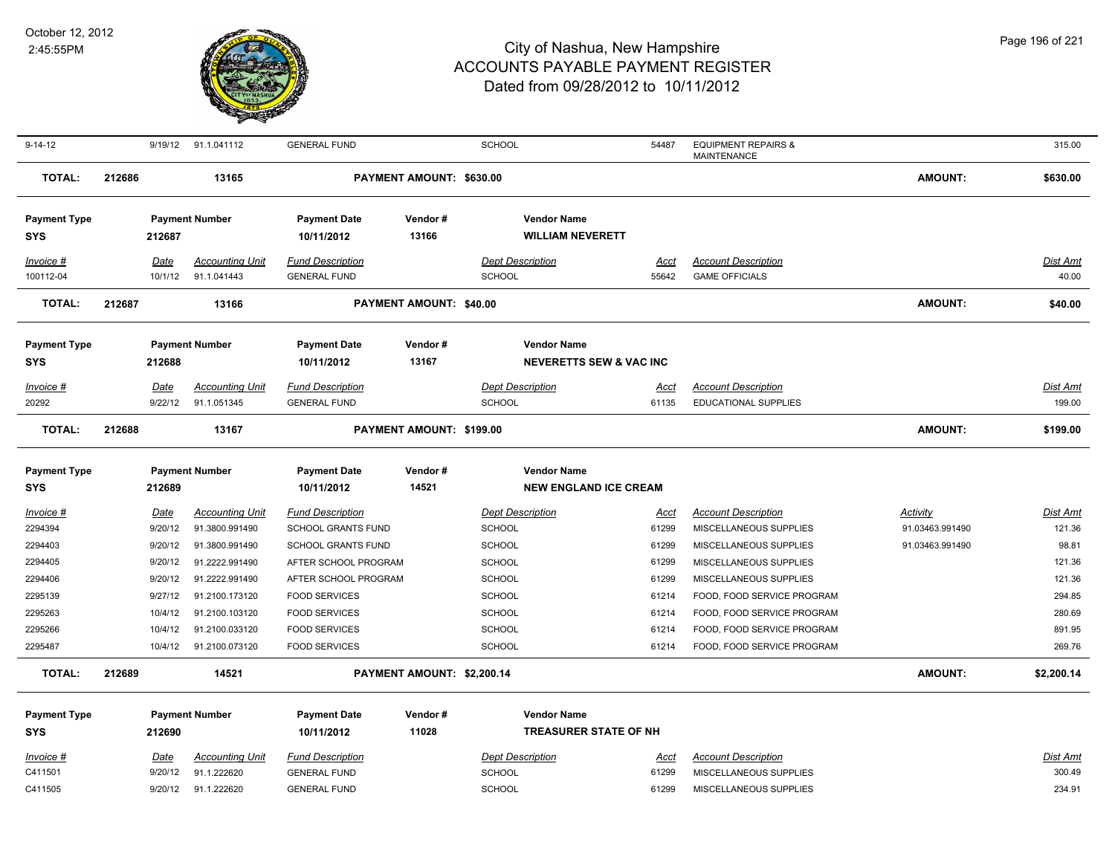

| $9 - 14 - 12$                     |        | 9/19/12            | 91.1.041112                      | <b>GENERAL FUND</b>                          |                            | SCHOOL                                        | 54487          | <b>EQUIPMENT REPAIRS &amp;</b><br><b>MAINTENANCE</b> |                 | 315.00           |
|-----------------------------------|--------|--------------------|----------------------------------|----------------------------------------------|----------------------------|-----------------------------------------------|----------------|------------------------------------------------------|-----------------|------------------|
| <b>TOTAL:</b>                     | 212686 |                    | 13165                            |                                              | PAYMENT AMOUNT: \$630.00   |                                               |                |                                                      | <b>AMOUNT:</b>  | \$630.00         |
| <b>Payment Type</b><br><b>SYS</b> |        | 212687             | <b>Payment Number</b>            | <b>Payment Date</b><br>10/11/2012            | Vendor#<br>13166           | <b>Vendor Name</b><br><b>WILLIAM NEVERETT</b> |                |                                                      |                 |                  |
| Invoice #                         |        | Date               | <b>Accounting Unit</b>           | <b>Fund Description</b>                      |                            | <b>Dept Description</b>                       | Acct           | <b>Account Description</b>                           |                 | Dist Amt         |
| 100112-04                         |        | 10/1/12            | 91.1.041443                      | <b>GENERAL FUND</b>                          |                            | <b>SCHOOL</b>                                 | 55642          | <b>GAME OFFICIALS</b>                                |                 | 40.00            |
| <b>TOTAL:</b>                     | 212687 |                    | 13166                            |                                              | PAYMENT AMOUNT: \$40.00    |                                               |                |                                                      | <b>AMOUNT:</b>  | \$40.00          |
| <b>Payment Type</b>               |        |                    | <b>Payment Number</b>            | <b>Payment Date</b>                          | Vendor#                    | <b>Vendor Name</b>                            |                |                                                      |                 |                  |
| <b>SYS</b>                        |        | 212688             |                                  | 10/11/2012                                   | 13167                      | <b>NEVERETTS SEW &amp; VAC INC</b>            |                |                                                      |                 |                  |
| $Invoice$ #                       |        | Date               | <b>Accounting Unit</b>           | <b>Fund Description</b>                      |                            | <b>Dept Description</b>                       | <u>Acct</u>    | <b>Account Description</b>                           |                 | <b>Dist Amt</b>  |
| 20292                             |        | 9/22/12            | 91.1.051345                      | <b>GENERAL FUND</b>                          |                            | <b>SCHOOL</b>                                 | 61135          | <b>EDUCATIONAL SUPPLIES</b>                          |                 | 199.00           |
| <b>TOTAL:</b>                     | 212688 |                    | 13167                            |                                              | PAYMENT AMOUNT: \$199.00   |                                               |                |                                                      | <b>AMOUNT:</b>  | \$199.00         |
| <b>Payment Type</b>               |        |                    | <b>Payment Number</b>            | <b>Payment Date</b>                          | Vendor#                    | <b>Vendor Name</b>                            |                |                                                      |                 |                  |
| <b>SYS</b>                        |        | 212689             |                                  | 10/11/2012                                   | 14521                      | <b>NEW ENGLAND ICE CREAM</b>                  |                |                                                      |                 |                  |
| Invoice #                         |        | Date               | <b>Accounting Unit</b>           | <b>Fund Description</b>                      |                            | <b>Dept Description</b>                       | Acct           | <b>Account Description</b>                           | <b>Activity</b> | Dist Amt         |
| 2294394                           |        | 9/20/12            | 91.3800.991490                   | <b>SCHOOL GRANTS FUND</b>                    |                            | <b>SCHOOL</b>                                 | 61299          | MISCELLANEOUS SUPPLIES                               | 91.03463.991490 | 121.36           |
| 2294403                           |        | 9/20/12            | 91.3800.991490                   | <b>SCHOOL GRANTS FUND</b>                    |                            | SCHOOL                                        | 61299          | MISCELLANEOUS SUPPLIES                               | 91.03463.991490 | 98.81            |
| 2294405                           |        | 9/20/12            | 91.2222.991490                   | AFTER SCHOOL PROGRAM                         |                            | SCHOOL                                        | 61299          | MISCELLANEOUS SUPPLIES                               |                 | 121.36           |
| 2294406<br>2295139                |        | 9/20/12<br>9/27/12 | 91.2222.991490                   | AFTER SCHOOL PROGRAM                         |                            | SCHOOL                                        | 61299<br>61214 | MISCELLANEOUS SUPPLIES<br>FOOD, FOOD SERVICE PROGRAM |                 | 121.36<br>294.85 |
| 2295263                           |        | 10/4/12            | 91.2100.173120<br>91.2100.103120 | <b>FOOD SERVICES</b><br><b>FOOD SERVICES</b> |                            | SCHOOL<br>SCHOOL                              | 61214          | FOOD, FOOD SERVICE PROGRAM                           |                 | 280.69           |
| 2295266                           |        | 10/4/12            | 91.2100.033120                   | <b>FOOD SERVICES</b>                         |                            | <b>SCHOOL</b>                                 | 61214          | FOOD, FOOD SERVICE PROGRAM                           |                 | 891.95           |
| 2295487                           |        | 10/4/12            | 91.2100.073120                   | <b>FOOD SERVICES</b>                         |                            | SCHOOL                                        | 61214          | FOOD, FOOD SERVICE PROGRAM                           |                 | 269.76           |
| <b>TOTAL:</b>                     | 212689 |                    | 14521                            |                                              | PAYMENT AMOUNT: \$2,200.14 |                                               |                |                                                      | <b>AMOUNT:</b>  | \$2,200.14       |
| <b>Payment Type</b>               |        |                    | <b>Payment Number</b>            | <b>Payment Date</b>                          | Vendor #                   | <b>Vendor Name</b>                            |                |                                                      |                 |                  |
| <b>SYS</b>                        |        | 212690             |                                  | 10/11/2012                                   | 11028                      | <b>TREASURER STATE OF NH</b>                  |                |                                                      |                 |                  |
|                                   |        | <u>Date</u>        | <b>Accounting Unit</b>           | <u>Fund Description</u>                      |                            | <b>Dept Description</b>                       | <u>Acct</u>    | <b>Account Description</b>                           |                 | <u>Dist Amt</u>  |
| Invoice #                         |        |                    |                                  |                                              |                            |                                               |                |                                                      |                 |                  |
| C411501                           |        | 9/20/12            | 91.1.222620                      | <b>GENERAL FUND</b>                          |                            | <b>SCHOOL</b>                                 | 61299          | MISCELLANEOUS SUPPLIES                               |                 | 300.49           |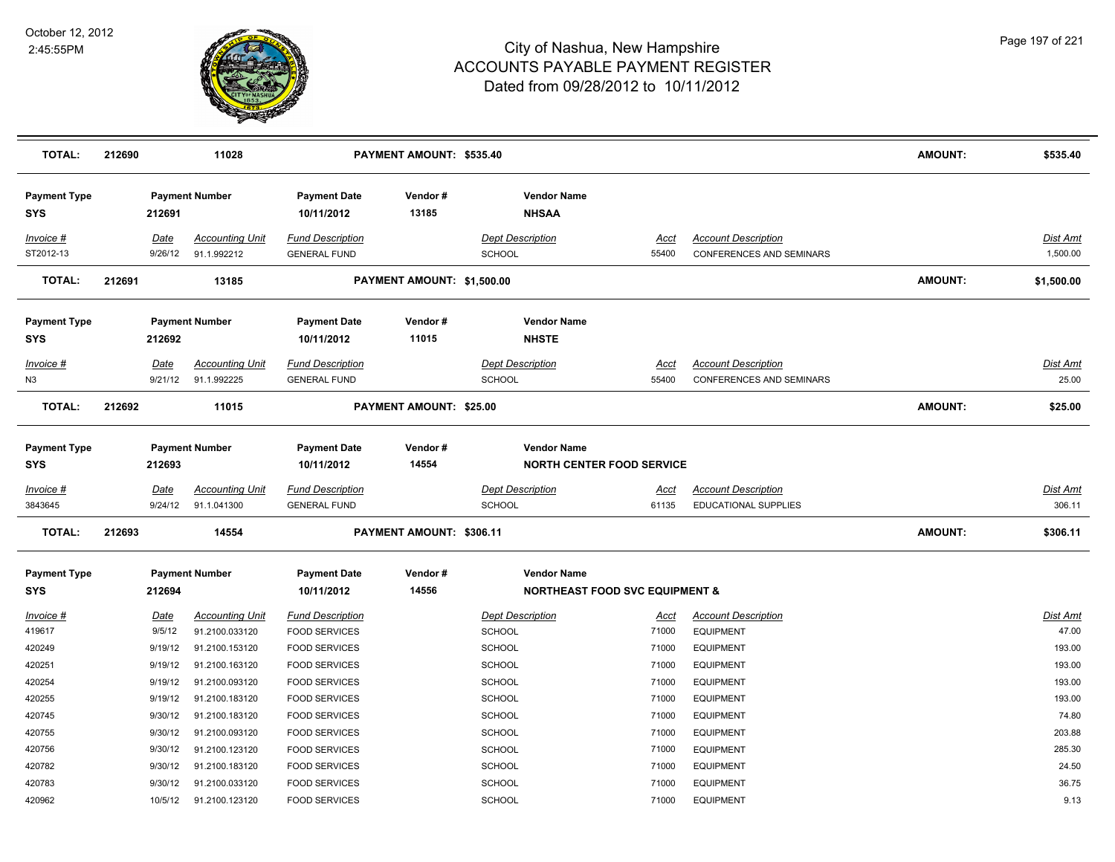

| <b>TOTAL:</b>                     | 212690                 | 11028                                            |                                                | PAYMENT AMOUNT: \$535.40       |                                                                 |                      |                                                               | <b>AMOUNT:</b> | \$535.40                  |
|-----------------------------------|------------------------|--------------------------------------------------|------------------------------------------------|--------------------------------|-----------------------------------------------------------------|----------------------|---------------------------------------------------------------|----------------|---------------------------|
| <b>Payment Type</b><br><b>SYS</b> | 212691                 | <b>Payment Number</b>                            | <b>Payment Date</b><br>10/11/2012              | Vendor#<br>13185               | <b>Vendor Name</b><br><b>NHSAA</b>                              |                      |                                                               |                |                           |
| Invoice #<br>ST2012-13            | Date<br>9/26/12        | <b>Accounting Unit</b><br>91.1.992212            | <b>Fund Description</b><br><b>GENERAL FUND</b> |                                | <b>Dept Description</b><br><b>SCHOOL</b>                        | Acct<br>55400        | <b>Account Description</b><br>CONFERENCES AND SEMINARS        |                | Dist Amt<br>1,500.00      |
| <b>TOTAL:</b>                     | 212691                 | 13185                                            |                                                | PAYMENT AMOUNT: \$1,500.00     |                                                                 |                      |                                                               | <b>AMOUNT:</b> | \$1,500.00                |
| <b>Payment Type</b><br><b>SYS</b> | 212692                 | <b>Payment Number</b>                            | <b>Payment Date</b><br>10/11/2012              | Vendor#<br>11015               | <b>Vendor Name</b><br><b>NHSTE</b>                              |                      |                                                               |                |                           |
| <b>Invoice #</b><br>N3            | <b>Date</b>            | <b>Accounting Unit</b><br>9/21/12<br>91.1.992225 | <b>Fund Description</b><br><b>GENERAL FUND</b> |                                | <b>Dept Description</b><br><b>SCHOOL</b>                        | <u>Acct</u><br>55400 | <b>Account Description</b><br><b>CONFERENCES AND SEMINARS</b> |                | <u>Dist Amt</u><br>25.00  |
| <b>TOTAL:</b>                     | 212692                 | 11015                                            |                                                | <b>PAYMENT AMOUNT: \$25.00</b> |                                                                 |                      |                                                               | <b>AMOUNT:</b> | \$25.00                   |
| <b>Payment Type</b><br><b>SYS</b> | 212693                 | <b>Payment Number</b>                            | <b>Payment Date</b><br>10/11/2012              | Vendor#<br>14554               | <b>Vendor Name</b><br><b>NORTH CENTER FOOD SERVICE</b>          |                      |                                                               |                |                           |
| <u>Invoice #</u><br>3843645       | <u>Date</u><br>9/24/12 | <b>Accounting Unit</b><br>91.1.041300            | <b>Fund Description</b><br><b>GENERAL FUND</b> |                                | <b>Dept Description</b><br>SCHOOL                               | <u>Acct</u><br>61135 | <b>Account Description</b><br><b>EDUCATIONAL SUPPLIES</b>     |                | <u>Dist Amt</u><br>306.11 |
| <b>TOTAL:</b>                     | 212693                 | 14554                                            |                                                | PAYMENT AMOUNT: \$306.11       |                                                                 |                      |                                                               | <b>AMOUNT:</b> | \$306.11                  |
| <b>Payment Type</b><br>SYS        | 212694                 | <b>Payment Number</b>                            | <b>Payment Date</b><br>10/11/2012              | Vendor#<br>14556               | <b>Vendor Name</b><br><b>NORTHEAST FOOD SVC EQUIPMENT &amp;</b> |                      |                                                               |                |                           |
| Invoice #                         | Date                   | <b>Accounting Unit</b>                           | <b>Fund Description</b>                        |                                | <b>Dept Description</b>                                         | Acct                 | <b>Account Description</b>                                    |                | Dist Amt                  |
| 419617                            | 9/5/12                 | 91.2100.033120                                   | <b>FOOD SERVICES</b>                           |                                | SCHOOL                                                          | 71000                | <b>EQUIPMENT</b>                                              |                | 47.00                     |
| 420249<br>420251                  | 9/19/12<br>9/19/12     | 91.2100.153120<br>91.2100.163120                 | <b>FOOD SERVICES</b><br><b>FOOD SERVICES</b>   |                                | <b>SCHOOL</b><br><b>SCHOOL</b>                                  | 71000<br>71000       | <b>EQUIPMENT</b><br><b>EQUIPMENT</b>                          |                | 193.00<br>193.00          |
| 420254                            | 9/19/12                | 91.2100.093120                                   | <b>FOOD SERVICES</b>                           |                                | <b>SCHOOL</b>                                                   | 71000                | <b>EQUIPMENT</b>                                              |                | 193.00                    |
| 420255                            | 9/19/12                | 91.2100.183120                                   | <b>FOOD SERVICES</b>                           |                                | <b>SCHOOL</b>                                                   | 71000                | <b>EQUIPMENT</b>                                              |                | 193.00                    |
| 420745                            | 9/30/12                | 91.2100.183120                                   | <b>FOOD SERVICES</b>                           |                                | <b>SCHOOL</b>                                                   | 71000                | <b>EQUIPMENT</b>                                              |                | 74.80                     |
| 420755                            | 9/30/12                | 91.2100.093120                                   | <b>FOOD SERVICES</b>                           |                                | <b>SCHOOL</b>                                                   | 71000                | <b>EQUIPMENT</b>                                              |                | 203.88                    |
| 420756                            | 9/30/12                | 91.2100.123120                                   | <b>FOOD SERVICES</b>                           |                                | <b>SCHOOL</b>                                                   | 71000                | <b>EQUIPMENT</b>                                              |                | 285.30                    |
| 420782                            | 9/30/12                | 91.2100.183120                                   | <b>FOOD SERVICES</b>                           |                                | <b>SCHOOL</b>                                                   | 71000                | <b>EQUIPMENT</b>                                              |                | 24.50                     |
| 420783                            | 9/30/12                | 91.2100.033120                                   | <b>FOOD SERVICES</b>                           |                                | <b>SCHOOL</b>                                                   | 71000                | <b>EQUIPMENT</b>                                              |                | 36.75                     |
| 420962                            |                        | 10/5/12<br>91.2100.123120                        | <b>FOOD SERVICES</b>                           |                                | <b>SCHOOL</b>                                                   | 71000                | <b>EQUIPMENT</b>                                              |                | 9.13                      |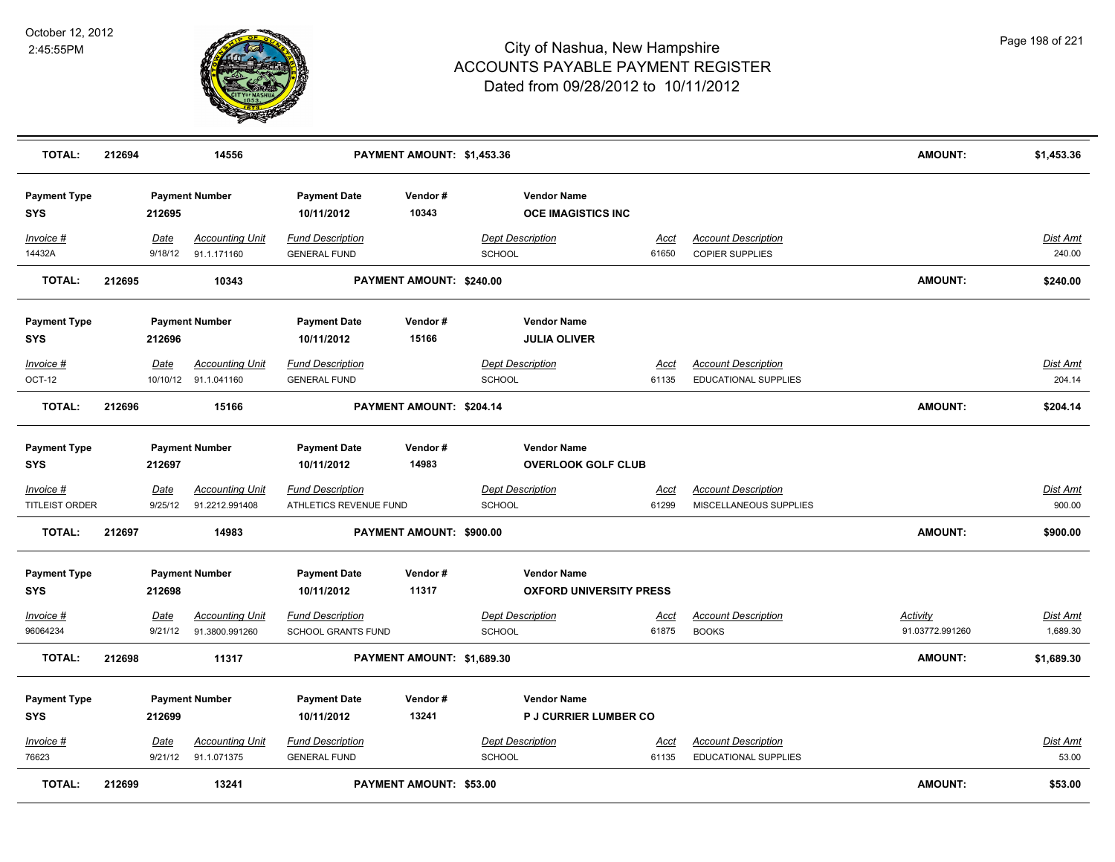

| <b>TOTAL:</b>                        | 212694 |                 | 14556                                          |                                                      | PAYMENT AMOUNT: \$1,453.36     |                                           |                                |                                                           | <b>AMOUNT:</b>                     | \$1,453.36                |
|--------------------------------------|--------|-----------------|------------------------------------------------|------------------------------------------------------|--------------------------------|-------------------------------------------|--------------------------------|-----------------------------------------------------------|------------------------------------|---------------------------|
| <b>Payment Type</b><br><b>SYS</b>    |        | 212695          | <b>Payment Number</b>                          | <b>Payment Date</b><br>10/11/2012                    | Vendor#<br>10343               | <b>Vendor Name</b>                        | <b>OCE IMAGISTICS INC</b>      |                                                           |                                    |                           |
| Invoice #<br>14432A                  |        | Date<br>9/18/12 | <b>Accounting Unit</b><br>91.1.171160          | <b>Fund Description</b><br><b>GENERAL FUND</b>       |                                | <b>Dept Description</b><br><b>SCHOOL</b>  | Acct<br>61650                  | <b>Account Description</b><br><b>COPIER SUPPLIES</b>      |                                    | <b>Dist Amt</b><br>240.00 |
| <b>TOTAL:</b>                        | 212695 |                 | 10343                                          |                                                      | PAYMENT AMOUNT: \$240.00       |                                           |                                |                                                           | <b>AMOUNT:</b>                     | \$240.00                  |
| <b>Payment Type</b><br><b>SYS</b>    |        | 212696          | <b>Payment Number</b>                          | <b>Payment Date</b><br>10/11/2012                    | Vendor#<br>15166               | <b>Vendor Name</b><br><b>JULIA OLIVER</b> |                                |                                                           |                                    |                           |
| Invoice #<br><b>OCT-12</b>           |        | Date            | <b>Accounting Unit</b><br>10/10/12 91.1.041160 | <b>Fund Description</b><br><b>GENERAL FUND</b>       |                                | <b>Dept Description</b><br><b>SCHOOL</b>  | Acct<br>61135                  | <b>Account Description</b><br>EDUCATIONAL SUPPLIES        |                                    | Dist Amt<br>204.14        |
| <b>TOTAL:</b>                        | 212696 |                 | 15166                                          |                                                      | PAYMENT AMOUNT: \$204.14       |                                           |                                |                                                           | <b>AMOUNT:</b>                     | \$204.14                  |
| <b>Payment Type</b><br><b>SYS</b>    |        | 212697          | <b>Payment Number</b>                          | <b>Payment Date</b><br>10/11/2012                    | Vendor#<br>14983               | <b>Vendor Name</b>                        | <b>OVERLOOK GOLF CLUB</b>      |                                                           |                                    |                           |
| $Invoice$ #<br><b>TITLEIST ORDER</b> |        | Date<br>9/25/12 | <b>Accounting Unit</b><br>91.2212.991408       | <b>Fund Description</b><br>ATHLETICS REVENUE FUND    |                                | <b>Dept Description</b><br><b>SCHOOL</b>  | <u>Acct</u><br>61299           | <b>Account Description</b><br>MISCELLANEOUS SUPPLIES      |                                    | <u>Dist Amt</u><br>900.00 |
| <b>TOTAL:</b>                        | 212697 |                 | 14983                                          |                                                      | PAYMENT AMOUNT: \$900.00       |                                           |                                |                                                           | AMOUNT:                            | \$900.00                  |
| <b>Payment Type</b><br><b>SYS</b>    |        | 212698          | <b>Payment Number</b>                          | <b>Payment Date</b><br>10/11/2012                    | Vendor#<br>11317               | <b>Vendor Name</b>                        | <b>OXFORD UNIVERSITY PRESS</b> |                                                           |                                    |                           |
| Invoice #<br>96064234                |        | Date<br>9/21/12 | <b>Accounting Unit</b><br>91.3800.991260       | <b>Fund Description</b><br><b>SCHOOL GRANTS FUND</b> |                                | <b>Dept Description</b><br><b>SCHOOL</b>  | Acct<br>61875                  | <b>Account Description</b><br><b>BOOKS</b>                | <b>Activity</b><br>91.03772.991260 | Dist Amt<br>1,689.30      |
| <b>TOTAL:</b>                        | 212698 |                 | 11317                                          |                                                      | PAYMENT AMOUNT: \$1,689.30     |                                           |                                |                                                           | AMOUNT:                            | \$1,689.30                |
| <b>Payment Type</b><br><b>SYS</b>    |        | 212699          | <b>Payment Number</b>                          | <b>Payment Date</b><br>10/11/2012                    | Vendor#<br>13241               | <b>Vendor Name</b>                        | <b>P J CURRIER LUMBER CO</b>   |                                                           |                                    |                           |
| Invoice #<br>76623                   |        | Date            | <b>Accounting Unit</b><br>9/21/12 91.1.071375  | <b>Fund Description</b><br><b>GENERAL FUND</b>       |                                | <b>Dept Description</b><br><b>SCHOOL</b>  | Acct<br>61135                  | <b>Account Description</b><br><b>EDUCATIONAL SUPPLIES</b> |                                    | Dist Amt<br>53.00         |
| <b>TOTAL:</b>                        | 212699 |                 | 13241                                          |                                                      | <b>PAYMENT AMOUNT: \$53.00</b> |                                           |                                |                                                           | AMOUNT:                            | \$53.00                   |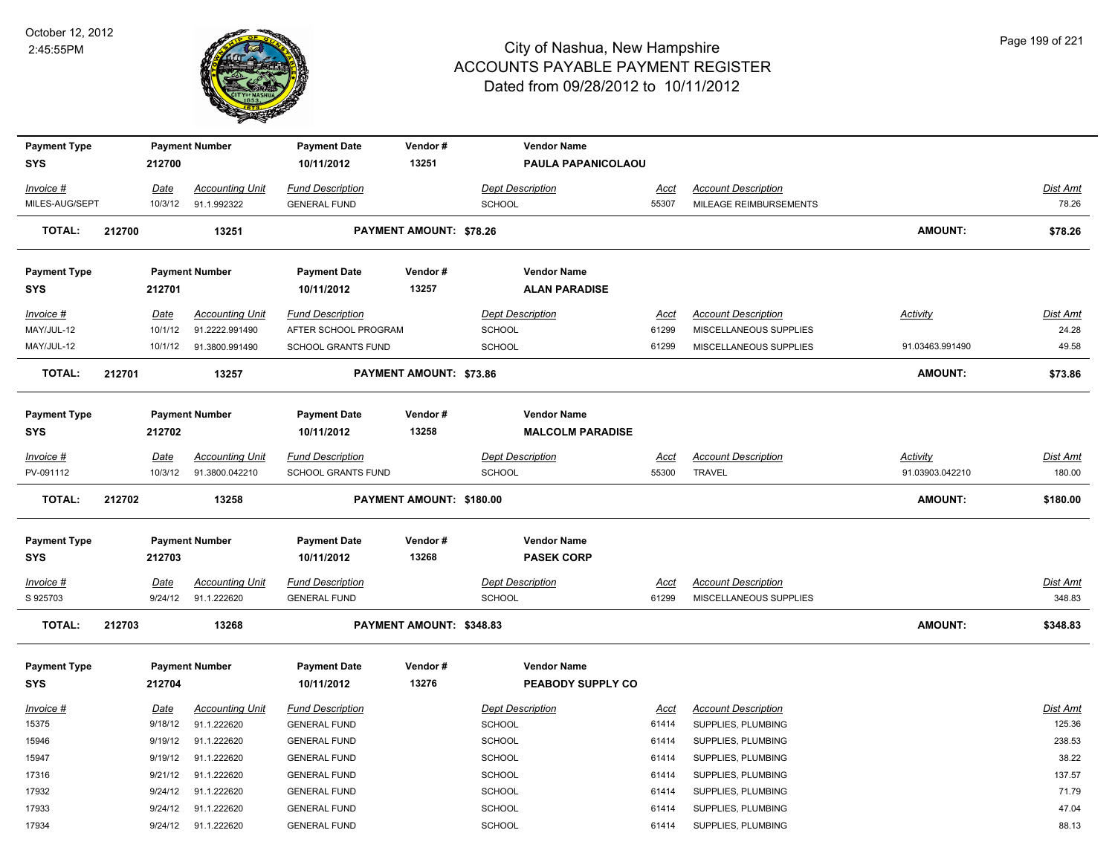

| <b>Payment Type</b>               |        |                 | <b>Payment Number</b>                    | <b>Payment Date</b>                             | Vendor#                        | <b>Vendor Name</b>                            |                      |                                                      |                 |                           |
|-----------------------------------|--------|-----------------|------------------------------------------|-------------------------------------------------|--------------------------------|-----------------------------------------------|----------------------|------------------------------------------------------|-----------------|---------------------------|
| <b>SYS</b>                        |        | 212700          |                                          | 10/11/2012                                      | 13251                          | PAULA PAPANICOLAOU                            |                      |                                                      |                 |                           |
| Invoice #                         |        | Date            | <b>Accounting Unit</b>                   | <b>Fund Description</b>                         |                                | <b>Dept Description</b>                       | Acct                 | <b>Account Description</b>                           |                 | Dist Amt                  |
| MILES-AUG/SEPT                    |        | 10/3/12         | 91.1.992322                              | <b>GENERAL FUND</b>                             |                                | SCHOOL                                        | 55307                | MILEAGE REIMBURSEMENTS                               |                 | 78.26                     |
| <b>TOTAL:</b>                     | 212700 |                 | 13251                                    |                                                 | <b>PAYMENT AMOUNT: \$78.26</b> |                                               |                      |                                                      | AMOUNT:         | \$78.26                   |
| <b>Payment Type</b>               |        |                 | <b>Payment Number</b>                    | <b>Payment Date</b>                             | Vendor#                        | <b>Vendor Name</b>                            |                      |                                                      |                 |                           |
| <b>SYS</b>                        |        | 212701          |                                          | 10/11/2012                                      | 13257                          | <b>ALAN PARADISE</b>                          |                      |                                                      |                 |                           |
| Invoice #<br>MAY/JUL-12           |        | Date<br>10/1/12 | <b>Accounting Unit</b><br>91.2222.991490 | <b>Fund Description</b><br>AFTER SCHOOL PROGRAM |                                | <b>Dept Description</b><br><b>SCHOOL</b>      | <u>Acct</u><br>61299 | <b>Account Description</b><br>MISCELLANEOUS SUPPLIES | <b>Activity</b> | <b>Dist Amt</b><br>24.28  |
| MAY/JUL-12                        |        | 10/1/12         | 91.3800.991490                           | SCHOOL GRANTS FUND                              |                                | <b>SCHOOL</b>                                 | 61299                | MISCELLANEOUS SUPPLIES                               | 91.03463.991490 | 49.58                     |
| <b>TOTAL:</b>                     | 212701 |                 | 13257                                    |                                                 | PAYMENT AMOUNT: \$73.86        |                                               |                      |                                                      | AMOUNT:         | \$73.86                   |
| <b>Payment Type</b><br><b>SYS</b> |        | 212702          | <b>Payment Number</b>                    | <b>Payment Date</b><br>10/11/2012               | Vendor#<br>13258               | <b>Vendor Name</b><br><b>MALCOLM PARADISE</b> |                      |                                                      |                 |                           |
|                                   |        |                 |                                          |                                                 |                                |                                               |                      |                                                      |                 |                           |
| Invoice #                         |        | Date            | <b>Accounting Unit</b>                   | <b>Fund Description</b>                         |                                | <b>Dept Description</b>                       | Acct                 | <b>Account Description</b>                           | Activity        | Dist Amt                  |
| PV-091112                         |        | 10/3/12         | 91.3800.042210                           | <b>SCHOOL GRANTS FUND</b>                       |                                | SCHOOL                                        | 55300                | <b>TRAVEL</b>                                        | 91.03903.042210 | 180.00                    |
|                                   |        |                 |                                          |                                                 |                                |                                               |                      |                                                      |                 |                           |
| <b>TOTAL:</b>                     | 212702 |                 | 13258                                    |                                                 | PAYMENT AMOUNT: \$180.00       |                                               |                      |                                                      | <b>AMOUNT:</b>  | \$180.00                  |
| <b>Payment Type</b><br><b>SYS</b> |        | 212703          | <b>Payment Number</b>                    | <b>Payment Date</b><br>10/11/2012               | Vendor#<br>13268               | <b>Vendor Name</b><br><b>PASEK CORP</b>       |                      |                                                      |                 |                           |
| $Invoice$ #                       |        | <u>Date</u>     | <b>Accounting Unit</b>                   | <b>Fund Description</b>                         |                                | <b>Dept Description</b>                       | <u>Acct</u>          | <b>Account Description</b>                           |                 | Dist Amt                  |
| S 925703<br><b>TOTAL:</b>         | 212703 | 9/24/12         | 91.1.222620<br>13268                     | <b>GENERAL FUND</b>                             | PAYMENT AMOUNT: \$348.83       | SCHOOL                                        | 61299                | MISCELLANEOUS SUPPLIES                               | <b>AMOUNT:</b>  | 348.83<br>\$348.83        |
| <b>Payment Type</b><br><b>SYS</b> |        | 212704          | <b>Payment Number</b>                    | <b>Payment Date</b><br>10/11/2012               | Vendor#<br>13276               | <b>Vendor Name</b><br>PEABODY SUPPLY CO       |                      |                                                      |                 |                           |
|                                   |        |                 |                                          |                                                 |                                |                                               |                      |                                                      |                 |                           |
| Invoice #<br>15375                |        | Date<br>9/18/12 | <b>Accounting Unit</b><br>91.1.222620    | <b>Fund Description</b><br><b>GENERAL FUND</b>  |                                | <b>Dept Description</b><br><b>SCHOOL</b>      | <u>Acct</u><br>61414 | <b>Account Description</b><br>SUPPLIES, PLUMBING     |                 | <b>Dist Amt</b><br>125.36 |
| 15946                             |        | 9/19/12         | 91.1.222620                              | <b>GENERAL FUND</b>                             |                                | SCHOOL                                        | 61414                | SUPPLIES, PLUMBING                                   |                 | 238.53                    |
| 15947                             |        | 9/19/12         | 91.1.222620                              | <b>GENERAL FUND</b>                             |                                | <b>SCHOOL</b>                                 | 61414                | SUPPLIES, PLUMBING                                   |                 | 38.22                     |
| 17316                             |        | 9/21/12         | 91.1.222620                              | <b>GENERAL FUND</b>                             |                                | <b>SCHOOL</b>                                 | 61414                | SUPPLIES, PLUMBING                                   |                 | 137.57                    |
| 17932                             |        | 9/24/12         | 91.1.222620                              | <b>GENERAL FUND</b>                             |                                | SCHOOL                                        | 61414                | SUPPLIES, PLUMBING                                   |                 | 71.79                     |
| 17933                             |        | 9/24/12         | 91.1.222620                              | <b>GENERAL FUND</b>                             |                                | <b>SCHOOL</b>                                 | 61414                | SUPPLIES, PLUMBING                                   |                 | 47.04                     |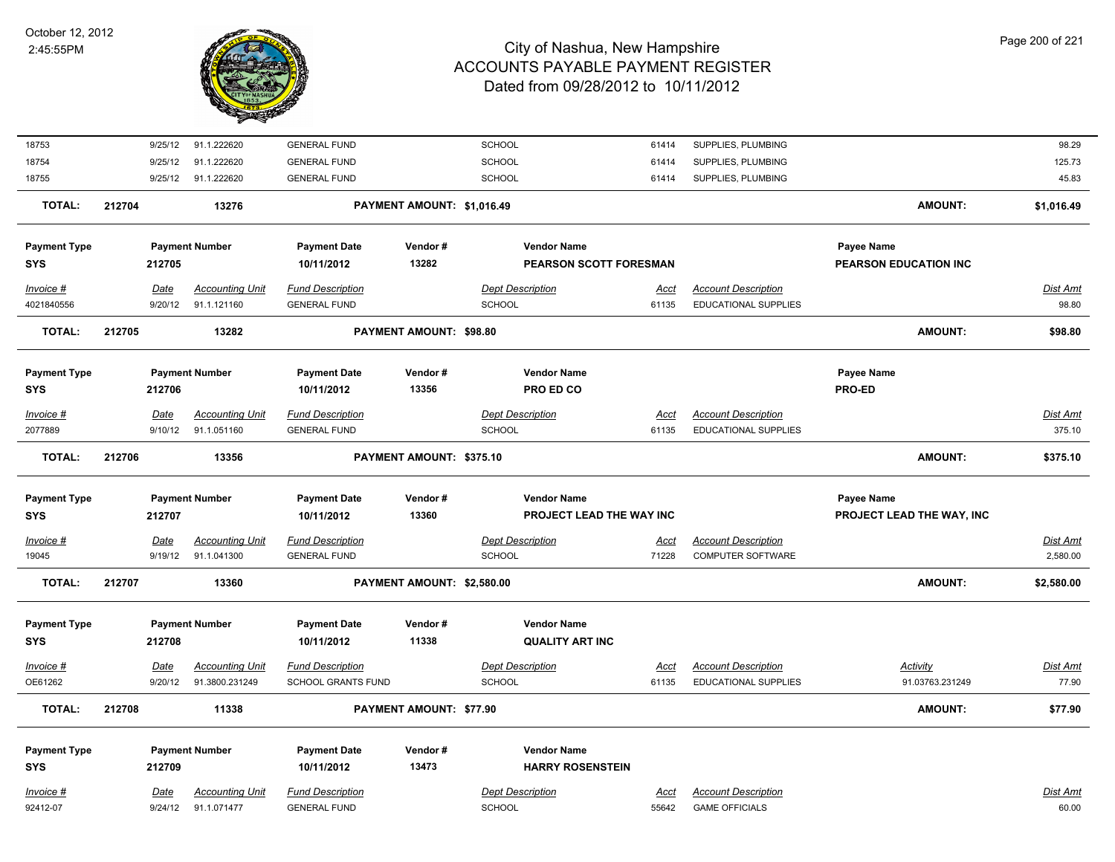

| 18753               |        | 9/25/12 | 91.1.222620            | <b>GENERAL FUND</b>     |                            | SCHOOL                   | 61414       | SUPPLIES, PLUMBING          |                           | 98.29           |
|---------------------|--------|---------|------------------------|-------------------------|----------------------------|--------------------------|-------------|-----------------------------|---------------------------|-----------------|
| 18754               |        | 9/25/12 | 91.1.222620            | <b>GENERAL FUND</b>     |                            | SCHOOL                   | 61414       | SUPPLIES, PLUMBING          |                           | 125.73          |
| 18755               |        | 9/25/12 | 91.1.222620            | <b>GENERAL FUND</b>     |                            | SCHOOL                   | 61414       | SUPPLIES, PLUMBING          |                           | 45.83           |
| <b>TOTAL:</b>       | 212704 |         | 13276                  |                         | PAYMENT AMOUNT: \$1,016.49 |                          |             |                             | AMOUNT:                   | \$1,016.49      |
| <b>Payment Type</b> |        |         | <b>Payment Number</b>  | <b>Payment Date</b>     | Vendor#                    | <b>Vendor Name</b>       |             |                             | Payee Name                |                 |
| <b>SYS</b>          |        | 212705  |                        | 10/11/2012              | 13282                      | PEARSON SCOTT FORESMAN   |             |                             | PEARSON EDUCATION INC     |                 |
| Invoice #           |        | Date    | <b>Accounting Unit</b> | <b>Fund Description</b> |                            | <b>Dept Description</b>  | <u>Acct</u> | <b>Account Description</b>  |                           | Dist Amt        |
| 4021840556          |        | 9/20/12 | 91.1.121160            | <b>GENERAL FUND</b>     |                            | <b>SCHOOL</b>            | 61135       | <b>EDUCATIONAL SUPPLIES</b> |                           | 98.80           |
| <b>TOTAL:</b>       | 212705 |         | 13282                  |                         | PAYMENT AMOUNT: \$98.80    |                          |             |                             | AMOUNT:                   | \$98.80         |
| <b>Payment Type</b> |        |         | <b>Payment Number</b>  | <b>Payment Date</b>     | Vendor#                    | <b>Vendor Name</b>       |             |                             | Payee Name                |                 |
| <b>SYS</b>          |        | 212706  |                        | 10/11/2012              | 13356                      | PRO ED CO                |             |                             | PRO-ED                    |                 |
| Invoice #           |        | Date    | <b>Accounting Unit</b> | <b>Fund Description</b> |                            | <b>Dept Description</b>  | Acct        | <b>Account Description</b>  |                           | Dist Amt        |
| 2077889             |        | 9/10/12 | 91.1.051160            | <b>GENERAL FUND</b>     |                            | SCHOOL                   | 61135       | <b>EDUCATIONAL SUPPLIES</b> |                           | 375.10          |
| <b>TOTAL:</b>       | 212706 |         | 13356                  |                         | PAYMENT AMOUNT: \$375.10   |                          |             |                             | AMOUNT:                   | \$375.10        |
| <b>Payment Type</b> |        |         | <b>Payment Number</b>  | <b>Payment Date</b>     | Vendor#                    | <b>Vendor Name</b>       |             |                             | Payee Name                |                 |
| <b>SYS</b>          |        | 212707  |                        | 10/11/2012              | 13360                      | PROJECT LEAD THE WAY INC |             |                             | PROJECT LEAD THE WAY, INC |                 |
| $Invoice$ #         |        | Date    | <b>Accounting Unit</b> | <b>Fund Description</b> |                            | <b>Dept Description</b>  | <u>Acct</u> | <b>Account Description</b>  |                           | <b>Dist Amt</b> |
| 19045               |        | 9/19/12 | 91.1.041300            | <b>GENERAL FUND</b>     |                            | <b>SCHOOL</b>            | 71228       | <b>COMPUTER SOFTWARE</b>    |                           | 2,580.00        |
| <b>TOTAL:</b>       | 212707 |         | 13360                  |                         | PAYMENT AMOUNT: \$2,580.00 |                          |             |                             | AMOUNT:                   | \$2,580.00      |
| <b>Payment Type</b> |        |         | <b>Payment Number</b>  | <b>Payment Date</b>     | Vendor#                    | <b>Vendor Name</b>       |             |                             |                           |                 |
| <b>SYS</b>          |        | 212708  |                        | 10/11/2012              | 11338                      | <b>QUALITY ART INC</b>   |             |                             |                           |                 |
| Invoice #           |        | Date    | <b>Accounting Unit</b> | <b>Fund Description</b> |                            | <b>Dept Description</b>  | Acct        | <b>Account Description</b>  | <b>Activity</b>           | <b>Dist Amt</b> |
| OE61262             |        | 9/20/12 | 91.3800.231249         | SCHOOL GRANTS FUND      |                            | SCHOOL                   | 61135       | <b>EDUCATIONAL SUPPLIES</b> | 91.03763.231249           | 77.90           |
| <b>TOTAL:</b>       | 212708 |         | 11338                  |                         | PAYMENT AMOUNT: \$77.90    |                          |             |                             | <b>AMOUNT:</b>            | \$77.90         |
| <b>Payment Type</b> |        |         | <b>Payment Number</b>  | <b>Payment Date</b>     | Vendor#                    | <b>Vendor Name</b>       |             |                             |                           |                 |
| <b>SYS</b>          |        | 212709  |                        | 10/11/2012              | 13473                      | <b>HARRY ROSENSTEIN</b>  |             |                             |                           |                 |
| Invoice #           |        | Date    | <b>Accounting Unit</b> | <b>Fund Description</b> |                            | <b>Dept Description</b>  | Acct        | <b>Account Description</b>  |                           | Dist Amt        |
| 92412-07            |        | 9/24/12 | 91.1.071477            | <b>GENERAL FUND</b>     |                            | SCHOOL                   | 55642       | <b>GAME OFFICIALS</b>       |                           | 60.00           |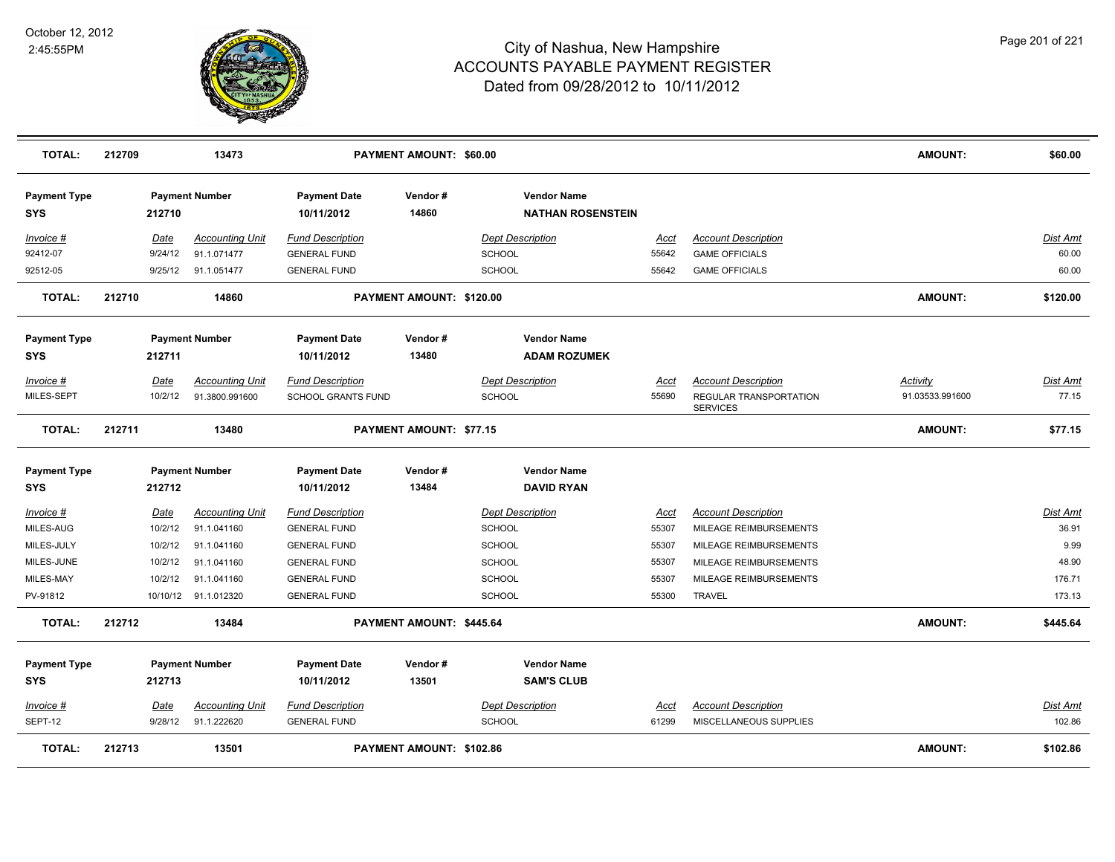

| TOTAL:                            | 212709  | 13473                  |                                   | PAYMENT AMOUNT: \$60.00        |                                                |             |                                                  | <b>AMOUNT:</b>  | \$60.00         |
|-----------------------------------|---------|------------------------|-----------------------------------|--------------------------------|------------------------------------------------|-------------|--------------------------------------------------|-----------------|-----------------|
| <b>Payment Type</b><br><b>SYS</b> | 212710  | <b>Payment Number</b>  | <b>Payment Date</b><br>10/11/2012 | Vendor#<br>14860               | <b>Vendor Name</b><br><b>NATHAN ROSENSTEIN</b> |             |                                                  |                 |                 |
| Invoice #                         | Date    | <b>Accounting Unit</b> | <b>Fund Description</b>           |                                | <b>Dept Description</b>                        | Acct        | <b>Account Description</b>                       |                 | <b>Dist Amt</b> |
| 92412-07                          | 9/24/12 | 91.1.071477            | <b>GENERAL FUND</b>               |                                | SCHOOL                                         | 55642       | <b>GAME OFFICIALS</b>                            |                 | 60.00           |
| 92512-05                          | 9/25/12 | 91.1.051477            | <b>GENERAL FUND</b>               |                                | <b>SCHOOL</b>                                  | 55642       | <b>GAME OFFICIALS</b>                            |                 | 60.00           |
| <b>TOTAL:</b>                     | 212710  | 14860                  |                                   | PAYMENT AMOUNT: \$120.00       |                                                |             |                                                  | <b>AMOUNT:</b>  | \$120.00        |
| <b>Payment Type</b>               |         | <b>Payment Number</b>  | <b>Payment Date</b>               | Vendor#                        | <b>Vendor Name</b>                             |             |                                                  |                 |                 |
| <b>SYS</b>                        | 212711  |                        | 10/11/2012                        | 13480                          | <b>ADAM ROZUMEK</b>                            |             |                                                  |                 |                 |
| Invoice #                         | Date    | <b>Accounting Unit</b> | <b>Fund Description</b>           |                                | <b>Dept Description</b>                        | <u>Acct</u> | <b>Account Description</b>                       | Activity        | Dist Amt        |
| MILES-SEPT                        | 10/2/12 | 91.3800.991600         | <b>SCHOOL GRANTS FUND</b>         |                                | <b>SCHOOL</b>                                  | 55690       | <b>REGULAR TRANSPORTATION</b><br><b>SERVICES</b> | 91.03533.991600 | 77.15           |
| <b>TOTAL:</b>                     | 212711  | 13480                  |                                   | <b>PAYMENT AMOUNT: \$77.15</b> |                                                |             |                                                  | <b>AMOUNT:</b>  | \$77.15         |
| <b>Payment Type</b>               |         | <b>Payment Number</b>  | <b>Payment Date</b>               | Vendor#                        | <b>Vendor Name</b>                             |             |                                                  |                 |                 |
| <b>SYS</b>                        | 212712  |                        | 10/11/2012                        | 13484                          | <b>DAVID RYAN</b>                              |             |                                                  |                 |                 |
| Invoice #                         | Date    | <b>Accounting Unit</b> | Fund Description                  |                                | <b>Dept Description</b>                        | Acct        | <b>Account Description</b>                       |                 | <b>Dist Amt</b> |
| MILES-AUG                         | 10/2/12 | 91.1.041160            | <b>GENERAL FUND</b>               |                                | <b>SCHOOL</b>                                  | 55307       | MILEAGE REIMBURSEMENTS                           |                 | 36.91           |
| MILES-JULY                        | 10/2/12 | 91.1.041160            | <b>GENERAL FUND</b>               |                                | <b>SCHOOL</b>                                  | 55307       | MILEAGE REIMBURSEMENTS                           |                 | 9.99            |
| MILES-JUNE                        | 10/2/12 | 91.1.041160            | <b>GENERAL FUND</b>               |                                | <b>SCHOOL</b>                                  | 55307       | MILEAGE REIMBURSEMENTS                           |                 | 48.90           |
| MILES-MAY                         | 10/2/12 | 91.1.041160            | <b>GENERAL FUND</b>               |                                | <b>SCHOOL</b>                                  | 55307       | MILEAGE REIMBURSEMENTS                           |                 | 176.71          |
| PV-91812                          |         | 10/10/12 91.1.012320   | <b>GENERAL FUND</b>               |                                | <b>SCHOOL</b>                                  | 55300       | <b>TRAVEL</b>                                    |                 | 173.13          |
| <b>TOTAL:</b>                     | 212712  | 13484                  |                                   | PAYMENT AMOUNT: \$445.64       |                                                |             |                                                  | <b>AMOUNT:</b>  | \$445.64        |
| <b>Payment Type</b>               |         | <b>Payment Number</b>  | <b>Payment Date</b>               | Vendor#                        | <b>Vendor Name</b>                             |             |                                                  |                 |                 |
| <b>SYS</b>                        | 212713  |                        | 10/11/2012                        | 13501                          | <b>SAM'S CLUB</b>                              |             |                                                  |                 |                 |
| Invoice #                         | Date    | <b>Accounting Unit</b> | <b>Fund Description</b>           |                                | <b>Dept Description</b>                        | <u>Acct</u> | <b>Account Description</b>                       |                 | Dist Amt        |
| SEPT-12                           | 9/28/12 | 91.1.222620            | <b>GENERAL FUND</b>               |                                | <b>SCHOOL</b>                                  | 61299       | MISCELLANEOUS SUPPLIES                           |                 | 102.86          |
| TOTAL:                            | 212713  | 13501                  |                                   | PAYMENT AMOUNT: \$102.86       |                                                |             |                                                  | <b>AMOUNT:</b>  | \$102.86        |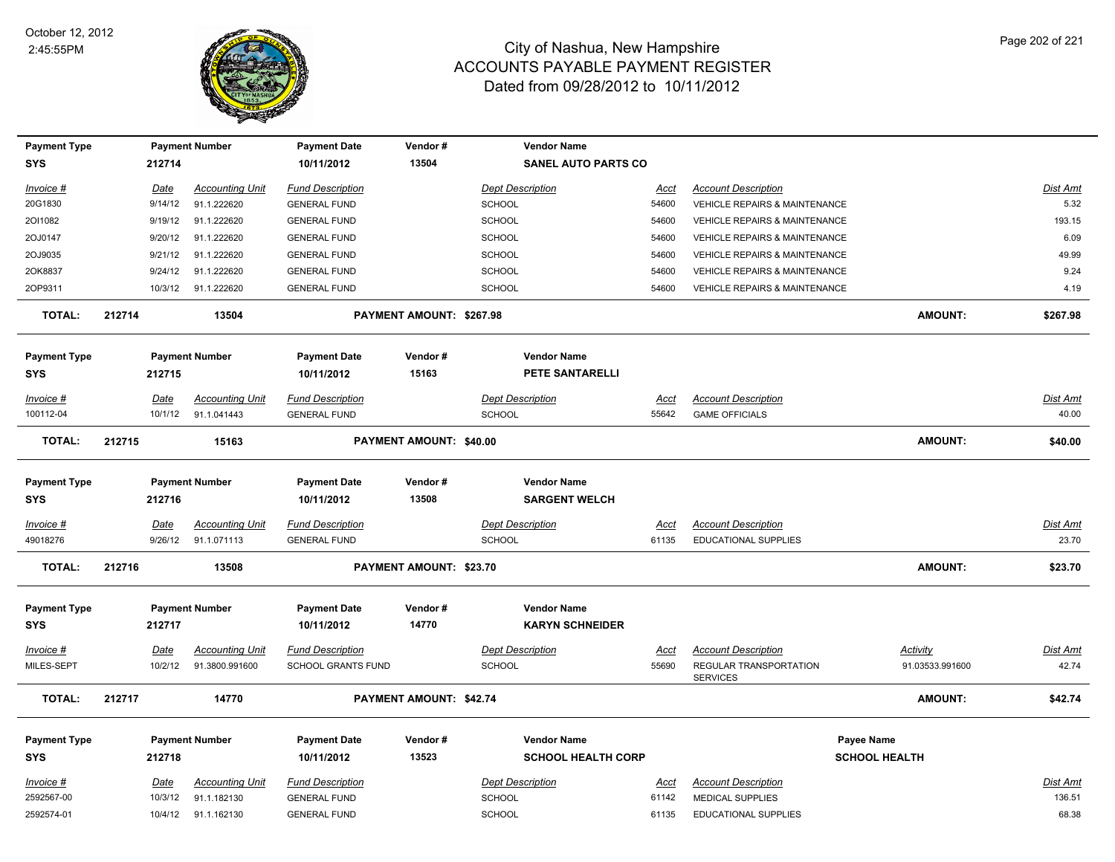

| <b>Payment Type</b> |             | <b>Payment Number</b>  | <b>Payment Date</b>     | Vendor#                        | <b>Vendor Name</b>         |             |                                           |                      |                 |
|---------------------|-------------|------------------------|-------------------------|--------------------------------|----------------------------|-------------|-------------------------------------------|----------------------|-----------------|
| <b>SYS</b>          | 212714      |                        | 10/11/2012              | 13504                          | <b>SANEL AUTO PARTS CO</b> |             |                                           |                      |                 |
| Invoice #           | Date        | <b>Accounting Unit</b> | <b>Fund Description</b> |                                | <b>Dept Description</b>    | <u>Acct</u> | <b>Account Description</b>                |                      | Dist Amt        |
| 20G1830             | 9/14/12     | 91.1.222620            | <b>GENERAL FUND</b>     |                                | SCHOOL                     | 54600       | <b>VEHICLE REPAIRS &amp; MAINTENANCE</b>  |                      | 5.32            |
| 2011082             | 9/19/12     | 91.1.222620            | <b>GENERAL FUND</b>     |                                | <b>SCHOOL</b>              | 54600       | VEHICLE REPAIRS & MAINTENANCE             |                      | 193.15          |
| 2OJ0147             | 9/20/12     | 91.1.222620            | <b>GENERAL FUND</b>     |                                | <b>SCHOOL</b>              | 54600       | <b>VEHICLE REPAIRS &amp; MAINTENANCE</b>  |                      | 6.09            |
| 2OJ9035             | 9/21/12     | 91.1.222620            | <b>GENERAL FUND</b>     |                                | <b>SCHOOL</b>              | 54600       | <b>VEHICLE REPAIRS &amp; MAINTENANCE</b>  |                      | 49.99           |
| 2OK8837             | 9/24/12     | 91.1.222620            | <b>GENERAL FUND</b>     |                                | <b>SCHOOL</b>              | 54600       | VEHICLE REPAIRS & MAINTENANCE             |                      | 9.24            |
| 2OP9311             |             | 10/3/12 91.1.222620    | <b>GENERAL FUND</b>     |                                | <b>SCHOOL</b>              | 54600       | <b>VEHICLE REPAIRS &amp; MAINTENANCE</b>  |                      | 4.19            |
| <b>TOTAL:</b>       | 212714      | 13504                  |                         | PAYMENT AMOUNT: \$267.98       |                            |             |                                           | <b>AMOUNT:</b>       | \$267.98        |
| <b>Payment Type</b> |             | <b>Payment Number</b>  | <b>Payment Date</b>     | Vendor#                        | <b>Vendor Name</b>         |             |                                           |                      |                 |
| SYS                 | 212715      |                        | 10/11/2012              | 15163                          | <b>PETE SANTARELLI</b>     |             |                                           |                      |                 |
| Invoice #           | Date        | <b>Accounting Unit</b> | <b>Fund Description</b> |                                | <b>Dept Description</b>    | Acct        | <b>Account Description</b>                |                      | <b>Dist Amt</b> |
| 100112-04           | 10/1/12     | 91.1.041443            | <b>GENERAL FUND</b>     |                                | <b>SCHOOL</b>              | 55642       | <b>GAME OFFICIALS</b>                     |                      | 40.00           |
| <b>TOTAL:</b>       | 212715      | 15163                  |                         | <b>PAYMENT AMOUNT: \$40.00</b> |                            |             |                                           | <b>AMOUNT:</b>       | \$40.00         |
| <b>Payment Type</b> |             | <b>Payment Number</b>  | <b>Payment Date</b>     | Vendor#                        | <b>Vendor Name</b>         |             |                                           |                      |                 |
| SYS                 | 212716      |                        | 10/11/2012              | 13508                          | <b>SARGENT WELCH</b>       |             |                                           |                      |                 |
| Invoice #           | Date        | <b>Accounting Unit</b> | <b>Fund Description</b> |                                | <b>Dept Description</b>    | Acct        | <b>Account Description</b>                |                      | Dist Amt        |
| 49018276            | 9/26/12     | 91.1.071113            | <b>GENERAL FUND</b>     |                                | <b>SCHOOL</b>              | 61135       | EDUCATIONAL SUPPLIES                      |                      | 23.70           |
| <b>TOTAL:</b>       | 212716      | 13508                  |                         | PAYMENT AMOUNT: \$23.70        |                            |             |                                           | <b>AMOUNT:</b>       | \$23.70         |
| <b>Payment Type</b> |             | <b>Payment Number</b>  | <b>Payment Date</b>     | Vendor#                        | <b>Vendor Name</b>         |             |                                           |                      |                 |
| <b>SYS</b>          | 212717      |                        | 10/11/2012              | 14770                          | <b>KARYN SCHNEIDER</b>     |             |                                           |                      |                 |
|                     |             |                        |                         |                                |                            |             |                                           |                      |                 |
| Invoice #           | <b>Date</b> | <b>Accounting Unit</b> | <b>Fund Description</b> |                                | <b>Dept Description</b>    | <u>Acct</u> | <b>Account Description</b>                | <b>Activity</b>      | Dist Amt        |
| MILES-SEPT          | 10/2/12     | 91.3800.991600         | SCHOOL GRANTS FUND      |                                | <b>SCHOOL</b>              | 55690       | REGULAR TRANSPORTATION<br><b>SERVICES</b> | 91.03533.991600      | 42.74           |
| <b>TOTAL:</b>       | 212717      | 14770                  |                         | PAYMENT AMOUNT: \$42.74        |                            |             |                                           | <b>AMOUNT:</b>       | \$42.74         |
| <b>Payment Type</b> |             | <b>Payment Number</b>  | <b>Payment Date</b>     | Vendor#                        | <b>Vendor Name</b>         |             |                                           | <b>Payee Name</b>    |                 |
| <b>SYS</b>          | 212718      |                        | 10/11/2012              | 13523                          | <b>SCHOOL HEALTH CORP</b>  |             |                                           | <b>SCHOOL HEALTH</b> |                 |
| Invoice #           | Date        | <b>Accounting Unit</b> | <b>Fund Description</b> |                                | <b>Dept Description</b>    | <u>Acct</u> | <b>Account Description</b>                |                      | <b>Dist Amt</b> |
| 2592567-00          | 10/3/12     | 91.1.182130            | <b>GENERAL FUND</b>     |                                | <b>SCHOOL</b>              | 61142       | <b>MEDICAL SUPPLIES</b>                   |                      | 136.51          |
| 2592574-01          | 10/4/12     | 91.1.162130            | <b>GENERAL FUND</b>     |                                | <b>SCHOOL</b>              | 61135       | <b>EDUCATIONAL SUPPLIES</b>               |                      | 68.38           |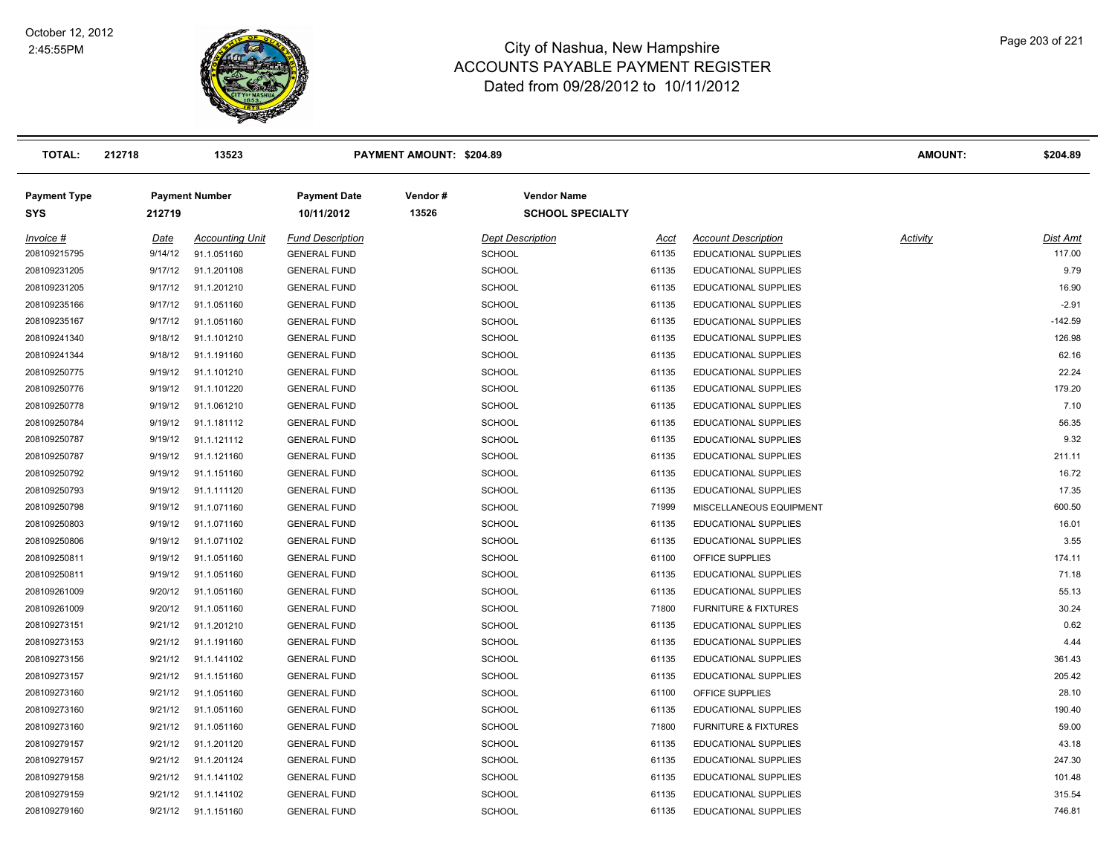

| <b>TOTAL:</b>                     | 212718      | 13523                  |                                   | PAYMENT AMOUNT: \$204.89 |                                               |       |                                 | <b>AMOUNT:</b>  | \$204.89  |
|-----------------------------------|-------------|------------------------|-----------------------------------|--------------------------|-----------------------------------------------|-------|---------------------------------|-----------------|-----------|
| <b>Payment Type</b><br><b>SYS</b> | 212719      | <b>Payment Number</b>  | <b>Payment Date</b><br>10/11/2012 | Vendor#<br>13526         | <b>Vendor Name</b><br><b>SCHOOL SPECIALTY</b> |       |                                 |                 |           |
| Invoice #                         | <u>Date</u> | <b>Accounting Unit</b> | <b>Fund Description</b>           |                          | <b>Dept Description</b>                       | Acct  | <b>Account Description</b>      | <b>Activity</b> | Dist Amt  |
| 208109215795                      | 9/14/12     | 91.1.051160            | <b>GENERAL FUND</b>               |                          | <b>SCHOOL</b>                                 | 61135 | EDUCATIONAL SUPPLIES            |                 | 117.00    |
| 208109231205                      | 9/17/12     | 91.1.201108            | <b>GENERAL FUND</b>               |                          | <b>SCHOOL</b>                                 | 61135 | EDUCATIONAL SUPPLIES            |                 | 9.79      |
| 208109231205                      | 9/17/12     | 91.1.201210            | <b>GENERAL FUND</b>               |                          | <b>SCHOOL</b>                                 | 61135 | EDUCATIONAL SUPPLIES            |                 | 16.90     |
| 208109235166                      | 9/17/12     | 91.1.051160            | <b>GENERAL FUND</b>               |                          | <b>SCHOOL</b>                                 | 61135 | EDUCATIONAL SUPPLIES            |                 | $-2.91$   |
| 208109235167                      | 9/17/12     | 91.1.051160            | <b>GENERAL FUND</b>               |                          | <b>SCHOOL</b>                                 | 61135 | EDUCATIONAL SUPPLIES            |                 | $-142.59$ |
| 208109241340                      | 9/18/12     | 91.1.101210            | <b>GENERAL FUND</b>               |                          | <b>SCHOOL</b>                                 | 61135 | <b>EDUCATIONAL SUPPLIES</b>     |                 | 126.98    |
| 208109241344                      | 9/18/12     | 91.1.191160            | <b>GENERAL FUND</b>               |                          | <b>SCHOOL</b>                                 | 61135 | EDUCATIONAL SUPPLIES            |                 | 62.16     |
| 208109250775                      | 9/19/12     | 91.1.101210            | <b>GENERAL FUND</b>               |                          | <b>SCHOOL</b>                                 | 61135 | EDUCATIONAL SUPPLIES            |                 | 22.24     |
| 208109250776                      | 9/19/12     | 91.1.101220            | <b>GENERAL FUND</b>               |                          | <b>SCHOOL</b>                                 | 61135 | <b>EDUCATIONAL SUPPLIES</b>     |                 | 179.20    |
| 208109250778                      | 9/19/12     | 91.1.061210            | <b>GENERAL FUND</b>               |                          | <b>SCHOOL</b>                                 | 61135 | <b>EDUCATIONAL SUPPLIES</b>     |                 | 7.10      |
| 208109250784                      | 9/19/12     | 91.1.181112            | <b>GENERAL FUND</b>               |                          | <b>SCHOOL</b>                                 | 61135 | <b>EDUCATIONAL SUPPLIES</b>     |                 | 56.35     |
| 208109250787                      | 9/19/12     | 91.1.121112            | <b>GENERAL FUND</b>               |                          | <b>SCHOOL</b>                                 | 61135 | <b>EDUCATIONAL SUPPLIES</b>     |                 | 9.32      |
| 208109250787                      | 9/19/12     | 91.1.121160            | <b>GENERAL FUND</b>               |                          | <b>SCHOOL</b>                                 | 61135 | EDUCATIONAL SUPPLIES            |                 | 211.11    |
| 208109250792                      | 9/19/12     | 91.1.151160            | <b>GENERAL FUND</b>               |                          | <b>SCHOOL</b>                                 | 61135 | EDUCATIONAL SUPPLIES            |                 | 16.72     |
| 208109250793                      | 9/19/12     | 91.1.111120            | <b>GENERAL FUND</b>               |                          | <b>SCHOOL</b>                                 | 61135 | <b>EDUCATIONAL SUPPLIES</b>     |                 | 17.35     |
| 208109250798                      | 9/19/12     | 91.1.071160            | <b>GENERAL FUND</b>               |                          | <b>SCHOOL</b>                                 | 71999 | MISCELLANEOUS EQUIPMENT         |                 | 600.50    |
| 208109250803                      | 9/19/12     | 91.1.071160            | <b>GENERAL FUND</b>               |                          | <b>SCHOOL</b>                                 | 61135 | <b>EDUCATIONAL SUPPLIES</b>     |                 | 16.01     |
| 208109250806                      | 9/19/12     | 91.1.071102            | <b>GENERAL FUND</b>               |                          | <b>SCHOOL</b>                                 | 61135 | <b>EDUCATIONAL SUPPLIES</b>     |                 | 3.55      |
| 208109250811                      | 9/19/12     | 91.1.051160            | <b>GENERAL FUND</b>               |                          | <b>SCHOOL</b>                                 | 61100 | OFFICE SUPPLIES                 |                 | 174.11    |
| 208109250811                      | 9/19/12     | 91.1.051160            | <b>GENERAL FUND</b>               |                          | <b>SCHOOL</b>                                 | 61135 | EDUCATIONAL SUPPLIES            |                 | 71.18     |
| 208109261009                      | 9/20/12     | 91.1.051160            | <b>GENERAL FUND</b>               |                          | <b>SCHOOL</b>                                 | 61135 | EDUCATIONAL SUPPLIES            |                 | 55.13     |
| 208109261009                      | 9/20/12     | 91.1.051160            | <b>GENERAL FUND</b>               |                          | <b>SCHOOL</b>                                 | 71800 | <b>FURNITURE &amp; FIXTURES</b> |                 | 30.24     |
| 208109273151                      | 9/21/12     | 91.1.201210            | <b>GENERAL FUND</b>               |                          | <b>SCHOOL</b>                                 | 61135 | <b>EDUCATIONAL SUPPLIES</b>     |                 | 0.62      |
| 208109273153                      | 9/21/12     | 91.1.191160            | <b>GENERAL FUND</b>               |                          | <b>SCHOOL</b>                                 | 61135 | EDUCATIONAL SUPPLIES            |                 | 4.44      |
| 208109273156                      | 9/21/12     | 91.1.141102            | <b>GENERAL FUND</b>               |                          | <b>SCHOOL</b>                                 | 61135 | EDUCATIONAL SUPPLIES            |                 | 361.43    |
| 208109273157                      | 9/21/12     | 91.1.151160            | <b>GENERAL FUND</b>               |                          | <b>SCHOOL</b>                                 | 61135 | EDUCATIONAL SUPPLIES            |                 | 205.42    |
| 208109273160                      | 9/21/12     | 91.1.051160            | <b>GENERAL FUND</b>               |                          | <b>SCHOOL</b>                                 | 61100 | OFFICE SUPPLIES                 |                 | 28.10     |
| 208109273160                      | 9/21/12     | 91.1.051160            | <b>GENERAL FUND</b>               |                          | <b>SCHOOL</b>                                 | 61135 | <b>EDUCATIONAL SUPPLIES</b>     |                 | 190.40    |
| 208109273160                      | 9/21/12     | 91.1.051160            | <b>GENERAL FUND</b>               |                          | <b>SCHOOL</b>                                 | 71800 | <b>FURNITURE &amp; FIXTURES</b> |                 | 59.00     |
| 208109279157                      | 9/21/12     | 91.1.201120            | <b>GENERAL FUND</b>               |                          | <b>SCHOOL</b>                                 | 61135 | EDUCATIONAL SUPPLIES            |                 | 43.18     |
| 208109279157                      | 9/21/12     | 91.1.201124            | <b>GENERAL FUND</b>               |                          | <b>SCHOOL</b>                                 | 61135 | EDUCATIONAL SUPPLIES            |                 | 247.30    |
| 208109279158                      | 9/21/12     | 91.1.141102            | <b>GENERAL FUND</b>               |                          | <b>SCHOOL</b>                                 | 61135 | EDUCATIONAL SUPPLIES            |                 | 101.48    |
| 208109279159                      | 9/21/12     | 91.1.141102            | <b>GENERAL FUND</b>               |                          | <b>SCHOOL</b>                                 | 61135 | <b>EDUCATIONAL SUPPLIES</b>     |                 | 315.54    |
| 208109279160                      | 9/21/12     | 91.1.151160            | <b>GENERAL FUND</b>               |                          | SCHOOL                                        | 61135 | <b>EDUCATIONAL SUPPLIES</b>     |                 | 746.81    |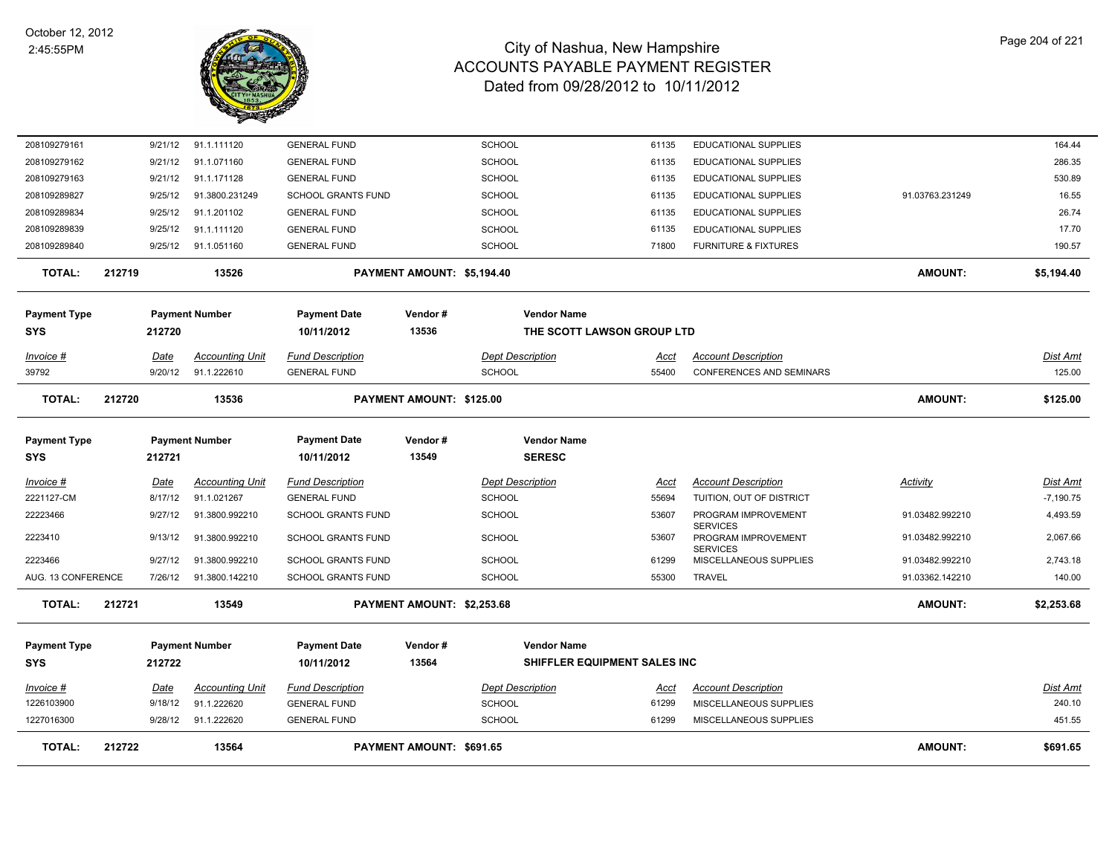

| <b>TOTAL:</b>       | 212722 |             | 13564                  |                           | PAYMENT AMOUNT: \$691.65   |                              |             |                                        | <b>AMOUNT:</b>  | \$691.65        |
|---------------------|--------|-------------|------------------------|---------------------------|----------------------------|------------------------------|-------------|----------------------------------------|-----------------|-----------------|
| 1227016300          |        | 9/28/12     | 91.1.222620            | <b>GENERAL FUND</b>       |                            | <b>SCHOOL</b>                | 61299       | MISCELLANEOUS SUPPLIES                 |                 | 451.55          |
| 1226103900          |        | 9/18/12     | 91.1.222620            | <b>GENERAL FUND</b>       |                            | <b>SCHOOL</b>                | 61299       | MISCELLANEOUS SUPPLIES                 |                 | 240.10          |
| $Invoice$ #         |        | <u>Date</u> | <b>Accounting Unit</b> | <b>Fund Description</b>   |                            | <b>Dept Description</b>      | <u>Acct</u> | <b>Account Description</b>             |                 | <b>Dist Amt</b> |
| <b>SYS</b>          |        | 212722      |                        | 10/11/2012                | 13564                      | SHIFFLER EQUIPMENT SALES INC |             |                                        |                 |                 |
| <b>Payment Type</b> |        |             | <b>Payment Number</b>  | <b>Payment Date</b>       | Vendor#                    | <b>Vendor Name</b>           |             |                                        |                 |                 |
| <b>TOTAL:</b>       | 212721 |             | 13549                  |                           | PAYMENT AMOUNT: \$2,253.68 |                              |             |                                        | AMOUNT:         | \$2,253.68      |
| AUG. 13 CONFERENCE  |        | 7/26/12     | 91.3800.142210         | <b>SCHOOL GRANTS FUND</b> |                            | <b>SCHOOL</b>                | 55300       | <b>TRAVEL</b>                          | 91.03362.142210 | 140.00          |
| 2223466             |        | 9/27/12     | 91.3800.992210         | <b>SCHOOL GRANTS FUND</b> |                            | <b>SCHOOL</b>                | 61299       | MISCELLANEOUS SUPPLIES                 | 91.03482.992210 | 2,743.18        |
| 2223410             |        | 9/13/12     | 91.3800.992210         | <b>SCHOOL GRANTS FUND</b> |                            | <b>SCHOOL</b>                | 53607       | PROGRAM IMPROVEMENT<br><b>SERVICES</b> | 91.03482.992210 | 2,067.66        |
| 22223466            |        | 9/27/12     | 91.3800.992210         | SCHOOL GRANTS FUND        |                            | <b>SCHOOL</b>                | 53607       | PROGRAM IMPROVEMENT<br><b>SERVICES</b> | 91.03482.992210 | 4,493.59        |
| 2221127-CM          |        | 8/17/12     | 91.1.021267            | <b>GENERAL FUND</b>       |                            | <b>SCHOOL</b>                | 55694       | TUITION, OUT OF DISTRICT               |                 | $-7,190.75$     |
| Invoice #           |        | <b>Date</b> | <b>Accounting Unit</b> | <b>Fund Description</b>   |                            | <b>Dept Description</b>      | Acct        | <b>Account Description</b>             | Activity        | Dist Amt        |
| SYS                 |        | 212721      |                        | 10/11/2012                | 13549                      | <b>SERESC</b>                |             |                                        |                 |                 |
| <b>Payment Type</b> |        |             | <b>Payment Number</b>  | <b>Payment Date</b>       | Vendor#                    | <b>Vendor Name</b>           |             |                                        |                 |                 |
| <b>TOTAL:</b>       | 212720 |             | 13536                  |                           | PAYMENT AMOUNT: \$125.00   |                              |             |                                        | <b>AMOUNT:</b>  | \$125.00        |
| 39792               |        | 9/20/12     | 91.1.222610            | <b>GENERAL FUND</b>       |                            | <b>SCHOOL</b>                | 55400       | <b>CONFERENCES AND SEMINARS</b>        |                 | 125.00          |
| Invoice #           |        | Date        | <b>Accounting Unit</b> | <b>Fund Description</b>   |                            | <b>Dept Description</b>      | Acct        | <b>Account Description</b>             |                 | Dist Amt        |
| SYS                 |        | 212720      |                        | 10/11/2012                | 13536                      | THE SCOTT LAWSON GROUP LTD   |             |                                        |                 |                 |
| <b>Payment Type</b> |        |             | <b>Payment Number</b>  | <b>Payment Date</b>       | Vendor#                    | <b>Vendor Name</b>           |             |                                        |                 |                 |
| <b>TOTAL:</b>       | 212719 |             | 13526                  |                           | PAYMENT AMOUNT: \$5,194.40 |                              |             |                                        | <b>AMOUNT:</b>  | \$5,194.40      |
| 208109289840        |        | 9/25/12     | 91.1.051160            | <b>GENERAL FUND</b>       |                            | <b>SCHOOL</b>                | 71800       | <b>FURNITURE &amp; FIXTURES</b>        |                 | 190.57          |
| 208109289839        |        | 9/25/12     | 91.1.111120            | <b>GENERAL FUND</b>       |                            | <b>SCHOOL</b>                | 61135       | EDUCATIONAL SUPPLIES                   |                 | 17.70           |
| 208109289834        |        | 9/25/12     | 91.1.201102            | <b>GENERAL FUND</b>       |                            | <b>SCHOOL</b>                | 61135       | EDUCATIONAL SUPPLIES                   |                 | 26.74           |
| 208109289827        |        | 9/25/12     | 91.3800.231249         | <b>SCHOOL GRANTS FUND</b> |                            | <b>SCHOOL</b>                | 61135       | <b>EDUCATIONAL SUPPLIES</b>            | 91.03763.231249 | 16.55           |
| 208109279163        |        | 9/21/12     | 91.1.171128            | <b>GENERAL FUND</b>       |                            | <b>SCHOOL</b>                | 61135       | <b>EDUCATIONAL SUPPLIES</b>            |                 | 530.89          |
| 208109279162        |        | 9/21/12     | 91.1.071160            | <b>GENERAL FUND</b>       |                            | <b>SCHOOL</b>                | 61135       | <b>EDUCATIONAL SUPPLIES</b>            |                 | 286.35          |
| 208109279161        |        | 9/21/12     | 91.1.111120            | <b>GENERAL FUND</b>       |                            | SCHOOL                       | 61135       | <b>EDUCATIONAL SUPPLIES</b>            |                 | 164.44          |
|                     |        |             |                        |                           |                            |                              |             |                                        |                 |                 |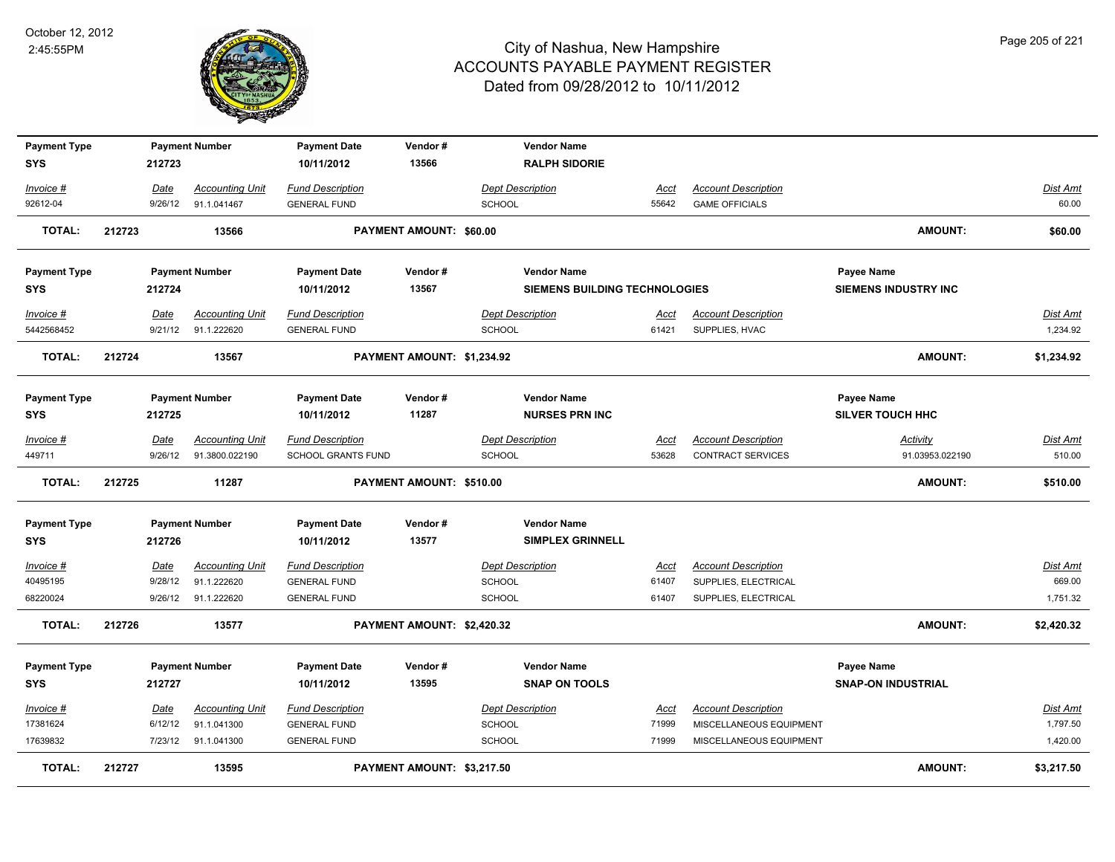

| <b>Payment Type</b> |        |         | <b>Payment Number</b>  | <b>Payment Date</b>     | Vendor#                    | <b>Vendor Name</b>                   |             |                            |                             |                 |
|---------------------|--------|---------|------------------------|-------------------------|----------------------------|--------------------------------------|-------------|----------------------------|-----------------------------|-----------------|
| <b>SYS</b>          |        | 212723  |                        | 10/11/2012              | 13566                      | <b>RALPH SIDORIE</b>                 |             |                            |                             |                 |
| Invoice #           |        | Date    | <b>Accounting Unit</b> | <b>Fund Description</b> |                            | <b>Dept Description</b>              | Acct        | <b>Account Description</b> |                             | Dist Amt        |
| 92612-04            |        | 9/26/12 | 91.1.041467            | <b>GENERAL FUND</b>     |                            | <b>SCHOOL</b>                        | 55642       | <b>GAME OFFICIALS</b>      |                             | 60.00           |
| <b>TOTAL:</b>       | 212723 |         | 13566                  |                         | PAYMENT AMOUNT: \$60.00    |                                      |             |                            | <b>AMOUNT:</b>              | \$60.00         |
| <b>Payment Type</b> |        |         | <b>Payment Number</b>  | <b>Payment Date</b>     | Vendor#                    | <b>Vendor Name</b>                   |             |                            | Payee Name                  |                 |
| <b>SYS</b>          |        | 212724  |                        | 10/11/2012              | 13567                      | <b>SIEMENS BUILDING TECHNOLOGIES</b> |             |                            | <b>SIEMENS INDUSTRY INC</b> |                 |
| Invoice #           |        | Date    | <b>Accounting Unit</b> | <b>Fund Description</b> |                            | <b>Dept Description</b>              | Acct        | <b>Account Description</b> |                             | <b>Dist Amt</b> |
| 5442568452          |        | 9/21/12 | 91.1.222620            | <b>GENERAL FUND</b>     |                            | <b>SCHOOL</b>                        | 61421       | SUPPLIES, HVAC             |                             | 1,234.92        |
| <b>TOTAL:</b>       | 212724 |         | 13567                  |                         | PAYMENT AMOUNT: \$1,234.92 |                                      |             |                            | <b>AMOUNT:</b>              | \$1,234.92      |
| <b>Payment Type</b> |        |         | <b>Payment Number</b>  | <b>Payment Date</b>     | Vendor#                    | <b>Vendor Name</b>                   |             |                            | Payee Name                  |                 |
| <b>SYS</b>          |        | 212725  |                        | 10/11/2012              | 11287                      | <b>NURSES PRN INC</b>                |             |                            | <b>SILVER TOUCH HHC</b>     |                 |
| Invoice #           |        | Date    | <b>Accounting Unit</b> | <b>Fund Description</b> |                            | <b>Dept Description</b>              | Acct        | <b>Account Description</b> | Activity                    | Dist Amt        |
| 449711              |        | 9/26/12 | 91.3800.022190         | SCHOOL GRANTS FUND      |                            | <b>SCHOOL</b>                        | 53628       | CONTRACT SERVICES          | 91.03953.022190             | 510.00          |
| <b>TOTAL:</b>       | 212725 |         | 11287                  |                         | PAYMENT AMOUNT: \$510.00   |                                      |             |                            | <b>AMOUNT:</b>              | \$510.00        |
| <b>Payment Type</b> |        |         | <b>Payment Number</b>  | <b>Payment Date</b>     | Vendor#                    | <b>Vendor Name</b>                   |             |                            |                             |                 |
| <b>SYS</b>          |        | 212726  |                        | 10/11/2012              | 13577                      | <b>SIMPLEX GRINNELL</b>              |             |                            |                             |                 |
| $Invoice$ #         |        | Date    | <b>Accounting Unit</b> | <b>Fund Description</b> |                            | <b>Dept Description</b>              | <b>Acct</b> | <b>Account Description</b> |                             | <b>Dist Amt</b> |
| 40495195            |        | 9/28/12 | 91.1.222620            | <b>GENERAL FUND</b>     |                            | <b>SCHOOL</b>                        | 61407       | SUPPLIES, ELECTRICAL       |                             | 669.00          |
| 68220024            |        | 9/26/12 | 91.1.222620            | <b>GENERAL FUND</b>     |                            | <b>SCHOOL</b>                        | 61407       | SUPPLIES, ELECTRICAL       |                             | 1,751.32        |
| <b>TOTAL:</b>       | 212726 |         | 13577                  |                         | PAYMENT AMOUNT: \$2,420.32 |                                      |             |                            | <b>AMOUNT:</b>              | \$2,420.32      |
| <b>Payment Type</b> |        |         | <b>Payment Number</b>  | <b>Payment Date</b>     | Vendor#                    | <b>Vendor Name</b>                   |             |                            | Payee Name                  |                 |
| <b>SYS</b>          |        | 212727  |                        | 10/11/2012              | 13595                      | <b>SNAP ON TOOLS</b>                 |             |                            | <b>SNAP-ON INDUSTRIAL</b>   |                 |
| Invoice #           |        | Date    | <b>Accounting Unit</b> | <b>Fund Description</b> |                            | <b>Dept Description</b>              | Acct        | <b>Account Description</b> |                             | Dist Amt        |
| 17381624            |        | 6/12/12 | 91.1.041300            | <b>GENERAL FUND</b>     |                            | <b>SCHOOL</b>                        | 71999       | MISCELLANEOUS EQUIPMENT    |                             | 1,797.50        |
| 17639832            |        | 7/23/12 | 91.1.041300            | <b>GENERAL FUND</b>     |                            | <b>SCHOOL</b>                        | 71999       | MISCELLANEOUS EQUIPMENT    |                             | 1,420.00        |
| <b>TOTAL:</b>       | 212727 |         | 13595                  |                         | PAYMENT AMOUNT: \$3,217.50 |                                      |             |                            | <b>AMOUNT:</b>              | \$3,217.50      |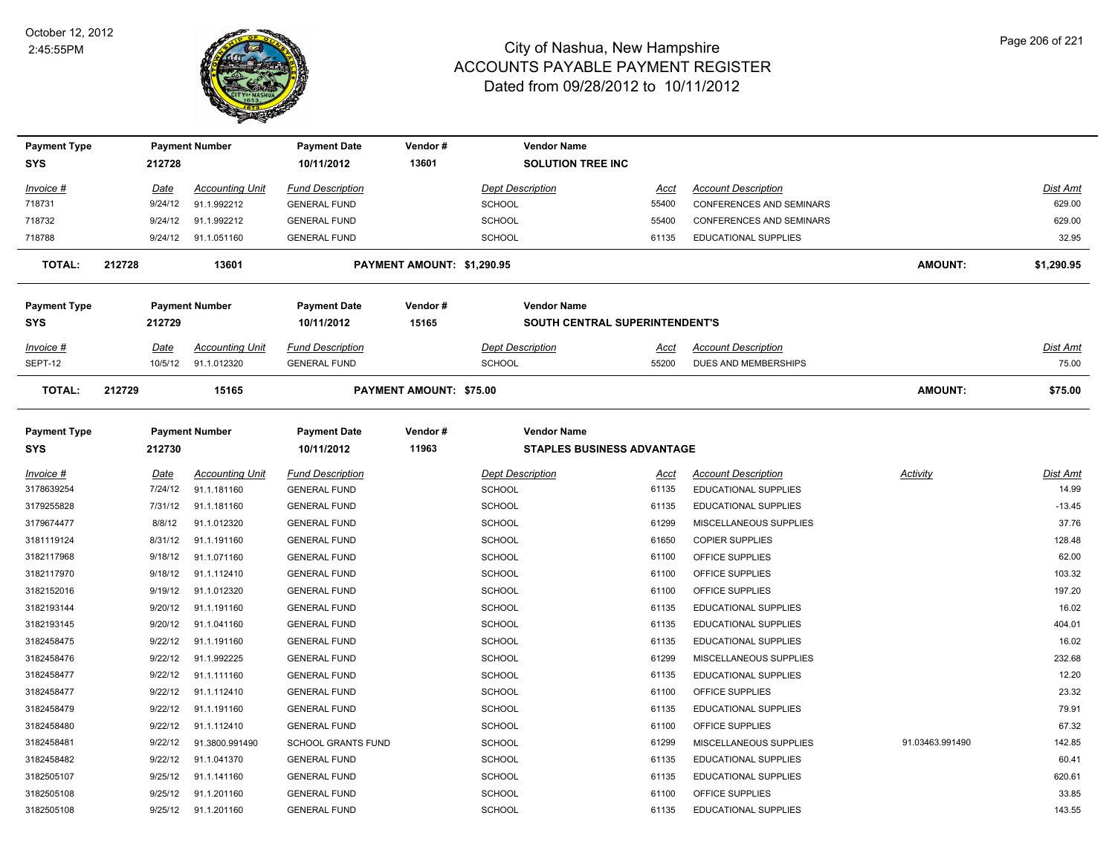

| <b>Payment Type</b>        |             | <b>Payment Number</b>  | <b>Payment Date</b>               | Vendor#                        | <b>Vendor Name</b>                                      |             |                                 |                 |                 |
|----------------------------|-------------|------------------------|-----------------------------------|--------------------------------|---------------------------------------------------------|-------------|---------------------------------|-----------------|-----------------|
| <b>SYS</b>                 | 212728      |                        | 10/11/2012                        | 13601                          | <b>SOLUTION TREE INC</b>                                |             |                                 |                 |                 |
| <u> Invoice #</u>          | <u>Date</u> | <b>Accounting Unit</b> | <b>Fund Description</b>           |                                | <b>Dept Description</b>                                 | <u>Acct</u> | <b>Account Description</b>      |                 | <u>Dist Amt</u> |
| 718731                     | 9/24/12     | 91.1.992212            | <b>GENERAL FUND</b>               |                                | <b>SCHOOL</b>                                           | 55400       | CONFERENCES AND SEMINARS        |                 | 629.00          |
| 718732                     | 9/24/12     | 91.1.992212            | <b>GENERAL FUND</b>               |                                | <b>SCHOOL</b>                                           | 55400       | <b>CONFERENCES AND SEMINARS</b> |                 | 629.00          |
| 718788                     | 9/24/12     | 91.1.051160            | <b>GENERAL FUND</b>               |                                | SCHOOL                                                  | 61135       | EDUCATIONAL SUPPLIES            |                 | 32.95           |
| TOTAL:                     | 212728      | 13601                  |                                   | PAYMENT AMOUNT: \$1,290.95     |                                                         |             |                                 | <b>AMOUNT:</b>  | \$1,290.95      |
| <b>Payment Type</b>        |             | <b>Payment Number</b>  | <b>Payment Date</b>               | Vendor#                        | <b>Vendor Name</b>                                      |             |                                 |                 |                 |
| SYS                        | 212729      |                        | 10/11/2012                        | 15165                          | SOUTH CENTRAL SUPERINTENDENT'S                          |             |                                 |                 |                 |
| Invoice #                  | Date        | <b>Accounting Unit</b> | <b>Fund Description</b>           |                                | <b>Dept Description</b>                                 | <u>Acct</u> | <b>Account Description</b>      |                 | Dist Amt        |
| SEPT-12                    | 10/5/12     | 91.1.012320            | <b>GENERAL FUND</b>               |                                | <b>SCHOOL</b>                                           | 55200       | DUES AND MEMBERSHIPS            |                 | 75.00           |
| TOTAL:                     | 212729      | 15165                  |                                   | <b>PAYMENT AMOUNT: \$75.00</b> |                                                         |             |                                 | <b>AMOUNT:</b>  | \$75.00         |
| <b>Payment Type</b><br>SYS | 212730      | <b>Payment Number</b>  | <b>Payment Date</b><br>10/11/2012 | Vendor#<br>11963               | <b>Vendor Name</b><br><b>STAPLES BUSINESS ADVANTAGE</b> |             |                                 |                 |                 |
| <u>Invoice #</u>           | <u>Date</u> | <b>Accounting Unit</b> | <b>Fund Description</b>           |                                | <b>Dept Description</b>                                 | <u>Acct</u> | <b>Account Description</b>      | <b>Activity</b> | Dist Amt        |
| 3178639254                 | 7/24/12     | 91.1.181160            | <b>GENERAL FUND</b>               |                                | <b>SCHOOL</b>                                           | 61135       | <b>EDUCATIONAL SUPPLIES</b>     |                 | 14.99           |
| 3179255828                 | 7/31/12     | 91.1.181160            | <b>GENERAL FUND</b>               |                                | SCHOOL                                                  | 61135       | <b>EDUCATIONAL SUPPLIES</b>     |                 | $-13.45$        |
| 3179674477                 | 8/8/12      | 91.1.012320            | <b>GENERAL FUND</b>               |                                | <b>SCHOOL</b>                                           | 61299       | MISCELLANEOUS SUPPLIES          |                 | 37.76           |
| 3181119124                 | 8/31/12     | 91.1.191160            | <b>GENERAL FUND</b>               |                                | <b>SCHOOL</b>                                           | 61650       | <b>COPIER SUPPLIES</b>          |                 | 128.48          |
| 3182117968                 | 9/18/12     | 91.1.071160            | <b>GENERAL FUND</b>               |                                | SCHOOL                                                  | 61100       | OFFICE SUPPLIES                 |                 | 62.00           |
| 3182117970                 | 9/18/12     | 91.1.112410            | <b>GENERAL FUND</b>               |                                | SCHOOL                                                  | 61100       | OFFICE SUPPLIES                 |                 | 103.32          |
| 3182152016                 | 9/19/12     | 91.1.012320            | <b>GENERAL FUND</b>               |                                | <b>SCHOOL</b>                                           | 61100       | OFFICE SUPPLIES                 |                 | 197.20          |
| 3182193144                 | 9/20/12     | 91.1.191160            | <b>GENERAL FUND</b>               |                                | SCHOOL                                                  | 61135       | <b>EDUCATIONAL SUPPLIES</b>     |                 | 16.02           |
| 3182193145                 | 9/20/12     | 91.1.041160            | <b>GENERAL FUND</b>               |                                | <b>SCHOOL</b>                                           | 61135       | <b>EDUCATIONAL SUPPLIES</b>     |                 | 404.01          |
| 3182458475                 | 9/22/12     | 91.1.191160            | <b>GENERAL FUND</b>               |                                | SCHOOL                                                  | 61135       | <b>EDUCATIONAL SUPPLIES</b>     |                 | 16.02           |
| 3182458476                 | 9/22/12     | 91.1.992225            | <b>GENERAL FUND</b>               |                                | SCHOOL                                                  | 61299       | MISCELLANEOUS SUPPLIES          |                 | 232.68          |
| 3182458477                 | 9/22/12     | 91.1.111160            | <b>GENERAL FUND</b>               |                                | <b>SCHOOL</b>                                           | 61135       | <b>EDUCATIONAL SUPPLIES</b>     |                 | 12.20           |
| 3182458477                 | 9/22/12     | 91.1.112410            | <b>GENERAL FUND</b>               |                                | SCHOOL                                                  | 61100       | OFFICE SUPPLIES                 |                 | 23.32           |
| 3182458479                 | 9/22/12     | 91.1.191160            | <b>GENERAL FUND</b>               |                                | SCHOOL                                                  | 61135       | <b>EDUCATIONAL SUPPLIES</b>     |                 | 79.91           |
| 3182458480                 | 9/22/12     | 91.1.112410            | <b>GENERAL FUND</b>               |                                | <b>SCHOOL</b>                                           | 61100       | OFFICE SUPPLIES                 |                 | 67.32           |
| 3182458481                 | 9/22/12     | 91.3800.991490         | <b>SCHOOL GRANTS FUND</b>         |                                | <b>SCHOOL</b>                                           | 61299       | MISCELLANEOUS SUPPLIES          | 91.03463.991490 | 142.85          |
| 3182458482                 | 9/22/12     | 91.1.041370            | <b>GENERAL FUND</b>               |                                | <b>SCHOOL</b>                                           | 61135       | <b>EDUCATIONAL SUPPLIES</b>     |                 | 60.41           |
| 3182505107                 | 9/25/12     | 91.1.141160            | <b>GENERAL FUND</b>               |                                | SCHOOL                                                  | 61135       | <b>EDUCATIONAL SUPPLIES</b>     |                 | 620.61          |
| 3182505108                 | 9/25/12     | 91.1.201160            | <b>GENERAL FUND</b>               |                                | SCHOOL                                                  | 61100       | OFFICE SUPPLIES                 |                 | 33.85           |
| 3182505108                 | 9/25/12     | 91.1.201160            | <b>GENERAL FUND</b>               |                                | SCHOOL                                                  | 61135       | EDUCATIONAL SUPPLIES            |                 | 143.55          |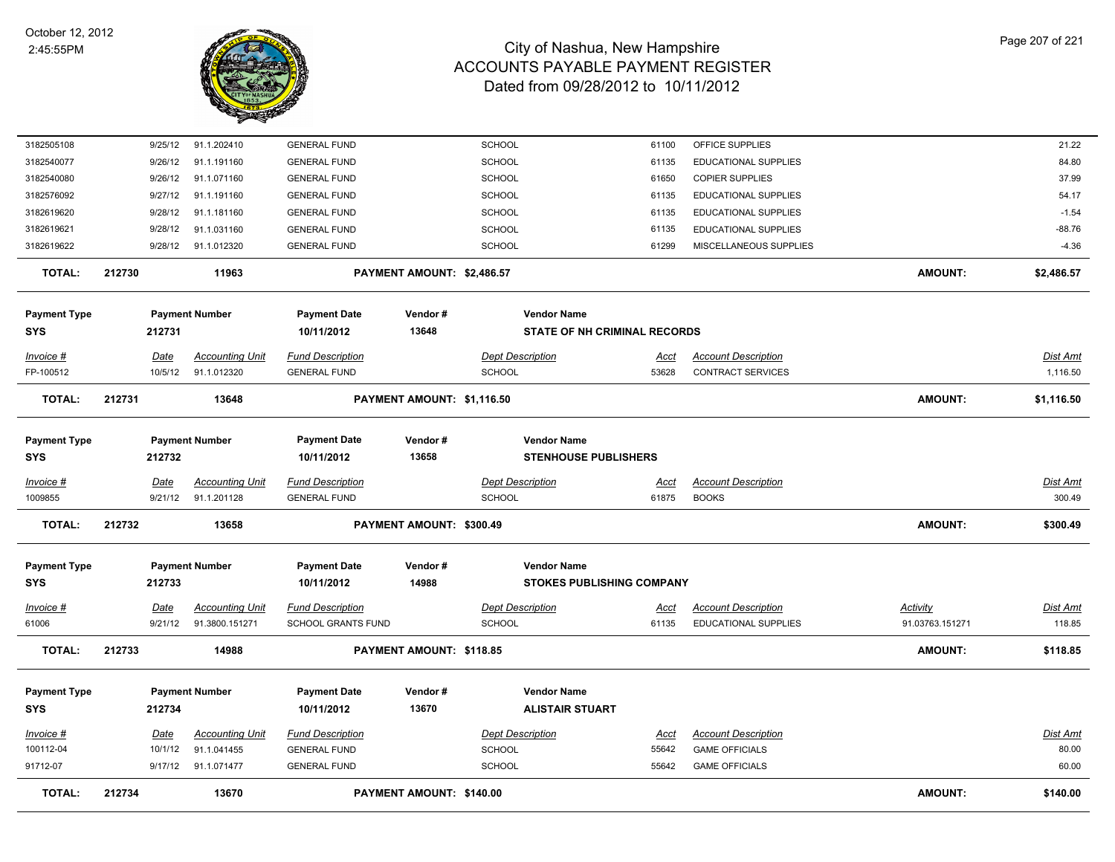

| 3182505108             |                        | 91.1.202410<br>9/25/12                | <b>GENERAL FUND</b>                            |                            | SCHOOL                              | 61100                | OFFICE SUPPLIES                                     |                 | 21.22                    |
|------------------------|------------------------|---------------------------------------|------------------------------------------------|----------------------------|-------------------------------------|----------------------|-----------------------------------------------------|-----------------|--------------------------|
| 3182540077             |                        | 91.1.191160<br>9/26/12                | <b>GENERAL FUND</b>                            |                            | SCHOOL                              | 61135                | <b>EDUCATIONAL SUPPLIES</b>                         |                 | 84.80                    |
| 3182540080             | 9/26/12                | 91.1.071160                           | <b>GENERAL FUND</b>                            |                            | SCHOOL                              | 61650                | <b>COPIER SUPPLIES</b>                              |                 | 37.99                    |
| 3182576092             |                        | 9/27/12<br>91.1.191160                | <b>GENERAL FUND</b>                            |                            | SCHOOL                              | 61135                | <b>EDUCATIONAL SUPPLIES</b>                         |                 | 54.17                    |
| 3182619620             | 9/28/12                | 91.1.181160                           | <b>GENERAL FUND</b>                            |                            | SCHOOL                              | 61135                | <b>EDUCATIONAL SUPPLIES</b>                         |                 | $-1.54$                  |
| 3182619621             | 9/28/12                | 91.1.031160                           | <b>GENERAL FUND</b>                            |                            | SCHOOL                              | 61135                | <b>EDUCATIONAL SUPPLIES</b>                         |                 | $-88.76$                 |
| 3182619622             |                        | 9/28/12<br>91.1.012320                | <b>GENERAL FUND</b>                            |                            | SCHOOL                              | 61299                | MISCELLANEOUS SUPPLIES                              |                 | $-4.36$                  |
| <b>TOTAL:</b>          | 212730                 | 11963                                 |                                                | PAYMENT AMOUNT: \$2,486.57 |                                     |                      |                                                     | <b>AMOUNT:</b>  | \$2,486.57               |
| <b>Payment Type</b>    |                        | <b>Payment Number</b>                 | <b>Payment Date</b>                            | Vendor#                    | <b>Vendor Name</b>                  |                      |                                                     |                 |                          |
| <b>SYS</b>             | 212731                 |                                       | 10/11/2012                                     | 13648                      | <b>STATE OF NH CRIMINAL RECORDS</b> |                      |                                                     |                 |                          |
| Invoice #              | <b>Date</b>            | <b>Accounting Unit</b>                | <b>Fund Description</b>                        |                            | <b>Dept Description</b>             | <u>Acct</u>          | <b>Account Description</b>                          |                 | <b>Dist Amt</b>          |
| FP-100512              |                        | 10/5/12<br>91.1.012320                | <b>GENERAL FUND</b>                            |                            | SCHOOL                              | 53628                | <b>CONTRACT SERVICES</b>                            |                 | 1,116.50                 |
| <b>TOTAL:</b>          | 212731                 | 13648                                 |                                                | PAYMENT AMOUNT: \$1,116.50 |                                     |                      |                                                     | <b>AMOUNT:</b>  | \$1,116.50               |
|                        |                        |                                       |                                                |                            |                                     |                      |                                                     |                 |                          |
| <b>Payment Type</b>    |                        | <b>Payment Number</b>                 | <b>Payment Date</b>                            | Vendor#                    | <b>Vendor Name</b>                  |                      |                                                     |                 |                          |
| <b>SYS</b>             | 212732                 |                                       | 10/11/2012                                     | 13658                      | <b>STENHOUSE PUBLISHERS</b>         |                      |                                                     |                 |                          |
| Invoice #              | <u>Date</u>            | <b>Accounting Unit</b>                | <b>Fund Description</b>                        |                            | <b>Dept Description</b>             | <u>Acct</u>          | <b>Account Description</b>                          |                 | Dist Amt                 |
| 1009855                |                        | 9/21/12<br>91.1.201128                | <b>GENERAL FUND</b>                            |                            | SCHOOL                              | 61875                | <b>BOOKS</b>                                        |                 | 300.49                   |
| <b>TOTAL:</b>          | 212732                 | 13658                                 |                                                | PAYMENT AMOUNT: \$300.49   |                                     |                      |                                                     | <b>AMOUNT:</b>  | \$300.49                 |
| <b>Payment Type</b>    |                        | <b>Payment Number</b>                 | <b>Payment Date</b>                            | Vendor#                    | <b>Vendor Name</b>                  |                      |                                                     |                 |                          |
| <b>SYS</b>             | 212733                 |                                       | 10/11/2012                                     | 14988                      | <b>STOKES PUBLISHING COMPANY</b>    |                      |                                                     |                 |                          |
|                        |                        |                                       |                                                |                            |                                     |                      |                                                     |                 |                          |
| Invoice #              | <b>Date</b>            | <b>Accounting Unit</b>                | <b>Fund Description</b>                        |                            | <b>Dept Description</b>             | <u>Acct</u>          | <b>Account Description</b>                          | <b>Activity</b> | <b>Dist Amt</b>          |
| 61006                  | 9/21/12                | 91.3800.151271                        | SCHOOL GRANTS FUND                             |                            | <b>SCHOOL</b>                       | 61135                | EDUCATIONAL SUPPLIES                                | 91.03763.151271 | 118.85                   |
| <b>TOTAL:</b>          | 212733                 | 14988                                 |                                                | PAYMENT AMOUNT: \$118.85   |                                     |                      |                                                     | <b>AMOUNT:</b>  | \$118.85                 |
| <b>Payment Type</b>    |                        | <b>Payment Number</b>                 | <b>Payment Date</b>                            | Vendor#                    | <b>Vendor Name</b>                  |                      |                                                     |                 |                          |
| <b>SYS</b>             | 212734                 |                                       | 10/11/2012                                     | 13670                      | <b>ALISTAIR STUART</b>              |                      |                                                     |                 |                          |
|                        |                        |                                       |                                                |                            |                                     |                      |                                                     |                 |                          |
| Invoice #<br>100112-04 | <u>Date</u><br>10/1/12 | <b>Accounting Unit</b><br>91.1.041455 | <b>Fund Description</b><br><b>GENERAL FUND</b> |                            | <b>Dept Description</b><br>SCHOOL   | <u>Acct</u><br>55642 | <b>Account Description</b><br><b>GAME OFFICIALS</b> |                 | <u>Dist Amt</u><br>80.00 |
| 91712-07               |                        | 9/17/12 91.1.071477                   | <b>GENERAL FUND</b>                            |                            | SCHOOL                              | 55642                | <b>GAME OFFICIALS</b>                               |                 | 60.00                    |
|                        |                        |                                       |                                                |                            |                                     |                      |                                                     |                 |                          |
| <b>TOTAL:</b>          | 212734                 | 13670                                 |                                                | PAYMENT AMOUNT: \$140.00   |                                     |                      |                                                     | <b>AMOUNT:</b>  | \$140.00                 |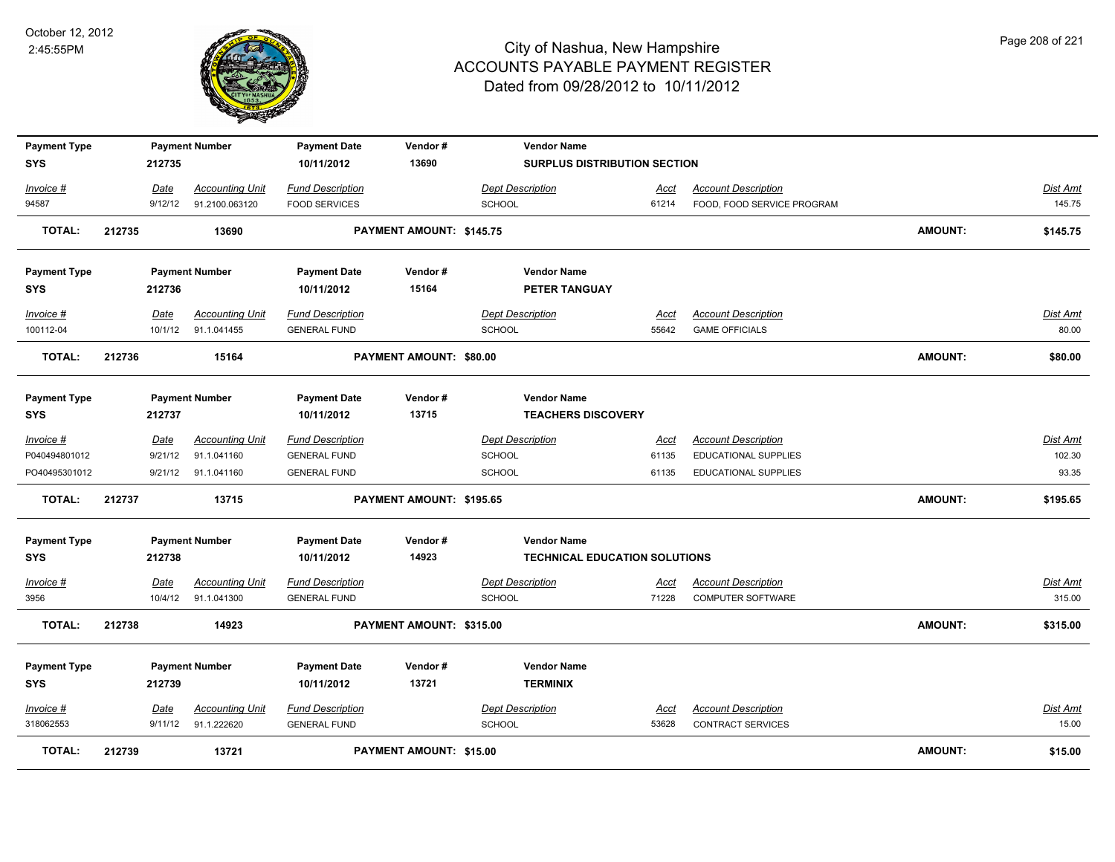

| <b>Payment Type</b><br>SYS |        | 212735  | <b>Payment Number</b>  | <b>Payment Date</b><br>10/11/2012 | Vendor#<br>13690         | <b>Vendor Name</b><br><b>SURPLUS DISTRIBUTION SECTION</b> |             |                             |                |                 |
|----------------------------|--------|---------|------------------------|-----------------------------------|--------------------------|-----------------------------------------------------------|-------------|-----------------------------|----------------|-----------------|
| Invoice #                  |        | Date    | <b>Accounting Unit</b> | <b>Fund Description</b>           |                          | <b>Dept Description</b>                                   | Acct        | <b>Account Description</b>  |                | Dist Amt        |
| 94587                      |        | 9/12/12 | 91.2100.063120         | <b>FOOD SERVICES</b>              |                          | <b>SCHOOL</b>                                             | 61214       | FOOD, FOOD SERVICE PROGRAM  |                | 145.75          |
| <b>TOTAL:</b>              | 212735 |         | 13690                  |                                   | PAYMENT AMOUNT: \$145.75 |                                                           |             |                             | <b>AMOUNT:</b> | \$145.75        |
| <b>Payment Type</b>        |        |         | <b>Payment Number</b>  | <b>Payment Date</b>               | Vendor#                  | <b>Vendor Name</b>                                        |             |                             |                |                 |
| SYS                        |        | 212736  |                        | 10/11/2012                        | 15164                    | PETER TANGUAY                                             |             |                             |                |                 |
| Invoice #                  |        | Date    | <b>Accounting Unit</b> | <b>Fund Description</b>           |                          | <b>Dept Description</b>                                   | Acct        | <b>Account Description</b>  |                | Dist Amt        |
| 100112-04                  |        | 10/1/12 | 91.1.041455            | <b>GENERAL FUND</b>               |                          | <b>SCHOOL</b>                                             | 55642       | <b>GAME OFFICIALS</b>       |                | 80.00           |
| <b>TOTAL:</b>              | 212736 |         | 15164                  |                                   | PAYMENT AMOUNT: \$80.00  |                                                           |             |                             | <b>AMOUNT:</b> | \$80.00         |
| <b>Payment Type</b>        |        |         | <b>Payment Number</b>  | <b>Payment Date</b>               | Vendor#                  | <b>Vendor Name</b>                                        |             |                             |                |                 |
| <b>SYS</b>                 |        | 212737  |                        | 10/11/2012                        | 13715                    | <b>TEACHERS DISCOVERY</b>                                 |             |                             |                |                 |
| Invoice #                  |        | Date    | <b>Accounting Unit</b> | <b>Fund Description</b>           |                          | <b>Dept Description</b>                                   | Acct        | <b>Account Description</b>  |                | Dist Amt        |
| P040494801012              |        | 9/21/12 | 91.1.041160            | <b>GENERAL FUND</b>               |                          | <b>SCHOOL</b>                                             | 61135       | EDUCATIONAL SUPPLIES        |                | 102.30          |
| PO40495301012              |        |         | 9/21/12 91.1.041160    | <b>GENERAL FUND</b>               |                          | <b>SCHOOL</b>                                             | 61135       | <b>EDUCATIONAL SUPPLIES</b> |                | 93.35           |
| <b>TOTAL:</b>              | 212737 |         | 13715                  |                                   | PAYMENT AMOUNT: \$195.65 |                                                           |             |                             | <b>AMOUNT:</b> | \$195.65        |
| <b>Payment Type</b>        |        |         | <b>Payment Number</b>  | <b>Payment Date</b>               | Vendor#                  | <b>Vendor Name</b>                                        |             |                             |                |                 |
| SYS                        |        | 212738  |                        | 10/11/2012                        | 14923                    | <b>TECHNICAL EDUCATION SOLUTIONS</b>                      |             |                             |                |                 |
| Invoice #                  |        | Date    | <b>Accounting Unit</b> | <b>Fund Description</b>           |                          | <b>Dept Description</b>                                   | <u>Acct</u> | <b>Account Description</b>  |                | <b>Dist Amt</b> |
| 3956                       |        | 10/4/12 | 91.1.041300            | <b>GENERAL FUND</b>               |                          | <b>SCHOOL</b>                                             | 71228       | COMPUTER SOFTWARE           |                | 315.00          |
| <b>TOTAL:</b>              | 212738 |         | 14923                  |                                   | PAYMENT AMOUNT: \$315.00 |                                                           |             |                             | <b>AMOUNT:</b> | \$315.00        |
| <b>Payment Type</b>        |        |         | <b>Payment Number</b>  | <b>Payment Date</b>               | Vendor#                  | <b>Vendor Name</b>                                        |             |                             |                |                 |
| SYS                        |        | 212739  |                        | 10/11/2012                        | 13721                    | <b>TERMINIX</b>                                           |             |                             |                |                 |
| Invoice #                  |        | Date    | <b>Accounting Unit</b> | <b>Fund Description</b>           |                          | <b>Dept Description</b>                                   | <b>Acct</b> | <b>Account Description</b>  |                | Dist Amt        |
| 318062553                  |        | 9/11/12 | 91.1.222620            | <b>GENERAL FUND</b>               |                          | <b>SCHOOL</b>                                             | 53628       | <b>CONTRACT SERVICES</b>    |                | 15.00           |
| <b>TOTAL:</b>              | 212739 |         | 13721                  |                                   | PAYMENT AMOUNT: \$15.00  |                                                           |             |                             | <b>AMOUNT:</b> | \$15.00         |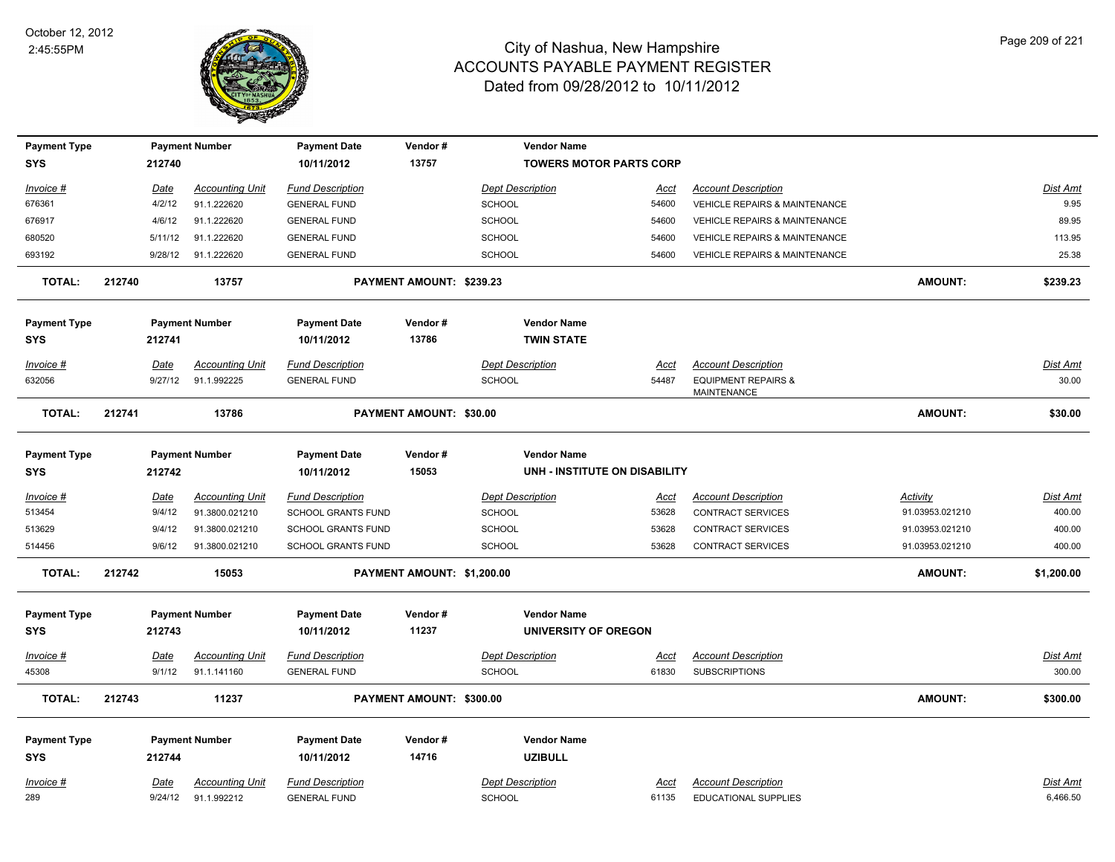

| <b>Payment Type</b> |        |             | <b>Payment Number</b>  | <b>Payment Date</b>       | Vendor#                    | <b>Vendor Name</b>             |             |                                                      |                 |                 |
|---------------------|--------|-------------|------------------------|---------------------------|----------------------------|--------------------------------|-------------|------------------------------------------------------|-----------------|-----------------|
| <b>SYS</b>          |        | 212740      |                        | 10/11/2012                | 13757                      | <b>TOWERS MOTOR PARTS CORP</b> |             |                                                      |                 |                 |
| <u>Invoice #</u>    |        | <u>Date</u> | <b>Accounting Unit</b> | <b>Fund Description</b>   |                            | <b>Dept Description</b>        | <u>Acct</u> | <b>Account Description</b>                           |                 | Dist Amt        |
| 676361              |        | 4/2/12      | 91.1.222620            | <b>GENERAL FUND</b>       |                            | <b>SCHOOL</b>                  | 54600       | VEHICLE REPAIRS & MAINTENANCE                        |                 | 9.95            |
| 676917              |        | 4/6/12      | 91.1.222620            | <b>GENERAL FUND</b>       |                            | <b>SCHOOL</b>                  | 54600       | VEHICLE REPAIRS & MAINTENANCE                        |                 | 89.95           |
| 680520              |        | 5/11/12     | 91.1.222620            | <b>GENERAL FUND</b>       |                            | SCHOOL                         | 54600       | VEHICLE REPAIRS & MAINTENANCE                        |                 | 113.95          |
| 693192              |        | 9/28/12     | 91.1.222620            | <b>GENERAL FUND</b>       |                            | <b>SCHOOL</b>                  | 54600       | <b>VEHICLE REPAIRS &amp; MAINTENANCE</b>             |                 | 25.38           |
| <b>TOTAL:</b>       | 212740 |             | 13757                  |                           | PAYMENT AMOUNT: \$239.23   |                                |             |                                                      | AMOUNT:         | \$239.23        |
| <b>Payment Type</b> |        |             | <b>Payment Number</b>  | <b>Payment Date</b>       | Vendor#                    | <b>Vendor Name</b>             |             |                                                      |                 |                 |
| <b>SYS</b>          |        | 212741      |                        | 10/11/2012                | 13786                      | <b>TWIN STATE</b>              |             |                                                      |                 |                 |
| Invoice #           |        | Date        | <b>Accounting Unit</b> | <b>Fund Description</b>   |                            | <b>Dept Description</b>        | Acct        | <b>Account Description</b>                           |                 | Dist Amt        |
| 632056              |        | 9/27/12     | 91.1.992225            | <b>GENERAL FUND</b>       |                            | <b>SCHOOL</b>                  | 54487       | <b>EQUIPMENT REPAIRS &amp;</b><br><b>MAINTENANCE</b> |                 | 30.00           |
| <b>TOTAL:</b>       | 212741 |             | 13786                  |                           | PAYMENT AMOUNT: \$30.00    |                                |             |                                                      | <b>AMOUNT:</b>  | \$30.00         |
| <b>Payment Type</b> |        |             | <b>Payment Number</b>  | <b>Payment Date</b>       | Vendor#                    | <b>Vendor Name</b>             |             |                                                      |                 |                 |
| <b>SYS</b>          |        | 212742      |                        | 10/11/2012                | 15053                      | UNH - INSTITUTE ON DISABILITY  |             |                                                      |                 |                 |
| <u>Invoice #</u>    |        | <u>Date</u> | <b>Accounting Unit</b> | <b>Fund Description</b>   |                            | <b>Dept Description</b>        | <u>Acct</u> | <b>Account Description</b>                           | <u>Activity</u> | <b>Dist Amt</b> |
| 513454              |        | 9/4/12      | 91.3800.021210         | <b>SCHOOL GRANTS FUND</b> |                            | <b>SCHOOL</b>                  | 53628       | <b>CONTRACT SERVICES</b>                             | 91.03953.021210 | 400.00          |
| 513629              |        | 9/4/12      | 91.3800.021210         | <b>SCHOOL GRANTS FUND</b> |                            | <b>SCHOOL</b>                  | 53628       | <b>CONTRACT SERVICES</b>                             | 91.03953.021210 | 400.00          |
| 514456              |        | 9/6/12      | 91.3800.021210         | SCHOOL GRANTS FUND        |                            | <b>SCHOOL</b>                  | 53628       | <b>CONTRACT SERVICES</b>                             | 91.03953.021210 | 400.00          |
| <b>TOTAL:</b>       | 212742 |             | 15053                  |                           | PAYMENT AMOUNT: \$1,200.00 |                                |             |                                                      | AMOUNT:         | \$1,200.00      |
| <b>Payment Type</b> |        |             | <b>Payment Number</b>  | <b>Payment Date</b>       | Vendor#                    | <b>Vendor Name</b>             |             |                                                      |                 |                 |
| <b>SYS</b>          |        | 212743      |                        | 10/11/2012                | 11237                      | UNIVERSITY OF OREGON           |             |                                                      |                 |                 |
| <b>Invoice #</b>    |        | Date        | <b>Accounting Unit</b> | <b>Fund Description</b>   |                            | <b>Dept Description</b>        | Acct        | <b>Account Description</b>                           |                 | <b>Dist Amt</b> |
| 45308               |        | 9/1/12      | 91.1.141160            | <b>GENERAL FUND</b>       |                            | <b>SCHOOL</b>                  | 61830       | <b>SUBSCRIPTIONS</b>                                 |                 | 300.00          |
| <b>TOTAL:</b>       | 212743 |             | 11237                  |                           | PAYMENT AMOUNT: \$300.00   |                                |             |                                                      | <b>AMOUNT:</b>  | \$300.00        |
| <b>Payment Type</b> |        |             | <b>Payment Number</b>  | <b>Payment Date</b>       | Vendor#                    | <b>Vendor Name</b>             |             |                                                      |                 |                 |
| <b>SYS</b>          |        | 212744      |                        | 10/11/2012                | 14716                      | <b>UZIBULL</b>                 |             |                                                      |                 |                 |
| $Invoice$ #         |        | <b>Date</b> | <b>Accounting Unit</b> | <b>Fund Description</b>   |                            | <b>Dept Description</b>        | Acct        | <b>Account Description</b>                           |                 | <b>Dist Amt</b> |
| 289                 |        | 9/24/12     | 91.1.992212            | <b>GENERAL FUND</b>       |                            | <b>SCHOOL</b>                  | 61135       | <b>EDUCATIONAL SUPPLIES</b>                          |                 | 6,466.50        |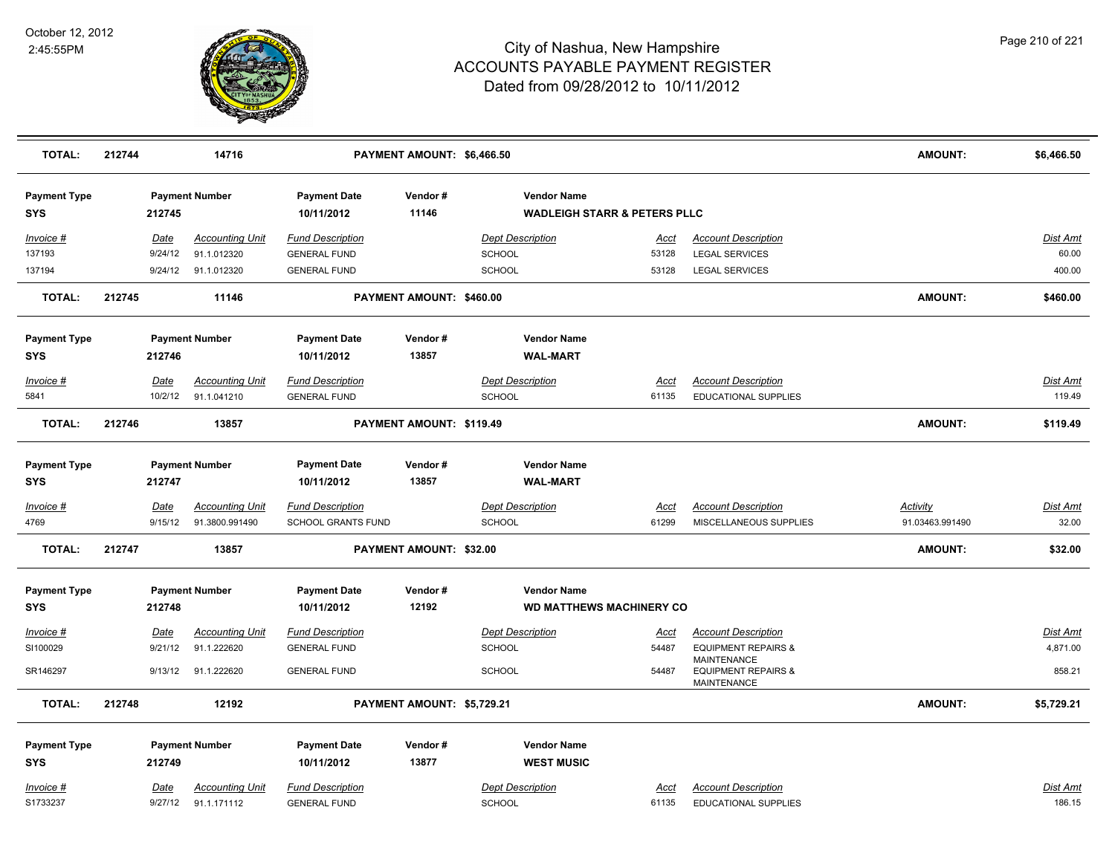

| <b>TOTAL:</b>                     | 212744 |                 | 14716                                    |                                               | PAYMENT AMOUNT: \$6,466.50 |               |                                                               |               |                                                                            | <b>AMOUNT:</b><br>\$6,466.50                                   |
|-----------------------------------|--------|-----------------|------------------------------------------|-----------------------------------------------|----------------------------|---------------|---------------------------------------------------------------|---------------|----------------------------------------------------------------------------|----------------------------------------------------------------|
| <b>Payment Type</b><br><b>SYS</b> |        | 212745          | <b>Payment Number</b>                    | <b>Payment Date</b><br>10/11/2012             | Vendor#<br>11146           |               | <b>Vendor Name</b><br><b>WADLEIGH STARR &amp; PETERS PLLC</b> |               |                                                                            |                                                                |
| Invoice #                         |        | Date            | <b>Accounting Unit</b>                   | <b>Fund Description</b>                       |                            |               | <b>Dept Description</b>                                       | Acct          | <b>Account Description</b>                                                 | Dist Amt                                                       |
| 137193                            |        | 9/24/12         | 91.1.012320                              | <b>GENERAL FUND</b>                           |                            | <b>SCHOOL</b> |                                                               | 53128         | <b>LEGAL SERVICES</b>                                                      | 60.00                                                          |
| 137194                            |        | 9/24/12         | 91.1.012320                              | <b>GENERAL FUND</b>                           |                            | <b>SCHOOL</b> |                                                               | 53128         | <b>LEGAL SERVICES</b>                                                      | 400.00                                                         |
| <b>TOTAL:</b>                     | 212745 |                 | 11146                                    |                                               | PAYMENT AMOUNT: \$460.00   |               |                                                               |               |                                                                            | <b>AMOUNT:</b><br>\$460.00                                     |
| <b>Payment Type</b>               |        |                 | <b>Payment Number</b>                    | <b>Payment Date</b>                           | Vendor#                    |               | <b>Vendor Name</b>                                            |               |                                                                            |                                                                |
| <b>SYS</b>                        |        | 212746          |                                          | 10/11/2012                                    | 13857                      |               | <b>WAL-MART</b>                                               |               |                                                                            |                                                                |
| Invoice #                         |        | Date            | <b>Accounting Unit</b>                   | <b>Fund Description</b>                       |                            |               | <b>Dept Description</b>                                       | <u>Acct</u>   | <b>Account Description</b>                                                 | <b>Dist Amt</b>                                                |
| 5841                              |        | 10/2/12         | 91.1.041210                              | <b>GENERAL FUND</b>                           |                            | <b>SCHOOL</b> |                                                               | 61135         | <b>EDUCATIONAL SUPPLIES</b>                                                | 119.49                                                         |
| <b>TOTAL:</b>                     | 212746 |                 | 13857                                    |                                               | PAYMENT AMOUNT: \$119.49   |               |                                                               |               |                                                                            | <b>AMOUNT:</b><br>\$119.49                                     |
| <b>Payment Type</b>               |        |                 | <b>Payment Number</b>                    | <b>Payment Date</b>                           | Vendor#                    |               | <b>Vendor Name</b>                                            |               |                                                                            |                                                                |
| <b>SYS</b>                        |        | 212747          |                                          | 10/11/2012                                    | 13857                      |               | <b>WAL-MART</b>                                               |               |                                                                            |                                                                |
| Invoice #<br>4769                 |        | Date<br>9/15/12 | <b>Accounting Unit</b><br>91.3800.991490 | <b>Fund Description</b><br>SCHOOL GRANTS FUND |                            | <b>SCHOOL</b> | <b>Dept Description</b>                                       | Acct<br>61299 | <b>Account Description</b><br>MISCELLANEOUS SUPPLIES                       | <b>Dist Amt</b><br><u>Activity</u><br>91.03463.991490<br>32.00 |
| <b>TOTAL:</b>                     | 212747 |                 | 13857                                    |                                               | PAYMENT AMOUNT: \$32.00    |               |                                                               |               |                                                                            | <b>AMOUNT:</b><br>\$32.00                                      |
| <b>Payment Type</b>               |        |                 | <b>Payment Number</b>                    | <b>Payment Date</b>                           | Vendor#                    |               | <b>Vendor Name</b>                                            |               |                                                                            |                                                                |
| <b>SYS</b>                        |        | 212748          |                                          | 10/11/2012                                    | 12192                      |               | <b>WD MATTHEWS MACHINERY CO</b>                               |               |                                                                            |                                                                |
| <u>Invoice #</u>                  |        | Date            | <b>Accounting Unit</b>                   | <b>Fund Description</b>                       |                            |               | <b>Dept Description</b>                                       | <u>Acct</u>   | <b>Account Description</b>                                                 | <b>Dist Amt</b>                                                |
| SI100029                          |        | 9/21/12         | 91.1.222620                              | <b>GENERAL FUND</b>                           |                            | <b>SCHOOL</b> |                                                               | 54487         | <b>EQUIPMENT REPAIRS &amp;</b>                                             | 4,871.00                                                       |
| SR146297                          |        |                 | 9/13/12 91.1.222620                      | <b>GENERAL FUND</b>                           |                            | <b>SCHOOL</b> |                                                               | 54487         | <b>MAINTENANCE</b><br><b>EQUIPMENT REPAIRS &amp;</b><br><b>MAINTENANCE</b> | 858.21                                                         |
| <b>TOTAL:</b>                     | 212748 |                 | 12192                                    |                                               | PAYMENT AMOUNT: \$5,729.21 |               |                                                               |               |                                                                            | <b>AMOUNT:</b><br>\$5,729.21                                   |
| <b>Payment Type</b>               |        |                 | <b>Payment Number</b>                    | <b>Payment Date</b>                           | Vendor#                    |               | <b>Vendor Name</b>                                            |               |                                                                            |                                                                |
| <b>SYS</b>                        |        | 212749          |                                          | 10/11/2012                                    | 13877                      |               | <b>WEST MUSIC</b>                                             |               |                                                                            |                                                                |
| Invoice #                         |        | Date            | <b>Accounting Unit</b>                   | <b>Fund Description</b>                       |                            |               | <b>Dept Description</b>                                       | Acct          | <b>Account Description</b>                                                 | Dist Amt                                                       |
| S1733237                          |        | 9/27/12         | 91.1.171112                              | <b>GENERAL FUND</b>                           |                            | <b>SCHOOL</b> |                                                               | 61135         | EDUCATIONAL SUPPLIES                                                       | 186.15                                                         |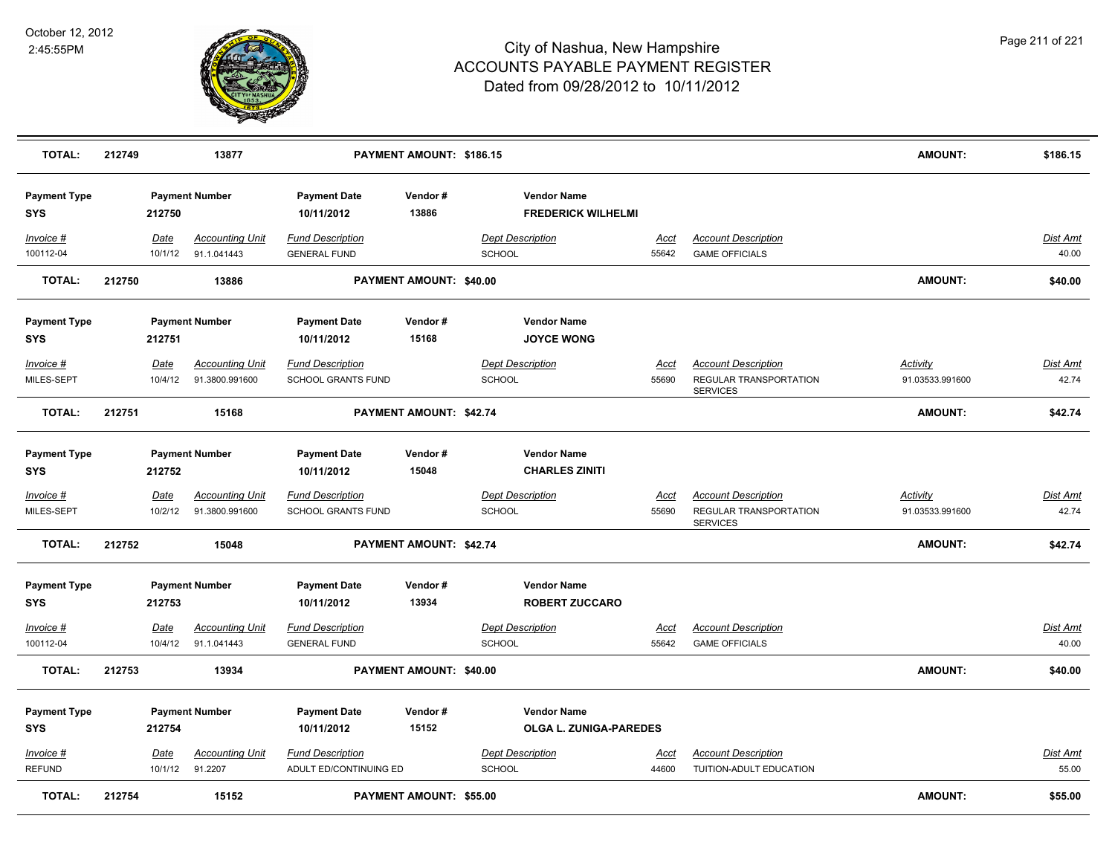

| <b>TOTAL:</b>                     | 212749 |                        | 13877                                    |                                                   | PAYMENT AMOUNT: \$186.15       |                                                 |                      |                                                                         | <b>AMOUNT:</b>                     | \$186.15                 |
|-----------------------------------|--------|------------------------|------------------------------------------|---------------------------------------------------|--------------------------------|-------------------------------------------------|----------------------|-------------------------------------------------------------------------|------------------------------------|--------------------------|
| <b>Payment Type</b><br><b>SYS</b> |        | 212750                 | <b>Payment Number</b>                    | <b>Payment Date</b><br>10/11/2012                 | Vendor#<br>13886               | <b>Vendor Name</b><br><b>FREDERICK WILHELMI</b> |                      |                                                                         |                                    |                          |
| Invoice #<br>100112-04            |        | Date<br>10/1/12        | <b>Accounting Unit</b><br>91.1.041443    | <b>Fund Description</b><br><b>GENERAL FUND</b>    |                                | <b>Dept Description</b><br>SCHOOL               | Acct<br>55642        | <b>Account Description</b><br><b>GAME OFFICIALS</b>                     |                                    | <b>Dist Amt</b><br>40.00 |
| <b>TOTAL:</b>                     | 212750 |                        | 13886                                    |                                                   | <b>PAYMENT AMOUNT: \$40.00</b> |                                                 |                      |                                                                         | <b>AMOUNT:</b>                     | \$40.00                  |
| <b>Payment Type</b><br><b>SYS</b> |        | 212751                 | <b>Payment Number</b>                    | <b>Payment Date</b><br>10/11/2012                 | Vendor#<br>15168               | <b>Vendor Name</b><br><b>JOYCE WONG</b>         |                      |                                                                         |                                    |                          |
| Invoice #<br>MILES-SEPT           |        | Date<br>10/4/12        | <b>Accounting Unit</b><br>91.3800.991600 | <b>Fund Description</b><br>SCHOOL GRANTS FUND     |                                | <b>Dept Description</b><br><b>SCHOOL</b>        | <u>Acct</u><br>55690 | <b>Account Description</b><br>REGULAR TRANSPORTATION<br><b>SERVICES</b> | <b>Activity</b><br>91.03533.991600 | <b>Dist Amt</b><br>42.74 |
| <b>TOTAL:</b>                     | 212751 |                        | 15168                                    |                                                   | PAYMENT AMOUNT: \$42.74        |                                                 |                      |                                                                         | <b>AMOUNT:</b>                     | \$42.74                  |
| <b>Payment Type</b><br><b>SYS</b> |        | 212752                 | <b>Payment Number</b>                    | <b>Payment Date</b><br>10/11/2012                 | Vendor#<br>15048               | <b>Vendor Name</b><br><b>CHARLES ZINITI</b>     |                      |                                                                         |                                    |                          |
| Invoice #<br>MILES-SEPT           |        | Date<br>10/2/12        | <b>Accounting Unit</b><br>91.3800.991600 | <b>Fund Description</b><br>SCHOOL GRANTS FUND     |                                | <b>Dept Description</b><br>SCHOOL               | Acct<br>55690        | <b>Account Description</b><br>REGULAR TRANSPORTATION<br><b>SERVICES</b> | <b>Activity</b><br>91.03533.991600 | Dist Amt<br>42.74        |
| <b>TOTAL:</b>                     | 212752 |                        | 15048                                    |                                                   | PAYMENT AMOUNT: \$42.74        |                                                 |                      |                                                                         | <b>AMOUNT:</b>                     | \$42.74                  |
| <b>Payment Type</b><br><b>SYS</b> |        | 212753                 | <b>Payment Number</b>                    | <b>Payment Date</b><br>10/11/2012                 | Vendor#<br>13934               | <b>Vendor Name</b><br><b>ROBERT ZUCCARO</b>     |                      |                                                                         |                                    |                          |
| Invoice #<br>100112-04            |        | <u>Date</u><br>10/4/12 | <b>Accounting Unit</b><br>91.1.041443    | <b>Fund Description</b><br><b>GENERAL FUND</b>    |                                | <b>Dept Description</b><br><b>SCHOOL</b>        | <u>Acct</u><br>55642 | <b>Account Description</b><br><b>GAME OFFICIALS</b>                     |                                    | Dist Amt<br>40.00        |
| <b>TOTAL:</b>                     | 212753 |                        | 13934                                    |                                                   | PAYMENT AMOUNT: \$40.00        |                                                 |                      |                                                                         | <b>AMOUNT:</b>                     | \$40.00                  |
| <b>Payment Type</b><br><b>SYS</b> |        | 212754                 | <b>Payment Number</b>                    | <b>Payment Date</b><br>10/11/2012                 | Vendor#<br>15152               | <b>Vendor Name</b><br>OLGA L. ZUNIGA-PAREDES    |                      |                                                                         |                                    |                          |
| Invoice #<br><b>REFUND</b>        |        | Date<br>10/1/12        | <b>Accounting Unit</b><br>91.2207        | <b>Fund Description</b><br>ADULT ED/CONTINUING ED |                                | <b>Dept Description</b><br><b>SCHOOL</b>        | <u>Acct</u><br>44600 | <b>Account Description</b><br>TUITION-ADULT EDUCATION                   |                                    | <b>Dist Amt</b><br>55.00 |
| <b>TOTAL:</b>                     | 212754 |                        | 15152                                    |                                                   | PAYMENT AMOUNT: \$55.00        |                                                 |                      |                                                                         | <b>AMOUNT:</b>                     | \$55.00                  |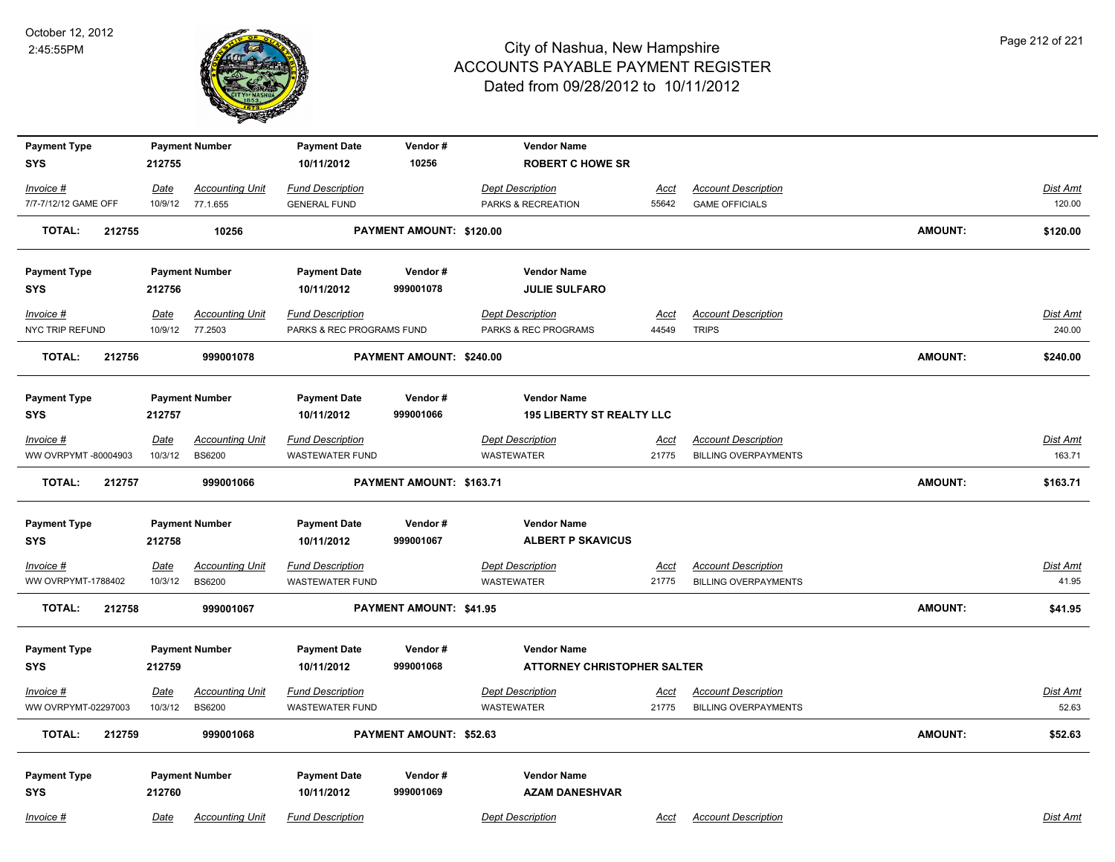

| <b>Payment Type</b>       |         | <b>Payment Number</b>  | <b>Payment Date</b>       | Vendor#                  | <b>Vendor Name</b>                 |             |                             |                |                 |
|---------------------------|---------|------------------------|---------------------------|--------------------------|------------------------------------|-------------|-----------------------------|----------------|-----------------|
| <b>SYS</b>                | 212755  |                        | 10/11/2012                | 10256                    | <b>ROBERT C HOWE SR</b>            |             |                             |                |                 |
| Invoice #                 | Date    | <b>Accounting Unit</b> | <b>Fund Description</b>   |                          | <b>Dept Description</b>            | <b>Acct</b> | <b>Account Description</b>  |                | Dist Amt        |
| 7/7-7/12/12 GAME OFF      |         | 10/9/12 77.1.655       | <b>GENERAL FUND</b>       |                          | PARKS & RECREATION                 | 55642       | <b>GAME OFFICIALS</b>       |                | 120.00          |
| <b>TOTAL:</b><br>212755   |         | 10256                  |                           | PAYMENT AMOUNT: \$120.00 |                                    |             |                             | <b>AMOUNT:</b> | \$120.00        |
| <b>Payment Type</b>       |         | <b>Payment Number</b>  | <b>Payment Date</b>       | Vendor#                  | <b>Vendor Name</b>                 |             |                             |                |                 |
| <b>SYS</b>                | 212756  |                        | 10/11/2012                | 999001078                | <b>JULIE SULFARO</b>               |             |                             |                |                 |
| Invoice #                 | Date    | <b>Accounting Unit</b> | <b>Fund Description</b>   |                          | <b>Dept Description</b>            | Acct        | <b>Account Description</b>  |                | Dist Amt        |
| NYC TRIP REFUND           | 10/9/12 | 77.2503                | PARKS & REC PROGRAMS FUND |                          | PARKS & REC PROGRAMS               | 44549       | <b>TRIPS</b>                |                | 240.00          |
| 212756<br><b>TOTAL:</b>   |         | 999001078              |                           | PAYMENT AMOUNT: \$240.00 |                                    |             |                             | <b>AMOUNT:</b> | \$240.00        |
| <b>Payment Type</b>       |         | <b>Payment Number</b>  | <b>Payment Date</b>       | Vendor#                  | <b>Vendor Name</b>                 |             |                             |                |                 |
| <b>SYS</b>                | 212757  |                        | 10/11/2012                | 999001066                | <b>195 LIBERTY ST REALTY LLC</b>   |             |                             |                |                 |
| Invoice #                 | Date    | <b>Accounting Unit</b> | Fund Description          |                          | <b>Dept Description</b>            | Acct        | <b>Account Description</b>  |                | Dist Amt        |
| WW OVRPYMT -80004903      | 10/3/12 | <b>BS6200</b>          | <b>WASTEWATER FUND</b>    |                          | <b>WASTEWATER</b>                  | 21775       | <b>BILLING OVERPAYMENTS</b> |                | 163.71          |
| 212757<br>TOTAL:          |         | 999001066              |                           | PAYMENT AMOUNT: \$163.71 |                                    |             |                             | <b>AMOUNT:</b> | \$163.71        |
| <b>Payment Type</b>       |         | <b>Payment Number</b>  | <b>Payment Date</b>       | Vendor#                  | <b>Vendor Name</b>                 |             |                             |                |                 |
| <b>SYS</b>                | 212758  |                        | 10/11/2012                | 999001067                | <b>ALBERT P SKAVICUS</b>           |             |                             |                |                 |
| $Invoice$ #               | Date    | <b>Accounting Unit</b> | <b>Fund Description</b>   |                          | <b>Dept Description</b>            | Acct        | <b>Account Description</b>  |                | <b>Dist Amt</b> |
| <b>WW OVRPYMT-1788402</b> | 10/3/12 | <b>BS6200</b>          | <b>WASTEWATER FUND</b>    |                          | <b>WASTEWATER</b>                  | 21775       | <b>BILLING OVERPAYMENTS</b> |                | 41.95           |
| <b>TOTAL:</b><br>212758   |         | 999001067              |                           | PAYMENT AMOUNT: \$41.95  |                                    |             |                             | <b>AMOUNT:</b> | \$41.95         |
| <b>Payment Type</b>       |         | <b>Payment Number</b>  | <b>Payment Date</b>       | Vendor#                  | <b>Vendor Name</b>                 |             |                             |                |                 |
| <b>SYS</b>                | 212759  |                        | 10/11/2012                | 999001068                | <b>ATTORNEY CHRISTOPHER SALTER</b> |             |                             |                |                 |
| Invoice #                 | Date    | <b>Accounting Unit</b> | <b>Fund Description</b>   |                          | <b>Dept Description</b>            | Acct        | <b>Account Description</b>  |                | Dist Amt        |
| WW OVRPYMT-02297003       | 10/3/12 | <b>BS6200</b>          | WASTEWATER FUND           |                          | <b>WASTEWATER</b>                  | 21775       | <b>BILLING OVERPAYMENTS</b> |                | 52.63           |
| <b>TOTAL:</b><br>212759   |         | 999001068              |                           | PAYMENT AMOUNT: \$52.63  |                                    |             |                             | <b>AMOUNT:</b> | \$52.63         |
| <b>Payment Type</b>       |         | <b>Payment Number</b>  | <b>Payment Date</b>       | Vendor#                  | <b>Vendor Name</b>                 |             |                             |                |                 |
| <b>SYS</b>                | 212760  |                        | 10/11/2012                | 999001069                | <b>AZAM DANESHVAR</b>              |             |                             |                |                 |
| Invoice #                 | Date    | <b>Accounting Unit</b> | <b>Fund Description</b>   |                          | <b>Dept Description</b>            | Acct        | <b>Account Description</b>  |                | Dist Amt        |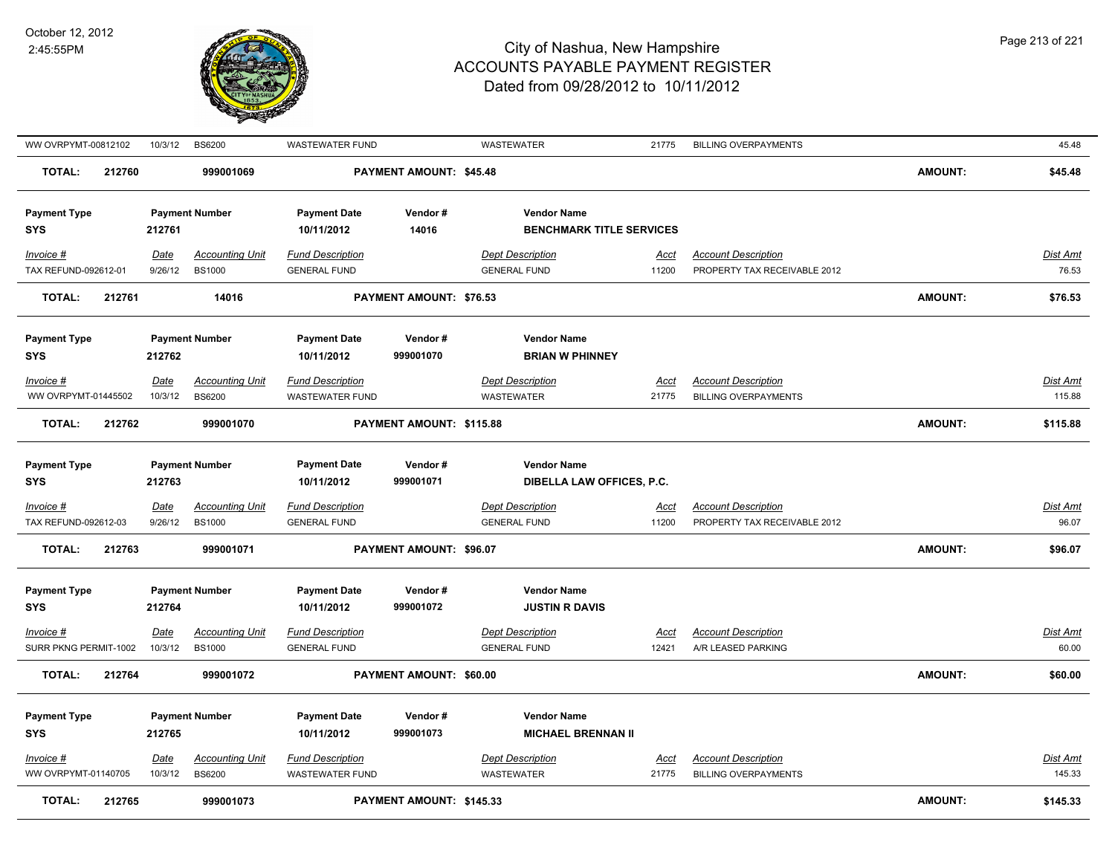

| WW OVRPYMT-00812102                 | 10/3/12                | <b>BS6200</b>                           | <b>WASTEWATER FUND</b>                            |                          | <b>WASTEWATER</b>                                     | 21775                | <b>BILLING OVERPAYMENTS</b>                                |                | 45.48                    |
|-------------------------------------|------------------------|-----------------------------------------|---------------------------------------------------|--------------------------|-------------------------------------------------------|----------------------|------------------------------------------------------------|----------------|--------------------------|
| <b>TOTAL:</b><br>212760             |                        | 999001069                               |                                                   | PAYMENT AMOUNT: \$45.48  |                                                       |                      |                                                            | <b>AMOUNT:</b> | \$45.48                  |
| <b>Payment Type</b><br><b>SYS</b>   | 212761                 | <b>Payment Number</b>                   | <b>Payment Date</b><br>10/11/2012                 | Vendor#<br>14016         | <b>Vendor Name</b><br><b>BENCHMARK TITLE SERVICES</b> |                      |                                                            |                |                          |
| Invoice #<br>TAX REFUND-092612-01   | <b>Date</b><br>9/26/12 | <b>Accounting Unit</b><br><b>BS1000</b> | <b>Fund Description</b><br><b>GENERAL FUND</b>    |                          | <b>Dept Description</b><br><b>GENERAL FUND</b>        | <u>Acct</u><br>11200 | <b>Account Description</b><br>PROPERTY TAX RECEIVABLE 2012 |                | Dist Amt<br>76.53        |
| <b>TOTAL:</b><br>212761             |                        | 14016                                   |                                                   | PAYMENT AMOUNT: \$76.53  |                                                       |                      |                                                            | <b>AMOUNT:</b> | \$76.53                  |
| <b>Payment Type</b><br><b>SYS</b>   | 212762                 | <b>Payment Number</b>                   | <b>Payment Date</b><br>10/11/2012                 | Vendor#<br>999001070     | <b>Vendor Name</b><br><b>BRIAN W PHINNEY</b>          |                      |                                                            |                |                          |
| Invoice #<br>WW OVRPYMT-01445502    | <b>Date</b><br>10/3/12 | <b>Accounting Unit</b><br><b>BS6200</b> | <b>Fund Description</b><br>WASTEWATER FUND        |                          | <b>Dept Description</b><br>WASTEWATER                 | <u>Acct</u><br>21775 | <b>Account Description</b><br><b>BILLING OVERPAYMENTS</b>  |                | Dist Amt<br>115.88       |
|                                     |                        |                                         |                                                   |                          |                                                       |                      |                                                            |                |                          |
| <b>TOTAL:</b><br>212762             |                        | 999001070                               |                                                   | PAYMENT AMOUNT: \$115.88 |                                                       |                      |                                                            | <b>AMOUNT:</b> | \$115.88                 |
| <b>Payment Type</b><br><b>SYS</b>   | 212763                 | <b>Payment Number</b>                   | <b>Payment Date</b><br>10/11/2012                 | Vendor#<br>999001071     | <b>Vendor Name</b><br>DIBELLA LAW OFFICES, P.C.       |                      |                                                            |                |                          |
| $Invoice$ #<br>TAX REFUND-092612-03 | <u>Date</u><br>9/26/12 | <b>Accounting Unit</b><br><b>BS1000</b> | <b>Fund Description</b><br><b>GENERAL FUND</b>    |                          | <b>Dept Description</b><br><b>GENERAL FUND</b>        | Acct<br>11200        | <b>Account Description</b><br>PROPERTY TAX RECEIVABLE 2012 |                | <b>Dist Amt</b><br>96.07 |
| <b>TOTAL:</b><br>212763             |                        | 999001071                               |                                                   | PAYMENT AMOUNT: \$96.07  |                                                       |                      |                                                            | <b>AMOUNT:</b> | \$96.07                  |
| <b>Payment Type</b><br><b>SYS</b>   | 212764                 | <b>Payment Number</b>                   | <b>Payment Date</b><br>10/11/2012                 | Vendor#<br>999001072     | <b>Vendor Name</b><br><b>JUSTIN R DAVIS</b>           |                      |                                                            |                |                          |
| Invoice #                           | <u>Date</u>            | <b>Accounting Unit</b>                  | <b>Fund Description</b>                           |                          | <b>Dept Description</b>                               | Acct                 | <b>Account Description</b>                                 |                | Dist Amt                 |
| SURR PKNG PERMIT-1002               | 10/3/12                | <b>BS1000</b>                           | <b>GENERAL FUND</b>                               |                          | <b>GENERAL FUND</b>                                   | 12421                | A/R LEASED PARKING                                         |                | 60.00                    |
| <b>TOTAL:</b><br>212764             |                        | 999001072                               |                                                   | PAYMENT AMOUNT: \$60.00  |                                                       |                      |                                                            | <b>AMOUNT:</b> | \$60.00                  |
| <b>Payment Type</b><br><b>SYS</b>   | 212765                 | <b>Payment Number</b>                   | <b>Payment Date</b><br>10/11/2012                 | Vendor#<br>999001073     | <b>Vendor Name</b><br><b>MICHAEL BRENNAN II</b>       |                      |                                                            |                |                          |
| Invoice #<br>WW OVRPYMT-01140705    | Date<br>10/3/12        | <b>Accounting Unit</b><br><b>BS6200</b> | <b>Fund Description</b><br><b>WASTEWATER FUND</b> |                          | <b>Dept Description</b><br><b>WASTEWATER</b>          | Acct<br>21775        | <b>Account Description</b><br><b>BILLING OVERPAYMENTS</b>  |                | Dist Amt<br>145.33       |
| <b>TOTAL:</b><br>212765             |                        | 999001073                               |                                                   | PAYMENT AMOUNT: \$145.33 |                                                       |                      |                                                            | <b>AMOUNT:</b> | \$145.33                 |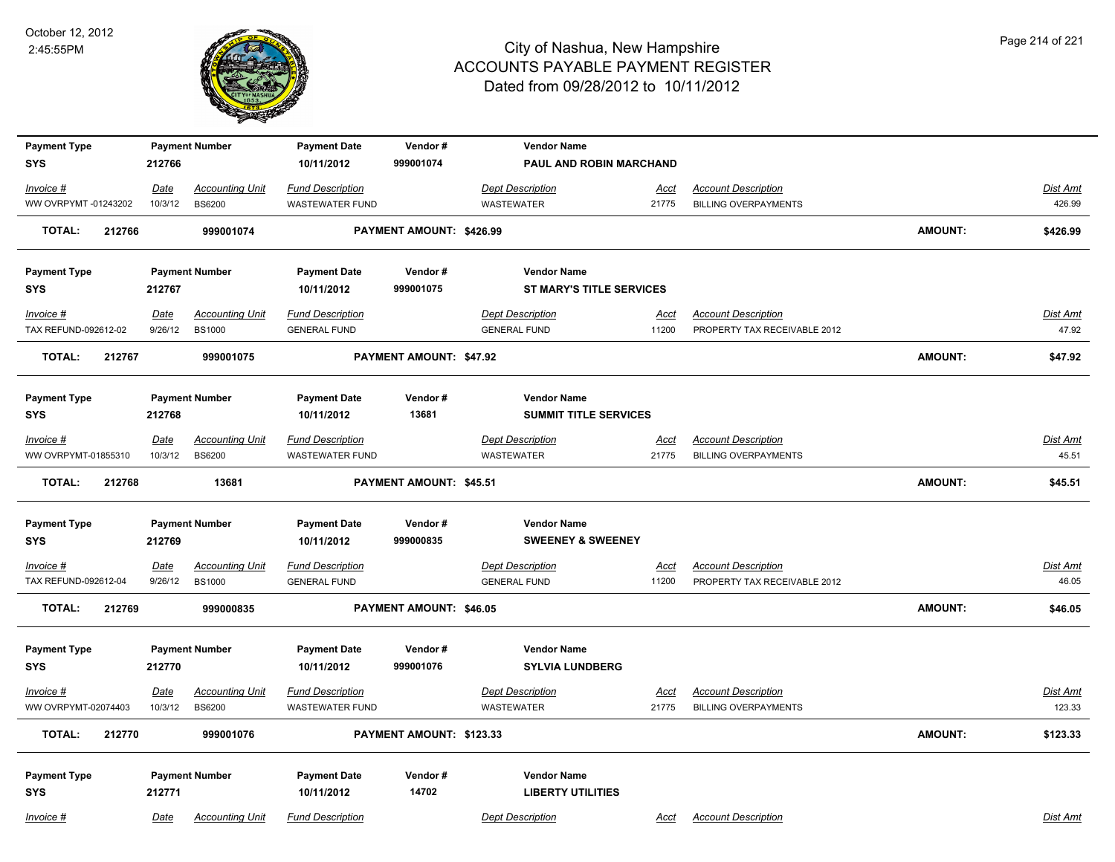

| <b>Payment Type</b>     |             | <b>Payment Number</b>  | <b>Payment Date</b>     | Vendor#                  | <b>Vendor Name</b>              |             |                              |                |                 |
|-------------------------|-------------|------------------------|-------------------------|--------------------------|---------------------------------|-------------|------------------------------|----------------|-----------------|
| <b>SYS</b>              | 212766      |                        | 10/11/2012              | 999001074                | PAUL AND ROBIN MARCHAND         |             |                              |                |                 |
| Invoice #               | Date        | <b>Accounting Unit</b> | <b>Fund Description</b> |                          | <b>Dept Description</b>         | <b>Acct</b> | <b>Account Description</b>   |                | Dist Amt        |
| WW OVRPYMT -01243202    | 10/3/12     | <b>BS6200</b>          | <b>WASTEWATER FUND</b>  |                          | WASTEWATER                      | 21775       | <b>BILLING OVERPAYMENTS</b>  |                | 426.99          |
| <b>TOTAL:</b><br>212766 |             | 999001074              |                         | PAYMENT AMOUNT: \$426.99 |                                 |             |                              | <b>AMOUNT:</b> | \$426.99        |
| <b>Payment Type</b>     |             | <b>Payment Number</b>  | <b>Payment Date</b>     | Vendor#                  | <b>Vendor Name</b>              |             |                              |                |                 |
| <b>SYS</b>              | 212767      |                        | 10/11/2012              | 999001075                | <b>ST MARY'S TITLE SERVICES</b> |             |                              |                |                 |
| Invoice #               | Date        | <b>Accounting Unit</b> | <b>Fund Description</b> |                          | <b>Dept Description</b>         | <u>Acct</u> | <b>Account Description</b>   |                | Dist Amt        |
| TAX REFUND-092612-02    | 9/26/12     | <b>BS1000</b>          | <b>GENERAL FUND</b>     |                          | <b>GENERAL FUND</b>             | 11200       | PROPERTY TAX RECEIVABLE 2012 |                | 47.92           |
| <b>TOTAL:</b><br>212767 |             | 999001075              |                         | PAYMENT AMOUNT: \$47.92  |                                 |             |                              | <b>AMOUNT:</b> | \$47.92         |
| <b>Payment Type</b>     |             | <b>Payment Number</b>  | <b>Payment Date</b>     | Vendor#                  | <b>Vendor Name</b>              |             |                              |                |                 |
| <b>SYS</b>              | 212768      |                        | 10/11/2012              | 13681                    | <b>SUMMIT TITLE SERVICES</b>    |             |                              |                |                 |
| Invoice #               | Date        | <b>Accounting Unit</b> | <b>Fund Description</b> |                          | <b>Dept Description</b>         | Acct        | <b>Account Description</b>   |                | Dist Amt        |
| WW OVRPYMT-01855310     | 10/3/12     | <b>BS6200</b>          | <b>WASTEWATER FUND</b>  |                          | <b>WASTEWATER</b>               | 21775       | <b>BILLING OVERPAYMENTS</b>  |                | 45.51           |
| <b>TOTAL:</b><br>212768 |             | 13681                  |                         | PAYMENT AMOUNT: \$45.51  |                                 |             |                              | <b>AMOUNT:</b> | \$45.51         |
| <b>Payment Type</b>     |             | <b>Payment Number</b>  | <b>Payment Date</b>     | Vendor#                  | <b>Vendor Name</b>              |             |                              |                |                 |
| <b>SYS</b>              | 212769      |                        | 10/11/2012              | 999000835                | <b>SWEENEY &amp; SWEENEY</b>    |             |                              |                |                 |
| $Invoice$ #             | <b>Date</b> | <b>Accounting Unit</b> | <b>Fund Description</b> |                          | <b>Dept Description</b>         | <u>Acct</u> | <b>Account Description</b>   |                | <b>Dist Amt</b> |
| TAX REFUND-092612-04    | 9/26/12     | <b>BS1000</b>          | <b>GENERAL FUND</b>     |                          | <b>GENERAL FUND</b>             | 11200       | PROPERTY TAX RECEIVABLE 2012 |                | 46.05           |
| <b>TOTAL:</b><br>212769 |             | 999000835              |                         | PAYMENT AMOUNT: \$46.05  |                                 |             |                              | <b>AMOUNT:</b> | \$46.05         |
| <b>Payment Type</b>     |             | <b>Payment Number</b>  | <b>Payment Date</b>     | Vendor#                  | <b>Vendor Name</b>              |             |                              |                |                 |
| <b>SYS</b>              | 212770      |                        | 10/11/2012              | 999001076                | <b>SYLVIA LUNDBERG</b>          |             |                              |                |                 |
| Invoice #               | Date        | <b>Accounting Unit</b> | <b>Fund Description</b> |                          | <b>Dept Description</b>         | Acct        | <b>Account Description</b>   |                | Dist Amt        |
| WW OVRPYMT-02074403     | 10/3/12     | <b>BS6200</b>          | <b>WASTEWATER FUND</b>  |                          | <b>WASTEWATER</b>               | 21775       | <b>BILLING OVERPAYMENTS</b>  |                | 123.33          |
| <b>TOTAL:</b><br>212770 |             | 999001076              |                         | PAYMENT AMOUNT: \$123.33 |                                 |             |                              | <b>AMOUNT:</b> | \$123.33        |
| <b>Payment Type</b>     |             | <b>Payment Number</b>  | <b>Payment Date</b>     | Vendor#                  | <b>Vendor Name</b>              |             |                              |                |                 |
| <b>SYS</b>              | 212771      |                        | 10/11/2012              | 14702                    | <b>LIBERTY UTILITIES</b>        |             |                              |                |                 |
| Invoice #               | Date        | <b>Accounting Unit</b> | <b>Fund Description</b> |                          | <b>Dept Description</b>         | Acct        | <b>Account Description</b>   |                | Dist Amt        |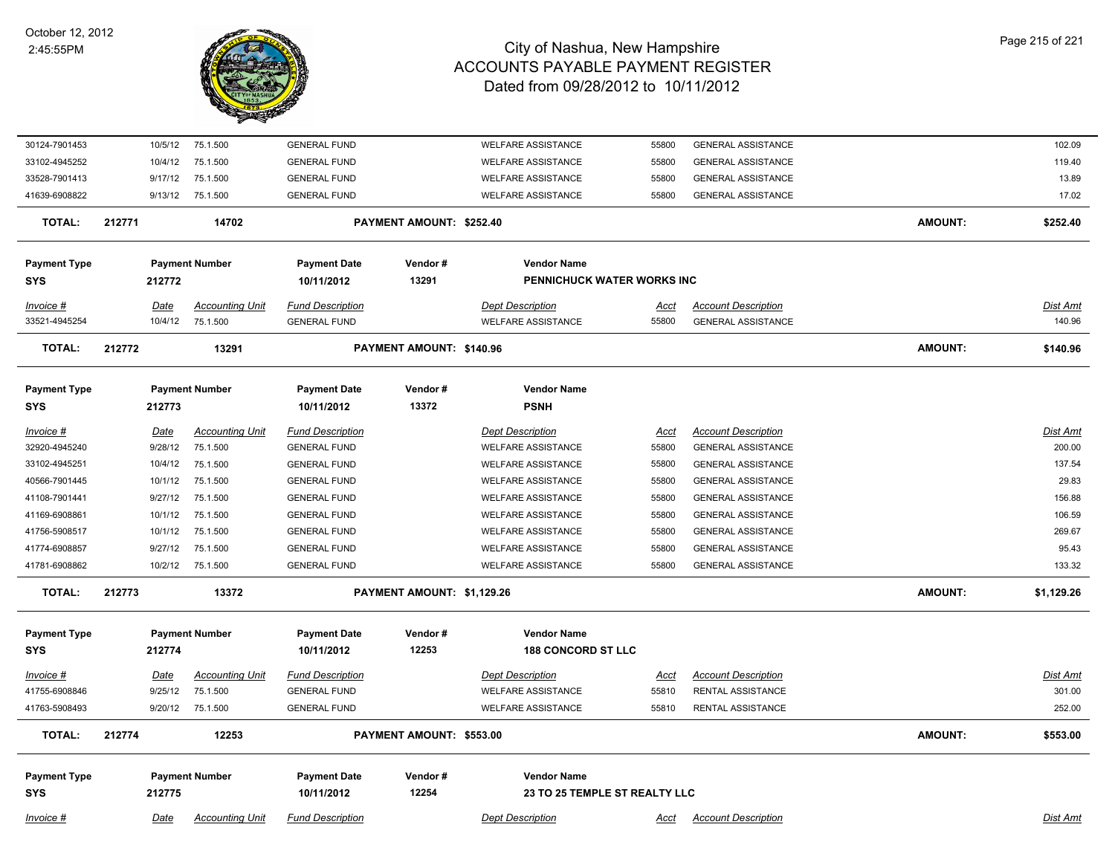

| 30124-7901453       | 10/5/12     | 75.1.500               | <b>GENERAL FUND</b>     |                            | <b>WELFARE ASSISTANCE</b>     | 55800       | <b>GENERAL ASSISTANCE</b>  |                | 102.09          |
|---------------------|-------------|------------------------|-------------------------|----------------------------|-------------------------------|-------------|----------------------------|----------------|-----------------|
| 33102-4945252       | 10/4/12     | 75.1.500               | <b>GENERAL FUND</b>     |                            | <b>WELFARE ASSISTANCE</b>     | 55800       | <b>GENERAL ASSISTANCE</b>  |                | 119.40          |
| 33528-7901413       | 9/17/12     | 75.1.500               | <b>GENERAL FUND</b>     |                            | <b>WELFARE ASSISTANCE</b>     | 55800       | <b>GENERAL ASSISTANCE</b>  |                | 13.89           |
| 41639-6908822       | 9/13/12     | 75.1.500               | <b>GENERAL FUND</b>     |                            | <b>WELFARE ASSISTANCE</b>     | 55800       | <b>GENERAL ASSISTANCE</b>  |                | 17.02           |
| <b>TOTAL:</b>       | 212771      | 14702                  |                         | PAYMENT AMOUNT: \$252.40   |                               |             |                            | <b>AMOUNT:</b> | \$252.40        |
| <b>Payment Type</b> |             | <b>Payment Number</b>  | <b>Payment Date</b>     | Vendor#                    | <b>Vendor Name</b>            |             |                            |                |                 |
| <b>SYS</b>          | 212772      |                        | 10/11/2012              | 13291                      | PENNICHUCK WATER WORKS INC    |             |                            |                |                 |
|                     |             |                        |                         |                            |                               |             |                            |                |                 |
| Invoice #           | Date        | <b>Accounting Unit</b> | <b>Fund Description</b> |                            | <b>Dept Description</b>       | Acct        | <b>Account Description</b> |                | <u>Dist Amt</u> |
| 33521-4945254       | 10/4/12     | 75.1.500               | <b>GENERAL FUND</b>     |                            | <b>WELFARE ASSISTANCE</b>     | 55800       | <b>GENERAL ASSISTANCE</b>  |                | 140.96          |
| <b>TOTAL:</b>       | 212772      | 13291                  |                         | PAYMENT AMOUNT: \$140.96   |                               |             |                            | <b>AMOUNT:</b> | \$140.96        |
| <b>Payment Type</b> |             | <b>Payment Number</b>  | <b>Payment Date</b>     | Vendor#                    | <b>Vendor Name</b>            |             |                            |                |                 |
| <b>SYS</b>          | 212773      |                        | 10/11/2012              | 13372                      | <b>PSNH</b>                   |             |                            |                |                 |
| <u>Invoice #</u>    | <u>Date</u> | <b>Accounting Unit</b> | <b>Fund Description</b> |                            | <b>Dept Description</b>       | <u>Acct</u> | <b>Account Description</b> |                | Dist Amt        |
| 32920-4945240       | 9/28/12     | 75.1.500               | <b>GENERAL FUND</b>     |                            | <b>WELFARE ASSISTANCE</b>     | 55800       | <b>GENERAL ASSISTANCE</b>  |                | 200.00          |
| 33102-4945251       | 10/4/12     | 75.1.500               | <b>GENERAL FUND</b>     |                            | <b>WELFARE ASSISTANCE</b>     | 55800       | <b>GENERAL ASSISTANCE</b>  |                | 137.54          |
| 40566-7901445       | 10/1/12     | 75.1.500               | <b>GENERAL FUND</b>     |                            | <b>WELFARE ASSISTANCE</b>     | 55800       | <b>GENERAL ASSISTANCE</b>  |                | 29.83           |
| 41108-7901441       | 9/27/12     | 75.1.500               | <b>GENERAL FUND</b>     |                            | <b>WELFARE ASSISTANCE</b>     | 55800       | <b>GENERAL ASSISTANCE</b>  |                | 156.88          |
| 41169-6908861       | 10/1/12     | 75.1.500               | <b>GENERAL FUND</b>     |                            | <b>WELFARE ASSISTANCE</b>     | 55800       | <b>GENERAL ASSISTANCE</b>  |                | 106.59          |
| 41756-5908517       | 10/1/12     | 75.1.500               | <b>GENERAL FUND</b>     |                            | <b>WELFARE ASSISTANCE</b>     | 55800       | <b>GENERAL ASSISTANCE</b>  |                | 269.67          |
| 41774-6908857       | 9/27/12     | 75.1.500               | <b>GENERAL FUND</b>     |                            | <b>WELFARE ASSISTANCE</b>     | 55800       | <b>GENERAL ASSISTANCE</b>  |                | 95.43           |
| 41781-6908862       | 10/2/12     | 75.1.500               | <b>GENERAL FUND</b>     |                            | <b>WELFARE ASSISTANCE</b>     | 55800       | <b>GENERAL ASSISTANCE</b>  |                | 133.32          |
| <b>TOTAL:</b>       | 212773      | 13372                  |                         | PAYMENT AMOUNT: \$1,129.26 |                               |             |                            | <b>AMOUNT:</b> | \$1,129.26      |
| <b>Payment Type</b> |             | <b>Payment Number</b>  | <b>Payment Date</b>     | Vendor#                    | <b>Vendor Name</b>            |             |                            |                |                 |
| <b>SYS</b>          | 212774      |                        | 10/11/2012              | 12253                      | <b>188 CONCORD ST LLC</b>     |             |                            |                |                 |
| <u>Invoice #</u>    | <u>Date</u> | <b>Accounting Unit</b> | <b>Fund Description</b> |                            | <b>Dept Description</b>       | <u>Acct</u> | <b>Account Description</b> |                | <u>Dist Amt</u> |
| 41755-6908846       | 9/25/12     | 75.1.500               | <b>GENERAL FUND</b>     |                            | <b>WELFARE ASSISTANCE</b>     | 55810       | RENTAL ASSISTANCE          |                | 301.00          |
| 41763-5908493       |             | 9/20/12 75.1.500       | <b>GENERAL FUND</b>     |                            | <b>WELFARE ASSISTANCE</b>     | 55810       | RENTAL ASSISTANCE          |                | 252.00          |
| <b>TOTAL:</b>       | 212774      | 12253                  |                         | PAYMENT AMOUNT: \$553.00   |                               |             |                            | <b>AMOUNT:</b> | \$553.00        |
|                     |             |                        |                         |                            |                               |             |                            |                |                 |
| <b>Payment Type</b> |             | <b>Payment Number</b>  | <b>Payment Date</b>     | Vendor#                    | <b>Vendor Name</b>            |             |                            |                |                 |
| <b>SYS</b>          | 212775      |                        | 10/11/2012              | 12254                      | 23 TO 25 TEMPLE ST REALTY LLC |             |                            |                |                 |
| Invoice #           | Date        | <b>Accounting Unit</b> | <b>Fund Description</b> |                            | <b>Dept Description</b>       | Acct        | <b>Account Description</b> |                | Dist Amt        |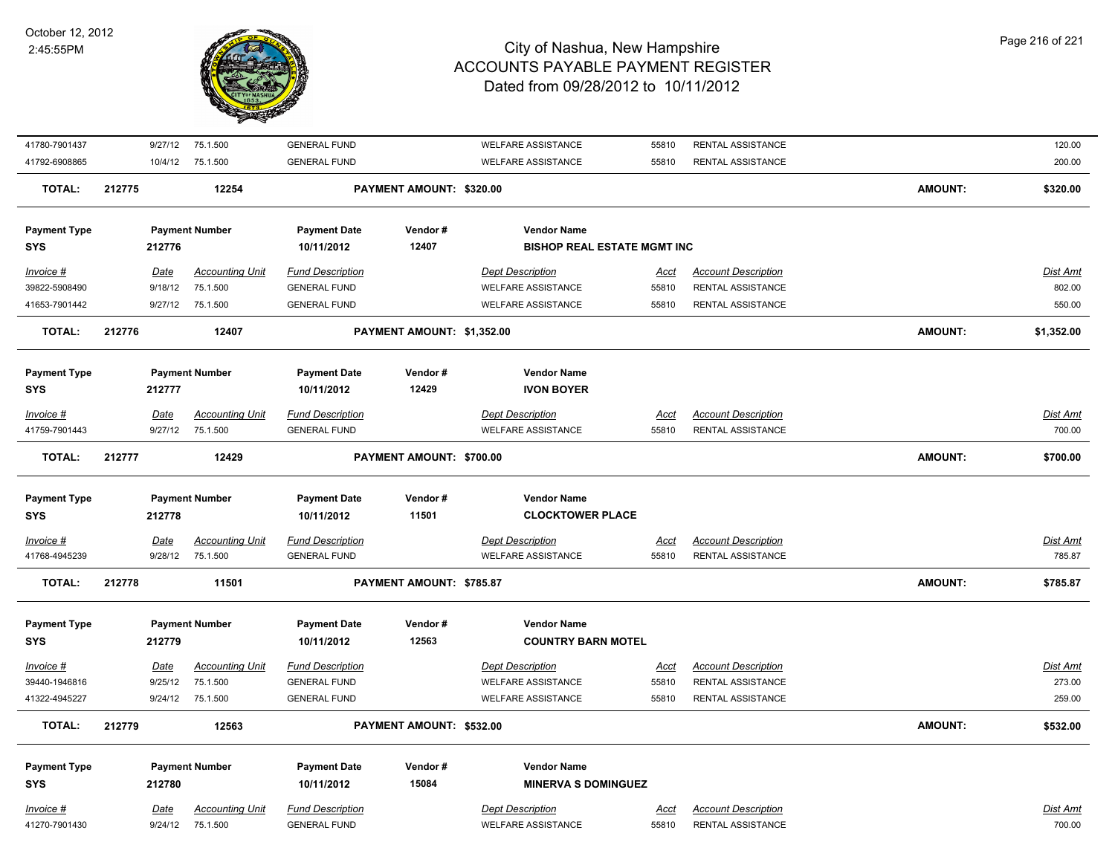

| 41780-7901437       | 9/27/12         | 75.1.500                           | <b>GENERAL FUND</b>                            |                            | <b>WELFARE ASSISTANCE</b>                            | 55810         | RENTAL ASSISTANCE                               |                | 120.00             |
|---------------------|-----------------|------------------------------------|------------------------------------------------|----------------------------|------------------------------------------------------|---------------|-------------------------------------------------|----------------|--------------------|
| 41792-6908865       | 10/4/12         | 75.1.500                           | <b>GENERAL FUND</b>                            |                            | <b>WELFARE ASSISTANCE</b>                            | 55810         | RENTAL ASSISTANCE                               |                | 200.00             |
| <b>TOTAL:</b>       | 212775          | 12254                              |                                                | PAYMENT AMOUNT: \$320.00   |                                                      |               |                                                 | <b>AMOUNT:</b> | \$320.00           |
| <b>Payment Type</b> |                 | <b>Payment Number</b>              | <b>Payment Date</b>                            | Vendor#                    | <b>Vendor Name</b>                                   |               |                                                 |                |                    |
| <b>SYS</b>          | 212776          |                                    | 10/11/2012                                     | 12407                      | <b>BISHOP REAL ESTATE MGMT INC</b>                   |               |                                                 |                |                    |
| Invoice #           | Date            | <b>Accounting Unit</b>             | <b>Fund Description</b>                        |                            | <b>Dept Description</b>                              | <u>Acct</u>   | <b>Account Description</b>                      |                | Dist Amt           |
| 39822-5908490       | 9/18/12         | 75.1.500                           | <b>GENERAL FUND</b>                            |                            | <b>WELFARE ASSISTANCE</b>                            | 55810         | RENTAL ASSISTANCE                               |                | 802.00             |
| 41653-7901442       | 9/27/12         | 75.1.500                           | <b>GENERAL FUND</b>                            |                            | <b>WELFARE ASSISTANCE</b>                            | 55810         | RENTAL ASSISTANCE                               |                | 550.00             |
| <b>TOTAL:</b>       | 212776          | 12407                              |                                                | PAYMENT AMOUNT: \$1,352.00 |                                                      |               |                                                 | <b>AMOUNT:</b> | \$1,352.00         |
|                     |                 |                                    |                                                |                            |                                                      |               |                                                 |                |                    |
| <b>Payment Type</b> |                 | <b>Payment Number</b>              | <b>Payment Date</b>                            | Vendor#                    | <b>Vendor Name</b>                                   |               |                                                 |                |                    |
| <b>SYS</b>          | 212777          |                                    | 10/11/2012                                     | 12429                      | <b>IVON BOYER</b>                                    |               |                                                 |                |                    |
| Invoice #           | Date            | <b>Accounting Unit</b>             | <b>Fund Description</b>                        |                            | <b>Dept Description</b>                              | <b>Acct</b>   | <b>Account Description</b>                      |                | <u>Dist Amt</u>    |
| 41759-7901443       | 9/27/12         | 75.1.500                           | <b>GENERAL FUND</b>                            |                            | <b>WELFARE ASSISTANCE</b>                            | 55810         | RENTAL ASSISTANCE                               |                | 700.00             |
| <b>TOTAL:</b>       | 212777          | 12429                              |                                                | PAYMENT AMOUNT: \$700.00   |                                                      |               |                                                 | <b>AMOUNT:</b> | \$700.00           |
| <b>Payment Type</b> |                 | <b>Payment Number</b>              | <b>Payment Date</b>                            | Vendor#                    | <b>Vendor Name</b>                                   |               |                                                 |                |                    |
| <b>SYS</b>          | 212778          |                                    | 10/11/2012                                     | 11501                      | <b>CLOCKTOWER PLACE</b>                              |               |                                                 |                |                    |
| Invoice #           | <u>Date</u>     | <b>Accounting Unit</b>             | <b>Fund Description</b>                        |                            | <b>Dept Description</b>                              | <b>Acct</b>   | <b>Account Description</b>                      |                | <u>Dist Amt</u>    |
| 41768-4945239       | 9/28/12         | 75.1.500                           | <b>GENERAL FUND</b>                            |                            | <b>WELFARE ASSISTANCE</b>                            | 55810         | <b>RENTAL ASSISTANCE</b>                        |                | 785.87             |
| <b>TOTAL:</b>       | 212778          | 11501                              |                                                | PAYMENT AMOUNT: \$785.87   |                                                      |               |                                                 | <b>AMOUNT:</b> | \$785.87           |
|                     |                 |                                    |                                                |                            |                                                      |               |                                                 |                |                    |
| <b>Payment Type</b> |                 | <b>Payment Number</b>              | <b>Payment Date</b>                            | Vendor#                    | <b>Vendor Name</b>                                   |               |                                                 |                |                    |
| <b>SYS</b>          | 212779          |                                    | 10/11/2012                                     | 12563                      | <b>COUNTRY BARN MOTEL</b>                            |               |                                                 |                |                    |
| Invoice #           | <b>Date</b>     | <b>Accounting Unit</b>             | <b>Fund Description</b>                        |                            | <b>Dept Description</b>                              | <u>Acct</u>   | <b>Account Description</b>                      |                | <u>Dist Amt</u>    |
| 39440-1946816       | 9/25/12         | 75.1.500                           | <b>GENERAL FUND</b>                            |                            | <b>WELFARE ASSISTANCE</b>                            | 55810         | <b>RENTAL ASSISTANCE</b>                        |                | 273.00             |
| 41322-4945227       | 9/24/12         | 75.1.500                           | <b>GENERAL FUND</b>                            |                            | <b>WELFARE ASSISTANCE</b>                            | 55810         | RENTAL ASSISTANCE                               |                | 259.00             |
| TOTAL:              | 212779          | 12563                              |                                                | PAYMENT AMOUNT: \$532.00   |                                                      |               |                                                 | <b>AMOUNT:</b> | \$532.00           |
| <b>Payment Type</b> |                 | <b>Payment Number</b>              | <b>Payment Date</b>                            | Vendor#                    | <b>Vendor Name</b>                                   |               |                                                 |                |                    |
| <b>SYS</b>          | 212780          |                                    | 10/11/2012                                     | 15084                      | <b>MINERVA S DOMINGUEZ</b>                           |               |                                                 |                |                    |
| Invoice #           |                 |                                    |                                                |                            |                                                      |               |                                                 |                |                    |
|                     |                 |                                    |                                                |                            |                                                      |               |                                                 |                |                    |
| 41270-7901430       | Date<br>9/24/12 | <b>Accounting Unit</b><br>75.1.500 | <b>Fund Description</b><br><b>GENERAL FUND</b> |                            | <b>Dept Description</b><br><b>WELFARE ASSISTANCE</b> | Acct<br>55810 | <b>Account Description</b><br>RENTAL ASSISTANCE |                | Dist Amt<br>700.00 |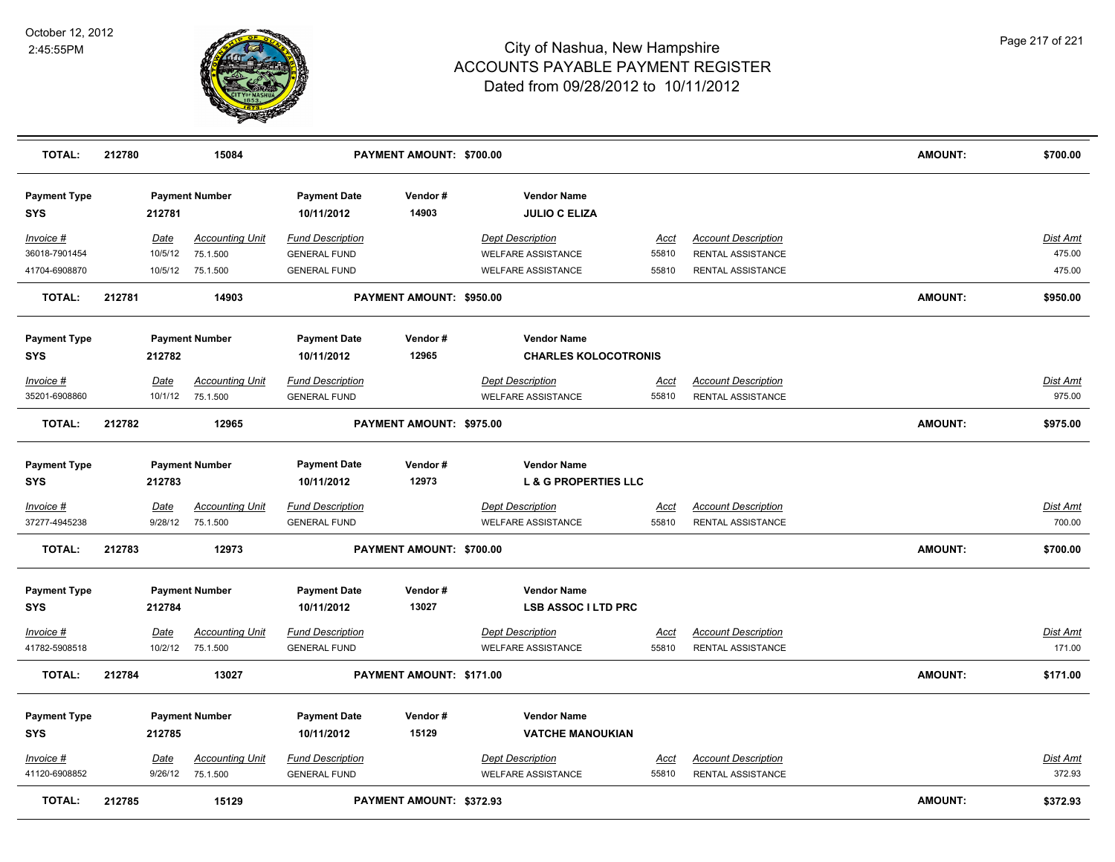

| <b>TOTAL:</b>                     | 212780                |                        | 15084                              |                                                | PAYMENT AMOUNT: \$700.00 |                                                      |                      |                                                        | <b>AMOUNT:</b> | \$700.00                  |
|-----------------------------------|-----------------------|------------------------|------------------------------------|------------------------------------------------|--------------------------|------------------------------------------------------|----------------------|--------------------------------------------------------|----------------|---------------------------|
| <b>Payment Type</b><br><b>SYS</b> |                       | 212781                 | <b>Payment Number</b>              | <b>Payment Date</b><br>10/11/2012              | Vendor#<br>14903         | <b>Vendor Name</b><br><b>JULIO C ELIZA</b>           |                      |                                                        |                |                           |
| Invoice #                         |                       | Date                   | <b>Accounting Unit</b>             | <b>Fund Description</b>                        |                          | <b>Dept Description</b>                              | Acct                 | <b>Account Description</b>                             |                | Dist Amt                  |
| 36018-7901454                     |                       | 10/5/12                | 75.1.500                           | <b>GENERAL FUND</b>                            |                          | <b>WELFARE ASSISTANCE</b>                            | 55810                | RENTAL ASSISTANCE                                      |                | 475.00                    |
| 41704-6908870                     |                       | 10/5/12                | 75.1.500                           | <b>GENERAL FUND</b>                            |                          | <b>WELFARE ASSISTANCE</b>                            | 55810                | RENTAL ASSISTANCE                                      |                | 475.00                    |
| <b>TOTAL:</b>                     | 212781                |                        | 14903                              |                                                | PAYMENT AMOUNT: \$950.00 |                                                      |                      |                                                        | <b>AMOUNT:</b> | \$950.00                  |
| <b>Payment Type</b>               |                       |                        | <b>Payment Number</b>              | <b>Payment Date</b>                            | Vendor#                  | <b>Vendor Name</b>                                   |                      |                                                        |                |                           |
| <b>SYS</b>                        |                       | 212782                 |                                    | 10/11/2012                                     | 12965                    | <b>CHARLES KOLOCOTRONIS</b>                          |                      |                                                        |                |                           |
| Invoice #                         |                       | Date                   | <b>Accounting Unit</b>             | <b>Fund Description</b>                        |                          | <b>Dept Description</b>                              | Acct                 | <b>Account Description</b>                             |                | Dist Amt                  |
| 35201-6908860                     |                       | 10/1/12                | 75.1.500                           | <b>GENERAL FUND</b>                            |                          | <b>WELFARE ASSISTANCE</b>                            | 55810                | RENTAL ASSISTANCE                                      |                | 975.00                    |
| <b>TOTAL:</b>                     | 212782                |                        | 12965                              |                                                | PAYMENT AMOUNT: \$975.00 |                                                      |                      |                                                        | <b>AMOUNT:</b> | \$975.00                  |
| <b>Payment Type</b>               | <b>Payment Number</b> |                        | <b>Payment Date</b>                | Vendor#                                        | <b>Vendor Name</b>       |                                                      |                      |                                                        |                |                           |
| <b>SYS</b>                        |                       | 212783                 |                                    | 10/11/2012                                     | 12973                    | <b>L &amp; G PROPERTIES LLC</b>                      |                      |                                                        |                |                           |
| <u>Invoice #</u><br>37277-4945238 |                       | <u>Date</u><br>9/28/12 | <b>Accounting Unit</b><br>75.1.500 | <b>Fund Description</b><br><b>GENERAL FUND</b> |                          | <b>Dept Description</b><br><b>WELFARE ASSISTANCE</b> | <u>Acct</u><br>55810 | <b>Account Description</b><br>RENTAL ASSISTANCE        |                | Dist Amt<br>700.00        |
| <b>TOTAL:</b>                     | 212783                |                        | 12973                              |                                                | PAYMENT AMOUNT: \$700.00 |                                                      |                      |                                                        | <b>AMOUNT:</b> | \$700.00                  |
| <b>Payment Type</b>               |                       |                        | <b>Payment Number</b>              | <b>Payment Date</b>                            | Vendor#                  | <b>Vendor Name</b>                                   |                      |                                                        |                |                           |
| <b>SYS</b>                        |                       | 212784                 |                                    | 10/11/2012                                     | 13027                    | <b>LSB ASSOC I LTD PRC</b>                           |                      |                                                        |                |                           |
| <u>Invoice #</u><br>41782-5908518 |                       | <u>Date</u><br>10/2/12 | <b>Accounting Unit</b><br>75.1.500 | <b>Fund Description</b><br><b>GENERAL FUND</b> |                          | <b>Dept Description</b><br><b>WELFARE ASSISTANCE</b> | <u>Acct</u><br>55810 | <b>Account Description</b><br><b>RENTAL ASSISTANCE</b> |                | <b>Dist Amt</b><br>171.00 |
| <b>TOTAL:</b>                     | 212784                |                        | 13027                              |                                                | PAYMENT AMOUNT: \$171.00 |                                                      |                      |                                                        | <b>AMOUNT:</b> | \$171.00                  |
| <b>Payment Type</b><br><b>SYS</b> |                       | 212785                 | <b>Payment Number</b>              | <b>Payment Date</b><br>10/11/2012              | Vendor#<br>15129         | <b>Vendor Name</b><br><b>VATCHE MANOUKIAN</b>        |                      |                                                        |                |                           |
| Invoice #                         |                       | Date                   | <b>Accounting Unit</b>             | <b>Fund Description</b>                        |                          | <b>Dept Description</b>                              | <u>Acct</u>          | <b>Account Description</b>                             |                | <b>Dist Amt</b>           |
| 41120-6908852                     |                       | 9/26/12                | 75.1.500                           | <b>GENERAL FUND</b>                            |                          | <b>WELFARE ASSISTANCE</b>                            | 55810                | RENTAL ASSISTANCE                                      |                | 372.93                    |
| <b>TOTAL:</b>                     | 212785                |                        | 15129                              |                                                | PAYMENT AMOUNT: \$372.93 |                                                      |                      |                                                        | <b>AMOUNT:</b> | \$372.93                  |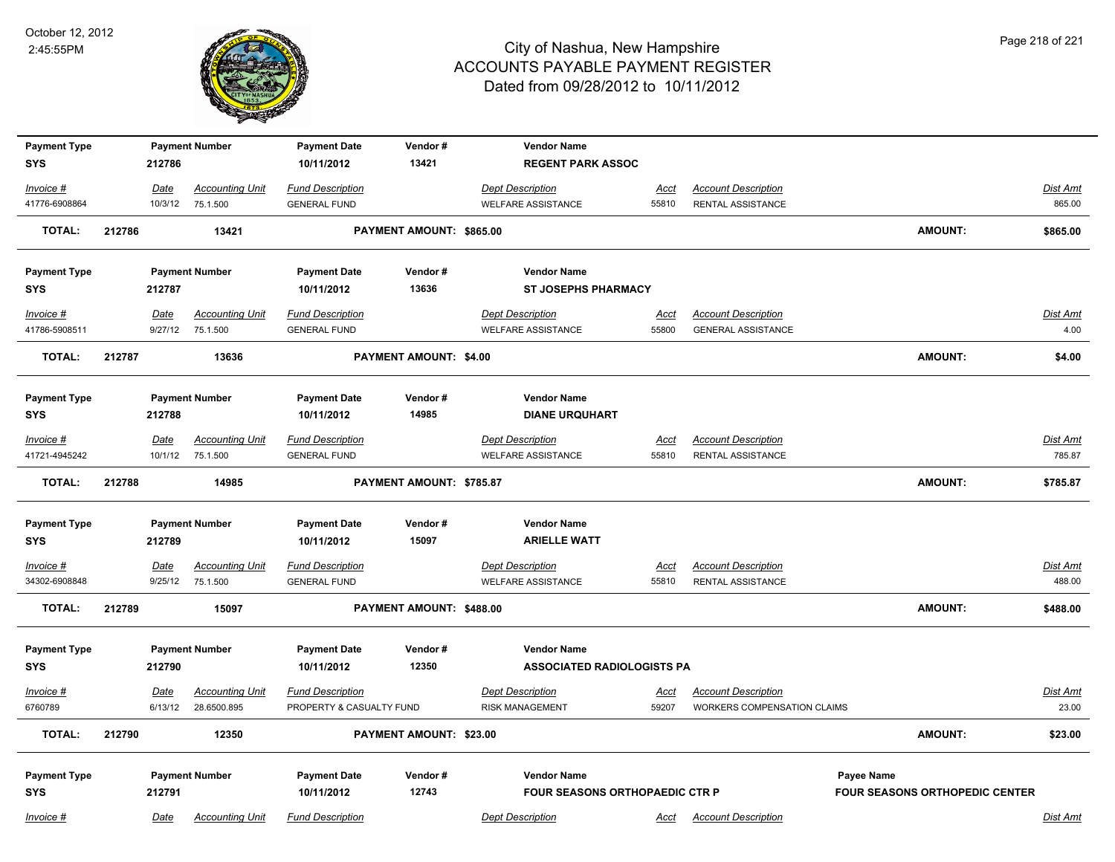

| <b>Payment Type</b> |        |             | <b>Payment Number</b>  | <b>Payment Date</b>      | Vendor#                  | <b>Vendor Name</b>                |             |                             |                                       |                 |
|---------------------|--------|-------------|------------------------|--------------------------|--------------------------|-----------------------------------|-------------|-----------------------------|---------------------------------------|-----------------|
| <b>SYS</b>          |        | 212786      |                        | 10/11/2012               | 13421                    | <b>REGENT PARK ASSOC</b>          |             |                             |                                       |                 |
| Invoice #           |        | Date        | <b>Accounting Unit</b> | <b>Fund Description</b>  |                          | <b>Dept Description</b>           | <u>Acct</u> | <b>Account Description</b>  |                                       | Dist Amt        |
| 41776-6908864       |        | 10/3/12     | 75.1.500               | <b>GENERAL FUND</b>      |                          | <b>WELFARE ASSISTANCE</b>         | 55810       | RENTAL ASSISTANCE           |                                       | 865.00          |
| <b>TOTAL:</b>       | 212786 |             | 13421                  |                          | PAYMENT AMOUNT: \$865.00 |                                   |             |                             | <b>AMOUNT:</b>                        | \$865.00        |
| <b>Payment Type</b> |        |             | <b>Payment Number</b>  | <b>Payment Date</b>      | Vendor#                  | <b>Vendor Name</b>                |             |                             |                                       |                 |
| <b>SYS</b>          |        | 212787      |                        | 10/11/2012               | 13636                    | <b>ST JOSEPHS PHARMACY</b>        |             |                             |                                       |                 |
| Invoice #           |        | Date        | <b>Accounting Unit</b> | <b>Fund Description</b>  |                          | <b>Dept Description</b>           | Acct        | <b>Account Description</b>  |                                       | Dist Amt        |
| 41786-5908511       |        | 9/27/12     | 75.1.500               | <b>GENERAL FUND</b>      |                          | <b>WELFARE ASSISTANCE</b>         | 55800       | <b>GENERAL ASSISTANCE</b>   |                                       | 4.00            |
| <b>TOTAL:</b>       | 212787 |             | 13636                  |                          | PAYMENT AMOUNT: \$4.00   |                                   |             |                             | <b>AMOUNT:</b>                        | \$4.00          |
| <b>Payment Type</b> |        |             | <b>Payment Number</b>  | <b>Payment Date</b>      | Vendor#                  | <b>Vendor Name</b>                |             |                             |                                       |                 |
| <b>SYS</b>          |        | 212788      |                        | 10/11/2012               | 14985                    | <b>DIANE URQUHART</b>             |             |                             |                                       |                 |
| Invoice #           |        | Date        | <b>Accounting Unit</b> | <b>Fund Description</b>  |                          | <b>Dept Description</b>           | Acct        | <b>Account Description</b>  |                                       | <u>Dist Amt</u> |
| 41721-4945242       |        | 10/1/12     | 75.1.500               | <b>GENERAL FUND</b>      |                          | <b>WELFARE ASSISTANCE</b>         | 55810       | RENTAL ASSISTANCE           |                                       | 785.87          |
| <b>TOTAL:</b>       | 212788 |             | 14985                  |                          | PAYMENT AMOUNT: \$785.87 |                                   |             |                             | <b>AMOUNT:</b>                        | \$785.87        |
| <b>Payment Type</b> |        |             | <b>Payment Number</b>  | <b>Payment Date</b>      | Vendor#                  | <b>Vendor Name</b>                |             |                             |                                       |                 |
| <b>SYS</b>          |        | 212789      |                        | 10/11/2012               | 15097                    | <b>ARIELLE WATT</b>               |             |                             |                                       |                 |
| $Invoice$ #         |        | <b>Date</b> | <b>Accounting Unit</b> | <b>Fund Description</b>  |                          | <b>Dept Description</b>           | Acct        | <b>Account Description</b>  |                                       | Dist Amt        |
| 34302-6908848       |        | 9/25/12     | 75.1.500               | <b>GENERAL FUND</b>      |                          | <b>WELFARE ASSISTANCE</b>         | 55810       | <b>RENTAL ASSISTANCE</b>    |                                       | 488.00          |
| <b>TOTAL:</b>       | 212789 |             | 15097                  |                          | PAYMENT AMOUNT: \$488.00 |                                   |             |                             | <b>AMOUNT:</b>                        | \$488.00        |
| <b>Payment Type</b> |        |             | <b>Payment Number</b>  | <b>Payment Date</b>      | Vendor#                  | <b>Vendor Name</b>                |             |                             |                                       |                 |
| <b>SYS</b>          |        | 212790      |                        | 10/11/2012               | 12350                    | <b>ASSOCIATED RADIOLOGISTS PA</b> |             |                             |                                       |                 |
| Invoice #           |        | <u>Date</u> | <b>Accounting Unit</b> | <b>Fund Description</b>  |                          | <b>Dept Description</b>           | Acct        | <b>Account Description</b>  |                                       | Dist Amt        |
| 6760789             |        | 6/13/12     | 28.6500.895            | PROPERTY & CASUALTY FUND |                          | <b>RISK MANAGEMENT</b>            | 59207       | WORKERS COMPENSATION CLAIMS |                                       | 23.00           |
| <b>TOTAL:</b>       | 212790 |             | 12350                  |                          | PAYMENT AMOUNT: \$23.00  |                                   |             |                             | <b>AMOUNT:</b>                        | \$23.00         |
| <b>Payment Type</b> |        |             | <b>Payment Number</b>  | <b>Payment Date</b>      | Vendor #                 | <b>Vendor Name</b>                |             |                             | Payee Name                            |                 |
| <b>SYS</b>          |        | 212791      |                        | 10/11/2012               | 12743                    | FOUR SEASONS ORTHOPAEDIC CTR P    |             |                             | <b>FOUR SEASONS ORTHOPEDIC CENTER</b> |                 |
| Invoice #           |        | Date        | <b>Accounting Unit</b> | <b>Fund Description</b>  |                          | <b>Dept Description</b>           | Acct        | <b>Account Description</b>  |                                       | Dist Amt        |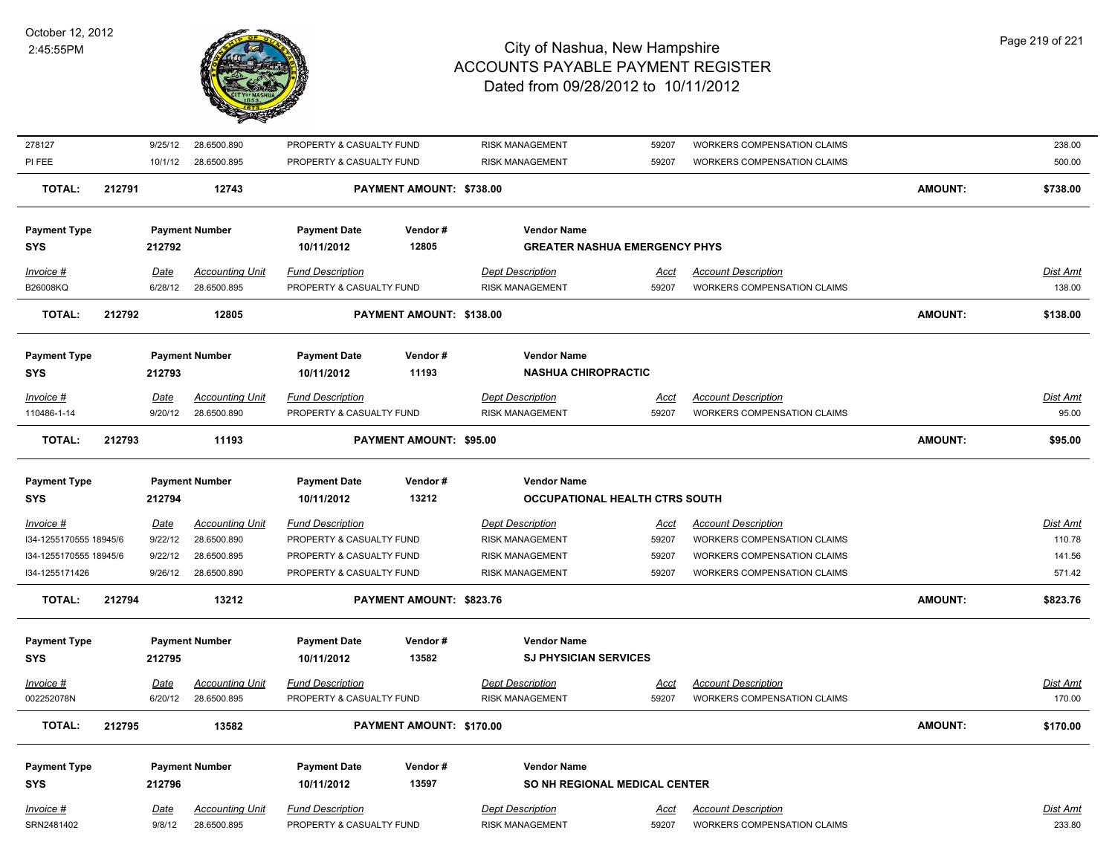

| 278127                 |        | 9/25/12     | 28.6500.890            | PROPERTY & CASUALTY FUND |                          | <b>RISK MANAGEMENT</b>                | 59207       | WORKERS COMPENSATION CLAIMS        |                | 238.00          |
|------------------------|--------|-------------|------------------------|--------------------------|--------------------------|---------------------------------------|-------------|------------------------------------|----------------|-----------------|
| PI FEE                 |        | 10/1/12     | 28.6500.895            | PROPERTY & CASUALTY FUND |                          | <b>RISK MANAGEMENT</b>                | 59207       | <b>WORKERS COMPENSATION CLAIMS</b> |                | 500.00          |
| <b>TOTAL:</b>          | 212791 |             | 12743                  |                          | PAYMENT AMOUNT: \$738.00 |                                       |             |                                    | <b>AMOUNT:</b> | \$738.00        |
| <b>Payment Type</b>    |        |             | <b>Payment Number</b>  | <b>Payment Date</b>      | Vendor#                  | <b>Vendor Name</b>                    |             |                                    |                |                 |
| <b>SYS</b>             |        | 212792      |                        | 10/11/2012               | 12805                    | <b>GREATER NASHUA EMERGENCY PHYS</b>  |             |                                    |                |                 |
| Invoice #              |        | Date        | <b>Accounting Unit</b> | <b>Fund Description</b>  |                          | <b>Dept Description</b>               | Acct        | <b>Account Description</b>         |                | Dist Amt        |
| B26008KQ               |        | 6/28/12     | 28.6500.895            | PROPERTY & CASUALTY FUND |                          | <b>RISK MANAGEMENT</b>                | 59207       | WORKERS COMPENSATION CLAIMS        |                | 138.00          |
| <b>TOTAL:</b>          | 212792 |             | 12805                  |                          | PAYMENT AMOUNT: \$138.00 |                                       |             |                                    | <b>AMOUNT:</b> | \$138.00        |
| <b>Payment Type</b>    |        |             | <b>Payment Number</b>  | <b>Payment Date</b>      | Vendor#                  | <b>Vendor Name</b>                    |             |                                    |                |                 |
| <b>SYS</b>             |        | 212793      |                        | 10/11/2012               | 11193                    | <b>NASHUA CHIROPRACTIC</b>            |             |                                    |                |                 |
| Invoice #              |        | Date        | <b>Accounting Unit</b> | <b>Fund Description</b>  |                          | <b>Dept Description</b>               | Acct        | <b>Account Description</b>         |                | Dist Amt        |
| 110486-1-14            |        | 9/20/12     | 28.6500.890            | PROPERTY & CASUALTY FUND |                          | <b>RISK MANAGEMENT</b>                | 59207       | WORKERS COMPENSATION CLAIMS        |                | 95.00           |
| <b>TOTAL:</b>          | 212793 |             | 11193                  |                          | PAYMENT AMOUNT: \$95.00  |                                       |             |                                    | <b>AMOUNT:</b> | \$95.00         |
| <b>Payment Type</b>    |        |             | <b>Payment Number</b>  | <b>Payment Date</b>      | Vendor#                  | <b>Vendor Name</b>                    |             |                                    |                |                 |
| <b>SYS</b>             |        | 212794      |                        | 10/11/2012               | 13212                    | <b>OCCUPATIONAL HEALTH CTRS SOUTH</b> |             |                                    |                |                 |
| Invoice #              |        | <b>Date</b> | <b>Accounting Unit</b> | <b>Fund Description</b>  |                          | <b>Dept Description</b>               | <u>Acct</u> | <b>Account Description</b>         |                | Dist Amt        |
| I34-1255170555 18945/6 |        | 9/22/12     | 28.6500.890            | PROPERTY & CASUALTY FUND |                          | <b>RISK MANAGEMENT</b>                | 59207       | WORKERS COMPENSATION CLAIMS        |                | 110.78          |
| I34-1255170555 18945/6 |        | 9/22/12     | 28.6500.895            | PROPERTY & CASUALTY FUND |                          | <b>RISK MANAGEMENT</b>                | 59207       | <b>WORKERS COMPENSATION CLAIMS</b> |                | 141.56          |
| I34-1255171426         |        | 9/26/12     | 28.6500.890            | PROPERTY & CASUALTY FUND |                          | <b>RISK MANAGEMENT</b>                | 59207       | WORKERS COMPENSATION CLAIMS        |                | 571.42          |
| <b>TOTAL:</b>          | 212794 |             | 13212                  |                          | PAYMENT AMOUNT: \$823.76 |                                       |             |                                    | <b>AMOUNT:</b> | \$823.76        |
| <b>Payment Type</b>    |        |             | <b>Payment Number</b>  | <b>Payment Date</b>      | Vendor#                  | <b>Vendor Name</b>                    |             |                                    |                |                 |
| <b>SYS</b>             |        | 212795      |                        | 10/11/2012               | 13582                    | <b>SJ PHYSICIAN SERVICES</b>          |             |                                    |                |                 |
| Invoice #              |        | <b>Date</b> | <b>Accounting Unit</b> | <b>Fund Description</b>  |                          | <b>Dept Description</b>               | <u>Acct</u> | <b>Account Description</b>         |                | <b>Dist Amt</b> |
| 002252078N             |        | 6/20/12     | 28.6500.895            | PROPERTY & CASUALTY FUND |                          | <b>RISK MANAGEMENT</b>                | 59207       | WORKERS COMPENSATION CLAIMS        |                | 170.00          |
| <b>TOTAL:</b>          | 212795 |             | 13582                  |                          | PAYMENT AMOUNT: \$170.00 |                                       |             |                                    | <b>AMOUNT:</b> | \$170.00        |
| <b>Payment Type</b>    |        |             | <b>Payment Number</b>  | <b>Payment Date</b>      | Vendor#                  | <b>Vendor Name</b>                    |             |                                    |                |                 |
| <b>SYS</b>             |        | 212796      |                        | 10/11/2012               | 13597                    | <b>SO NH REGIONAL MEDICAL CENTER</b>  |             |                                    |                |                 |
| Invoice #              |        | <b>Date</b> | <b>Accounting Unit</b> | <b>Fund Description</b>  |                          | <b>Dept Description</b>               | <u>Acct</u> | <b>Account Description</b>         |                | Dist Amt        |
| SRN2481402             |        | 9/8/12      | 28.6500.895            | PROPERTY & CASUALTY FUND |                          | <b>RISK MANAGEMENT</b>                | 59207       | WORKERS COMPENSATION CLAIMS        |                | 233.80          |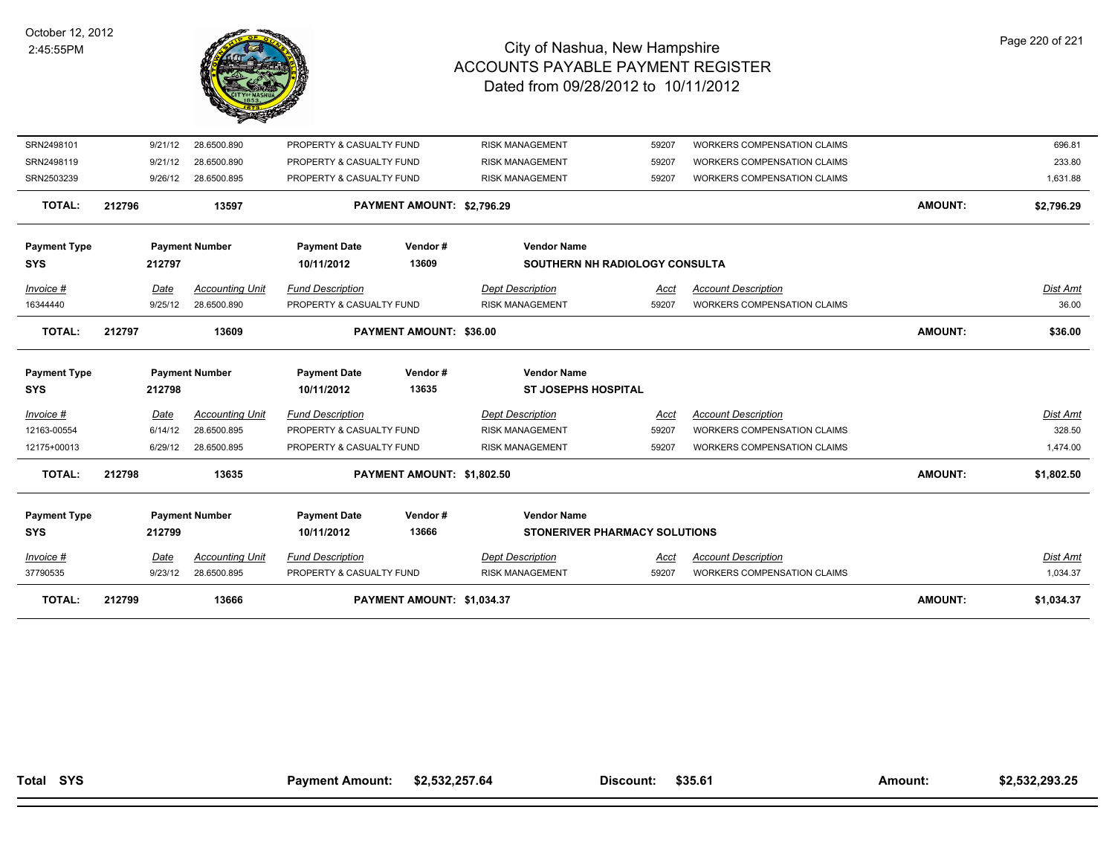

| <b>TOTAL:</b>       | 212799 |         | 13666                  |                          | PAYMENT AMOUNT: \$1,034.37     |                                |             |                                    | <b>AMOUNT:</b> | \$1,034.37      |
|---------------------|--------|---------|------------------------|--------------------------|--------------------------------|--------------------------------|-------------|------------------------------------|----------------|-----------------|
| 37790535            |        | 9/23/12 | 28.6500.895            | PROPERTY & CASUALTY FUND |                                | <b>RISK MANAGEMENT</b>         | 59207       | WORKERS COMPENSATION CLAIMS        |                | 1,034.37        |
| Invoice #           |        | Date    | <b>Accounting Unit</b> | <b>Fund Description</b>  |                                | <b>Dept Description</b>        | <u>Acct</u> | <b>Account Description</b>         |                | <b>Dist Amt</b> |
| <b>SYS</b>          |        | 212799  |                        | 10/11/2012               | 13666                          | STONERIVER PHARMACY SOLUTIONS  |             |                                    |                |                 |
| <b>Payment Type</b> |        |         | <b>Payment Number</b>  | <b>Payment Date</b>      | Vendor#                        | <b>Vendor Name</b>             |             |                                    |                |                 |
| <b>TOTAL:</b>       | 212798 |         | 13635                  |                          | PAYMENT AMOUNT: \$1,802.50     |                                |             |                                    | <b>AMOUNT:</b> | \$1,802.50      |
| 12175+00013         |        | 6/29/12 | 28.6500.895            | PROPERTY & CASUALTY FUND |                                | <b>RISK MANAGEMENT</b>         | 59207       | <b>WORKERS COMPENSATION CLAIMS</b> |                | 1,474.00        |
| 12163-00554         |        | 6/14/12 | 28.6500.895            | PROPERTY & CASUALTY FUND |                                | <b>RISK MANAGEMENT</b>         | 59207       | <b>WORKERS COMPENSATION CLAIMS</b> |                | 328.50          |
| Invoice #           |        | Date    | <b>Accounting Unit</b> | <b>Fund Description</b>  |                                | <b>Dept Description</b>        | Acct        | <b>Account Description</b>         |                | Dist Amt        |
| <b>SYS</b>          |        | 212798  |                        | 10/11/2012               | 13635                          | <b>ST JOSEPHS HOSPITAL</b>     |             |                                    |                |                 |
| <b>Payment Type</b> |        |         | <b>Payment Number</b>  | <b>Payment Date</b>      | Vendor#                        | <b>Vendor Name</b>             |             |                                    |                |                 |
| <b>TOTAL:</b>       | 212797 |         | 13609                  |                          | <b>PAYMENT AMOUNT: \$36.00</b> |                                |             |                                    | <b>AMOUNT:</b> | \$36.00         |
| 16344440            |        | 9/25/12 | 28.6500.890            | PROPERTY & CASUALTY FUND |                                | <b>RISK MANAGEMENT</b>         | 59207       | WORKERS COMPENSATION CLAIMS        |                | 36.00           |
| Invoice #           |        | Date    | <b>Accounting Unit</b> | <b>Fund Description</b>  |                                | <b>Dept Description</b>        | Acct        | <b>Account Description</b>         |                | Dist Amt        |
| <b>SYS</b>          |        | 212797  |                        | 10/11/2012               | 13609                          | SOUTHERN NH RADIOLOGY CONSULTA |             |                                    |                |                 |
| <b>Payment Type</b> |        |         | <b>Payment Number</b>  | <b>Payment Date</b>      | Vendor#                        | <b>Vendor Name</b>             |             |                                    |                |                 |
| <b>TOTAL:</b>       | 212796 |         | 13597                  |                          | PAYMENT AMOUNT: \$2,796.29     |                                |             |                                    | <b>AMOUNT:</b> | \$2,796.29      |
| SRN2503239          |        | 9/26/12 | 28.6500.895            | PROPERTY & CASUALTY FUND |                                | <b>RISK MANAGEMENT</b>         | 59207       | <b>WORKERS COMPENSATION CLAIMS</b> |                | 1,631.88        |
| SRN2498119          |        | 9/21/12 | 28.6500.890            | PROPERTY & CASUALTY FUND |                                | <b>RISK MANAGEMENT</b>         | 59207       | <b>WORKERS COMPENSATION CLAIMS</b> |                | 233.80          |
| SRN2498101          |        | 9/21/12 | 28.6500.890            | PROPERTY & CASUALTY FUND |                                | <b>RISK MANAGEMENT</b>         | 59207       | WORKERS COMPENSATION CLAIMS        |                | 696.81          |